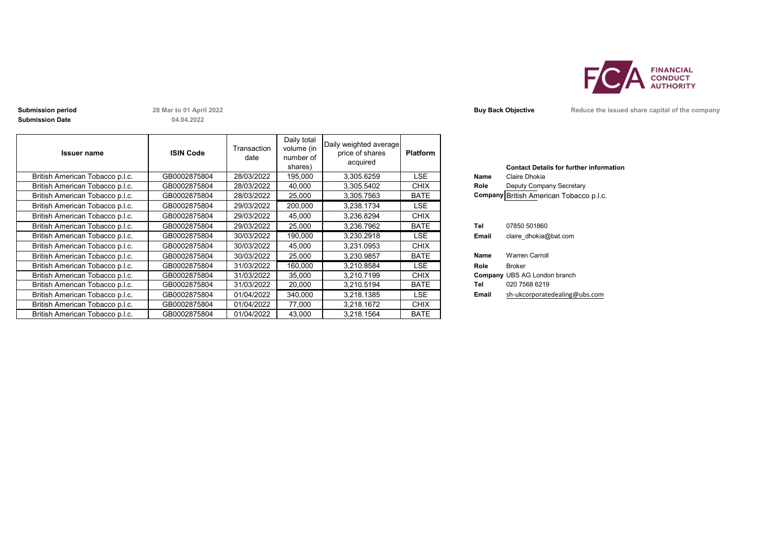

**Submission period 28 Mar to 01 April 2022 Buy Back Objective Reduce the issued share capital of the company Submission Date**

**04.04.2022**

| <b>Issuer name</b>              | <b>ISIN Code</b> | Transaction<br>date | Daily total<br>volume (in<br>number of<br>shares) | Daily weighted average<br>price of shares<br>acquired | <b>Platform</b> |       | <b>Contact Details for further inforn</b> |
|---------------------------------|------------------|---------------------|---------------------------------------------------|-------------------------------------------------------|-----------------|-------|-------------------------------------------|
| British American Tobacco p.l.c. | GB0002875804     | 28/03/2022          | 195,000                                           | 3,305.6259                                            | LSE             | Name  | Claire Dhokia                             |
| British American Tobacco p.l.c. | GB0002875804     | 28/03/2022          | 40,000                                            | 3,305.5402                                            | CHIX            | Role  | Deputy Company Secretary                  |
| British American Tobacco p.l.c. | GB0002875804     | 28/03/2022          | 25,000                                            | 3,305.7563                                            | <b>BATE</b>     |       | Company British American Tobacco p.l.c.   |
| British American Tobacco p.l.c. | GB0002875804     | 29/03/2022          | 200,000                                           | 3,238.1734                                            | <b>LSE</b>      |       |                                           |
| British American Tobacco p.l.c. | GB0002875804     | 29/03/2022          | 45,000                                            | 3,236.8294                                            | <b>CHIX</b>     |       |                                           |
| British American Tobacco p.l.c. | GB0002875804     | 29/03/2022          | 25,000                                            | 3,236.7962                                            | <b>BATE</b>     | Tel   | 07850 501860                              |
| British American Tobacco p.l.c. | GB0002875804     | 30/03/2022          | 190,000                                           | 3,230.2918                                            | LSE             | Email | claire dhokia@bat.com                     |
| British American Tobacco p.l.c. | GB0002875804     | 30/03/2022          | 45,000                                            | 3,231.0953                                            | <b>CHIX</b>     |       |                                           |
| British American Tobacco p.l.c. | GB0002875804     | 30/03/2022          | 25,000                                            | 3,230.9857                                            | <b>BATE</b>     | Name  | Warren Carroll                            |
| British American Tobacco p.l.c. | GB0002875804     | 31/03/2022          | 160,000                                           | 3,210.8584                                            | <b>LSE</b>      | Role  | <b>Broker</b>                             |
| British American Tobacco p.l.c. | GB0002875804     | 31/03/2022          | 35,000                                            | 3.210.7199                                            | <b>CHIX</b>     |       | <b>Company UBS AG London branch</b>       |
| British American Tobacco p.l.c. | GB0002875804     | 31/03/2022          | 20,000                                            | 3,210.5194                                            | <b>BATE</b>     | Tel   | 020 7568 6219                             |
| British American Tobacco p.l.c. | GB0002875804     | 01/04/2022          | 340,000                                           | 3,218.1385                                            | LSE             | Email | sh-ukcorporatedealing@ubs.com             |
| British American Tobacco p.l.c. | GB0002875804     | 01/04/2022          | 77,000                                            | 3,218.1672                                            | <b>CHIX</b>     |       |                                           |
| British American Tobacco p.l.c. | GB0002875804     | 01/04/2022          | 43,000                                            | 3,218.1564                                            | <b>BATE</b>     |       |                                           |

|       | <b>Contact Details for further information</b> |
|-------|------------------------------------------------|
| Name  | Claire Dhokia                                  |
| Role  | Deputy Company Secretary                       |
|       | Company British American Tobacco p.l.c.        |
|       |                                                |
|       |                                                |
| Tel   | 07850 501860                                   |
| Email | claire dhokia@bat.com                          |
|       |                                                |
|       | $M1$ $\bigcap$                                 |

|       | O(1)                          |
|-------|-------------------------------|
|       |                               |
| Name  | <b>Warren Carroll</b>         |
| Role  | Broker                        |
|       | Company UBS AG London branch  |
| Tel   | 020 7568 6219                 |
| Email | sh-ukcorporatedealing@ubs.com |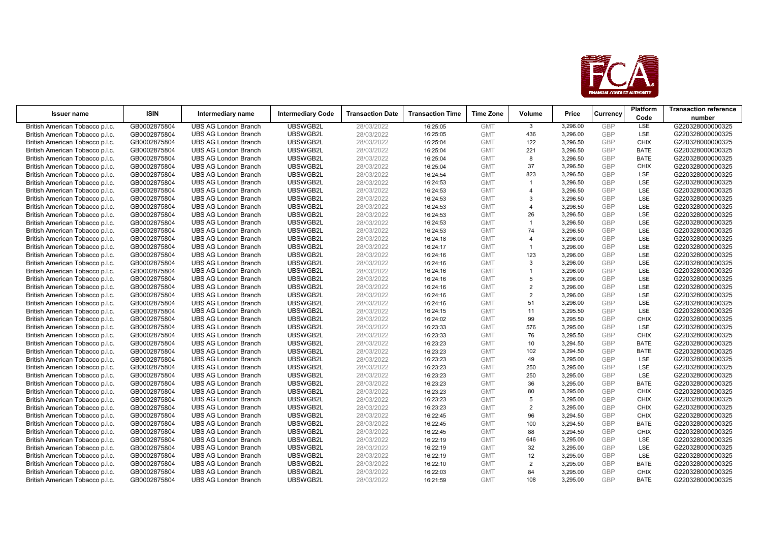

|                                 | <b>ISIN</b>  |                             |                          |                         |                         | <b>Time Zone</b> |                         |          |            | Platform    | <b>Transaction reference</b> |
|---------------------------------|--------------|-----------------------------|--------------------------|-------------------------|-------------------------|------------------|-------------------------|----------|------------|-------------|------------------------------|
| <b>Issuer name</b>              |              | Intermediary name           | <b>Intermediary Code</b> | <b>Transaction Date</b> | <b>Transaction Time</b> |                  | Volume                  | Price    | Currency   | Code        | number                       |
| British American Tobacco p.l.c. | GB0002875804 | <b>UBS AG London Branch</b> | UBSWGB2L                 | 28/03/2022              | 16:25:05                | <b>GMT</b>       | $\mathbf{3}$            | 3,296.00 | <b>GBP</b> | <b>LSE</b>  | G220328000000325             |
| British American Tobacco p.l.c. | GB0002875804 | <b>UBS AG London Branch</b> | UBSWGB2L                 | 28/03/2022              | 16:25:05                | <b>GMT</b>       | 436                     | 3,296.00 | <b>GBP</b> | <b>LSE</b>  | G220328000000325             |
| British American Tobacco p.l.c. | GB0002875804 | <b>UBS AG London Branch</b> | UBSWGB2L                 | 28/03/2022              | 16:25:04                | <b>GMT</b>       | 122                     | 3,296.50 | <b>GBP</b> | <b>CHIX</b> | G220328000000325             |
| British American Tobacco p.l.c. | GB0002875804 | <b>UBS AG London Branch</b> | UBSWGB2L                 | 28/03/2022              | 16:25:04                | <b>GMT</b>       | 221                     | 3,296.50 | <b>GBP</b> | <b>BATE</b> | G220328000000325             |
| British American Tobacco p.l.c. | GB0002875804 | <b>UBS AG London Branch</b> | UBSWGB2L                 | 28/03/2022              | 16:25:04                | <b>GMT</b>       | 8                       | 3,296.50 | <b>GBP</b> | <b>BATE</b> | G220328000000325             |
| British American Tobacco p.l.c. | GB0002875804 | <b>UBS AG London Branch</b> | UBSWGB2L                 | 28/03/2022              | 16:25:04                | <b>GMT</b>       | 37                      | 3,296.50 | <b>GBP</b> | <b>CHIX</b> | G220328000000325             |
| British American Tobacco p.l.c. | GB0002875804 | <b>UBS AG London Branch</b> | UBSWGB2L                 | 28/03/2022              | 16:24:54                | <b>GMT</b>       | 823                     | 3,296.50 | GBP        | <b>LSE</b>  | G220328000000325             |
| British American Tobacco p.l.c. | GB0002875804 | <b>UBS AG London Branch</b> | UBSWGB2L                 | 28/03/2022              | 16:24:53                | <b>GMT</b>       | $\mathbf{1}$            | 3,296.50 | <b>GBP</b> | <b>LSE</b>  | G220328000000325             |
| British American Tobacco p.l.c. | GB0002875804 | <b>UBS AG London Branch</b> | UBSWGB2L                 | 28/03/2022              | 16:24:53                | <b>GMT</b>       | $\boldsymbol{\Delta}$   | 3,296.50 | <b>GBP</b> | <b>LSE</b>  | G220328000000325             |
| British American Tobacco p.l.c. | GB0002875804 | <b>UBS AG London Branch</b> | UBSWGB2L                 | 28/03/2022              | 16:24:53                | <b>GMT</b>       | 3                       | 3,296.50 | <b>GBP</b> | <b>LSE</b>  | G220328000000325             |
| British American Tobacco p.l.c. | GB0002875804 | <b>UBS AG London Branch</b> | UBSWGB2L                 | 28/03/2022              | 16:24:53                | <b>GMT</b>       | $\overline{\mathbf{A}}$ | 3,296.50 | <b>GBP</b> | <b>LSE</b>  | G220328000000325             |
| British American Tobacco p.l.c. | GB0002875804 | <b>UBS AG London Branch</b> | UBSWGB2L                 | 28/03/2022              | 16:24:53                | <b>GMT</b>       | 26                      | 3,296.50 | <b>GBP</b> | <b>LSE</b>  | G220328000000325             |
| British American Tobacco p.l.c. | GB0002875804 | <b>UBS AG London Branch</b> | UBSWGB2L                 | 28/03/2022              | 16:24:53                | <b>GMT</b>       | $\mathbf{1}$            | 3,296.50 | <b>GBP</b> | <b>LSE</b>  | G220328000000325             |
| British American Tobacco p.l.c. | GB0002875804 | <b>UBS AG London Branch</b> | UBSWGB2L                 | 28/03/2022              | 16:24:53                | <b>GMT</b>       | 74                      | 3,296.50 | <b>GBP</b> | <b>LSE</b>  | G220328000000325             |
| British American Tobacco p.l.c. | GB0002875804 | <b>UBS AG London Branch</b> | UBSWGB2L                 | 28/03/2022              | 16:24:18                | <b>GMT</b>       | $\boldsymbol{\Delta}$   | 3,296.00 | <b>GBP</b> | <b>LSE</b>  | G220328000000325             |
| British American Tobacco p.l.c. | GB0002875804 | <b>UBS AG London Branch</b> | UBSWGB2L                 | 28/03/2022              | 16:24:17                | <b>GMT</b>       | $\mathbf{1}$            | 3,296.00 | <b>GBP</b> | <b>LSE</b>  | G220328000000325             |
| British American Tobacco p.l.c. | GB0002875804 | <b>UBS AG London Branch</b> | UBSWGB2L                 | 28/03/2022              | 16:24:16                | <b>GMT</b>       | 123                     | 3,296.00 | <b>GBP</b> | <b>LSE</b>  | G220328000000325             |
| British American Tobacco p.l.c. | GB0002875804 | <b>UBS AG London Branch</b> | UBSWGB2L                 | 28/03/2022              | 16:24:16                | <b>GMT</b>       | 3                       | 3,296.00 | <b>GBP</b> | <b>LSE</b>  | G220328000000325             |
| British American Tobacco p.l.c. | GB0002875804 | <b>UBS AG London Branch</b> | UBSWGB2L                 | 28/03/2022              | 16:24:16                | <b>GMT</b>       | $\mathbf{1}$            | 3,296.00 | <b>GBP</b> | <b>LSE</b>  | G220328000000325             |
| British American Tobacco p.l.c. | GB0002875804 | <b>UBS AG London Branch</b> | UBSWGB2L                 | 28/03/2022              | 16:24:16                | <b>GMT</b>       | 5                       | 3,296.00 | <b>GBP</b> | <b>LSE</b>  | G220328000000325             |
| British American Tobacco p.l.c. | GB0002875804 | <b>UBS AG London Branch</b> | UBSWGB2L                 | 28/03/2022              | 16:24:16                | <b>GMT</b>       | $\overline{2}$          | 3,296.00 | <b>GBP</b> | LSE         | G220328000000325             |
| British American Tobacco p.l.c. | GB0002875804 | <b>UBS AG London Branch</b> | UBSWGB2L                 | 28/03/2022              | 16:24:16                | <b>GMT</b>       | $\overline{2}$          | 3,296.00 | <b>GBP</b> | <b>LSE</b>  | G220328000000325             |
| British American Tobacco p.l.c. | GB0002875804 | <b>UBS AG London Branch</b> | UBSWGB2L                 | 28/03/2022              | 16:24:16                | <b>GMT</b>       | 51                      | 3,296.00 | <b>GBP</b> | <b>LSE</b>  | G220328000000325             |
| British American Tobacco p.l.c. | GB0002875804 | <b>UBS AG London Branch</b> | UBSWGB2L                 | 28/03/2022              | 16:24:15                | <b>GMT</b>       | 11                      | 3,295.50 | <b>GBP</b> | <b>LSE</b>  | G220328000000325             |
| British American Tobacco p.l.c. | GB0002875804 | <b>UBS AG London Branch</b> | UBSWGB2L                 | 28/03/2022              | 16:24:02                | <b>GMT</b>       | 99                      | 3,295.50 | <b>GBP</b> | <b>CHIX</b> | G220328000000325             |
| British American Tobacco p.l.c. | GB0002875804 | <b>UBS AG London Branch</b> | UBSWGB2L                 | 28/03/2022              | 16:23:33                | <b>GMT</b>       | 576                     | 3,295.00 | <b>GBP</b> | <b>LSE</b>  | G220328000000325             |
| British American Tobacco p.l.c. | GB0002875804 | <b>UBS AG London Branch</b> | UBSWGB2L                 | 28/03/2022              | 16:23:33                | <b>GMT</b>       | 76                      | 3,295.50 | <b>GBP</b> | <b>CHIX</b> | G220328000000325             |
| British American Tobacco p.l.c. | GB0002875804 | <b>UBS AG London Branch</b> | UBSWGB2L                 | 28/03/2022              | 16:23:23                | <b>GMT</b>       | 10                      | 3,294.50 | <b>GBP</b> | <b>BATE</b> | G220328000000325             |
| British American Tobacco p.l.c. | GB0002875804 | <b>UBS AG London Branch</b> | UBSWGB2L                 | 28/03/2022              | 16:23:23                | <b>GMT</b>       | 102                     | 3,294.50 | <b>GBP</b> | <b>BATE</b> | G220328000000325             |
| British American Tobacco p.l.c. | GB0002875804 | <b>UBS AG London Branch</b> | UBSWGB2L                 | 28/03/2022              | 16:23:23                | <b>GMT</b>       | 49                      | 3,295.00 | <b>GBP</b> | <b>LSE</b>  | G220328000000325             |
| British American Tobacco p.l.c. | GB0002875804 | <b>UBS AG London Branch</b> | UBSWGB2L                 | 28/03/2022              | 16:23:23                | <b>GMT</b>       | 250                     | 3,295.00 | <b>GBP</b> | <b>LSE</b>  | G220328000000325             |
| British American Tobacco p.l.c. | GB0002875804 | <b>UBS AG London Branch</b> | UBSWGB2L                 | 28/03/2022              | 16:23:23                | <b>GMT</b>       | 250                     | 3,295.00 | <b>GBP</b> | <b>LSE</b>  | G220328000000325             |
| British American Tobacco p.l.c. | GB0002875804 | <b>UBS AG London Branch</b> | UBSWGB2L                 | 28/03/2022              | 16:23:23                | <b>GMT</b>       | 36                      | 3,295.00 | <b>GBP</b> | <b>BATE</b> | G220328000000325             |
| British American Tobacco p.l.c. | GB0002875804 | <b>UBS AG London Branch</b> | UBSWGB2L                 | 28/03/2022              | 16:23:23                | <b>GMT</b>       | 80                      | 3,295.00 | <b>GBP</b> | <b>CHIX</b> | G220328000000325             |
| British American Tobacco p.l.c. | GB0002875804 | <b>UBS AG London Branch</b> | UBSWGB2L                 | 28/03/2022              | 16:23:23                | <b>GMT</b>       | 5                       | 3,295.00 | <b>GBP</b> | <b>CHIX</b> | G220328000000325             |
| British American Tobacco p.l.c. | GB0002875804 | <b>UBS AG London Branch</b> | UBSWGB2L                 | 28/03/2022              | 16:23:23                | <b>GMT</b>       | $\overline{2}$          | 3,295.00 | <b>GBP</b> | <b>CHIX</b> | G220328000000325             |
| British American Tobacco p.l.c. | GB0002875804 | <b>UBS AG London Branch</b> | UBSWGB2L                 | 28/03/2022              | 16:22:45                | <b>GMT</b>       | 96                      | 3,294.50 | <b>GBP</b> | <b>CHIX</b> | G220328000000325             |
| British American Tobacco p.l.c. | GB0002875804 | <b>UBS AG London Branch</b> | UBSWGB2L                 | 28/03/2022              | 16:22:45                | <b>GMT</b>       | 100                     | 3,294.50 | <b>GBP</b> | <b>BATE</b> | G220328000000325             |
| British American Tobacco p.l.c. | GB0002875804 | <b>UBS AG London Branch</b> | UBSWGB2L                 | 28/03/2022              | 16:22:45                | <b>GMT</b>       | 88                      | 3,294.50 | <b>GBP</b> | <b>CHIX</b> | G220328000000325             |
| British American Tobacco p.l.c. | GB0002875804 | <b>UBS AG London Branch</b> | UBSWGB2L                 | 28/03/2022              | 16:22:19                | <b>GMT</b>       | 646                     | 3,295.00 | <b>GBP</b> | <b>LSE</b>  | G220328000000325             |
| British American Tobacco p.l.c. | GB0002875804 | <b>UBS AG London Branch</b> | UBSWGB2L                 | 28/03/2022              | 16:22:19                | <b>GMT</b>       | 32                      | 3,295.00 | <b>GBP</b> | <b>LSE</b>  | G220328000000325             |
| British American Tobacco p.l.c. | GB0002875804 | <b>UBS AG London Branch</b> | UBSWGB2L                 | 28/03/2022              | 16:22:19                | <b>GMT</b>       | 12                      | 3,295.00 | <b>GBP</b> | <b>LSE</b>  | G220328000000325             |
| British American Tobacco p.l.c. | GB0002875804 | <b>UBS AG London Branch</b> | UBSWGB2L                 | 28/03/2022              | 16:22:10                | <b>GMT</b>       | $\overline{2}$          | 3,295.00 | <b>GBP</b> | <b>BATE</b> | G220328000000325             |
| British American Tobacco p.l.c. | GB0002875804 | <b>UBS AG London Branch</b> | UBSWGB2L                 | 28/03/2022              | 16:22:03                | <b>GMT</b>       | 84                      | 3,295.00 | <b>GBP</b> | <b>CHIX</b> | G220328000000325             |
| British American Tobacco p.l.c. | GB0002875804 | <b>UBS AG London Branch</b> | UBSWGB2L                 | 28/03/2022              | 16:21:59                | <b>GMT</b>       | 108                     | 3.295.00 | GBP        | <b>BATE</b> | G220328000000325             |

 $\Gamma$  $\perp$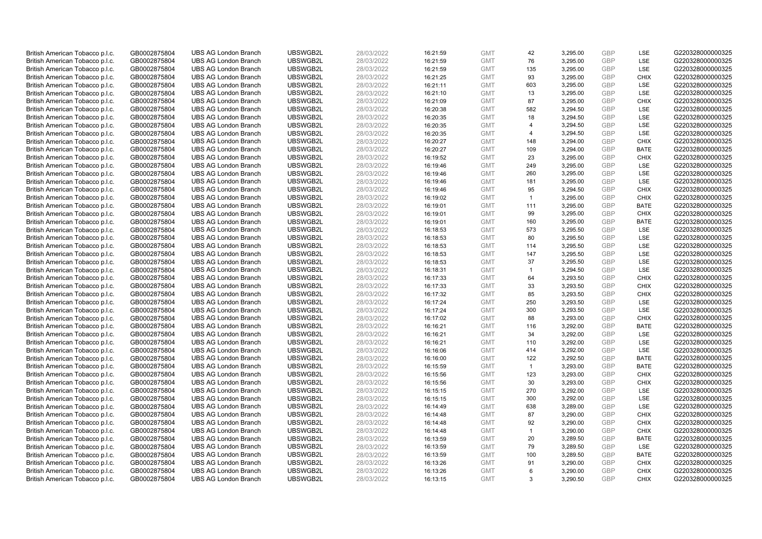| British American Tobacco p.l.c.                                    | GB0002875804                 | <b>UBS AG London Branch</b>                                | UBSWGB2L             | 28/03/2022               | 16:21:59             | <b>GMT</b>               | 42                      | 3,295.00             | <b>GBP</b>               | LSE                        | G220328000000325                     |
|--------------------------------------------------------------------|------------------------------|------------------------------------------------------------|----------------------|--------------------------|----------------------|--------------------------|-------------------------|----------------------|--------------------------|----------------------------|--------------------------------------|
| British American Tobacco p.l.c.                                    | GB0002875804                 | <b>UBS AG London Branch</b>                                | UBSWGB2L             | 28/03/2022               | 16:21:59             | <b>GMT</b>               | 76                      | 3,295.00             | GBP                      | LSE                        | G220328000000325                     |
| British American Tobacco p.l.c.                                    | GB0002875804                 | <b>UBS AG London Branch</b>                                | UBSWGB2L             | 28/03/2022               | 16:21:59             | <b>GMT</b>               | 135                     | 3,295.00             | <b>GBP</b>               | LSE                        | G220328000000325                     |
| British American Tobacco p.l.c.                                    | GB0002875804                 | <b>UBS AG London Branch</b>                                | UBSWGB2L             | 28/03/2022               | 16:21:25             | <b>GMT</b>               | 93                      | 3,295.00             | GBP                      | <b>CHIX</b>                | G220328000000325                     |
| British American Tobacco p.l.c.                                    | GB0002875804                 | <b>UBS AG London Branch</b>                                | UBSWGB2L             | 28/03/2022               | 16:21:11             | <b>GMT</b>               | 603                     | 3,295.00             | <b>GBP</b>               | LSE                        | G220328000000325                     |
| British American Tobacco p.l.c.                                    | GB0002875804                 | <b>UBS AG London Branch</b>                                | UBSWGB2L             | 28/03/2022               | 16:21:10             | <b>GMT</b>               | 13                      | 3,295.00             | <b>GBP</b>               | <b>LSE</b>                 | G220328000000325                     |
| British American Tobacco p.l.c.                                    | GB0002875804                 | <b>UBS AG London Branch</b>                                | UBSWGB2L             | 28/03/2022               | 16:21:09             | <b>GMT</b>               | 87                      | 3,295.00             | <b>GBP</b>               | <b>CHIX</b>                | G220328000000325                     |
| British American Tobacco p.l.c.                                    | GB0002875804                 | <b>UBS AG London Branch</b>                                | UBSWGB2L             | 28/03/2022               | 16:20:38             | <b>GMT</b>               | 582                     | 3,294.50             | GBP                      | <b>LSE</b>                 | G220328000000325                     |
| British American Tobacco p.l.c.                                    | GB0002875804                 | <b>UBS AG London Branch</b>                                | UBSWGB2L             | 28/03/2022               | 16:20:35             | <b>GMT</b>               | 18                      | 3,294.50             | <b>GBP</b>               | LSE                        | G220328000000325                     |
| British American Tobacco p.l.c.                                    | GB0002875804                 | <b>UBS AG London Branch</b>                                | UBSWGB2L             | 28/03/2022               | 16:20:35             | <b>GMT</b>               | $\overline{4}$          | 3,294.50             | <b>GBP</b>               | <b>LSE</b>                 | G220328000000325                     |
| British American Tobacco p.l.c.                                    | GB0002875804                 | <b>UBS AG London Branch</b>                                | UBSWGB2L             | 28/03/2022               | 16:20:35             | <b>GMT</b>               | $\overline{\mathbf{A}}$ | 3,294.50             | <b>GBP</b>               | LSE                        | G220328000000325                     |
| British American Tobacco p.l.c.                                    | GB0002875804                 | <b>UBS AG London Branch</b>                                | UBSWGB2L             | 28/03/2022               | 16:20:27             | <b>GMT</b>               | 148                     | 3,294.00             | <b>GBP</b>               | <b>CHIX</b>                | G220328000000325                     |
| British American Tobacco p.l.c.                                    | GB0002875804                 | <b>UBS AG London Branch</b>                                | UBSWGB2L             | 28/03/2022               | 16:20:27             | <b>GMT</b>               | 109                     | 3,294.00             | <b>GBP</b>               | <b>BATE</b>                | G220328000000325                     |
| British American Tobacco p.l.c.                                    | GB0002875804                 | <b>UBS AG London Branch</b>                                | UBSWGB2L             | 28/03/2022               | 16:19:52             | <b>GMT</b>               | 23                      | 3,295.00             | <b>GBP</b>               | <b>CHIX</b>                | G220328000000325                     |
| British American Tobacco p.l.c.                                    | GB0002875804                 | <b>UBS AG London Branch</b>                                | UBSWGB2L             | 28/03/2022               | 16:19:46             | <b>GMT</b>               | 249                     | 3,295.00             | GBP                      | <b>LSE</b>                 | G220328000000325                     |
| British American Tobacco p.l.c.                                    | GB0002875804                 | <b>UBS AG London Branch</b>                                | UBSWGB2L             | 28/03/2022               | 16:19:46             | <b>GMT</b>               | 260                     | 3,295.00             | <b>GBP</b>               | LSE                        | G220328000000325                     |
| British American Tobacco p.l.c.                                    | GB0002875804                 | <b>UBS AG London Branch</b>                                | UBSWGB2L             | 28/03/2022               | 16:19:46             | <b>GMT</b>               | 181                     | 3,295.00             | GBP                      | <b>LSE</b>                 | G220328000000325                     |
| British American Tobacco p.l.c.                                    | GB0002875804                 | <b>UBS AG London Branch</b>                                | UBSWGB2L             | 28/03/2022               | 16:19:46             | <b>GMT</b>               | 95                      | 3,294.50             | <b>GBP</b>               | <b>CHIX</b>                | G220328000000325                     |
| British American Tobacco p.l.c.                                    | GB0002875804                 | <b>UBS AG London Branch</b>                                | UBSWGB2L             | 28/03/2022               | 16:19:02             | <b>GMT</b>               | $\overline{1}$          | 3,295.00             | <b>GBP</b>               | <b>CHIX</b>                | G220328000000325                     |
| British American Tobacco p.l.c.                                    | GB0002875804                 | <b>UBS AG London Branch</b>                                | UBSWGB2L             | 28/03/2022               | 16:19:01             | <b>GMT</b>               | 111                     | 3,295.00             | <b>GBP</b>               | <b>BATE</b>                | G220328000000325                     |
| British American Tobacco p.l.c.                                    | GB0002875804                 | <b>UBS AG London Branch</b>                                | UBSWGB2L             | 28/03/2022               | 16:19:01             | <b>GMT</b>               | 99                      | 3,295.00             | GBP                      | <b>CHIX</b>                | G220328000000325                     |
| British American Tobacco p.l.c.                                    | GB0002875804                 | <b>UBS AG London Branch</b>                                | UBSWGB2L             | 28/03/2022               | 16:19:01             | <b>GMT</b>               | 160                     | 3,295.00             | GBP                      | <b>BATE</b>                | G220328000000325                     |
| British American Tobacco p.l.c.                                    | GB0002875804                 | <b>UBS AG London Branch</b>                                | UBSWGB2L             | 28/03/2022               | 16:18:53             | <b>GMT</b>               | 573                     | 3,295.50             | GBP                      | LSE                        | G220328000000325                     |
| British American Tobacco p.l.c.                                    | GB0002875804                 | <b>UBS AG London Branch</b>                                | UBSWGB2L             | 28/03/2022               | 16:18:53             | <b>GMT</b>               | 80                      | 3,295.50             | GBP                      | LSE                        | G220328000000325                     |
| British American Tobacco p.l.c.                                    | GB0002875804                 | <b>UBS AG London Branch</b>                                | UBSWGB2L             | 28/03/2022               | 16:18:53             | <b>GMT</b>               | 114                     | 3,295.50             | <b>GBP</b>               | LSE                        | G220328000000325                     |
| British American Tobacco p.l.c.                                    | GB0002875804                 | <b>UBS AG London Branch</b>                                | UBSWGB2L             | 28/03/2022               | 16:18:53             | <b>GMT</b>               | 147                     | 3,295.50             | <b>GBP</b>               | LSE                        | G220328000000325                     |
| British American Tobacco p.l.c.                                    | GB0002875804                 | <b>UBS AG London Branch</b>                                | UBSWGB2L             | 28/03/2022               | 16:18:53             | <b>GMT</b>               | 37                      | 3,295.50             | <b>GBP</b>               | LSE                        | G220328000000325                     |
| British American Tobacco p.l.c.                                    | GB0002875804                 | <b>UBS AG London Branch</b>                                | UBSWGB2L             | 28/03/2022               | 16:18:31             | <b>GMT</b>               | $\blacktriangleleft$    | 3,294.50             | <b>GBP</b>               | <b>LSE</b>                 | G220328000000325                     |
| British American Tobacco p.l.c.                                    | GB0002875804                 | <b>UBS AG London Branch</b>                                | UBSWGB2L             | 28/03/2022               | 16:17:33             | <b>GMT</b>               | 64                      | 3,293.50             | <b>GBP</b>               | <b>CHIX</b>                | G220328000000325                     |
| British American Tobacco p.l.c.                                    | GB0002875804                 | <b>UBS AG London Branch</b>                                | UBSWGB2L             | 28/03/2022               | 16:17:33             | <b>GMT</b>               | 33                      | 3,293.50             | GBP                      | <b>CHIX</b>                | G220328000000325                     |
| British American Tobacco p.l.c.                                    | GB0002875804                 | <b>UBS AG London Branch</b>                                | UBSWGB2L             | 28/03/2022               | 16:17:32             | <b>GMT</b>               | 85                      | 3,293.50             | <b>GBP</b>               | <b>CHIX</b>                | G220328000000325                     |
| British American Tobacco p.l.c.                                    | GB0002875804                 | <b>UBS AG London Branch</b>                                | UBSWGB2L             | 28/03/2022               | 16:17:24             | <b>GMT</b>               | 250                     | 3,293.50             | <b>GBP</b>               | <b>LSE</b>                 | G220328000000325                     |
| British American Tobacco p.l.c.                                    | GB0002875804                 | <b>UBS AG London Branch</b>                                | UBSWGB2L             | 28/03/2022               | 16:17:24             | <b>GMT</b>               | 300                     | 3,293.50             | <b>GBP</b>               | LSE                        | G220328000000325                     |
| British American Tobacco p.l.c.                                    | GB0002875804                 | <b>UBS AG London Branch</b>                                | UBSWGB2L             | 28/03/2022               | 16:17:02             | <b>GMT</b>               | 88                      | 3,293.00             | GBP                      | <b>CHIX</b>                | G220328000000325                     |
| British American Tobacco p.l.c.                                    | GB0002875804                 | <b>UBS AG London Branch</b>                                | UBSWGB2L             | 28/03/2022               | 16:16:21             | <b>GMT</b>               | 116                     | 3,292.00             | GBP                      | <b>BATE</b>                | G220328000000325                     |
| British American Tobacco p.l.c.                                    | GB0002875804                 | <b>UBS AG London Branch</b>                                | UBSWGB2L             | 28/03/2022               | 16:16:21             | <b>GMT</b>               | 34                      | 3,292.00             | GBP                      | LSE                        | G220328000000325                     |
| British American Tobacco p.l.c.                                    | GB0002875804                 | <b>UBS AG London Branch</b>                                | UBSWGB2L             | 28/03/2022               | 16:16:21             | <b>GMT</b>               | 110                     | 3.292.00             | GBP                      | LSE                        | G220328000000325                     |
| British American Tobacco p.l.c.                                    | GB0002875804                 | <b>UBS AG London Branch</b>                                | UBSWGB2L             | 28/03/2022               | 16:16:06             | <b>GMT</b>               | 414                     | 3,292.00             | <b>GBP</b>               | LSE                        | G220328000000325                     |
| British American Tobacco p.l.c.                                    | GB0002875804                 | <b>UBS AG London Branch</b>                                | UBSWGB2L             | 28/03/2022               | 16:16:00             | <b>GMT</b>               | 122                     | 3,292.50             | <b>GBP</b>               | <b>BATE</b>                | G220328000000325                     |
| British American Tobacco p.l.c.                                    | GB0002875804                 | <b>UBS AG London Branch</b>                                | UBSWGB2L             | 28/03/2022               | 16:15:59             | <b>GMT</b>               | $\mathbf{1}$            | 3,293.00             | <b>GBP</b>               | <b>BATE</b>                | G220328000000325                     |
| British American Tobacco p.l.c.                                    | GB0002875804                 | <b>UBS AG London Branch</b>                                | UBSWGB2L             | 28/03/2022               | 16:15:56             | <b>GMT</b>               | 123                     | 3,293.00             | <b>GBP</b>               | <b>CHIX</b>                | G220328000000325                     |
| British American Tobacco p.l.c.                                    | GB0002875804                 | <b>UBS AG London Branch</b>                                | UBSWGB2L             | 28/03/2022               | 16:15:56             | <b>GMT</b>               | 30                      | 3,293.00             | <b>GBP</b>               | <b>CHIX</b>                | G220328000000325                     |
| British American Tobacco p.l.c.                                    | GB0002875804                 | <b>UBS AG London Branch</b>                                | UBSWGB2L             | 28/03/2022               | 16:15:15             | <b>GMT</b>               | 270                     | 3,292.00             | GBP                      | LSE                        | G220328000000325                     |
| British American Tobacco p.l.c.                                    | GB0002875804                 | <b>UBS AG London Branch</b>                                | UBSWGB2L             | 28/03/2022               | 16:15:15             | <b>GMT</b>               | 300                     | 3,292.00             | <b>GBP</b>               | <b>LSE</b>                 | G220328000000325                     |
| British American Tobacco p.l.c.                                    | GB0002875804                 | <b>UBS AG London Branch</b>                                | UBSWGB2L             | 28/03/2022               | 16:14:49             | <b>GMT</b>               | 638                     | 3,289.00             | <b>GBP</b>               | <b>LSE</b>                 | G220328000000325                     |
| British American Tobacco p.l.c.                                    | GB0002875804                 | <b>UBS AG London Branch</b>                                | UBSWGB2L             | 28/03/2022               | 16:14:48             | <b>GMT</b>               | 87                      | 3,290.00             | <b>GBP</b>               | <b>CHIX</b>                | G220328000000325                     |
|                                                                    |                              |                                                            |                      |                          |                      | <b>GMT</b>               | 92                      | 3,290.00             | <b>GBP</b>               | <b>CHIX</b>                |                                      |
| British American Tobacco p.l.c.<br>British American Tobacco p.l.c. | GB0002875804<br>GB0002875804 | <b>UBS AG London Branch</b><br><b>UBS AG London Branch</b> | UBSWGB2L<br>UBSWGB2L | 28/03/2022<br>28/03/2022 | 16:14:48<br>16:14:48 | <b>GMT</b>               | $\mathbf{1}$            | 3,290.00             | GBP                      | <b>CHIX</b>                | G220328000000325<br>G220328000000325 |
|                                                                    |                              |                                                            |                      |                          |                      | <b>GMT</b>               |                         |                      | <b>GBP</b>               |                            |                                      |
| British American Tobacco p.l.c.<br>British American Tobacco p.l.c. | GB0002875804                 | <b>UBS AG London Branch</b>                                | UBSWGB2L<br>UBSWGB2L | 28/03/2022<br>28/03/2022 | 16:13:59             | <b>GMT</b>               | 20                      | 3,289.50             | GBP                      | <b>BATE</b><br><b>LSE</b>  | G220328000000325<br>G220328000000325 |
|                                                                    | GB0002875804                 | <b>UBS AG London Branch</b>                                |                      |                          | 16:13:59             |                          | 79                      | 3,289.50             |                          |                            |                                      |
| British American Tobacco p.l.c.                                    | GB0002875804                 | <b>UBS AG London Branch</b><br><b>UBS AG London Branch</b> | UBSWGB2L<br>UBSWGB2L | 28/03/2022               | 16:13:59             | <b>GMT</b>               | 100<br>91               | 3,289.50             | <b>GBP</b><br><b>GBP</b> | <b>BATE</b><br><b>CHIX</b> | G220328000000325<br>G220328000000325 |
| British American Tobacco p.l.c.                                    | GB0002875804                 |                                                            |                      | 28/03/2022               | 16:13:26             | <b>GMT</b>               | 6                       | 3,290.00             | GBP                      |                            | G220328000000325                     |
| British American Tobacco p.l.c.                                    | GB0002875804<br>GB0002875804 | <b>UBS AG London Branch</b>                                | UBSWGB2L<br>UBSWGB2L | 28/03/2022<br>28/03/2022 | 16:13:26             | <b>GMT</b><br><b>GMT</b> | 3                       | 3,290.00<br>3.290.50 | GBP                      | <b>CHIX</b><br><b>CHIX</b> |                                      |
| British American Tobacco p.l.c.                                    |                              | <b>UBS AG London Branch</b>                                |                      |                          | 16:13:15             |                          |                         |                      |                          |                            | G220328000000325                     |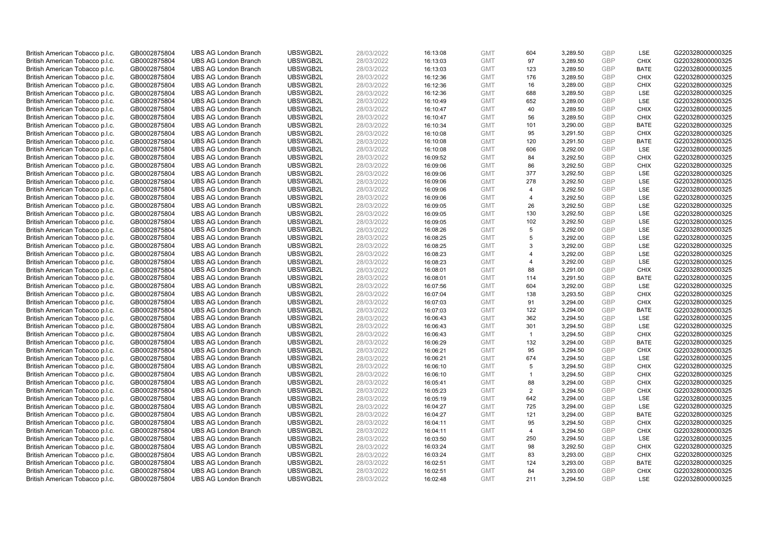| British American Tobacco p.l.c. | GB0002875804 | <b>UBS AG London Branch</b> | UBSWGB2L | 28/03/2022 | 16:13:08 | <b>GMT</b> | 604                     | 3,289.50 | <b>GBP</b> | LSE         | G220328000000325 |
|---------------------------------|--------------|-----------------------------|----------|------------|----------|------------|-------------------------|----------|------------|-------------|------------------|
| British American Tobacco p.l.c. | GB0002875804 | <b>UBS AG London Branch</b> | UBSWGB2L | 28/03/2022 | 16:13:03 | <b>GMT</b> | 97                      | 3,289.50 | GBP        | <b>CHIX</b> | G220328000000325 |
| British American Tobacco p.l.c. | GB0002875804 | <b>UBS AG London Branch</b> | UBSWGB2L | 28/03/2022 | 16:13:03 | <b>GMT</b> | 123                     | 3,289.50 | GBP        | <b>BATE</b> | G220328000000325 |
| British American Tobacco p.l.c. | GB0002875804 | <b>UBS AG London Branch</b> | UBSWGB2L | 28/03/2022 | 16:12:36 | <b>GMT</b> | 176                     | 3,289.50 | GBP        | <b>CHIX</b> | G220328000000325 |
| British American Tobacco p.l.c. | GB0002875804 | <b>UBS AG London Branch</b> | UBSWGB2L | 28/03/2022 | 16:12:36 | <b>GMT</b> | 16                      | 3,289.00 | <b>GBP</b> | <b>CHIX</b> | G220328000000325 |
| British American Tobacco p.l.c. | GB0002875804 | <b>UBS AG London Branch</b> | UBSWGB2L | 28/03/2022 | 16:12:36 | <b>GMT</b> | 688                     | 3,289.50 | <b>GBP</b> | <b>LSE</b>  | G220328000000325 |
| British American Tobacco p.l.c. | GB0002875804 | <b>UBS AG London Branch</b> | UBSWGB2L | 28/03/2022 | 16:10:49 | <b>GMT</b> | 652                     | 3,289.00 | GBP        | LSE         | G220328000000325 |
| British American Tobacco p.l.c. | GB0002875804 | <b>UBS AG London Branch</b> | UBSWGB2L | 28/03/2022 | 16:10:47 | <b>GMT</b> | 40                      | 3,289.50 | GBP        | <b>CHIX</b> | G220328000000325 |
| British American Tobacco p.l.c. | GB0002875804 | <b>UBS AG London Branch</b> | UBSWGB2L | 28/03/2022 | 16:10:47 | <b>GMT</b> | 56                      | 3,289.50 | GBP        | <b>CHIX</b> | G220328000000325 |
| British American Tobacco p.l.c. | GB0002875804 | <b>UBS AG London Branch</b> | UBSWGB2L | 28/03/2022 | 16:10:34 | <b>GMT</b> | 101                     | 3,290.00 | <b>GBP</b> | <b>BATE</b> | G220328000000325 |
| British American Tobacco p.l.c. | GB0002875804 | <b>UBS AG London Branch</b> | UBSWGB2L | 28/03/2022 | 16:10:08 | <b>GMT</b> | 95                      | 3,291.50 | GBP        | <b>CHIX</b> | G220328000000325 |
| British American Tobacco p.l.c. | GB0002875804 | <b>UBS AG London Branch</b> | UBSWGB2L | 28/03/2022 | 16:10:08 | <b>GMT</b> | 120                     | 3,291.50 | <b>GBP</b> | <b>BATE</b> | G220328000000325 |
| British American Tobacco p.l.c. | GB0002875804 | <b>UBS AG London Branch</b> | UBSWGB2L | 28/03/2022 | 16:10:08 | <b>GMT</b> | 606                     | 3,292.00 | <b>GBP</b> | LSE         | G220328000000325 |
| British American Tobacco p.l.c. | GB0002875804 | <b>UBS AG London Branch</b> | UBSWGB2L | 28/03/2022 | 16:09:52 | <b>GMT</b> | 84                      | 3,292.50 | <b>GBP</b> | <b>CHIX</b> | G220328000000325 |
| British American Tobacco p.l.c. | GB0002875804 | <b>UBS AG London Branch</b> | UBSWGB2L | 28/03/2022 | 16:09:06 | <b>GMT</b> | 86                      | 3,292.50 | GBP        | <b>CHIX</b> | G220328000000325 |
| British American Tobacco p.l.c. | GB0002875804 | <b>UBS AG London Branch</b> | UBSWGB2L | 28/03/2022 | 16:09:06 | <b>GMT</b> | 377                     | 3,292.50 | <b>GBP</b> | <b>LSE</b>  | G220328000000325 |
| British American Tobacco p.l.c. | GB0002875804 | <b>UBS AG London Branch</b> | UBSWGB2L | 28/03/2022 | 16:09:06 | <b>GMT</b> | 278                     | 3,292.50 | GBP        | LSE         | G220328000000325 |
| British American Tobacco p.l.c. | GB0002875804 | <b>UBS AG London Branch</b> | UBSWGB2L | 28/03/2022 | 16:09:06 | <b>GMT</b> | $\overline{4}$          | 3,292.50 | <b>GBP</b> | LSE         | G220328000000325 |
| British American Tobacco p.l.c. | GB0002875804 | <b>UBS AG London Branch</b> | UBSWGB2L | 28/03/2022 | 16:09:06 | <b>GMT</b> | $\overline{\mathbf{A}}$ | 3,292.50 | <b>GBP</b> | <b>LSE</b>  | G220328000000325 |
| British American Tobacco p.l.c. | GB0002875804 | <b>UBS AG London Branch</b> | UBSWGB2L | 28/03/2022 | 16:09:05 | <b>GMT</b> | 26                      | 3,292.50 | <b>GBP</b> | LSE         | G220328000000325 |
| British American Tobacco p.l.c. | GB0002875804 | <b>UBS AG London Branch</b> | UBSWGB2L | 28/03/2022 | 16:09:05 | <b>GMT</b> | 130                     | 3,292.50 | GBP        | <b>LSE</b>  | G220328000000325 |
| British American Tobacco p.l.c. | GB0002875804 | <b>UBS AG London Branch</b> | UBSWGB2L | 28/03/2022 | 16:09:05 | <b>GMT</b> | 102                     | 3,292.50 | GBP        | LSE         | G220328000000325 |
| British American Tobacco p.l.c. | GB0002875804 | <b>UBS AG London Branch</b> | UBSWGB2L | 28/03/2022 | 16:08:26 | <b>GMT</b> | 5                       | 3,292.00 | GBP        | LSE         | G220328000000325 |
| British American Tobacco p.l.c. | GB0002875804 | <b>UBS AG London Branch</b> | UBSWGB2L | 28/03/2022 | 16:08:25 | <b>GMT</b> | 5                       | 3,292.00 | GBP        | LSE         | G220328000000325 |
| British American Tobacco p.l.c. | GB0002875804 | <b>UBS AG London Branch</b> | UBSWGB2L | 28/03/2022 | 16:08:25 | <b>GMT</b> | 3                       | 3,292.00 | <b>GBP</b> | LSE         | G220328000000325 |
| British American Tobacco p.l.c. | GB0002875804 | <b>UBS AG London Branch</b> | UBSWGB2L | 28/03/2022 | 16:08:23 | <b>GMT</b> | $\overline{4}$          | 3,292.00 | <b>GBP</b> | LSE         | G220328000000325 |
| British American Tobacco p.l.c. | GB0002875804 | <b>UBS AG London Branch</b> | UBSWGB2L | 28/03/2022 | 16:08:23 | <b>GMT</b> | $\overline{4}$          | 3,292.00 | <b>GBP</b> | LSE         | G220328000000325 |
| British American Tobacco p.l.c. | GB0002875804 | <b>UBS AG London Branch</b> | UBSWGB2L | 28/03/2022 | 16:08:01 | <b>GMT</b> | 88                      | 3,291.00 | GBP        | <b>CHIX</b> | G220328000000325 |
| British American Tobacco p.l.c. | GB0002875804 | <b>UBS AG London Branch</b> | UBSWGB2L | 28/03/2022 | 16:08:01 | <b>GMT</b> | 114                     | 3,291.50 | <b>GBP</b> | <b>BATE</b> | G220328000000325 |
| British American Tobacco p.l.c. | GB0002875804 | <b>UBS AG London Branch</b> | UBSWGB2L | 28/03/2022 | 16:07:56 | <b>GMT</b> | 604                     | 3,292.00 | GBP        | LSE         | G220328000000325 |
| British American Tobacco p.l.c. | GB0002875804 | <b>UBS AG London Branch</b> | UBSWGB2L | 28/03/2022 | 16:07:04 | <b>GMT</b> | 138                     | 3,293.50 | GBP        | <b>CHIX</b> | G220328000000325 |
| British American Tobacco p.l.c. | GB0002875804 | <b>UBS AG London Branch</b> | UBSWGB2L | 28/03/2022 | 16:07:03 | <b>GMT</b> | 91                      | 3,294.00 | <b>GBP</b> | <b>CHIX</b> | G220328000000325 |
| British American Tobacco p.l.c. | GB0002875804 | <b>UBS AG London Branch</b> | UBSWGB2L | 28/03/2022 | 16:07:03 | <b>GMT</b> | 122                     | 3,294.00 | <b>GBP</b> | <b>BATE</b> | G220328000000325 |
| British American Tobacco p.l.c. | GB0002875804 | <b>UBS AG London Branch</b> | UBSWGB2L | 28/03/2022 | 16:06:43 | <b>GMT</b> | 362                     | 3,294.50 | GBP        | LSE         | G220328000000325 |
| British American Tobacco p.l.c. | GB0002875804 | <b>UBS AG London Branch</b> | UBSWGB2L | 28/03/2022 | 16:06:43 | <b>GMT</b> | 301                     | 3,294.50 | GBP        | LSE         | G220328000000325 |
| British American Tobacco p.l.c. | GB0002875804 | <b>UBS AG London Branch</b> | UBSWGB2L | 28/03/2022 | 16:06:43 | <b>GMT</b> | $\overline{1}$          | 3,294.50 | GBP        | <b>CHIX</b> | G220328000000325 |
| British American Tobacco p.l.c. | GB0002875804 | <b>UBS AG London Branch</b> | UBSWGB2L | 28/03/2022 | 16:06:29 | <b>GMT</b> | 132                     | 3,294.00 | GBP        | <b>BATE</b> | G220328000000325 |
| British American Tobacco p.l.c. | GB0002875804 | <b>UBS AG London Branch</b> | UBSWGB2L | 28/03/2022 | 16:06:21 | <b>GMT</b> | 95                      | 3,294.50 | <b>GBP</b> | <b>CHIX</b> | G220328000000325 |
| British American Tobacco p.l.c. | GB0002875804 | <b>UBS AG London Branch</b> | UBSWGB2L | 28/03/2022 | 16:06:21 | <b>GMT</b> | 674                     | 3,294.50 | <b>GBP</b> | LSE         | G220328000000325 |
| British American Tobacco p.l.c. | GB0002875804 | <b>UBS AG London Branch</b> | UBSWGB2L | 28/03/2022 | 16:06:10 | <b>GMT</b> | 5                       | 3,294.50 | <b>GBP</b> | <b>CHIX</b> | G220328000000325 |
| British American Tobacco p.l.c. | GB0002875804 | <b>UBS AG London Branch</b> | UBSWGB2L | 28/03/2022 | 16:06:10 | <b>GMT</b> | $\mathbf{1}$            | 3,294.50 | GBP        | <b>CHIX</b> | G220328000000325 |
| British American Tobacco p.l.c. | GB0002875804 | <b>UBS AG London Branch</b> | UBSWGB2L | 28/03/2022 | 16:05:41 | <b>GMT</b> | 88                      | 3,294.00 | <b>GBP</b> | <b>CHIX</b> | G220328000000325 |
| British American Tobacco p.l.c. | GB0002875804 | <b>UBS AG London Branch</b> | UBSWGB2L | 28/03/2022 | 16:05:23 | <b>GMT</b> | 2                       | 3,294.50 | GBP        | <b>CHIX</b> | G220328000000325 |
| British American Tobacco p.l.c. | GB0002875804 | <b>UBS AG London Branch</b> | UBSWGB2L | 28/03/2022 | 16:05:19 | <b>GMT</b> | 642                     | 3,294.00 | GBP        | <b>LSE</b>  | G220328000000325 |
| British American Tobacco p.l.c. | GB0002875804 | <b>UBS AG London Branch</b> | UBSWGB2L | 28/03/2022 | 16:04:27 | <b>GMT</b> | 725                     | 3,294.00 | <b>GBP</b> | <b>LSE</b>  | G220328000000325 |
| British American Tobacco p.l.c. | GB0002875804 | <b>UBS AG London Branch</b> | UBSWGB2L | 28/03/2022 | 16:04:27 | <b>GMT</b> | 121                     | 3,294.00 | <b>GBP</b> | <b>BATE</b> | G220328000000325 |
| British American Tobacco p.l.c. | GB0002875804 | <b>UBS AG London Branch</b> | UBSWGB2L | 28/03/2022 | 16:04:11 | <b>GMT</b> | 95                      | 3,294.50 | <b>GBP</b> | <b>CHIX</b> | G220328000000325 |
| British American Tobacco p.l.c. | GB0002875804 | <b>UBS AG London Branch</b> | UBSWGB2L | 28/03/2022 | 16:04:11 | <b>GMT</b> | $\overline{4}$          | 3,294.50 | GBP        | <b>CHIX</b> | G220328000000325 |
| British American Tobacco p.l.c. | GB0002875804 | <b>UBS AG London Branch</b> | UBSWGB2L | 28/03/2022 | 16:03:50 | <b>GMT</b> | 250                     | 3,294.50 | <b>GBP</b> | LSE         | G220328000000325 |
| British American Tobacco p.l.c. | GB0002875804 | <b>UBS AG London Branch</b> | UBSWGB2L | 28/03/2022 | 16:03:24 | <b>GMT</b> | 98                      | 3,292.50 | GBP        | <b>CHIX</b> | G220328000000325 |
| British American Tobacco p.l.c. | GB0002875804 | <b>UBS AG London Branch</b> | UBSWGB2L | 28/03/2022 | 16:03:24 | <b>GMT</b> | 83                      | 3,293.00 | <b>GBP</b> | <b>CHIX</b> | G220328000000325 |
| British American Tobacco p.l.c. | GB0002875804 | <b>UBS AG London Branch</b> | UBSWGB2L | 28/03/2022 | 16:02:51 | <b>GMT</b> | 124                     | 3,293.00 | <b>GBP</b> | <b>BATE</b> | G220328000000325 |
| British American Tobacco p.l.c. | GB0002875804 | <b>UBS AG London Branch</b> | UBSWGB2L | 28/03/2022 | 16:02:51 | <b>GMT</b> | 84                      | 3,293.00 | GBP        | <b>CHIX</b> | G220328000000325 |
| British American Tobacco p.l.c. | GB0002875804 | <b>UBS AG London Branch</b> | UBSWGB2L | 28/03/2022 | 16:02:48 | <b>GMT</b> | 211                     | 3.294.50 | GBP        | <b>LSE</b>  | G220328000000325 |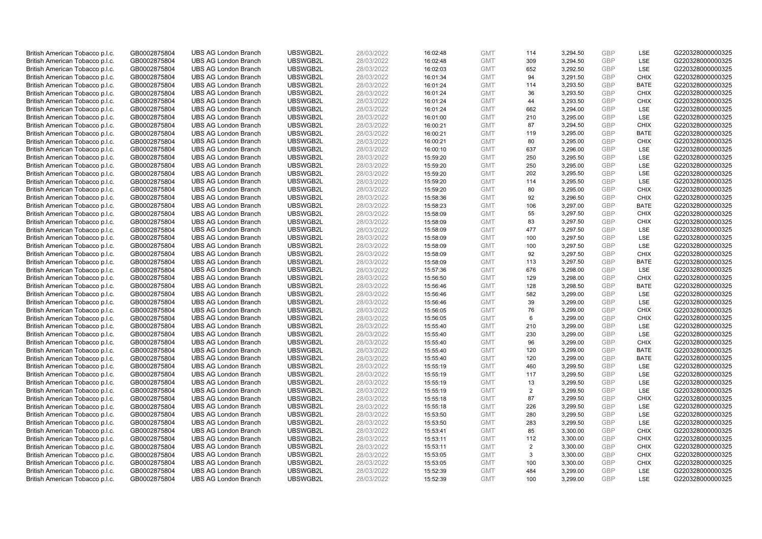| British American Tobacco p.l.c.                                    | GB0002875804 | <b>UBS AG London Branch</b> | UBSWGB2L | 28/03/2022 | 16:02:48 | <b>GMT</b> | 114            | 3,294.50 | <b>GBP</b> | LSE         | G220328000000325 |
|--------------------------------------------------------------------|--------------|-----------------------------|----------|------------|----------|------------|----------------|----------|------------|-------------|------------------|
| British American Tobacco p.l.c.                                    | GB0002875804 | <b>UBS AG London Branch</b> | UBSWGB2L | 28/03/2022 | 16:02:48 | <b>GMT</b> | 309            | 3,294.50 | GBP        | LSE         | G220328000000325 |
| British American Tobacco p.l.c.                                    | GB0002875804 | <b>UBS AG London Branch</b> | UBSWGB2L | 28/03/2022 | 16:02:03 | <b>GMT</b> | 652            | 3,292.50 | GBP        | LSE         | G220328000000325 |
| British American Tobacco p.l.c.                                    | GB0002875804 | <b>UBS AG London Branch</b> | UBSWGB2L | 28/03/2022 | 16:01:34 | <b>GMT</b> | 94             | 3,291.50 | GBP        | <b>CHIX</b> | G220328000000325 |
| British American Tobacco p.l.c.                                    | GB0002875804 | <b>UBS AG London Branch</b> | UBSWGB2L | 28/03/2022 | 16:01:24 | <b>GMT</b> | 114            | 3,293.50 | <b>GBP</b> | <b>BATE</b> | G220328000000325 |
| British American Tobacco p.l.c.                                    | GB0002875804 | <b>UBS AG London Branch</b> | UBSWGB2L | 28/03/2022 | 16:01:24 | <b>GMT</b> | 36             | 3,293.50 | <b>GBP</b> | <b>CHIX</b> | G220328000000325 |
| British American Tobacco p.l.c.                                    | GB0002875804 | <b>UBS AG London Branch</b> | UBSWGB2L | 28/03/2022 | 16:01:24 | <b>GMT</b> | 44             | 3,293.50 | <b>GBP</b> | <b>CHIX</b> | G220328000000325 |
| British American Tobacco p.l.c.                                    | GB0002875804 | <b>UBS AG London Branch</b> | UBSWGB2L | 28/03/2022 | 16:01:24 | <b>GMT</b> | 662            | 3,294.00 | GBP        | <b>LSE</b>  | G220328000000325 |
| British American Tobacco p.l.c.                                    | GB0002875804 | <b>UBS AG London Branch</b> | UBSWGB2L | 28/03/2022 | 16:01:00 | <b>GMT</b> | 210            | 3,295.00 | GBP        | LSE         | G220328000000325 |
| British American Tobacco p.l.c.                                    | GB0002875804 | <b>UBS AG London Branch</b> | UBSWGB2L | 28/03/2022 | 16:00:21 | <b>GMT</b> | 87             | 3,294.50 | <b>GBP</b> | <b>CHIX</b> | G220328000000325 |
| British American Tobacco p.l.c.                                    | GB0002875804 | <b>UBS AG London Branch</b> | UBSWGB2L | 28/03/2022 | 16:00:21 | <b>GMT</b> | 119            | 3,295.00 | GBP        | <b>BATE</b> | G220328000000325 |
| British American Tobacco p.l.c.                                    | GB0002875804 | <b>UBS AG London Branch</b> | UBSWGB2L | 28/03/2022 | 16:00:21 | <b>GMT</b> | 80             | 3,295.00 | <b>GBP</b> | <b>CHIX</b> | G220328000000325 |
| British American Tobacco p.l.c.                                    | GB0002875804 | <b>UBS AG London Branch</b> | UBSWGB2L | 28/03/2022 | 16:00:10 | <b>GMT</b> | 637            | 3,296.00 | <b>GBP</b> | LSE         | G220328000000325 |
| British American Tobacco p.l.c.                                    | GB0002875804 | <b>UBS AG London Branch</b> | UBSWGB2L | 28/03/2022 | 15:59:20 | <b>GMT</b> | 250            | 3,295.50 | <b>GBP</b> | <b>LSE</b>  | G220328000000325 |
| British American Tobacco p.l.c.                                    | GB0002875804 | <b>UBS AG London Branch</b> | UBSWGB2L | 28/03/2022 | 15:59:20 | <b>GMT</b> | 250            | 3,295.00 | GBP        | <b>LSE</b>  | G220328000000325 |
| British American Tobacco p.l.c.                                    | GB0002875804 | <b>UBS AG London Branch</b> | UBSWGB2L | 28/03/2022 | 15:59:20 | <b>GMT</b> | 202            | 3,295.50 | <b>GBP</b> | LSE         | G220328000000325 |
| British American Tobacco p.l.c.                                    | GB0002875804 | <b>UBS AG London Branch</b> | UBSWGB2L | 28/03/2022 | 15:59:20 | <b>GMT</b> | 114            | 3,295.50 | <b>GBP</b> | <b>LSE</b>  | G220328000000325 |
| British American Tobacco p.l.c.                                    | GB0002875804 | <b>UBS AG London Branch</b> | UBSWGB2L | 28/03/2022 | 15:59:20 | <b>GMT</b> | 80             | 3,295.00 | <b>GBP</b> | <b>CHIX</b> | G220328000000325 |
| British American Tobacco p.l.c.                                    | GB0002875804 | <b>UBS AG London Branch</b> | UBSWGB2L | 28/03/2022 | 15:58:36 | <b>GMT</b> | 92             | 3,296.50 | <b>GBP</b> | <b>CHIX</b> | G220328000000325 |
| British American Tobacco p.l.c.                                    | GB0002875804 | <b>UBS AG London Branch</b> | UBSWGB2L | 28/03/2022 | 15:58:23 | <b>GMT</b> | 106            | 3,297.00 | <b>GBP</b> | <b>BATE</b> | G220328000000325 |
| British American Tobacco p.l.c.                                    | GB0002875804 | <b>UBS AG London Branch</b> | UBSWGB2L | 28/03/2022 | 15:58:09 | <b>GMT</b> | 55             | 3,297.50 | GBP        | <b>CHIX</b> | G220328000000325 |
| British American Tobacco p.l.c.                                    | GB0002875804 | <b>UBS AG London Branch</b> | UBSWGB2L | 28/03/2022 | 15:58:09 | <b>GMT</b> | 83             | 3,297.50 | <b>GBP</b> | <b>CHIX</b> | G220328000000325 |
| British American Tobacco p.l.c.                                    | GB0002875804 | <b>UBS AG London Branch</b> | UBSWGB2L | 28/03/2022 | 15:58:09 | <b>GMT</b> | 477            | 3,297.50 | GBP        | LSE         | G220328000000325 |
| British American Tobacco p.l.c.                                    | GB0002875804 | <b>UBS AG London Branch</b> | UBSWGB2L | 28/03/2022 | 15:58:09 | <b>GMT</b> | 100            | 3,297.50 | <b>GBP</b> | LSE         | G220328000000325 |
| British American Tobacco p.l.c.                                    | GB0002875804 | <b>UBS AG London Branch</b> | UBSWGB2L | 28/03/2022 | 15:58:09 | <b>GMT</b> | 100            | 3,297.50 | <b>GBP</b> | LSE         | G220328000000325 |
| British American Tobacco p.l.c.                                    | GB0002875804 | <b>UBS AG London Branch</b> | UBSWGB2L | 28/03/2022 | 15:58:09 | <b>GMT</b> | 92             | 3,297.50 | <b>GBP</b> | <b>CHIX</b> | G220328000000325 |
| British American Tobacco p.l.c.                                    | GB0002875804 | <b>UBS AG London Branch</b> | UBSWGB2L | 28/03/2022 | 15:58:09 | <b>GMT</b> | 113            | 3,297.50 | <b>GBP</b> | <b>BATE</b> | G220328000000325 |
| British American Tobacco p.l.c.                                    | GB0002875804 | <b>UBS AG London Branch</b> | UBSWGB2L | 28/03/2022 | 15:57:36 | <b>GMT</b> | 676            | 3,298.00 | <b>GBP</b> | <b>LSE</b>  | G220328000000325 |
| British American Tobacco p.l.c.                                    | GB0002875804 | <b>UBS AG London Branch</b> | UBSWGB2L | 28/03/2022 | 15:56:50 | <b>GMT</b> | 129            | 3,298.00 | <b>GBP</b> | <b>CHIX</b> | G220328000000325 |
| British American Tobacco p.l.c.                                    | GB0002875804 | <b>UBS AG London Branch</b> | UBSWGB2L | 28/03/2022 | 15:56:46 | <b>GMT</b> | 128            | 3,298.50 | <b>GBP</b> | <b>BATE</b> | G220328000000325 |
| British American Tobacco p.l.c.                                    | GB0002875804 | <b>UBS AG London Branch</b> | UBSWGB2L | 28/03/2022 | 15:56:46 | <b>GMT</b> | 582            | 3,299.00 | <b>GBP</b> | LSE         | G220328000000325 |
| British American Tobacco p.l.c.                                    | GB0002875804 | <b>UBS AG London Branch</b> | UBSWGB2L | 28/03/2022 | 15:56:46 | <b>GMT</b> | 39             | 3,299.00 | <b>GBP</b> | <b>LSE</b>  | G220328000000325 |
| British American Tobacco p.l.c.                                    | GB0002875804 | <b>UBS AG London Branch</b> | UBSWGB2L | 28/03/2022 | 15:56:05 | <b>GMT</b> | 76             | 3,299.00 | <b>GBP</b> | <b>CHIX</b> | G220328000000325 |
| British American Tobacco p.l.c.                                    | GB0002875804 | <b>UBS AG London Branch</b> | UBSWGB2L | 28/03/2022 | 15:56:05 | <b>GMT</b> | 6              | 3,299.00 | GBP        | <b>CHIX</b> | G220328000000325 |
| British American Tobacco p.l.c.                                    | GB0002875804 | <b>UBS AG London Branch</b> | UBSWGB2L | 28/03/2022 | 15:55:40 | <b>GMT</b> | 210            | 3,299.00 | <b>GBP</b> | LSE         | G220328000000325 |
| British American Tobacco p.l.c.                                    | GB0002875804 | <b>UBS AG London Branch</b> | UBSWGB2L | 28/03/2022 | 15:55:40 | <b>GMT</b> | 230            | 3,299.00 | GBP        | LSE         | G220328000000325 |
| British American Tobacco p.l.c.                                    | GB0002875804 | <b>UBS AG London Branch</b> | UBSWGB2L | 28/03/2022 | 15:55:40 | <b>GMT</b> | 96             | 3,299.00 | <b>GBP</b> | <b>CHIX</b> | G220328000000325 |
| British American Tobacco p.l.c.                                    | GB0002875804 | <b>UBS AG London Branch</b> | UBSWGB2L | 28/03/2022 | 15:55:40 | <b>GMT</b> | 120            | 3,299.00 | <b>GBP</b> | <b>BATE</b> | G220328000000325 |
| British American Tobacco p.l.c.                                    | GB0002875804 | <b>UBS AG London Branch</b> | UBSWGB2L | 28/03/2022 | 15:55:40 | <b>GMT</b> | 120            | 3,299.00 | <b>GBP</b> | <b>BATE</b> | G220328000000325 |
| British American Tobacco p.l.c.                                    | GB0002875804 | <b>UBS AG London Branch</b> | UBSWGB2L | 28/03/2022 | 15:55:19 | <b>GMT</b> | 460            | 3,299.50 | <b>GBP</b> | <b>LSE</b>  | G220328000000325 |
| British American Tobacco p.l.c.                                    | GB0002875804 | <b>UBS AG London Branch</b> | UBSWGB2L | 28/03/2022 | 15:55:19 | <b>GMT</b> | 117            | 3,299.50 | GBP        | <b>LSE</b>  | G220328000000325 |
| British American Tobacco p.l.c.                                    | GB0002875804 | <b>UBS AG London Branch</b> | UBSWGB2L | 28/03/2022 | 15:55:19 | <b>GMT</b> | 13             | 3,299.50 | <b>GBP</b> | LSE         | G220328000000325 |
|                                                                    | GB0002875804 | <b>UBS AG London Branch</b> | UBSWGB2L | 28/03/2022 | 15:55:19 | <b>GMT</b> | 2              | 3,299.50 | <b>GBP</b> | LSE         | G220328000000325 |
| British American Tobacco p.l.c.<br>British American Tobacco p.l.c. |              | <b>UBS AG London Branch</b> | UBSWGB2L | 28/03/2022 |          | <b>GMT</b> | 87             | 3,299.50 | GBP        | <b>CHIX</b> | G220328000000325 |
|                                                                    | GB0002875804 |                             | UBSWGB2L |            | 15:55:18 |            | 226            |          |            | <b>LSE</b>  |                  |
| British American Tobacco p.l.c.                                    | GB0002875804 | <b>UBS AG London Branch</b> |          | 28/03/2022 | 15:55:18 | <b>GMT</b> |                | 3,299.50 | <b>GBP</b> |             | G220328000000325 |
| British American Tobacco p.l.c.                                    | GB0002875804 | <b>UBS AG London Branch</b> | UBSWGB2L | 28/03/2022 | 15:53:50 | <b>GMT</b> | 280            | 3,299.50 | <b>GBP</b> | LSE         | G220328000000325 |
| British American Tobacco p.l.c.                                    | GB0002875804 | <b>UBS AG London Branch</b> | UBSWGB2L | 28/03/2022 | 15:53:50 | <b>GMT</b> | 283            | 3,299.50 | <b>GBP</b> | LSE         | G220328000000325 |
| British American Tobacco p.l.c.                                    | GB0002875804 | <b>UBS AG London Branch</b> | UBSWGB2L | 28/03/2022 | 15:53:41 | <b>GMT</b> | 85             | 3,300.00 | <b>GBP</b> | <b>CHIX</b> | G220328000000325 |
| British American Tobacco p.l.c.                                    | GB0002875804 | <b>UBS AG London Branch</b> | UBSWGB2L | 28/03/2022 | 15:53:11 | <b>GMT</b> | 112            | 3,300.00 | <b>GBP</b> | <b>CHIX</b> | G220328000000325 |
| British American Tobacco p.l.c.                                    | GB0002875804 | <b>UBS AG London Branch</b> | UBSWGB2L | 28/03/2022 | 15:53:11 | <b>GMT</b> | $\overline{2}$ | 3,300.00 | <b>GBP</b> | <b>CHIX</b> | G220328000000325 |
| British American Tobacco p.l.c.                                    | GB0002875804 | <b>UBS AG London Branch</b> | UBSWGB2L | 28/03/2022 | 15:53:05 | <b>GMT</b> | 3              | 3,300.00 | <b>GBP</b> | <b>CHIX</b> | G220328000000325 |
| British American Tobacco p.l.c.                                    | GB0002875804 | <b>UBS AG London Branch</b> | UBSWGB2L | 28/03/2022 | 15:53:05 | <b>GMT</b> | 100            | 3,300.00 | <b>GBP</b> | <b>CHIX</b> | G220328000000325 |
| British American Tobacco p.l.c.                                    | GB0002875804 | <b>UBS AG London Branch</b> | UBSWGB2L | 28/03/2022 | 15:52:39 | <b>GMT</b> | 484            | 3,299.00 | GBP        | <b>LSE</b>  | G220328000000325 |
| British American Tobacco p.l.c.                                    | GB0002875804 | <b>UBS AG London Branch</b> | UBSWGB2L | 28/03/2022 | 15:52:39 | <b>GMT</b> | 100            | 3.299.00 | GBP        | <b>LSE</b>  | G220328000000325 |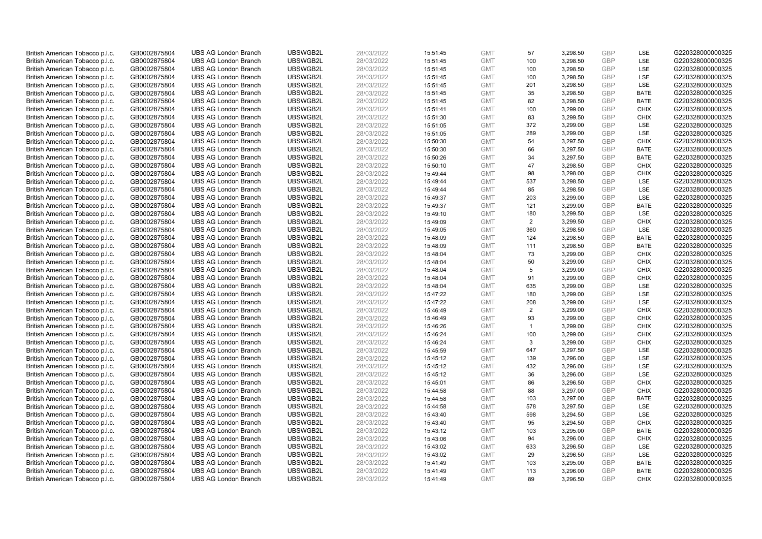| British American Tobacco p.l.c. | GB0002875804 | <b>UBS AG London Branch</b> | UBSWGB2L | 28/03/2022 | 15:51:45 | <b>GMT</b> | 57           | 3,298.50 | <b>GBP</b> | LSE         | G220328000000325 |
|---------------------------------|--------------|-----------------------------|----------|------------|----------|------------|--------------|----------|------------|-------------|------------------|
| British American Tobacco p.l.c. | GB0002875804 | <b>UBS AG London Branch</b> | UBSWGB2L | 28/03/2022 | 15:51:45 | <b>GMT</b> | 100          | 3,298.50 | GBP        | LSE         | G220328000000325 |
| British American Tobacco p.l.c. | GB0002875804 | <b>UBS AG London Branch</b> | UBSWGB2L | 28/03/2022 | 15:51:45 | <b>GMT</b> | 100          | 3,298.50 | <b>GBP</b> | LSE         | G220328000000325 |
| British American Tobacco p.l.c. | GB0002875804 | <b>UBS AG London Branch</b> | UBSWGB2L | 28/03/2022 | 15:51:45 | <b>GMT</b> | 100          | 3,298.50 | GBP        | LSE         | G220328000000325 |
| British American Tobacco p.l.c. | GB0002875804 | <b>UBS AG London Branch</b> | UBSWGB2L | 28/03/2022 | 15:51:45 | <b>GMT</b> | 201          | 3,298.50 | <b>GBP</b> | LSE         | G220328000000325 |
| British American Tobacco p.l.c. | GB0002875804 | <b>UBS AG London Branch</b> | UBSWGB2L | 28/03/2022 | 15:51:45 | <b>GMT</b> | 35           | 3,298.50 | <b>GBP</b> | <b>BATE</b> | G220328000000325 |
| British American Tobacco p.l.c. | GB0002875804 | <b>UBS AG London Branch</b> | UBSWGB2L | 28/03/2022 | 15:51:45 | <b>GMT</b> | 82           | 3,298.50 | <b>GBP</b> | <b>BATE</b> | G220328000000325 |
| British American Tobacco p.l.c. | GB0002875804 | <b>UBS AG London Branch</b> | UBSWGB2L | 28/03/2022 | 15:51:41 | <b>GMT</b> | 100          | 3,299.00 | GBP        | <b>CHIX</b> | G220328000000325 |
| British American Tobacco p.l.c. | GB0002875804 | <b>UBS AG London Branch</b> | UBSWGB2L | 28/03/2022 | 15:51:30 | <b>GMT</b> | 83           | 3,299.50 | <b>GBP</b> | <b>CHIX</b> | G220328000000325 |
| British American Tobacco p.l.c. | GB0002875804 | <b>UBS AG London Branch</b> | UBSWGB2L | 28/03/2022 | 15:51:05 | <b>GMT</b> | 372          | 3,299.00 | <b>GBP</b> | <b>LSE</b>  | G220328000000325 |
| British American Tobacco p.l.c. | GB0002875804 | <b>UBS AG London Branch</b> | UBSWGB2L | 28/03/2022 | 15:51:05 | <b>GMT</b> | 289          | 3.299.00 | <b>GBP</b> | LSE         | G220328000000325 |
| British American Tobacco p.l.c. | GB0002875804 | <b>UBS AG London Branch</b> | UBSWGB2L | 28/03/2022 | 15:50:30 | <b>GMT</b> | 54           | 3,297.50 | <b>GBP</b> | <b>CHIX</b> | G220328000000325 |
| British American Tobacco p.l.c. | GB0002875804 | <b>UBS AG London Branch</b> | UBSWGB2L | 28/03/2022 | 15:50:30 | <b>GMT</b> | 66           | 3,297.50 | <b>GBP</b> | <b>BATE</b> | G220328000000325 |
| British American Tobacco p.l.c. | GB0002875804 | <b>UBS AG London Branch</b> | UBSWGB2L | 28/03/2022 | 15:50:26 | <b>GMT</b> | 34           | 3,297.50 | <b>GBP</b> | <b>BATE</b> | G220328000000325 |
| British American Tobacco p.l.c. | GB0002875804 | <b>UBS AG London Branch</b> | UBSWGB2L | 28/03/2022 | 15:50:10 | <b>GMT</b> | 47           | 3,298.50 | <b>GBP</b> | <b>CHIX</b> | G220328000000325 |
| British American Tobacco p.l.c. | GB0002875804 | <b>UBS AG London Branch</b> | UBSWGB2L | 28/03/2022 | 15:49:44 | <b>GMT</b> | 98           | 3,298.00 | <b>GBP</b> | <b>CHIX</b> | G220328000000325 |
| British American Tobacco p.l.c. | GB0002875804 | <b>UBS AG London Branch</b> | UBSWGB2L | 28/03/2022 | 15:49:44 | <b>GMT</b> | 537          | 3,298.50 | <b>GBP</b> | LSE         | G220328000000325 |
| British American Tobacco p.l.c. | GB0002875804 | <b>UBS AG London Branch</b> | UBSWGB2L | 28/03/2022 | 15:49:44 | <b>GMT</b> | 85           | 3,298.50 | <b>GBP</b> | LSE         | G220328000000325 |
| British American Tobacco p.l.c. | GB0002875804 | <b>UBS AG London Branch</b> | UBSWGB2L | 28/03/2022 | 15:49:37 | <b>GMT</b> | 203          | 3,299.00 | GBP        | <b>LSE</b>  | G220328000000325 |
| British American Tobacco p.l.c. | GB0002875804 | <b>UBS AG London Branch</b> | UBSWGB2L | 28/03/2022 | 15:49:37 | <b>GMT</b> | 121          | 3,299.00 | <b>GBP</b> | <b>BATE</b> | G220328000000325 |
| British American Tobacco p.l.c. | GB0002875804 | <b>UBS AG London Branch</b> | UBSWGB2L | 28/03/2022 | 15:49:10 | <b>GMT</b> | 180          | 3,299.50 | GBP        | LSE         | G220328000000325 |
| British American Tobacco p.l.c. | GB0002875804 | <b>UBS AG London Branch</b> | UBSWGB2L | 28/03/2022 | 15:49:09 | <b>GMT</b> | 2            | 3,299.50 | <b>GBP</b> | <b>CHIX</b> | G220328000000325 |
| British American Tobacco p.l.c. | GB0002875804 | <b>UBS AG London Branch</b> | UBSWGB2L | 28/03/2022 | 15:49:05 | <b>GMT</b> | 360          | 3,298.50 | <b>GBP</b> | LSE         | G220328000000325 |
| British American Tobacco p.l.c. | GB0002875804 | <b>UBS AG London Branch</b> | UBSWGB2L | 28/03/2022 | 15:48:09 | <b>GMT</b> | 124          | 3,298.50 | GBP        | <b>BATE</b> | G220328000000325 |
| British American Tobacco p.l.c. | GB0002875804 | <b>UBS AG London Branch</b> | UBSWGB2L | 28/03/2022 | 15:48:09 | <b>GMT</b> | 111          | 3,298.50 | <b>GBP</b> | <b>BATE</b> | G220328000000325 |
| British American Tobacco p.l.c. | GB0002875804 | <b>UBS AG London Branch</b> | UBSWGB2L | 28/03/2022 | 15:48:04 | <b>GMT</b> | 73           | 3,299.00 | GBP        | <b>CHIX</b> | G220328000000325 |
| British American Tobacco p.l.c. | GB0002875804 | <b>UBS AG London Branch</b> | UBSWGB2L | 28/03/2022 | 15:48:04 | <b>GMT</b> | 50           | 3,299.00 | <b>GBP</b> | <b>CHIX</b> | G220328000000325 |
| British American Tobacco p.l.c. | GB0002875804 | <b>UBS AG London Branch</b> | UBSWGB2L | 28/03/2022 | 15:48:04 | <b>GMT</b> | 5            | 3,299.00 | GBP        | <b>CHIX</b> | G220328000000325 |
| British American Tobacco p.l.c. | GB0002875804 | <b>UBS AG London Branch</b> | UBSWGB2L | 28/03/2022 | 15:48:04 | <b>GMT</b> | 91           | 3,299.00 | <b>GBP</b> | <b>CHIX</b> | G220328000000325 |
| British American Tobacco p.l.c. | GB0002875804 | <b>UBS AG London Branch</b> | UBSWGB2L | 28/03/2022 | 15:48:04 | <b>GMT</b> | 635          | 3,299.00 | GBP        | LSE         | G220328000000325 |
| British American Tobacco p.l.c. | GB0002875804 | <b>UBS AG London Branch</b> | UBSWGB2L | 28/03/2022 | 15:47:22 | <b>GMT</b> | 180          | 3,299.00 | <b>GBP</b> | <b>LSE</b>  | G220328000000325 |
| British American Tobacco p.l.c. | GB0002875804 | <b>UBS AG London Branch</b> | UBSWGB2L | 28/03/2022 | 15:47:22 | <b>GMT</b> | 208          | 3,299.00 | <b>GBP</b> | <b>LSE</b>  | G220328000000325 |
| British American Tobacco p.l.c. | GB0002875804 | <b>UBS AG London Branch</b> | UBSWGB2L | 28/03/2022 | 15:46:49 | <b>GMT</b> | 2            | 3,299.00 | <b>GBP</b> | <b>CHIX</b> | G220328000000325 |
| British American Tobacco p.l.c. | GB0002875804 | <b>UBS AG London Branch</b> | UBSWGB2L | 28/03/2022 | 15:46:49 | <b>GMT</b> | 93           | 3,299.00 | GBP        | <b>CHIX</b> | G220328000000325 |
| British American Tobacco p.l.c. | GB0002875804 | <b>UBS AG London Branch</b> | UBSWGB2L | 28/03/2022 | 15:46:26 | <b>GMT</b> | $\mathbf{1}$ | 3,299.00 | GBP        | <b>CHIX</b> | G220328000000325 |
| British American Tobacco p.l.c. | GB0002875804 | <b>UBS AG London Branch</b> | UBSWGB2L | 28/03/2022 | 15:46:24 | <b>GMT</b> | 100          | 3,299.00 | GBP        | <b>CHIX</b> | G220328000000325 |
| British American Tobacco p.l.c. | GB0002875804 | <b>UBS AG London Branch</b> | UBSWGB2L | 28/03/2022 | 15:46:24 | <b>GMT</b> | 3            | 3,299.00 | GBP        | <b>CHIX</b> | G220328000000325 |
| British American Tobacco p.l.c. | GB0002875804 | <b>UBS AG London Branch</b> | UBSWGB2L | 28/03/2022 | 15:45:59 | <b>GMT</b> | 647          | 3,297.50 | <b>GBP</b> | LSE         | G220328000000325 |
| British American Tobacco p.l.c. | GB0002875804 | <b>UBS AG London Branch</b> | UBSWGB2L | 28/03/2022 | 15:45:12 | <b>GMT</b> | 139          | 3,296.00 | <b>GBP</b> | LSE         | G220328000000325 |
| British American Tobacco p.l.c. | GB0002875804 | <b>UBS AG London Branch</b> | UBSWGB2L | 28/03/2022 | 15:45:12 | <b>GMT</b> | 432          | 3,296.00 | GBP        | <b>LSE</b>  | G220328000000325 |
| British American Tobacco p.l.c. | GB0002875804 | <b>UBS AG London Branch</b> | UBSWGB2L | 28/03/2022 | 15:45:12 | <b>GMT</b> | 36           | 3,296.00 | <b>GBP</b> | <b>LSE</b>  | G220328000000325 |
| British American Tobacco p.l.c. | GB0002875804 | <b>UBS AG London Branch</b> | UBSWGB2L | 28/03/2022 | 15:45:01 | <b>GMT</b> | 86           | 3,296.50 | <b>GBP</b> | <b>CHIX</b> | G220328000000325 |
| British American Tobacco p.l.c. | GB0002875804 | <b>UBS AG London Branch</b> | UBSWGB2L | 28/03/2022 | 15:44:58 | <b>GMT</b> | 88           | 3,297.00 | <b>GBP</b> | <b>CHIX</b> | G220328000000325 |
| British American Tobacco p.l.c. | GB0002875804 | <b>UBS AG London Branch</b> | UBSWGB2L | 28/03/2022 | 15:44:58 | <b>GMT</b> | 103          | 3,297.00 | GBP        | <b>BATE</b> | G220328000000325 |
| British American Tobacco p.l.c. | GB0002875804 | <b>UBS AG London Branch</b> | UBSWGB2L | 28/03/2022 | 15:44:58 | <b>GMT</b> | 578          | 3,297.50 | <b>GBP</b> | <b>LSE</b>  | G220328000000325 |
| British American Tobacco p.l.c. | GB0002875804 | <b>UBS AG London Branch</b> | UBSWGB2L | 28/03/2022 | 15:43:40 | <b>GMT</b> | 598          | 3,294.50 | <b>GBP</b> | LSE         | G220328000000325 |
| British American Tobacco p.l.c. | GB0002875804 | <b>UBS AG London Branch</b> | UBSWGB2L | 28/03/2022 | 15:43:40 | <b>GMT</b> | 95           | 3,294.50 | <b>GBP</b> | <b>CHIX</b> | G220328000000325 |
| British American Tobacco p.l.c. | GB0002875804 | <b>UBS AG London Branch</b> | UBSWGB2L | 28/03/2022 | 15:43:12 | <b>GMT</b> | 103          | 3,295.00 | <b>GBP</b> | <b>BATE</b> | G220328000000325 |
| British American Tobacco p.l.c. | GB0002875804 | <b>UBS AG London Branch</b> | UBSWGB2L | 28/03/2022 | 15:43:06 | <b>GMT</b> | 94           | 3,296.00 | <b>GBP</b> | <b>CHIX</b> | G220328000000325 |
| British American Tobacco p.l.c. | GB0002875804 | <b>UBS AG London Branch</b> | UBSWGB2L | 28/03/2022 | 15:43:02 | <b>GMT</b> | 633          | 3,296.50 | <b>GBP</b> | <b>LSE</b>  | G220328000000325 |
| British American Tobacco p.l.c. | GB0002875804 | <b>UBS AG London Branch</b> | UBSWGB2L | 28/03/2022 | 15:43:02 | <b>GMT</b> | 29           | 3,296.50 | <b>GBP</b> | LSE         | G220328000000325 |
| British American Tobacco p.l.c. | GB0002875804 | <b>UBS AG London Branch</b> | UBSWGB2L | 28/03/2022 | 15:41:49 | <b>GMT</b> | 103          | 3,295.00 | <b>GBP</b> | <b>BATE</b> | G220328000000325 |
| British American Tobacco p.l.c. | GB0002875804 | <b>UBS AG London Branch</b> | UBSWGB2L | 28/03/2022 | 15:41:49 | <b>GMT</b> | 113          | 3,296.00 | GBP        | <b>BATE</b> | G220328000000325 |
| British American Tobacco p.l.c. | GB0002875804 | <b>UBS AG London Branch</b> | UBSWGB2L | 28/03/2022 | 15:41:49 | <b>GMT</b> | 89           | 3.296.50 | GBP        | <b>CHIX</b> | G220328000000325 |
|                                 |              |                             |          |            |          |            |              |          |            |             |                  |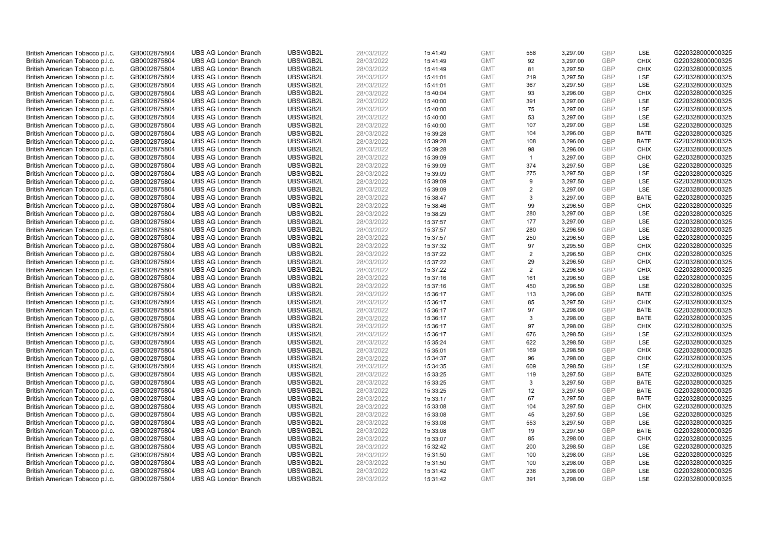| British American Tobacco p.l.c. | GB0002875804                 | <b>UBS AG London Branch</b> | UBSWGB2L | 28/03/2022 | 15:41:49 | <b>GMT</b> | 558            | 3,297.00             | <b>GBP</b> | LSE         | G220328000000325 |
|---------------------------------|------------------------------|-----------------------------|----------|------------|----------|------------|----------------|----------------------|------------|-------------|------------------|
| British American Tobacco p.l.c. | GB0002875804                 | <b>UBS AG London Branch</b> | UBSWGB2L | 28/03/2022 | 15:41:49 | <b>GMT</b> | 92             | 3,297.00             | GBP        | <b>CHIX</b> | G220328000000325 |
| British American Tobacco p.l.c. | GB0002875804                 | <b>UBS AG London Branch</b> | UBSWGB2L | 28/03/2022 | 15:41:49 | <b>GMT</b> | 81             | 3,297.50             | <b>GBP</b> | <b>CHIX</b> | G220328000000325 |
| British American Tobacco p.l.c. | GB0002875804                 | <b>UBS AG London Branch</b> | UBSWGB2L | 28/03/2022 | 15:41:01 | <b>GMT</b> | 219            | 3,297.50             | GBP        | <b>LSE</b>  | G220328000000325 |
| British American Tobacco p.l.c. | GB0002875804                 | <b>UBS AG London Branch</b> | UBSWGB2L | 28/03/2022 | 15:41:01 | <b>GMT</b> | 367            | 3,297.50             | <b>GBP</b> | LSE         | G220328000000325 |
| British American Tobacco p.l.c. | GB0002875804                 | <b>UBS AG London Branch</b> | UBSWGB2L | 28/03/2022 | 15:40:04 | <b>GMT</b> | 93             | 3,296.00             | <b>GBP</b> | <b>CHIX</b> | G220328000000325 |
| British American Tobacco p.l.c. | GB0002875804                 | <b>UBS AG London Branch</b> | UBSWGB2L | 28/03/2022 | 15:40:00 | <b>GMT</b> | 391            | 3,297.00             | <b>GBP</b> | LSE         | G220328000000325 |
| British American Tobacco p.l.c. | GB0002875804                 | <b>UBS AG London Branch</b> | UBSWGB2L | 28/03/2022 | 15:40:00 | <b>GMT</b> | 75             | 3,297.00             | GBP        | LSE         | G220328000000325 |
| British American Tobacco p.l.c. | GB0002875804                 | <b>UBS AG London Branch</b> | UBSWGB2L | 28/03/2022 | 15:40:00 | <b>GMT</b> | 53             | 3,297.00             | <b>GBP</b> | LSE         | G220328000000325 |
| British American Tobacco p.l.c. | GB0002875804                 | <b>UBS AG London Branch</b> | UBSWGB2L | 28/03/2022 | 15:40:00 | <b>GMT</b> | 107            | 3,297.00             | <b>GBP</b> | <b>LSE</b>  | G220328000000325 |
| British American Tobacco p.l.c. | GB0002875804                 | <b>UBS AG London Branch</b> | UBSWGB2L | 28/03/2022 | 15:39:28 | <b>GMT</b> | 104            | 3,296.00             | <b>GBP</b> | <b>BATE</b> | G220328000000325 |
| British American Tobacco p.l.c. | GB0002875804                 | <b>UBS AG London Branch</b> | UBSWGB2L | 28/03/2022 | 15:39:28 | <b>GMT</b> | 108            | 3,296.00             | <b>GBP</b> | <b>BATE</b> | G220328000000325 |
| British American Tobacco p.l.c. | GB0002875804                 | <b>UBS AG London Branch</b> | UBSWGB2L | 28/03/2022 | 15:39:28 | <b>GMT</b> | 98             | 3,296.00             | <b>GBP</b> | <b>CHIX</b> | G220328000000325 |
| British American Tobacco p.l.c. | GB0002875804                 | <b>UBS AG London Branch</b> | UBSWGB2L | 28/03/2022 | 15:39:09 | <b>GMT</b> | $\overline{1}$ | 3,297.00             | <b>GBP</b> | <b>CHIX</b> | G220328000000325 |
| British American Tobacco p.l.c. | GB0002875804                 | <b>UBS AG London Branch</b> | UBSWGB2L | 28/03/2022 | 15:39:09 | <b>GMT</b> | 374            | 3,297.50             | GBP        | <b>LSE</b>  | G220328000000325 |
| British American Tobacco p.l.c. | GB0002875804                 | <b>UBS AG London Branch</b> | UBSWGB2L | 28/03/2022 | 15:39:09 | <b>GMT</b> | 275            | 3,297.50             | <b>GBP</b> | LSE         | G220328000000325 |
| British American Tobacco p.l.c. | GB0002875804                 | <b>UBS AG London Branch</b> | UBSWGB2L | 28/03/2022 | 15:39:09 | <b>GMT</b> | 9              | 3,297.50             | <b>GBP</b> | LSE         | G220328000000325 |
| British American Tobacco p.l.c. | GB0002875804                 | <b>UBS AG London Branch</b> | UBSWGB2L | 28/03/2022 | 15:39:09 | <b>GMT</b> | 2              | 3,297.00             | <b>GBP</b> | LSE         | G220328000000325 |
| British American Tobacco p.l.c. | GB0002875804                 | <b>UBS AG London Branch</b> | UBSWGB2L | 28/03/2022 | 15:38:47 | <b>GMT</b> | 3              | 3,297.00             | <b>GBP</b> | <b>BATE</b> | G220328000000325 |
| British American Tobacco p.l.c. | GB0002875804                 | <b>UBS AG London Branch</b> | UBSWGB2L | 28/03/2022 | 15:38:46 | <b>GMT</b> | 99             | 3,296.50             | <b>GBP</b> | <b>CHIX</b> | G220328000000325 |
| British American Tobacco p.l.c. | GB0002875804                 | <b>UBS AG London Branch</b> | UBSWGB2L | 28/03/2022 | 15:38:29 | <b>GMT</b> | 280            | 3,297.00             | GBP        | <b>LSE</b>  | G220328000000325 |
| British American Tobacco p.l.c. | GB0002875804                 | <b>UBS AG London Branch</b> | UBSWGB2L | 28/03/2022 | 15:37:57 | <b>GMT</b> | 177            | 3,297.00             | <b>GBP</b> | LSE         | G220328000000325 |
| British American Tobacco p.l.c. | GB0002875804                 | <b>UBS AG London Branch</b> | UBSWGB2L | 28/03/2022 | 15:37:57 | <b>GMT</b> | 280            | 3,296.50             | GBP        | LSE         | G220328000000325 |
| British American Tobacco p.l.c. | GB0002875804                 | <b>UBS AG London Branch</b> | UBSWGB2L | 28/03/2022 | 15:37:57 | <b>GMT</b> | 250            | 3,296.50             | <b>GBP</b> | LSE         | G220328000000325 |
| British American Tobacco p.l.c. | GB0002875804                 | <b>UBS AG London Branch</b> | UBSWGB2L | 28/03/2022 | 15:37:32 | <b>GMT</b> | 97             | 3,295.50             | <b>GBP</b> | <b>CHIX</b> | G220328000000325 |
| British American Tobacco p.l.c. | GB0002875804                 | <b>UBS AG London Branch</b> | UBSWGB2L | 28/03/2022 | 15:37:22 | <b>GMT</b> | 2              | 3,296.50             | <b>GBP</b> | <b>CHIX</b> | G220328000000325 |
| British American Tobacco p.l.c. | GB0002875804                 | <b>UBS AG London Branch</b> | UBSWGB2L | 28/03/2022 | 15:37:22 | <b>GMT</b> | 29             | 3,296.50             | <b>GBP</b> | <b>CHIX</b> | G220328000000325 |
| British American Tobacco p.l.c. | GB0002875804                 | <b>UBS AG London Branch</b> | UBSWGB2L | 28/03/2022 | 15:37:22 | <b>GMT</b> | 2              | 3,296.50             | GBP        | <b>CHIX</b> | G220328000000325 |
| British American Tobacco p.l.c. | GB0002875804                 | <b>UBS AG London Branch</b> | UBSWGB2L | 28/03/2022 | 15:37:16 | <b>GMT</b> | 161            | 3,296.50             | <b>GBP</b> | <b>LSE</b>  | G220328000000325 |
| British American Tobacco p.l.c. | GB0002875804                 | <b>UBS AG London Branch</b> | UBSWGB2L | 28/03/2022 | 15:37:16 | <b>GMT</b> | 450            | 3,296.50             | <b>GBP</b> | LSE         | G220328000000325 |
| British American Tobacco p.l.c. | GB0002875804                 | <b>UBS AG London Branch</b> | UBSWGB2L | 28/03/2022 | 15:36:17 | <b>GMT</b> | 113            | 3,296.00             | GBP        | <b>BATE</b> | G220328000000325 |
| British American Tobacco p.l.c. | GB0002875804                 | <b>UBS AG London Branch</b> | UBSWGB2L | 28/03/2022 | 15:36:17 | <b>GMT</b> | 85             | 3,297.50             | <b>GBP</b> | <b>CHIX</b> | G220328000000325 |
| British American Tobacco p.l.c. | GB0002875804                 | <b>UBS AG London Branch</b> | UBSWGB2L | 28/03/2022 | 15:36:17 | <b>GMT</b> | 97             | 3,298.00             | <b>GBP</b> | <b>BATE</b> | G220328000000325 |
| British American Tobacco p.l.c. | GB0002875804                 | <b>UBS AG London Branch</b> | UBSWGB2L | 28/03/2022 | 15:36:17 | <b>GMT</b> | 3              | 3,298.00             | GBP        | <b>BATE</b> | G220328000000325 |
| British American Tobacco p.l.c. | GB0002875804                 | <b>UBS AG London Branch</b> | UBSWGB2L | 28/03/2022 | 15:36:17 | <b>GMT</b> | 97             | 3,298.00             | <b>GBP</b> | <b>CHIX</b> | G220328000000325 |
| British American Tobacco p.l.c. | GB0002875804                 | <b>UBS AG London Branch</b> | UBSWGB2L | 28/03/2022 | 15:36:17 | <b>GMT</b> | 676            | 3,298.50             | GBP        | LSE         | G220328000000325 |
| British American Tobacco p.l.c. | GB0002875804                 | <b>UBS AG London Branch</b> | UBSWGB2L | 28/03/2022 | 15:35:24 | <b>GMT</b> | 622            | 3,298.50             | <b>GBP</b> | <b>LSE</b>  | G220328000000325 |
| British American Tobacco p.l.c. | GB0002875804                 | <b>UBS AG London Branch</b> | UBSWGB2L | 28/03/2022 | 15:35:01 | <b>GMT</b> | 169            | 3,298.50             | <b>GBP</b> | <b>CHIX</b> | G220328000000325 |
| British American Tobacco p.l.c. | GB0002875804                 | <b>UBS AG London Branch</b> | UBSWGB2L | 28/03/2022 | 15:34:37 | <b>GMT</b> | 96             | 3,298.00             | <b>GBP</b> | <b>CHIX</b> | G220328000000325 |
| British American Tobacco p.l.c. | GB0002875804                 | <b>UBS AG London Branch</b> | UBSWGB2L | 28/03/2022 | 15:34:35 | <b>GMT</b> | 609            | 3,298.50             | <b>GBP</b> | LSE         | G220328000000325 |
| British American Tobacco p.l.c. | GB0002875804                 | <b>UBS AG London Branch</b> | UBSWGB2L | 28/03/2022 | 15:33:25 | <b>GMT</b> | 119            | 3,297.50             | <b>GBP</b> | <b>BATE</b> | G220328000000325 |
| British American Tobacco p.l.c. | GB0002875804                 | <b>UBS AG London Branch</b> | UBSWGB2L | 28/03/2022 | 15:33:25 | <b>GMT</b> | 3              | 3,297.50             | <b>GBP</b> | <b>BATE</b> | G220328000000325 |
| British American Tobacco p.l.c. | GB0002875804                 | <b>UBS AG London Branch</b> | UBSWGB2L | 28/03/2022 | 15:33:25 | <b>GMT</b> | 12             | 3,297.50             | GBP        | <b>BATE</b> | G220328000000325 |
| British American Tobacco p.l.c. |                              | <b>UBS AG London Branch</b> | UBSWGB2L | 28/03/2022 | 15:33:17 | <b>GMT</b> | 67             | 3,297.50             | GBP        | <b>BATE</b> | G220328000000325 |
| British American Tobacco p.l.c. | GB0002875804<br>GB0002875804 | <b>UBS AG London Branch</b> | UBSWGB2L | 28/03/2022 | 15:33:08 | <b>GMT</b> | 104            | 3,297.50             | <b>GBP</b> | <b>CHIX</b> | G220328000000325 |
|                                 |                              | <b>UBS AG London Branch</b> | UBSWGB2L | 28/03/2022 |          | <b>GMT</b> |                |                      | <b>GBP</b> | LSE         | G220328000000325 |
| British American Tobacco p.l.c. | GB0002875804                 |                             |          |            | 15:33:08 | <b>GMT</b> | 45<br>553      | 3,297.50<br>3,297.50 | <b>GBP</b> | LSE         |                  |
| British American Tobacco p.l.c. | GB0002875804                 | <b>UBS AG London Branch</b> | UBSWGB2L | 28/03/2022 | 15:33:08 |            |                |                      |            |             | G220328000000325 |
| British American Tobacco p.l.c. | GB0002875804                 | <b>UBS AG London Branch</b> | UBSWGB2L | 28/03/2022 | 15:33:08 | <b>GMT</b> | 19             | 3,297.50             | <b>GBP</b> | <b>BATE</b> | G220328000000325 |
| British American Tobacco p.l.c. | GB0002875804                 | <b>UBS AG London Branch</b> | UBSWGB2L | 28/03/2022 | 15:33:07 | <b>GMT</b> | 85             | 3,298.00             | <b>GBP</b> | <b>CHIX</b> | G220328000000325 |
| British American Tobacco p.l.c. | GB0002875804                 | <b>UBS AG London Branch</b> | UBSWGB2L | 28/03/2022 | 15:32:42 | <b>GMT</b> | 200            | 3,298.50             | GBP        | <b>LSE</b>  | G220328000000325 |
| British American Tobacco p.l.c. | GB0002875804                 | <b>UBS AG London Branch</b> | UBSWGB2L | 28/03/2022 | 15:31:50 | <b>GMT</b> | 100            | 3,298.00             | <b>GBP</b> | LSE         | G220328000000325 |
| British American Tobacco p.l.c. | GB0002875804                 | <b>UBS AG London Branch</b> | UBSWGB2L | 28/03/2022 | 15:31:50 | <b>GMT</b> | 100            | 3,298.00             | <b>GBP</b> | LSE         | G220328000000325 |
| British American Tobacco p.l.c. | GB0002875804                 | <b>UBS AG London Branch</b> | UBSWGB2L | 28/03/2022 | 15:31:42 | <b>GMT</b> | 236            | 3,298.00             | GBP        | LSE         | G220328000000325 |
| British American Tobacco p.l.c. | GB0002875804                 | <b>UBS AG London Branch</b> | UBSWGB2L | 28/03/2022 | 15:31:42 | <b>GMT</b> | 391            | 3.298.00             | GBP        | <b>LSE</b>  | G220328000000325 |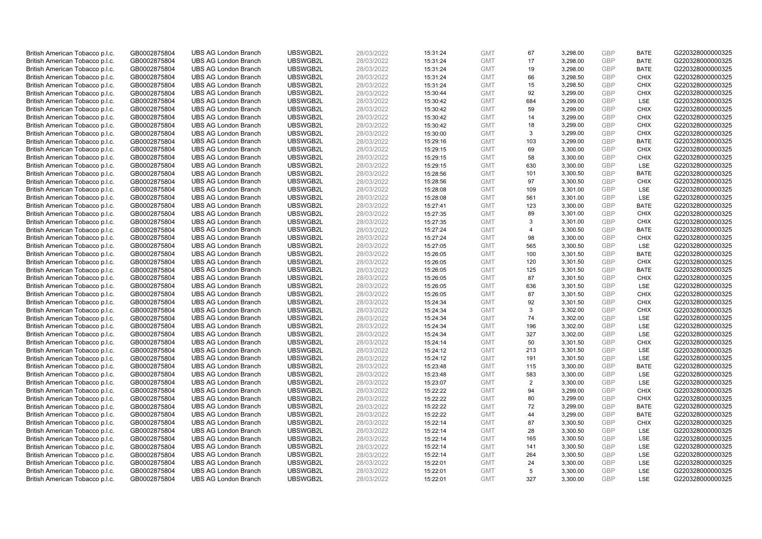| British American Tobacco p.l.c. | GB0002875804 | <b>UBS AG London Branch</b> | UBSWGB2L | 28/03/2022 | 15:31:24 | <b>GMT</b> | 67             | 3,298.00 | <b>GBP</b> | <b>BATE</b> | G220328000000325 |
|---------------------------------|--------------|-----------------------------|----------|------------|----------|------------|----------------|----------|------------|-------------|------------------|
| British American Tobacco p.l.c. | GB0002875804 | <b>UBS AG London Branch</b> | UBSWGB2L | 28/03/2022 | 15:31:24 | <b>GMT</b> | 17             | 3,298.00 | GBP        | <b>BATE</b> | G220328000000325 |
| British American Tobacco p.l.c. | GB0002875804 | <b>UBS AG London Branch</b> | UBSWGB2L | 28/03/2022 | 15:31:24 | <b>GMT</b> | 19             | 3,298.00 | GBP        | <b>BATE</b> | G220328000000325 |
| British American Tobacco p.l.c. | GB0002875804 | <b>UBS AG London Branch</b> | UBSWGB2L | 28/03/2022 | 15:31:24 | <b>GMT</b> | 66             | 3,298.50 | GBP        | <b>CHIX</b> | G220328000000325 |
| British American Tobacco p.l.c. | GB0002875804 | <b>UBS AG London Branch</b> | UBSWGB2L | 28/03/2022 | 15:31:24 | <b>GMT</b> | 15             | 3,298.50 | <b>GBP</b> | <b>CHIX</b> | G220328000000325 |
| British American Tobacco p.l.c. | GB0002875804 | <b>UBS AG London Branch</b> | UBSWGB2L | 28/03/2022 | 15:30:44 | <b>GMT</b> | 92             | 3,299.00 | <b>GBP</b> | <b>CHIX</b> | G220328000000325 |
| British American Tobacco p.l.c. | GB0002875804 | <b>UBS AG London Branch</b> | UBSWGB2L | 28/03/2022 | 15:30:42 | <b>GMT</b> | 684            | 3,299.00 | GBP        | LSE         | G220328000000325 |
| British American Tobacco p.l.c. | GB0002875804 | <b>UBS AG London Branch</b> | UBSWGB2L | 28/03/2022 | 15:30:42 | <b>GMT</b> | 59             | 3,299.00 | GBP        | <b>CHIX</b> | G220328000000325 |
| British American Tobacco p.l.c. | GB0002875804 | <b>UBS AG London Branch</b> | UBSWGB2L | 28/03/2022 | 15:30:42 | <b>GMT</b> | 14             | 3,299.00 | GBP        | <b>CHIX</b> | G220328000000325 |
| British American Tobacco p.l.c. | GB0002875804 | <b>UBS AG London Branch</b> | UBSWGB2L | 28/03/2022 | 15:30:42 | <b>GMT</b> | 18             | 3,299.00 | <b>GBP</b> | <b>CHIX</b> | G220328000000325 |
| British American Tobacco p.l.c. | GB0002875804 | <b>UBS AG London Branch</b> | UBSWGB2L | 28/03/2022 | 15:30:00 | <b>GMT</b> | 3              | 3,299.00 | <b>GBP</b> | <b>CHIX</b> | G220328000000325 |
| British American Tobacco p.l.c. | GB0002875804 | <b>UBS AG London Branch</b> | UBSWGB2L | 28/03/2022 | 15:29:16 | <b>GMT</b> | 103            | 3,299.00 | <b>GBP</b> | <b>BATE</b> | G220328000000325 |
| British American Tobacco p.l.c. | GB0002875804 | <b>UBS AG London Branch</b> | UBSWGB2L | 28/03/2022 | 15:29:15 | <b>GMT</b> | 69             | 3,300.00 | <b>GBP</b> | <b>CHIX</b> | G220328000000325 |
| British American Tobacco p.l.c. | GB0002875804 | <b>UBS AG London Branch</b> | UBSWGB2L | 28/03/2022 | 15:29:15 | <b>GMT</b> | 58             | 3,300.00 | <b>GBP</b> | <b>CHIX</b> | G220328000000325 |
| British American Tobacco p.l.c. | GB0002875804 | <b>UBS AG London Branch</b> | UBSWGB2L | 28/03/2022 | 15:29:15 | <b>GMT</b> | 630            | 3,300.00 | <b>GBP</b> | <b>LSE</b>  | G220328000000325 |
| British American Tobacco p.l.c. | GB0002875804 | <b>UBS AG London Branch</b> | UBSWGB2L | 28/03/2022 | 15:28:56 | <b>GMT</b> | 101            | 3,300.50 | <b>GBP</b> | <b>BATE</b> | G220328000000325 |
| British American Tobacco p.l.c. | GB0002875804 | <b>UBS AG London Branch</b> | UBSWGB2L | 28/03/2022 | 15:28:56 | <b>GMT</b> | 97             | 3,300.50 | <b>GBP</b> | <b>CHIX</b> | G220328000000325 |
| British American Tobacco p.l.c. | GB0002875804 | <b>UBS AG London Branch</b> | UBSWGB2L | 28/03/2022 | 15:28:08 | <b>GMT</b> | 109            | 3,301.00 | <b>GBP</b> | LSE         | G220328000000325 |
| British American Tobacco p.l.c. | GB0002875804 | <b>UBS AG London Branch</b> | UBSWGB2L | 28/03/2022 | 15:28:08 | <b>GMT</b> | 561            | 3,301.00 | GBP        | <b>LSE</b>  | G220328000000325 |
| British American Tobacco p.l.c. | GB0002875804 | <b>UBS AG London Branch</b> | UBSWGB2L | 28/03/2022 | 15:27:41 | <b>GMT</b> | 123            | 3,300.00 | <b>GBP</b> | <b>BATE</b> | G220328000000325 |
| British American Tobacco p.l.c. | GB0002875804 | <b>UBS AG London Branch</b> | UBSWGB2L | 28/03/2022 | 15:27:35 | <b>GMT</b> | 89             | 3,301.00 | GBP        | <b>CHIX</b> | G220328000000325 |
| British American Tobacco p.l.c. | GB0002875804 | <b>UBS AG London Branch</b> | UBSWGB2L | 28/03/2022 | 15:27:35 | <b>GMT</b> | 3              | 3,301.00 | <b>GBP</b> | <b>CHIX</b> | G220328000000325 |
| British American Tobacco p.l.c. | GB0002875804 | <b>UBS AG London Branch</b> | UBSWGB2L | 28/03/2022 | 15:27:24 | <b>GMT</b> | $\overline{4}$ | 3,300.50 | GBP        | <b>BATE</b> | G220328000000325 |
| British American Tobacco p.l.c. | GB0002875804 | <b>UBS AG London Branch</b> | UBSWGB2L | 28/03/2022 | 15:27:24 | <b>GMT</b> | 98             | 3,300.00 | <b>GBP</b> | <b>CHIX</b> | G220328000000325 |
| British American Tobacco p.l.c. | GB0002875804 | <b>UBS AG London Branch</b> | UBSWGB2L | 28/03/2022 | 15:27:05 | <b>GMT</b> | 565            | 3,300.50 | <b>GBP</b> | LSE         | G220328000000325 |
| British American Tobacco p.l.c. | GB0002875804 | <b>UBS AG London Branch</b> | UBSWGB2L | 28/03/2022 | 15:26:05 | <b>GMT</b> | 100            | 3,301.50 | <b>GBP</b> | <b>BATE</b> | G220328000000325 |
| British American Tobacco p.l.c. | GB0002875804 | <b>UBS AG London Branch</b> | UBSWGB2L | 28/03/2022 | 15:26:05 | <b>GMT</b> | 120            | 3,301.50 | <b>GBP</b> | <b>CHIX</b> | G220328000000325 |
| British American Tobacco p.l.c. | GB0002875804 | <b>UBS AG London Branch</b> | UBSWGB2L | 28/03/2022 | 15:26:05 | <b>GMT</b> | 125            | 3,301.50 | <b>GBP</b> | <b>BATE</b> | G220328000000325 |
| British American Tobacco p.l.c. | GB0002875804 | <b>UBS AG London Branch</b> | UBSWGB2L | 28/03/2022 | 15:26:05 | <b>GMT</b> | 87             | 3,301.50 | <b>GBP</b> | <b>CHIX</b> | G220328000000325 |
| British American Tobacco p.l.c. | GB0002875804 | <b>UBS AG London Branch</b> | UBSWGB2L | 28/03/2022 | 15:26:05 | <b>GMT</b> | 636            | 3,301.50 | <b>GBP</b> | LSE         | G220328000000325 |
| British American Tobacco p.l.c. | GB0002875804 | <b>UBS AG London Branch</b> | UBSWGB2L | 28/03/2022 | 15:26:05 | <b>GMT</b> | 87             | 3,301.50 | GBP        | <b>CHIX</b> | G220328000000325 |
| British American Tobacco p.l.c. | GB0002875804 | <b>UBS AG London Branch</b> | UBSWGB2L | 28/03/2022 | 15:24:34 | <b>GMT</b> | 92             | 3,301.50 | <b>GBP</b> | <b>CHIX</b> | G220328000000325 |
| British American Tobacco p.l.c. | GB0002875804 | <b>UBS AG London Branch</b> | UBSWGB2L | 28/03/2022 | 15:24:34 | <b>GMT</b> | 3              | 3,302.00 | <b>GBP</b> | <b>CHIX</b> | G220328000000325 |
| British American Tobacco p.l.c. | GB0002875804 | <b>UBS AG London Branch</b> | UBSWGB2L | 28/03/2022 | 15:24:34 | <b>GMT</b> | 74             | 3,302.00 | GBP        | LSE         | G220328000000325 |
| British American Tobacco p.l.c. | GB0002875804 | <b>UBS AG London Branch</b> | UBSWGB2L | 28/03/2022 | 15:24:34 | <b>GMT</b> | 196            | 3,302.00 | <b>GBP</b> | LSE         | G220328000000325 |
| British American Tobacco p.l.c. | GB0002875804 | <b>UBS AG London Branch</b> | UBSWGB2L | 28/03/2022 | 15:24:34 | <b>GMT</b> | 327            | 3,302.00 | GBP        | LSE         | G220328000000325 |
| British American Tobacco p.l.c. | GB0002875804 | <b>UBS AG London Branch</b> | UBSWGB2L | 28/03/2022 | 15:24:14 | <b>GMT</b> | 50             | 3,301.50 | <b>GBP</b> | <b>CHIX</b> | G220328000000325 |
| British American Tobacco p.l.c. | GB0002875804 | <b>UBS AG London Branch</b> | UBSWGB2L | 28/03/2022 | 15:24:12 | <b>GMT</b> | 213            | 3,301.50 | <b>GBP</b> | LSE         | G220328000000325 |
| British American Tobacco p.l.c. | GB0002875804 | <b>UBS AG London Branch</b> | UBSWGB2L | 28/03/2022 | 15:24:12 | <b>GMT</b> | 191            | 3,301.50 | <b>GBP</b> | LSE         | G220328000000325 |
| British American Tobacco p.l.c. | GB0002875804 | <b>UBS AG London Branch</b> | UBSWGB2L | 28/03/2022 | 15:23:48 | <b>GMT</b> | 115            | 3,300.00 | <b>GBP</b> | <b>BATE</b> | G220328000000325 |
| British American Tobacco p.l.c. | GB0002875804 | <b>UBS AG London Branch</b> | UBSWGB2L | 28/03/2022 | 15:23:48 | <b>GMT</b> | 583            | 3,300.00 | <b>GBP</b> | <b>LSE</b>  | G220328000000325 |
| British American Tobacco p.l.c. | GB0002875804 | <b>UBS AG London Branch</b> | UBSWGB2L | 28/03/2022 | 15:23:07 | <b>GMT</b> | 2              | 3,300.00 | <b>GBP</b> | LSE         | G220328000000325 |
| British American Tobacco p.l.c. | GB0002875804 | <b>UBS AG London Branch</b> | UBSWGB2L | 28/03/2022 | 15:22:22 | <b>GMT</b> | 94             | 3,299.00 | <b>GBP</b> | <b>CHIX</b> | G220328000000325 |
| British American Tobacco p.l.c. | GB0002875804 | <b>UBS AG London Branch</b> | UBSWGB2L | 28/03/2022 | 15:22:22 | <b>GMT</b> | 80             | 3,299.00 | GBP        | <b>CHIX</b> | G220328000000325 |
| British American Tobacco p.l.c. | GB0002875804 | <b>UBS AG London Branch</b> | UBSWGB2L | 28/03/2022 | 15:22:22 | <b>GMT</b> | 72             | 3,299.00 | <b>GBP</b> | <b>BATE</b> | G220328000000325 |
| British American Tobacco p.l.c. | GB0002875804 | <b>UBS AG London Branch</b> | UBSWGB2L | 28/03/2022 | 15:22:22 | <b>GMT</b> | 44             | 3,299.00 | <b>GBP</b> | <b>BATE</b> | G220328000000325 |
| British American Tobacco p.l.c. | GB0002875804 | <b>UBS AG London Branch</b> | UBSWGB2L | 28/03/2022 | 15:22:14 | <b>GMT</b> | 87             | 3,300.50 | <b>GBP</b> | <b>CHIX</b> | G220328000000325 |
| British American Tobacco p.l.c. | GB0002875804 | <b>UBS AG London Branch</b> | UBSWGB2L | 28/03/2022 | 15:22:14 | <b>GMT</b> | 28             | 3,300.50 | <b>GBP</b> | LSE         | G220328000000325 |
| British American Tobacco p.l.c. | GB0002875804 | <b>UBS AG London Branch</b> | UBSWGB2L | 28/03/2022 | 15:22:14 | <b>GMT</b> | 165            | 3,300.50 | <b>GBP</b> | LSE         | G220328000000325 |
| British American Tobacco p.l.c. | GB0002875804 | <b>UBS AG London Branch</b> | UBSWGB2L | 28/03/2022 | 15:22:14 | <b>GMT</b> | 141            | 3,300.50 | <b>GBP</b> | LSE         | G220328000000325 |
| British American Tobacco p.l.c. | GB0002875804 | <b>UBS AG London Branch</b> | UBSWGB2L | 28/03/2022 | 15:22:14 | <b>GMT</b> | 264            | 3,300.50 | <b>GBP</b> | LSE         | G220328000000325 |
| British American Tobacco p.l.c. | GB0002875804 | <b>UBS AG London Branch</b> | UBSWGB2L | 28/03/2022 | 15:22:01 | <b>GMT</b> | 24             | 3,300.00 | <b>GBP</b> | LSE         | G220328000000325 |
| British American Tobacco p.l.c. | GB0002875804 | <b>UBS AG London Branch</b> | UBSWGB2L | 28/03/2022 | 15:22:01 | <b>GMT</b> | 5              | 3,300.00 | GBP        | LSE         | G220328000000325 |
| British American Tobacco p.l.c. | GB0002875804 | <b>UBS AG London Branch</b> | UBSWGB2L | 28/03/2022 | 15:22:01 | <b>GMT</b> | 327            | 3.300.00 | GBP        | <b>LSE</b>  | G220328000000325 |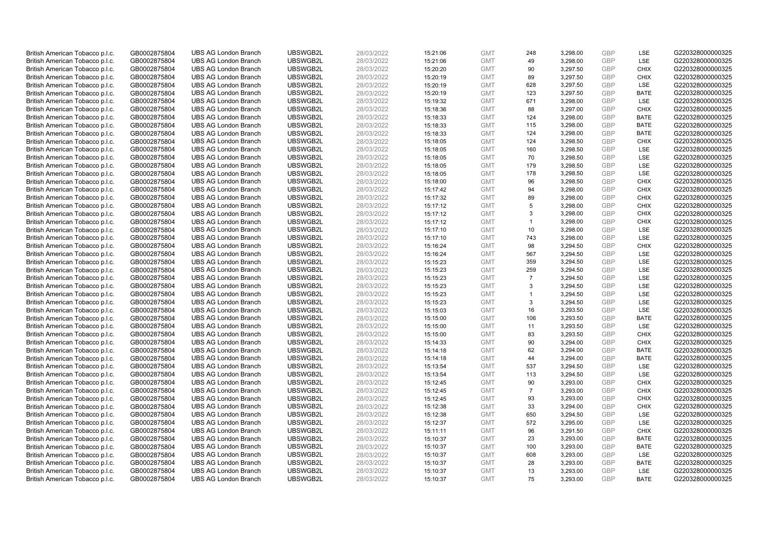| British American Tobacco p.l.c. | GB0002875804 | <b>UBS AG London Branch</b> | UBSWGB2L | 28/03/2022 | 15:21:06 | <b>GMT</b> | 248            | 3,298.00 | <b>GBP</b> | LSE         | G220328000000325 |
|---------------------------------|--------------|-----------------------------|----------|------------|----------|------------|----------------|----------|------------|-------------|------------------|
| British American Tobacco p.l.c. | GB0002875804 | <b>UBS AG London Branch</b> | UBSWGB2L | 28/03/2022 | 15:21:06 | <b>GMT</b> | 49             | 3,298.00 | <b>GBP</b> | LSE         | G220328000000325 |
| British American Tobacco p.l.c. | GB0002875804 | <b>UBS AG London Branch</b> | UBSWGB2L | 28/03/2022 | 15:20:20 | <b>GMT</b> | 90             | 3,297.50 | <b>GBP</b> | <b>CHIX</b> | G220328000000325 |
| British American Tobacco p.l.c. | GB0002875804 | <b>UBS AG London Branch</b> | UBSWGB2L | 28/03/2022 | 15:20:19 | <b>GMT</b> | 89             | 3,297.50 | GBP        | <b>CHIX</b> | G220328000000325 |
| British American Tobacco p.l.c. | GB0002875804 | <b>UBS AG London Branch</b> | UBSWGB2L | 28/03/2022 | 15:20:19 | <b>GMT</b> | 628            | 3,297.50 | <b>GBP</b> | LSE         | G220328000000325 |
| British American Tobacco p.l.c. | GB0002875804 | <b>UBS AG London Branch</b> | UBSWGB2L | 28/03/2022 | 15:20:19 | <b>GMT</b> | 123            | 3,297.50 | <b>GBP</b> | <b>BATE</b> | G220328000000325 |
| British American Tobacco p.l.c. | GB0002875804 | <b>UBS AG London Branch</b> | UBSWGB2L | 28/03/2022 | 15:19:32 | <b>GMT</b> | 671            | 3,298.00 | <b>GBP</b> | LSE         | G220328000000325 |
| British American Tobacco p.l.c. | GB0002875804 | <b>UBS AG London Branch</b> | UBSWGB2L | 28/03/2022 | 15:18:36 | <b>GMT</b> | 88             | 3,297.00 | <b>GBP</b> | <b>CHIX</b> | G220328000000325 |
| British American Tobacco p.l.c. | GB0002875804 | <b>UBS AG London Branch</b> | UBSWGB2L | 28/03/2022 | 15:18:33 | <b>GMT</b> | 124            | 3,298.00 | <b>GBP</b> | <b>BATE</b> | G220328000000325 |
| British American Tobacco p.l.c. | GB0002875804 | <b>UBS AG London Branch</b> | UBSWGB2L | 28/03/2022 | 15:18:33 | <b>GMT</b> | 115            | 3,298.00 | <b>GBP</b> | <b>BATE</b> | G220328000000325 |
| British American Tobacco p.l.c. | GB0002875804 | <b>UBS AG London Branch</b> | UBSWGB2L | 28/03/2022 | 15:18:33 | <b>GMT</b> | 124            | 3,298.00 | <b>GBP</b> | <b>BATE</b> | G220328000000325 |
| British American Tobacco p.l.c. | GB0002875804 | <b>UBS AG London Branch</b> | UBSWGB2L | 28/03/2022 | 15:18:05 | <b>GMT</b> | 124            | 3,298.50 | <b>GBP</b> | <b>CHIX</b> | G220328000000325 |
| British American Tobacco p.l.c. | GB0002875804 | <b>UBS AG London Branch</b> | UBSWGB2L | 28/03/2022 | 15:18:05 | <b>GMT</b> | 160            | 3,298.50 | <b>GBP</b> | LSE         | G220328000000325 |
| British American Tobacco p.l.c. | GB0002875804 | <b>UBS AG London Branch</b> | UBSWGB2L | 28/03/2022 | 15:18:05 | <b>GMT</b> | 70             | 3,298.50 | <b>GBP</b> | <b>LSE</b>  | G220328000000325 |
| British American Tobacco p.l.c. | GB0002875804 | <b>UBS AG London Branch</b> | UBSWGB2L | 28/03/2022 | 15:18:05 | <b>GMT</b> | 179            | 3,298.50 | GBP        | <b>LSE</b>  | G220328000000325 |
| British American Tobacco p.l.c. | GB0002875804 | <b>UBS AG London Branch</b> | UBSWGB2L | 28/03/2022 | 15:18:05 | <b>GMT</b> | 178            | 3,298.50 | <b>GBP</b> | LSE         | G220328000000325 |
| British American Tobacco p.l.c. | GB0002875804 | <b>UBS AG London Branch</b> | UBSWGB2L | 28/03/2022 | 15:18:00 | <b>GMT</b> | 96             | 3,298.50 | <b>GBP</b> | <b>CHIX</b> | G220328000000325 |
| British American Tobacco p.l.c. | GB0002875804 | <b>UBS AG London Branch</b> | UBSWGB2L | 28/03/2022 | 15:17:42 | <b>GMT</b> | 94             | 3,298.00 | GBP        | <b>CHIX</b> | G220328000000325 |
| British American Tobacco p.l.c. | GB0002875804 | <b>UBS AG London Branch</b> | UBSWGB2L | 28/03/2022 | 15:17:32 | <b>GMT</b> | 89             | 3,298.00 | GBP        | <b>CHIX</b> | G220328000000325 |
| British American Tobacco p.l.c. | GB0002875804 | <b>UBS AG London Branch</b> | UBSWGB2L | 28/03/2022 | 15:17:12 | <b>GMT</b> | 5              | 3,298.00 | <b>GBP</b> | <b>CHIX</b> | G220328000000325 |
| British American Tobacco p.l.c. | GB0002875804 | <b>UBS AG London Branch</b> | UBSWGB2L | 28/03/2022 | 15:17:12 | <b>GMT</b> | 3              | 3,298.00 | GBP        | <b>CHIX</b> | G220328000000325 |
| British American Tobacco p.l.c. | GB0002875804 | <b>UBS AG London Branch</b> | UBSWGB2L | 28/03/2022 | 15:17:12 | <b>GMT</b> |                | 3,298.00 | <b>GBP</b> | <b>CHIX</b> | G220328000000325 |
| British American Tobacco p.l.c. | GB0002875804 | <b>UBS AG London Branch</b> | UBSWGB2L | 28/03/2022 | 15:17:10 | <b>GMT</b> | 10             | 3,298.00 | GBP        | LSE         | G220328000000325 |
| British American Tobacco p.l.c. | GB0002875804 | <b>UBS AG London Branch</b> | UBSWGB2L | 28/03/2022 | 15:17:10 | <b>GMT</b> | 743            | 3,298.00 | GBP        | <b>LSE</b>  | G220328000000325 |
| British American Tobacco p.l.c. | GB0002875804 | <b>UBS AG London Branch</b> | UBSWGB2L | 28/03/2022 | 15:16:24 | <b>GMT</b> | 98             | 3,294.50 | <b>GBP</b> | <b>CHIX</b> | G220328000000325 |
| British American Tobacco p.l.c. | GB0002875804 | <b>UBS AG London Branch</b> | UBSWGB2L | 28/03/2022 | 15:16:24 | <b>GMT</b> | 567            | 3,294.50 | <b>GBP</b> | <b>LSE</b>  | G220328000000325 |
| British American Tobacco p.l.c. | GB0002875804 | <b>UBS AG London Branch</b> | UBSWGB2L | 28/03/2022 | 15:15:23 | <b>GMT</b> | 359            | 3,294.50 | <b>GBP</b> | <b>LSE</b>  | G220328000000325 |
| British American Tobacco p.l.c. | GB0002875804 | <b>UBS AG London Branch</b> | UBSWGB2L | 28/03/2022 | 15:15:23 | <b>GMT</b> | 259            | 3,294.50 | GBP        | <b>LSE</b>  | G220328000000325 |
| British American Tobacco p.l.c. | GB0002875804 | <b>UBS AG London Branch</b> | UBSWGB2L | 28/03/2022 | 15:15:23 | <b>GMT</b> | $\overline{7}$ | 3,294.50 | <b>GBP</b> | LSE         | G220328000000325 |
| British American Tobacco p.l.c. | GB0002875804 | <b>UBS AG London Branch</b> | UBSWGB2L | 28/03/2022 | 15:15:23 | <b>GMT</b> | 3              | 3,294.50 | GBP        | LSE         | G220328000000325 |
| British American Tobacco p.l.c. | GB0002875804 | <b>UBS AG London Branch</b> | UBSWGB2L | 28/03/2022 | 15:15:23 | <b>GMT</b> | $\mathbf{1}$   | 3,294.50 | <b>GBP</b> | LSE         | G220328000000325 |
| British American Tobacco p.l.c. | GB0002875804 | <b>UBS AG London Branch</b> | UBSWGB2L | 28/03/2022 | 15:15:23 | <b>GMT</b> | 3              | 3,294.50 | <b>GBP</b> | <b>LSE</b>  | G220328000000325 |
| British American Tobacco p.l.c. | GB0002875804 | <b>UBS AG London Branch</b> | UBSWGB2L | 28/03/2022 | 15:15:03 | <b>GMT</b> | 16             | 3,293.50 | <b>GBP</b> | LSE         | G220328000000325 |
| British American Tobacco p.l.c. | GB0002875804 | <b>UBS AG London Branch</b> | UBSWGB2L | 28/03/2022 | 15:15:00 | <b>GMT</b> | 106            | 3,293.50 | GBP        | <b>BATE</b> | G220328000000325 |
| British American Tobacco p.l.c. | GB0002875804 | <b>UBS AG London Branch</b> | UBSWGB2L | 28/03/2022 | 15:15:00 | <b>GMT</b> | 11             | 3,293.50 | GBP        | LSE         | G220328000000325 |
| British American Tobacco p.l.c. | GB0002875804 | <b>UBS AG London Branch</b> | UBSWGB2L | 28/03/2022 | 15:15:00 | <b>GMT</b> | 83             | 3,293.50 | GBP        | <b>CHIX</b> | G220328000000325 |
| British American Tobacco p.l.c. | GB0002875804 | <b>UBS AG London Branch</b> | UBSWGB2L | 28/03/2022 | 15:14:33 | <b>GMT</b> | 90             | 3,294.00 | GBP        | <b>CHIX</b> | G220328000000325 |
| British American Tobacco p.l.c. | GB0002875804 | <b>UBS AG London Branch</b> | UBSWGB2L | 28/03/2022 | 15:14:18 | <b>GMT</b> | 62             | 3,294.00 | <b>GBP</b> | <b>BATE</b> | G220328000000325 |
| British American Tobacco p.l.c. | GB0002875804 | <b>UBS AG London Branch</b> | UBSWGB2L | 28/03/2022 | 15:14:18 | <b>GMT</b> | 44             | 3,294.00 | <b>GBP</b> | <b>BATE</b> | G220328000000325 |
| British American Tobacco p.l.c. | GB0002875804 | <b>UBS AG London Branch</b> | UBSWGB2L | 28/03/2022 | 15:13:54 | <b>GMT</b> | 537            | 3,294.50 | <b>GBP</b> | <b>LSE</b>  | G220328000000325 |
| British American Tobacco p.l.c. | GB0002875804 | <b>UBS AG London Branch</b> | UBSWGB2L | 28/03/2022 | 15:13:54 | <b>GMT</b> | 113            | 3,294.50 | GBP        | LSE         | G220328000000325 |
| British American Tobacco p.l.c. | GB0002875804 | <b>UBS AG London Branch</b> | UBSWGB2L | 28/03/2022 | 15:12:45 | <b>GMT</b> | 90             | 3,293.00 | <b>GBP</b> | <b>CHIX</b> | G220328000000325 |
| British American Tobacco p.l.c. | GB0002875804 | <b>UBS AG London Branch</b> | UBSWGB2L | 28/03/2022 | 15:12:45 | <b>GMT</b> | $\overline{7}$ | 3,293.00 | GBP        | <b>CHIX</b> | G220328000000325 |
| British American Tobacco p.l.c. | GB0002875804 | <b>UBS AG London Branch</b> | UBSWGB2L | 28/03/2022 | 15:12:45 | <b>GMT</b> | 93             | 3,293.00 | GBP        | <b>CHIX</b> | G220328000000325 |
| British American Tobacco p.l.c. | GB0002875804 | <b>UBS AG London Branch</b> | UBSWGB2L | 28/03/2022 | 15:12:38 | <b>GMT</b> | 33             | 3,294.00 | <b>GBP</b> | <b>CHIX</b> | G220328000000325 |
| British American Tobacco p.l.c. | GB0002875804 | <b>UBS AG London Branch</b> | UBSWGB2L | 28/03/2022 | 15:12:38 | <b>GMT</b> | 650            | 3,294.50 | <b>GBP</b> | LSE         | G220328000000325 |
| British American Tobacco p.l.c. | GB0002875804 | <b>UBS AG London Branch</b> | UBSWGB2L | 28/03/2022 | 15:12:37 | <b>GMT</b> | 572            | 3,295.00 | <b>GBP</b> | LSE         | G220328000000325 |
| British American Tobacco p.l.c. | GB0002875804 | <b>UBS AG London Branch</b> | UBSWGB2L | 28/03/2022 | 15:11:11 | <b>GMT</b> | 96             | 3,291.50 | GBP        | <b>CHIX</b> | G220328000000325 |
| British American Tobacco p.l.c. | GB0002875804 | <b>UBS AG London Branch</b> | UBSWGB2L | 28/03/2022 | 15:10:37 | <b>GMT</b> | 23             | 3,293.00 | <b>GBP</b> | <b>BATE</b> | G220328000000325 |
| British American Tobacco p.l.c. | GB0002875804 | <b>UBS AG London Branch</b> | UBSWGB2L | 28/03/2022 | 15:10:37 | <b>GMT</b> | 100            | 3,293.00 | GBP        | <b>BATE</b> | G220328000000325 |
| British American Tobacco p.l.c. | GB0002875804 | <b>UBS AG London Branch</b> | UBSWGB2L | 28/03/2022 | 15:10:37 | <b>GMT</b> | 608            | 3,293.00 | <b>GBP</b> | LSE         | G220328000000325 |
| British American Tobacco p.l.c. | GB0002875804 | <b>UBS AG London Branch</b> | UBSWGB2L | 28/03/2022 | 15:10:37 | <b>GMT</b> | 28             | 3,293.00 | <b>GBP</b> | <b>BATE</b> | G220328000000325 |
| British American Tobacco p.l.c. | GB0002875804 | <b>UBS AG London Branch</b> | UBSWGB2L | 28/03/2022 | 15:10:37 | <b>GMT</b> | 13             | 3,293.00 | GBP        | LSE         | G220328000000325 |
| British American Tobacco p.l.c. | GB0002875804 | <b>UBS AG London Branch</b> | UBSWGB2L | 28/03/2022 | 15:10:37 | <b>GMT</b> | 75             | 3.293.00 | GBP        | <b>BATE</b> | G220328000000325 |
|                                 |              |                             |          |            |          |            |                |          |            |             |                  |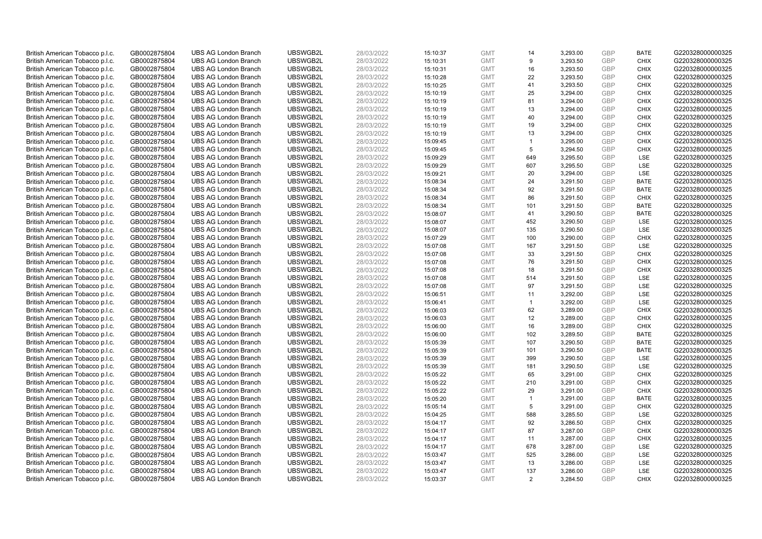| British American Tobacco p.l.c. | GB0002875804 | <b>UBS AG London Branch</b> | UBSWGB2L | 28/03/2022 | 15:10:37 | <b>GMT</b> | 14                   | 3,293.00 | <b>GBP</b> | <b>BATE</b> | G220328000000325 |
|---------------------------------|--------------|-----------------------------|----------|------------|----------|------------|----------------------|----------|------------|-------------|------------------|
| British American Tobacco p.l.c. | GB0002875804 | <b>UBS AG London Branch</b> | UBSWGB2L | 28/03/2022 | 15:10:31 | <b>GMT</b> | 9                    | 3,293.50 | GBP        | <b>CHIX</b> | G220328000000325 |
| British American Tobacco p.l.c. | GB0002875804 | <b>UBS AG London Branch</b> | UBSWGB2L | 28/03/2022 | 15:10:31 | <b>GMT</b> | 16                   | 3,293.50 | GBP        | <b>CHIX</b> | G220328000000325 |
| British American Tobacco p.l.c. | GB0002875804 | <b>UBS AG London Branch</b> | UBSWGB2L | 28/03/2022 | 15:10:28 | <b>GMT</b> | 22                   | 3,293.50 | GBP        | <b>CHIX</b> | G220328000000325 |
| British American Tobacco p.l.c. | GB0002875804 | <b>UBS AG London Branch</b> | UBSWGB2L | 28/03/2022 | 15:10:25 | <b>GMT</b> | 41                   | 3,293.50 | <b>GBP</b> | <b>CHIX</b> | G220328000000325 |
| British American Tobacco p.l.c. | GB0002875804 | <b>UBS AG London Branch</b> | UBSWGB2L | 28/03/2022 | 15:10:19 | <b>GMT</b> | 25                   | 3,294.00 | <b>GBP</b> | <b>CHIX</b> | G220328000000325 |
| British American Tobacco p.l.c. | GB0002875804 | <b>UBS AG London Branch</b> | UBSWGB2L | 28/03/2022 | 15:10:19 | <b>GMT</b> | 81                   | 3,294.00 | GBP        | <b>CHIX</b> | G220328000000325 |
| British American Tobacco p.l.c. | GB0002875804 | <b>UBS AG London Branch</b> | UBSWGB2L | 28/03/2022 | 15:10:19 | <b>GMT</b> | 13                   | 3,294.00 | GBP        | <b>CHIX</b> | G220328000000325 |
| British American Tobacco p.l.c. | GB0002875804 | <b>UBS AG London Branch</b> | UBSWGB2L | 28/03/2022 | 15:10:19 | <b>GMT</b> | 40                   | 3,294.00 | GBP        | <b>CHIX</b> | G220328000000325 |
| British American Tobacco p.l.c. | GB0002875804 | <b>UBS AG London Branch</b> | UBSWGB2L | 28/03/2022 | 15:10:19 | <b>GMT</b> | 19                   | 3,294.00 | <b>GBP</b> | <b>CHIX</b> | G220328000000325 |
| British American Tobacco p.l.c. | GB0002875804 | <b>UBS AG London Branch</b> | UBSWGB2L | 28/03/2022 | 15:10:19 | <b>GMT</b> | 13                   | 3,294.00 | GBP        | <b>CHIX</b> | G220328000000325 |
| British American Tobacco p.l.c. | GB0002875804 | <b>UBS AG London Branch</b> | UBSWGB2L | 28/03/2022 | 15:09:45 | <b>GMT</b> | $\mathbf{1}$         | 3,295.00 | <b>GBP</b> | <b>CHIX</b> | G220328000000325 |
| British American Tobacco p.l.c. | GB0002875804 | <b>UBS AG London Branch</b> | UBSWGB2L | 28/03/2022 | 15:09:45 | <b>GMT</b> | 5                    | 3,294.50 | GBP        | <b>CHIX</b> | G220328000000325 |
| British American Tobacco p.l.c. | GB0002875804 | <b>UBS AG London Branch</b> | UBSWGB2L | 28/03/2022 | 15:09:29 | <b>GMT</b> | 649                  | 3,295.50 | <b>GBP</b> | <b>LSE</b>  | G220328000000325 |
| British American Tobacco p.l.c. | GB0002875804 | <b>UBS AG London Branch</b> | UBSWGB2L | 28/03/2022 | 15:09:29 | <b>GMT</b> | 607                  | 3,295.50 | GBP        | <b>LSE</b>  | G220328000000325 |
| British American Tobacco p.l.c. | GB0002875804 | <b>UBS AG London Branch</b> | UBSWGB2L | 28/03/2022 | 15:09:21 | <b>GMT</b> | 20                   | 3,294.00 | <b>GBP</b> | LSE         | G220328000000325 |
| British American Tobacco p.l.c. | GB0002875804 | <b>UBS AG London Branch</b> | UBSWGB2L | 28/03/2022 | 15:08:34 | <b>GMT</b> | 24                   | 3,291.50 | GBP        | <b>BATE</b> | G220328000000325 |
| British American Tobacco p.l.c. | GB0002875804 | <b>UBS AG London Branch</b> | UBSWGB2L | 28/03/2022 | 15:08:34 | <b>GMT</b> | 92                   | 3,291.50 | GBP        | <b>BATE</b> | G220328000000325 |
| British American Tobacco p.l.c. | GB0002875804 | <b>UBS AG London Branch</b> | UBSWGB2L | 28/03/2022 | 15:08:34 | <b>GMT</b> | 86                   | 3,291.50 | GBP        | <b>CHIX</b> | G220328000000325 |
| British American Tobacco p.l.c. | GB0002875804 | <b>UBS AG London Branch</b> | UBSWGB2L | 28/03/2022 | 15:08:34 | <b>GMT</b> | 101                  | 3,291.50 | <b>GBP</b> | <b>BATE</b> | G220328000000325 |
| British American Tobacco p.l.c. | GB0002875804 | <b>UBS AG London Branch</b> | UBSWGB2L | 28/03/2022 | 15:08:07 | <b>GMT</b> | 41                   | 3,290.50 | GBP        | <b>BATE</b> | G220328000000325 |
| British American Tobacco p.l.c. | GB0002875804 | <b>UBS AG London Branch</b> | UBSWGB2L | 28/03/2022 | 15:08:07 | <b>GMT</b> | 452                  | 3,290.50 | GBP        | LSE         | G220328000000325 |
| British American Tobacco p.l.c. | GB0002875804 | <b>UBS AG London Branch</b> | UBSWGB2L | 28/03/2022 | 15:08:07 | <b>GMT</b> | 135                  | 3,290.50 | GBP        | LSE         | G220328000000325 |
| British American Tobacco p.l.c. | GB0002875804 | <b>UBS AG London Branch</b> | UBSWGB2L | 28/03/2022 | 15:07:29 | <b>GMT</b> | 100                  | 3,290.00 | GBP        | <b>CHIX</b> | G220328000000325 |
| British American Tobacco p.l.c. | GB0002875804 | <b>UBS AG London Branch</b> | UBSWGB2L | 28/03/2022 | 15:07:08 | <b>GMT</b> | 167                  | 3,291.50 | <b>GBP</b> | LSE         | G220328000000325 |
| British American Tobacco p.l.c. | GB0002875804 | <b>UBS AG London Branch</b> | UBSWGB2L | 28/03/2022 | 15:07:08 | <b>GMT</b> | 33                   | 3,291.50 | GBP        | <b>CHIX</b> | G220328000000325 |
| British American Tobacco p.l.c. | GB0002875804 | <b>UBS AG London Branch</b> | UBSWGB2L | 28/03/2022 | 15:07:08 | <b>GMT</b> | 76                   | 3,291.50 | <b>GBP</b> | <b>CHIX</b> | G220328000000325 |
| British American Tobacco p.l.c. | GB0002875804 | <b>UBS AG London Branch</b> | UBSWGB2L | 28/03/2022 | 15:07:08 | <b>GMT</b> | 18                   | 3,291.50 | GBP        | <b>CHIX</b> | G220328000000325 |
| British American Tobacco p.l.c. | GB0002875804 | <b>UBS AG London Branch</b> | UBSWGB2L | 28/03/2022 | 15:07:08 | <b>GMT</b> | 514                  | 3,291.50 | <b>GBP</b> | <b>LSE</b>  | G220328000000325 |
| British American Tobacco p.l.c. | GB0002875804 | <b>UBS AG London Branch</b> | UBSWGB2L | 28/03/2022 | 15:07:08 | <b>GMT</b> | 97                   | 3,291.50 | GBP        | LSE         | G220328000000325 |
| British American Tobacco p.l.c. | GB0002875804 | <b>UBS AG London Branch</b> | UBSWGB2L | 28/03/2022 | 15:06:51 | <b>GMT</b> | 11                   | 3,292.00 | <b>GBP</b> | LSE         | G220328000000325 |
| British American Tobacco p.l.c. | GB0002875804 | <b>UBS AG London Branch</b> | UBSWGB2L | 28/03/2022 | 15:06:41 | <b>GMT</b> | $\blacktriangleleft$ | 3,292.00 | <b>GBP</b> | <b>LSE</b>  | G220328000000325 |
| British American Tobacco p.l.c. | GB0002875804 | <b>UBS AG London Branch</b> | UBSWGB2L | 28/03/2022 | 15:06:03 | <b>GMT</b> | 62                   | 3,289.00 | <b>GBP</b> | <b>CHIX</b> | G220328000000325 |
| British American Tobacco p.l.c. | GB0002875804 | <b>UBS AG London Branch</b> | UBSWGB2L | 28/03/2022 | 15:06:03 | <b>GMT</b> | 12                   | 3,289.00 | GBP        | <b>CHIX</b> | G220328000000325 |
| British American Tobacco p.l.c. | GB0002875804 | <b>UBS AG London Branch</b> | UBSWGB2L | 28/03/2022 | 15:06:00 | <b>GMT</b> | 16                   | 3,289.00 | GBP        | <b>CHIX</b> | G220328000000325 |
| British American Tobacco p.l.c. | GB0002875804 | <b>UBS AG London Branch</b> | UBSWGB2L | 28/03/2022 | 15:06:00 | <b>GMT</b> | 102                  | 3,289.50 | GBP        | <b>BATE</b> | G220328000000325 |
| British American Tobacco p.l.c. | GB0002875804 | <b>UBS AG London Branch</b> | UBSWGB2L | 28/03/2022 | 15:05:39 | <b>GMT</b> | 107                  | 3,290.50 | GBP        | <b>BATE</b> | G220328000000325 |
| British American Tobacco p.l.c. | GB0002875804 | <b>UBS AG London Branch</b> | UBSWGB2L | 28/03/2022 | 15:05:39 | <b>GMT</b> | 101                  | 3,290.50 | <b>GBP</b> | <b>BATE</b> | G220328000000325 |
| British American Tobacco p.l.c. | GB0002875804 | <b>UBS AG London Branch</b> | UBSWGB2L | 28/03/2022 | 15:05:39 | <b>GMT</b> | 399                  | 3,290.50 | <b>GBP</b> | LSE         | G220328000000325 |
| British American Tobacco p.l.c. | GB0002875804 | <b>UBS AG London Branch</b> | UBSWGB2L | 28/03/2022 | 15:05:39 | <b>GMT</b> | 181                  | 3,290.50 | <b>GBP</b> | <b>LSE</b>  | G220328000000325 |
| British American Tobacco p.l.c. | GB0002875804 | <b>UBS AG London Branch</b> | UBSWGB2L | 28/03/2022 | 15:05:22 | <b>GMT</b> | 65                   | 3,291.00 | GBP        | <b>CHIX</b> | G220328000000325 |
| British American Tobacco p.l.c. | GB0002875804 | <b>UBS AG London Branch</b> | UBSWGB2L | 28/03/2022 | 15:05:22 | <b>GMT</b> | 210                  | 3,291.00 | <b>GBP</b> | <b>CHIX</b> | G220328000000325 |
| British American Tobacco p.l.c. | GB0002875804 | <b>UBS AG London Branch</b> | UBSWGB2L | 28/03/2022 | 15:05:22 | <b>GMT</b> | 29                   | 3,291.00 | GBP        | <b>CHIX</b> | G220328000000325 |
| British American Tobacco p.l.c. | GB0002875804 | <b>UBS AG London Branch</b> | UBSWGB2L | 28/03/2022 | 15:05:20 | <b>GMT</b> | $\mathbf{1}$         | 3,291.00 | GBP        | <b>BATE</b> | G220328000000325 |
| British American Tobacco p.l.c. | GB0002875804 | <b>UBS AG London Branch</b> | UBSWGB2L | 28/03/2022 | 15:05:14 | <b>GMT</b> | 5                    | 3,291.00 | <b>GBP</b> | <b>CHIX</b> | G220328000000325 |
| British American Tobacco p.l.c. | GB0002875804 | <b>UBS AG London Branch</b> | UBSWGB2L | 28/03/2022 | 15:04:25 | <b>GMT</b> | 588                  | 3,285.50 | <b>GBP</b> | LSE         | G220328000000325 |
| British American Tobacco p.l.c. | GB0002875804 | <b>UBS AG London Branch</b> | UBSWGB2L | 28/03/2022 | 15:04:17 | <b>GMT</b> | 92                   | 3,286.50 | <b>GBP</b> | <b>CHIX</b> | G220328000000325 |
| British American Tobacco p.l.c. | GB0002875804 | <b>UBS AG London Branch</b> | UBSWGB2L | 28/03/2022 | 15:04:17 | <b>GMT</b> | 87                   | 3,287.00 | GBP        | <b>CHIX</b> | G220328000000325 |
| British American Tobacco p.l.c. | GB0002875804 | <b>UBS AG London Branch</b> | UBSWGB2L | 28/03/2022 | 15:04:17 | <b>GMT</b> | 11                   | 3,287.00 | <b>GBP</b> | <b>CHIX</b> | G220328000000325 |
| British American Tobacco p.l.c. | GB0002875804 | <b>UBS AG London Branch</b> | UBSWGB2L | 28/03/2022 | 15:04:17 | <b>GMT</b> | 678                  | 3,287.00 | GBP        | <b>LSE</b>  | G220328000000325 |
| British American Tobacco p.l.c. | GB0002875804 | <b>UBS AG London Branch</b> | UBSWGB2L | 28/03/2022 | 15:03:47 | <b>GMT</b> | 525                  | 3,286.00 | <b>GBP</b> | LSE         | G220328000000325 |
| British American Tobacco p.l.c. | GB0002875804 | <b>UBS AG London Branch</b> | UBSWGB2L | 28/03/2022 | 15:03:47 | <b>GMT</b> | 13                   | 3,286.00 | <b>GBP</b> | LSE         | G220328000000325 |
| British American Tobacco p.l.c. | GB0002875804 | <b>UBS AG London Branch</b> | UBSWGB2L | 28/03/2022 | 15:03:47 | <b>GMT</b> | 137                  | 3,286.00 | GBP        | LSE         | G220328000000325 |
| British American Tobacco p.l.c. | GB0002875804 | <b>UBS AG London Branch</b> | UBSWGB2L | 28/03/2022 | 15:03:37 | <b>GMT</b> | $\overline{2}$       | 3.284.50 | GBP        | <b>CHIX</b> | G220328000000325 |
|                                 |              |                             |          |            |          |            |                      |          |            |             |                  |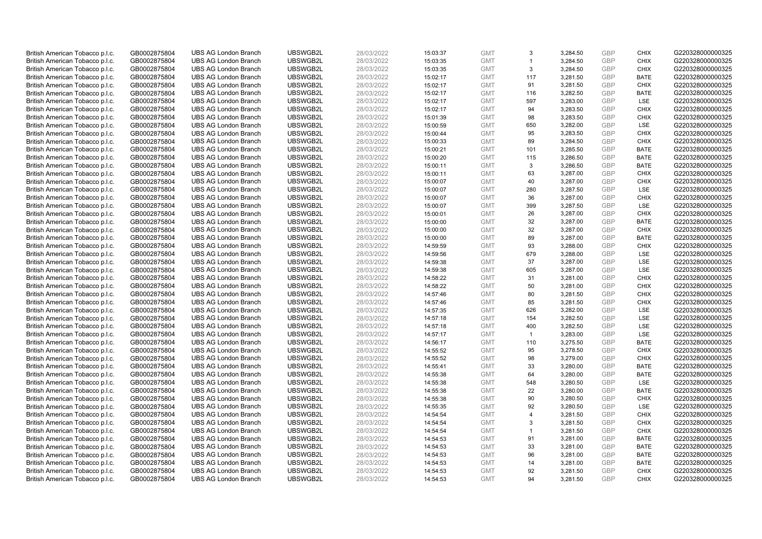| British American Tobacco p.l.c. | GB0002875804 | <b>UBS AG London Branch</b> | UBSWGB2L | 28/03/2022 |          | <b>GMT</b> | 3              | 3,284.50 | <b>GBP</b> | <b>CHIX</b> | G220328000000325 |
|---------------------------------|--------------|-----------------------------|----------|------------|----------|------------|----------------|----------|------------|-------------|------------------|
|                                 |              |                             |          |            | 15:03:37 |            |                |          |            |             |                  |
| British American Tobacco p.l.c. | GB0002875804 | <b>UBS AG London Branch</b> | UBSWGB2L | 28/03/2022 | 15:03:35 | <b>GMT</b> | $\overline{1}$ | 3,284.50 | <b>GBP</b> | <b>CHIX</b> | G220328000000325 |
| British American Tobacco p.l.c. | GB0002875804 | <b>UBS AG London Branch</b> | UBSWGB2L | 28/03/2022 | 15:03:35 | <b>GMT</b> | 3              | 3,284.50 | <b>GBP</b> | <b>CHIX</b> | G220328000000325 |
| British American Tobacco p.l.c. | GB0002875804 | <b>UBS AG London Branch</b> | UBSWGB2L | 28/03/2022 | 15:02:17 | <b>GMT</b> | 117            | 3,281.50 | <b>GBP</b> | <b>BATE</b> | G220328000000325 |
| British American Tobacco p.l.c. | GB0002875804 | <b>UBS AG London Branch</b> | UBSWGB2L | 28/03/2022 | 15:02:17 | <b>GMT</b> | 91             | 3,281.50 | <b>GBP</b> | <b>CHIX</b> | G220328000000325 |
| British American Tobacco p.l.c. | GB0002875804 | <b>UBS AG London Branch</b> | UBSWGB2L | 28/03/2022 | 15:02:17 | <b>GMT</b> | 116            | 3,282.50 | <b>GBP</b> | <b>BATE</b> | G220328000000325 |
| British American Tobacco p.l.c. | GB0002875804 | <b>UBS AG London Branch</b> | UBSWGB2L | 28/03/2022 | 15:02:17 | <b>GMT</b> | 597            | 3,283.00 | <b>GBP</b> | LSE         | G220328000000325 |
| British American Tobacco p.l.c. | GB0002875804 | <b>UBS AG London Branch</b> | UBSWGB2L | 28/03/2022 | 15:02:17 | <b>GMT</b> | 94             | 3,283.50 | <b>GBP</b> | <b>CHIX</b> | G220328000000325 |
| British American Tobacco p.l.c. | GB0002875804 | <b>UBS AG London Branch</b> | UBSWGB2L | 28/03/2022 | 15:01:39 | <b>GMT</b> | 98             | 3,283.50 | <b>GBP</b> | <b>CHIX</b> | G220328000000325 |
| British American Tobacco p.l.c. | GB0002875804 | <b>UBS AG London Branch</b> | UBSWGB2L | 28/03/2022 | 15:00:59 | <b>GMT</b> | 650            | 3,282.00 | <b>GBP</b> | LSE         | G220328000000325 |
| British American Tobacco p.l.c. | GB0002875804 | <b>UBS AG London Branch</b> | UBSWGB2L | 28/03/2022 | 15:00:44 | <b>GMT</b> | 95             | 3,283.50 | <b>GBP</b> | <b>CHIX</b> | G220328000000325 |
| British American Tobacco p.l.c. | GB0002875804 | <b>UBS AG London Branch</b> | UBSWGB2L | 28/03/2022 | 15:00:33 | <b>GMT</b> | 89             | 3,284.50 | <b>GBP</b> | <b>CHIX</b> | G220328000000325 |
| British American Tobacco p.l.c. | GB0002875804 | <b>UBS AG London Branch</b> | UBSWGB2L | 28/03/2022 | 15:00:21 | <b>GMT</b> | 101            | 3,285.50 | <b>GBP</b> | <b>BATE</b> | G220328000000325 |
|                                 | GB0002875804 | <b>UBS AG London Branch</b> | UBSWGB2L | 28/03/2022 |          | <b>GMT</b> | 115            |          | <b>GBP</b> | <b>BATE</b> | G220328000000325 |
| British American Tobacco p.l.c. |              |                             |          |            | 15:00:20 |            |                | 3,286.50 | <b>GBP</b> |             |                  |
| British American Tobacco p.l.c. | GB0002875804 | <b>UBS AG London Branch</b> | UBSWGB2L | 28/03/2022 | 15:00:11 | <b>GMT</b> | 3              | 3,286.50 |            | <b>BATE</b> | G220328000000325 |
| British American Tobacco p.l.c. | GB0002875804 | <b>UBS AG London Branch</b> | UBSWGB2L | 28/03/2022 | 15:00:11 | <b>GMT</b> | 63             | 3,287.00 | <b>GBP</b> | <b>CHIX</b> | G220328000000325 |
| British American Tobacco p.l.c. | GB0002875804 | <b>UBS AG London Branch</b> | UBSWGB2L | 28/03/2022 | 15:00:07 | <b>GMT</b> | 40             | 3,287.00 | <b>GBP</b> | <b>CHIX</b> | G220328000000325 |
| British American Tobacco p.l.c. | GB0002875804 | <b>UBS AG London Branch</b> | UBSWGB2L | 28/03/2022 | 15:00:07 | <b>GMT</b> | 280            | 3,287.50 | <b>GBP</b> | LSE         | G220328000000325 |
| British American Tobacco p.l.c. | GB0002875804 | <b>UBS AG London Branch</b> | UBSWGB2L | 28/03/2022 | 15:00:07 | <b>GMT</b> | 36             | 3,287.00 | <b>GBP</b> | <b>CHIX</b> | G220328000000325 |
| British American Tobacco p.l.c. | GB0002875804 | <b>UBS AG London Branch</b> | UBSWGB2L | 28/03/2022 | 15:00:07 | <b>GMT</b> | 399            | 3,287.50 | <b>GBP</b> | LSE         | G220328000000325 |
| British American Tobacco p.l.c. | GB0002875804 | <b>UBS AG London Branch</b> | UBSWGB2L | 28/03/2022 | 15:00:01 | <b>GMT</b> | 26             | 3,287.00 | <b>GBP</b> | <b>CHIX</b> | G220328000000325 |
| British American Tobacco p.l.c. | GB0002875804 | <b>UBS AG London Branch</b> | UBSWGB2L | 28/03/2022 | 15:00:00 | <b>GMT</b> | 32             | 3,287.00 | <b>GBP</b> | <b>BATE</b> | G220328000000325 |
| British American Tobacco p.l.c. | GB0002875804 | <b>UBS AG London Branch</b> | UBSWGB2L | 28/03/2022 | 15:00:00 | <b>GMT</b> | 32             | 3,287.00 | <b>GBP</b> | <b>CHIX</b> | G220328000000325 |
| British American Tobacco p.l.c. | GB0002875804 | <b>UBS AG London Branch</b> | UBSWGB2L | 28/03/2022 | 15:00:00 | <b>GMT</b> | 89             | 3,287.00 | <b>GBP</b> | <b>BATE</b> | G220328000000325 |
| British American Tobacco p.l.c. | GB0002875804 | <b>UBS AG London Branch</b> | UBSWGB2L | 28/03/2022 | 14:59:59 | <b>GMT</b> | 93             | 3,288.00 | <b>GBP</b> | <b>CHIX</b> | G220328000000325 |
| British American Tobacco p.l.c. | GB0002875804 | <b>UBS AG London Branch</b> | UBSWGB2L | 28/03/2022 | 14:59:56 | <b>GMT</b> | 679            | 3,288.00 | <b>GBP</b> | LSE         | G220328000000325 |
| British American Tobacco p.l.c. | GB0002875804 | <b>UBS AG London Branch</b> | UBSWGB2L | 28/03/2022 | 14:59:38 | <b>GMT</b> | 37             | 3,287.00 | <b>GBP</b> | LSE         | G220328000000325 |
| British American Tobacco p.l.c. | GB0002875804 | <b>UBS AG London Branch</b> | UBSWGB2L | 28/03/2022 | 14:59:38 | <b>GMT</b> | 605            | 3,287.00 | <b>GBP</b> | LSE         | G220328000000325 |
| British American Tobacco p.l.c. | GB0002875804 | <b>UBS AG London Branch</b> | UBSWGB2L | 28/03/2022 | 14:58:22 | <b>GMT</b> | 31             | 3,281.00 | <b>GBP</b> | <b>CHIX</b> | G220328000000325 |
| British American Tobacco p.l.c. | GB0002875804 | <b>UBS AG London Branch</b> | UBSWGB2L | 28/03/2022 | 14:58:22 | <b>GMT</b> | 50             | 3,281.00 | <b>GBP</b> | <b>CHIX</b> | G220328000000325 |
| British American Tobacco p.l.c. | GB0002875804 | <b>UBS AG London Branch</b> | UBSWGB2L | 28/03/2022 | 14:57:46 | <b>GMT</b> | 80             | 3,281.50 | <b>GBP</b> | <b>CHIX</b> | G220328000000325 |
| British American Tobacco p.l.c. | GB0002875804 | <b>UBS AG London Branch</b> | UBSWGB2L | 28/03/2022 | 14:57:46 | <b>GMT</b> | 85             | 3,281.50 | <b>GBP</b> | <b>CHIX</b> | G220328000000325 |
| British American Tobacco p.l.c. | GB0002875804 | <b>UBS AG London Branch</b> | UBSWGB2L | 28/03/2022 | 14:57:35 | <b>GMT</b> | 626            | 3,282.00 | <b>GBP</b> | LSE         | G220328000000325 |
| British American Tobacco p.l.c. | GB0002875804 | <b>UBS AG London Branch</b> | UBSWGB2L | 28/03/2022 | 14:57:18 | <b>GMT</b> | 154            | 3,282.50 | <b>GBP</b> | LSE         | G220328000000325 |
| British American Tobacco p.l.c. | GB0002875804 | <b>UBS AG London Branch</b> | UBSWGB2L | 28/03/2022 | 14:57:18 | <b>GMT</b> | 400            | 3,282.50 | <b>GBP</b> | LSE         | G220328000000325 |
| British American Tobacco p.l.c. | GB0002875804 | <b>UBS AG London Branch</b> | UBSWGB2L | 28/03/2022 | 14:57:17 | <b>GMT</b> | $\mathbf{1}$   | 3,283.00 | <b>GBP</b> | LSE         | G220328000000325 |
| British American Tobacco p.l.c. | GB0002875804 | <b>UBS AG London Branch</b> | UBSWGB2L | 28/03/2022 | 14:56:17 | <b>GMT</b> | 110            | 3,275.50 | <b>GBP</b> | <b>BATE</b> | G220328000000325 |
| British American Tobacco p.l.c. | GB0002875804 | <b>UBS AG London Branch</b> | UBSWGB2L | 28/03/2022 | 14:55:52 | <b>GMT</b> | 95             | 3,278.50 | <b>GBP</b> | <b>CHIX</b> | G220328000000325 |
|                                 |              | <b>UBS AG London Branch</b> | UBSWGB2L | 28/03/2022 |          | <b>GMT</b> | 98             | 3,279.00 |            | <b>CHIX</b> | G220328000000325 |
| British American Tobacco p.l.c. | GB0002875804 |                             |          |            | 14:55:52 |            |                |          | <b>GBP</b> |             |                  |
| British American Tobacco p.l.c. | GB0002875804 | <b>UBS AG London Branch</b> | UBSWGB2L | 28/03/2022 | 14:55:41 | <b>GMT</b> | 33             | 3,280.00 | <b>GBP</b> | <b>BATE</b> | G220328000000325 |
| British American Tobacco p.l.c. | GB0002875804 | <b>UBS AG London Branch</b> | UBSWGB2L | 28/03/2022 | 14:55:38 | <b>GMT</b> | 64             | 3,280.00 | <b>GBP</b> | <b>BATE</b> | G220328000000325 |
| British American Tobacco p.l.c. | GB0002875804 | <b>UBS AG London Branch</b> | UBSWGB2L | 28/03/2022 | 14:55:38 | <b>GMT</b> | 548            | 3,280.50 | <b>GBP</b> | LSE         | G220328000000325 |
| British American Tobacco p.l.c. | GB0002875804 | <b>UBS AG London Branch</b> | UBSWGB2L | 28/03/2022 | 14:55:38 | <b>GMT</b> | 22             | 3,280.00 | <b>GBP</b> | <b>BATE</b> | G220328000000325 |
| British American Tobacco p.l.c. | GB0002875804 | <b>UBS AG London Branch</b> | UBSWGB2L | 28/03/2022 | 14:55:38 | <b>GMT</b> | 90             | 3,280.50 | <b>GBP</b> | <b>CHIX</b> | G220328000000325 |
| British American Tobacco p.l.c. | GB0002875804 | <b>UBS AG London Branch</b> | UBSWGB2L | 28/03/2022 | 14:55:35 | <b>GMT</b> | 92             | 3,280.50 | <b>GBP</b> | LSE         | G220328000000325 |
| British American Tobacco p.l.c. | GB0002875804 | <b>UBS AG London Branch</b> | UBSWGB2L | 28/03/2022 | 14:54:54 | <b>GMT</b> | $\overline{4}$ | 3,281.50 | <b>GBP</b> | <b>CHIX</b> | G220328000000325 |
| British American Tobacco p.l.c. | GB0002875804 | <b>UBS AG London Branch</b> | UBSWGB2L | 28/03/2022 | 14:54:54 | <b>GMT</b> | 3              | 3,281.50 | <b>GBP</b> | <b>CHIX</b> | G220328000000325 |
| British American Tobacco p.l.c. | GB0002875804 | <b>UBS AG London Branch</b> | UBSWGB2L | 28/03/2022 | 14:54:54 | <b>GMT</b> | $\mathbf{1}$   | 3,281.50 | <b>GBP</b> | <b>CHIX</b> | G220328000000325 |
| British American Tobacco p.l.c. | GB0002875804 | <b>UBS AG London Branch</b> | UBSWGB2L | 28/03/2022 | 14:54:53 | <b>GMT</b> | 91             | 3,281.00 | <b>GBP</b> | <b>BATE</b> | G220328000000325 |
| British American Tobacco p.l.c. | GB0002875804 | <b>UBS AG London Branch</b> | UBSWGB2L | 28/03/2022 | 14:54:53 | <b>GMT</b> | 33             | 3,281.00 | <b>GBP</b> | <b>BATE</b> | G220328000000325 |
| British American Tobacco p.l.c. | GB0002875804 | <b>UBS AG London Branch</b> | UBSWGB2L | 28/03/2022 | 14:54:53 | <b>GMT</b> | 96             | 3,281.00 | <b>GBP</b> | <b>BATE</b> | G220328000000325 |
| British American Tobacco p.l.c. | GB0002875804 | <b>UBS AG London Branch</b> | UBSWGB2L | 28/03/2022 | 14:54:53 | <b>GMT</b> | 14             | 3,281.00 | <b>GBP</b> | <b>BATE</b> | G220328000000325 |
| British American Tobacco p.l.c. | GB0002875804 | <b>UBS AG London Branch</b> | UBSWGB2L | 28/03/2022 | 14:54:53 | <b>GMT</b> | 92             | 3,281.50 | <b>GBP</b> | <b>CHIX</b> | G220328000000325 |
| British American Tobacco p.l.c. | GB0002875804 | <b>UBS AG London Branch</b> | UBSWGB2L | 28/03/2022 | 14:54:53 | <b>GMT</b> | 94             | 3.281.50 | GBP        | <b>CHIX</b> | G220328000000325 |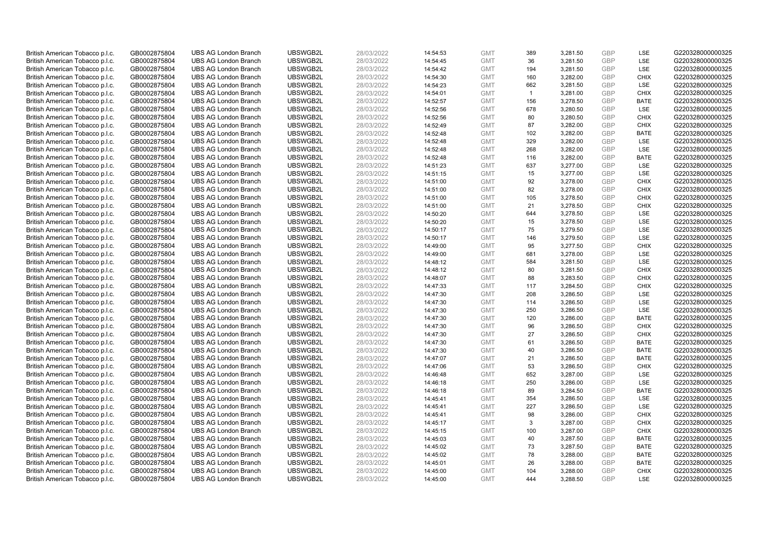| British American Tobacco p.l.c. | GB0002875804                 | <b>UBS AG London Branch</b> | UBSWGB2L | 28/03/2022 | 14:54:53             | <b>GMT</b> | 389            | 3,281.50 | <b>GBP</b> | LSE         | G220328000000325 |
|---------------------------------|------------------------------|-----------------------------|----------|------------|----------------------|------------|----------------|----------|------------|-------------|------------------|
| British American Tobacco p.l.c. | GB0002875804                 | <b>UBS AG London Branch</b> | UBSWGB2L | 28/03/2022 | 14:54:45             | <b>GMT</b> | 36             | 3,281.50 | GBP        | LSE         | G220328000000325 |
| British American Tobacco p.l.c. | GB0002875804                 | <b>UBS AG London Branch</b> | UBSWGB2L | 28/03/2022 | 14:54:42             | <b>GMT</b> | 194            | 3,281.50 | GBP        | LSE         | G220328000000325 |
| British American Tobacco p.l.c. | GB0002875804                 | <b>UBS AG London Branch</b> | UBSWGB2L | 28/03/2022 | 14:54:30             | <b>GMT</b> | 160            | 3,282.00 | GBP        | <b>CHIX</b> | G220328000000325 |
| British American Tobacco p.l.c. | GB0002875804                 | <b>UBS AG London Branch</b> | UBSWGB2L | 28/03/2022 | 14:54:23             | <b>GMT</b> | 662            | 3,281.50 | <b>GBP</b> | LSE         | G220328000000325 |
| British American Tobacco p.l.c. | GB0002875804                 | <b>UBS AG London Branch</b> | UBSWGB2L | 28/03/2022 | 14:54:01             | <b>GMT</b> | $\overline{1}$ | 3,281.00 | <b>GBP</b> | <b>CHIX</b> | G220328000000325 |
| British American Tobacco p.l.c. | GB0002875804                 | <b>UBS AG London Branch</b> | UBSWGB2L | 28/03/2022 | 14:52:57             | <b>GMT</b> | 156            | 3,278.50 | GBP        | <b>BATE</b> | G220328000000325 |
| British American Tobacco p.l.c. | GB0002875804                 | <b>UBS AG London Branch</b> | UBSWGB2L | 28/03/2022 | 14:52:56             | <b>GMT</b> | 678            | 3,280.50 | GBP        | LSE         | G220328000000325 |
| British American Tobacco p.l.c. | GB0002875804                 | <b>UBS AG London Branch</b> | UBSWGB2L | 28/03/2022 | 14:52:56             | <b>GMT</b> | 80             | 3,280.50 | GBP        | <b>CHIX</b> | G220328000000325 |
| British American Tobacco p.l.c. | GB0002875804                 | <b>UBS AG London Branch</b> | UBSWGB2L | 28/03/2022 | 14:52:49             | <b>GMT</b> | 87             | 3,282.00 | <b>GBP</b> | <b>CHIX</b> | G220328000000325 |
| British American Tobacco p.l.c. | GB0002875804                 | <b>UBS AG London Branch</b> | UBSWGB2L | 28/03/2022 | 14:52:48             | <b>GMT</b> | 102            | 3,282.00 | GBP        | <b>BATE</b> | G220328000000325 |
| British American Tobacco p.l.c. | GB0002875804                 | <b>UBS AG London Branch</b> | UBSWGB2L | 28/03/2022 | 14:52:48             | <b>GMT</b> | 329            | 3,282.00 | <b>GBP</b> | LSE         | G220328000000325 |
| British American Tobacco p.l.c. | GB0002875804                 | <b>UBS AG London Branch</b> | UBSWGB2L | 28/03/2022 | 14:52:48             | <b>GMT</b> | 268            | 3,282.00 | GBP        | LSE         | G220328000000325 |
| British American Tobacco p.l.c. | GB0002875804                 | <b>UBS AG London Branch</b> | UBSWGB2L | 28/03/2022 | 14:52:48             | <b>GMT</b> | 116            | 3,282.00 | <b>GBP</b> | <b>BATE</b> | G220328000000325 |
| British American Tobacco p.l.c. | GB0002875804                 | <b>UBS AG London Branch</b> | UBSWGB2L | 28/03/2022 | 14:51:23             | <b>GMT</b> | 637            | 3,277.00 | GBP        | <b>LSE</b>  | G220328000000325 |
| British American Tobacco p.l.c. | GB0002875804                 | <b>UBS AG London Branch</b> | UBSWGB2L | 28/03/2022 | 14:51:15             | <b>GMT</b> | 15             | 3,277.00 | <b>GBP</b> | LSE         | G220328000000325 |
| British American Tobacco p.l.c. | GB0002875804                 | <b>UBS AG London Branch</b> | UBSWGB2L | 28/03/2022 | 14:51:00             | <b>GMT</b> | 92             | 3,278.00 | GBP        | <b>CHIX</b> | G220328000000325 |
| British American Tobacco p.l.c. | GB0002875804                 | <b>UBS AG London Branch</b> | UBSWGB2L | 28/03/2022 | 14:51:00             | <b>GMT</b> | 82             | 3,278.00 | GBP        | <b>CHIX</b> | G220328000000325 |
| British American Tobacco p.l.c. | GB0002875804                 | <b>UBS AG London Branch</b> | UBSWGB2L | 28/03/2022 | 14:51:00             | <b>GMT</b> | 105            | 3,278.50 | GBP        | <b>CHIX</b> | G220328000000325 |
| British American Tobacco p.l.c. | GB0002875804                 | <b>UBS AG London Branch</b> | UBSWGB2L | 28/03/2022 | 14:51:00             | <b>GMT</b> | 21             | 3,278.50 | <b>GBP</b> | <b>CHIX</b> | G220328000000325 |
| British American Tobacco p.l.c. | GB0002875804                 | <b>UBS AG London Branch</b> | UBSWGB2L | 28/03/2022 | 14:50:20             | <b>GMT</b> | 644            | 3,278.50 | GBP        | <b>LSE</b>  | G220328000000325 |
| British American Tobacco p.l.c. | GB0002875804                 | <b>UBS AG London Branch</b> | UBSWGB2L | 28/03/2022 | 14:50:20             | <b>GMT</b> | 15             | 3,278.50 | GBP        | LSE         | G220328000000325 |
| British American Tobacco p.l.c. | GB0002875804                 | <b>UBS AG London Branch</b> | UBSWGB2L | 28/03/2022 | 14:50:17             | <b>GMT</b> | 75             | 3,279.50 | GBP        | LSE         | G220328000000325 |
| British American Tobacco p.l.c. | GB0002875804                 | <b>UBS AG London Branch</b> | UBSWGB2L | 28/03/2022 | 14:50:17             | <b>GMT</b> | 146            | 3,279.50 | GBP        | LSE         | G220328000000325 |
| British American Tobacco p.l.c. | GB0002875804                 | <b>UBS AG London Branch</b> | UBSWGB2L | 28/03/2022 | 14:49:00             | <b>GMT</b> | 95             | 3,277.50 | <b>GBP</b> | <b>CHIX</b> | G220328000000325 |
| British American Tobacco p.l.c. | GB0002875804                 | <b>UBS AG London Branch</b> | UBSWGB2L | 28/03/2022 | 14:49:00             | <b>GMT</b> | 681            | 3,278.00 | <b>GBP</b> | LSE         | G220328000000325 |
| British American Tobacco p.l.c. | GB0002875804                 | <b>UBS AG London Branch</b> | UBSWGB2L | 28/03/2022 | 14:48:12             | <b>GMT</b> | 584            | 3,281.50 | <b>GBP</b> | <b>LSE</b>  | G220328000000325 |
| British American Tobacco p.l.c. | GB0002875804                 | <b>UBS AG London Branch</b> | UBSWGB2L | 28/03/2022 | 14:48:12             | <b>GMT</b> | 80             | 3,281.50 | GBP        | <b>CHIX</b> | G220328000000325 |
| British American Tobacco p.l.c. | GB0002875804                 | <b>UBS AG London Branch</b> | UBSWGB2L | 28/03/2022 | 14:48:07             | <b>GMT</b> | 88             | 3,283.50 | <b>GBP</b> | <b>CHIX</b> | G220328000000325 |
| British American Tobacco p.l.c. | GB0002875804                 | <b>UBS AG London Branch</b> | UBSWGB2L | 28/03/2022 | 14:47:33             | <b>GMT</b> | 117            | 3,284.50 | GBP        | <b>CHIX</b> | G220328000000325 |
| British American Tobacco p.l.c. | GB0002875804                 | <b>UBS AG London Branch</b> | UBSWGB2L | 28/03/2022 | 14:47:30             | <b>GMT</b> | 208            | 3,286.50 | <b>GBP</b> | <b>LSE</b>  | G220328000000325 |
| British American Tobacco p.l.c. | GB0002875804                 | <b>UBS AG London Branch</b> | UBSWGB2L | 28/03/2022 | 14:47:30             | <b>GMT</b> | 114            | 3,286.50 | <b>GBP</b> | <b>LSE</b>  | G220328000000325 |
| British American Tobacco p.l.c. | GB0002875804                 | <b>UBS AG London Branch</b> | UBSWGB2L | 28/03/2022 | 14:47:30             | <b>GMT</b> | 250            | 3,286.50 | <b>GBP</b> | LSE         | G220328000000325 |
| British American Tobacco p.l.c. | GB0002875804                 | <b>UBS AG London Branch</b> | UBSWGB2L | 28/03/2022 | 14:47:30             | <b>GMT</b> | 120            | 3,286.00 | GBP        | <b>BATE</b> | G220328000000325 |
| British American Tobacco p.l.c. | GB0002875804                 | <b>UBS AG London Branch</b> | UBSWGB2L | 28/03/2022 | 14:47:30             | <b>GMT</b> | 96             | 3,286.50 | GBP        | <b>CHIX</b> | G220328000000325 |
| British American Tobacco p.l.c. | GB0002875804                 | <b>UBS AG London Branch</b> | UBSWGB2L | 28/03/2022 | 14:47:30             | <b>GMT</b> | 27             | 3,286.50 | GBP        | <b>CHIX</b> | G220328000000325 |
| British American Tobacco p.l.c. | GB0002875804                 | <b>UBS AG London Branch</b> | UBSWGB2L | 28/03/2022 | 14:47:30             | <b>GMT</b> | 61             | 3,286.50 | GBP        | <b>BATE</b> | G220328000000325 |
| British American Tobacco p.l.c. | GB0002875804                 | <b>UBS AG London Branch</b> | UBSWGB2L | 28/03/2022 | 14:47:30             | <b>GMT</b> | 40             | 3,286.50 | <b>GBP</b> | <b>BATE</b> | G220328000000325 |
| British American Tobacco p.l.c. | GB0002875804                 | <b>UBS AG London Branch</b> | UBSWGB2L | 28/03/2022 | 14:47:07             | <b>GMT</b> | 21             | 3,286.50 | <b>GBP</b> | <b>BATE</b> | G220328000000325 |
| British American Tobacco p.l.c. | GB0002875804                 | <b>UBS AG London Branch</b> | UBSWGB2L | 28/03/2022 | 14:47:06             | <b>GMT</b> | 53             | 3,286.50 | <b>GBP</b> | <b>CHIX</b> | G220328000000325 |
| British American Tobacco p.l.c. | GB0002875804                 | <b>UBS AG London Branch</b> | UBSWGB2L | 28/03/2022 | 14:46:48             | <b>GMT</b> | 652            | 3,287.00 | GBP        | <b>LSE</b>  | G220328000000325 |
| British American Tobacco p.l.c. | GB0002875804                 | <b>UBS AG London Branch</b> | UBSWGB2L | 28/03/2022 | 14:46:18             | <b>GMT</b> | 250            | 3,286.00 | <b>GBP</b> | LSE         | G220328000000325 |
| British American Tobacco p.l.c. | GB0002875804                 | <b>UBS AG London Branch</b> | UBSWGB2L | 28/03/2022 | 14:46:18             | <b>GMT</b> | 89             | 3,284.50 | GBP        | <b>BATE</b> | G220328000000325 |
| British American Tobacco p.l.c. |                              | <b>UBS AG London Branch</b> | UBSWGB2L | 28/03/2022 |                      | <b>GMT</b> | 354            | 3,286.50 | GBP        | LSE         | G220328000000325 |
| British American Tobacco p.l.c. | GB0002875804<br>GB0002875804 | <b>UBS AG London Branch</b> | UBSWGB2L | 28/03/2022 | 14:45:41<br>14:45:41 | <b>GMT</b> | 227            | 3,286.50 | <b>GBP</b> | <b>LSE</b>  | G220328000000325 |
|                                 |                              | <b>UBS AG London Branch</b> | UBSWGB2L | 28/03/2022 |                      | <b>GMT</b> |                |          | <b>GBP</b> | <b>CHIX</b> | G220328000000325 |
| British American Tobacco p.l.c. | GB0002875804                 |                             |          |            | 14:45:41             |            | 98             | 3,286.00 |            |             |                  |
| British American Tobacco p.l.c. | GB0002875804                 | <b>UBS AG London Branch</b> | UBSWGB2L | 28/03/2022 | 14:45:17             | <b>GMT</b> | 3              | 3,287.00 | <b>GBP</b> | <b>CHIX</b> | G220328000000325 |
| British American Tobacco p.l.c. | GB0002875804                 | <b>UBS AG London Branch</b> | UBSWGB2L | 28/03/2022 | 14:45:15             | <b>GMT</b> | 100            | 3,287.00 | GBP        | <b>CHIX</b> | G220328000000325 |
| British American Tobacco p.l.c. | GB0002875804                 | <b>UBS AG London Branch</b> | UBSWGB2L | 28/03/2022 | 14:45:03             | <b>GMT</b> | 40             | 3,287.50 | <b>GBP</b> | <b>BATE</b> | G220328000000325 |
| British American Tobacco p.l.c. | GB0002875804                 | <b>UBS AG London Branch</b> | UBSWGB2L | 28/03/2022 | 14:45:02             | <b>GMT</b> | 73             | 3,287.50 | GBP        | <b>BATE</b> | G220328000000325 |
| British American Tobacco p.l.c. | GB0002875804                 | <b>UBS AG London Branch</b> | UBSWGB2L | 28/03/2022 | 14:45:02             | <b>GMT</b> | 78             | 3,288.00 | <b>GBP</b> | <b>BATE</b> | G220328000000325 |
| British American Tobacco p.l.c. | GB0002875804                 | <b>UBS AG London Branch</b> | UBSWGB2L | 28/03/2022 | 14:45:01             | <b>GMT</b> | 26             | 3,288.00 | <b>GBP</b> | <b>BATE</b> | G220328000000325 |
| British American Tobacco p.l.c. | GB0002875804                 | <b>UBS AG London Branch</b> | UBSWGB2L | 28/03/2022 | 14:45:00             | <b>GMT</b> | 104            | 3,288.00 | GBP        | <b>CHIX</b> | G220328000000325 |
| British American Tobacco p.l.c. | GB0002875804                 | <b>UBS AG London Branch</b> | UBSWGB2L | 28/03/2022 | 14:45:00             | <b>GMT</b> | 444            | 3.288.50 | GBP        | <b>LSE</b>  | G220328000000325 |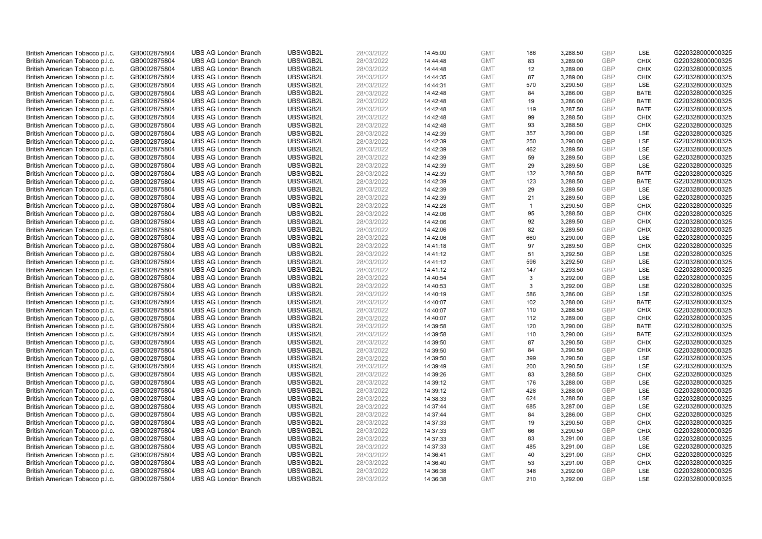| British American Tobacco p.l.c. | GB0002875804 | <b>UBS AG London Branch</b> | UBSWGB2L | 28/03/2022 | 14:45:00 | <b>GMT</b> | 186          | 3,288.50 | <b>GBP</b> | LSE         | G220328000000325 |
|---------------------------------|--------------|-----------------------------|----------|------------|----------|------------|--------------|----------|------------|-------------|------------------|
| British American Tobacco p.l.c. | GB0002875804 | <b>UBS AG London Branch</b> | UBSWGB2L | 28/03/2022 | 14:44:48 | <b>GMT</b> | 83           | 3,289.00 | GBP        | <b>CHIX</b> | G220328000000325 |
| British American Tobacco p.l.c. | GB0002875804 | <b>UBS AG London Branch</b> | UBSWGB2L | 28/03/2022 | 14:44:48 | <b>GMT</b> | 12           | 3,289.00 | GBP        | <b>CHIX</b> | G220328000000325 |
| British American Tobacco p.l.c. | GB0002875804 | <b>UBS AG London Branch</b> | UBSWGB2L | 28/03/2022 | 14:44:35 | <b>GMT</b> | 87           | 3,289.00 | GBP        | <b>CHIX</b> | G220328000000325 |
| British American Tobacco p.l.c. | GB0002875804 | <b>UBS AG London Branch</b> | UBSWGB2L | 28/03/2022 | 14:44:31 | <b>GMT</b> | 570          | 3,290.50 | <b>GBP</b> | LSE         | G220328000000325 |
| British American Tobacco p.l.c. | GB0002875804 | <b>UBS AG London Branch</b> | UBSWGB2L | 28/03/2022 | 14:42:48 | <b>GMT</b> | 84           | 3,286.00 | <b>GBP</b> | <b>BATE</b> | G220328000000325 |
| British American Tobacco p.l.c. | GB0002875804 | <b>UBS AG London Branch</b> | UBSWGB2L | 28/03/2022 | 14:42:48 | <b>GMT</b> | 19           | 3,286.00 | GBP        | <b>BATE</b> | G220328000000325 |
| British American Tobacco p.l.c. | GB0002875804 | <b>UBS AG London Branch</b> | UBSWGB2L | 28/03/2022 | 14:42:48 | <b>GMT</b> | 119          | 3,287.50 | <b>GBP</b> | <b>BATE</b> | G220328000000325 |
| British American Tobacco p.l.c. | GB0002875804 | <b>UBS AG London Branch</b> | UBSWGB2L | 28/03/2022 | 14:42:48 | <b>GMT</b> | 99           | 3,288.50 | GBP        | <b>CHIX</b> | G220328000000325 |
| British American Tobacco p.l.c. | GB0002875804 | <b>UBS AG London Branch</b> | UBSWGB2L | 28/03/2022 | 14:42:48 | <b>GMT</b> | 93           | 3,288.50 | <b>GBP</b> | <b>CHIX</b> | G220328000000325 |
| British American Tobacco p.l.c. | GB0002875804 | <b>UBS AG London Branch</b> | UBSWGB2L | 28/03/2022 | 14:42:39 | <b>GMT</b> | 357          | 3,290.00 | GBP        | <b>LSE</b>  | G220328000000325 |
| British American Tobacco p.l.c. | GB0002875804 | <b>UBS AG London Branch</b> | UBSWGB2L | 28/03/2022 | 14:42:39 | <b>GMT</b> | 250          | 3,290.00 | <b>GBP</b> | LSE         | G220328000000325 |
| British American Tobacco p.l.c. | GB0002875804 | <b>UBS AG London Branch</b> | UBSWGB2L | 28/03/2022 | 14:42:39 | <b>GMT</b> | 462          | 3,289.50 | GBP        | LSE         | G220328000000325 |
| British American Tobacco p.l.c. | GB0002875804 | <b>UBS AG London Branch</b> | UBSWGB2L | 28/03/2022 | 14:42:39 | <b>GMT</b> | 59           | 3,289.50 | <b>GBP</b> | LSE         | G220328000000325 |
| British American Tobacco p.l.c. | GB0002875804 | <b>UBS AG London Branch</b> | UBSWGB2L | 28/03/2022 | 14:42:39 | <b>GMT</b> | 29           | 3,289.50 | <b>GBP</b> | <b>LSE</b>  | G220328000000325 |
| British American Tobacco p.l.c. | GB0002875804 | <b>UBS AG London Branch</b> | UBSWGB2L | 28/03/2022 | 14:42:39 | <b>GMT</b> | 132          | 3,288.50 | GBP        | <b>BATE</b> | G220328000000325 |
| British American Tobacco p.l.c. | GB0002875804 | <b>UBS AG London Branch</b> | UBSWGB2L | 28/03/2022 | 14:42:39 | <b>GMT</b> | 123          | 3,288.50 | GBP        | <b>BATE</b> | G220328000000325 |
| British American Tobacco p.l.c. | GB0002875804 | <b>UBS AG London Branch</b> | UBSWGB2L | 28/03/2022 | 14:42:39 | <b>GMT</b> | 29           | 3,289.50 | <b>GBP</b> | LSE         | G220328000000325 |
| British American Tobacco p.l.c. | GB0002875804 | <b>UBS AG London Branch</b> | UBSWGB2L | 28/03/2022 | 14:42:39 | <b>GMT</b> | 21           | 3,289.50 | GBP        | <b>LSE</b>  | G220328000000325 |
| British American Tobacco p.l.c. | GB0002875804 | <b>UBS AG London Branch</b> | UBSWGB2L | 28/03/2022 | 14:42:28 | <b>GMT</b> | $\mathbf{1}$ | 3,290.50 | <b>GBP</b> | <b>CHIX</b> | G220328000000325 |
| British American Tobacco p.l.c. | GB0002875804 | <b>UBS AG London Branch</b> | UBSWGB2L | 28/03/2022 | 14:42:06 | <b>GMT</b> | 95           | 3,288.50 | GBP        | <b>CHIX</b> | G220328000000325 |
| British American Tobacco p.l.c. | GB0002875804 | <b>UBS AG London Branch</b> | UBSWGB2L | 28/03/2022 | 14:42:06 | <b>GMT</b> | 92           | 3,289.50 | GBP        | <b>CHIX</b> | G220328000000325 |
| British American Tobacco p.l.c. | GB0002875804 | <b>UBS AG London Branch</b> | UBSWGB2L | 28/03/2022 | 14:42:06 | <b>GMT</b> | 82           | 3,289.50 | GBP        | <b>CHIX</b> | G220328000000325 |
| British American Tobacco p.l.c. | GB0002875804 | <b>UBS AG London Branch</b> | UBSWGB2L | 28/03/2022 | 14:42:06 | <b>GMT</b> | 660          | 3,290.00 | GBP        | <b>LSE</b>  | G220328000000325 |
| British American Tobacco p.l.c. | GB0002875804 | <b>UBS AG London Branch</b> | UBSWGB2L | 28/03/2022 | 14:41:18 | <b>GMT</b> | 97           | 3,289.50 | <b>GBP</b> | <b>CHIX</b> | G220328000000325 |
| British American Tobacco p.l.c. | GB0002875804 | <b>UBS AG London Branch</b> | UBSWGB2L | 28/03/2022 | 14:41:12 | <b>GMT</b> | 51           | 3,292.50 | <b>GBP</b> | <b>LSE</b>  | G220328000000325 |
| British American Tobacco p.l.c. | GB0002875804 | <b>UBS AG London Branch</b> | UBSWGB2L | 28/03/2022 | 14:41:12 | <b>GMT</b> | 596          | 3,292.50 | <b>GBP</b> | <b>LSE</b>  | G220328000000325 |
| British American Tobacco p.l.c. | GB0002875804 | <b>UBS AG London Branch</b> | UBSWGB2L | 28/03/2022 | 14:41:12 | <b>GMT</b> | 147          | 3,293.50 | <b>GBP</b> | <b>LSE</b>  | G220328000000325 |
| British American Tobacco p.l.c. | GB0002875804 | <b>UBS AG London Branch</b> | UBSWGB2L | 28/03/2022 | 14:40:54 | <b>GMT</b> | 3            | 3,292.00 | <b>GBP</b> | LSE         | G220328000000325 |
| British American Tobacco p.l.c. | GB0002875804 | <b>UBS AG London Branch</b> | UBSWGB2L | 28/03/2022 | 14:40:53 | <b>GMT</b> | 3            | 3,292.00 | GBP        | LSE         | G220328000000325 |
| British American Tobacco p.l.c. | GB0002875804 | <b>UBS AG London Branch</b> | UBSWGB2L | 28/03/2022 | 14:40:19 | <b>GMT</b> | 586          | 3,286.00 | GBP        | LSE         | G220328000000325 |
| British American Tobacco p.l.c. | GB0002875804 | <b>UBS AG London Branch</b> | UBSWGB2L | 28/03/2022 | 14:40:07 | <b>GMT</b> | 102          | 3,288.00 | <b>GBP</b> | <b>BATE</b> | G220328000000325 |
| British American Tobacco p.l.c. | GB0002875804 | <b>UBS AG London Branch</b> | UBSWGB2L | 28/03/2022 | 14:40:07 | <b>GMT</b> | 110          | 3,288.50 | <b>GBP</b> | <b>CHIX</b> | G220328000000325 |
| British American Tobacco p.l.c. | GB0002875804 | <b>UBS AG London Branch</b> | UBSWGB2L | 28/03/2022 | 14:40:07 | <b>GMT</b> | 112          | 3,289.00 | GBP        | <b>CHIX</b> | G220328000000325 |
| British American Tobacco p.l.c. | GB0002875804 | <b>UBS AG London Branch</b> | UBSWGB2L | 28/03/2022 | 14:39:58 | <b>GMT</b> | 120          | 3,290.00 | GBP        | <b>BATE</b> | G220328000000325 |
| British American Tobacco p.l.c. | GB0002875804 | <b>UBS AG London Branch</b> | UBSWGB2L | 28/03/2022 | 14:39:58 | <b>GMT</b> | 110          | 3,290.00 | <b>GBP</b> | <b>BATE</b> | G220328000000325 |
| British American Tobacco p.l.c. | GB0002875804 | <b>UBS AG London Branch</b> | UBSWGB2L | 28/03/2022 | 14:39:50 | <b>GMT</b> | 87           | 3,290.50 | GBP        | <b>CHIX</b> | G220328000000325 |
| British American Tobacco p.l.c. | GB0002875804 | <b>UBS AG London Branch</b> | UBSWGB2L | 28/03/2022 | 14:39:50 | <b>GMT</b> | 84           | 3,290.50 | <b>GBP</b> | <b>CHIX</b> | G220328000000325 |
| British American Tobacco p.l.c. | GB0002875804 | <b>UBS AG London Branch</b> | UBSWGB2L | 28/03/2022 | 14:39:50 | <b>GMT</b> | 399          | 3,290.50 | <b>GBP</b> | LSE         | G220328000000325 |
| British American Tobacco p.l.c. | GB0002875804 | <b>UBS AG London Branch</b> | UBSWGB2L | 28/03/2022 | 14:39:49 | <b>GMT</b> | 200          | 3,290.50 | <b>GBP</b> | <b>LSE</b>  | G220328000000325 |
| British American Tobacco p.l.c. | GB0002875804 | <b>UBS AG London Branch</b> | UBSWGB2L | 28/03/2022 | 14:39:26 | <b>GMT</b> | 83           | 3,288.50 | GBP        | <b>CHIX</b> | G220328000000325 |
| British American Tobacco p.l.c. | GB0002875804 | <b>UBS AG London Branch</b> | UBSWGB2L | 28/03/2022 | 14:39:12 | <b>GMT</b> | 176          | 3,288.00 | <b>GBP</b> | <b>LSE</b>  | G220328000000325 |
| British American Tobacco p.l.c. | GB0002875804 | <b>UBS AG London Branch</b> | UBSWGB2L | 28/03/2022 | 14:39:12 | <b>GMT</b> | 428          | 3,288.00 | <b>GBP</b> | LSE         | G220328000000325 |
| British American Tobacco p.l.c. | GB0002875804 | <b>UBS AG London Branch</b> | UBSWGB2L | 28/03/2022 | 14:38:33 | <b>GMT</b> | 624          | 3,288.50 | GBP        | <b>LSE</b>  | G220328000000325 |
| British American Tobacco p.l.c. | GB0002875804 | <b>UBS AG London Branch</b> | UBSWGB2L | 28/03/2022 | 14:37:44 | <b>GMT</b> | 685          | 3,287.00 | <b>GBP</b> | <b>LSE</b>  | G220328000000325 |
| British American Tobacco p.l.c. | GB0002875804 | <b>UBS AG London Branch</b> | UBSWGB2L | 28/03/2022 | 14:37:44 | <b>GMT</b> | 84           | 3,286.00 | <b>GBP</b> | <b>CHIX</b> | G220328000000325 |
| British American Tobacco p.l.c. | GB0002875804 | <b>UBS AG London Branch</b> | UBSWGB2L | 28/03/2022 | 14:37:33 | <b>GMT</b> | 19           | 3,290.50 | <b>GBP</b> | <b>CHIX</b> | G220328000000325 |
| British American Tobacco p.l.c. | GB0002875804 | <b>UBS AG London Branch</b> | UBSWGB2L | 28/03/2022 | 14:37:33 | <b>GMT</b> | 66           | 3,290.50 | GBP        | <b>CHIX</b> | G220328000000325 |
| British American Tobacco p.l.c. | GB0002875804 | <b>UBS AG London Branch</b> | UBSWGB2L | 28/03/2022 | 14:37:33 | <b>GMT</b> | 83           | 3,291.00 | <b>GBP</b> | LSE         | G220328000000325 |
| British American Tobacco p.l.c. | GB0002875804 | <b>UBS AG London Branch</b> | UBSWGB2L | 28/03/2022 | 14:37:33 | <b>GMT</b> | 485          | 3,291.00 | GBP        | LSE         | G220328000000325 |
| British American Tobacco p.l.c. | GB0002875804 | <b>UBS AG London Branch</b> | UBSWGB2L | 28/03/2022 | 14:36:41 | <b>GMT</b> | 40           | 3,291.00 | <b>GBP</b> | <b>CHIX</b> | G220328000000325 |
| British American Tobacco p.l.c. | GB0002875804 | <b>UBS AG London Branch</b> | UBSWGB2L | 28/03/2022 | 14:36:40 | <b>GMT</b> | 53           | 3,291.00 | <b>GBP</b> | <b>CHIX</b> | G220328000000325 |
| British American Tobacco p.l.c. | GB0002875804 | <b>UBS AG London Branch</b> | UBSWGB2L | 28/03/2022 | 14:36:38 | <b>GMT</b> | 348          | 3,292.00 | GBP        | <b>LSE</b>  | G220328000000325 |
| British American Tobacco p.l.c. | GB0002875804 | <b>UBS AG London Branch</b> | UBSWGB2L | 28/03/2022 | 14:36:38 | <b>GMT</b> | 210          | 3.292.00 | GBP        | <b>LSE</b>  | G220328000000325 |
|                                 |              |                             |          |            |          |            |              |          |            |             |                  |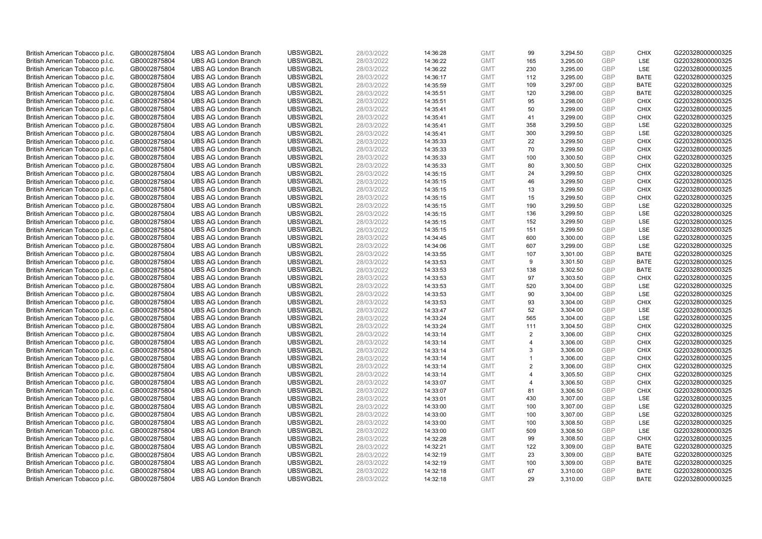| British American Tobacco p.l.c. | GB0002875804 | <b>UBS AG London Branch</b> | UBSWGB2L | 28/03/2022 | 14:36:28 | <b>GMT</b> | 99             | 3,294.50 | <b>GBP</b> | <b>CHIX</b> | G220328000000325 |
|---------------------------------|--------------|-----------------------------|----------|------------|----------|------------|----------------|----------|------------|-------------|------------------|
| British American Tobacco p.l.c. | GB0002875804 | <b>UBS AG London Branch</b> | UBSWGB2L | 28/03/2022 | 14:36:22 | <b>GMT</b> | 165            | 3,295.00 | GBP        | <b>LSE</b>  | G220328000000325 |
| British American Tobacco p.l.c. | GB0002875804 | <b>UBS AG London Branch</b> | UBSWGB2L | 28/03/2022 | 14:36:22 | <b>GMT</b> | 230            | 3,295.00 | <b>GBP</b> | LSE         | G220328000000325 |
| British American Tobacco p.l.c. | GB0002875804 | <b>UBS AG London Branch</b> | UBSWGB2L | 28/03/2022 | 14:36:17 | <b>GMT</b> | 112            | 3,295.00 | GBP        | <b>BATE</b> | G220328000000325 |
| British American Tobacco p.l.c. | GB0002875804 | <b>UBS AG London Branch</b> | UBSWGB2L | 28/03/2022 | 14:35:59 | <b>GMT</b> | 109            | 3,297.00 | GBP        | <b>BATE</b> | G220328000000325 |
| British American Tobacco p.l.c. | GB0002875804 | <b>UBS AG London Branch</b> | UBSWGB2L | 28/03/2022 | 14:35:51 | <b>GMT</b> | 120            | 3,298.00 | GBP        | <b>BATE</b> | G220328000000325 |
| British American Tobacco p.l.c. | GB0002875804 | <b>UBS AG London Branch</b> | UBSWGB2L | 28/03/2022 | 14:35:51 | <b>GMT</b> | 95             | 3,298.00 | <b>GBP</b> | <b>CHIX</b> | G220328000000325 |
| British American Tobacco p.l.c. | GB0002875804 | <b>UBS AG London Branch</b> | UBSWGB2L | 28/03/2022 | 14:35:41 | <b>GMT</b> | 50             | 3,299.00 | GBP        | <b>CHIX</b> | G220328000000325 |
| British American Tobacco p.l.c. | GB0002875804 | <b>UBS AG London Branch</b> | UBSWGB2L | 28/03/2022 | 14:35:41 | <b>GMT</b> | 41             | 3,299.00 | GBP        | <b>CHIX</b> | G220328000000325 |
| British American Tobacco p.l.c. | GB0002875804 | <b>UBS AG London Branch</b> | UBSWGB2L | 28/03/2022 | 14:35:41 | <b>GMT</b> | 358            | 3,299.50 | GBP        | LSE         | G220328000000325 |
| British American Tobacco p.l.c. | GB0002875804 | <b>UBS AG London Branch</b> | UBSWGB2L | 28/03/2022 | 14:35:41 | <b>GMT</b> | 300            | 3,299.50 | GBP        | <b>LSE</b>  | G220328000000325 |
| British American Tobacco p.l.c. | GB0002875804 | <b>UBS AG London Branch</b> | UBSWGB2L | 28/03/2022 | 14:35:33 | <b>GMT</b> | 22             | 3,299.50 | <b>GBP</b> | <b>CHIX</b> | G220328000000325 |
| British American Tobacco p.l.c. | GB0002875804 | <b>UBS AG London Branch</b> | UBSWGB2L | 28/03/2022 | 14:35:33 | <b>GMT</b> | 70             | 3,299.50 | <b>GBP</b> | <b>CHIX</b> | G220328000000325 |
| British American Tobacco p.l.c. | GB0002875804 | <b>UBS AG London Branch</b> | UBSWGB2L | 28/03/2022 | 14:35:33 | <b>GMT</b> | 100            | 3,300.50 | <b>GBP</b> | <b>CHIX</b> | G220328000000325 |
| British American Tobacco p.l.c. | GB0002875804 | <b>UBS AG London Branch</b> | UBSWGB2L | 28/03/2022 | 14:35:33 | <b>GMT</b> | 80             | 3,300.50 | <b>GBP</b> | <b>CHIX</b> | G220328000000325 |
| British American Tobacco p.l.c. | GB0002875804 | <b>UBS AG London Branch</b> | UBSWGB2L | 28/03/2022 | 14:35:15 | <b>GMT</b> | 24             | 3,299.50 | <b>GBP</b> | <b>CHIX</b> | G220328000000325 |
| British American Tobacco p.l.c. | GB0002875804 | <b>UBS AG London Branch</b> | UBSWGB2L | 28/03/2022 | 14:35:15 | <b>GMT</b> | 46             | 3,299.50 | <b>GBP</b> | <b>CHIX</b> | G220328000000325 |
| British American Tobacco p.l.c. | GB0002875804 | <b>UBS AG London Branch</b> | UBSWGB2L | 28/03/2022 | 14:35:15 | <b>GMT</b> | 13             | 3,299.50 | <b>GBP</b> | <b>CHIX</b> | G220328000000325 |
| British American Tobacco p.l.c. | GB0002875804 | <b>UBS AG London Branch</b> | UBSWGB2L | 28/03/2022 | 14:35:15 | <b>GMT</b> | 15             | 3,299.50 | <b>GBP</b> | <b>CHIX</b> | G220328000000325 |
| British American Tobacco p.l.c. | GB0002875804 | <b>UBS AG London Branch</b> | UBSWGB2L | 28/03/2022 | 14:35:15 | <b>GMT</b> | 190            | 3,299.50 | <b>GBP</b> | LSE         | G220328000000325 |
| British American Tobacco p.l.c. | GB0002875804 | <b>UBS AG London Branch</b> | UBSWGB2L | 28/03/2022 | 14:35:15 | <b>GMT</b> | 136            | 3,299.50 | <b>GBP</b> | <b>LSE</b>  | G220328000000325 |
| British American Tobacco p.l.c. | GB0002875804 | <b>UBS AG London Branch</b> | UBSWGB2L | 28/03/2022 | 14:35:15 | <b>GMT</b> | 152            | 3,299.50 | <b>GBP</b> | LSE         | G220328000000325 |
| British American Tobacco p.l.c. | GB0002875804 | <b>UBS AG London Branch</b> | UBSWGB2L | 28/03/2022 | 14:35:15 | <b>GMT</b> | 151            | 3,299.50 | <b>GBP</b> | LSE         | G220328000000325 |
| British American Tobacco p.l.c. | GB0002875804 | <b>UBS AG London Branch</b> | UBSWGB2L | 28/03/2022 | 14:34:45 | <b>GMT</b> | 600            | 3,300.00 | <b>GBP</b> | LSE         | G220328000000325 |
| British American Tobacco p.l.c. | GB0002875804 | <b>UBS AG London Branch</b> | UBSWGB2L | 28/03/2022 | 14:34:06 | <b>GMT</b> | 607            | 3,299.00 | GBP        | LSE         | G220328000000325 |
| British American Tobacco p.l.c. | GB0002875804 | <b>UBS AG London Branch</b> | UBSWGB2L | 28/03/2022 | 14:33:55 | <b>GMT</b> | 107            | 3,301.00 | <b>GBP</b> | <b>BATE</b> | G220328000000325 |
| British American Tobacco p.l.c. | GB0002875804 | <b>UBS AG London Branch</b> | UBSWGB2L | 28/03/2022 | 14:33:53 | <b>GMT</b> | 9              | 3,301.50 | GBP        | <b>BATE</b> | G220328000000325 |
| British American Tobacco p.l.c. | GB0002875804 | <b>UBS AG London Branch</b> | UBSWGB2L | 28/03/2022 | 14:33:53 | <b>GMT</b> | 138            | 3,302.50 | <b>GBP</b> | <b>BATE</b> | G220328000000325 |
| British American Tobacco p.l.c. | GB0002875804 | <b>UBS AG London Branch</b> | UBSWGB2L | 28/03/2022 | 14:33:53 | <b>GMT</b> | 97             | 3,303.50 | GBP        | <b>CHIX</b> | G220328000000325 |
| British American Tobacco p.l.c. | GB0002875804 | <b>UBS AG London Branch</b> | UBSWGB2L | 28/03/2022 | 14:33:53 | <b>GMT</b> | 520            | 3,304.00 | <b>GBP</b> | <b>LSE</b>  | G220328000000325 |
| British American Tobacco p.l.c. | GB0002875804 | <b>UBS AG London Branch</b> | UBSWGB2L | 28/03/2022 | 14:33:53 | <b>GMT</b> | 90             | 3,304.00 | GBP        | LSE         | G220328000000325 |
| British American Tobacco p.l.c. | GB0002875804 | <b>UBS AG London Branch</b> | UBSWGB2L | 28/03/2022 | 14:33:53 | <b>GMT</b> | 93             | 3,304.00 | <b>GBP</b> | <b>CHIX</b> | G220328000000325 |
| British American Tobacco p.l.c. | GB0002875804 | <b>UBS AG London Branch</b> | UBSWGB2L | 28/03/2022 | 14:33:47 | <b>GMT</b> | 52             | 3,304.00 | GBP        | LSE         | G220328000000325 |
| British American Tobacco p.l.c. | GB0002875804 | <b>UBS AG London Branch</b> | UBSWGB2L | 28/03/2022 | 14:33:24 | <b>GMT</b> | 565            | 3,304.00 | <b>GBP</b> | LSE         | G220328000000325 |
| British American Tobacco p.l.c. | GB0002875804 | <b>UBS AG London Branch</b> | UBSWGB2L | 28/03/2022 | 14:33:24 | <b>GMT</b> | 111            | 3,304.50 | GBP        | <b>CHIX</b> | G220328000000325 |
| British American Tobacco p.l.c. | GB0002875804 | <b>UBS AG London Branch</b> | UBSWGB2L | 28/03/2022 | 14:33:14 | <b>GMT</b> | 2              | 3,306.00 | <b>GBP</b> | <b>CHIX</b> | G220328000000325 |
| British American Tobacco p.l.c. | GB0002875804 | <b>UBS AG London Branch</b> | UBSWGB2L | 28/03/2022 | 14:33:14 | <b>GMT</b> | $\overline{4}$ | 3,306.00 | GBP        | <b>CHIX</b> | G220328000000325 |
| British American Tobacco p.l.c. | GB0002875804 | <b>UBS AG London Branch</b> | UBSWGB2L | 28/03/2022 | 14:33:14 | <b>GMT</b> | 3              | 3,306.00 | <b>GBP</b> | <b>CHIX</b> | G220328000000325 |
| British American Tobacco p.l.c. | GB0002875804 | <b>UBS AG London Branch</b> | UBSWGB2L | 28/03/2022 | 14:33:14 | <b>GMT</b> |                | 3,306.00 | <b>GBP</b> | <b>CHIX</b> | G220328000000325 |
| British American Tobacco p.l.c. | GB0002875804 | <b>UBS AG London Branch</b> | UBSWGB2L | 28/03/2022 | 14:33:14 | <b>GMT</b> | 2              | 3,306.00 | <b>GBP</b> | <b>CHIX</b> | G220328000000325 |
| British American Tobacco p.l.c. | GB0002875804 | <b>UBS AG London Branch</b> | UBSWGB2L | 28/03/2022 | 14:33:14 | <b>GMT</b> | 4              | 3,305.50 | GBP        | <b>CHIX</b> | G220328000000325 |
| British American Tobacco p.l.c. | GB0002875804 | <b>UBS AG London Branch</b> | UBSWGB2L | 28/03/2022 | 14:33:07 | <b>GMT</b> | $\overline{4}$ | 3,306.50 | GBP        | <b>CHIX</b> | G220328000000325 |
| British American Tobacco p.l.c. | GB0002875804 | <b>UBS AG London Branch</b> | UBSWGB2L | 28/03/2022 | 14:33:07 | <b>GMT</b> | 81             | 3,306.50 | GBP        | <b>CHIX</b> | G220328000000325 |
| British American Tobacco p.l.c. | GB0002875804 | <b>UBS AG London Branch</b> | UBSWGB2L | 28/03/2022 | 14:33:01 | <b>GMT</b> | 430            | 3,307.00 | <b>GBP</b> | LSE         | G220328000000325 |
| British American Tobacco p.l.c. | GB0002875804 | <b>UBS AG London Branch</b> | UBSWGB2L | 28/03/2022 | 14:33:00 | <b>GMT</b> | 100            | 3,307.00 | <b>GBP</b> | <b>LSE</b>  | G220328000000325 |
| British American Tobacco p.l.c. | GB0002875804 | <b>UBS AG London Branch</b> | UBSWGB2L | 28/03/2022 | 14:33:00 | <b>GMT</b> | 100            | 3,307.00 | <b>GBP</b> | <b>LSE</b>  | G220328000000325 |
| British American Tobacco p.l.c. | GB0002875804 | <b>UBS AG London Branch</b> | UBSWGB2L | 28/03/2022 | 14:33:00 | <b>GMT</b> | 100            | 3,308.50 | <b>GBP</b> | LSE         | G220328000000325 |
| British American Tobacco p.l.c. | GB0002875804 | <b>UBS AG London Branch</b> | UBSWGB2L | 28/03/2022 | 14:33:00 | <b>GMT</b> | 509            | 3,308.50 | <b>GBP</b> | LSE         | G220328000000325 |
| British American Tobacco p.l.c. | GB0002875804 | <b>UBS AG London Branch</b> | UBSWGB2L | 28/03/2022 | 14:32:28 | <b>GMT</b> | 99             | 3,308.50 | GBP        | <b>CHIX</b> | G220328000000325 |
| British American Tobacco p.l.c. | GB0002875804 | <b>UBS AG London Branch</b> | UBSWGB2L | 28/03/2022 | 14:32:21 | <b>GMT</b> | 122            | 3,309.00 | <b>GBP</b> | <b>BATE</b> | G220328000000325 |
| British American Tobacco p.l.c. | GB0002875804 | <b>UBS AG London Branch</b> | UBSWGB2L | 28/03/2022 | 14:32:19 | <b>GMT</b> | 23             | 3,309.00 | <b>GBP</b> | <b>BATE</b> | G220328000000325 |
| British American Tobacco p.l.c. | GB0002875804 | <b>UBS AG London Branch</b> | UBSWGB2L | 28/03/2022 | 14:32:19 | <b>GMT</b> | 100            | 3,309.00 | <b>GBP</b> | <b>BATE</b> | G220328000000325 |
| British American Tobacco p.l.c. | GB0002875804 | <b>UBS AG London Branch</b> | UBSWGB2L | 28/03/2022 | 14:32:18 | <b>GMT</b> | 67             | 3,310.00 | GBP        | <b>BATE</b> | G220328000000325 |
| British American Tobacco p.l.c. | GB0002875804 | <b>UBS AG London Branch</b> | UBSWGB2L | 28/03/2022 | 14:32:18 | <b>GMT</b> | 29             | 3.310.00 | GBP        | <b>BATE</b> | G220328000000325 |
|                                 |              |                             |          |            |          |            |                |          |            |             |                  |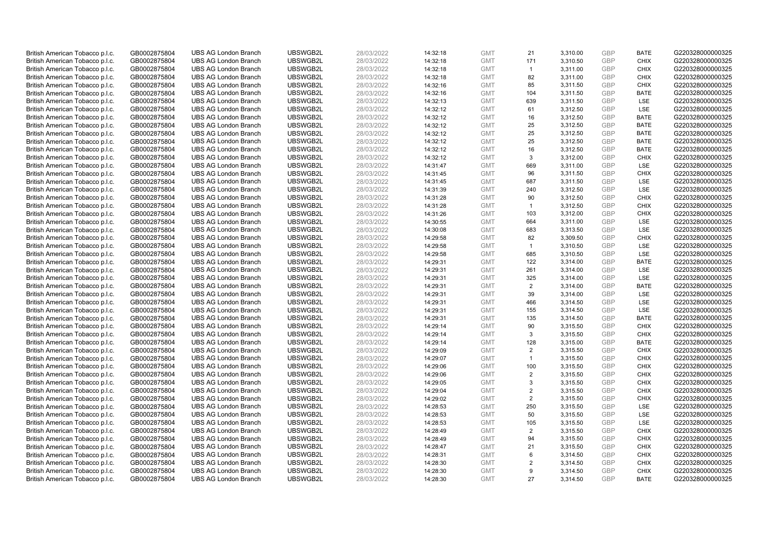| British American Tobacco p.l.c.                                    | GB0002875804                 | <b>UBS AG London Branch</b> | UBSWGB2L | 28/03/2022 | 14:32:18             | <b>GMT</b> | 21             | 3,310.00             | <b>GBP</b> | <b>BATE</b> | G220328000000325 |
|--------------------------------------------------------------------|------------------------------|-----------------------------|----------|------------|----------------------|------------|----------------|----------------------|------------|-------------|------------------|
| British American Tobacco p.l.c.                                    | GB0002875804                 | <b>UBS AG London Branch</b> | UBSWGB2L | 28/03/2022 | 14:32:18             | <b>GMT</b> | 171            | 3,310.50             | GBP        | <b>CHIX</b> | G220328000000325 |
| British American Tobacco p.l.c.                                    | GB0002875804                 | <b>UBS AG London Branch</b> | UBSWGB2L | 28/03/2022 | 14:32:18             | <b>GMT</b> | $\overline{1}$ | 3,311.00             | GBP        | <b>CHIX</b> | G220328000000325 |
| British American Tobacco p.l.c.                                    | GB0002875804                 | <b>UBS AG London Branch</b> | UBSWGB2L | 28/03/2022 | 14:32:18             | <b>GMT</b> | 82             | 3,311.00             | GBP        | <b>CHIX</b> | G220328000000325 |
| British American Tobacco p.l.c.                                    | GB0002875804                 | <b>UBS AG London Branch</b> | UBSWGB2L | 28/03/2022 | 14:32:16             | <b>GMT</b> | 85             | 3,311.50             | <b>GBP</b> | <b>CHIX</b> | G220328000000325 |
| British American Tobacco p.l.c.                                    | GB0002875804                 | <b>UBS AG London Branch</b> | UBSWGB2L | 28/03/2022 | 14:32:16             | <b>GMT</b> | 104            | 3,311.50             | <b>GBP</b> | <b>BATE</b> | G220328000000325 |
| British American Tobacco p.l.c.                                    | GB0002875804                 | <b>UBS AG London Branch</b> | UBSWGB2L | 28/03/2022 | 14:32:13             | <b>GMT</b> | 639            | 3,311.50             | <b>GBP</b> | LSE         | G220328000000325 |
| British American Tobacco p.l.c.                                    | GB0002875804                 | <b>UBS AG London Branch</b> | UBSWGB2L | 28/03/2022 | 14:32:12             | <b>GMT</b> | 61             | 3,312.50             | GBP        | LSE         | G220328000000325 |
| British American Tobacco p.l.c.                                    | GB0002875804                 | <b>UBS AG London Branch</b> | UBSWGB2L | 28/03/2022 | 14:32:12             | <b>GMT</b> | 16             | 3,312.50             | GBP        | <b>BATE</b> | G220328000000325 |
| British American Tobacco p.l.c.                                    | GB0002875804                 | <b>UBS AG London Branch</b> | UBSWGB2L | 28/03/2022 | 14:32:12             | <b>GMT</b> | 25             | 3,312.50             | <b>GBP</b> | <b>BATE</b> | G220328000000325 |
| British American Tobacco p.l.c.                                    | GB0002875804                 | <b>UBS AG London Branch</b> | UBSWGB2L | 28/03/2022 | 14:32:12             | <b>GMT</b> | 25             | 3,312.50             | GBP        | <b>BATE</b> | G220328000000325 |
| British American Tobacco p.l.c.                                    | GB0002875804                 | <b>UBS AG London Branch</b> | UBSWGB2L | 28/03/2022 | 14:32:12             | <b>GMT</b> | 25             | 3,312.50             | <b>GBP</b> | <b>BATE</b> | G220328000000325 |
| British American Tobacco p.l.c.                                    | GB0002875804                 | <b>UBS AG London Branch</b> | UBSWGB2L | 28/03/2022 | 14:32:12             | <b>GMT</b> | 16             | 3,312.50             | <b>GBP</b> | <b>BATE</b> | G220328000000325 |
| British American Tobacco p.l.c.                                    | GB0002875804                 | <b>UBS AG London Branch</b> | UBSWGB2L | 28/03/2022 | 14:32:12             | <b>GMT</b> | 3              | 3,312.00             | <b>GBP</b> | <b>CHIX</b> | G220328000000325 |
| British American Tobacco p.l.c.                                    | GB0002875804                 | <b>UBS AG London Branch</b> | UBSWGB2L | 28/03/2022 | 14:31:47             | <b>GMT</b> | 669            | 3,311.00             | GBP        | <b>LSE</b>  | G220328000000325 |
| British American Tobacco p.l.c.                                    | GB0002875804                 | <b>UBS AG London Branch</b> | UBSWGB2L | 28/03/2022 | 14:31:45             | <b>GMT</b> | 96             | 3,311.50             | <b>GBP</b> | <b>CHIX</b> | G220328000000325 |
| British American Tobacco p.l.c.                                    | GB0002875804                 | <b>UBS AG London Branch</b> | UBSWGB2L | 28/03/2022 | 14:31:45             | <b>GMT</b> | 687            | 3,311.50             | GBP        | <b>LSE</b>  | G220328000000325 |
| British American Tobacco p.l.c.                                    | GB0002875804                 | <b>UBS AG London Branch</b> | UBSWGB2L | 28/03/2022 | 14:31:39             | <b>GMT</b> | 240            | 3,312.50             | <b>GBP</b> | LSE         | G220328000000325 |
| British American Tobacco p.l.c.                                    | GB0002875804                 | <b>UBS AG London Branch</b> | UBSWGB2L | 28/03/2022 | 14:31:28             | <b>GMT</b> | 90             | 3,312.50             | GBP        | <b>CHIX</b> | G220328000000325 |
| British American Tobacco p.l.c.                                    | GB0002875804                 | <b>UBS AG London Branch</b> | UBSWGB2L | 28/03/2022 | 14:31:28             | <b>GMT</b> | $\overline{1}$ | 3,312.50             | <b>GBP</b> | <b>CHIX</b> | G220328000000325 |
| British American Tobacco p.l.c.                                    | GB0002875804                 | <b>UBS AG London Branch</b> | UBSWGB2L | 28/03/2022 | 14:31:26             | <b>GMT</b> | 103            | 3,312.00             | GBP        | <b>CHIX</b> | G220328000000325 |
| British American Tobacco p.l.c.                                    | GB0002875804                 | <b>UBS AG London Branch</b> | UBSWGB2L | 28/03/2022 | 14:30:55             | <b>GMT</b> | 664            | 3,311.00             | GBP        | LSE         | G220328000000325 |
| British American Tobacco p.l.c.                                    | GB0002875804                 | <b>UBS AG London Branch</b> | UBSWGB2L | 28/03/2022 | 14:30:08             | <b>GMT</b> | 683            | 3,313.50             | GBP        | LSE         | G220328000000325 |
| British American Tobacco p.l.c.                                    | GB0002875804                 | <b>UBS AG London Branch</b> | UBSWGB2L | 28/03/2022 | 14:29:58             | <b>GMT</b> | 82             | 3,309.50             | GBP        | <b>CHIX</b> | G220328000000325 |
| British American Tobacco p.l.c.                                    | GB0002875804                 | <b>UBS AG London Branch</b> | UBSWGB2L | 28/03/2022 | 14:29:58             | <b>GMT</b> | $\mathbf{1}$   | 3,310.50             | <b>GBP</b> | LSE         | G220328000000325 |
| British American Tobacco p.l.c.                                    | GB0002875804                 | <b>UBS AG London Branch</b> | UBSWGB2L | 28/03/2022 | 14:29:58             | <b>GMT</b> | 685            | 3,310.50             | <b>GBP</b> | LSE         | G220328000000325 |
| British American Tobacco p.l.c.                                    | GB0002875804                 | <b>UBS AG London Branch</b> | UBSWGB2L | 28/03/2022 | 14:29:31             | <b>GMT</b> | 122            | 3,314.00             | <b>GBP</b> | <b>BATE</b> | G220328000000325 |
| British American Tobacco p.l.c.                                    | GB0002875804                 | <b>UBS AG London Branch</b> | UBSWGB2L | 28/03/2022 | 14:29:31             | <b>GMT</b> | 261            | 3,314.00             | <b>GBP</b> | <b>LSE</b>  | G220328000000325 |
| British American Tobacco p.l.c.                                    | GB0002875804                 | <b>UBS AG London Branch</b> | UBSWGB2L | 28/03/2022 | 14:29:31             | <b>GMT</b> | 325            | 3,314.00             | <b>GBP</b> | LSE         | G220328000000325 |
| British American Tobacco p.l.c.                                    | GB0002875804                 | <b>UBS AG London Branch</b> | UBSWGB2L | 28/03/2022 | 14:29:31             | <b>GMT</b> | 2              | 3,314.00             | <b>GBP</b> | <b>BATE</b> | G220328000000325 |
| British American Tobacco p.l.c.                                    | GB0002875804                 | <b>UBS AG London Branch</b> | UBSWGB2L | 28/03/2022 | 14:29:31             | <b>GMT</b> | 39             | 3,314.00             | <b>GBP</b> | <b>LSE</b>  | G220328000000325 |
| British American Tobacco p.l.c.                                    | GB0002875804                 | <b>UBS AG London Branch</b> | UBSWGB2L | 28/03/2022 | 14:29:31             | <b>GMT</b> | 466            | 3,314.50             | <b>GBP</b> | <b>LSE</b>  | G220328000000325 |
| British American Tobacco p.l.c.                                    | GB0002875804                 | <b>UBS AG London Branch</b> | UBSWGB2L | 28/03/2022 | 14:29:31             | <b>GMT</b> | 155            | 3,314.50             | <b>GBP</b> | LSE         | G220328000000325 |
| British American Tobacco p.l.c.                                    | GB0002875804                 | <b>UBS AG London Branch</b> | UBSWGB2L | 28/03/2022 | 14:29:31             | <b>GMT</b> | 135            | 3,314.50             | GBP        | <b>BATE</b> | G220328000000325 |
| British American Tobacco p.l.c.                                    | GB0002875804                 | <b>UBS AG London Branch</b> | UBSWGB2L | 28/03/2022 | 14:29:14             | <b>GMT</b> | 90             | 3,315.50             | GBP        | <b>CHIX</b> | G220328000000325 |
| British American Tobacco p.l.c.                                    | GB0002875804                 | <b>UBS AG London Branch</b> | UBSWGB2L | 28/03/2022 | 14:29:14             | <b>GMT</b> | 3              | 3,315.50             | GBP        | <b>CHIX</b> | G220328000000325 |
| British American Tobacco p.l.c.                                    | GB0002875804                 | <b>UBS AG London Branch</b> | UBSWGB2L | 28/03/2022 | 14:29:14             | <b>GMT</b> | 128            | 3,315.00             | GBP        | <b>BATE</b> | G220328000000325 |
| British American Tobacco p.l.c.                                    | GB0002875804                 | <b>UBS AG London Branch</b> | UBSWGB2L | 28/03/2022 | 14:29:09             | <b>GMT</b> | 2              | 3,315.50             | <b>GBP</b> | <b>CHIX</b> | G220328000000325 |
| British American Tobacco p.l.c.                                    | GB0002875804                 | <b>UBS AG London Branch</b> | UBSWGB2L | 28/03/2022 | 14:29:07             | <b>GMT</b> | $\mathbf{1}$   | 3,315.50             | <b>GBP</b> | <b>CHIX</b> | G220328000000325 |
| British American Tobacco p.l.c.                                    | GB0002875804                 | <b>UBS AG London Branch</b> | UBSWGB2L | 28/03/2022 | 14:29:06             | <b>GMT</b> | 100            | 3,315.50             | <b>GBP</b> | <b>CHIX</b> | G220328000000325 |
| British American Tobacco p.l.c.                                    | GB0002875804                 | <b>UBS AG London Branch</b> | UBSWGB2L | 28/03/2022 | 14:29:06             | <b>GMT</b> | $\overline{2}$ | 3,315.50             | GBP        | <b>CHIX</b> | G220328000000325 |
| British American Tobacco p.l.c.                                    | GB0002875804                 | <b>UBS AG London Branch</b> | UBSWGB2L | 28/03/2022 | 14:29:05             | <b>GMT</b> | 3              | 3,315.50             | <b>GBP</b> | <b>CHIX</b> | G220328000000325 |
| British American Tobacco p.l.c.                                    | GB0002875804                 | <b>UBS AG London Branch</b> | UBSWGB2L | 28/03/2022 | 14:29:04             | <b>GMT</b> | 2              | 3,315.50             | <b>GBP</b> | <b>CHIX</b> | G220328000000325 |
| British American Tobacco p.l.c.                                    |                              | <b>UBS AG London Branch</b> | UBSWGB2L | 28/03/2022 |                      | <b>GMT</b> | $\overline{2}$ | 3,315.50             | GBP        | <b>CHIX</b> | G220328000000325 |
| British American Tobacco p.l.c.                                    | GB0002875804<br>GB0002875804 | <b>UBS AG London Branch</b> | UBSWGB2L | 28/03/2022 | 14:29:02<br>14:28:53 | <b>GMT</b> | 250            | 3,315.50             | <b>GBP</b> | <b>LSE</b>  | G220328000000325 |
|                                                                    |                              | <b>UBS AG London Branch</b> | UBSWGB2L | 28/03/2022 | 14:28:53             | <b>GMT</b> | 50             |                      | <b>GBP</b> | LSE         | G220328000000325 |
| British American Tobacco p.l.c.<br>British American Tobacco p.l.c. | GB0002875804<br>GB0002875804 | <b>UBS AG London Branch</b> | UBSWGB2L | 28/03/2022 | 14:28:53             | <b>GMT</b> | 105            | 3,315.50<br>3,315.50 | <b>GBP</b> | LSE         | G220328000000325 |
|                                                                    |                              | <b>UBS AG London Branch</b> | UBSWGB2L |            |                      | <b>GMT</b> | 2              |                      | GBP        | <b>CHIX</b> | G220328000000325 |
| British American Tobacco p.l.c.                                    | GB0002875804                 |                             |          | 28/03/2022 | 14:28:49             | <b>GMT</b> |                | 3,315.50             | <b>GBP</b> |             |                  |
| British American Tobacco p.l.c.                                    | GB0002875804                 | <b>UBS AG London Branch</b> | UBSWGB2L | 28/03/2022 | 14:28:49             |            | 94             | 3,315.50             | GBP        | <b>CHIX</b> | G220328000000325 |
| British American Tobacco p.l.c.                                    | GB0002875804                 | <b>UBS AG London Branch</b> | UBSWGB2L | 28/03/2022 | 14:28:47             | <b>GMT</b> | 21             | 3,315.50             |            | <b>CHIX</b> | G220328000000325 |
| British American Tobacco p.l.c.                                    | GB0002875804                 | <b>UBS AG London Branch</b> | UBSWGB2L | 28/03/2022 | 14:28:31             | <b>GMT</b> | 6              | 3,314.50             | GBP        | <b>CHIX</b> | G220328000000325 |
| British American Tobacco p.l.c.                                    | GB0002875804                 | <b>UBS AG London Branch</b> | UBSWGB2L | 28/03/2022 | 14:28:30             | <b>GMT</b> | 2              | 3,314.50             | <b>GBP</b> | <b>CHIX</b> | G220328000000325 |
| British American Tobacco p.l.c.                                    | GB0002875804                 | <b>UBS AG London Branch</b> | UBSWGB2L | 28/03/2022 | 14:28:30             | <b>GMT</b> | 9              | 3,314.50             | GBP        | <b>CHIX</b> | G220328000000325 |
| British American Tobacco p.l.c.                                    | GB0002875804                 | <b>UBS AG London Branch</b> | UBSWGB2L | 28/03/2022 | 14:28:30             | <b>GMT</b> | 27             | 3.314.50             | GBP        | <b>BATE</b> | G220328000000325 |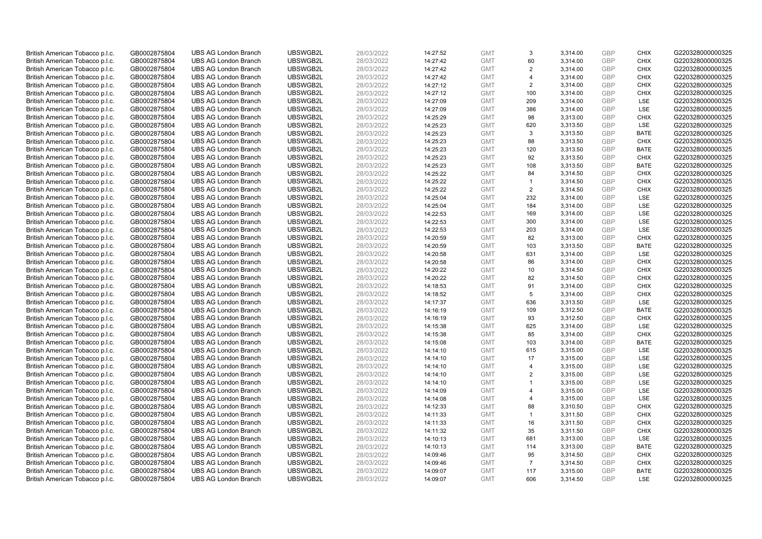| British American Tobacco p.l.c. | GB0002875804 | <b>UBS AG London Branch</b> | UBSWGB2L | 28/03/2022 | 14:27:52 | <b>GMT</b> | 3                       | 3,314.00 | <b>GBP</b> | <b>CHIX</b> | G220328000000325 |
|---------------------------------|--------------|-----------------------------|----------|------------|----------|------------|-------------------------|----------|------------|-------------|------------------|
| British American Tobacco p.l.c. | GB0002875804 | <b>UBS AG London Branch</b> | UBSWGB2L | 28/03/2022 | 14:27:42 | <b>GMT</b> | 60                      | 3,314.00 | GBP        | <b>CHIX</b> | G220328000000325 |
| British American Tobacco p.l.c. | GB0002875804 | <b>UBS AG London Branch</b> | UBSWGB2L | 28/03/2022 | 14:27:42 | <b>GMT</b> | 2                       | 3,314.00 | GBP        | <b>CHIX</b> | G220328000000325 |
| British American Tobacco p.l.c. | GB0002875804 | <b>UBS AG London Branch</b> | UBSWGB2L | 28/03/2022 | 14:27:42 | <b>GMT</b> | $\overline{\mathbf{A}}$ | 3,314.00 | GBP        | <b>CHIX</b> | G220328000000325 |
| British American Tobacco p.l.c. | GB0002875804 | <b>UBS AG London Branch</b> | UBSWGB2L | 28/03/2022 | 14:27:12 | <b>GMT</b> | 2                       | 3,314.00 | <b>GBP</b> | <b>CHIX</b> | G220328000000325 |
| British American Tobacco p.l.c. | GB0002875804 | <b>UBS AG London Branch</b> | UBSWGB2L | 28/03/2022 | 14:27:12 | <b>GMT</b> | 100                     | 3,314.00 | <b>GBP</b> | <b>CHIX</b> | G220328000000325 |
| British American Tobacco p.l.c. | GB0002875804 | <b>UBS AG London Branch</b> | UBSWGB2L | 28/03/2022 | 14:27:09 | <b>GMT</b> | 209                     | 3,314.00 | <b>GBP</b> | LSE         | G220328000000325 |
| British American Tobacco p.l.c. | GB0002875804 | <b>UBS AG London Branch</b> | UBSWGB2L | 28/03/2022 | 14:27:09 | <b>GMT</b> | 386                     | 3,314.00 | GBP        | LSE         | G220328000000325 |
| British American Tobacco p.l.c. | GB0002875804 | <b>UBS AG London Branch</b> | UBSWGB2L | 28/03/2022 | 14:25:29 | <b>GMT</b> | 98                      | 3,313.00 | GBP        | <b>CHIX</b> | G220328000000325 |
| British American Tobacco p.l.c. | GB0002875804 | <b>UBS AG London Branch</b> | UBSWGB2L | 28/03/2022 | 14:25:23 | <b>GMT</b> | 620                     | 3,313.50 | <b>GBP</b> | <b>LSE</b>  | G220328000000325 |
| British American Tobacco p.l.c. | GB0002875804 | <b>UBS AG London Branch</b> | UBSWGB2L | 28/03/2022 | 14:25:23 | <b>GMT</b> | 3                       | 3,313.50 | GBP        | <b>BATE</b> | G220328000000325 |
| British American Tobacco p.l.c. | GB0002875804 | <b>UBS AG London Branch</b> | UBSWGB2L | 28/03/2022 | 14:25:23 | <b>GMT</b> | 88                      | 3,313.50 | <b>GBP</b> | <b>CHIX</b> | G220328000000325 |
| British American Tobacco p.l.c. | GB0002875804 | <b>UBS AG London Branch</b> | UBSWGB2L | 28/03/2022 | 14:25:23 | <b>GMT</b> | 120                     | 3,313.50 | GBP        | <b>BATE</b> | G220328000000325 |
| British American Tobacco p.l.c. | GB0002875804 | <b>UBS AG London Branch</b> | UBSWGB2L | 28/03/2022 | 14:25:23 | <b>GMT</b> | 92                      | 3,313.50 | <b>GBP</b> | <b>CHIX</b> | G220328000000325 |
| British American Tobacco p.l.c. | GB0002875804 | <b>UBS AG London Branch</b> | UBSWGB2L | 28/03/2022 | 14:25:23 | <b>GMT</b> | 108                     | 3,313.50 | GBP        | <b>BATE</b> | G220328000000325 |
| British American Tobacco p.l.c. | GB0002875804 | <b>UBS AG London Branch</b> | UBSWGB2L | 28/03/2022 | 14:25:22 | <b>GMT</b> | 84                      | 3,314.50 | <b>GBP</b> | <b>CHIX</b> | G220328000000325 |
| British American Tobacco p.l.c. | GB0002875804 | <b>UBS AG London Branch</b> | UBSWGB2L | 28/03/2022 | 14:25:22 | <b>GMT</b> | -1                      | 3,314.50 | GBP        | <b>CHIX</b> | G220328000000325 |
| British American Tobacco p.l.c. | GB0002875804 | <b>UBS AG London Branch</b> | UBSWGB2L | 28/03/2022 | 14:25:22 | <b>GMT</b> | $\overline{2}$          | 3,314.50 | <b>GBP</b> | <b>CHIX</b> | G220328000000325 |
| British American Tobacco p.l.c. | GB0002875804 | <b>UBS AG London Branch</b> | UBSWGB2L | 28/03/2022 | 14:25:04 | <b>GMT</b> | 232                     | 3,314.00 | GBP        | <b>LSE</b>  | G220328000000325 |
| British American Tobacco p.l.c. | GB0002875804 | <b>UBS AG London Branch</b> | UBSWGB2L | 28/03/2022 | 14:25:04 | <b>GMT</b> | 184                     | 3,314.00 | <b>GBP</b> | LSE         | G220328000000325 |
| British American Tobacco p.l.c. | GB0002875804 | <b>UBS AG London Branch</b> | UBSWGB2L | 28/03/2022 | 14:22:53 | <b>GMT</b> | 169                     | 3,314.00 | GBP        | LSE         | G220328000000325 |
| British American Tobacco p.l.c. | GB0002875804 | <b>UBS AG London Branch</b> | UBSWGB2L | 28/03/2022 | 14:22:53 | <b>GMT</b> | 300                     | 3,314.00 | GBP        | LSE         | G220328000000325 |
| British American Tobacco p.l.c. | GB0002875804 | <b>UBS AG London Branch</b> | UBSWGB2L | 28/03/2022 | 14:22:53 | <b>GMT</b> | 203                     | 3,314.00 | GBP        | LSE         | G220328000000325 |
| British American Tobacco p.l.c. | GB0002875804 | <b>UBS AG London Branch</b> | UBSWGB2L | 28/03/2022 | 14:20:59 | <b>GMT</b> | 82                      | 3,313.00 | GBP        | <b>CHIX</b> | G220328000000325 |
| British American Tobacco p.l.c. | GB0002875804 | <b>UBS AG London Branch</b> | UBSWGB2L | 28/03/2022 | 14:20:59 | <b>GMT</b> | 103                     | 3,313.50 | <b>GBP</b> | <b>BATE</b> | G220328000000325 |
| British American Tobacco p.l.c. | GB0002875804 | <b>UBS AG London Branch</b> | UBSWGB2L | 28/03/2022 | 14:20:58 | <b>GMT</b> | 631                     | 3,314.00 | <b>GBP</b> | LSE         | G220328000000325 |
| British American Tobacco p.l.c. | GB0002875804 | <b>UBS AG London Branch</b> | UBSWGB2L | 28/03/2022 | 14:20:58 | <b>GMT</b> | 86                      | 3,314.00 | <b>GBP</b> | <b>CHIX</b> | G220328000000325 |
| British American Tobacco p.l.c. | GB0002875804 | <b>UBS AG London Branch</b> | UBSWGB2L | 28/03/2022 | 14:20:22 | <b>GMT</b> | 10                      | 3,314.50 | GBP        | <b>CHIX</b> | G220328000000325 |
| British American Tobacco p.l.c. | GB0002875804 | <b>UBS AG London Branch</b> | UBSWGB2L | 28/03/2022 | 14:20:22 | <b>GMT</b> | 82                      | 3,314.50 | <b>GBP</b> | <b>CHIX</b> | G220328000000325 |
| British American Tobacco p.l.c. | GB0002875804 | <b>UBS AG London Branch</b> | UBSWGB2L | 28/03/2022 | 14:18:53 | <b>GMT</b> | 91                      | 3,314.00 | GBP        | <b>CHIX</b> | G220328000000325 |
| British American Tobacco p.l.c. | GB0002875804 | <b>UBS AG London Branch</b> | UBSWGB2L | 28/03/2022 | 14:18:52 | <b>GMT</b> | 5                       | 3,314.00 | GBP        | <b>CHIX</b> | G220328000000325 |
| British American Tobacco p.l.c. | GB0002875804 | <b>UBS AG London Branch</b> | UBSWGB2L | 28/03/2022 | 14:17:37 | <b>GMT</b> | 636                     | 3,313.50 | <b>GBP</b> | <b>LSE</b>  | G220328000000325 |
| British American Tobacco p.l.c. | GB0002875804 | <b>UBS AG London Branch</b> | UBSWGB2L | 28/03/2022 | 14:16:19 | <b>GMT</b> | 109                     | 3,312.50 | <b>GBP</b> | <b>BATE</b> | G220328000000325 |
| British American Tobacco p.l.c. | GB0002875804 | <b>UBS AG London Branch</b> | UBSWGB2L | 28/03/2022 | 14:16:19 | <b>GMT</b> | 93                      | 3,312.50 | GBP        | <b>CHIX</b> | G220328000000325 |
| British American Tobacco p.l.c. | GB0002875804 | <b>UBS AG London Branch</b> | UBSWGB2L | 28/03/2022 | 14:15:38 | <b>GMT</b> | 625                     | 3,314.00 | GBP        | LSE         | G220328000000325 |
| British American Tobacco p.l.c. | GB0002875804 | <b>UBS AG London Branch</b> | UBSWGB2L | 28/03/2022 | 14:15:38 | <b>GMT</b> | 85                      | 3,314.00 | GBP        | <b>CHIX</b> | G220328000000325 |
| British American Tobacco p.l.c. | GB0002875804 | <b>UBS AG London Branch</b> | UBSWGB2L | 28/03/2022 | 14:15:08 | <b>GMT</b> | 103                     | 3,314.00 | GBP        | <b>BATE</b> | G220328000000325 |
| British American Tobacco p.l.c. | GB0002875804 | <b>UBS AG London Branch</b> | UBSWGB2L | 28/03/2022 | 14:14:10 | <b>GMT</b> | 615                     | 3,315.00 | <b>GBP</b> | LSE         | G220328000000325 |
| British American Tobacco p.l.c. | GB0002875804 | <b>UBS AG London Branch</b> | UBSWGB2L | 28/03/2022 | 14:14:10 | <b>GMT</b> | 17                      | 3,315.00 | <b>GBP</b> | LSE         | G220328000000325 |
| British American Tobacco p.l.c. | GB0002875804 | <b>UBS AG London Branch</b> | UBSWGB2L | 28/03/2022 | 14:14:10 | <b>GMT</b> | $\overline{4}$          | 3,315.00 | <b>GBP</b> | <b>LSE</b>  | G220328000000325 |
| British American Tobacco p.l.c. | GB0002875804 | <b>UBS AG London Branch</b> | UBSWGB2L | 28/03/2022 | 14:14:10 | <b>GMT</b> | 2                       | 3,315.00 | <b>GBP</b> | <b>LSE</b>  | G220328000000325 |
| British American Tobacco p.l.c. | GB0002875804 | <b>UBS AG London Branch</b> | UBSWGB2L | 28/03/2022 | 14:14:10 | <b>GMT</b> | $\mathbf{1}$            | 3,315.00 | <b>GBP</b> | LSE         | G220328000000325 |
| British American Tobacco p.l.c. | GB0002875804 | <b>UBS AG London Branch</b> | UBSWGB2L | 28/03/2022 | 14:14:09 | <b>GMT</b> | $\overline{\mathbf{A}}$ | 3,315.00 | <b>GBP</b> | LSE         | G220328000000325 |
| British American Tobacco p.l.c. | GB0002875804 | <b>UBS AG London Branch</b> | UBSWGB2L | 28/03/2022 | 14:14:08 | <b>GMT</b> | $\overline{4}$          | 3,315.00 | GBP        | <b>LSE</b>  | G220328000000325 |
| British American Tobacco p.l.c. | GB0002875804 | <b>UBS AG London Branch</b> | UBSWGB2L | 28/03/2022 | 14:12:33 | <b>GMT</b> | 88                      | 3,310.50 | <b>GBP</b> | <b>CHIX</b> | G220328000000325 |
| British American Tobacco p.l.c. | GB0002875804 | <b>UBS AG London Branch</b> | UBSWGB2L | 28/03/2022 | 14:11:33 | <b>GMT</b> | $\mathbf{1}$            | 3,311.50 | <b>GBP</b> | <b>CHIX</b> | G220328000000325 |
| British American Tobacco p.l.c. | GB0002875804 | <b>UBS AG London Branch</b> | UBSWGB2L | 28/03/2022 | 14:11:33 | <b>GMT</b> | 16                      | 3,311.50 | <b>GBP</b> | <b>CHIX</b> | G220328000000325 |
| British American Tobacco p.l.c. | GB0002875804 | <b>UBS AG London Branch</b> | UBSWGB2L | 28/03/2022 | 14:11:32 | <b>GMT</b> | 35                      | 3,311.50 | GBP        | <b>CHIX</b> | G220328000000325 |
| British American Tobacco p.l.c. | GB0002875804 | <b>UBS AG London Branch</b> | UBSWGB2L | 28/03/2022 | 14:10:13 | <b>GMT</b> | 681                     | 3,313.00 | <b>GBP</b> | LSE         | G220328000000325 |
| British American Tobacco p.l.c. | GB0002875804 | <b>UBS AG London Branch</b> | UBSWGB2L | 28/03/2022 | 14:10:13 | <b>GMT</b> | 114                     | 3,313.00 | GBP        | <b>BATE</b> | G220328000000325 |
| British American Tobacco p.l.c. | GB0002875804 | <b>UBS AG London Branch</b> | UBSWGB2L | 28/03/2022 | 14:09:46 | <b>GMT</b> | 95                      | 3,314.50 | GBP        | <b>CHIX</b> | G220328000000325 |
| British American Tobacco p.l.c. | GB0002875804 | <b>UBS AG London Branch</b> | UBSWGB2L | 28/03/2022 | 14:09:46 | <b>GMT</b> | $\overline{7}$          | 3,314.50 | <b>GBP</b> | <b>CHIX</b> | G220328000000325 |
| British American Tobacco p.l.c. | GB0002875804 | <b>UBS AG London Branch</b> | UBSWGB2L | 28/03/2022 | 14:09:07 | <b>GMT</b> | 117                     | 3,315.00 | GBP        | <b>BATE</b> | G220328000000325 |
| British American Tobacco p.l.c. | GB0002875804 | <b>UBS AG London Branch</b> | UBSWGB2L | 28/03/2022 | 14:09:07 | <b>GMT</b> | 606                     | 3.314.50 | GBP        | <b>LSE</b>  | G220328000000325 |
|                                 |              |                             |          |            |          |            |                         |          |            |             |                  |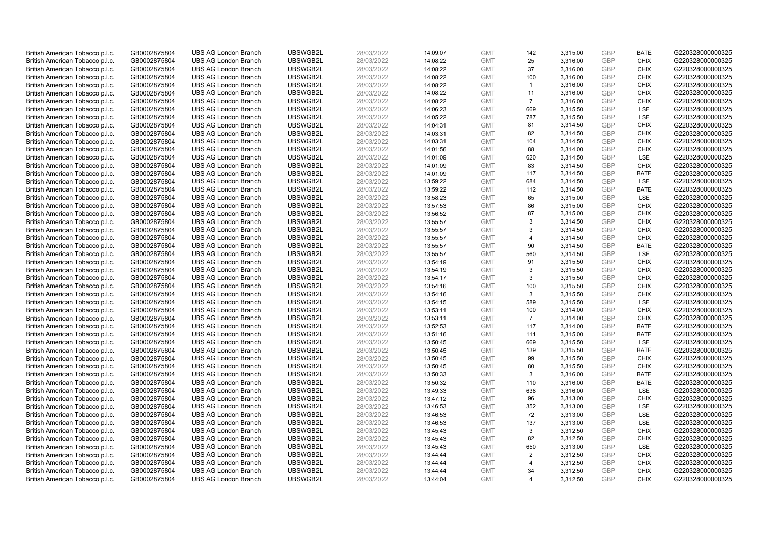| British American Tobacco p.l.c. | GB0002875804 | <b>UBS AG London Branch</b> | UBSWGB2L | 28/03/2022 | 14:09:07 | <b>GMT</b> | 142                     | 3,315.00 | <b>GBP</b> | <b>BATE</b> | G220328000000325 |
|---------------------------------|--------------|-----------------------------|----------|------------|----------|------------|-------------------------|----------|------------|-------------|------------------|
| British American Tobacco p.l.c. | GB0002875804 | <b>UBS AG London Branch</b> | UBSWGB2L | 28/03/2022 | 14:08:22 | <b>GMT</b> | 25                      | 3,316.00 | GBP        | <b>CHIX</b> | G220328000000325 |
| British American Tobacco p.l.c. | GB0002875804 | <b>UBS AG London Branch</b> | UBSWGB2L | 28/03/2022 | 14:08:22 | <b>GMT</b> | 37                      | 3,316.00 | GBP        | <b>CHIX</b> | G220328000000325 |
| British American Tobacco p.l.c. | GB0002875804 | <b>UBS AG London Branch</b> | UBSWGB2L | 28/03/2022 | 14:08:22 | <b>GMT</b> | 100                     | 3,316.00 | GBP        | <b>CHIX</b> | G220328000000325 |
| British American Tobacco p.l.c. | GB0002875804 | <b>UBS AG London Branch</b> | UBSWGB2L | 28/03/2022 | 14:08:22 | <b>GMT</b> | $\mathbf{1}$            | 3,316.00 | <b>GBP</b> | <b>CHIX</b> | G220328000000325 |
| British American Tobacco p.l.c. | GB0002875804 | <b>UBS AG London Branch</b> | UBSWGB2L | 28/03/2022 | 14:08:22 | <b>GMT</b> | 11                      | 3,316.00 | GBP        | <b>CHIX</b> | G220328000000325 |
| British American Tobacco p.l.c. | GB0002875804 | <b>UBS AG London Branch</b> | UBSWGB2L | 28/03/2022 | 14:08:22 | <b>GMT</b> | $\overline{7}$          | 3,316.00 | <b>GBP</b> | <b>CHIX</b> | G220328000000325 |
| British American Tobacco p.l.c. | GB0002875804 | <b>UBS AG London Branch</b> | UBSWGB2L | 28/03/2022 | 14:06:23 | <b>GMT</b> | 669                     | 3,315.50 | GBP        | <b>LSE</b>  | G220328000000325 |
| British American Tobacco p.l.c. | GB0002875804 | <b>UBS AG London Branch</b> | UBSWGB2L | 28/03/2022 | 14:05:22 | <b>GMT</b> | 787                     | 3,315.50 | GBP        | LSE         | G220328000000325 |
| British American Tobacco p.l.c. | GB0002875804 | <b>UBS AG London Branch</b> | UBSWGB2L | 28/03/2022 | 14:04:31 | <b>GMT</b> | 81                      | 3,314.50 | GBP        | <b>CHIX</b> | G220328000000325 |
| British American Tobacco p.l.c. | GB0002875804 | <b>UBS AG London Branch</b> | UBSWGB2L | 28/03/2022 | 14:03:31 | <b>GMT</b> | 82                      | 3,314.50 | GBP        | <b>CHIX</b> | G220328000000325 |
| British American Tobacco p.l.c. | GB0002875804 | <b>UBS AG London Branch</b> | UBSWGB2L | 28/03/2022 | 14:03:31 | <b>GMT</b> | 104                     | 3,314.50 | <b>GBP</b> | <b>CHIX</b> | G220328000000325 |
| British American Tobacco p.l.c. | GB0002875804 | <b>UBS AG London Branch</b> | UBSWGB2L | 28/03/2022 | 14:01:56 | <b>GMT</b> | 88                      | 3,314.00 | GBP        | <b>CHIX</b> | G220328000000325 |
| British American Tobacco p.l.c. | GB0002875804 | <b>UBS AG London Branch</b> | UBSWGB2L | 28/03/2022 | 14:01:09 | <b>GMT</b> | 620                     | 3,314.50 | <b>GBP</b> | <b>LSE</b>  | G220328000000325 |
| British American Tobacco p.l.c. | GB0002875804 | <b>UBS AG London Branch</b> | UBSWGB2L | 28/03/2022 | 14:01:09 | <b>GMT</b> | 83                      | 3,314.50 | GBP        | <b>CHIX</b> | G220328000000325 |
| British American Tobacco p.l.c. | GB0002875804 | <b>UBS AG London Branch</b> | UBSWGB2L | 28/03/2022 | 14:01:09 | <b>GMT</b> | 117                     | 3,314.50 | <b>GBP</b> | <b>BATE</b> | G220328000000325 |
| British American Tobacco p.l.c. | GB0002875804 | <b>UBS AG London Branch</b> | UBSWGB2L | 28/03/2022 | 13:59:22 | <b>GMT</b> | 684                     | 3,314.50 | GBP        | <b>LSE</b>  | G220328000000325 |
| British American Tobacco p.l.c. | GB0002875804 | <b>UBS AG London Branch</b> | UBSWGB2L | 28/03/2022 | 13:59:22 | <b>GMT</b> | 112                     | 3,314.50 | <b>GBP</b> | <b>BATE</b> | G220328000000325 |
| British American Tobacco p.l.c. | GB0002875804 | <b>UBS AG London Branch</b> | UBSWGB2L | 28/03/2022 | 13:58:23 | <b>GMT</b> | 65                      | 3,315.00 | GBP        | <b>LSE</b>  | G220328000000325 |
| British American Tobacco p.l.c. | GB0002875804 | <b>UBS AG London Branch</b> | UBSWGB2L | 28/03/2022 | 13:57:53 | <b>GMT</b> | 86                      | 3,315.00 | <b>GBP</b> | <b>CHIX</b> | G220328000000325 |
| British American Tobacco p.l.c. | GB0002875804 | <b>UBS AG London Branch</b> | UBSWGB2L | 28/03/2022 | 13:56:52 | <b>GMT</b> | 87                      | 3,315.00 | GBP        | <b>CHIX</b> | G220328000000325 |
| British American Tobacco p.l.c. | GB0002875804 | <b>UBS AG London Branch</b> | UBSWGB2L | 28/03/2022 | 13:55:57 | <b>GMT</b> | 3                       | 3,314.50 | <b>GBP</b> | <b>CHIX</b> | G220328000000325 |
| British American Tobacco p.l.c. | GB0002875804 | <b>UBS AG London Branch</b> | UBSWGB2L | 28/03/2022 | 13:55:57 | <b>GMT</b> | 3                       | 3,314.50 | GBP        | <b>CHIX</b> | G220328000000325 |
| British American Tobacco p.l.c. | GB0002875804 | <b>UBS AG London Branch</b> | UBSWGB2L | 28/03/2022 | 13:55:57 | <b>GMT</b> | $\overline{\mathbf{A}}$ | 3,314.50 | <b>GBP</b> | <b>CHIX</b> | G220328000000325 |
| British American Tobacco p.l.c. | GB0002875804 | <b>UBS AG London Branch</b> | UBSWGB2L | 28/03/2022 | 13:55:57 | <b>GMT</b> | 90                      | 3,314.50 | <b>GBP</b> | <b>BATE</b> | G220328000000325 |
| British American Tobacco p.l.c. | GB0002875804 | <b>UBS AG London Branch</b> | UBSWGB2L | 28/03/2022 | 13:55:57 | <b>GMT</b> | 560                     | 3,314.50 | <b>GBP</b> | LSE         | G220328000000325 |
| British American Tobacco p.l.c. | GB0002875804 | <b>UBS AG London Branch</b> | UBSWGB2L | 28/03/2022 | 13:54:19 | <b>GMT</b> | 91                      | 3,315.50 | <b>GBP</b> | <b>CHIX</b> | G220328000000325 |
| British American Tobacco p.l.c. | GB0002875804 | <b>UBS AG London Branch</b> | UBSWGB2L | 28/03/2022 | 13:54:19 | <b>GMT</b> | 3                       | 3,315.50 | <b>GBP</b> | <b>CHIX</b> | G220328000000325 |
| British American Tobacco p.l.c. | GB0002875804 | <b>UBS AG London Branch</b> | UBSWGB2L | 28/03/2022 | 13:54:17 | <b>GMT</b> | 3                       | 3,315.50 | <b>GBP</b> | <b>CHIX</b> | G220328000000325 |
| British American Tobacco p.l.c. | GB0002875804 | <b>UBS AG London Branch</b> | UBSWGB2L | 28/03/2022 | 13:54:16 | <b>GMT</b> | 100                     | 3,315.50 | <b>GBP</b> | <b>CHIX</b> | G220328000000325 |
| British American Tobacco p.l.c. | GB0002875804 | <b>UBS AG London Branch</b> | UBSWGB2L | 28/03/2022 | 13:54:16 | <b>GMT</b> | 3                       | 3,315.50 | <b>GBP</b> | <b>CHIX</b> | G220328000000325 |
| British American Tobacco p.l.c. | GB0002875804 | <b>UBS AG London Branch</b> | UBSWGB2L | 28/03/2022 | 13:54:15 | <b>GMT</b> | 589                     | 3,315.50 | <b>GBP</b> | <b>LSE</b>  | G220328000000325 |
| British American Tobacco p.l.c. | GB0002875804 | <b>UBS AG London Branch</b> | UBSWGB2L | 28/03/2022 | 13:53:11 | <b>GMT</b> | 100                     | 3,314.00 | <b>GBP</b> | <b>CHIX</b> | G220328000000325 |
| British American Tobacco p.l.c. | GB0002875804 | <b>UBS AG London Branch</b> | UBSWGB2L | 28/03/2022 | 13:53:11 | <b>GMT</b> | $\overline{7}$          | 3,314.00 | GBP        | <b>CHIX</b> | G220328000000325 |
| British American Tobacco p.l.c. | GB0002875804 | <b>UBS AG London Branch</b> | UBSWGB2L | 28/03/2022 | 13:52:53 | <b>GMT</b> | 117                     | 3,314.00 | <b>GBP</b> | <b>BATE</b> | G220328000000325 |
| British American Tobacco p.l.c. | GB0002875804 | <b>UBS AG London Branch</b> | UBSWGB2L | 28/03/2022 | 13:51:16 | <b>GMT</b> | 111                     | 3,315.00 | GBP        | <b>BATE</b> | G220328000000325 |
| British American Tobacco p.l.c. | GB0002875804 | <b>UBS AG London Branch</b> | UBSWGB2L | 28/03/2022 | 13:50:45 | <b>GMT</b> | 669                     | 3,315.50 | <b>GBP</b> | <b>LSE</b>  | G220328000000325 |
| British American Tobacco p.l.c. | GB0002875804 | <b>UBS AG London Branch</b> | UBSWGB2L | 28/03/2022 | 13:50:45 | <b>GMT</b> | 139                     | 3,315.50 | <b>GBP</b> | <b>BATE</b> | G220328000000325 |
| British American Tobacco p.l.c. | GB0002875804 | <b>UBS AG London Branch</b> | UBSWGB2L | 28/03/2022 | 13:50:45 | <b>GMT</b> | 99                      | 3,315.50 | <b>GBP</b> | <b>CHIX</b> | G220328000000325 |
| British American Tobacco p.l.c. | GB0002875804 | <b>UBS AG London Branch</b> | UBSWGB2L | 28/03/2022 | 13:50:45 | <b>GMT</b> | 80                      | 3,315.50 | <b>GBP</b> | <b>CHIX</b> | G220328000000325 |
| British American Tobacco p.l.c. | GB0002875804 | <b>UBS AG London Branch</b> | UBSWGB2L | 28/03/2022 | 13:50:33 | <b>GMT</b> | 3                       | 3,316.00 | <b>GBP</b> | <b>BATE</b> | G220328000000325 |
| British American Tobacco p.l.c. | GB0002875804 | <b>UBS AG London Branch</b> | UBSWGB2L | 28/03/2022 | 13:50:32 | <b>GMT</b> | 110                     | 3,316.00 | <b>GBP</b> | <b>BATE</b> | G220328000000325 |
| British American Tobacco p.l.c. | GB0002875804 | <b>UBS AG London Branch</b> | UBSWGB2L | 28/03/2022 | 13:49:33 | <b>GMT</b> | 638                     | 3,316.00 | <b>GBP</b> | LSE         | G220328000000325 |
| British American Tobacco p.l.c. | GB0002875804 | <b>UBS AG London Branch</b> | UBSWGB2L | 28/03/2022 | 13:47:12 | <b>GMT</b> | 96                      | 3,313.00 | GBP        | <b>CHIX</b> | G220328000000325 |
| British American Tobacco p.l.c. | GB0002875804 | <b>UBS AG London Branch</b> | UBSWGB2L | 28/03/2022 | 13:46:53 | <b>GMT</b> | 352                     | 3,313.00 | <b>GBP</b> | <b>LSE</b>  | G220328000000325 |
| British American Tobacco p.l.c. | GB0002875804 | <b>UBS AG London Branch</b> | UBSWGB2L | 28/03/2022 | 13:46:53 | <b>GMT</b> | 72                      | 3,313.00 | <b>GBP</b> | LSE         | G220328000000325 |
| British American Tobacco p.l.c. | GB0002875804 | <b>UBS AG London Branch</b> | UBSWGB2L | 28/03/2022 | 13:46:53 | <b>GMT</b> | 137                     | 3,313.00 | <b>GBP</b> | LSE         | G220328000000325 |
| British American Tobacco p.l.c. | GB0002875804 | <b>UBS AG London Branch</b> | UBSWGB2L | 28/03/2022 | 13:45:43 | <b>GMT</b> | 3                       | 3,312.50 | <b>GBP</b> | <b>CHIX</b> | G220328000000325 |
| British American Tobacco p.l.c. | GB0002875804 | <b>UBS AG London Branch</b> | UBSWGB2L | 28/03/2022 | 13:45:43 | <b>GMT</b> | 82                      | 3,312.50 | <b>GBP</b> | <b>CHIX</b> | G220328000000325 |
| British American Tobacco p.l.c. | GB0002875804 | <b>UBS AG London Branch</b> | UBSWGB2L | 28/03/2022 | 13:45:43 | <b>GMT</b> | 650                     | 3,313.00 | <b>GBP</b> | <b>LSE</b>  | G220328000000325 |
| British American Tobacco p.l.c. | GB0002875804 | <b>UBS AG London Branch</b> | UBSWGB2L | 28/03/2022 | 13:44:44 | <b>GMT</b> | 2                       | 3,312.50 | <b>GBP</b> | <b>CHIX</b> | G220328000000325 |
| British American Tobacco p.l.c. | GB0002875804 | <b>UBS AG London Branch</b> | UBSWGB2L | 28/03/2022 | 13:44:44 | <b>GMT</b> | $\overline{4}$          | 3,312.50 | <b>GBP</b> | <b>CHIX</b> | G220328000000325 |
| British American Tobacco p.l.c. | GB0002875804 | <b>UBS AG London Branch</b> | UBSWGB2L | 28/03/2022 | 13:44:44 | <b>GMT</b> | 34                      | 3,312.50 | GBP        | <b>CHIX</b> | G220328000000325 |
| British American Tobacco p.l.c. | GB0002875804 | <b>UBS AG London Branch</b> | UBSWGB2L | 28/03/2022 | 13:44:04 | <b>GMT</b> | $\overline{\mathbf{A}}$ | 3.312.50 | GBP        | <b>CHIX</b> | G220328000000325 |
|                                 |              |                             |          |            |          |            |                         |          |            |             |                  |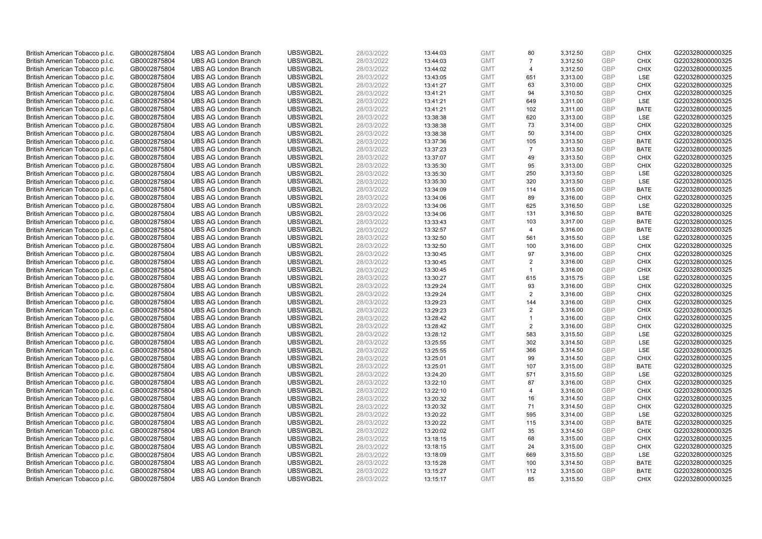| British American Tobacco p.l.c. | GB0002875804 | <b>UBS AG London Branch</b> | UBSWGB2L | 28/03/2022 | 13:44:03 | <b>GMT</b> | 80                      | 3,312.50 | <b>GBP</b> | <b>CHIX</b> | G220328000000325 |
|---------------------------------|--------------|-----------------------------|----------|------------|----------|------------|-------------------------|----------|------------|-------------|------------------|
| British American Tobacco p.l.c. | GB0002875804 | <b>UBS AG London Branch</b> | UBSWGB2L | 28/03/2022 | 13:44:03 | <b>GMT</b> | 7                       | 3,312.50 | GBP        | <b>CHIX</b> | G220328000000325 |
| British American Tobacco p.l.c. | GB0002875804 | <b>UBS AG London Branch</b> | UBSWGB2L | 28/03/2022 | 13:44:02 | <b>GMT</b> | $\overline{4}$          | 3,312.50 | GBP        | <b>CHIX</b> | G220328000000325 |
| British American Tobacco p.l.c. | GB0002875804 | <b>UBS AG London Branch</b> | UBSWGB2L | 28/03/2022 | 13:43:05 | <b>GMT</b> | 651                     | 3,313.00 | GBP        | <b>LSE</b>  | G220328000000325 |
| British American Tobacco p.l.c. | GB0002875804 | <b>UBS AG London Branch</b> | UBSWGB2L | 28/03/2022 | 13:41:27 | <b>GMT</b> | 63                      | 3,310.00 | <b>GBP</b> | <b>CHIX</b> | G220328000000325 |
| British American Tobacco p.l.c. | GB0002875804 | <b>UBS AG London Branch</b> | UBSWGB2L | 28/03/2022 | 13:41:21 | <b>GMT</b> | 94                      | 3,310.50 | <b>GBP</b> | <b>CHIX</b> | G220328000000325 |
| British American Tobacco p.l.c. | GB0002875804 | <b>UBS AG London Branch</b> | UBSWGB2L | 28/03/2022 | 13:41:21 | <b>GMT</b> | 649                     | 3,311.00 | <b>GBP</b> | LSE         | G220328000000325 |
| British American Tobacco p.l.c. | GB0002875804 | <b>UBS AG London Branch</b> | UBSWGB2L | 28/03/2022 | 13:41:21 | <b>GMT</b> | 102                     | 3,311.00 | GBP        | <b>BATE</b> | G220328000000325 |
| British American Tobacco p.l.c. | GB0002875804 | <b>UBS AG London Branch</b> | UBSWGB2L | 28/03/2022 | 13:38:38 | <b>GMT</b> | 620                     | 3,313.00 | GBP        | LSE         | G220328000000325 |
| British American Tobacco p.l.c. | GB0002875804 | <b>UBS AG London Branch</b> | UBSWGB2L | 28/03/2022 | 13:38:38 | <b>GMT</b> | 73                      | 3,314.00 | GBP        | <b>CHIX</b> | G220328000000325 |
| British American Tobacco p.l.c. | GB0002875804 | <b>UBS AG London Branch</b> | UBSWGB2L | 28/03/2022 | 13:38:38 | <b>GMT</b> | 50                      | 3,314.00 | GBP        | <b>CHIX</b> | G220328000000325 |
| British American Tobacco p.l.c. | GB0002875804 | <b>UBS AG London Branch</b> | UBSWGB2L | 28/03/2022 | 13:37:36 | <b>GMT</b> | 105                     | 3,313.50 | <b>GBP</b> | <b>BATE</b> | G220328000000325 |
| British American Tobacco p.l.c. | GB0002875804 | <b>UBS AG London Branch</b> | UBSWGB2L | 28/03/2022 | 13:37:23 | <b>GMT</b> | $\overline{7}$          | 3,313.50 | GBP        | <b>BATE</b> | G220328000000325 |
| British American Tobacco p.l.c. | GB0002875804 | <b>UBS AG London Branch</b> | UBSWGB2L | 28/03/2022 | 13:37:07 | <b>GMT</b> | 49                      | 3,313.50 | <b>GBP</b> | <b>CHIX</b> | G220328000000325 |
| British American Tobacco p.l.c. | GB0002875804 | <b>UBS AG London Branch</b> | UBSWGB2L | 28/03/2022 | 13:35:30 | <b>GMT</b> | 95                      | 3,313.00 | GBP        | <b>CHIX</b> | G220328000000325 |
| British American Tobacco p.l.c. | GB0002875804 | <b>UBS AG London Branch</b> | UBSWGB2L | 28/03/2022 | 13:35:30 | <b>GMT</b> | 250                     | 3,313.50 | <b>GBP</b> | <b>LSE</b>  | G220328000000325 |
| British American Tobacco p.l.c. | GB0002875804 | <b>UBS AG London Branch</b> | UBSWGB2L | 28/03/2022 | 13:35:30 | <b>GMT</b> | 320                     | 3,313.50 | GBP        | LSE         | G220328000000325 |
| British American Tobacco p.l.c. | GB0002875804 | <b>UBS AG London Branch</b> | UBSWGB2L | 28/03/2022 | 13:34:09 | <b>GMT</b> | 114                     | 3,315.00 | <b>GBP</b> | <b>BATE</b> | G220328000000325 |
| British American Tobacco p.l.c. | GB0002875804 | <b>UBS AG London Branch</b> | UBSWGB2L | 28/03/2022 | 13:34:06 | <b>GMT</b> | 89                      | 3,316.00 | GBP        | <b>CHIX</b> | G220328000000325 |
| British American Tobacco p.l.c. | GB0002875804 | <b>UBS AG London Branch</b> | UBSWGB2L | 28/03/2022 | 13:34:06 | <b>GMT</b> | 625                     | 3,316.50 | <b>GBP</b> | LSE         | G220328000000325 |
| British American Tobacco p.l.c. | GB0002875804 | <b>UBS AG London Branch</b> | UBSWGB2L | 28/03/2022 | 13:34:06 | <b>GMT</b> | 131                     | 3,316.50 | GBP        | <b>BATE</b> | G220328000000325 |
| British American Tobacco p.l.c. | GB0002875804 | <b>UBS AG London Branch</b> | UBSWGB2L | 28/03/2022 | 13:33:43 | <b>GMT</b> | 103                     | 3,317.00 | GBP        | <b>BATE</b> | G220328000000325 |
| British American Tobacco p.l.c. | GB0002875804 | <b>UBS AG London Branch</b> | UBSWGB2L | 28/03/2022 | 13:32:57 | <b>GMT</b> | 4                       | 3,316.00 | GBP        | <b>BATE</b> | G220328000000325 |
| British American Tobacco p.l.c. | GB0002875804 | <b>UBS AG London Branch</b> | UBSWGB2L | 28/03/2022 | 13:32:50 | <b>GMT</b> | 561                     | 3,315.50 | GBP        | <b>LSE</b>  | G220328000000325 |
| British American Tobacco p.l.c. | GB0002875804 | <b>UBS AG London Branch</b> | UBSWGB2L | 28/03/2022 | 13:32:50 | <b>GMT</b> | 100                     | 3,316.00 | <b>GBP</b> | <b>CHIX</b> | G220328000000325 |
| British American Tobacco p.l.c. | GB0002875804 | <b>UBS AG London Branch</b> | UBSWGB2L | 28/03/2022 | 13:30:45 | <b>GMT</b> | 97                      | 3,316.00 | <b>GBP</b> | <b>CHIX</b> | G220328000000325 |
| British American Tobacco p.l.c. | GB0002875804 | <b>UBS AG London Branch</b> | UBSWGB2L | 28/03/2022 | 13:30:45 | <b>GMT</b> | 2                       | 3,316.00 | <b>GBP</b> | <b>CHIX</b> | G220328000000325 |
| British American Tobacco p.l.c. | GB0002875804 | <b>UBS AG London Branch</b> | UBSWGB2L | 28/03/2022 | 13:30:45 | <b>GMT</b> | $\mathbf{1}$            | 3,316.00 | GBP        | <b>CHIX</b> | G220328000000325 |
| British American Tobacco p.l.c. | GB0002875804 | <b>UBS AG London Branch</b> | UBSWGB2L | 28/03/2022 | 13:30:27 | <b>GMT</b> | 615                     | 3,315.75 | <b>GBP</b> | <b>LSE</b>  | G220328000000325 |
| British American Tobacco p.l.c. | GB0002875804 | <b>UBS AG London Branch</b> | UBSWGB2L | 28/03/2022 | 13:29:24 | <b>GMT</b> | 93                      | 3,316.00 | GBP        | <b>CHIX</b> | G220328000000325 |
| British American Tobacco p.l.c. | GB0002875804 | <b>UBS AG London Branch</b> | UBSWGB2L | 28/03/2022 | 13:29:24 | <b>GMT</b> | 2                       | 3,316.00 | GBP        | <b>CHIX</b> | G220328000000325 |
| British American Tobacco p.l.c. | GB0002875804 | <b>UBS AG London Branch</b> | UBSWGB2L | 28/03/2022 | 13:29:23 | <b>GMT</b> | 144                     | 3,316.00 | <b>GBP</b> | <b>CHIX</b> | G220328000000325 |
| British American Tobacco p.l.c. | GB0002875804 | <b>UBS AG London Branch</b> | UBSWGB2L | 28/03/2022 | 13:29:23 | <b>GMT</b> | 2                       | 3,316.00 | <b>GBP</b> | <b>CHIX</b> | G220328000000325 |
| British American Tobacco p.l.c. | GB0002875804 | <b>UBS AG London Branch</b> | UBSWGB2L | 28/03/2022 | 13:28:42 | <b>GMT</b> | $\mathbf{1}$            | 3,316.00 | GBP        | <b>CHIX</b> | G220328000000325 |
| British American Tobacco p.l.c. | GB0002875804 | <b>UBS AG London Branch</b> | UBSWGB2L | 28/03/2022 | 13:28:42 | <b>GMT</b> | 2                       | 3,316.00 | GBP        | <b>CHIX</b> | G220328000000325 |
| British American Tobacco p.l.c. | GB0002875804 | <b>UBS AG London Branch</b> | UBSWGB2L | 28/03/2022 | 13:28:12 | <b>GMT</b> | 583                     | 3,315.50 | GBP        | LSE         | G220328000000325 |
| British American Tobacco p.l.c. | GB0002875804 | <b>UBS AG London Branch</b> | UBSWGB2L | 28/03/2022 | 13:25:55 | <b>GMT</b> | 302                     | 3,314.50 | GBP        | LSE         | G220328000000325 |
| British American Tobacco p.l.c. | GB0002875804 | <b>UBS AG London Branch</b> | UBSWGB2L | 28/03/2022 | 13:25:55 | <b>GMT</b> | 366                     | 3,314.50 | <b>GBP</b> | LSE         | G220328000000325 |
| British American Tobacco p.l.c. | GB0002875804 | <b>UBS AG London Branch</b> | UBSWGB2L | 28/03/2022 | 13:25:01 | <b>GMT</b> | 99                      | 3,314.50 | <b>GBP</b> | <b>CHIX</b> | G220328000000325 |
| British American Tobacco p.l.c. | GB0002875804 | <b>UBS AG London Branch</b> | UBSWGB2L | 28/03/2022 | 13:25:01 | <b>GMT</b> | 107                     | 3,315.00 | <b>GBP</b> | <b>BATE</b> | G220328000000325 |
| British American Tobacco p.l.c. | GB0002875804 | <b>UBS AG London Branch</b> | UBSWGB2L | 28/03/2022 | 13:24:20 | <b>GMT</b> | 571                     | 3,315.50 | GBP        | LSE         | G220328000000325 |
| British American Tobacco p.l.c. | GB0002875804 | <b>UBS AG London Branch</b> | UBSWGB2L | 28/03/2022 | 13:22:10 | <b>GMT</b> | 87                      | 3,316.00 | <b>GBP</b> | <b>CHIX</b> | G220328000000325 |
| British American Tobacco p.l.c. | GB0002875804 | <b>UBS AG London Branch</b> | UBSWGB2L | 28/03/2022 | 13:22:10 | <b>GMT</b> | $\overline{\mathbf{A}}$ | 3,316.00 | <b>GBP</b> | <b>CHIX</b> | G220328000000325 |
| British American Tobacco p.l.c. | GB0002875804 | <b>UBS AG London Branch</b> | UBSWGB2L | 28/03/2022 | 13:20:32 | <b>GMT</b> | 16                      | 3,314.50 | GBP        | <b>CHIX</b> | G220328000000325 |
| British American Tobacco p.l.c. | GB0002875804 | <b>UBS AG London Branch</b> | UBSWGB2L | 28/03/2022 | 13:20:32 | <b>GMT</b> | 71                      | 3,314.50 | <b>GBP</b> | <b>CHIX</b> | G220328000000325 |
| British American Tobacco p.l.c. | GB0002875804 | <b>UBS AG London Branch</b> | UBSWGB2L | 28/03/2022 | 13:20:22 | <b>GMT</b> | 595                     | 3,314.00 | <b>GBP</b> | LSE         | G220328000000325 |
| British American Tobacco p.l.c. | GB0002875804 | <b>UBS AG London Branch</b> | UBSWGB2L | 28/03/2022 | 13:20:22 | <b>GMT</b> | 115                     | 3,314.00 | <b>GBP</b> | <b>BATE</b> | G220328000000325 |
| British American Tobacco p.l.c. | GB0002875804 | <b>UBS AG London Branch</b> | UBSWGB2L | 28/03/2022 | 13:20:02 | <b>GMT</b> | 35                      | 3,314.50 | GBP        | <b>CHIX</b> | G220328000000325 |
| British American Tobacco p.l.c. | GB0002875804 | <b>UBS AG London Branch</b> | UBSWGB2L | 28/03/2022 | 13:18:15 | <b>GMT</b> | 68                      | 3,315.00 | <b>GBP</b> | <b>CHIX</b> | G220328000000325 |
| British American Tobacco p.l.c. | GB0002875804 | <b>UBS AG London Branch</b> | UBSWGB2L | 28/03/2022 | 13:18:15 | <b>GMT</b> | 24                      | 3,315.00 | GBP        | <b>CHIX</b> | G220328000000325 |
| British American Tobacco p.l.c. | GB0002875804 | <b>UBS AG London Branch</b> | UBSWGB2L | 28/03/2022 | 13:18:09 | <b>GMT</b> | 669                     | 3,315.50 | <b>GBP</b> | LSE         | G220328000000325 |
| British American Tobacco p.l.c. | GB0002875804 | <b>UBS AG London Branch</b> | UBSWGB2L | 28/03/2022 | 13:15:28 | <b>GMT</b> | 100                     | 3,314.50 | <b>GBP</b> | <b>BATE</b> | G220328000000325 |
| British American Tobacco p.l.c. | GB0002875804 | <b>UBS AG London Branch</b> | UBSWGB2L | 28/03/2022 | 13:15:27 | <b>GMT</b> | 112                     | 3,315.00 | GBP        | <b>BATE</b> | G220328000000325 |
| British American Tobacco p.l.c. | GB0002875804 | <b>UBS AG London Branch</b> | UBSWGB2L | 28/03/2022 | 13:15:17 | <b>GMT</b> | 85                      | 3.315.50 | GBP        | <b>CHIX</b> | G220328000000325 |
|                                 |              |                             |          |            |          |            |                         |          |            |             |                  |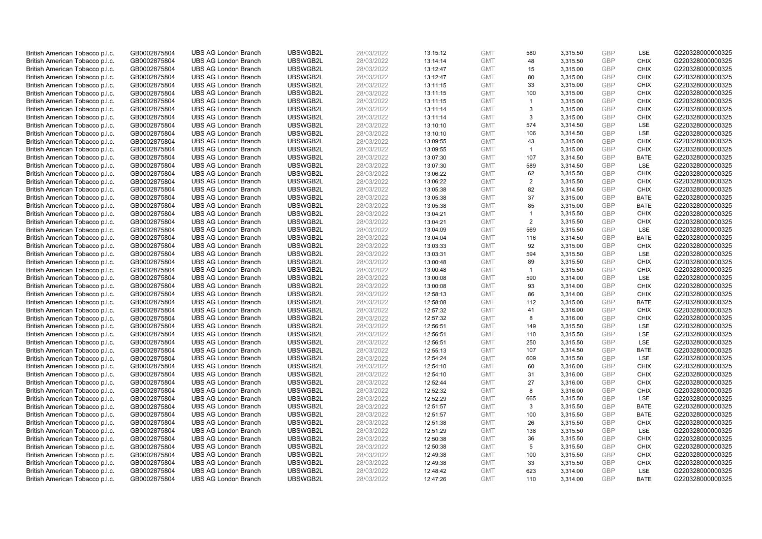| British American Tobacco p.l.c. | GB0002875804 | <b>UBS AG London Branch</b> | UBSWGB2L             | 28/03/2022 | 13:15:12 | <b>GMT</b> | 580            | 3,315.50 | <b>GBP</b> | LSE         | G220328000000325 |
|---------------------------------|--------------|-----------------------------|----------------------|------------|----------|------------|----------------|----------|------------|-------------|------------------|
|                                 |              |                             |                      |            |          |            |                |          |            |             |                  |
| British American Tobacco p.l.c. | GB0002875804 | <b>UBS AG London Branch</b> | UBSWGB2L             | 28/03/2022 | 13:14:14 | <b>GMT</b> | 48             | 3,315.50 | <b>GBP</b> | <b>CHIX</b> | G220328000000325 |
| British American Tobacco p.l.c. | GB0002875804 | <b>UBS AG London Branch</b> | UBSWGB2L             | 28/03/2022 | 13:12:47 | <b>GMT</b> | 15             | 3,315.00 | <b>GBP</b> | <b>CHIX</b> | G220328000000325 |
| British American Tobacco p.l.c. | GB0002875804 | <b>UBS AG London Branch</b> | UBSWGB2L             | 28/03/2022 | 13:12:47 | <b>GMT</b> | 80             | 3,315.00 | <b>GBP</b> | <b>CHIX</b> | G220328000000325 |
| British American Tobacco p.l.c. | GB0002875804 | <b>UBS AG London Branch</b> | UBSWGB2L             | 28/03/2022 | 13:11:15 | <b>GMT</b> | 33             | 3,315.00 | <b>GBP</b> | <b>CHIX</b> | G220328000000325 |
| British American Tobacco p.l.c. | GB0002875804 | <b>UBS AG London Branch</b> | UBSWGB2L             | 28/03/2022 | 13:11:15 | <b>GMT</b> | 100            | 3,315.00 | <b>GBP</b> | <b>CHIX</b> | G220328000000325 |
| British American Tobacco p.l.c. | GB0002875804 | <b>UBS AG London Branch</b> | UBSWGB2L             | 28/03/2022 | 13:11:15 | <b>GMT</b> | $\mathbf{1}$   | 3,315.00 | <b>GBP</b> | <b>CHIX</b> | G220328000000325 |
| British American Tobacco p.l.c. | GB0002875804 | <b>UBS AG London Branch</b> | UBSWGB2L             | 28/03/2022 | 13:11:14 | <b>GMT</b> | 3              | 3,315.00 | <b>GBP</b> | <b>CHIX</b> | G220328000000325 |
| British American Tobacco p.l.c. | GB0002875804 | <b>UBS AG London Branch</b> | UBSWGB2L             | 28/03/2022 | 13:11:14 | <b>GMT</b> | 3              | 3,315.00 | <b>GBP</b> | <b>CHIX</b> | G220328000000325 |
| British American Tobacco p.l.c. | GB0002875804 | <b>UBS AG London Branch</b> | UBSWGB2L             | 28/03/2022 | 13:10:10 | <b>GMT</b> | 574            | 3,314.50 | <b>GBP</b> | LSE         | G220328000000325 |
| British American Tobacco p.l.c. | GB0002875804 | <b>UBS AG London Branch</b> | UBSWGB2L             | 28/03/2022 | 13:10:10 | <b>GMT</b> | 106            | 3,314.50 | <b>GBP</b> | <b>LSE</b>  | G220328000000325 |
| British American Tobacco p.l.c. | GB0002875804 | <b>UBS AG London Branch</b> | UBSWGB2L             | 28/03/2022 | 13:09:55 | <b>GMT</b> | 43             | 3,315.00 | <b>GBP</b> | <b>CHIX</b> | G220328000000325 |
| British American Tobacco p.l.c. | GB0002875804 | <b>UBS AG London Branch</b> | UBSWGB2L             | 28/03/2022 | 13:09:55 | <b>GMT</b> | $\mathbf{1}$   | 3,315.00 | <b>GBP</b> | <b>CHIX</b> | G220328000000325 |
|                                 | GB0002875804 | <b>UBS AG London Branch</b> | UBSWGB2L             | 28/03/2022 |          | <b>GMT</b> | 107            | 3,314.50 | <b>GBP</b> | <b>BATE</b> | G220328000000325 |
| British American Tobacco p.l.c. |              |                             |                      |            | 13:07:30 |            | 589            |          | <b>GBP</b> | LSE         |                  |
| British American Tobacco p.l.c. | GB0002875804 | <b>UBS AG London Branch</b> | UBSWGB2L             | 28/03/2022 | 13:07:30 | <b>GMT</b> |                | 3,314.50 |            |             | G220328000000325 |
| British American Tobacco p.l.c. | GB0002875804 | <b>UBS AG London Branch</b> | UBSWGB2L             | 28/03/2022 | 13:06:22 | <b>GMT</b> | 62             | 3,315.50 | <b>GBP</b> | <b>CHIX</b> | G220328000000325 |
| British American Tobacco p.l.c. | GB0002875804 | <b>UBS AG London Branch</b> | UBSWGB2L             | 28/03/2022 | 13:06:22 | <b>GMT</b> | $\overline{2}$ | 3,315.50 | <b>GBP</b> | <b>CHIX</b> | G220328000000325 |
| British American Tobacco p.l.c. | GB0002875804 | <b>UBS AG London Branch</b> | UBSWGB2L             | 28/03/2022 | 13:05:38 | <b>GMT</b> | 82             | 3,314.50 | <b>GBP</b> | <b>CHIX</b> | G220328000000325 |
| British American Tobacco p.l.c. | GB0002875804 | <b>UBS AG London Branch</b> | UBSWGB2L             | 28/03/2022 | 13:05:38 | <b>GMT</b> | 37             | 3,315.00 | <b>GBP</b> | <b>BATE</b> | G220328000000325 |
| British American Tobacco p.l.c. | GB0002875804 | <b>UBS AG London Branch</b> | UBSWGB2L             | 28/03/2022 | 13:05:38 | <b>GMT</b> | 85             | 3,315.00 | <b>GBP</b> | <b>BATE</b> | G220328000000325 |
| British American Tobacco p.l.c. | GB0002875804 | <b>UBS AG London Branch</b> | UBSWGB2L             | 28/03/2022 | 13:04:21 | <b>GMT</b> | $\mathbf{1}$   | 3,315.50 | <b>GBP</b> | <b>CHIX</b> | G220328000000325 |
| British American Tobacco p.l.c. | GB0002875804 | <b>UBS AG London Branch</b> | UBSWGB2L             | 28/03/2022 | 13:04:21 | <b>GMT</b> | $\overline{2}$ | 3,315.50 | <b>GBP</b> | <b>CHIX</b> | G220328000000325 |
| British American Tobacco p.l.c. | GB0002875804 | <b>UBS AG London Branch</b> | UBSWGB2L             | 28/03/2022 | 13:04:09 | <b>GMT</b> | 569            | 3,315.50 | <b>GBP</b> | LSE         | G220328000000325 |
| British American Tobacco p.l.c. | GB0002875804 | <b>UBS AG London Branch</b> | UBSWGB2L             | 28/03/2022 | 13:04:04 | <b>GMT</b> | 116            | 3,314.50 | <b>GBP</b> | <b>BATE</b> | G220328000000325 |
| British American Tobacco p.l.c. | GB0002875804 | <b>UBS AG London Branch</b> | UBSWGB2L             | 28/03/2022 | 13:03:33 | <b>GMT</b> | 92             | 3,315.00 | <b>GBP</b> | <b>CHIX</b> | G220328000000325 |
| British American Tobacco p.l.c. | GB0002875804 | <b>UBS AG London Branch</b> | UBSWGB2L             | 28/03/2022 | 13:03:31 | <b>GMT</b> | 594            | 3,315.50 | <b>GBP</b> | LSE         | G220328000000325 |
| British American Tobacco p.l.c. | GB0002875804 | <b>UBS AG London Branch</b> | UBSWGB2L             | 28/03/2022 | 13:00:48 | <b>GMT</b> | 89             | 3,315.50 | <b>GBP</b> | <b>CHIX</b> | G220328000000325 |
| British American Tobacco p.l.c. | GB0002875804 | <b>UBS AG London Branch</b> | UBSWGB2L             | 28/03/2022 | 13:00:48 | <b>GMT</b> | $\mathbf{1}$   | 3,315.50 | <b>GBP</b> | <b>CHIX</b> | G220328000000325 |
| British American Tobacco p.l.c. | GB0002875804 | <b>UBS AG London Branch</b> | UBSWGB2L             | 28/03/2022 | 13:00:08 | <b>GMT</b> | 590            | 3,314.00 | <b>GBP</b> | LSE         | G220328000000325 |
| British American Tobacco p.l.c. | GB0002875804 | <b>UBS AG London Branch</b> | UBSWGB2L             | 28/03/2022 | 13:00:08 | <b>GMT</b> | 93             | 3,314.00 | <b>GBP</b> | <b>CHIX</b> | G220328000000325 |
| British American Tobacco p.l.c. | GB0002875804 | <b>UBS AG London Branch</b> | UBSWGB2L             | 28/03/2022 | 12:58:13 | <b>GMT</b> | 86             | 3,314.00 | <b>GBP</b> | <b>CHIX</b> | G220328000000325 |
| British American Tobacco p.l.c. | GB0002875804 | <b>UBS AG London Branch</b> | UBSWGB2L             | 28/03/2022 | 12:58:08 | <b>GMT</b> | 112            | 3,315.00 | <b>GBP</b> | <b>BATE</b> | G220328000000325 |
| British American Tobacco p.l.c. | GB0002875804 | <b>UBS AG London Branch</b> | UBSWGB2L             | 28/03/2022 | 12:57:32 | <b>GMT</b> | 41             | 3,316.00 | <b>GBP</b> | <b>CHIX</b> | G220328000000325 |
| British American Tobacco p.l.c. | GB0002875804 | <b>UBS AG London Branch</b> | UBSWGB2L             | 28/03/2022 | 12:57:32 | <b>GMT</b> | 8              | 3,316.00 | <b>GBP</b> | <b>CHIX</b> | G220328000000325 |
| British American Tobacco p.l.c. | GB0002875804 | <b>UBS AG London Branch</b> | UBSWGB2L             | 28/03/2022 | 12:56:51 | <b>GMT</b> | 149            | 3,315.50 | <b>GBP</b> | LSE         | G220328000000325 |
| British American Tobacco p.l.c. | GB0002875804 | <b>UBS AG London Branch</b> | UBSWGB2L             | 28/03/2022 | 12:56:51 | <b>GMT</b> | 110            | 3,315.50 | <b>GBP</b> | LSE         | G220328000000325 |
| British American Tobacco p.l.c. | GB0002875804 | <b>UBS AG London Branch</b> | UBSWGB2L             | 28/03/2022 | 12:56:51 | <b>GMT</b> | 250            | 3,315.50 | <b>GBP</b> | <b>LSE</b>  | G220328000000325 |
| British American Tobacco p.l.c. | GB0002875804 | <b>UBS AG London Branch</b> | UBSWGB2L             | 28/03/2022 | 12:55:13 | <b>GMT</b> | 107            | 3,314.50 | <b>GBP</b> | <b>BATE</b> | G220328000000325 |
| British American Tobacco p.l.c. | GB0002875804 | <b>UBS AG London Branch</b> | UBSWGB2L             | 28/03/2022 | 12:54:24 | <b>GMT</b> | 609            | 3,315.50 | <b>GBP</b> | LSE         | G220328000000325 |
| British American Tobacco p.l.c. | GB0002875804 | <b>UBS AG London Branch</b> | UBSWGB2L             | 28/03/2022 | 12:54:10 | <b>GMT</b> | 60             | 3,316.00 | <b>GBP</b> | <b>CHIX</b> | G220328000000325 |
| British American Tobacco p.l.c. | GB0002875804 | <b>UBS AG London Branch</b> | UBSWGB2L             | 28/03/2022 | 12:54:10 | <b>GMT</b> | 31             | 3,316.00 | <b>GBP</b> | <b>CHIX</b> | G220328000000325 |
| British American Tobacco p.l.c. | GB0002875804 | <b>UBS AG London Branch</b> | UBSWGB2L             | 28/03/2022 | 12:52:44 | <b>GMT</b> | 27             | 3,316.00 | <b>GBP</b> | <b>CHIX</b> | G220328000000325 |
| British American Tobacco p.l.c. | GB0002875804 | <b>UBS AG London Branch</b> | UBSWGB2L             | 28/03/2022 | 12:52:32 | <b>GMT</b> | 8              | 3,316.00 | <b>GBP</b> | <b>CHIX</b> | G220328000000325 |
| British American Tobacco p.l.c. | GB0002875804 | <b>UBS AG London Branch</b> | UBSWGB2L             | 28/03/2022 | 12:52:29 | <b>GMT</b> | 665            | 3,315.50 | <b>GBP</b> | LSE         | G220328000000325 |
| British American Tobacco p.l.c. | GB0002875804 | <b>UBS AG London Branch</b> | UBSWGB2L             | 28/03/2022 | 12:51:57 | <b>GMT</b> | 3              | 3,315.50 | <b>GBP</b> | <b>BATE</b> | G220328000000325 |
|                                 |              | <b>UBS AG London Branch</b> | UBSWGB2L             | 28/03/2022 |          | <b>GMT</b> |                |          | <b>GBP</b> | <b>BATE</b> | G220328000000325 |
| British American Tobacco p.l.c. | GB0002875804 |                             |                      |            | 12:51:57 | <b>GMT</b> | 100<br>26      | 3,315.50 | <b>GBP</b> | <b>CHIX</b> |                  |
| British American Tobacco p.l.c. | GB0002875804 | <b>UBS AG London Branch</b> | UBSWGB2L<br>UBSWGB2L | 28/03/2022 | 12:51:38 |            |                | 3,315.50 |            | <b>LSE</b>  | G220328000000325 |
| British American Tobacco p.l.c. | GB0002875804 | <b>UBS AG London Branch</b> |                      | 28/03/2022 | 12:51:29 | <b>GMT</b> | 138            | 3,315.50 | <b>GBP</b> |             | G220328000000325 |
| British American Tobacco p.l.c. | GB0002875804 | <b>UBS AG London Branch</b> | UBSWGB2L             | 28/03/2022 | 12:50:38 | <b>GMT</b> | 36             | 3,315.50 | <b>GBP</b> | <b>CHIX</b> | G220328000000325 |
| British American Tobacco p.l.c. | GB0002875804 | <b>UBS AG London Branch</b> | UBSWGB2L             | 28/03/2022 | 12:50:38 | <b>GMT</b> | 5              | 3,315.50 | <b>GBP</b> | <b>CHIX</b> | G220328000000325 |
| British American Tobacco p.l.c. | GB0002875804 | <b>UBS AG London Branch</b> | UBSWGB2L             | 28/03/2022 | 12:49:38 | <b>GMT</b> | 100            | 3,315.50 | <b>GBP</b> | <b>CHIX</b> | G220328000000325 |
| British American Tobacco p.l.c. | GB0002875804 | <b>UBS AG London Branch</b> | UBSWGB2L             | 28/03/2022 | 12:49:38 | <b>GMT</b> | 33             | 3,315.50 | <b>GBP</b> | <b>CHIX</b> | G220328000000325 |
| British American Tobacco p.l.c. | GB0002875804 | <b>UBS AG London Branch</b> | UBSWGB2L             | 28/03/2022 | 12:48:42 | <b>GMT</b> | 623            | 3,314.00 | <b>GBP</b> | <b>LSE</b>  | G220328000000325 |
| British American Tobacco p.l.c. | GB0002875804 | <b>UBS AG London Branch</b> | UBSWGB2L             | 28/03/2022 | 12:47:26 | <b>GMT</b> | 110            | 3.314.00 | GBP        | <b>BATE</b> | G220328000000325 |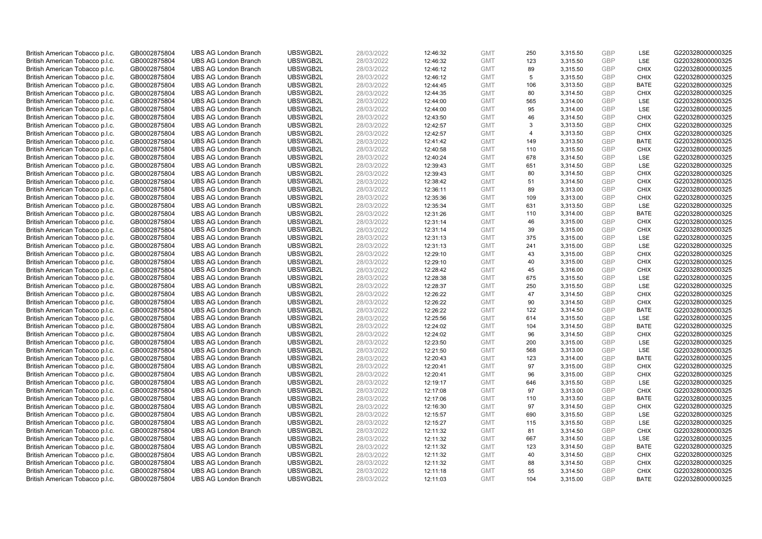| British American Tobacco p.l.c. | GB0002875804 | <b>UBS AG London Branch</b> | UBSWGB2L | 28/03/2022 | 12:46:32 | <b>GMT</b> | 250            | 3,315.50 | <b>GBP</b> | LSE         | G220328000000325 |
|---------------------------------|--------------|-----------------------------|----------|------------|----------|------------|----------------|----------|------------|-------------|------------------|
| British American Tobacco p.l.c. | GB0002875804 | <b>UBS AG London Branch</b> | UBSWGB2L | 28/03/2022 | 12:46:32 | <b>GMT</b> | 123            | 3,315.50 | <b>GBP</b> | LSE         | G220328000000325 |
| British American Tobacco p.l.c. | GB0002875804 | <b>UBS AG London Branch</b> | UBSWGB2L | 28/03/2022 | 12:46:12 | <b>GMT</b> | 89             | 3,315.50 | <b>GBP</b> | <b>CHIX</b> | G220328000000325 |
| British American Tobacco p.l.c. | GB0002875804 | <b>UBS AG London Branch</b> | UBSWGB2L | 28/03/2022 | 12:46:12 | <b>GMT</b> | 5              | 3,315.50 | <b>GBP</b> | <b>CHIX</b> | G220328000000325 |
| British American Tobacco p.l.c. | GB0002875804 | <b>UBS AG London Branch</b> | UBSWGB2L | 28/03/2022 | 12:44:45 | <b>GMT</b> | 106            | 3,313.50 | <b>GBP</b> | <b>BATE</b> | G220328000000325 |
| British American Tobacco p.l.c. | GB0002875804 | <b>UBS AG London Branch</b> | UBSWGB2L | 28/03/2022 | 12:44:35 | <b>GMT</b> | 80             | 3,314.50 | <b>GBP</b> | <b>CHIX</b> | G220328000000325 |
| British American Tobacco p.l.c. | GB0002875804 | <b>UBS AG London Branch</b> | UBSWGB2L | 28/03/2022 | 12:44:00 | <b>GMT</b> | 565            | 3,314.00 | <b>GBP</b> | LSE         | G220328000000325 |
| British American Tobacco p.l.c. | GB0002875804 | <b>UBS AG London Branch</b> | UBSWGB2L | 28/03/2022 | 12:44:00 | <b>GMT</b> | 95             | 3,314.00 | <b>GBP</b> | LSE         | G220328000000325 |
| British American Tobacco p.l.c. | GB0002875804 | <b>UBS AG London Branch</b> | UBSWGB2L | 28/03/2022 | 12:43:50 | <b>GMT</b> | 46             | 3,314.50 | <b>GBP</b> | <b>CHIX</b> | G220328000000325 |
| British American Tobacco p.l.c. | GB0002875804 | <b>UBS AG London Branch</b> | UBSWGB2L | 28/03/2022 | 12:42:57 | <b>GMT</b> | 3              | 3,313.50 | <b>GBP</b> | <b>CHIX</b> | G220328000000325 |
| British American Tobacco p.l.c. | GB0002875804 | <b>UBS AG London Branch</b> | UBSWGB2L | 28/03/2022 | 12:42:57 | <b>GMT</b> | $\overline{4}$ | 3,313.50 | <b>GBP</b> | <b>CHIX</b> | G220328000000325 |
| British American Tobacco p.l.c. | GB0002875804 | <b>UBS AG London Branch</b> | UBSWGB2L | 28/03/2022 | 12:41:42 | <b>GMT</b> | 149            | 3,313.50 | <b>GBP</b> | <b>BATE</b> | G220328000000325 |
| British American Tobacco p.l.c. | GB0002875804 | <b>UBS AG London Branch</b> | UBSWGB2L | 28/03/2022 | 12:40:58 | <b>GMT</b> | 110            | 3,315.50 | <b>GBP</b> | <b>CHIX</b> | G220328000000325 |
| British American Tobacco p.l.c. | GB0002875804 | <b>UBS AG London Branch</b> | UBSWGB2L | 28/03/2022 | 12:40:24 | <b>GMT</b> | 678            | 3,314.50 | <b>GBP</b> | LSE         | G220328000000325 |
| British American Tobacco p.l.c. | GB0002875804 | <b>UBS AG London Branch</b> | UBSWGB2L | 28/03/2022 | 12:39:43 | <b>GMT</b> | 651            | 3,314.50 | <b>GBP</b> | LSE         | G220328000000325 |
|                                 |              |                             | UBSWGB2L |            |          |            |                |          |            | <b>CHIX</b> | G220328000000325 |
| British American Tobacco p.l.c. | GB0002875804 | <b>UBS AG London Branch</b> |          | 28/03/2022 | 12:39:43 | <b>GMT</b> | 80             | 3,314.50 | <b>GBP</b> |             |                  |
| British American Tobacco p.l.c. | GB0002875804 | <b>UBS AG London Branch</b> | UBSWGB2L | 28/03/2022 | 12:38:42 | <b>GMT</b> | 51             | 3,314.50 | <b>GBP</b> | <b>CHIX</b> | G220328000000325 |
| British American Tobacco p.l.c. | GB0002875804 | <b>UBS AG London Branch</b> | UBSWGB2L | 28/03/2022 | 12:36:11 | <b>GMT</b> | 89             | 3,313.00 | <b>GBP</b> | <b>CHIX</b> | G220328000000325 |
| British American Tobacco p.l.c. | GB0002875804 | <b>UBS AG London Branch</b> | UBSWGB2L | 28/03/2022 | 12:35:36 | <b>GMT</b> | 109            | 3,313.00 | <b>GBP</b> | <b>CHIX</b> | G220328000000325 |
| British American Tobacco p.l.c. | GB0002875804 | <b>UBS AG London Branch</b> | UBSWGB2L | 28/03/2022 | 12:35:34 | <b>GMT</b> | 631            | 3,313.50 | <b>GBP</b> | LSE         | G220328000000325 |
| British American Tobacco p.l.c. | GB0002875804 | <b>UBS AG London Branch</b> | UBSWGB2L | 28/03/2022 | 12:31:26 | <b>GMT</b> | 110            | 3,314.00 | <b>GBP</b> | <b>BATE</b> | G220328000000325 |
| British American Tobacco p.l.c. | GB0002875804 | <b>UBS AG London Branch</b> | UBSWGB2L | 28/03/2022 | 12:31:14 | <b>GMT</b> | 46             | 3,315.00 | <b>GBP</b> | <b>CHIX</b> | G220328000000325 |
| British American Tobacco p.l.c. | GB0002875804 | <b>UBS AG London Branch</b> | UBSWGB2L | 28/03/2022 | 12:31:14 | <b>GMT</b> | 39             | 3,315.00 | <b>GBP</b> | <b>CHIX</b> | G220328000000325 |
| British American Tobacco p.l.c. | GB0002875804 | <b>UBS AG London Branch</b> | UBSWGB2L | 28/03/2022 | 12:31:13 | <b>GMT</b> | 375            | 3,315.00 | <b>GBP</b> | <b>LSE</b>  | G220328000000325 |
| British American Tobacco p.l.c. | GB0002875804 | <b>UBS AG London Branch</b> | UBSWGB2L | 28/03/2022 | 12:31:13 | <b>GMT</b> | 241            | 3,315.00 | <b>GBP</b> | LSE         | G220328000000325 |
| British American Tobacco p.l.c. | GB0002875804 | <b>UBS AG London Branch</b> | UBSWGB2L | 28/03/2022 | 12:29:10 | <b>GMT</b> | 43             | 3,315.00 | <b>GBP</b> | <b>CHIX</b> | G220328000000325 |
| British American Tobacco p.l.c. | GB0002875804 | <b>UBS AG London Branch</b> | UBSWGB2L | 28/03/2022 | 12:29:10 | <b>GMT</b> | 40             | 3,315.00 | <b>GBP</b> | <b>CHIX</b> | G220328000000325 |
| British American Tobacco p.l.c. | GB0002875804 | <b>UBS AG London Branch</b> | UBSWGB2L | 28/03/2022 | 12:28:42 | <b>GMT</b> | 45             | 3,316.00 | <b>GBP</b> | <b>CHIX</b> | G220328000000325 |
| British American Tobacco p.l.c. | GB0002875804 | <b>UBS AG London Branch</b> | UBSWGB2L | 28/03/2022 | 12:28:38 | <b>GMT</b> | 675            | 3,315.50 | <b>GBP</b> | LSE         | G220328000000325 |
| British American Tobacco p.l.c. | GB0002875804 | <b>UBS AG London Branch</b> | UBSWGB2L | 28/03/2022 | 12:28:37 | <b>GMT</b> | 250            | 3,315.50 | <b>GBP</b> | LSE         | G220328000000325 |
| British American Tobacco p.l.c. | GB0002875804 | <b>UBS AG London Branch</b> | UBSWGB2L | 28/03/2022 | 12:26:22 | <b>GMT</b> | 47             | 3,314.50 | <b>GBP</b> | <b>CHIX</b> | G220328000000325 |
| British American Tobacco p.l.c. | GB0002875804 | <b>UBS AG London Branch</b> | UBSWGB2L | 28/03/2022 | 12:26:22 | <b>GMT</b> | 90             | 3,314.50 | <b>GBP</b> | <b>CHIX</b> | G220328000000325 |
| British American Tobacco p.l.c. | GB0002875804 | <b>UBS AG London Branch</b> | UBSWGB2L | 28/03/2022 | 12:26:22 | <b>GMT</b> | 122            | 3,314.50 | <b>GBP</b> | <b>BATE</b> | G220328000000325 |
| British American Tobacco p.l.c. | GB0002875804 | <b>UBS AG London Branch</b> | UBSWGB2L | 28/03/2022 | 12:25:56 | <b>GMT</b> | 614            | 3,315.50 | <b>GBP</b> | LSE         | G220328000000325 |
| British American Tobacco p.l.c. | GB0002875804 | <b>UBS AG London Branch</b> | UBSWGB2L | 28/03/2022 | 12:24:02 | <b>GMT</b> | 104            | 3,314.50 | <b>GBP</b> | <b>BATE</b> | G220328000000325 |
| British American Tobacco p.l.c. | GB0002875804 | <b>UBS AG London Branch</b> | UBSWGB2L | 28/03/2022 | 12:24:02 | <b>GMT</b> | 96             | 3,314.50 | <b>GBP</b> | <b>CHIX</b> | G220328000000325 |
| British American Tobacco p.l.c. | GB0002875804 | <b>UBS AG London Branch</b> | UBSWGB2L | 28/03/2022 | 12:23:50 | <b>GMT</b> | 200            | 3,315.00 | <b>GBP</b> | <b>LSE</b>  | G220328000000325 |
| British American Tobacco p.l.c. | GB0002875804 | <b>UBS AG London Branch</b> | UBSWGB2L | 28/03/2022 | 12:21:50 | <b>GMT</b> | 568            | 3,313.00 | <b>GBP</b> | LSE         | G220328000000325 |
| British American Tobacco p.l.c. | GB0002875804 | <b>UBS AG London Branch</b> | UBSWGB2L | 28/03/2022 | 12:20:43 | <b>GMT</b> | 123            | 3,314.00 | <b>GBP</b> | <b>BATE</b> | G220328000000325 |
| British American Tobacco p.l.c. | GB0002875804 | <b>UBS AG London Branch</b> | UBSWGB2L | 28/03/2022 | 12:20:41 | <b>GMT</b> | 97             | 3,315.00 | <b>GBP</b> | <b>CHIX</b> | G220328000000325 |
| British American Tobacco p.l.c. | GB0002875804 | <b>UBS AG London Branch</b> | UBSWGB2L | 28/03/2022 | 12:20:41 | <b>GMT</b> | 96             | 3,315.00 | <b>GBP</b> | <b>CHIX</b> | G220328000000325 |
| British American Tobacco p.l.c. | GB0002875804 | <b>UBS AG London Branch</b> | UBSWGB2L | 28/03/2022 | 12:19:17 | <b>GMT</b> | 646            | 3,315.50 | <b>GBP</b> | LSE         | G220328000000325 |
| British American Tobacco p.l.c. | GB0002875804 | <b>UBS AG London Branch</b> | UBSWGB2L | 28/03/2022 | 12:17:08 | <b>GMT</b> | 97             | 3,313.00 | <b>GBP</b> | <b>CHIX</b> | G220328000000325 |
| British American Tobacco p.l.c. |              | <b>UBS AG London Branch</b> | UBSWGB2L | 28/03/2022 | 12:17:06 | <b>GMT</b> | 110            | 3,313.50 | <b>GBP</b> | <b>BATE</b> | G220328000000325 |
|                                 | GB0002875804 |                             | UBSWGB2L |            |          |            | 97             |          |            | <b>CHIX</b> |                  |
| British American Tobacco p.l.c. | GB0002875804 | <b>UBS AG London Branch</b> |          | 28/03/2022 | 12:16:30 | <b>GMT</b> |                | 3,314.50 | <b>GBP</b> |             | G220328000000325 |
| British American Tobacco p.l.c. | GB0002875804 | <b>UBS AG London Branch</b> | UBSWGB2L | 28/03/2022 | 12:15:57 | <b>GMT</b> | 690            | 3,315.50 | <b>GBP</b> | LSE         | G220328000000325 |
| British American Tobacco p.l.c. | GB0002875804 | <b>UBS AG London Branch</b> | UBSWGB2L | 28/03/2022 | 12:15:27 | <b>GMT</b> | 115            | 3,315.50 | <b>GBP</b> | LSE         | G220328000000325 |
| British American Tobacco p.l.c. | GB0002875804 | <b>UBS AG London Branch</b> | UBSWGB2L | 28/03/2022 | 12:11:32 | <b>GMT</b> | 81             | 3,314.50 | <b>GBP</b> | <b>CHIX</b> | G220328000000325 |
| British American Tobacco p.l.c. | GB0002875804 | <b>UBS AG London Branch</b> | UBSWGB2L | 28/03/2022 | 12:11:32 | <b>GMT</b> | 667            | 3,314.50 | <b>GBP</b> | LSE         | G220328000000325 |
| British American Tobacco p.l.c. | GB0002875804 | <b>UBS AG London Branch</b> | UBSWGB2L | 28/03/2022 | 12:11:32 | <b>GMT</b> | 123            | 3,314.50 | <b>GBP</b> | <b>BATE</b> | G220328000000325 |
| British American Tobacco p.l.c. | GB0002875804 | <b>UBS AG London Branch</b> | UBSWGB2L | 28/03/2022 | 12:11:32 | <b>GMT</b> | 40             | 3,314.50 | <b>GBP</b> | <b>CHIX</b> | G220328000000325 |
| British American Tobacco p.l.c. | GB0002875804 | <b>UBS AG London Branch</b> | UBSWGB2L | 28/03/2022 | 12:11:32 | <b>GMT</b> | 88             | 3,314.50 | <b>GBP</b> | <b>CHIX</b> | G220328000000325 |
| British American Tobacco p.l.c. | GB0002875804 | <b>UBS AG London Branch</b> | UBSWGB2L | 28/03/2022 | 12:11:18 | <b>GMT</b> | 55             | 3,314.50 | <b>GBP</b> | <b>CHIX</b> | G220328000000325 |
| British American Tobacco p.l.c. | GB0002875804 | <b>UBS AG London Branch</b> | UBSWGB2L | 28/03/2022 | 12:11:03 | <b>GMT</b> | 104            | 3.315.00 | GBP        | <b>BATE</b> | G220328000000325 |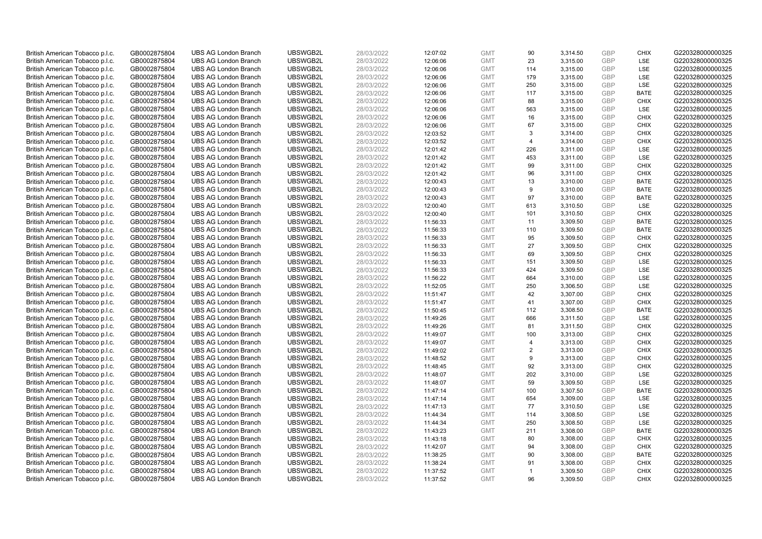| British American Tobacco p.l.c. | GB0002875804 | <b>UBS AG London Branch</b> | UBSWGB2L | 28/03/2022 | 12:07:02 | <b>GMT</b> | 90                   | 3,314.50 | <b>GBP</b> | <b>CHIX</b> | G220328000000325 |
|---------------------------------|--------------|-----------------------------|----------|------------|----------|------------|----------------------|----------|------------|-------------|------------------|
| British American Tobacco p.l.c. | GB0002875804 | <b>UBS AG London Branch</b> | UBSWGB2L | 28/03/2022 | 12:06:06 | <b>GMT</b> | 23                   | 3,315.00 | GBP        | <b>LSE</b>  | G220328000000325 |
| British American Tobacco p.l.c. | GB0002875804 | <b>UBS AG London Branch</b> | UBSWGB2L | 28/03/2022 | 12:06:06 | <b>GMT</b> | 114                  | 3,315.00 | <b>GBP</b> | LSE         | G220328000000325 |
| British American Tobacco p.l.c. | GB0002875804 | <b>UBS AG London Branch</b> | UBSWGB2L | 28/03/2022 | 12:06:06 | <b>GMT</b> | 179                  | 3,315.00 | GBP        | LSE         | G220328000000325 |
| British American Tobacco p.l.c. | GB0002875804 | <b>UBS AG London Branch</b> | UBSWGB2L | 28/03/2022 | 12:06:06 | <b>GMT</b> | 250                  | 3,315.00 | <b>GBP</b> | LSE         | G220328000000325 |
| British American Tobacco p.l.c. | GB0002875804 | <b>UBS AG London Branch</b> | UBSWGB2L | 28/03/2022 | 12:06:06 | <b>GMT</b> | 117                  | 3,315.00 | <b>GBP</b> | <b>BATE</b> | G220328000000325 |
| British American Tobacco p.l.c. | GB0002875804 | <b>UBS AG London Branch</b> | UBSWGB2L | 28/03/2022 | 12:06:06 | <b>GMT</b> | 88                   | 3,315.00 | <b>GBP</b> | <b>CHIX</b> | G220328000000325 |
| British American Tobacco p.l.c. | GB0002875804 | <b>UBS AG London Branch</b> | UBSWGB2L | 28/03/2022 | 12:06:06 | <b>GMT</b> | 563                  | 3,315.00 | GBP        | LSE         | G220328000000325 |
| British American Tobacco p.l.c. | GB0002875804 | <b>UBS AG London Branch</b> | UBSWGB2L | 28/03/2022 | 12:06:06 | <b>GMT</b> | 16                   | 3,315.00 | GBP        | <b>CHIX</b> | G220328000000325 |
| British American Tobacco p.l.c. | GB0002875804 | <b>UBS AG London Branch</b> | UBSWGB2L | 28/03/2022 | 12:06:06 | <b>GMT</b> | 67                   | 3,315.00 | <b>GBP</b> | <b>CHIX</b> | G220328000000325 |
| British American Tobacco p.l.c. | GB0002875804 | <b>UBS AG London Branch</b> | UBSWGB2L | 28/03/2022 | 12:03:52 | <b>GMT</b> | 3                    | 3,314.00 | GBP        | <b>CHIX</b> | G220328000000325 |
| British American Tobacco p.l.c. | GB0002875804 | <b>UBS AG London Branch</b> | UBSWGB2L | 28/03/2022 | 12:03:52 | <b>GMT</b> | $\overline{4}$       | 3,314.00 | <b>GBP</b> | <b>CHIX</b> | G220328000000325 |
| British American Tobacco p.l.c. | GB0002875804 | <b>UBS AG London Branch</b> | UBSWGB2L | 28/03/2022 | 12:01:42 | <b>GMT</b> | 226                  | 3,311.00 | <b>GBP</b> | <b>LSE</b>  | G220328000000325 |
| British American Tobacco p.l.c. | GB0002875804 | <b>UBS AG London Branch</b> | UBSWGB2L | 28/03/2022 | 12:01:42 | <b>GMT</b> | 453                  | 3,311.00 | <b>GBP</b> | <b>LSE</b>  | G220328000000325 |
| British American Tobacco p.l.c. | GB0002875804 | <b>UBS AG London Branch</b> | UBSWGB2L | 28/03/2022 | 12:01:42 | <b>GMT</b> | 99                   | 3,311.00 | GBP        | <b>CHIX</b> | G220328000000325 |
| British American Tobacco p.l.c. | GB0002875804 | <b>UBS AG London Branch</b> | UBSWGB2L | 28/03/2022 | 12:01:42 | <b>GMT</b> | 96                   | 3,311.00 | <b>GBP</b> | <b>CHIX</b> | G220328000000325 |
| British American Tobacco p.l.c. | GB0002875804 | <b>UBS AG London Branch</b> | UBSWGB2L | 28/03/2022 | 12:00:43 | <b>GMT</b> | 13                   | 3,310.00 | GBP        | <b>BATE</b> | G220328000000325 |
| British American Tobacco p.l.c. | GB0002875804 | <b>UBS AG London Branch</b> | UBSWGB2L | 28/03/2022 | 12:00:43 | <b>GMT</b> | 9                    | 3,310.00 | GBP        | <b>BATE</b> | G220328000000325 |
| British American Tobacco p.l.c. | GB0002875804 | <b>UBS AG London Branch</b> | UBSWGB2L | 28/03/2022 | 12:00:43 | <b>GMT</b> | 97                   | 3,310.00 | GBP        | <b>BATE</b> | G220328000000325 |
| British American Tobacco p.l.c. | GB0002875804 | <b>UBS AG London Branch</b> | UBSWGB2L | 28/03/2022 | 12:00:40 | <b>GMT</b> | 613                  | 3,310.50 | <b>GBP</b> | LSE         | G220328000000325 |
| British American Tobacco p.l.c. | GB0002875804 | <b>UBS AG London Branch</b> | UBSWGB2L | 28/03/2022 | 12:00:40 | <b>GMT</b> | 101                  | 3,310.50 | GBP        | <b>CHIX</b> | G220328000000325 |
| British American Tobacco p.l.c. | GB0002875804 | <b>UBS AG London Branch</b> | UBSWGB2L | 28/03/2022 | 11:56:33 | <b>GMT</b> | 11                   | 3,309.50 | GBP        | <b>BATE</b> | G220328000000325 |
| British American Tobacco p.l.c. | GB0002875804 | <b>UBS AG London Branch</b> | UBSWGB2L | 28/03/2022 | 11:56:33 | <b>GMT</b> | 110                  | 3,309.50 | <b>GBP</b> | <b>BATE</b> | G220328000000325 |
| British American Tobacco p.l.c. | GB0002875804 | <b>UBS AG London Branch</b> | UBSWGB2L | 28/03/2022 | 11:56:33 | <b>GMT</b> | 95                   | 3,309.50 | GBP        | <b>CHIX</b> | G220328000000325 |
| British American Tobacco p.l.c. | GB0002875804 | <b>UBS AG London Branch</b> | UBSWGB2L | 28/03/2022 | 11:56:33 | <b>GMT</b> | 27                   | 3,309.50 | <b>GBP</b> | <b>CHIX</b> | G220328000000325 |
| British American Tobacco p.l.c. | GB0002875804 | <b>UBS AG London Branch</b> | UBSWGB2L | 28/03/2022 | 11:56:33 | <b>GMT</b> | 69                   | 3,309.50 | <b>GBP</b> | <b>CHIX</b> | G220328000000325 |
| British American Tobacco p.l.c. | GB0002875804 | <b>UBS AG London Branch</b> | UBSWGB2L | 28/03/2022 | 11:56:33 | <b>GMT</b> | 151                  | 3,309.50 | <b>GBP</b> | <b>LSE</b>  | G220328000000325 |
| British American Tobacco p.l.c. | GB0002875804 | <b>UBS AG London Branch</b> | UBSWGB2L | 28/03/2022 | 11:56:33 | <b>GMT</b> | 424                  | 3,309.50 | GBP        | <b>LSE</b>  | G220328000000325 |
| British American Tobacco p.l.c. | GB0002875804 | <b>UBS AG London Branch</b> | UBSWGB2L | 28/03/2022 | 11:56:22 | <b>GMT</b> | 664                  | 3,310.00 | <b>GBP</b> | LSE         | G220328000000325 |
| British American Tobacco p.l.c. | GB0002875804 | <b>UBS AG London Branch</b> | UBSWGB2L | 28/03/2022 | 11:52:05 | <b>GMT</b> | 250                  | 3,306.50 | GBP        | LSE         | G220328000000325 |
| British American Tobacco p.l.c. | GB0002875804 | <b>UBS AG London Branch</b> | UBSWGB2L | 28/03/2022 | 11:51:47 | <b>GMT</b> | 42                   | 3,307.00 | GBP        | <b>CHIX</b> | G220328000000325 |
| British American Tobacco p.l.c. | GB0002875804 | <b>UBS AG London Branch</b> | UBSWGB2L | 28/03/2022 | 11:51:47 | <b>GMT</b> | 41                   | 3,307.00 | <b>GBP</b> | <b>CHIX</b> | G220328000000325 |
| British American Tobacco p.l.c. | GB0002875804 | <b>UBS AG London Branch</b> | UBSWGB2L | 28/03/2022 | 11:50:45 | <b>GMT</b> | 112                  | 3,308.50 | <b>GBP</b> | <b>BATE</b> | G220328000000325 |
| British American Tobacco p.l.c. | GB0002875804 | <b>UBS AG London Branch</b> | UBSWGB2L | 28/03/2022 | 11:49:26 | <b>GMT</b> | 666                  | 3,311.50 | GBP        | LSE         | G220328000000325 |
| British American Tobacco p.l.c. | GB0002875804 | <b>UBS AG London Branch</b> | UBSWGB2L | 28/03/2022 | 11:49:26 | <b>GMT</b> | 81                   | 3,311.50 | GBP        | <b>CHIX</b> | G220328000000325 |
| British American Tobacco p.l.c. | GB0002875804 | <b>UBS AG London Branch</b> | UBSWGB2L | 28/03/2022 | 11:49:07 | <b>GMT</b> | 100                  | 3,313.00 | GBP        | <b>CHIX</b> | G220328000000325 |
| British American Tobacco p.l.c. | GB0002875804 | <b>UBS AG London Branch</b> | UBSWGB2L | 28/03/2022 | 11:49:07 | <b>GMT</b> | $\overline{4}$       | 3,313.00 | GBP        | <b>CHIX</b> | G220328000000325 |
| British American Tobacco p.l.c. | GB0002875804 | <b>UBS AG London Branch</b> | UBSWGB2L | 28/03/2022 | 11:49:02 | <b>GMT</b> | 2                    | 3,313.00 | <b>GBP</b> | <b>CHIX</b> | G220328000000325 |
| British American Tobacco p.l.c. | GB0002875804 | <b>UBS AG London Branch</b> | UBSWGB2L | 28/03/2022 | 11:48:52 | <b>GMT</b> | 9                    | 3,313.00 | <b>GBP</b> | <b>CHIX</b> | G220328000000325 |
| British American Tobacco p.l.c. | GB0002875804 | <b>UBS AG London Branch</b> | UBSWGB2L | 28/03/2022 | 11:48:45 | <b>GMT</b> | 92                   | 3,313.00 | <b>GBP</b> | <b>CHIX</b> | G220328000000325 |
| British American Tobacco p.l.c. | GB0002875804 | <b>UBS AG London Branch</b> | UBSWGB2L | 28/03/2022 | 11:48:07 | <b>GMT</b> | 202                  | 3,310.00 | GBP        | <b>LSE</b>  | G220328000000325 |
| British American Tobacco p.l.c. | GB0002875804 | <b>UBS AG London Branch</b> | UBSWGB2L | 28/03/2022 | 11:48:07 | <b>GMT</b> | 59                   | 3,309.50 | <b>GBP</b> | LSE         | G220328000000325 |
| British American Tobacco p.l.c. | GB0002875804 | <b>UBS AG London Branch</b> | UBSWGB2L | 28/03/2022 | 11:47:14 | <b>GMT</b> | 100                  | 3,307.50 | <b>GBP</b> | <b>BATE</b> | G220328000000325 |
| British American Tobacco p.l.c. | GB0002875804 | <b>UBS AG London Branch</b> | UBSWGB2L | 28/03/2022 | 11:47:14 | <b>GMT</b> | 654                  | 3,309.00 | GBP        | <b>LSE</b>  | G220328000000325 |
| British American Tobacco p.l.c. | GB0002875804 | <b>UBS AG London Branch</b> | UBSWGB2L | 28/03/2022 | 11:47:13 | <b>GMT</b> | 77                   | 3,310.50 | <b>GBP</b> | <b>LSE</b>  | G220328000000325 |
| British American Tobacco p.l.c. | GB0002875804 | <b>UBS AG London Branch</b> | UBSWGB2L | 28/03/2022 | 11:44:34 | <b>GMT</b> | 114                  | 3,308.50 | <b>GBP</b> | LSE         | G220328000000325 |
| British American Tobacco p.l.c. | GB0002875804 | <b>UBS AG London Branch</b> | UBSWGB2L | 28/03/2022 | 11:44:34 | <b>GMT</b> | 250                  | 3,308.50 | <b>GBP</b> | LSE         | G220328000000325 |
| British American Tobacco p.l.c. | GB0002875804 | <b>UBS AG London Branch</b> | UBSWGB2L | 28/03/2022 | 11:43:23 | <b>GMT</b> | 211                  | 3,308.00 | GBP        | <b>BATE</b> | G220328000000325 |
| British American Tobacco p.l.c. | GB0002875804 | <b>UBS AG London Branch</b> | UBSWGB2L | 28/03/2022 | 11:43:18 | <b>GMT</b> | 80                   | 3,308.00 | <b>GBP</b> | <b>CHIX</b> | G220328000000325 |
| British American Tobacco p.l.c. | GB0002875804 | <b>UBS AG London Branch</b> | UBSWGB2L | 28/03/2022 | 11:42:07 | <b>GMT</b> | 94                   | 3,308.00 | GBP        | <b>CHIX</b> | G220328000000325 |
| British American Tobacco p.l.c. | GB0002875804 | <b>UBS AG London Branch</b> | UBSWGB2L | 28/03/2022 | 11:38:25 | <b>GMT</b> | 90                   | 3,308.00 | <b>GBP</b> | <b>BATE</b> | G220328000000325 |
| British American Tobacco p.l.c. | GB0002875804 | <b>UBS AG London Branch</b> | UBSWGB2L | 28/03/2022 | 11:38:24 | <b>GMT</b> | 91                   | 3,308.00 | <b>GBP</b> | <b>CHIX</b> | G220328000000325 |
| British American Tobacco p.l.c. | GB0002875804 | <b>UBS AG London Branch</b> | UBSWGB2L | 28/03/2022 | 11:37:52 | <b>GMT</b> | $\blacktriangleleft$ | 3,309.50 | GBP        | <b>CHIX</b> | G220328000000325 |
| British American Tobacco p.l.c. | GB0002875804 | <b>UBS AG London Branch</b> | UBSWGB2L | 28/03/2022 | 11:37:52 | <b>GMT</b> | 96                   | 3.309.50 | GBP        | <b>CHIX</b> | G220328000000325 |
|                                 |              |                             |          |            |          |            |                      |          |            |             |                  |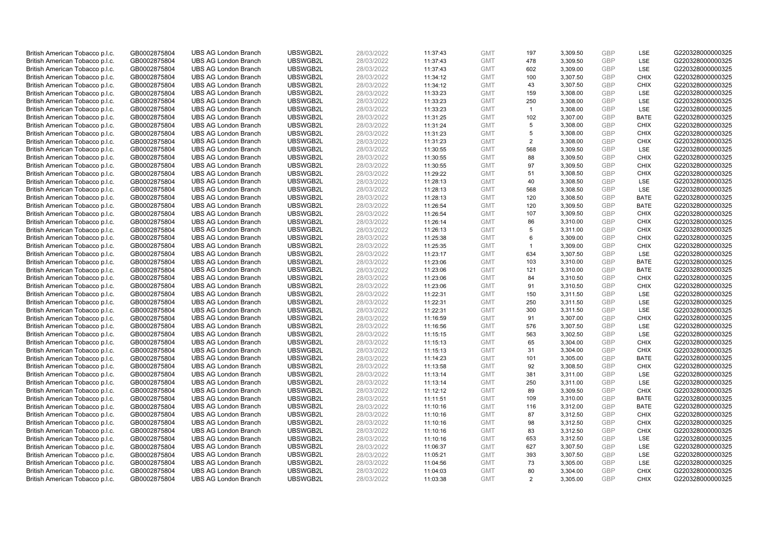| British American Tobacco p.l.c. | GB0002875804 | <b>UBS AG London Branch</b> | UBSWGB2L | 28/03/2022 | 11:37:43 | <b>GMT</b> | 197            | 3,309.50 | <b>GBP</b> | LSE         | G220328000000325 |
|---------------------------------|--------------|-----------------------------|----------|------------|----------|------------|----------------|----------|------------|-------------|------------------|
| British American Tobacco p.l.c. | GB0002875804 | <b>UBS AG London Branch</b> | UBSWGB2L | 28/03/2022 | 11:37:43 | <b>GMT</b> | 478            | 3,309.50 | GBP        | LSE         | G220328000000325 |
| British American Tobacco p.l.c. | GB0002875804 | <b>UBS AG London Branch</b> | UBSWGB2L | 28/03/2022 | 11:37:43 | <b>GMT</b> | 602            | 3,309.00 | GBP        | LSE         | G220328000000325 |
| British American Tobacco p.l.c. | GB0002875804 | <b>UBS AG London Branch</b> | UBSWGB2L | 28/03/2022 | 11:34:12 | <b>GMT</b> | 100            | 3,307.50 | GBP        | <b>CHIX</b> | G220328000000325 |
| British American Tobacco p.l.c. | GB0002875804 | <b>UBS AG London Branch</b> | UBSWGB2L | 28/03/2022 | 11:34:12 | <b>GMT</b> | 43             | 3,307.50 | <b>GBP</b> | <b>CHIX</b> | G220328000000325 |
| British American Tobacco p.l.c. | GB0002875804 | <b>UBS AG London Branch</b> | UBSWGB2L | 28/03/2022 | 11:33:23 | <b>GMT</b> | 159            | 3,308.00 | <b>GBP</b> | <b>LSE</b>  | G220328000000325 |
| British American Tobacco p.l.c. | GB0002875804 | <b>UBS AG London Branch</b> | UBSWGB2L | 28/03/2022 | 11:33:23 | <b>GMT</b> | 250            | 3,308.00 | <b>GBP</b> | LSE         | G220328000000325 |
| British American Tobacco p.l.c. | GB0002875804 | <b>UBS AG London Branch</b> | UBSWGB2L | 28/03/2022 | 11:33:23 | <b>GMT</b> | $\overline{1}$ | 3,308.00 | GBP        | LSE         | G220328000000325 |
| British American Tobacco p.l.c. | GB0002875804 | <b>UBS AG London Branch</b> | UBSWGB2L | 28/03/2022 | 11:31:25 | <b>GMT</b> | 102            | 3,307.00 | <b>GBP</b> | <b>BATE</b> | G220328000000325 |
| British American Tobacco p.l.c. | GB0002875804 | <b>UBS AG London Branch</b> | UBSWGB2L | 28/03/2022 | 11:31:24 | <b>GMT</b> | 5              | 3,308.00 | <b>GBP</b> | <b>CHIX</b> | G220328000000325 |
| British American Tobacco p.l.c. | GB0002875804 | <b>UBS AG London Branch</b> | UBSWGB2L | 28/03/2022 | 11:31:23 | <b>GMT</b> | 5              | 3,308.00 | <b>GBP</b> | <b>CHIX</b> | G220328000000325 |
| British American Tobacco p.l.c. | GB0002875804 | <b>UBS AG London Branch</b> | UBSWGB2L | 28/03/2022 | 11:31:23 | <b>GMT</b> | $\overline{2}$ | 3,308.00 | <b>GBP</b> | <b>CHIX</b> | G220328000000325 |
| British American Tobacco p.l.c. | GB0002875804 | <b>UBS AG London Branch</b> | UBSWGB2L | 28/03/2022 | 11:30:55 | <b>GMT</b> | 568            | 3,309.50 | <b>GBP</b> | <b>LSE</b>  | G220328000000325 |
| British American Tobacco p.l.c. | GB0002875804 | <b>UBS AG London Branch</b> | UBSWGB2L | 28/03/2022 | 11:30:55 | <b>GMT</b> | 88             | 3,309.50 | <b>GBP</b> | <b>CHIX</b> | G220328000000325 |
| British American Tobacco p.l.c. | GB0002875804 | <b>UBS AG London Branch</b> | UBSWGB2L | 28/03/2022 | 11:30:55 | <b>GMT</b> | 97             | 3,309.50 | <b>GBP</b> | <b>CHIX</b> | G220328000000325 |
| British American Tobacco p.l.c. | GB0002875804 | <b>UBS AG London Branch</b> | UBSWGB2L | 28/03/2022 | 11:29:22 | <b>GMT</b> | 51             | 3,308.50 | <b>GBP</b> | <b>CHIX</b> | G220328000000325 |
| British American Tobacco p.l.c. | GB0002875804 | <b>UBS AG London Branch</b> | UBSWGB2L | 28/03/2022 | 11:28:13 | <b>GMT</b> | 40             | 3,308.50 | <b>GBP</b> | LSE         | G220328000000325 |
| British American Tobacco p.l.c. | GB0002875804 | <b>UBS AG London Branch</b> | UBSWGB2L | 28/03/2022 | 11:28:13 | <b>GMT</b> | 568            | 3,308.50 | <b>GBP</b> | LSE         | G220328000000325 |
| British American Tobacco p.l.c. | GB0002875804 | <b>UBS AG London Branch</b> | UBSWGB2L | 28/03/2022 | 11:28:13 | <b>GMT</b> | 120            | 3,308.50 | GBP        | <b>BATE</b> | G220328000000325 |
| British American Tobacco p.l.c. | GB0002875804 | <b>UBS AG London Branch</b> | UBSWGB2L | 28/03/2022 | 11:26:54 | <b>GMT</b> | 120            | 3,309.50 | <b>GBP</b> | <b>BATE</b> | G220328000000325 |
| British American Tobacco p.l.c. | GB0002875804 | <b>UBS AG London Branch</b> | UBSWGB2L | 28/03/2022 | 11:26:54 | <b>GMT</b> | 107            | 3,309.50 | GBP        | <b>CHIX</b> | G220328000000325 |
| British American Tobacco p.l.c. | GB0002875804 | <b>UBS AG London Branch</b> | UBSWGB2L | 28/03/2022 | 11:26:14 | <b>GMT</b> | 86             | 3,310.00 | <b>GBP</b> | <b>CHIX</b> | G220328000000325 |
| British American Tobacco p.l.c. | GB0002875804 | <b>UBS AG London Branch</b> | UBSWGB2L | 28/03/2022 | 11:26:13 | <b>GMT</b> | 5              | 3,311.00 | GBP        | <b>CHIX</b> | G220328000000325 |
| British American Tobacco p.l.c. | GB0002875804 | <b>UBS AG London Branch</b> | UBSWGB2L | 28/03/2022 | 11:25:38 | <b>GMT</b> | 6              | 3,309.00 | <b>GBP</b> | <b>CHIX</b> | G220328000000325 |
| British American Tobacco p.l.c. | GB0002875804 | <b>UBS AG London Branch</b> | UBSWGB2L | 28/03/2022 | 11:25:35 | <b>GMT</b> | $\mathbf{1}$   | 3,309.00 | <b>GBP</b> | <b>CHIX</b> | G220328000000325 |
| British American Tobacco p.l.c. | GB0002875804 | <b>UBS AG London Branch</b> | UBSWGB2L | 28/03/2022 | 11:23:17 | <b>GMT</b> | 634            | 3,307.50 | <b>GBP</b> | LSE         | G220328000000325 |
| British American Tobacco p.l.c. | GB0002875804 | <b>UBS AG London Branch</b> | UBSWGB2L | 28/03/2022 | 11:23:06 | <b>GMT</b> | 103            | 3,310.00 | <b>GBP</b> | <b>BATE</b> | G220328000000325 |
| British American Tobacco p.l.c. | GB0002875804 | <b>UBS AG London Branch</b> | UBSWGB2L | 28/03/2022 | 11:23:06 | <b>GMT</b> | 121            | 3,310.00 | <b>GBP</b> | <b>BATE</b> | G220328000000325 |
| British American Tobacco p.l.c. | GB0002875804 | <b>UBS AG London Branch</b> | UBSWGB2L | 28/03/2022 | 11:23:06 | <b>GMT</b> | 84             | 3,310.50 | <b>GBP</b> | <b>CHIX</b> | G220328000000325 |
| British American Tobacco p.l.c. | GB0002875804 | <b>UBS AG London Branch</b> | UBSWGB2L | 28/03/2022 | 11:23:06 | <b>GMT</b> | 91             | 3,310.50 | <b>GBP</b> | <b>CHIX</b> | G220328000000325 |
| British American Tobacco p.l.c. | GB0002875804 | <b>UBS AG London Branch</b> | UBSWGB2L | 28/03/2022 | 11:22:31 | <b>GMT</b> | 150            | 3,311.50 | <b>GBP</b> | <b>LSE</b>  | G220328000000325 |
| British American Tobacco p.l.c. | GB0002875804 | <b>UBS AG London Branch</b> | UBSWGB2L | 28/03/2022 | 11:22:31 | <b>GMT</b> | 250            | 3,311.50 | <b>GBP</b> | <b>LSE</b>  | G220328000000325 |
| British American Tobacco p.l.c. | GB0002875804 | <b>UBS AG London Branch</b> | UBSWGB2L | 28/03/2022 | 11:22:31 | <b>GMT</b> | 300            | 3,311.50 | <b>GBP</b> | LSE         | G220328000000325 |
| British American Tobacco p.l.c. | GB0002875804 | <b>UBS AG London Branch</b> | UBSWGB2L | 28/03/2022 | 11:16:59 | <b>GMT</b> | 91             | 3,307.00 | GBP        | <b>CHIX</b> | G220328000000325 |
| British American Tobacco p.l.c. | GB0002875804 | <b>UBS AG London Branch</b> | UBSWGB2L | 28/03/2022 | 11:16:56 | <b>GMT</b> | 576            | 3,307.50 | <b>GBP</b> | LSE         | G220328000000325 |
| British American Tobacco p.l.c. | GB0002875804 | <b>UBS AG London Branch</b> | UBSWGB2L | 28/03/2022 | 11:15:15 | <b>GMT</b> | 563            | 3,302.50 | GBP        | LSE         | G220328000000325 |
| British American Tobacco p.l.c. | GB0002875804 | <b>UBS AG London Branch</b> | UBSWGB2L | 28/03/2022 | 11:15:13 | <b>GMT</b> | 65             | 3,304.00 | <b>GBP</b> | <b>CHIX</b> | G220328000000325 |
| British American Tobacco p.l.c. | GB0002875804 | <b>UBS AG London Branch</b> | UBSWGB2L | 28/03/2022 | 11:15:13 | <b>GMT</b> | 31             | 3,304.00 | <b>GBP</b> | <b>CHIX</b> | G220328000000325 |
| British American Tobacco p.l.c. | GB0002875804 | <b>UBS AG London Branch</b> | UBSWGB2L | 28/03/2022 | 11:14:23 | <b>GMT</b> | 101            | 3,305.00 | <b>GBP</b> | <b>BATE</b> | G220328000000325 |
| British American Tobacco p.l.c. | GB0002875804 | <b>UBS AG London Branch</b> | UBSWGB2L | 28/03/2022 | 11:13:58 | <b>GMT</b> | 92             | 3,308.50 | <b>GBP</b> | <b>CHIX</b> | G220328000000325 |
| British American Tobacco p.l.c. | GB0002875804 | <b>UBS AG London Branch</b> | UBSWGB2L | 28/03/2022 | 11:13:14 | <b>GMT</b> | 381            | 3,311.00 | <b>GBP</b> | <b>LSE</b>  | G220328000000325 |
| British American Tobacco p.l.c. | GB0002875804 | <b>UBS AG London Branch</b> | UBSWGB2L | 28/03/2022 | 11:13:14 | <b>GMT</b> | 250            | 3,311.00 | <b>GBP</b> | LSE         | G220328000000325 |
| British American Tobacco p.l.c. | GB0002875804 | <b>UBS AG London Branch</b> | UBSWGB2L | 28/03/2022 | 11:12:12 | <b>GMT</b> | 89             | 3,309.50 | <b>GBP</b> | <b>CHIX</b> | G220328000000325 |
| British American Tobacco p.l.c. | GB0002875804 | <b>UBS AG London Branch</b> | UBSWGB2L | 28/03/2022 | 11:11:51 | <b>GMT</b> | 109            | 3,310.00 | GBP        | <b>BATE</b> | G220328000000325 |
| British American Tobacco p.l.c. | GB0002875804 | <b>UBS AG London Branch</b> | UBSWGB2L | 28/03/2022 | 11:10:16 | <b>GMT</b> | 116            | 3,312.00 | <b>GBP</b> | <b>BATE</b> | G220328000000325 |
| British American Tobacco p.l.c. | GB0002875804 | <b>UBS AG London Branch</b> | UBSWGB2L | 28/03/2022 | 11:10:16 | <b>GMT</b> | 87             | 3,312.50 | <b>GBP</b> | <b>CHIX</b> | G220328000000325 |
| British American Tobacco p.l.c. | GB0002875804 | <b>UBS AG London Branch</b> | UBSWGB2L | 28/03/2022 | 11:10:16 | <b>GMT</b> | 98             | 3,312.50 | <b>GBP</b> | <b>CHIX</b> | G220328000000325 |
| British American Tobacco p.l.c. | GB0002875804 | <b>UBS AG London Branch</b> | UBSWGB2L | 28/03/2022 | 11:10:16 | <b>GMT</b> | 83             | 3,312.50 | <b>GBP</b> | <b>CHIX</b> | G220328000000325 |
| British American Tobacco p.l.c. | GB0002875804 | <b>UBS AG London Branch</b> | UBSWGB2L | 28/03/2022 | 11:10:16 | <b>GMT</b> | 653            | 3,312.50 | <b>GBP</b> | LSE         | G220328000000325 |
| British American Tobacco p.l.c. | GB0002875804 | <b>UBS AG London Branch</b> | UBSWGB2L | 28/03/2022 | 11:06:37 | <b>GMT</b> | 627            | 3,307.50 | <b>GBP</b> | LSE         | G220328000000325 |
| British American Tobacco p.l.c. | GB0002875804 | <b>UBS AG London Branch</b> | UBSWGB2L | 28/03/2022 | 11:05:21 | <b>GMT</b> | 393            | 3,307.50 | <b>GBP</b> | LSE         | G220328000000325 |
| British American Tobacco p.l.c. | GB0002875804 | <b>UBS AG London Branch</b> | UBSWGB2L | 28/03/2022 | 11:04:56 | <b>GMT</b> | 73             | 3,305.00 | <b>GBP</b> | LSE         | G220328000000325 |
| British American Tobacco p.l.c. | GB0002875804 | <b>UBS AG London Branch</b> | UBSWGB2L | 28/03/2022 | 11:04:03 | <b>GMT</b> | 80             | 3,304.00 | GBP        | <b>CHIX</b> | G220328000000325 |
| British American Tobacco p.l.c. | GB0002875804 | <b>UBS AG London Branch</b> | UBSWGB2L | 28/03/2022 | 11:03:38 | <b>GMT</b> | 2              | 3.305.00 | GBP        | <b>CHIX</b> | G220328000000325 |
|                                 |              |                             |          |            |          |            |                |          |            |             |                  |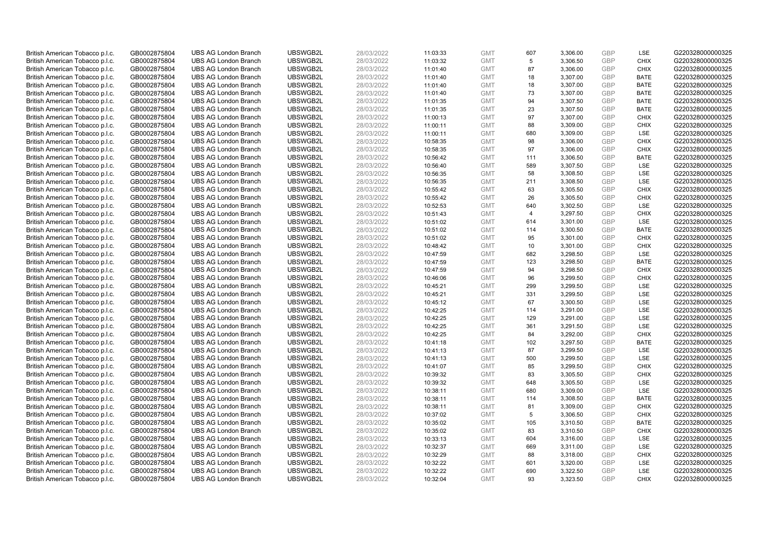| British American Tobacco p.l.c. | GB0002875804 | <b>UBS AG London Branch</b> | UBSWGB2L | 28/03/2022 | 11:03:33 | <b>GMT</b> | 607 | 3,306.00 | <b>GBP</b> | LSE         | G220328000000325 |
|---------------------------------|--------------|-----------------------------|----------|------------|----------|------------|-----|----------|------------|-------------|------------------|
| British American Tobacco p.l.c. | GB0002875804 | <b>UBS AG London Branch</b> | UBSWGB2L | 28/03/2022 | 11:03:32 | <b>GMT</b> | 5   | 3,306.50 | <b>GBP</b> | <b>CHIX</b> | G220328000000325 |
| British American Tobacco p.l.c. | GB0002875804 | <b>UBS AG London Branch</b> | UBSWGB2L | 28/03/2022 | 11:01:40 | <b>GMT</b> | 87  | 3,306.00 | GBP        | <b>CHIX</b> | G220328000000325 |
| British American Tobacco p.l.c. | GB0002875804 | <b>UBS AG London Branch</b> | UBSWGB2L | 28/03/2022 | 11:01:40 | <b>GMT</b> | 18  | 3,307.00 | GBP        | <b>BATE</b> | G220328000000325 |
| British American Tobacco p.l.c. | GB0002875804 | <b>UBS AG London Branch</b> | UBSWGB2L | 28/03/2022 | 11:01:40 | <b>GMT</b> | 18  | 3,307.00 | GBP        | <b>BATE</b> | G220328000000325 |
| British American Tobacco p.l.c. | GB0002875804 | <b>UBS AG London Branch</b> | UBSWGB2L | 28/03/2022 | 11:01:40 | <b>GMT</b> | 73  | 3,307.00 | <b>GBP</b> | <b>BATE</b> | G220328000000325 |
| British American Tobacco p.l.c. | GB0002875804 | <b>UBS AG London Branch</b> | UBSWGB2L | 28/03/2022 | 11:01:35 | <b>GMT</b> | 94  | 3,307.50 | <b>GBP</b> | <b>BATE</b> | G220328000000325 |
| British American Tobacco p.l.c. | GB0002875804 | <b>UBS AG London Branch</b> | UBSWGB2L | 28/03/2022 | 11:01:35 | <b>GMT</b> | 23  | 3,307.50 | GBP        | <b>BATE</b> | G220328000000325 |
| British American Tobacco p.l.c. | GB0002875804 | <b>UBS AG London Branch</b> | UBSWGB2L | 28/03/2022 | 11:00:13 | <b>GMT</b> | 97  | 3,307.00 | <b>GBP</b> | <b>CHIX</b> | G220328000000325 |
| British American Tobacco p.l.c. | GB0002875804 | <b>UBS AG London Branch</b> | UBSWGB2L | 28/03/2022 | 11:00:11 | <b>GMT</b> | 88  | 3,309.00 | GBP        | <b>CHIX</b> | G220328000000325 |
| British American Tobacco p.l.c. | GB0002875804 | <b>UBS AG London Branch</b> | UBSWGB2L | 28/03/2022 | 11:00:11 | <b>GMT</b> | 680 | 3,309.00 | GBP        | <b>LSE</b>  | G220328000000325 |
| British American Tobacco p.l.c. | GB0002875804 | <b>UBS AG London Branch</b> | UBSWGB2L | 28/03/2022 | 10:58:35 | <b>GMT</b> | 98  | 3,306.00 | <b>GBP</b> | <b>CHIX</b> | G220328000000325 |
| British American Tobacco p.l.c. | GB0002875804 | <b>UBS AG London Branch</b> | UBSWGB2L | 28/03/2022 | 10:58:35 | <b>GMT</b> | 97  | 3,306.00 | GBP        | <b>CHIX</b> | G220328000000325 |
| British American Tobacco p.l.c. | GB0002875804 | <b>UBS AG London Branch</b> | UBSWGB2L | 28/03/2022 | 10:56:42 | <b>GMT</b> | 111 | 3,306.50 | <b>GBP</b> | <b>BATE</b> | G220328000000325 |
| British American Tobacco p.l.c. | GB0002875804 | <b>UBS AG London Branch</b> | UBSWGB2L | 28/03/2022 | 10:56:40 | <b>GMT</b> | 589 | 3,307.50 | GBP        | <b>LSE</b>  | G220328000000325 |
| British American Tobacco p.l.c. | GB0002875804 | <b>UBS AG London Branch</b> | UBSWGB2L | 28/03/2022 | 10:56:35 | <b>GMT</b> | 58  | 3,308.50 | <b>GBP</b> | LSE         | G220328000000325 |
| British American Tobacco p.l.c. | GB0002875804 | <b>UBS AG London Branch</b> | UBSWGB2L | 28/03/2022 | 10:56:35 | <b>GMT</b> | 211 | 3,308.50 | GBP        | <b>LSE</b>  | G220328000000325 |
| British American Tobacco p.l.c. | GB0002875804 | <b>UBS AG London Branch</b> | UBSWGB2L | 28/03/2022 | 10:55:42 | <b>GMT</b> | 63  | 3,305.50 | <b>GBP</b> | <b>CHIX</b> | G220328000000325 |
| British American Tobacco p.l.c. | GB0002875804 | <b>UBS AG London Branch</b> | UBSWGB2L | 28/03/2022 | 10:55:42 | <b>GMT</b> | 26  | 3,305.50 | GBP        | <b>CHIX</b> | G220328000000325 |
| British American Tobacco p.l.c. | GB0002875804 | <b>UBS AG London Branch</b> | UBSWGB2L | 28/03/2022 | 10:52:53 | <b>GMT</b> | 640 | 3,302.50 | <b>GBP</b> | LSE         | G220328000000325 |
| British American Tobacco p.l.c. | GB0002875804 | <b>UBS AG London Branch</b> | UBSWGB2L | 28/03/2022 | 10:51:43 | <b>GMT</b> | 4   | 3,297.50 | GBP        | <b>CHIX</b> | G220328000000325 |
| British American Tobacco p.l.c. | GB0002875804 | <b>UBS AG London Branch</b> | UBSWGB2L | 28/03/2022 | 10:51:02 | <b>GMT</b> | 614 | 3,301.00 | GBP        | LSE         | G220328000000325 |
| British American Tobacco p.l.c. | GB0002875804 | <b>UBS AG London Branch</b> | UBSWGB2L | 28/03/2022 | 10:51:02 | <b>GMT</b> | 114 | 3,300.50 | <b>GBP</b> | <b>BATE</b> | G220328000000325 |
| British American Tobacco p.l.c. | GB0002875804 | <b>UBS AG London Branch</b> | UBSWGB2L | 28/03/2022 | 10:51:02 | <b>GMT</b> | 95  | 3,301.00 | GBP        | <b>CHIX</b> | G220328000000325 |
| British American Tobacco p.l.c. | GB0002875804 | <b>UBS AG London Branch</b> | UBSWGB2L | 28/03/2022 | 10:48:42 | <b>GMT</b> | 10  | 3,301.00 | <b>GBP</b> | <b>CHIX</b> | G220328000000325 |
| British American Tobacco p.l.c. | GB0002875804 | <b>UBS AG London Branch</b> | UBSWGB2L | 28/03/2022 | 10:47:59 | <b>GMT</b> | 682 | 3,298.50 | <b>GBP</b> | LSE         | G220328000000325 |
| British American Tobacco p.l.c. | GB0002875804 | <b>UBS AG London Branch</b> | UBSWGB2L | 28/03/2022 | 10:47:59 | <b>GMT</b> | 123 | 3,298.50 | <b>GBP</b> | <b>BATE</b> | G220328000000325 |
| British American Tobacco p.l.c. | GB0002875804 | <b>UBS AG London Branch</b> | UBSWGB2L | 28/03/2022 | 10:47:59 | <b>GMT</b> | 94  | 3,298.50 | <b>GBP</b> | <b>CHIX</b> | G220328000000325 |
| British American Tobacco p.l.c. | GB0002875804 | <b>UBS AG London Branch</b> | UBSWGB2L | 28/03/2022 | 10:46:06 | <b>GMT</b> | 96  | 3,299.50 | <b>GBP</b> | <b>CHIX</b> | G220328000000325 |
| British American Tobacco p.l.c. | GB0002875804 | <b>UBS AG London Branch</b> | UBSWGB2L | 28/03/2022 | 10:45:21 | <b>GMT</b> | 299 | 3,299.50 | <b>GBP</b> | LSE         | G220328000000325 |
| British American Tobacco p.l.c. | GB0002875804 | <b>UBS AG London Branch</b> | UBSWGB2L | 28/03/2022 | 10:45:21 | <b>GMT</b> | 331 | 3,299.50 | <b>GBP</b> | <b>LSE</b>  | G220328000000325 |
| British American Tobacco p.l.c. | GB0002875804 | <b>UBS AG London Branch</b> | UBSWGB2L | 28/03/2022 | 10:45:12 | <b>GMT</b> | 67  | 3,300.50 | <b>GBP</b> | <b>LSE</b>  | G220328000000325 |
| British American Tobacco p.l.c. | GB0002875804 | <b>UBS AG London Branch</b> | UBSWGB2L | 28/03/2022 | 10:42:25 | <b>GMT</b> | 114 | 3,291.00 | <b>GBP</b> | LSE         | G220328000000325 |
| British American Tobacco p.l.c. | GB0002875804 | <b>UBS AG London Branch</b> | UBSWGB2L | 28/03/2022 | 10:42:25 | <b>GMT</b> | 129 | 3,291.00 | GBP        | LSE         | G220328000000325 |
| British American Tobacco p.l.c. | GB0002875804 | <b>UBS AG London Branch</b> | UBSWGB2L | 28/03/2022 | 10:42:25 | <b>GMT</b> | 361 | 3,291.50 | <b>GBP</b> | LSE         | G220328000000325 |
| British American Tobacco p.l.c. | GB0002875804 | <b>UBS AG London Branch</b> | UBSWGB2L | 28/03/2022 | 10:42:25 | <b>GMT</b> | 84  | 3,292.00 | GBP        | <b>CHIX</b> | G220328000000325 |
| British American Tobacco p.l.c. | GB0002875804 | <b>UBS AG London Branch</b> | UBSWGB2L | 28/03/2022 | 10:41:18 | <b>GMT</b> | 102 | 3,297.50 | <b>GBP</b> | <b>BATE</b> | G220328000000325 |
| British American Tobacco p.l.c. | GB0002875804 | <b>UBS AG London Branch</b> | UBSWGB2L | 28/03/2022 | 10:41:13 | <b>GMT</b> | 87  | 3,299.50 | <b>GBP</b> | LSE         | G220328000000325 |
| British American Tobacco p.l.c. | GB0002875804 | <b>UBS AG London Branch</b> | UBSWGB2L | 28/03/2022 | 10:41:13 | <b>GMT</b> | 500 | 3,299.50 | <b>GBP</b> | LSE         | G220328000000325 |
| British American Tobacco p.l.c. | GB0002875804 | <b>UBS AG London Branch</b> | UBSWGB2L | 28/03/2022 | 10:41:07 | <b>GMT</b> | 85  | 3,299.50 | <b>GBP</b> | <b>CHIX</b> | G220328000000325 |
| British American Tobacco p.l.c. | GB0002875804 | <b>UBS AG London Branch</b> | UBSWGB2L | 28/03/2022 | 10:39:32 | <b>GMT</b> | 83  | 3,305.50 | <b>GBP</b> | <b>CHIX</b> | G220328000000325 |
| British American Tobacco p.l.c. | GB0002875804 | <b>UBS AG London Branch</b> | UBSWGB2L | 28/03/2022 | 10:39:32 | <b>GMT</b> | 648 | 3,305.50 | <b>GBP</b> | <b>LSE</b>  | G220328000000325 |
| British American Tobacco p.l.c. | GB0002875804 | <b>UBS AG London Branch</b> | UBSWGB2L | 28/03/2022 | 10:38:11 | <b>GMT</b> | 680 | 3,309.00 | <b>GBP</b> | LSE         | G220328000000325 |
| British American Tobacco p.l.c. | GB0002875804 | <b>UBS AG London Branch</b> | UBSWGB2L | 28/03/2022 | 10:38:11 | <b>GMT</b> | 114 | 3,308.50 | GBP        | <b>BATE</b> | G220328000000325 |
| British American Tobacco p.l.c. | GB0002875804 | <b>UBS AG London Branch</b> | UBSWGB2L | 28/03/2022 | 10:38:11 | <b>GMT</b> | 81  | 3,309.00 | <b>GBP</b> | <b>CHIX</b> | G220328000000325 |
| British American Tobacco p.l.c. | GB0002875804 | <b>UBS AG London Branch</b> | UBSWGB2L | 28/03/2022 | 10:37:02 | <b>GMT</b> | 5   | 3,306.50 | <b>GBP</b> | <b>CHIX</b> | G220328000000325 |
| British American Tobacco p.l.c. | GB0002875804 | <b>UBS AG London Branch</b> | UBSWGB2L | 28/03/2022 | 10:35:02 | <b>GMT</b> | 105 | 3,310.50 | <b>GBP</b> | <b>BATE</b> | G220328000000325 |
| British American Tobacco p.l.c. | GB0002875804 | <b>UBS AG London Branch</b> | UBSWGB2L | 28/03/2022 | 10:35:02 | <b>GMT</b> | 83  | 3,310.50 | <b>GBP</b> | <b>CHIX</b> | G220328000000325 |
| British American Tobacco p.l.c. | GB0002875804 | <b>UBS AG London Branch</b> | UBSWGB2L | 28/03/2022 | 10:33:13 | <b>GMT</b> | 604 | 3,316.00 | <b>GBP</b> | LSE         | G220328000000325 |
| British American Tobacco p.l.c. | GB0002875804 | <b>UBS AG London Branch</b> | UBSWGB2L | 28/03/2022 | 10:32:37 | <b>GMT</b> | 669 | 3,311.00 | <b>GBP</b> | LSE         | G220328000000325 |
| British American Tobacco p.l.c. | GB0002875804 | <b>UBS AG London Branch</b> | UBSWGB2L | 28/03/2022 | 10:32:29 | <b>GMT</b> | 88  | 3,318.00 | GBP        | <b>CHIX</b> | G220328000000325 |
| British American Tobacco p.l.c. | GB0002875804 | <b>UBS AG London Branch</b> | UBSWGB2L | 28/03/2022 | 10:32:22 | <b>GMT</b> | 601 | 3,320.00 | <b>GBP</b> | LSE         | G220328000000325 |
| British American Tobacco p.l.c. | GB0002875804 | <b>UBS AG London Branch</b> | UBSWGB2L | 28/03/2022 | 10:32:22 | <b>GMT</b> | 690 | 3,322.50 | GBP        | LSE         | G220328000000325 |
| British American Tobacco p.l.c. | GB0002875804 | <b>UBS AG London Branch</b> | UBSWGB2L | 28/03/2022 | 10:32:04 | <b>GMT</b> | 93  | 3.323.50 | GBP        | <b>CHIX</b> | G220328000000325 |
|                                 |              |                             |          |            |          |            |     |          |            |             |                  |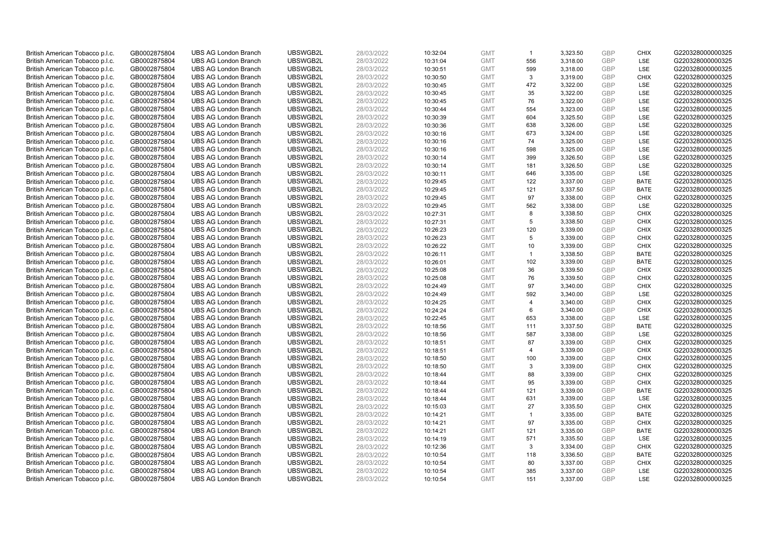| British American Tobacco p.l.c. | GB0002875804 | <b>UBS AG London Branch</b> | UBSWGB2L | 28/03/2022 | 10:32:04 | <b>GMT</b> | $\overline{1}$          | 3,323.50 | <b>GBP</b> | <b>CHIX</b> | G220328000000325 |
|---------------------------------|--------------|-----------------------------|----------|------------|----------|------------|-------------------------|----------|------------|-------------|------------------|
| British American Tobacco p.l.c. | GB0002875804 | <b>UBS AG London Branch</b> | UBSWGB2L | 28/03/2022 | 10:31:04 | <b>GMT</b> | 556                     | 3,318.00 | GBP        | <b>LSE</b>  | G220328000000325 |
| British American Tobacco p.l.c. | GB0002875804 | <b>UBS AG London Branch</b> | UBSWGB2L | 28/03/2022 | 10:30:51 | <b>GMT</b> | 599                     | 3,318.00 | <b>GBP</b> | LSE         | G220328000000325 |
| British American Tobacco p.l.c. | GB0002875804 | <b>UBS AG London Branch</b> | UBSWGB2L | 28/03/2022 | 10:30:50 | <b>GMT</b> | 3                       | 3,319.00 | GBP        | <b>CHIX</b> | G220328000000325 |
| British American Tobacco p.l.c. | GB0002875804 | <b>UBS AG London Branch</b> | UBSWGB2L | 28/03/2022 | 10:30:45 | <b>GMT</b> | 472                     | 3,322.00 | <b>GBP</b> | LSE         | G220328000000325 |
| British American Tobacco p.l.c. | GB0002875804 | <b>UBS AG London Branch</b> | UBSWGB2L | 28/03/2022 | 10:30:45 | <b>GMT</b> | 35                      | 3,322.00 | <b>GBP</b> | LSE         | G220328000000325 |
| British American Tobacco p.l.c. | GB0002875804 | <b>UBS AG London Branch</b> | UBSWGB2L | 28/03/2022 | 10:30:45 | <b>GMT</b> | 76                      | 3,322.00 | <b>GBP</b> | LSE         | G220328000000325 |
| British American Tobacco p.l.c. | GB0002875804 | <b>UBS AG London Branch</b> | UBSWGB2L | 28/03/2022 | 10:30:44 | <b>GMT</b> | 554                     | 3,323.00 | GBP        | <b>LSE</b>  | G220328000000325 |
| British American Tobacco p.l.c. | GB0002875804 | <b>UBS AG London Branch</b> | UBSWGB2L | 28/03/2022 | 10:30:39 | <b>GMT</b> | 604                     | 3,325.50 | <b>GBP</b> | LSE         | G220328000000325 |
| British American Tobacco p.l.c. | GB0002875804 | <b>UBS AG London Branch</b> | UBSWGB2L | 28/03/2022 | 10:30:36 | <b>GMT</b> | 638                     | 3,326.00 | GBP        | <b>LSE</b>  | G220328000000325 |
| British American Tobacco p.l.c. | GB0002875804 | <b>UBS AG London Branch</b> | UBSWGB2L | 28/03/2022 | 10:30:16 | <b>GMT</b> | 673                     | 3.324.00 | <b>GBP</b> | LSE         | G220328000000325 |
| British American Tobacco p.l.c. | GB0002875804 | <b>UBS AG London Branch</b> | UBSWGB2L | 28/03/2022 | 10:30:16 | <b>GMT</b> | 74                      | 3,325.00 | <b>GBP</b> | LSE         | G220328000000325 |
| British American Tobacco p.l.c. | GB0002875804 | <b>UBS AG London Branch</b> | UBSWGB2L | 28/03/2022 | 10:30:16 | <b>GMT</b> | 598                     | 3,325.00 | <b>GBP</b> | LSE         | G220328000000325 |
| British American Tobacco p.l.c. | GB0002875804 | <b>UBS AG London Branch</b> | UBSWGB2L | 28/03/2022 | 10:30:14 | <b>GMT</b> | 399                     | 3,326.50 | <b>GBP</b> | <b>LSE</b>  | G220328000000325 |
| British American Tobacco p.l.c. | GB0002875804 | <b>UBS AG London Branch</b> | UBSWGB2L | 28/03/2022 | 10:30:14 | <b>GMT</b> | 181                     | 3,326.50 | GBP        | <b>LSE</b>  | G220328000000325 |
| British American Tobacco p.l.c. | GB0002875804 | <b>UBS AG London Branch</b> | UBSWGB2L | 28/03/2022 | 10:30:11 | <b>GMT</b> | 646                     | 3,335.00 | <b>GBP</b> | LSE         | G220328000000325 |
| British American Tobacco p.l.c. | GB0002875804 | <b>UBS AG London Branch</b> | UBSWGB2L | 28/03/2022 | 10:29:45 | <b>GMT</b> | 122                     | 3,337.00 | <b>GBP</b> | <b>BATE</b> | G220328000000325 |
| British American Tobacco p.l.c. | GB0002875804 | <b>UBS AG London Branch</b> | UBSWGB2L | 28/03/2022 | 10:29:45 | <b>GMT</b> | 121                     | 3,337.50 | GBP        | <b>BATE</b> | G220328000000325 |
| British American Tobacco p.l.c. | GB0002875804 | <b>UBS AG London Branch</b> | UBSWGB2L | 28/03/2022 | 10:29:45 | <b>GMT</b> | 97                      | 3,338.00 | GBP        | <b>CHIX</b> | G220328000000325 |
| British American Tobacco p.l.c. | GB0002875804 | <b>UBS AG London Branch</b> | UBSWGB2L | 28/03/2022 | 10:29:45 | <b>GMT</b> | 562                     | 3,338.00 | <b>GBP</b> | LSE         | G220328000000325 |
| British American Tobacco p.l.c. | GB0002875804 | <b>UBS AG London Branch</b> | UBSWGB2L | 28/03/2022 | 10:27:31 | <b>GMT</b> | 8                       | 3,338.50 | GBP        | <b>CHIX</b> | G220328000000325 |
| British American Tobacco p.l.c. | GB0002875804 | <b>UBS AG London Branch</b> | UBSWGB2L | 28/03/2022 | 10:27:31 | <b>GMT</b> | 5                       | 3,338.50 | <b>GBP</b> | <b>CHIX</b> | G220328000000325 |
| British American Tobacco p.l.c. | GB0002875804 | <b>UBS AG London Branch</b> | UBSWGB2L | 28/03/2022 | 10:26:23 | <b>GMT</b> | 120                     | 3,339.00 | <b>GBP</b> | <b>CHIX</b> | G220328000000325 |
| British American Tobacco p.l.c. | GB0002875804 | <b>UBS AG London Branch</b> | UBSWGB2L | 28/03/2022 | 10:26:23 | <b>GMT</b> | 5                       | 3,339.00 | <b>GBP</b> | <b>CHIX</b> | G220328000000325 |
| British American Tobacco p.l.c. | GB0002875804 | <b>UBS AG London Branch</b> | UBSWGB2L | 28/03/2022 | 10:26:22 | <b>GMT</b> | 10                      | 3,339.00 | <b>GBP</b> | <b>CHIX</b> | G220328000000325 |
| British American Tobacco p.l.c. | GB0002875804 | <b>UBS AG London Branch</b> | UBSWGB2L | 28/03/2022 | 10:26:11 | <b>GMT</b> | $\mathbf{1}$            | 3,338.50 | <b>GBP</b> | <b>BATE</b> | G220328000000325 |
| British American Tobacco p.l.c. | GB0002875804 | <b>UBS AG London Branch</b> | UBSWGB2L | 28/03/2022 | 10:26:01 | <b>GMT</b> | 102                     | 3,339.00 | <b>GBP</b> | <b>BATE</b> | G220328000000325 |
| British American Tobacco p.l.c. | GB0002875804 | <b>UBS AG London Branch</b> | UBSWGB2L | 28/03/2022 | 10:25:08 | <b>GMT</b> | 36                      | 3,339.50 | <b>GBP</b> | <b>CHIX</b> | G220328000000325 |
| British American Tobacco p.l.c. | GB0002875804 | <b>UBS AG London Branch</b> | UBSWGB2L | 28/03/2022 | 10:25:08 | <b>GMT</b> | 76                      | 3,339.50 | <b>GBP</b> | <b>CHIX</b> | G220328000000325 |
| British American Tobacco p.l.c. | GB0002875804 | <b>UBS AG London Branch</b> | UBSWGB2L | 28/03/2022 | 10:24:49 | <b>GMT</b> | 97                      | 3,340.00 | <b>GBP</b> | <b>CHIX</b> | G220328000000325 |
| British American Tobacco p.l.c. | GB0002875804 | <b>UBS AG London Branch</b> | UBSWGB2L | 28/03/2022 | 10:24:49 | <b>GMT</b> | 592                     | 3,340.00 | <b>GBP</b> | <b>LSE</b>  | G220328000000325 |
| British American Tobacco p.l.c. | GB0002875804 | <b>UBS AG London Branch</b> | UBSWGB2L | 28/03/2022 | 10:24:25 | <b>GMT</b> | $\overline{4}$          | 3,340.00 | <b>GBP</b> | <b>CHIX</b> | G220328000000325 |
| British American Tobacco p.l.c. | GB0002875804 | <b>UBS AG London Branch</b> | UBSWGB2L | 28/03/2022 | 10:24:24 | <b>GMT</b> | 6                       | 3,340.00 | <b>GBP</b> | <b>CHIX</b> | G220328000000325 |
| British American Tobacco p.l.c. | GB0002875804 | <b>UBS AG London Branch</b> | UBSWGB2L | 28/03/2022 | 10:22:45 | <b>GMT</b> | 653                     | 3,338.00 | GBP        | LSE         | G220328000000325 |
| British American Tobacco p.l.c. | GB0002875804 | <b>UBS AG London Branch</b> | UBSWGB2L | 28/03/2022 | 10:18:56 | <b>GMT</b> | 111                     | 3,337.50 | <b>GBP</b> | <b>BATE</b> | G220328000000325 |
| British American Tobacco p.l.c. | GB0002875804 | <b>UBS AG London Branch</b> | UBSWGB2L | 28/03/2022 | 10:18:56 | <b>GMT</b> | 587                     | 3,338.00 | GBP        | LSE         | G220328000000325 |
| British American Tobacco p.l.c. | GB0002875804 | <b>UBS AG London Branch</b> | UBSWGB2L | 28/03/2022 | 10:18:51 | <b>GMT</b> | 87                      | 3,339.00 | GBP        | <b>CHIX</b> | G220328000000325 |
| British American Tobacco p.l.c. | GB0002875804 | <b>UBS AG London Branch</b> | UBSWGB2L | 28/03/2022 | 10:18:51 | <b>GMT</b> | $\overline{\mathbf{A}}$ | 3,339.00 | <b>GBP</b> | <b>CHIX</b> | G220328000000325 |
| British American Tobacco p.l.c. | GB0002875804 | <b>UBS AG London Branch</b> | UBSWGB2L | 28/03/2022 | 10:18:50 | <b>GMT</b> | 100                     | 3,339.00 | <b>GBP</b> | <b>CHIX</b> | G220328000000325 |
| British American Tobacco p.l.c. | GB0002875804 | <b>UBS AG London Branch</b> | UBSWGB2L | 28/03/2022 | 10:18:50 | <b>GMT</b> | 3                       | 3,339.00 | <b>GBP</b> | <b>CHIX</b> | G220328000000325 |
| British American Tobacco p.l.c. | GB0002875804 | <b>UBS AG London Branch</b> | UBSWGB2L | 28/03/2022 | 10:18:44 | <b>GMT</b> | 88                      | 3,339.00 | GBP        | <b>CHIX</b> | G220328000000325 |
| British American Tobacco p.l.c. | GB0002875804 | <b>UBS AG London Branch</b> | UBSWGB2L | 28/03/2022 | 10:18:44 | <b>GMT</b> | 95                      | 3,339.00 | <b>GBP</b> | <b>CHIX</b> | G220328000000325 |
| British American Tobacco p.l.c. | GB0002875804 | <b>UBS AG London Branch</b> | UBSWGB2L | 28/03/2022 | 10:18:44 | <b>GMT</b> | 121                     | 3,339.00 | <b>GBP</b> | <b>BATE</b> | G220328000000325 |
| British American Tobacco p.l.c. | GB0002875804 | <b>UBS AG London Branch</b> | UBSWGB2L | 28/03/2022 | 10:18:44 | <b>GMT</b> | 631                     | 3,339.00 | GBP        | LSE         | G220328000000325 |
| British American Tobacco p.l.c. | GB0002875804 | <b>UBS AG London Branch</b> | UBSWGB2L | 28/03/2022 | 10:15:03 | <b>GMT</b> | 27                      | 3,335.50 | <b>GBP</b> | <b>CHIX</b> | G220328000000325 |
| British American Tobacco p.l.c. | GB0002875804 | <b>UBS AG London Branch</b> | UBSWGB2L | 28/03/2022 | 10:14:21 | <b>GMT</b> | $\mathbf{1}$            | 3,335.00 | <b>GBP</b> | <b>BATE</b> | G220328000000325 |
| British American Tobacco p.l.c. | GB0002875804 | <b>UBS AG London Branch</b> | UBSWGB2L | 28/03/2022 | 10:14:21 | <b>GMT</b> | 97                      | 3,335.00 | <b>GBP</b> | <b>CHIX</b> | G220328000000325 |
| British American Tobacco p.l.c. | GB0002875804 | <b>UBS AG London Branch</b> | UBSWGB2L | 28/03/2022 | 10:14:21 | <b>GMT</b> | 121                     | 3,335.00 | GBP        | <b>BATE</b> | G220328000000325 |
| British American Tobacco p.l.c. | GB0002875804 | <b>UBS AG London Branch</b> | UBSWGB2L | 28/03/2022 | 10:14:19 | <b>GMT</b> | 571                     | 3,335.50 | <b>GBP</b> | LSE         | G220328000000325 |
| British American Tobacco p.l.c. | GB0002875804 | <b>UBS AG London Branch</b> | UBSWGB2L | 28/03/2022 | 10:12:36 | <b>GMT</b> | 3                       | 3,334.00 | GBP        | <b>CHIX</b> | G220328000000325 |
| British American Tobacco p.l.c. | GB0002875804 | <b>UBS AG London Branch</b> | UBSWGB2L | 28/03/2022 | 10:10:54 | <b>GMT</b> | 118                     | 3,336.50 | <b>GBP</b> | <b>BATE</b> | G220328000000325 |
| British American Tobacco p.l.c. | GB0002875804 | <b>UBS AG London Branch</b> | UBSWGB2L | 28/03/2022 | 10:10:54 | <b>GMT</b> | 80                      | 3,337.00 | <b>GBP</b> | <b>CHIX</b> | G220328000000325 |
| British American Tobacco p.l.c. | GB0002875804 | <b>UBS AG London Branch</b> | UBSWGB2L | 28/03/2022 | 10:10:54 | <b>GMT</b> | 385                     | 3,337.00 | GBP        | <b>LSE</b>  | G220328000000325 |
| British American Tobacco p.l.c. | GB0002875804 | <b>UBS AG London Branch</b> | UBSWGB2L | 28/03/2022 | 10:10:54 | <b>GMT</b> | 151                     | 3.337.00 | GBP        | <b>LSE</b>  | G220328000000325 |
|                                 |              |                             |          |            |          |            |                         |          |            |             |                  |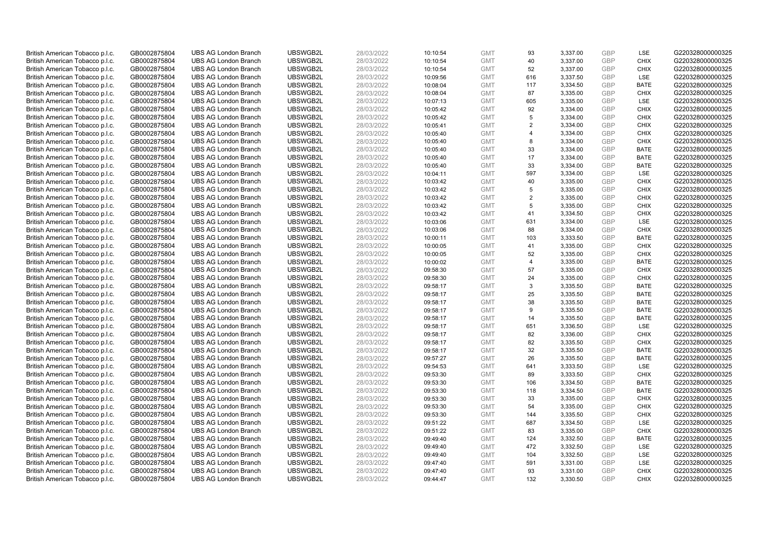| British American Tobacco p.l.c. | GB0002875804 | <b>UBS AG London Branch</b> | UBSWGB2L | 28/03/2022 | 10:10:54 | <b>GMT</b> | 93             | 3,337.00 | <b>GBP</b> | LSE         | G220328000000325 |
|---------------------------------|--------------|-----------------------------|----------|------------|----------|------------|----------------|----------|------------|-------------|------------------|
| British American Tobacco p.l.c. | GB0002875804 | <b>UBS AG London Branch</b> | UBSWGB2L | 28/03/2022 | 10:10:54 | <b>GMT</b> | 40             | 3,337.00 | <b>GBP</b> | <b>CHIX</b> | G220328000000325 |
| British American Tobacco p.l.c. | GB0002875804 | <b>UBS AG London Branch</b> | UBSWGB2L | 28/03/2022 | 10:10:54 | <b>GMT</b> | 52             | 3,337.00 | <b>GBP</b> | <b>CHIX</b> | G220328000000325 |
| British American Tobacco p.l.c. | GB0002875804 | <b>UBS AG London Branch</b> | UBSWGB2L | 28/03/2022 | 10:09:56 | <b>GMT</b> | 616            | 3,337.50 | <b>GBP</b> | <b>LSE</b>  | G220328000000325 |
| British American Tobacco p.l.c. | GB0002875804 | <b>UBS AG London Branch</b> | UBSWGB2L | 28/03/2022 | 10:08:04 | <b>GMT</b> | 117            | 3,334.50 | GBP        | <b>BATE</b> | G220328000000325 |
| British American Tobacco p.l.c. | GB0002875804 | <b>UBS AG London Branch</b> | UBSWGB2L | 28/03/2022 | 10:08:04 | <b>GMT</b> | 87             | 3,335.00 | GBP        | <b>CHIX</b> | G220328000000325 |
| British American Tobacco p.l.c. | GB0002875804 | <b>UBS AG London Branch</b> | UBSWGB2L | 28/03/2022 | 10:07:13 | <b>GMT</b> | 605            | 3,335.00 | <b>GBP</b> | LSE         | G220328000000325 |
| British American Tobacco p.l.c. | GB0002875804 | <b>UBS AG London Branch</b> | UBSWGB2L | 28/03/2022 | 10:05:42 | <b>GMT</b> | 92             | 3,334.00 | GBP        | <b>CHIX</b> | G220328000000325 |
| British American Tobacco p.l.c. | GB0002875804 | <b>UBS AG London Branch</b> | UBSWGB2L | 28/03/2022 | 10:05:42 | <b>GMT</b> | 5              | 3,334.00 | <b>GBP</b> | <b>CHIX</b> | G220328000000325 |
| British American Tobacco p.l.c. | GB0002875804 | <b>UBS AG London Branch</b> | UBSWGB2L | 28/03/2022 | 10:05:41 | <b>GMT</b> | 2              | 3,334.00 | GBP        | <b>CHIX</b> | G220328000000325 |
| British American Tobacco p.l.c. | GB0002875804 | <b>UBS AG London Branch</b> | UBSWGB2L | 28/03/2022 | 10:05:40 | <b>GMT</b> | $\overline{4}$ | 3,334.00 | <b>GBP</b> | <b>CHIX</b> | G220328000000325 |
| British American Tobacco p.l.c. | GB0002875804 | <b>UBS AG London Branch</b> | UBSWGB2L | 28/03/2022 | 10:05:40 | <b>GMT</b> | 8              | 3,334.00 | <b>GBP</b> | <b>CHIX</b> | G220328000000325 |
| British American Tobacco p.l.c. | GB0002875804 | <b>UBS AG London Branch</b> | UBSWGB2L | 28/03/2022 | 10:05:40 | <b>GMT</b> | 33             | 3,334.00 | <b>GBP</b> | <b>BATE</b> | G220328000000325 |
| British American Tobacco p.l.c. | GB0002875804 | <b>UBS AG London Branch</b> | UBSWGB2L | 28/03/2022 | 10:05:40 | <b>GMT</b> | 17             | 3,334.00 | <b>GBP</b> | <b>BATE</b> | G220328000000325 |
| British American Tobacco p.l.c. | GB0002875804 | <b>UBS AG London Branch</b> | UBSWGB2L | 28/03/2022 | 10:05:40 | <b>GMT</b> | 33             | 3,334.00 | <b>GBP</b> | <b>BATE</b> | G220328000000325 |
| British American Tobacco p.l.c. | GB0002875804 | <b>UBS AG London Branch</b> | UBSWGB2L | 28/03/2022 | 10:04:11 | <b>GMT</b> | 597            | 3,334.00 | <b>GBP</b> | <b>LSE</b>  | G220328000000325 |
| British American Tobacco p.l.c. | GB0002875804 | <b>UBS AG London Branch</b> | UBSWGB2L | 28/03/2022 | 10:03:42 | <b>GMT</b> | 40             | 3,335.00 | <b>GBP</b> | <b>CHIX</b> | G220328000000325 |
| British American Tobacco p.l.c. | GB0002875804 | <b>UBS AG London Branch</b> | UBSWGB2L | 28/03/2022 | 10:03:42 | <b>GMT</b> | 5              | 3,335.00 | <b>GBP</b> | <b>CHIX</b> | G220328000000325 |
| British American Tobacco p.l.c. | GB0002875804 | <b>UBS AG London Branch</b> | UBSWGB2L | 28/03/2022 | 10:03:42 | <b>GMT</b> | 2              | 3,335.00 | <b>GBP</b> | <b>CHIX</b> | G220328000000325 |
| British American Tobacco p.l.c. | GB0002875804 | <b>UBS AG London Branch</b> | UBSWGB2L | 28/03/2022 | 10:03:42 | <b>GMT</b> | 5              | 3,335.00 | <b>GBP</b> | <b>CHIX</b> | G220328000000325 |
| British American Tobacco p.l.c. | GB0002875804 | <b>UBS AG London Branch</b> | UBSWGB2L | 28/03/2022 | 10:03:42 | <b>GMT</b> | 41             | 3,334.50 | <b>GBP</b> | <b>CHIX</b> | G220328000000325 |
| British American Tobacco p.l.c. | GB0002875804 | <b>UBS AG London Branch</b> | UBSWGB2L | 28/03/2022 | 10:03:06 | <b>GMT</b> | 631            | 3,334.00 | <b>GBP</b> | LSE         | G220328000000325 |
| British American Tobacco p.l.c. | GB0002875804 | <b>UBS AG London Branch</b> | UBSWGB2L | 28/03/2022 | 10:03:06 | <b>GMT</b> | 88             | 3,334.00 | <b>GBP</b> | <b>CHIX</b> | G220328000000325 |
| British American Tobacco p.l.c. | GB0002875804 | <b>UBS AG London Branch</b> | UBSWGB2L | 28/03/2022 | 10:00:11 | <b>GMT</b> | 103            | 3,333.50 | <b>GBP</b> | <b>BATE</b> | G220328000000325 |
| British American Tobacco p.l.c. | GB0002875804 | <b>UBS AG London Branch</b> | UBSWGB2L | 28/03/2022 | 10:00:05 | <b>GMT</b> | 41             | 3,335.00 | <b>GBP</b> | <b>CHIX</b> | G220328000000325 |
| British American Tobacco p.l.c. | GB0002875804 | <b>UBS AG London Branch</b> | UBSWGB2L | 28/03/2022 | 10:00:05 | <b>GMT</b> | 52             | 3,335.00 | <b>GBP</b> | <b>CHIX</b> | G220328000000325 |
| British American Tobacco p.l.c. | GB0002875804 | <b>UBS AG London Branch</b> | UBSWGB2L | 28/03/2022 | 10:00:02 | <b>GMT</b> | $\overline{4}$ | 3,335.00 | <b>GBP</b> | <b>BATE</b> | G220328000000325 |
| British American Tobacco p.l.c. | GB0002875804 | <b>UBS AG London Branch</b> | UBSWGB2L | 28/03/2022 | 09:58:30 | <b>GMT</b> | 57             | 3,335.00 | <b>GBP</b> | <b>CHIX</b> | G220328000000325 |
| British American Tobacco p.l.c. | GB0002875804 | <b>UBS AG London Branch</b> | UBSWGB2L | 28/03/2022 | 09:58:30 | <b>GMT</b> | 24             | 3,335.00 | <b>GBP</b> | <b>CHIX</b> | G220328000000325 |
| British American Tobacco p.l.c. | GB0002875804 | <b>UBS AG London Branch</b> | UBSWGB2L | 28/03/2022 | 09:58:17 | <b>GMT</b> | 3              | 3,335.50 | <b>GBP</b> | <b>BATE</b> | G220328000000325 |
| British American Tobacco p.l.c. | GB0002875804 | <b>UBS AG London Branch</b> | UBSWGB2L | 28/03/2022 | 09:58:17 | <b>GMT</b> | 25             | 3,335.50 | <b>GBP</b> | <b>BATE</b> | G220328000000325 |
| British American Tobacco p.l.c. | GB0002875804 | <b>UBS AG London Branch</b> | UBSWGB2L | 28/03/2022 | 09:58:17 | <b>GMT</b> | 38             | 3,335.50 | <b>GBP</b> | <b>BATE</b> | G220328000000325 |
| British American Tobacco p.l.c. | GB0002875804 | <b>UBS AG London Branch</b> | UBSWGB2L | 28/03/2022 | 09:58:17 | <b>GMT</b> | 9              | 3,335.50 | <b>GBP</b> | <b>BATE</b> | G220328000000325 |
| British American Tobacco p.l.c. | GB0002875804 | <b>UBS AG London Branch</b> | UBSWGB2L | 28/03/2022 | 09:58:17 | <b>GMT</b> | 14             | 3,335.50 | <b>GBP</b> | <b>BATE</b> | G220328000000325 |
| British American Tobacco p.l.c. | GB0002875804 | <b>UBS AG London Branch</b> | UBSWGB2L | 28/03/2022 | 09:58:17 | <b>GMT</b> | 651            | 3,336.50 | <b>GBP</b> | LSE         | G220328000000325 |
| British American Tobacco p.l.c. | GB0002875804 | <b>UBS AG London Branch</b> | UBSWGB2L | 28/03/2022 | 09:58:17 | <b>GMT</b> | 82             | 3,336.00 | <b>GBP</b> | <b>CHIX</b> | G220328000000325 |
| British American Tobacco p.l.c. | GB0002875804 | <b>UBS AG London Branch</b> | UBSWGB2L | 28/03/2022 | 09:58:17 | <b>GMT</b> | 82             | 3,335.50 | <b>GBP</b> | <b>CHIX</b> | G220328000000325 |
| British American Tobacco p.l.c. | GB0002875804 | <b>UBS AG London Branch</b> | UBSWGB2L | 28/03/2022 | 09:58:17 | <b>GMT</b> | 32             | 3,335.50 | <b>GBP</b> | <b>BATE</b> | G220328000000325 |
| British American Tobacco p.l.c. | GB0002875804 | <b>UBS AG London Branch</b> | UBSWGB2L | 28/03/2022 | 09:57:27 | <b>GMT</b> | 26             | 3,335.50 | <b>GBP</b> | <b>BATE</b> | G220328000000325 |
| British American Tobacco p.l.c. | GB0002875804 | <b>UBS AG London Branch</b> | UBSWGB2L | 28/03/2022 | 09:54:53 | <b>GMT</b> | 641            | 3,333.50 | GBP        | LSE         | G220328000000325 |
| British American Tobacco p.l.c. | GB0002875804 | <b>UBS AG London Branch</b> | UBSWGB2L | 28/03/2022 | 09:53:30 | <b>GMT</b> | 89             | 3,333.50 | GBP        | <b>CHIX</b> | G220328000000325 |
| British American Tobacco p.l.c. | GB0002875804 | <b>UBS AG London Branch</b> | UBSWGB2L | 28/03/2022 | 09:53:30 | <b>GMT</b> | 106            | 3,334.50 | <b>GBP</b> | <b>BATE</b> | G220328000000325 |
| British American Tobacco p.l.c. | GB0002875804 | <b>UBS AG London Branch</b> | UBSWGB2L | 28/03/2022 | 09:53:30 | <b>GMT</b> | 118            | 3,334.50 | GBP        | <b>BATE</b> | G220328000000325 |
| British American Tobacco p.l.c. | GB0002875804 | <b>UBS AG London Branch</b> | UBSWGB2L | 28/03/2022 | 09:53:30 | <b>GMT</b> | 33             | 3,335.00 | <b>GBP</b> | <b>CHIX</b> | G220328000000325 |
| British American Tobacco p.l.c. | GB0002875804 | <b>UBS AG London Branch</b> | UBSWGB2L | 28/03/2022 | 09:53:30 | <b>GMT</b> | 54             | 3,335.00 | <b>GBP</b> | <b>CHIX</b> | G220328000000325 |
| British American Tobacco p.l.c. | GB0002875804 | <b>UBS AG London Branch</b> | UBSWGB2L | 28/03/2022 | 09:53:30 | <b>GMT</b> | 144            | 3,335.50 | <b>GBP</b> | <b>CHIX</b> | G220328000000325 |
| British American Tobacco p.l.c. | GB0002875804 | <b>UBS AG London Branch</b> | UBSWGB2L | 28/03/2022 | 09:51:22 | <b>GMT</b> | 687            | 3,334.50 | <b>GBP</b> | LSE         | G220328000000325 |
| British American Tobacco p.l.c. | GB0002875804 | <b>UBS AG London Branch</b> | UBSWGB2L | 28/03/2022 | 09:51:22 | <b>GMT</b> | 83             | 3,335.00 | <b>GBP</b> | <b>CHIX</b> | G220328000000325 |
| British American Tobacco p.l.c. | GB0002875804 | <b>UBS AG London Branch</b> | UBSWGB2L | 28/03/2022 | 09:49:40 | <b>GMT</b> | 124            | 3,332.50 | GBP        | <b>BATE</b> | G220328000000325 |
| British American Tobacco p.l.c. | GB0002875804 | <b>UBS AG London Branch</b> | UBSWGB2L | 28/03/2022 | 09:49:40 | <b>GMT</b> | 472            | 3,332.50 | <b>GBP</b> | <b>LSE</b>  | G220328000000325 |
| British American Tobacco p.l.c. | GB0002875804 | <b>UBS AG London Branch</b> | UBSWGB2L | 28/03/2022 | 09:49:40 | <b>GMT</b> | 104            | 3,332.50 | <b>GBP</b> | LSE         | G220328000000325 |
| British American Tobacco p.l.c. | GB0002875804 | <b>UBS AG London Branch</b> | UBSWGB2L | 28/03/2022 | 09:47:40 | <b>GMT</b> | 591            | 3,331.00 | <b>GBP</b> | LSE         | G220328000000325 |
| British American Tobacco p.l.c. | GB0002875804 | <b>UBS AG London Branch</b> | UBSWGB2L | 28/03/2022 | 09:47:40 | <b>GMT</b> | 93             | 3,331.00 | GBP        | <b>CHIX</b> | G220328000000325 |
| British American Tobacco p.l.c. | GB0002875804 | <b>UBS AG London Branch</b> | UBSWGB2L | 28/03/2022 | 09:44:47 | <b>GMT</b> | 132            | 3,330.50 | GBP        | <b>CHIX</b> | G220328000000325 |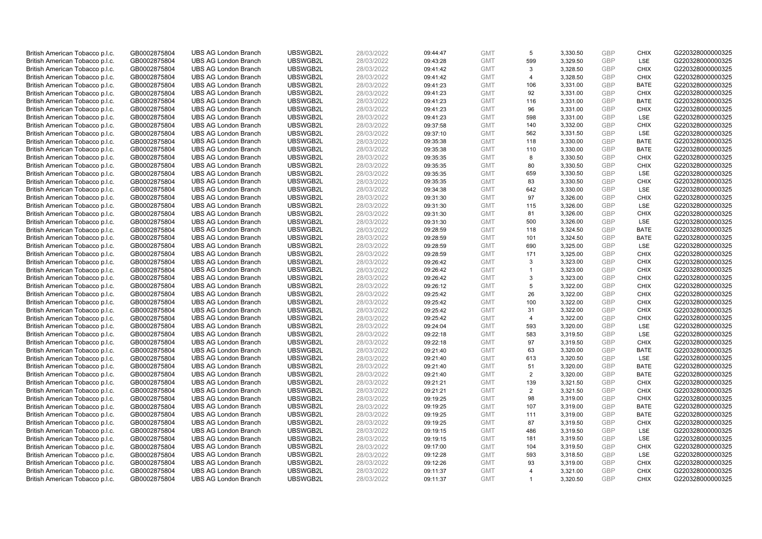| British American Tobacco p.l.c. | GB0002875804 | <b>UBS AG London Branch</b> | UBSWGB2L | 28/03/2022 | 09:44:47 | <b>GMT</b> | 5                       | 3,330.50 | <b>GBP</b> | <b>CHIX</b> | G220328000000325 |
|---------------------------------|--------------|-----------------------------|----------|------------|----------|------------|-------------------------|----------|------------|-------------|------------------|
| British American Tobacco p.l.c. | GB0002875804 | <b>UBS AG London Branch</b> | UBSWGB2L | 28/03/2022 | 09:43:28 | <b>GMT</b> | 599                     | 3,329.50 | GBP        | <b>LSE</b>  | G220328000000325 |
| British American Tobacco p.l.c. | GB0002875804 | <b>UBS AG London Branch</b> | UBSWGB2L | 28/03/2022 | 09:41:42 | <b>GMT</b> | 3                       | 3,328.50 | GBP        | <b>CHIX</b> | G220328000000325 |
| British American Tobacco p.l.c. | GB0002875804 | <b>UBS AG London Branch</b> | UBSWGB2L | 28/03/2022 | 09:41:42 | <b>GMT</b> | $\overline{\mathbf{A}}$ | 3,328.50 | GBP        | <b>CHIX</b> | G220328000000325 |
| British American Tobacco p.l.c. | GB0002875804 | <b>UBS AG London Branch</b> | UBSWGB2L | 28/03/2022 | 09:41:23 | <b>GMT</b> | 106                     | 3,331.00 | <b>GBP</b> | <b>BATE</b> | G220328000000325 |
| British American Tobacco p.l.c. | GB0002875804 | <b>UBS AG London Branch</b> | UBSWGB2L | 28/03/2022 | 09:41:23 | <b>GMT</b> | 92                      | 3,331.00 | <b>GBP</b> | <b>CHIX</b> | G220328000000325 |
| British American Tobacco p.l.c. | GB0002875804 | <b>UBS AG London Branch</b> | UBSWGB2L | 28/03/2022 | 09:41:23 | <b>GMT</b> | 116                     | 3,331.00 | <b>GBP</b> | <b>BATE</b> | G220328000000325 |
| British American Tobacco p.l.c. | GB0002875804 | <b>UBS AG London Branch</b> | UBSWGB2L | 28/03/2022 | 09:41:23 | <b>GMT</b> | 96                      | 3,331.00 | GBP        | <b>CHIX</b> | G220328000000325 |
| British American Tobacco p.l.c. | GB0002875804 | <b>UBS AG London Branch</b> | UBSWGB2L | 28/03/2022 | 09:41:23 | <b>GMT</b> | 598                     | 3,331.00 | GBP        | LSE         | G220328000000325 |
| British American Tobacco p.l.c. | GB0002875804 | <b>UBS AG London Branch</b> | UBSWGB2L | 28/03/2022 | 09:37:58 | <b>GMT</b> | 140                     | 3,332.00 | GBP        | <b>CHIX</b> | G220328000000325 |
| British American Tobacco p.l.c. | GB0002875804 | <b>UBS AG London Branch</b> | UBSWGB2L | 28/03/2022 | 09:37:10 | <b>GMT</b> | 562                     | 3.331.50 | GBP        | LSE         | G220328000000325 |
| British American Tobacco p.l.c. | GB0002875804 | <b>UBS AG London Branch</b> | UBSWGB2L | 28/03/2022 | 09:35:38 | <b>GMT</b> | 118                     | 3,330.00 | <b>GBP</b> | <b>BATE</b> | G220328000000325 |
| British American Tobacco p.l.c. | GB0002875804 | <b>UBS AG London Branch</b> | UBSWGB2L | 28/03/2022 | 09:35:38 | <b>GMT</b> | 110                     | 3,330.00 | GBP        | <b>BATE</b> | G220328000000325 |
| British American Tobacco p.l.c. | GB0002875804 | <b>UBS AG London Branch</b> | UBSWGB2L | 28/03/2022 | 09:35:35 | <b>GMT</b> | 8                       | 3,330.50 | <b>GBP</b> | <b>CHIX</b> | G220328000000325 |
| British American Tobacco p.l.c. | GB0002875804 | <b>UBS AG London Branch</b> | UBSWGB2L | 28/03/2022 | 09:35:35 | <b>GMT</b> | 80                      | 3,330.50 | GBP        | <b>CHIX</b> | G220328000000325 |
| British American Tobacco p.l.c. | GB0002875804 | <b>UBS AG London Branch</b> | UBSWGB2L | 28/03/2022 | 09:35:35 | <b>GMT</b> | 659                     | 3,330.50 | <b>GBP</b> | <b>LSE</b>  | G220328000000325 |
| British American Tobacco p.l.c. | GB0002875804 | <b>UBS AG London Branch</b> | UBSWGB2L | 28/03/2022 | 09:35:35 | <b>GMT</b> | 83                      | 3,330.50 | <b>GBP</b> | <b>CHIX</b> | G220328000000325 |
| British American Tobacco p.l.c. | GB0002875804 | <b>UBS AG London Branch</b> | UBSWGB2L | 28/03/2022 | 09:34:38 | <b>GMT</b> | 642                     | 3,330.00 | <b>GBP</b> | LSE         | G220328000000325 |
| British American Tobacco p.l.c. | GB0002875804 | <b>UBS AG London Branch</b> | UBSWGB2L | 28/03/2022 | 09:31:30 | <b>GMT</b> | 97                      | 3,326.00 | GBP        | <b>CHIX</b> | G220328000000325 |
| British American Tobacco p.l.c. | GB0002875804 | <b>UBS AG London Branch</b> | UBSWGB2L | 28/03/2022 | 09:31:30 | <b>GMT</b> | 115                     | 3,326.00 | <b>GBP</b> | LSE         | G220328000000325 |
| British American Tobacco p.l.c. | GB0002875804 | <b>UBS AG London Branch</b> | UBSWGB2L | 28/03/2022 | 09:31:30 | <b>GMT</b> | 81                      | 3,326.00 | GBP        | <b>CHIX</b> | G220328000000325 |
| British American Tobacco p.l.c. | GB0002875804 | <b>UBS AG London Branch</b> | UBSWGB2L | 28/03/2022 | 09:31:30 | <b>GMT</b> | 500                     | 3,326.00 | <b>GBP</b> | LSE         | G220328000000325 |
| British American Tobacco p.l.c. | GB0002875804 | <b>UBS AG London Branch</b> | UBSWGB2L | 28/03/2022 | 09:28:59 | <b>GMT</b> | 118                     | 3,324.50 | GBP        | <b>BATE</b> | G220328000000325 |
| British American Tobacco p.l.c. | GB0002875804 | <b>UBS AG London Branch</b> | UBSWGB2L | 28/03/2022 | 09:28:59 | <b>GMT</b> | 101                     | 3,324.50 | <b>GBP</b> | <b>BATE</b> | G220328000000325 |
| British American Tobacco p.l.c. | GB0002875804 | <b>UBS AG London Branch</b> | UBSWGB2L | 28/03/2022 | 09:28:59 | <b>GMT</b> | 690                     | 3,325.00 | <b>GBP</b> | LSE         | G220328000000325 |
| British American Tobacco p.l.c. | GB0002875804 | <b>UBS AG London Branch</b> | UBSWGB2L | 28/03/2022 | 09:28:59 | <b>GMT</b> | 171                     | 3,325.00 | <b>GBP</b> | <b>CHIX</b> | G220328000000325 |
| British American Tobacco p.l.c. | GB0002875804 | <b>UBS AG London Branch</b> | UBSWGB2L | 28/03/2022 | 09:26:42 | <b>GMT</b> | 3                       | 3,323.00 | <b>GBP</b> | <b>CHIX</b> | G220328000000325 |
| British American Tobacco p.l.c. | GB0002875804 | <b>UBS AG London Branch</b> | UBSWGB2L | 28/03/2022 | 09:26:42 | <b>GMT</b> | $\blacktriangleleft$    | 3,323.00 | <b>GBP</b> | <b>CHIX</b> | G220328000000325 |
| British American Tobacco p.l.c. | GB0002875804 | <b>UBS AG London Branch</b> | UBSWGB2L | 28/03/2022 | 09:26:42 | <b>GMT</b> | 3                       | 3,323.00 | <b>GBP</b> | <b>CHIX</b> | G220328000000325 |
| British American Tobacco p.l.c. | GB0002875804 | <b>UBS AG London Branch</b> | UBSWGB2L | 28/03/2022 | 09:26:12 | <b>GMT</b> | 5                       | 3,322.00 | <b>GBP</b> | <b>CHIX</b> | G220328000000325 |
| British American Tobacco p.l.c. | GB0002875804 | <b>UBS AG London Branch</b> | UBSWGB2L | 28/03/2022 | 09:25:42 | <b>GMT</b> | 26                      | 3,322.00 | GBP        | <b>CHIX</b> | G220328000000325 |
| British American Tobacco p.l.c. | GB0002875804 | <b>UBS AG London Branch</b> | UBSWGB2L | 28/03/2022 | 09:25:42 | <b>GMT</b> | 100                     | 3,322.00 | <b>GBP</b> | <b>CHIX</b> | G220328000000325 |
| British American Tobacco p.l.c. | GB0002875804 | <b>UBS AG London Branch</b> | UBSWGB2L | 28/03/2022 | 09:25:42 | <b>GMT</b> | 31                      | 3,322.00 | <b>GBP</b> | <b>CHIX</b> | G220328000000325 |
| British American Tobacco p.l.c. | GB0002875804 | <b>UBS AG London Branch</b> | UBSWGB2L | 28/03/2022 | 09:25:42 | <b>GMT</b> | $\overline{4}$          | 3,322.00 | GBP        | <b>CHIX</b> | G220328000000325 |
| British American Tobacco p.l.c. | GB0002875804 | <b>UBS AG London Branch</b> | UBSWGB2L | 28/03/2022 | 09:24:04 | <b>GMT</b> | 593                     | 3,320.00 | <b>GBP</b> | LSE         | G220328000000325 |
| British American Tobacco p.l.c. | GB0002875804 | <b>UBS AG London Branch</b> | UBSWGB2L | 28/03/2022 | 09:22:18 | <b>GMT</b> | 583                     | 3,319.50 | GBP        | LSE         | G220328000000325 |
| British American Tobacco p.l.c. | GB0002875804 | <b>UBS AG London Branch</b> | UBSWGB2L | 28/03/2022 | 09:22:18 | <b>GMT</b> | 97                      | 3,319.50 | <b>GBP</b> | <b>CHIX</b> | G220328000000325 |
| British American Tobacco p.l.c. | GB0002875804 | <b>UBS AG London Branch</b> | UBSWGB2L | 28/03/2022 | 09:21:40 | <b>GMT</b> | 63                      | 3,320.00 | <b>GBP</b> | <b>BATE</b> | G220328000000325 |
| British American Tobacco p.l.c. | GB0002875804 | <b>UBS AG London Branch</b> | UBSWGB2L | 28/03/2022 | 09:21:40 | <b>GMT</b> | 613                     | 3,320.50 | <b>GBP</b> | LSE         | G220328000000325 |
| British American Tobacco p.l.c. | GB0002875804 | <b>UBS AG London Branch</b> | UBSWGB2L | 28/03/2022 | 09:21:40 | <b>GMT</b> | 51                      | 3,320.00 | <b>GBP</b> | <b>BATE</b> | G220328000000325 |
| British American Tobacco p.l.c. | GB0002875804 | <b>UBS AG London Branch</b> | UBSWGB2L | 28/03/2022 | 09:21:40 | <b>GMT</b> | 2                       | 3,320.00 | <b>GBP</b> | <b>BATE</b> | G220328000000325 |
| British American Tobacco p.l.c. | GB0002875804 | <b>UBS AG London Branch</b> | UBSWGB2L | 28/03/2022 | 09:21:21 | <b>GMT</b> | 139                     | 3,321.50 | <b>GBP</b> | <b>CHIX</b> | G220328000000325 |
| British American Tobacco p.l.c. | GB0002875804 | <b>UBS AG London Branch</b> | UBSWGB2L | 28/03/2022 | 09:21:21 | <b>GMT</b> | 2                       | 3,321.50 | <b>GBP</b> | <b>CHIX</b> | G220328000000325 |
| British American Tobacco p.l.c. | GB0002875804 | <b>UBS AG London Branch</b> | UBSWGB2L | 28/03/2022 | 09:19:25 | <b>GMT</b> | 98                      | 3,319.00 | GBP        | <b>CHIX</b> | G220328000000325 |
| British American Tobacco p.l.c. | GB0002875804 | <b>UBS AG London Branch</b> | UBSWGB2L | 28/03/2022 | 09:19:25 | <b>GMT</b> | 107                     | 3,319.00 | <b>GBP</b> | <b>BATE</b> | G220328000000325 |
| British American Tobacco p.l.c. | GB0002875804 | <b>UBS AG London Branch</b> | UBSWGB2L | 28/03/2022 | 09:19:25 | <b>GMT</b> | 111                     | 3,319.00 | <b>GBP</b> | <b>BATE</b> | G220328000000325 |
| British American Tobacco p.l.c. | GB0002875804 | <b>UBS AG London Branch</b> | UBSWGB2L | 28/03/2022 | 09:19:25 | <b>GMT</b> | 87                      | 3,319.50 | <b>GBP</b> | <b>CHIX</b> | G220328000000325 |
| British American Tobacco p.l.c. | GB0002875804 | <b>UBS AG London Branch</b> | UBSWGB2L | 28/03/2022 | 09:19:15 | <b>GMT</b> | 486                     | 3,319.50 | <b>GBP</b> | LSE         | G220328000000325 |
| British American Tobacco p.l.c. | GB0002875804 | <b>UBS AG London Branch</b> | UBSWGB2L | 28/03/2022 | 09:19:15 | <b>GMT</b> | 181                     | 3,319.50 | <b>GBP</b> | LSE         | G220328000000325 |
| British American Tobacco p.l.c. | GB0002875804 | <b>UBS AG London Branch</b> | UBSWGB2L | 28/03/2022 | 09:17:00 | <b>GMT</b> | 104                     | 3,319.50 | GBP        | <b>CHIX</b> | G220328000000325 |
| British American Tobacco p.l.c. | GB0002875804 | <b>UBS AG London Branch</b> | UBSWGB2L | 28/03/2022 | 09:12:28 | <b>GMT</b> | 593                     | 3,318.50 | <b>GBP</b> | LSE         | G220328000000325 |
| British American Tobacco p.l.c. | GB0002875804 | <b>UBS AG London Branch</b> | UBSWGB2L | 28/03/2022 | 09:12:26 | <b>GMT</b> | 93                      | 3,319.00 | <b>GBP</b> | <b>CHIX</b> | G220328000000325 |
| British American Tobacco p.l.c. | GB0002875804 | <b>UBS AG London Branch</b> | UBSWGB2L | 28/03/2022 | 09:11:37 | <b>GMT</b> | $\overline{\mathbf{A}}$ | 3,321.00 | GBP        | <b>CHIX</b> | G220328000000325 |
| British American Tobacco p.l.c. | GB0002875804 | <b>UBS AG London Branch</b> | UBSWGB2L | 28/03/2022 | 09:11:37 | <b>GMT</b> | $\blacktriangleleft$    | 3.320.50 | GBP        | <b>CHIX</b> | G220328000000325 |
|                                 |              |                             |          |            |          |            |                         |          |            |             |                  |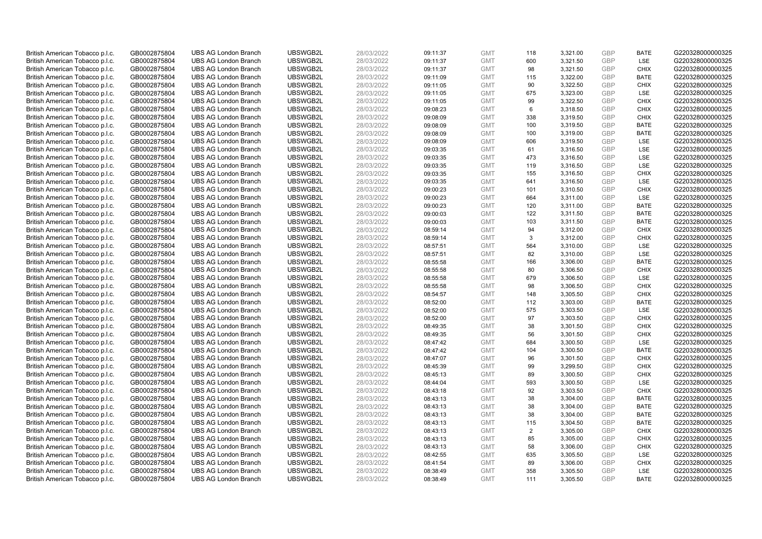| British American Tobacco p.l.c. | GB0002875804 | <b>UBS AG London Branch</b> | UBSWGB2L | 28/03/2022 | 09:11:37 | <b>GMT</b> | 118 | 3,321.00 | <b>GBP</b> | <b>BATE</b> | G220328000000325 |
|---------------------------------|--------------|-----------------------------|----------|------------|----------|------------|-----|----------|------------|-------------|------------------|
| British American Tobacco p.l.c. | GB0002875804 | <b>UBS AG London Branch</b> | UBSWGB2L | 28/03/2022 | 09:11:37 | <b>GMT</b> | 600 | 3,321.50 | GBP        | <b>LSE</b>  | G220328000000325 |
| British American Tobacco p.l.c. | GB0002875804 | <b>UBS AG London Branch</b> | UBSWGB2L | 28/03/2022 | 09:11:37 | <b>GMT</b> | 98  | 3,321.50 | GBP        | <b>CHIX</b> | G220328000000325 |
| British American Tobacco p.l.c. | GB0002875804 | <b>UBS AG London Branch</b> | UBSWGB2L | 28/03/2022 | 09:11:09 | <b>GMT</b> | 115 | 3,322.00 | GBP        | <b>BATE</b> | G220328000000325 |
| British American Tobacco p.l.c. | GB0002875804 | <b>UBS AG London Branch</b> | UBSWGB2L | 28/03/2022 | 09:11:05 | <b>GMT</b> | 90  | 3,322.50 | <b>GBP</b> | <b>CHIX</b> | G220328000000325 |
| British American Tobacco p.l.c. | GB0002875804 | <b>UBS AG London Branch</b> | UBSWGB2L | 28/03/2022 | 09:11:05 | <b>GMT</b> | 675 | 3,323.00 | <b>GBP</b> | <b>LSE</b>  | G220328000000325 |
| British American Tobacco p.l.c. | GB0002875804 | <b>UBS AG London Branch</b> | UBSWGB2L | 28/03/2022 | 09:11:05 | <b>GMT</b> | 99  | 3,322.50 | <b>GBP</b> | <b>CHIX</b> | G220328000000325 |
| British American Tobacco p.l.c. | GB0002875804 | <b>UBS AG London Branch</b> | UBSWGB2L | 28/03/2022 | 09:08:23 | <b>GMT</b> | 6   | 3,318.50 | GBP        | <b>CHIX</b> | G220328000000325 |
| British American Tobacco p.l.c. | GB0002875804 | <b>UBS AG London Branch</b> | UBSWGB2L | 28/03/2022 | 09:08:09 | <b>GMT</b> | 338 | 3,319.50 | GBP        | <b>CHIX</b> | G220328000000325 |
| British American Tobacco p.l.c. | GB0002875804 | <b>UBS AG London Branch</b> | UBSWGB2L | 28/03/2022 | 09:08:09 | <b>GMT</b> | 100 | 3,319.50 | <b>GBP</b> | <b>BATE</b> | G220328000000325 |
| British American Tobacco p.l.c. | GB0002875804 | <b>UBS AG London Branch</b> | UBSWGB2L | 28/03/2022 | 09:08:09 | <b>GMT</b> | 100 | 3,319.00 | GBP        | <b>BATE</b> | G220328000000325 |
| British American Tobacco p.l.c. | GB0002875804 | <b>UBS AG London Branch</b> | UBSWGB2L | 28/03/2022 | 09:08:09 | <b>GMT</b> | 606 | 3,319.50 | <b>GBP</b> | LSE         | G220328000000325 |
| British American Tobacco p.l.c. | GB0002875804 | <b>UBS AG London Branch</b> | UBSWGB2L | 28/03/2022 | 09:03:35 | <b>GMT</b> | 61  | 3,316.50 | <b>GBP</b> | LSE         | G220328000000325 |
| British American Tobacco p.l.c. | GB0002875804 | <b>UBS AG London Branch</b> | UBSWGB2L | 28/03/2022 | 09:03:35 | <b>GMT</b> | 473 | 3,316.50 | <b>GBP</b> | <b>LSE</b>  | G220328000000325 |
| British American Tobacco p.l.c. | GB0002875804 | <b>UBS AG London Branch</b> | UBSWGB2L | 28/03/2022 | 09:03:35 | <b>GMT</b> | 119 | 3,316.50 | GBP        | <b>LSE</b>  | G220328000000325 |
| British American Tobacco p.l.c. | GB0002875804 | <b>UBS AG London Branch</b> | UBSWGB2L | 28/03/2022 | 09:03:35 | <b>GMT</b> | 155 | 3,316.50 | <b>GBP</b> | <b>CHIX</b> | G220328000000325 |
| British American Tobacco p.l.c. | GB0002875804 | <b>UBS AG London Branch</b> | UBSWGB2L | 28/03/2022 | 09:03:35 | <b>GMT</b> | 641 | 3,316.50 | GBP        | <b>LSE</b>  | G220328000000325 |
| British American Tobacco p.l.c. | GB0002875804 | <b>UBS AG London Branch</b> | UBSWGB2L | 28/03/2022 | 09:00:23 | <b>GMT</b> | 101 | 3,310.50 | <b>GBP</b> | <b>CHIX</b> | G220328000000325 |
| British American Tobacco p.l.c. | GB0002875804 | <b>UBS AG London Branch</b> | UBSWGB2L | 28/03/2022 | 09:00:23 | <b>GMT</b> | 664 | 3,311.00 | GBP        | <b>LSE</b>  | G220328000000325 |
| British American Tobacco p.l.c. | GB0002875804 | <b>UBS AG London Branch</b> | UBSWGB2L | 28/03/2022 | 09:00:23 | <b>GMT</b> | 120 | 3,311.00 | <b>GBP</b> | <b>BATE</b> | G220328000000325 |
| British American Tobacco p.l.c. | GB0002875804 | <b>UBS AG London Branch</b> | UBSWGB2L | 28/03/2022 | 09:00:03 | <b>GMT</b> | 122 | 3,311.50 | GBP        | <b>BATE</b> | G220328000000325 |
| British American Tobacco p.l.c. | GB0002875804 | <b>UBS AG London Branch</b> | UBSWGB2L | 28/03/2022 | 09:00:03 | <b>GMT</b> | 103 | 3,311.50 | GBP        | <b>BATE</b> | G220328000000325 |
| British American Tobacco p.l.c. | GB0002875804 | <b>UBS AG London Branch</b> | UBSWGB2L | 28/03/2022 | 08:59:14 | <b>GMT</b> | 94  | 3,312.00 | GBP        | <b>CHIX</b> | G220328000000325 |
| British American Tobacco p.l.c. | GB0002875804 | <b>UBS AG London Branch</b> | UBSWGB2L | 28/03/2022 | 08:59:14 | <b>GMT</b> | 3   | 3,312.00 | GBP        | <b>CHIX</b> | G220328000000325 |
| British American Tobacco p.l.c. | GB0002875804 | <b>UBS AG London Branch</b> | UBSWGB2L | 28/03/2022 | 08:57:51 | <b>GMT</b> | 564 | 3,310.00 | <b>GBP</b> | LSE         | G220328000000325 |
| British American Tobacco p.l.c. | GB0002875804 | <b>UBS AG London Branch</b> | UBSWGB2L | 28/03/2022 | 08:57:51 | <b>GMT</b> | 82  | 3,310.00 | <b>GBP</b> | LSE         | G220328000000325 |
| British American Tobacco p.l.c. | GB0002875804 | <b>UBS AG London Branch</b> | UBSWGB2L | 28/03/2022 | 08:55:58 | <b>GMT</b> | 166 | 3,306.00 | <b>GBP</b> | <b>BATE</b> | G220328000000325 |
| British American Tobacco p.l.c. | GB0002875804 | <b>UBS AG London Branch</b> | UBSWGB2L | 28/03/2022 | 08:55:58 | <b>GMT</b> | 80  | 3,306.50 | GBP        | <b>CHIX</b> | G220328000000325 |
| British American Tobacco p.l.c. | GB0002875804 | <b>UBS AG London Branch</b> | UBSWGB2L | 28/03/2022 | 08:55:58 | <b>GMT</b> | 679 | 3,306.50 | <b>GBP</b> | <b>LSE</b>  | G220328000000325 |
| British American Tobacco p.l.c. | GB0002875804 | <b>UBS AG London Branch</b> | UBSWGB2L | 28/03/2022 | 08:55:58 | <b>GMT</b> | 98  | 3,306.50 | GBP        | <b>CHIX</b> | G220328000000325 |
| British American Tobacco p.l.c. | GB0002875804 | <b>UBS AG London Branch</b> | UBSWGB2L | 28/03/2022 | 08:54:57 | <b>GMT</b> | 148 | 3,305.50 | GBP        | <b>CHIX</b> | G220328000000325 |
| British American Tobacco p.l.c. | GB0002875804 | <b>UBS AG London Branch</b> | UBSWGB2L | 28/03/2022 | 08:52:00 | <b>GMT</b> | 112 | 3,303.00 | <b>GBP</b> | <b>BATE</b> | G220328000000325 |
| British American Tobacco p.l.c. | GB0002875804 | <b>UBS AG London Branch</b> | UBSWGB2L | 28/03/2022 | 08:52:00 | <b>GMT</b> | 575 | 3,303.50 | <b>GBP</b> | LSE         | G220328000000325 |
| British American Tobacco p.l.c. | GB0002875804 | <b>UBS AG London Branch</b> | UBSWGB2L | 28/03/2022 | 08:52:00 | <b>GMT</b> | 97  | 3,303.50 | GBP        | <b>CHIX</b> | G220328000000325 |
| British American Tobacco p.l.c. | GB0002875804 | <b>UBS AG London Branch</b> | UBSWGB2L | 28/03/2022 | 08:49:35 | <b>GMT</b> | 38  | 3,301.50 | GBP        | <b>CHIX</b> | G220328000000325 |
| British American Tobacco p.l.c. | GB0002875804 | <b>UBS AG London Branch</b> | UBSWGB2L | 28/03/2022 | 08:49:35 | <b>GMT</b> | 56  | 3,301.50 | GBP        | <b>CHIX</b> | G220328000000325 |
| British American Tobacco p.l.c. | GB0002875804 | <b>UBS AG London Branch</b> | UBSWGB2L | 28/03/2022 | 08:47:42 | <b>GMT</b> | 684 | 3,300.50 | GBP        | <b>LSE</b>  | G220328000000325 |
| British American Tobacco p.l.c. | GB0002875804 | <b>UBS AG London Branch</b> | UBSWGB2L | 28/03/2022 | 08:47:42 | <b>GMT</b> | 104 | 3,300.50 | <b>GBP</b> | <b>BATE</b> | G220328000000325 |
| British American Tobacco p.l.c. | GB0002875804 | <b>UBS AG London Branch</b> | UBSWGB2L | 28/03/2022 | 08:47:07 | <b>GMT</b> | 96  | 3,301.50 | <b>GBP</b> | <b>CHIX</b> | G220328000000325 |
| British American Tobacco p.l.c. | GB0002875804 | <b>UBS AG London Branch</b> | UBSWGB2L | 28/03/2022 | 08:45:39 | <b>GMT</b> | 99  | 3,299.50 | <b>GBP</b> | <b>CHIX</b> | G220328000000325 |
| British American Tobacco p.l.c. | GB0002875804 | <b>UBS AG London Branch</b> | UBSWGB2L | 28/03/2022 | 08:45:13 | <b>GMT</b> | 89  | 3,300.50 | GBP        | <b>CHIX</b> | G220328000000325 |
| British American Tobacco p.l.c. | GB0002875804 | <b>UBS AG London Branch</b> | UBSWGB2L | 28/03/2022 | 08:44:04 | <b>GMT</b> | 593 | 3,300.50 | <b>GBP</b> | <b>LSE</b>  | G220328000000325 |
| British American Tobacco p.l.c. | GB0002875804 | <b>UBS AG London Branch</b> | UBSWGB2L | 28/03/2022 | 08:43:18 | <b>GMT</b> | 92  | 3,303.50 | GBP        | <b>CHIX</b> | G220328000000325 |
| British American Tobacco p.l.c. | GB0002875804 | <b>UBS AG London Branch</b> | UBSWGB2L | 28/03/2022 | 08:43:13 | <b>GMT</b> | 38  | 3,304.00 | GBP        | <b>BATE</b> | G220328000000325 |
| British American Tobacco p.l.c. | GB0002875804 | <b>UBS AG London Branch</b> | UBSWGB2L | 28/03/2022 | 08:43:13 | <b>GMT</b> | 38  | 3,304.00 | <b>GBP</b> | <b>BATE</b> | G220328000000325 |
| British American Tobacco p.l.c. | GB0002875804 | <b>UBS AG London Branch</b> | UBSWGB2L | 28/03/2022 | 08:43:13 | <b>GMT</b> | 38  | 3,304.00 | <b>GBP</b> | <b>BATE</b> | G220328000000325 |
| British American Tobacco p.l.c. | GB0002875804 | <b>UBS AG London Branch</b> | UBSWGB2L | 28/03/2022 | 08:43:13 | <b>GMT</b> | 115 | 3,304.50 | <b>GBP</b> | <b>BATE</b> | G220328000000325 |
| British American Tobacco p.l.c. | GB0002875804 | <b>UBS AG London Branch</b> | UBSWGB2L | 28/03/2022 | 08:43:13 | <b>GMT</b> | 2   | 3,305.00 | GBP        | <b>CHIX</b> | G220328000000325 |
| British American Tobacco p.l.c. | GB0002875804 | <b>UBS AG London Branch</b> | UBSWGB2L | 28/03/2022 | 08:43:13 | <b>GMT</b> | 85  | 3,305.00 | <b>GBP</b> | <b>CHIX</b> | G220328000000325 |
| British American Tobacco p.l.c. | GB0002875804 | <b>UBS AG London Branch</b> | UBSWGB2L | 28/03/2022 | 08:43:13 | <b>GMT</b> | 58  | 3,306.00 | GBP        | <b>CHIX</b> | G220328000000325 |
| British American Tobacco p.l.c. | GB0002875804 | <b>UBS AG London Branch</b> | UBSWGB2L | 28/03/2022 | 08:42:55 | <b>GMT</b> | 635 | 3,305.50 | <b>GBP</b> | LSE         | G220328000000325 |
| British American Tobacco p.l.c. | GB0002875804 | <b>UBS AG London Branch</b> | UBSWGB2L | 28/03/2022 | 08:41:54 | <b>GMT</b> | 89  | 3,306.00 | <b>GBP</b> | <b>CHIX</b> | G220328000000325 |
| British American Tobacco p.l.c. | GB0002875804 | <b>UBS AG London Branch</b> | UBSWGB2L | 28/03/2022 | 08:38:49 | <b>GMT</b> | 358 | 3,305.50 | <b>GBP</b> | <b>LSE</b>  | G220328000000325 |
| British American Tobacco p.l.c. | GB0002875804 | <b>UBS AG London Branch</b> | UBSWGB2L | 28/03/2022 | 08:38:49 | <b>GMT</b> | 111 | 3.305.50 | GBP        | <b>BATE</b> | G220328000000325 |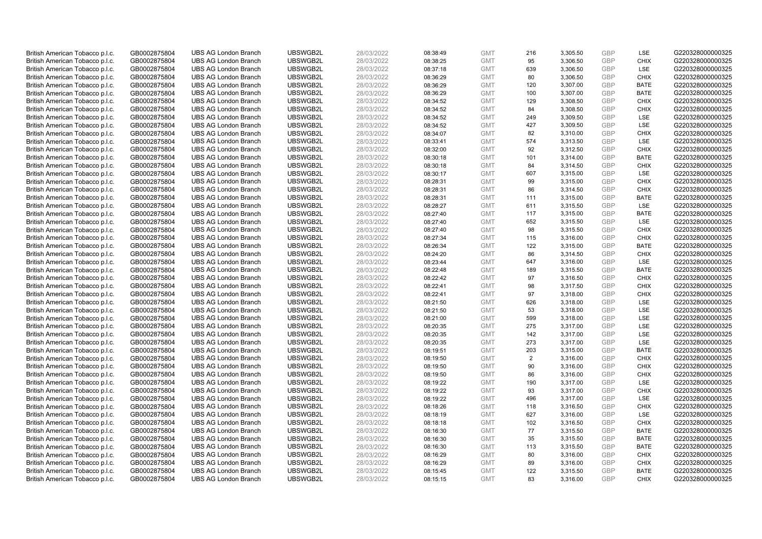| British American Tobacco p.l.c. | GB0002875804 | <b>UBS AG London Branch</b> | UBSWGB2L | 28/03/2022 | 08:38:49 | <b>GMT</b> | 216 | 3,305.50 | <b>GBP</b> | LSE         | G220328000000325 |
|---------------------------------|--------------|-----------------------------|----------|------------|----------|------------|-----|----------|------------|-------------|------------------|
| British American Tobacco p.l.c. | GB0002875804 | <b>UBS AG London Branch</b> | UBSWGB2L | 28/03/2022 | 08:38:25 | <b>GMT</b> | 95  | 3,306.50 | GBP        | <b>CHIX</b> | G220328000000325 |
| British American Tobacco p.l.c. | GB0002875804 | <b>UBS AG London Branch</b> | UBSWGB2L | 28/03/2022 | 08:37:18 | <b>GMT</b> | 639 | 3,306.50 | GBP        | LSE         | G220328000000325 |
| British American Tobacco p.l.c. | GB0002875804 | <b>UBS AG London Branch</b> | UBSWGB2L | 28/03/2022 | 08:36:29 | <b>GMT</b> | 80  | 3,306.50 | GBP        | <b>CHIX</b> | G220328000000325 |
| British American Tobacco p.l.c. | GB0002875804 | <b>UBS AG London Branch</b> | UBSWGB2L | 28/03/2022 | 08:36:29 | <b>GMT</b> | 120 | 3,307.00 | <b>GBP</b> | <b>BATE</b> | G220328000000325 |
| British American Tobacco p.l.c. | GB0002875804 | <b>UBS AG London Branch</b> | UBSWGB2L | 28/03/2022 | 08:36:29 | <b>GMT</b> | 100 | 3,307.00 | <b>GBP</b> | <b>BATE</b> | G220328000000325 |
| British American Tobacco p.l.c. | GB0002875804 | <b>UBS AG London Branch</b> | UBSWGB2L | 28/03/2022 | 08:34:52 | <b>GMT</b> | 129 | 3,308.50 | <b>GBP</b> | <b>CHIX</b> | G220328000000325 |
| British American Tobacco p.l.c. | GB0002875804 | <b>UBS AG London Branch</b> | UBSWGB2L | 28/03/2022 | 08:34:52 | <b>GMT</b> | 84  | 3,308.50 | GBP        | <b>CHIX</b> | G220328000000325 |
| British American Tobacco p.l.c. | GB0002875804 | <b>UBS AG London Branch</b> | UBSWGB2L | 28/03/2022 | 08:34:52 | <b>GMT</b> | 249 | 3,309.50 | GBP        | LSE         | G220328000000325 |
| British American Tobacco p.l.c. | GB0002875804 | <b>UBS AG London Branch</b> | UBSWGB2L | 28/03/2022 | 08:34:52 | <b>GMT</b> | 427 | 3,309.50 | GBP        | <b>LSE</b>  | G220328000000325 |
| British American Tobacco p.l.c. | GB0002875804 | <b>UBS AG London Branch</b> | UBSWGB2L | 28/03/2022 | 08:34:07 | <b>GMT</b> | 82  | 3,310.00 | GBP        | <b>CHIX</b> | G220328000000325 |
| British American Tobacco p.l.c. | GB0002875804 | <b>UBS AG London Branch</b> | UBSWGB2L | 28/03/2022 | 08:33:41 | <b>GMT</b> | 574 | 3,313.50 | <b>GBP</b> | LSE         | G220328000000325 |
| British American Tobacco p.l.c. | GB0002875804 | <b>UBS AG London Branch</b> | UBSWGB2L | 28/03/2022 | 08:32:00 | <b>GMT</b> | 92  | 3,312.50 | GBP        | <b>CHIX</b> | G220328000000325 |
| British American Tobacco p.l.c. | GB0002875804 | <b>UBS AG London Branch</b> | UBSWGB2L | 28/03/2022 | 08:30:18 | <b>GMT</b> | 101 | 3,314.00 | <b>GBP</b> | <b>BATE</b> | G220328000000325 |
| British American Tobacco p.l.c. | GB0002875804 | <b>UBS AG London Branch</b> | UBSWGB2L | 28/03/2022 | 08:30:18 | <b>GMT</b> | 84  | 3,314.50 | GBP        | <b>CHIX</b> | G220328000000325 |
| British American Tobacco p.l.c. | GB0002875804 | <b>UBS AG London Branch</b> | UBSWGB2L | 28/03/2022 | 08:30:17 | <b>GMT</b> | 607 | 3,315.00 | <b>GBP</b> | <b>LSE</b>  | G220328000000325 |
| British American Tobacco p.l.c. | GB0002875804 | <b>UBS AG London Branch</b> | UBSWGB2L | 28/03/2022 | 08:28:31 | <b>GMT</b> | 99  | 3,315.00 | GBP        | <b>CHIX</b> | G220328000000325 |
| British American Tobacco p.l.c. | GB0002875804 | <b>UBS AG London Branch</b> | UBSWGB2L | 28/03/2022 | 08:28:31 | <b>GMT</b> | 86  | 3,314.50 | <b>GBP</b> | <b>CHIX</b> | G220328000000325 |
| British American Tobacco p.l.c. | GB0002875804 | <b>UBS AG London Branch</b> | UBSWGB2L | 28/03/2022 | 08:28:31 | <b>GMT</b> | 111 | 3,315.00 | GBP        | <b>BATE</b> | G220328000000325 |
| British American Tobacco p.l.c. | GB0002875804 | <b>UBS AG London Branch</b> | UBSWGB2L | 28/03/2022 | 08:28:27 | <b>GMT</b> | 611 | 3,315.50 | <b>GBP</b> | LSE         | G220328000000325 |
| British American Tobacco p.l.c. | GB0002875804 | <b>UBS AG London Branch</b> | UBSWGB2L | 28/03/2022 | 08:27:40 | <b>GMT</b> | 117 | 3,315.00 | GBP        | <b>BATE</b> | G220328000000325 |
| British American Tobacco p.l.c. | GB0002875804 | <b>UBS AG London Branch</b> | UBSWGB2L | 28/03/2022 | 08:27:40 | <b>GMT</b> | 652 | 3,315.50 | GBP        | LSE         | G220328000000325 |
| British American Tobacco p.l.c. | GB0002875804 | <b>UBS AG London Branch</b> | UBSWGB2L | 28/03/2022 | 08:27:40 | <b>GMT</b> | 98  | 3,315.50 | GBP        | <b>CHIX</b> | G220328000000325 |
| British American Tobacco p.l.c. | GB0002875804 | <b>UBS AG London Branch</b> | UBSWGB2L | 28/03/2022 | 08:27:34 | <b>GMT</b> | 115 | 3,316.00 | GBP        | <b>CHIX</b> | G220328000000325 |
| British American Tobacco p.l.c. | GB0002875804 | <b>UBS AG London Branch</b> | UBSWGB2L | 28/03/2022 | 08:26:34 | <b>GMT</b> | 122 | 3,315.00 | <b>GBP</b> | <b>BATE</b> | G220328000000325 |
| British American Tobacco p.l.c. | GB0002875804 | <b>UBS AG London Branch</b> | UBSWGB2L | 28/03/2022 | 08:24:20 | <b>GMT</b> | 86  | 3,314.50 | <b>GBP</b> | <b>CHIX</b> | G220328000000325 |
| British American Tobacco p.l.c. | GB0002875804 | <b>UBS AG London Branch</b> | UBSWGB2L | 28/03/2022 | 08:23:44 | <b>GMT</b> | 647 | 3,316.00 | <b>GBP</b> | LSE         | G220328000000325 |
| British American Tobacco p.l.c. | GB0002875804 | <b>UBS AG London Branch</b> | UBSWGB2L | 28/03/2022 | 08:22:48 | <b>GMT</b> | 189 | 3,315.50 | GBP        | <b>BATE</b> | G220328000000325 |
| British American Tobacco p.l.c. | GB0002875804 | <b>UBS AG London Branch</b> | UBSWGB2L | 28/03/2022 | 08:22:42 | <b>GMT</b> | 97  | 3,316.50 | <b>GBP</b> | <b>CHIX</b> | G220328000000325 |
| British American Tobacco p.l.c. | GB0002875804 | <b>UBS AG London Branch</b> | UBSWGB2L | 28/03/2022 | 08:22:41 | <b>GMT</b> | 98  | 3,317.50 | GBP        | <b>CHIX</b> | G220328000000325 |
| British American Tobacco p.l.c. | GB0002875804 | <b>UBS AG London Branch</b> | UBSWGB2L | 28/03/2022 | 08:22:41 | <b>GMT</b> | 97  | 3,318.00 | <b>GBP</b> | <b>CHIX</b> | G220328000000325 |
| British American Tobacco p.l.c. | GB0002875804 | <b>UBS AG London Branch</b> | UBSWGB2L | 28/03/2022 | 08:21:50 | <b>GMT</b> | 626 | 3,318.00 | <b>GBP</b> | <b>LSE</b>  | G220328000000325 |
| British American Tobacco p.l.c. | GB0002875804 | <b>UBS AG London Branch</b> | UBSWGB2L | 28/03/2022 | 08:21:50 | <b>GMT</b> | 53  | 3,318.00 | <b>GBP</b> | LSE         | G220328000000325 |
| British American Tobacco p.l.c. | GB0002875804 | <b>UBS AG London Branch</b> | UBSWGB2L | 28/03/2022 | 08:21:00 | <b>GMT</b> | 599 | 3,318.00 | GBP        | LSE         | G220328000000325 |
| British American Tobacco p.l.c. | GB0002875804 | <b>UBS AG London Branch</b> | UBSWGB2L | 28/03/2022 | 08:20:35 | <b>GMT</b> | 275 | 3,317.00 | GBP        | LSE         | G220328000000325 |
| British American Tobacco p.l.c. | GB0002875804 | <b>UBS AG London Branch</b> | UBSWGB2L | 28/03/2022 | 08:20:35 | <b>GMT</b> | 142 | 3,317.00 | GBP        | LSE         | G220328000000325 |
| British American Tobacco p.l.c. | GB0002875804 | <b>UBS AG London Branch</b> | UBSWGB2L | 28/03/2022 | 08:20:35 | <b>GMT</b> | 273 | 3,317.00 | GBP        | LSE         | G220328000000325 |
| British American Tobacco p.l.c. | GB0002875804 | <b>UBS AG London Branch</b> | UBSWGB2L | 28/03/2022 | 08:19:51 | <b>GMT</b> | 203 | 3,315.00 | <b>GBP</b> | <b>BATE</b> | G220328000000325 |
| British American Tobacco p.l.c. | GB0002875804 | <b>UBS AG London Branch</b> | UBSWGB2L | 28/03/2022 | 08:19:50 | <b>GMT</b> | 2   | 3,316.00 | <b>GBP</b> | <b>CHIX</b> | G220328000000325 |
| British American Tobacco p.l.c. | GB0002875804 | <b>UBS AG London Branch</b> | UBSWGB2L | 28/03/2022 | 08:19:50 | <b>GMT</b> | 90  | 3,316.00 | <b>GBP</b> | <b>CHIX</b> | G220328000000325 |
| British American Tobacco p.l.c. | GB0002875804 | <b>UBS AG London Branch</b> | UBSWGB2L | 28/03/2022 | 08:19:50 | <b>GMT</b> | 86  | 3,316.00 | <b>GBP</b> | <b>CHIX</b> | G220328000000325 |
| British American Tobacco p.l.c. | GB0002875804 | <b>UBS AG London Branch</b> | UBSWGB2L | 28/03/2022 | 08:19:22 | <b>GMT</b> | 190 | 3,317.00 | <b>GBP</b> | <b>LSE</b>  | G220328000000325 |
| British American Tobacco p.l.c. | GB0002875804 | <b>UBS AG London Branch</b> | UBSWGB2L | 28/03/2022 | 08:19:22 | <b>GMT</b> | 93  | 3,317.00 | <b>GBP</b> | <b>CHIX</b> | G220328000000325 |
| British American Tobacco p.l.c. | GB0002875804 | <b>UBS AG London Branch</b> | UBSWGB2L | 28/03/2022 | 08:19:22 | <b>GMT</b> | 496 | 3,317.00 | GBP        | <b>LSE</b>  | G220328000000325 |
| British American Tobacco p.l.c. | GB0002875804 | <b>UBS AG London Branch</b> | UBSWGB2L | 28/03/2022 | 08:18:26 | <b>GMT</b> | 118 | 3,316.50 | <b>GBP</b> | <b>CHIX</b> | G220328000000325 |
| British American Tobacco p.l.c. | GB0002875804 | <b>UBS AG London Branch</b> | UBSWGB2L | 28/03/2022 | 08:18:19 | <b>GMT</b> | 627 | 3,316.00 | <b>GBP</b> | LSE         | G220328000000325 |
| British American Tobacco p.l.c. | GB0002875804 | <b>UBS AG London Branch</b> | UBSWGB2L | 28/03/2022 | 08:18:18 | <b>GMT</b> | 102 | 3,316.50 | <b>GBP</b> | <b>CHIX</b> | G220328000000325 |
| British American Tobacco p.l.c. | GB0002875804 | <b>UBS AG London Branch</b> | UBSWGB2L | 28/03/2022 | 08:16:30 | <b>GMT</b> | 77  | 3,315.50 | <b>GBP</b> | <b>BATE</b> | G220328000000325 |
| British American Tobacco p.l.c. | GB0002875804 | <b>UBS AG London Branch</b> | UBSWGB2L | 28/03/2022 | 08:16:30 | <b>GMT</b> | 35  | 3,315.50 | <b>GBP</b> | <b>BATE</b> | G220328000000325 |
| British American Tobacco p.l.c. | GB0002875804 | <b>UBS AG London Branch</b> | UBSWGB2L | 28/03/2022 | 08:16:30 | <b>GMT</b> | 113 | 3,315.50 | <b>GBP</b> | <b>BATE</b> | G220328000000325 |
| British American Tobacco p.l.c. | GB0002875804 | <b>UBS AG London Branch</b> | UBSWGB2L | 28/03/2022 | 08:16:29 | <b>GMT</b> | 80  | 3,316.00 | GBP        | <b>CHIX</b> | G220328000000325 |
| British American Tobacco p.l.c. | GB0002875804 | <b>UBS AG London Branch</b> | UBSWGB2L | 28/03/2022 | 08:16:29 | <b>GMT</b> | 89  | 3,316.00 | <b>GBP</b> | <b>CHIX</b> | G220328000000325 |
| British American Tobacco p.l.c. | GB0002875804 | <b>UBS AG London Branch</b> | UBSWGB2L | 28/03/2022 | 08:15:45 | <b>GMT</b> | 122 | 3,315.50 | GBP        | <b>BATE</b> | G220328000000325 |
| British American Tobacco p.l.c. | GB0002875804 | <b>UBS AG London Branch</b> | UBSWGB2L | 28/03/2022 | 08:15:15 | <b>GMT</b> | 83  | 3.316.00 | GBP        | <b>CHIX</b> | G220328000000325 |
|                                 |              |                             |          |            |          |            |     |          |            |             |                  |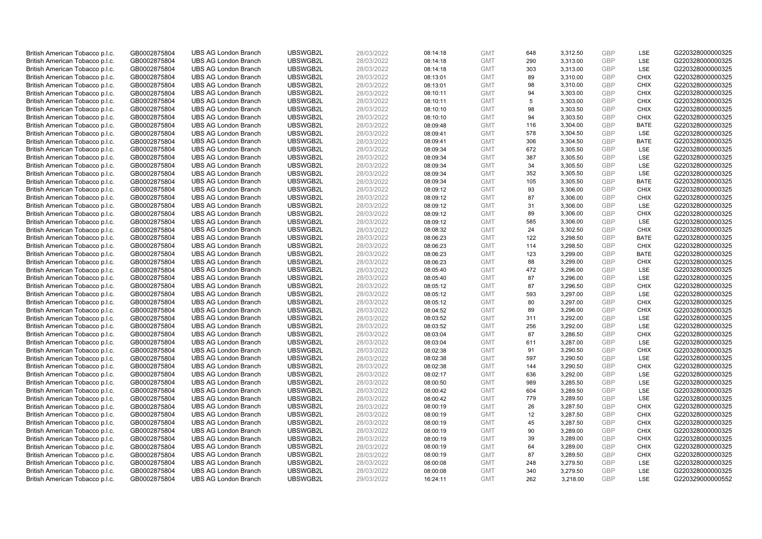| British American Tobacco p.l.c. | GB0002875804                 | <b>UBS AG London Branch</b> | UBSWGB2L | 28/03/2022               | 08:14:18 | <b>GMT</b> | 648 | 3,312.50 | <b>GBP</b> | LSE         | G220328000000325 |
|---------------------------------|------------------------------|-----------------------------|----------|--------------------------|----------|------------|-----|----------|------------|-------------|------------------|
|                                 | GB0002875804                 | <b>UBS AG London Branch</b> | UBSWGB2L | 28/03/2022               |          | <b>GMT</b> | 290 | 3,313.00 | GBP        | LSE         | G220328000000325 |
| British American Tobacco p.l.c. |                              |                             | UBSWGB2L |                          | 08:14:18 |            |     |          | <b>GBP</b> | LSE         | G220328000000325 |
| British American Tobacco p.l.c. | GB0002875804                 | <b>UBS AG London Branch</b> |          | 28/03/2022               | 08:14:18 | <b>GMT</b> | 303 | 3,313.00 |            |             |                  |
| British American Tobacco p.l.c. | GB0002875804                 | <b>UBS AG London Branch</b> | UBSWGB2L | 28/03/2022               | 08:13:01 | <b>GMT</b> | 89  | 3,310.00 | <b>GBP</b> | <b>CHIX</b> | G220328000000325 |
| British American Tobacco p.l.c. | GB0002875804                 | <b>UBS AG London Branch</b> | UBSWGB2L | 28/03/2022               | 08:13:01 | <b>GMT</b> | 98  | 3,310.00 | <b>GBP</b> | <b>CHIX</b> | G220328000000325 |
| British American Tobacco p.l.c. | GB0002875804                 | <b>UBS AG London Branch</b> | UBSWGB2L | 28/03/2022               | 08:10:11 | <b>GMT</b> | 94  | 3,303.00 | <b>GBP</b> | <b>CHIX</b> | G220328000000325 |
| British American Tobacco p.l.c. | GB0002875804                 | <b>UBS AG London Branch</b> | UBSWGB2L | 28/03/2022               | 08:10:11 | <b>GMT</b> | 5   | 3,303.00 | <b>GBP</b> | <b>CHIX</b> | G220328000000325 |
| British American Tobacco p.l.c. | GB0002875804                 | <b>UBS AG London Branch</b> | UBSWGB2L | 28/03/2022               | 08:10:10 | <b>GMT</b> | 98  | 3,303.50 | <b>GBP</b> | <b>CHIX</b> | G220328000000325 |
| British American Tobacco p.l.c. | GB0002875804                 | <b>UBS AG London Branch</b> | UBSWGB2L | 28/03/2022               | 08:10:10 | <b>GMT</b> | 94  | 3,303.50 | <b>GBP</b> | <b>CHIX</b> | G220328000000325 |
| British American Tobacco p.l.c. | GB0002875804                 | <b>UBS AG London Branch</b> | UBSWGB2L | 28/03/2022               | 08:09:48 | <b>GMT</b> | 116 | 3,304.00 | <b>GBP</b> | <b>BATE</b> | G220328000000325 |
| British American Tobacco p.l.c. | GB0002875804                 | <b>UBS AG London Branch</b> | UBSWGB2L | 28/03/2022               | 08:09:41 | <b>GMT</b> | 578 | 3,304.50 | <b>GBP</b> | LSE         | G220328000000325 |
| British American Tobacco p.l.c. | GB0002875804                 | <b>UBS AG London Branch</b> | UBSWGB2L | 28/03/2022               | 08:09:41 | <b>GMT</b> | 306 | 3,304.50 | <b>GBP</b> | <b>BATE</b> | G220328000000325 |
| British American Tobacco p.l.c. | GB0002875804                 | <b>UBS AG London Branch</b> | UBSWGB2L | 28/03/2022               | 08:09:34 | <b>GMT</b> | 672 | 3,305.50 | <b>GBP</b> | LSE         | G220328000000325 |
| British American Tobacco p.l.c. | GB0002875804                 | <b>UBS AG London Branch</b> | UBSWGB2L | 28/03/2022               | 08:09:34 | <b>GMT</b> | 387 | 3,305.50 | <b>GBP</b> | LSE         | G220328000000325 |
| British American Tobacco p.l.c. | GB0002875804                 | <b>UBS AG London Branch</b> | UBSWGB2L | 28/03/2022               | 08:09:34 | <b>GMT</b> | 34  | 3,305.50 | GBP        | LSE         | G220328000000325 |
| British American Tobacco p.l.c. | GB0002875804                 | <b>UBS AG London Branch</b> | UBSWGB2L | 28/03/2022               | 08:09:34 | <b>GMT</b> | 352 | 3,305.50 | <b>GBP</b> | LSE         | G220328000000325 |
| British American Tobacco p.l.c. | GB0002875804                 | <b>UBS AG London Branch</b> | UBSWGB2L | 28/03/2022               | 08:09:34 | <b>GMT</b> | 105 | 3,305.50 | <b>GBP</b> | <b>BATE</b> | G220328000000325 |
| British American Tobacco p.l.c. | GB0002875804                 | <b>UBS AG London Branch</b> | UBSWGB2L | 28/03/2022               | 08:09:12 | <b>GMT</b> | 93  | 3,306.00 | <b>GBP</b> | <b>CHIX</b> | G220328000000325 |
| British American Tobacco p.l.c. | GB0002875804                 | <b>UBS AG London Branch</b> | UBSWGB2L | 28/03/2022               | 08:09:12 | <b>GMT</b> | 87  | 3,306.00 | <b>GBP</b> | <b>CHIX</b> | G220328000000325 |
| British American Tobacco p.l.c. | GB0002875804                 | <b>UBS AG London Branch</b> | UBSWGB2L | 28/03/2022               | 08:09:12 | <b>GMT</b> | 31  | 3,306.00 | <b>GBP</b> | LSE         | G220328000000325 |
| British American Tobacco p.l.c. | GB0002875804                 | <b>UBS AG London Branch</b> | UBSWGB2L | 28/03/2022               | 08:09:12 | <b>GMT</b> | 89  | 3,306.00 | <b>GBP</b> | <b>CHIX</b> | G220328000000325 |
| British American Tobacco p.l.c. | GB0002875804                 | <b>UBS AG London Branch</b> | UBSWGB2L | 28/03/2022               | 08:09:12 | <b>GMT</b> | 585 | 3,306.00 | <b>GBP</b> | LSE         | G220328000000325 |
| British American Tobacco p.l.c. | GB0002875804                 | <b>UBS AG London Branch</b> | UBSWGB2L | 28/03/2022               | 08:08:32 | <b>GMT</b> | 24  | 3,302.50 | <b>GBP</b> | <b>CHIX</b> | G220328000000325 |
| British American Tobacco p.l.c. | GB0002875804                 | <b>UBS AG London Branch</b> | UBSWGB2L | 28/03/2022               | 08:06:23 | <b>GMT</b> | 122 | 3,298.50 | <b>GBP</b> | <b>BATE</b> | G220328000000325 |
| British American Tobacco p.l.c. | GB0002875804                 | <b>UBS AG London Branch</b> | UBSWGB2L | 28/03/2022               | 08:06:23 | <b>GMT</b> | 114 | 3,298.50 | <b>GBP</b> | <b>CHIX</b> | G220328000000325 |
| British American Tobacco p.l.c. | GB0002875804                 | <b>UBS AG London Branch</b> | UBSWGB2L | 28/03/2022               | 08:06:23 | <b>GMT</b> | 123 | 3,299.00 | <b>GBP</b> | <b>BATE</b> | G220328000000325 |
| British American Tobacco p.l.c. | GB0002875804                 | <b>UBS AG London Branch</b> | UBSWGB2L | 28/03/2022               | 08:06:23 | <b>GMT</b> | 88  | 3,299.00 | <b>GBP</b> | <b>CHIX</b> | G220328000000325 |
| British American Tobacco p.l.c. | GB0002875804                 | <b>UBS AG London Branch</b> | UBSWGB2L | 28/03/2022               | 08:05:40 | <b>GMT</b> | 472 | 3,296.00 | <b>GBP</b> | LSE         | G220328000000325 |
| British American Tobacco p.l.c. | GB0002875804                 | <b>UBS AG London Branch</b> | UBSWGB2L | 28/03/2022               | 08:05:40 | <b>GMT</b> | 87  | 3,296.00 | <b>GBP</b> | LSE         | G220328000000325 |
| British American Tobacco p.l.c. | GB0002875804                 | <b>UBS AG London Branch</b> | UBSWGB2L | 28/03/2022               | 08:05:12 | <b>GMT</b> | 87  | 3,296.50 | <b>GBP</b> | <b>CHIX</b> | G220328000000325 |
| British American Tobacco p.l.c. | GB0002875804                 | <b>UBS AG London Branch</b> | UBSWGB2L | 28/03/2022               | 08:05:12 | <b>GMT</b> | 593 | 3,297.00 | <b>GBP</b> | <b>LSE</b>  | G220328000000325 |
|                                 |                              | <b>UBS AG London Branch</b> | UBSWGB2L |                          | 08:05:12 | <b>GMT</b> | 80  | 3,297.00 | <b>GBP</b> | <b>CHIX</b> | G220328000000325 |
| British American Tobacco p.l.c. | GB0002875804<br>GB0002875804 | <b>UBS AG London Branch</b> | UBSWGB2L | 28/03/2022<br>28/03/2022 | 08:04:52 | <b>GMT</b> | 89  | 3,296.00 | <b>GBP</b> | <b>CHIX</b> | G220328000000325 |
| British American Tobacco p.l.c. |                              |                             |          |                          |          |            | 311 |          |            | LSE         |                  |
| British American Tobacco p.l.c. | GB0002875804                 | <b>UBS AG London Branch</b> | UBSWGB2L | 28/03/2022               | 08:03:52 | <b>GMT</b> |     | 3,292.00 | <b>GBP</b> |             | G220328000000325 |
| British American Tobacco p.l.c. | GB0002875804                 | <b>UBS AG London Branch</b> | UBSWGB2L | 28/03/2022               | 08:03:52 | <b>GMT</b> | 256 | 3,292.00 | <b>GBP</b> | LSE         | G220328000000325 |
| British American Tobacco p.l.c. | GB0002875804                 | <b>UBS AG London Branch</b> | UBSWGB2L | 28/03/2022               | 08:03:04 | <b>GMT</b> | 87  | 3,286.50 | <b>GBP</b> | <b>CHIX</b> | G220328000000325 |
| British American Tobacco p.l.c. | GB0002875804                 | <b>UBS AG London Branch</b> | UBSWGB2L | 28/03/2022               | 08:03:04 | <b>GMT</b> | 611 | 3,287.00 | <b>GBP</b> | LSE         | G220328000000325 |
| British American Tobacco p.l.c. | GB0002875804                 | <b>UBS AG London Branch</b> | UBSWGB2L | 28/03/2022               | 08:02:38 | <b>GMT</b> | 91  | 3,290.50 | <b>GBP</b> | <b>CHIX</b> | G220328000000325 |
| British American Tobacco p.l.c. | GB0002875804                 | <b>UBS AG London Branch</b> | UBSWGB2L | 28/03/2022               | 08:02:38 | <b>GMT</b> | 597 | 3,290.50 | <b>GBP</b> | LSE         | G220328000000325 |
| British American Tobacco p.l.c. | GB0002875804                 | <b>UBS AG London Branch</b> | UBSWGB2L | 28/03/2022               | 08:02:38 | <b>GMT</b> | 144 | 3,290.50 | <b>GBP</b> | <b>CHIX</b> | G220328000000325 |
| British American Tobacco p.l.c. | GB0002875804                 | <b>UBS AG London Branch</b> | UBSWGB2L | 28/03/2022               | 08:02:17 | <b>GMT</b> | 636 | 3,292.00 | <b>GBP</b> | LSE         | G220328000000325 |
| British American Tobacco p.l.c. | GB0002875804                 | <b>UBS AG London Branch</b> | UBSWGB2L | 28/03/2022               | 08:00:50 | <b>GMT</b> | 989 | 3,285.50 | <b>GBP</b> | LSE         | G220328000000325 |
| British American Tobacco p.l.c. | GB0002875804                 | <b>UBS AG London Branch</b> | UBSWGB2L | 28/03/2022               | 08:00:42 | <b>GMT</b> | 604 | 3,289.50 | <b>GBP</b> | LSE         | G220328000000325 |
| British American Tobacco p.l.c. | GB0002875804                 | <b>UBS AG London Branch</b> | UBSWGB2L | 28/03/2022               | 08:00:42 | <b>GMT</b> | 779 | 3,289.50 | <b>GBP</b> | LSE         | G220328000000325 |
| British American Tobacco p.l.c. | GB0002875804                 | <b>UBS AG London Branch</b> | UBSWGB2L | 28/03/2022               | 08:00:19 | <b>GMT</b> | 26  | 3,287.50 | <b>GBP</b> | <b>CHIX</b> | G220328000000325 |
| British American Tobacco p.l.c. | GB0002875804                 | <b>UBS AG London Branch</b> | UBSWGB2L | 28/03/2022               | 08:00:19 | <b>GMT</b> | 12  | 3,287.50 | <b>GBP</b> | <b>CHIX</b> | G220328000000325 |
| British American Tobacco p.l.c. | GB0002875804                 | <b>UBS AG London Branch</b> | UBSWGB2L | 28/03/2022               | 08:00:19 | <b>GMT</b> | 45  | 3,287.50 | <b>GBP</b> | <b>CHIX</b> | G220328000000325 |
| British American Tobacco p.l.c. | GB0002875804                 | <b>UBS AG London Branch</b> | UBSWGB2L | 28/03/2022               | 08:00:19 | <b>GMT</b> | 90  | 3,289.00 | <b>GBP</b> | <b>CHIX</b> | G220328000000325 |
| British American Tobacco p.l.c. | GB0002875804                 | <b>UBS AG London Branch</b> | UBSWGB2L | 28/03/2022               | 08:00:19 | <b>GMT</b> | 39  | 3,289.00 | <b>GBP</b> | <b>CHIX</b> | G220328000000325 |
| British American Tobacco p.l.c. | GB0002875804                 | <b>UBS AG London Branch</b> | UBSWGB2L | 28/03/2022               | 08:00:19 | <b>GMT</b> | 64  | 3,289.00 | <b>GBP</b> | <b>CHIX</b> | G220328000000325 |
| British American Tobacco p.l.c. | GB0002875804                 | <b>UBS AG London Branch</b> | UBSWGB2L | 28/03/2022               | 08:00:19 | <b>GMT</b> | 87  | 3,289.50 | <b>GBP</b> | <b>CHIX</b> | G220328000000325 |
| British American Tobacco p.l.c. | GB0002875804                 | <b>UBS AG London Branch</b> | UBSWGB2L | 28/03/2022               | 08:00:08 | <b>GMT</b> | 248 | 3,279.50 | <b>GBP</b> | LSE         | G220328000000325 |
| British American Tobacco p.l.c. | GB0002875804                 | <b>UBS AG London Branch</b> | UBSWGB2L | 28/03/2022               | 08:00:08 | <b>GMT</b> | 340 | 3,279.50 | <b>GBP</b> | LSE         | G220328000000325 |
| British American Tobacco p.l.c. | GB0002875804                 | <b>UBS AG London Branch</b> | UBSWGB2L | 29/03/2022               | 16:24:11 | <b>GMT</b> | 262 | 3.218.00 | GBP        | LSE         | G220329000000552 |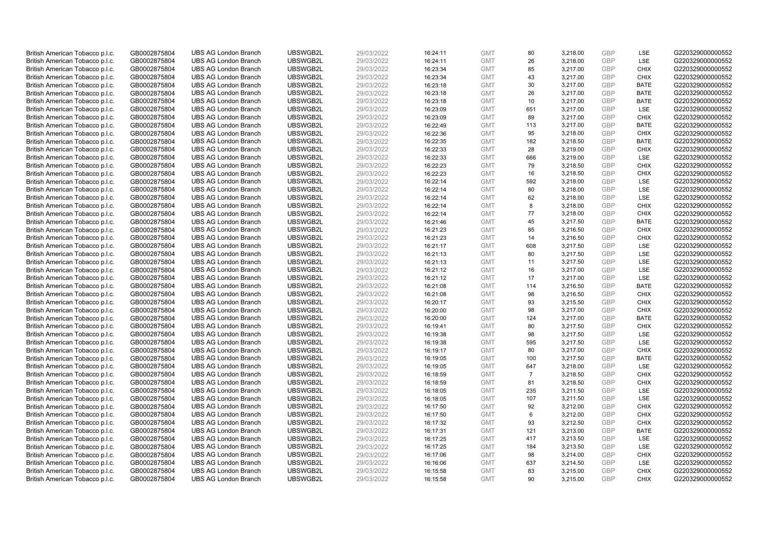| British American Tobacco p.l.c. | GB0002875804 | <b>UBS AG London Branch</b> | UBSWGB2L | 29/03/2022 | 16:24:11 | <b>GMT</b> | 80             | 3,218.00 | <b>GBP</b> | LSE         | G220329000000552 |
|---------------------------------|--------------|-----------------------------|----------|------------|----------|------------|----------------|----------|------------|-------------|------------------|
|                                 |              |                             |          |            |          |            |                |          | <b>GBP</b> | LSE         |                  |
| British American Tobacco p.l.c. | GB0002875804 | <b>UBS AG London Branch</b> | UBSWGB2L | 29/03/2022 | 16:24:11 | <b>GMT</b> | 26             | 3,218.00 |            |             | G220329000000552 |
| British American Tobacco p.l.c. | GB0002875804 | <b>UBS AG London Branch</b> | UBSWGB2L | 29/03/2022 | 16:23:34 | <b>GMT</b> | 85             | 3,217.00 | <b>GBP</b> | <b>CHIX</b> | G220329000000552 |
| British American Tobacco p.l.c. | GB0002875804 | <b>UBS AG London Branch</b> | UBSWGB2L | 29/03/2022 | 16:23:34 | <b>GMT</b> | 43             | 3,217.00 | <b>GBP</b> | <b>CHIX</b> | G220329000000552 |
| British American Tobacco p.l.c. | GB0002875804 | <b>UBS AG London Branch</b> | UBSWGB2L | 29/03/2022 | 16:23:18 | <b>GMT</b> | 30             | 3,217.00 | <b>GBP</b> | <b>BATE</b> | G220329000000552 |
| British American Tobacco p.l.c. | GB0002875804 | <b>UBS AG London Branch</b> | UBSWGB2L | 29/03/2022 | 16:23:18 | <b>GMT</b> | 26             | 3,217.00 | <b>GBP</b> | <b>BATE</b> | G220329000000552 |
| British American Tobacco p.l.c. | GB0002875804 | <b>UBS AG London Branch</b> | UBSWGB2L | 29/03/2022 | 16:23:18 | <b>GMT</b> | 10             | 3,217.00 | <b>GBP</b> | <b>BATE</b> | G220329000000552 |
| British American Tobacco p.l.c. | GB0002875804 | <b>UBS AG London Branch</b> | UBSWGB2L | 29/03/2022 | 16:23:09 | <b>GMT</b> | 651            | 3,217.00 | <b>GBP</b> | LSE         | G220329000000552 |
| British American Tobacco p.l.c. | GB0002875804 | <b>UBS AG London Branch</b> | UBSWGB2L | 29/03/2022 | 16:23:09 | <b>GMT</b> | 89             | 3,217.00 | <b>GBP</b> | <b>CHIX</b> | G220329000000552 |
| British American Tobacco p.l.c. | GB0002875804 | <b>UBS AG London Branch</b> | UBSWGB2L | 29/03/2022 | 16:22:49 | <b>GMT</b> | 113            | 3,217.00 | <b>GBP</b> | <b>BATE</b> | G220329000000552 |
| British American Tobacco p.l.c. | GB0002875804 | <b>UBS AG London Branch</b> | UBSWGB2L | 29/03/2022 | 16:22:36 | <b>GMT</b> | 95             | 3,218.00 | <b>GBP</b> | <b>CHIX</b> | G220329000000552 |
| British American Tobacco p.l.c. | GB0002875804 | <b>UBS AG London Branch</b> | UBSWGB2L | 29/03/2022 | 16:22:35 | <b>GMT</b> | 182            | 3,218.50 | <b>GBP</b> | <b>BATE</b> | G220329000000552 |
| British American Tobacco p.l.c. | GB0002875804 | <b>UBS AG London Branch</b> | UBSWGB2L | 29/03/2022 | 16:22:33 | <b>GMT</b> | 28             | 3,219.00 | <b>GBP</b> | <b>CHIX</b> | G220329000000552 |
| British American Tobacco p.l.c. | GB0002875804 | <b>UBS AG London Branch</b> | UBSWGB2L | 29/03/2022 | 16:22:33 | <b>GMT</b> | 666            | 3,219.00 | <b>GBP</b> | <b>LSE</b>  | G220329000000552 |
| British American Tobacco p.l.c. | GB0002875804 | <b>UBS AG London Branch</b> | UBSWGB2L | 29/03/2022 | 16:22:23 | <b>GMT</b> | 79             | 3,218.50 | <b>GBP</b> | <b>CHIX</b> | G220329000000552 |
| British American Tobacco p.l.c. | GB0002875804 | <b>UBS AG London Branch</b> | UBSWGB2L | 29/03/2022 | 16:22:23 | <b>GMT</b> | 16             | 3,218.50 | <b>GBP</b> | <b>CHIX</b> | G220329000000552 |
| British American Tobacco p.l.c. | GB0002875804 | <b>UBS AG London Branch</b> | UBSWGB2L | 29/03/2022 | 16:22:14 | <b>GMT</b> | 592            | 3,218.00 | <b>GBP</b> | LSE         | G220329000000552 |
| British American Tobacco p.l.c. | GB0002875804 | <b>UBS AG London Branch</b> | UBSWGB2L | 29/03/2022 | 16:22:14 | <b>GMT</b> | 80             | 3,218.00 | <b>GBP</b> | LSE         | G220329000000552 |
| British American Tobacco p.l.c. | GB0002875804 | <b>UBS AG London Branch</b> | UBSWGB2L | 29/03/2022 | 16:22:14 | <b>GMT</b> | 62             | 3,218.00 | <b>GBP</b> | LSE         | G220329000000552 |
| British American Tobacco p.l.c. | GB0002875804 | <b>UBS AG London Branch</b> | UBSWGB2L | 29/03/2022 | 16:22:14 | <b>GMT</b> | 8              | 3,218.00 | <b>GBP</b> | <b>CHIX</b> | G220329000000552 |
| British American Tobacco p.l.c. | GB0002875804 | <b>UBS AG London Branch</b> | UBSWGB2L | 29/03/2022 | 16:22:14 | <b>GMT</b> | 77             | 3,218.00 | <b>GBP</b> | <b>CHIX</b> | G220329000000552 |
| British American Tobacco p.l.c. | GB0002875804 | <b>UBS AG London Branch</b> | UBSWGB2L | 29/03/2022 | 16:21:46 | <b>GMT</b> | 45             | 3,217.50 | <b>GBP</b> | <b>BATE</b> | G220329000000552 |
| British American Tobacco p.l.c. | GB0002875804 | <b>UBS AG London Branch</b> | UBSWGB2L | 29/03/2022 | 16:21:23 | <b>GMT</b> | 85             | 3,216.50 | <b>GBP</b> | <b>CHIX</b> | G220329000000552 |
| British American Tobacco p.l.c. | GB0002875804 | <b>UBS AG London Branch</b> | UBSWGB2L | 29/03/2022 | 16:21:23 | <b>GMT</b> | 14             | 3,216.50 | <b>GBP</b> | <b>CHIX</b> | G220329000000552 |
| British American Tobacco p.l.c. | GB0002875804 | <b>UBS AG London Branch</b> | UBSWGB2L | 29/03/2022 | 16:21:17 | <b>GMT</b> | 608            | 3,217.50 | <b>GBP</b> | LSE         | G220329000000552 |
| British American Tobacco p.l.c. | GB0002875804 | <b>UBS AG London Branch</b> | UBSWGB2L | 29/03/2022 | 16:21:13 | <b>GMT</b> | 80             | 3,217.50 | <b>GBP</b> | LSE         | G220329000000552 |
| British American Tobacco p.l.c. | GB0002875804 | <b>UBS AG London Branch</b> | UBSWGB2L | 29/03/2022 | 16:21:13 | <b>GMT</b> | 11             | 3,217.50 | <b>GBP</b> | LSE         | G220329000000552 |
| British American Tobacco p.l.c. | GB0002875804 | <b>UBS AG London Branch</b> | UBSWGB2L | 29/03/2022 | 16:21:12 | <b>GMT</b> | 16             | 3,217.00 | <b>GBP</b> | LSE         | G220329000000552 |
| British American Tobacco p.l.c. | GB0002875804 | <b>UBS AG London Branch</b> | UBSWGB2L | 29/03/2022 | 16:21:12 | <b>GMT</b> | 17             | 3,217.00 | <b>GBP</b> | LSE         | G220329000000552 |
| British American Tobacco p.l.c. | GB0002875804 | <b>UBS AG London Branch</b> | UBSWGB2L | 29/03/2022 | 16:21:08 | <b>GMT</b> | 114            | 3,216.50 | <b>GBP</b> | <b>BATE</b> | G220329000000552 |
| British American Tobacco p.l.c. | GB0002875804 | <b>UBS AG London Branch</b> | UBSWGB2L | 29/03/2022 | 16:21:08 | <b>GMT</b> | 98             | 3,216.50 | <b>GBP</b> | <b>CHIX</b> | G220329000000552 |
| British American Tobacco p.l.c. | GB0002875804 | <b>UBS AG London Branch</b> | UBSWGB2L | 29/03/2022 | 16:20:17 | <b>GMT</b> | 93             | 3,215.50 | <b>GBP</b> | <b>CHIX</b> | G220329000000552 |
| British American Tobacco p.l.c. | GB0002875804 | <b>UBS AG London Branch</b> | UBSWGB2L | 29/03/2022 | 16:20:00 | <b>GMT</b> | 98             | 3.217.00 | <b>GBP</b> | <b>CHIX</b> | G220329000000552 |
| British American Tobacco p.l.c. | GB0002875804 | <b>UBS AG London Branch</b> | UBSWGB2L | 29/03/2022 | 16:20:00 | <b>GMT</b> | 124            | 3,217.00 | <b>GBP</b> | <b>BATE</b> | G220329000000552 |
| British American Tobacco p.l.c. | GB0002875804 | UBS AG London Branch        | UBSWGB2L | 29/03/2022 | 16:19:41 | <b>GMT</b> | 80             | 3,217.50 | <b>GBP</b> | <b>CHIX</b> | G220329000000552 |
| British American Tobacco p.l.c. | GB0002875804 | <b>UBS AG London Branch</b> | UBSWGB2L | 29/03/2022 | 16:19:38 | <b>GMT</b> | 98             | 3,217.50 | <b>GBP</b> | LSE         | G220329000000552 |
| British American Tobacco p.l.c. | GB0002875804 | <b>UBS AG London Branch</b> | UBSWGB2L | 29/03/2022 | 16:19:38 | <b>GMT</b> | 595            | 3,217.50 | <b>GBP</b> | <b>LSE</b>  | G220329000000552 |
| British American Tobacco p.l.c. | GB0002875804 | <b>UBS AG London Branch</b> | UBSWGB2L | 29/03/2022 | 16:19:17 | <b>GMT</b> | 80             | 3,217.00 | <b>GBP</b> | <b>CHIX</b> | G220329000000552 |
| British American Tobacco p.l.c. | GB0002875804 | <b>UBS AG London Branch</b> | UBSWGB2L | 29/03/2022 | 16:19:05 | <b>GMT</b> | 100            | 3,217.50 | <b>GBP</b> | <b>BATE</b> | G220329000000552 |
| British American Tobacco p.l.c. | GB0002875804 | <b>UBS AG London Branch</b> | UBSWGB2L | 29/03/2022 | 16:19:05 | <b>GMT</b> | 647            | 3,218.00 | <b>GBP</b> | LSE         | G220329000000552 |
| British American Tobacco p.l.c. | GB0002875804 | <b>UBS AG London Branch</b> | UBSWGB2L | 29/03/2022 | 16:18:59 | <b>GMT</b> | $\overline{7}$ | 3,218.50 | <b>GBP</b> | <b>CHIX</b> | G220329000000552 |
| British American Tobacco p.l.c. | GB0002875804 | <b>UBS AG London Branch</b> | UBSWGB2L | 29/03/2022 | 16:18:59 | <b>GMT</b> | 81             | 3,218.50 | <b>GBP</b> | <b>CHIX</b> | G220329000000552 |
| British American Tobacco p.l.c. | GB0002875804 | <b>UBS AG London Branch</b> | UBSWGB2L | 29/03/2022 | 16:18:05 | <b>GMT</b> | 235            | 3,211.50 | <b>GBP</b> | LSE         | G220329000000552 |
| British American Tobacco p.l.c. | GB0002875804 | <b>UBS AG London Branch</b> | UBSWGB2L | 29/03/2022 | 16:18:05 | <b>GMT</b> | 107            | 3,211.50 | <b>GBP</b> | LSE         | G220329000000552 |
| British American Tobacco p.l.c. | GB0002875804 | <b>UBS AG London Branch</b> | UBSWGB2L | 29/03/2022 | 16:17:50 | <b>GMT</b> | 92             | 3,212.00 | <b>GBP</b> | <b>CHIX</b> | G220329000000552 |
| British American Tobacco p.l.c. | GB0002875804 | <b>UBS AG London Branch</b> | UBSWGB2L | 29/03/2022 | 16:17:50 | <b>GMT</b> | 6              | 3,212.00 | <b>GBP</b> | <b>CHIX</b> | G220329000000552 |
| British American Tobacco p.l.c. | GB0002875804 | <b>UBS AG London Branch</b> | UBSWGB2L | 29/03/2022 | 16:17:32 | <b>GMT</b> | 93             | 3,212.50 | <b>GBP</b> | <b>CHIX</b> | G220329000000552 |
| British American Tobacco p.l.c. | GB0002875804 | <b>UBS AG London Branch</b> | UBSWGB2L | 29/03/2022 | 16:17:31 | <b>GMT</b> | 121            | 3,213.00 | <b>GBP</b> | <b>BATE</b> | G220329000000552 |
| British American Tobacco p.l.c. | GB0002875804 | <b>UBS AG London Branch</b> | UBSWGB2L | 29/03/2022 | 16:17:25 | <b>GMT</b> | 417            | 3,213.50 | <b>GBP</b> | LSE         | G220329000000552 |
| British American Tobacco p.l.c. | GB0002875804 | <b>UBS AG London Branch</b> | UBSWGB2L | 29/03/2022 | 16:17:25 | <b>GMT</b> | 184            | 3,213.50 | <b>GBP</b> | LSE         | G220329000000552 |
| British American Tobacco p.l.c. | GB0002875804 | <b>UBS AG London Branch</b> | UBSWGB2L | 29/03/2022 | 16:17:06 | <b>GMT</b> | 98             | 3,214.00 | <b>GBP</b> | <b>CHIX</b> | G220329000000552 |
| British American Tobacco p.l.c. | GB0002875804 | <b>UBS AG London Branch</b> | UBSWGB2L | 29/03/2022 | 16:16:06 | <b>GMT</b> | 637            | 3,214.50 | <b>GBP</b> | LSE         | G220329000000552 |
|                                 | GB0002875804 | <b>UBS AG London Branch</b> | UBSWGB2L | 29/03/2022 | 16:15:58 | <b>GMT</b> | 83             | 3,215.00 | <b>GBP</b> | <b>CHIX</b> | G220329000000552 |
| British American Tobacco p.l.c. | GB0002875804 |                             |          | 29/03/2022 |          | <b>GMT</b> | 90             | 3.215.00 | GBP        | <b>CHIX</b> |                  |
| British American Tobacco p.l.c. |              | <b>UBS AG London Branch</b> | UBSWGB2L |            | 16:15:58 |            |                |          |            |             | G220329000000552 |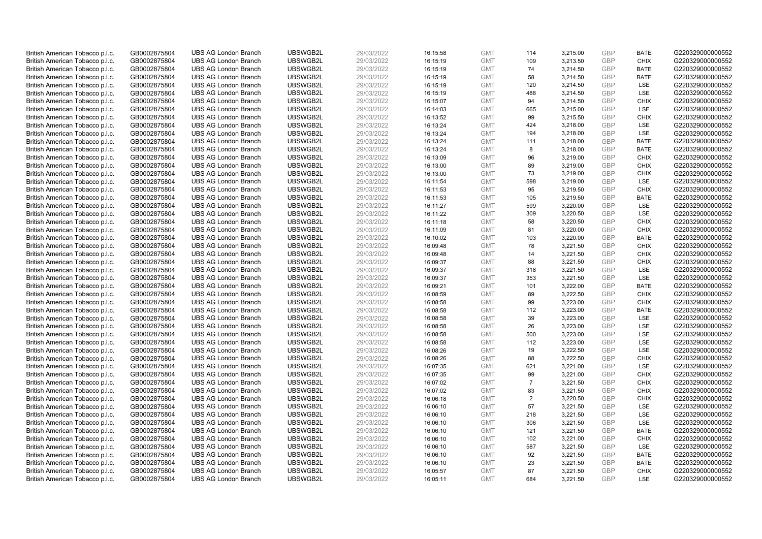| British American Tobacco p.l.c. | GB0002875804 | <b>UBS AG London Branch</b> | UBSWGB2L             | 29/03/2022 | 16:15:58 | <b>GMT</b> | 114            | 3,215.00             | <b>GBP</b> | <b>BATE</b> | G220329000000552 |
|---------------------------------|--------------|-----------------------------|----------------------|------------|----------|------------|----------------|----------------------|------------|-------------|------------------|
|                                 | GB0002875804 | <b>UBS AG London Branch</b> | UBSWGB2L             | 29/03/2022 |          | <b>GMT</b> | 109            | 3,213.50             | <b>GBP</b> | <b>CHIX</b> | G220329000000552 |
| British American Tobacco p.l.c. |              |                             |                      |            | 16:15:19 |            |                |                      |            | <b>BATE</b> | G220329000000552 |
| British American Tobacco p.l.c. | GB0002875804 | <b>UBS AG London Branch</b> | UBSWGB2L             | 29/03/2022 | 16:15:19 | <b>GMT</b> | 74             | 3,214.50             | <b>GBP</b> |             |                  |
| British American Tobacco p.l.c. | GB0002875804 | <b>UBS AG London Branch</b> | UBSWGB2L             | 29/03/2022 | 16:15:19 | <b>GMT</b> | 58             | 3,214.50             | <b>GBP</b> | <b>BATE</b> | G220329000000552 |
| British American Tobacco p.l.c. | GB0002875804 | <b>UBS AG London Branch</b> | UBSWGB2L             | 29/03/2022 | 16:15:19 | <b>GMT</b> | 120            | 3,214.50             | <b>GBP</b> | LSE         | G220329000000552 |
| British American Tobacco p.l.c. | GB0002875804 | <b>UBS AG London Branch</b> | UBSWGB2L             | 29/03/2022 | 16:15:19 | <b>GMT</b> | 488            | 3,214.50             | <b>GBP</b> | LSE         | G220329000000552 |
| British American Tobacco p.l.c. | GB0002875804 | <b>UBS AG London Branch</b> | UBSWGB2L             | 29/03/2022 | 16:15:07 | <b>GMT</b> | 94             | 3,214.50             | <b>GBP</b> | <b>CHIX</b> | G220329000000552 |
| British American Tobacco p.l.c. | GB0002875804 | <b>UBS AG London Branch</b> | UBSWGB2L             | 29/03/2022 | 16:14:03 | <b>GMT</b> | 665            | 3,215.00             | <b>GBP</b> | LSE         | G220329000000552 |
| British American Tobacco p.l.c. | GB0002875804 | <b>UBS AG London Branch</b> | UBSWGB2L             | 29/03/2022 | 16:13:52 | <b>GMT</b> | 99             | 3,215.50             | <b>GBP</b> | <b>CHIX</b> | G220329000000552 |
| British American Tobacco p.l.c. | GB0002875804 | <b>UBS AG London Branch</b> | UBSWGB2L             | 29/03/2022 | 16:13:24 | <b>GMT</b> | 424            | 3,218.00             | <b>GBP</b> | LSE         | G220329000000552 |
| British American Tobacco p.l.c. | GB0002875804 | <b>UBS AG London Branch</b> | UBSWGB2L             | 29/03/2022 | 16:13:24 | <b>GMT</b> | 194            | 3,218.00             | <b>GBP</b> | <b>LSE</b>  | G220329000000552 |
| British American Tobacco p.l.c. | GB0002875804 | <b>UBS AG London Branch</b> | UBSWGB2L             | 29/03/2022 | 16:13:24 | <b>GMT</b> | 111            | 3,218.00             | <b>GBP</b> | <b>BATE</b> | G220329000000552 |
| British American Tobacco p.l.c. | GB0002875804 | <b>UBS AG London Branch</b> | UBSWGB2L             | 29/03/2022 | 16:13:24 | <b>GMT</b> | 8              | 3,218.00             | <b>GBP</b> | <b>BATE</b> | G220329000000552 |
| British American Tobacco p.l.c. | GB0002875804 | <b>UBS AG London Branch</b> | UBSWGB2L             | 29/03/2022 | 16:13:09 | <b>GMT</b> | 96             | 3,219.00             | <b>GBP</b> | <b>CHIX</b> | G220329000000552 |
| British American Tobacco p.l.c. | GB0002875804 | <b>UBS AG London Branch</b> | UBSWGB2L             | 29/03/2022 | 16:13:00 | <b>GMT</b> | 89             | 3,219.00             | <b>GBP</b> | <b>CHIX</b> | G220329000000552 |
| British American Tobacco p.l.c. | GB0002875804 | <b>UBS AG London Branch</b> | UBSWGB2L             | 29/03/2022 | 16:13:00 | <b>GMT</b> | 73             | 3,219.00             | <b>GBP</b> | <b>CHIX</b> | G220329000000552 |
| British American Tobacco p.l.c. | GB0002875804 | <b>UBS AG London Branch</b> | UBSWGB2L             | 29/03/2022 | 16:11:54 | <b>GMT</b> | 598            | 3,219.00             | <b>GBP</b> | LSE         | G220329000000552 |
| British American Tobacco p.l.c. | GB0002875804 | <b>UBS AG London Branch</b> | UBSWGB2L             | 29/03/2022 | 16:11:53 | <b>GMT</b> | 95             | 3,219.50             | <b>GBP</b> | <b>CHIX</b> | G220329000000552 |
| British American Tobacco p.l.c. | GB0002875804 | <b>UBS AG London Branch</b> | UBSWGB2L             | 29/03/2022 | 16:11:53 | <b>GMT</b> | 105            | 3,219.50             | <b>GBP</b> | <b>BATE</b> | G220329000000552 |
| British American Tobacco p.l.c. | GB0002875804 | <b>UBS AG London Branch</b> | UBSWGB2L             | 29/03/2022 | 16:11:27 | <b>GMT</b> | 599            | 3,220.00             | <b>GBP</b> | LSE         | G220329000000552 |
| British American Tobacco p.l.c. | GB0002875804 | <b>UBS AG London Branch</b> | UBSWGB2L             | 29/03/2022 | 16:11:22 | <b>GMT</b> | 309            | 3,220.50             | <b>GBP</b> | LSE         | G220329000000552 |
| British American Tobacco p.l.c. | GB0002875804 | <b>UBS AG London Branch</b> | UBSWGB2L             | 29/03/2022 | 16:11:18 | <b>GMT</b> | 58             | 3,220.50             | <b>GBP</b> | <b>CHIX</b> | G220329000000552 |
| British American Tobacco p.l.c. | GB0002875804 | <b>UBS AG London Branch</b> | UBSWGB2L             | 29/03/2022 | 16:11:09 | <b>GMT</b> | 81             | 3,220.00             | <b>GBP</b> | <b>CHIX</b> | G220329000000552 |
| British American Tobacco p.l.c. | GB0002875804 | <b>UBS AG London Branch</b> | UBSWGB2L             | 29/03/2022 | 16:10:02 | <b>GMT</b> | 103            | 3,220.00             | <b>GBP</b> | <b>BATE</b> | G220329000000552 |
| British American Tobacco p.l.c. | GB0002875804 | <b>UBS AG London Branch</b> | UBSWGB2L             | 29/03/2022 | 16:09:48 | <b>GMT</b> | 78             | 3,221.50             | <b>GBP</b> | <b>CHIX</b> | G220329000000552 |
| British American Tobacco p.l.c. | GB0002875804 | <b>UBS AG London Branch</b> | UBSWGB2L             | 29/03/2022 | 16:09:48 | <b>GMT</b> | 14             | 3,221.50             | <b>GBP</b> | <b>CHIX</b> | G220329000000552 |
| British American Tobacco p.l.c. | GB0002875804 | <b>UBS AG London Branch</b> | UBSWGB2L             | 29/03/2022 | 16:09:37 | <b>GMT</b> | 88             | 3,221.50             | <b>GBP</b> | <b>CHIX</b> | G220329000000552 |
| British American Tobacco p.l.c. | GB0002875804 | <b>UBS AG London Branch</b> | UBSWGB2L             | 29/03/2022 | 16:09:37 | <b>GMT</b> | 318            | 3,221.50             | <b>GBP</b> | <b>LSE</b>  | G220329000000552 |
| British American Tobacco p.l.c. | GB0002875804 | <b>UBS AG London Branch</b> | UBSWGB2L             | 29/03/2022 | 16:09:37 | <b>GMT</b> | 353            | 3,221.50             | <b>GBP</b> | LSE         | G220329000000552 |
| British American Tobacco p.l.c. | GB0002875804 | <b>UBS AG London Branch</b> | UBSWGB2L             | 29/03/2022 | 16:09:21 | <b>GMT</b> | 101            | 3,222.00             | <b>GBP</b> | <b>BATE</b> | G220329000000552 |
| British American Tobacco p.l.c. | GB0002875804 | <b>UBS AG London Branch</b> | UBSWGB2L             | 29/03/2022 | 16:08:59 | <b>GMT</b> | 89             | 3,222.50             | <b>GBP</b> | <b>CHIX</b> | G220329000000552 |
| British American Tobacco p.l.c. | GB0002875804 | <b>UBS AG London Branch</b> | UBSWGB2L             | 29/03/2022 | 16:08:58 | <b>GMT</b> | 99             | 3,223.00             | <b>GBP</b> | <b>CHIX</b> | G220329000000552 |
| British American Tobacco p.l.c. | GB0002875804 | <b>UBS AG London Branch</b> | UBSWGB2L             | 29/03/2022 | 16:08:58 | <b>GMT</b> | 112            | 3,223.00             | <b>GBP</b> | <b>BATE</b> | G220329000000552 |
| British American Tobacco p.l.c. | GB0002875804 | <b>UBS AG London Branch</b> | UBSWGB2L             | 29/03/2022 | 16:08:58 | <b>GMT</b> | 39             | 3,223.00             | <b>GBP</b> | LSE         | G220329000000552 |
| British American Tobacco p.l.c. | GB0002875804 | <b>UBS AG London Branch</b> | UBSWGB2L             | 29/03/2022 | 16:08:58 | <b>GMT</b> | 26             | 3,223.00             | <b>GBP</b> | LSE         | G220329000000552 |
| British American Tobacco p.l.c. | GB0002875804 | <b>UBS AG London Branch</b> | UBSWGB2L             | 29/03/2022 | 16:08:58 | <b>GMT</b> | 500            | 3,223.00             | <b>GBP</b> | LSE         | G220329000000552 |
| British American Tobacco p.l.c. | GB0002875804 | <b>UBS AG London Branch</b> | UBSWGB2L             | 29/03/2022 | 16:08:58 | <b>GMT</b> | 112            | 3,223.00             | <b>GBP</b> | <b>LSE</b>  | G220329000000552 |
| British American Tobacco p.l.c. | GB0002875804 | <b>UBS AG London Branch</b> | UBSWGB2L             | 29/03/2022 | 16:08:26 | <b>GMT</b> | 19             | 3,222.50             | <b>GBP</b> | LSE         | G220329000000552 |
| British American Tobacco p.l.c. | GB0002875804 | <b>UBS AG London Branch</b> | UBSWGB2L             | 29/03/2022 | 16:08:26 | <b>GMT</b> | 88             | 3,222.50             | <b>GBP</b> | <b>CHIX</b> | G220329000000552 |
| British American Tobacco p.l.c. | GB0002875804 | <b>UBS AG London Branch</b> | UBSWGB2L             | 29/03/2022 | 16:07:35 | <b>GMT</b> | 621            | 3,221.00             | <b>GBP</b> | <b>LSE</b>  | G220329000000552 |
| British American Tobacco p.l.c. | GB0002875804 | <b>UBS AG London Branch</b> | UBSWGB2L             | 29/03/2022 | 16:07:35 | <b>GMT</b> | 99             | 3,221.00             | <b>GBP</b> | <b>CHIX</b> | G220329000000552 |
| British American Tobacco p.l.c. | GB0002875804 | <b>UBS AG London Branch</b> | UBSWGB2L             | 29/03/2022 | 16:07:02 | <b>GMT</b> | $\overline{7}$ | 3,221.50             | <b>GBP</b> | <b>CHIX</b> | G220329000000552 |
| British American Tobacco p.l.c. | GB0002875804 | <b>UBS AG London Branch</b> | UBSWGB2L             | 29/03/2022 | 16:07:02 | <b>GMT</b> | 83             | 3,221.50             | <b>GBP</b> | <b>CHIX</b> | G220329000000552 |
| British American Tobacco p.l.c. | GB0002875804 | <b>UBS AG London Branch</b> | UBSWGB2L             | 29/03/2022 | 16:06:18 | <b>GMT</b> | $\overline{2}$ | 3,220.50             | <b>GBP</b> | <b>CHIX</b> | G220329000000552 |
| British American Tobacco p.l.c. | GB0002875804 | <b>UBS AG London Branch</b> | UBSWGB2L             | 29/03/2022 | 16:06:10 | <b>GMT</b> | 57             | 3,221.50             | <b>GBP</b> | <b>LSE</b>  | G220329000000552 |
|                                 |              | <b>UBS AG London Branch</b> | UBSWGB2L             | 29/03/2022 |          | <b>GMT</b> |                |                      | <b>GBP</b> | LSE         | G220329000000552 |
| British American Tobacco p.l.c. | GB0002875804 |                             |                      |            | 16:06:10 | <b>GMT</b> | 218<br>306     | 3,221.50<br>3,221.50 | <b>GBP</b> | LSE         |                  |
| British American Tobacco p.l.c. | GB0002875804 | <b>UBS AG London Branch</b> | UBSWGB2L<br>UBSWGB2L | 29/03/2022 | 16:06:10 |            |                |                      | <b>GBP</b> | <b>BATE</b> | G220329000000552 |
| British American Tobacco p.l.c. | GB0002875804 | <b>UBS AG London Branch</b> |                      | 29/03/2022 | 16:06:10 | <b>GMT</b> | 121            | 3,221.50             |            |             | G220329000000552 |
| British American Tobacco p.l.c. | GB0002875804 | <b>UBS AG London Branch</b> | UBSWGB2L             | 29/03/2022 | 16:06:10 | <b>GMT</b> | 102            | 3,221.00             | <b>GBP</b> | <b>CHIX</b> | G220329000000552 |
| British American Tobacco p.l.c. | GB0002875804 | <b>UBS AG London Branch</b> | UBSWGB2L             | 29/03/2022 | 16:06:10 | <b>GMT</b> | 587            | 3,221.50             | <b>GBP</b> | <b>LSE</b>  | G220329000000552 |
| British American Tobacco p.l.c. | GB0002875804 | <b>UBS AG London Branch</b> | UBSWGB2L             | 29/03/2022 | 16:06:10 | <b>GMT</b> | 92             | 3,221.50             | <b>GBP</b> | <b>BATE</b> | G220329000000552 |
| British American Tobacco p.l.c. | GB0002875804 | <b>UBS AG London Branch</b> | UBSWGB2L             | 29/03/2022 | 16:06:10 | <b>GMT</b> | 23             | 3,221.50             | <b>GBP</b> | <b>BATE</b> | G220329000000552 |
| British American Tobacco p.l.c. | GB0002875804 | <b>UBS AG London Branch</b> | UBSWGB2L             | 29/03/2022 | 16:05:57 | <b>GMT</b> | 87             | 3,221.50             | <b>GBP</b> | <b>CHIX</b> | G220329000000552 |
| British American Tobacco p.l.c. | GB0002875804 | <b>UBS AG London Branch</b> | UBSWGB2L             | 29/03/2022 | 16:05:11 | <b>GMT</b> | 684            | 3.221.50             | GBP        | <b>LSE</b>  | G220329000000552 |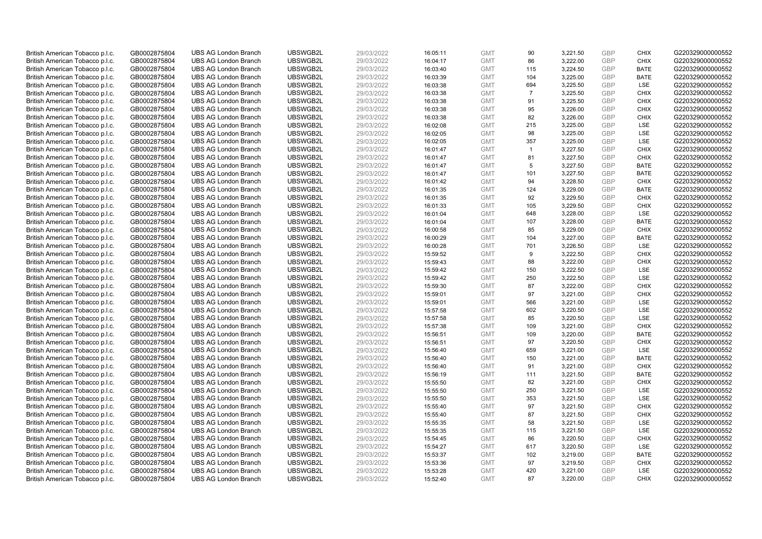| British American Tobacco p.l.c. | GB0002875804 | <b>UBS AG London Branch</b> | UBSWGB2L | 29/03/2022 | 16:05:11 | <b>GMT</b> | 90             | 3,221.50 | <b>GBP</b> | <b>CHIX</b> | G220329000000552 |
|---------------------------------|--------------|-----------------------------|----------|------------|----------|------------|----------------|----------|------------|-------------|------------------|
|                                 |              |                             |          |            |          |            |                |          |            |             |                  |
| British American Tobacco p.l.c. | GB0002875804 | <b>UBS AG London Branch</b> | UBSWGB2L | 29/03/2022 | 16:04:17 | <b>GMT</b> | 86             | 3,222.00 | GBP        | <b>CHIX</b> | G220329000000552 |
| British American Tobacco p.l.c. | GB0002875804 | <b>UBS AG London Branch</b> | UBSWGB2L | 29/03/2022 | 16:03:40 | <b>GMT</b> | 115            | 3,224.50 | <b>GBP</b> | <b>BATE</b> | G220329000000552 |
| British American Tobacco p.l.c. | GB0002875804 | <b>UBS AG London Branch</b> | UBSWGB2L | 29/03/2022 | 16:03:39 | <b>GMT</b> | 104            | 3,225.00 | <b>GBP</b> | <b>BATE</b> | G220329000000552 |
| British American Tobacco p.l.c. | GB0002875804 | <b>UBS AG London Branch</b> | UBSWGB2L | 29/03/2022 | 16:03:38 | <b>GMT</b> | 694            | 3,225.50 | <b>GBP</b> | LSE         | G220329000000552 |
| British American Tobacco p.l.c. | GB0002875804 | <b>UBS AG London Branch</b> | UBSWGB2L | 29/03/2022 | 16:03:38 | <b>GMT</b> | $\overline{7}$ | 3,225.50 | <b>GBP</b> | <b>CHIX</b> | G220329000000552 |
| British American Tobacco p.l.c. | GB0002875804 | <b>UBS AG London Branch</b> | UBSWGB2L | 29/03/2022 | 16:03:38 | <b>GMT</b> | 91             | 3,225.50 | <b>GBP</b> | <b>CHIX</b> | G220329000000552 |
| British American Tobacco p.l.c. | GB0002875804 | <b>UBS AG London Branch</b> | UBSWGB2L | 29/03/2022 | 16:03:38 | <b>GMT</b> | 95             | 3,226.00 | <b>GBP</b> | <b>CHIX</b> | G220329000000552 |
| British American Tobacco p.l.c. | GB0002875804 | <b>UBS AG London Branch</b> | UBSWGB2L | 29/03/2022 | 16:03:38 | <b>GMT</b> | 82             | 3,226.00 | <b>GBP</b> | <b>CHIX</b> | G220329000000552 |
| British American Tobacco p.l.c. | GB0002875804 | <b>UBS AG London Branch</b> | UBSWGB2L | 29/03/2022 | 16:02:08 | <b>GMT</b> | 215            | 3,225.00 | <b>GBP</b> | LSE         | G220329000000552 |
| British American Tobacco p.l.c. | GB0002875804 | <b>UBS AG London Branch</b> | UBSWGB2L | 29/03/2022 | 16:02:05 | <b>GMT</b> | 98             | 3.225.00 | <b>GBP</b> | <b>LSE</b>  | G220329000000552 |
| British American Tobacco p.l.c. | GB0002875804 | <b>UBS AG London Branch</b> | UBSWGB2L | 29/03/2022 | 16:02:05 | <b>GMT</b> | 357            | 3,225.00 | <b>GBP</b> | LSE         | G220329000000552 |
| British American Tobacco p.l.c. | GB0002875804 | <b>UBS AG London Branch</b> | UBSWGB2L | 29/03/2022 | 16:01:47 | <b>GMT</b> | $\mathbf{1}$   | 3,227.50 | <b>GBP</b> | <b>CHIX</b> | G220329000000552 |
| British American Tobacco p.l.c. | GB0002875804 | <b>UBS AG London Branch</b> | UBSWGB2L | 29/03/2022 | 16:01:47 | <b>GMT</b> | 81             | 3,227.50 | <b>GBP</b> | <b>CHIX</b> | G220329000000552 |
| British American Tobacco p.l.c. | GB0002875804 | <b>UBS AG London Branch</b> | UBSWGB2L | 29/03/2022 | 16:01:47 | <b>GMT</b> | 5              | 3,227.50 | <b>GBP</b> | <b>BATE</b> | G220329000000552 |
| British American Tobacco p.l.c. | GB0002875804 | <b>UBS AG London Branch</b> | UBSWGB2L | 29/03/2022 | 16:01:47 | <b>GMT</b> | 101            | 3,227.50 | <b>GBP</b> | <b>BATE</b> | G220329000000552 |
| British American Tobacco p.l.c. | GB0002875804 | <b>UBS AG London Branch</b> | UBSWGB2L | 29/03/2022 | 16:01:42 | <b>GMT</b> | 94             | 3,228.50 | <b>GBP</b> | <b>CHIX</b> | G220329000000552 |
| British American Tobacco p.l.c. | GB0002875804 | <b>UBS AG London Branch</b> | UBSWGB2L | 29/03/2022 | 16:01:35 | <b>GMT</b> | 124            | 3,229.00 | GBP        | <b>BATE</b> | G220329000000552 |
| British American Tobacco p.l.c. | GB0002875804 | <b>UBS AG London Branch</b> | UBSWGB2L | 29/03/2022 | 16:01:35 | <b>GMT</b> | 92             | 3,229.50 | <b>GBP</b> | <b>CHIX</b> | G220329000000552 |
| British American Tobacco p.l.c. | GB0002875804 | <b>UBS AG London Branch</b> | UBSWGB2L | 29/03/2022 | 16:01:33 | <b>GMT</b> | 105            | 3,229.50 | <b>GBP</b> | <b>CHIX</b> | G220329000000552 |
| British American Tobacco p.l.c. | GB0002875804 | <b>UBS AG London Branch</b> | UBSWGB2L | 29/03/2022 | 16:01:04 | <b>GMT</b> | 648            | 3,228.00 | <b>GBP</b> | LSE         | G220329000000552 |
| British American Tobacco p.l.c. | GB0002875804 | <b>UBS AG London Branch</b> | UBSWGB2L | 29/03/2022 | 16:01:04 | <b>GMT</b> | 107            | 3,228.00 | <b>GBP</b> | <b>BATE</b> | G220329000000552 |
| British American Tobacco p.l.c. | GB0002875804 | <b>UBS AG London Branch</b> | UBSWGB2L | 29/03/2022 | 16:00:58 | <b>GMT</b> | 85             | 3,229.00 | <b>GBP</b> | <b>CHIX</b> | G220329000000552 |
| British American Tobacco p.l.c. | GB0002875804 | <b>UBS AG London Branch</b> | UBSWGB2L | 29/03/2022 |          | <b>GMT</b> | 104            |          | GBP        | <b>BATE</b> | G220329000000552 |
|                                 |              |                             |          |            | 16:00:29 |            |                | 3,227.00 |            |             |                  |
| British American Tobacco p.l.c. | GB0002875804 | <b>UBS AG London Branch</b> | UBSWGB2L | 29/03/2022 | 16:00:28 | <b>GMT</b> | 701            | 3,226.50 | <b>GBP</b> | LSE         | G220329000000552 |
| British American Tobacco p.l.c. | GB0002875804 | <b>UBS AG London Branch</b> | UBSWGB2L | 29/03/2022 | 15:59:52 | <b>GMT</b> | 9              | 3,222.50 | GBP        | <b>CHIX</b> | G220329000000552 |
| British American Tobacco p.l.c. | GB0002875804 | <b>UBS AG London Branch</b> | UBSWGB2L | 29/03/2022 | 15:59:43 | <b>GMT</b> | 88             | 3,222.00 | <b>GBP</b> | <b>CHIX</b> | G220329000000552 |
| British American Tobacco p.l.c. | GB0002875804 | <b>UBS AG London Branch</b> | UBSWGB2L | 29/03/2022 | 15:59:42 | <b>GMT</b> | 150            | 3,222.50 | GBP        | LSE         | G220329000000552 |
| British American Tobacco p.l.c. | GB0002875804 | <b>UBS AG London Branch</b> | UBSWGB2L | 29/03/2022 | 15:59:42 | <b>GMT</b> | 250            | 3,222.50 | <b>GBP</b> | LSE         | G220329000000552 |
| British American Tobacco p.l.c. | GB0002875804 | <b>UBS AG London Branch</b> | UBSWGB2L | 29/03/2022 | 15:59:30 | <b>GMT</b> | 87             | 3,222.00 | GBP        | <b>CHIX</b> | G220329000000552 |
| British American Tobacco p.l.c. | GB0002875804 | <b>UBS AG London Branch</b> | UBSWGB2L | 29/03/2022 | 15:59:01 | <b>GMT</b> | 97             | 3,221.00 | <b>GBP</b> | <b>CHIX</b> | G220329000000552 |
| British American Tobacco p.l.c. | GB0002875804 | <b>UBS AG London Branch</b> | UBSWGB2L | 29/03/2022 | 15:59:01 | <b>GMT</b> | 566            | 3,221.00 | GBP        | <b>LSE</b>  | G220329000000552 |
| British American Tobacco p.l.c. | GB0002875804 | <b>UBS AG London Branch</b> | UBSWGB2L | 29/03/2022 | 15:57:58 | <b>GMT</b> | 602            | 3,220.50 | <b>GBP</b> | LSE         | G220329000000552 |
| British American Tobacco p.l.c. | GB0002875804 | <b>UBS AG London Branch</b> | UBSWGB2L | 29/03/2022 | 15:57:58 | <b>GMT</b> | 85             | 3,220.50 | <b>GBP</b> | LSE         | G220329000000552 |
| British American Tobacco p.l.c. | GB0002875804 | <b>UBS AG London Branch</b> | UBSWGB2L | 29/03/2022 | 15:57:38 | <b>GMT</b> | 109            | 3,221.00 | GBP        | <b>CHIX</b> | G220329000000552 |
| British American Tobacco p.l.c. | GB0002875804 | <b>UBS AG London Branch</b> | UBSWGB2L | 29/03/2022 | 15:56:51 | <b>GMT</b> | 109            | 3,220.00 | <b>GBP</b> | <b>BATE</b> | G220329000000552 |
| British American Tobacco p.l.c. | GB0002875804 | <b>UBS AG London Branch</b> | UBSWGB2L | 29/03/2022 | 15:56:51 | <b>GMT</b> | 97             | 3,220.50 | GBP        | <b>CHIX</b> | G220329000000552 |
| British American Tobacco p.l.c. | GB0002875804 | <b>UBS AG London Branch</b> | UBSWGB2L | 29/03/2022 | 15:56:40 | <b>GMT</b> | 659            | 3,221.00 | <b>GBP</b> | LSE         | G220329000000552 |
| British American Tobacco p.l.c. | GB0002875804 | <b>UBS AG London Branch</b> | UBSWGB2L | 29/03/2022 | 15:56:40 | <b>GMT</b> | 150            | 3,221.00 | GBP        | <b>BATE</b> | G220329000000552 |
| British American Tobacco p.l.c. | GB0002875804 | <b>UBS AG London Branch</b> | UBSWGB2L | 29/03/2022 | 15:56:40 | <b>GMT</b> | 91             | 3,221.00 | <b>GBP</b> | <b>CHIX</b> | G220329000000552 |
| British American Tobacco p.l.c. | GB0002875804 | <b>UBS AG London Branch</b> | UBSWGB2L | 29/03/2022 | 15:56:19 | <b>GMT</b> | 111            | 3,221.50 | GBP        | <b>BATE</b> | G220329000000552 |
| British American Tobacco p.l.c. | GB0002875804 | <b>UBS AG London Branch</b> | UBSWGB2L | 29/03/2022 | 15:55:50 | <b>GMT</b> | 82             | 3,221.00 | <b>GBP</b> | <b>CHIX</b> | G220329000000552 |
| British American Tobacco p.l.c. | GB0002875804 | <b>UBS AG London Branch</b> | UBSWGB2L | 29/03/2022 | 15:55:50 | <b>GMT</b> | 250            | 3,221.50 | <b>GBP</b> | LSE         | G220329000000552 |
| British American Tobacco p.l.c. | GB0002875804 | <b>UBS AG London Branch</b> | UBSWGB2L | 29/03/2022 | 15:55:50 | <b>GMT</b> | 353            | 3,221.50 | <b>GBP</b> | LSE         | G220329000000552 |
| British American Tobacco p.l.c. | GB0002875804 | <b>UBS AG London Branch</b> | UBSWGB2L | 29/03/2022 | 15:55:40 | <b>GMT</b> | 97             | 3,221.50 | GBP        | CHIX        | G220329000000552 |
| British American Tobacco p.l.c. | GB0002875804 | <b>UBS AG London Branch</b> | UBSWGB2L | 29/03/2022 | 15:55:40 | <b>GMT</b> | 87             | 3,221.50 | <b>GBP</b> | <b>CHIX</b> | G220329000000552 |
| British American Tobacco p.l.c. | GB0002875804 | <b>UBS AG London Branch</b> | UBSWGB2L | 29/03/2022 | 15:55:35 | <b>GMT</b> | 58             | 3,221.50 | <b>GBP</b> | LSE         | G220329000000552 |
| British American Tobacco p.l.c. | GB0002875804 | <b>UBS AG London Branch</b> | UBSWGB2L | 29/03/2022 | 15:55:35 | <b>GMT</b> | 115            | 3,221.50 | <b>GBP</b> | LSE         | G220329000000552 |
| British American Tobacco p.l.c. | GB0002875804 | <b>UBS AG London Branch</b> | UBSWGB2L | 29/03/2022 | 15:54:45 | <b>GMT</b> | 86             | 3,220.50 | <b>GBP</b> | <b>CHIX</b> | G220329000000552 |
| British American Tobacco p.l.c. | GB0002875804 | <b>UBS AG London Branch</b> | UBSWGB2L | 29/03/2022 | 15:54:27 | <b>GMT</b> | 617            | 3,220.50 | GBP        | LSE         | G220329000000552 |
| British American Tobacco p.l.c. | GB0002875804 | <b>UBS AG London Branch</b> | UBSWGB2L | 29/03/2022 | 15:53:37 | <b>GMT</b> | 102            | 3,219.00 | <b>GBP</b> | <b>BATE</b> | G220329000000552 |
| British American Tobacco p.l.c. | GB0002875804 | <b>UBS AG London Branch</b> | UBSWGB2L | 29/03/2022 | 15:53:36 | <b>GMT</b> | 97             | 3,219.50 | <b>GBP</b> | <b>CHIX</b> | G220329000000552 |
| British American Tobacco p.l.c. | GB0002875804 | <b>UBS AG London Branch</b> | UBSWGB2L | 29/03/2022 | 15:53:28 | <b>GMT</b> | 420            | 3,221.00 | <b>GBP</b> | LSE         | G220329000000552 |
| British American Tobacco p.l.c. | GB0002875804 | <b>UBS AG London Branch</b> | UBSWGB2L | 29/03/2022 | 15:52:40 | <b>GMT</b> | 87             | 3.220.00 | GBP        | CHIX        | G220329000000552 |
|                                 |              |                             |          |            |          |            |                |          |            |             |                  |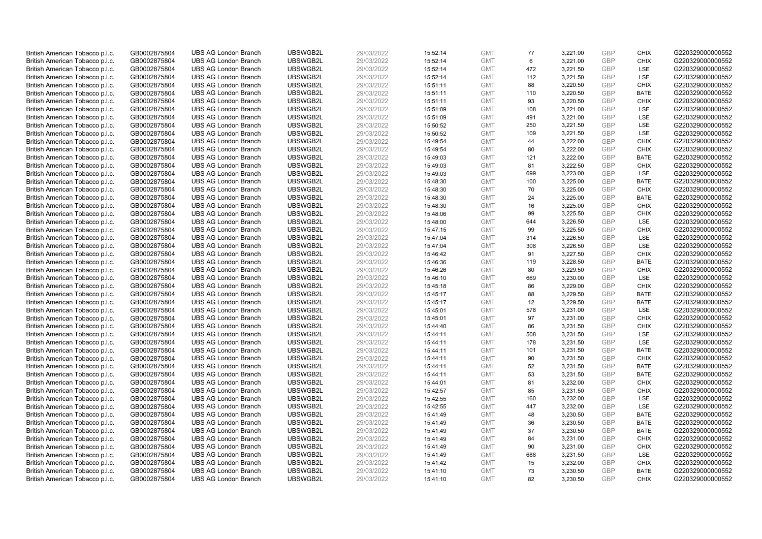| British American Tobacco p.l.c. | GB0002875804 | <b>UBS AG London Branch</b> | UBSWGB2L             | 29/03/2022 | 15:52:14 | <b>GMT</b> | 77  | 3,221.00 | <b>GBP</b> | <b>CHIX</b>                | G220329000000552                     |
|---------------------------------|--------------|-----------------------------|----------------------|------------|----------|------------|-----|----------|------------|----------------------------|--------------------------------------|
|                                 |              |                             |                      |            |          |            |     |          |            |                            |                                      |
| British American Tobacco p.l.c. | GB0002875804 | <b>UBS AG London Branch</b> | UBSWGB2L             | 29/03/2022 | 15:52:14 | <b>GMT</b> | 6   | 3,221.00 | GBP        | <b>CHIX</b>                | G220329000000552                     |
| British American Tobacco p.l.c. | GB0002875804 | <b>UBS AG London Branch</b> | UBSWGB2L             | 29/03/2022 | 15:52:14 | <b>GMT</b> | 472 | 3,221.50 | <b>GBP</b> | LSE                        | G220329000000552                     |
| British American Tobacco p.l.c. | GB0002875804 | <b>UBS AG London Branch</b> | UBSWGB2L             | 29/03/2022 | 15:52:14 | <b>GMT</b> | 112 | 3,221.50 | <b>GBP</b> | LSE                        | G220329000000552                     |
| British American Tobacco p.l.c. | GB0002875804 | <b>UBS AG London Branch</b> | UBSWGB2L             | 29/03/2022 | 15:51:11 | <b>GMT</b> | 88  | 3,220.50 | <b>GBP</b> | <b>CHIX</b>                | G220329000000552                     |
| British American Tobacco p.l.c. | GB0002875804 | <b>UBS AG London Branch</b> | UBSWGB2L             | 29/03/2022 | 15:51:11 | <b>GMT</b> | 110 | 3,220.50 | <b>GBP</b> | <b>BATE</b>                | G220329000000552                     |
| British American Tobacco p.l.c. | GB0002875804 | <b>UBS AG London Branch</b> | UBSWGB2L             | 29/03/2022 | 15:51:11 | <b>GMT</b> | 93  | 3,220.50 | <b>GBP</b> | <b>CHIX</b>                | G220329000000552                     |
| British American Tobacco p.l.c. | GB0002875804 | <b>UBS AG London Branch</b> | UBSWGB2L             | 29/03/2022 | 15:51:09 | <b>GMT</b> | 108 | 3,221.00 | <b>GBP</b> | LSE                        | G220329000000552                     |
| British American Tobacco p.l.c. | GB0002875804 | <b>UBS AG London Branch</b> | UBSWGB2L             | 29/03/2022 | 15:51:09 | <b>GMT</b> | 491 | 3,221.00 | <b>GBP</b> | LSE                        | G220329000000552                     |
| British American Tobacco p.l.c. | GB0002875804 | <b>UBS AG London Branch</b> | UBSWGB2L             | 29/03/2022 | 15:50:52 | <b>GMT</b> | 250 | 3,221.50 | <b>GBP</b> | LSE                        | G220329000000552                     |
| British American Tobacco p.l.c. | GB0002875804 | <b>UBS AG London Branch</b> | UBSWGB2L             | 29/03/2022 | 15:50:52 | <b>GMT</b> | 109 | 3,221.50 | <b>GBP</b> | LSE                        | G220329000000552                     |
| British American Tobacco p.l.c. | GB0002875804 | <b>UBS AG London Branch</b> | UBSWGB2L             | 29/03/2022 | 15:49:54 | <b>GMT</b> | 44  | 3,222.00 | <b>GBP</b> | <b>CHIX</b>                | G220329000000552                     |
| British American Tobacco p.l.c. | GB0002875804 | <b>UBS AG London Branch</b> | UBSWGB2L             | 29/03/2022 | 15:49:54 | <b>GMT</b> | 80  | 3,222.00 | <b>GBP</b> | <b>CHIX</b>                | G220329000000552                     |
| British American Tobacco p.l.c. | GB0002875804 | <b>UBS AG London Branch</b> | UBSWGB2L             | 29/03/2022 | 15:49:03 | <b>GMT</b> | 121 | 3,222.00 | <b>GBP</b> | <b>BATE</b>                | G220329000000552                     |
| British American Tobacco p.l.c. | GB0002875804 | <b>UBS AG London Branch</b> | UBSWGB2L             | 29/03/2022 | 15:49:03 | <b>GMT</b> | 81  | 3,222.50 | <b>GBP</b> | <b>CHIX</b>                | G220329000000552                     |
| British American Tobacco p.l.c. | GB0002875804 | <b>UBS AG London Branch</b> | UBSWGB2L             | 29/03/2022 | 15:49:03 | <b>GMT</b> | 699 | 3,223.00 | <b>GBP</b> | LSE                        | G220329000000552                     |
| British American Tobacco p.l.c. | GB0002875804 | <b>UBS AG London Branch</b> | UBSWGB2L             | 29/03/2022 | 15:48:30 | <b>GMT</b> | 100 | 3,225.00 | <b>GBP</b> | <b>BATE</b>                | G220329000000552                     |
| British American Tobacco p.l.c. | GB0002875804 | <b>UBS AG London Branch</b> | UBSWGB2L             | 29/03/2022 | 15:48:30 | <b>GMT</b> | 70  | 3,225.00 | <b>GBP</b> | <b>CHIX</b>                | G220329000000552                     |
| British American Tobacco p.l.c. | GB0002875804 | <b>UBS AG London Branch</b> | UBSWGB2L             | 29/03/2022 | 15:48:30 | <b>GMT</b> | 24  | 3,225.00 | <b>GBP</b> | <b>BATE</b>                | G220329000000552                     |
| British American Tobacco p.l.c. | GB0002875804 | <b>UBS AG London Branch</b> | UBSWGB2L             | 29/03/2022 | 15:48:30 | <b>GMT</b> | 16  | 3,225.00 | <b>GBP</b> | <b>CHIX</b>                | G220329000000552                     |
| British American Tobacco p.l.c. | GB0002875804 | <b>UBS AG London Branch</b> | UBSWGB2L             | 29/03/2022 | 15:48:06 | <b>GMT</b> | 99  | 3,225.50 | <b>GBP</b> | <b>CHIX</b>                | G220329000000552                     |
| British American Tobacco p.l.c. | GB0002875804 | <b>UBS AG London Branch</b> | UBSWGB2L             | 29/03/2022 | 15:48:00 | <b>GMT</b> | 644 | 3,226.50 | <b>GBP</b> | LSE                        | G220329000000552                     |
| British American Tobacco p.l.c. | GB0002875804 | <b>UBS AG London Branch</b> | UBSWGB2L             | 29/03/2022 | 15:47:15 | <b>GMT</b> | 99  | 3,225.50 | <b>GBP</b> | <b>CHIX</b>                | G220329000000552                     |
| British American Tobacco p.l.c. | GB0002875804 | <b>UBS AG London Branch</b> | UBSWGB2L             | 29/03/2022 | 15:47:04 | <b>GMT</b> | 314 | 3,226.50 | <b>GBP</b> | <b>LSE</b>                 | G220329000000552                     |
| British American Tobacco p.l.c. | GB0002875804 | <b>UBS AG London Branch</b> | UBSWGB2L             | 29/03/2022 | 15:47:04 | <b>GMT</b> | 308 | 3,226.50 | <b>GBP</b> | LSE                        | G220329000000552                     |
| British American Tobacco p.l.c. | GB0002875804 | <b>UBS AG London Branch</b> | UBSWGB2L             | 29/03/2022 | 15:46:42 | <b>GMT</b> | 91  | 3,227.50 | <b>GBP</b> | <b>CHIX</b>                | G220329000000552                     |
| British American Tobacco p.l.c. | GB0002875804 | <b>UBS AG London Branch</b> | UBSWGB2L             | 29/03/2022 | 15:46:36 | <b>GMT</b> | 119 | 3,228.50 | <b>GBP</b> | <b>BATE</b>                | G220329000000552                     |
| British American Tobacco p.l.c. | GB0002875804 | <b>UBS AG London Branch</b> | UBSWGB2L             | 29/03/2022 | 15:46:26 | <b>GMT</b> | 80  | 3,229.50 | <b>GBP</b> | <b>CHIX</b>                | G220329000000552                     |
| British American Tobacco p.l.c. | GB0002875804 | <b>UBS AG London Branch</b> | UBSWGB2L             | 29/03/2022 | 15:46:10 | <b>GMT</b> | 669 | 3,230.00 | <b>GBP</b> | LSE                        | G220329000000552                     |
| British American Tobacco p.l.c. | GB0002875804 | <b>UBS AG London Branch</b> | UBSWGB2L             | 29/03/2022 | 15:45:18 | <b>GMT</b> | 86  | 3,229.00 | <b>GBP</b> | <b>CHIX</b>                | G220329000000552                     |
| British American Tobacco p.l.c. | GB0002875804 | <b>UBS AG London Branch</b> | UBSWGB2L             | 29/03/2022 | 15:45:17 | <b>GMT</b> | 88  | 3,229.50 | <b>GBP</b> | <b>BATE</b>                | G220329000000552                     |
| British American Tobacco p.l.c. | GB0002875804 | <b>UBS AG London Branch</b> | UBSWGB2L             | 29/03/2022 | 15:45:17 | <b>GMT</b> | 12  | 3,229.50 | <b>GBP</b> | <b>BATE</b>                | G220329000000552                     |
| British American Tobacco p.l.c. | GB0002875804 | <b>UBS AG London Branch</b> | UBSWGB2L             | 29/03/2022 | 15:45:01 | <b>GMT</b> | 578 | 3,231.00 | <b>GBP</b> | LSE                        | G220329000000552                     |
| British American Tobacco p.l.c. | GB0002875804 | <b>UBS AG London Branch</b> | UBSWGB2L             | 29/03/2022 | 15:45:01 | <b>GMT</b> | 97  | 3,231.00 | <b>GBP</b> | <b>CHIX</b>                | G220329000000552                     |
| British American Tobacco p.l.c. | GB0002875804 | <b>UBS AG London Branch</b> | UBSWGB2L             | 29/03/2022 | 15:44:40 | <b>GMT</b> | 86  | 3,231.50 | <b>GBP</b> | <b>CHIX</b>                | G220329000000552                     |
| British American Tobacco p.l.c. | GB0002875804 | <b>UBS AG London Branch</b> | UBSWGB2L             | 29/03/2022 |          | <b>GMT</b> | 508 | 3,231.50 | <b>GBP</b> | LSE                        | G220329000000552                     |
| British American Tobacco p.l.c. |              | <b>UBS AG London Branch</b> | UBSWGB2L             | 29/03/2022 | 15:44:11 | <b>GMT</b> | 178 |          | <b>GBP</b> | <b>LSE</b>                 | G220329000000552                     |
|                                 | GB0002875804 |                             |                      |            | 15:44:11 |            |     | 3,231.50 |            |                            |                                      |
| British American Tobacco p.l.c. | GB0002875804 | <b>UBS AG London Branch</b> | UBSWGB2L<br>UBSWGB2L | 29/03/2022 | 15:44:11 | <b>GMT</b> | 101 | 3,231.50 | <b>GBP</b> | <b>BATE</b><br><b>CHIX</b> | G220329000000552<br>G220329000000552 |
| British American Tobacco p.l.c. | GB0002875804 | <b>UBS AG London Branch</b> |                      | 29/03/2022 | 15:44:11 | <b>GMT</b> | 90  | 3,231.50 | <b>GBP</b> |                            |                                      |
| British American Tobacco p.l.c. | GB0002875804 | <b>UBS AG London Branch</b> | UBSWGB2L             | 29/03/2022 | 15:44:11 | <b>GMT</b> | 52  | 3,231.50 | <b>GBP</b> | <b>BATE</b>                | G220329000000552                     |
| British American Tobacco p.l.c. | GB0002875804 | <b>UBS AG London Branch</b> | UBSWGB2L             | 29/03/2022 | 15:44:11 | <b>GMT</b> | 53  | 3,231.50 | <b>GBP</b> | <b>BATE</b>                | G220329000000552                     |
| British American Tobacco p.l.c. | GB0002875804 | <b>UBS AG London Branch</b> | UBSWGB2L             | 29/03/2022 | 15:44:01 | <b>GMT</b> | 81  | 3,232.00 | <b>GBP</b> | <b>CHIX</b>                | G220329000000552                     |
| British American Tobacco p.l.c. | GB0002875804 | <b>UBS AG London Branch</b> | UBSWGB2L             | 29/03/2022 | 15:42:57 | <b>GMT</b> | 85  | 3,231.50 | <b>GBP</b> | <b>CHIX</b>                | G220329000000552                     |
| British American Tobacco p.l.c. | GB0002875804 | <b>UBS AG London Branch</b> | UBSWGB2L             | 29/03/2022 | 15:42:55 | <b>GMT</b> | 160 | 3,232.00 | <b>GBP</b> | LSE                        | G220329000000552                     |
| British American Tobacco p.l.c. | GB0002875804 | <b>UBS AG London Branch</b> | UBSWGB2L             | 29/03/2022 | 15:42:55 | <b>GMT</b> | 447 | 3,232.00 | <b>GBP</b> | <b>LSE</b>                 | G220329000000552                     |
| British American Tobacco p.l.c. | GB0002875804 | <b>UBS AG London Branch</b> | UBSWGB2L             | 29/03/2022 | 15:41:49 | <b>GMT</b> | 48  | 3,230.50 | <b>GBP</b> | <b>BATE</b>                | G220329000000552                     |
| British American Tobacco p.l.c. | GB0002875804 | <b>UBS AG London Branch</b> | UBSWGB2L             | 29/03/2022 | 15:41:49 | <b>GMT</b> | 36  | 3,230.50 | <b>GBP</b> | <b>BATE</b>                | G220329000000552                     |
| British American Tobacco p.l.c. | GB0002875804 | <b>UBS AG London Branch</b> | UBSWGB2L             | 29/03/2022 | 15:41:49 | <b>GMT</b> | 37  | 3,230.50 | <b>GBP</b> | <b>BATE</b>                | G220329000000552                     |
| British American Tobacco p.l.c. | GB0002875804 | <b>UBS AG London Branch</b> | UBSWGB2L             | 29/03/2022 | 15:41:49 | <b>GMT</b> | 84  | 3,231.00 | <b>GBP</b> | <b>CHIX</b>                | G220329000000552                     |
| British American Tobacco p.l.c. | GB0002875804 | <b>UBS AG London Branch</b> | UBSWGB2L             | 29/03/2022 | 15:41:49 | <b>GMT</b> | 90  | 3,231.00 | <b>GBP</b> | <b>CHIX</b>                | G220329000000552                     |
| British American Tobacco p.l.c. | GB0002875804 | <b>UBS AG London Branch</b> | UBSWGB2L             | 29/03/2022 | 15:41:49 | <b>GMT</b> | 688 | 3,231.50 | <b>GBP</b> | LSE                        | G220329000000552                     |
| British American Tobacco p.l.c. | GB0002875804 | <b>UBS AG London Branch</b> | UBSWGB2L             | 29/03/2022 | 15:41:42 | <b>GMT</b> | 15  | 3,232.00 | <b>GBP</b> | <b>CHIX</b>                | G220329000000552                     |
| British American Tobacco p.l.c. | GB0002875804 | <b>UBS AG London Branch</b> | UBSWGB2L             | 29/03/2022 | 15:41:10 | <b>GMT</b> | 73  | 3,230.50 | <b>GBP</b> | <b>BATE</b>                | G220329000000552                     |
| British American Tobacco p.l.c. | GB0002875804 | <b>UBS AG London Branch</b> | UBSWGB2L             | 29/03/2022 | 15:41:10 | <b>GMT</b> | 82  | 3.230.50 | GBP        | <b>CHIX</b>                | G220329000000552                     |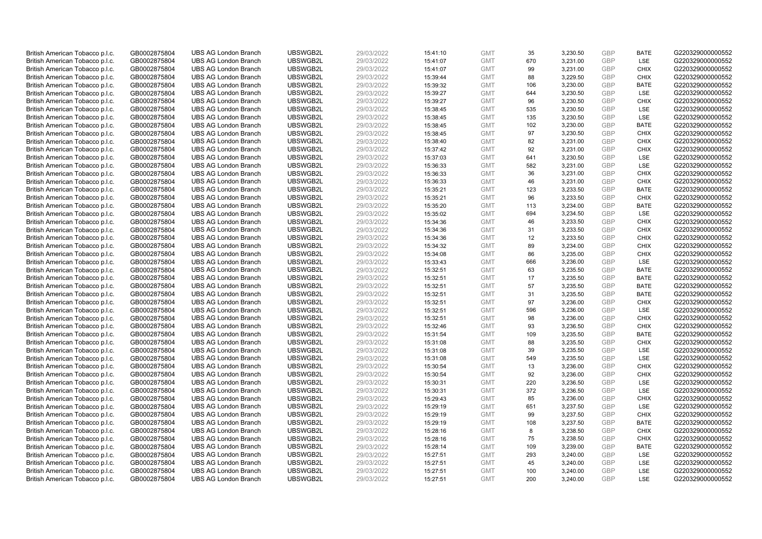| British American Tobacco p.l.c. | GB0002875804 | <b>UBS AG London Branch</b> | UBSWGB2L | 29/03/2022 | 15:41:10 | <b>GMT</b> | 35  | 3,230.50 | <b>GBP</b>               | <b>BATE</b>                | G220329000000552 |
|---------------------------------|--------------|-----------------------------|----------|------------|----------|------------|-----|----------|--------------------------|----------------------------|------------------|
| British American Tobacco p.l.c. | GB0002875804 | <b>UBS AG London Branch</b> | UBSWGB2L | 29/03/2022 | 15:41:07 | <b>GMT</b> | 670 | 3,231.00 | <b>GBP</b>               | <b>LSE</b>                 | G220329000000552 |
| British American Tobacco p.l.c. | GB0002875804 | <b>UBS AG London Branch</b> | UBSWGB2L | 29/03/2022 | 15:41:07 | <b>GMT</b> | 99  | 3,231.00 | <b>GBP</b>               | <b>CHIX</b>                | G220329000000552 |
|                                 |              |                             | UBSWGB2L |            |          |            |     |          | <b>GBP</b>               |                            |                  |
| British American Tobacco p.l.c. | GB0002875804 | <b>UBS AG London Branch</b> |          | 29/03/2022 | 15:39:44 | <b>GMT</b> | 88  | 3,229.50 |                          | <b>CHIX</b>                | G220329000000552 |
| British American Tobacco p.l.c. | GB0002875804 | <b>UBS AG London Branch</b> | UBSWGB2L | 29/03/2022 | 15:39:32 | <b>GMT</b> | 106 | 3,230.00 | <b>GBP</b>               | <b>BATE</b>                | G220329000000552 |
| British American Tobacco p.l.c. | GB0002875804 | <b>UBS AG London Branch</b> | UBSWGB2L | 29/03/2022 | 15:39:27 | <b>GMT</b> | 644 | 3,230.50 | <b>GBP</b>               | LSE                        | G220329000000552 |
| British American Tobacco p.l.c. | GB0002875804 | <b>UBS AG London Branch</b> | UBSWGB2L | 29/03/2022 | 15:39:27 | <b>GMT</b> | 96  | 3,230.50 | <b>GBP</b>               | <b>CHIX</b>                | G220329000000552 |
| British American Tobacco p.l.c. | GB0002875804 | <b>UBS AG London Branch</b> | UBSWGB2L | 29/03/2022 | 15:38:45 | <b>GMT</b> | 535 | 3,230.50 | <b>GBP</b>               | LSE                        | G220329000000552 |
| British American Tobacco p.l.c. | GB0002875804 | <b>UBS AG London Branch</b> | UBSWGB2L | 29/03/2022 | 15:38:45 | <b>GMT</b> | 135 | 3,230.50 | <b>GBP</b>               | LSE                        | G220329000000552 |
| British American Tobacco p.l.c. | GB0002875804 | <b>UBS AG London Branch</b> | UBSWGB2L | 29/03/2022 | 15:38:45 | <b>GMT</b> | 102 | 3,230.00 | <b>GBP</b>               | <b>BATE</b>                | G220329000000552 |
| British American Tobacco p.l.c. | GB0002875804 | <b>UBS AG London Branch</b> | UBSWGB2L | 29/03/2022 | 15:38:45 | <b>GMT</b> | 97  | 3,230.50 | <b>GBP</b>               | <b>CHIX</b>                | G220329000000552 |
| British American Tobacco p.l.c. | GB0002875804 | <b>UBS AG London Branch</b> | UBSWGB2L | 29/03/2022 | 15:38:40 | <b>GMT</b> | 82  | 3,231.00 | <b>GBP</b>               | <b>CHIX</b>                | G220329000000552 |
| British American Tobacco p.l.c. | GB0002875804 | <b>UBS AG London Branch</b> | UBSWGB2L | 29/03/2022 | 15:37:42 | <b>GMT</b> | 92  | 3,231.00 | <b>GBP</b>               | <b>CHIX</b>                | G220329000000552 |
| British American Tobacco p.l.c. | GB0002875804 | <b>UBS AG London Branch</b> | UBSWGB2L | 29/03/2022 | 15:37:03 | <b>GMT</b> | 641 | 3,230.50 | <b>GBP</b>               | LSE                        | G220329000000552 |
| British American Tobacco p.l.c. | GB0002875804 | <b>UBS AG London Branch</b> | UBSWGB2L | 29/03/2022 | 15:36:33 | <b>GMT</b> | 582 | 3,231.00 | <b>GBP</b>               | <b>LSE</b>                 | G220329000000552 |
| British American Tobacco p.l.c. | GB0002875804 | <b>UBS AG London Branch</b> | UBSWGB2L | 29/03/2022 | 15:36:33 | <b>GMT</b> | 36  | 3,231.00 | <b>GBP</b>               | <b>CHIX</b>                | G220329000000552 |
| British American Tobacco p.l.c. | GB0002875804 | <b>UBS AG London Branch</b> | UBSWGB2L | 29/03/2022 | 15:36:33 | <b>GMT</b> | 46  | 3,231.00 | <b>GBP</b>               | <b>CHIX</b>                | G220329000000552 |
| British American Tobacco p.l.c. | GB0002875804 | <b>UBS AG London Branch</b> | UBSWGB2L | 29/03/2022 | 15:35:21 | <b>GMT</b> | 123 | 3,233.50 | <b>GBP</b>               | <b>BATE</b>                | G220329000000552 |
| British American Tobacco p.l.c. | GB0002875804 | <b>UBS AG London Branch</b> | UBSWGB2L | 29/03/2022 | 15:35:21 | <b>GMT</b> | 96  | 3,233.50 | <b>GBP</b>               | <b>CHIX</b>                | G220329000000552 |
| British American Tobacco p.l.c. | GB0002875804 | <b>UBS AG London Branch</b> | UBSWGB2L | 29/03/2022 | 15:35:20 | <b>GMT</b> | 113 | 3,234.00 | <b>GBP</b>               | <b>BATE</b>                | G220329000000552 |
| British American Tobacco p.l.c. | GB0002875804 | <b>UBS AG London Branch</b> | UBSWGB2L | 29/03/2022 | 15:35:02 | <b>GMT</b> | 694 | 3,234.50 | <b>GBP</b>               | LSE                        | G220329000000552 |
| British American Tobacco p.l.c. | GB0002875804 | <b>UBS AG London Branch</b> | UBSWGB2L | 29/03/2022 | 15:34:36 | <b>GMT</b> | 46  | 3,233.50 | <b>GBP</b>               | <b>CHIX</b>                | G220329000000552 |
| British American Tobacco p.l.c. | GB0002875804 | <b>UBS AG London Branch</b> | UBSWGB2L | 29/03/2022 | 15:34:36 | <b>GMT</b> | 31  | 3,233.50 | <b>GBP</b>               | <b>CHIX</b>                | G220329000000552 |
| British American Tobacco p.l.c. | GB0002875804 | <b>UBS AG London Branch</b> | UBSWGB2L | 29/03/2022 | 15:34:36 | <b>GMT</b> | 12  | 3,233.50 | <b>GBP</b>               | <b>CHIX</b>                | G220329000000552 |
| British American Tobacco p.l.c. | GB0002875804 | <b>UBS AG London Branch</b> | UBSWGB2L | 29/03/2022 | 15:34:32 | <b>GMT</b> | 89  | 3,234.00 | <b>GBP</b>               | <b>CHIX</b>                | G220329000000552 |
| British American Tobacco p.l.c. | GB0002875804 | <b>UBS AG London Branch</b> | UBSWGB2L | 29/03/2022 | 15:34:08 | <b>GMT</b> | 86  | 3,235.00 | <b>GBP</b>               | <b>CHIX</b>                | G220329000000552 |
| British American Tobacco p.l.c. | GB0002875804 | <b>UBS AG London Branch</b> | UBSWGB2L | 29/03/2022 | 15:33:43 | <b>GMT</b> | 666 | 3,236.00 | <b>GBP</b>               | LSE                        | G220329000000552 |
| British American Tobacco p.l.c. | GB0002875804 | <b>UBS AG London Branch</b> | UBSWGB2L | 29/03/2022 | 15:32:51 | <b>GMT</b> | 63  | 3,235.50 | <b>GBP</b>               | <b>BATE</b>                | G220329000000552 |
| British American Tobacco p.l.c. | GB0002875804 | <b>UBS AG London Branch</b> | UBSWGB2L | 29/03/2022 | 15:32:51 | <b>GMT</b> | 17  | 3,235.50 | <b>GBP</b>               | <b>BATE</b>                | G220329000000552 |
| British American Tobacco p.l.c. | GB0002875804 | <b>UBS AG London Branch</b> | UBSWGB2L | 29/03/2022 | 15:32:51 | <b>GMT</b> | 57  | 3,235.50 | <b>GBP</b>               | <b>BATE</b>                | G220329000000552 |
| British American Tobacco p.l.c. | GB0002875804 | <b>UBS AG London Branch</b> | UBSWGB2L | 29/03/2022 | 15:32:51 | <b>GMT</b> | 31  | 3,235.50 | <b>GBP</b>               | <b>BATE</b>                | G220329000000552 |
| British American Tobacco p.l.c. | GB0002875804 | <b>UBS AG London Branch</b> | UBSWGB2L | 29/03/2022 | 15:32:51 | <b>GMT</b> | 97  | 3,236.00 | <b>GBP</b>               | <b>CHIX</b>                | G220329000000552 |
| British American Tobacco p.l.c. | GB0002875804 | <b>UBS AG London Branch</b> | UBSWGB2L | 29/03/2022 | 15:32:51 | <b>GMT</b> | 596 | 3,236.00 | <b>GBP</b>               | LSE                        | G220329000000552 |
| British American Tobacco p.l.c. | GB0002875804 | <b>UBS AG London Branch</b> | UBSWGB2L | 29/03/2022 | 15:32:51 | <b>GMT</b> | 98  | 3,236.00 | <b>GBP</b>               | <b>CHIX</b>                | G220329000000552 |
| British American Tobacco p.l.c. | GB0002875804 | <b>UBS AG London Branch</b> | UBSWGB2L | 29/03/2022 | 15:32:46 | <b>GMT</b> | 93  | 3,236.50 | <b>GBP</b>               | <b>CHIX</b>                | G220329000000552 |
| British American Tobacco p.l.c. | GB0002875804 | <b>UBS AG London Branch</b> | UBSWGB2L | 29/03/2022 | 15:31:54 | <b>GMT</b> | 109 | 3,235.50 | <b>GBP</b>               | <b>BATE</b>                | G220329000000552 |
| British American Tobacco p.l.c. | GB0002875804 | <b>UBS AG London Branch</b> | UBSWGB2L | 29/03/2022 | 15:31:08 | <b>GMT</b> | 88  | 3,235.50 | <b>GBP</b>               | <b>CHIX</b>                | G220329000000552 |
| British American Tobacco p.l.c. | GB0002875804 | <b>UBS AG London Branch</b> | UBSWGB2L | 29/03/2022 | 15:31:08 | <b>GMT</b> | 39  | 3,235.50 | <b>GBP</b>               | LSE                        | G220329000000552 |
|                                 |              | <b>UBS AG London Branch</b> | UBSWGB2L | 29/03/2022 |          | <b>GMT</b> | 549 |          | <b>GBP</b>               | LSE                        | G220329000000552 |
| British American Tobacco p.l.c. | GB0002875804 |                             |          |            | 15:31:08 |            |     | 3,235.50 |                          |                            |                  |
| British American Tobacco p.l.c. | GB0002875804 | <b>UBS AG London Branch</b> | UBSWGB2L | 29/03/2022 | 15:30:54 | <b>GMT</b> | 13  | 3,236.00 | <b>GBP</b><br><b>GBP</b> | <b>CHIX</b><br><b>CHIX</b> | G220329000000552 |
| British American Tobacco p.l.c. | GB0002875804 | <b>UBS AG London Branch</b> | UBSWGB2L | 29/03/2022 | 15:30:54 | <b>GMT</b> | 92  | 3,236.00 |                          |                            | G220329000000552 |
| British American Tobacco p.l.c. | GB0002875804 | <b>UBS AG London Branch</b> | UBSWGB2L | 29/03/2022 | 15:30:31 | <b>GMT</b> | 220 | 3,236.50 | <b>GBP</b>               | LSE                        | G220329000000552 |
| British American Tobacco p.l.c. | GB0002875804 | <b>UBS AG London Branch</b> | UBSWGB2L | 29/03/2022 | 15:30:31 | <b>GMT</b> | 372 | 3,236.50 | <b>GBP</b>               | LSE                        | G220329000000552 |
| British American Tobacco p.l.c. | GB0002875804 | <b>UBS AG London Branch</b> | UBSWGB2L | 29/03/2022 | 15:29:43 | <b>GMT</b> | 85  | 3,236.00 | <b>GBP</b>               | <b>CHIX</b>                | G220329000000552 |
| British American Tobacco p.l.c. | GB0002875804 | <b>UBS AG London Branch</b> | UBSWGB2L | 29/03/2022 | 15:29:19 | <b>GMT</b> | 651 | 3,237.50 | <b>GBP</b>               | LSE                        | G220329000000552 |
| British American Tobacco p.l.c. | GB0002875804 | <b>UBS AG London Branch</b> | UBSWGB2L | 29/03/2022 | 15:29:19 | <b>GMT</b> | 99  | 3,237.50 | <b>GBP</b>               | <b>CHIX</b>                | G220329000000552 |
| British American Tobacco p.l.c. | GB0002875804 | <b>UBS AG London Branch</b> | UBSWGB2L | 29/03/2022 | 15:29:19 | <b>GMT</b> | 108 | 3,237.50 | <b>GBP</b>               | <b>BATE</b>                | G220329000000552 |
| British American Tobacco p.l.c. | GB0002875804 | <b>UBS AG London Branch</b> | UBSWGB2L | 29/03/2022 | 15:28:16 | <b>GMT</b> | 8   | 3,238.50 | <b>GBP</b>               | <b>CHIX</b>                | G220329000000552 |
| British American Tobacco p.l.c. | GB0002875804 | <b>UBS AG London Branch</b> | UBSWGB2L | 29/03/2022 | 15:28:16 | <b>GMT</b> | 75  | 3,238.50 | <b>GBP</b>               | <b>CHIX</b>                | G220329000000552 |
| British American Tobacco p.l.c. | GB0002875804 | <b>UBS AG London Branch</b> | UBSWGB2L | 29/03/2022 | 15:28:14 | <b>GMT</b> | 109 | 3,239.00 | <b>GBP</b>               | <b>BATE</b>                | G220329000000552 |
| British American Tobacco p.l.c. | GB0002875804 | <b>UBS AG London Branch</b> | UBSWGB2L | 29/03/2022 | 15:27:51 | <b>GMT</b> | 293 | 3,240.00 | <b>GBP</b>               | LSE                        | G220329000000552 |
| British American Tobacco p.l.c. | GB0002875804 | <b>UBS AG London Branch</b> | UBSWGB2L | 29/03/2022 | 15:27:51 | <b>GMT</b> | 45  | 3,240.00 | <b>GBP</b>               | LSE                        | G220329000000552 |
| British American Tobacco p.l.c. | GB0002875804 | <b>UBS AG London Branch</b> | UBSWGB2L | 29/03/2022 | 15:27:51 | <b>GMT</b> | 100 | 3,240.00 | <b>GBP</b>               | LSE                        | G220329000000552 |
| British American Tobacco p.l.c. | GB0002875804 | <b>UBS AG London Branch</b> | UBSWGB2L | 29/03/2022 | 15:27:51 | <b>GMT</b> | 200 | 3.240.00 | GBP                      | <b>LSE</b>                 | G220329000000552 |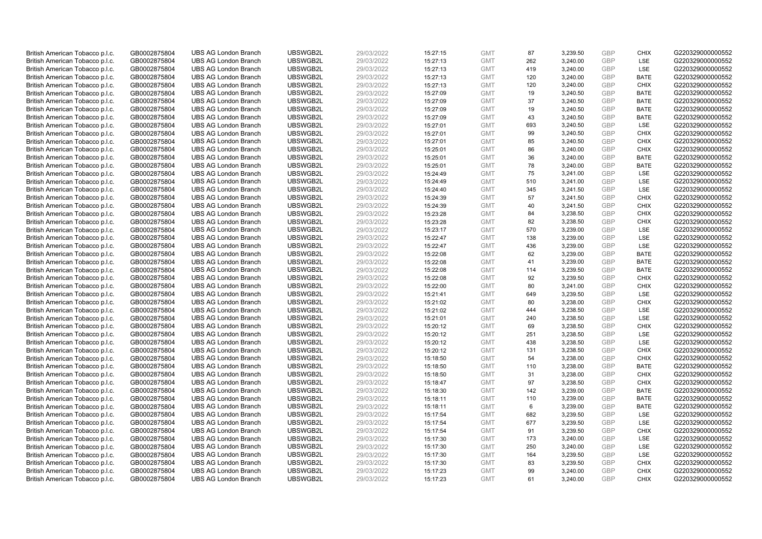| British American Tobacco p.l.c. | GB0002875804                 | <b>UBS AG London Branch</b> | UBSWGB2L | 29/03/2022               | 15:27:15 | <b>GMT</b> | 87  | 3,239.50 | <b>GBP</b> | <b>CHIX</b> | G220329000000552 |
|---------------------------------|------------------------------|-----------------------------|----------|--------------------------|----------|------------|-----|----------|------------|-------------|------------------|
| British American Tobacco p.l.c. | GB0002875804                 | <b>UBS AG London Branch</b> | UBSWGB2L | 29/03/2022               | 15:27:13 | <b>GMT</b> | 262 | 3,240.00 | GBP        | <b>LSE</b>  | G220329000000552 |
| British American Tobacco p.l.c. | GB0002875804                 | <b>UBS AG London Branch</b> | UBSWGB2L | 29/03/2022               | 15:27:13 | <b>GMT</b> | 419 | 3,240.00 | <b>GBP</b> | LSE         | G220329000000552 |
|                                 |                              |                             | UBSWGB2L |                          |          |            |     |          | <b>GBP</b> |             |                  |
| British American Tobacco p.l.c. | GB0002875804                 | <b>UBS AG London Branch</b> |          | 29/03/2022               | 15:27:13 | <b>GMT</b> | 120 | 3,240.00 |            | <b>BATE</b> | G220329000000552 |
| British American Tobacco p.l.c. | GB0002875804                 | <b>UBS AG London Branch</b> | UBSWGB2L | 29/03/2022               | 15:27:13 | <b>GMT</b> | 120 | 3,240.00 | <b>GBP</b> | <b>CHIX</b> | G220329000000552 |
| British American Tobacco p.l.c. | GB0002875804                 | <b>UBS AG London Branch</b> | UBSWGB2L | 29/03/2022               | 15:27:09 | <b>GMT</b> | 19  | 3,240.50 | <b>GBP</b> | BATE        | G220329000000552 |
| British American Tobacco p.l.c. | GB0002875804                 | <b>UBS AG London Branch</b> | UBSWGB2L | 29/03/2022               | 15:27:09 | <b>GMT</b> | 37  | 3,240.50 | <b>GBP</b> | <b>BATE</b> | G220329000000552 |
| British American Tobacco p.l.c. | GB0002875804                 | <b>UBS AG London Branch</b> | UBSWGB2L | 29/03/2022               | 15:27:09 | <b>GMT</b> | 19  | 3,240.50 | <b>GBP</b> | <b>BATE</b> | G220329000000552 |
| British American Tobacco p.l.c. | GB0002875804                 | <b>UBS AG London Branch</b> | UBSWGB2L | 29/03/2022               | 15:27:09 | <b>GMT</b> | 43  | 3,240.50 | <b>GBP</b> | <b>BATE</b> | G220329000000552 |
| British American Tobacco p.l.c. | GB0002875804                 | <b>UBS AG London Branch</b> | UBSWGB2L | 29/03/2022               | 15:27:01 | <b>GMT</b> | 693 | 3,240.50 | <b>GBP</b> | LSE         | G220329000000552 |
| British American Tobacco p.l.c. | GB0002875804                 | <b>UBS AG London Branch</b> | UBSWGB2L | 29/03/2022               | 15:27:01 | <b>GMT</b> | 99  | 3,240.50 | <b>GBP</b> | <b>CHIX</b> | G220329000000552 |
| British American Tobacco p.l.c. | GB0002875804                 | <b>UBS AG London Branch</b> | UBSWGB2L | 29/03/2022               | 15:27:01 | <b>GMT</b> | 85  | 3,240.50 | <b>GBP</b> | <b>CHIX</b> | G220329000000552 |
| British American Tobacco p.l.c. | GB0002875804                 | <b>UBS AG London Branch</b> | UBSWGB2L | 29/03/2022               | 15:25:01 | <b>GMT</b> | 86  | 3,240.00 | <b>GBP</b> | <b>CHIX</b> | G220329000000552 |
| British American Tobacco p.l.c. | GB0002875804                 | <b>UBS AG London Branch</b> | UBSWGB2L | 29/03/2022               | 15:25:01 | <b>GMT</b> | 36  | 3,240.00 | <b>GBP</b> | <b>BATE</b> | G220329000000552 |
| British American Tobacco p.l.c. | GB0002875804                 | <b>UBS AG London Branch</b> | UBSWGB2L | 29/03/2022               | 15:25:01 | <b>GMT</b> | 78  | 3,240.00 | <b>GBP</b> | <b>BATE</b> | G220329000000552 |
| British American Tobacco p.l.c. | GB0002875804                 | <b>UBS AG London Branch</b> | UBSWGB2L | 29/03/2022               | 15:24:49 | <b>GMT</b> | 75  | 3,241.00 | <b>GBP</b> | LSE         | G220329000000552 |
| British American Tobacco p.l.c. | GB0002875804                 | <b>UBS AG London Branch</b> | UBSWGB2L | 29/03/2022               | 15:24:49 | <b>GMT</b> | 510 | 3,241.00 | <b>GBP</b> | LSE         | G220329000000552 |
| British American Tobacco p.l.c. | GB0002875804                 | <b>UBS AG London Branch</b> | UBSWGB2L | 29/03/2022               | 15:24:40 | <b>GMT</b> | 345 | 3,241.50 | <b>GBP</b> | LSE         | G220329000000552 |
| British American Tobacco p.l.c. | GB0002875804                 | <b>UBS AG London Branch</b> | UBSWGB2L | 29/03/2022               | 15:24:39 | <b>GMT</b> | 57  | 3,241.50 | <b>GBP</b> | <b>CHIX</b> | G220329000000552 |
| British American Tobacco p.l.c. | GB0002875804                 | <b>UBS AG London Branch</b> | UBSWGB2L | 29/03/2022               | 15:24:39 | <b>GMT</b> | 40  | 3,241.50 | <b>GBP</b> | <b>CHIX</b> | G220329000000552 |
| British American Tobacco p.l.c. | GB0002875804                 | <b>UBS AG London Branch</b> | UBSWGB2L | 29/03/2022               | 15:23:28 | <b>GMT</b> | 84  | 3,238.50 | <b>GBP</b> | <b>CHIX</b> | G220329000000552 |
| British American Tobacco p.l.c. | GB0002875804                 | <b>UBS AG London Branch</b> | UBSWGB2L | 29/03/2022               | 15:23:28 | <b>GMT</b> | 82  | 3,238.50 | <b>GBP</b> | <b>CHIX</b> | G220329000000552 |
| British American Tobacco p.l.c. | GB0002875804                 | <b>UBS AG London Branch</b> | UBSWGB2L | 29/03/2022               | 15:23:17 | <b>GMT</b> | 570 | 3,239.00 | <b>GBP</b> | LSE         | G220329000000552 |
| British American Tobacco p.l.c. | GB0002875804                 | <b>UBS AG London Branch</b> | UBSWGB2L | 29/03/2022               | 15:22:47 | <b>GMT</b> | 138 | 3,239.00 | <b>GBP</b> | LSE         | G220329000000552 |
| British American Tobacco p.l.c. | GB0002875804                 | <b>UBS AG London Branch</b> | UBSWGB2L | 29/03/2022               | 15:22:47 | <b>GMT</b> | 436 | 3,239.00 | <b>GBP</b> | LSE         | G220329000000552 |
| British American Tobacco p.l.c. | GB0002875804                 | <b>UBS AG London Branch</b> | UBSWGB2L | 29/03/2022               | 15:22:08 | <b>GMT</b> | 62  | 3,239.00 | <b>GBP</b> | <b>BATE</b> | G220329000000552 |
| British American Tobacco p.l.c. | GB0002875804                 | <b>UBS AG London Branch</b> | UBSWGB2L | 29/03/2022               | 15:22:08 | <b>GMT</b> | 41  | 3,239.00 | <b>GBP</b> | <b>BATE</b> | G220329000000552 |
| British American Tobacco p.l.c. | GB0002875804                 | <b>UBS AG London Branch</b> | UBSWGB2L | 29/03/2022               | 15:22:08 | <b>GMT</b> | 114 | 3,239.50 | <b>GBP</b> | <b>BATE</b> | G220329000000552 |
| British American Tobacco p.l.c. | GB0002875804                 | <b>UBS AG London Branch</b> | UBSWGB2L | 29/03/2022               | 15:22:08 | <b>GMT</b> | 92  | 3,239.50 | <b>GBP</b> | <b>CHIX</b> | G220329000000552 |
| British American Tobacco p.l.c. | GB0002875804                 | <b>UBS AG London Branch</b> | UBSWGB2L | 29/03/2022               | 15:22:00 | <b>GMT</b> | 80  | 3,241.00 | <b>GBP</b> | <b>CHIX</b> | G220329000000552 |
| British American Tobacco p.l.c. | GB0002875804                 | <b>UBS AG London Branch</b> | UBSWGB2L | 29/03/2022               | 15:21:41 | <b>GMT</b> | 649 | 3,239.50 | <b>GBP</b> | LSE         | G220329000000552 |
|                                 |                              | <b>UBS AG London Branch</b> | UBSWGB2L |                          | 15:21:02 | <b>GMT</b> | 80  | 3,238.00 | <b>GBP</b> | <b>CHIX</b> | G220329000000552 |
| British American Tobacco p.l.c. | GB0002875804<br>GB0002875804 | <b>UBS AG London Branch</b> | UBSWGB2L | 29/03/2022<br>29/03/2022 | 15:21:02 | <b>GMT</b> | 444 | 3,238.50 | <b>GBP</b> | LSE         | G220329000000552 |
| British American Tobacco p.l.c. |                              |                             |          |                          |          |            | 240 |          |            | LSE         |                  |
| British American Tobacco p.l.c. | GB0002875804                 | <b>UBS AG London Branch</b> | UBSWGB2L | 29/03/2022               | 15:21:01 | <b>GMT</b> |     | 3,238.50 | <b>GBP</b> |             | G220329000000552 |
| British American Tobacco p.l.c. | GB0002875804                 | <b>UBS AG London Branch</b> | UBSWGB2L | 29/03/2022               | 15:20:12 | <b>GMT</b> | 69  | 3,238.50 | <b>GBP</b> | <b>CHIX</b> | G220329000000552 |
| British American Tobacco p.l.c. | GB0002875804                 | <b>UBS AG London Branch</b> | UBSWGB2L | 29/03/2022               | 15:20:12 | <b>GMT</b> | 251 | 3,238.50 | <b>GBP</b> | LSE         | G220329000000552 |
| British American Tobacco p.l.c. | GB0002875804                 | <b>UBS AG London Branch</b> | UBSWGB2L | 29/03/2022               | 15:20:12 | <b>GMT</b> | 438 | 3,238.50 | <b>GBP</b> | LSE         | G220329000000552 |
| British American Tobacco p.l.c. | GB0002875804                 | <b>UBS AG London Branch</b> | UBSWGB2L | 29/03/2022               | 15:20:12 | <b>GMT</b> | 131 | 3,238.50 | <b>GBP</b> | <b>CHIX</b> | G220329000000552 |
| British American Tobacco p.l.c. | GB0002875804                 | <b>UBS AG London Branch</b> | UBSWGB2L | 29/03/2022               | 15:18:50 | <b>GMT</b> | 54  | 3,238.00 | <b>GBP</b> | <b>CHIX</b> | G220329000000552 |
| British American Tobacco p.l.c. | GB0002875804                 | <b>UBS AG London Branch</b> | UBSWGB2L | 29/03/2022               | 15:18:50 | <b>GMT</b> | 110 | 3,238.00 | <b>GBP</b> | <b>BATE</b> | G220329000000552 |
| British American Tobacco p.l.c. | GB0002875804                 | <b>UBS AG London Branch</b> | UBSWGB2L | 29/03/2022               | 15:18:50 | <b>GMT</b> | 31  | 3,238.00 | <b>GBP</b> | <b>CHIX</b> | G220329000000552 |
| British American Tobacco p.l.c. | GB0002875804                 | <b>UBS AG London Branch</b> | UBSWGB2L | 29/03/2022               | 15:18:47 | <b>GMT</b> | 97  | 3,238.50 | <b>GBP</b> | <b>CHIX</b> | G220329000000552 |
| British American Tobacco p.l.c. | GB0002875804                 | <b>UBS AG London Branch</b> | UBSWGB2L | 29/03/2022               | 15:18:30 | <b>GMT</b> | 142 | 3,239.00 | <b>GBP</b> | <b>BATE</b> | G220329000000552 |
| British American Tobacco p.l.c. | GB0002875804                 | <b>UBS AG London Branch</b> | UBSWGB2L | 29/03/2022               | 15:18:11 | <b>GMT</b> | 110 | 3,239.00 | <b>GBP</b> | <b>BATE</b> | G220329000000552 |
| British American Tobacco p.l.c. | GB0002875804                 | <b>UBS AG London Branch</b> | UBSWGB2L | 29/03/2022               | 15:18:11 | <b>GMT</b> | 6   | 3,239.00 | <b>GBP</b> | <b>BATE</b> | G220329000000552 |
| British American Tobacco p.l.c. | GB0002875804                 | <b>UBS AG London Branch</b> | UBSWGB2L | 29/03/2022               | 15:17:54 | <b>GMT</b> | 682 | 3,239.50 | <b>GBP</b> | LSE         | G220329000000552 |
| British American Tobacco p.l.c. | GB0002875804                 | <b>UBS AG London Branch</b> | UBSWGB2L | 29/03/2022               | 15:17:54 | <b>GMT</b> | 677 | 3,239.50 | <b>GBP</b> | LSE         | G220329000000552 |
| British American Tobacco p.l.c. | GB0002875804                 | <b>UBS AG London Branch</b> | UBSWGB2L | 29/03/2022               | 15:17:54 | <b>GMT</b> | 91  | 3,239.50 | <b>GBP</b> | <b>CHIX</b> | G220329000000552 |
| British American Tobacco p.l.c. | GB0002875804                 | <b>UBS AG London Branch</b> | UBSWGB2L | 29/03/2022               | 15:17:30 | <b>GMT</b> | 173 | 3,240.00 | <b>GBP</b> | LSE         | G220329000000552 |
| British American Tobacco p.l.c. | GB0002875804                 | <b>UBS AG London Branch</b> | UBSWGB2L | 29/03/2022               | 15:17:30 | <b>GMT</b> | 250 | 3,240.00 | <b>GBP</b> | LSE         | G220329000000552 |
| British American Tobacco p.l.c. | GB0002875804                 | <b>UBS AG London Branch</b> | UBSWGB2L | 29/03/2022               | 15:17:30 | <b>GMT</b> | 164 | 3,239.50 | <b>GBP</b> | LSE         | G220329000000552 |
| British American Tobacco p.l.c. | GB0002875804                 | <b>UBS AG London Branch</b> | UBSWGB2L | 29/03/2022               | 15:17:30 | <b>GMT</b> | 83  | 3,239.50 | <b>GBP</b> | <b>CHIX</b> | G220329000000552 |
| British American Tobacco p.l.c. | GB0002875804                 | <b>UBS AG London Branch</b> | UBSWGB2L | 29/03/2022               | 15:17:23 | <b>GMT</b> | 99  | 3,240.00 | <b>GBP</b> | <b>CHIX</b> | G220329000000552 |
| British American Tobacco p.l.c. | GB0002875804                 | <b>UBS AG London Branch</b> | UBSWGB2L | 29/03/2022               | 15:17:23 | <b>GMT</b> | 61  | 3.240.00 | GBP        | <b>CHIX</b> | G220329000000552 |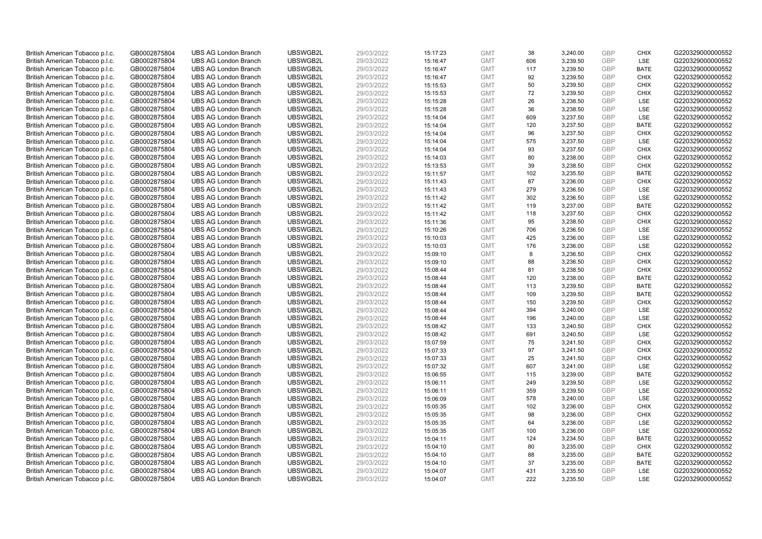| British American Tobacco p.l.c. | GB0002875804 | <b>UBS AG London Branch</b> | UBSWGB2L | 29/03/2022 | 15:17:23 | <b>GMT</b> | 38  | 3,240.00 | <b>GBP</b> | <b>CHIX</b> | G220329000000552 |
|---------------------------------|--------------|-----------------------------|----------|------------|----------|------------|-----|----------|------------|-------------|------------------|
| British American Tobacco p.l.c. | GB0002875804 | <b>UBS AG London Branch</b> | UBSWGB2L | 29/03/2022 | 15:16:47 | <b>GMT</b> | 606 | 3,239.50 | GBP        | LSE         | G220329000000552 |
| British American Tobacco p.l.c. | GB0002875804 | <b>UBS AG London Branch</b> | UBSWGB2L | 29/03/2022 | 15:16:47 | <b>GMT</b> | 117 | 3,239.50 | <b>GBP</b> | <b>BATE</b> | G220329000000552 |
| British American Tobacco p.l.c. | GB0002875804 | <b>UBS AG London Branch</b> | UBSWGB2L | 29/03/2022 | 15:16:47 | <b>GMT</b> | 92  | 3,239.50 | <b>GBP</b> | <b>CHIX</b> | G220329000000552 |
| British American Tobacco p.l.c. | GB0002875804 | <b>UBS AG London Branch</b> | UBSWGB2L | 29/03/2022 | 15:15:53 | <b>GMT</b> | 50  | 3,239.50 | <b>GBP</b> | <b>CHIX</b> | G220329000000552 |
| British American Tobacco p.l.c. | GB0002875804 | <b>UBS AG London Branch</b> | UBSWGB2L | 29/03/2022 | 15:15:53 | <b>GMT</b> | 72  | 3,239.50 | <b>GBP</b> | <b>CHIX</b> | G220329000000552 |
| British American Tobacco p.l.c. | GB0002875804 | <b>UBS AG London Branch</b> | UBSWGB2L | 29/03/2022 | 15:15:28 | <b>GMT</b> | 26  | 3,238.50 | <b>GBP</b> | LSE         | G220329000000552 |
| British American Tobacco p.l.c. | GB0002875804 | <b>UBS AG London Branch</b> | UBSWGB2L | 29/03/2022 | 15:15:28 | <b>GMT</b> | 36  | 3,238.50 | <b>GBP</b> | LSE         | G220329000000552 |
| British American Tobacco p.l.c. | GB0002875804 | <b>UBS AG London Branch</b> | UBSWGB2L | 29/03/2022 | 15:14:04 | <b>GMT</b> | 609 | 3,237.50 | <b>GBP</b> | LSE         | G220329000000552 |
| British American Tobacco p.l.c. | GB0002875804 | <b>UBS AG London Branch</b> | UBSWGB2L | 29/03/2022 | 15:14:04 | <b>GMT</b> | 120 | 3,237.50 | <b>GBP</b> | <b>BATE</b> | G220329000000552 |
| British American Tobacco p.l.c. | GB0002875804 | <b>UBS AG London Branch</b> | UBSWGB2L | 29/03/2022 | 15:14:04 | <b>GMT</b> | 96  | 3,237.50 | <b>GBP</b> | <b>CHIX</b> | G220329000000552 |
| British American Tobacco p.l.c. | GB0002875804 | <b>UBS AG London Branch</b> | UBSWGB2L | 29/03/2022 | 15:14:04 | <b>GMT</b> | 575 | 3,237.50 | <b>GBP</b> | LSE         | G220329000000552 |
| British American Tobacco p.l.c. | GB0002875804 | <b>UBS AG London Branch</b> | UBSWGB2L | 29/03/2022 | 15:14:04 | <b>GMT</b> | 93  | 3,237.50 | <b>GBP</b> | <b>CHIX</b> | G220329000000552 |
| British American Tobacco p.l.c. | GB0002875804 | <b>UBS AG London Branch</b> | UBSWGB2L | 29/03/2022 | 15:14:03 | <b>GMT</b> | 80  | 3,238.00 | <b>GBP</b> | <b>CHIX</b> | G220329000000552 |
| British American Tobacco p.l.c. | GB0002875804 | <b>UBS AG London Branch</b> | UBSWGB2L | 29/03/2022 | 15:13:53 | <b>GMT</b> | 39  | 3,238.50 | <b>GBP</b> | <b>CHIX</b> | G220329000000552 |
| British American Tobacco p.l.c. | GB0002875804 | <b>UBS AG London Branch</b> | UBSWGB2L | 29/03/2022 | 15:11:57 | <b>GMT</b> | 102 | 3,235.50 | <b>GBP</b> | <b>BATE</b> | G220329000000552 |
| British American Tobacco p.l.c. | GB0002875804 | <b>UBS AG London Branch</b> | UBSWGB2L | 29/03/2022 | 15:11:43 | <b>GMT</b> | 87  | 3,236.00 | <b>GBP</b> | <b>CHIX</b> | G220329000000552 |
| British American Tobacco p.l.c. | GB0002875804 | <b>UBS AG London Branch</b> | UBSWGB2L | 29/03/2022 | 15:11:43 | <b>GMT</b> | 279 | 3,236.50 | <b>GBP</b> | LSE         | G220329000000552 |
| British American Tobacco p.l.c. | GB0002875804 | <b>UBS AG London Branch</b> | UBSWGB2L | 29/03/2022 | 15:11:42 | <b>GMT</b> | 302 | 3,236.50 | <b>GBP</b> | <b>LSE</b>  | G220329000000552 |
| British American Tobacco p.l.c. | GB0002875804 | <b>UBS AG London Branch</b> | UBSWGB2L | 29/03/2022 | 15:11:42 | <b>GMT</b> | 119 | 3,237.00 | <b>GBP</b> | <b>BATE</b> | G220329000000552 |
| British American Tobacco p.l.c. | GB0002875804 | <b>UBS AG London Branch</b> | UBSWGB2L | 29/03/2022 | 15:11:42 | <b>GMT</b> | 118 | 3,237.50 | <b>GBP</b> | <b>CHIX</b> | G220329000000552 |
| British American Tobacco p.l.c. | GB0002875804 | <b>UBS AG London Branch</b> | UBSWGB2L | 29/03/2022 | 15:11:36 | <b>GMT</b> | 95  | 3,238.50 | <b>GBP</b> | <b>CHIX</b> | G220329000000552 |
| British American Tobacco p.l.c. | GB0002875804 | <b>UBS AG London Branch</b> | UBSWGB2L | 29/03/2022 | 15:10:26 | <b>GMT</b> | 706 | 3,236.50 | <b>GBP</b> | LSE         | G220329000000552 |
| British American Tobacco p.l.c. | GB0002875804 | <b>UBS AG London Branch</b> | UBSWGB2L | 29/03/2022 | 15:10:03 | <b>GMT</b> | 425 | 3,236.00 | <b>GBP</b> | <b>LSE</b>  | G220329000000552 |
| British American Tobacco p.l.c. | GB0002875804 | <b>UBS AG London Branch</b> | UBSWGB2L | 29/03/2022 | 15:10:03 | <b>GMT</b> | 176 | 3,236.00 | <b>GBP</b> | LSE         | G220329000000552 |
| British American Tobacco p.l.c. | GB0002875804 | <b>UBS AG London Branch</b> | UBSWGB2L | 29/03/2022 | 15:09:10 | <b>GMT</b> | 8   | 3,236.50 | <b>GBP</b> | <b>CHIX</b> | G220329000000552 |
| British American Tobacco p.l.c. | GB0002875804 | <b>UBS AG London Branch</b> | UBSWGB2L | 29/03/2022 | 15:09:10 | <b>GMT</b> | 88  | 3,236.50 | <b>GBP</b> | <b>CHIX</b> | G220329000000552 |
| British American Tobacco p.l.c. | GB0002875804 | <b>UBS AG London Branch</b> | UBSWGB2L | 29/03/2022 | 15:08:44 | <b>GMT</b> | 81  | 3,238.50 | <b>GBP</b> | <b>CHIX</b> | G220329000000552 |
| British American Tobacco p.l.c. | GB0002875804 | <b>UBS AG London Branch</b> | UBSWGB2L | 29/03/2022 | 15:08:44 | <b>GMT</b> | 120 | 3,238.00 | <b>GBP</b> | <b>BATE</b> | G220329000000552 |
| British American Tobacco p.l.c. | GB0002875804 | <b>UBS AG London Branch</b> | UBSWGB2L | 29/03/2022 | 15:08:44 | <b>GMT</b> | 113 | 3,239.50 | <b>GBP</b> | <b>BATE</b> | G220329000000552 |
| British American Tobacco p.l.c. | GB0002875804 | <b>UBS AG London Branch</b> | UBSWGB2L | 29/03/2022 | 15:08:44 | <b>GMT</b> | 109 | 3,239.50 | GBP        | <b>BATE</b> | G220329000000552 |
| British American Tobacco p.l.c. | GB0002875804 | <b>UBS AG London Branch</b> | UBSWGB2L | 29/03/2022 | 15:08:44 | <b>GMT</b> | 150 | 3,239.50 | <b>GBP</b> | <b>CHIX</b> | G220329000000552 |
| British American Tobacco p.l.c. | GB0002875804 | <b>UBS AG London Branch</b> | UBSWGB2L | 29/03/2022 | 15:08:44 | <b>GMT</b> | 394 | 3,240.00 | <b>GBP</b> | <b>LSE</b>  | G220329000000552 |
| British American Tobacco p.l.c. | GB0002875804 | <b>UBS AG London Branch</b> | UBSWGB2L | 29/03/2022 | 15:08:44 | <b>GMT</b> | 196 | 3,240.00 | <b>GBP</b> | LSE         | G220329000000552 |
| British American Tobacco p.l.c. | GB0002875804 | <b>UBS AG London Branch</b> | UBSWGB2L | 29/03/2022 | 15:08:42 | <b>GMT</b> | 133 | 3,240.50 | GBP        | <b>CHIX</b> | G220329000000552 |
| British American Tobacco p.l.c. | GB0002875804 | <b>UBS AG London Branch</b> | UBSWGB2L | 29/03/2022 | 15:08:42 | <b>GMT</b> | 691 | 3,240.50 | <b>GBP</b> | <b>LSE</b>  | G220329000000552 |
| British American Tobacco p.l.c. | GB0002875804 | <b>UBS AG London Branch</b> | UBSWGB2L | 29/03/2022 | 15:07:59 | <b>GMT</b> | 75  | 3,241.50 | <b>GBP</b> | <b>CHIX</b> | G220329000000552 |
| British American Tobacco p.l.c. | GB0002875804 | <b>UBS AG London Branch</b> | UBSWGB2L | 29/03/2022 | 15:07:33 | <b>GMT</b> | 97  | 3,241.50 | <b>GBP</b> | <b>CHIX</b> | G220329000000552 |
| British American Tobacco p.l.c. | GB0002875804 | <b>UBS AG London Branch</b> | UBSWGB2L | 29/03/2022 | 15:07:33 | <b>GMT</b> | 25  | 3,241.50 | <b>GBP</b> | <b>CHIX</b> | G220329000000552 |
| British American Tobacco p.l.c. | GB0002875804 | <b>UBS AG London Branch</b> | UBSWGB2L | 29/03/2022 | 15:07:32 | <b>GMT</b> | 607 | 3,241.00 | <b>GBP</b> | LSE         | G220329000000552 |
| British American Tobacco p.l.c. | GB0002875804 | <b>UBS AG London Branch</b> | UBSWGB2L | 29/03/2022 | 15:06:55 | <b>GMT</b> | 115 | 3,239.00 | GBP        | <b>BATE</b> | G220329000000552 |
| British American Tobacco p.l.c. | GB0002875804 | <b>UBS AG London Branch</b> | UBSWGB2L | 29/03/2022 | 15:06:11 | <b>GMT</b> | 249 | 3,239.50 | <b>GBP</b> | LSE         | G220329000000552 |
| British American Tobacco p.l.c. | GB0002875804 | <b>UBS AG London Branch</b> | UBSWGB2L | 29/03/2022 | 15:06:11 | <b>GMT</b> | 359 | 3,239.50 | <b>GBP</b> | LSE         | G220329000000552 |
| British American Tobacco p.l.c. | GB0002875804 | <b>UBS AG London Branch</b> | UBSWGB2L | 29/03/2022 | 15:06:09 | <b>GMT</b> | 578 | 3,240.00 | <b>GBP</b> | LSE         | G220329000000552 |
| British American Tobacco p.l.c. | GB0002875804 | <b>UBS AG London Branch</b> | UBSWGB2L | 29/03/2022 | 15:05:35 | <b>GMT</b> | 102 | 3,236.00 | <b>GBP</b> | <b>CHIX</b> | G220329000000552 |
| British American Tobacco p.l.c. | GB0002875804 | <b>UBS AG London Branch</b> | UBSWGB2L | 29/03/2022 | 15:05:35 | <b>GMT</b> | 98  | 3,236.00 | <b>GBP</b> | <b>CHIX</b> | G220329000000552 |
| British American Tobacco p.l.c. | GB0002875804 | <b>UBS AG London Branch</b> | UBSWGB2L | 29/03/2022 | 15:05:35 | <b>GMT</b> | 64  | 3,236.00 | <b>GBP</b> | LSE         | G220329000000552 |
| British American Tobacco p.l.c. | GB0002875804 | <b>UBS AG London Branch</b> | UBSWGB2L | 29/03/2022 | 15:05:35 | <b>GMT</b> | 100 | 3,236.00 | <b>GBP</b> | LSE         | G220329000000552 |
| British American Tobacco p.l.c. | GB0002875804 | <b>UBS AG London Branch</b> | UBSWGB2L | 29/03/2022 | 15:04:11 | <b>GMT</b> | 124 | 3,234.50 | <b>GBP</b> | <b>BATE</b> | G220329000000552 |
| British American Tobacco p.l.c. | GB0002875804 | <b>UBS AG London Branch</b> | UBSWGB2L | 29/03/2022 | 15:04:10 | <b>GMT</b> | 80  | 3,235.00 | <b>GBP</b> | <b>CHIX</b> | G220329000000552 |
| British American Tobacco p.l.c. | GB0002875804 | <b>UBS AG London Branch</b> | UBSWGB2L | 29/03/2022 | 15:04:10 | <b>GMT</b> | 88  | 3,235.00 | <b>GBP</b> | <b>BATE</b> | G220329000000552 |
| British American Tobacco p.l.c. | GB0002875804 | <b>UBS AG London Branch</b> | UBSWGB2L | 29/03/2022 | 15:04:10 | <b>GMT</b> | 37  | 3,235.00 | <b>GBP</b> | <b>BATE</b> | G220329000000552 |
| British American Tobacco p.l.c. | GB0002875804 | <b>UBS AG London Branch</b> | UBSWGB2L | 29/03/2022 | 15:04:07 | <b>GMT</b> | 431 | 3,235.50 | <b>GBP</b> | LSE         | G220329000000552 |
| British American Tobacco p.l.c. | GB0002875804 | <b>UBS AG London Branch</b> | UBSWGB2L | 29/03/2022 | 15:04:07 | <b>GMT</b> | 222 | 3,235.50 | GBP        | LSE         | G220329000000552 |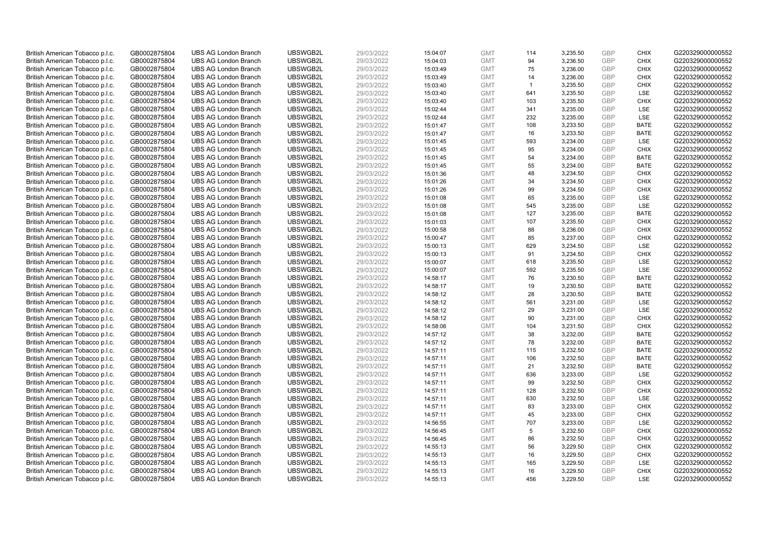| British American Tobacco p.l.c.                                    | GB0002875804                 | <b>UBS AG London Branch</b>                                | UBSWGB2L             | 29/03/2022               | 15:04:07             | <b>GMT</b>               | 114          | 3,235.50             | <b>GBP</b>               | <b>CHIX</b>                | G220329000000552                     |
|--------------------------------------------------------------------|------------------------------|------------------------------------------------------------|----------------------|--------------------------|----------------------|--------------------------|--------------|----------------------|--------------------------|----------------------------|--------------------------------------|
| British American Tobacco p.l.c.                                    | GB0002875804                 | <b>UBS AG London Branch</b>                                | UBSWGB2L             | 29/03/2022               | 15:04:03             | <b>GMT</b>               | 94           | 3,236.50             | GBP                      | CHIX                       | G220329000000552                     |
| British American Tobacco p.l.c.                                    | GB0002875804                 | <b>UBS AG London Branch</b>                                | UBSWGB2L             | 29/03/2022               | 15:03:49             | <b>GMT</b>               | 75           | 3,236.00             | GBP                      | <b>CHIX</b>                | G220329000000552                     |
| British American Tobacco p.l.c.                                    | GB0002875804                 | <b>UBS AG London Branch</b>                                | UBSWGB2L             | 29/03/2022               | 15:03:49             | <b>GMT</b>               | 14           | 3,236.00             | <b>GBP</b>               | <b>CHIX</b>                | G220329000000552                     |
| British American Tobacco p.l.c.                                    | GB0002875804                 | <b>UBS AG London Branch</b>                                | UBSWGB2L             | 29/03/2022               | 15:03:40             | <b>GMT</b>               | $\mathbf{1}$ | 3,235.50             | GBP                      | <b>CHIX</b>                | G220329000000552                     |
| British American Tobacco p.l.c.                                    | GB0002875804                 | <b>UBS AG London Branch</b>                                | UBSWGB2L             | 29/03/2022               | 15:03:40             | <b>GMT</b>               | 641          | 3,235.50             | <b>GBP</b>               | <b>LSE</b>                 | G220329000000552                     |
| British American Tobacco p.l.c.                                    | GB0002875804                 | <b>UBS AG London Branch</b>                                | UBSWGB2L             | 29/03/2022               | 15:03:40             | <b>GMT</b>               | 103          | 3,235.50             | GBP                      | <b>CHIX</b>                | G220329000000552                     |
| British American Tobacco p.l.c.                                    | GB0002875804                 | <b>UBS AG London Branch</b>                                | UBSWGB2L             | 29/03/2022               | 15:02:44             | <b>GMT</b>               | 341          | 3,235.00             | <b>GBP</b>               | <b>LSE</b>                 | G220329000000552                     |
| British American Tobacco p.l.c.                                    | GB0002875804                 | <b>UBS AG London Branch</b>                                | UBSWGB2L             | 29/03/2022               | 15:02:44             | <b>GMT</b>               | 232          | 3,235.00             | GBP                      | LSE                        | G220329000000552                     |
| British American Tobacco p.l.c.                                    | GB0002875804                 | <b>UBS AG London Branch</b>                                | UBSWGB2L             | 29/03/2022               | 15:01:47             | <b>GMT</b>               | 108          | 3,233.50             | <b>GBP</b>               | <b>BATE</b>                | G220329000000552                     |
| British American Tobacco p.l.c.                                    | GB0002875804                 | <b>UBS AG London Branch</b>                                | UBSWGB2L             | 29/03/2022               | 15:01:47             | <b>GMT</b>               | 16           | 3.233.50             | <b>GBP</b>               | <b>BATE</b>                | G220329000000552                     |
| British American Tobacco p.l.c.                                    | GB0002875804                 | <b>UBS AG London Branch</b>                                | UBSWGB2L             | 29/03/2022               | 15:01:45             | <b>GMT</b>               | 593          | 3,234.00             | <b>GBP</b>               | LSE                        | G220329000000552                     |
| British American Tobacco p.l.c.                                    | GB0002875804                 | <b>UBS AG London Branch</b>                                | UBSWGB2L             | 29/03/2022               | 15:01:45             | <b>GMT</b>               | 95           | 3,234.00             | <b>GBP</b>               | <b>CHIX</b>                | G220329000000552                     |
| British American Tobacco p.l.c.                                    | GB0002875804                 | <b>UBS AG London Branch</b>                                | UBSWGB2L             | 29/03/2022               | 15:01:45             | <b>GMT</b>               | 54           | 3,234.00             | <b>GBP</b>               | <b>BATE</b>                | G220329000000552                     |
| British American Tobacco p.l.c.                                    | GB0002875804                 | <b>UBS AG London Branch</b>                                | UBSWGB2L             | 29/03/2022               | 15:01:45             | <b>GMT</b>               | 55           | 3,234.00             | <b>GBP</b>               | <b>BATE</b>                | G220329000000552                     |
| British American Tobacco p.l.c.                                    | GB0002875804                 | <b>UBS AG London Branch</b>                                | UBSWGB2L             | 29/03/2022               | 15:01:36             | <b>GMT</b>               | 48           | 3,234.50             | <b>GBP</b><br>GBP        | <b>CHIX</b>                | G220329000000552                     |
| British American Tobacco p.l.c.                                    | GB0002875804                 | <b>UBS AG London Branch</b>                                | UBSWGB2L             | 29/03/2022               | 15:01:26             | <b>GMT</b>               | 34           | 3,234.50             |                          | <b>CHIX</b>                | G220329000000552                     |
| British American Tobacco p.l.c.                                    | GB0002875804                 | <b>UBS AG London Branch</b>                                | UBSWGB2L             | 29/03/2022               | 15:01:26             | <b>GMT</b>               | 99           | 3,234.50             | <b>GBP</b>               | <b>CHIX</b>                | G220329000000552                     |
| British American Tobacco p.l.c.                                    | GB0002875804                 | <b>UBS AG London Branch</b>                                | UBSWGB2L             | 29/03/2022               | 15:01:08             | <b>GMT</b>               | 65           | 3,235.00             | <b>GBP</b>               | <b>LSE</b>                 | G220329000000552                     |
| British American Tobacco p.l.c.                                    | GB0002875804                 | <b>UBS AG London Branch</b>                                | UBSWGB2L             | 29/03/2022               | 15:01:08             | <b>GMT</b>               | 545          | 3,235.00             | <b>GBP</b>               | LSE                        | G220329000000552                     |
| British American Tobacco p.l.c.                                    | GB0002875804                 | <b>UBS AG London Branch</b>                                | UBSWGB2L<br>UBSWGB2L | 29/03/2022               | 15:01:08             | <b>GMT</b>               | 127<br>107   | 3,235.00             | <b>GBP</b><br><b>GBP</b> | <b>BATE</b><br><b>CHIX</b> | G220329000000552<br>G220329000000552 |
| British American Tobacco p.l.c.                                    | GB0002875804                 | <b>UBS AG London Branch</b>                                |                      | 29/03/2022               | 15:01:03             | <b>GMT</b>               |              | 3,235.50             | <b>GBP</b>               |                            |                                      |
| British American Tobacco p.l.c.<br>British American Tobacco p.l.c. | GB0002875804<br>GB0002875804 | <b>UBS AG London Branch</b><br><b>UBS AG London Branch</b> | UBSWGB2L<br>UBSWGB2L | 29/03/2022<br>29/03/2022 | 15:00:58             | <b>GMT</b><br><b>GMT</b> | 88<br>85     | 3,236.00             | <b>GBP</b>               | <b>CHIX</b><br><b>CHIX</b> | G220329000000552<br>G220329000000552 |
|                                                                    |                              | <b>UBS AG London Branch</b>                                | UBSWGB2L             | 29/03/2022               | 15:00:47             |                          | 629          | 3,237.00<br>3,234.50 | <b>GBP</b>               | LSE                        | G220329000000552                     |
| British American Tobacco p.l.c.<br>British American Tobacco p.l.c. | GB0002875804<br>GB0002875804 | <b>UBS AG London Branch</b>                                | UBSWGB2L             | 29/03/2022               | 15:00:13<br>15:00:13 | <b>GMT</b><br><b>GMT</b> | 91           | 3,234.50             | GBP                      | <b>CHIX</b>                | G220329000000552                     |
| British American Tobacco p.l.c.                                    | GB0002875804                 | <b>UBS AG London Branch</b>                                | UBSWGB2L             | 29/03/2022               | 15:00:07             | <b>GMT</b>               | 618          | 3,235.50             | <b>GBP</b>               | <b>LSE</b>                 | G220329000000552                     |
| British American Tobacco p.l.c.                                    | GB0002875804                 | <b>UBS AG London Branch</b>                                | UBSWGB2L             | 29/03/2022               | 15:00:07             | <b>GMT</b>               | 592          | 3,235.50             | GBP                      | LSE                        | G220329000000552                     |
| British American Tobacco p.l.c.                                    | GB0002875804                 | <b>UBS AG London Branch</b>                                | UBSWGB2L             | 29/03/2022               | 14:58:17             | <b>GMT</b>               | 76           | 3,230.50             | <b>GBP</b>               | <b>BATE</b>                | G220329000000552                     |
| British American Tobacco p.l.c.                                    | GB0002875804                 | <b>UBS AG London Branch</b>                                | UBSWGB2L             | 29/03/2022               | 14:58:17             | <b>GMT</b>               | 19           | 3,230.50             | <b>GBP</b>               | <b>BATE</b>                | G220329000000552                     |
| British American Tobacco p.l.c.                                    | GB0002875804                 | <b>UBS AG London Branch</b>                                | UBSWGB2L             | 29/03/2022               | 14:58:12             | <b>GMT</b>               | 28           | 3,230.50             | <b>GBP</b>               | <b>BATE</b>                | G220329000000552                     |
| British American Tobacco p.l.c.                                    | GB0002875804                 | <b>UBS AG London Branch</b>                                | UBSWGB2L             | 29/03/2022               | 14:58:12             | <b>GMT</b>               | 561          | 3,231.00             | <b>GBP</b>               | <b>LSE</b>                 | G220329000000552                     |
| British American Tobacco p.l.c.                                    | GB0002875804                 | <b>UBS AG London Branch</b>                                | UBSWGB2L             | 29/03/2022               | 14:58:12             | <b>GMT</b>               | 29           | 3,231.00             | <b>GBP</b>               | LSE                        | G220329000000552                     |
| British American Tobacco p.l.c.                                    | GB0002875804                 | <b>UBS AG London Branch</b>                                | UBSWGB2L             | 29/03/2022               | 14:58:12             | <b>GMT</b>               | 90           | 3,231.00             | <b>GBP</b>               | <b>CHIX</b>                | G220329000000552                     |
| British American Tobacco p.l.c.                                    | GB0002875804                 | <b>UBS AG London Branch</b>                                | UBSWGB2L             | 29/03/2022               | 14:58:06             | <b>GMT</b>               | 104          | 3,231.50             | GBP                      | <b>CHIX</b>                | G220329000000552                     |
| British American Tobacco p.l.c.                                    | GB0002875804                 | <b>UBS AG London Branch</b>                                | UBSWGB2L             | 29/03/2022               | 14:57:12             | <b>GMT</b>               | 38           | 3,232.00             | <b>GBP</b>               | <b>BATE</b>                | G220329000000552                     |
| British American Tobacco p.l.c.                                    | GB0002875804                 | <b>UBS AG London Branch</b>                                | UBSWGB2L             | 29/03/2022               | 14:57:12             | <b>GMT</b>               | 78           | 3,232.00             | GBP                      | <b>BATE</b>                | G220329000000552                     |
| British American Tobacco p.l.c.                                    | GB0002875804                 | <b>UBS AG London Branch</b>                                | UBSWGB2L             | 29/03/2022               | 14:57:11             | <b>GMT</b>               | 115          | 3,232.50             | <b>GBP</b>               | <b>BATE</b>                | G220329000000552                     |
| British American Tobacco p.l.c.                                    | GB0002875804                 | <b>UBS AG London Branch</b>                                | UBSWGB2L             | 29/03/2022               | 14:57:11             | <b>GMT</b>               | 106          | 3,232.50             | GBP                      | <b>BATE</b>                | G220329000000552                     |
| British American Tobacco p.l.c.                                    | GB0002875804                 | <b>UBS AG London Branch</b>                                | UBSWGB2L             | 29/03/2022               | 14:57:11             | <b>GMT</b>               | 21           | 3,232.50             | <b>GBP</b>               | <b>BATE</b>                | G220329000000552                     |
| British American Tobacco p.l.c.                                    | GB0002875804                 | <b>UBS AG London Branch</b>                                | UBSWGB2L             | 29/03/2022               | 14:57:11             | <b>GMT</b>               | 636          | 3,233.00             | GBP                      | LSE                        | G220329000000552                     |
| British American Tobacco p.l.c.                                    | GB0002875804                 | <b>UBS AG London Branch</b>                                | UBSWGB2L             | 29/03/2022               | 14:57:11             | <b>GMT</b>               | 99           | 3,232.50             | <b>GBP</b>               | <b>CHIX</b>                | G220329000000552                     |
| British American Tobacco p.l.c.                                    | GB0002875804                 | <b>UBS AG London Branch</b>                                | UBSWGB2L             | 29/03/2022               | 14:57:11             | <b>GMT</b>               | 128          | 3,232.50             | <b>GBP</b>               | <b>CHIX</b>                | G220329000000552                     |
| British American Tobacco p.l.c.                                    | GB0002875804                 | <b>UBS AG London Branch</b>                                | UBSWGB2L             | 29/03/2022               | 14:57:11             | <b>GMT</b>               | 630          | 3,232.50             | <b>GBP</b>               | LSE                        | G220329000000552                     |
| British American Tobacco p.l.c.                                    | GB0002875804                 | <b>UBS AG London Branch</b>                                | UBSWGB2L             | 29/03/2022               | 14:57:11             | <b>GMT</b>               | 83           | 3,233.00             | GBP                      | <b>CHIX</b>                | G220329000000552                     |
| British American Tobacco p.l.c.                                    | GB0002875804                 | <b>UBS AG London Branch</b>                                | UBSWGB2L             | 29/03/2022               | 14:57:11             | <b>GMT</b>               | 45           | 3,233.00             | <b>GBP</b>               | <b>CHIX</b>                | G220329000000552                     |
| British American Tobacco p.l.c.                                    | GB0002875804                 | <b>UBS AG London Branch</b>                                | UBSWGB2L             | 29/03/2022               | 14:56:55             | <b>GMT</b>               | 707          | 3,233.00             | <b>GBP</b>               | LSE                        | G220329000000552                     |
| British American Tobacco p.l.c.                                    | GB0002875804                 | <b>UBS AG London Branch</b>                                | UBSWGB2L             | 29/03/2022               | 14:56:45             | <b>GMT</b>               | 5            | 3,232.50             | GBP                      | <b>CHIX</b>                | G220329000000552                     |
| British American Tobacco p.l.c.                                    | GB0002875804                 | <b>UBS AG London Branch</b>                                | UBSWGB2L             | 29/03/2022               | 14:56:45             | <b>GMT</b>               | 86           | 3,232.50             | <b>GBP</b>               | <b>CHIX</b>                | G220329000000552                     |
| British American Tobacco p.l.c.                                    | GB0002875804                 | <b>UBS AG London Branch</b>                                | UBSWGB2L             | 29/03/2022               | 14:55:13             | <b>GMT</b>               | 56           | 3,229.50             | GBP                      | <b>CHIX</b>                | G220329000000552                     |
| British American Tobacco p.l.c.                                    | GB0002875804                 | <b>UBS AG London Branch</b>                                | UBSWGB2L             | 29/03/2022               | 14:55:13             | <b>GMT</b>               | 16           | 3,229.50             | <b>GBP</b>               | <b>CHIX</b>                | G220329000000552                     |
| British American Tobacco p.l.c.                                    | GB0002875804                 | <b>UBS AG London Branch</b>                                | UBSWGB2L             | 29/03/2022               | 14:55:13             | <b>GMT</b>               | 165          | 3,229.50             | <b>GBP</b>               | LSE                        | G220329000000552                     |
| British American Tobacco p.l.c.                                    | GB0002875804                 | <b>UBS AG London Branch</b>                                | UBSWGB2L             | 29/03/2022               | 14:55:13             | <b>GMT</b>               | 16           | 3,229.50             | <b>GBP</b>               | <b>CHIX</b>                | G220329000000552                     |
| British American Tobacco p.l.c.                                    | GB0002875804                 | <b>UBS AG London Branch</b>                                | UBSWGB2L             | 29/03/2022               | 14:55:13             | <b>GMT</b>               | 456          | 3.229.50             | GBP                      | <b>LSE</b>                 | G220329000000552                     |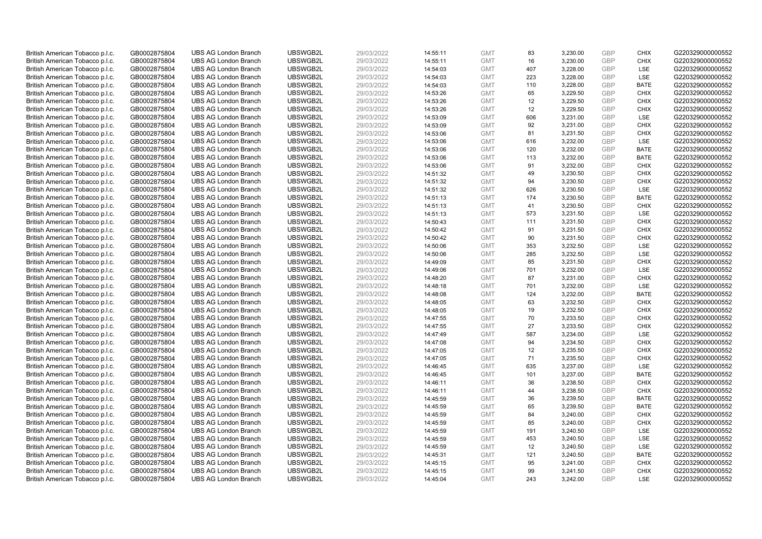| British American Tobacco p.l.c. | GB0002875804 | <b>UBS AG London Branch</b> | UBSWGB2L             | 29/03/2022 |          | <b>GMT</b> | 83       | 3,230.00 | <b>GBP</b> | <b>CHIX</b>                | G220329000000552                     |
|---------------------------------|--------------|-----------------------------|----------------------|------------|----------|------------|----------|----------|------------|----------------------------|--------------------------------------|
|                                 |              |                             |                      |            | 14:55:11 |            |          |          |            |                            |                                      |
| British American Tobacco p.l.c. | GB0002875804 | <b>UBS AG London Branch</b> | UBSWGB2L             | 29/03/2022 | 14:55:11 | <b>GMT</b> | 16       | 3,230.00 | GBP        | <b>CHIX</b>                | G220329000000552                     |
| British American Tobacco p.l.c. | GB0002875804 | <b>UBS AG London Branch</b> | UBSWGB2L             | 29/03/2022 | 14:54:03 | <b>GMT</b> | 407      | 3,228.00 | <b>GBP</b> | LSE                        | G220329000000552                     |
| British American Tobacco p.l.c. | GB0002875804 | <b>UBS AG London Branch</b> | UBSWGB2L             | 29/03/2022 | 14:54:03 | <b>GMT</b> | 223      | 3,228.00 | <b>GBP</b> | LSE                        | G220329000000552                     |
| British American Tobacco p.l.c. | GB0002875804 | <b>UBS AG London Branch</b> | UBSWGB2L             | 29/03/2022 | 14:54:03 | <b>GMT</b> | 110      | 3,228.00 | <b>GBP</b> | <b>BATE</b>                | G220329000000552                     |
| British American Tobacco p.l.c. | GB0002875804 | <b>UBS AG London Branch</b> | UBSWGB2L             | 29/03/2022 | 14:53:26 | <b>GMT</b> | 65       | 3,229.50 | <b>GBP</b> | <b>CHIX</b>                | G220329000000552                     |
| British American Tobacco p.l.c. | GB0002875804 | <b>UBS AG London Branch</b> | UBSWGB2L             | 29/03/2022 | 14:53:26 | <b>GMT</b> | 12       | 3,229.50 | <b>GBP</b> | <b>CHIX</b>                | G220329000000552                     |
| British American Tobacco p.l.c. | GB0002875804 | <b>UBS AG London Branch</b> | UBSWGB2L             | 29/03/2022 | 14:53:26 | <b>GMT</b> | 12       | 3,229.50 | <b>GBP</b> | <b>CHIX</b>                | G220329000000552                     |
| British American Tobacco p.l.c. | GB0002875804 | <b>UBS AG London Branch</b> | UBSWGB2L             | 29/03/2022 | 14:53:09 | <b>GMT</b> | 606      | 3,231.00 | <b>GBP</b> | LSE                        | G220329000000552                     |
| British American Tobacco p.l.c. | GB0002875804 | <b>UBS AG London Branch</b> | UBSWGB2L             | 29/03/2022 | 14:53:09 | <b>GMT</b> | 92       | 3,231.00 | <b>GBP</b> | <b>CHIX</b>                | G220329000000552                     |
| British American Tobacco p.l.c. | GB0002875804 | <b>UBS AG London Branch</b> | UBSWGB2L             | 29/03/2022 | 14:53:06 | <b>GMT</b> | 81       | 3,231.50 | <b>GBP</b> | <b>CHIX</b>                | G220329000000552                     |
| British American Tobacco p.l.c. | GB0002875804 | <b>UBS AG London Branch</b> | UBSWGB2L             | 29/03/2022 | 14:53:06 | <b>GMT</b> | 616      | 3,232.00 | <b>GBP</b> | LSE                        | G220329000000552                     |
| British American Tobacco p.l.c. | GB0002875804 | <b>UBS AG London Branch</b> | UBSWGB2L             | 29/03/2022 | 14:53:06 | <b>GMT</b> | 120      | 3,232.00 | <b>GBP</b> | <b>BATE</b>                | G220329000000552                     |
| British American Tobacco p.l.c. | GB0002875804 | <b>UBS AG London Branch</b> | UBSWGB2L             | 29/03/2022 | 14:53:06 | <b>GMT</b> | 113      | 3,232.00 | <b>GBP</b> | <b>BATE</b>                | G220329000000552                     |
| British American Tobacco p.l.c. | GB0002875804 | <b>UBS AG London Branch</b> | UBSWGB2L             | 29/03/2022 | 14:53:06 | <b>GMT</b> | 91       | 3,232.00 | <b>GBP</b> | <b>CHIX</b>                | G220329000000552                     |
| British American Tobacco p.l.c. | GB0002875804 | <b>UBS AG London Branch</b> | UBSWGB2L             | 29/03/2022 | 14:51:32 | <b>GMT</b> | 49       | 3,230.50 | <b>GBP</b> | <b>CHIX</b>                | G220329000000552                     |
| British American Tobacco p.l.c. | GB0002875804 | <b>UBS AG London Branch</b> | UBSWGB2L             | 29/03/2022 | 14:51:32 | <b>GMT</b> | 94       | 3,230.50 | <b>GBP</b> | <b>CHIX</b>                | G220329000000552                     |
| British American Tobacco p.l.c. | GB0002875804 | <b>UBS AG London Branch</b> | UBSWGB2L             | 29/03/2022 | 14:51:32 | <b>GMT</b> | 626      | 3,230.50 | <b>GBP</b> | LSE                        | G220329000000552                     |
| British American Tobacco p.l.c. | GB0002875804 | <b>UBS AG London Branch</b> | UBSWGB2L             | 29/03/2022 | 14:51:13 | <b>GMT</b> | 174      | 3,230.50 | <b>GBP</b> | <b>BATE</b>                | G220329000000552                     |
| British American Tobacco p.l.c. | GB0002875804 | <b>UBS AG London Branch</b> | UBSWGB2L             | 29/03/2022 | 14:51:13 | <b>GMT</b> | 41       | 3,230.50 | <b>GBP</b> | <b>CHIX</b>                | G220329000000552                     |
| British American Tobacco p.l.c. | GB0002875804 | <b>UBS AG London Branch</b> | UBSWGB2L             | 29/03/2022 | 14:51:13 | <b>GMT</b> | 573      | 3,231.50 | <b>GBP</b> | LSE                        | G220329000000552                     |
| British American Tobacco p.l.c. | GB0002875804 | <b>UBS AG London Branch</b> | UBSWGB2L             | 29/03/2022 | 14:50:43 | <b>GMT</b> | 111      | 3,231.50 | <b>GBP</b> | <b>CHIX</b>                | G220329000000552                     |
| British American Tobacco p.l.c. | GB0002875804 | <b>UBS AG London Branch</b> | UBSWGB2L             | 29/03/2022 | 14:50:42 | <b>GMT</b> | 91       | 3,231.50 | <b>GBP</b> | <b>CHIX</b>                | G220329000000552                     |
| British American Tobacco p.l.c. | GB0002875804 | <b>UBS AG London Branch</b> | UBSWGB2L             | 29/03/2022 | 14:50:42 | <b>GMT</b> | 90       | 3,231.50 | <b>GBP</b> | <b>CHIX</b>                | G220329000000552                     |
| British American Tobacco p.l.c. | GB0002875804 | <b>UBS AG London Branch</b> | UBSWGB2L             | 29/03/2022 | 14:50:06 | <b>GMT</b> | 353      | 3,232.50 | <b>GBP</b> | LSE                        | G220329000000552                     |
| British American Tobacco p.l.c. | GB0002875804 | <b>UBS AG London Branch</b> | UBSWGB2L             | 29/03/2022 | 14:50:06 | <b>GMT</b> | 285      | 3,232.50 | <b>GBP</b> | LSE                        | G220329000000552                     |
| British American Tobacco p.l.c. | GB0002875804 | <b>UBS AG London Branch</b> | UBSWGB2L             | 29/03/2022 | 14:49:09 | <b>GMT</b> | 85       | 3,231.50 | <b>GBP</b> | <b>CHIX</b>                | G220329000000552                     |
| British American Tobacco p.l.c. | GB0002875804 | <b>UBS AG London Branch</b> | UBSWGB2L             | 29/03/2022 | 14:49:06 | <b>GMT</b> | 701      | 3,232.00 | <b>GBP</b> | <b>LSE</b>                 | G220329000000552                     |
| British American Tobacco p.l.c. | GB0002875804 | <b>UBS AG London Branch</b> | UBSWGB2L             | 29/03/2022 | 14:48:20 | <b>GMT</b> | 87       | 3,231.00 | <b>GBP</b> | <b>CHIX</b>                | G220329000000552                     |
| British American Tobacco p.l.c. | GB0002875804 | <b>UBS AG London Branch</b> | UBSWGB2L             | 29/03/2022 | 14:48:18 | <b>GMT</b> | 701      | 3,232.00 | <b>GBP</b> | LSE                        | G220329000000552                     |
| British American Tobacco p.l.c. | GB0002875804 | <b>UBS AG London Branch</b> | UBSWGB2L             | 29/03/2022 | 14:48:08 | <b>GMT</b> | 124      | 3,232.00 | <b>GBP</b> | <b>BATE</b>                | G220329000000552                     |
| British American Tobacco p.l.c. | GB0002875804 | <b>UBS AG London Branch</b> | UBSWGB2L             | 29/03/2022 | 14:48:05 | <b>GMT</b> | 63       | 3,232.50 | <b>GBP</b> | <b>CHIX</b>                | G220329000000552                     |
| British American Tobacco p.l.c. | GB0002875804 | <b>UBS AG London Branch</b> | UBSWGB2L             | 29/03/2022 | 14:48:05 | <b>GMT</b> | 19       | 3,232.50 | <b>GBP</b> | <b>CHIX</b>                | G220329000000552                     |
| British American Tobacco p.l.c. | GB0002875804 | <b>UBS AG London Branch</b> | UBSWGB2L             | 29/03/2022 | 14:47:55 | <b>GMT</b> | 70       | 3,233.50 | <b>GBP</b> | <b>CHIX</b>                | G220329000000552                     |
| British American Tobacco p.l.c. | GB0002875804 | <b>UBS AG London Branch</b> | UBSWGB2L             | 29/03/2022 | 14:47:55 | <b>GMT</b> | 27       | 3,233.50 | <b>GBP</b> | <b>CHIX</b>                | G220329000000552                     |
| British American Tobacco p.l.c. | GB0002875804 | <b>UBS AG London Branch</b> | UBSWGB2L             | 29/03/2022 | 14:47:49 | <b>GMT</b> | 587      | 3,234.00 | <b>GBP</b> | LSE                        | G220329000000552                     |
| British American Tobacco p.l.c. |              | <b>UBS AG London Branch</b> | UBSWGB2L             | 29/03/2022 |          | <b>GMT</b> | 94       |          | <b>GBP</b> | <b>CHIX</b>                | G220329000000552                     |
|                                 | GB0002875804 |                             |                      |            | 14:47:08 |            |          | 3,234.50 |            |                            |                                      |
| British American Tobacco p.l.c. | GB0002875804 | <b>UBS AG London Branch</b> | UBSWGB2L<br>UBSWGB2L | 29/03/2022 | 14:47:05 | <b>GMT</b> | 12<br>71 | 3,235.50 | <b>GBP</b> | <b>CHIX</b><br><b>CHIX</b> | G220329000000552<br>G220329000000552 |
| British American Tobacco p.l.c. | GB0002875804 | <b>UBS AG London Branch</b> |                      | 29/03/2022 | 14:47:05 | <b>GMT</b> |          | 3,235.50 | <b>GBP</b> |                            |                                      |
| British American Tobacco p.l.c. | GB0002875804 | <b>UBS AG London Branch</b> | UBSWGB2L             | 29/03/2022 | 14:46:45 | <b>GMT</b> | 635      | 3,237.00 | <b>GBP</b> | <b>LSE</b>                 | G220329000000552                     |
| British American Tobacco p.l.c. | GB0002875804 | <b>UBS AG London Branch</b> | UBSWGB2L             | 29/03/2022 | 14:46:45 | <b>GMT</b> | 101      | 3,237.00 | <b>GBP</b> | <b>BATE</b>                | G220329000000552                     |
| British American Tobacco p.l.c. | GB0002875804 | <b>UBS AG London Branch</b> | UBSWGB2L             | 29/03/2022 | 14:46:11 | <b>GMT</b> | 36       | 3,238.50 | <b>GBP</b> | <b>CHIX</b>                | G220329000000552                     |
| British American Tobacco p.l.c. | GB0002875804 | <b>UBS AG London Branch</b> | UBSWGB2L             | 29/03/2022 | 14:46:11 | <b>GMT</b> | 44       | 3,238.50 | <b>GBP</b> | <b>CHIX</b>                | G220329000000552                     |
| British American Tobacco p.l.c. | GB0002875804 | <b>UBS AG London Branch</b> | UBSWGB2L             | 29/03/2022 | 14:45:59 | <b>GMT</b> | 36       | 3,239.50 | <b>GBP</b> | <b>BATE</b>                | G220329000000552                     |
| British American Tobacco p.l.c. | GB0002875804 | <b>UBS AG London Branch</b> | UBSWGB2L             | 29/03/2022 | 14:45:59 | <b>GMT</b> | 65       | 3,239.50 | <b>GBP</b> | <b>BATE</b>                | G220329000000552                     |
| British American Tobacco p.l.c. | GB0002875804 | <b>UBS AG London Branch</b> | UBSWGB2L             | 29/03/2022 | 14:45:59 | <b>GMT</b> | 84       | 3,240.00 | <b>GBP</b> | <b>CHIX</b>                | G220329000000552                     |
| British American Tobacco p.l.c. | GB0002875804 | <b>UBS AG London Branch</b> | UBSWGB2L             | 29/03/2022 | 14:45:59 | <b>GMT</b> | 85       | 3,240.00 | <b>GBP</b> | <b>CHIX</b>                | G220329000000552                     |
| British American Tobacco p.l.c. | GB0002875804 | <b>UBS AG London Branch</b> | UBSWGB2L             | 29/03/2022 | 14:45:59 | <b>GMT</b> | 191      | 3,240.50 | <b>GBP</b> | LSE                        | G220329000000552                     |
| British American Tobacco p.l.c. | GB0002875804 | <b>UBS AG London Branch</b> | UBSWGB2L             | 29/03/2022 | 14:45:59 | <b>GMT</b> | 453      | 3,240.50 | <b>GBP</b> | LSE                        | G220329000000552                     |
| British American Tobacco p.l.c. | GB0002875804 | <b>UBS AG London Branch</b> | UBSWGB2L             | 29/03/2022 | 14:45:59 | <b>GMT</b> | 12       | 3,240.50 | <b>GBP</b> | <b>LSE</b>                 | G220329000000552                     |
| British American Tobacco p.l.c. | GB0002875804 | <b>UBS AG London Branch</b> | UBSWGB2L             | 29/03/2022 | 14:45:31 | <b>GMT</b> | 121      | 3,240.50 | <b>GBP</b> | <b>BATE</b>                | G220329000000552                     |
| British American Tobacco p.l.c. | GB0002875804 | <b>UBS AG London Branch</b> | UBSWGB2L             | 29/03/2022 | 14:45:15 | <b>GMT</b> | 95       | 3,241.00 | <b>GBP</b> | <b>CHIX</b>                | G220329000000552                     |
| British American Tobacco p.l.c. | GB0002875804 | <b>UBS AG London Branch</b> | UBSWGB2L             | 29/03/2022 | 14:45:15 | <b>GMT</b> | 99       | 3,241.50 | <b>GBP</b> | <b>CHIX</b>                | G220329000000552                     |
| British American Tobacco p.l.c. | GB0002875804 | <b>UBS AG London Branch</b> | UBSWGB2L             | 29/03/2022 | 14:45:04 | <b>GMT</b> | 243      | 3.242.00 | GBP        | <b>LSE</b>                 | G220329000000552                     |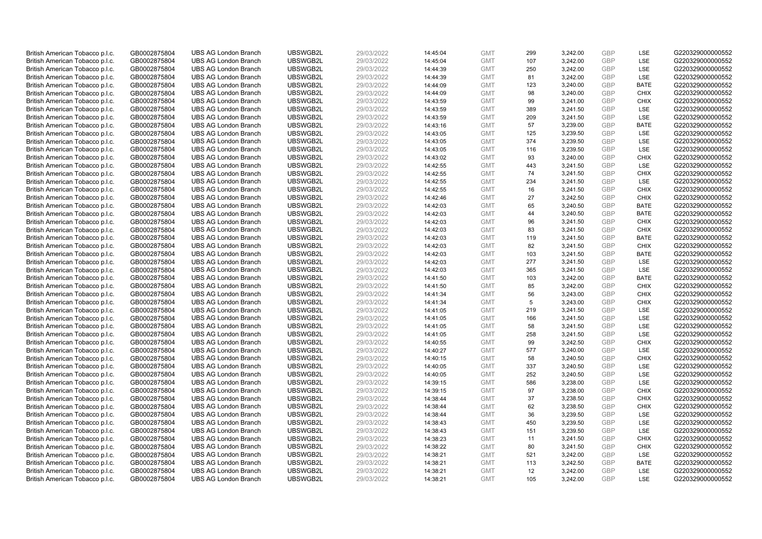| British American Tobacco p.l.c. | GB0002875804 | <b>UBS AG London Branch</b> | UBSWGB2L             | 29/03/2022 | 14:45:04 | <b>GMT</b> | 299       | 3,242.00 | <b>GBP</b> | LSE                | G220329000000552                     |
|---------------------------------|--------------|-----------------------------|----------------------|------------|----------|------------|-----------|----------|------------|--------------------|--------------------------------------|
|                                 |              |                             |                      |            |          |            | 107       |          | GBP        | <b>LSE</b>         |                                      |
| British American Tobacco p.l.c. | GB0002875804 | <b>UBS AG London Branch</b> | UBSWGB2L             | 29/03/2022 | 14:45:04 | <b>GMT</b> |           | 3,242.00 |            |                    | G220329000000552                     |
| British American Tobacco p.l.c. | GB0002875804 | <b>UBS AG London Branch</b> | UBSWGB2L             | 29/03/2022 | 14:44:39 | <b>GMT</b> | 250       | 3,242.00 | <b>GBP</b> | LSE                | G220329000000552                     |
| British American Tobacco p.l.c. | GB0002875804 | <b>UBS AG London Branch</b> | UBSWGB2L             | 29/03/2022 | 14:44:39 | <b>GMT</b> | 81        | 3,242.00 | <b>GBP</b> | LSE                | G220329000000552                     |
| British American Tobacco p.l.c. | GB0002875804 | <b>UBS AG London Branch</b> | UBSWGB2L             | 29/03/2022 | 14:44:09 | <b>GMT</b> | 123       | 3,240.00 | <b>GBP</b> | <b>BATE</b>        | G220329000000552                     |
| British American Tobacco p.l.c. | GB0002875804 | <b>UBS AG London Branch</b> | UBSWGB2L             | 29/03/2022 | 14:44:09 | <b>GMT</b> | 98        | 3,240.00 | <b>GBP</b> | <b>CHIX</b>        | G220329000000552                     |
| British American Tobacco p.l.c. | GB0002875804 | <b>UBS AG London Branch</b> | UBSWGB2L             | 29/03/2022 | 14:43:59 | <b>GMT</b> | 99        | 3,241.00 | <b>GBP</b> | <b>CHIX</b>        | G220329000000552                     |
| British American Tobacco p.l.c. | GB0002875804 | <b>UBS AG London Branch</b> | UBSWGB2L             | 29/03/2022 | 14:43:59 | <b>GMT</b> | 389       | 3,241.50 | <b>GBP</b> | LSE                | G220329000000552                     |
| British American Tobacco p.l.c. | GB0002875804 | <b>UBS AG London Branch</b> | UBSWGB2L             | 29/03/2022 | 14:43:59 | <b>GMT</b> | 209       | 3,241.50 | <b>GBP</b> | LSE                | G220329000000552                     |
| British American Tobacco p.l.c. | GB0002875804 | <b>UBS AG London Branch</b> | UBSWGB2L             | 29/03/2022 | 14:43:16 | <b>GMT</b> | 57        | 3,239.00 | <b>GBP</b> | <b>BATE</b>        | G220329000000552                     |
| British American Tobacco p.l.c. | GB0002875804 | <b>UBS AG London Branch</b> | UBSWGB2L             | 29/03/2022 | 14:43:05 | <b>GMT</b> | 125       | 3,239.50 | <b>GBP</b> | <b>LSE</b>         | G220329000000552                     |
| British American Tobacco p.l.c. | GB0002875804 | <b>UBS AG London Branch</b> | UBSWGB2L             | 29/03/2022 | 14:43:05 | <b>GMT</b> | 374       | 3,239.50 | <b>GBP</b> | LSE                | G220329000000552                     |
| British American Tobacco p.l.c. | GB0002875804 | <b>UBS AG London Branch</b> | UBSWGB2L             | 29/03/2022 | 14:43:05 | <b>GMT</b> | 116       | 3,239.50 | <b>GBP</b> | LSE                | G220329000000552                     |
| British American Tobacco p.l.c. | GB0002875804 | <b>UBS AG London Branch</b> | UBSWGB2L             | 29/03/2022 | 14:43:02 | <b>GMT</b> | 93        | 3,240.00 | <b>GBP</b> | <b>CHIX</b>        | G220329000000552                     |
| British American Tobacco p.l.c. | GB0002875804 | <b>UBS AG London Branch</b> | UBSWGB2L             | 29/03/2022 | 14:42:55 | <b>GMT</b> | 443       | 3,241.50 | <b>GBP</b> | LSE                | G220329000000552                     |
| British American Tobacco p.l.c. | GB0002875804 | <b>UBS AG London Branch</b> | UBSWGB2L             | 29/03/2022 | 14:42:55 | <b>GMT</b> | 74        | 3,241.50 | <b>GBP</b> | <b>CHIX</b>        | G220329000000552                     |
| British American Tobacco p.l.c. | GB0002875804 | <b>UBS AG London Branch</b> | UBSWGB2L             | 29/03/2022 | 14:42:55 | <b>GMT</b> | 234       | 3,241.50 | <b>GBP</b> | LSE                | G220329000000552                     |
| British American Tobacco p.l.c. | GB0002875804 | <b>UBS AG London Branch</b> | UBSWGB2L             | 29/03/2022 | 14:42:55 | <b>GMT</b> | 16        | 3,241.50 | <b>GBP</b> | <b>CHIX</b>        | G220329000000552                     |
| British American Tobacco p.l.c. | GB0002875804 | <b>UBS AG London Branch</b> | UBSWGB2L             | 29/03/2022 | 14:42:46 | <b>GMT</b> | 27        | 3,242.50 | <b>GBP</b> | <b>CHIX</b>        | G220329000000552                     |
| British American Tobacco p.l.c. | GB0002875804 | <b>UBS AG London Branch</b> | UBSWGB2L             | 29/03/2022 | 14:42:03 | <b>GMT</b> | 65        | 3,240.50 | <b>GBP</b> | <b>BATE</b>        | G220329000000552                     |
| British American Tobacco p.l.c. | GB0002875804 | <b>UBS AG London Branch</b> | UBSWGB2L             | 29/03/2022 | 14:42:03 | <b>GMT</b> | 44        | 3,240.50 | <b>GBP</b> | <b>BATE</b>        | G220329000000552                     |
| British American Tobacco p.l.c. | GB0002875804 | <b>UBS AG London Branch</b> | UBSWGB2L             | 29/03/2022 | 14:42:03 | <b>GMT</b> | 96        | 3,241.50 | <b>GBP</b> | <b>CHIX</b>        | G220329000000552                     |
| British American Tobacco p.l.c. | GB0002875804 | <b>UBS AG London Branch</b> | UBSWGB2L             | 29/03/2022 | 14:42:03 | <b>GMT</b> | 83        | 3,241.50 | <b>GBP</b> | <b>CHIX</b>        | G220329000000552                     |
| British American Tobacco p.l.c. | GB0002875804 | <b>UBS AG London Branch</b> | UBSWGB2L             | 29/03/2022 | 14:42:03 | <b>GMT</b> | 119       | 3,241.50 | <b>GBP</b> | <b>BATE</b>        | G220329000000552                     |
| British American Tobacco p.l.c. | GB0002875804 | <b>UBS AG London Branch</b> | UBSWGB2L             | 29/03/2022 | 14:42:03 | <b>GMT</b> | 82        | 3,241.50 | <b>GBP</b> | <b>CHIX</b>        | G220329000000552                     |
| British American Tobacco p.l.c. | GB0002875804 | <b>UBS AG London Branch</b> | UBSWGB2L             | 29/03/2022 | 14:42:03 | <b>GMT</b> | 103       | 3,241.50 | <b>GBP</b> | <b>BATE</b>        | G220329000000552                     |
| British American Tobacco p.l.c. | GB0002875804 | <b>UBS AG London Branch</b> | UBSWGB2L             | 29/03/2022 | 14:42:03 | <b>GMT</b> | 277       | 3,241.50 | <b>GBP</b> | LSE                | G220329000000552                     |
| British American Tobacco p.l.c. | GB0002875804 | <b>UBS AG London Branch</b> | UBSWGB2L             | 29/03/2022 | 14:42:03 | <b>GMT</b> | 365       | 3,241.50 | <b>GBP</b> | LSE                | G220329000000552                     |
| British American Tobacco p.l.c. | GB0002875804 | <b>UBS AG London Branch</b> | UBSWGB2L             | 29/03/2022 | 14:41:50 | <b>GMT</b> | 103       | 3,242.00 | <b>GBP</b> | <b>BATE</b>        | G220329000000552                     |
| British American Tobacco p.l.c. | GB0002875804 | <b>UBS AG London Branch</b> | UBSWGB2L             | 29/03/2022 | 14:41:50 | <b>GMT</b> | 85        | 3,242.00 | <b>GBP</b> | <b>CHIX</b>        | G220329000000552                     |
| British American Tobacco p.l.c. | GB0002875804 | <b>UBS AG London Branch</b> | UBSWGB2L             | 29/03/2022 | 14:41:34 | <b>GMT</b> | 56        | 3,243.00 | <b>GBP</b> | <b>CHIX</b>        | G220329000000552                     |
| British American Tobacco p.l.c. | GB0002875804 | <b>UBS AG London Branch</b> | UBSWGB2L             | 29/03/2022 | 14:41:34 | <b>GMT</b> | 5         | 3,243.00 | <b>GBP</b> | <b>CHIX</b>        | G220329000000552                     |
| British American Tobacco p.l.c. | GB0002875804 | <b>UBS AG London Branch</b> | UBSWGB2L             | 29/03/2022 | 14:41:05 | <b>GMT</b> | 219       | 3,241.50 | <b>GBP</b> | LSE                | G220329000000552                     |
| British American Tobacco p.l.c. | GB0002875804 | <b>UBS AG London Branch</b> | UBSWGB2L             | 29/03/2022 | 14:41:05 | <b>GMT</b> | 166       | 3,241.50 | <b>GBP</b> | LSE                | G220329000000552                     |
| British American Tobacco p.l.c. | GB0002875804 | <b>UBS AG London Branch</b> | UBSWGB2L             | 29/03/2022 | 14:41:05 | <b>GMT</b> | 58        | 3,241.50 | <b>GBP</b> | LSE                | G220329000000552                     |
| British American Tobacco p.l.c. | GB0002875804 | <b>UBS AG London Branch</b> | UBSWGB2L             | 29/03/2022 |          | <b>GMT</b> | 258       |          | <b>GBP</b> | LSE                | G220329000000552                     |
| British American Tobacco p.l.c. |              | <b>UBS AG London Branch</b> | UBSWGB2L             | 29/03/2022 | 14:41:05 | <b>GMT</b> | 99        | 3,241.50 | <b>GBP</b> | <b>CHIX</b>        | G220329000000552                     |
|                                 | GB0002875804 |                             |                      |            | 14:40:55 |            |           | 3,242.50 |            |                    |                                      |
| British American Tobacco p.l.c. | GB0002875804 | <b>UBS AG London Branch</b> | UBSWGB2L<br>UBSWGB2L | 29/03/2022 | 14:40:27 | <b>GMT</b> | 577<br>58 | 3,240.00 | <b>GBP</b> | LSE<br><b>CHIX</b> | G220329000000552<br>G220329000000552 |
| British American Tobacco p.l.c. | GB0002875804 | <b>UBS AG London Branch</b> |                      | 29/03/2022 | 14:40:15 | <b>GMT</b> |           | 3,240.50 | <b>GBP</b> |                    |                                      |
| British American Tobacco p.l.c. | GB0002875804 | <b>UBS AG London Branch</b> | UBSWGB2L             | 29/03/2022 | 14:40:05 | <b>GMT</b> | 337       | 3,240.50 | <b>GBP</b> | LSE                | G220329000000552                     |
| British American Tobacco p.l.c. | GB0002875804 | <b>UBS AG London Branch</b> | UBSWGB2L             | 29/03/2022 | 14:40:05 | <b>GMT</b> | 252       | 3,240.50 | <b>GBP</b> | LSE                | G220329000000552                     |
| British American Tobacco p.l.c. | GB0002875804 | <b>UBS AG London Branch</b> | UBSWGB2L             | 29/03/2022 | 14:39:15 | <b>GMT</b> | 586       | 3,238.00 | <b>GBP</b> | LSE                | G220329000000552                     |
| British American Tobacco p.l.c. | GB0002875804 | <b>UBS AG London Branch</b> | UBSWGB2L             | 29/03/2022 | 14:39:15 | <b>GMT</b> | 97        | 3,238.00 | <b>GBP</b> | <b>CHIX</b>        | G220329000000552                     |
| British American Tobacco p.l.c. | GB0002875804 | <b>UBS AG London Branch</b> | UBSWGB2L             | 29/03/2022 | 14:38:44 | <b>GMT</b> | 37        | 3,238.50 | <b>GBP</b> | <b>CHIX</b>        | G220329000000552                     |
| British American Tobacco p.l.c. | GB0002875804 | <b>UBS AG London Branch</b> | UBSWGB2L             | 29/03/2022 | 14:38:44 | <b>GMT</b> | 62        | 3,238.50 | <b>GBP</b> | <b>CHIX</b>        | G220329000000552                     |
| British American Tobacco p.l.c. | GB0002875804 | <b>UBS AG London Branch</b> | UBSWGB2L             | 29/03/2022 | 14:38:44 | <b>GMT</b> | 36        | 3,239.50 | <b>GBP</b> | LSE                | G220329000000552                     |
| British American Tobacco p.l.c. | GB0002875804 | <b>UBS AG London Branch</b> | UBSWGB2L             | 29/03/2022 | 14:38:43 | <b>GMT</b> | 450       | 3,239.50 | <b>GBP</b> | LSE                | G220329000000552                     |
| British American Tobacco p.l.c. | GB0002875804 | <b>UBS AG London Branch</b> | UBSWGB2L             | 29/03/2022 | 14:38:43 | <b>GMT</b> | 151       | 3,239.50 | <b>GBP</b> | LSE                | G220329000000552                     |
| British American Tobacco p.l.c. | GB0002875804 | <b>UBS AG London Branch</b> | UBSWGB2L             | 29/03/2022 | 14:38:23 | <b>GMT</b> | 11        | 3,241.50 | <b>GBP</b> | <b>CHIX</b>        | G220329000000552                     |
| British American Tobacco p.l.c. | GB0002875804 | <b>UBS AG London Branch</b> | UBSWGB2L             | 29/03/2022 | 14:38:22 | <b>GMT</b> | 80        | 3,241.50 | <b>GBP</b> | <b>CHIX</b>        | G220329000000552                     |
| British American Tobacco p.l.c. | GB0002875804 | <b>UBS AG London Branch</b> | UBSWGB2L             | 29/03/2022 | 14:38:21 | <b>GMT</b> | 521       | 3,242.00 | <b>GBP</b> | LSE                | G220329000000552                     |
| British American Tobacco p.l.c. | GB0002875804 | <b>UBS AG London Branch</b> | UBSWGB2L             | 29/03/2022 | 14:38:21 | <b>GMT</b> | 113       | 3,242.50 | <b>GBP</b> | <b>BATE</b>        | G220329000000552                     |
| British American Tobacco p.l.c. | GB0002875804 | <b>UBS AG London Branch</b> | UBSWGB2L             | 29/03/2022 | 14:38:21 | <b>GMT</b> | 12        | 3,242.00 | <b>GBP</b> | LSE                | G220329000000552                     |
| British American Tobacco p.l.c. | GB0002875804 | <b>UBS AG London Branch</b> | UBSWGB2L             | 29/03/2022 |          | <b>GMT</b> | 105       | 3.242.00 | GBP        | LSE                | G220329000000552                     |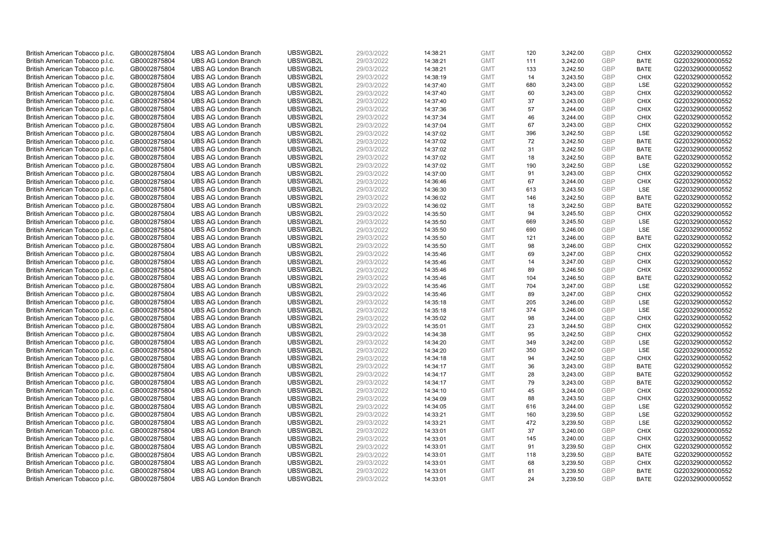| British American Tobacco p.l.c. | GB0002875804 | <b>UBS AG London Branch</b> | UBSWGB2L | 29/03/2022 | 14:38:21 | <b>GMT</b> | 120 | 3,242.00 | <b>GBP</b> | <b>CHIX</b> | G220329000000552 |
|---------------------------------|--------------|-----------------------------|----------|------------|----------|------------|-----|----------|------------|-------------|------------------|
|                                 |              |                             |          |            |          |            |     |          |            |             |                  |
| British American Tobacco p.l.c. | GB0002875804 | <b>UBS AG London Branch</b> | UBSWGB2L | 29/03/2022 | 14:38:21 | <b>GMT</b> | 111 | 3,242.00 | <b>GBP</b> | <b>BATE</b> | G220329000000552 |
| British American Tobacco p.l.c. | GB0002875804 | <b>UBS AG London Branch</b> | UBSWGB2L | 29/03/2022 | 14:38:21 | <b>GMT</b> | 133 | 3,242.50 | <b>GBP</b> | <b>BATE</b> | G220329000000552 |
| British American Tobacco p.l.c. | GB0002875804 | <b>UBS AG London Branch</b> | UBSWGB2L | 29/03/2022 | 14:38:19 | <b>GMT</b> | 14  | 3,243.50 | <b>GBP</b> | <b>CHIX</b> | G220329000000552 |
| British American Tobacco p.l.c. | GB0002875804 | <b>UBS AG London Branch</b> | UBSWGB2L | 29/03/2022 | 14:37:40 | <b>GMT</b> | 680 | 3,243.00 | <b>GBP</b> | LSE         | G220329000000552 |
| British American Tobacco p.l.c. | GB0002875804 | <b>UBS AG London Branch</b> | UBSWGB2L | 29/03/2022 | 14:37:40 | <b>GMT</b> | 60  | 3,243.00 | <b>GBP</b> | <b>CHIX</b> | G220329000000552 |
| British American Tobacco p.l.c. | GB0002875804 | <b>UBS AG London Branch</b> | UBSWGB2L | 29/03/2022 | 14:37:40 | <b>GMT</b> | 37  | 3,243.00 | <b>GBP</b> | <b>CHIX</b> | G220329000000552 |
| British American Tobacco p.l.c. | GB0002875804 | <b>UBS AG London Branch</b> | UBSWGB2L | 29/03/2022 | 14:37:36 | <b>GMT</b> | 57  | 3,244.00 | <b>GBP</b> | <b>CHIX</b> | G220329000000552 |
| British American Tobacco p.l.c. | GB0002875804 | <b>UBS AG London Branch</b> | UBSWGB2L | 29/03/2022 | 14:37:34 | <b>GMT</b> | 46  | 3,244.00 | <b>GBP</b> | <b>CHIX</b> | G220329000000552 |
| British American Tobacco p.l.c. | GB0002875804 | <b>UBS AG London Branch</b> | UBSWGB2L | 29/03/2022 | 14:37:04 | <b>GMT</b> | 67  | 3,243.00 | <b>GBP</b> | <b>CHIX</b> | G220329000000552 |
| British American Tobacco p.l.c. | GB0002875804 | <b>UBS AG London Branch</b> | UBSWGB2L | 29/03/2022 | 14:37:02 | <b>GMT</b> | 396 | 3,242.50 | <b>GBP</b> | LSE         | G220329000000552 |
| British American Tobacco p.l.c. | GB0002875804 | <b>UBS AG London Branch</b> | UBSWGB2L | 29/03/2022 | 14:37:02 | <b>GMT</b> | 72  | 3,242.50 | <b>GBP</b> | <b>BATE</b> | G220329000000552 |
| British American Tobacco p.l.c. | GB0002875804 | <b>UBS AG London Branch</b> | UBSWGB2L | 29/03/2022 | 14:37:02 | <b>GMT</b> | 31  | 3,242.50 | <b>GBP</b> | <b>BATE</b> | G220329000000552 |
| British American Tobacco p.l.c. | GB0002875804 | <b>UBS AG London Branch</b> | UBSWGB2L | 29/03/2022 | 14:37:02 | <b>GMT</b> | 18  | 3,242.50 | <b>GBP</b> | <b>BATE</b> | G220329000000552 |
| British American Tobacco p.l.c. | GB0002875804 | <b>UBS AG London Branch</b> | UBSWGB2L | 29/03/2022 | 14:37:02 | <b>GMT</b> | 190 | 3,242.50 | <b>GBP</b> | LSE         | G220329000000552 |
| British American Tobacco p.l.c. | GB0002875804 | <b>UBS AG London Branch</b> | UBSWGB2L | 29/03/2022 | 14:37:00 | <b>GMT</b> | 91  | 3,243.00 | <b>GBP</b> | <b>CHIX</b> | G220329000000552 |
| British American Tobacco p.l.c. | GB0002875804 | <b>UBS AG London Branch</b> | UBSWGB2L | 29/03/2022 | 14:36:46 | <b>GMT</b> | 67  | 3,244.00 | <b>GBP</b> | <b>CHIX</b> | G220329000000552 |
| British American Tobacco p.l.c. | GB0002875804 | <b>UBS AG London Branch</b> | UBSWGB2L | 29/03/2022 | 14:36:30 | <b>GMT</b> | 613 | 3,243.50 | <b>GBP</b> | LSE         | G220329000000552 |
| British American Tobacco p.l.c. | GB0002875804 | <b>UBS AG London Branch</b> | UBSWGB2L | 29/03/2022 | 14:36:02 | <b>GMT</b> | 146 | 3,242.50 | <b>GBP</b> | <b>BATE</b> | G220329000000552 |
| British American Tobacco p.l.c. | GB0002875804 | <b>UBS AG London Branch</b> | UBSWGB2L | 29/03/2022 | 14:36:02 | <b>GMT</b> | 18  | 3,242.50 | <b>GBP</b> | <b>BATE</b> | G220329000000552 |
| British American Tobacco p.l.c. | GB0002875804 | <b>UBS AG London Branch</b> | UBSWGB2L | 29/03/2022 | 14:35:50 | <b>GMT</b> | 94  | 3,245.50 | <b>GBP</b> | <b>CHIX</b> | G220329000000552 |
| British American Tobacco p.l.c. | GB0002875804 | <b>UBS AG London Branch</b> | UBSWGB2L | 29/03/2022 | 14:35:50 | <b>GMT</b> | 669 | 3,245.50 | <b>GBP</b> | LSE         | G220329000000552 |
| British American Tobacco p.l.c. | GB0002875804 | <b>UBS AG London Branch</b> | UBSWGB2L | 29/03/2022 | 14:35:50 | <b>GMT</b> | 690 | 3,246.00 | <b>GBP</b> | LSE         | G220329000000552 |
| British American Tobacco p.l.c. | GB0002875804 | <b>UBS AG London Branch</b> | UBSWGB2L | 29/03/2022 | 14:35:50 | <b>GMT</b> | 121 | 3,246.00 | <b>GBP</b> | <b>BATE</b> | G220329000000552 |
| British American Tobacco p.l.c. | GB0002875804 | <b>UBS AG London Branch</b> | UBSWGB2L | 29/03/2022 | 14:35:50 | <b>GMT</b> | 98  | 3,246.00 | <b>GBP</b> | <b>CHIX</b> | G220329000000552 |
| British American Tobacco p.l.c. | GB0002875804 | <b>UBS AG London Branch</b> | UBSWGB2L | 29/03/2022 | 14:35:46 | <b>GMT</b> | 69  | 3,247.00 | <b>GBP</b> | <b>CHIX</b> | G220329000000552 |
| British American Tobacco p.l.c. | GB0002875804 | <b>UBS AG London Branch</b> | UBSWGB2L | 29/03/2022 | 14:35:46 | <b>GMT</b> | 14  | 3,247.00 | <b>GBP</b> | <b>CHIX</b> | G220329000000552 |
| British American Tobacco p.l.c. | GB0002875804 | <b>UBS AG London Branch</b> | UBSWGB2L | 29/03/2022 | 14:35:46 | <b>GMT</b> | 89  | 3,246.50 | <b>GBP</b> | <b>CHIX</b> | G220329000000552 |
| British American Tobacco p.l.c. | GB0002875804 | <b>UBS AG London Branch</b> | UBSWGB2L | 29/03/2022 | 14:35:46 | <b>GMT</b> | 104 | 3,246.50 | <b>GBP</b> | <b>BATE</b> | G220329000000552 |
| British American Tobacco p.l.c. | GB0002875804 | <b>UBS AG London Branch</b> | UBSWGB2L | 29/03/2022 | 14:35:46 | <b>GMT</b> | 704 | 3,247.00 | <b>GBP</b> | LSE         | G220329000000552 |
| British American Tobacco p.l.c. | GB0002875804 | <b>UBS AG London Branch</b> | UBSWGB2L | 29/03/2022 | 14:35:46 | <b>GMT</b> | 89  | 3,247.00 | <b>GBP</b> | <b>CHIX</b> | G220329000000552 |
| British American Tobacco p.l.c. | GB0002875804 | <b>UBS AG London Branch</b> | UBSWGB2L | 29/03/2022 | 14:35:18 | <b>GMT</b> | 205 | 3,246.00 | <b>GBP</b> | LSE         | G220329000000552 |
| British American Tobacco p.l.c. | GB0002875804 | <b>UBS AG London Branch</b> | UBSWGB2L | 29/03/2022 | 14:35:18 | <b>GMT</b> | 374 | 3,246.00 | <b>GBP</b> | LSE         | G220329000000552 |
| British American Tobacco p.l.c. | GB0002875804 | <b>UBS AG London Branch</b> | UBSWGB2L | 29/03/2022 | 14:35:02 | <b>GMT</b> | 98  | 3,244.00 | <b>GBP</b> | <b>CHIX</b> | G220329000000552 |
| British American Tobacco p.l.c. | GB0002875804 | <b>UBS AG London Branch</b> | UBSWGB2L | 29/03/2022 | 14:35:01 | <b>GMT</b> | 23  | 3,244.50 | <b>GBP</b> | <b>CHIX</b> | G220329000000552 |
| British American Tobacco p.l.c. | GB0002875804 | <b>UBS AG London Branch</b> | UBSWGB2L | 29/03/2022 | 14:34:38 | <b>GMT</b> | 95  | 3,242.50 | <b>GBP</b> | <b>CHIX</b> | G220329000000552 |
| British American Tobacco p.l.c. |              | <b>UBS AG London Branch</b> | UBSWGB2L | 29/03/2022 |          | <b>GMT</b> |     |          | <b>GBP</b> | LSE         | G220329000000552 |
|                                 | GB0002875804 |                             |          |            | 14:34:20 |            | 349 | 3,242.00 |            |             |                  |
| British American Tobacco p.l.c. | GB0002875804 | <b>UBS AG London Branch</b> | UBSWGB2L | 29/03/2022 | 14:34:20 | <b>GMT</b> | 350 | 3,242.00 | <b>GBP</b> | LSE         | G220329000000552 |
| British American Tobacco p.l.c. | GB0002875804 | <b>UBS AG London Branch</b> | UBSWGB2L | 29/03/2022 | 14:34:18 | <b>GMT</b> | 94  | 3,242.50 | <b>GBP</b> | <b>CHIX</b> | G220329000000552 |
| British American Tobacco p.l.c. | GB0002875804 | <b>UBS AG London Branch</b> | UBSWGB2L | 29/03/2022 | 14:34:17 | <b>GMT</b> | 36  | 3,243.00 | <b>GBP</b> | <b>BATE</b> | G220329000000552 |
| British American Tobacco p.l.c. | GB0002875804 | <b>UBS AG London Branch</b> | UBSWGB2L | 29/03/2022 | 14:34:17 | <b>GMT</b> | 28  | 3,243.00 | <b>GBP</b> | <b>BATE</b> | G220329000000552 |
| British American Tobacco p.l.c. | GB0002875804 | <b>UBS AG London Branch</b> | UBSWGB2L | 29/03/2022 | 14:34:17 | <b>GMT</b> | 79  | 3,243.00 | <b>GBP</b> | <b>BATE</b> | G220329000000552 |
| British American Tobacco p.l.c. | GB0002875804 | <b>UBS AG London Branch</b> | UBSWGB2L | 29/03/2022 | 14:34:10 | <b>GMT</b> | 45  | 3,244.00 | <b>GBP</b> | <b>CHIX</b> | G220329000000552 |
| British American Tobacco p.l.c. | GB0002875804 | <b>UBS AG London Branch</b> | UBSWGB2L | 29/03/2022 | 14:34:09 | <b>GMT</b> | 88  | 3,243.50 | <b>GBP</b> | <b>CHIX</b> | G220329000000552 |
| British American Tobacco p.l.c. | GB0002875804 | <b>UBS AG London Branch</b> | UBSWGB2L | 29/03/2022 | 14:34:05 | <b>GMT</b> | 616 | 3,244.00 | <b>GBP</b> | <b>LSE</b>  | G220329000000552 |
| British American Tobacco p.l.c. | GB0002875804 | <b>UBS AG London Branch</b> | UBSWGB2L | 29/03/2022 | 14:33:21 | <b>GMT</b> | 160 | 3,239.50 | <b>GBP</b> | LSE         | G220329000000552 |
| British American Tobacco p.l.c. | GB0002875804 | <b>UBS AG London Branch</b> | UBSWGB2L | 29/03/2022 | 14:33:21 | <b>GMT</b> | 472 | 3,239.50 | <b>GBP</b> | LSE         | G220329000000552 |
| British American Tobacco p.l.c. | GB0002875804 | <b>UBS AG London Branch</b> | UBSWGB2L | 29/03/2022 | 14:33:01 | <b>GMT</b> | 37  | 3,240.00 | <b>GBP</b> | <b>CHIX</b> | G220329000000552 |
| British American Tobacco p.l.c. | GB0002875804 | <b>UBS AG London Branch</b> | UBSWGB2L | 29/03/2022 | 14:33:01 | <b>GMT</b> | 145 | 3,240.00 | <b>GBP</b> | <b>CHIX</b> | G220329000000552 |
| British American Tobacco p.l.c. | GB0002875804 | <b>UBS AG London Branch</b> | UBSWGB2L | 29/03/2022 | 14:33:01 | <b>GMT</b> | 91  | 3,239.50 | <b>GBP</b> | <b>CHIX</b> | G220329000000552 |
| British American Tobacco p.l.c. | GB0002875804 | <b>UBS AG London Branch</b> | UBSWGB2L | 29/03/2022 | 14:33:01 | <b>GMT</b> | 118 | 3,239.50 | <b>GBP</b> | <b>BATE</b> | G220329000000552 |
| British American Tobacco p.l.c. | GB0002875804 | <b>UBS AG London Branch</b> | UBSWGB2L | 29/03/2022 | 14:33:01 | <b>GMT</b> | 68  | 3,239.50 | <b>GBP</b> | <b>CHIX</b> | G220329000000552 |
| British American Tobacco p.l.c. | GB0002875804 | <b>UBS AG London Branch</b> | UBSWGB2L | 29/03/2022 | 14:33:01 | <b>GMT</b> | 81  | 3,239.50 | <b>GBP</b> | <b>BATE</b> | G220329000000552 |
| British American Tobacco p.l.c. | GB0002875804 | <b>UBS AG London Branch</b> | UBSWGB2L | 29/03/2022 | 14:33:01 | <b>GMT</b> | 24  | 3.239.50 | GBP        | <b>BATE</b> | G220329000000552 |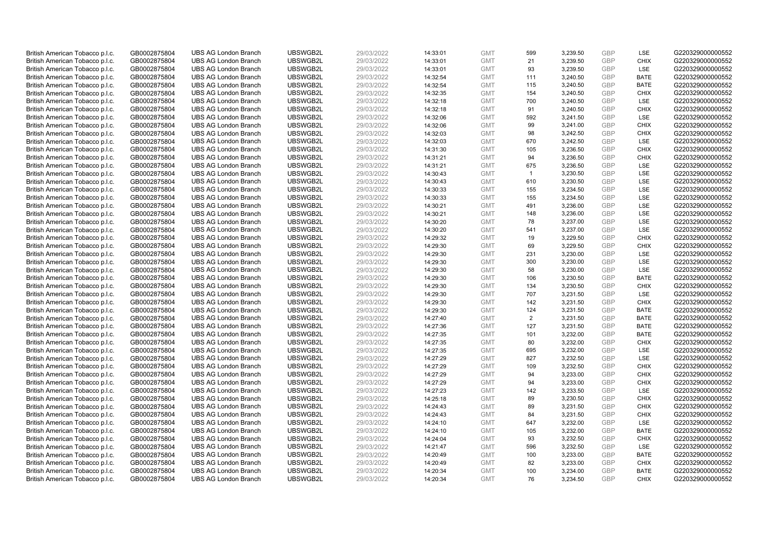| British American Tobacco p.l.c. | GB0002875804 | <b>UBS AG London Branch</b> | UBSWGB2L | 29/03/2022 | 14:33:01 | <b>GMT</b> | 599            | 3,239.50 | <b>GBP</b> | LSE                        | G220329000000552 |
|---------------------------------|--------------|-----------------------------|----------|------------|----------|------------|----------------|----------|------------|----------------------------|------------------|
|                                 |              |                             |          |            |          |            | 21             |          | <b>GBP</b> | <b>CHIX</b>                |                  |
| British American Tobacco p.l.c. | GB0002875804 | <b>UBS AG London Branch</b> | UBSWGB2L | 29/03/2022 | 14:33:01 | <b>GMT</b> |                | 3,239.50 |            |                            | G220329000000552 |
| British American Tobacco p.l.c. | GB0002875804 | <b>UBS AG London Branch</b> | UBSWGB2L | 29/03/2022 | 14:33:01 | <b>GMT</b> | 93             | 3,239.50 | <b>GBP</b> | LSE                        | G220329000000552 |
| British American Tobacco p.l.c. | GB0002875804 | <b>UBS AG London Branch</b> | UBSWGB2L | 29/03/2022 | 14:32:54 | <b>GMT</b> | 111            | 3,240.50 | <b>GBP</b> | <b>BATE</b>                | G220329000000552 |
| British American Tobacco p.l.c. | GB0002875804 | <b>UBS AG London Branch</b> | UBSWGB2L | 29/03/2022 | 14:32:54 | <b>GMT</b> | 115            | 3,240.50 | <b>GBP</b> | <b>BATE</b>                | G220329000000552 |
| British American Tobacco p.l.c. | GB0002875804 | <b>UBS AG London Branch</b> | UBSWGB2L | 29/03/2022 | 14:32:35 | <b>GMT</b> | 154            | 3,240.50 | <b>GBP</b> | <b>CHIX</b>                | G220329000000552 |
| British American Tobacco p.l.c. | GB0002875804 | <b>UBS AG London Branch</b> | UBSWGB2L | 29/03/2022 | 14:32:18 | <b>GMT</b> | 700            | 3,240.50 | <b>GBP</b> | LSE                        | G220329000000552 |
| British American Tobacco p.l.c. | GB0002875804 | <b>UBS AG London Branch</b> | UBSWGB2L | 29/03/2022 | 14:32:18 | <b>GMT</b> | 91             | 3,240.50 | <b>GBP</b> | <b>CHIX</b>                | G220329000000552 |
| British American Tobacco p.l.c. | GB0002875804 | <b>UBS AG London Branch</b> | UBSWGB2L | 29/03/2022 | 14:32:06 | <b>GMT</b> | 592            | 3,241.50 | <b>GBP</b> | LSE                        | G220329000000552 |
| British American Tobacco p.l.c. | GB0002875804 | <b>UBS AG London Branch</b> | UBSWGB2L | 29/03/2022 | 14:32:06 | <b>GMT</b> | 99             | 3,241.00 | <b>GBP</b> | <b>CHIX</b>                | G220329000000552 |
| British American Tobacco p.l.c. | GB0002875804 | <b>UBS AG London Branch</b> | UBSWGB2L | 29/03/2022 | 14:32:03 | <b>GMT</b> | 98             | 3,242.50 | <b>GBP</b> | <b>CHIX</b>                | G220329000000552 |
| British American Tobacco p.l.c. | GB0002875804 | <b>UBS AG London Branch</b> | UBSWGB2L | 29/03/2022 | 14:32:03 | <b>GMT</b> | 670            | 3,242.50 | <b>GBP</b> | LSE                        | G220329000000552 |
| British American Tobacco p.l.c. | GB0002875804 | <b>UBS AG London Branch</b> | UBSWGB2L | 29/03/2022 | 14:31:30 | <b>GMT</b> | 105            | 3,236.50 | <b>GBP</b> | <b>CHIX</b>                | G220329000000552 |
| British American Tobacco p.l.c. | GB0002875804 | <b>UBS AG London Branch</b> | UBSWGB2L | 29/03/2022 | 14:31:21 | <b>GMT</b> | 94             | 3,236.50 | <b>GBP</b> | <b>CHIX</b>                | G220329000000552 |
| British American Tobacco p.l.c. | GB0002875804 | <b>UBS AG London Branch</b> | UBSWGB2L | 29/03/2022 | 14:31:21 | <b>GMT</b> | 675            | 3,236.50 | GBP        | LSE                        | G220329000000552 |
| British American Tobacco p.l.c. | GB0002875804 | <b>UBS AG London Branch</b> | UBSWGB2L | 29/03/2022 | 14:30:43 | <b>GMT</b> | $\overline{1}$ | 3,230.50 | <b>GBP</b> | LSE                        | G220329000000552 |
| British American Tobacco p.l.c. | GB0002875804 | <b>UBS AG London Branch</b> | UBSWGB2L | 29/03/2022 | 14:30:43 | <b>GMT</b> | 610            | 3,230.50 | <b>GBP</b> | LSE                        | G220329000000552 |
| British American Tobacco p.l.c. | GB0002875804 | <b>UBS AG London Branch</b> | UBSWGB2L | 29/03/2022 | 14:30:33 | <b>GMT</b> | 155            | 3,234.50 | <b>GBP</b> | LSE                        | G220329000000552 |
| British American Tobacco p.l.c. | GB0002875804 | <b>UBS AG London Branch</b> | UBSWGB2L | 29/03/2022 | 14:30:33 | <b>GMT</b> | 155            | 3,234.50 | <b>GBP</b> | <b>LSE</b>                 | G220329000000552 |
| British American Tobacco p.l.c. | GB0002875804 | <b>UBS AG London Branch</b> | UBSWGB2L | 29/03/2022 | 14:30:21 | <b>GMT</b> | 491            | 3,236.00 | <b>GBP</b> | LSE                        | G220329000000552 |
| British American Tobacco p.l.c. | GB0002875804 | <b>UBS AG London Branch</b> | UBSWGB2L | 29/03/2022 | 14:30:21 | <b>GMT</b> | 148            | 3,236.00 | <b>GBP</b> | LSE                        | G220329000000552 |
| British American Tobacco p.l.c. | GB0002875804 | <b>UBS AG London Branch</b> | UBSWGB2L | 29/03/2022 | 14:30:20 | <b>GMT</b> | 78             | 3,237.00 | <b>GBP</b> | LSE                        | G220329000000552 |
| British American Tobacco p.l.c. | GB0002875804 | <b>UBS AG London Branch</b> | UBSWGB2L | 29/03/2022 | 14:30:20 | <b>GMT</b> | 541            | 3,237.00 | <b>GBP</b> | LSE                        | G220329000000552 |
| British American Tobacco p.l.c. | GB0002875804 | <b>UBS AG London Branch</b> | UBSWGB2L | 29/03/2022 | 14:29:32 | <b>GMT</b> | 19             | 3,229.50 | <b>GBP</b> | <b>CHIX</b>                | G220329000000552 |
| British American Tobacco p.l.c. | GB0002875804 | <b>UBS AG London Branch</b> | UBSWGB2L | 29/03/2022 | 14:29:30 | <b>GMT</b> | 69             | 3,229.50 | <b>GBP</b> | <b>CHIX</b>                | G220329000000552 |
| British American Tobacco p.l.c. | GB0002875804 | <b>UBS AG London Branch</b> | UBSWGB2L | 29/03/2022 | 14:29:30 | <b>GMT</b> | 231            | 3,230.00 | <b>GBP</b> | LSE                        | G220329000000552 |
| British American Tobacco p.l.c. | GB0002875804 | <b>UBS AG London Branch</b> | UBSWGB2L | 29/03/2022 | 14:29:30 | <b>GMT</b> | 300            | 3,230.00 | <b>GBP</b> | LSE                        | G220329000000552 |
| British American Tobacco p.l.c. | GB0002875804 | <b>UBS AG London Branch</b> | UBSWGB2L | 29/03/2022 | 14:29:30 | <b>GMT</b> | 58             | 3,230.00 | <b>GBP</b> | LSE                        | G220329000000552 |
| British American Tobacco p.l.c. | GB0002875804 | <b>UBS AG London Branch</b> | UBSWGB2L | 29/03/2022 | 14:29:30 | <b>GMT</b> | 106            | 3,230.50 | <b>GBP</b> | <b>BATE</b>                | G220329000000552 |
| British American Tobacco p.l.c. | GB0002875804 | <b>UBS AG London Branch</b> | UBSWGB2L | 29/03/2022 | 14:29:30 | <b>GMT</b> | 134            | 3,230.50 | <b>GBP</b> | <b>CHIX</b>                | G220329000000552 |
| British American Tobacco p.l.c. | GB0002875804 | <b>UBS AG London Branch</b> | UBSWGB2L | 29/03/2022 | 14:29:30 | <b>GMT</b> | 707            | 3,231.50 | <b>GBP</b> | LSE                        | G220329000000552 |
| British American Tobacco p.l.c. | GB0002875804 | <b>UBS AG London Branch</b> | UBSWGB2L | 29/03/2022 | 14:29:30 | <b>GMT</b> | 142            | 3,231.50 | <b>GBP</b> | <b>CHIX</b>                | G220329000000552 |
| British American Tobacco p.l.c. | GB0002875804 | <b>UBS AG London Branch</b> | UBSWGB2L | 29/03/2022 | 14:29:30 | <b>GMT</b> | 124            | 3,231.50 | <b>GBP</b> | <b>BATE</b>                | G220329000000552 |
| British American Tobacco p.l.c. | GB0002875804 | <b>UBS AG London Branch</b> | UBSWGB2L | 29/03/2022 | 14:27:40 | <b>GMT</b> | 2              | 3,231.50 | GBP        | <b>BATE</b>                | G220329000000552 |
| British American Tobacco p.l.c. | GB0002875804 | <b>UBS AG London Branch</b> | UBSWGB2L | 29/03/2022 | 14:27:36 | <b>GMT</b> | 127            | 3,231.50 | <b>GBP</b> | <b>BATE</b>                | G220329000000552 |
| British American Tobacco p.l.c. | GB0002875804 | <b>UBS AG London Branch</b> | UBSWGB2L | 29/03/2022 | 14:27:35 | <b>GMT</b> | 101            | 3,232.00 | <b>GBP</b> | <b>BATE</b>                | G220329000000552 |
| British American Tobacco p.l.c. | GB0002875804 | <b>UBS AG London Branch</b> | UBSWGB2L | 29/03/2022 | 14:27:35 | <b>GMT</b> | 80             | 3,232.00 | <b>GBP</b> | <b>CHIX</b>                | G220329000000552 |
| British American Tobacco p.l.c. | GB0002875804 | <b>UBS AG London Branch</b> | UBSWGB2L | 29/03/2022 | 14:27:35 | <b>GMT</b> | 695            | 3,232.00 | <b>GBP</b> | LSE                        | G220329000000552 |
|                                 |              | <b>UBS AG London Branch</b> | UBSWGB2L | 29/03/2022 |          | <b>GMT</b> | 827            |          | <b>GBP</b> | LSE                        | G220329000000552 |
| British American Tobacco p.l.c. | GB0002875804 |                             |          |            | 14:27:29 |            |                | 3,232.50 | <b>GBP</b> |                            |                  |
| British American Tobacco p.l.c. | GB0002875804 | <b>UBS AG London Branch</b> | UBSWGB2L | 29/03/2022 | 14:27:29 | <b>GMT</b> | 109            | 3,232.50 | <b>GBP</b> | <b>CHIX</b><br><b>CHIX</b> | G220329000000552 |
| British American Tobacco p.l.c. | GB0002875804 | <b>UBS AG London Branch</b> | UBSWGB2L | 29/03/2022 | 14:27:29 | <b>GMT</b> | 94             | 3,233.00 |            |                            | G220329000000552 |
| British American Tobacco p.l.c. | GB0002875804 | <b>UBS AG London Branch</b> | UBSWGB2L | 29/03/2022 | 14:27:29 | <b>GMT</b> | 94             | 3,233.00 | <b>GBP</b> | <b>CHIX</b>                | G220329000000552 |
| British American Tobacco p.l.c. | GB0002875804 | <b>UBS AG London Branch</b> | UBSWGB2L | 29/03/2022 | 14:27:23 | <b>GMT</b> | 142            | 3,233.50 | <b>GBP</b> | LSE                        | G220329000000552 |
| British American Tobacco p.l.c. | GB0002875804 | <b>UBS AG London Branch</b> | UBSWGB2L | 29/03/2022 | 14:25:18 | <b>GMT</b> | 89             | 3,230.50 | <b>GBP</b> | <b>CHIX</b>                | G220329000000552 |
| British American Tobacco p.l.c. | GB0002875804 | <b>UBS AG London Branch</b> | UBSWGB2L | 29/03/2022 | 14:24:43 | <b>GMT</b> | 89             | 3,231.50 | <b>GBP</b> | <b>CHIX</b>                | G220329000000552 |
| British American Tobacco p.l.c. | GB0002875804 | <b>UBS AG London Branch</b> | UBSWGB2L | 29/03/2022 | 14:24:43 | <b>GMT</b> | 84             | 3,231.50 | <b>GBP</b> | <b>CHIX</b>                | G220329000000552 |
| British American Tobacco p.l.c. | GB0002875804 | <b>UBS AG London Branch</b> | UBSWGB2L | 29/03/2022 | 14:24:10 | <b>GMT</b> | 647            | 3,232.00 | <b>GBP</b> | <b>LSE</b>                 | G220329000000552 |
| British American Tobacco p.l.c. | GB0002875804 | <b>UBS AG London Branch</b> | UBSWGB2L | 29/03/2022 | 14:24:10 | <b>GMT</b> | 105            | 3,232.00 | <b>GBP</b> | <b>BATE</b>                | G220329000000552 |
| British American Tobacco p.l.c. | GB0002875804 | <b>UBS AG London Branch</b> | UBSWGB2L | 29/03/2022 | 14:24:04 | <b>GMT</b> | 93             | 3,232.50 | <b>GBP</b> | <b>CHIX</b>                | G220329000000552 |
| British American Tobacco p.l.c. | GB0002875804 | <b>UBS AG London Branch</b> | UBSWGB2L | 29/03/2022 | 14:21:47 | <b>GMT</b> | 596            | 3,232.50 | <b>GBP</b> | <b>LSE</b>                 | G220329000000552 |
| British American Tobacco p.l.c. | GB0002875804 | <b>UBS AG London Branch</b> | UBSWGB2L | 29/03/2022 | 14:20:49 | <b>GMT</b> | 100            | 3,233.00 | <b>GBP</b> | <b>BATE</b>                | G220329000000552 |
| British American Tobacco p.l.c. | GB0002875804 | <b>UBS AG London Branch</b> | UBSWGB2L | 29/03/2022 | 14:20:49 | <b>GMT</b> | 82             | 3,233.00 | <b>GBP</b> | <b>CHIX</b>                | G220329000000552 |
| British American Tobacco p.l.c. | GB0002875804 | <b>UBS AG London Branch</b> | UBSWGB2L | 29/03/2022 | 14:20:34 | <b>GMT</b> | 100            | 3,234.00 | <b>GBP</b> | <b>BATE</b>                | G220329000000552 |
| British American Tobacco p.l.c. | GB0002875804 | <b>UBS AG London Branch</b> | UBSWGB2L | 29/03/2022 | 14:20:34 | <b>GMT</b> | 76             | 3.234.50 | GBP        | <b>CHIX</b>                | G220329000000552 |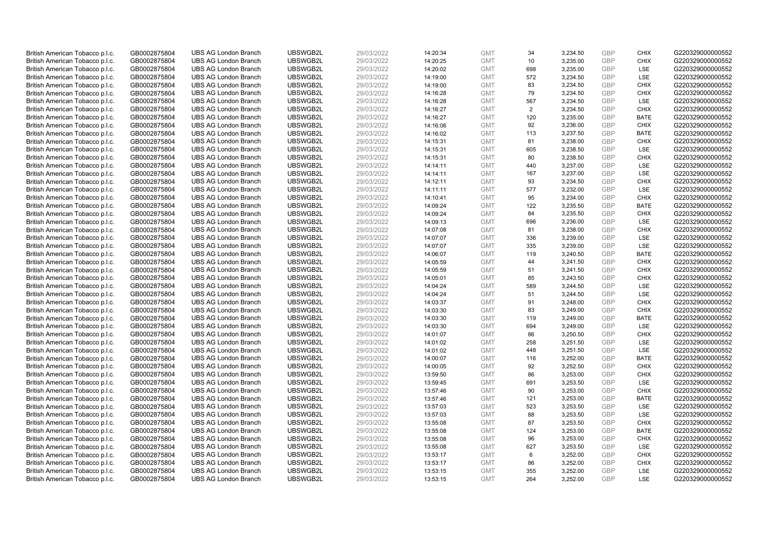| British American Tobacco p.l.c. | GB0002875804 | <b>UBS AG London Branch</b> | UBSWGB2L | 29/03/2022 | 14:20:34 | <b>GMT</b> | 34             | 3,234.50 | <b>GBP</b> | <b>CHIX</b> | G220329000000552 |
|---------------------------------|--------------|-----------------------------|----------|------------|----------|------------|----------------|----------|------------|-------------|------------------|
| British American Tobacco p.l.c. | GB0002875804 | <b>UBS AG London Branch</b> | UBSWGB2L | 29/03/2022 | 14:20:25 | <b>GMT</b> | 10             | 3,235.00 | GBP        | <b>CHIX</b> | G220329000000552 |
| British American Tobacco p.l.c. | GB0002875804 | <b>UBS AG London Branch</b> | UBSWGB2L | 29/03/2022 | 14:20:02 | <b>GMT</b> | 698            | 3,235.00 | <b>GBP</b> | LSE         | G220329000000552 |
| British American Tobacco p.l.c. | GB0002875804 | <b>UBS AG London Branch</b> | UBSWGB2L | 29/03/2022 | 14:19:00 | <b>GMT</b> | 572            | 3,234.50 | <b>GBP</b> | LSE         | G220329000000552 |
| British American Tobacco p.l.c. | GB0002875804 | <b>UBS AG London Branch</b> | UBSWGB2L | 29/03/2022 | 14:19:00 | <b>GMT</b> | 83             | 3,234.50 | <b>GBP</b> | <b>CHIX</b> | G220329000000552 |
| British American Tobacco p.l.c. | GB0002875804 | <b>UBS AG London Branch</b> | UBSWGB2L | 29/03/2022 | 14:16:28 | <b>GMT</b> | 79             | 3,234.50 | <b>GBP</b> | <b>CHIX</b> | G220329000000552 |
| British American Tobacco p.l.c. | GB0002875804 | <b>UBS AG London Branch</b> | UBSWGB2L | 29/03/2022 | 14:16:28 | <b>GMT</b> | 567            | 3,234.50 | <b>GBP</b> | LSE         | G220329000000552 |
| British American Tobacco p.l.c. | GB0002875804 | <b>UBS AG London Branch</b> | UBSWGB2L | 29/03/2022 | 14:16:27 | <b>GMT</b> | $\overline{2}$ | 3,234.50 | <b>GBP</b> | <b>CHIX</b> | G220329000000552 |
| British American Tobacco p.l.c. | GB0002875804 | <b>UBS AG London Branch</b> | UBSWGB2L | 29/03/2022 | 14:16:27 | <b>GMT</b> | 120            | 3,235.00 | <b>GBP</b> | <b>BATE</b> | G220329000000552 |
| British American Tobacco p.l.c. | GB0002875804 | <b>UBS AG London Branch</b> | UBSWGB2L | 29/03/2022 | 14:16:06 | <b>GMT</b> | 92             | 3,236.00 | <b>GBP</b> | <b>CHIX</b> | G220329000000552 |
| British American Tobacco p.l.c. | GB0002875804 | <b>UBS AG London Branch</b> | UBSWGB2L | 29/03/2022 | 14:16:02 | <b>GMT</b> | 113            | 3,237.50 | <b>GBP</b> | <b>BATE</b> | G220329000000552 |
| British American Tobacco p.l.c. | GB0002875804 | <b>UBS AG London Branch</b> | UBSWGB2L | 29/03/2022 | 14:15:31 | <b>GMT</b> | 81             | 3,238.00 | <b>GBP</b> | <b>CHIX</b> | G220329000000552 |
| British American Tobacco p.l.c. | GB0002875804 | <b>UBS AG London Branch</b> | UBSWGB2L | 29/03/2022 | 14:15:31 | <b>GMT</b> | 605            | 3,238.50 | <b>GBP</b> | LSE         | G220329000000552 |
| British American Tobacco p.l.c. | GB0002875804 | <b>UBS AG London Branch</b> | UBSWGB2L | 29/03/2022 | 14:15:31 | <b>GMT</b> | 80             | 3,238.50 | <b>GBP</b> | <b>CHIX</b> | G220329000000552 |
| British American Tobacco p.l.c. | GB0002875804 | <b>UBS AG London Branch</b> | UBSWGB2L | 29/03/2022 | 14:14:11 | <b>GMT</b> | 440            | 3,237.00 | GBP        | <b>LSE</b>  | G220329000000552 |
|                                 |              |                             | UBSWGB2L |            |          |            |                |          | <b>GBP</b> | LSE         | G220329000000552 |
| British American Tobacco p.l.c. | GB0002875804 | <b>UBS AG London Branch</b> |          | 29/03/2022 | 14:14:11 | <b>GMT</b> | 167            | 3,237.00 |            |             |                  |
| British American Tobacco p.l.c. | GB0002875804 | <b>UBS AG London Branch</b> | UBSWGB2L | 29/03/2022 | 14:12:11 | <b>GMT</b> | 93             | 3,234.50 | <b>GBP</b> | <b>CHIX</b> | G220329000000552 |
| British American Tobacco p.l.c. | GB0002875804 | <b>UBS AG London Branch</b> | UBSWGB2L | 29/03/2022 | 14:11:11 | <b>GMT</b> | 577            | 3,232.00 | <b>GBP</b> | LSE         | G220329000000552 |
| British American Tobacco p.l.c. | GB0002875804 | <b>UBS AG London Branch</b> | UBSWGB2L | 29/03/2022 | 14:10:41 | <b>GMT</b> | 95             | 3,234.00 | <b>GBP</b> | <b>CHIX</b> | G220329000000552 |
| British American Tobacco p.l.c. | GB0002875804 | <b>UBS AG London Branch</b> | UBSWGB2L | 29/03/2022 | 14:09:24 | <b>GMT</b> | 122            | 3,235.50 | <b>GBP</b> | <b>BATE</b> | G220329000000552 |
| British American Tobacco p.l.c. | GB0002875804 | <b>UBS AG London Branch</b> | UBSWGB2L | 29/03/2022 | 14:09:24 | <b>GMT</b> | 84             | 3,235.50 | <b>GBP</b> | <b>CHIX</b> | G220329000000552 |
| British American Tobacco p.l.c. | GB0002875804 | <b>UBS AG London Branch</b> | UBSWGB2L | 29/03/2022 | 14:09:13 | <b>GMT</b> | 696            | 3,236.00 | <b>GBP</b> | LSE         | G220329000000552 |
| British American Tobacco p.l.c. | GB0002875804 | <b>UBS AG London Branch</b> | UBSWGB2L | 29/03/2022 | 14:07:08 | <b>GMT</b> | 81             | 3,238.00 | <b>GBP</b> | <b>CHIX</b> | G220329000000552 |
| British American Tobacco p.l.c. | GB0002875804 | <b>UBS AG London Branch</b> | UBSWGB2L | 29/03/2022 | 14:07:07 | <b>GMT</b> | 336            | 3,239.00 | <b>GBP</b> | <b>LSE</b>  | G220329000000552 |
| British American Tobacco p.l.c. | GB0002875804 | <b>UBS AG London Branch</b> | UBSWGB2L | 29/03/2022 | 14:07:07 | <b>GMT</b> | 335            | 3,239.00 | <b>GBP</b> | LSE         | G220329000000552 |
| British American Tobacco p.l.c. | GB0002875804 | <b>UBS AG London Branch</b> | UBSWGB2L | 29/03/2022 | 14:06:07 | <b>GMT</b> | 119            | 3,240.50 | <b>GBP</b> | <b>BATE</b> | G220329000000552 |
| British American Tobacco p.l.c. | GB0002875804 | <b>UBS AG London Branch</b> | UBSWGB2L | 29/03/2022 | 14:05:59 | <b>GMT</b> | 44             | 3,241.50 | <b>GBP</b> | <b>CHIX</b> | G220329000000552 |
| British American Tobacco p.l.c. | GB0002875804 | <b>UBS AG London Branch</b> | UBSWGB2L | 29/03/2022 | 14:05:59 | <b>GMT</b> | 51             | 3,241.50 | <b>GBP</b> | <b>CHIX</b> | G220329000000552 |
| British American Tobacco p.l.c. | GB0002875804 | <b>UBS AG London Branch</b> | UBSWGB2L | 29/03/2022 | 14:05:01 | <b>GMT</b> | 85             | 3,243.50 | <b>GBP</b> | <b>CHIX</b> | G220329000000552 |
| British American Tobacco p.l.c. | GB0002875804 | <b>UBS AG London Branch</b> | UBSWGB2L | 29/03/2022 | 14:04:24 | <b>GMT</b> | 589            | 3,244.50 | <b>GBP</b> | LSE         | G220329000000552 |
| British American Tobacco p.l.c. | GB0002875804 | <b>UBS AG London Branch</b> | UBSWGB2L | 29/03/2022 | 14:04:24 | <b>GMT</b> | 51             | 3,244.50 | <b>GBP</b> | LSE         | G220329000000552 |
| British American Tobacco p.l.c. | GB0002875804 | <b>UBS AG London Branch</b> | UBSWGB2L | 29/03/2022 | 14:03:37 | <b>GMT</b> | 91             | 3,248.00 | <b>GBP</b> | <b>CHIX</b> | G220329000000552 |
| British American Tobacco p.l.c. | GB0002875804 | <b>UBS AG London Branch</b> | UBSWGB2L | 29/03/2022 | 14:03:30 | <b>GMT</b> | 83             | 3,249.00 | <b>GBP</b> | <b>CHIX</b> | G220329000000552 |
| British American Tobacco p.l.c. | GB0002875804 | <b>UBS AG London Branch</b> | UBSWGB2L | 29/03/2022 | 14:03:30 | <b>GMT</b> | 119            | 3,249.00 | <b>GBP</b> | <b>BATE</b> | G220329000000552 |
| British American Tobacco p.l.c. | GB0002875804 | <b>UBS AG London Branch</b> | UBSWGB2L | 29/03/2022 | 14:03:30 | <b>GMT</b> | 694            | 3,249.00 | <b>GBP</b> | LSE         | G220329000000552 |
| British American Tobacco p.l.c. | GB0002875804 | <b>UBS AG London Branch</b> | UBSWGB2L | 29/03/2022 | 14:01:07 | <b>GMT</b> | 86             | 3,250.50 | <b>GBP</b> | <b>CHIX</b> | G220329000000552 |
| British American Tobacco p.l.c. | GB0002875804 | <b>UBS AG London Branch</b> | UBSWGB2L | 29/03/2022 | 14:01:02 | <b>GMT</b> | 258            | 3,251.50 | <b>GBP</b> | <b>LSE</b>  | G220329000000552 |
| British American Tobacco p.l.c. | GB0002875804 | <b>UBS AG London Branch</b> | UBSWGB2L | 29/03/2022 | 14:01:02 | <b>GMT</b> | 448            | 3,251.50 | <b>GBP</b> | LSE         | G220329000000552 |
| British American Tobacco p.l.c. | GB0002875804 | <b>UBS AG London Branch</b> | UBSWGB2L | 29/03/2022 | 14:00:07 | <b>GMT</b> | 116            | 3,252.00 | <b>GBP</b> | <b>BATE</b> | G220329000000552 |
| British American Tobacco p.l.c. | GB0002875804 | <b>UBS AG London Branch</b> | UBSWGB2L | 29/03/2022 | 14:00:05 | <b>GMT</b> | 92             | 3,252.50 | <b>GBP</b> | <b>CHIX</b> | G220329000000552 |
| British American Tobacco p.l.c. | GB0002875804 | <b>UBS AG London Branch</b> | UBSWGB2L | 29/03/2022 | 13:59:50 | <b>GMT</b> | 86             | 3,253.00 | <b>GBP</b> | <b>CHIX</b> | G220329000000552 |
| British American Tobacco p.l.c. | GB0002875804 | <b>UBS AG London Branch</b> | UBSWGB2L | 29/03/2022 | 13:59:45 | <b>GMT</b> | 691            | 3,253.50 | <b>GBP</b> | LSE         | G220329000000552 |
| British American Tobacco p.l.c. | GB0002875804 | <b>UBS AG London Branch</b> | UBSWGB2L | 29/03/2022 | 13:57:46 | <b>GMT</b> | 90             | 3,253.00 | <b>GBP</b> | <b>CHIX</b> | G220329000000552 |
| British American Tobacco p.l.c. |              | <b>UBS AG London Branch</b> | UBSWGB2L | 29/03/2022 |          | <b>GMT</b> | 121            | 3,253.00 | <b>GBP</b> | <b>BATE</b> |                  |
|                                 | GB0002875804 |                             | UBSWGB2L |            | 13:57:46 |            | 523            |          |            | <b>LSE</b>  | G220329000000552 |
| British American Tobacco p.l.c. | GB0002875804 | <b>UBS AG London Branch</b> |          | 29/03/2022 | 13:57:03 | <b>GMT</b> |                | 3,253.50 | <b>GBP</b> |             | G220329000000552 |
| British American Tobacco p.l.c. | GB0002875804 | <b>UBS AG London Branch</b> | UBSWGB2L | 29/03/2022 | 13:57:03 | <b>GMT</b> | 88             | 3,253.50 | <b>GBP</b> | LSE         | G220329000000552 |
| British American Tobacco p.l.c. | GB0002875804 | <b>UBS AG London Branch</b> | UBSWGB2L | 29/03/2022 | 13:55:08 | <b>GMT</b> | 87             | 3,253.50 | <b>GBP</b> | <b>CHIX</b> | G220329000000552 |
| British American Tobacco p.l.c. | GB0002875804 | <b>UBS AG London Branch</b> | UBSWGB2L | 29/03/2022 | 13:55:08 | <b>GMT</b> | 124            | 3,253.00 | <b>GBP</b> | <b>BATE</b> | G220329000000552 |
| British American Tobacco p.l.c. | GB0002875804 | <b>UBS AG London Branch</b> | UBSWGB2L | 29/03/2022 | 13:55:08 | <b>GMT</b> | 96             | 3,253.00 | <b>GBP</b> | <b>CHIX</b> | G220329000000552 |
| British American Tobacco p.l.c. | GB0002875804 | <b>UBS AG London Branch</b> | UBSWGB2L | 29/03/2022 | 13:55:08 | <b>GMT</b> | 627            | 3,253.50 | <b>GBP</b> | <b>LSE</b>  | G220329000000552 |
| British American Tobacco p.l.c. | GB0002875804 | <b>UBS AG London Branch</b> | UBSWGB2L | 29/03/2022 | 13:53:17 | <b>GMT</b> | 6              | 3,252.00 | <b>GBP</b> | <b>CHIX</b> | G220329000000552 |
| British American Tobacco p.l.c. | GB0002875804 | <b>UBS AG London Branch</b> | UBSWGB2L | 29/03/2022 | 13:53:17 | <b>GMT</b> | 86             | 3,252.00 | <b>GBP</b> | <b>CHIX</b> | G220329000000552 |
| British American Tobacco p.l.c. | GB0002875804 | <b>UBS AG London Branch</b> | UBSWGB2L | 29/03/2022 | 13:53:15 | <b>GMT</b> | 355            | 3,252.00 | <b>GBP</b> | <b>LSE</b>  | G220329000000552 |
| British American Tobacco p.l.c. | GB0002875804 | <b>UBS AG London Branch</b> | UBSWGB2L | 29/03/2022 | 13:53:15 | <b>GMT</b> | 264            | 3.252.00 | GBP        | <b>LSE</b>  | G220329000000552 |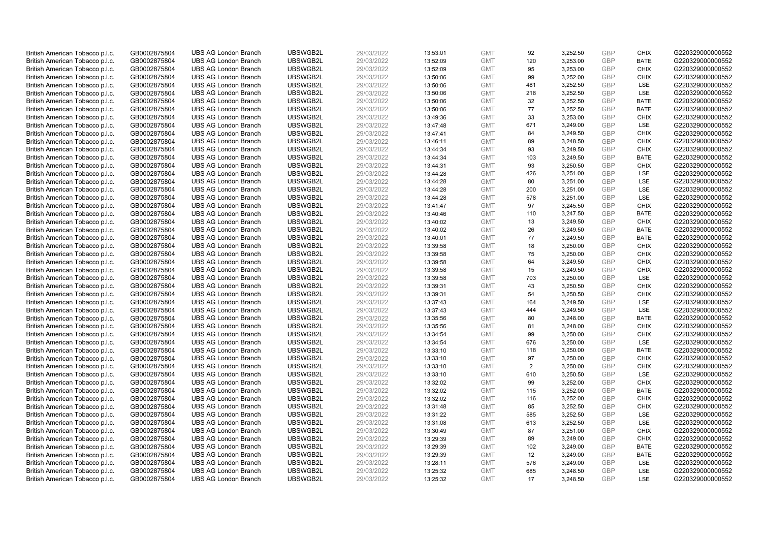| British American Tobacco p.l.c. | GB0002875804 | <b>UBS AG London Branch</b> | UBSWGB2L | 29/03/2022 | 13:53:01 | <b>GMT</b> | 92  | 3,252.50 | <b>GBP</b> | <b>CHIX</b> | G220329000000552 |
|---------------------------------|--------------|-----------------------------|----------|------------|----------|------------|-----|----------|------------|-------------|------------------|
|                                 |              |                             |          |            |          |            | 120 |          | <b>GBP</b> | <b>BATE</b> |                  |
| British American Tobacco p.l.c. | GB0002875804 | <b>UBS AG London Branch</b> | UBSWGB2L | 29/03/2022 | 13:52:09 | <b>GMT</b> |     | 3,253.00 |            |             | G220329000000552 |
| British American Tobacco p.l.c. | GB0002875804 | <b>UBS AG London Branch</b> | UBSWGB2L | 29/03/2022 | 13:52:09 | <b>GMT</b> | 95  | 3,253.00 | <b>GBP</b> | <b>CHIX</b> | G220329000000552 |
| British American Tobacco p.l.c. | GB0002875804 | <b>UBS AG London Branch</b> | UBSWGB2L | 29/03/2022 | 13:50:06 | <b>GMT</b> | 99  | 3,252.00 | <b>GBP</b> | <b>CHIX</b> | G220329000000552 |
| British American Tobacco p.l.c. | GB0002875804 | <b>UBS AG London Branch</b> | UBSWGB2L | 29/03/2022 | 13:50:06 | <b>GMT</b> | 481 | 3,252.50 | <b>GBP</b> | LSE         | G220329000000552 |
| British American Tobacco p.l.c. | GB0002875804 | <b>UBS AG London Branch</b> | UBSWGB2L | 29/03/2022 | 13:50:06 | <b>GMT</b> | 218 | 3,252.50 | <b>GBP</b> | LSE         | G220329000000552 |
| British American Tobacco p.l.c. | GB0002875804 | <b>UBS AG London Branch</b> | UBSWGB2L | 29/03/2022 | 13:50:06 | <b>GMT</b> | 32  | 3,252.50 | <b>GBP</b> | <b>BATE</b> | G220329000000552 |
| British American Tobacco p.l.c. | GB0002875804 | <b>UBS AG London Branch</b> | UBSWGB2L | 29/03/2022 | 13:50:06 | <b>GMT</b> | 77  | 3,252.50 | <b>GBP</b> | <b>BATE</b> | G220329000000552 |
| British American Tobacco p.l.c. | GB0002875804 | <b>UBS AG London Branch</b> | UBSWGB2L | 29/03/2022 | 13:49:36 | <b>GMT</b> | 33  | 3,253.00 | <b>GBP</b> | <b>CHIX</b> | G220329000000552 |
| British American Tobacco p.l.c. | GB0002875804 | <b>UBS AG London Branch</b> | UBSWGB2L | 29/03/2022 | 13:47:48 | <b>GMT</b> | 671 | 3,249.00 | <b>GBP</b> | LSE         | G220329000000552 |
| British American Tobacco p.l.c. | GB0002875804 | <b>UBS AG London Branch</b> | UBSWGB2L | 29/03/2022 | 13:47:41 | <b>GMT</b> | 84  | 3,249.50 | <b>GBP</b> | <b>CHIX</b> | G220329000000552 |
| British American Tobacco p.l.c. | GB0002875804 | <b>UBS AG London Branch</b> | UBSWGB2L | 29/03/2022 | 13:46:11 | <b>GMT</b> | 89  | 3,248.50 | <b>GBP</b> | <b>CHIX</b> | G220329000000552 |
| British American Tobacco p.l.c. | GB0002875804 | <b>UBS AG London Branch</b> | UBSWGB2L | 29/03/2022 | 13:44:34 | <b>GMT</b> | 93  | 3,249.50 | <b>GBP</b> | <b>CHIX</b> | G220329000000552 |
| British American Tobacco p.l.c. | GB0002875804 | <b>UBS AG London Branch</b> | UBSWGB2L | 29/03/2022 | 13:44:34 | <b>GMT</b> | 103 | 3,249.50 | <b>GBP</b> | <b>BATE</b> | G220329000000552 |
| British American Tobacco p.l.c. | GB0002875804 | <b>UBS AG London Branch</b> | UBSWGB2L | 29/03/2022 | 13:44:31 | <b>GMT</b> | 93  | 3,250.50 | <b>GBP</b> | <b>CHIX</b> | G220329000000552 |
| British American Tobacco p.l.c. | GB0002875804 | <b>UBS AG London Branch</b> | UBSWGB2L | 29/03/2022 | 13:44:28 | <b>GMT</b> | 426 | 3,251.00 | <b>GBP</b> | LSE         | G220329000000552 |
| British American Tobacco p.l.c. | GB0002875804 | <b>UBS AG London Branch</b> | UBSWGB2L | 29/03/2022 | 13:44:28 | <b>GMT</b> | 80  | 3,251.00 | <b>GBP</b> | LSE         | G220329000000552 |
| British American Tobacco p.l.c. | GB0002875804 | <b>UBS AG London Branch</b> | UBSWGB2L | 29/03/2022 | 13:44:28 | <b>GMT</b> | 200 | 3,251.00 | <b>GBP</b> | LSE         | G220329000000552 |
|                                 |              | <b>UBS AG London Branch</b> | UBSWGB2L |            |          |            | 578 |          |            | <b>LSE</b>  |                  |
| British American Tobacco p.l.c. | GB0002875804 |                             |          | 29/03/2022 | 13:44:28 | <b>GMT</b> |     | 3,251.00 | <b>GBP</b> |             | G220329000000552 |
| British American Tobacco p.l.c. | GB0002875804 | <b>UBS AG London Branch</b> | UBSWGB2L | 29/03/2022 | 13:41:47 | <b>GMT</b> | 97  | 3,245.50 | <b>GBP</b> | <b>CHIX</b> | G220329000000552 |
| British American Tobacco p.l.c. | GB0002875804 | <b>UBS AG London Branch</b> | UBSWGB2L | 29/03/2022 | 13:40:46 | <b>GMT</b> | 110 | 3,247.50 | <b>GBP</b> | <b>BATE</b> | G220329000000552 |
| British American Tobacco p.l.c. | GB0002875804 | <b>UBS AG London Branch</b> | UBSWGB2L | 29/03/2022 | 13:40:02 | <b>GMT</b> | 13  | 3,249.50 | <b>GBP</b> | <b>CHIX</b> | G220329000000552 |
| British American Tobacco p.l.c. | GB0002875804 | <b>UBS AG London Branch</b> | UBSWGB2L | 29/03/2022 | 13:40:02 | <b>GMT</b> | 26  | 3,249.50 | <b>GBP</b> | <b>BATE</b> | G220329000000552 |
| British American Tobacco p.l.c. | GB0002875804 | <b>UBS AG London Branch</b> | UBSWGB2L | 29/03/2022 | 13:40:01 | <b>GMT</b> | 77  | 3,249.50 | <b>GBP</b> | <b>BATE</b> | G220329000000552 |
| British American Tobacco p.l.c. | GB0002875804 | <b>UBS AG London Branch</b> | UBSWGB2L | 29/03/2022 | 13:39:58 | <b>GMT</b> | 18  | 3,250.00 | <b>GBP</b> | <b>CHIX</b> | G220329000000552 |
| British American Tobacco p.l.c. | GB0002875804 | <b>UBS AG London Branch</b> | UBSWGB2L | 29/03/2022 | 13:39:58 | <b>GMT</b> | 75  | 3,250.00 | <b>GBP</b> | <b>CHIX</b> | G220329000000552 |
| British American Tobacco p.l.c. | GB0002875804 | <b>UBS AG London Branch</b> | UBSWGB2L | 29/03/2022 | 13:39:58 | <b>GMT</b> | 64  | 3,249.50 | <b>GBP</b> | <b>CHIX</b> | G220329000000552 |
| British American Tobacco p.l.c. | GB0002875804 | <b>UBS AG London Branch</b> | UBSWGB2L | 29/03/2022 | 13:39:58 | <b>GMT</b> | 15  | 3,249.50 | <b>GBP</b> | <b>CHIX</b> | G220329000000552 |
| British American Tobacco p.l.c. | GB0002875804 | <b>UBS AG London Branch</b> | UBSWGB2L | 29/03/2022 | 13:39:58 | <b>GMT</b> | 703 | 3,250.00 | <b>GBP</b> | LSE         | G220329000000552 |
| British American Tobacco p.l.c. | GB0002875804 | <b>UBS AG London Branch</b> | UBSWGB2L | 29/03/2022 | 13:39:31 | <b>GMT</b> | 43  | 3,250.50 | <b>GBP</b> | <b>CHIX</b> | G220329000000552 |
| British American Tobacco p.l.c. | GB0002875804 | <b>UBS AG London Branch</b> | UBSWGB2L | 29/03/2022 | 13:39:31 | <b>GMT</b> | 54  | 3,250.50 | <b>GBP</b> | <b>CHIX</b> | G220329000000552 |
| British American Tobacco p.l.c. | GB0002875804 | <b>UBS AG London Branch</b> | UBSWGB2L | 29/03/2022 | 13:37:43 | <b>GMT</b> | 164 | 3,249.50 | <b>GBP</b> | <b>LSE</b>  | G220329000000552 |
| British American Tobacco p.l.c. | GB0002875804 | <b>UBS AG London Branch</b> | UBSWGB2L | 29/03/2022 | 13:37:43 | <b>GMT</b> | 444 | 3,249.50 | <b>GBP</b> | LSE         | G220329000000552 |
| British American Tobacco p.l.c. | GB0002875804 | <b>UBS AG London Branch</b> | UBSWGB2L | 29/03/2022 | 13:35:56 | <b>GMT</b> | 80  | 3,248.00 | <b>GBP</b> | <b>BATE</b> | G220329000000552 |
| British American Tobacco p.l.c. | GB0002875804 | <b>UBS AG London Branch</b> | UBSWGB2L | 29/03/2022 | 13:35:56 | <b>GMT</b> | 81  | 3,248.00 | <b>GBP</b> | <b>CHIX</b> | G220329000000552 |
| British American Tobacco p.l.c. | GB0002875804 | <b>UBS AG London Branch</b> | UBSWGB2L | 29/03/2022 | 13:34:54 | <b>GMT</b> | 99  | 3,250.00 | <b>GBP</b> | <b>CHIX</b> | G220329000000552 |
| British American Tobacco p.l.c. | GB0002875804 | <b>UBS AG London Branch</b> | UBSWGB2L | 29/03/2022 | 13:34:54 | <b>GMT</b> | 676 | 3,250.00 | <b>GBP</b> | <b>LSE</b>  | G220329000000552 |
| British American Tobacco p.l.c. | GB0002875804 | <b>UBS AG London Branch</b> | UBSWGB2L | 29/03/2022 | 13:33:10 | <b>GMT</b> | 118 | 3,250.00 | <b>GBP</b> | <b>BATE</b> | G220329000000552 |
| British American Tobacco p.l.c. | GB0002875804 | <b>UBS AG London Branch</b> | UBSWGB2L | 29/03/2022 | 13:33:10 | <b>GMT</b> | 97  | 3,250.00 | <b>GBP</b> | <b>CHIX</b> | G220329000000552 |
| British American Tobacco p.l.c. | GB0002875804 | <b>UBS AG London Branch</b> | UBSWGB2L | 29/03/2022 | 13:33:10 | <b>GMT</b> | 2   | 3,250.00 | <b>GBP</b> | <b>CHIX</b> | G220329000000552 |
| British American Tobacco p.l.c. | GB0002875804 | <b>UBS AG London Branch</b> | UBSWGB2L | 29/03/2022 | 13:33:10 | <b>GMT</b> | 610 | 3,250.50 | <b>GBP</b> | LSE         | G220329000000552 |
| British American Tobacco p.l.c. | GB0002875804 | <b>UBS AG London Branch</b> | UBSWGB2L | 29/03/2022 | 13:32:02 | <b>GMT</b> | 99  | 3,252.00 | <b>GBP</b> | <b>CHIX</b> | G220329000000552 |
| British American Tobacco p.l.c. | GB0002875804 | <b>UBS AG London Branch</b> | UBSWGB2L | 29/03/2022 | 13:32:02 | <b>GMT</b> | 115 | 3,252.00 | <b>GBP</b> | <b>BATE</b> | G220329000000552 |
| British American Tobacco p.l.c. | GB0002875804 | <b>UBS AG London Branch</b> | UBSWGB2L | 29/03/2022 | 13:32:02 | <b>GMT</b> | 116 | 3,252.00 | <b>GBP</b> | <b>CHIX</b> | G220329000000552 |
| British American Tobacco p.l.c. | GB0002875804 | <b>UBS AG London Branch</b> | UBSWGB2L | 29/03/2022 | 13:31:48 | <b>GMT</b> | 85  | 3,252.50 | <b>GBP</b> | <b>CHIX</b> | G220329000000552 |
| British American Tobacco p.l.c. | GB0002875804 | <b>UBS AG London Branch</b> | UBSWGB2L | 29/03/2022 | 13:31:22 | <b>GMT</b> | 585 | 3,252.50 | <b>GBP</b> | LSE         | G220329000000552 |
| British American Tobacco p.l.c. | GB0002875804 | <b>UBS AG London Branch</b> | UBSWGB2L | 29/03/2022 | 13:31:08 | <b>GMT</b> | 613 | 3,252.50 | <b>GBP</b> | LSE         | G220329000000552 |
| British American Tobacco p.l.c. | GB0002875804 | <b>UBS AG London Branch</b> | UBSWGB2L | 29/03/2022 | 13:30:49 | <b>GMT</b> | 87  | 3,251.00 | <b>GBP</b> | <b>CHIX</b> | G220329000000552 |
|                                 |              |                             |          |            |          | <b>GMT</b> |     |          | <b>GBP</b> |             |                  |
| British American Tobacco p.l.c. | GB0002875804 | <b>UBS AG London Branch</b> | UBSWGB2L | 29/03/2022 | 13:29:39 |            | 89  | 3,249.00 | <b>GBP</b> | <b>CHIX</b> | G220329000000552 |
| British American Tobacco p.l.c. | GB0002875804 | <b>UBS AG London Branch</b> | UBSWGB2L | 29/03/2022 | 13:29:39 | <b>GMT</b> | 102 | 3,249.00 |            | <b>BATE</b> | G220329000000552 |
| British American Tobacco p.l.c. | GB0002875804 | <b>UBS AG London Branch</b> | UBSWGB2L | 29/03/2022 | 13:29:39 | <b>GMT</b> | 12  | 3,249.00 | <b>GBP</b> | <b>BATE</b> | G220329000000552 |
| British American Tobacco p.l.c. | GB0002875804 | <b>UBS AG London Branch</b> | UBSWGB2L | 29/03/2022 | 13:28:11 | <b>GMT</b> | 576 | 3,249.00 | <b>GBP</b> | LSE         | G220329000000552 |
| British American Tobacco p.l.c. | GB0002875804 | <b>UBS AG London Branch</b> | UBSWGB2L | 29/03/2022 | 13:25:32 | <b>GMT</b> | 685 | 3,248.50 | <b>GBP</b> | LSE         | G220329000000552 |
| British American Tobacco p.l.c. | GB0002875804 | <b>UBS AG London Branch</b> | UBSWGB2L | 29/03/2022 | 13:25:32 | <b>GMT</b> | 17  | 3.248.50 | GBP        | <b>LSE</b>  | G220329000000552 |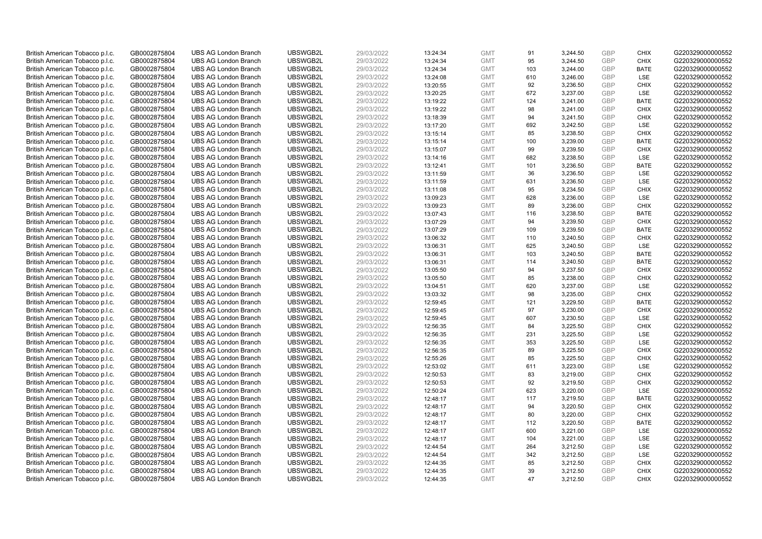| British American Tobacco p.l.c. | GB0002875804 | <b>UBS AG London Branch</b> | UBSWGB2L | 29/03/2022 | 13:24:34 | <b>GMT</b> | 91  | 3,244.50 | <b>GBP</b> | <b>CHIX</b> | G220329000000552 |
|---------------------------------|--------------|-----------------------------|----------|------------|----------|------------|-----|----------|------------|-------------|------------------|
| British American Tobacco p.l.c. | GB0002875804 | <b>UBS AG London Branch</b> | UBSWGB2L | 29/03/2022 | 13:24:34 | <b>GMT</b> | 95  | 3,244.50 | GBP        | CHIX        | G220329000000552 |
| British American Tobacco p.l.c. | GB0002875804 | <b>UBS AG London Branch</b> | UBSWGB2L | 29/03/2022 | 13:24:34 | <b>GMT</b> | 103 | 3,244.00 | GBP        | <b>BATE</b> | G220329000000552 |
| British American Tobacco p.l.c. | GB0002875804 | <b>UBS AG London Branch</b> | UBSWGB2L | 29/03/2022 | 13:24:08 | <b>GMT</b> | 610 | 3,246.00 | GBP        | LSE         | G220329000000552 |
| British American Tobacco p.l.c. | GB0002875804 | <b>UBS AG London Branch</b> | UBSWGB2L | 29/03/2022 | 13:20:55 | <b>GMT</b> | 92  | 3,236.50 | GBP        | <b>CHIX</b> | G220329000000552 |
| British American Tobacco p.l.c. | GB0002875804 | <b>UBS AG London Branch</b> | UBSWGB2L | 29/03/2022 | 13:20:25 | <b>GMT</b> | 672 | 3,237.00 | <b>GBP</b> | <b>LSE</b>  | G220329000000552 |
| British American Tobacco p.l.c. | GB0002875804 | <b>UBS AG London Branch</b> | UBSWGB2L | 29/03/2022 | 13:19:22 | <b>GMT</b> | 124 | 3,241.00 | <b>GBP</b> | <b>BATE</b> | G220329000000552 |
| British American Tobacco p.l.c. | GB0002875804 | <b>UBS AG London Branch</b> | UBSWGB2L | 29/03/2022 | 13:19:22 | <b>GMT</b> | 98  | 3,241.00 | <b>GBP</b> | <b>CHIX</b> | G220329000000552 |
| British American Tobacco p.l.c. | GB0002875804 | <b>UBS AG London Branch</b> | UBSWGB2L | 29/03/2022 | 13:18:39 | <b>GMT</b> | 94  | 3,241.50 | GBP        | <b>CHIX</b> | G220329000000552 |
| British American Tobacco p.l.c. | GB0002875804 | <b>UBS AG London Branch</b> | UBSWGB2L | 29/03/2022 | 13:17:20 | <b>GMT</b> | 692 | 3,242.50 | <b>GBP</b> | LSE         | G220329000000552 |
| British American Tobacco p.l.c. | GB0002875804 | <b>UBS AG London Branch</b> | UBSWGB2L | 29/03/2022 | 13:15:14 | <b>GMT</b> | 85  | 3,238.50 | GBP        | <b>CHIX</b> | G220329000000552 |
| British American Tobacco p.l.c. | GB0002875804 | <b>UBS AG London Branch</b> | UBSWGB2L | 29/03/2022 | 13:15:14 | <b>GMT</b> | 100 | 3,239.00 | <b>GBP</b> | <b>BATE</b> | G220329000000552 |
| British American Tobacco p.l.c. | GB0002875804 | <b>UBS AG London Branch</b> | UBSWGB2L | 29/03/2022 | 13:15:07 | <b>GMT</b> | 99  | 3,239.50 | <b>GBP</b> | <b>CHIX</b> | G220329000000552 |
| British American Tobacco p.l.c. | GB0002875804 | <b>UBS AG London Branch</b> | UBSWGB2L | 29/03/2022 | 13:14:16 | <b>GMT</b> | 682 | 3,238.50 | <b>GBP</b> | <b>LSE</b>  | G220329000000552 |
| British American Tobacco p.l.c. | GB0002875804 | <b>UBS AG London Branch</b> | UBSWGB2L | 29/03/2022 | 13:12:41 | <b>GMT</b> | 101 | 3,236.50 | GBP        | <b>BATE</b> | G220329000000552 |
| British American Tobacco p.l.c. | GB0002875804 | <b>UBS AG London Branch</b> | UBSWGB2L | 29/03/2022 | 13:11:59 | <b>GMT</b> | 36  | 3,236.50 | <b>GBP</b> | LSE         | G220329000000552 |
| British American Tobacco p.l.c. | GB0002875804 | <b>UBS AG London Branch</b> | UBSWGB2L | 29/03/2022 | 13:11:59 | <b>GMT</b> | 631 | 3,236.50 | <b>GBP</b> | LSE         | G220329000000552 |
| British American Tobacco p.l.c. | GB0002875804 | <b>UBS AG London Branch</b> | UBSWGB2L | 29/03/2022 | 13:11:08 | <b>GMT</b> | 95  | 3,234.50 | <b>GBP</b> | <b>CHIX</b> | G220329000000552 |
| British American Tobacco p.l.c. | GB0002875804 | <b>UBS AG London Branch</b> | UBSWGB2L | 29/03/2022 | 13:09:23 | <b>GMT</b> | 628 | 3,236.00 | <b>GBP</b> | <b>LSE</b>  | G220329000000552 |
| British American Tobacco p.l.c. | GB0002875804 | <b>UBS AG London Branch</b> | UBSWGB2L | 29/03/2022 | 13:09:23 | <b>GMT</b> | 89  | 3,236.00 | <b>GBP</b> | <b>CHIX</b> | G220329000000552 |
| British American Tobacco p.l.c. | GB0002875804 | <b>UBS AG London Branch</b> | UBSWGB2L | 29/03/2022 | 13:07:43 | <b>GMT</b> | 116 | 3,238.50 | <b>GBP</b> | <b>BATE</b> | G220329000000552 |
| British American Tobacco p.l.c. | GB0002875804 | <b>UBS AG London Branch</b> | UBSWGB2L | 29/03/2022 | 13:07:29 | <b>GMT</b> | 94  | 3,239.50 | <b>GBP</b> | <b>CHIX</b> | G220329000000552 |
| British American Tobacco p.l.c. | GB0002875804 | <b>UBS AG London Branch</b> | UBSWGB2L | 29/03/2022 | 13:07:29 | <b>GMT</b> | 109 | 3,239.50 | <b>GBP</b> | <b>BATE</b> | G220329000000552 |
| British American Tobacco p.l.c. | GB0002875804 | <b>UBS AG London Branch</b> | UBSWGB2L | 29/03/2022 | 13:06:32 | <b>GMT</b> | 110 | 3,240.50 | GBP        | <b>CHIX</b> | G220329000000552 |
| British American Tobacco p.l.c. | GB0002875804 | <b>UBS AG London Branch</b> | UBSWGB2L | 29/03/2022 | 13:06:31 | <b>GMT</b> | 625 | 3,240.50 | GBP        | LSE         | G220329000000552 |
| British American Tobacco p.l.c. | GB0002875804 | <b>UBS AG London Branch</b> | UBSWGB2L | 29/03/2022 | 13:06:31 | <b>GMT</b> | 103 | 3,240.50 | <b>GBP</b> | <b>BATE</b> | G220329000000552 |
| British American Tobacco p.l.c. | GB0002875804 | <b>UBS AG London Branch</b> | UBSWGB2L | 29/03/2022 | 13:06:31 | <b>GMT</b> | 114 | 3,240.50 | <b>GBP</b> | <b>BATE</b> | G220329000000552 |
| British American Tobacco p.l.c. | GB0002875804 | <b>UBS AG London Branch</b> | UBSWGB2L | 29/03/2022 | 13:05:50 | <b>GMT</b> | 94  | 3,237.50 | <b>GBP</b> | <b>CHIX</b> | G220329000000552 |
| British American Tobacco p.l.c. | GB0002875804 | <b>UBS AG London Branch</b> | UBSWGB2L | 29/03/2022 | 13:05:50 | <b>GMT</b> | 85  | 3,238.00 | GBP        | <b>CHIX</b> | G220329000000552 |
| British American Tobacco p.l.c. | GB0002875804 | <b>UBS AG London Branch</b> | UBSWGB2L | 29/03/2022 | 13:04:51 | <b>GMT</b> | 620 | 3,237.00 | <b>GBP</b> | LSE         | G220329000000552 |
| British American Tobacco p.l.c. | GB0002875804 | <b>UBS AG London Branch</b> | UBSWGB2L | 29/03/2022 | 13:03:32 | <b>GMT</b> | 98  | 3,235.00 | GBP        | <b>CHIX</b> | G220329000000552 |
| British American Tobacco p.l.c. | GB0002875804 | <b>UBS AG London Branch</b> | UBSWGB2L | 29/03/2022 | 12:59:45 | <b>GMT</b> | 121 | 3,229.50 | <b>GBP</b> | <b>BATE</b> | G220329000000552 |
| British American Tobacco p.l.c. | GB0002875804 | <b>UBS AG London Branch</b> | UBSWGB2L | 29/03/2022 | 12:59:45 | <b>GMT</b> | 97  | 3.230.00 | GBP        | CHIX        | G220329000000552 |
| British American Tobacco p.l.c. | GB0002875804 | <b>UBS AG London Branch</b> | UBSWGB2L | 29/03/2022 | 12:59:45 | <b>GMT</b> | 607 | 3,230.50 | <b>GBP</b> | <b>LSE</b>  | G220329000000552 |
| British American Tobacco p.l.c. | GB0002875804 | <b>UBS AG London Branch</b> | UBSWGB2L | 29/03/2022 | 12:56:35 | <b>GMT</b> | 84  | 3,225.50 | GBP        | <b>CHIX</b> | G220329000000552 |
| British American Tobacco p.l.c. | GB0002875804 | <b>UBS AG London Branch</b> | UBSWGB2L | 29/03/2022 | 12:56:35 | <b>GMT</b> | 231 | 3,225.50 | <b>GBP</b> | <b>LSE</b>  | G220329000000552 |
| British American Tobacco p.l.c. | GB0002875804 | <b>UBS AG London Branch</b> | UBSWGB2L | 29/03/2022 | 12:56:35 | <b>GMT</b> | 353 | 3.225.50 | GBP        | <b>LSE</b>  | G220329000000552 |
| British American Tobacco p.l.c. | GB0002875804 | <b>UBS AG London Branch</b> | UBSWGB2L | 29/03/2022 | 12:56:35 | <b>GMT</b> | 89  | 3,225.50 | <b>GBP</b> | <b>CHIX</b> | G220329000000552 |
| British American Tobacco p.l.c. | GB0002875804 | <b>UBS AG London Branch</b> | UBSWGB2L | 29/03/2022 | 12:55:26 | <b>GMT</b> | 85  | 3,225.50 | <b>GBP</b> | <b>CHIX</b> | G220329000000552 |
| British American Tobacco p.l.c. | GB0002875804 | <b>UBS AG London Branch</b> | UBSWGB2L | 29/03/2022 | 12:53:02 | <b>GMT</b> | 611 | 3,223.00 | <b>GBP</b> | LSE         | G220329000000552 |
| British American Tobacco p.l.c. | GB0002875804 | <b>UBS AG London Branch</b> | UBSWGB2L | 29/03/2022 | 12:50:53 | <b>GMT</b> | 83  | 3,219.00 | GBP        | <b>CHIX</b> | G220329000000552 |
| British American Tobacco p.l.c. | GB0002875804 | <b>UBS AG London Branch</b> | UBSWGB2L | 29/03/2022 | 12:50:53 | <b>GMT</b> | 92  | 3,219.50 | GBP        | <b>CHIX</b> | G220329000000552 |
| British American Tobacco p.l.c. | GB0002875804 | <b>UBS AG London Branch</b> | UBSWGB2L | 29/03/2022 | 12:50:24 | <b>GMT</b> | 623 | 3,220.00 | <b>GBP</b> | LSE         | G220329000000552 |
| British American Tobacco p.l.c. | GB0002875804 | <b>UBS AG London Branch</b> | UBSWGB2L | 29/03/2022 | 12:48:17 | <b>GMT</b> | 117 | 3,219.50 | GBP        | <b>BATE</b> | G220329000000552 |
| British American Tobacco p.l.c. | GB0002875804 | <b>UBS AG London Branch</b> | UBSWGB2L | 29/03/2022 | 12:48:17 | <b>GMT</b> | 94  | 3,220.50 | <b>GBP</b> | <b>CHIX</b> | G220329000000552 |
| British American Tobacco p.l.c. | GB0002875804 | <b>UBS AG London Branch</b> | UBSWGB2L | 29/03/2022 | 12:48:17 | <b>GMT</b> | 80  | 3,220.00 | GBP        | <b>CHIX</b> | G220329000000552 |
| British American Tobacco p.l.c. | GB0002875804 | <b>UBS AG London Branch</b> | UBSWGB2L | 29/03/2022 | 12:48:17 | <b>GMT</b> | 112 | 3,220.50 | <b>GBP</b> | <b>BATE</b> | G220329000000552 |
| British American Tobacco p.l.c. | GB0002875804 | <b>UBS AG London Branch</b> | UBSWGB2L | 29/03/2022 | 12:48:17 | <b>GMT</b> | 600 | 3,221.00 | <b>GBP</b> | LSE         | G220329000000552 |
| British American Tobacco p.l.c. | GB0002875804 | <b>UBS AG London Branch</b> | UBSWGB2L | 29/03/2022 | 12:48:17 | <b>GMT</b> | 104 | 3,221.00 | <b>GBP</b> | LSE         | G220329000000552 |
| British American Tobacco p.l.c. | GB0002875804 | <b>UBS AG London Branch</b> | UBSWGB2L | 29/03/2022 | 12:44:54 | <b>GMT</b> | 264 | 3,212.50 | <b>GBP</b> | LSE         | G220329000000552 |
| British American Tobacco p.l.c. | GB0002875804 | <b>UBS AG London Branch</b> | UBSWGB2L | 29/03/2022 | 12:44:54 | <b>GMT</b> | 342 | 3,212.50 | <b>GBP</b> | LSE         | G220329000000552 |
| British American Tobacco p.l.c. | GB0002875804 | <b>UBS AG London Branch</b> | UBSWGB2L | 29/03/2022 | 12:44:35 | <b>GMT</b> | 85  | 3,212.50 | <b>GBP</b> | <b>CHIX</b> | G220329000000552 |
| British American Tobacco p.l.c. | GB0002875804 | <b>UBS AG London Branch</b> | UBSWGB2L | 29/03/2022 | 12:44:35 | <b>GMT</b> | 39  | 3,212.50 | <b>GBP</b> | <b>CHIX</b> | G220329000000552 |
| British American Tobacco p.l.c. | GB0002875804 | <b>UBS AG London Branch</b> | UBSWGB2L | 29/03/2022 | 12:44:35 | <b>GMT</b> | 47  | 3,212.50 | GBP        | CHIX        | G220329000000552 |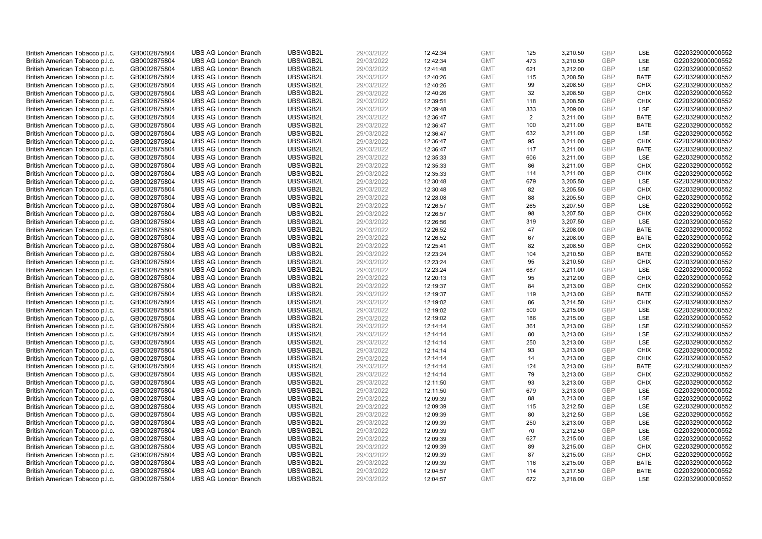| British American Tobacco p.l.c. | GB0002875804 | <b>UBS AG London Branch</b> | UBSWGB2L | 29/03/2022 | 12:42:34 | <b>GMT</b> | 125 | 3,210.50 | <b>GBP</b> | LSE         | G220329000000552 |
|---------------------------------|--------------|-----------------------------|----------|------------|----------|------------|-----|----------|------------|-------------|------------------|
| British American Tobacco p.l.c. | GB0002875804 | <b>UBS AG London Branch</b> | UBSWGB2L | 29/03/2022 | 12:42:34 | <b>GMT</b> | 473 | 3,210.50 | GBP        | LSE         | G220329000000552 |
| British American Tobacco p.l.c. | GB0002875804 | <b>UBS AG London Branch</b> | UBSWGB2L | 29/03/2022 | 12:41:48 | <b>GMT</b> | 621 | 3,212.00 | GBP        | LSE         | G220329000000552 |
| British American Tobacco p.l.c. | GB0002875804 | <b>UBS AG London Branch</b> | UBSWGB2L | 29/03/2022 | 12:40:26 | <b>GMT</b> | 115 | 3,208.50 | GBP        | <b>BATE</b> | G220329000000552 |
| British American Tobacco p.l.c. | GB0002875804 | <b>UBS AG London Branch</b> | UBSWGB2L | 29/03/2022 | 12:40:26 | <b>GMT</b> | 99  | 3,208.50 | <b>GBP</b> | <b>CHIX</b> | G220329000000552 |
| British American Tobacco p.l.c. | GB0002875804 | <b>UBS AG London Branch</b> | UBSWGB2L | 29/03/2022 | 12:40:26 | <b>GMT</b> | 32  | 3,208.50 | <b>GBP</b> | <b>CHIX</b> | G220329000000552 |
| British American Tobacco p.l.c. | GB0002875804 | <b>UBS AG London Branch</b> | UBSWGB2L | 29/03/2022 | 12:39:51 | <b>GMT</b> | 118 | 3,208.50 | GBP        | <b>CHIX</b> | G220329000000552 |
| British American Tobacco p.l.c. | GB0002875804 | <b>UBS AG London Branch</b> | UBSWGB2L | 29/03/2022 | 12:39:48 | <b>GMT</b> | 333 | 3,209.00 | GBP        | LSE         | G220329000000552 |
| British American Tobacco p.l.c. | GB0002875804 | <b>UBS AG London Branch</b> | UBSWGB2L | 29/03/2022 | 12:36:47 | <b>GMT</b> | 2   | 3,211.00 | GBP        | <b>BATE</b> | G220329000000552 |
| British American Tobacco p.l.c. | GB0002875804 | <b>UBS AG London Branch</b> | UBSWGB2L | 29/03/2022 | 12:36:47 | <b>GMT</b> | 100 | 3,211.00 | <b>GBP</b> | <b>BATE</b> | G220329000000552 |
| British American Tobacco p.l.c. | GB0002875804 | <b>UBS AG London Branch</b> | UBSWGB2L | 29/03/2022 | 12:36:47 | <b>GMT</b> | 632 | 3,211.00 | GBP        | <b>LSE</b>  | G220329000000552 |
| British American Tobacco p.l.c. | GB0002875804 | <b>UBS AG London Branch</b> | UBSWGB2L | 29/03/2022 | 12:36:47 | <b>GMT</b> | 95  | 3,211.00 | <b>GBP</b> | <b>CHIX</b> | G220329000000552 |
| British American Tobacco p.l.c. | GB0002875804 | <b>UBS AG London Branch</b> | UBSWGB2L | 29/03/2022 | 12:36:47 | <b>GMT</b> | 117 | 3,211.00 | GBP        | <b>BATE</b> | G220329000000552 |
| British American Tobacco p.l.c. | GB0002875804 | <b>UBS AG London Branch</b> | UBSWGB2L | 29/03/2022 | 12:35:33 | <b>GMT</b> | 606 | 3,211.00 | <b>GBP</b> | LSE         | G220329000000552 |
| British American Tobacco p.l.c. | GB0002875804 | <b>UBS AG London Branch</b> | UBSWGB2L | 29/03/2022 | 12:35:33 | <b>GMT</b> | 86  | 3,211.00 | GBP        | <b>CHIX</b> | G220329000000552 |
| British American Tobacco p.l.c. | GB0002875804 | <b>UBS AG London Branch</b> | UBSWGB2L | 29/03/2022 | 12:35:33 | <b>GMT</b> | 114 | 3,211.00 | <b>GBP</b> | <b>CHIX</b> | G220329000000552 |
| British American Tobacco p.l.c. | GB0002875804 | <b>UBS AG London Branch</b> | UBSWGB2L | 29/03/2022 | 12:30:48 | <b>GMT</b> | 679 | 3,205.50 | GBP        | <b>LSE</b>  | G220329000000552 |
| British American Tobacco p.l.c. | GB0002875804 | <b>UBS AG London Branch</b> | UBSWGB2L | 29/03/2022 | 12:30:48 | <b>GMT</b> | 82  | 3,205.50 | <b>GBP</b> | <b>CHIX</b> | G220329000000552 |
| British American Tobacco p.l.c. | GB0002875804 | <b>UBS AG London Branch</b> | UBSWGB2L | 29/03/2022 | 12:28:08 | <b>GMT</b> | 88  | 3,205.50 | <b>GBP</b> | <b>CHIX</b> | G220329000000552 |
| British American Tobacco p.l.c. | GB0002875804 | <b>UBS AG London Branch</b> | UBSWGB2L | 29/03/2022 | 12:26:57 | <b>GMT</b> | 265 | 3,207.50 | <b>GBP</b> | LSE         | G220329000000552 |
| British American Tobacco p.l.c. | GB0002875804 | <b>UBS AG London Branch</b> | UBSWGB2L | 29/03/2022 | 12:26:57 | <b>GMT</b> | 98  | 3,207.50 | GBP        | <b>CHIX</b> | G220329000000552 |
| British American Tobacco p.l.c. | GB0002875804 | <b>UBS AG London Branch</b> | UBSWGB2L | 29/03/2022 | 12:26:56 | <b>GMT</b> | 319 | 3,207.50 | GBP        | LSE         | G220329000000552 |
| British American Tobacco p.l.c. | GB0002875804 | <b>UBS AG London Branch</b> | UBSWGB2L | 29/03/2022 | 12:26:52 | <b>GMT</b> | 47  | 3,208.00 | <b>GBP</b> | <b>BATE</b> | G220329000000552 |
| British American Tobacco p.l.c. | GB0002875804 | <b>UBS AG London Branch</b> | UBSWGB2L | 29/03/2022 | 12:26:52 | <b>GMT</b> | 67  | 3,208.00 | GBP        | <b>BATE</b> | G220329000000552 |
| British American Tobacco p.l.c. | GB0002875804 | <b>UBS AG London Branch</b> | UBSWGB2L | 29/03/2022 | 12:25:41 | <b>GMT</b> | 82  | 3,208.50 | <b>GBP</b> | <b>CHIX</b> | G220329000000552 |
| British American Tobacco p.l.c. | GB0002875804 | <b>UBS AG London Branch</b> | UBSWGB2L | 29/03/2022 | 12:23:24 | <b>GMT</b> | 104 | 3,210.50 | <b>GBP</b> | <b>BATE</b> | G220329000000552 |
| British American Tobacco p.l.c. | GB0002875804 | <b>UBS AG London Branch</b> | UBSWGB2L | 29/03/2022 | 12:23:24 | <b>GMT</b> | 95  | 3,210.50 | <b>GBP</b> | <b>CHIX</b> | G220329000000552 |
| British American Tobacco p.l.c. | GB0002875804 | <b>UBS AG London Branch</b> | UBSWGB2L | 29/03/2022 | 12:23:24 | <b>GMT</b> | 687 | 3,211.00 | <b>GBP</b> | <b>LSE</b>  | G220329000000552 |
| British American Tobacco p.l.c. | GB0002875804 | <b>UBS AG London Branch</b> | UBSWGB2L | 29/03/2022 | 12:20:13 | <b>GMT</b> | 95  | 3,212.00 | <b>GBP</b> | <b>CHIX</b> | G220329000000552 |
| British American Tobacco p.l.c. | GB0002875804 | <b>UBS AG London Branch</b> | UBSWGB2L | 29/03/2022 | 12:19:37 | <b>GMT</b> | 84  | 3,213.00 | GBP        | <b>CHIX</b> | G220329000000552 |
| British American Tobacco p.l.c. | GB0002875804 | <b>UBS AG London Branch</b> | UBSWGB2L | 29/03/2022 | 12:19:37 | <b>GMT</b> | 119 | 3,213.00 | GBP        | <b>BATE</b> | G220329000000552 |
| British American Tobacco p.l.c. | GB0002875804 | <b>UBS AG London Branch</b> | UBSWGB2L | 29/03/2022 | 12:19:02 | <b>GMT</b> | 86  | 3,214.50 | <b>GBP</b> | <b>CHIX</b> | G220329000000552 |
| British American Tobacco p.l.c. | GB0002875804 | <b>UBS AG London Branch</b> | UBSWGB2L | 29/03/2022 | 12:19:02 | <b>GMT</b> | 500 | 3,215.00 | <b>GBP</b> | LSE         | G220329000000552 |
| British American Tobacco p.l.c. | GB0002875804 | <b>UBS AG London Branch</b> | UBSWGB2L | 29/03/2022 | 12:19:02 | <b>GMT</b> | 186 | 3,215.00 | GBP        | LSE         | G220329000000552 |
| British American Tobacco p.l.c. | GB0002875804 | <b>UBS AG London Branch</b> | UBSWGB2L | 29/03/2022 | 12:14:14 | <b>GMT</b> | 361 | 3,213.00 | GBP        | LSE         | G220329000000552 |
| British American Tobacco p.l.c. | GB0002875804 | <b>UBS AG London Branch</b> | UBSWGB2L | 29/03/2022 | 12:14:14 | <b>GMT</b> | 80  | 3,213.00 | GBP        | LSE         | G220329000000552 |
| British American Tobacco p.l.c. | GB0002875804 | <b>UBS AG London Branch</b> | UBSWGB2L | 29/03/2022 | 12:14:14 | <b>GMT</b> | 250 | 3,213.00 | GBP        | <b>LSE</b>  | G220329000000552 |
| British American Tobacco p.l.c. | GB0002875804 | <b>UBS AG London Branch</b> | UBSWGB2L | 29/03/2022 | 12:14:14 | <b>GMT</b> | 93  | 3,213.00 | <b>GBP</b> | <b>CHIX</b> | G220329000000552 |
| British American Tobacco p.l.c. | GB0002875804 | <b>UBS AG London Branch</b> | UBSWGB2L | 29/03/2022 | 12:14:14 | <b>GMT</b> | 14  | 3,213.00 | <b>GBP</b> | <b>CHIX</b> | G220329000000552 |
| British American Tobacco p.l.c. | GB0002875804 | <b>UBS AG London Branch</b> | UBSWGB2L | 29/03/2022 | 12:14:14 | <b>GMT</b> | 124 | 3,213.00 | <b>GBP</b> | <b>BATE</b> | G220329000000552 |
| British American Tobacco p.l.c. | GB0002875804 | <b>UBS AG London Branch</b> | UBSWGB2L | 29/03/2022 | 12:14:14 | <b>GMT</b> | 79  | 3,213.00 | <b>GBP</b> | <b>CHIX</b> | G220329000000552 |
| British American Tobacco p.l.c. | GB0002875804 | <b>UBS AG London Branch</b> | UBSWGB2L | 29/03/2022 | 12:11:50 | <b>GMT</b> | 93  | 3,213.00 | <b>GBP</b> | <b>CHIX</b> | G220329000000552 |
| British American Tobacco p.l.c. | GB0002875804 | <b>UBS AG London Branch</b> | UBSWGB2L | 29/03/2022 | 12:11:50 | <b>GMT</b> | 679 | 3,213.00 | <b>GBP</b> | LSE         | G220329000000552 |
| British American Tobacco p.l.c. | GB0002875804 | <b>UBS AG London Branch</b> | UBSWGB2L | 29/03/2022 | 12:09:39 | <b>GMT</b> | 88  | 3,213.00 | <b>GBP</b> | <b>LSE</b>  | G220329000000552 |
| British American Tobacco p.l.c. | GB0002875804 | <b>UBS AG London Branch</b> | UBSWGB2L | 29/03/2022 | 12:09:39 | <b>GMT</b> | 115 | 3,212.50 | <b>GBP</b> | <b>LSE</b>  | G220329000000552 |
| British American Tobacco p.l.c. | GB0002875804 | <b>UBS AG London Branch</b> | UBSWGB2L | 29/03/2022 | 12:09:39 | <b>GMT</b> | 80  | 3,212.50 | <b>GBP</b> | LSE         | G220329000000552 |
| British American Tobacco p.l.c. | GB0002875804 | <b>UBS AG London Branch</b> | UBSWGB2L | 29/03/2022 | 12:09:39 | <b>GMT</b> | 250 | 3,213.00 | <b>GBP</b> | LSE         | G220329000000552 |
| British American Tobacco p.l.c. | GB0002875804 | <b>UBS AG London Branch</b> | UBSWGB2L | 29/03/2022 | 12:09:39 | <b>GMT</b> | 70  | 3,212.50 | <b>GBP</b> | LSE         | G220329000000552 |
| British American Tobacco p.l.c. | GB0002875804 | <b>UBS AG London Branch</b> | UBSWGB2L | 29/03/2022 | 12:09:39 | <b>GMT</b> | 627 | 3,215.00 | <b>GBP</b> | LSE         | G220329000000552 |
| British American Tobacco p.l.c. | GB0002875804 | <b>UBS AG London Branch</b> | UBSWGB2L | 29/03/2022 | 12:09:39 | <b>GMT</b> | 89  | 3,215.00 | GBP        | <b>CHIX</b> | G220329000000552 |
| British American Tobacco p.l.c. | GB0002875804 | <b>UBS AG London Branch</b> | UBSWGB2L | 29/03/2022 | 12:09:39 | <b>GMT</b> | 87  | 3,215.00 | <b>GBP</b> | <b>CHIX</b> | G220329000000552 |
| British American Tobacco p.l.c. | GB0002875804 | <b>UBS AG London Branch</b> | UBSWGB2L | 29/03/2022 | 12:09:39 | <b>GMT</b> | 116 | 3,215.00 | <b>GBP</b> | <b>BATE</b> | G220329000000552 |
| British American Tobacco p.l.c. | GB0002875804 | <b>UBS AG London Branch</b> | UBSWGB2L | 29/03/2022 | 12:04:57 | <b>GMT</b> | 114 | 3,217.50 | GBP        | <b>BATE</b> | G220329000000552 |
| British American Tobacco p.l.c. | GB0002875804 | <b>UBS AG London Branch</b> | UBSWGB2L | 29/03/2022 | 12:04:57 | <b>GMT</b> | 672 | 3,218.00 | GBP        | <b>LSE</b>  | G220329000000552 |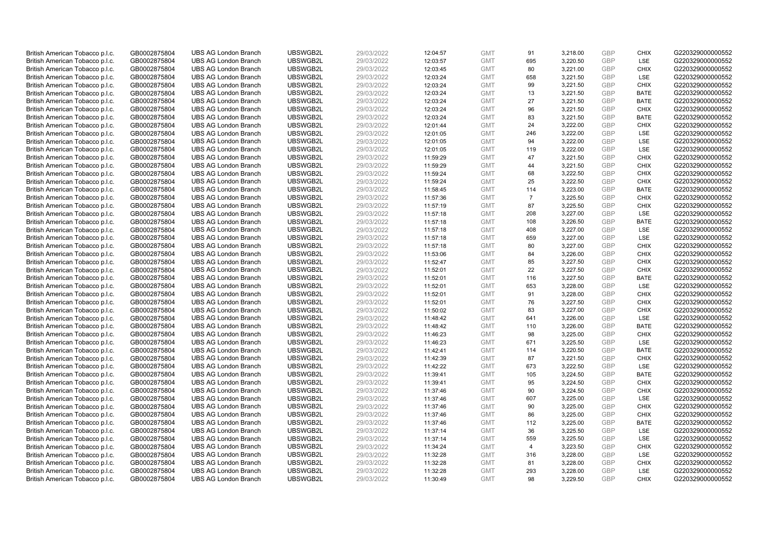| British American Tobacco p.l.c. | GB0002875804 | <b>UBS AG London Branch</b>                                | UBSWGB2L             | 29/03/2022 | 12:04:57 | <b>GMT</b>               | 91             | 3,218.00             | <b>GBP</b>               | <b>CHIX</b>               | G220329000000552 |
|---------------------------------|--------------|------------------------------------------------------------|----------------------|------------|----------|--------------------------|----------------|----------------------|--------------------------|---------------------------|------------------|
| British American Tobacco p.l.c. | GB0002875804 | <b>UBS AG London Branch</b>                                | UBSWGB2L             | 29/03/2022 | 12:03:57 | <b>GMT</b>               | 695            | 3,220.50             | GBP                      | <b>LSE</b>                | G220329000000552 |
| British American Tobacco p.l.c. | GB0002875804 | <b>UBS AG London Branch</b>                                | UBSWGB2L             | 29/03/2022 | 12:03:45 | <b>GMT</b>               | 80             | 3,221.00             | <b>GBP</b>               | <b>CHIX</b>               | G220329000000552 |
|                                 |              |                                                            | UBSWGB2L             |            |          |                          |                |                      | <b>GBP</b>               |                           |                  |
| British American Tobacco p.l.c. | GB0002875804 | <b>UBS AG London Branch</b>                                |                      | 29/03/2022 | 12:03:24 | <b>GMT</b>               | 658            | 3,221.50             |                          | LSE                       | G220329000000552 |
| British American Tobacco p.l.c. | GB0002875804 | <b>UBS AG London Branch</b>                                | UBSWGB2L             | 29/03/2022 | 12:03:24 | <b>GMT</b>               | 99             | 3,221.50             | <b>GBP</b>               | <b>CHIX</b>               | G220329000000552 |
| British American Tobacco p.l.c. | GB0002875804 | <b>UBS AG London Branch</b>                                | UBSWGB2L             | 29/03/2022 | 12:03:24 | <b>GMT</b>               | 13             | 3,221.50             | <b>GBP</b>               | <b>BATE</b>               | G220329000000552 |
| British American Tobacco p.l.c. | GB0002875804 | <b>UBS AG London Branch</b>                                | UBSWGB2L             | 29/03/2022 | 12:03:24 | <b>GMT</b>               | 27             | 3,221.50             | <b>GBP</b>               | <b>BATE</b>               | G220329000000552 |
| British American Tobacco p.l.c. | GB0002875804 | <b>UBS AG London Branch</b>                                | UBSWGB2L             | 29/03/2022 | 12:03:24 | <b>GMT</b>               | 96             | 3,221.50             | <b>GBP</b>               | <b>CHIX</b>               | G220329000000552 |
| British American Tobacco p.l.c. | GB0002875804 | <b>UBS AG London Branch</b>                                | UBSWGB2L             | 29/03/2022 | 12:03:24 | <b>GMT</b>               | 83             | 3,221.50             | <b>GBP</b>               | <b>BATE</b>               | G220329000000552 |
| British American Tobacco p.l.c. | GB0002875804 | <b>UBS AG London Branch</b>                                | UBSWGB2L             | 29/03/2022 | 12:01:44 | <b>GMT</b>               | 24             | 3,222.00             | <b>GBP</b>               | <b>CHIX</b>               | G220329000000552 |
| British American Tobacco p.l.c. | GB0002875804 | <b>UBS AG London Branch</b>                                | UBSWGB2L             | 29/03/2022 | 12:01:05 | <b>GMT</b>               | 246            | 3,222.00             | <b>GBP</b>               | <b>LSE</b>                | G220329000000552 |
| British American Tobacco p.l.c. | GB0002875804 | <b>UBS AG London Branch</b>                                | UBSWGB2L             | 29/03/2022 | 12:01:05 | <b>GMT</b>               | 94             | 3,222.00             | <b>GBP</b>               | LSE                       | G220329000000552 |
| British American Tobacco p.l.c. | GB0002875804 | <b>UBS AG London Branch</b>                                | UBSWGB2L             | 29/03/2022 | 12:01:05 | <b>GMT</b>               | 119            | 3,222.00             | <b>GBP</b>               | LSE                       | G220329000000552 |
| British American Tobacco p.l.c. | GB0002875804 | <b>UBS AG London Branch</b>                                | UBSWGB2L             | 29/03/2022 | 11:59:29 | <b>GMT</b>               | 47             | 3,221.50             | <b>GBP</b>               | <b>CHIX</b>               | G220329000000552 |
| British American Tobacco p.l.c. | GB0002875804 | <b>UBS AG London Branch</b>                                | UBSWGB2L             | 29/03/2022 | 11:59:29 | <b>GMT</b>               | 44             | 3,221.50             | <b>GBP</b>               | <b>CHIX</b>               | G220329000000552 |
| British American Tobacco p.l.c. | GB0002875804 | <b>UBS AG London Branch</b>                                | UBSWGB2L             | 29/03/2022 | 11:59:24 | <b>GMT</b>               | 68             | 3,222.50             | <b>GBP</b>               | <b>CHIX</b>               | G220329000000552 |
| British American Tobacco p.l.c. | GB0002875804 | <b>UBS AG London Branch</b>                                | UBSWGB2L             | 29/03/2022 | 11:59:24 | <b>GMT</b>               | 25             | 3,222.50             | <b>GBP</b>               | <b>CHIX</b>               | G220329000000552 |
| British American Tobacco p.l.c. | GB0002875804 | <b>UBS AG London Branch</b>                                | UBSWGB2L             | 29/03/2022 | 11:58:45 | <b>GMT</b>               | 114            | 3,223.00             | <b>GBP</b>               | <b>BATE</b>               | G220329000000552 |
| British American Tobacco p.l.c. | GB0002875804 | <b>UBS AG London Branch</b>                                | UBSWGB2L             | 29/03/2022 | 11:57:36 | <b>GMT</b>               | $\overline{7}$ | 3,225.50             | <b>GBP</b>               | <b>CHIX</b>               | G220329000000552 |
| British American Tobacco p.l.c. | GB0002875804 | <b>UBS AG London Branch</b>                                | UBSWGB2L             | 29/03/2022 | 11:57:19 | <b>GMT</b>               | 87             | 3,225.50             | <b>GBP</b>               | <b>CHIX</b>               | G220329000000552 |
| British American Tobacco p.l.c. | GB0002875804 | <b>UBS AG London Branch</b>                                | UBSWGB2L             | 29/03/2022 | 11:57:18 | <b>GMT</b>               | 208            | 3,227.00             | <b>GBP</b>               | LSE                       | G220329000000552 |
| British American Tobacco p.l.c. | GB0002875804 | <b>UBS AG London Branch</b>                                | UBSWGB2L             | 29/03/2022 | 11:57:18 | <b>GMT</b>               | 108            | 3,226.50             | <b>GBP</b>               | <b>BATE</b>               | G220329000000552 |
| British American Tobacco p.l.c. | GB0002875804 | <b>UBS AG London Branch</b>                                | UBSWGB2L             | 29/03/2022 | 11:57:18 | <b>GMT</b>               | 408            | 3,227.00             | <b>GBP</b>               | LSE                       | G220329000000552 |
| British American Tobacco p.l.c. | GB0002875804 | <b>UBS AG London Branch</b>                                | UBSWGB2L             | 29/03/2022 | 11:57:18 | <b>GMT</b>               | 659            | 3,227.00             | <b>GBP</b>               | <b>LSE</b>                | G220329000000552 |
| British American Tobacco p.l.c. | GB0002875804 | <b>UBS AG London Branch</b>                                | UBSWGB2L             | 29/03/2022 | 11:57:18 | <b>GMT</b>               | 80             | 3,227.00             | <b>GBP</b>               | <b>CHIX</b>               | G220329000000552 |
| British American Tobacco p.l.c. | GB0002875804 | <b>UBS AG London Branch</b>                                | UBSWGB2L             | 29/03/2022 | 11:53:06 | <b>GMT</b>               | 84             | 3,226.00             | <b>GBP</b>               | <b>CHIX</b>               | G220329000000552 |
| British American Tobacco p.l.c. | GB0002875804 | <b>UBS AG London Branch</b>                                | UBSWGB2L             | 29/03/2022 | 11:52:47 | <b>GMT</b>               | 85             | 3,227.50             | <b>GBP</b>               | <b>CHIX</b>               | G220329000000552 |
| British American Tobacco p.l.c. | GB0002875804 | <b>UBS AG London Branch</b>                                | UBSWGB2L             | 29/03/2022 | 11:52:01 | <b>GMT</b>               | 22             | 3,227.50             | <b>GBP</b>               | <b>CHIX</b>               | G220329000000552 |
| British American Tobacco p.l.c. | GB0002875804 | <b>UBS AG London Branch</b>                                | UBSWGB2L             | 29/03/2022 | 11:52:01 | <b>GMT</b>               | 116            | 3,227.50             | <b>GBP</b>               | <b>BATE</b>               | G220329000000552 |
| British American Tobacco p.l.c. | GB0002875804 | <b>UBS AG London Branch</b>                                | UBSWGB2L             | 29/03/2022 | 11:52:01 | <b>GMT</b>               | 653            | 3,228.00             | <b>GBP</b>               | LSE                       | G220329000000552 |
| British American Tobacco p.l.c. | GB0002875804 | <b>UBS AG London Branch</b>                                | UBSWGB2L             | 29/03/2022 | 11:52:01 | <b>GMT</b>               | 91             | 3,228.00             | <b>GBP</b>               | <b>CHIX</b>               | G220329000000552 |
| British American Tobacco p.l.c. | GB0002875804 | <b>UBS AG London Branch</b>                                | UBSWGB2L             | 29/03/2022 | 11:52:01 | <b>GMT</b>               | 76             | 3,227.50             | <b>GBP</b>               | <b>CHIX</b>               | G220329000000552 |
| British American Tobacco p.l.c. | GB0002875804 | <b>UBS AG London Branch</b>                                | UBSWGB2L             | 29/03/2022 | 11:50:02 | <b>GMT</b>               | 83             | 3,227.00             | <b>GBP</b>               | <b>CHIX</b>               | G220329000000552 |
| British American Tobacco p.l.c. | GB0002875804 | <b>UBS AG London Branch</b>                                | UBSWGB2L             | 29/03/2022 | 11:48:42 | <b>GMT</b>               | 641            | 3,226.00             | <b>GBP</b>               | LSE                       | G220329000000552 |
| British American Tobacco p.l.c. | GB0002875804 | <b>UBS AG London Branch</b>                                | UBSWGB2L             | 29/03/2022 | 11:48:42 | <b>GMT</b>               | 110            | 3,226.00             | <b>GBP</b>               | <b>BATE</b>               | G220329000000552 |
| British American Tobacco p.l.c. | GB0002875804 | <b>UBS AG London Branch</b>                                | UBSWGB2L             | 29/03/2022 | 11:46:23 | <b>GMT</b>               | 98             | 3,225.00             | <b>GBP</b>               | <b>CHIX</b>               | G220329000000552 |
| British American Tobacco p.l.c. | GB0002875804 | <b>UBS AG London Branch</b>                                | UBSWGB2L             | 29/03/2022 | 11:46:23 | <b>GMT</b>               | 671            | 3,225.50             | <b>GBP</b>               | <b>LSE</b>                | G220329000000552 |
| British American Tobacco p.l.c. | GB0002875804 | <b>UBS AG London Branch</b>                                | UBSWGB2L             | 29/03/2022 | 11:42:41 | <b>GMT</b>               | 114            | 3,220.50             | <b>GBP</b>               | <b>BATE</b>               | G220329000000552 |
|                                 |              | <b>UBS AG London Branch</b>                                | UBSWGB2L             | 29/03/2022 |          | <b>GMT</b>               | 87             |                      | <b>GBP</b>               | <b>CHIX</b>               | G220329000000552 |
| British American Tobacco p.l.c. | GB0002875804 |                                                            |                      |            | 11:42:39 |                          |                | 3,221.50             |                          |                           |                  |
| British American Tobacco p.l.c. | GB0002875804 | <b>UBS AG London Branch</b><br><b>UBS AG London Branch</b> | UBSWGB2L<br>UBSWGB2L | 29/03/2022 | 11:42:22 | <b>GMT</b><br><b>GMT</b> | 673<br>105     | 3,222.50<br>3,224.50 | <b>GBP</b><br><b>GBP</b> | <b>LSE</b><br><b>BATE</b> | G220329000000552 |
| British American Tobacco p.l.c. | GB0002875804 |                                                            |                      | 29/03/2022 | 11:39:41 |                          |                |                      |                          |                           | G220329000000552 |
| British American Tobacco p.l.c. | GB0002875804 | <b>UBS AG London Branch</b>                                | UBSWGB2L             | 29/03/2022 | 11:39:41 | <b>GMT</b>               | 95             | 3,224.50             | <b>GBP</b>               | <b>CHIX</b>               | G220329000000552 |
| British American Tobacco p.l.c. | GB0002875804 | <b>UBS AG London Branch</b>                                | UBSWGB2L             | 29/03/2022 | 11:37:46 | <b>GMT</b>               | 90             | 3,224.50             | <b>GBP</b>               | <b>CHIX</b>               | G220329000000552 |
| British American Tobacco p.l.c. | GB0002875804 | <b>UBS AG London Branch</b>                                | UBSWGB2L             | 29/03/2022 | 11:37:46 | <b>GMT</b>               | 607            | 3,225.00             | <b>GBP</b>               | LSE                       | G220329000000552 |
| British American Tobacco p.l.c. | GB0002875804 | <b>UBS AG London Branch</b>                                | UBSWGB2L             | 29/03/2022 | 11:37:46 | <b>GMT</b>               | 90             | 3,225.00             | <b>GBP</b>               | <b>CHIX</b>               | G220329000000552 |
| British American Tobacco p.l.c. | GB0002875804 | <b>UBS AG London Branch</b>                                | UBSWGB2L             | 29/03/2022 | 11:37:46 | <b>GMT</b>               | 86             | 3,225.00             | <b>GBP</b>               | <b>CHIX</b>               | G220329000000552 |
| British American Tobacco p.l.c. | GB0002875804 | <b>UBS AG London Branch</b>                                | UBSWGB2L             | 29/03/2022 | 11:37:46 | <b>GMT</b>               | 112            | 3,225.00             | <b>GBP</b>               | <b>BATE</b>               | G220329000000552 |
| British American Tobacco p.l.c. | GB0002875804 | <b>UBS AG London Branch</b>                                | UBSWGB2L             | 29/03/2022 | 11:37:14 | <b>GMT</b>               | 36             | 3,225.50             | <b>GBP</b>               | LSE                       | G220329000000552 |
| British American Tobacco p.l.c. | GB0002875804 | <b>UBS AG London Branch</b>                                | UBSWGB2L             | 29/03/2022 | 11:37:14 | <b>GMT</b>               | 559            | 3,225.50             | <b>GBP</b>               | LSE                       | G220329000000552 |
| British American Tobacco p.l.c. | GB0002875804 | <b>UBS AG London Branch</b>                                | UBSWGB2L             | 29/03/2022 | 11:34:24 | <b>GMT</b>               | $\overline{4}$ | 3,223.50             | <b>GBP</b>               | <b>CHIX</b>               | G220329000000552 |
| British American Tobacco p.l.c. | GB0002875804 | <b>UBS AG London Branch</b>                                | UBSWGB2L             | 29/03/2022 | 11:32:28 | <b>GMT</b>               | 316            | 3,228.00             | <b>GBP</b>               | LSE                       | G220329000000552 |
| British American Tobacco p.l.c. | GB0002875804 | <b>UBS AG London Branch</b>                                | UBSWGB2L             | 29/03/2022 | 11:32:28 | <b>GMT</b>               | 81             | 3,228.00             | <b>GBP</b>               | <b>CHIX</b>               | G220329000000552 |
| British American Tobacco p.l.c. | GB0002875804 | <b>UBS AG London Branch</b>                                | UBSWGB2L             | 29/03/2022 | 11:32:28 | <b>GMT</b>               | 293            | 3,228.00             | <b>GBP</b>               | <b>LSE</b>                | G220329000000552 |
| British American Tobacco p.l.c. | GB0002875804 | <b>UBS AG London Branch</b>                                | UBSWGB2L             | 29/03/2022 | 11:30:49 | <b>GMT</b>               | 98             | 3.229.50             | GBP                      | <b>CHIX</b>               | G220329000000552 |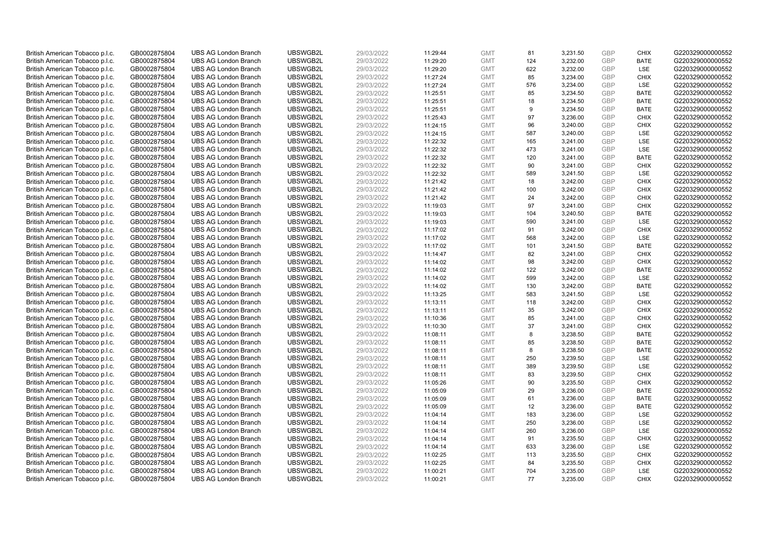| British American Tobacco p.l.c.                                    | GB0002875804                 | <b>UBS AG London Branch</b> | UBSWGB2L | 29/03/2022 | 11:29:44 | <b>GMT</b> | 81  | 3,231.50 | <b>GBP</b> | <b>CHIX</b> | G220329000000552 |
|--------------------------------------------------------------------|------------------------------|-----------------------------|----------|------------|----------|------------|-----|----------|------------|-------------|------------------|
|                                                                    |                              |                             |          |            |          |            | 124 |          | <b>GBP</b> | <b>BATE</b> |                  |
| British American Tobacco p.l.c.                                    | GB0002875804                 | <b>UBS AG London Branch</b> | UBSWGB2L | 29/03/2022 | 11:29:20 | <b>GMT</b> |     | 3,232.00 |            |             | G220329000000552 |
| British American Tobacco p.l.c.                                    | GB0002875804                 | <b>UBS AG London Branch</b> | UBSWGB2L | 29/03/2022 | 11:29:20 | <b>GMT</b> | 622 | 3,232.00 | <b>GBP</b> | LSE         | G220329000000552 |
| British American Tobacco p.l.c.                                    | GB0002875804                 | <b>UBS AG London Branch</b> | UBSWGB2L | 29/03/2022 | 11:27:24 | <b>GMT</b> | 85  | 3,234.00 | <b>GBP</b> | <b>CHIX</b> | G220329000000552 |
| British American Tobacco p.l.c.                                    | GB0002875804                 | <b>UBS AG London Branch</b> | UBSWGB2L | 29/03/2022 | 11:27:24 | <b>GMT</b> | 576 | 3,234.00 | <b>GBP</b> | LSE         | G220329000000552 |
| British American Tobacco p.l.c.                                    | GB0002875804                 | <b>UBS AG London Branch</b> | UBSWGB2L | 29/03/2022 | 11:25:51 | <b>GMT</b> | 85  | 3,234.50 | <b>GBP</b> | <b>BATE</b> | G220329000000552 |
| British American Tobacco p.l.c.                                    | GB0002875804                 | <b>UBS AG London Branch</b> | UBSWGB2L | 29/03/2022 | 11:25:51 | <b>GMT</b> | 18  | 3,234.50 | <b>GBP</b> | <b>BATE</b> | G220329000000552 |
| British American Tobacco p.l.c.                                    | GB0002875804                 | <b>UBS AG London Branch</b> | UBSWGB2L | 29/03/2022 | 11:25:51 | <b>GMT</b> | 9   | 3,234.50 | <b>GBP</b> | <b>BATE</b> | G220329000000552 |
| British American Tobacco p.l.c.                                    | GB0002875804                 | <b>UBS AG London Branch</b> | UBSWGB2L | 29/03/2022 | 11:25:43 | <b>GMT</b> | 97  | 3,236.00 | <b>GBP</b> | <b>CHIX</b> | G220329000000552 |
| British American Tobacco p.l.c.                                    | GB0002875804                 | <b>UBS AG London Branch</b> | UBSWGB2L | 29/03/2022 | 11:24:15 | <b>GMT</b> | 96  | 3,240.00 | <b>GBP</b> | <b>CHIX</b> | G220329000000552 |
| British American Tobacco p.l.c.                                    | GB0002875804                 | <b>UBS AG London Branch</b> | UBSWGB2L | 29/03/2022 | 11:24:15 | <b>GMT</b> | 587 | 3,240.00 | <b>GBP</b> | <b>LSE</b>  | G220329000000552 |
| British American Tobacco p.l.c.                                    | GB0002875804                 | <b>UBS AG London Branch</b> | UBSWGB2L | 29/03/2022 | 11:22:32 | <b>GMT</b> | 165 | 3,241.00 | <b>GBP</b> | LSE         | G220329000000552 |
| British American Tobacco p.l.c.                                    | GB0002875804                 | <b>UBS AG London Branch</b> | UBSWGB2L | 29/03/2022 | 11:22:32 | <b>GMT</b> | 473 | 3,241.00 | <b>GBP</b> | LSE         | G220329000000552 |
| British American Tobacco p.l.c.                                    | GB0002875804                 | <b>UBS AG London Branch</b> | UBSWGB2L | 29/03/2022 | 11:22:32 | <b>GMT</b> | 120 | 3,241.00 | <b>GBP</b> | <b>BATE</b> | G220329000000552 |
| British American Tobacco p.l.c.                                    | GB0002875804                 | <b>UBS AG London Branch</b> | UBSWGB2L | 29/03/2022 | 11:22:32 | <b>GMT</b> | 90  | 3,241.00 | <b>GBP</b> | <b>CHIX</b> | G220329000000552 |
| British American Tobacco p.l.c.                                    | GB0002875804                 | <b>UBS AG London Branch</b> | UBSWGB2L | 29/03/2022 | 11:22:32 | <b>GMT</b> | 589 | 3,241.50 | <b>GBP</b> | LSE         | G220329000000552 |
| British American Tobacco p.l.c.                                    | GB0002875804                 | <b>UBS AG London Branch</b> | UBSWGB2L | 29/03/2022 | 11:21:42 | <b>GMT</b> | 18  | 3,242.00 | <b>GBP</b> | <b>CHIX</b> | G220329000000552 |
| British American Tobacco p.l.c.                                    | GB0002875804                 | <b>UBS AG London Branch</b> | UBSWGB2L | 29/03/2022 | 11:21:42 | <b>GMT</b> | 100 | 3,242.00 | <b>GBP</b> | <b>CHIX</b> | G220329000000552 |
|                                                                    |                              | <b>UBS AG London Branch</b> | UBSWGB2L | 29/03/2022 | 11:21:42 | <b>GMT</b> | 24  | 3,242.00 | <b>GBP</b> | <b>CHIX</b> | G220329000000552 |
| British American Tobacco p.l.c.<br>British American Tobacco p.l.c. | GB0002875804<br>GB0002875804 | <b>UBS AG London Branch</b> | UBSWGB2L | 29/03/2022 |          | <b>GMT</b> | 97  |          | <b>GBP</b> | <b>CHIX</b> | G220329000000552 |
|                                                                    |                              |                             |          |            | 11:19:03 |            |     | 3,241.00 |            |             |                  |
| British American Tobacco p.l.c.                                    | GB0002875804                 | <b>UBS AG London Branch</b> | UBSWGB2L | 29/03/2022 | 11:19:03 | <b>GMT</b> | 104 | 3,240.50 | <b>GBP</b> | <b>BATE</b> | G220329000000552 |
| British American Tobacco p.l.c.                                    | GB0002875804                 | <b>UBS AG London Branch</b> | UBSWGB2L | 29/03/2022 | 11:19:03 | <b>GMT</b> | 590 | 3,241.00 | <b>GBP</b> | LSE         | G220329000000552 |
| British American Tobacco p.l.c.                                    | GB0002875804                 | <b>UBS AG London Branch</b> | UBSWGB2L | 29/03/2022 | 11:17:02 | <b>GMT</b> | 91  | 3,242.00 | <b>GBP</b> | <b>CHIX</b> | G220329000000552 |
| British American Tobacco p.l.c.                                    | GB0002875804                 | <b>UBS AG London Branch</b> | UBSWGB2L | 29/03/2022 | 11:17:02 | <b>GMT</b> | 568 | 3,242.00 | <b>GBP</b> | <b>LSE</b>  | G220329000000552 |
| British American Tobacco p.l.c.                                    | GB0002875804                 | <b>UBS AG London Branch</b> | UBSWGB2L | 29/03/2022 | 11:17:02 | <b>GMT</b> | 101 | 3,241.50 | <b>GBP</b> | <b>BATE</b> | G220329000000552 |
| British American Tobacco p.l.c.                                    | GB0002875804                 | <b>UBS AG London Branch</b> | UBSWGB2L | 29/03/2022 | 11:14:47 | <b>GMT</b> | 82  | 3,241.00 | <b>GBP</b> | <b>CHIX</b> | G220329000000552 |
| British American Tobacco p.l.c.                                    | GB0002875804                 | <b>UBS AG London Branch</b> | UBSWGB2L | 29/03/2022 | 11:14:02 | <b>GMT</b> | 98  | 3,242.00 | <b>GBP</b> | <b>CHIX</b> | G220329000000552 |
| British American Tobacco p.l.c.                                    | GB0002875804                 | <b>UBS AG London Branch</b> | UBSWGB2L | 29/03/2022 | 11:14:02 | <b>GMT</b> | 122 | 3,242.00 | <b>GBP</b> | <b>BATE</b> | G220329000000552 |
| British American Tobacco p.l.c.                                    | GB0002875804                 | <b>UBS AG London Branch</b> | UBSWGB2L | 29/03/2022 | 11:14:02 | <b>GMT</b> | 599 | 3,242.00 | <b>GBP</b> | LSE         | G220329000000552 |
| British American Tobacco p.l.c.                                    | GB0002875804                 | <b>UBS AG London Branch</b> | UBSWGB2L | 29/03/2022 | 11:14:02 | <b>GMT</b> | 130 | 3,242.00 | <b>GBP</b> | <b>BATE</b> | G220329000000552 |
| British American Tobacco p.l.c.                                    | GB0002875804                 | <b>UBS AG London Branch</b> | UBSWGB2L | 29/03/2022 | 11:13:25 | <b>GMT</b> | 583 | 3,241.50 | <b>GBP</b> | LSE         | G220329000000552 |
| British American Tobacco p.l.c.                                    | GB0002875804                 | <b>UBS AG London Branch</b> | UBSWGB2L | 29/03/2022 | 11:13:11 | <b>GMT</b> | 118 | 3,242.00 | <b>GBP</b> | <b>CHIX</b> | G220329000000552 |
| British American Tobacco p.l.c.                                    | GB0002875804                 | <b>UBS AG London Branch</b> | UBSWGB2L | 29/03/2022 | 11:13:11 | <b>GMT</b> | 35  | 3,242.00 | <b>GBP</b> | <b>CHIX</b> | G220329000000552 |
| British American Tobacco p.l.c.                                    | GB0002875804                 | <b>UBS AG London Branch</b> | UBSWGB2L | 29/03/2022 | 11:10:36 | <b>GMT</b> | 85  | 3,241.00 | <b>GBP</b> | <b>CHIX</b> | G220329000000552 |
| British American Tobacco p.l.c.                                    | GB0002875804                 | <b>UBS AG London Branch</b> | UBSWGB2L | 29/03/2022 | 11:10:30 | <b>GMT</b> | 37  | 3,241.00 | <b>GBP</b> | <b>CHIX</b> | G220329000000552 |
| British American Tobacco p.l.c.                                    | GB0002875804                 | <b>UBS AG London Branch</b> | UBSWGB2L | 29/03/2022 | 11:08:11 | <b>GMT</b> | 8   | 3,238.50 | <b>GBP</b> | <b>BATE</b> | G220329000000552 |
| British American Tobacco p.l.c.                                    | GB0002875804                 | <b>UBS AG London Branch</b> | UBSWGB2L | 29/03/2022 | 11:08:11 | <b>GMT</b> | 85  | 3,238.50 | <b>GBP</b> | <b>BATE</b> | G220329000000552 |
| British American Tobacco p.l.c.                                    | GB0002875804                 | <b>UBS AG London Branch</b> | UBSWGB2L | 29/03/2022 | 11:08:11 | <b>GMT</b> | 8   | 3,238.50 | <b>GBP</b> | <b>BATE</b> | G220329000000552 |
| British American Tobacco p.l.c.                                    | GB0002875804                 | <b>UBS AG London Branch</b> | UBSWGB2L | 29/03/2022 | 11:08:11 | <b>GMT</b> | 250 | 3,239.50 | <b>GBP</b> | LSE         | G220329000000552 |
| British American Tobacco p.l.c.                                    | GB0002875804                 | <b>UBS AG London Branch</b> | UBSWGB2L | 29/03/2022 | 11:08:11 | <b>GMT</b> | 389 | 3,239.50 | <b>GBP</b> | LSE         | G220329000000552 |
| British American Tobacco p.l.c.                                    | GB0002875804                 | <b>UBS AG London Branch</b> | UBSWGB2L | 29/03/2022 | 11:08:11 | <b>GMT</b> | 83  | 3,239.50 | <b>GBP</b> | <b>CHIX</b> | G220329000000552 |
| British American Tobacco p.l.c.                                    | GB0002875804                 | <b>UBS AG London Branch</b> | UBSWGB2L | 29/03/2022 | 11:05:26 | <b>GMT</b> | 90  | 3,235.50 | <b>GBP</b> | <b>CHIX</b> | G220329000000552 |
| British American Tobacco p.l.c.                                    | GB0002875804                 | <b>UBS AG London Branch</b> | UBSWGB2L | 29/03/2022 | 11:05:09 | <b>GMT</b> | 29  | 3,236.00 | <b>GBP</b> | <b>BATE</b> | G220329000000552 |
| British American Tobacco p.l.c.                                    | GB0002875804                 | <b>UBS AG London Branch</b> | UBSWGB2L | 29/03/2022 | 11:05:09 | <b>GMT</b> | 61  | 3,236.00 | <b>GBP</b> | <b>BATE</b> | G220329000000552 |
| British American Tobacco p.l.c.                                    | GB0002875804                 | <b>UBS AG London Branch</b> | UBSWGB2L | 29/03/2022 | 11:05:09 | <b>GMT</b> | 12  | 3,236.00 | <b>GBP</b> | <b>BATE</b> | G220329000000552 |
| British American Tobacco p.l.c.                                    | GB0002875804                 | <b>UBS AG London Branch</b> | UBSWGB2L | 29/03/2022 | 11:04:14 | <b>GMT</b> | 183 | 3,236.00 | <b>GBP</b> | LSE         | G220329000000552 |
| British American Tobacco p.l.c.                                    | GB0002875804                 | <b>UBS AG London Branch</b> | UBSWGB2L | 29/03/2022 | 11:04:14 | <b>GMT</b> | 250 | 3,236.00 | <b>GBP</b> | LSE         | G220329000000552 |
| British American Tobacco p.l.c.                                    | GB0002875804                 | <b>UBS AG London Branch</b> | UBSWGB2L | 29/03/2022 | 11:04:14 | <b>GMT</b> | 260 | 3,236.00 | <b>GBP</b> | LSE         | G220329000000552 |
|                                                                    |                              |                             |          |            |          | <b>GMT</b> |     |          | <b>GBP</b> |             |                  |
| British American Tobacco p.l.c.                                    | GB0002875804                 | <b>UBS AG London Branch</b> | UBSWGB2L | 29/03/2022 | 11:04:14 |            | 91  | 3,235.50 | <b>GBP</b> | <b>CHIX</b> | G220329000000552 |
| British American Tobacco p.l.c.                                    | GB0002875804                 | <b>UBS AG London Branch</b> | UBSWGB2L | 29/03/2022 | 11:04:14 | <b>GMT</b> | 633 | 3,236.00 |            | <b>LSE</b>  | G220329000000552 |
| British American Tobacco p.l.c.                                    | GB0002875804                 | <b>UBS AG London Branch</b> | UBSWGB2L | 29/03/2022 | 11:02:25 | <b>GMT</b> | 113 | 3,235.50 | <b>GBP</b> | <b>CHIX</b> | G220329000000552 |
| British American Tobacco p.l.c.                                    | GB0002875804                 | <b>UBS AG London Branch</b> | UBSWGB2L | 29/03/2022 | 11:02:25 | <b>GMT</b> | 84  | 3,235.50 | <b>GBP</b> | <b>CHIX</b> | G220329000000552 |
| British American Tobacco p.l.c.                                    | GB0002875804                 | <b>UBS AG London Branch</b> | UBSWGB2L | 29/03/2022 | 11:00:21 | <b>GMT</b> | 704 | 3,235.00 | <b>GBP</b> | <b>LSE</b>  | G220329000000552 |
| British American Tobacco p.l.c.                                    | GB0002875804                 | <b>UBS AG London Branch</b> | UBSWGB2L | 29/03/2022 | 11:00:21 | <b>GMT</b> | 77  | 3.235.00 | GBP        | <b>CHIX</b> | G220329000000552 |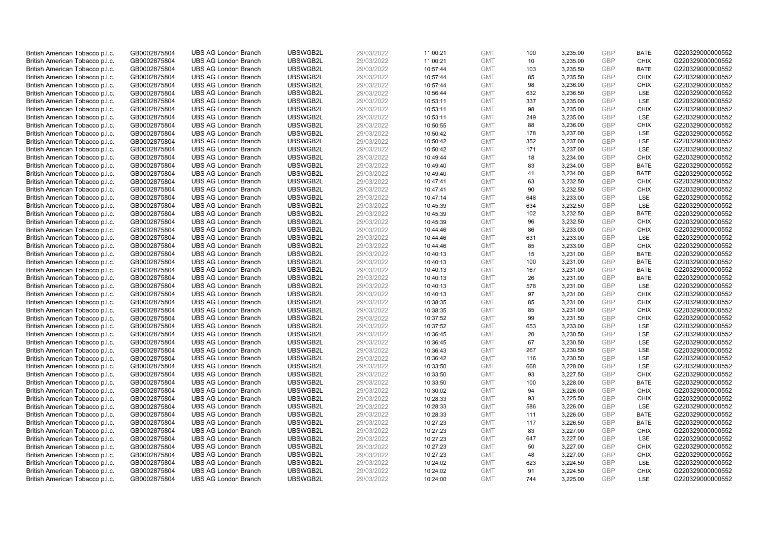| British American Tobacco p.l.c.                                    | GB0002875804                 | <b>UBS AG London Branch</b> | UBSWGB2L | 29/03/2022 | 11:00:21 | <b>GMT</b> | 100 | 3,235.00 | <b>GBP</b>               | <b>BATE</b> | G220329000000552 |
|--------------------------------------------------------------------|------------------------------|-----------------------------|----------|------------|----------|------------|-----|----------|--------------------------|-------------|------------------|
|                                                                    |                              |                             |          |            |          |            |     |          | <b>GBP</b>               | <b>CHIX</b> |                  |
| British American Tobacco p.l.c.                                    | GB0002875804                 | <b>UBS AG London Branch</b> | UBSWGB2L | 29/03/2022 | 11:00:21 | <b>GMT</b> | 10  | 3,235.00 |                          |             | G220329000000552 |
| British American Tobacco p.l.c.                                    | GB0002875804                 | <b>UBS AG London Branch</b> | UBSWGB2L | 29/03/2022 | 10:57:44 | <b>GMT</b> | 103 | 3,235.50 | <b>GBP</b>               | <b>BATE</b> | G220329000000552 |
| British American Tobacco p.l.c.                                    | GB0002875804                 | <b>UBS AG London Branch</b> | UBSWGB2L | 29/03/2022 | 10:57:44 | <b>GMT</b> | 85  | 3,235.50 | <b>GBP</b>               | <b>CHIX</b> | G220329000000552 |
| British American Tobacco p.l.c.                                    | GB0002875804                 | <b>UBS AG London Branch</b> | UBSWGB2L | 29/03/2022 | 10:57:44 | <b>GMT</b> | 98  | 3,236.00 | <b>GBP</b>               | <b>CHIX</b> | G220329000000552 |
| British American Tobacco p.l.c.                                    | GB0002875804                 | <b>UBS AG London Branch</b> | UBSWGB2L | 29/03/2022 | 10:56:44 | <b>GMT</b> | 632 | 3,236.50 | <b>GBP</b>               | LSE         | G220329000000552 |
| British American Tobacco p.l.c.                                    | GB0002875804                 | <b>UBS AG London Branch</b> | UBSWGB2L | 29/03/2022 | 10:53:11 | <b>GMT</b> | 337 | 3,235.00 | <b>GBP</b>               | LSE         | G220329000000552 |
| British American Tobacco p.l.c.                                    | GB0002875804                 | <b>UBS AG London Branch</b> | UBSWGB2L | 29/03/2022 | 10:53:11 | <b>GMT</b> | 98  | 3,235.00 | <b>GBP</b>               | <b>CHIX</b> | G220329000000552 |
| British American Tobacco p.l.c.                                    | GB0002875804                 | <b>UBS AG London Branch</b> | UBSWGB2L | 29/03/2022 | 10:53:11 | <b>GMT</b> | 249 | 3,235.00 | <b>GBP</b>               | LSE         | G220329000000552 |
| British American Tobacco p.l.c.                                    | GB0002875804                 | <b>UBS AG London Branch</b> | UBSWGB2L | 29/03/2022 | 10:50:55 | <b>GMT</b> | 88  | 3,236.00 | <b>GBP</b>               | <b>CHIX</b> | G220329000000552 |
| British American Tobacco p.l.c.                                    | GB0002875804                 | <b>UBS AG London Branch</b> | UBSWGB2L | 29/03/2022 | 10:50:42 | <b>GMT</b> | 178 | 3,237.00 | <b>GBP</b>               | <b>LSE</b>  | G220329000000552 |
| British American Tobacco p.l.c.                                    | GB0002875804                 | <b>UBS AG London Branch</b> | UBSWGB2L | 29/03/2022 | 10:50:42 | <b>GMT</b> | 352 | 3,237.00 | <b>GBP</b>               | LSE         | G220329000000552 |
| British American Tobacco p.l.c.                                    | GB0002875804                 | <b>UBS AG London Branch</b> | UBSWGB2L | 29/03/2022 | 10:50:42 | <b>GMT</b> | 171 | 3,237.00 | <b>GBP</b>               | LSE         | G220329000000552 |
| British American Tobacco p.l.c.                                    | GB0002875804                 | <b>UBS AG London Branch</b> | UBSWGB2L | 29/03/2022 | 10:49:44 | <b>GMT</b> | 18  | 3,234.00 | <b>GBP</b>               | <b>CHIX</b> | G220329000000552 |
| British American Tobacco p.l.c.                                    | GB0002875804                 | <b>UBS AG London Branch</b> | UBSWGB2L | 29/03/2022 | 10:49:40 | <b>GMT</b> | 83  | 3,234.00 | <b>GBP</b>               | <b>BATE</b> | G220329000000552 |
| British American Tobacco p.l.c.                                    | GB0002875804                 | <b>UBS AG London Branch</b> | UBSWGB2L | 29/03/2022 | 10:49:40 | <b>GMT</b> | 41  | 3,234.00 | <b>GBP</b>               | <b>BATE</b> | G220329000000552 |
| British American Tobacco p.l.c.                                    | GB0002875804                 | <b>UBS AG London Branch</b> | UBSWGB2L | 29/03/2022 | 10:47:41 | <b>GMT</b> | 63  | 3,232.50 | <b>GBP</b>               | <b>CHIX</b> | G220329000000552 |
| British American Tobacco p.l.c.                                    | GB0002875804                 | <b>UBS AG London Branch</b> | UBSWGB2L | 29/03/2022 | 10:47:41 | <b>GMT</b> | 90  | 3,232.50 | <b>GBP</b>               | <b>CHIX</b> | G220329000000552 |
|                                                                    |                              | <b>UBS AG London Branch</b> | UBSWGB2L |            |          |            | 648 |          |                          | <b>LSE</b>  |                  |
| British American Tobacco p.l.c.                                    | GB0002875804                 |                             |          | 29/03/2022 | 10:47:14 | <b>GMT</b> |     | 3,233.00 | <b>GBP</b><br><b>GBP</b> |             | G220329000000552 |
| British American Tobacco p.l.c.                                    | GB0002875804                 | <b>UBS AG London Branch</b> | UBSWGB2L | 29/03/2022 | 10:45:39 | <b>GMT</b> | 634 | 3,232.50 |                          | LSE         | G220329000000552 |
| British American Tobacco p.l.c.                                    | GB0002875804                 | <b>UBS AG London Branch</b> | UBSWGB2L | 29/03/2022 | 10:45:39 | <b>GMT</b> | 102 | 3,232.50 | <b>GBP</b>               | <b>BATE</b> | G220329000000552 |
| British American Tobacco p.l.c.                                    | GB0002875804                 | <b>UBS AG London Branch</b> | UBSWGB2L | 29/03/2022 | 10:45:39 | <b>GMT</b> | 96  | 3,232.50 | <b>GBP</b>               | <b>CHIX</b> | G220329000000552 |
| British American Tobacco p.l.c.                                    | GB0002875804                 | <b>UBS AG London Branch</b> | UBSWGB2L | 29/03/2022 | 10:44:46 | <b>GMT</b> | 86  | 3,233.00 | <b>GBP</b>               | <b>CHIX</b> | G220329000000552 |
| British American Tobacco p.l.c.                                    | GB0002875804                 | <b>UBS AG London Branch</b> | UBSWGB2L | 29/03/2022 | 10:44:46 | <b>GMT</b> | 631 | 3,233.00 | <b>GBP</b>               | LSE         | G220329000000552 |
| British American Tobacco p.l.c.                                    | GB0002875804                 | <b>UBS AG London Branch</b> | UBSWGB2L | 29/03/2022 | 10:44:46 | <b>GMT</b> | 85  | 3,233.00 | <b>GBP</b>               | <b>CHIX</b> | G220329000000552 |
| British American Tobacco p.l.c.                                    | GB0002875804                 | <b>UBS AG London Branch</b> | UBSWGB2L | 29/03/2022 | 10:40:13 | <b>GMT</b> | 15  | 3,231.00 | <b>GBP</b>               | <b>BATE</b> | G220329000000552 |
| British American Tobacco p.l.c.                                    | GB0002875804                 | <b>UBS AG London Branch</b> | UBSWGB2L | 29/03/2022 | 10:40:13 | <b>GMT</b> | 100 | 3,231.00 | <b>GBP</b>               | <b>BATE</b> | G220329000000552 |
| British American Tobacco p.l.c.                                    | GB0002875804                 | <b>UBS AG London Branch</b> | UBSWGB2L | 29/03/2022 | 10:40:13 | <b>GMT</b> | 167 | 3,231.00 | <b>GBP</b>               | <b>BATE</b> | G220329000000552 |
| British American Tobacco p.l.c.                                    | GB0002875804                 | <b>UBS AG London Branch</b> | UBSWGB2L | 29/03/2022 | 10:40:13 | <b>GMT</b> | 26  | 3,231.00 | <b>GBP</b>               | <b>BATE</b> | G220329000000552 |
| British American Tobacco p.l.c.                                    | GB0002875804                 | <b>UBS AG London Branch</b> | UBSWGB2L | 29/03/2022 | 10:40:13 | <b>GMT</b> | 578 | 3,231.00 | <b>GBP</b>               | LSE         | G220329000000552 |
| British American Tobacco p.l.c.                                    | GB0002875804                 | <b>UBS AG London Branch</b> | UBSWGB2L | 29/03/2022 | 10:40:13 | <b>GMT</b> | 97  | 3,231.00 | <b>GBP</b>               | <b>CHIX</b> | G220329000000552 |
| British American Tobacco p.l.c.                                    | GB0002875804                 | <b>UBS AG London Branch</b> | UBSWGB2L | 29/03/2022 | 10:38:35 | <b>GMT</b> | 85  | 3,231.00 | <b>GBP</b>               | <b>CHIX</b> | G220329000000552 |
| British American Tobacco p.l.c.                                    | GB0002875804                 | <b>UBS AG London Branch</b> | UBSWGB2L | 29/03/2022 | 10:38:35 | <b>GMT</b> | 85  | 3,231.00 | <b>GBP</b>               | <b>CHIX</b> | G220329000000552 |
| British American Tobacco p.l.c.                                    | GB0002875804                 | <b>UBS AG London Branch</b> | UBSWGB2L | 29/03/2022 | 10:37:52 | <b>GMT</b> | 99  | 3,231.50 | <b>GBP</b>               | <b>CHIX</b> | G220329000000552 |
| British American Tobacco p.l.c.                                    | GB0002875804                 | <b>UBS AG London Branch</b> | UBSWGB2L | 29/03/2022 | 10:37:52 | <b>GMT</b> | 653 | 3,233.00 | <b>GBP</b>               | LSE         | G220329000000552 |
| British American Tobacco p.l.c.                                    | GB0002875804                 | <b>UBS AG London Branch</b> | UBSWGB2L | 29/03/2022 | 10:36:45 | <b>GMT</b> | 20  | 3,230.50 | <b>GBP</b>               | LSE         | G220329000000552 |
| British American Tobacco p.l.c.                                    | GB0002875804                 | <b>UBS AG London Branch</b> | UBSWGB2L | 29/03/2022 | 10:36:45 | <b>GMT</b> | 67  | 3,230.50 | <b>GBP</b>               | LSE         | G220329000000552 |
| British American Tobacco p.l.c.                                    | GB0002875804                 | <b>UBS AG London Branch</b> | UBSWGB2L | 29/03/2022 | 10:36:43 | <b>GMT</b> | 267 | 3,230.50 | <b>GBP</b>               | LSE         | G220329000000552 |
| British American Tobacco p.l.c.                                    | GB0002875804                 | <b>UBS AG London Branch</b> | UBSWGB2L | 29/03/2022 | 10:36:42 | <b>GMT</b> | 116 | 3,230.50 | <b>GBP</b>               | LSE         | G220329000000552 |
| British American Tobacco p.l.c.                                    | GB0002875804                 | <b>UBS AG London Branch</b> | UBSWGB2L | 29/03/2022 | 10:33:50 | <b>GMT</b> | 668 | 3,228.00 | <b>GBP</b>               | LSE         | G220329000000552 |
| British American Tobacco p.l.c.                                    | GB0002875804                 | <b>UBS AG London Branch</b> | UBSWGB2L | 29/03/2022 | 10:33:50 | <b>GMT</b> | 93  | 3,227.50 | <b>GBP</b>               | <b>CHIX</b> | G220329000000552 |
| British American Tobacco p.l.c.                                    | GB0002875804                 | <b>UBS AG London Branch</b> | UBSWGB2L | 29/03/2022 | 10:33:50 | <b>GMT</b> | 100 | 3,228.00 | <b>GBP</b>               | <b>BATE</b> | G220329000000552 |
| British American Tobacco p.l.c.                                    | GB0002875804                 | <b>UBS AG London Branch</b> | UBSWGB2L | 29/03/2022 | 10:30:02 | <b>GMT</b> | 94  | 3,226.00 | <b>GBP</b>               | <b>CHIX</b> | G220329000000552 |
| British American Tobacco p.l.c.                                    | GB0002875804                 | <b>UBS AG London Branch</b> | UBSWGB2L | 29/03/2022 | 10:28:33 | <b>GMT</b> | 93  | 3,225.50 | <b>GBP</b>               | <b>CHIX</b> | G220329000000552 |
| British American Tobacco p.l.c.                                    | GB0002875804                 | <b>UBS AG London Branch</b> | UBSWGB2L | 29/03/2022 | 10:28:33 | <b>GMT</b> | 586 | 3,226.00 | <b>GBP</b>               | <b>LSE</b>  | G220329000000552 |
|                                                                    |                              | <b>UBS AG London Branch</b> | UBSWGB2L | 29/03/2022 | 10:28:33 | <b>GMT</b> | 111 | 3,226.00 | <b>GBP</b>               | <b>BATE</b> | G220329000000552 |
| British American Tobacco p.l.c.<br>British American Tobacco p.l.c. | GB0002875804<br>GB0002875804 | <b>UBS AG London Branch</b> | UBSWGB2L | 29/03/2022 | 10:27:23 | <b>GMT</b> | 117 | 3,226.50 | <b>GBP</b>               | <b>BATE</b> | G220329000000552 |
|                                                                    |                              | <b>UBS AG London Branch</b> | UBSWGB2L |            |          | <b>GMT</b> | 83  | 3,227.00 | <b>GBP</b>               | <b>CHIX</b> | G220329000000552 |
| British American Tobacco p.l.c.                                    | GB0002875804                 |                             |          | 29/03/2022 | 10:27:23 |            |     |          |                          |             |                  |
| British American Tobacco p.l.c.                                    | GB0002875804                 | <b>UBS AG London Branch</b> | UBSWGB2L | 29/03/2022 | 10:27:23 | <b>GMT</b> | 647 | 3,227.00 | <b>GBP</b>               | LSE         | G220329000000552 |
| British American Tobacco p.l.c.                                    | GB0002875804                 | <b>UBS AG London Branch</b> | UBSWGB2L | 29/03/2022 | 10:27:23 | <b>GMT</b> | 50  | 3,227.00 | <b>GBP</b>               | <b>CHIX</b> | G220329000000552 |
| British American Tobacco p.l.c.                                    | GB0002875804                 | <b>UBS AG London Branch</b> | UBSWGB2L | 29/03/2022 | 10:27:23 | <b>GMT</b> | 48  | 3,227.00 | <b>GBP</b>               | <b>CHIX</b> | G220329000000552 |
| British American Tobacco p.l.c.                                    | GB0002875804                 | <b>UBS AG London Branch</b> | UBSWGB2L | 29/03/2022 | 10:24:02 | <b>GMT</b> | 623 | 3,224.50 | <b>GBP</b>               | LSE         | G220329000000552 |
| British American Tobacco p.l.c.                                    | GB0002875804                 | <b>UBS AG London Branch</b> | UBSWGB2L | 29/03/2022 | 10:24:02 | <b>GMT</b> | 91  | 3,224.50 | <b>GBP</b>               | <b>CHIX</b> | G220329000000552 |
| British American Tobacco p.l.c.                                    | GB0002875804                 | <b>UBS AG London Branch</b> | UBSWGB2L | 29/03/2022 | 10:24:00 | <b>GMT</b> | 744 | 3.225.00 | GBP                      | LSE         | G220329000000552 |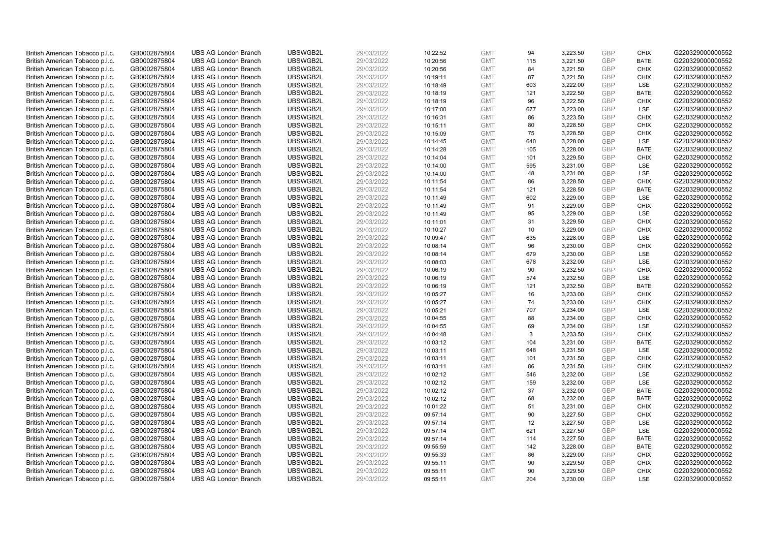| British American Tobacco p.l.c. | GB0002875804 | <b>UBS AG London Branch</b> | UBSWGB2L | 29/03/2022 | 10:22:52 | <b>GMT</b> | 94  | 3,223.50 | <b>GBP</b> | <b>CHIX</b> | G220329000000552 |
|---------------------------------|--------------|-----------------------------|----------|------------|----------|------------|-----|----------|------------|-------------|------------------|
| British American Tobacco p.l.c. | GB0002875804 | <b>UBS AG London Branch</b> | UBSWGB2L | 29/03/2022 | 10:20:56 | <b>GMT</b> | 115 | 3,221.50 | GBP        | <b>BATE</b> | G220329000000552 |
| British American Tobacco p.l.c. | GB0002875804 | <b>UBS AG London Branch</b> | UBSWGB2L | 29/03/2022 | 10:20:56 | <b>GMT</b> | 84  | 3,221.50 | GBP        | <b>CHIX</b> | G220329000000552 |
| British American Tobacco p.l.c. | GB0002875804 | <b>UBS AG London Branch</b> | UBSWGB2L | 29/03/2022 | 10:19:11 | <b>GMT</b> | 87  | 3,221.50 | <b>GBP</b> | <b>CHIX</b> | G220329000000552 |
| British American Tobacco p.l.c. | GB0002875804 | <b>UBS AG London Branch</b> | UBSWGB2L | 29/03/2022 | 10:18:49 | <b>GMT</b> | 603 | 3,222.00 | GBP        | <b>LSE</b>  | G220329000000552 |
| British American Tobacco p.l.c. | GB0002875804 | <b>UBS AG London Branch</b> | UBSWGB2L | 29/03/2022 | 10:18:19 | <b>GMT</b> | 121 | 3,222.50 | <b>GBP</b> | <b>BATE</b> | G220329000000552 |
| British American Tobacco p.l.c. | GB0002875804 | <b>UBS AG London Branch</b> | UBSWGB2L | 29/03/2022 | 10:18:19 | <b>GMT</b> | 96  | 3,222.50 | GBP        | <b>CHIX</b> | G220329000000552 |
| British American Tobacco p.l.c. | GB0002875804 | <b>UBS AG London Branch</b> | UBSWGB2L | 29/03/2022 | 10:17:00 | <b>GMT</b> | 677 | 3,223.00 | <b>GBP</b> | LSE         | G220329000000552 |
| British American Tobacco p.l.c. | GB0002875804 | <b>UBS AG London Branch</b> | UBSWGB2L | 29/03/2022 | 10:16:31 | <b>GMT</b> | 86  | 3,223.50 | GBP        | <b>CHIX</b> | G220329000000552 |
| British American Tobacco p.l.c. | GB0002875804 | <b>UBS AG London Branch</b> | UBSWGB2L | 29/03/2022 | 10:15:11 | <b>GMT</b> | 80  | 3,228.50 | <b>GBP</b> | <b>CHIX</b> | G220329000000552 |
| British American Tobacco p.l.c. | GB0002875804 | <b>UBS AG London Branch</b> | UBSWGB2L | 29/03/2022 | 10:15:09 | <b>GMT</b> | 75  | 3.228.50 | GBP        | <b>CHIX</b> | G220329000000552 |
| British American Tobacco p.l.c. | GB0002875804 | <b>UBS AG London Branch</b> | UBSWGB2L | 29/03/2022 | 10:14:45 | <b>GMT</b> | 640 | 3,228.00 | <b>GBP</b> | LSE         | G220329000000552 |
| British American Tobacco p.l.c. | GB0002875804 | <b>UBS AG London Branch</b> | UBSWGB2L | 29/03/2022 | 10:14:28 | <b>GMT</b> | 105 | 3,228.00 | GBP        | <b>BATE</b> | G220329000000552 |
| British American Tobacco p.l.c. | GB0002875804 | <b>UBS AG London Branch</b> | UBSWGB2L | 29/03/2022 | 10:14:04 | <b>GMT</b> | 101 | 3,229.50 | <b>GBP</b> | <b>CHIX</b> | G220329000000552 |
| British American Tobacco p.l.c. | GB0002875804 | <b>UBS AG London Branch</b> | UBSWGB2L | 29/03/2022 | 10:14:00 | <b>GMT</b> | 595 | 3,231.00 | GBP        | <b>LSE</b>  | G220329000000552 |
| British American Tobacco p.l.c. | GB0002875804 | <b>UBS AG London Branch</b> | UBSWGB2L | 29/03/2022 | 10:14:00 | <b>GMT</b> | 48  | 3,231.00 | GBP        | LSE         | G220329000000552 |
| British American Tobacco p.l.c. | GB0002875804 | <b>UBS AG London Branch</b> | UBSWGB2L | 29/03/2022 | 10:11:54 | <b>GMT</b> | 86  | 3,228.50 | GBP        | <b>CHIX</b> | G220329000000552 |
| British American Tobacco p.l.c. | GB0002875804 | <b>UBS AG London Branch</b> | UBSWGB2L | 29/03/2022 | 10:11:54 | <b>GMT</b> | 121 | 3,228.50 | GBP        | <b>BATE</b> | G220329000000552 |
| British American Tobacco p.l.c. | GB0002875804 | <b>UBS AG London Branch</b> | UBSWGB2L | 29/03/2022 | 10:11:49 | <b>GMT</b> | 602 | 3,229.00 | <b>GBP</b> | <b>LSE</b>  | G220329000000552 |
| British American Tobacco p.l.c. | GB0002875804 | <b>UBS AG London Branch</b> | UBSWGB2L | 29/03/2022 | 10:11:49 | <b>GMT</b> | 91  | 3,229.00 | <b>GBP</b> | <b>CHIX</b> | G220329000000552 |
| British American Tobacco p.l.c. | GB0002875804 | <b>UBS AG London Branch</b> | UBSWGB2L | 29/03/2022 | 10:11:49 | <b>GMT</b> | 95  | 3,229.00 | <b>GBP</b> | LSE         | G220329000000552 |
| British American Tobacco p.l.c. | GB0002875804 | <b>UBS AG London Branch</b> | UBSWGB2L | 29/03/2022 | 10:11:01 | <b>GMT</b> | 31  | 3,229.50 | GBP        | <b>CHIX</b> | G220329000000552 |
| British American Tobacco p.l.c. | GB0002875804 | <b>UBS AG London Branch</b> | UBSWGB2L | 29/03/2022 | 10:10:27 | <b>GMT</b> | 10  | 3,229.00 | <b>GBP</b> | <b>CHIX</b> | G220329000000552 |
| British American Tobacco p.l.c. | GB0002875804 | <b>UBS AG London Branch</b> | UBSWGB2L | 29/03/2022 | 10:09:47 | <b>GMT</b> | 635 | 3,228.00 | GBP        | <b>LSE</b>  | G220329000000552 |
| British American Tobacco p.l.c. | GB0002875804 | <b>UBS AG London Branch</b> | UBSWGB2L | 29/03/2022 | 10:08:14 | <b>GMT</b> | 96  | 3,230.00 | <b>GBP</b> | <b>CHIX</b> | G220329000000552 |
| British American Tobacco p.l.c. | GB0002875804 | <b>UBS AG London Branch</b> | UBSWGB2L | 29/03/2022 | 10:08:14 | <b>GMT</b> | 679 | 3,230.00 | <b>GBP</b> | LSE         | G220329000000552 |
| British American Tobacco p.l.c. | GB0002875804 | <b>UBS AG London Branch</b> | UBSWGB2L | 29/03/2022 | 10:08:03 | <b>GMT</b> | 678 | 3,232.00 | <b>GBP</b> | LSE         | G220329000000552 |
| British American Tobacco p.l.c. | GB0002875804 | <b>UBS AG London Branch</b> | UBSWGB2L | 29/03/2022 | 10:06:19 | <b>GMT</b> | 90  | 3,232.50 | GBP        | CHIX        | G220329000000552 |
| British American Tobacco p.l.c. | GB0002875804 | <b>UBS AG London Branch</b> | UBSWGB2L | 29/03/2022 | 10:06:19 | <b>GMT</b> | 574 | 3,232.50 | <b>GBP</b> | <b>LSE</b>  | G220329000000552 |
| British American Tobacco p.l.c. | GB0002875804 | <b>UBS AG London Branch</b> | UBSWGB2L | 29/03/2022 | 10:06:19 | <b>GMT</b> | 121 | 3,232.50 | GBP        | <b>BATE</b> | G220329000000552 |
| British American Tobacco p.l.c. | GB0002875804 | <b>UBS AG London Branch</b> | UBSWGB2L | 29/03/2022 | 10:05:27 | <b>GMT</b> | 16  | 3,233.00 | <b>GBP</b> | <b>CHIX</b> | G220329000000552 |
| British American Tobacco p.l.c. | GB0002875804 | <b>UBS AG London Branch</b> | UBSWGB2L | 29/03/2022 | 10:05:27 | <b>GMT</b> | 74  | 3,233.00 | GBP        | <b>CHIX</b> | G220329000000552 |
| British American Tobacco p.l.c. | GB0002875804 | <b>UBS AG London Branch</b> | UBSWGB2L | 29/03/2022 | 10:05:21 | <b>GMT</b> | 707 | 3,234.00 | <b>GBP</b> | LSE         | G220329000000552 |
| British American Tobacco p.l.c. | GB0002875804 | <b>UBS AG London Branch</b> | UBSWGB2L | 29/03/2022 | 10:04:55 | <b>GMT</b> | 88  | 3,234.00 | <b>GBP</b> | <b>CHIX</b> | G220329000000552 |
| British American Tobacco p.l.c. | GB0002875804 | <b>UBS AG London Branch</b> | UBSWGB2L | 29/03/2022 | 10:04:55 | <b>GMT</b> | 69  | 3,234.00 | GBP        | LSE         | G220329000000552 |
| British American Tobacco p.l.c. | GB0002875804 | <b>UBS AG London Branch</b> | UBSWGB2L | 29/03/2022 | 10:04:48 | <b>GMT</b> | 3   | 3,233.50 | <b>GBP</b> | <b>CHIX</b> | G220329000000552 |
| British American Tobacco p.l.c. | GB0002875804 | <b>UBS AG London Branch</b> | UBSWGB2L | 29/03/2022 | 10:03:12 | <b>GMT</b> | 104 | 3,231.00 | GBP        | <b>BATE</b> | G220329000000552 |
| British American Tobacco p.l.c. | GB0002875804 | <b>UBS AG London Branch</b> | UBSWGB2L | 29/03/2022 | 10:03:11 | <b>GMT</b> | 648 | 3,231.50 | <b>GBP</b> | LSE         | G220329000000552 |
| British American Tobacco p.l.c. | GB0002875804 | <b>UBS AG London Branch</b> | UBSWGB2L | 29/03/2022 | 10:03:11 | <b>GMT</b> | 101 | 3,231.50 | <b>GBP</b> | <b>CHIX</b> | G220329000000552 |
| British American Tobacco p.l.c. | GB0002875804 | <b>UBS AG London Branch</b> | UBSWGB2L | 29/03/2022 | 10:03:11 | <b>GMT</b> | 86  | 3,231.50 | <b>GBP</b> | <b>CHIX</b> | G220329000000552 |
| British American Tobacco p.l.c. | GB0002875804 | <b>UBS AG London Branch</b> | UBSWGB2L | 29/03/2022 | 10:02:12 | <b>GMT</b> | 546 | 3,232.00 | GBP        | <b>LSE</b>  | G220329000000552 |
| British American Tobacco p.l.c. | GB0002875804 | <b>UBS AG London Branch</b> | UBSWGB2L | 29/03/2022 | 10:02:12 | <b>GMT</b> | 159 | 3,232.00 | <b>GBP</b> | LSE         | G220329000000552 |
| British American Tobacco p.l.c. | GB0002875804 | <b>UBS AG London Branch</b> | UBSWGB2L | 29/03/2022 | 10:02:12 | <b>GMT</b> | 37  | 3,232.00 | <b>GBP</b> | <b>BATE</b> | G220329000000552 |
| British American Tobacco p.l.c. | GB0002875804 | <b>UBS AG London Branch</b> | UBSWGB2L | 29/03/2022 | 10:02:12 | <b>GMT</b> | 68  | 3,232.00 | GBP        | <b>BATE</b> | G220329000000552 |
| British American Tobacco p.l.c. | GB0002875804 | <b>UBS AG London Branch</b> | UBSWGB2L | 29/03/2022 | 10:01:22 | <b>GMT</b> | 51  | 3,231.00 | <b>GBP</b> | <b>CHIX</b> | G220329000000552 |
| British American Tobacco p.l.c. | GB0002875804 | <b>UBS AG London Branch</b> | UBSWGB2L | 29/03/2022 | 09:57:14 | <b>GMT</b> | 90  | 3,227.50 | <b>GBP</b> | <b>CHIX</b> | G220329000000552 |
| British American Tobacco p.l.c. | GB0002875804 | <b>UBS AG London Branch</b> | UBSWGB2L | 29/03/2022 | 09:57:14 | <b>GMT</b> | 12  | 3,227.50 | <b>GBP</b> | LSE         | G220329000000552 |
| British American Tobacco p.l.c. | GB0002875804 | <b>UBS AG London Branch</b> | UBSWGB2L | 29/03/2022 | 09:57:14 | <b>GMT</b> | 621 | 3,227.50 | <b>GBP</b> | LSE         | G220329000000552 |
| British American Tobacco p.l.c. | GB0002875804 | <b>UBS AG London Branch</b> | UBSWGB2L | 29/03/2022 | 09:57:14 | <b>GMT</b> | 114 | 3,227.50 | <b>GBP</b> | <b>BATE</b> | G220329000000552 |
| British American Tobacco p.l.c. | GB0002875804 | <b>UBS AG London Branch</b> | UBSWGB2L | 29/03/2022 | 09:55:59 | <b>GMT</b> | 142 | 3,228.00 | <b>GBP</b> | <b>BATE</b> | G220329000000552 |
| British American Tobacco p.l.c. | GB0002875804 | <b>UBS AG London Branch</b> | UBSWGB2L | 29/03/2022 | 09:55:33 | <b>GMT</b> | 86  | 3,229.00 | <b>GBP</b> | <b>CHIX</b> | G220329000000552 |
| British American Tobacco p.l.c. | GB0002875804 | <b>UBS AG London Branch</b> | UBSWGB2L | 29/03/2022 | 09:55:11 | <b>GMT</b> | 90  | 3,229.50 | <b>GBP</b> | <b>CHIX</b> | G220329000000552 |
| British American Tobacco p.l.c. | GB0002875804 | <b>UBS AG London Branch</b> | UBSWGB2L | 29/03/2022 | 09:55:11 | <b>GMT</b> | 90  | 3,229.50 | <b>GBP</b> | <b>CHIX</b> | G220329000000552 |
| British American Tobacco p.l.c. | GB0002875804 | <b>UBS AG London Branch</b> | UBSWGB2L | 29/03/2022 | 09:55:11 | <b>GMT</b> | 204 | 3.230.00 | GBP        | <b>LSE</b>  | G220329000000552 |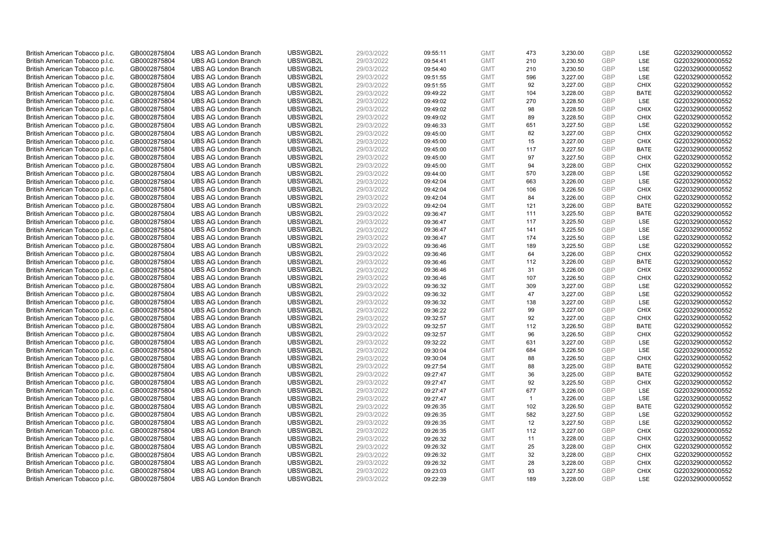| British American Tobacco p.l.c. | GB0002875804 | <b>UBS AG London Branch</b> | UBSWGB2L | 29/03/2022 | 09:55:11 | <b>GMT</b> | 473            | 3,230.00 | <b>GBP</b> | LSE         | G220329000000552 |
|---------------------------------|--------------|-----------------------------|----------|------------|----------|------------|----------------|----------|------------|-------------|------------------|
|                                 | GB0002875804 | <b>UBS AG London Branch</b> | UBSWGB2L | 29/03/2022 |          | <b>GMT</b> | 210            | 3,230.50 | GBP        | LSE         | G220329000000552 |
| British American Tobacco p.l.c. |              |                             |          |            | 09:54:41 |            |                |          | <b>GBP</b> | LSE         | G220329000000552 |
| British American Tobacco p.l.c. | GB0002875804 | <b>UBS AG London Branch</b> | UBSWGB2L | 29/03/2022 | 09:54:40 | <b>GMT</b> | 210            | 3,230.50 |            |             |                  |
| British American Tobacco p.l.c. | GB0002875804 | <b>UBS AG London Branch</b> | UBSWGB2L | 29/03/2022 | 09:51:55 | <b>GMT</b> | 596            | 3,227.00 | <b>GBP</b> | LSE         | G220329000000552 |
| British American Tobacco p.l.c. | GB0002875804 | <b>UBS AG London Branch</b> | UBSWGB2L | 29/03/2022 | 09:51:55 | <b>GMT</b> | 92             | 3,227.00 | <b>GBP</b> | <b>CHIX</b> | G220329000000552 |
| British American Tobacco p.l.c. | GB0002875804 | <b>UBS AG London Branch</b> | UBSWGB2L | 29/03/2022 | 09:49:22 | <b>GMT</b> | 104            | 3,228.00 | <b>GBP</b> | <b>BATE</b> | G220329000000552 |
| British American Tobacco p.l.c. | GB0002875804 | <b>UBS AG London Branch</b> | UBSWGB2L | 29/03/2022 | 09:49:02 | <b>GMT</b> | 270            | 3,228.50 | <b>GBP</b> | LSE         | G220329000000552 |
| British American Tobacco p.l.c. | GB0002875804 | <b>UBS AG London Branch</b> | UBSWGB2L | 29/03/2022 | 09:49:02 | <b>GMT</b> | 98             | 3,228.50 | <b>GBP</b> | <b>CHIX</b> | G220329000000552 |
| British American Tobacco p.l.c. | GB0002875804 | <b>UBS AG London Branch</b> | UBSWGB2L | 29/03/2022 | 09:49:02 | <b>GMT</b> | 89             | 3,228.50 | <b>GBP</b> | <b>CHIX</b> | G220329000000552 |
| British American Tobacco p.l.c. | GB0002875804 | <b>UBS AG London Branch</b> | UBSWGB2L | 29/03/2022 | 09:46:33 | <b>GMT</b> | 651            | 3,227.50 | <b>GBP</b> | LSE         | G220329000000552 |
| British American Tobacco p.l.c. | GB0002875804 | <b>UBS AG London Branch</b> | UBSWGB2L | 29/03/2022 | 09:45:00 | <b>GMT</b> | 82             | 3.227.00 | <b>GBP</b> | <b>CHIX</b> | G220329000000552 |
| British American Tobacco p.l.c. | GB0002875804 | <b>UBS AG London Branch</b> | UBSWGB2L | 29/03/2022 | 09:45:00 | <b>GMT</b> | 15             | 3,227.00 | <b>GBP</b> | <b>CHIX</b> | G220329000000552 |
| British American Tobacco p.l.c. | GB0002875804 | <b>UBS AG London Branch</b> | UBSWGB2L | 29/03/2022 | 09:45:00 | <b>GMT</b> | 117            | 3,227.50 | <b>GBP</b> | <b>BATE</b> | G220329000000552 |
| British American Tobacco p.l.c. | GB0002875804 | <b>UBS AG London Branch</b> | UBSWGB2L | 29/03/2022 | 09:45:00 | <b>GMT</b> | 97             | 3,227.50 | <b>GBP</b> | <b>CHIX</b> | G220329000000552 |
| British American Tobacco p.l.c. | GB0002875804 | <b>UBS AG London Branch</b> | UBSWGB2L | 29/03/2022 | 09:45:00 | <b>GMT</b> | 94             | 3,228.00 | <b>GBP</b> | <b>CHIX</b> | G220329000000552 |
| British American Tobacco p.l.c. | GB0002875804 | <b>UBS AG London Branch</b> | UBSWGB2L | 29/03/2022 | 09:44:00 | <b>GMT</b> | 570            | 3,228.00 | <b>GBP</b> | LSE         | G220329000000552 |
| British American Tobacco p.l.c. | GB0002875804 | <b>UBS AG London Branch</b> | UBSWGB2L | 29/03/2022 | 09:42:04 | <b>GMT</b> | 663            | 3,226.00 | <b>GBP</b> | LSE         | G220329000000552 |
| British American Tobacco p.l.c. | GB0002875804 | <b>UBS AG London Branch</b> | UBSWGB2L | 29/03/2022 | 09:42:04 | <b>GMT</b> | 106            | 3,226.50 | <b>GBP</b> | <b>CHIX</b> | G220329000000552 |
| British American Tobacco p.l.c. | GB0002875804 | <b>UBS AG London Branch</b> | UBSWGB2L | 29/03/2022 | 09:42:04 | <b>GMT</b> | 84             | 3,226.00 | <b>GBP</b> | <b>CHIX</b> | G220329000000552 |
| British American Tobacco p.l.c. | GB0002875804 | <b>UBS AG London Branch</b> | UBSWGB2L | 29/03/2022 | 09:42:04 | <b>GMT</b> | 121            | 3,226.00 | <b>GBP</b> | <b>BATE</b> | G220329000000552 |
| British American Tobacco p.l.c. | GB0002875804 | <b>UBS AG London Branch</b> | UBSWGB2L | 29/03/2022 | 09:36:47 | <b>GMT</b> | 111            | 3,225.50 | <b>GBP</b> | <b>BATE</b> | G220329000000552 |
| British American Tobacco p.l.c. | GB0002875804 | <b>UBS AG London Branch</b> | UBSWGB2L | 29/03/2022 | 09:36:47 | <b>GMT</b> | 117            | 3,225.50 | <b>GBP</b> | LSE         | G220329000000552 |
| British American Tobacco p.l.c. | GB0002875804 | <b>UBS AG London Branch</b> | UBSWGB2L | 29/03/2022 | 09:36:47 | <b>GMT</b> | 141            | 3,225.50 | <b>GBP</b> | LSE         | G220329000000552 |
| British American Tobacco p.l.c. | GB0002875804 | <b>UBS AG London Branch</b> | UBSWGB2L | 29/03/2022 | 09:36:47 | <b>GMT</b> | 174            | 3,225.50 | <b>GBP</b> | <b>LSE</b>  | G220329000000552 |
| British American Tobacco p.l.c. | GB0002875804 | <b>UBS AG London Branch</b> | UBSWGB2L | 29/03/2022 | 09:36:46 | <b>GMT</b> | 189            | 3,225.50 | <b>GBP</b> | LSE         | G220329000000552 |
| British American Tobacco p.l.c. | GB0002875804 | <b>UBS AG London Branch</b> | UBSWGB2L | 29/03/2022 | 09:36:46 | <b>GMT</b> | 64             | 3,226.00 | <b>GBP</b> | <b>CHIX</b> | G220329000000552 |
| British American Tobacco p.l.c. | GB0002875804 | <b>UBS AG London Branch</b> | UBSWGB2L | 29/03/2022 | 09:36:46 | <b>GMT</b> | 112            | 3,226.00 | <b>GBP</b> | <b>BATE</b> | G220329000000552 |
| British American Tobacco p.l.c. | GB0002875804 | <b>UBS AG London Branch</b> | UBSWGB2L | 29/03/2022 | 09:36:46 | <b>GMT</b> | 31             | 3,226.00 | <b>GBP</b> | <b>CHIX</b> | G220329000000552 |
| British American Tobacco p.l.c. | GB0002875804 | <b>UBS AG London Branch</b> | UBSWGB2L | 29/03/2022 | 09:36:46 | <b>GMT</b> | 107            | 3,226.50 | <b>GBP</b> | <b>CHIX</b> | G220329000000552 |
| British American Tobacco p.l.c. | GB0002875804 | <b>UBS AG London Branch</b> | UBSWGB2L | 29/03/2022 | 09:36:32 | <b>GMT</b> | 309            | 3,227.00 | <b>GBP</b> | LSE         | G220329000000552 |
| British American Tobacco p.l.c. | GB0002875804 | <b>UBS AG London Branch</b> | UBSWGB2L | 29/03/2022 | 09:36:32 | <b>GMT</b> | 47             | 3,227.00 | <b>GBP</b> | LSE         | G220329000000552 |
| British American Tobacco p.l.c. | GB0002875804 | <b>UBS AG London Branch</b> | UBSWGB2L | 29/03/2022 | 09:36:32 | <b>GMT</b> | 138            | 3,227.00 | <b>GBP</b> | <b>LSE</b>  | G220329000000552 |
| British American Tobacco p.l.c. | GB0002875804 | <b>UBS AG London Branch</b> | UBSWGB2L | 29/03/2022 | 09:36:22 | <b>GMT</b> | 99             | 3,227.00 | <b>GBP</b> | <b>CHIX</b> | G220329000000552 |
| British American Tobacco p.l.c. | GB0002875804 | <b>UBS AG London Branch</b> | UBSWGB2L | 29/03/2022 | 09:32:57 | <b>GMT</b> | 92             | 3,227.00 | <b>GBP</b> | <b>CHIX</b> | G220329000000552 |
| British American Tobacco p.l.c. | GB0002875804 | <b>UBS AG London Branch</b> | UBSWGB2L | 29/03/2022 | 09:32:57 | <b>GMT</b> | 112            | 3,226.50 | <b>GBP</b> | <b>BATE</b> | G220329000000552 |
| British American Tobacco p.l.c. | GB0002875804 | <b>UBS AG London Branch</b> | UBSWGB2L | 29/03/2022 | 09:32:57 | <b>GMT</b> | 96             | 3,226.50 | <b>GBP</b> | <b>CHIX</b> | G220329000000552 |
| British American Tobacco p.l.c. | GB0002875804 | <b>UBS AG London Branch</b> | UBSWGB2L | 29/03/2022 | 09:32:22 | <b>GMT</b> | 631            | 3,227.00 | <b>GBP</b> | <b>LSE</b>  | G220329000000552 |
| British American Tobacco p.l.c. | GB0002875804 | <b>UBS AG London Branch</b> | UBSWGB2L | 29/03/2022 | 09:30:04 | <b>GMT</b> | 684            | 3,226.50 | <b>GBP</b> | LSE         | G220329000000552 |
| British American Tobacco p.l.c. | GB0002875804 | <b>UBS AG London Branch</b> | UBSWGB2L | 29/03/2022 | 09:30:04 | <b>GMT</b> | 88             | 3,226.50 | <b>GBP</b> | <b>CHIX</b> | G220329000000552 |
| British American Tobacco p.l.c. | GB0002875804 | <b>UBS AG London Branch</b> | UBSWGB2L | 29/03/2022 | 09:27:54 | <b>GMT</b> | 88             | 3,225.00 | <b>GBP</b> | <b>BATE</b> | G220329000000552 |
| British American Tobacco p.l.c. | GB0002875804 | <b>UBS AG London Branch</b> | UBSWGB2L | 29/03/2022 | 09:27:47 | <b>GMT</b> | 36             | 3,225.00 | <b>GBP</b> | <b>BATE</b> | G220329000000552 |
| British American Tobacco p.l.c. | GB0002875804 | <b>UBS AG London Branch</b> | UBSWGB2L | 29/03/2022 | 09:27:47 | <b>GMT</b> | 92             | 3,225.50 | <b>GBP</b> | <b>CHIX</b> | G220329000000552 |
| British American Tobacco p.l.c. | GB0002875804 | <b>UBS AG London Branch</b> | UBSWGB2L | 29/03/2022 | 09:27:47 | <b>GMT</b> | 677            | 3,226.00 | <b>GBP</b> | LSE         | G220329000000552 |
| British American Tobacco p.l.c. |              | <b>UBS AG London Branch</b> | UBSWGB2L | 29/03/2022 |          | <b>GMT</b> | $\overline{1}$ | 3,226.00 | <b>GBP</b> | LSE         | G220329000000552 |
|                                 | GB0002875804 |                             | UBSWGB2L |            | 09:27:47 |            |                |          |            | <b>BATE</b> |                  |
| British American Tobacco p.l.c. | GB0002875804 | <b>UBS AG London Branch</b> |          | 29/03/2022 | 09:26:35 | <b>GMT</b> | 102            | 3,226.50 | <b>GBP</b> |             | G220329000000552 |
| British American Tobacco p.l.c. | GB0002875804 | <b>UBS AG London Branch</b> | UBSWGB2L | 29/03/2022 | 09:26:35 | <b>GMT</b> | 582            | 3,227.50 | <b>GBP</b> | LSE         | G220329000000552 |
| British American Tobacco p.l.c. | GB0002875804 | <b>UBS AG London Branch</b> | UBSWGB2L | 29/03/2022 | 09:26:35 | <b>GMT</b> | 12             | 3,227.50 | <b>GBP</b> | LSE         | G220329000000552 |
| British American Tobacco p.l.c. | GB0002875804 | <b>UBS AG London Branch</b> | UBSWGB2L | 29/03/2022 | 09:26:35 | <b>GMT</b> | 112            | 3,227.00 | <b>GBP</b> | <b>CHIX</b> | G220329000000552 |
| British American Tobacco p.l.c. | GB0002875804 | <b>UBS AG London Branch</b> | UBSWGB2L | 29/03/2022 | 09:26:32 | <b>GMT</b> | 11             | 3,228.00 | <b>GBP</b> | <b>CHIX</b> | G220329000000552 |
| British American Tobacco p.l.c. | GB0002875804 | <b>UBS AG London Branch</b> | UBSWGB2L | 29/03/2022 | 09:26:32 | <b>GMT</b> | 25             | 3,228.00 | <b>GBP</b> | <b>CHIX</b> | G220329000000552 |
| British American Tobacco p.l.c. | GB0002875804 | <b>UBS AG London Branch</b> | UBSWGB2L | 29/03/2022 | 09:26:32 | <b>GMT</b> | 32             | 3,228.00 | <b>GBP</b> | <b>CHIX</b> | G220329000000552 |
| British American Tobacco p.l.c. | GB0002875804 | <b>UBS AG London Branch</b> | UBSWGB2L | 29/03/2022 | 09:26:32 | <b>GMT</b> | 28             | 3,228.00 | <b>GBP</b> | <b>CHIX</b> | G220329000000552 |
| British American Tobacco p.l.c. | GB0002875804 | <b>UBS AG London Branch</b> | UBSWGB2L | 29/03/2022 | 09:23:03 | <b>GMT</b> | 93             | 3,227.50 | <b>GBP</b> | <b>CHIX</b> | G220329000000552 |
| British American Tobacco p.l.c. | GB0002875804 | <b>UBS AG London Branch</b> | UBSWGB2L | 29/03/2022 | 09:22:39 | <b>GMT</b> | 189            | 3.228.00 | GBP        | <b>LSE</b>  | G220329000000552 |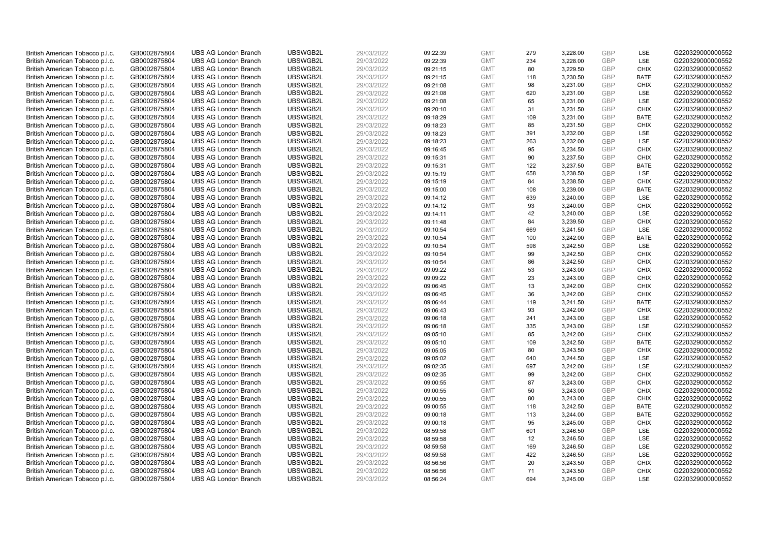| British American Tobacco p.l.c. | GB0002875804 | <b>UBS AG London Branch</b> | UBSWGB2L             | 29/03/2022 | 09:22:39 | <b>GMT</b> | 279       | 3,228.00             | <b>GBP</b> | LSE         | G220329000000552                     |
|---------------------------------|--------------|-----------------------------|----------------------|------------|----------|------------|-----------|----------------------|------------|-------------|--------------------------------------|
| British American Tobacco p.l.c. | GB0002875804 | <b>UBS AG London Branch</b> | UBSWGB2L             | 29/03/2022 | 09:22:39 | <b>GMT</b> | 234       | 3,228.00             | GBP        | LSE         | G220329000000552                     |
| British American Tobacco p.l.c. | GB0002875804 | <b>UBS AG London Branch</b> | UBSWGB2L             | 29/03/2022 | 09:21:15 | <b>GMT</b> | 80        | 3,229.50             | GBP        | <b>CHIX</b> | G220329000000552                     |
| British American Tobacco p.l.c. | GB0002875804 | <b>UBS AG London Branch</b> | UBSWGB2L             | 29/03/2022 | 09:21:15 | <b>GMT</b> | 118       | 3,230.50             | <b>GBP</b> | <b>BATE</b> | G220329000000552                     |
| British American Tobacco p.l.c. | GB0002875804 | <b>UBS AG London Branch</b> | UBSWGB2L             | 29/03/2022 | 09:21:08 | <b>GMT</b> | 98        | 3,231.00             | GBP        | <b>CHIX</b> | G220329000000552                     |
| British American Tobacco p.l.c. | GB0002875804 | <b>UBS AG London Branch</b> | UBSWGB2L             | 29/03/2022 | 09:21:08 | <b>GMT</b> | 620       | 3,231.00             | <b>GBP</b> | <b>LSE</b>  | G220329000000552                     |
| British American Tobacco p.l.c. | GB0002875804 | <b>UBS AG London Branch</b> | UBSWGB2L             | 29/03/2022 | 09:21:08 | <b>GMT</b> | 65        | 3,231.00             | GBP        | LSE         | G220329000000552                     |
| British American Tobacco p.l.c. | GB0002875804 | <b>UBS AG London Branch</b> | UBSWGB2L             | 29/03/2022 | 09:20:10 | <b>GMT</b> | 31        | 3,231.50             | <b>GBP</b> | <b>CHIX</b> | G220329000000552                     |
| British American Tobacco p.l.c. | GB0002875804 | <b>UBS AG London Branch</b> | UBSWGB2L             | 29/03/2022 | 09:18:29 | <b>GMT</b> | 109       | 3,231.00             | GBP        | <b>BATE</b> | G220329000000552                     |
| British American Tobacco p.l.c. | GB0002875804 | <b>UBS AG London Branch</b> | UBSWGB2L             | 29/03/2022 | 09:18:23 | <b>GMT</b> | 85        | 3,231.50             | <b>GBP</b> | <b>CHIX</b> | G220329000000552                     |
| British American Tobacco p.l.c. | GB0002875804 | <b>UBS AG London Branch</b> | UBSWGB2L             | 29/03/2022 | 09:18:23 | <b>GMT</b> | 391       | 3.232.00             | GBP        | <b>LSE</b>  | G220329000000552                     |
| British American Tobacco p.l.c. | GB0002875804 | <b>UBS AG London Branch</b> | UBSWGB2L             | 29/03/2022 | 09:18:23 | <b>GMT</b> | 263       | 3,232.00             | <b>GBP</b> | LSE         | G220329000000552                     |
| British American Tobacco p.l.c. | GB0002875804 | <b>UBS AG London Branch</b> | UBSWGB2L             | 29/03/2022 | 09:16:45 | <b>GMT</b> | 95        | 3,234.50             | <b>GBP</b> | <b>CHIX</b> | G220329000000552                     |
| British American Tobacco p.l.c. | GB0002875804 | <b>UBS AG London Branch</b> | UBSWGB2L             | 29/03/2022 | 09:15:31 | <b>GMT</b> | 90        | 3,237.50             | <b>GBP</b> | <b>CHIX</b> | G220329000000552                     |
| British American Tobacco p.l.c. | GB0002875804 | <b>UBS AG London Branch</b> | UBSWGB2L             | 29/03/2022 | 09:15:31 | <b>GMT</b> | 122       | 3,237.50             | GBP        | <b>BATE</b> | G220329000000552                     |
| British American Tobacco p.l.c. | GB0002875804 | <b>UBS AG London Branch</b> | UBSWGB2L             | 29/03/2022 | 09:15:19 | <b>GMT</b> | 658       | 3,238.50             | GBP        | <b>LSE</b>  | G220329000000552                     |
| British American Tobacco p.l.c. | GB0002875804 | <b>UBS AG London Branch</b> | UBSWGB2L             | 29/03/2022 | 09:15:19 | <b>GMT</b> | 84        | 3,238.50             | <b>GBP</b> | <b>CHIX</b> | G220329000000552                     |
| British American Tobacco p.l.c. | GB0002875804 | <b>UBS AG London Branch</b> | UBSWGB2L             | 29/03/2022 | 09:15:00 | <b>GMT</b> | 108       | 3,239.00             | <b>GBP</b> | <b>BATE</b> | G220329000000552                     |
| British American Tobacco p.l.c. | GB0002875804 | <b>UBS AG London Branch</b> | UBSWGB2L             | 29/03/2022 | 09:14:12 | <b>GMT</b> | 639       | 3,240.00             | <b>GBP</b> | <b>LSE</b>  | G220329000000552                     |
| British American Tobacco p.l.c. | GB0002875804 | <b>UBS AG London Branch</b> | UBSWGB2L             | 29/03/2022 | 09:14:12 | <b>GMT</b> | 93        | 3,240.00             | <b>GBP</b> | <b>CHIX</b> | G220329000000552                     |
| British American Tobacco p.l.c. | GB0002875804 | <b>UBS AG London Branch</b> | UBSWGB2L             | 29/03/2022 | 09:14:11 | <b>GMT</b> | 42        | 3,240.00             | <b>GBP</b> | LSE         | G220329000000552                     |
| British American Tobacco p.l.c. | GB0002875804 | <b>UBS AG London Branch</b> | UBSWGB2L             | 29/03/2022 | 09:11:48 | <b>GMT</b> | 84        | 3,239.50             | GBP        | <b>CHIX</b> | G220329000000552                     |
| British American Tobacco p.l.c. | GB0002875804 | <b>UBS AG London Branch</b> | UBSWGB2L             | 29/03/2022 | 09:10:54 | <b>GMT</b> | 669       | 3,241.50             | <b>GBP</b> | LSE         | G220329000000552                     |
| British American Tobacco p.l.c. | GB0002875804 | <b>UBS AG London Branch</b> | UBSWGB2L             | 29/03/2022 | 09:10:54 | <b>GMT</b> | 100       | 3,242.00             | <b>GBP</b> | <b>BATE</b> | G220329000000552                     |
| British American Tobacco p.l.c. | GB0002875804 | <b>UBS AG London Branch</b> | UBSWGB2L             | 29/03/2022 | 09:10:54 | <b>GMT</b> | 598       | 3,242.50             | <b>GBP</b> | LSE         | G220329000000552                     |
| British American Tobacco p.l.c. | GB0002875804 | <b>UBS AG London Branch</b> | UBSWGB2L             | 29/03/2022 | 09:10:54 | <b>GMT</b> | 99        | 3,242.50             | <b>GBP</b> | <b>CHIX</b> | G220329000000552                     |
| British American Tobacco p.l.c. | GB0002875804 | <b>UBS AG London Branch</b> | UBSWGB2L             | 29/03/2022 | 09:10:54 | <b>GMT</b> | 86        | 3,242.50             | <b>GBP</b> | <b>CHIX</b> | G220329000000552                     |
| British American Tobacco p.l.c. | GB0002875804 | <b>UBS AG London Branch</b> | UBSWGB2L             | 29/03/2022 | 09:09:22 | <b>GMT</b> | 53        | 3,243.00             | GBP        | <b>CHIX</b> | G220329000000552                     |
| British American Tobacco p.l.c. | GB0002875804 | <b>UBS AG London Branch</b> | UBSWGB2L             | 29/03/2022 | 09:09:22 | <b>GMT</b> | 23        | 3,243.00             | <b>GBP</b> | <b>CHIX</b> | G220329000000552                     |
| British American Tobacco p.l.c. | GB0002875804 | <b>UBS AG London Branch</b> | UBSWGB2L             | 29/03/2022 | 09:06:45 | <b>GMT</b> | 13        | 3,242.00             | <b>GBP</b> | <b>CHIX</b> | G220329000000552                     |
| British American Tobacco p.l.c. | GB0002875804 | <b>UBS AG London Branch</b> | UBSWGB2L             | 29/03/2022 | 09:06:45 | <b>GMT</b> | 36        | 3,242.00             | <b>GBP</b> | <b>CHIX</b> | G220329000000552                     |
| British American Tobacco p.l.c. | GB0002875804 | <b>UBS AG London Branch</b> | UBSWGB2L             | 29/03/2022 | 09:06:44 | <b>GMT</b> | 119       | 3,241.50             | <b>GBP</b> | <b>BATE</b> | G220329000000552                     |
| British American Tobacco p.l.c. | GB0002875804 | <b>UBS AG London Branch</b> | UBSWGB2L             | 29/03/2022 | 09:06:43 | <b>GMT</b> | 93        | 3,242.00             | <b>GBP</b> | <b>CHIX</b> | G220329000000552                     |
| British American Tobacco p.l.c. | GB0002875804 | <b>UBS AG London Branch</b> | UBSWGB2L             | 29/03/2022 | 09:06:18 | <b>GMT</b> | 241       | 3,243.00             | <b>GBP</b> | LSE         | G220329000000552                     |
| British American Tobacco p.l.c. | GB0002875804 | <b>UBS AG London Branch</b> | UBSWGB2L             | 29/03/2022 | 09:06:18 | <b>GMT</b> | 335       | 3,243.00             | <b>GBP</b> | LSE         | G220329000000552                     |
| British American Tobacco p.l.c. | GB0002875804 | <b>UBS AG London Branch</b> | UBSWGB2L             | 29/03/2022 | 09:05:10 | <b>GMT</b> | 85        | 3,242.00             | <b>GBP</b> | <b>CHIX</b> | G220329000000552                     |
| British American Tobacco p.l.c. | GB0002875804 | <b>UBS AG London Branch</b> | UBSWGB2L             | 29/03/2022 | 09:05:10 | <b>GMT</b> | 109       | 3,242.50             | <b>GBP</b> | <b>BATE</b> | G220329000000552                     |
| British American Tobacco p.l.c. | GB0002875804 | <b>UBS AG London Branch</b> | UBSWGB2L             | 29/03/2022 | 09:05:05 | <b>GMT</b> | 80        | 3,243.50             | <b>GBP</b> | <b>CHIX</b> | G220329000000552                     |
| British American Tobacco p.l.c. | GB0002875804 | <b>UBS AG London Branch</b> | UBSWGB2L             | 29/03/2022 | 09:05:02 | <b>GMT</b> | 640       | 3,244.50             | <b>GBP</b> | LSE         | G220329000000552                     |
| British American Tobacco p.l.c. | GB0002875804 | <b>UBS AG London Branch</b> | UBSWGB2L             | 29/03/2022 | 09:02:35 | <b>GMT</b> | 697       | 3,242.00             | <b>GBP</b> | <b>LSE</b>  | G220329000000552                     |
| British American Tobacco p.l.c. | GB0002875804 | <b>UBS AG London Branch</b> | UBSWGB2L             | 29/03/2022 | 09:02:35 | <b>GMT</b> | 99        | 3,242.00             | GBP        | <b>CHIX</b> | G220329000000552                     |
| British American Tobacco p.l.c. | GB0002875804 | <b>UBS AG London Branch</b> | UBSWGB2L             | 29/03/2022 | 09:00:55 | <b>GMT</b> | 87        | 3,243.00             | <b>GBP</b> | <b>CHIX</b> | G220329000000552                     |
| British American Tobacco p.l.c. | GB0002875804 | <b>UBS AG London Branch</b> | UBSWGB2L             | 29/03/2022 | 09:00:55 | <b>GMT</b> | 50        | 3,243.00             | <b>GBP</b> | <b>CHIX</b> | G220329000000552                     |
| British American Tobacco p.l.c. | GB0002875804 | <b>UBS AG London Branch</b> | UBSWGB2L             | 29/03/2022 | 09:00:55 | <b>GMT</b> | 80        | 3,243.00             | <b>GBP</b> | <b>CHIX</b> | G220329000000552                     |
| British American Tobacco p.l.c. | GB0002875804 | <b>UBS AG London Branch</b> | UBSWGB2L             | 29/03/2022 | 09:00:55 | <b>GMT</b> | 118       | 3,242.50             | GBP        | <b>BATE</b> | G220329000000552                     |
|                                 |              | <b>UBS AG London Branch</b> | UBSWGB2L             | 29/03/2022 |          | <b>GMT</b> |           |                      | <b>GBP</b> | <b>BATE</b> | G220329000000552                     |
| British American Tobacco p.l.c. | GB0002875804 |                             |                      |            | 09:00:18 | <b>GMT</b> | 113<br>95 | 3,244.00<br>3,245.00 | <b>GBP</b> | <b>CHIX</b> |                                      |
| British American Tobacco p.l.c. | GB0002875804 | <b>UBS AG London Branch</b> | UBSWGB2L<br>UBSWGB2L | 29/03/2022 | 09:00:18 |            |           |                      |            | LSE         | G220329000000552<br>G220329000000552 |
| British American Tobacco p.l.c. | GB0002875804 | <b>UBS AG London Branch</b> |                      | 29/03/2022 | 08:59:58 | <b>GMT</b> | 601       | 3,246.50             | <b>GBP</b> |             |                                      |
| British American Tobacco p.l.c. | GB0002875804 | <b>UBS AG London Branch</b> | UBSWGB2L             | 29/03/2022 | 08:59:58 | <b>GMT</b> | 12        | 3,246.50             | <b>GBP</b> | LSE         | G220329000000552                     |
| British American Tobacco p.l.c. | GB0002875804 | <b>UBS AG London Branch</b> | UBSWGB2L             | 29/03/2022 | 08:59:58 | <b>GMT</b> | 169       | 3,246.50             | GBP        | LSE         | G220329000000552                     |
| British American Tobacco p.l.c. | GB0002875804 | <b>UBS AG London Branch</b> | UBSWGB2L             | 29/03/2022 | 08:59:58 | <b>GMT</b> | 422       | 3,246.50             | <b>GBP</b> | LSE         | G220329000000552                     |
| British American Tobacco p.l.c. | GB0002875804 | <b>UBS AG London Branch</b> | UBSWGB2L             | 29/03/2022 | 08:56:56 | <b>GMT</b> | 20        | 3,243.50             | <b>GBP</b> | <b>CHIX</b> | G220329000000552                     |
| British American Tobacco p.l.c. | GB0002875804 | <b>UBS AG London Branch</b> | UBSWGB2L             | 29/03/2022 | 08:56:56 | <b>GMT</b> | 71        | 3,243.50             | <b>GBP</b> | <b>CHIX</b> | G220329000000552                     |
| British American Tobacco p.l.c. | GB0002875804 | <b>UBS AG London Branch</b> | UBSWGB2L             | 29/03/2022 | 08:56:24 | <b>GMT</b> | 694       | 3.245.00             | GBP        | <b>LSE</b>  | G220329000000552                     |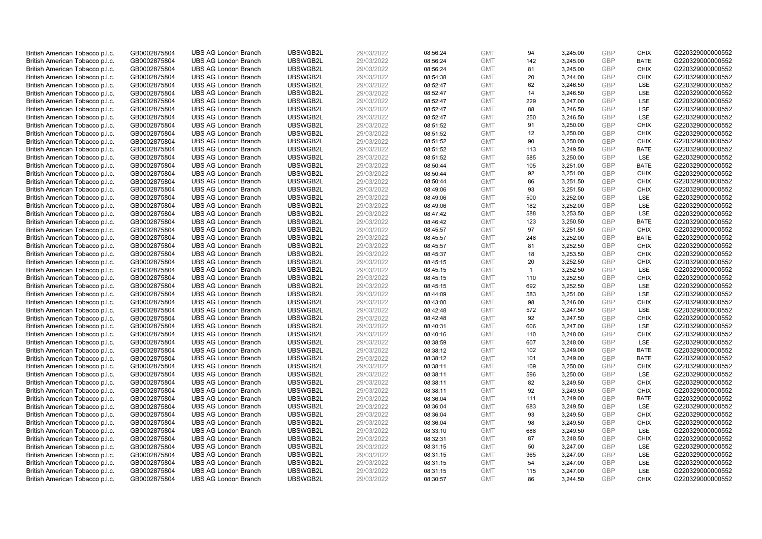| British American Tobacco p.l.c. | GB0002875804 | <b>UBS AG London Branch</b> | UBSWGB2L | 29/03/2022 | 08:56:24 | <b>GMT</b> | 94           | 3,245.00 | <b>GBP</b>               | <b>CHIX</b>        | G220329000000552 |
|---------------------------------|--------------|-----------------------------|----------|------------|----------|------------|--------------|----------|--------------------------|--------------------|------------------|
| British American Tobacco p.l.c. | GB0002875804 | <b>UBS AG London Branch</b> | UBSWGB2L | 29/03/2022 | 08:56:24 | <b>GMT</b> | 142          | 3,245.00 | <b>GBP</b>               | <b>BATE</b>        | G220329000000552 |
| British American Tobacco p.l.c. | GB0002875804 | <b>UBS AG London Branch</b> | UBSWGB2L | 29/03/2022 | 08:56:24 | <b>GMT</b> | 81           | 3,245.00 | <b>GBP</b>               | <b>CHIX</b>        | G220329000000552 |
|                                 |              |                             | UBSWGB2L |            |          |            |              |          | <b>GBP</b>               |                    |                  |
| British American Tobacco p.l.c. | GB0002875804 | <b>UBS AG London Branch</b> |          | 29/03/2022 | 08:54:38 | <b>GMT</b> | 20           | 3,244.00 |                          | <b>CHIX</b>        | G220329000000552 |
| British American Tobacco p.l.c. | GB0002875804 | <b>UBS AG London Branch</b> | UBSWGB2L | 29/03/2022 | 08:52:47 | <b>GMT</b> | 62           | 3,246.50 | <b>GBP</b>               | LSE                | G220329000000552 |
| British American Tobacco p.l.c. | GB0002875804 | <b>UBS AG London Branch</b> | UBSWGB2L | 29/03/2022 | 08:52:47 | <b>GMT</b> | 14           | 3,246.50 | <b>GBP</b>               | LSE                | G220329000000552 |
| British American Tobacco p.l.c. | GB0002875804 | <b>UBS AG London Branch</b> | UBSWGB2L | 29/03/2022 | 08:52:47 | <b>GMT</b> | 229          | 3,247.00 | <b>GBP</b>               | LSE                | G220329000000552 |
| British American Tobacco p.l.c. | GB0002875804 | <b>UBS AG London Branch</b> | UBSWGB2L | 29/03/2022 | 08:52:47 | <b>GMT</b> | 88           | 3,246.50 | <b>GBP</b>               | LSE                | G220329000000552 |
| British American Tobacco p.l.c. | GB0002875804 | <b>UBS AG London Branch</b> | UBSWGB2L | 29/03/2022 | 08:52:47 | <b>GMT</b> | 250          | 3,246.50 | <b>GBP</b>               | LSE                | G220329000000552 |
| British American Tobacco p.l.c. | GB0002875804 | <b>UBS AG London Branch</b> | UBSWGB2L | 29/03/2022 | 08:51:52 | <b>GMT</b> | 91           | 3,250.00 | <b>GBP</b>               | <b>CHIX</b>        | G220329000000552 |
| British American Tobacco p.l.c. | GB0002875804 | <b>UBS AG London Branch</b> | UBSWGB2L | 29/03/2022 | 08:51:52 | <b>GMT</b> | 12           | 3,250.00 | <b>GBP</b>               | <b>CHIX</b>        | G220329000000552 |
| British American Tobacco p.l.c. | GB0002875804 | <b>UBS AG London Branch</b> | UBSWGB2L | 29/03/2022 | 08:51:52 | <b>GMT</b> | 90           | 3,250.00 | <b>GBP</b>               | <b>CHIX</b>        | G220329000000552 |
| British American Tobacco p.l.c. | GB0002875804 | <b>UBS AG London Branch</b> | UBSWGB2L | 29/03/2022 | 08:51:52 | <b>GMT</b> | 113          | 3,249.50 | <b>GBP</b>               | <b>BATE</b>        | G220329000000552 |
| British American Tobacco p.l.c. | GB0002875804 | <b>UBS AG London Branch</b> | UBSWGB2L | 29/03/2022 | 08:51:52 | <b>GMT</b> | 585          | 3,250.00 | <b>GBP</b>               | LSE                | G220329000000552 |
| British American Tobacco p.l.c. | GB0002875804 | <b>UBS AG London Branch</b> | UBSWGB2L | 29/03/2022 | 08:50:44 | <b>GMT</b> | 105          | 3,251.00 | <b>GBP</b>               | <b>BATE</b>        | G220329000000552 |
| British American Tobacco p.l.c. | GB0002875804 | <b>UBS AG London Branch</b> | UBSWGB2L | 29/03/2022 | 08:50:44 | <b>GMT</b> | 92           | 3,251.00 | <b>GBP</b>               | <b>CHIX</b>        | G220329000000552 |
| British American Tobacco p.l.c. | GB0002875804 | <b>UBS AG London Branch</b> | UBSWGB2L | 29/03/2022 | 08:50:44 | <b>GMT</b> | 86           | 3,251.50 | <b>GBP</b>               | <b>CHIX</b>        | G220329000000552 |
| British American Tobacco p.l.c. | GB0002875804 | <b>UBS AG London Branch</b> | UBSWGB2L | 29/03/2022 | 08:49:06 | <b>GMT</b> | 93           | 3,251.50 | <b>GBP</b>               | <b>CHIX</b>        | G220329000000552 |
| British American Tobacco p.l.c. | GB0002875804 | <b>UBS AG London Branch</b> | UBSWGB2L | 29/03/2022 | 08:49:06 | <b>GMT</b> | 500          | 3,252.00 | <b>GBP</b>               | <b>LSE</b>         | G220329000000552 |
| British American Tobacco p.l.c. | GB0002875804 | <b>UBS AG London Branch</b> | UBSWGB2L | 29/03/2022 | 08:49:06 | <b>GMT</b> | 182          | 3,252.00 | <b>GBP</b>               | LSE                | G220329000000552 |
| British American Tobacco p.l.c. | GB0002875804 | <b>UBS AG London Branch</b> | UBSWGB2L | 29/03/2022 | 08:47:42 | <b>GMT</b> | 588          | 3,253.50 | <b>GBP</b>               | LSE                | G220329000000552 |
| British American Tobacco p.l.c. | GB0002875804 | <b>UBS AG London Branch</b> | UBSWGB2L | 29/03/2022 | 08:46:42 | <b>GMT</b> | 123          | 3,250.50 | <b>GBP</b>               | <b>BATE</b>        | G220329000000552 |
| British American Tobacco p.l.c. | GB0002875804 | <b>UBS AG London Branch</b> | UBSWGB2L | 29/03/2022 | 08:45:57 | <b>GMT</b> | 97           | 3,251.50 | <b>GBP</b>               | <b>CHIX</b>        | G220329000000552 |
| British American Tobacco p.l.c. | GB0002875804 | <b>UBS AG London Branch</b> | UBSWGB2L | 29/03/2022 | 08:45:57 | <b>GMT</b> | 248          | 3,252.00 | <b>GBP</b>               | <b>BATE</b>        | G220329000000552 |
| British American Tobacco p.l.c. | GB0002875804 | <b>UBS AG London Branch</b> | UBSWGB2L | 29/03/2022 | 08:45:57 | <b>GMT</b> | 81           | 3,252.50 | <b>GBP</b>               | <b>CHIX</b>        | G220329000000552 |
| British American Tobacco p.l.c. | GB0002875804 | <b>UBS AG London Branch</b> | UBSWGB2L | 29/03/2022 | 08:45:37 | <b>GMT</b> | 18           | 3,253.50 | <b>GBP</b>               | <b>CHIX</b>        | G220329000000552 |
| British American Tobacco p.l.c. | GB0002875804 | <b>UBS AG London Branch</b> | UBSWGB2L | 29/03/2022 | 08:45:15 | <b>GMT</b> | 20           | 3,252.50 | <b>GBP</b>               | <b>CHIX</b>        | G220329000000552 |
| British American Tobacco p.l.c. | GB0002875804 | <b>UBS AG London Branch</b> | UBSWGB2L | 29/03/2022 | 08:45:15 | <b>GMT</b> | $\mathbf{1}$ | 3,252.50 | <b>GBP</b>               | <b>LSE</b>         | G220329000000552 |
| British American Tobacco p.l.c. | GB0002875804 | <b>UBS AG London Branch</b> | UBSWGB2L | 29/03/2022 | 08:45:15 | <b>GMT</b> | 110          | 3,252.50 | <b>GBP</b>               | <b>CHIX</b>        | G220329000000552 |
| British American Tobacco p.l.c. | GB0002875804 | <b>UBS AG London Branch</b> | UBSWGB2L | 29/03/2022 | 08:45:15 | <b>GMT</b> | 692          | 3,252.50 | <b>GBP</b>               | LSE                | G220329000000552 |
| British American Tobacco p.l.c. | GB0002875804 | <b>UBS AG London Branch</b> | UBSWGB2L | 29/03/2022 | 08:44:09 | <b>GMT</b> | 583          | 3,251.00 | <b>GBP</b>               | LSE                | G220329000000552 |
| British American Tobacco p.l.c. | GB0002875804 | <b>UBS AG London Branch</b> | UBSWGB2L | 29/03/2022 | 08:43:00 | <b>GMT</b> | 98           | 3,246.00 | <b>GBP</b>               | <b>CHIX</b>        | G220329000000552 |
| British American Tobacco p.l.c. | GB0002875804 | <b>UBS AG London Branch</b> | UBSWGB2L | 29/03/2022 | 08:42:48 | <b>GMT</b> | 572          | 3,247.50 | <b>GBP</b>               | LSE                | G220329000000552 |
| British American Tobacco p.l.c. | GB0002875804 | <b>UBS AG London Branch</b> | UBSWGB2L | 29/03/2022 | 08:42:48 | <b>GMT</b> | 92           | 3,247.50 | <b>GBP</b>               | <b>CHIX</b>        | G220329000000552 |
| British American Tobacco p.l.c. | GB0002875804 | <b>UBS AG London Branch</b> | UBSWGB2L | 29/03/2022 | 08:40:31 | <b>GMT</b> | 606          | 3,247.00 | <b>GBP</b>               | LSE                | G220329000000552 |
| British American Tobacco p.l.c. | GB0002875804 | <b>UBS AG London Branch</b> | UBSWGB2L | 29/03/2022 | 08:40:16 | <b>GMT</b> | 110          | 3,248.00 | <b>GBP</b>               | <b>CHIX</b>        | G220329000000552 |
| British American Tobacco p.l.c. | GB0002875804 | <b>UBS AG London Branch</b> | UBSWGB2L | 29/03/2022 | 08:38:59 | <b>GMT</b> | 607          | 3,248.00 | <b>GBP</b>               | <b>LSE</b>         | G220329000000552 |
| British American Tobacco p.l.c. | GB0002875804 | <b>UBS AG London Branch</b> | UBSWGB2L | 29/03/2022 | 08:38:12 | <b>GMT</b> | 102          | 3,249.00 | <b>GBP</b>               | <b>BATE</b>        | G220329000000552 |
|                                 |              | <b>UBS AG London Branch</b> | UBSWGB2L | 29/03/2022 |          | <b>GMT</b> | 101          | 3,249.00 | <b>GBP</b>               | <b>BATE</b>        | G220329000000552 |
| British American Tobacco p.l.c. | GB0002875804 |                             |          |            | 08:38:12 |            |              |          |                          |                    |                  |
| British American Tobacco p.l.c. | GB0002875804 | <b>UBS AG London Branch</b> | UBSWGB2L | 29/03/2022 | 08:38:11 | <b>GMT</b> | 109          | 3,250.00 | <b>GBP</b><br><b>GBP</b> | <b>CHIX</b><br>LSE | G220329000000552 |
| British American Tobacco p.l.c. | GB0002875804 | <b>UBS AG London Branch</b> | UBSWGB2L | 29/03/2022 | 08:38:11 | <b>GMT</b> | 596          | 3,250.00 |                          |                    | G220329000000552 |
| British American Tobacco p.l.c. | GB0002875804 | <b>UBS AG London Branch</b> | UBSWGB2L | 29/03/2022 | 08:38:11 | <b>GMT</b> | 82           | 3,249.50 | <b>GBP</b>               | <b>CHIX</b>        | G220329000000552 |
| British American Tobacco p.l.c. | GB0002875804 | <b>UBS AG London Branch</b> | UBSWGB2L | 29/03/2022 | 08:38:11 | <b>GMT</b> | 92           | 3,249.50 | <b>GBP</b>               | <b>CHIX</b>        | G220329000000552 |
| British American Tobacco p.l.c. | GB0002875804 | <b>UBS AG London Branch</b> | UBSWGB2L | 29/03/2022 | 08:36:04 | <b>GMT</b> | 111          | 3,249.00 | <b>GBP</b>               | <b>BATE</b>        | G220329000000552 |
| British American Tobacco p.l.c. | GB0002875804 | <b>UBS AG London Branch</b> | UBSWGB2L | 29/03/2022 | 08:36:04 | <b>GMT</b> | 683          | 3,249.50 | <b>GBP</b>               | LSE                | G220329000000552 |
| British American Tobacco p.l.c. | GB0002875804 | <b>UBS AG London Branch</b> | UBSWGB2L | 29/03/2022 | 08:36:04 | <b>GMT</b> | 93           | 3,249.50 | <b>GBP</b>               | <b>CHIX</b>        | G220329000000552 |
| British American Tobacco p.l.c. | GB0002875804 | <b>UBS AG London Branch</b> | UBSWGB2L | 29/03/2022 | 08:36:04 | <b>GMT</b> | 98           | 3,249.50 | <b>GBP</b>               | <b>CHIX</b>        | G220329000000552 |
| British American Tobacco p.l.c. | GB0002875804 | <b>UBS AG London Branch</b> | UBSWGB2L | 29/03/2022 | 08:33:10 | <b>GMT</b> | 688          | 3,249.50 | <b>GBP</b>               | LSE                | G220329000000552 |
| British American Tobacco p.l.c. | GB0002875804 | <b>UBS AG London Branch</b> | UBSWGB2L | 29/03/2022 | 08:32:31 | <b>GMT</b> | 87           | 3,248.50 | <b>GBP</b>               | <b>CHIX</b>        | G220329000000552 |
| British American Tobacco p.l.c. | GB0002875804 | <b>UBS AG London Branch</b> | UBSWGB2L | 29/03/2022 | 08:31:15 | <b>GMT</b> | 50           | 3,247.00 | <b>GBP</b>               | <b>LSE</b>         | G220329000000552 |
| British American Tobacco p.l.c. | GB0002875804 | <b>UBS AG London Branch</b> | UBSWGB2L | 29/03/2022 | 08:31:15 | <b>GMT</b> | 365          | 3,247.00 | <b>GBP</b>               | LSE                | G220329000000552 |
| British American Tobacco p.l.c. | GB0002875804 | <b>UBS AG London Branch</b> | UBSWGB2L | 29/03/2022 | 08:31:15 | <b>GMT</b> | 54           | 3,247.00 | <b>GBP</b>               | LSE                | G220329000000552 |
| British American Tobacco p.l.c. | GB0002875804 | <b>UBS AG London Branch</b> | UBSWGB2L | 29/03/2022 | 08:31:15 | <b>GMT</b> | 115          | 3,247.00 | <b>GBP</b>               | LSE                | G220329000000552 |
| British American Tobacco p.l.c. | GB0002875804 | <b>UBS AG London Branch</b> | UBSWGB2L | 29/03/2022 | 08:30:57 | <b>GMT</b> | 86           | 3.244.50 | GBP                      | <b>CHIX</b>        | G220329000000552 |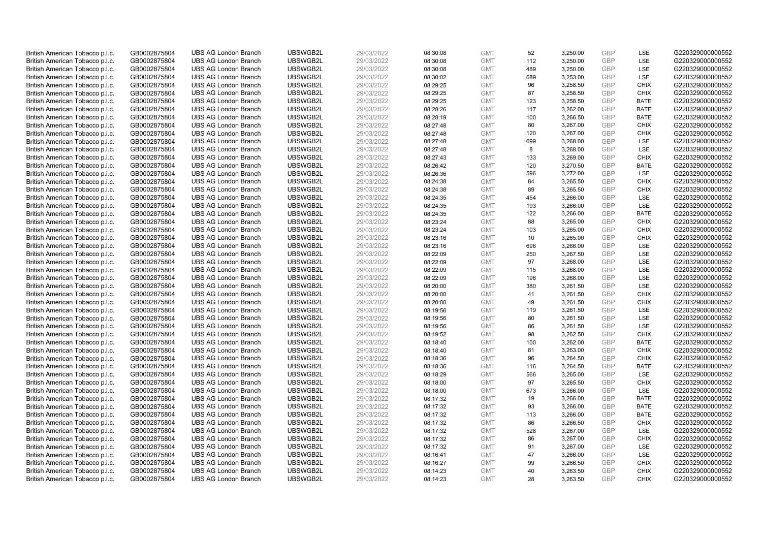| British American Tobacco p.l.c. | GB0002875804 | <b>UBS AG London Branch</b> | UBSWGB2L | 29/03/2022 | 08:30:08 | <b>GMT</b> | 52        | 3,250.00 | <b>GBP</b> | LSE         | G220329000000552 |
|---------------------------------|--------------|-----------------------------|----------|------------|----------|------------|-----------|----------|------------|-------------|------------------|
|                                 |              |                             |          |            |          |            | 112       |          | GBP        | <b>LSE</b>  |                  |
| British American Tobacco p.l.c. | GB0002875804 | <b>UBS AG London Branch</b> | UBSWGB2L | 29/03/2022 | 08:30:08 | <b>GMT</b> |           | 3,250.00 |            |             | G220329000000552 |
| British American Tobacco p.l.c. | GB0002875804 | <b>UBS AG London Branch</b> | UBSWGB2L | 29/03/2022 | 08:30:08 | <b>GMT</b> | 489       | 3,250.00 | <b>GBP</b> | LSE         | G220329000000552 |
| British American Tobacco p.l.c. | GB0002875804 | <b>UBS AG London Branch</b> | UBSWGB2L | 29/03/2022 | 08:30:02 | <b>GMT</b> | 689       | 3,253.00 | <b>GBP</b> | LSE         | G220329000000552 |
| British American Tobacco p.l.c. | GB0002875804 | <b>UBS AG London Branch</b> | UBSWGB2L | 29/03/2022 | 08:29:25 | <b>GMT</b> | 96        | 3,258.50 | <b>GBP</b> | <b>CHIX</b> | G220329000000552 |
| British American Tobacco p.l.c. | GB0002875804 | <b>UBS AG London Branch</b> | UBSWGB2L | 29/03/2022 | 08:29:25 | <b>GMT</b> | 87        | 3,258.50 | <b>GBP</b> | <b>CHIX</b> | G220329000000552 |
| British American Tobacco p.l.c. | GB0002875804 | <b>UBS AG London Branch</b> | UBSWGB2L | 29/03/2022 | 08:29:25 | <b>GMT</b> | 123       | 3,258.50 | <b>GBP</b> | <b>BATE</b> | G220329000000552 |
| British American Tobacco p.l.c. | GB0002875804 | <b>UBS AG London Branch</b> | UBSWGB2L | 29/03/2022 | 08:28:26 | <b>GMT</b> | 117       | 3,262.00 | <b>GBP</b> | <b>BATE</b> | G220329000000552 |
| British American Tobacco p.l.c. | GB0002875804 | <b>UBS AG London Branch</b> | UBSWGB2L | 29/03/2022 | 08:28:19 | <b>GMT</b> | 100       | 3,266.50 | <b>GBP</b> | <b>BATE</b> | G220329000000552 |
| British American Tobacco p.l.c. | GB0002875804 | <b>UBS AG London Branch</b> | UBSWGB2L | 29/03/2022 | 08:27:48 | <b>GMT</b> | 80        | 3,267.00 | <b>GBP</b> | <b>CHIX</b> | G220329000000552 |
| British American Tobacco p.l.c. | GB0002875804 | <b>UBS AG London Branch</b> | UBSWGB2L | 29/03/2022 | 08:27:48 | <b>GMT</b> | 120       | 3,267.00 | <b>GBP</b> | <b>CHIX</b> | G220329000000552 |
| British American Tobacco p.l.c. | GB0002875804 | <b>UBS AG London Branch</b> | UBSWGB2L | 29/03/2022 | 08:27:48 | <b>GMT</b> | 699       | 3,268.00 | <b>GBP</b> | LSE         | G220329000000552 |
| British American Tobacco p.l.c. | GB0002875804 | <b>UBS AG London Branch</b> | UBSWGB2L | 29/03/2022 | 08:27:48 | <b>GMT</b> | 8         | 3,268.00 | <b>GBP</b> | LSE         | G220329000000552 |
| British American Tobacco p.l.c. | GB0002875804 | <b>UBS AG London Branch</b> | UBSWGB2L | 29/03/2022 | 08:27:43 | <b>GMT</b> | 133       | 3,269.00 | <b>GBP</b> | <b>CHIX</b> | G220329000000552 |
| British American Tobacco p.l.c. | GB0002875804 | <b>UBS AG London Branch</b> | UBSWGB2L | 29/03/2022 | 08:26:42 | <b>GMT</b> | 120       | 3,270.50 | <b>GBP</b> | <b>BATE</b> | G220329000000552 |
| British American Tobacco p.l.c. | GB0002875804 | <b>UBS AG London Branch</b> | UBSWGB2L | 29/03/2022 | 08:26:36 | <b>GMT</b> | 596       | 3,272.00 | <b>GBP</b> | LSE         | G220329000000552 |
| British American Tobacco p.l.c. | GB0002875804 | <b>UBS AG London Branch</b> | UBSWGB2L | 29/03/2022 | 08:24:38 | <b>GMT</b> | 84        | 3,265.50 | <b>GBP</b> | <b>CHIX</b> | G220329000000552 |
| British American Tobacco p.l.c. | GB0002875804 | <b>UBS AG London Branch</b> | UBSWGB2L | 29/03/2022 | 08:24:38 | <b>GMT</b> | 89        | 3,265.50 | <b>GBP</b> | <b>CHIX</b> | G220329000000552 |
|                                 |              | <b>UBS AG London Branch</b> | UBSWGB2L |            |          |            | 454       |          |            | <b>LSE</b>  |                  |
| British American Tobacco p.l.c. | GB0002875804 |                             |          | 29/03/2022 | 08:24:35 | <b>GMT</b> |           | 3,266.00 | <b>GBP</b> |             | G220329000000552 |
| British American Tobacco p.l.c. | GB0002875804 | <b>UBS AG London Branch</b> | UBSWGB2L | 29/03/2022 | 08:24:35 | <b>GMT</b> | 193       | 3,266.00 | <b>GBP</b> | LSE         | G220329000000552 |
| British American Tobacco p.l.c. | GB0002875804 | <b>UBS AG London Branch</b> | UBSWGB2L | 29/03/2022 | 08:24:35 | <b>GMT</b> | 122       | 3,266.00 | <b>GBP</b> | <b>BATE</b> | G220329000000552 |
| British American Tobacco p.l.c. | GB0002875804 | <b>UBS AG London Branch</b> | UBSWGB2L | 29/03/2022 | 08:23:24 | <b>GMT</b> | 88        | 3,265.00 | <b>GBP</b> | <b>CHIX</b> | G220329000000552 |
| British American Tobacco p.l.c. | GB0002875804 | <b>UBS AG London Branch</b> | UBSWGB2L | 29/03/2022 | 08:23:24 | <b>GMT</b> | 103       | 3,265.00 | <b>GBP</b> | <b>CHIX</b> | G220329000000552 |
| British American Tobacco p.l.c. | GB0002875804 | <b>UBS AG London Branch</b> | UBSWGB2L | 29/03/2022 | 08:23:16 | <b>GMT</b> | 10        | 3,265.00 | <b>GBP</b> | <b>CHIX</b> | G220329000000552 |
| British American Tobacco p.l.c. | GB0002875804 | <b>UBS AG London Branch</b> | UBSWGB2L | 29/03/2022 | 08:23:16 | <b>GMT</b> | 696       | 3,266.00 | <b>GBP</b> | LSE         | G220329000000552 |
| British American Tobacco p.l.c. | GB0002875804 | <b>UBS AG London Branch</b> | UBSWGB2L | 29/03/2022 | 08:22:09 | <b>GMT</b> | 250       | 3,267.50 | <b>GBP</b> | LSE         | G220329000000552 |
| British American Tobacco p.l.c. | GB0002875804 | <b>UBS AG London Branch</b> | UBSWGB2L | 29/03/2022 | 08:22:09 | <b>GMT</b> | 97        | 3,268.00 | <b>GBP</b> | LSE         | G220329000000552 |
| British American Tobacco p.l.c. | GB0002875804 | <b>UBS AG London Branch</b> | UBSWGB2L | 29/03/2022 | 08:22:09 | <b>GMT</b> | 115       | 3,268.00 | GBP        | LSE         | G220329000000552 |
| British American Tobacco p.l.c. | GB0002875804 | <b>UBS AG London Branch</b> | UBSWGB2L | 29/03/2022 | 08:22:09 | <b>GMT</b> | 196       | 3,268.00 | <b>GBP</b> | LSE         | G220329000000552 |
| British American Tobacco p.l.c. | GB0002875804 | <b>UBS AG London Branch</b> | UBSWGB2L | 29/03/2022 | 08:20:00 | <b>GMT</b> | 380       | 3,261.50 | <b>GBP</b> | LSE         | G220329000000552 |
| British American Tobacco p.l.c. | GB0002875804 | <b>UBS AG London Branch</b> | UBSWGB2L | 29/03/2022 | 08:20:00 | <b>GMT</b> | 41        | 3,261.50 | <b>GBP</b> | <b>CHIX</b> | G220329000000552 |
| British American Tobacco p.l.c. | GB0002875804 | <b>UBS AG London Branch</b> | UBSWGB2L | 29/03/2022 | 08:20:00 | <b>GMT</b> | 49        | 3,261.50 | <b>GBP</b> | <b>CHIX</b> | G220329000000552 |
| British American Tobacco p.l.c. | GB0002875804 | <b>UBS AG London Branch</b> | UBSWGB2L | 29/03/2022 | 08:19:56 | <b>GMT</b> | 119       | 3,261.50 | <b>GBP</b> | LSE         | G220329000000552 |
| British American Tobacco p.l.c. | GB0002875804 | <b>UBS AG London Branch</b> | UBSWGB2L | 29/03/2022 | 08:19:56 | <b>GMT</b> | 80        | 3,261.50 | <b>GBP</b> | LSE         | G220329000000552 |
| British American Tobacco p.l.c. | GB0002875804 | <b>UBS AG London Branch</b> | UBSWGB2L | 29/03/2022 | 08:19:56 | <b>GMT</b> | 86        | 3,261.50 | <b>GBP</b> | LSE         | G220329000000552 |
| British American Tobacco p.l.c. | GB0002875804 | <b>UBS AG London Branch</b> | UBSWGB2L | 29/03/2022 | 08:19:52 | <b>GMT</b> | 98        | 3,262.50 | <b>GBP</b> | <b>CHIX</b> | G220329000000552 |
| British American Tobacco p.l.c. | GB0002875804 | <b>UBS AG London Branch</b> | UBSWGB2L | 29/03/2022 | 08:18:40 | <b>GMT</b> | 100       | 3,262.00 | <b>GBP</b> | <b>BATE</b> | G220329000000552 |
| British American Tobacco p.l.c. | GB0002875804 | <b>UBS AG London Branch</b> | UBSWGB2L | 29/03/2022 | 08:18:40 | <b>GMT</b> | 81        | 3,263.00 | <b>GBP</b> | <b>CHIX</b> | G220329000000552 |
| British American Tobacco p.l.c. | GB0002875804 | <b>UBS AG London Branch</b> | UBSWGB2L | 29/03/2022 | 08:18:36 | <b>GMT</b> | 96        | 3,264.50 | <b>GBP</b> | <b>CHIX</b> | G220329000000552 |
| British American Tobacco p.l.c. | GB0002875804 | <b>UBS AG London Branch</b> | UBSWGB2L | 29/03/2022 | 08:18:36 | <b>GMT</b> | 116       | 3,264.50 | <b>GBP</b> | <b>BATE</b> | G220329000000552 |
| British American Tobacco p.l.c. | GB0002875804 | <b>UBS AG London Branch</b> | UBSWGB2L | 29/03/2022 | 08:18:29 | <b>GMT</b> | 566       | 3,265.00 | <b>GBP</b> | LSE         | G220329000000552 |
| British American Tobacco p.l.c. | GB0002875804 | <b>UBS AG London Branch</b> | UBSWGB2L | 29/03/2022 | 08:18:00 | <b>GMT</b> | 97        | 3,265.50 | <b>GBP</b> | <b>CHIX</b> | G220329000000552 |
| British American Tobacco p.l.c. | GB0002875804 | <b>UBS AG London Branch</b> | UBSWGB2L | 29/03/2022 | 08:18:00 | <b>GMT</b> | 673       | 3,266.00 | <b>GBP</b> | LSE         | G220329000000552 |
| British American Tobacco p.l.c. | GB0002875804 | <b>UBS AG London Branch</b> | UBSWGB2L | 29/03/2022 | 08:17:32 | <b>GMT</b> | 19        | 3,266.00 | <b>GBP</b> | <b>BATE</b> | G220329000000552 |
| British American Tobacco p.l.c. | GB0002875804 | <b>UBS AG London Branch</b> | UBSWGB2L | 29/03/2022 | 08:17:32 | <b>GMT</b> | 93        | 3,266.00 | <b>GBP</b> | <b>BATE</b> | G220329000000552 |
|                                 |              |                             |          |            |          |            |           |          |            |             |                  |
| British American Tobacco p.l.c. | GB0002875804 | <b>UBS AG London Branch</b> | UBSWGB2L | 29/03/2022 | 08:17:32 | <b>GMT</b> | 113<br>86 | 3,266.00 | <b>GBP</b> | <b>BATE</b> | G220329000000552 |
| British American Tobacco p.l.c. | GB0002875804 | <b>UBS AG London Branch</b> | UBSWGB2L | 29/03/2022 | 08:17:32 | <b>GMT</b> |           | 3,266.50 | <b>GBP</b> | <b>CHIX</b> | G220329000000552 |
| British American Tobacco p.l.c. | GB0002875804 | <b>UBS AG London Branch</b> | UBSWGB2L | 29/03/2022 | 08:17:32 | <b>GMT</b> | 528       | 3,267.00 | <b>GBP</b> | LSE         | G220329000000552 |
| British American Tobacco p.l.c. | GB0002875804 | <b>UBS AG London Branch</b> | UBSWGB2L | 29/03/2022 | 08:17:32 | <b>GMT</b> | 86        | 3,267.00 | <b>GBP</b> | <b>CHIX</b> | G220329000000552 |
| British American Tobacco p.l.c. | GB0002875804 | <b>UBS AG London Branch</b> | UBSWGB2L | 29/03/2022 | 08:17:32 | <b>GMT</b> | 91        | 3,267.00 | <b>GBP</b> | <b>LSE</b>  | G220329000000552 |
| British American Tobacco p.l.c. | GB0002875804 | <b>UBS AG London Branch</b> | UBSWGB2L | 29/03/2022 | 08:16:41 | <b>GMT</b> | 47        | 3,266.00 | <b>GBP</b> | LSE         | G220329000000552 |
| British American Tobacco p.l.c. | GB0002875804 | <b>UBS AG London Branch</b> | UBSWGB2L | 29/03/2022 | 08:16:27 | <b>GMT</b> | 99        | 3,266.50 | <b>GBP</b> | <b>CHIX</b> | G220329000000552 |
| British American Tobacco p.l.c. | GB0002875804 | <b>UBS AG London Branch</b> | UBSWGB2L | 29/03/2022 | 08:14:23 | <b>GMT</b> | 40        | 3,263.50 | <b>GBP</b> | <b>CHIX</b> | G220329000000552 |
| British American Tobacco p.l.c. | GB0002875804 | <b>UBS AG London Branch</b> | UBSWGB2L | 29/03/2022 | 08:14:23 | <b>GMT</b> | 28        | 3.263.50 | GBP        | <b>CHIX</b> | G220329000000552 |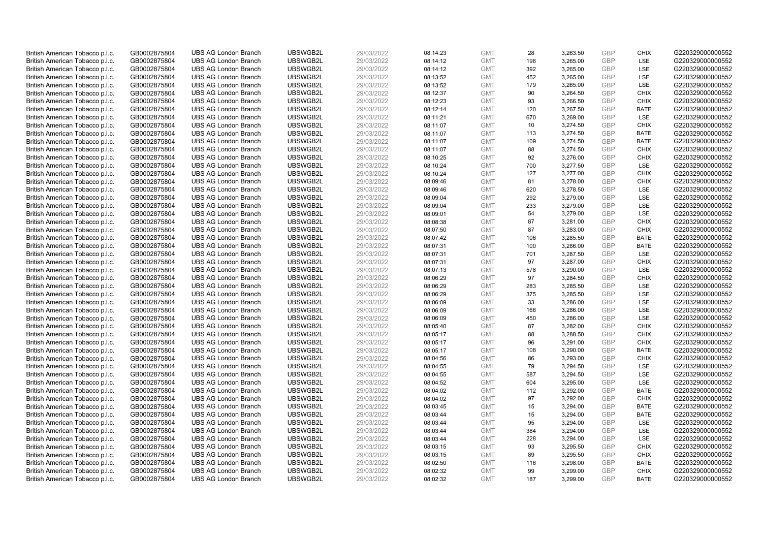| British American Tobacco p.l.c. | GB0002875804 | <b>UBS AG London Branch</b> | UBSWGB2L | 29/03/2022 | 08:14:23 | <b>GMT</b> | 28        | 3,263.50 | <b>GBP</b> | <b>CHIX</b>       | G220329000000552 |
|---------------------------------|--------------|-----------------------------|----------|------------|----------|------------|-----------|----------|------------|-------------------|------------------|
|                                 |              |                             |          |            |          |            | 196       |          | GBP        | <b>LSE</b>        |                  |
| British American Tobacco p.l.c. | GB0002875804 | <b>UBS AG London Branch</b> | UBSWGB2L | 29/03/2022 | 08:14:12 | <b>GMT</b> |           | 3,265.00 |            |                   | G220329000000552 |
| British American Tobacco p.l.c. | GB0002875804 | <b>UBS AG London Branch</b> | UBSWGB2L | 29/03/2022 | 08:14:12 | <b>GMT</b> | 392       | 3,265.00 | <b>GBP</b> | LSE               | G220329000000552 |
| British American Tobacco p.l.c. | GB0002875804 | <b>UBS AG London Branch</b> | UBSWGB2L | 29/03/2022 | 08:13:52 | <b>GMT</b> | 452       | 3,265.00 | <b>GBP</b> | LSE               | G220329000000552 |
| British American Tobacco p.l.c. | GB0002875804 | <b>UBS AG London Branch</b> | UBSWGB2L | 29/03/2022 | 08:13:52 | <b>GMT</b> | 179       | 3,265.00 | <b>GBP</b> | LSE               | G220329000000552 |
| British American Tobacco p.l.c. | GB0002875804 | <b>UBS AG London Branch</b> | UBSWGB2L | 29/03/2022 | 08:12:37 | <b>GMT</b> | 90        | 3,264.50 | <b>GBP</b> | <b>CHIX</b>       | G220329000000552 |
| British American Tobacco p.l.c. | GB0002875804 | <b>UBS AG London Branch</b> | UBSWGB2L | 29/03/2022 | 08:12:23 | <b>GMT</b> | 93        | 3,266.50 | <b>GBP</b> | <b>CHIX</b>       | G220329000000552 |
| British American Tobacco p.l.c. | GB0002875804 | <b>UBS AG London Branch</b> | UBSWGB2L | 29/03/2022 | 08:12:14 | <b>GMT</b> | 120       | 3,267.50 | <b>GBP</b> | <b>BATE</b>       | G220329000000552 |
| British American Tobacco p.l.c. | GB0002875804 | <b>UBS AG London Branch</b> | UBSWGB2L | 29/03/2022 | 08:11:21 | <b>GMT</b> | 670       | 3,269.00 | <b>GBP</b> | LSE               | G220329000000552 |
| British American Tobacco p.l.c. | GB0002875804 | <b>UBS AG London Branch</b> | UBSWGB2L | 29/03/2022 | 08:11:07 | <b>GMT</b> | 10        | 3,274.50 | <b>GBP</b> | <b>CHIX</b>       | G220329000000552 |
| British American Tobacco p.l.c. | GB0002875804 | <b>UBS AG London Branch</b> | UBSWGB2L | 29/03/2022 | 08:11:07 | <b>GMT</b> | 113       | 3,274.50 | <b>GBP</b> | <b>BATE</b>       | G220329000000552 |
| British American Tobacco p.l.c. | GB0002875804 | <b>UBS AG London Branch</b> | UBSWGB2L | 29/03/2022 | 08:11:07 | <b>GMT</b> | 109       | 3,274.50 | <b>GBP</b> | <b>BATE</b>       | G220329000000552 |
| British American Tobacco p.l.c. | GB0002875804 | <b>UBS AG London Branch</b> | UBSWGB2L | 29/03/2022 | 08:11:07 | <b>GMT</b> | 88        | 3,274.50 | <b>GBP</b> | <b>CHIX</b>       | G220329000000552 |
| British American Tobacco p.l.c. | GB0002875804 | <b>UBS AG London Branch</b> | UBSWGB2L | 29/03/2022 | 08:10:25 | <b>GMT</b> | 92        | 3,276.00 | <b>GBP</b> | <b>CHIX</b>       | G220329000000552 |
| British American Tobacco p.l.c. | GB0002875804 | <b>UBS AG London Branch</b> | UBSWGB2L | 29/03/2022 | 08:10:24 | <b>GMT</b> | 700       | 3,277.50 | <b>GBP</b> | <b>LSE</b>        | G220329000000552 |
| British American Tobacco p.l.c. | GB0002875804 | <b>UBS AG London Branch</b> | UBSWGB2L | 29/03/2022 | 08:10:24 | <b>GMT</b> | 127       | 3,277.00 | <b>GBP</b> | <b>CHIX</b>       | G220329000000552 |
| British American Tobacco p.l.c. | GB0002875804 | <b>UBS AG London Branch</b> | UBSWGB2L | 29/03/2022 | 08:09:46 | <b>GMT</b> | 81        | 3,278.00 | <b>GBP</b> | <b>CHIX</b>       | G220329000000552 |
| British American Tobacco p.l.c. | GB0002875804 | <b>UBS AG London Branch</b> | UBSWGB2L | 29/03/2022 | 08:09:46 | <b>GMT</b> | 620       | 3,278.50 | <b>GBP</b> | LSE               | G220329000000552 |
| British American Tobacco p.l.c. | GB0002875804 | <b>UBS AG London Branch</b> | UBSWGB2L | 29/03/2022 | 08:09:04 | <b>GMT</b> | 292       | 3,279.00 | <b>GBP</b> | <b>LSE</b>        | G220329000000552 |
| British American Tobacco p.l.c. | GB0002875804 | <b>UBS AG London Branch</b> | UBSWGB2L | 29/03/2022 | 08:09:04 | <b>GMT</b> | 233       | 3,279.00 | <b>GBP</b> | LSE               | G220329000000552 |
| British American Tobacco p.l.c. | GB0002875804 | <b>UBS AG London Branch</b> | UBSWGB2L | 29/03/2022 | 08:09:01 | <b>GMT</b> | 54        | 3,279.00 | <b>GBP</b> | LSE               | G220329000000552 |
| British American Tobacco p.l.c. | GB0002875804 | <b>UBS AG London Branch</b> | UBSWGB2L | 29/03/2022 | 08:08:38 | <b>GMT</b> | 87        | 3,281.00 | <b>GBP</b> | <b>CHIX</b>       | G220329000000552 |
| British American Tobacco p.l.c. | GB0002875804 | <b>UBS AG London Branch</b> | UBSWGB2L | 29/03/2022 | 08:07:50 | <b>GMT</b> | 87        | 3,283.00 | <b>GBP</b> | <b>CHIX</b>       | G220329000000552 |
| British American Tobacco p.l.c. | GB0002875804 | <b>UBS AG London Branch</b> | UBSWGB2L | 29/03/2022 | 08:07:42 | <b>GMT</b> | 106       | 3,285.50 | <b>GBP</b> | <b>BATE</b>       | G220329000000552 |
| British American Tobacco p.l.c. | GB0002875804 | <b>UBS AG London Branch</b> | UBSWGB2L | 29/03/2022 | 08:07:31 | <b>GMT</b> | 100       | 3,286.00 | <b>GBP</b> | <b>BATE</b>       | G220329000000552 |
| British American Tobacco p.l.c. | GB0002875804 | <b>UBS AG London Branch</b> | UBSWGB2L | 29/03/2022 | 08:07:31 | <b>GMT</b> | 701       | 3,287.50 | <b>GBP</b> | LSE               | G220329000000552 |
| British American Tobacco p.l.c. | GB0002875804 | <b>UBS AG London Branch</b> | UBSWGB2L | 29/03/2022 | 08:07:31 | <b>GMT</b> | 97        | 3,287.00 | <b>GBP</b> | <b>CHIX</b>       | G220329000000552 |
| British American Tobacco p.l.c. | GB0002875804 | <b>UBS AG London Branch</b> | UBSWGB2L | 29/03/2022 | 08:07:13 | <b>GMT</b> | 578       | 3,290.00 | <b>GBP</b> | <b>LSE</b>        | G220329000000552 |
| British American Tobacco p.l.c. | GB0002875804 | <b>UBS AG London Branch</b> | UBSWGB2L | 29/03/2022 | 08:06:29 | <b>GMT</b> | 97        | 3,284.50 | <b>GBP</b> | <b>CHIX</b>       | G220329000000552 |
| British American Tobacco p.l.c. | GB0002875804 | <b>UBS AG London Branch</b> | UBSWGB2L | 29/03/2022 | 08:06:29 | <b>GMT</b> | 283       | 3,285.50 | <b>GBP</b> | LSE               | G220329000000552 |
| British American Tobacco p.l.c. | GB0002875804 | <b>UBS AG London Branch</b> | UBSWGB2L | 29/03/2022 | 08:06:29 | <b>GMT</b> | 375       | 3,285.50 | <b>GBP</b> | LSE               | G220329000000552 |
| British American Tobacco p.l.c. | GB0002875804 | <b>UBS AG London Branch</b> | UBSWGB2L | 29/03/2022 | 08:06:09 | <b>GMT</b> | 33        | 3,286.00 | <b>GBP</b> | <b>LSE</b>        | G220329000000552 |
| British American Tobacco p.l.c. | GB0002875804 | <b>UBS AG London Branch</b> | UBSWGB2L | 29/03/2022 | 08:06:09 | <b>GMT</b> | 166       | 3,286.00 | <b>GBP</b> | LSE               | G220329000000552 |
| British American Tobacco p.l.c. | GB0002875804 | <b>UBS AG London Branch</b> | UBSWGB2L | 29/03/2022 | 08:06:09 | <b>GMT</b> | 450       | 3,286.00 | <b>GBP</b> | LSE               | G220329000000552 |
| British American Tobacco p.l.c. | GB0002875804 | <b>UBS AG London Branch</b> | UBSWGB2L | 29/03/2022 | 08:05:40 | <b>GMT</b> | 87        | 3,282.00 | <b>GBP</b> | <b>CHIX</b>       | G220329000000552 |
| British American Tobacco p.l.c. | GB0002875804 | <b>UBS AG London Branch</b> | UBSWGB2L | 29/03/2022 | 08:05:17 | <b>GMT</b> | 88        | 3,288.50 | <b>GBP</b> | <b>CHIX</b>       | G220329000000552 |
| British American Tobacco p.l.c. | GB0002875804 | <b>UBS AG London Branch</b> | UBSWGB2L | 29/03/2022 | 08:05:17 | <b>GMT</b> | 96        | 3,291.00 | <b>GBP</b> | <b>CHIX</b>       | G220329000000552 |
| British American Tobacco p.l.c. | GB0002875804 | <b>UBS AG London Branch</b> | UBSWGB2L | 29/03/2022 | 08:05:17 | <b>GMT</b> | 108       | 3,290.00 | <b>GBP</b> | <b>BATE</b>       | G220329000000552 |
|                                 |              | <b>UBS AG London Branch</b> | UBSWGB2L | 29/03/2022 |          | <b>GMT</b> | 86        | 3,293.00 | <b>GBP</b> | <b>CHIX</b>       | G220329000000552 |
| British American Tobacco p.l.c. | GB0002875804 |                             |          |            | 08:04:56 |            |           |          | <b>GBP</b> |                   |                  |
| British American Tobacco p.l.c. | GB0002875804 | <b>UBS AG London Branch</b> | UBSWGB2L | 29/03/2022 | 08:04:55 | <b>GMT</b> | 79<br>587 | 3,294.50 | <b>GBP</b> | LSE<br><b>LSE</b> | G220329000000552 |
| British American Tobacco p.l.c. | GB0002875804 | <b>UBS AG London Branch</b> | UBSWGB2L | 29/03/2022 | 08:04:55 | <b>GMT</b> |           | 3,294.50 |            |                   | G220329000000552 |
| British American Tobacco p.l.c. | GB0002875804 | <b>UBS AG London Branch</b> | UBSWGB2L | 29/03/2022 | 08:04:52 | <b>GMT</b> | 604       | 3,295.00 | <b>GBP</b> | LSE               | G220329000000552 |
| British American Tobacco p.l.c. | GB0002875804 | <b>UBS AG London Branch</b> | UBSWGB2L | 29/03/2022 | 08:04:02 | <b>GMT</b> | 112       | 3,292.00 | <b>GBP</b> | <b>BATE</b>       | G220329000000552 |
| British American Tobacco p.l.c. | GB0002875804 | <b>UBS AG London Branch</b> | UBSWGB2L | 29/03/2022 | 08:04:02 | <b>GMT</b> | 97        | 3,292.00 | <b>GBP</b> | <b>CHIX</b>       | G220329000000552 |
| British American Tobacco p.l.c. | GB0002875804 | <b>UBS AG London Branch</b> | UBSWGB2L | 29/03/2022 | 08:03:45 | <b>GMT</b> | 15        | 3,294.00 | <b>GBP</b> | <b>BATE</b>       | G220329000000552 |
| British American Tobacco p.l.c. | GB0002875804 | <b>UBS AG London Branch</b> | UBSWGB2L | 29/03/2022 | 08:03:44 | <b>GMT</b> | 15        | 3,294.00 | <b>GBP</b> | <b>BATE</b>       | G220329000000552 |
| British American Tobacco p.l.c. | GB0002875804 | <b>UBS AG London Branch</b> | UBSWGB2L | 29/03/2022 | 08:03:44 | <b>GMT</b> | 95        | 3,294.00 | <b>GBP</b> | LSE               | G220329000000552 |
| British American Tobacco p.l.c. | GB0002875804 | <b>UBS AG London Branch</b> | UBSWGB2L | 29/03/2022 | 08:03:44 | <b>GMT</b> | 384       | 3,294.00 | <b>GBP</b> | LSE               | G220329000000552 |
| British American Tobacco p.l.c. | GB0002875804 | <b>UBS AG London Branch</b> | UBSWGB2L | 29/03/2022 | 08:03:44 | <b>GMT</b> | 228       | 3,294.00 | <b>GBP</b> | LSE               | G220329000000552 |
| British American Tobacco p.l.c. | GB0002875804 | <b>UBS AG London Branch</b> | UBSWGB2L | 29/03/2022 | 08:03:15 | <b>GMT</b> | 93        | 3,295.50 | <b>GBP</b> | <b>CHIX</b>       | G220329000000552 |
| British American Tobacco p.l.c. | GB0002875804 | <b>UBS AG London Branch</b> | UBSWGB2L | 29/03/2022 | 08:03:15 | <b>GMT</b> | 89        | 3,295.50 | <b>GBP</b> | <b>CHIX</b>       | G220329000000552 |
| British American Tobacco p.l.c. | GB0002875804 | <b>UBS AG London Branch</b> | UBSWGB2L | 29/03/2022 | 08:02:50 | <b>GMT</b> | 116       | 3,298.00 | <b>GBP</b> | <b>BATE</b>       | G220329000000552 |
| British American Tobacco p.l.c. | GB0002875804 | <b>UBS AG London Branch</b> | UBSWGB2L | 29/03/2022 | 08:02:32 | <b>GMT</b> | 99        | 3,299.00 | <b>GBP</b> | <b>CHIX</b>       | G220329000000552 |
| British American Tobacco p.l.c. | GB0002875804 | <b>UBS AG London Branch</b> | UBSWGB2L | 29/03/2022 | 08:02:32 | <b>GMT</b> | 187       | 3.299.00 | GBP        | <b>BATE</b>       | G220329000000552 |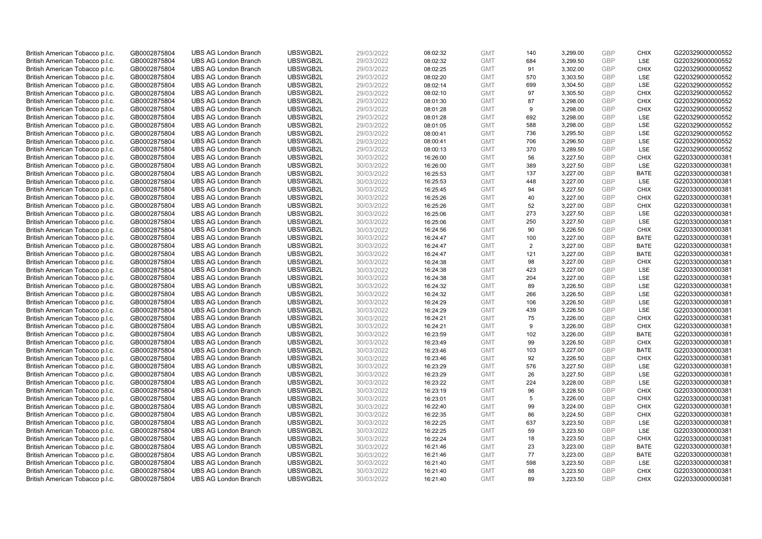| British American Tobacco p.l.c. | GB0002875804 | <b>UBS AG London Branch</b> | UBSWGB2L | 29/03/2022 | 08:02:32 | <b>GMT</b> | 140            | 3,299.00 | <b>GBP</b> | <b>CHIX</b> | G220329000000552 |
|---------------------------------|--------------|-----------------------------|----------|------------|----------|------------|----------------|----------|------------|-------------|------------------|
| British American Tobacco p.l.c. | GB0002875804 | <b>UBS AG London Branch</b> | UBSWGB2L | 29/03/2022 | 08:02:32 | <b>GMT</b> | 684            | 3,299.50 | GBP        | <b>LSE</b>  | G220329000000552 |
| British American Tobacco p.l.c. | GB0002875804 | <b>UBS AG London Branch</b> | UBSWGB2L | 29/03/2022 | 08:02:25 | <b>GMT</b> | 91             | 3,302.00 | GBP        | <b>CHIX</b> | G220329000000552 |
| British American Tobacco p.l.c. | GB0002875804 | <b>UBS AG London Branch</b> | UBSWGB2L | 29/03/2022 | 08:02:20 | <b>GMT</b> | 570            | 3,303.50 | GBP        | LSE         | G220329000000552 |
| British American Tobacco p.l.c. | GB0002875804 | <b>UBS AG London Branch</b> | UBSWGB2L | 29/03/2022 | 08:02:14 | <b>GMT</b> | 699            | 3,304.50 | <b>GBP</b> | LSE         | G220329000000552 |
| British American Tobacco p.l.c. | GB0002875804 | <b>UBS AG London Branch</b> | UBSWGB2L | 29/03/2022 | 08:02:10 | <b>GMT</b> | 97             | 3,305.50 | <b>GBP</b> | <b>CHIX</b> | G220329000000552 |
| British American Tobacco p.l.c. | GB0002875804 | <b>UBS AG London Branch</b> | UBSWGB2L | 29/03/2022 | 08:01:30 | <b>GMT</b> | 87             | 3,298.00 | <b>GBP</b> | <b>CHIX</b> | G220329000000552 |
| British American Tobacco p.l.c. | GB0002875804 | <b>UBS AG London Branch</b> | UBSWGB2L | 29/03/2022 | 08:01:28 | <b>GMT</b> | 9              | 3,298.00 | GBP        | <b>CHIX</b> | G220329000000552 |
| British American Tobacco p.l.c. | GB0002875804 | <b>UBS AG London Branch</b> | UBSWGB2L | 29/03/2022 | 08:01:28 | <b>GMT</b> | 692            | 3,298.00 | <b>GBP</b> | LSE         | G220329000000552 |
| British American Tobacco p.l.c. | GB0002875804 | <b>UBS AG London Branch</b> | UBSWGB2L | 29/03/2022 | 08:01:05 | <b>GMT</b> | 588            | 3,298.00 | <b>GBP</b> | LSE         | G220329000000552 |
| British American Tobacco p.l.c. | GB0002875804 | <b>UBS AG London Branch</b> | UBSWGB2L | 29/03/2022 | 08:00:41 | <b>GMT</b> | 736            | 3,295.50 | <b>GBP</b> | LSE         | G220329000000552 |
| British American Tobacco p.l.c. | GB0002875804 | <b>UBS AG London Branch</b> | UBSWGB2L | 29/03/2022 | 08:00:41 | <b>GMT</b> | 706            | 3,296.50 | <b>GBP</b> | LSE         | G220329000000552 |
| British American Tobacco p.l.c. | GB0002875804 | <b>UBS AG London Branch</b> | UBSWGB2L | 29/03/2022 | 08:00:13 | <b>GMT</b> | 370            | 3,289.50 | <b>GBP</b> | LSE         | G220329000000552 |
| British American Tobacco p.l.c. | GB0002875804 | <b>UBS AG London Branch</b> | UBSWGB2L | 30/03/2022 | 16:26:00 | <b>GMT</b> | 56             | 3,227.50 | <b>GBP</b> | <b>CHIX</b> | G220330000000381 |
| British American Tobacco p.l.c. | GB0002875804 | <b>UBS AG London Branch</b> | UBSWGB2L | 30/03/2022 | 16:26:00 | <b>GMT</b> | 389            | 3,227.50 | <b>GBP</b> | <b>LSE</b>  | G220330000000381 |
| British American Tobacco p.l.c. | GB0002875804 | <b>UBS AG London Branch</b> | UBSWGB2L | 30/03/2022 | 16:25:53 | <b>GMT</b> | 137            | 3,227.00 | <b>GBP</b> | <b>BATE</b> | G220330000000381 |
| British American Tobacco p.l.c. | GB0002875804 | <b>UBS AG London Branch</b> | UBSWGB2L | 30/03/2022 | 16:25:53 | <b>GMT</b> | 448            | 3,227.00 | <b>GBP</b> | <b>LSE</b>  | G220330000000381 |
| British American Tobacco p.l.c. | GB0002875804 | <b>UBS AG London Branch</b> | UBSWGB2L | 30/03/2022 | 16:25:45 | <b>GMT</b> | 94             | 3,227.50 | GBP        | <b>CHIX</b> | G220330000000381 |
| British American Tobacco p.l.c. | GB0002875804 | <b>UBS AG London Branch</b> | UBSWGB2L | 30/03/2022 | 16:25:26 | <b>GMT</b> | 40             | 3,227.00 | <b>GBP</b> | <b>CHIX</b> | G220330000000381 |
| British American Tobacco p.l.c. | GB0002875804 | <b>UBS AG London Branch</b> | UBSWGB2L | 30/03/2022 | 16:25:26 | <b>GMT</b> | 52             | 3,227.00 | <b>GBP</b> | <b>CHIX</b> | G220330000000381 |
| British American Tobacco p.l.c. | GB0002875804 | <b>UBS AG London Branch</b> | UBSWGB2L | 30/03/2022 | 16:25:06 | <b>GMT</b> | 273            | 3,227.50 | GBP        | LSE         | G220330000000381 |
| British American Tobacco p.l.c. | GB0002875804 | <b>UBS AG London Branch</b> | UBSWGB2L | 30/03/2022 | 16:25:06 | <b>GMT</b> | 250            | 3,227.50 | <b>GBP</b> | LSE         | G220330000000381 |
| British American Tobacco p.l.c. | GB0002875804 | <b>UBS AG London Branch</b> | UBSWGB2L | 30/03/2022 | 16:24:56 | <b>GMT</b> | 90             | 3,226.50 | <b>GBP</b> | <b>CHIX</b> | G220330000000381 |
| British American Tobacco p.l.c. | GB0002875804 | <b>UBS AG London Branch</b> | UBSWGB2L | 30/03/2022 | 16:24:47 | <b>GMT</b> | 100            | 3,227.00 | <b>GBP</b> | <b>BATE</b> | G220330000000381 |
| British American Tobacco p.l.c. | GB0002875804 | <b>UBS AG London Branch</b> | UBSWGB2L | 30/03/2022 | 16:24:47 | <b>GMT</b> | $\overline{2}$ | 3,227.00 | <b>GBP</b> | <b>BATE</b> | G220330000000381 |
| British American Tobacco p.l.c. | GB0002875804 | <b>UBS AG London Branch</b> | UBSWGB2L | 30/03/2022 | 16:24:47 | <b>GMT</b> | 121            | 3,227.00 | <b>GBP</b> | <b>BATE</b> | G220330000000381 |
| British American Tobacco p.l.c. | GB0002875804 | <b>UBS AG London Branch</b> | UBSWGB2L | 30/03/2022 | 16:24:38 | <b>GMT</b> | 98             | 3,227.00 | <b>GBP</b> | <b>CHIX</b> | G220330000000381 |
| British American Tobacco p.l.c. | GB0002875804 | <b>UBS AG London Branch</b> | UBSWGB2L | 30/03/2022 | 16:24:38 | <b>GMT</b> | 423            | 3,227.00 | GBP        | <b>LSE</b>  | G220330000000381 |
| British American Tobacco p.l.c. | GB0002875804 | <b>UBS AG London Branch</b> | UBSWGB2L | 30/03/2022 | 16:24:38 | <b>GMT</b> | 204            | 3,227.00 | <b>GBP</b> | LSE         | G220330000000381 |
| British American Tobacco p.l.c. | GB0002875804 | <b>UBS AG London Branch</b> | UBSWGB2L | 30/03/2022 | 16:24:32 | <b>GMT</b> | 89             | 3,226.50 | <b>GBP</b> | LSE         | G220330000000381 |
| British American Tobacco p.l.c. | GB0002875804 | <b>UBS AG London Branch</b> | UBSWGB2L | 30/03/2022 | 16:24:32 | <b>GMT</b> | 266            | 3,226.50 | <b>GBP</b> | LSE         | G220330000000381 |
| British American Tobacco p.l.c. | GB0002875804 | <b>UBS AG London Branch</b> | UBSWGB2L | 30/03/2022 | 16:24:29 | <b>GMT</b> | 106            | 3,226.50 | <b>GBP</b> | <b>LSE</b>  | G220330000000381 |
| British American Tobacco p.l.c. | GB0002875804 | <b>UBS AG London Branch</b> | UBSWGB2L | 30/03/2022 | 16:24:29 | <b>GMT</b> | 439            | 3,226.50 | <b>GBP</b> | LSE         | G220330000000381 |
| British American Tobacco p.l.c. | GB0002875804 | <b>UBS AG London Branch</b> | UBSWGB2L | 30/03/2022 | 16:24:21 | <b>GMT</b> | 75             | 3,226.00 | GBP        | <b>CHIX</b> | G220330000000381 |
| British American Tobacco p.l.c. | GB0002875804 | <b>UBS AG London Branch</b> | UBSWGB2L | 30/03/2022 | 16:24:21 | <b>GMT</b> | 9              | 3,226.00 | <b>GBP</b> | <b>CHIX</b> | G220330000000381 |
| British American Tobacco p.l.c. | GB0002875804 | <b>UBS AG London Branch</b> | UBSWGB2L | 30/03/2022 | 16:23:59 | <b>GMT</b> | 102            | 3,226.00 | <b>GBP</b> | <b>BATE</b> | G220330000000381 |
| British American Tobacco p.l.c. | GB0002875804 | <b>UBS AG London Branch</b> | UBSWGB2L | 30/03/2022 | 16:23:49 | <b>GMT</b> | 99             | 3,226.50 | GBP        | <b>CHIX</b> | G220330000000381 |
| British American Tobacco p.l.c. | GB0002875804 | <b>UBS AG London Branch</b> | UBSWGB2L | 30/03/2022 | 16:23:46 | <b>GMT</b> | 103            | 3,227.00 | <b>GBP</b> | <b>BATE</b> | G220330000000381 |
| British American Tobacco p.l.c. | GB0002875804 | <b>UBS AG London Branch</b> | UBSWGB2L | 30/03/2022 | 16:23:46 | <b>GMT</b> | 92             | 3,226.50 | <b>GBP</b> | <b>CHIX</b> | G220330000000381 |
| British American Tobacco p.l.c. | GB0002875804 | <b>UBS AG London Branch</b> | UBSWGB2L | 30/03/2022 | 16:23:29 | <b>GMT</b> | 576            | 3,227.50 | <b>GBP</b> | <b>LSE</b>  | G220330000000381 |
| British American Tobacco p.l.c. | GB0002875804 | <b>UBS AG London Branch</b> | UBSWGB2L | 30/03/2022 | 16:23:29 | <b>GMT</b> | 26             | 3,227.50 | GBP        | LSE         | G220330000000381 |
| British American Tobacco p.l.c. | GB0002875804 | <b>UBS AG London Branch</b> | UBSWGB2L | 30/03/2022 | 16:23:22 | <b>GMT</b> | 224            | 3,228.00 | <b>GBP</b> | LSE         | G220330000000381 |
| British American Tobacco p.l.c. | GB0002875804 | <b>UBS AG London Branch</b> | UBSWGB2L | 30/03/2022 | 16:23:19 | <b>GMT</b> | 96             | 3,228.50 | GBP        | <b>CHIX</b> | G220330000000381 |
| British American Tobacco p.l.c. | GB0002875804 | <b>UBS AG London Branch</b> | UBSWGB2L | 30/03/2022 | 16:23:01 | <b>GMT</b> | 5              | 3,226.00 | GBP        | <b>CHIX</b> | G220330000000381 |
| British American Tobacco p.l.c. | GB0002875804 | <b>UBS AG London Branch</b> | UBSWGB2L | 30/03/2022 | 16:22:40 | <b>GMT</b> | 99             | 3,224.00 | <b>GBP</b> | <b>CHIX</b> | G220330000000381 |
| British American Tobacco p.l.c. | GB0002875804 | <b>UBS AG London Branch</b> | UBSWGB2L | 30/03/2022 | 16:22:35 | <b>GMT</b> | 86             | 3,224.50 | <b>GBP</b> | <b>CHIX</b> | G220330000000381 |
| British American Tobacco p.l.c. | GB0002875804 | <b>UBS AG London Branch</b> | UBSWGB2L | 30/03/2022 | 16:22:25 | <b>GMT</b> | 637            | 3,223.50 | <b>GBP</b> | LSE         | G220330000000381 |
| British American Tobacco p.l.c. | GB0002875804 | <b>UBS AG London Branch</b> | UBSWGB2L | 30/03/2022 | 16:22:25 | <b>GMT</b> | 59             | 3,223.50 | GBP        | LSE         | G220330000000381 |
| British American Tobacco p.l.c. | GB0002875804 | <b>UBS AG London Branch</b> | UBSWGB2L | 30/03/2022 | 16:22:24 | <b>GMT</b> | 18             | 3,223.50 | <b>GBP</b> | <b>CHIX</b> | G220330000000381 |
| British American Tobacco p.l.c. | GB0002875804 | <b>UBS AG London Branch</b> | UBSWGB2L | 30/03/2022 | 16:21:46 | <b>GMT</b> | 23             | 3,223.00 | GBP        | <b>BATE</b> | G220330000000381 |
| British American Tobacco p.l.c. | GB0002875804 | <b>UBS AG London Branch</b> | UBSWGB2L | 30/03/2022 | 16:21:46 | <b>GMT</b> | 77             | 3,223.00 | GBP        | <b>BATE</b> | G220330000000381 |
| British American Tobacco p.l.c. | GB0002875804 | <b>UBS AG London Branch</b> | UBSWGB2L | 30/03/2022 | 16:21:40 | <b>GMT</b> | 598            | 3,223.50 | <b>GBP</b> | LSE         | G220330000000381 |
| British American Tobacco p.l.c. | GB0002875804 | <b>UBS AG London Branch</b> | UBSWGB2L | 30/03/2022 | 16:21:40 | <b>GMT</b> | 88             | 3,223.50 | GBP        | <b>CHIX</b> | G220330000000381 |
| British American Tobacco p.l.c. | GB0002875804 | <b>UBS AG London Branch</b> | UBSWGB2L | 30/03/2022 | 16:21:40 | <b>GMT</b> | 89             | 3.223.50 | GBP        | <b>CHIX</b> | G220330000000381 |
|                                 |              |                             |          |            |          |            |                |          |            |             |                  |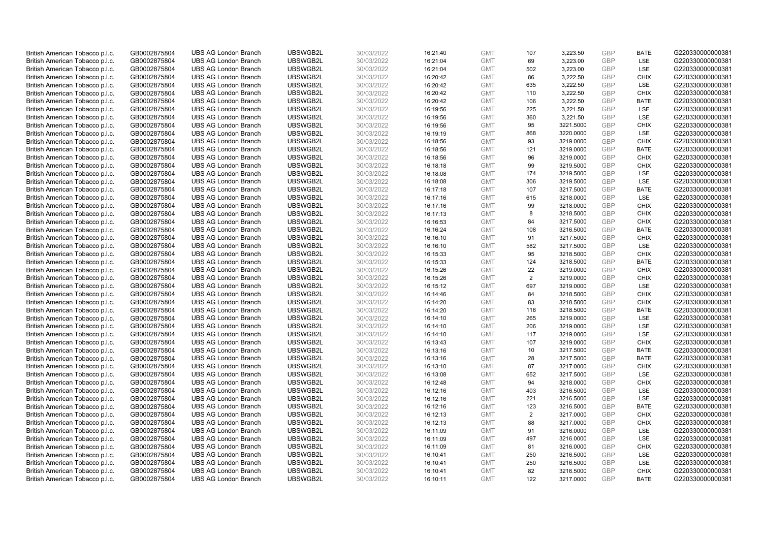| British American Tobacco p.l.c. | GB0002875804 | <b>UBS AG London Branch</b> | UBSWGB2L | 30/03/2022 | 16:21:40 | <b>GMT</b> | 107            | 3,223.50  | GBP        | <b>BATE</b> | G220330000000381 |
|---------------------------------|--------------|-----------------------------|----------|------------|----------|------------|----------------|-----------|------------|-------------|------------------|
| British American Tobacco p.l.c. | GB0002875804 | <b>UBS AG London Branch</b> | UBSWGB2L | 30/03/2022 | 16:21:04 | <b>GMT</b> | 69             | 3,223.00  | GBP        | LSE         | G220330000000381 |
| British American Tobacco p.l.c. | GB0002875804 | <b>UBS AG London Branch</b> | UBSWGB2L | 30/03/2022 | 16:21:04 | <b>GMT</b> | 502            | 3,223.00  | GBP        | LSE         | G220330000000381 |
| British American Tobacco p.l.c. | GB0002875804 | <b>UBS AG London Branch</b> | UBSWGB2L | 30/03/2022 | 16:20:42 | <b>GMT</b> | 86             | 3,222.50  | GBP        | <b>CHIX</b> | G220330000000381 |
| British American Tobacco p.l.c. | GB0002875804 | <b>UBS AG London Branch</b> | UBSWGB2L | 30/03/2022 | 16:20:42 | <b>GMT</b> | 635            | 3,222.50  | GBP        | LSE         | G220330000000381 |
| British American Tobacco p.l.c. | GB0002875804 | <b>UBS AG London Branch</b> | UBSWGB2L | 30/03/2022 | 16:20:42 | <b>GMT</b> | 110            | 3,222.50  | GBP        | <b>CHIX</b> | G220330000000381 |
| British American Tobacco p.l.c. | GB0002875804 | <b>UBS AG London Branch</b> | UBSWGB2L | 30/03/2022 | 16:20:42 | <b>GMT</b> | 106            | 3,222.50  | <b>GBP</b> | <b>BATE</b> | G220330000000381 |
| British American Tobacco p.l.c. | GB0002875804 | <b>UBS AG London Branch</b> | UBSWGB2L | 30/03/2022 | 16:19:56 | <b>GMT</b> | 225            | 3,221.50  | GBP        | LSE         | G220330000000381 |
| British American Tobacco p.l.c. | GB0002875804 | <b>UBS AG London Branch</b> | UBSWGB2L | 30/03/2022 | 16:19:56 | <b>GMT</b> | 360            | 3,221.50  | GBP        | LSE         | G220330000000381 |
| British American Tobacco p.l.c. | GB0002875804 | <b>UBS AG London Branch</b> | UBSWGB2L | 30/03/2022 | 16:19:56 | <b>GMT</b> | 95             | 3221.5000 | GBP        | <b>CHIX</b> | G220330000000381 |
| British American Tobacco p.l.c. | GB0002875804 | <b>UBS AG London Branch</b> | UBSWGB2L | 30/03/2022 | 16:19:19 | <b>GMT</b> | 868            | 3220.0000 | GBP        | LSE         | G220330000000381 |
| British American Tobacco p.l.c. | GB0002875804 | <b>UBS AG London Branch</b> | UBSWGB2L | 30/03/2022 | 16:18:56 | <b>GMT</b> | 93             | 3219.0000 | GBP        | <b>CHIX</b> | G220330000000381 |
| British American Tobacco p.l.c. | GB0002875804 | <b>UBS AG London Branch</b> | UBSWGB2L | 30/03/2022 | 16:18:56 | <b>GMT</b> | 121            | 3219.0000 | GBP        | <b>BATE</b> | G220330000000381 |
| British American Tobacco p.l.c. | GB0002875804 | <b>UBS AG London Branch</b> | UBSWGB2L | 30/03/2022 | 16:18:56 | <b>GMT</b> | 96             | 3219.0000 | GBP        | <b>CHIX</b> | G220330000000381 |
| British American Tobacco p.l.c. | GB0002875804 | <b>UBS AG London Branch</b> | UBSWGB2L | 30/03/2022 | 16:18:18 | <b>GMT</b> | 99             | 3219.5000 | GBP        | <b>CHIX</b> | G220330000000381 |
| British American Tobacco p.l.c. | GB0002875804 | <b>UBS AG London Branch</b> | UBSWGB2L | 30/03/2022 | 16:18:08 | <b>GMT</b> | 174            | 3219.5000 | GBP        | LSE         | G220330000000381 |
| British American Tobacco p.l.c. | GB0002875804 | <b>UBS AG London Branch</b> | UBSWGB2L | 30/03/2022 | 16:18:08 | <b>GMT</b> | 306            | 3219.5000 | GBP        | LSE         | G220330000000381 |
| British American Tobacco p.l.c. | GB0002875804 | <b>UBS AG London Branch</b> | UBSWGB2L | 30/03/2022 | 16:17:18 | <b>GMT</b> | 107            | 3217.5000 | GBP        | <b>BATE</b> | G220330000000381 |
| British American Tobacco p.l.c. | GB0002875804 | <b>UBS AG London Branch</b> | UBSWGB2L | 30/03/2022 | 16:17:16 | <b>GMT</b> | 615            | 3218.0000 | <b>GBP</b> | LSE         | G220330000000381 |
| British American Tobacco p.l.c. | GB0002875804 | <b>UBS AG London Branch</b> | UBSWGB2L | 30/03/2022 | 16:17:16 | <b>GMT</b> | 99             | 3218.0000 | GBP        | <b>CHIX</b> | G220330000000381 |
| British American Tobacco p.l.c. | GB0002875804 | <b>UBS AG London Branch</b> | UBSWGB2L | 30/03/2022 | 16:17:13 | <b>GMT</b> | 8              | 3218.5000 | GBP        | <b>CHIX</b> | G220330000000381 |
| British American Tobacco p.l.c. | GB0002875804 | <b>UBS AG London Branch</b> | UBSWGB2L | 30/03/2022 | 16:16:53 | <b>GMT</b> | 84             | 3217.5000 | GBP        | <b>CHIX</b> | G220330000000381 |
| British American Tobacco p.l.c. | GB0002875804 | <b>UBS AG London Branch</b> | UBSWGB2L | 30/03/2022 | 16:16:24 | <b>GMT</b> | 108            | 3216.5000 | GBP        | <b>BATE</b> | G220330000000381 |
| British American Tobacco p.l.c. | GB0002875804 | <b>UBS AG London Branch</b> | UBSWGB2L | 30/03/2022 | 16:16:10 | <b>GMT</b> | 91             | 3217.5000 | GBP        | <b>CHIX</b> | G220330000000381 |
| British American Tobacco p.l.c. | GB0002875804 | <b>UBS AG London Branch</b> | UBSWGB2L | 30/03/2022 | 16:16:10 | <b>GMT</b> | 582            | 3217.5000 | <b>GBP</b> | LSE         | G220330000000381 |
| British American Tobacco p.l.c. | GB0002875804 | <b>UBS AG London Branch</b> | UBSWGB2L | 30/03/2022 | 16:15:33 | <b>GMT</b> | 95             | 3218.5000 | GBP        | <b>CHIX</b> | G220330000000381 |
| British American Tobacco p.l.c. | GB0002875804 | <b>UBS AG London Branch</b> | UBSWGB2L | 30/03/2022 | 16:15:33 | <b>GMT</b> | 124            | 3218.5000 | GBP        | <b>BATE</b> | G220330000000381 |
| British American Tobacco p.l.c. | GB0002875804 | <b>UBS AG London Branch</b> | UBSWGB2L | 30/03/2022 | 16:15:26 | <b>GMT</b> | 22             | 3219.0000 | GBP        | <b>CHIX</b> | G220330000000381 |
| British American Tobacco p.l.c. | GB0002875804 | <b>UBS AG London Branch</b> | UBSWGB2L | 30/03/2022 | 16:15:26 | <b>GMT</b> | $\overline{2}$ | 3219.0000 | GBP        | <b>CHIX</b> | G220330000000381 |
| British American Tobacco p.l.c. | GB0002875804 | <b>UBS AG London Branch</b> | UBSWGB2L | 30/03/2022 | 16:15:12 | <b>GMT</b> | 697            | 3219.0000 | GBP        | LSE         | G220330000000381 |
| British American Tobacco p.l.c. | GB0002875804 | <b>UBS AG London Branch</b> | UBSWGB2L | 30/03/2022 | 16:14:46 | <b>GMT</b> | 84             | 3218.5000 | GBP        | <b>CHIX</b> | G220330000000381 |
| British American Tobacco p.l.c. | GB0002875804 | <b>UBS AG London Branch</b> | UBSWGB2L | 30/03/2022 | 16:14:20 | <b>GMT</b> | 83             | 3218.5000 | GBP        | <b>CHIX</b> | G220330000000381 |
| British American Tobacco p.l.c. | GB0002875804 | <b>UBS AG London Branch</b> | UBSWGB2L | 30/03/2022 | 16:14:20 | <b>GMT</b> | 116            | 3218.5000 | GBP        | <b>BATE</b> | G220330000000381 |
| British American Tobacco p.l.c. | GB0002875804 | <b>UBS AG London Branch</b> | UBSWGB2L | 30/03/2022 | 16:14:10 | <b>GMT</b> | 265            | 3219.0000 | GBP        | LSE         | G220330000000381 |
| British American Tobacco p.l.c. | GB0002875804 | <b>UBS AG London Branch</b> | UBSWGB2L | 30/03/2022 | 16:14:10 | <b>GMT</b> | 206            | 3219.0000 | GBP        | LSE         | G220330000000381 |
| British American Tobacco p.l.c. | GB0002875804 | <b>UBS AG London Branch</b> | UBSWGB2L | 30/03/2022 | 16:14:10 | <b>GMT</b> | 117            | 3219.0000 | GBP        | LSE         | G220330000000381 |
| British American Tobacco p.l.c. | GB0002875804 | <b>UBS AG London Branch</b> | UBSWGB2L | 30/03/2022 | 16:13:43 | <b>GMT</b> | 107            | 3219.0000 | GBP        | <b>CHIX</b> | G220330000000381 |
| British American Tobacco p.l.c. | GB0002875804 | <b>UBS AG London Branch</b> | UBSWGB2L | 30/03/2022 | 16:13:16 | <b>GMT</b> | 10             | 3217.5000 | GBP        | <b>BATE</b> | G220330000000381 |
| British American Tobacco p.l.c. | GB0002875804 | <b>UBS AG London Branch</b> | UBSWGB2L | 30/03/2022 | 16:13:16 | <b>GMT</b> | 28             | 3217.5000 | GBP        | <b>BATE</b> | G220330000000381 |
| British American Tobacco p.l.c. | GB0002875804 | <b>UBS AG London Branch</b> | UBSWGB2L | 30/03/2022 | 16:13:10 | <b>GMT</b> | 87             | 3217.0000 | GBP        | <b>CHIX</b> | G220330000000381 |
| British American Tobacco p.l.c. | GB0002875804 | <b>UBS AG London Branch</b> | UBSWGB2L | 30/03/2022 | 16:13:08 | <b>GMT</b> | 652            | 3217.5000 | GBP        | <b>LSE</b>  | G220330000000381 |
| British American Tobacco p.l.c. | GB0002875804 | <b>UBS AG London Branch</b> | UBSWGB2L | 30/03/2022 | 16:12:48 | <b>GMT</b> | 94             | 3218.0000 | GBP        | <b>CHIX</b> | G220330000000381 |
| British American Tobacco p.l.c. | GB0002875804 | <b>UBS AG London Branch</b> | UBSWGB2L | 30/03/2022 | 16:12:16 | <b>GMT</b> | 403            | 3216.5000 | GBP        | <b>LSE</b>  | G220330000000381 |
| British American Tobacco p.l.c. | GB0002875804 | <b>UBS AG London Branch</b> | UBSWGB2L | 30/03/2022 | 16:12:16 | <b>GMT</b> | 221            | 3216.5000 | GBP        | LSE         | G220330000000381 |
| British American Tobacco p.l.c. | GB0002875804 | <b>UBS AG London Branch</b> | UBSWGB2L | 30/03/2022 | 16:12:16 | <b>GMT</b> | 123            | 3216.5000 | GBP        | <b>BATE</b> | G220330000000381 |
| British American Tobacco p.l.c. | GB0002875804 | <b>UBS AG London Branch</b> | UBSWGB2L | 30/03/2022 | 16:12:13 | <b>GMT</b> | 2              | 3217.0000 | <b>GBP</b> | <b>CHIX</b> | G220330000000381 |
| British American Tobacco p.l.c. | GB0002875804 | <b>UBS AG London Branch</b> | UBSWGB2L | 30/03/2022 | 16:12:13 | <b>GMT</b> | 88             | 3217.0000 | GBP        | <b>CHIX</b> | G220330000000381 |
| British American Tobacco p.l.c. | GB0002875804 | <b>UBS AG London Branch</b> | UBSWGB2L | 30/03/2022 | 16:11:09 | <b>GMT</b> | 91             | 3216.0000 | GBP        | LSE         | G220330000000381 |
| British American Tobacco p.l.c. | GB0002875804 | <b>UBS AG London Branch</b> | UBSWGB2L | 30/03/2022 | 16:11:09 | <b>GMT</b> | 497            | 3216.0000 | GBP        | LSE         | G220330000000381 |
| British American Tobacco p.l.c. | GB0002875804 | <b>UBS AG London Branch</b> | UBSWGB2L | 30/03/2022 | 16:11:09 | <b>GMT</b> | 81             | 3216.0000 | GBP        | <b>CHIX</b> | G220330000000381 |
| British American Tobacco p.l.c. | GB0002875804 | <b>UBS AG London Branch</b> | UBSWGB2L | 30/03/2022 | 16:10:41 | <b>GMT</b> | 250            | 3216.5000 | GBP        | LSE         | G220330000000381 |
| British American Tobacco p.l.c. | GB0002875804 | <b>UBS AG London Branch</b> | UBSWGB2L | 30/03/2022 | 16:10:41 | <b>GMT</b> | 250            | 3216.5000 | <b>GBP</b> | LSE         | G220330000000381 |
| British American Tobacco p.l.c. | GB0002875804 | <b>UBS AG London Branch</b> | UBSWGB2L | 30/03/2022 | 16:10:41 | <b>GMT</b> | 82             | 3216.5000 | GBP        | <b>CHIX</b> | G220330000000381 |
| British American Tobacco p.l.c. | GB0002875804 | <b>UBS AG London Branch</b> | UBSWGB2L | 30/03/2022 | 16:10:11 | <b>GMT</b> | 122            | 3217.0000 | GBP        | <b>BATE</b> | G220330000000381 |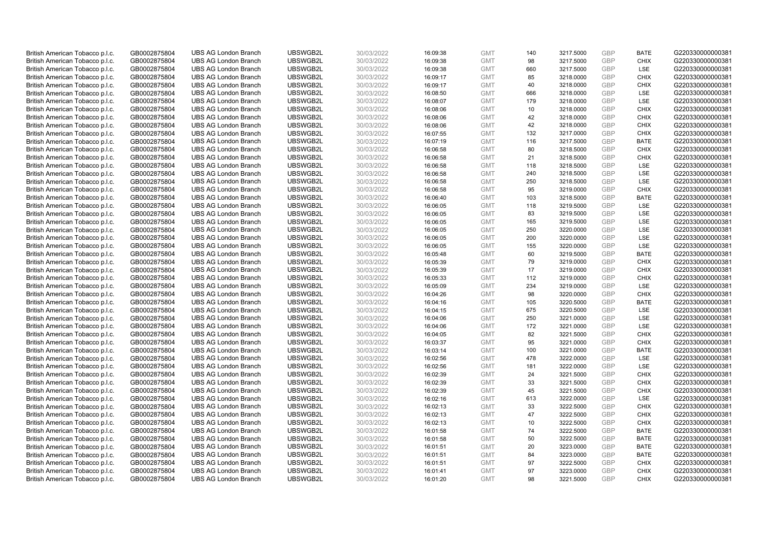| British American Tobacco p.l.c. | GB0002875804 | <b>UBS AG London Branch</b> | UBSWGB2L | 30/03/2022 | 16:09:38 | <b>GMT</b> | 140 | 3217.5000 | <b>GBP</b> | <b>BATE</b> | G220330000000381 |
|---------------------------------|--------------|-----------------------------|----------|------------|----------|------------|-----|-----------|------------|-------------|------------------|
|                                 |              |                             |          |            |          |            | 98  |           | <b>GBP</b> | <b>CHIX</b> |                  |
| British American Tobacco p.l.c. | GB0002875804 | <b>UBS AG London Branch</b> | UBSWGB2L | 30/03/2022 | 16:09:38 | <b>GMT</b> |     | 3217.5000 |            |             | G220330000000381 |
| British American Tobacco p.l.c. | GB0002875804 | <b>UBS AG London Branch</b> | UBSWGB2L | 30/03/2022 | 16:09:38 | <b>GMT</b> | 660 | 3217.5000 | GBP        | LSE         | G220330000000381 |
| British American Tobacco p.l.c. | GB0002875804 | <b>UBS AG London Branch</b> | UBSWGB2L | 30/03/2022 | 16:09:17 | <b>GMT</b> | 85  | 3218.0000 | GBP        | <b>CHIX</b> | G220330000000381 |
| British American Tobacco p.l.c. | GB0002875804 | <b>UBS AG London Branch</b> | UBSWGB2L | 30/03/2022 | 16:09:17 | <b>GMT</b> | 40  | 3218.0000 | <b>GBP</b> | <b>CHIX</b> | G220330000000381 |
| British American Tobacco p.l.c. | GB0002875804 | <b>UBS AG London Branch</b> | UBSWGB2L | 30/03/2022 | 16:08:50 | <b>GMT</b> | 666 | 3218.0000 | <b>GBP</b> | <b>LSE</b>  | G220330000000381 |
| British American Tobacco p.l.c. | GB0002875804 | <b>UBS AG London Branch</b> | UBSWGB2L | 30/03/2022 | 16:08:07 | <b>GMT</b> | 179 | 3218.0000 | GBP        | LSE         | G220330000000381 |
| British American Tobacco p.l.c. | GB0002875804 | <b>UBS AG London Branch</b> | UBSWGB2L | 30/03/2022 | 16:08:06 | <b>GMT</b> | 10  | 3218.0000 | <b>GBP</b> | <b>CHIX</b> | G220330000000381 |
| British American Tobacco p.l.c. | GB0002875804 | <b>UBS AG London Branch</b> | UBSWGB2L | 30/03/2022 | 16:08:06 | <b>GMT</b> | 42  | 3218.0000 | GBP        | <b>CHIX</b> | G220330000000381 |
| British American Tobacco p.l.c. | GB0002875804 | <b>UBS AG London Branch</b> | UBSWGB2L | 30/03/2022 | 16:08:06 | <b>GMT</b> | 42  | 3218.0000 | <b>GBP</b> | <b>CHIX</b> | G220330000000381 |
| British American Tobacco p.l.c. | GB0002875804 | <b>UBS AG London Branch</b> | UBSWGB2L | 30/03/2022 | 16:07:55 | <b>GMT</b> | 132 | 3217.0000 | GBP        | <b>CHIX</b> | G220330000000381 |
| British American Tobacco p.l.c. | GB0002875804 | <b>UBS AG London Branch</b> | UBSWGB2L | 30/03/2022 | 16:07:19 | <b>GMT</b> | 116 | 3217.5000 | <b>GBP</b> | <b>BATE</b> | G220330000000381 |
| British American Tobacco p.l.c. | GB0002875804 | <b>UBS AG London Branch</b> | UBSWGB2L | 30/03/2022 | 16:06:58 | <b>GMT</b> | 80  | 3218.5000 | <b>GBP</b> | <b>CHIX</b> | G220330000000381 |
| British American Tobacco p.l.c. | GB0002875804 | <b>UBS AG London Branch</b> | UBSWGB2L | 30/03/2022 | 16:06:58 | <b>GMT</b> | 21  | 3218.5000 | <b>GBP</b> | <b>CHIX</b> | G220330000000381 |
| British American Tobacco p.l.c. | GB0002875804 | <b>UBS AG London Branch</b> | UBSWGB2L | 30/03/2022 | 16:06:58 | <b>GMT</b> | 118 | 3218.5000 | <b>GBP</b> | <b>LSE</b>  | G220330000000381 |
| British American Tobacco p.l.c. | GB0002875804 | <b>UBS AG London Branch</b> | UBSWGB2L | 30/03/2022 | 16:06:58 | <b>GMT</b> | 240 | 3218.5000 | GBP        | LSE         | G220330000000381 |
| British American Tobacco p.l.c. | GB0002875804 | <b>UBS AG London Branch</b> | UBSWGB2L | 30/03/2022 | 16:06:58 | <b>GMT</b> | 250 | 3218.5000 | <b>GBP</b> | LSE         | G220330000000381 |
| British American Tobacco p.l.c. | GB0002875804 | <b>UBS AG London Branch</b> | UBSWGB2L | 30/03/2022 | 16:06:58 | <b>GMT</b> | 95  | 3219.0000 | GBP        | <b>CHIX</b> | G220330000000381 |
|                                 |              | <b>UBS AG London Branch</b> | UBSWGB2L |            |          |            | 103 |           |            | <b>BATE</b> |                  |
| British American Tobacco p.l.c. | GB0002875804 |                             |          | 30/03/2022 | 16:06:40 | <b>GMT</b> |     | 3218.5000 | <b>GBP</b> |             | G220330000000381 |
| British American Tobacco p.l.c. | GB0002875804 | <b>UBS AG London Branch</b> | UBSWGB2L | 30/03/2022 | 16:06:05 | <b>GMT</b> | 118 | 3219.5000 | GBP        | LSE         | G220330000000381 |
| British American Tobacco p.l.c. | GB0002875804 | <b>UBS AG London Branch</b> | UBSWGB2L | 30/03/2022 | 16:06:05 | <b>GMT</b> | 83  | 3219.5000 | GBP        | LSE         | G220330000000381 |
| British American Tobacco p.l.c. | GB0002875804 | <b>UBS AG London Branch</b> | UBSWGB2L | 30/03/2022 | 16:06:05 | <b>GMT</b> | 165 | 3219.5000 | <b>GBP</b> | LSE         | G220330000000381 |
| British American Tobacco p.l.c. | GB0002875804 | <b>UBS AG London Branch</b> | UBSWGB2L | 30/03/2022 | 16:06:05 | <b>GMT</b> | 250 | 3220.0000 | <b>GBP</b> | LSE         | G220330000000381 |
| British American Tobacco p.l.c. | GB0002875804 | <b>UBS AG London Branch</b> | UBSWGB2L | 30/03/2022 | 16:06:05 | <b>GMT</b> | 200 | 3220.0000 | GBP        | LSE         | G220330000000381 |
| British American Tobacco p.l.c. | GB0002875804 | <b>UBS AG London Branch</b> | UBSWGB2L | 30/03/2022 | 16:06:05 | <b>GMT</b> | 155 | 3220.0000 | <b>GBP</b> | LSE         | G220330000000381 |
| British American Tobacco p.l.c. | GB0002875804 | <b>UBS AG London Branch</b> | UBSWGB2L | 30/03/2022 | 16:05:48 | <b>GMT</b> | 60  | 3219.5000 | GBP        | <b>BATE</b> | G220330000000381 |
| British American Tobacco p.l.c. | GB0002875804 | <b>UBS AG London Branch</b> | UBSWGB2L | 30/03/2022 | 16:05:39 | <b>GMT</b> | 79  | 3219.0000 | <b>GBP</b> | <b>CHIX</b> | G220330000000381 |
| British American Tobacco p.l.c. | GB0002875804 | <b>UBS AG London Branch</b> | UBSWGB2L | 30/03/2022 | 16:05:39 | <b>GMT</b> | 17  | 3219.0000 | <b>GBP</b> | <b>CHIX</b> | G220330000000381 |
| British American Tobacco p.l.c. | GB0002875804 | <b>UBS AG London Branch</b> | UBSWGB2L | 30/03/2022 | 16:05:33 | <b>GMT</b> | 112 | 3219.0000 | GBP        | <b>CHIX</b> | G220330000000381 |
| British American Tobacco p.l.c. | GB0002875804 | <b>UBS AG London Branch</b> | UBSWGB2L | 30/03/2022 | 16:05:09 | <b>GMT</b> | 234 | 3219.0000 | GBP        | LSE         | G220330000000381 |
| British American Tobacco p.l.c. | GB0002875804 | <b>UBS AG London Branch</b> | UBSWGB2L | 30/03/2022 | 16:04:26 | <b>GMT</b> | 98  | 3220.0000 | GBP        | <b>CHIX</b> | G220330000000381 |
| British American Tobacco p.l.c. | GB0002875804 | <b>UBS AG London Branch</b> | UBSWGB2L | 30/03/2022 | 16:04:16 | <b>GMT</b> | 105 | 3220.5000 | GBP        | <b>BATE</b> | G220330000000381 |
| British American Tobacco p.l.c. | GB0002875804 | <b>UBS AG London Branch</b> | UBSWGB2L | 30/03/2022 | 16:04:15 | <b>GMT</b> | 675 | 3220.5000 | GBP        | LSE         | G220330000000381 |
| British American Tobacco p.l.c. | GB0002875804 | <b>UBS AG London Branch</b> | UBSWGB2L | 30/03/2022 | 16:04:06 | <b>GMT</b> | 250 | 3221.0000 | GBP        | LSE         | G220330000000381 |
| British American Tobacco p.l.c. | GB0002875804 | <b>UBS AG London Branch</b> | UBSWGB2L | 30/03/2022 | 16:04:06 | <b>GMT</b> | 172 | 3221.0000 | GBP        | LSE         | G220330000000381 |
| British American Tobacco p.l.c. | GB0002875804 | <b>UBS AG London Branch</b> | UBSWGB2L | 30/03/2022 | 16:04:05 | <b>GMT</b> | 82  | 3221.5000 | <b>GBP</b> | <b>CHIX</b> | G220330000000381 |
| British American Tobacco p.l.c. | GB0002875804 | <b>UBS AG London Branch</b> | UBSWGB2L | 30/03/2022 | 16:03:37 | <b>GMT</b> | 95  | 3221.0000 | GBP        | <b>CHIX</b> | G220330000000381 |
| British American Tobacco p.l.c. | GB0002875804 | <b>UBS AG London Branch</b> | UBSWGB2L | 30/03/2022 | 16:03:14 | <b>GMT</b> | 100 | 3221.0000 | <b>GBP</b> | <b>BATE</b> | G220330000000381 |
| British American Tobacco p.l.c. | GB0002875804 | <b>UBS AG London Branch</b> | UBSWGB2L | 30/03/2022 | 16:02:56 | <b>GMT</b> | 478 | 3222.0000 | GBP        | LSE         | G220330000000381 |
| British American Tobacco p.l.c. | GB0002875804 | <b>UBS AG London Branch</b> | UBSWGB2L | 30/03/2022 | 16:02:56 | <b>GMT</b> | 181 | 3222.0000 | GBP        | <b>LSE</b>  | G220330000000381 |
| British American Tobacco p.l.c. | GB0002875804 | <b>UBS AG London Branch</b> | UBSWGB2L | 30/03/2022 | 16:02:39 | <b>GMT</b> | 24  | 3221.5000 | <b>GBP</b> | <b>CHIX</b> | G220330000000381 |
| British American Tobacco p.l.c. | GB0002875804 | <b>UBS AG London Branch</b> | UBSWGB2L | 30/03/2022 | 16:02:39 | <b>GMT</b> | 33  | 3221.5000 | GBP        | <b>CHIX</b> | G220330000000381 |
| British American Tobacco p.l.c. | GB0002875804 | <b>UBS AG London Branch</b> | UBSWGB2L | 30/03/2022 | 16:02:39 | <b>GMT</b> | 45  | 3221.5000 | GBP        | <b>CHIX</b> | G220330000000381 |
| British American Tobacco p.l.c. |              | <b>UBS AG London Branch</b> | UBSWGB2L | 30/03/2022 | 16:02:16 | <b>GMT</b> | 613 | 3222.0000 | GBP        | <b>LSE</b>  | G220330000000381 |
|                                 | GB0002875804 |                             | UBSWGB2L |            |          |            | 33  |           | GBP        |             |                  |
| British American Tobacco p.l.c. | GB0002875804 | <b>UBS AG London Branch</b> |          | 30/03/2022 | 16:02:13 | <b>GMT</b> |     | 3222.5000 | GBP        | <b>CHIX</b> | G220330000000381 |
| British American Tobacco p.l.c. | GB0002875804 | <b>UBS AG London Branch</b> | UBSWGB2L | 30/03/2022 | 16:02:13 | <b>GMT</b> | 47  | 3222.5000 |            | <b>CHIX</b> | G220330000000381 |
| British American Tobacco p.l.c. | GB0002875804 | <b>UBS AG London Branch</b> | UBSWGB2L | 30/03/2022 | 16:02:13 | <b>GMT</b> | 10  | 3222.5000 | GBP        | <b>CHIX</b> | G220330000000381 |
| British American Tobacco p.l.c. | GB0002875804 | <b>UBS AG London Branch</b> | UBSWGB2L | 30/03/2022 | 16:01:58 | <b>GMT</b> | 74  | 3222.5000 | GBP        | <b>BATE</b> | G220330000000381 |
| British American Tobacco p.l.c. | GB0002875804 | <b>UBS AG London Branch</b> | UBSWGB2L | 30/03/2022 | 16:01:58 | <b>GMT</b> | 50  | 3222.5000 | GBP        | <b>BATE</b> | G220330000000381 |
| British American Tobacco p.l.c. | GB0002875804 | <b>UBS AG London Branch</b> | UBSWGB2L | 30/03/2022 | 16:01:51 | <b>GMT</b> | 20  | 3223.0000 | GBP        | <b>BATE</b> | G220330000000381 |
| British American Tobacco p.l.c. | GB0002875804 | <b>UBS AG London Branch</b> | UBSWGB2L | 30/03/2022 | 16:01:51 | <b>GMT</b> | 84  | 3223.0000 | GBP        | <b>BATE</b> | G220330000000381 |
| British American Tobacco p.l.c. | GB0002875804 | <b>UBS AG London Branch</b> | UBSWGB2L | 30/03/2022 | 16:01:51 | <b>GMT</b> | 97  | 3222.5000 | <b>GBP</b> | <b>CHIX</b> | G220330000000381 |
| British American Tobacco p.l.c. | GB0002875804 | <b>UBS AG London Branch</b> | UBSWGB2L | 30/03/2022 | 16:01:41 | <b>GMT</b> | 97  | 3223.0000 | GBP        | <b>CHIX</b> | G220330000000381 |
| British American Tobacco p.l.c. | GB0002875804 | <b>UBS AG London Branch</b> | UBSWGB2L | 30/03/2022 | 16:01:20 | <b>GMT</b> | 98  | 3221.5000 | GBP        | <b>CHIX</b> | G220330000000381 |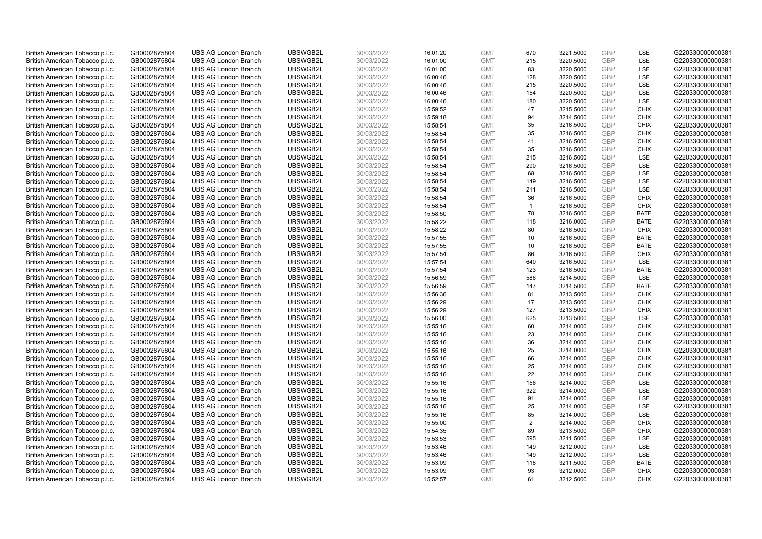| British American Tobacco p.l.c.                                    | GB0002875804                 | <b>UBS AG London Branch</b> | UBSWGB2L | 30/03/2022 | 16:01:20 | <b>GMT</b> | 670            | 3221.5000 | GBP        | LSE         | G220330000000381 |
|--------------------------------------------------------------------|------------------------------|-----------------------------|----------|------------|----------|------------|----------------|-----------|------------|-------------|------------------|
|                                                                    |                              |                             |          |            |          |            |                |           | GBP        | LSE         |                  |
| British American Tobacco p.l.c.                                    | GB0002875804                 | <b>UBS AG London Branch</b> | UBSWGB2L | 30/03/2022 | 16:01:00 | <b>GMT</b> | 215            | 3220.5000 |            |             | G220330000000381 |
| British American Tobacco p.l.c.                                    | GB0002875804                 | <b>UBS AG London Branch</b> | UBSWGB2L | 30/03/2022 | 16:01:00 | <b>GMT</b> | 83             | 3220.5000 | GBP        | LSE         | G220330000000381 |
| British American Tobacco p.l.c.                                    | GB0002875804                 | <b>UBS AG London Branch</b> | UBSWGB2L | 30/03/2022 | 16:00:46 | <b>GMT</b> | 128            | 3220.5000 | GBP        | LSE         | G220330000000381 |
| British American Tobacco p.l.c.                                    | GB0002875804                 | <b>UBS AG London Branch</b> | UBSWGB2L | 30/03/2022 | 16:00:46 | <b>GMT</b> | 215            | 3220.5000 | <b>GBP</b> | LSE         | G220330000000381 |
| British American Tobacco p.l.c.                                    | GB0002875804                 | <b>UBS AG London Branch</b> | UBSWGB2L | 30/03/2022 | 16:00:46 | <b>GMT</b> | 154            | 3220.5000 | <b>GBP</b> | LSE         | G220330000000381 |
| British American Tobacco p.l.c.                                    | GB0002875804                 | <b>UBS AG London Branch</b> | UBSWGB2L | 30/03/2022 | 16:00:46 | <b>GMT</b> | 180            | 3220.5000 | GBP        | LSE         | G220330000000381 |
| British American Tobacco p.l.c.                                    | GB0002875804                 | <b>UBS AG London Branch</b> | UBSWGB2L | 30/03/2022 | 15:59:52 | <b>GMT</b> | 47             | 3215.5000 | <b>GBP</b> | <b>CHIX</b> | G220330000000381 |
| British American Tobacco p.l.c.                                    | GB0002875804                 | <b>UBS AG London Branch</b> | UBSWGB2L | 30/03/2022 | 15:59:18 | <b>GMT</b> | 94             | 3214.5000 | GBP        | <b>CHIX</b> | G220330000000381 |
| British American Tobacco p.l.c.                                    | GB0002875804                 | <b>UBS AG London Branch</b> | UBSWGB2L | 30/03/2022 | 15:58:54 | <b>GMT</b> | 35             | 3216.5000 | <b>GBP</b> | <b>CHIX</b> | G220330000000381 |
| British American Tobacco p.l.c.                                    | GB0002875804                 | <b>UBS AG London Branch</b> | UBSWGB2L | 30/03/2022 | 15:58:54 | <b>GMT</b> | 35             | 3216.5000 | GBP        | <b>CHIX</b> | G220330000000381 |
| British American Tobacco p.l.c.                                    | GB0002875804                 | <b>UBS AG London Branch</b> | UBSWGB2L | 30/03/2022 | 15:58:54 | <b>GMT</b> | 41             | 3216.5000 | <b>GBP</b> | <b>CHIX</b> | G220330000000381 |
| British American Tobacco p.l.c.                                    | GB0002875804                 | <b>UBS AG London Branch</b> | UBSWGB2L | 30/03/2022 | 15:58:54 | <b>GMT</b> | 35             | 3216.5000 | <b>GBP</b> | <b>CHIX</b> | G220330000000381 |
| British American Tobacco p.l.c.                                    | GB0002875804                 | <b>UBS AG London Branch</b> | UBSWGB2L | 30/03/2022 | 15:58:54 | <b>GMT</b> | 215            | 3216.5000 | <b>GBP</b> | <b>LSE</b>  | G220330000000381 |
| British American Tobacco p.l.c.                                    | GB0002875804                 | <b>UBS AG London Branch</b> | UBSWGB2L | 30/03/2022 | 15:58:54 | <b>GMT</b> | 290            | 3216.5000 | GBP        | <b>LSE</b>  | G220330000000381 |
| British American Tobacco p.l.c.                                    | GB0002875804                 | <b>UBS AG London Branch</b> | UBSWGB2L | 30/03/2022 | 15:58:54 | <b>GMT</b> | 68             | 3216.5000 | GBP        | LSE         | G220330000000381 |
|                                                                    | GB0002875804                 | <b>UBS AG London Branch</b> | UBSWGB2L | 30/03/2022 | 15:58:54 | <b>GMT</b> | 149            | 3216.5000 | <b>GBP</b> | LSE         | G220330000000381 |
| British American Tobacco p.l.c.                                    |                              |                             |          |            |          |            |                |           | <b>GBP</b> | LSE         |                  |
| British American Tobacco p.l.c.                                    | GB0002875804                 | <b>UBS AG London Branch</b> | UBSWGB2L | 30/03/2022 | 15:58:54 | <b>GMT</b> | 211            | 3216.5000 |            |             | G220330000000381 |
| British American Tobacco p.l.c.                                    | GB0002875804                 | <b>UBS AG London Branch</b> | UBSWGB2L | 30/03/2022 | 15:58:54 | <b>GMT</b> | 36             | 3216.5000 | <b>GBP</b> | <b>CHIX</b> | G220330000000381 |
| British American Tobacco p.l.c.                                    | GB0002875804                 | <b>UBS AG London Branch</b> | UBSWGB2L | 30/03/2022 | 15:58:54 | <b>GMT</b> | $\overline{1}$ | 3216.5000 | GBP        | <b>CHIX</b> | G220330000000381 |
| British American Tobacco p.l.c.                                    | GB0002875804                 | <b>UBS AG London Branch</b> | UBSWGB2L | 30/03/2022 | 15:58:50 | <b>GMT</b> | 78             | 3216.5000 | <b>GBP</b> | <b>BATE</b> | G220330000000381 |
| British American Tobacco p.l.c.                                    | GB0002875804                 | <b>UBS AG London Branch</b> | UBSWGB2L | 30/03/2022 | 15:58:22 | <b>GMT</b> | 118            | 3216.0000 | GBP        | <b>BATE</b> | G220330000000381 |
| British American Tobacco p.l.c.                                    | GB0002875804                 | <b>UBS AG London Branch</b> | UBSWGB2L | 30/03/2022 | 15:58:22 | <b>GMT</b> | 80             | 3216.5000 | <b>GBP</b> | <b>CHIX</b> | G220330000000381 |
| British American Tobacco p.l.c.                                    | GB0002875804                 | <b>UBS AG London Branch</b> | UBSWGB2L | 30/03/2022 | 15:57:55 | <b>GMT</b> | 10             | 3216.5000 | GBP        | <b>BATE</b> | G220330000000381 |
| British American Tobacco p.l.c.                                    | GB0002875804                 | <b>UBS AG London Branch</b> | UBSWGB2L | 30/03/2022 | 15:57:55 | <b>GMT</b> | 10             | 3216.5000 | <b>GBP</b> | <b>BATE</b> | G220330000000381 |
| British American Tobacco p.l.c.                                    | GB0002875804                 | <b>UBS AG London Branch</b> | UBSWGB2L | 30/03/2022 | 15:57:54 | <b>GMT</b> | 86             | 3216.5000 | <b>GBP</b> | <b>CHIX</b> | G220330000000381 |
| British American Tobacco p.l.c.                                    | GB0002875804                 | <b>UBS AG London Branch</b> | UBSWGB2L | 30/03/2022 | 15:57:54 | <b>GMT</b> | 640            | 3216.5000 | <b>GBP</b> | <b>LSE</b>  | G220330000000381 |
| British American Tobacco p.l.c.                                    | GB0002875804                 | <b>UBS AG London Branch</b> | UBSWGB2L | 30/03/2022 | 15:57:54 | <b>GMT</b> | 123            | 3216.5000 | <b>GBP</b> | <b>BATE</b> | G220330000000381 |
| British American Tobacco p.l.c.                                    | GB0002875804                 | <b>UBS AG London Branch</b> | UBSWGB2L | 30/03/2022 | 15:56:59 | <b>GMT</b> | 586            | 3214.5000 | GBP        | LSE         | G220330000000381 |
| British American Tobacco p.l.c.                                    | GB0002875804                 | <b>UBS AG London Branch</b> | UBSWGB2L | 30/03/2022 | 15:56:59 | <b>GMT</b> | 147            | 3214.5000 | GBP        | <b>BATE</b> | G220330000000381 |
| British American Tobacco p.l.c.                                    | GB0002875804                 | <b>UBS AG London Branch</b> | UBSWGB2L | 30/03/2022 | 15:56:36 | <b>GMT</b> | 81             | 3213.5000 | GBP        | <b>CHIX</b> | G220330000000381 |
| British American Tobacco p.l.c.                                    | GB0002875804                 | <b>UBS AG London Branch</b> | UBSWGB2L | 30/03/2022 | 15:56:29 | <b>GMT</b> | 17             | 3213.5000 | GBP        | <b>CHIX</b> | G220330000000381 |
| British American Tobacco p.l.c.                                    | GB0002875804                 | <b>UBS AG London Branch</b> | UBSWGB2L | 30/03/2022 | 15:56:29 | <b>GMT</b> | 127            | 3213.5000 | <b>GBP</b> | <b>CHIX</b> | G220330000000381 |
| British American Tobacco p.l.c.                                    | GB0002875804                 | <b>UBS AG London Branch</b> | UBSWGB2L | 30/03/2022 | 15:56:00 | <b>GMT</b> | 625            | 3213.5000 | GBP        | LSE         | G220330000000381 |
| British American Tobacco p.l.c.                                    | GB0002875804                 | <b>UBS AG London Branch</b> | UBSWGB2L | 30/03/2022 | 15:55:16 | <b>GMT</b> | 60             | 3214.0000 | <b>GBP</b> | <b>CHIX</b> | G220330000000381 |
| British American Tobacco p.l.c.                                    | GB0002875804                 | <b>UBS AG London Branch</b> | UBSWGB2L | 30/03/2022 | 15:55:16 | <b>GMT</b> | 23             | 3214.0000 | <b>GBP</b> | <b>CHIX</b> | G220330000000381 |
| British American Tobacco p.l.c.                                    | GB0002875804                 | <b>UBS AG London Branch</b> | UBSWGB2L | 30/03/2022 | 15:55:16 | <b>GMT</b> | 36             | 3214.0000 | <b>GBP</b> | <b>CHIX</b> | G220330000000381 |
| British American Tobacco p.l.c.                                    | GB0002875804                 | <b>UBS AG London Branch</b> | UBSWGB2L | 30/03/2022 | 15:55:16 | <b>GMT</b> | 25             | 3214.0000 | <b>GBP</b> | <b>CHIX</b> | G220330000000381 |
| British American Tobacco p.l.c.                                    | GB0002875804                 | <b>UBS AG London Branch</b> | UBSWGB2L | 30/03/2022 | 15:55:16 | <b>GMT</b> | 66             | 3214.0000 | <b>GBP</b> | <b>CHIX</b> | G220330000000381 |
| British American Tobacco p.l.c.                                    | GB0002875804                 | <b>UBS AG London Branch</b> | UBSWGB2L | 30/03/2022 | 15:55:16 | <b>GMT</b> | 25             | 3214.0000 | <b>GBP</b> | <b>CHIX</b> | G220330000000381 |
| British American Tobacco p.l.c.                                    | GB0002875804                 | <b>UBS AG London Branch</b> | UBSWGB2L | 30/03/2022 | 15:55:16 | <b>GMT</b> | 22             | 3214.0000 | <b>GBP</b> | <b>CHIX</b> | G220330000000381 |
| British American Tobacco p.l.c.                                    | GB0002875804                 | <b>UBS AG London Branch</b> | UBSWGB2L | 30/03/2022 | 15:55:16 | <b>GMT</b> | 156            | 3214.0000 | <b>GBP</b> | <b>LSE</b>  | G220330000000381 |
| British American Tobacco p.l.c.                                    | GB0002875804                 | <b>UBS AG London Branch</b> | UBSWGB2L | 30/03/2022 | 15:55:16 | <b>GMT</b> | 322            | 3214.0000 | <b>GBP</b> | LSE         | G220330000000381 |
| British American Tobacco p.l.c.                                    | GB0002875804                 | <b>UBS AG London Branch</b> | UBSWGB2L | 30/03/2022 | 15:55:16 | <b>GMT</b> | 91             | 3214.0000 | GBP        | LSE         | G220330000000381 |
| British American Tobacco p.l.c.                                    | GB0002875804                 | <b>UBS AG London Branch</b> | UBSWGB2L | 30/03/2022 | 15:55:16 | <b>GMT</b> | 25             | 3214.0000 | <b>GBP</b> | <b>LSE</b>  | G220330000000381 |
|                                                                    |                              | <b>UBS AG London Branch</b> | UBSWGB2L | 30/03/2022 | 15:55:16 | <b>GMT</b> | 85             | 3214.0000 | GBP        | LSE         | G220330000000381 |
| British American Tobacco p.l.c.<br>British American Tobacco p.l.c. | GB0002875804<br>GB0002875804 | <b>UBS AG London Branch</b> | UBSWGB2L | 30/03/2022 | 15:55:00 | <b>GMT</b> | 2              | 3214.0000 | <b>GBP</b> | <b>CHIX</b> | G220330000000381 |
|                                                                    |                              | <b>UBS AG London Branch</b> | UBSWGB2L |            | 15:54:35 | <b>GMT</b> | 89             |           | <b>GBP</b> | <b>CHIX</b> | G220330000000381 |
| British American Tobacco p.l.c.                                    | GB0002875804                 |                             |          | 30/03/2022 |          |            |                | 3213.5000 |            |             |                  |
| British American Tobacco p.l.c.                                    | GB0002875804                 | <b>UBS AG London Branch</b> | UBSWGB2L | 30/03/2022 | 15:53:53 | <b>GMT</b> | 595            | 3211.5000 | <b>GBP</b> | LSE         | G220330000000381 |
| British American Tobacco p.l.c.                                    | GB0002875804                 | <b>UBS AG London Branch</b> | UBSWGB2L | 30/03/2022 | 15:53:46 | <b>GMT</b> | 149            | 3212.0000 | <b>GBP</b> | LSE         | G220330000000381 |
| British American Tobacco p.l.c.                                    | GB0002875804                 | <b>UBS AG London Branch</b> | UBSWGB2L | 30/03/2022 | 15:53:46 | <b>GMT</b> | 149            | 3212.0000 | GBP        | LSE         | G220330000000381 |
| British American Tobacco p.l.c.                                    | GB0002875804                 | <b>UBS AG London Branch</b> | UBSWGB2L | 30/03/2022 | 15:53:09 | <b>GMT</b> | 118            | 3211.5000 | <b>GBP</b> | <b>BATE</b> | G220330000000381 |
| British American Tobacco p.l.c.                                    | GB0002875804                 | <b>UBS AG London Branch</b> | UBSWGB2L | 30/03/2022 | 15:53:09 | <b>GMT</b> | 93             | 3212.0000 | GBP        | <b>CHIX</b> | G220330000000381 |
| British American Tobacco p.l.c.                                    | GB0002875804                 | <b>UBS AG London Branch</b> | UBSWGB2L | 30/03/2022 | 15:52:57 | <b>GMT</b> | 61             | 3212.5000 | GBP        | <b>CHIX</b> | G220330000000381 |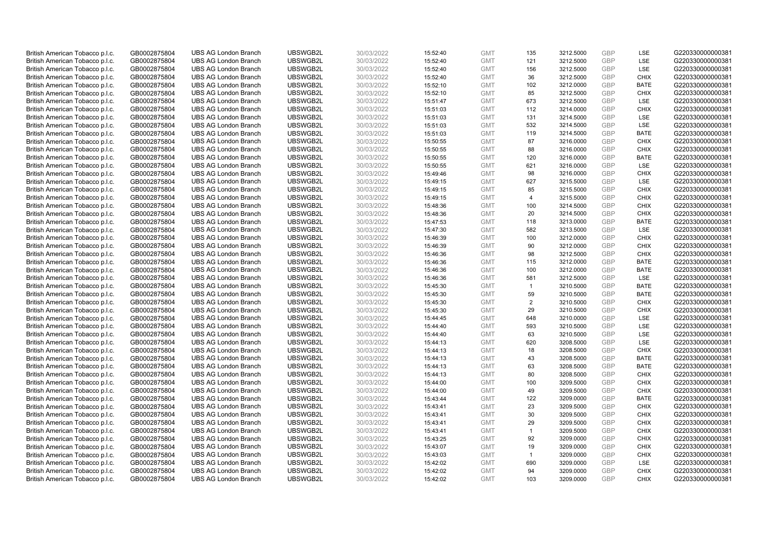| British American Tobacco p.l.c. | GB0002875804 | <b>UBS AG London Branch</b> | UBSWGB2L | 30/03/2022 | 15:52:40 | <b>GMT</b> | 135            | 3212.5000 | GBP        | LSE         | G220330000000381 |
|---------------------------------|--------------|-----------------------------|----------|------------|----------|------------|----------------|-----------|------------|-------------|------------------|
| British American Tobacco p.l.c. | GB0002875804 | <b>UBS AG London Branch</b> | UBSWGB2L | 30/03/2022 | 15:52:40 | <b>GMT</b> | 121            | 3212.5000 | GBP        | <b>LSE</b>  | G220330000000381 |
| British American Tobacco p.l.c. | GB0002875804 | <b>UBS AG London Branch</b> | UBSWGB2L | 30/03/2022 | 15:52:40 | <b>GMT</b> | 156            | 3212.5000 | GBP        | LSE         | G220330000000381 |
|                                 |              |                             | UBSWGB2L |            |          |            |                |           | GBP        |             | G220330000000381 |
| British American Tobacco p.l.c. | GB0002875804 | <b>UBS AG London Branch</b> |          | 30/03/2022 | 15:52:40 | <b>GMT</b> | 36             | 3212.5000 |            | <b>CHIX</b> |                  |
| British American Tobacco p.l.c. | GB0002875804 | <b>UBS AG London Branch</b> | UBSWGB2L | 30/03/2022 | 15:52:10 | <b>GMT</b> | 102            | 3212.0000 | GBP        | <b>BATE</b> | G220330000000381 |
| British American Tobacco p.l.c. | GB0002875804 | <b>UBS AG London Branch</b> | UBSWGB2L | 30/03/2022 | 15:52:10 | <b>GMT</b> | 85             | 3212.5000 | GBP        | <b>CHIX</b> | G220330000000381 |
| British American Tobacco p.l.c. | GB0002875804 | <b>UBS AG London Branch</b> | UBSWGB2L | 30/03/2022 | 15:51:47 | <b>GMT</b> | 673            | 3212.5000 | GBP        | <b>LSE</b>  | G220330000000381 |
| British American Tobacco p.l.c. | GB0002875804 | <b>UBS AG London Branch</b> | UBSWGB2L | 30/03/2022 | 15:51:03 | <b>GMT</b> | 112            | 3214.0000 | GBP        | <b>CHIX</b> | G220330000000381 |
| British American Tobacco p.l.c. | GB0002875804 | <b>UBS AG London Branch</b> | UBSWGB2L | 30/03/2022 | 15:51:03 | <b>GMT</b> | 131            | 3214.5000 | GBP        | LSE         | G220330000000381 |
| British American Tobacco p.l.c. | GB0002875804 | <b>UBS AG London Branch</b> | UBSWGB2L | 30/03/2022 | 15:51:03 | <b>GMT</b> | 532            | 3214.5000 | GBP        | LSE         | G220330000000381 |
| British American Tobacco p.l.c. | GB0002875804 | <b>UBS AG London Branch</b> | UBSWGB2L | 30/03/2022 | 15:51:03 | <b>GMT</b> | 119            | 3214.5000 | GBP        | <b>BATE</b> | G220330000000381 |
| British American Tobacco p.l.c. | GB0002875804 | <b>UBS AG London Branch</b> | UBSWGB2L | 30/03/2022 | 15:50:55 | <b>GMT</b> | 87             | 3216.0000 | GBP        | <b>CHIX</b> | G220330000000381 |
| British American Tobacco p.l.c. | GB0002875804 | <b>UBS AG London Branch</b> | UBSWGB2L | 30/03/2022 | 15:50:55 | <b>GMT</b> | 88             | 3216.0000 | GBP        | <b>CHIX</b> | G220330000000381 |
| British American Tobacco p.l.c. | GB0002875804 | <b>UBS AG London Branch</b> | UBSWGB2L | 30/03/2022 | 15:50:55 | <b>GMT</b> | 120            | 3216.0000 | GBP        | <b>BATE</b> | G220330000000381 |
| British American Tobacco p.l.c. | GB0002875804 | <b>UBS AG London Branch</b> | UBSWGB2L | 30/03/2022 | 15:50:55 | <b>GMT</b> | 621            | 3216.0000 | GBP        | <b>LSE</b>  | G220330000000381 |
| British American Tobacco p.l.c. | GB0002875804 | <b>UBS AG London Branch</b> | UBSWGB2L | 30/03/2022 | 15:49:46 | <b>GMT</b> | 98             | 3216.0000 | GBP        | <b>CHIX</b> | G220330000000381 |
| British American Tobacco p.l.c. | GB0002875804 | <b>UBS AG London Branch</b> | UBSWGB2L | 30/03/2022 | 15:49:15 | <b>GMT</b> | 627            | 3215.5000 | GBP        | <b>LSE</b>  | G220330000000381 |
| British American Tobacco p.l.c. | GB0002875804 | <b>UBS AG London Branch</b> | UBSWGB2L | 30/03/2022 | 15:49:15 | <b>GMT</b> | 85             | 3215.5000 | GBP        | <b>CHIX</b> | G220330000000381 |
| British American Tobacco p.l.c. | GB0002875804 | <b>UBS AG London Branch</b> | UBSWGB2L | 30/03/2022 | 15:49:15 | <b>GMT</b> | $\overline{4}$ | 3215.5000 | GBP        | <b>CHIX</b> | G220330000000381 |
| British American Tobacco p.l.c. | GB0002875804 | <b>UBS AG London Branch</b> | UBSWGB2L | 30/03/2022 | 15:48:36 | <b>GMT</b> | 100            | 3214.5000 | GBP        | <b>CHIX</b> | G220330000000381 |
| British American Tobacco p.l.c. | GB0002875804 | <b>UBS AG London Branch</b> | UBSWGB2L | 30/03/2022 | 15:48:36 | <b>GMT</b> | 20             | 3214.5000 | GBP        | <b>CHIX</b> | G220330000000381 |
| British American Tobacco p.l.c. | GB0002875804 | <b>UBS AG London Branch</b> | UBSWGB2L | 30/03/2022 | 15:47:53 | <b>GMT</b> | 118            | 3213.0000 | GBP        | <b>BATE</b> | G220330000000381 |
| British American Tobacco p.l.c. | GB0002875804 | <b>UBS AG London Branch</b> | UBSWGB2L | 30/03/2022 | 15:47:30 | <b>GMT</b> | 582            | 3213.5000 | GBP        | LSE         | G220330000000381 |
| British American Tobacco p.l.c. | GB0002875804 | <b>UBS AG London Branch</b> | UBSWGB2L | 30/03/2022 | 15:46:39 | <b>GMT</b> | 100            | 3212.0000 | GBP        | <b>CHIX</b> | G220330000000381 |
| British American Tobacco p.l.c. | GB0002875804 | <b>UBS AG London Branch</b> | UBSWGB2L | 30/03/2022 | 15:46:39 | <b>GMT</b> | 90             | 3212.0000 | GBP        | <b>CHIX</b> | G220330000000381 |
| British American Tobacco p.l.c. | GB0002875804 | <b>UBS AG London Branch</b> | UBSWGB2L | 30/03/2022 | 15:46:36 | <b>GMT</b> | 98             | 3212.5000 | GBP        | <b>CHIX</b> | G220330000000381 |
| British American Tobacco p.l.c. | GB0002875804 | <b>UBS AG London Branch</b> | UBSWGB2L | 30/03/2022 | 15:46:36 | <b>GMT</b> | 115            | 3212.0000 | GBP        | <b>BATE</b> | G220330000000381 |
| British American Tobacco p.l.c. | GB0002875804 | <b>UBS AG London Branch</b> | UBSWGB2L | 30/03/2022 | 15:46:36 | <b>GMT</b> | 100            | 3212.0000 | GBP        | <b>BATE</b> | G220330000000381 |
| British American Tobacco p.l.c. | GB0002875804 | <b>UBS AG London Branch</b> | UBSWGB2L | 30/03/2022 | 15:46:36 | <b>GMT</b> | 581            | 3212.5000 | GBP        | LSE         | G220330000000381 |
| British American Tobacco p.l.c. | GB0002875804 | <b>UBS AG London Branch</b> | UBSWGB2L | 30/03/2022 | 15:45:30 | <b>GMT</b> | $\mathbf{1}$   | 3210.5000 | GBP        | <b>BATE</b> | G220330000000381 |
| British American Tobacco p.l.c. | GB0002875804 | <b>UBS AG London Branch</b> | UBSWGB2L | 30/03/2022 | 15:45:30 | <b>GMT</b> | 59             | 3210.5000 | GBP        | <b>BATE</b> | G220330000000381 |
| British American Tobacco p.l.c. | GB0002875804 | <b>UBS AG London Branch</b> | UBSWGB2L | 30/03/2022 | 15:45:30 | <b>GMT</b> | $\overline{2}$ | 3210.5000 | GBP        | <b>CHIX</b> | G220330000000381 |
| British American Tobacco p.l.c. | GB0002875804 | <b>UBS AG London Branch</b> | UBSWGB2L | 30/03/2022 | 15:45:30 | <b>GMT</b> | 29             | 3210.5000 | <b>GBP</b> | <b>CHIX</b> | G220330000000381 |
| British American Tobacco p.l.c. | GB0002875804 | <b>UBS AG London Branch</b> | UBSWGB2L | 30/03/2022 | 15:44:45 | <b>GMT</b> | 648            | 3210.0000 | GBP        | <b>LSE</b>  | G220330000000381 |
|                                 | GB0002875804 | <b>UBS AG London Branch</b> | UBSWGB2L | 30/03/2022 | 15:44:40 | <b>GMT</b> | 593            | 3210.5000 | GBP        | LSE         | G220330000000381 |
| British American Tobacco p.l.c. |              |                             |          |            |          |            |                |           | GBP        |             |                  |
| British American Tobacco p.l.c. | GB0002875804 | <b>UBS AG London Branch</b> | UBSWGB2L | 30/03/2022 | 15:44:40 | <b>GMT</b> | 63             | 3210.5000 |            | LSE         | G220330000000381 |
| British American Tobacco p.l.c. | GB0002875804 | <b>UBS AG London Branch</b> | UBSWGB2L | 30/03/2022 | 15:44:13 | <b>GMT</b> | 620            | 3208.5000 | GBP        | <b>LSE</b>  | G220330000000381 |
| British American Tobacco p.l.c. | GB0002875804 | <b>UBS AG London Branch</b> | UBSWGB2L | 30/03/2022 | 15:44:13 | <b>GMT</b> | 18             | 3208.5000 | GBP        | <b>CHIX</b> | G220330000000381 |
| British American Tobacco p.l.c. | GB0002875804 | <b>UBS AG London Branch</b> | UBSWGB2L | 30/03/2022 | 15:44:13 | <b>GMT</b> | 43             | 3208.5000 | GBP        | <b>BATE</b> | G220330000000381 |
| British American Tobacco p.l.c. | GB0002875804 | <b>UBS AG London Branch</b> | UBSWGB2L | 30/03/2022 | 15:44:13 | <b>GMT</b> | 63             | 3208.5000 | GBP        | <b>BATE</b> | G220330000000381 |
| British American Tobacco p.l.c. | GB0002875804 | <b>UBS AG London Branch</b> | UBSWGB2L | 30/03/2022 | 15:44:13 | <b>GMT</b> | 80             | 3208.5000 | GBP        | <b>CHIX</b> | G220330000000381 |
| British American Tobacco p.l.c. | GB0002875804 | <b>UBS AG London Branch</b> | UBSWGB2L | 30/03/2022 | 15:44:00 | <b>GMT</b> | 100            | 3209.5000 | GBP        | <b>CHIX</b> | G220330000000381 |
| British American Tobacco p.l.c. | GB0002875804 | <b>UBS AG London Branch</b> | UBSWGB2L | 30/03/2022 | 15:44:00 | <b>GMT</b> | 49             | 3209.5000 | GBP        | <b>CHIX</b> | G220330000000381 |
| British American Tobacco p.l.c. | GB0002875804 | <b>UBS AG London Branch</b> | UBSWGB2L | 30/03/2022 | 15:43:44 | <b>GMT</b> | 122            | 3209.0000 | GBP        | <b>BATE</b> | G220330000000381 |
| British American Tobacco p.l.c. | GB0002875804 | <b>UBS AG London Branch</b> | UBSWGB2L | 30/03/2022 | 15:43:41 | <b>GMT</b> | 23             | 3209.5000 | GBP        | <b>CHIX</b> | G220330000000381 |
| British American Tobacco p.l.c. | GB0002875804 | <b>UBS AG London Branch</b> | UBSWGB2L | 30/03/2022 | 15:43:41 | <b>GMT</b> | 30             | 3209.5000 | GBP        | <b>CHIX</b> | G220330000000381 |
| British American Tobacco p.l.c. | GB0002875804 | <b>UBS AG London Branch</b> | UBSWGB2L | 30/03/2022 | 15:43:41 | <b>GMT</b> | 29             | 3209.5000 | GBP        | <b>CHIX</b> | G220330000000381 |
| British American Tobacco p.l.c. | GB0002875804 | <b>UBS AG London Branch</b> | UBSWGB2L | 30/03/2022 | 15:43:41 | <b>GMT</b> | $\mathbf{1}$   | 3209.5000 | GBP        | <b>CHIX</b> | G220330000000381 |
| British American Tobacco p.l.c. | GB0002875804 | <b>UBS AG London Branch</b> | UBSWGB2L | 30/03/2022 | 15:43:25 | <b>GMT</b> | 92             | 3209.0000 | GBP        | <b>CHIX</b> | G220330000000381 |
| British American Tobacco p.l.c. | GB0002875804 | <b>UBS AG London Branch</b> | UBSWGB2L | 30/03/2022 | 15:43:07 | <b>GMT</b> | 19             | 3209.0000 | GBP        | <b>CHIX</b> | G220330000000381 |
| British American Tobacco p.l.c. | GB0002875804 | <b>UBS AG London Branch</b> | UBSWGB2L | 30/03/2022 | 15:43:03 | <b>GMT</b> | $\mathbf{1}$   | 3209.0000 | GBP        | <b>CHIX</b> | G220330000000381 |
| British American Tobacco p.l.c. | GB0002875804 | <b>UBS AG London Branch</b> | UBSWGB2L | 30/03/2022 | 15:42:02 | <b>GMT</b> | 690            | 3209.0000 | <b>GBP</b> | LSE         | G220330000000381 |
| British American Tobacco p.l.c. | GB0002875804 | <b>UBS AG London Branch</b> | UBSWGB2L | 30/03/2022 | 15:42:02 | <b>GMT</b> | 94             | 3209.0000 | GBP        | <b>CHIX</b> | G220330000000381 |
| British American Tobacco p.l.c. | GB0002875804 | <b>UBS AG London Branch</b> | UBSWGB2L | 30/03/2022 | 15:42:02 | <b>GMT</b> | 103            | 3209.0000 | GBP        | <b>CHIX</b> | G220330000000381 |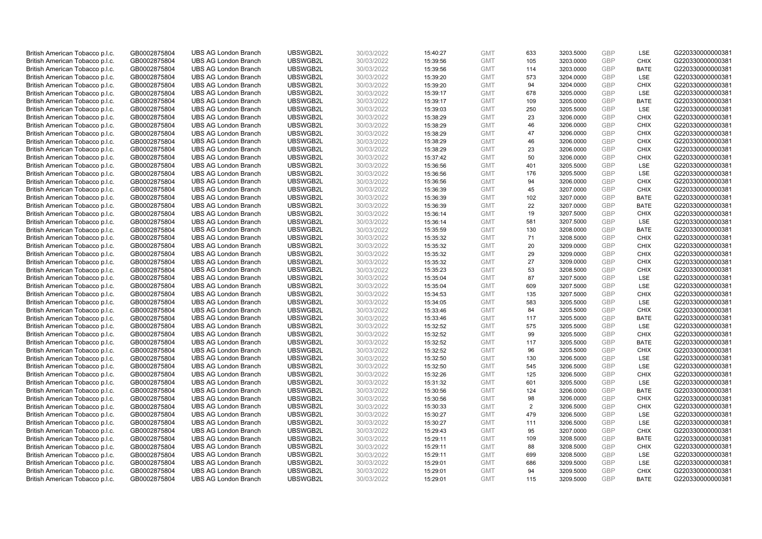| British American Tobacco p.l.c. | GB0002875804 | <b>UBS AG London Branch</b> | UBSWGB2L | 30/03/2022 | 15:40:27 | <b>GMT</b> | 633            | 3203.5000 | <b>GBP</b> | LSE         | G220330000000381 |
|---------------------------------|--------------|-----------------------------|----------|------------|----------|------------|----------------|-----------|------------|-------------|------------------|
| British American Tobacco p.l.c. | GB0002875804 | <b>UBS AG London Branch</b> | UBSWGB2L | 30/03/2022 | 15:39:56 | <b>GMT</b> | 105            | 3203.0000 | <b>GBP</b> | <b>CHIX</b> | G220330000000381 |
| British American Tobacco p.l.c. | GB0002875804 | <b>UBS AG London Branch</b> | UBSWGB2L | 30/03/2022 | 15:39:56 | <b>GMT</b> | 114            | 3203.0000 | <b>GBP</b> | <b>BATE</b> | G220330000000381 |
| British American Tobacco p.l.c. | GB0002875804 | <b>UBS AG London Branch</b> | UBSWGB2L | 30/03/2022 | 15:39:20 | <b>GMT</b> | 573            | 3204.0000 | GBP        | <b>LSE</b>  | G220330000000381 |
| British American Tobacco p.l.c. | GB0002875804 | <b>UBS AG London Branch</b> | UBSWGB2L | 30/03/2022 | 15:39:20 | <b>GMT</b> | 94             | 3204.0000 | <b>GBP</b> | <b>CHIX</b> | G220330000000381 |
| British American Tobacco p.l.c. | GB0002875804 | <b>UBS AG London Branch</b> | UBSWGB2L | 30/03/2022 | 15:39:17 | <b>GMT</b> | 678            | 3205.0000 | <b>GBP</b> | <b>LSE</b>  | G220330000000381 |
| British American Tobacco p.l.c. | GB0002875804 | <b>UBS AG London Branch</b> | UBSWGB2L | 30/03/2022 | 15:39:17 | <b>GMT</b> | 109            | 3205.0000 | <b>GBP</b> | <b>BATE</b> | G220330000000381 |
| British American Tobacco p.l.c. | GB0002875804 | <b>UBS AG London Branch</b> | UBSWGB2L | 30/03/2022 | 15:39:03 | <b>GMT</b> | 250            | 3205.5000 | <b>GBP</b> | LSE         | G220330000000381 |
| British American Tobacco p.l.c. | GB0002875804 | <b>UBS AG London Branch</b> | UBSWGB2L | 30/03/2022 | 15:38:29 | <b>GMT</b> | 23             | 3206.0000 | <b>GBP</b> | <b>CHIX</b> | G220330000000381 |
| British American Tobacco p.l.c. | GB0002875804 | <b>UBS AG London Branch</b> | UBSWGB2L | 30/03/2022 | 15:38:29 | <b>GMT</b> | 46             | 3206.0000 | <b>GBP</b> | <b>CHIX</b> | G220330000000381 |
| British American Tobacco p.l.c. | GB0002875804 | <b>UBS AG London Branch</b> | UBSWGB2L | 30/03/2022 | 15:38:29 | <b>GMT</b> | 47             | 3206.0000 | <b>GBP</b> | <b>CHIX</b> | G220330000000381 |
| British American Tobacco p.l.c. | GB0002875804 | <b>UBS AG London Branch</b> | UBSWGB2L | 30/03/2022 | 15:38:29 | <b>GMT</b> | 46             | 3206.0000 | <b>GBP</b> | <b>CHIX</b> | G220330000000381 |
| British American Tobacco p.l.c. | GB0002875804 | <b>UBS AG London Branch</b> | UBSWGB2L | 30/03/2022 | 15:38:29 | <b>GMT</b> | 23             | 3206.0000 | <b>GBP</b> | <b>CHIX</b> | G220330000000381 |
| British American Tobacco p.l.c. | GB0002875804 | <b>UBS AG London Branch</b> | UBSWGB2L | 30/03/2022 | 15:37:42 | <b>GMT</b> | 50             | 3206.0000 | <b>GBP</b> | <b>CHIX</b> | G220330000000381 |
| British American Tobacco p.l.c. | GB0002875804 | <b>UBS AG London Branch</b> | UBSWGB2L | 30/03/2022 | 15:36:56 | <b>GMT</b> | 401            | 3205.5000 | <b>GBP</b> | <b>LSE</b>  | G220330000000381 |
|                                 |              |                             | UBSWGB2L |            |          |            |                |           | <b>GBP</b> | LSE         | G220330000000381 |
| British American Tobacco p.l.c. | GB0002875804 | <b>UBS AG London Branch</b> |          | 30/03/2022 | 15:36:56 | <b>GMT</b> | 176            | 3205.5000 |            |             |                  |
| British American Tobacco p.l.c. | GB0002875804 | <b>UBS AG London Branch</b> | UBSWGB2L | 30/03/2022 | 15:36:56 | <b>GMT</b> | 94             | 3206.0000 | <b>GBP</b> | <b>CHIX</b> | G220330000000381 |
| British American Tobacco p.l.c. | GB0002875804 | <b>UBS AG London Branch</b> | UBSWGB2L | 30/03/2022 | 15:36:39 | <b>GMT</b> | 45             | 3207.0000 | GBP        | <b>CHIX</b> | G220330000000381 |
| British American Tobacco p.l.c. | GB0002875804 | <b>UBS AG London Branch</b> | UBSWGB2L | 30/03/2022 | 15:36:39 | <b>GMT</b> | 102            | 3207.0000 | <b>GBP</b> | <b>BATE</b> | G220330000000381 |
| British American Tobacco p.l.c. | GB0002875804 | <b>UBS AG London Branch</b> | UBSWGB2L | 30/03/2022 | 15:36:39 | <b>GMT</b> | 22             | 3207.0000 | <b>GBP</b> | <b>BATE</b> | G220330000000381 |
| British American Tobacco p.l.c. | GB0002875804 | <b>UBS AG London Branch</b> | UBSWGB2L | 30/03/2022 | 15:36:14 | <b>GMT</b> | 19             | 3207.5000 | <b>GBP</b> | <b>CHIX</b> | G220330000000381 |
| British American Tobacco p.l.c. | GB0002875804 | <b>UBS AG London Branch</b> | UBSWGB2L | 30/03/2022 | 15:36:14 | <b>GMT</b> | 581            | 3207.5000 | <b>GBP</b> | LSE         | G220330000000381 |
| British American Tobacco p.l.c. | GB0002875804 | <b>UBS AG London Branch</b> | UBSWGB2L | 30/03/2022 | 15:35:59 | <b>GMT</b> | 130            | 3208.0000 | <b>GBP</b> | <b>BATE</b> | G220330000000381 |
| British American Tobacco p.l.c. | GB0002875804 | <b>UBS AG London Branch</b> | UBSWGB2L | 30/03/2022 | 15:35:32 | <b>GMT</b> | 71             | 3208.5000 | <b>GBP</b> | <b>CHIX</b> | G220330000000381 |
| British American Tobacco p.l.c. | GB0002875804 | <b>UBS AG London Branch</b> | UBSWGB2L | 30/03/2022 | 15:35:32 | <b>GMT</b> | 20             | 3209.0000 | <b>GBP</b> | <b>CHIX</b> | G220330000000381 |
| British American Tobacco p.l.c. | GB0002875804 | <b>UBS AG London Branch</b> | UBSWGB2L | 30/03/2022 | 15:35:32 | <b>GMT</b> | 29             | 3209.0000 | <b>GBP</b> | <b>CHIX</b> | G220330000000381 |
| British American Tobacco p.l.c. | GB0002875804 | <b>UBS AG London Branch</b> | UBSWGB2L | 30/03/2022 | 15:35:32 | <b>GMT</b> | 27             | 3209.0000 | <b>GBP</b> | <b>CHIX</b> | G220330000000381 |
| British American Tobacco p.l.c. | GB0002875804 | <b>UBS AG London Branch</b> | UBSWGB2L | 30/03/2022 | 15:35:23 | <b>GMT</b> | 53             | 3208.5000 | <b>GBP</b> | <b>CHIX</b> | G220330000000381 |
| British American Tobacco p.l.c. | GB0002875804 | <b>UBS AG London Branch</b> | UBSWGB2L | 30/03/2022 | 15:35:04 | <b>GMT</b> | 87             | 3207.5000 | <b>GBP</b> | <b>LSE</b>  | G220330000000381 |
| British American Tobacco p.l.c. | GB0002875804 | <b>UBS AG London Branch</b> | UBSWGB2L | 30/03/2022 | 15:35:04 | <b>GMT</b> | 609            | 3207.5000 | <b>GBP</b> | LSE         | G220330000000381 |
| British American Tobacco p.l.c. | GB0002875804 | <b>UBS AG London Branch</b> | UBSWGB2L | 30/03/2022 | 15:34:53 | <b>GMT</b> | 135            | 3207.5000 | GBP        | <b>CHIX</b> | G220330000000381 |
| British American Tobacco p.l.c. | GB0002875804 | <b>UBS AG London Branch</b> | UBSWGB2L | 30/03/2022 | 15:34:05 | <b>GMT</b> | 583            | 3205.5000 | <b>GBP</b> | <b>LSE</b>  | G220330000000381 |
| British American Tobacco p.l.c. | GB0002875804 | <b>UBS AG London Branch</b> | UBSWGB2L | 30/03/2022 | 15:33:46 | <b>GMT</b> | 84             | 3205.5000 | <b>GBP</b> | <b>CHIX</b> | G220330000000381 |
| British American Tobacco p.l.c. | GB0002875804 | <b>UBS AG London Branch</b> | UBSWGB2L | 30/03/2022 | 15:33:46 | <b>GMT</b> | 117            | 3205.5000 | GBP        | <b>BATE</b> | G220330000000381 |
| British American Tobacco p.l.c. | GB0002875804 | <b>UBS AG London Branch</b> | UBSWGB2L | 30/03/2022 | 15:32:52 | <b>GMT</b> | 575            | 3205.5000 | <b>GBP</b> | LSE         | G220330000000381 |
| British American Tobacco p.l.c. | GB0002875804 | <b>UBS AG London Branch</b> | UBSWGB2L | 30/03/2022 | 15:32:52 | <b>GMT</b> | 99             | 3205.5000 | <b>GBP</b> | <b>CHIX</b> | G220330000000381 |
| British American Tobacco p.l.c. | GB0002875804 | <b>UBS AG London Branch</b> | UBSWGB2L | 30/03/2022 | 15:32:52 | <b>GMT</b> | 117            | 3205.5000 | <b>GBP</b> | <b>BATE</b> | G220330000000381 |
|                                 |              | <b>UBS AG London Branch</b> | UBSWGB2L | 30/03/2022 |          | <b>GMT</b> | 96             | 3205.5000 | <b>GBP</b> | <b>CHIX</b> | G220330000000381 |
| British American Tobacco p.l.c. | GB0002875804 |                             | UBSWGB2L |            | 15:32:52 |            | 130            |           | <b>GBP</b> | LSE         |                  |
| British American Tobacco p.l.c. | GB0002875804 | <b>UBS AG London Branch</b> |          | 30/03/2022 | 15:32:50 | <b>GMT</b> |                | 3206.5000 |            |             | G220330000000381 |
| British American Tobacco p.l.c. | GB0002875804 | <b>UBS AG London Branch</b> | UBSWGB2L | 30/03/2022 | 15:32:50 | <b>GMT</b> | 545            | 3206.5000 | GBP        | <b>LSE</b>  | G220330000000381 |
| British American Tobacco p.l.c. | GB0002875804 | <b>UBS AG London Branch</b> | UBSWGB2L | 30/03/2022 | 15:32:26 | <b>GMT</b> | 125            | 3206.5000 | <b>GBP</b> | <b>CHIX</b> | G220330000000381 |
| British American Tobacco p.l.c. | GB0002875804 | <b>UBS AG London Branch</b> | UBSWGB2L | 30/03/2022 | 15:31:32 | <b>GMT</b> | 601            | 3205.5000 | GBP        | <b>LSE</b>  | G220330000000381 |
| British American Tobacco p.l.c. | GB0002875804 | <b>UBS AG London Branch</b> | UBSWGB2L | 30/03/2022 | 15:30:56 | <b>GMT</b> | 124            | 3206.0000 | <b>GBP</b> | <b>BATE</b> | G220330000000381 |
| British American Tobacco p.l.c. | GB0002875804 | <b>UBS AG London Branch</b> | UBSWGB2L | 30/03/2022 | 15:30:56 | <b>GMT</b> | 98             | 3206.0000 | GBP        | <b>CHIX</b> | G220330000000381 |
| British American Tobacco p.l.c. | GB0002875804 | <b>UBS AG London Branch</b> | UBSWGB2L | 30/03/2022 | 15:30:33 | <b>GMT</b> | $\overline{2}$ | 3206.5000 | GBP        | <b>CHIX</b> | G220330000000381 |
| British American Tobacco p.l.c. | GB0002875804 | <b>UBS AG London Branch</b> | UBSWGB2L | 30/03/2022 | 15:30:27 | <b>GMT</b> | 479            | 3206.5000 | <b>GBP</b> | LSE         | G220330000000381 |
| British American Tobacco p.l.c. | GB0002875804 | <b>UBS AG London Branch</b> | UBSWGB2L | 30/03/2022 | 15:30:27 | <b>GMT</b> | 111            | 3206.5000 | <b>GBP</b> | LSE         | G220330000000381 |
| British American Tobacco p.l.c. | GB0002875804 | <b>UBS AG London Branch</b> | UBSWGB2L | 30/03/2022 | 15:29:43 | <b>GMT</b> | 95             | 3207.0000 | GBP        | <b>CHIX</b> | G220330000000381 |
| British American Tobacco p.l.c. | GB0002875804 | <b>UBS AG London Branch</b> | UBSWGB2L | 30/03/2022 | 15:29:11 | <b>GMT</b> | 109            | 3208.5000 | GBP        | <b>BATE</b> | G220330000000381 |
| British American Tobacco p.l.c. | GB0002875804 | <b>UBS AG London Branch</b> | UBSWGB2L | 30/03/2022 | 15:29:11 | <b>GMT</b> | 88             | 3208.5000 | GBP        | <b>CHIX</b> | G220330000000381 |
| British American Tobacco p.l.c. | GB0002875804 | <b>UBS AG London Branch</b> | UBSWGB2L | 30/03/2022 | 15:29:11 | <b>GMT</b> | 699            | 3208.5000 | GBP        | LSE         | G220330000000381 |
| British American Tobacco p.l.c. | GB0002875804 | <b>UBS AG London Branch</b> | UBSWGB2L | 30/03/2022 | 15:29:01 | <b>GMT</b> | 686            | 3209.5000 | <b>GBP</b> | LSE         | G220330000000381 |
| British American Tobacco p.l.c. | GB0002875804 | <b>UBS AG London Branch</b> | UBSWGB2L | 30/03/2022 | 15:29:01 | <b>GMT</b> | 94             | 3209.5000 | GBP        | <b>CHIX</b> | G220330000000381 |
| British American Tobacco p.l.c. | GB0002875804 | <b>UBS AG London Branch</b> | UBSWGB2L | 30/03/2022 | 15:29:01 | <b>GMT</b> | 115            | 3209.5000 | GBP        | <b>BATE</b> | G220330000000381 |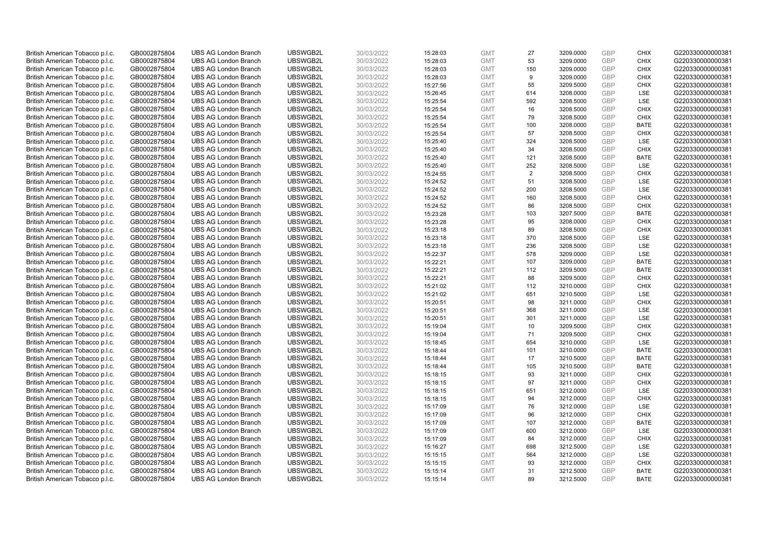| British American Tobacco p.l.c. | GB0002875804 | <b>UBS AG London Branch</b> | UBSWGB2L | 30/03/2022 | 15:28:03 | <b>GMT</b> | 27             | 3209.0000 | <b>GBP</b> | <b>CHIX</b> | G220330000000381 |
|---------------------------------|--------------|-----------------------------|----------|------------|----------|------------|----------------|-----------|------------|-------------|------------------|
| British American Tobacco p.l.c. | GB0002875804 | <b>UBS AG London Branch</b> | UBSWGB2L | 30/03/2022 | 15:28:03 | <b>GMT</b> | 53             | 3209.0000 | GBP        | <b>CHIX</b> | G220330000000381 |
| British American Tobacco p.l.c. | GB0002875804 | <b>UBS AG London Branch</b> | UBSWGB2L | 30/03/2022 | 15:28:03 | <b>GMT</b> | 150            | 3209.0000 | <b>GBP</b> | <b>CHIX</b> | G220330000000381 |
| British American Tobacco p.l.c. | GB0002875804 | <b>UBS AG London Branch</b> | UBSWGB2L | 30/03/2022 | 15:28:03 | <b>GMT</b> | 9              | 3209.0000 | GBP        | <b>CHIX</b> | G220330000000381 |
| British American Tobacco p.l.c. | GB0002875804 | <b>UBS AG London Branch</b> | UBSWGB2L | 30/03/2022 | 15:27:56 | <b>GMT</b> | 55             | 3209.5000 | <b>GBP</b> | <b>CHIX</b> | G220330000000381 |
| British American Tobacco p.l.c. | GB0002875804 | <b>UBS AG London Branch</b> | UBSWGB2L | 30/03/2022 | 15:26:45 | <b>GMT</b> | 614            | 3208.0000 | GBP        | <b>LSE</b>  | G220330000000381 |
| British American Tobacco p.l.c. | GB0002875804 | <b>UBS AG London Branch</b> | UBSWGB2L | 30/03/2022 | 15:25:54 | <b>GMT</b> | 592            | 3208.5000 | <b>GBP</b> | LSE         | G220330000000381 |
| British American Tobacco p.l.c. | GB0002875804 | <b>UBS AG London Branch</b> | UBSWGB2L | 30/03/2022 | 15:25:54 | <b>GMT</b> | 16             | 3208.5000 | GBP        | <b>CHIX</b> | G220330000000381 |
| British American Tobacco p.l.c. | GB0002875804 | <b>UBS AG London Branch</b> | UBSWGB2L | 30/03/2022 | 15:25:54 | <b>GMT</b> | 79             | 3208.5000 | <b>GBP</b> | <b>CHIX</b> | G220330000000381 |
| British American Tobacco p.l.c. | GB0002875804 | <b>UBS AG London Branch</b> | UBSWGB2L | 30/03/2022 | 15:25:54 | <b>GMT</b> | 100            | 3208.0000 | GBP        | <b>BATE</b> | G220330000000381 |
| British American Tobacco p.l.c. | GB0002875804 | <b>UBS AG London Branch</b> | UBSWGB2L | 30/03/2022 | 15:25:54 | <b>GMT</b> | 57             | 3208.5000 | <b>GBP</b> | <b>CHIX</b> | G220330000000381 |
| British American Tobacco p.l.c. | GB0002875804 | <b>UBS AG London Branch</b> | UBSWGB2L | 30/03/2022 | 15:25:40 | <b>GMT</b> | 324            | 3208.5000 | <b>GBP</b> | <b>LSE</b>  | G220330000000381 |
| British American Tobacco p.l.c. | GB0002875804 | <b>UBS AG London Branch</b> | UBSWGB2L | 30/03/2022 | 15:25:40 | <b>GMT</b> | 34             | 3208.5000 | <b>GBP</b> | <b>CHIX</b> | G220330000000381 |
| British American Tobacco p.l.c. | GB0002875804 | <b>UBS AG London Branch</b> | UBSWGB2L | 30/03/2022 | 15:25:40 | <b>GMT</b> | 121            | 3208.5000 | <b>GBP</b> | <b>BATE</b> | G220330000000381 |
| British American Tobacco p.l.c. | GB0002875804 | <b>UBS AG London Branch</b> | UBSWGB2L | 30/03/2022 | 15:25:40 | <b>GMT</b> | 252            | 3208.5000 | GBP        | LSE         | G220330000000381 |
| British American Tobacco p.l.c. | GB0002875804 | <b>UBS AG London Branch</b> | UBSWGB2L | 30/03/2022 | 15:24:55 | <b>GMT</b> | $\overline{2}$ | 3208.5000 | <b>GBP</b> | <b>CHIX</b> | G220330000000381 |
| British American Tobacco p.l.c. | GB0002875804 | <b>UBS AG London Branch</b> | UBSWGB2L | 30/03/2022 | 15:24:52 | <b>GMT</b> | 51             | 3208.5000 | GBP        | <b>LSE</b>  | G220330000000381 |
| British American Tobacco p.l.c. | GB0002875804 | <b>UBS AG London Branch</b> | UBSWGB2L | 30/03/2022 | 15:24:52 | <b>GMT</b> | 200            | 3208.5000 | GBP        | LSE         | G220330000000381 |
| British American Tobacco p.l.c. | GB0002875804 | <b>UBS AG London Branch</b> | UBSWGB2L | 30/03/2022 | 15:24:52 | <b>GMT</b> | 160            | 3208.5000 | GBP        | <b>CHIX</b> | G220330000000381 |
| British American Tobacco p.l.c. | GB0002875804 | <b>UBS AG London Branch</b> | UBSWGB2L | 30/03/2022 | 15:24:52 | <b>GMT</b> | 86             | 3208.5000 | <b>GBP</b> | <b>CHIX</b> | G220330000000381 |
| British American Tobacco p.l.c. | GB0002875804 | <b>UBS AG London Branch</b> | UBSWGB2L | 30/03/2022 | 15:23:28 | <b>GMT</b> | 103            | 3207.5000 | GBP        | <b>BATE</b> | G220330000000381 |
| British American Tobacco p.l.c. | GB0002875804 | <b>UBS AG London Branch</b> | UBSWGB2L | 30/03/2022 | 15:23:28 | <b>GMT</b> | 95             | 3208.0000 | GBP        | <b>CHIX</b> | G220330000000381 |
| British American Tobacco p.l.c. | GB0002875804 | <b>UBS AG London Branch</b> | UBSWGB2L | 30/03/2022 | 15:23:18 | <b>GMT</b> | 89             | 3208.5000 | GBP        | <b>CHIX</b> | G220330000000381 |
| British American Tobacco p.l.c. | GB0002875804 | <b>UBS AG London Branch</b> | UBSWGB2L | 30/03/2022 | 15:23:18 | <b>GMT</b> | 370            | 3208.5000 | <b>GBP</b> | LSE         | G220330000000381 |
| British American Tobacco p.l.c. | GB0002875804 | <b>UBS AG London Branch</b> | UBSWGB2L | 30/03/2022 | 15:23:18 | <b>GMT</b> | 236            | 3208.5000 | <b>GBP</b> | LSE         | G220330000000381 |
| British American Tobacco p.l.c. | GB0002875804 | <b>UBS AG London Branch</b> | UBSWGB2L | 30/03/2022 | 15:22:37 | <b>GMT</b> | 578            | 3209.0000 | GBP        | LSE         | G220330000000381 |
| British American Tobacco p.l.c. | GB0002875804 | <b>UBS AG London Branch</b> | UBSWGB2L | 30/03/2022 | 15:22:21 | <b>GMT</b> | 107            | 3209.0000 | <b>GBP</b> | <b>BATE</b> | G220330000000381 |
| British American Tobacco p.l.c. | GB0002875804 | <b>UBS AG London Branch</b> | UBSWGB2L | 30/03/2022 | 15:22:21 | <b>GMT</b> | 112            | 3209.5000 | GBP        | <b>BATE</b> | G220330000000381 |
| British American Tobacco p.l.c. | GB0002875804 | <b>UBS AG London Branch</b> | UBSWGB2L | 30/03/2022 | 15:22:21 | <b>GMT</b> | 88             | 3209.5000 | GBP        | <b>CHIX</b> | G220330000000381 |
| British American Tobacco p.l.c. | GB0002875804 | <b>UBS AG London Branch</b> | UBSWGB2L | 30/03/2022 | 15:21:02 | <b>GMT</b> | 112            | 3210.0000 | GBP        | <b>CHIX</b> | G220330000000381 |
| British American Tobacco p.l.c. | GB0002875804 | <b>UBS AG London Branch</b> | UBSWGB2L | 30/03/2022 | 15:21:02 | <b>GMT</b> | 651            | 3210.5000 | <b>GBP</b> | LSE         | G220330000000381 |
| British American Tobacco p.l.c. | GB0002875804 | <b>UBS AG London Branch</b> | UBSWGB2L | 30/03/2022 | 15:20:51 | <b>GMT</b> | 98             | 3211.0000 | <b>GBP</b> | <b>CHIX</b> | G220330000000381 |
| British American Tobacco p.l.c. | GB0002875804 | <b>UBS AG London Branch</b> | UBSWGB2L | 30/03/2022 | 15:20:51 | <b>GMT</b> | 368            | 3211.0000 | GBP        | LSE         | G220330000000381 |
| British American Tobacco p.l.c. | GB0002875804 | <b>UBS AG London Branch</b> | UBSWGB2L | 30/03/2022 | 15:20:51 | <b>GMT</b> | 301            | 3211.0000 | <b>GBP</b> | LSE         | G220330000000381 |
| British American Tobacco p.l.c. | GB0002875804 | <b>UBS AG London Branch</b> | UBSWGB2L | 30/03/2022 | 15:19:04 | <b>GMT</b> | 10             | 3209.5000 | <b>GBP</b> | <b>CHIX</b> | G220330000000381 |
| British American Tobacco p.l.c. | GB0002875804 | <b>UBS AG London Branch</b> | UBSWGB2L | 30/03/2022 | 15:19:04 | <b>GMT</b> | 71             | 3209.5000 | <b>GBP</b> | <b>CHIX</b> | G220330000000381 |
| British American Tobacco p.l.c. | GB0002875804 | <b>UBS AG London Branch</b> | UBSWGB2L | 30/03/2022 | 15:18:45 | <b>GMT</b> | 654            | 3210.0000 | GBP        | <b>LSE</b>  | G220330000000381 |
| British American Tobacco p.l.c. | GB0002875804 | <b>UBS AG London Branch</b> | UBSWGB2L | 30/03/2022 | 15:18:44 | <b>GMT</b> | 101            | 3210.0000 | <b>GBP</b> | <b>BATE</b> | G220330000000381 |
| British American Tobacco p.l.c. | GB0002875804 | <b>UBS AG London Branch</b> | UBSWGB2L | 30/03/2022 | 15:18:44 | <b>GMT</b> | 17             | 3210.5000 | GBP        | <b>BATE</b> | G220330000000381 |
| British American Tobacco p.l.c. | GB0002875804 | <b>UBS AG London Branch</b> | UBSWGB2L | 30/03/2022 | 15:18:44 | <b>GMT</b> | 105            | 3210.5000 | <b>GBP</b> | <b>BATE</b> | G220330000000381 |
| British American Tobacco p.l.c. | GB0002875804 | <b>UBS AG London Branch</b> | UBSWGB2L | 30/03/2022 | 15:18:15 | <b>GMT</b> | 93             | 3211.0000 | <b>GBP</b> | <b>CHIX</b> | G220330000000381 |
| British American Tobacco p.l.c. | GB0002875804 | <b>UBS AG London Branch</b> | UBSWGB2L | 30/03/2022 | 15:18:15 | <b>GMT</b> | 97             | 3211.0000 | GBP        | <b>CHIX</b> | G220330000000381 |
| British American Tobacco p.l.c. | GB0002875804 | <b>UBS AG London Branch</b> | UBSWGB2L | 30/03/2022 | 15:18:15 | <b>GMT</b> | 651            | 3212.0000 | <b>GBP</b> | <b>LSE</b>  | G220330000000381 |
| British American Tobacco p.l.c. | GB0002875804 | <b>UBS AG London Branch</b> | UBSWGB2L | 30/03/2022 | 15:18:15 | <b>GMT</b> | 94             | 3212.0000 | <b>GBP</b> | <b>CHIX</b> | G220330000000381 |
| British American Tobacco p.l.c. | GB0002875804 | <b>UBS AG London Branch</b> | UBSWGB2L | 30/03/2022 | 15:17:09 | <b>GMT</b> | 76             | 3212.0000 | <b>GBP</b> | <b>LSE</b>  | G220330000000381 |
| British American Tobacco p.l.c. | GB0002875804 | <b>UBS AG London Branch</b> | UBSWGB2L | 30/03/2022 | 15:17:09 | <b>GMT</b> | 96             | 3212.0000 | GBP        | <b>CHIX</b> | G220330000000381 |
| British American Tobacco p.l.c. | GB0002875804 | <b>UBS AG London Branch</b> | UBSWGB2L | 30/03/2022 | 15:17:09 | <b>GMT</b> | 107            | 3212.0000 | <b>GBP</b> | <b>BATE</b> | G220330000000381 |
| British American Tobacco p.l.c. | GB0002875804 | <b>UBS AG London Branch</b> | UBSWGB2L | 30/03/2022 | 15:17:09 | <b>GMT</b> | 600            | 3212.0000 | <b>GBP</b> | LSE         | G220330000000381 |
| British American Tobacco p.l.c. | GB0002875804 | <b>UBS AG London Branch</b> | UBSWGB2L | 30/03/2022 | 15:17:09 | <b>GMT</b> | 84             | 3212.0000 | <b>GBP</b> | <b>CHIX</b> | G220330000000381 |
| British American Tobacco p.l.c. | GB0002875804 | <b>UBS AG London Branch</b> | UBSWGB2L | 30/03/2022 | 15:16:27 | <b>GMT</b> | 698            | 3212.5000 | GBP        | <b>LSE</b>  | G220330000000381 |
| British American Tobacco p.l.c. | GB0002875804 | <b>UBS AG London Branch</b> | UBSWGB2L | 30/03/2022 | 15:15:15 | <b>GMT</b> | 564            | 3212.0000 | <b>GBP</b> | LSE         | G220330000000381 |
| British American Tobacco p.l.c. | GB0002875804 | <b>UBS AG London Branch</b> | UBSWGB2L | 30/03/2022 | 15:15:15 | <b>GMT</b> | 93             | 3212.0000 | <b>GBP</b> | <b>CHIX</b> | G220330000000381 |
| British American Tobacco p.l.c. | GB0002875804 | <b>UBS AG London Branch</b> | UBSWGB2L | 30/03/2022 | 15:15:14 | <b>GMT</b> | 31             | 3212.5000 | GBP        | <b>BATE</b> | G220330000000381 |
| British American Tobacco p.l.c. | GB0002875804 | <b>UBS AG London Branch</b> | UBSWGB2L | 30/03/2022 | 15:15:14 | <b>GMT</b> | 89             | 3212.5000 | GBP        | <b>BATE</b> | G220330000000381 |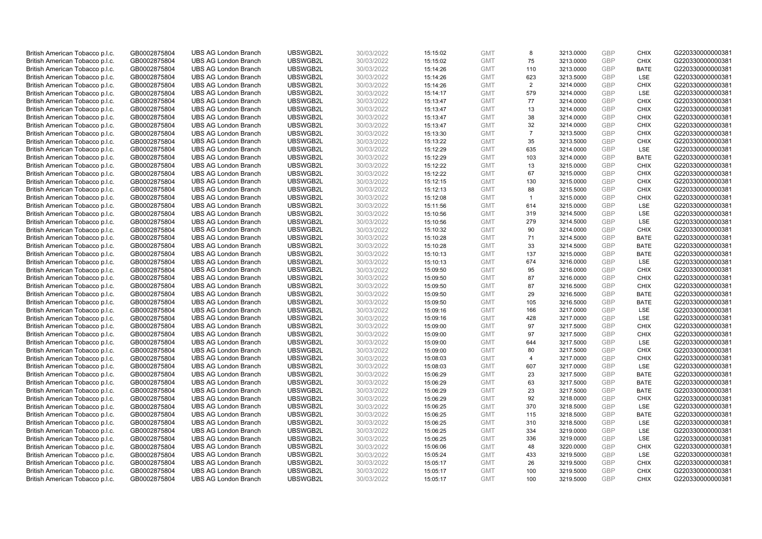| British American Tobacco p.l.c. | GB0002875804                 | <b>UBS AG London Branch</b> | UBSWGB2L             | 30/03/2022               | 15:15:02 | <b>GMT</b>               | 8              | 3213.0000              | <b>GBP</b> | <b>CHIX</b>                | G220330000000381 |
|---------------------------------|------------------------------|-----------------------------|----------------------|--------------------------|----------|--------------------------|----------------|------------------------|------------|----------------------------|------------------|
| British American Tobacco p.l.c. | GB0002875804                 | <b>UBS AG London Branch</b> | UBSWGB2L             | 30/03/2022               | 15:15:02 | <b>GMT</b>               | 75             | 3213.0000              | GBP        | <b>CHIX</b>                | G220330000000381 |
| British American Tobacco p.l.c. | GB0002875804                 | <b>UBS AG London Branch</b> | UBSWGB2L             | 30/03/2022               | 15:14:26 | <b>GMT</b>               | 110            | 3213.0000              | <b>GBP</b> | <b>BATE</b>                | G220330000000381 |
| British American Tobacco p.l.c. | GB0002875804                 | <b>UBS AG London Branch</b> | UBSWGB2L             | 30/03/2022               | 15:14:26 | <b>GMT</b>               | 623            | 3213.5000              | GBP        | <b>LSE</b>                 | G220330000000381 |
| British American Tobacco p.l.c. | GB0002875804                 | <b>UBS AG London Branch</b> | UBSWGB2L             | 30/03/2022               | 15:14:26 | <b>GMT</b>               | 2              | 3214.0000              | <b>GBP</b> | <b>CHIX</b>                | G220330000000381 |
| British American Tobacco p.l.c. | GB0002875804                 | <b>UBS AG London Branch</b> | UBSWGB2L             | 30/03/2022               | 15:14:17 | <b>GMT</b>               | 579            | 3214.0000              | GBP        | <b>LSE</b>                 | G220330000000381 |
| British American Tobacco p.l.c. | GB0002875804                 | <b>UBS AG London Branch</b> | UBSWGB2L             | 30/03/2022               | 15:13:47 | <b>GMT</b>               | 77             | 3214.0000              | <b>GBP</b> | <b>CHIX</b>                | G220330000000381 |
| British American Tobacco p.l.c. | GB0002875804                 | <b>UBS AG London Branch</b> | UBSWGB2L             | 30/03/2022               | 15:13:47 | <b>GMT</b>               | 13             | 3214.0000              | <b>GBP</b> | <b>CHIX</b>                | G220330000000381 |
| British American Tobacco p.l.c. | GB0002875804                 | <b>UBS AG London Branch</b> | UBSWGB2L             | 30/03/2022               | 15:13:47 | <b>GMT</b>               | 38             | 3214.0000              | <b>GBP</b> | <b>CHIX</b>                | G220330000000381 |
| British American Tobacco p.l.c. | GB0002875804                 | <b>UBS AG London Branch</b> | UBSWGB2L             | 30/03/2022               | 15:13:47 | <b>GMT</b>               | 32             | 3214.0000              | GBP        | <b>CHIX</b>                | G220330000000381 |
| British American Tobacco p.l.c. | GB0002875804                 | <b>UBS AG London Branch</b> | UBSWGB2L             | 30/03/2022               | 15:13:30 | <b>GMT</b>               | $\overline{7}$ | 3213.5000              | <b>GBP</b> | <b>CHIX</b>                | G220330000000381 |
| British American Tobacco p.l.c. | GB0002875804                 | <b>UBS AG London Branch</b> | UBSWGB2L             | 30/03/2022               | 15:13:22 | <b>GMT</b>               | 35             | 3213.5000              | <b>GBP</b> | <b>CHIX</b>                | G220330000000381 |
| British American Tobacco p.l.c. | GB0002875804                 | <b>UBS AG London Branch</b> | UBSWGB2L             | 30/03/2022               | 15:12:29 | <b>GMT</b>               | 635            | 3214.0000              | <b>GBP</b> | LSE                        | G220330000000381 |
| British American Tobacco p.l.c. | GB0002875804                 | <b>UBS AG London Branch</b> | UBSWGB2L             | 30/03/2022               | 15:12:29 | <b>GMT</b>               | 103            | 3214.0000              | <b>GBP</b> | <b>BATE</b>                | G220330000000381 |
| British American Tobacco p.l.c. | GB0002875804                 | <b>UBS AG London Branch</b> | UBSWGB2L             | 30/03/2022               | 15:12:22 | <b>GMT</b>               | 13             | 3215.0000              | GBP        | <b>CHIX</b>                | G220330000000381 |
| British American Tobacco p.l.c. | GB0002875804                 | <b>UBS AG London Branch</b> | UBSWGB2L             | 30/03/2022               | 15:12:22 | <b>GMT</b>               | 67             | 3215.0000              | <b>GBP</b> | <b>CHIX</b>                | G220330000000381 |
| British American Tobacco p.l.c. | GB0002875804                 | <b>UBS AG London Branch</b> | UBSWGB2L             | 30/03/2022               | 15:12:15 | <b>GMT</b>               | 130            | 3215.0000              | GBP        | <b>CHIX</b>                | G220330000000381 |
| British American Tobacco p.l.c. | GB0002875804                 | <b>UBS AG London Branch</b> | UBSWGB2L             | 30/03/2022               | 15:12:13 | <b>GMT</b>               | 88             | 3215.5000              | GBP        | <b>CHIX</b>                | G220330000000381 |
| British American Tobacco p.l.c. | GB0002875804                 | <b>UBS AG London Branch</b> | UBSWGB2L             | 30/03/2022               | 15:12:08 | <b>GMT</b>               | $\overline{1}$ | 3215.0000              | GBP        | <b>CHIX</b>                | G220330000000381 |
| British American Tobacco p.l.c. | GB0002875804                 | <b>UBS AG London Branch</b> | UBSWGB2L             | 30/03/2022               | 15:11:56 | <b>GMT</b>               | 614            | 3215.0000              | <b>GBP</b> | <b>LSE</b>                 | G220330000000381 |
| British American Tobacco p.l.c. | GB0002875804                 | <b>UBS AG London Branch</b> | UBSWGB2L             | 30/03/2022               | 15:10:56 | <b>GMT</b>               | 319            | 3214.5000              | GBP        | LSE                        | G220330000000381 |
| British American Tobacco p.l.c. | GB0002875804                 | <b>UBS AG London Branch</b> | UBSWGB2L             | 30/03/2022               | 15:10:56 | <b>GMT</b>               | 279            | 3214.5000              | GBP        | <b>LSE</b>                 | G220330000000381 |
| British American Tobacco p.l.c. | GB0002875804                 | <b>UBS AG London Branch</b> | UBSWGB2L             | 30/03/2022               | 15:10:32 | <b>GMT</b>               | 90             | 3214.0000              | GBP        | <b>CHIX</b>                | G220330000000381 |
| British American Tobacco p.l.c. | GB0002875804                 | <b>UBS AG London Branch</b> | UBSWGB2L             | 30/03/2022               | 15:10:28 | <b>GMT</b>               | 71             | 3214.5000              | <b>GBP</b> | <b>BATE</b>                | G220330000000381 |
| British American Tobacco p.l.c. | GB0002875804                 | <b>UBS AG London Branch</b> | UBSWGB2L             | 30/03/2022               | 15:10:28 | <b>GMT</b>               | 33             | 3214.5000              | <b>GBP</b> | <b>BATE</b>                | G220330000000381 |
| British American Tobacco p.l.c. | GB0002875804                 | <b>UBS AG London Branch</b> | UBSWGB2L             | 30/03/2022               | 15:10:13 | <b>GMT</b>               | 137            | 3215.0000              | GBP        | <b>BATE</b>                | G220330000000381 |
| British American Tobacco p.l.c. | GB0002875804                 | <b>UBS AG London Branch</b> | UBSWGB2L             | 30/03/2022               | 15:10:13 | <b>GMT</b>               | 674            | 3216.0000              | <b>GBP</b> | LSE                        | G220330000000381 |
| British American Tobacco p.l.c. | GB0002875804                 | <b>UBS AG London Branch</b> | UBSWGB2L             | 30/03/2022               | 15:09:50 | <b>GMT</b>               | 95             | 3216.0000              | <b>GBP</b> | <b>CHIX</b>                | G220330000000381 |
| British American Tobacco p.l.c. | GB0002875804                 | <b>UBS AG London Branch</b> | UBSWGB2L             | 30/03/2022               | 15:09:50 | <b>GMT</b>               | 87             | 3216.0000              | GBP        | <b>CHIX</b>                | G220330000000381 |
| British American Tobacco p.l.c. | GB0002875804                 | <b>UBS AG London Branch</b> | UBSWGB2L             | 30/03/2022               | 15:09:50 | <b>GMT</b>               | 87             | 3216.5000              | GBP        | <b>CHIX</b>                | G220330000000381 |
| British American Tobacco p.l.c. | GB0002875804                 | <b>UBS AG London Branch</b> | UBSWGB2L             | 30/03/2022               | 15:09:50 | <b>GMT</b>               | 29             | 3216.5000              | <b>GBP</b> | <b>BATE</b>                | G220330000000381 |
| British American Tobacco p.l.c. | GB0002875804                 | <b>UBS AG London Branch</b> | UBSWGB2L             | 30/03/2022               | 15:09:50 | <b>GMT</b>               | 105            | 3216.5000              | <b>GBP</b> | <b>BATE</b>                | G220330000000381 |
| British American Tobacco p.l.c. | GB0002875804                 | <b>UBS AG London Branch</b> | UBSWGB2L             | 30/03/2022               | 15:09:16 | <b>GMT</b>               | 166            | 3217.0000              | GBP        | LSE                        | G220330000000381 |
| British American Tobacco p.l.c. | GB0002875804                 | <b>UBS AG London Branch</b> | UBSWGB2L             | 30/03/2022               | 15:09:16 | <b>GMT</b>               | 428            | 3217.0000              | <b>GBP</b> | LSE                        | G220330000000381 |
| British American Tobacco p.l.c. | GB0002875804                 | <b>UBS AG London Branch</b> | UBSWGB2L             | 30/03/2022               | 15:09:00 | <b>GMT</b>               | 97             | 3217.5000              | <b>GBP</b> | <b>CHIX</b>                | G220330000000381 |
| British American Tobacco p.l.c. | GB0002875804                 | <b>UBS AG London Branch</b> | UBSWGB2L             | 30/03/2022               | 15:09:00 | <b>GMT</b>               | 97             | 3217.5000              | <b>GBP</b> | <b>CHIX</b>                | G220330000000381 |
| British American Tobacco p.l.c. | GB0002875804                 | <b>UBS AG London Branch</b> | UBSWGB2L             | 30/03/2022               | 15:09:00 | <b>GMT</b>               | 644            | 3217.5000              | <b>GBP</b> | <b>LSE</b>                 | G220330000000381 |
| British American Tobacco p.l.c. | GB0002875804                 | <b>UBS AG London Branch</b> | UBSWGB2L             | 30/03/2022               | 15:09:00 | <b>GMT</b>               | 80             | 3217.5000              | <b>GBP</b> | <b>CHIX</b>                | G220330000000381 |
| British American Tobacco p.l.c. | GB0002875804                 | <b>UBS AG London Branch</b> | UBSWGB2L             | 30/03/2022               | 15:08:03 | <b>GMT</b>               | $\overline{4}$ | 3217.0000              | <b>GBP</b> | <b>CHIX</b>                | G220330000000381 |
| British American Tobacco p.l.c. | GB0002875804                 | <b>UBS AG London Branch</b> | UBSWGB2L             | 30/03/2022               | 15:08:03 | <b>GMT</b>               | 607            | 3217.0000              | <b>GBP</b> | LSE                        | G220330000000381 |
| British American Tobacco p.l.c. | GB0002875804                 | <b>UBS AG London Branch</b> | UBSWGB2L             | 30/03/2022               | 15:06:29 | <b>GMT</b>               | 23             | 3217.5000              | <b>GBP</b> | <b>BATE</b>                | G220330000000381 |
| British American Tobacco p.l.c. | GB0002875804                 | <b>UBS AG London Branch</b> | UBSWGB2L             | 30/03/2022               | 15:06:29 | <b>GMT</b>               | 63             | 3217.5000              | GBP        | <b>BATE</b>                | G220330000000381 |
| British American Tobacco p.l.c. | GB0002875804                 | <b>UBS AG London Branch</b> | UBSWGB2L             | 30/03/2022               | 15:06:29 | <b>GMT</b>               | 23             | 3217.5000              | <b>GBP</b> | <b>BATE</b>                | G220330000000381 |
| British American Tobacco p.l.c. | GB0002875804                 | <b>UBS AG London Branch</b> | UBSWGB2L             | 30/03/2022               | 15:06:29 | <b>GMT</b>               | 92             | 3218.0000              | <b>GBP</b> | <b>CHIX</b>                | G220330000000381 |
| British American Tobacco p.l.c. | GB0002875804                 | <b>UBS AG London Branch</b> | UBSWGB2L             | 30/03/2022               | 15:06:25 | <b>GMT</b>               | 370            | 3218.5000              | <b>GBP</b> | <b>LSE</b>                 | G220330000000381 |
| British American Tobacco p.l.c. | GB0002875804                 | <b>UBS AG London Branch</b> | UBSWGB2L             | 30/03/2022               | 15:06:25 | <b>GMT</b>               | 115            | 3218.5000              | <b>GBP</b> | <b>BATE</b>                | G220330000000381 |
| British American Tobacco p.l.c. | GB0002875804                 | <b>UBS AG London Branch</b> | UBSWGB2L             | 30/03/2022               | 15:06:25 | <b>GMT</b>               | 310            | 3218.5000              | <b>GBP</b> | LSE                        | G220330000000381 |
| British American Tobacco p.l.c. | GB0002875804                 | <b>UBS AG London Branch</b> | UBSWGB2L             | 30/03/2022               | 15:06:25 | <b>GMT</b>               | 334            | 3219.0000              | <b>GBP</b> | LSE                        | G220330000000381 |
| British American Tobacco p.l.c. | GB0002875804                 | <b>UBS AG London Branch</b> | UBSWGB2L             | 30/03/2022               | 15:06:25 | <b>GMT</b>               | 336            | 3219.0000              | <b>GBP</b> | LSE                        | G220330000000381 |
| British American Tobacco p.l.c. | GB0002875804                 | <b>UBS AG London Branch</b> | UBSWGB2L             | 30/03/2022               | 15:06:06 | <b>GMT</b>               | 48             | 3220.0000              | <b>GBP</b> | <b>CHIX</b>                | G220330000000381 |
| British American Tobacco p.l.c. | GB0002875804                 | <b>UBS AG London Branch</b> | UBSWGB2L             | 30/03/2022               | 15:05:24 | <b>GMT</b>               | 433            | 3219.5000              | <b>GBP</b> | LSE                        | G220330000000381 |
| British American Tobacco p.l.c. | GB0002875804                 | <b>UBS AG London Branch</b> | UBSWGB2L             | 30/03/2022               | 15:05:17 | <b>GMT</b>               | 26             | 3219.5000              | <b>GBP</b> | <b>CHIX</b>                | G220330000000381 |
| British American Tobacco p.l.c. | GB0002875804<br>GB0002875804 | <b>UBS AG London Branch</b> | UBSWGB2L<br>UBSWGB2L | 30/03/2022<br>30/03/2022 | 15:05:17 | <b>GMT</b><br><b>GMT</b> | 100<br>100     | 3219.5000<br>3219.5000 | GBP<br>GBP | <b>CHIX</b><br><b>CHIX</b> | G220330000000381 |
| British American Tobacco p.l.c. |                              | <b>UBS AG London Branch</b> |                      |                          | 15:05:17 |                          |                |                        |            |                            | G220330000000381 |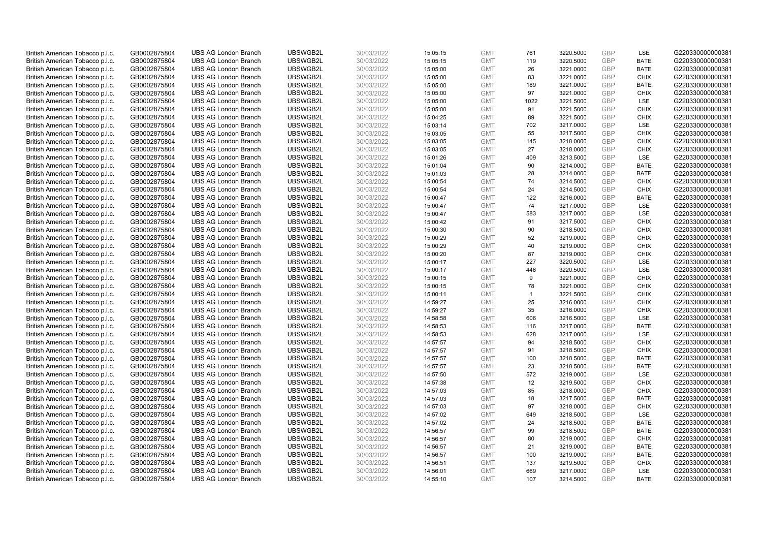| British American Tobacco p.l.c. | GB0002875804 | <b>UBS AG London Branch</b> | UBSWGB2L | 30/03/2022 | 15:05:15 | <b>GMT</b> | 761          | 3220.5000 | <b>GBP</b> | <b>LSE</b>  | G220330000000381 |
|---------------------------------|--------------|-----------------------------|----------|------------|----------|------------|--------------|-----------|------------|-------------|------------------|
| British American Tobacco p.l.c. | GB0002875804 | <b>UBS AG London Branch</b> | UBSWGB2L | 30/03/2022 | 15:05:15 | <b>GMT</b> | 119          | 3220.5000 | <b>GBP</b> | <b>BATE</b> | G220330000000381 |
| British American Tobacco p.l.c. | GB0002875804 | <b>UBS AG London Branch</b> | UBSWGB2L | 30/03/2022 | 15:05:00 | <b>GMT</b> | 26           | 3221.0000 | <b>GBP</b> | <b>BATE</b> | G220330000000381 |
| British American Tobacco p.l.c. | GB0002875804 | <b>UBS AG London Branch</b> | UBSWGB2L | 30/03/2022 | 15:05:00 | <b>GMT</b> | 83           | 3221.0000 | <b>GBP</b> | <b>CHIX</b> | G220330000000381 |
| British American Tobacco p.l.c. | GB0002875804 | <b>UBS AG London Branch</b> | UBSWGB2L | 30/03/2022 | 15:05:00 | <b>GMT</b> | 189          | 3221.0000 | <b>GBP</b> | <b>BATE</b> | G220330000000381 |
| British American Tobacco p.l.c. | GB0002875804 | <b>UBS AG London Branch</b> | UBSWGB2L | 30/03/2022 | 15:05:00 | <b>GMT</b> | 97           | 3221.0000 | <b>GBP</b> | <b>CHIX</b> | G220330000000381 |
| British American Tobacco p.l.c. | GB0002875804 | <b>UBS AG London Branch</b> | UBSWGB2L | 30/03/2022 | 15:05:00 | <b>GMT</b> | 1022         | 3221.5000 | <b>GBP</b> | LSE         | G220330000000381 |
| British American Tobacco p.l.c. | GB0002875804 | <b>UBS AG London Branch</b> | UBSWGB2L | 30/03/2022 | 15:05:00 | <b>GMT</b> | 91           | 3221.5000 | <b>GBP</b> | <b>CHIX</b> | G220330000000381 |
| British American Tobacco p.l.c. | GB0002875804 | <b>UBS AG London Branch</b> | UBSWGB2L | 30/03/2022 | 15:04:25 | <b>GMT</b> | 89           | 3221.5000 | <b>GBP</b> | <b>CHIX</b> | G220330000000381 |
| British American Tobacco p.l.c. | GB0002875804 | <b>UBS AG London Branch</b> | UBSWGB2L | 30/03/2022 | 15:03:14 | <b>GMT</b> | 702          | 3217.0000 | <b>GBP</b> | <b>LSE</b>  | G220330000000381 |
| British American Tobacco p.l.c. | GB0002875804 | <b>UBS AG London Branch</b> | UBSWGB2L | 30/03/2022 | 15:03:05 | <b>GMT</b> | 55           | 3217.5000 | <b>GBP</b> | <b>CHIX</b> | G220330000000381 |
| British American Tobacco p.l.c. | GB0002875804 | <b>UBS AG London Branch</b> | UBSWGB2L | 30/03/2022 | 15:03:05 | <b>GMT</b> | 145          | 3218.0000 | <b>GBP</b> | <b>CHIX</b> | G220330000000381 |
| British American Tobacco p.l.c. | GB0002875804 | <b>UBS AG London Branch</b> | UBSWGB2L | 30/03/2022 | 15:03:05 | <b>GMT</b> | 27           | 3218.0000 | <b>GBP</b> | <b>CHIX</b> | G220330000000381 |
| British American Tobacco p.l.c. | GB0002875804 | <b>UBS AG London Branch</b> | UBSWGB2L | 30/03/2022 | 15:01:26 | <b>GMT</b> | 409          | 3213.5000 | <b>GBP</b> | <b>LSE</b>  | G220330000000381 |
| British American Tobacco p.l.c. | GB0002875804 | <b>UBS AG London Branch</b> | UBSWGB2L | 30/03/2022 | 15:01:04 | <b>GMT</b> | 90           | 3214.0000 | <b>GBP</b> | <b>BATE</b> | G220330000000381 |
| British American Tobacco p.l.c. | GB0002875804 | <b>UBS AG London Branch</b> | UBSWGB2L | 30/03/2022 | 15:01:03 | <b>GMT</b> | 28           | 3214.0000 | <b>GBP</b> | <b>BATE</b> | G220330000000381 |
| British American Tobacco p.l.c. | GB0002875804 | <b>UBS AG London Branch</b> | UBSWGB2L | 30/03/2022 | 15:00:54 | <b>GMT</b> | 74           | 3214.5000 | <b>GBP</b> | <b>CHIX</b> | G220330000000381 |
| British American Tobacco p.l.c. | GB0002875804 | <b>UBS AG London Branch</b> | UBSWGB2L | 30/03/2022 | 15:00:54 | <b>GMT</b> | 24           | 3214.5000 | GBP        | <b>CHIX</b> | G220330000000381 |
| British American Tobacco p.l.c. | GB0002875804 | <b>UBS AG London Branch</b> | UBSWGB2L | 30/03/2022 | 15:00:47 | <b>GMT</b> | 122          | 3216.0000 | <b>GBP</b> | <b>BATE</b> | G220330000000381 |
| British American Tobacco p.l.c. | GB0002875804 | <b>UBS AG London Branch</b> | UBSWGB2L | 30/03/2022 | 15:00:47 | <b>GMT</b> | 74           | 3217.0000 | <b>GBP</b> | <b>LSE</b>  | G220330000000381 |
| British American Tobacco p.l.c. | GB0002875804 | <b>UBS AG London Branch</b> | UBSWGB2L | 30/03/2022 | 15:00:47 | <b>GMT</b> | 583          | 3217.0000 | <b>GBP</b> | LSE         | G220330000000381 |
| British American Tobacco p.l.c. | GB0002875804 | <b>UBS AG London Branch</b> | UBSWGB2L | 30/03/2022 | 15:00:42 | <b>GMT</b> | 91           | 3217.5000 | GBP        | <b>CHIX</b> | G220330000000381 |
| British American Tobacco p.l.c. | GB0002875804 | <b>UBS AG London Branch</b> | UBSWGB2L | 30/03/2022 | 15:00:30 | <b>GMT</b> | 90           | 3218.5000 | <b>GBP</b> | <b>CHIX</b> | G220330000000381 |
| British American Tobacco p.l.c. | GB0002875804 | <b>UBS AG London Branch</b> | UBSWGB2L | 30/03/2022 | 15:00:29 | <b>GMT</b> | 52           | 3219.0000 | <b>GBP</b> | <b>CHIX</b> | G220330000000381 |
| British American Tobacco p.l.c. | GB0002875804 | <b>UBS AG London Branch</b> | UBSWGB2L | 30/03/2022 | 15:00:29 | <b>GMT</b> | 40           | 3219.0000 | <b>GBP</b> | <b>CHIX</b> | G220330000000381 |
| British American Tobacco p.l.c. | GB0002875804 | <b>UBS AG London Branch</b> | UBSWGB2L | 30/03/2022 | 15:00:20 | <b>GMT</b> | 87           | 3219.0000 | <b>GBP</b> | <b>CHIX</b> | G220330000000381 |
| British American Tobacco p.l.c. | GB0002875804 | <b>UBS AG London Branch</b> | UBSWGB2L | 30/03/2022 | 15:00:17 | <b>GMT</b> | 227          | 3220.5000 | <b>GBP</b> | LSE         | G220330000000381 |
| British American Tobacco p.l.c. | GB0002875804 | <b>UBS AG London Branch</b> | UBSWGB2L | 30/03/2022 | 15:00:17 | <b>GMT</b> | 446          | 3220.5000 | <b>GBP</b> | LSE         | G220330000000381 |
| British American Tobacco p.l.c. | GB0002875804 | <b>UBS AG London Branch</b> | UBSWGB2L | 30/03/2022 | 15:00:15 | <b>GMT</b> | 9            | 3221.0000 | <b>GBP</b> | <b>CHIX</b> | G220330000000381 |
| British American Tobacco p.l.c. | GB0002875804 | <b>UBS AG London Branch</b> | UBSWGB2L | 30/03/2022 | 15:00:15 | <b>GMT</b> | 78           | 3221.0000 | GBP        | <b>CHIX</b> | G220330000000381 |
| British American Tobacco p.l.c. | GB0002875804 | <b>UBS AG London Branch</b> | UBSWGB2L | 30/03/2022 | 15:00:11 | <b>GMT</b> | $\mathbf{1}$ | 3221.5000 | <b>GBP</b> | <b>CHIX</b> | G220330000000381 |
| British American Tobacco p.l.c. | GB0002875804 | <b>UBS AG London Branch</b> | UBSWGB2L | 30/03/2022 | 14:59:27 | <b>GMT</b> | 25           | 3216.0000 | <b>GBP</b> | <b>CHIX</b> | G220330000000381 |
| British American Tobacco p.l.c. | GB0002875804 | <b>UBS AG London Branch</b> | UBSWGB2L | 30/03/2022 | 14:59:27 | <b>GMT</b> | 35           | 3216.0000 | <b>GBP</b> | <b>CHIX</b> | G220330000000381 |
| British American Tobacco p.l.c. | GB0002875804 | <b>UBS AG London Branch</b> | UBSWGB2L | 30/03/2022 | 14:58:58 | <b>GMT</b> | 606          | 3216.5000 | <b>GBP</b> | <b>LSE</b>  | G220330000000381 |
| British American Tobacco p.l.c. | GB0002875804 | <b>UBS AG London Branch</b> | UBSWGB2L | 30/03/2022 | 14:58:53 | <b>GMT</b> | 116          | 3217.0000 | <b>GBP</b> | <b>BATE</b> | G220330000000381 |
| British American Tobacco p.l.c. | GB0002875804 | <b>UBS AG London Branch</b> | UBSWGB2L | 30/03/2022 | 14:58:53 | <b>GMT</b> | 628          | 3217.0000 | <b>GBP</b> | <b>LSE</b>  | G220330000000381 |
| British American Tobacco p.l.c. | GB0002875804 | <b>UBS AG London Branch</b> | UBSWGB2L | 30/03/2022 | 14:57:57 | <b>GMT</b> | 94           | 3218.5000 | <b>GBP</b> | <b>CHIX</b> | G220330000000381 |
| British American Tobacco p.l.c. | GB0002875804 | <b>UBS AG London Branch</b> | UBSWGB2L | 30/03/2022 | 14:57:57 | <b>GMT</b> | 91           | 3218.5000 | <b>GBP</b> | <b>CHIX</b> | G220330000000381 |
| British American Tobacco p.l.c. | GB0002875804 | <b>UBS AG London Branch</b> | UBSWGB2L | 30/03/2022 | 14:57:57 | <b>GMT</b> | 100          | 3218.5000 | <b>GBP</b> | <b>BATE</b> | G220330000000381 |
| British American Tobacco p.l.c. | GB0002875804 | <b>UBS AG London Branch</b> | UBSWGB2L | 30/03/2022 | 14:57:57 | <b>GMT</b> | 23           | 3218.5000 | <b>GBP</b> | <b>BATE</b> | G220330000000381 |
| British American Tobacco p.l.c. | GB0002875804 | <b>UBS AG London Branch</b> | UBSWGB2L | 30/03/2022 | 14:57:50 | <b>GMT</b> | 572          | 3219.0000 | <b>GBP</b> | <b>LSE</b>  | G220330000000381 |
| British American Tobacco p.l.c. | GB0002875804 | <b>UBS AG London Branch</b> | UBSWGB2L | 30/03/2022 | 14:57:38 | <b>GMT</b> | 12           | 3219.5000 | <b>GBP</b> | <b>CHIX</b> | G220330000000381 |
| British American Tobacco p.l.c. | GB0002875804 | <b>UBS AG London Branch</b> | UBSWGB2L | 30/03/2022 | 14:57:03 | <b>GMT</b> | 85           | 3218.0000 | <b>GBP</b> | <b>CHIX</b> | G220330000000381 |
| British American Tobacco p.l.c. | GB0002875804 | <b>UBS AG London Branch</b> | UBSWGB2L | 30/03/2022 | 14:57:03 | <b>GMT</b> | 18           | 3217.5000 | GBP        | <b>BATE</b> | G220330000000381 |
| British American Tobacco p.l.c. | GB0002875804 | <b>UBS AG London Branch</b> | UBSWGB2L | 30/03/2022 | 14:57:03 | <b>GMT</b> | 97           | 3218.0000 | <b>GBP</b> | <b>CHIX</b> | G220330000000381 |
| British American Tobacco p.l.c. | GB0002875804 | <b>UBS AG London Branch</b> | UBSWGB2L | 30/03/2022 | 14:57:02 | <b>GMT</b> | 649          | 3218.5000 | <b>GBP</b> | LSE         | G220330000000381 |
| British American Tobacco p.l.c. | GB0002875804 | <b>UBS AG London Branch</b> | UBSWGB2L | 30/03/2022 | 14:57:02 | <b>GMT</b> | 24           | 3218.5000 | <b>GBP</b> | <b>BATE</b> | G220330000000381 |
| British American Tobacco p.l.c. | GB0002875804 | <b>UBS AG London Branch</b> | UBSWGB2L | 30/03/2022 | 14:56:57 | <b>GMT</b> | 99           | 3218.5000 | <b>GBP</b> | <b>BATE</b> | G220330000000381 |
| British American Tobacco p.l.c. | GB0002875804 | <b>UBS AG London Branch</b> | UBSWGB2L | 30/03/2022 | 14:56:57 | <b>GMT</b> | 80           | 3219.0000 | <b>GBP</b> | <b>CHIX</b> | G220330000000381 |
| British American Tobacco p.l.c. | GB0002875804 | <b>UBS AG London Branch</b> | UBSWGB2L | 30/03/2022 | 14:56:57 | <b>GMT</b> | 21           | 3219.0000 | GBP        | <b>BATE</b> | G220330000000381 |
| British American Tobacco p.l.c. | GB0002875804 | <b>UBS AG London Branch</b> | UBSWGB2L | 30/03/2022 | 14:56:57 | <b>GMT</b> | 100          | 3219.0000 | GBP        | <b>BATE</b> | G220330000000381 |
| British American Tobacco p.l.c. | GB0002875804 | <b>UBS AG London Branch</b> | UBSWGB2L | 30/03/2022 | 14:56:51 | <b>GMT</b> | 137          | 3219.5000 | <b>GBP</b> | <b>CHIX</b> | G220330000000381 |
| British American Tobacco p.l.c. | GB0002875804 | <b>UBS AG London Branch</b> | UBSWGB2L | 30/03/2022 | 14:56:01 | <b>GMT</b> | 669          | 3217.0000 | GBP        | <b>LSE</b>  | G220330000000381 |
| British American Tobacco p.l.c. | GB0002875804 | <b>UBS AG London Branch</b> | UBSWGB2L | 30/03/2022 | 14:55:10 | <b>GMT</b> | 107          | 3214.5000 | GBP        | <b>BATE</b> | G220330000000381 |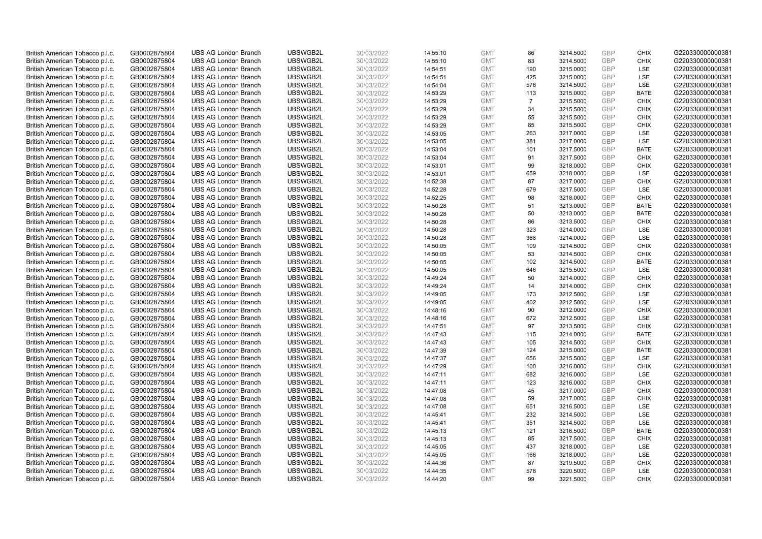| British American Tobacco p.l.c. | GB0002875804 | <b>UBS AG London Branch</b> | UBSWGB2L | 30/03/2022 | 14:55:10 | <b>GMT</b>               | 86             | 3214.5000 | <b>GBP</b> | <b>CHIX</b>        | G220330000000381 |
|---------------------------------|--------------|-----------------------------|----------|------------|----------|--------------------------|----------------|-----------|------------|--------------------|------------------|
| British American Tobacco p.l.c. | GB0002875804 | <b>UBS AG London Branch</b> | UBSWGB2L | 30/03/2022 | 14:55:10 | <b>GMT</b>               | 83             | 3214.5000 | GBP        | <b>CHIX</b>        | G220330000000381 |
| British American Tobacco p.l.c. | GB0002875804 | <b>UBS AG London Branch</b> | UBSWGB2L | 30/03/2022 | 14:54:51 | <b>GMT</b>               | 190            | 3215.0000 | <b>GBP</b> | <b>LSE</b>         | G220330000000381 |
| British American Tobacco p.l.c. | GB0002875804 | <b>UBS AG London Branch</b> | UBSWGB2L | 30/03/2022 | 14:54:51 | <b>GMT</b>               | 425            | 3215.0000 | GBP        | LSE                | G220330000000381 |
| British American Tobacco p.l.c. | GB0002875804 | <b>UBS AG London Branch</b> | UBSWGB2L | 30/03/2022 | 14:54:04 | <b>GMT</b>               | 576            | 3214.5000 | <b>GBP</b> | <b>LSE</b>         | G220330000000381 |
| British American Tobacco p.l.c. | GB0002875804 | <b>UBS AG London Branch</b> | UBSWGB2L | 30/03/2022 | 14:53:29 | <b>GMT</b>               | 113            | 3215.0000 | GBP        | <b>BATE</b>        | G220330000000381 |
| British American Tobacco p.l.c. | GB0002875804 | <b>UBS AG London Branch</b> | UBSWGB2L | 30/03/2022 | 14:53:29 | <b>GMT</b>               | $\overline{7}$ | 3215.5000 | <b>GBP</b> | <b>CHIX</b>        | G220330000000381 |
| British American Tobacco p.l.c. | GB0002875804 | <b>UBS AG London Branch</b> | UBSWGB2L | 30/03/2022 | 14:53:29 | <b>GMT</b>               | 34             | 3215.5000 | <b>GBP</b> | <b>CHIX</b>        | G220330000000381 |
| British American Tobacco p.l.c. | GB0002875804 | <b>UBS AG London Branch</b> | UBSWGB2L | 30/03/2022 | 14:53:29 | <b>GMT</b>               | 55             | 3215.5000 | <b>GBP</b> | <b>CHIX</b>        | G220330000000381 |
| British American Tobacco p.l.c. | GB0002875804 | <b>UBS AG London Branch</b> | UBSWGB2L | 30/03/2022 | 14:53:29 | <b>GMT</b>               | 85             | 3215.5000 | GBP        | <b>CHIX</b>        | G220330000000381 |
| British American Tobacco p.l.c. | GB0002875804 | <b>UBS AG London Branch</b> | UBSWGB2L | 30/03/2022 | 14:53:05 | <b>GMT</b>               | 263            | 3217.0000 | <b>GBP</b> | LSE                | G220330000000381 |
| British American Tobacco p.l.c. | GB0002875804 | <b>UBS AG London Branch</b> | UBSWGB2L | 30/03/2022 | 14:53:05 | <b>GMT</b>               | 381            | 3217.0000 | <b>GBP</b> | LSE                | G220330000000381 |
| British American Tobacco p.l.c. | GB0002875804 | <b>UBS AG London Branch</b> | UBSWGB2L | 30/03/2022 | 14:53:04 | <b>GMT</b>               | 101            | 3217.5000 | <b>GBP</b> | <b>BATE</b>        | G220330000000381 |
| British American Tobacco p.l.c. | GB0002875804 | <b>UBS AG London Branch</b> | UBSWGB2L | 30/03/2022 | 14:53:04 | <b>GMT</b>               | 91             | 3217.5000 | <b>GBP</b> | <b>CHIX</b>        | G220330000000381 |
| British American Tobacco p.l.c. | GB0002875804 | <b>UBS AG London Branch</b> | UBSWGB2L | 30/03/2022 | 14:53:01 | <b>GMT</b>               | 99             | 3218.0000 | GBP        | <b>CHIX</b>        | G220330000000381 |
| British American Tobacco p.l.c. | GB0002875804 | <b>UBS AG London Branch</b> | UBSWGB2L | 30/03/2022 | 14:53:01 | <b>GMT</b>               | 659            | 3218.0000 | <b>GBP</b> | LSE                | G220330000000381 |
| British American Tobacco p.l.c. | GB0002875804 | <b>UBS AG London Branch</b> | UBSWGB2L | 30/03/2022 | 14:52:38 | <b>GMT</b>               | 87             | 3217.0000 | <b>GBP</b> | <b>CHIX</b>        | G220330000000381 |
| British American Tobacco p.l.c. | GB0002875804 | <b>UBS AG London Branch</b> | UBSWGB2L | 30/03/2022 | 14:52:28 | <b>GMT</b>               | 679            | 3217.5000 | GBP        | LSE                | G220330000000381 |
| British American Tobacco p.l.c. | GB0002875804 | <b>UBS AG London Branch</b> | UBSWGB2L | 30/03/2022 | 14:52:25 | <b>GMT</b>               | 98             | 3218.0000 | GBP        | <b>CHIX</b>        | G220330000000381 |
| British American Tobacco p.l.c. | GB0002875804 | <b>UBS AG London Branch</b> | UBSWGB2L | 30/03/2022 | 14:50:28 | <b>GMT</b>               | 51             | 3213.0000 | <b>GBP</b> | <b>BATE</b>        | G220330000000381 |
| British American Tobacco p.l.c. | GB0002875804 | <b>UBS AG London Branch</b> | UBSWGB2L | 30/03/2022 | 14:50:28 | <b>GMT</b>               | 50             | 3213.0000 | GBP        | <b>BATE</b>        | G220330000000381 |
| British American Tobacco p.l.c. | GB0002875804 | <b>UBS AG London Branch</b> | UBSWGB2L | 30/03/2022 | 14:50:28 | <b>GMT</b>               | 86             | 3213.5000 | GBP        | <b>CHIX</b>        | G220330000000381 |
| British American Tobacco p.l.c. | GB0002875804 | <b>UBS AG London Branch</b> | UBSWGB2L | 30/03/2022 | 14:50:28 | <b>GMT</b>               | 323            | 3214.0000 | <b>GBP</b> | <b>LSE</b>         | G220330000000381 |
| British American Tobacco p.l.c. | GB0002875804 | <b>UBS AG London Branch</b> | UBSWGB2L | 30/03/2022 | 14:50:28 | <b>GMT</b>               | 368            | 3214.0000 | <b>GBP</b> | LSE                | G220330000000381 |
| British American Tobacco p.l.c. | GB0002875804 | <b>UBS AG London Branch</b> | UBSWGB2L | 30/03/2022 | 14:50:05 | <b>GMT</b>               | 109            | 3214.5000 | <b>GBP</b> | <b>CHIX</b>        | G220330000000381 |
| British American Tobacco p.l.c. | GB0002875804 | <b>UBS AG London Branch</b> | UBSWGB2L | 30/03/2022 | 14:50:05 | <b>GMT</b>               | 53             | 3214.5000 | GBP        | <b>CHIX</b>        | G220330000000381 |
| British American Tobacco p.l.c. | GB0002875804 | <b>UBS AG London Branch</b> | UBSWGB2L | 30/03/2022 | 14:50:05 | <b>GMT</b>               | 102            | 3214.5000 | <b>GBP</b> | <b>BATE</b>        | G220330000000381 |
| British American Tobacco p.l.c. | GB0002875804 | <b>UBS AG London Branch</b> | UBSWGB2L | 30/03/2022 | 14:50:05 | <b>GMT</b>               | 646            | 3215.5000 | <b>GBP</b> | LSE                | G220330000000381 |
| British American Tobacco p.l.c. | GB0002875804 | <b>UBS AG London Branch</b> | UBSWGB2L | 30/03/2022 | 14:49:24 | <b>GMT</b>               | 50             | 3214.0000 | GBP        | <b>CHIX</b>        | G220330000000381 |
| British American Tobacco p.l.c. | GB0002875804 | <b>UBS AG London Branch</b> | UBSWGB2L | 30/03/2022 | 14:49:24 | <b>GMT</b>               | 14             | 3214.0000 | GBP        | <b>CHIX</b>        | G220330000000381 |
| British American Tobacco p.l.c. | GB0002875804 | <b>UBS AG London Branch</b> | UBSWGB2L | 30/03/2022 | 14:49:05 | <b>GMT</b>               | 173            | 3212.5000 | <b>GBP</b> | LSE                | G220330000000381 |
| British American Tobacco p.l.c. | GB0002875804 | <b>UBS AG London Branch</b> | UBSWGB2L | 30/03/2022 | 14:49:05 | <b>GMT</b>               | 402            | 3212.5000 | <b>GBP</b> | <b>LSE</b>         | G220330000000381 |
| British American Tobacco p.l.c. | GB0002875804 | <b>UBS AG London Branch</b> | UBSWGB2L | 30/03/2022 | 14:48:16 | <b>GMT</b>               | 90             | 3212.0000 | GBP        | <b>CHIX</b>        | G220330000000381 |
| British American Tobacco p.l.c. | GB0002875804 | <b>UBS AG London Branch</b> | UBSWGB2L | 30/03/2022 | 14:48:16 | <b>GMT</b>               | 672            | 3212.5000 | <b>GBP</b> | <b>LSE</b>         | G220330000000381 |
| British American Tobacco p.l.c. | GB0002875804 | <b>UBS AG London Branch</b> | UBSWGB2L | 30/03/2022 | 14:47:51 | <b>GMT</b>               | 97             | 3213.5000 | <b>GBP</b> | <b>CHIX</b>        | G220330000000381 |
| British American Tobacco p.l.c. | GB0002875804 | <b>UBS AG London Branch</b> | UBSWGB2L | 30/03/2022 | 14:47:43 | <b>GMT</b>               | 115            | 3214.0000 | <b>GBP</b> | <b>BATE</b>        | G220330000000381 |
| British American Tobacco p.l.c. | GB0002875804 | <b>UBS AG London Branch</b> | UBSWGB2L | 30/03/2022 | 14:47:43 | <b>GMT</b>               | 105            | 3214.5000 | GBP        | <b>CHIX</b>        | G220330000000381 |
| British American Tobacco p.l.c. | GB0002875804 | <b>UBS AG London Branch</b> | UBSWGB2L | 30/03/2022 | 14:47:39 | <b>GMT</b>               | 124            | 3215.0000 | <b>GBP</b> | <b>BATE</b>        | G220330000000381 |
| British American Tobacco p.l.c. | GB0002875804 | <b>UBS AG London Branch</b> | UBSWGB2L | 30/03/2022 | 14:47:37 | <b>GMT</b>               | 656            | 3215.5000 | GBP        | <b>LSE</b>         | G220330000000381 |
| British American Tobacco p.l.c. | GB0002875804 | <b>UBS AG London Branch</b> | UBSWGB2L | 30/03/2022 | 14:47:29 | <b>GMT</b>               | 100            | 3216.0000 | <b>GBP</b> | <b>CHIX</b>        | G220330000000381 |
| British American Tobacco p.l.c. | GB0002875804 | <b>UBS AG London Branch</b> | UBSWGB2L | 30/03/2022 | 14:47:11 | <b>GMT</b>               | 682            | 3216.0000 | <b>GBP</b> | <b>LSE</b>         | G220330000000381 |
| British American Tobacco p.l.c. | GB0002875804 | <b>UBS AG London Branch</b> | UBSWGB2L | 30/03/2022 | 14:47:11 | <b>GMT</b>               | 123            | 3216.0000 | <b>GBP</b> | <b>CHIX</b>        | G220330000000381 |
| British American Tobacco p.l.c. | GB0002875804 | <b>UBS AG London Branch</b> | UBSWGB2L | 30/03/2022 | 14:47:08 | <b>GMT</b>               | 45             | 3217.0000 | <b>GBP</b> | <b>CHIX</b>        | G220330000000381 |
| British American Tobacco p.l.c. | GB0002875804 | <b>UBS AG London Branch</b> | UBSWGB2L | 30/03/2022 | 14:47:08 | <b>GMT</b>               | 59             | 3217.0000 | <b>GBP</b> | <b>CHIX</b>        | G220330000000381 |
| British American Tobacco p.l.c. | GB0002875804 | <b>UBS AG London Branch</b> | UBSWGB2L | 30/03/2022 | 14:47:08 | <b>GMT</b>               | 651            | 3216.5000 | <b>GBP</b> | <b>LSE</b>         | G220330000000381 |
| British American Tobacco p.l.c. | GB0002875804 | <b>UBS AG London Branch</b> | UBSWGB2L | 30/03/2022 | 14:45:41 | <b>GMT</b>               | 232            | 3214.5000 | <b>GBP</b> | LSE                | G220330000000381 |
| British American Tobacco p.l.c. | GB0002875804 | <b>UBS AG London Branch</b> | UBSWGB2L | 30/03/2022 | 14:45:41 | <b>GMT</b>               | 351            | 3214.5000 | <b>GBP</b> | LSE                | G220330000000381 |
| British American Tobacco p.l.c. | GB0002875804 | <b>UBS AG London Branch</b> | UBSWGB2L | 30/03/2022 | 14:45:13 | <b>GMT</b>               | 121            | 3216.5000 | <b>GBP</b> | <b>BATE</b>        | G220330000000381 |
| British American Tobacco p.l.c. | GB0002875804 | <b>UBS AG London Branch</b> | UBSWGB2L | 30/03/2022 | 14:45:13 | <b>GMT</b>               | 85             | 3217.5000 | <b>GBP</b> | <b>CHIX</b>        | G220330000000381 |
| British American Tobacco p.l.c. | GB0002875804 | <b>UBS AG London Branch</b> | UBSWGB2L | 30/03/2022 | 14:45:05 | <b>GMT</b>               | 437            | 3218.0000 | <b>GBP</b> | <b>LSE</b>         | G220330000000381 |
| British American Tobacco p.l.c. | GB0002875804 | <b>UBS AG London Branch</b> | UBSWGB2L | 30/03/2022 | 14:45:05 | <b>GMT</b>               | 166            | 3218.0000 | <b>GBP</b> | LSE                | G220330000000381 |
| British American Tobacco p.l.c. | GB0002875804 | <b>UBS AG London Branch</b> | UBSWGB2L | 30/03/2022 | 14:44:36 | <b>GMT</b>               | 87             | 3219.5000 | <b>GBP</b> | <b>CHIX</b>        | G220330000000381 |
| British American Tobacco p.l.c. | GB0002875804 | <b>UBS AG London Branch</b> | UBSWGB2L | 30/03/2022 | 14:44:35 | <b>GMT</b><br><b>GMT</b> | 578<br>99      | 3220.5000 | GBP<br>GBP | LSE<br><b>CHIX</b> | G220330000000381 |
| British American Tobacco p.l.c. | GB0002875804 | <b>UBS AG London Branch</b> | UBSWGB2L | 30/03/2022 | 14:44:20 |                          |                | 3221.5000 |            |                    | G220330000000381 |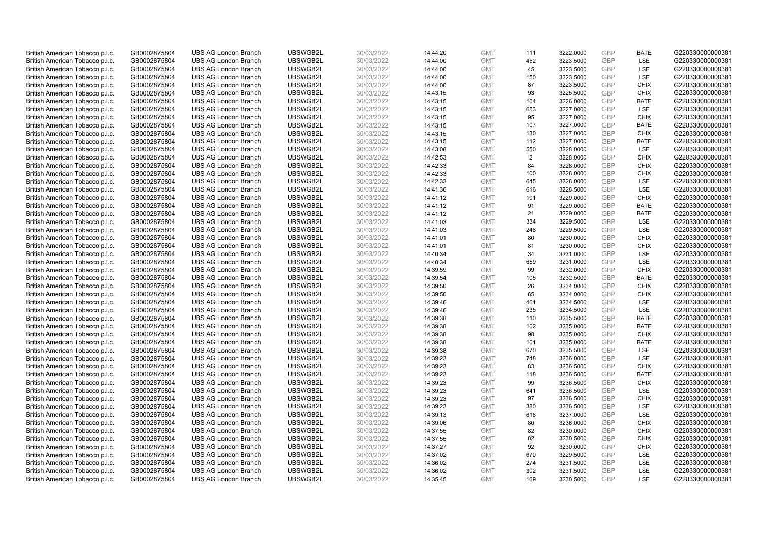| British American Tobacco p.l.c. | GB0002875804 | <b>UBS AG London Branch</b> | UBSWGB2L | 30/03/2022 | 14:44:20 | <b>GMT</b> | 111 | 3222.0000 | <b>GBP</b> | <b>BATE</b> | G220330000000381 |
|---------------------------------|--------------|-----------------------------|----------|------------|----------|------------|-----|-----------|------------|-------------|------------------|
| British American Tobacco p.l.c. | GB0002875804 | <b>UBS AG London Branch</b> | UBSWGB2L | 30/03/2022 | 14:44:00 | <b>GMT</b> | 452 | 3223.5000 | <b>GBP</b> | LSE         | G220330000000381 |
| British American Tobacco p.l.c. | GB0002875804 | <b>UBS AG London Branch</b> | UBSWGB2L | 30/03/2022 | 14:44:00 | <b>GMT</b> | 45  | 3223.5000 | <b>GBP</b> | <b>LSE</b>  | G220330000000381 |
| British American Tobacco p.l.c. | GB0002875804 | <b>UBS AG London Branch</b> | UBSWGB2L | 30/03/2022 | 14:44:00 | <b>GMT</b> | 150 | 3223.5000 | <b>GBP</b> | LSE         | G220330000000381 |
| British American Tobacco p.l.c. | GB0002875804 | <b>UBS AG London Branch</b> | UBSWGB2L | 30/03/2022 | 14:44:00 | <b>GMT</b> | 87  | 3223.5000 | <b>GBP</b> | <b>CHIX</b> | G220330000000381 |
| British American Tobacco p.l.c. | GB0002875804 | <b>UBS AG London Branch</b> | UBSWGB2L | 30/03/2022 | 14:43:15 | <b>GMT</b> | 93  | 3225.5000 | <b>GBP</b> | <b>CHIX</b> | G220330000000381 |
| British American Tobacco p.l.c. | GB0002875804 | <b>UBS AG London Branch</b> | UBSWGB2L | 30/03/2022 | 14:43:15 | <b>GMT</b> | 104 | 3226.0000 | <b>GBP</b> | <b>BATE</b> | G220330000000381 |
| British American Tobacco p.l.c. | GB0002875804 | <b>UBS AG London Branch</b> | UBSWGB2L | 30/03/2022 | 14:43:15 | <b>GMT</b> | 653 | 3227.0000 | <b>GBP</b> | LSE         | G220330000000381 |
| British American Tobacco p.l.c. | GB0002875804 | <b>UBS AG London Branch</b> | UBSWGB2L | 30/03/2022 | 14:43:15 | <b>GMT</b> | 95  | 3227.0000 | <b>GBP</b> | <b>CHIX</b> | G220330000000381 |
| British American Tobacco p.l.c. | GB0002875804 | <b>UBS AG London Branch</b> | UBSWGB2L | 30/03/2022 | 14:43:15 | <b>GMT</b> | 107 | 3227.0000 | <b>GBP</b> | <b>BATE</b> | G220330000000381 |
| British American Tobacco p.l.c. | GB0002875804 | <b>UBS AG London Branch</b> | UBSWGB2L | 30/03/2022 | 14:43:15 | <b>GMT</b> | 130 | 3227.0000 | GBP        | <b>CHIX</b> | G220330000000381 |
| British American Tobacco p.l.c. | GB0002875804 | <b>UBS AG London Branch</b> | UBSWGB2L | 30/03/2022 | 14:43:15 | <b>GMT</b> | 112 | 3227.0000 | <b>GBP</b> | <b>BATE</b> | G220330000000381 |
| British American Tobacco p.l.c. | GB0002875804 | <b>UBS AG London Branch</b> | UBSWGB2L | 30/03/2022 | 14:43:08 | <b>GMT</b> | 550 | 3228.0000 | <b>GBP</b> | LSE         | G220330000000381 |
| British American Tobacco p.l.c. | GB0002875804 | <b>UBS AG London Branch</b> | UBSWGB2L | 30/03/2022 | 14:42:53 | <b>GMT</b> | 2   | 3228.0000 | <b>GBP</b> | <b>CHIX</b> | G220330000000381 |
| British American Tobacco p.l.c. | GB0002875804 | <b>UBS AG London Branch</b> | UBSWGB2L | 30/03/2022 | 14:42:33 | <b>GMT</b> | 84  | 3228.0000 | <b>GBP</b> | <b>CHIX</b> | G220330000000381 |
| British American Tobacco p.l.c. | GB0002875804 | <b>UBS AG London Branch</b> | UBSWGB2L | 30/03/2022 | 14:42:33 | <b>GMT</b> | 100 | 3228.0000 | <b>GBP</b> | <b>CHIX</b> | G220330000000381 |
| British American Tobacco p.l.c. | GB0002875804 | <b>UBS AG London Branch</b> | UBSWGB2L | 30/03/2022 | 14:42:33 | <b>GMT</b> | 645 | 3228.0000 | <b>GBP</b> | <b>LSE</b>  | G220330000000381 |
| British American Tobacco p.l.c. | GB0002875804 | <b>UBS AG London Branch</b> | UBSWGB2L | 30/03/2022 | 14:41:36 | <b>GMT</b> | 616 | 3228.5000 | GBP        | LSE         | G220330000000381 |
| British American Tobacco p.l.c. | GB0002875804 | <b>UBS AG London Branch</b> | UBSWGB2L | 30/03/2022 | 14:41:12 | <b>GMT</b> | 101 | 3229.0000 | <b>GBP</b> | <b>CHIX</b> | G220330000000381 |
| British American Tobacco p.l.c. | GB0002875804 | <b>UBS AG London Branch</b> | UBSWGB2L | 30/03/2022 | 14:41:12 | <b>GMT</b> | 91  | 3229.0000 | <b>GBP</b> | <b>BATE</b> | G220330000000381 |
| British American Tobacco p.l.c. | GB0002875804 | <b>UBS AG London Branch</b> | UBSWGB2L | 30/03/2022 | 14:41:12 | <b>GMT</b> | 21  | 3229.0000 | <b>GBP</b> | <b>BATE</b> | G220330000000381 |
| British American Tobacco p.l.c. | GB0002875804 | <b>UBS AG London Branch</b> | UBSWGB2L | 30/03/2022 | 14:41:03 | <b>GMT</b> | 334 | 3229.5000 | GBP        | <b>LSE</b>  | G220330000000381 |
| British American Tobacco p.l.c. | GB0002875804 | <b>UBS AG London Branch</b> | UBSWGB2L | 30/03/2022 | 14:41:03 | <b>GMT</b> | 248 | 3229.5000 | <b>GBP</b> | LSE         | G220330000000381 |
| British American Tobacco p.l.c. | GB0002875804 | <b>UBS AG London Branch</b> | UBSWGB2L | 30/03/2022 | 14:41:01 | <b>GMT</b> | 80  | 3230.0000 | <b>GBP</b> | <b>CHIX</b> | G220330000000381 |
| British American Tobacco p.l.c. | GB0002875804 | <b>UBS AG London Branch</b> | UBSWGB2L | 30/03/2022 | 14:41:01 | <b>GMT</b> | 81  | 3230.0000 | <b>GBP</b> | <b>CHIX</b> | G220330000000381 |
| British American Tobacco p.l.c. | GB0002875804 | <b>UBS AG London Branch</b> | UBSWGB2L | 30/03/2022 | 14:40:34 | <b>GMT</b> | 34  | 3231.0000 | <b>GBP</b> | LSE         | G220330000000381 |
| British American Tobacco p.l.c. | GB0002875804 | <b>UBS AG London Branch</b> | UBSWGB2L | 30/03/2022 | 14:40:34 | <b>GMT</b> | 659 | 3231.0000 | <b>GBP</b> | LSE         | G220330000000381 |
| British American Tobacco p.l.c. | GB0002875804 | <b>UBS AG London Branch</b> | UBSWGB2L | 30/03/2022 | 14:39:59 | <b>GMT</b> | 99  | 3232.0000 | <b>GBP</b> | <b>CHIX</b> | G220330000000381 |
| British American Tobacco p.l.c. | GB0002875804 | <b>UBS AG London Branch</b> | UBSWGB2L | 30/03/2022 | 14:39:54 | <b>GMT</b> | 105 | 3232.5000 | GBP        | <b>BATE</b> | G220330000000381 |
| British American Tobacco p.l.c. | GB0002875804 | <b>UBS AG London Branch</b> | UBSWGB2L | 30/03/2022 | 14:39:50 | <b>GMT</b> | 26  | 3234.0000 | GBP        | <b>CHIX</b> | G220330000000381 |
| British American Tobacco p.l.c. | GB0002875804 | <b>UBS AG London Branch</b> | UBSWGB2L | 30/03/2022 | 14:39:50 | <b>GMT</b> | 65  | 3234.0000 | <b>GBP</b> | <b>CHIX</b> | G220330000000381 |
| British American Tobacco p.l.c. | GB0002875804 | <b>UBS AG London Branch</b> | UBSWGB2L | 30/03/2022 | 14:39:46 | <b>GMT</b> | 461 | 3234.5000 | <b>GBP</b> | <b>LSE</b>  | G220330000000381 |
| British American Tobacco p.l.c. | GB0002875804 | <b>UBS AG London Branch</b> | UBSWGB2L | 30/03/2022 | 14:39:46 | <b>GMT</b> | 235 | 3234.5000 | GBP        | LSE         | G220330000000381 |
| British American Tobacco p.l.c. | GB0002875804 | <b>UBS AG London Branch</b> | UBSWGB2L | 30/03/2022 | 14:39:38 | <b>GMT</b> | 110 | 3235.5000 | <b>GBP</b> | <b>BATE</b> | G220330000000381 |
| British American Tobacco p.l.c. | GB0002875804 | <b>UBS AG London Branch</b> | UBSWGB2L | 30/03/2022 | 14:39:38 | <b>GMT</b> | 102 | 3235.0000 | <b>GBP</b> | <b>BATE</b> | G220330000000381 |
| British American Tobacco p.l.c. | GB0002875804 | <b>UBS AG London Branch</b> | UBSWGB2L | 30/03/2022 | 14:39:38 | <b>GMT</b> | 98  | 3235.0000 | GBP        | <b>CHIX</b> | G220330000000381 |
| British American Tobacco p.l.c. | GB0002875804 | <b>UBS AG London Branch</b> | UBSWGB2L | 30/03/2022 | 14:39:38 | <b>GMT</b> | 101 | 3235.0000 | GBP        | <b>BATE</b> | G220330000000381 |
| British American Tobacco p.l.c. | GB0002875804 | <b>UBS AG London Branch</b> | UBSWGB2L | 30/03/2022 | 14:39:38 | <b>GMT</b> | 670 | 3235.5000 | <b>GBP</b> | LSE         | G220330000000381 |
| British American Tobacco p.l.c. | GB0002875804 | <b>UBS AG London Branch</b> | UBSWGB2L | 30/03/2022 | 14:39:23 | <b>GMT</b> | 748 | 3236.0000 | GBP        | <b>LSE</b>  | G220330000000381 |
| British American Tobacco p.l.c. | GB0002875804 | <b>UBS AG London Branch</b> | UBSWGB2L | 30/03/2022 | 14:39:23 | <b>GMT</b> | 83  | 3236.5000 | <b>GBP</b> | <b>CHIX</b> | G220330000000381 |
| British American Tobacco p.l.c. | GB0002875804 | <b>UBS AG London Branch</b> | UBSWGB2L | 30/03/2022 | 14:39:23 | <b>GMT</b> | 118 | 3236.5000 | <b>GBP</b> | <b>BATE</b> | G220330000000381 |
| British American Tobacco p.l.c. | GB0002875804 | <b>UBS AG London Branch</b> | UBSWGB2L | 30/03/2022 | 14:39:23 | <b>GMT</b> | 99  | 3236.5000 | GBP        | <b>CHIX</b> | G220330000000381 |
| British American Tobacco p.l.c. | GB0002875804 | <b>UBS AG London Branch</b> | UBSWGB2L | 30/03/2022 | 14:39:23 | <b>GMT</b> | 641 | 3236.5000 | <b>GBP</b> | <b>LSE</b>  | G220330000000381 |
| British American Tobacco p.l.c. | GB0002875804 | <b>UBS AG London Branch</b> | UBSWGB2L | 30/03/2022 | 14:39:23 | <b>GMT</b> | 97  | 3236.5000 | <b>GBP</b> | <b>CHIX</b> | G220330000000381 |
| British American Tobacco p.l.c. | GB0002875804 | <b>UBS AG London Branch</b> | UBSWGB2L | 30/03/2022 | 14:39:23 | <b>GMT</b> | 380 | 3236.5000 | <b>GBP</b> | <b>LSE</b>  | G220330000000381 |
| British American Tobacco p.l.c. | GB0002875804 | <b>UBS AG London Branch</b> | UBSWGB2L | 30/03/2022 | 14:39:13 | <b>GMT</b> | 618 | 3237.0000 | GBP        | LSE         | G220330000000381 |
| British American Tobacco p.l.c. | GB0002875804 | <b>UBS AG London Branch</b> | UBSWGB2L | 30/03/2022 | 14:39:06 | <b>GMT</b> | 80  | 3236.0000 | <b>GBP</b> | <b>CHIX</b> | G220330000000381 |
| British American Tobacco p.l.c. | GB0002875804 | <b>UBS AG London Branch</b> | UBSWGB2L | 30/03/2022 | 14:37:55 | <b>GMT</b> | 82  | 3230.0000 | GBP        | <b>CHIX</b> | G220330000000381 |
| British American Tobacco p.l.c. | GB0002875804 | <b>UBS AG London Branch</b> | UBSWGB2L | 30/03/2022 | 14:37:55 | <b>GMT</b> | 82  | 3230.5000 | <b>GBP</b> | <b>CHIX</b> | G220330000000381 |
| British American Tobacco p.l.c. | GB0002875804 | <b>UBS AG London Branch</b> | UBSWGB2L | 30/03/2022 | 14:37:27 | <b>GMT</b> | 92  | 3230.0000 | GBP        | <b>CHIX</b> | G220330000000381 |
| British American Tobacco p.l.c. | GB0002875804 | <b>UBS AG London Branch</b> | UBSWGB2L | 30/03/2022 | 14:37:02 | <b>GMT</b> | 670 | 3229.5000 | <b>GBP</b> | LSE         | G220330000000381 |
| British American Tobacco p.l.c. | GB0002875804 | <b>UBS AG London Branch</b> | UBSWGB2L | 30/03/2022 | 14:36:02 | <b>GMT</b> | 274 | 3231.5000 | <b>GBP</b> | LSE         | G220330000000381 |
| British American Tobacco p.l.c. | GB0002875804 | <b>UBS AG London Branch</b> | UBSWGB2L | 30/03/2022 | 14:36:02 | <b>GMT</b> | 302 | 3231.5000 | GBP        | LSE         | G220330000000381 |
| British American Tobacco p.l.c. | GB0002875804 | <b>UBS AG London Branch</b> | UBSWGB2L | 30/03/2022 | 14:35:45 | <b>GMT</b> | 169 | 3230.5000 | GBP        | <b>LSE</b>  | G220330000000381 |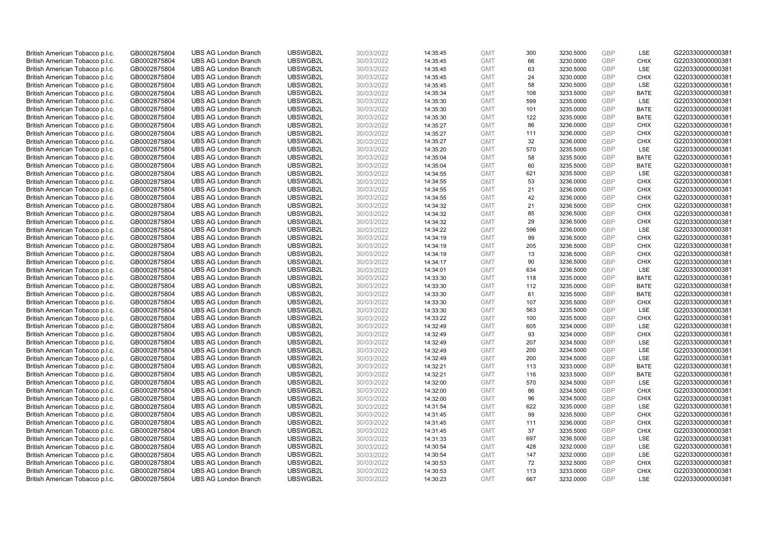|                                 |              |                             | UBSWGB2L | 30/03/2022 |          | <b>GMT</b> |     |           | <b>GBP</b> | LSE         | G220330000000381 |
|---------------------------------|--------------|-----------------------------|----------|------------|----------|------------|-----|-----------|------------|-------------|------------------|
| British American Tobacco p.l.c. | GB0002875804 | <b>UBS AG London Branch</b> |          |            | 14:35:45 |            | 300 | 3230.5000 |            |             |                  |
| British American Tobacco p.l.c. | GB0002875804 | <b>UBS AG London Branch</b> | UBSWGB2L | 30/03/2022 | 14:35:45 | <b>GMT</b> | 66  | 3230.0000 | <b>GBP</b> | <b>CHIX</b> | G220330000000381 |
| British American Tobacco p.l.c. | GB0002875804 | <b>UBS AG London Branch</b> | UBSWGB2L | 30/03/2022 | 14:35:45 | <b>GMT</b> | 63  | 3230.5000 | GBP        | LSE         | G220330000000381 |
| British American Tobacco p.l.c. | GB0002875804 | <b>UBS AG London Branch</b> | UBSWGB2L | 30/03/2022 | 14:35:45 | <b>GMT</b> | 24  | 3230.0000 | GBP        | <b>CHIX</b> | G220330000000381 |
| British American Tobacco p.l.c. | GB0002875804 | <b>UBS AG London Branch</b> | UBSWGB2L | 30/03/2022 | 14:35:45 | <b>GMT</b> | 58  | 3230.5000 | <b>GBP</b> | LSE         | G220330000000381 |
| British American Tobacco p.l.c. | GB0002875804 | <b>UBS AG London Branch</b> | UBSWGB2L | 30/03/2022 | 14:35:34 | <b>GMT</b> | 108 | 3233.5000 | <b>GBP</b> | <b>BATE</b> | G220330000000381 |
| British American Tobacco p.l.c. | GB0002875804 | <b>UBS AG London Branch</b> | UBSWGB2L | 30/03/2022 | 14:35:30 | <b>GMT</b> | 599 | 3235.0000 | GBP        | LSE         | G220330000000381 |
| British American Tobacco p.l.c. | GB0002875804 | <b>UBS AG London Branch</b> | UBSWGB2L | 30/03/2022 | 14:35:30 | <b>GMT</b> | 101 | 3235.0000 | <b>GBP</b> | <b>BATE</b> | G220330000000381 |
| British American Tobacco p.l.c. | GB0002875804 | <b>UBS AG London Branch</b> | UBSWGB2L | 30/03/2022 | 14:35:30 | <b>GMT</b> | 122 | 3235.0000 | GBP        | <b>BATE</b> | G220330000000381 |
| British American Tobacco p.l.c. | GB0002875804 | <b>UBS AG London Branch</b> | UBSWGB2L | 30/03/2022 | 14:35:27 | <b>GMT</b> | 86  | 3236.0000 | <b>GBP</b> | <b>CHIX</b> | G220330000000381 |
| British American Tobacco p.l.c. | GB0002875804 | <b>UBS AG London Branch</b> | UBSWGB2L | 30/03/2022 | 14:35:27 | <b>GMT</b> | 111 | 3236.0000 | GBP        | <b>CHIX</b> | G220330000000381 |
| British American Tobacco p.l.c. | GB0002875804 | <b>UBS AG London Branch</b> | UBSWGB2L | 30/03/2022 | 14:35:27 | <b>GMT</b> | 32  | 3236.0000 | <b>GBP</b> | <b>CHIX</b> | G220330000000381 |
| British American Tobacco p.l.c. | GB0002875804 | <b>UBS AG London Branch</b> | UBSWGB2L | 30/03/2022 | 14:35:20 | <b>GMT</b> | 570 | 3235.5000 | <b>GBP</b> | LSE         | G220330000000381 |
| British American Tobacco p.l.c. | GB0002875804 | <b>UBS AG London Branch</b> | UBSWGB2L | 30/03/2022 | 14:35:04 | <b>GMT</b> | 58  | 3235.5000 | <b>GBP</b> | <b>BATE</b> | G220330000000381 |
| British American Tobacco p.l.c. | GB0002875804 | <b>UBS AG London Branch</b> | UBSWGB2L | 30/03/2022 | 14:35:04 | <b>GMT</b> | 60  | 3235.5000 | <b>GBP</b> | <b>BATE</b> | G220330000000381 |
| British American Tobacco p.l.c. | GB0002875804 | <b>UBS AG London Branch</b> | UBSWGB2L | 30/03/2022 | 14:34:55 | <b>GMT</b> | 621 | 3235.5000 | GBP        | LSE         | G220330000000381 |
|                                 |              |                             | UBSWGB2L |            |          | <b>GMT</b> |     |           | <b>GBP</b> |             |                  |
| British American Tobacco p.l.c. | GB0002875804 | <b>UBS AG London Branch</b> |          | 30/03/2022 | 14:34:55 |            | 53  | 3236.0000 |            | <b>CHIX</b> | G220330000000381 |
| British American Tobacco p.l.c. | GB0002875804 | <b>UBS AG London Branch</b> | UBSWGB2L | 30/03/2022 | 14:34:55 | <b>GMT</b> | 21  | 3236.0000 | GBP        | <b>CHIX</b> | G220330000000381 |
| British American Tobacco p.l.c. | GB0002875804 | <b>UBS AG London Branch</b> | UBSWGB2L | 30/03/2022 | 14:34:55 | <b>GMT</b> | 42  | 3236.0000 | <b>GBP</b> | <b>CHIX</b> | G220330000000381 |
| British American Tobacco p.l.c. | GB0002875804 | <b>UBS AG London Branch</b> | UBSWGB2L | 30/03/2022 | 14:34:32 | <b>GMT</b> | 21  | 3236.5000 | GBP        | <b>CHIX</b> | G220330000000381 |
| British American Tobacco p.l.c. | GB0002875804 | <b>UBS AG London Branch</b> | UBSWGB2L | 30/03/2022 | 14:34:32 | <b>GMT</b> | 85  | 3236.5000 | <b>GBP</b> | <b>CHIX</b> | G220330000000381 |
| British American Tobacco p.l.c. | GB0002875804 | <b>UBS AG London Branch</b> | UBSWGB2L | 30/03/2022 | 14:34:32 | <b>GMT</b> | 29  | 3236.5000 | GBP        | <b>CHIX</b> | G220330000000381 |
| British American Tobacco p.l.c. | GB0002875804 | <b>UBS AG London Branch</b> | UBSWGB2L | 30/03/2022 | 14:34:22 | <b>GMT</b> | 596 | 3236.0000 | <b>GBP</b> | LSE         | G220330000000381 |
| British American Tobacco p.l.c. | GB0002875804 | <b>UBS AG London Branch</b> | UBSWGB2L | 30/03/2022 | 14:34:19 | <b>GMT</b> | 99  | 3236.5000 | GBP        | <b>CHIX</b> | G220330000000381 |
| British American Tobacco p.l.c. | GB0002875804 | <b>UBS AG London Branch</b> | UBSWGB2L | 30/03/2022 | 14:34:19 | <b>GMT</b> | 205 | 3236.5000 | <b>GBP</b> | <b>CHIX</b> | G220330000000381 |
| British American Tobacco p.l.c. | GB0002875804 | <b>UBS AG London Branch</b> | UBSWGB2L | 30/03/2022 | 14:34:19 | <b>GMT</b> | 13  | 3236.5000 | GBP        | <b>CHIX</b> | G220330000000381 |
| British American Tobacco p.l.c. | GB0002875804 | <b>UBS AG London Branch</b> | UBSWGB2L | 30/03/2022 | 14:34:17 | <b>GMT</b> | 90  | 3236.5000 | <b>GBP</b> | <b>CHIX</b> | G220330000000381 |
| British American Tobacco p.l.c. | GB0002875804 | <b>UBS AG London Branch</b> | UBSWGB2L | 30/03/2022 | 14:34:01 | <b>GMT</b> | 634 | 3236.5000 | <b>GBP</b> | <b>LSE</b>  | G220330000000381 |
| British American Tobacco p.l.c. | GB0002875804 | <b>UBS AG London Branch</b> | UBSWGB2L | 30/03/2022 | 14:33:30 | <b>GMT</b> | 118 | 3235.0000 | GBP        | <b>BATE</b> | G220330000000381 |
| British American Tobacco p.l.c. | GB0002875804 | <b>UBS AG London Branch</b> | UBSWGB2L | 30/03/2022 | 14:33:30 | <b>GMT</b> | 112 | 3235.0000 | GBP        | <b>BATE</b> | G220330000000381 |
| British American Tobacco p.l.c. | GB0002875804 | <b>UBS AG London Branch</b> | UBSWGB2L | 30/03/2022 | 14:33:30 | <b>GMT</b> | 61  | 3235.5000 | GBP        | <b>BATE</b> | G220330000000381 |
| British American Tobacco p.l.c. | GB0002875804 | <b>UBS AG London Branch</b> | UBSWGB2L | 30/03/2022 | 14:33:30 | <b>GMT</b> | 107 | 3235.5000 | GBP        | <b>CHIX</b> | G220330000000381 |
| British American Tobacco p.l.c. | GB0002875804 | <b>UBS AG London Branch</b> | UBSWGB2L | 30/03/2022 | 14:33:30 | <b>GMT</b> | 563 | 3235.5000 | GBP        | LSE         | G220330000000381 |
| British American Tobacco p.l.c. | GB0002875804 | <b>UBS AG London Branch</b> | UBSWGB2L | 30/03/2022 | 14:33:22 | <b>GMT</b> | 100 | 3235.5000 | GBP        | <b>CHIX</b> | G220330000000381 |
| British American Tobacco p.l.c. | GB0002875804 | <b>UBS AG London Branch</b> | UBSWGB2L | 30/03/2022 | 14:32:49 | <b>GMT</b> | 605 | 3234.0000 | GBP        | LSE         | G220330000000381 |
| British American Tobacco p.l.c. | GB0002875804 | <b>UBS AG London Branch</b> | UBSWGB2L | 30/03/2022 | 14:32:49 | <b>GMT</b> | 93  | 3234.0000 | <b>GBP</b> | <b>CHIX</b> | G220330000000381 |
| British American Tobacco p.l.c. | GB0002875804 | <b>UBS AG London Branch</b> | UBSWGB2L | 30/03/2022 | 14:32:49 | <b>GMT</b> | 207 | 3234.5000 | GBP        | <b>LSE</b>  | G220330000000381 |
| British American Tobacco p.l.c. | GB0002875804 | <b>UBS AG London Branch</b> | UBSWGB2L | 30/03/2022 | 14:32:49 | <b>GMT</b> | 200 | 3234.5000 | <b>GBP</b> | LSE         | G220330000000381 |
| British American Tobacco p.l.c. | GB0002875804 | <b>UBS AG London Branch</b> | UBSWGB2L | 30/03/2022 | 14:32:49 | <b>GMT</b> | 200 | 3234.5000 | GBP        | LSE         | G220330000000381 |
| British American Tobacco p.l.c. | GB0002875804 | <b>UBS AG London Branch</b> | UBSWGB2L | 30/03/2022 | 14:32:21 | <b>GMT</b> | 113 | 3233.0000 | <b>GBP</b> | <b>BATE</b> | G220330000000381 |
| British American Tobacco p.l.c. | GB0002875804 | <b>UBS AG London Branch</b> | UBSWGB2L | 30/03/2022 | 14:32:21 | <b>GMT</b> | 116 | 3233.5000 | <b>GBP</b> | <b>BATE</b> | G220330000000381 |
| British American Tobacco p.l.c. | GB0002875804 | <b>UBS AG London Branch</b> | UBSWGB2L | 30/03/2022 | 14:32:00 | <b>GMT</b> | 570 | 3234.5000 | GBP        | LSE         | G220330000000381 |
| British American Tobacco p.l.c. | GB0002875804 | <b>UBS AG London Branch</b> | UBSWGB2L | 30/03/2022 | 14:32:00 | <b>GMT</b> | 86  | 3234.5000 | <b>GBP</b> | <b>CHIX</b> | G220330000000381 |
| British American Tobacco p.l.c. |              | <b>UBS AG London Branch</b> | UBSWGB2L | 30/03/2022 | 14:32:00 | <b>GMT</b> | 96  | 3234.5000 | GBP        | <b>CHIX</b> | G220330000000381 |
|                                 | GB0002875804 |                             | UBSWGB2L |            |          |            |     |           | GBP        | <b>LSE</b>  |                  |
| British American Tobacco p.l.c. | GB0002875804 | <b>UBS AG London Branch</b> |          | 30/03/2022 | 14:31:54 | <b>GMT</b> | 622 | 3235.0000 |            |             | G220330000000381 |
| British American Tobacco p.l.c. | GB0002875804 | <b>UBS AG London Branch</b> | UBSWGB2L | 30/03/2022 | 14:31:45 | <b>GMT</b> | 99  | 3235.5000 | <b>GBP</b> | <b>CHIX</b> | G220330000000381 |
| British American Tobacco p.l.c. | GB0002875804 | <b>UBS AG London Branch</b> | UBSWGB2L | 30/03/2022 | 14:31:45 | <b>GMT</b> | 111 | 3236.0000 | <b>GBP</b> | <b>CHIX</b> | G220330000000381 |
| British American Tobacco p.l.c. | GB0002875804 | <b>UBS AG London Branch</b> | UBSWGB2L | 30/03/2022 | 14:31:45 | <b>GMT</b> | 37  | 3235.5000 | GBP        | <b>CHIX</b> | G220330000000381 |
| British American Tobacco p.l.c. | GB0002875804 | <b>UBS AG London Branch</b> | UBSWGB2L | 30/03/2022 | 14:31:33 | <b>GMT</b> | 697 | 3236.5000 | GBP        | LSE         | G220330000000381 |
| British American Tobacco p.l.c. | GB0002875804 | <b>UBS AG London Branch</b> | UBSWGB2L | 30/03/2022 | 14:30:54 | <b>GMT</b> | 428 | 3232.0000 | <b>GBP</b> | LSE         | G220330000000381 |
| British American Tobacco p.l.c. | GB0002875804 | <b>UBS AG London Branch</b> | UBSWGB2L | 30/03/2022 | 14:30:54 | <b>GMT</b> | 147 | 3232.0000 | GBP        | LSE         | G220330000000381 |
| British American Tobacco p.l.c. | GB0002875804 | <b>UBS AG London Branch</b> | UBSWGB2L | 30/03/2022 | 14:30:53 | <b>GMT</b> | 72  | 3232.5000 | <b>GBP</b> | <b>CHIX</b> | G220330000000381 |
| British American Tobacco p.l.c. | GB0002875804 | <b>UBS AG London Branch</b> | UBSWGB2L | 30/03/2022 | 14:30:53 | <b>GMT</b> | 113 | 3233.0000 | GBP        | <b>CHIX</b> | G220330000000381 |
| British American Tobacco p.l.c. | GB0002875804 | <b>UBS AG London Branch</b> | UBSWGB2L | 30/03/2022 | 14:30:23 | <b>GMT</b> | 667 | 3232.0000 | GBP        | <b>LSE</b>  | G220330000000381 |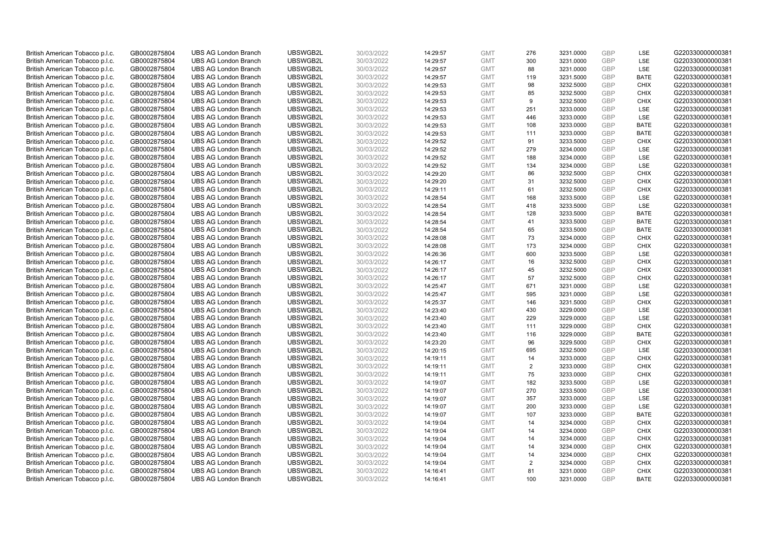| British American Tobacco p.l.c. | GB0002875804 | <b>UBS AG London Branch</b> | UBSWGB2L | 30/03/2022 | 14:29:57 | <b>GMT</b> | 276 | 3231.0000 | <b>GBP</b> | LSE         | G220330000000381 |
|---------------------------------|--------------|-----------------------------|----------|------------|----------|------------|-----|-----------|------------|-------------|------------------|
|                                 |              |                             |          |            |          |            |     |           |            |             |                  |
| British American Tobacco p.l.c. | GB0002875804 | <b>UBS AG London Branch</b> | UBSWGB2L | 30/03/2022 | 14:29:57 | <b>GMT</b> | 300 | 3231.0000 | GBP        | LSE         | G220330000000381 |
| British American Tobacco p.l.c. | GB0002875804 | <b>UBS AG London Branch</b> | UBSWGB2L | 30/03/2022 | 14:29:57 | <b>GMT</b> | 88  | 3231.0000 | GBP        | LSE         | G220330000000381 |
| British American Tobacco p.l.c. | GB0002875804 | <b>UBS AG London Branch</b> | UBSWGB2L | 30/03/2022 | 14:29:57 | <b>GMT</b> | 119 | 3231.5000 | GBP        | <b>BATE</b> | G220330000000381 |
| British American Tobacco p.l.c. | GB0002875804 | <b>UBS AG London Branch</b> | UBSWGB2L | 30/03/2022 | 14:29:53 | <b>GMT</b> | 98  | 3232.5000 | GBP        | <b>CHIX</b> | G220330000000381 |
| British American Tobacco p.l.c. | GB0002875804 | <b>UBS AG London Branch</b> | UBSWGB2L | 30/03/2022 | 14:29:53 | <b>GMT</b> | 85  | 3232.5000 | <b>GBP</b> | <b>CHIX</b> | G220330000000381 |
| British American Tobacco p.l.c. | GB0002875804 | <b>UBS AG London Branch</b> | UBSWGB2L | 30/03/2022 | 14:29:53 | <b>GMT</b> | 9   | 3232.5000 | GBP        | <b>CHIX</b> | G220330000000381 |
| British American Tobacco p.l.c. | GB0002875804 | <b>UBS AG London Branch</b> | UBSWGB2L | 30/03/2022 | 14:29:53 | <b>GMT</b> | 251 | 3233.0000 | <b>GBP</b> | <b>LSE</b>  | G220330000000381 |
| British American Tobacco p.l.c. | GB0002875804 | <b>UBS AG London Branch</b> | UBSWGB2L | 30/03/2022 | 14:29:53 | <b>GMT</b> | 446 | 3233.0000 | GBP        | LSE         | G220330000000381 |
| British American Tobacco p.l.c. | GB0002875804 | <b>UBS AG London Branch</b> | UBSWGB2L | 30/03/2022 | 14:29:53 | <b>GMT</b> | 108 | 3233.0000 | <b>GBP</b> | <b>BATE</b> | G220330000000381 |
| British American Tobacco p.l.c. | GB0002875804 | <b>UBS AG London Branch</b> | UBSWGB2L | 30/03/2022 | 14:29:53 | <b>GMT</b> | 111 | 3233.0000 | GBP        | <b>BATE</b> | G220330000000381 |
| British American Tobacco p.l.c. | GB0002875804 | <b>UBS AG London Branch</b> | UBSWGB2L | 30/03/2022 | 14:29:52 | <b>GMT</b> | 91  | 3233.5000 | <b>GBP</b> | <b>CHIX</b> | G220330000000381 |
| British American Tobacco p.l.c. | GB0002875804 | <b>UBS AG London Branch</b> | UBSWGB2L | 30/03/2022 | 14:29:52 | <b>GMT</b> | 279 | 3234.0000 | <b>GBP</b> | LSE         | G220330000000381 |
| British American Tobacco p.l.c. | GB0002875804 | <b>UBS AG London Branch</b> | UBSWGB2L | 30/03/2022 | 14:29:52 | <b>GMT</b> | 188 | 3234.0000 | <b>GBP</b> | <b>LSE</b>  | G220330000000381 |
| British American Tobacco p.l.c. | GB0002875804 | <b>UBS AG London Branch</b> | UBSWGB2L | 30/03/2022 | 14:29:52 | <b>GMT</b> | 134 | 3234.0000 | <b>GBP</b> | <b>LSE</b>  | G220330000000381 |
| British American Tobacco p.l.c. | GB0002875804 | <b>UBS AG London Branch</b> | UBSWGB2L | 30/03/2022 | 14:29:20 | <b>GMT</b> | 86  | 3232.5000 | GBP        | <b>CHIX</b> | G220330000000381 |
|                                 |              |                             | UBSWGB2L |            |          | <b>GMT</b> |     |           | GBP        | <b>CHIX</b> |                  |
| British American Tobacco p.l.c. | GB0002875804 | <b>UBS AG London Branch</b> |          | 30/03/2022 | 14:29:20 |            | 31  | 3232.5000 |            |             | G220330000000381 |
| British American Tobacco p.l.c. | GB0002875804 | <b>UBS AG London Branch</b> | UBSWGB2L | 30/03/2022 | 14:29:11 | <b>GMT</b> | 61  | 3232.5000 | <b>GBP</b> | <b>CHIX</b> | G220330000000381 |
| British American Tobacco p.l.c. | GB0002875804 | <b>UBS AG London Branch</b> | UBSWGB2L | 30/03/2022 | 14:28:54 | <b>GMT</b> | 168 | 3233.5000 | GBP        | <b>LSE</b>  | G220330000000381 |
| British American Tobacco p.l.c. | GB0002875804 | <b>UBS AG London Branch</b> | UBSWGB2L | 30/03/2022 | 14:28:54 | <b>GMT</b> | 418 | 3233.5000 | GBP        | LSE         | G220330000000381 |
| British American Tobacco p.l.c. | GB0002875804 | <b>UBS AG London Branch</b> | UBSWGB2L | 30/03/2022 | 14:28:54 | <b>GMT</b> | 128 | 3233.5000 | <b>GBP</b> | <b>BATE</b> | G220330000000381 |
| British American Tobacco p.l.c. | GB0002875804 | <b>UBS AG London Branch</b> | UBSWGB2L | 30/03/2022 | 14:28:54 | <b>GMT</b> | 41  | 3233.5000 | GBP        | <b>BATE</b> | G220330000000381 |
| British American Tobacco p.l.c. | GB0002875804 | <b>UBS AG London Branch</b> | UBSWGB2L | 30/03/2022 | 14:28:54 | <b>GMT</b> | 65  | 3233.5000 | <b>GBP</b> | <b>BATE</b> | G220330000000381 |
| British American Tobacco p.l.c. | GB0002875804 | <b>UBS AG London Branch</b> | UBSWGB2L | 30/03/2022 | 14:28:08 | <b>GMT</b> | 73  | 3234.0000 | GBP        | <b>CHIX</b> | G220330000000381 |
| British American Tobacco p.l.c. | GB0002875804 | <b>UBS AG London Branch</b> | UBSWGB2L | 30/03/2022 | 14:28:08 | <b>GMT</b> | 173 | 3234.0000 | <b>GBP</b> | <b>CHIX</b> | G220330000000381 |
| British American Tobacco p.l.c. | GB0002875804 | <b>UBS AG London Branch</b> | UBSWGB2L | 30/03/2022 | 14:26:36 | <b>GMT</b> | 600 | 3233.5000 | <b>GBP</b> | LSE         | G220330000000381 |
| British American Tobacco p.l.c. | GB0002875804 | <b>UBS AG London Branch</b> | UBSWGB2L | 30/03/2022 | 14:26:17 | <b>GMT</b> | 16  | 3232.5000 | <b>GBP</b> | <b>CHIX</b> | G220330000000381 |
| British American Tobacco p.l.c. | GB0002875804 | <b>UBS AG London Branch</b> | UBSWGB2L | 30/03/2022 | 14:26:17 | <b>GMT</b> | 45  | 3232.5000 | <b>GBP</b> | <b>CHIX</b> | G220330000000381 |
| British American Tobacco p.l.c. | GB0002875804 | <b>UBS AG London Branch</b> | UBSWGB2L | 30/03/2022 | 14:26:17 | <b>GMT</b> | 57  | 3232.5000 | GBP        | <b>CHIX</b> | G220330000000381 |
| British American Tobacco p.l.c. | GB0002875804 | <b>UBS AG London Branch</b> | UBSWGB2L | 30/03/2022 | 14:25:47 | <b>GMT</b> | 671 | 3231.0000 | GBP        | LSE         | G220330000000381 |
| British American Tobacco p.l.c. | GB0002875804 | <b>UBS AG London Branch</b> | UBSWGB2L | 30/03/2022 | 14:25:47 | <b>GMT</b> | 595 | 3231.0000 | GBP        | LSE         | G220330000000381 |
| British American Tobacco p.l.c. | GB0002875804 | <b>UBS AG London Branch</b> | UBSWGB2L | 30/03/2022 | 14:25:37 | <b>GMT</b> | 146 | 3231.5000 | GBP        | <b>CHIX</b> | G220330000000381 |
| British American Tobacco p.l.c. | GB0002875804 | <b>UBS AG London Branch</b> | UBSWGB2L | 30/03/2022 | 14:23:40 | <b>GMT</b> | 430 | 3229.0000 | GBP        | LSE         | G220330000000381 |
| British American Tobacco p.l.c. | GB0002875804 | <b>UBS AG London Branch</b> | UBSWGB2L | 30/03/2022 | 14:23:40 | <b>GMT</b> | 229 | 3229.0000 | GBP        | LSE         | G220330000000381 |
| British American Tobacco p.l.c. | GB0002875804 | <b>UBS AG London Branch</b> | UBSWGB2L | 30/03/2022 | 14:23:40 | <b>GMT</b> | 111 | 3229.0000 | GBP        | <b>CHIX</b> | G220330000000381 |
| British American Tobacco p.l.c. | GB0002875804 | <b>UBS AG London Branch</b> | UBSWGB2L | 30/03/2022 | 14:23:40 | <b>GMT</b> | 116 | 3229.0000 | <b>GBP</b> | <b>BATE</b> | G220330000000381 |
| British American Tobacco p.l.c. | GB0002875804 | <b>UBS AG London Branch</b> | UBSWGB2L | 30/03/2022 | 14:23:20 | <b>GMT</b> | 96  | 3229.5000 | GBP        | <b>CHIX</b> | G220330000000381 |
| British American Tobacco p.l.c. | GB0002875804 | <b>UBS AG London Branch</b> | UBSWGB2L | 30/03/2022 | 14:20:15 | <b>GMT</b> | 695 | 3232.5000 | <b>GBP</b> | LSE         | G220330000000381 |
| British American Tobacco p.l.c. | GB0002875804 | <b>UBS AG London Branch</b> | UBSWGB2L | 30/03/2022 | 14:19:11 | <b>GMT</b> | 14  | 3233.0000 | GBP        | <b>CHIX</b> | G220330000000381 |
|                                 |              |                             |          |            |          |            |     |           | <b>GBP</b> |             |                  |
| British American Tobacco p.l.c. | GB0002875804 | <b>UBS AG London Branch</b> | UBSWGB2L | 30/03/2022 | 14:19:11 | <b>GMT</b> | 2   | 3233.0000 |            | <b>CHIX</b> | G220330000000381 |
| British American Tobacco p.l.c. | GB0002875804 | <b>UBS AG London Branch</b> | UBSWGB2L | 30/03/2022 | 14:19:11 | <b>GMT</b> | 75  | 3233.0000 | <b>GBP</b> | <b>CHIX</b> | G220330000000381 |
| British American Tobacco p.l.c. | GB0002875804 | <b>UBS AG London Branch</b> | UBSWGB2L | 30/03/2022 | 14:19:07 | <b>GMT</b> | 182 | 3233.5000 | GBP        | <b>LSE</b>  | G220330000000381 |
| British American Tobacco p.l.c. | GB0002875804 | <b>UBS AG London Branch</b> | UBSWGB2L | 30/03/2022 | 14:19:07 | <b>GMT</b> | 270 | 3233.5000 | <b>GBP</b> | LSE         | G220330000000381 |
| British American Tobacco p.l.c. | GB0002875804 | <b>UBS AG London Branch</b> | UBSWGB2L | 30/03/2022 | 14:19:07 | <b>GMT</b> | 357 | 3233.0000 | GBP        | LSE         | G220330000000381 |
| British American Tobacco p.l.c. | GB0002875804 | <b>UBS AG London Branch</b> | UBSWGB2L | 30/03/2022 | 14:19:07 | <b>GMT</b> | 200 | 3233.0000 | GBP        | <b>LSE</b>  | G220330000000381 |
| British American Tobacco p.l.c. | GB0002875804 | <b>UBS AG London Branch</b> | UBSWGB2L | 30/03/2022 | 14:19:07 | <b>GMT</b> | 107 | 3233.0000 | GBP        | <b>BATE</b> | G220330000000381 |
| British American Tobacco p.l.c. | GB0002875804 | <b>UBS AG London Branch</b> | UBSWGB2L | 30/03/2022 | 14:19:04 | <b>GMT</b> | 14  | 3234.0000 | GBP        | <b>CHIX</b> | G220330000000381 |
| British American Tobacco p.l.c. | GB0002875804 | <b>UBS AG London Branch</b> | UBSWGB2L | 30/03/2022 | 14:19:04 | <b>GMT</b> | 14  | 3234.0000 | GBP        | <b>CHIX</b> | G220330000000381 |
| British American Tobacco p.l.c. | GB0002875804 | <b>UBS AG London Branch</b> | UBSWGB2L | 30/03/2022 | 14:19:04 | <b>GMT</b> | 14  | 3234.0000 | GBP        | <b>CHIX</b> | G220330000000381 |
| British American Tobacco p.l.c. | GB0002875804 | <b>UBS AG London Branch</b> | UBSWGB2L | 30/03/2022 | 14:19:04 | <b>GMT</b> | 14  | 3234.0000 | GBP        | <b>CHIX</b> | G220330000000381 |
| British American Tobacco p.l.c. | GB0002875804 | <b>UBS AG London Branch</b> | UBSWGB2L | 30/03/2022 | 14:19:04 | <b>GMT</b> | 14  | 3234.0000 | <b>GBP</b> | <b>CHIX</b> | G220330000000381 |
| British American Tobacco p.l.c. | GB0002875804 | <b>UBS AG London Branch</b> | UBSWGB2L | 30/03/2022 | 14:19:04 | <b>GMT</b> | 2   | 3234.0000 | <b>GBP</b> | <b>CHIX</b> | G220330000000381 |
| British American Tobacco p.l.c. | GB0002875804 | <b>UBS AG London Branch</b> | UBSWGB2L | 30/03/2022 | 14:16:41 | <b>GMT</b> | 81  | 3231.0000 | GBP        | <b>CHIX</b> | G220330000000381 |
| British American Tobacco p.l.c. | GB0002875804 | <b>UBS AG London Branch</b> | UBSWGB2L | 30/03/2022 | 14:16:41 | <b>GMT</b> | 100 | 3231.0000 | GBP        | <b>BATE</b> | G220330000000381 |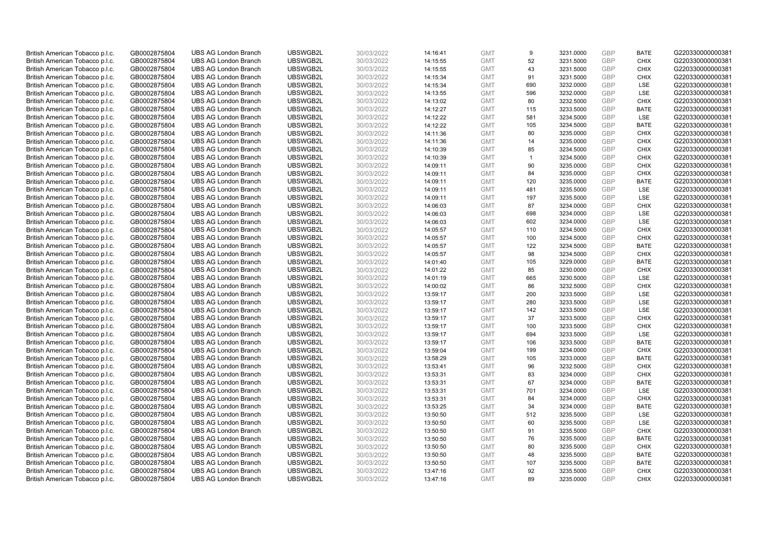| British American Tobacco p.l.c.                                    | GB0002875804                 | <b>UBS AG London Branch</b>                                | UBSWGB2L             | 30/03/2022               | 14:16:41             | <b>GMT</b>               | 9                    | 3231.0000              | <b>GBP</b>               | <b>BATE</b>                | G220330000000381                     |
|--------------------------------------------------------------------|------------------------------|------------------------------------------------------------|----------------------|--------------------------|----------------------|--------------------------|----------------------|------------------------|--------------------------|----------------------------|--------------------------------------|
| British American Tobacco p.l.c.                                    | GB0002875804                 | <b>UBS AG London Branch</b>                                | UBSWGB2L             | 30/03/2022               | 14:15:55             | <b>GMT</b>               | 52                   | 3231.5000              | GBP                      | <b>CHIX</b>                | G220330000000381                     |
| British American Tobacco p.l.c.                                    | GB0002875804                 | <b>UBS AG London Branch</b>                                | UBSWGB2L             | 30/03/2022               | 14:15:55             | <b>GMT</b>               | 43                   | 3231.5000              | <b>GBP</b>               | <b>CHIX</b>                | G220330000000381                     |
| British American Tobacco p.l.c.                                    | GB0002875804                 | <b>UBS AG London Branch</b>                                | UBSWGB2L             | 30/03/2022               | 14:15:34             | <b>GMT</b>               | 91                   | 3231.5000              | GBP                      | <b>CHIX</b>                | G220330000000381                     |
| British American Tobacco p.l.c.                                    | GB0002875804                 | <b>UBS AG London Branch</b>                                | UBSWGB2L             | 30/03/2022               | 14:15:34             | <b>GMT</b>               | 690                  | 3232.0000              | <b>GBP</b>               | <b>LSE</b>                 | G220330000000381                     |
| British American Tobacco p.l.c.                                    | GB0002875804                 | <b>UBS AG London Branch</b>                                | UBSWGB2L             | 30/03/2022               | 14:13:55             | <b>GMT</b>               | 596                  | 3232.0000              | GBP                      | LSE                        | G220330000000381                     |
| British American Tobacco p.l.c.                                    | GB0002875804                 | <b>UBS AG London Branch</b>                                | UBSWGB2L             | 30/03/2022               | 14:13:02             | <b>GMT</b>               | 80                   | 3232.5000              | <b>GBP</b>               | <b>CHIX</b>                | G220330000000381                     |
| British American Tobacco p.l.c.                                    | GB0002875804                 | <b>UBS AG London Branch</b>                                | UBSWGB2L             | 30/03/2022               | 14:12:27             | <b>GMT</b>               | 115                  | 3233.5000              | <b>GBP</b>               | <b>BATE</b>                | G220330000000381                     |
| British American Tobacco p.l.c.                                    | GB0002875804                 | <b>UBS AG London Branch</b>                                | UBSWGB2L             | 30/03/2022               | 14:12:22             | <b>GMT</b>               | 581                  | 3234.5000              | <b>GBP</b>               | <b>LSE</b>                 | G220330000000381                     |
| British American Tobacco p.l.c.                                    | GB0002875804                 | <b>UBS AG London Branch</b>                                | UBSWGB2L             | 30/03/2022               | 14:12:22             | <b>GMT</b>               | 105                  | 3234.5000              | <b>GBP</b>               | <b>BATE</b>                | G220330000000381                     |
| British American Tobacco p.l.c.                                    | GB0002875804                 | <b>UBS AG London Branch</b>                                | UBSWGB2L             | 30/03/2022               | 14:11:36             | <b>GMT</b>               | 80                   | 3235.0000              | <b>GBP</b>               | <b>CHIX</b>                | G220330000000381                     |
| British American Tobacco p.l.c.                                    | GB0002875804                 | <b>UBS AG London Branch</b>                                | UBSWGB2L             | 30/03/2022               | 14:11:36             | <b>GMT</b>               | 14                   | 3235.0000              | <b>GBP</b>               | <b>CHIX</b>                | G220330000000381                     |
| British American Tobacco p.l.c.                                    | GB0002875804                 | <b>UBS AG London Branch</b>                                | UBSWGB2L             | 30/03/2022               | 14:10:39             | <b>GMT</b>               | 85                   | 3234.5000              | GBP                      | <b>CHIX</b>                | G220330000000381                     |
| British American Tobacco p.l.c.                                    | GB0002875804                 | <b>UBS AG London Branch</b>                                | UBSWGB2L             | 30/03/2022               | 14:10:39             | <b>GMT</b>               | $\blacktriangleleft$ | 3234.5000              | <b>GBP</b>               | <b>CHIX</b>                | G220330000000381                     |
| British American Tobacco p.l.c.                                    | GB0002875804                 | <b>UBS AG London Branch</b>                                | UBSWGB2L             | 30/03/2022               | 14:09:11             | <b>GMT</b>               | 90                   | 3235.0000              | GBP                      | <b>CHIX</b>                | G220330000000381                     |
| British American Tobacco p.l.c.                                    | GB0002875804                 | <b>UBS AG London Branch</b>                                | UBSWGB2L             | 30/03/2022               | 14:09:11             | <b>GMT</b>               | 84                   | 3235.0000              | <b>GBP</b>               | <b>CHIX</b>                | G220330000000381                     |
| British American Tobacco p.l.c.                                    | GB0002875804                 | <b>UBS AG London Branch</b>                                | UBSWGB2L             | 30/03/2022               | 14:09:11             | <b>GMT</b>               | 120                  | 3235.0000              | GBP                      | <b>BATE</b>                | G220330000000381                     |
| British American Tobacco p.l.c.                                    | GB0002875804                 | <b>UBS AG London Branch</b>                                | UBSWGB2L             | 30/03/2022               | 14:09:11             | <b>GMT</b>               | 481                  | 3235.5000              | GBP                      | LSE                        | G220330000000381                     |
| British American Tobacco p.l.c.                                    | GB0002875804                 | <b>UBS AG London Branch</b>                                | UBSWGB2L             | 30/03/2022               | 14:09:11             | <b>GMT</b>               | 197                  | 3235.5000              | GBP                      | <b>LSE</b>                 | G220330000000381                     |
| British American Tobacco p.l.c.                                    | GB0002875804                 | <b>UBS AG London Branch</b>                                | UBSWGB2L             | 30/03/2022               | 14:06:03             | <b>GMT</b>               | 87                   | 3234.0000              | <b>GBP</b>               | <b>CHIX</b>                | G220330000000381                     |
| British American Tobacco p.l.c.                                    | GB0002875804                 | <b>UBS AG London Branch</b>                                | UBSWGB2L             | 30/03/2022               | 14:06:03             | <b>GMT</b>               | 698                  | 3234.0000              | GBP                      | LSE                        | G220330000000381                     |
| British American Tobacco p.l.c.                                    | GB0002875804                 | <b>UBS AG London Branch</b>                                | UBSWGB2L             | 30/03/2022               | 14:06:03             | <b>GMT</b>               | 602                  | 3234.0000              | GBP                      | <b>LSE</b>                 | G220330000000381                     |
| British American Tobacco p.l.c.                                    | GB0002875804                 | <b>UBS AG London Branch</b>                                | UBSWGB2L             | 30/03/2022               | 14:05:57             | <b>GMT</b>               | 110                  | 3234.5000              | GBP                      | <b>CHIX</b>                | G220330000000381                     |
| British American Tobacco p.l.c.                                    | GB0002875804                 | <b>UBS AG London Branch</b>                                | UBSWGB2L             | 30/03/2022               | 14:05:57             | <b>GMT</b>               | 100                  | 3234.5000              | <b>GBP</b>               | <b>CHIX</b>                | G220330000000381                     |
| British American Tobacco p.l.c.                                    | GB0002875804                 | <b>UBS AG London Branch</b>                                | UBSWGB2L             | 30/03/2022               | 14:05:57             | <b>GMT</b>               | 122                  | 3234.5000              | GBP                      | <b>BATE</b>                | G220330000000381                     |
| British American Tobacco p.l.c.                                    | GB0002875804                 | <b>UBS AG London Branch</b>                                | UBSWGB2L             | 30/03/2022               | 14:05:57             | <b>GMT</b>               | 98                   | 3234.5000              | GBP                      | <b>CHIX</b>                | G220330000000381                     |
| British American Tobacco p.l.c.                                    | GB0002875804                 | <b>UBS AG London Branch</b>                                | UBSWGB2L             | 30/03/2022               | 14:01:40             | <b>GMT</b>               | 105                  | 3229.0000              | <b>GBP</b>               | <b>BATE</b>                | G220330000000381                     |
| British American Tobacco p.l.c.                                    | GB0002875804                 | <b>UBS AG London Branch</b>                                | UBSWGB2L             | 30/03/2022               | 14:01:22             | <b>GMT</b>               | 85                   | 3230.0000              | <b>GBP</b>               | <b>CHIX</b>                | G220330000000381                     |
| British American Tobacco p.l.c.                                    | GB0002875804                 | <b>UBS AG London Branch</b>                                | UBSWGB2L             | 30/03/2022               | 14:01:19             | <b>GMT</b>               | 665                  | 3230.5000              | GBP                      | LSE                        | G220330000000381                     |
| British American Tobacco p.l.c.                                    | GB0002875804                 | <b>UBS AG London Branch</b>                                | UBSWGB2L             | 30/03/2022               | 14:00:02             | <b>GMT</b>               | 86                   | 3232.5000              | <b>GBP</b>               | <b>CHIX</b>                | G220330000000381                     |
| British American Tobacco p.l.c.                                    | GB0002875804                 | <b>UBS AG London Branch</b>                                | UBSWGB2L             | 30/03/2022               | 13:59:17             | <b>GMT</b>               | 200                  | 3233.5000              | <b>GBP</b>               | LSE                        | G220330000000381                     |
| British American Tobacco p.l.c.                                    | GB0002875804                 | <b>UBS AG London Branch</b>                                | UBSWGB2L             | 30/03/2022               | 13:59:17             | <b>GMT</b>               | 280                  | 3233.5000              | <b>GBP</b>               | <b>LSE</b>                 | G220330000000381                     |
| British American Tobacco p.l.c.                                    | GB0002875804                 | <b>UBS AG London Branch</b>                                | UBSWGB2L             | 30/03/2022               | 13:59:17             | <b>GMT</b>               | 142                  | 3233.5000              | GBP                      | <b>LSE</b>                 | G220330000000381                     |
| British American Tobacco p.l.c.                                    | GB0002875804                 | <b>UBS AG London Branch</b>                                | UBSWGB2L             | 30/03/2022               | 13:59:17             | <b>GMT</b>               | 37                   | 3233.5000              | <b>GBP</b>               | <b>CHIX</b>                | G220330000000381                     |
| British American Tobacco p.l.c.                                    | GB0002875804                 | <b>UBS AG London Branch</b>                                | UBSWGB2L             | 30/03/2022               | 13:59:17             | <b>GMT</b>               | 100                  | 3233.5000              | <b>GBP</b>               | <b>CHIX</b>                | G220330000000381                     |
| British American Tobacco p.l.c.                                    | GB0002875804                 | <b>UBS AG London Branch</b>                                | UBSWGB2L             | 30/03/2022               | 13:59:17             | <b>GMT</b>               | 694                  | 3233.5000              | <b>GBP</b>               | <b>LSE</b>                 | G220330000000381                     |
| British American Tobacco p.l.c.                                    | GB0002875804                 | <b>UBS AG London Branch</b>                                | UBSWGB2L             | 30/03/2022               | 13:59:17             | <b>GMT</b>               | 106                  | 3233.5000              | GBP                      | <b>BATE</b>                | G220330000000381                     |
| British American Tobacco p.l.c.                                    | GB0002875804                 | <b>UBS AG London Branch</b>                                | UBSWGB2L             | 30/03/2022               | 13:59:04             | <b>GMT</b>               | 199                  | 3234.0000              | <b>GBP</b>               | <b>CHIX</b>                | G220330000000381                     |
| British American Tobacco p.l.c.                                    | GB0002875804                 | <b>UBS AG London Branch</b>                                | UBSWGB2L             | 30/03/2022               | 13:58:29             | <b>GMT</b>               | 105                  | 3233.0000              | GBP                      | <b>BATE</b>                | G220330000000381                     |
| British American Tobacco p.l.c.                                    | GB0002875804                 | <b>UBS AG London Branch</b>                                | UBSWGB2L             | 30/03/2022               | 13:53:41             | <b>GMT</b>               | 96                   | 3232.5000              | <b>GBP</b>               | <b>CHIX</b>                | G220330000000381                     |
| British American Tobacco p.l.c.                                    | GB0002875804                 | <b>UBS AG London Branch</b>                                | UBSWGB2L             | 30/03/2022               | 13:53:31             | <b>GMT</b>               | 83                   | 3234.0000              | <b>GBP</b>               | <b>CHIX</b>                | G220330000000381                     |
| British American Tobacco p.l.c.                                    | GB0002875804                 | <b>UBS AG London Branch</b>                                | UBSWGB2L             | 30/03/2022               | 13:53:31             | <b>GMT</b>               | 67                   | 3234.0000              | GBP                      | <b>BATE</b>                | G220330000000381                     |
| British American Tobacco p.l.c.                                    | GB0002875804                 | <b>UBS AG London Branch</b>                                | UBSWGB2L             | 30/03/2022               | 13:53:31             | <b>GMT</b>               | 701                  | 3234.0000              | <b>GBP</b>               | <b>LSE</b>                 | G220330000000381                     |
| British American Tobacco p.l.c.                                    | GB0002875804                 | <b>UBS AG London Branch</b><br><b>UBS AG London Branch</b> | UBSWGB2L<br>UBSWGB2L | 30/03/2022               | 13:53:31             | <b>GMT</b>               | 84<br>34             | 3234.0000              | GBP                      | <b>CHIX</b><br><b>BATE</b> | G220330000000381                     |
| British American Tobacco p.l.c.                                    | GB0002875804<br>GB0002875804 | <b>UBS AG London Branch</b>                                | UBSWGB2L             | 30/03/2022<br>30/03/2022 | 13:53:25<br>13:50:50 | <b>GMT</b><br><b>GMT</b> | 512                  | 3234.0000<br>3235.5000 | <b>GBP</b><br>GBP        | LSE                        | G220330000000381<br>G220330000000381 |
| British American Tobacco p.l.c.                                    |                              |                                                            |                      |                          |                      |                          | 60                   |                        |                          |                            |                                      |
| British American Tobacco p.l.c.<br>British American Tobacco p.l.c. | GB0002875804<br>GB0002875804 | <b>UBS AG London Branch</b><br><b>UBS AG London Branch</b> | UBSWGB2L<br>UBSWGB2L | 30/03/2022<br>30/03/2022 | 13:50:50<br>13:50:50 | <b>GMT</b><br><b>GMT</b> | 91                   | 3235.5000<br>3235.5000 | <b>GBP</b><br><b>GBP</b> | LSE<br><b>CHIX</b>         | G220330000000381<br>G220330000000381 |
| British American Tobacco p.l.c.                                    | GB0002875804                 | <b>UBS AG London Branch</b>                                | UBSWGB2L             | 30/03/2022               | 13:50:50             | <b>GMT</b>               | 76                   | 3235.5000              | <b>GBP</b>               | <b>BATE</b>                | G220330000000381                     |
| British American Tobacco p.l.c.                                    | GB0002875804                 | <b>UBS AG London Branch</b>                                | UBSWGB2L             | 30/03/2022               | 13:50:50             | <b>GMT</b>               | 80                   | 3235.5000              | <b>GBP</b>               | <b>CHIX</b>                | G220330000000381                     |
| British American Tobacco p.l.c.                                    | GB0002875804                 | <b>UBS AG London Branch</b>                                | UBSWGB2L             | 30/03/2022               | 13:50:50             | <b>GMT</b>               | 48                   | 3235.5000              | <b>GBP</b>               | <b>BATE</b>                | G220330000000381                     |
| British American Tobacco p.l.c.                                    | GB0002875804                 | <b>UBS AG London Branch</b>                                | UBSWGB2L             | 30/03/2022               | 13:50:50             | <b>GMT</b>               | 107                  | 3235.5000              | <b>GBP</b>               | <b>BATE</b>                | G220330000000381                     |
| British American Tobacco p.l.c.                                    | GB0002875804                 | <b>UBS AG London Branch</b>                                | UBSWGB2L             | 30/03/2022               | 13:47:16             | <b>GMT</b>               | 92                   | 3235.5000              | GBP                      | <b>CHIX</b>                | G220330000000381                     |
| British American Tobacco p.l.c.                                    | GB0002875804                 | <b>UBS AG London Branch</b>                                | UBSWGB2L             | 30/03/2022               | 13:47:16             | <b>GMT</b>               | 89                   | 3235.0000              | GBP                      | <b>CHIX</b>                | G220330000000381                     |
|                                                                    |                              |                                                            |                      |                          |                      |                          |                      |                        |                          |                            |                                      |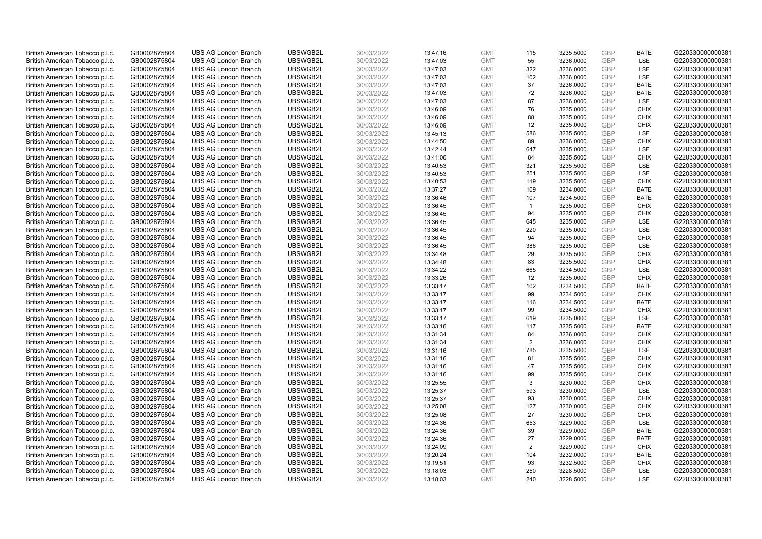| British American Tobacco p.l.c. | GB0002875804 | <b>UBS AG London Branch</b> | UBSWGB2L | 30/03/2022 | 13:47:16 | <b>GMT</b> | 115            | 3235.5000 | GBP        | <b>BATE</b> | G220330000000381 |
|---------------------------------|--------------|-----------------------------|----------|------------|----------|------------|----------------|-----------|------------|-------------|------------------|
| British American Tobacco p.l.c. | GB0002875804 | <b>UBS AG London Branch</b> | UBSWGB2L | 30/03/2022 | 13:47:03 | <b>GMT</b> | 55             | 3236.0000 | GBP        | LSE         | G220330000000381 |
| British American Tobacco p.l.c. | GB0002875804 | <b>UBS AG London Branch</b> | UBSWGB2L | 30/03/2022 | 13:47:03 | <b>GMT</b> | 322            | 3236.0000 | GBP        | LSE         | G220330000000381 |
| British American Tobacco p.l.c. | GB0002875804 | <b>UBS AG London Branch</b> | UBSWGB2L | 30/03/2022 | 13:47:03 | <b>GMT</b> | 102            | 3236.0000 | GBP        | LSE         | G220330000000381 |
| British American Tobacco p.l.c. | GB0002875804 | <b>UBS AG London Branch</b> | UBSWGB2L | 30/03/2022 | 13:47:03 | <b>GMT</b> | 37             | 3236.0000 | GBP        | <b>BATE</b> | G220330000000381 |
| British American Tobacco p.l.c. | GB0002875804 | <b>UBS AG London Branch</b> | UBSWGB2L | 30/03/2022 | 13:47:03 | <b>GMT</b> | 72             | 3236.0000 | GBP        | <b>BATE</b> | G220330000000381 |
| British American Tobacco p.l.c. | GB0002875804 | <b>UBS AG London Branch</b> | UBSWGB2L | 30/03/2022 | 13:47:03 | <b>GMT</b> | 87             | 3236.0000 | GBP        | LSE         | G220330000000381 |
| British American Tobacco p.l.c. | GB0002875804 | <b>UBS AG London Branch</b> | UBSWGB2L | 30/03/2022 | 13:46:09 | <b>GMT</b> | 76             | 3235.0000 | GBP        | <b>CHIX</b> | G220330000000381 |
| British American Tobacco p.l.c. | GB0002875804 | <b>UBS AG London Branch</b> | UBSWGB2L | 30/03/2022 | 13:46:09 | <b>GMT</b> | 88             | 3235.0000 | GBP        | <b>CHIX</b> | G220330000000381 |
| British American Tobacco p.l.c. | GB0002875804 | <b>UBS AG London Branch</b> | UBSWGB2L | 30/03/2022 | 13:46:09 | <b>GMT</b> | 12             | 3235.0000 | GBP        | <b>CHIX</b> | G220330000000381 |
| British American Tobacco p.l.c. | GB0002875804 | <b>UBS AG London Branch</b> | UBSWGB2L | 30/03/2022 | 13:45:13 | <b>GMT</b> | 586            | 3235.5000 | GBP        | <b>LSE</b>  | G220330000000381 |
| British American Tobacco p.l.c. | GB0002875804 | <b>UBS AG London Branch</b> | UBSWGB2L | 30/03/2022 | 13:44:50 | <b>GMT</b> | 89             | 3236.0000 | GBP        | <b>CHIX</b> | G220330000000381 |
| British American Tobacco p.l.c. | GB0002875804 | <b>UBS AG London Branch</b> | UBSWGB2L | 30/03/2022 | 13:42:44 | <b>GMT</b> | 647            | 3235.0000 | GBP        | LSE         | G220330000000381 |
| British American Tobacco p.l.c. | GB0002875804 | <b>UBS AG London Branch</b> | UBSWGB2L | 30/03/2022 | 13:41:06 | <b>GMT</b> | 84             | 3235.5000 | GBP        | <b>CHIX</b> | G220330000000381 |
| British American Tobacco p.l.c. | GB0002875804 | <b>UBS AG London Branch</b> | UBSWGB2L | 30/03/2022 | 13:40:53 | <b>GMT</b> | 321            | 3235.5000 | GBP        | LSE         | G220330000000381 |
| British American Tobacco p.l.c. | GB0002875804 | <b>UBS AG London Branch</b> | UBSWGB2L | 30/03/2022 | 13:40:53 | <b>GMT</b> | 251            | 3235.5000 | GBP        | LSE         | G220330000000381 |
| British American Tobacco p.l.c. | GB0002875804 | <b>UBS AG London Branch</b> | UBSWGB2L | 30/03/2022 | 13:40:53 | <b>GMT</b> | 119            | 3235.5000 | GBP        | <b>CHIX</b> | G220330000000381 |
| British American Tobacco p.l.c. | GB0002875804 | <b>UBS AG London Branch</b> | UBSWGB2L | 30/03/2022 | 13:37:27 | <b>GMT</b> | 109            | 3234.0000 | GBP        | <b>BATE</b> | G220330000000381 |
| British American Tobacco p.l.c. | GB0002875804 | <b>UBS AG London Branch</b> | UBSWGB2L | 30/03/2022 | 13:36:46 | <b>GMT</b> | 107            | 3234.5000 | GBP        | <b>BATE</b> | G220330000000381 |
| British American Tobacco p.l.c. | GB0002875804 | <b>UBS AG London Branch</b> | UBSWGB2L | 30/03/2022 | 13:36:45 | <b>GMT</b> | $\mathbf{1}$   | 3235.0000 | GBP        | <b>CHIX</b> | G220330000000381 |
| British American Tobacco p.l.c. | GB0002875804 | <b>UBS AG London Branch</b> | UBSWGB2L | 30/03/2022 | 13:36:45 | <b>GMT</b> | 94             | 3235.0000 | GBP        | <b>CHIX</b> | G220330000000381 |
| British American Tobacco p.l.c. | GB0002875804 | <b>UBS AG London Branch</b> | UBSWGB2L | 30/03/2022 | 13:36:45 | <b>GMT</b> | 645            | 3235.0000 | GBP        | LSE         | G220330000000381 |
| British American Tobacco p.l.c. | GB0002875804 | <b>UBS AG London Branch</b> | UBSWGB2L | 30/03/2022 | 13:36:45 | <b>GMT</b> | 220            | 3235.0000 | GBP        | <b>LSE</b>  | G220330000000381 |
| British American Tobacco p.l.c. | GB0002875804 | <b>UBS AG London Branch</b> | UBSWGB2L | 30/03/2022 | 13:36:45 | <b>GMT</b> | 94             | 3235.0000 | GBP        | <b>CHIX</b> | G220330000000381 |
| British American Tobacco p.l.c. | GB0002875804 | <b>UBS AG London Branch</b> | UBSWGB2L | 30/03/2022 | 13:36:45 | <b>GMT</b> | 386            | 3235.0000 | <b>GBP</b> | <b>LSE</b>  | G220330000000381 |
| British American Tobacco p.l.c. | GB0002875804 | <b>UBS AG London Branch</b> | UBSWGB2L | 30/03/2022 | 13:34:48 | <b>GMT</b> | 29             | 3235.5000 | GBP        | <b>CHIX</b> | G220330000000381 |
| British American Tobacco p.l.c. | GB0002875804 | <b>UBS AG London Branch</b> | UBSWGB2L | 30/03/2022 | 13:34:48 | <b>GMT</b> | 83             | 3235.5000 | GBP        | <b>CHIX</b> | G220330000000381 |
| British American Tobacco p.l.c. | GB0002875804 | <b>UBS AG London Branch</b> | UBSWGB2L | 30/03/2022 | 13:34:22 | <b>GMT</b> | 665            | 3234.5000 | GBP        | LSE         | G220330000000381 |
| British American Tobacco p.l.c. | GB0002875804 | <b>UBS AG London Branch</b> | UBSWGB2L | 30/03/2022 | 13:33:26 | <b>GMT</b> | 12             | 3235.0000 | GBP        | <b>CHIX</b> | G220330000000381 |
| British American Tobacco p.l.c. | GB0002875804 | <b>UBS AG London Branch</b> | UBSWGB2L | 30/03/2022 | 13:33:17 | <b>GMT</b> | 102            | 3234.5000 | GBP        | <b>BATE</b> | G220330000000381 |
| British American Tobacco p.l.c. | GB0002875804 | <b>UBS AG London Branch</b> | UBSWGB2L | 30/03/2022 | 13:33:17 | <b>GMT</b> | 99             | 3234.5000 | GBP        | <b>CHIX</b> | G220330000000381 |
| British American Tobacco p.l.c. | GB0002875804 | <b>UBS AG London Branch</b> | UBSWGB2L | 30/03/2022 | 13:33:17 | <b>GMT</b> | 116            | 3234.5000 | GBP        | <b>BATE</b> | G220330000000381 |
| British American Tobacco p.l.c. | GB0002875804 | <b>UBS AG London Branch</b> | UBSWGB2L | 30/03/2022 | 13:33:17 | <b>GMT</b> | 99             | 3234.5000 | GBP        | <b>CHIX</b> | G220330000000381 |
| British American Tobacco p.l.c. | GB0002875804 | <b>UBS AG London Branch</b> | UBSWGB2L | 30/03/2022 | 13:33:17 | <b>GMT</b> | 619            | 3235.0000 | GBP        | LSE         | G220330000000381 |
| British American Tobacco p.l.c. | GB0002875804 | <b>UBS AG London Branch</b> | UBSWGB2L | 30/03/2022 | 13:33:16 | <b>GMT</b> | 117            | 3235.5000 | GBP        | <b>BATE</b> | G220330000000381 |
| British American Tobacco p.l.c. | GB0002875804 | <b>UBS AG London Branch</b> | UBSWGB2L | 30/03/2022 | 13:31:34 | <b>GMT</b> | 84             | 3236.0000 | GBP        | <b>CHIX</b> | G220330000000381 |
| British American Tobacco p.l.c. | GB0002875804 | <b>UBS AG London Branch</b> | UBSWGB2L | 30/03/2022 | 13:31:34 | <b>GMT</b> | 2              | 3236.0000 | GBP        | <b>CHIX</b> | G220330000000381 |
| British American Tobacco p.l.c. | GB0002875804 | <b>UBS AG London Branch</b> | UBSWGB2L | 30/03/2022 | 13:31:16 | <b>GMT</b> | 785            | 3235.5000 | GBP        | LSE         | G220330000000381 |
| British American Tobacco p.l.c. | GB0002875804 | <b>UBS AG London Branch</b> | UBSWGB2L | 30/03/2022 | 13:31:16 | <b>GMT</b> | 81             | 3235.5000 | GBP        | <b>CHIX</b> | G220330000000381 |
| British American Tobacco p.l.c. | GB0002875804 | <b>UBS AG London Branch</b> | UBSWGB2L | 30/03/2022 | 13:31:16 | <b>GMT</b> | 47             | 3235.5000 | GBP        | <b>CHIX</b> | G220330000000381 |
| British American Tobacco p.l.c. | GB0002875804 | <b>UBS AG London Branch</b> | UBSWGB2L | 30/03/2022 | 13:31:16 | <b>GMT</b> | 99             | 3235.5000 | GBP        | <b>CHIX</b> | G220330000000381 |
| British American Tobacco p.l.c. | GB0002875804 | <b>UBS AG London Branch</b> | UBSWGB2L | 30/03/2022 | 13:25:55 | <b>GMT</b> | 3              | 3230.0000 | GBP        | <b>CHIX</b> | G220330000000381 |
| British American Tobacco p.l.c. | GB0002875804 | <b>UBS AG London Branch</b> | UBSWGB2L | 30/03/2022 | 13:25:37 | <b>GMT</b> | 593            | 3230.0000 | GBP        | <b>LSE</b>  | G220330000000381 |
| British American Tobacco p.l.c. | GB0002875804 | <b>UBS AG London Branch</b> | UBSWGB2L | 30/03/2022 | 13:25:37 | <b>GMT</b> | 93             | 3230.0000 | GBP        | <b>CHIX</b> | G220330000000381 |
| British American Tobacco p.l.c. | GB0002875804 | <b>UBS AG London Branch</b> | UBSWGB2L | 30/03/2022 | 13:25:08 | <b>GMT</b> | 127            | 3230.0000 | GBP        | <b>CHIX</b> | G220330000000381 |
| British American Tobacco p.l.c. | GB0002875804 | <b>UBS AG London Branch</b> | UBSWGB2L | 30/03/2022 | 13:25:08 | <b>GMT</b> | 27             | 3230.0000 | GBP        | <b>CHIX</b> | G220330000000381 |
| British American Tobacco p.l.c. | GB0002875804 | <b>UBS AG London Branch</b> | UBSWGB2L | 30/03/2022 | 13:24:36 | <b>GMT</b> | 653            | 3229.0000 | GBP        | <b>LSE</b>  | G220330000000381 |
| British American Tobacco p.l.c. | GB0002875804 | <b>UBS AG London Branch</b> | UBSWGB2L | 30/03/2022 | 13:24:36 | <b>GMT</b> | 39             | 3229.0000 | GBP        | <b>BATE</b> | G220330000000381 |
| British American Tobacco p.l.c. | GB0002875804 | <b>UBS AG London Branch</b> | UBSWGB2L | 30/03/2022 | 13:24:36 | <b>GMT</b> | 27             | 3229.0000 | GBP        | <b>BATE</b> | G220330000000381 |
| British American Tobacco p.l.c. | GB0002875804 | <b>UBS AG London Branch</b> | UBSWGB2L | 30/03/2022 | 13:24:09 | <b>GMT</b> | $\overline{2}$ | 3229.0000 | GBP        | <b>CHIX</b> | G220330000000381 |
| British American Tobacco p.l.c. | GB0002875804 | <b>UBS AG London Branch</b> | UBSWGB2L | 30/03/2022 | 13:20:24 | <b>GMT</b> | 104            | 3232.0000 | GBP        | <b>BATE</b> | G220330000000381 |
| British American Tobacco p.l.c. | GB0002875804 | <b>UBS AG London Branch</b> | UBSWGB2L | 30/03/2022 | 13:19:51 | <b>GMT</b> | 93             | 3232.5000 | <b>GBP</b> | <b>CHIX</b> | G220330000000381 |
| British American Tobacco p.l.c. | GB0002875804 | <b>UBS AG London Branch</b> | UBSWGB2L | 30/03/2022 | 13:18:03 | <b>GMT</b> | 250            | 3228.5000 | GBP        | LSE         | G220330000000381 |
| British American Tobacco p.l.c. | GB0002875804 | <b>UBS AG London Branch</b> | UBSWGB2L | 30/03/2022 | 13:18:03 | <b>GMT</b> | 240            | 3228.5000 | <b>GBP</b> | <b>LSE</b>  | G220330000000381 |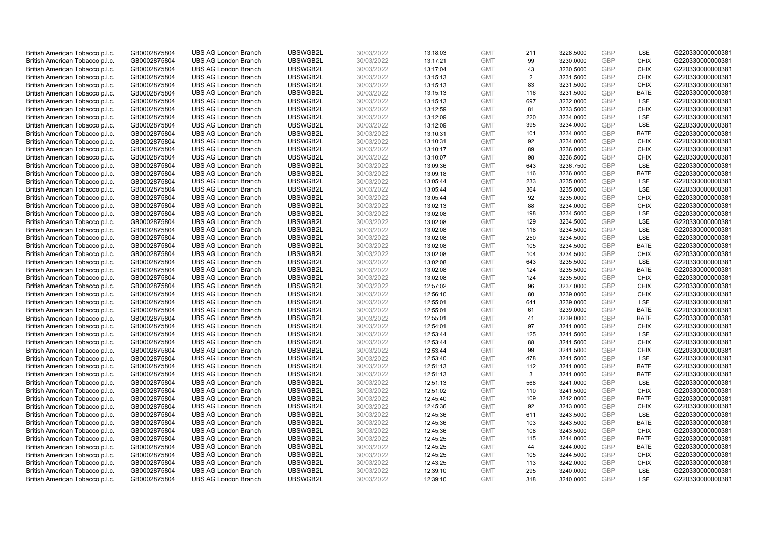| British American Tobacco p.l.c. | GB0002875804 | <b>UBS AG London Branch</b> | UBSWGB2L | 30/03/2022 | 13:18:03 | <b>GMT</b> | 211            | 3228.5000 | <b>GBP</b> | LSE         | G220330000000381 |
|---------------------------------|--------------|-----------------------------|----------|------------|----------|------------|----------------|-----------|------------|-------------|------------------|
| British American Tobacco p.l.c. | GB0002875804 | <b>UBS AG London Branch</b> | UBSWGB2L | 30/03/2022 | 13:17:21 | <b>GMT</b> | 99             | 3230.0000 | <b>GBP</b> | <b>CHIX</b> | G220330000000381 |
| British American Tobacco p.l.c. | GB0002875804 | <b>UBS AG London Branch</b> | UBSWGB2L | 30/03/2022 | 13:17:04 | <b>GMT</b> | 43             | 3230.5000 | <b>GBP</b> | <b>CHIX</b> | G220330000000381 |
| British American Tobacco p.l.c. | GB0002875804 | <b>UBS AG London Branch</b> | UBSWGB2L | 30/03/2022 | 13:15:13 | <b>GMT</b> | $\overline{2}$ | 3231.5000 | <b>GBP</b> | <b>CHIX</b> | G220330000000381 |
| British American Tobacco p.l.c. | GB0002875804 | <b>UBS AG London Branch</b> | UBSWGB2L | 30/03/2022 | 13:15:13 | <b>GMT</b> | 83             | 3231.5000 | <b>GBP</b> | <b>CHIX</b> | G220330000000381 |
| British American Tobacco p.l.c. | GB0002875804 | <b>UBS AG London Branch</b> | UBSWGB2L | 30/03/2022 | 13:15:13 | <b>GMT</b> | 116            | 3231.5000 | <b>GBP</b> | <b>BATE</b> | G220330000000381 |
| British American Tobacco p.l.c. | GB0002875804 | <b>UBS AG London Branch</b> | UBSWGB2L | 30/03/2022 | 13:15:13 | <b>GMT</b> | 697            | 3232.0000 | <b>GBP</b> | LSE         | G220330000000381 |
| British American Tobacco p.l.c. | GB0002875804 | <b>UBS AG London Branch</b> | UBSWGB2L | 30/03/2022 | 13:12:59 | <b>GMT</b> | 81             | 3233.5000 | <b>GBP</b> | <b>CHIX</b> | G220330000000381 |
| British American Tobacco p.l.c. | GB0002875804 | <b>UBS AG London Branch</b> | UBSWGB2L | 30/03/2022 | 13:12:09 | <b>GMT</b> | 220            | 3234.0000 | <b>GBP</b> | <b>LSE</b>  | G220330000000381 |
| British American Tobacco p.l.c. | GB0002875804 | <b>UBS AG London Branch</b> | UBSWGB2L | 30/03/2022 | 13:12:09 | <b>GMT</b> | 395            | 3234.0000 | <b>GBP</b> | <b>LSE</b>  | G220330000000381 |
| British American Tobacco p.l.c. | GB0002875804 | <b>UBS AG London Branch</b> | UBSWGB2L | 30/03/2022 | 13:10:31 | <b>GMT</b> | 101            | 3234.0000 | GBP        | <b>BATE</b> | G220330000000381 |
| British American Tobacco p.l.c. | GB0002875804 | <b>UBS AG London Branch</b> | UBSWGB2L | 30/03/2022 | 13:10:31 | <b>GMT</b> | 92             | 3234.0000 | <b>GBP</b> | <b>CHIX</b> | G220330000000381 |
| British American Tobacco p.l.c. | GB0002875804 | <b>UBS AG London Branch</b> | UBSWGB2L | 30/03/2022 | 13:10:17 | <b>GMT</b> | 89             | 3236.0000 | <b>GBP</b> | <b>CHIX</b> | G220330000000381 |
| British American Tobacco p.l.c. | GB0002875804 | <b>UBS AG London Branch</b> | UBSWGB2L | 30/03/2022 | 13:10:07 | <b>GMT</b> | 98             | 3236.5000 | <b>GBP</b> | <b>CHIX</b> | G220330000000381 |
| British American Tobacco p.l.c. | GB0002875804 | <b>UBS AG London Branch</b> | UBSWGB2L | 30/03/2022 | 13:09:36 | <b>GMT</b> | 643            | 3236.7500 | <b>GBP</b> | LSE         | G220330000000381 |
| British American Tobacco p.l.c. | GB0002875804 | <b>UBS AG London Branch</b> | UBSWGB2L | 30/03/2022 | 13:09:18 | <b>GMT</b> | 116            | 3236.0000 | <b>GBP</b> | <b>BATE</b> | G220330000000381 |
| British American Tobacco p.l.c. | GB0002875804 | <b>UBS AG London Branch</b> | UBSWGB2L | 30/03/2022 | 13:05:44 | <b>GMT</b> | 233            | 3235.0000 | <b>GBP</b> | <b>LSE</b>  | G220330000000381 |
| British American Tobacco p.l.c. | GB0002875804 | <b>UBS AG London Branch</b> | UBSWGB2L | 30/03/2022 | 13:05:44 | <b>GMT</b> | 364            | 3235.0000 | GBP        | LSE         | G220330000000381 |
| British American Tobacco p.l.c. | GB0002875804 | <b>UBS AG London Branch</b> | UBSWGB2L | 30/03/2022 | 13:05:44 | <b>GMT</b> | 92             | 3235.0000 | <b>GBP</b> | <b>CHIX</b> | G220330000000381 |
| British American Tobacco p.l.c. | GB0002875804 | <b>UBS AG London Branch</b> | UBSWGB2L | 30/03/2022 | 13:02:13 | <b>GMT</b> | 88             | 3234.0000 | <b>GBP</b> | <b>CHIX</b> | G220330000000381 |
| British American Tobacco p.l.c. | GB0002875804 | <b>UBS AG London Branch</b> | UBSWGB2L | 30/03/2022 | 13:02:08 | <b>GMT</b> | 198            | 3234.5000 | <b>GBP</b> | LSE         | G220330000000381 |
| British American Tobacco p.l.c. | GB0002875804 | <b>UBS AG London Branch</b> | UBSWGB2L | 30/03/2022 | 13:02:08 | <b>GMT</b> | 129            | 3234.5000 | GBP        | <b>LSE</b>  | G220330000000381 |
| British American Tobacco p.l.c. | GB0002875804 | <b>UBS AG London Branch</b> | UBSWGB2L | 30/03/2022 | 13:02:08 | <b>GMT</b> | 118            | 3234.5000 | <b>GBP</b> | LSE         | G220330000000381 |
| British American Tobacco p.l.c. | GB0002875804 | <b>UBS AG London Branch</b> | UBSWGB2L | 30/03/2022 | 13:02:08 | <b>GMT</b> | 250            | 3234.5000 | <b>GBP</b> | LSE         | G220330000000381 |
| British American Tobacco p.l.c. | GB0002875804 | <b>UBS AG London Branch</b> | UBSWGB2L | 30/03/2022 | 13:02:08 | <b>GMT</b> | 105            | 3234.5000 | <b>GBP</b> | <b>BATE</b> | G220330000000381 |
| British American Tobacco p.l.c. | GB0002875804 | <b>UBS AG London Branch</b> | UBSWGB2L | 30/03/2022 | 13:02:08 | <b>GMT</b> | 104            | 3234.5000 | GBP        | <b>CHIX</b> | G220330000000381 |
| British American Tobacco p.l.c. | GB0002875804 | <b>UBS AG London Branch</b> | UBSWGB2L | 30/03/2022 | 13:02:08 | <b>GMT</b> | 643            | 3235.5000 | <b>GBP</b> | LSE         | G220330000000381 |
| British American Tobacco p.l.c. | GB0002875804 | <b>UBS AG London Branch</b> | UBSWGB2L | 30/03/2022 | 13:02:08 | <b>GMT</b> | 124            | 3235.5000 | <b>GBP</b> | <b>BATE</b> | G220330000000381 |
| British American Tobacco p.l.c. | GB0002875804 | <b>UBS AG London Branch</b> | UBSWGB2L | 30/03/2022 | 13:02:08 | <b>GMT</b> | 124            | 3235.5000 | <b>GBP</b> | <b>CHIX</b> | G220330000000381 |
| British American Tobacco p.l.c. | GB0002875804 | <b>UBS AG London Branch</b> | UBSWGB2L | 30/03/2022 | 12:57:02 | <b>GMT</b> | 96             | 3237.0000 | GBP        | <b>CHIX</b> | G220330000000381 |
| British American Tobacco p.l.c. | GB0002875804 | <b>UBS AG London Branch</b> | UBSWGB2L | 30/03/2022 | 12:56:10 | <b>GMT</b> | 80             | 3239.0000 | <b>GBP</b> | <b>CHIX</b> | G220330000000381 |
| British American Tobacco p.l.c. | GB0002875804 | <b>UBS AG London Branch</b> | UBSWGB2L | 30/03/2022 | 12:55:01 | <b>GMT</b> | 641            | 3239.0000 | <b>GBP</b> | <b>LSE</b>  | G220330000000381 |
| British American Tobacco p.l.c. | GB0002875804 | <b>UBS AG London Branch</b> | UBSWGB2L | 30/03/2022 | 12:55:01 | <b>GMT</b> | 61             | 3239.0000 | <b>GBP</b> | <b>BATE</b> | G220330000000381 |
| British American Tobacco p.l.c. | GB0002875804 | <b>UBS AG London Branch</b> | UBSWGB2L | 30/03/2022 | 12:55:01 | <b>GMT</b> | 41             | 3239.0000 | <b>GBP</b> | <b>BATE</b> | G220330000000381 |
| British American Tobacco p.l.c. | GB0002875804 | <b>UBS AG London Branch</b> | UBSWGB2L | 30/03/2022 | 12:54:01 | <b>GMT</b> | 97             | 3241.0000 | <b>GBP</b> | <b>CHIX</b> | G220330000000381 |
| British American Tobacco p.l.c. | GB0002875804 | <b>UBS AG London Branch</b> | UBSWGB2L | 30/03/2022 | 12:53:44 | <b>GMT</b> | 125            | 3241.5000 | <b>GBP</b> | <b>LSE</b>  | G220330000000381 |
| British American Tobacco p.l.c. | GB0002875804 | <b>UBS AG London Branch</b> | UBSWGB2L | 30/03/2022 | 12:53:44 | <b>GMT</b> | 88             | 3241.5000 | <b>GBP</b> | <b>CHIX</b> | G220330000000381 |
| British American Tobacco p.l.c. | GB0002875804 | <b>UBS AG London Branch</b> | UBSWGB2L | 30/03/2022 | 12:53:44 | <b>GMT</b> | 99             | 3241.5000 | <b>GBP</b> | <b>CHIX</b> | G220330000000381 |
| British American Tobacco p.l.c. | GB0002875804 | <b>UBS AG London Branch</b> | UBSWGB2L | 30/03/2022 | 12:53:40 | <b>GMT</b> | 478            | 3241.5000 | <b>GBP</b> | <b>LSE</b>  | G220330000000381 |
| British American Tobacco p.l.c. | GB0002875804 | <b>UBS AG London Branch</b> | UBSWGB2L | 30/03/2022 | 12:51:13 | <b>GMT</b> | 112            | 3241.0000 | <b>GBP</b> | <b>BATE</b> | G220330000000381 |
| British American Tobacco p.l.c. | GB0002875804 | <b>UBS AG London Branch</b> | UBSWGB2L | 30/03/2022 | 12:51:13 | <b>GMT</b> | 3              | 3241.0000 | <b>GBP</b> | <b>BATE</b> | G220330000000381 |
| British American Tobacco p.l.c. | GB0002875804 | <b>UBS AG London Branch</b> | UBSWGB2L | 30/03/2022 | 12:51:13 | <b>GMT</b> | 568            | 3241.0000 | <b>GBP</b> | LSE         | G220330000000381 |
| British American Tobacco p.l.c. | GB0002875804 | <b>UBS AG London Branch</b> | UBSWGB2L | 30/03/2022 | 12:51:02 | <b>GMT</b> | 110            | 3241.5000 | <b>GBP</b> | <b>CHIX</b> | G220330000000381 |
| British American Tobacco p.l.c. | GB0002875804 | <b>UBS AG London Branch</b> | UBSWGB2L | 30/03/2022 | 12:45:40 | <b>GMT</b> | 109            | 3242.0000 | GBP        | <b>BATE</b> | G220330000000381 |
| British American Tobacco p.l.c. | GB0002875804 | <b>UBS AG London Branch</b> | UBSWGB2L | 30/03/2022 | 12:45:36 | <b>GMT</b> | 92             | 3243.0000 | <b>GBP</b> | <b>CHIX</b> | G220330000000381 |
| British American Tobacco p.l.c. | GB0002875804 | <b>UBS AG London Branch</b> | UBSWGB2L | 30/03/2022 | 12:45:36 | <b>GMT</b> | 611            | 3243.5000 | <b>GBP</b> | LSE         | G220330000000381 |
| British American Tobacco p.l.c. | GB0002875804 | <b>UBS AG London Branch</b> | UBSWGB2L | 30/03/2022 | 12:45:36 | <b>GMT</b> | 103            | 3243.5000 | <b>GBP</b> | <b>BATE</b> | G220330000000381 |
| British American Tobacco p.l.c. | GB0002875804 | <b>UBS AG London Branch</b> | UBSWGB2L | 30/03/2022 | 12:45:36 | <b>GMT</b> | 108            | 3243.5000 | <b>GBP</b> | <b>CHIX</b> | G220330000000381 |
| British American Tobacco p.l.c. | GB0002875804 | <b>UBS AG London Branch</b> | UBSWGB2L | 30/03/2022 | 12:45:25 | <b>GMT</b> | 115            | 3244.0000 | <b>GBP</b> | <b>BATE</b> | G220330000000381 |
| British American Tobacco p.l.c. | GB0002875804 | <b>UBS AG London Branch</b> | UBSWGB2L | 30/03/2022 | 12:45:25 | <b>GMT</b> | 44             | 3244.0000 | <b>GBP</b> | <b>BATE</b> | G220330000000381 |
| British American Tobacco p.l.c. | GB0002875804 | <b>UBS AG London Branch</b> | UBSWGB2L | 30/03/2022 | 12:45:25 | <b>GMT</b> | 105            | 3244.5000 | GBP        | <b>CHIX</b> | G220330000000381 |
| British American Tobacco p.l.c. | GB0002875804 | <b>UBS AG London Branch</b> | UBSWGB2L | 30/03/2022 | 12:43:25 | <b>GMT</b> | 113            | 3242.0000 | <b>GBP</b> | <b>CHIX</b> | G220330000000381 |
| British American Tobacco p.l.c. | GB0002875804 | <b>UBS AG London Branch</b> | UBSWGB2L | 30/03/2022 | 12:39:10 | <b>GMT</b> | 295            | 3240.0000 | GBP        | <b>LSE</b>  | G220330000000381 |
| British American Tobacco p.l.c. | GB0002875804 | <b>UBS AG London Branch</b> | UBSWGB2L | 30/03/2022 | 12:39:10 | <b>GMT</b> | 318            | 3240.0000 | GBP        | <b>LSE</b>  | G220330000000381 |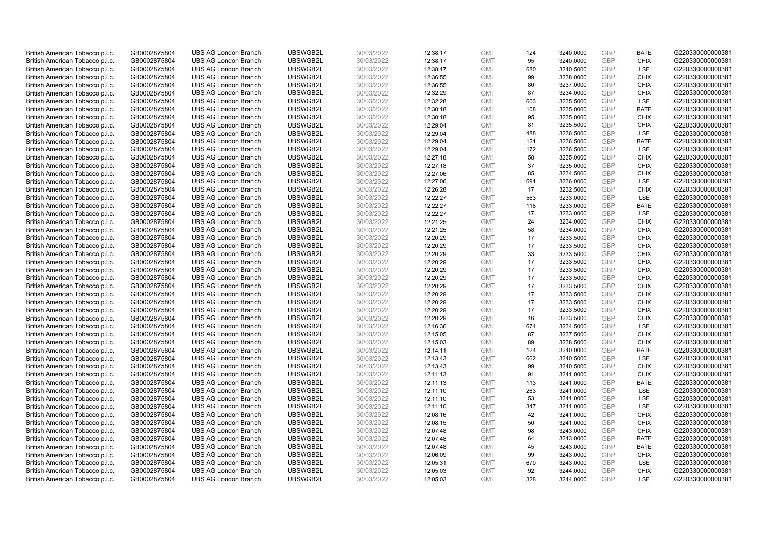| British American Tobacco p.l.c. | GB0002875804                 | <b>UBS AG London Branch</b> | UBSWGB2L | 30/03/2022               |          | <b>GMT</b> | 124 | 3240.0000 | <b>GBP</b> | <b>BATE</b> | G220330000000381 |
|---------------------------------|------------------------------|-----------------------------|----------|--------------------------|----------|------------|-----|-----------|------------|-------------|------------------|
|                                 |                              |                             |          |                          | 12:38:17 |            | 95  |           | <b>GBP</b> | <b>CHIX</b> |                  |
| British American Tobacco p.l.c. | GB0002875804                 | <b>UBS AG London Branch</b> | UBSWGB2L | 30/03/2022               | 12:38:17 | <b>GMT</b> |     | 3240.0000 |            |             | G220330000000381 |
| British American Tobacco p.l.c. | GB0002875804                 | <b>UBS AG London Branch</b> | UBSWGB2L | 30/03/2022               | 12:38:17 | <b>GMT</b> | 680 | 3240.5000 | GBP        | LSE         | G220330000000381 |
| British American Tobacco p.l.c. | GB0002875804                 | <b>UBS AG London Branch</b> | UBSWGB2L | 30/03/2022               | 12:36:55 | <b>GMT</b> | 99  | 3238.0000 | GBP        | <b>CHIX</b> | G220330000000381 |
| British American Tobacco p.l.c. | GB0002875804                 | <b>UBS AG London Branch</b> | UBSWGB2L | 30/03/2022               | 12:36:55 | <b>GMT</b> | 80  | 3237.0000 | <b>GBP</b> | <b>CHIX</b> | G220330000000381 |
| British American Tobacco p.l.c. | GB0002875804                 | <b>UBS AG London Branch</b> | UBSWGB2L | 30/03/2022               | 12:32:29 | <b>GMT</b> | 87  | 3234.0000 | <b>GBP</b> | <b>CHIX</b> | G220330000000381 |
| British American Tobacco p.l.c. | GB0002875804                 | <b>UBS AG London Branch</b> | UBSWGB2L | 30/03/2022               | 12:32:28 | <b>GMT</b> | 603 | 3235.5000 | GBP        | LSE         | G220330000000381 |
| British American Tobacco p.l.c. | GB0002875804                 | <b>UBS AG London Branch</b> | UBSWGB2L | 30/03/2022               | 12:30:18 | <b>GMT</b> | 108 | 3235.0000 | <b>GBP</b> | <b>BATE</b> | G220330000000381 |
| British American Tobacco p.l.c. | GB0002875804                 | <b>UBS AG London Branch</b> | UBSWGB2L | 30/03/2022               | 12:30:18 | <b>GMT</b> | 95  | 3235.0000 | GBP        | <b>CHIX</b> | G220330000000381 |
| British American Tobacco p.l.c. | GB0002875804                 | <b>UBS AG London Branch</b> | UBSWGB2L | 30/03/2022               | 12:29:04 | <b>GMT</b> | 81  | 3235.5000 | <b>GBP</b> | <b>CHIX</b> | G220330000000381 |
| British American Tobacco p.l.c. | GB0002875804                 | <b>UBS AG London Branch</b> | UBSWGB2L | 30/03/2022               | 12:29:04 | <b>GMT</b> | 488 | 3236.5000 | GBP        | <b>LSE</b>  | G220330000000381 |
| British American Tobacco p.l.c. | GB0002875804                 | <b>UBS AG London Branch</b> | UBSWGB2L | 30/03/2022               | 12:29:04 | <b>GMT</b> | 121 | 3236.5000 | <b>GBP</b> | <b>BATE</b> | G220330000000381 |
| British American Tobacco p.l.c. | GB0002875804                 | <b>UBS AG London Branch</b> | UBSWGB2L | 30/03/2022               | 12:29:04 | <b>GMT</b> | 172 | 3236.5000 | <b>GBP</b> | <b>LSE</b>  | G220330000000381 |
| British American Tobacco p.l.c. | GB0002875804                 | <b>UBS AG London Branch</b> | UBSWGB2L | 30/03/2022               | 12:27:18 | <b>GMT</b> | 58  | 3235.0000 | <b>GBP</b> | <b>CHIX</b> | G220330000000381 |
| British American Tobacco p.l.c. | GB0002875804                 | <b>UBS AG London Branch</b> | UBSWGB2L | 30/03/2022               | 12:27:18 | <b>GMT</b> | 37  | 3235.0000 | GBP        | <b>CHIX</b> | G220330000000381 |
| British American Tobacco p.l.c. | GB0002875804                 | <b>UBS AG London Branch</b> | UBSWGB2L | 30/03/2022               | 12:27:06 | <b>GMT</b> | 85  | 3234.5000 | GBP        | <b>CHIX</b> | G220330000000381 |
| British American Tobacco p.l.c. | GB0002875804                 | <b>UBS AG London Branch</b> | UBSWGB2L | 30/03/2022               | 12:27:06 | <b>GMT</b> | 691 | 3236.0000 | GBP        | <b>LSE</b>  | G220330000000381 |
| British American Tobacco p.l.c. | GB0002875804                 | <b>UBS AG London Branch</b> | UBSWGB2L | 30/03/2022               | 12:26:28 | <b>GMT</b> | 17  | 3232.5000 | <b>GBP</b> | <b>CHIX</b> | G220330000000381 |
| British American Tobacco p.l.c. | GB0002875804                 | <b>UBS AG London Branch</b> | UBSWGB2L | 30/03/2022               | 12:22:27 | <b>GMT</b> | 563 | 3233.0000 | <b>GBP</b> | <b>LSE</b>  | G220330000000381 |
| British American Tobacco p.l.c. | GB0002875804                 | <b>UBS AG London Branch</b> | UBSWGB2L | 30/03/2022               | 12:22:27 | <b>GMT</b> | 118 | 3233.0000 | GBP        | <b>BATE</b> | G220330000000381 |
| British American Tobacco p.l.c. | GB0002875804                 | <b>UBS AG London Branch</b> | UBSWGB2L | 30/03/2022               | 12:22:27 | <b>GMT</b> | 17  | 3233.0000 | <b>GBP</b> | LSE         | G220330000000381 |
| British American Tobacco p.l.c. | GB0002875804                 | <b>UBS AG London Branch</b> | UBSWGB2L | 30/03/2022               | 12:21:25 | <b>GMT</b> | 24  | 3234.0000 | GBP        | <b>CHIX</b> | G220330000000381 |
| British American Tobacco p.l.c. | GB0002875804                 | <b>UBS AG London Branch</b> | UBSWGB2L | 30/03/2022               | 12:21:25 | <b>GMT</b> | 58  | 3234.0000 | <b>GBP</b> | <b>CHIX</b> | G220330000000381 |
| British American Tobacco p.l.c. | GB0002875804                 | <b>UBS AG London Branch</b> | UBSWGB2L | 30/03/2022               | 12:20:29 | <b>GMT</b> | 17  | 3233.5000 | GBP        | <b>CHIX</b> | G220330000000381 |
| British American Tobacco p.l.c. | GB0002875804                 | <b>UBS AG London Branch</b> | UBSWGB2L | 30/03/2022               | 12:20:29 | <b>GMT</b> | 17  | 3233.5000 | <b>GBP</b> | <b>CHIX</b> | G220330000000381 |
| British American Tobacco p.l.c. | GB0002875804                 | <b>UBS AG London Branch</b> | UBSWGB2L | 30/03/2022               | 12:20:29 | <b>GMT</b> | 33  | 3233.5000 | GBP        | <b>CHIX</b> | G220330000000381 |
| British American Tobacco p.l.c. | GB0002875804                 | <b>UBS AG London Branch</b> | UBSWGB2L | 30/03/2022               | 12:20:29 | <b>GMT</b> | 17  | 3233.5000 | <b>GBP</b> | <b>CHIX</b> | G220330000000381 |
| British American Tobacco p.l.c. | GB0002875804                 | <b>UBS AG London Branch</b> | UBSWGB2L | 30/03/2022               | 12:20:29 | <b>GMT</b> | 17  | 3233.5000 | <b>GBP</b> | <b>CHIX</b> | G220330000000381 |
| British American Tobacco p.l.c. | GB0002875804                 | <b>UBS AG London Branch</b> | UBSWGB2L | 30/03/2022               | 12:20:29 | <b>GMT</b> | 17  | 3233.5000 | GBP        | <b>CHIX</b> | G220330000000381 |
| British American Tobacco p.l.c. | GB0002875804                 | <b>UBS AG London Branch</b> | UBSWGB2L | 30/03/2022               | 12:20:29 | <b>GMT</b> | 17  | 3233.5000 | GBP        | <b>CHIX</b> | G220330000000381 |
| British American Tobacco p.l.c. | GB0002875804                 | <b>UBS AG London Branch</b> | UBSWGB2L | 30/03/2022               | 12:20:29 | <b>GMT</b> | 17  | 3233.5000 | GBP        | <b>CHIX</b> | G220330000000381 |
|                                 |                              | <b>UBS AG London Branch</b> | UBSWGB2L |                          | 12:20:29 | <b>GMT</b> | 17  | 3233.5000 | GBP        | <b>CHIX</b> | G220330000000381 |
| British American Tobacco p.l.c. | GB0002875804<br>GB0002875804 | <b>UBS AG London Branch</b> | UBSWGB2L | 30/03/2022<br>30/03/2022 | 12:20:29 | <b>GMT</b> | 17  | 3233.5000 | GBP        | <b>CHIX</b> | G220330000000381 |
| British American Tobacco p.l.c. |                              |                             |          |                          |          |            | 16  |           | GBP        |             |                  |
| British American Tobacco p.l.c. | GB0002875804                 | <b>UBS AG London Branch</b> | UBSWGB2L | 30/03/2022               | 12:20:29 | <b>GMT</b> |     | 3233.5000 |            | <b>CHIX</b> | G220330000000381 |
| British American Tobacco p.l.c. | GB0002875804                 | <b>UBS AG London Branch</b> | UBSWGB2L | 30/03/2022               | 12:16:36 | <b>GMT</b> | 674 | 3234.5000 | GBP        | LSE         | G220330000000381 |
| British American Tobacco p.l.c. | GB0002875804                 | <b>UBS AG London Branch</b> | UBSWGB2L | 30/03/2022               | 12:15:05 | <b>GMT</b> | 87  | 3237.5000 | <b>GBP</b> | <b>CHIX</b> | G220330000000381 |
| British American Tobacco p.l.c. | GB0002875804                 | <b>UBS AG London Branch</b> | UBSWGB2L | 30/03/2022               | 12:15:03 | <b>GMT</b> | 89  | 3238.5000 | GBP        | <b>CHIX</b> | G220330000000381 |
| British American Tobacco p.l.c. | GB0002875804                 | <b>UBS AG London Branch</b> | UBSWGB2L | 30/03/2022               | 12:14:11 | <b>GMT</b> | 124 | 3240.0000 | <b>GBP</b> | <b>BATE</b> | G220330000000381 |
| British American Tobacco p.l.c. | GB0002875804                 | <b>UBS AG London Branch</b> | UBSWGB2L | 30/03/2022               | 12:13:43 | <b>GMT</b> | 662 | 3240.5000 | GBP        | LSE         | G220330000000381 |
| British American Tobacco p.l.c. | GB0002875804                 | <b>UBS AG London Branch</b> | UBSWGB2L | 30/03/2022               | 12:13:43 | <b>GMT</b> | 99  | 3240.5000 | <b>GBP</b> | <b>CHIX</b> | G220330000000381 |
| British American Tobacco p.l.c. | GB0002875804                 | <b>UBS AG London Branch</b> | UBSWGB2L | 30/03/2022               | 12:11:13 | <b>GMT</b> | 91  | 3241.0000 | <b>GBP</b> | <b>CHIX</b> | G220330000000381 |
| British American Tobacco p.l.c. | GB0002875804                 | <b>UBS AG London Branch</b> | UBSWGB2L | 30/03/2022               | 12:11:13 | <b>GMT</b> | 113 | 3241.0000 | GBP        | <b>BATE</b> | G220330000000381 |
| British American Tobacco p.l.c. | GB0002875804                 | <b>UBS AG London Branch</b> | UBSWGB2L | 30/03/2022               | 12:11:10 | <b>GMT</b> | 263 | 3241.0000 | <b>GBP</b> | LSE         | G220330000000381 |
| British American Tobacco p.l.c. | GB0002875804                 | <b>UBS AG London Branch</b> | UBSWGB2L | 30/03/2022               | 12:11:10 | <b>GMT</b> | 53  | 3241.0000 | GBP        | LSE         | G220330000000381 |
| British American Tobacco p.l.c. | GB0002875804                 | <b>UBS AG London Branch</b> | UBSWGB2L | 30/03/2022               | 12:11:10 | <b>GMT</b> | 347 | 3241.0000 | GBP        | <b>LSE</b>  | G220330000000381 |
| British American Tobacco p.l.c. | GB0002875804                 | <b>UBS AG London Branch</b> | UBSWGB2L | 30/03/2022               | 12:08:16 | <b>GMT</b> | 42  | 3241.0000 | <b>GBP</b> | <b>CHIX</b> | G220330000000381 |
| British American Tobacco p.l.c. | GB0002875804                 | <b>UBS AG London Branch</b> | UBSWGB2L | 30/03/2022               | 12:08:15 | <b>GMT</b> | 50  | 3241.0000 | GBP        | <b>CHIX</b> | G220330000000381 |
| British American Tobacco p.l.c. | GB0002875804                 | <b>UBS AG London Branch</b> | UBSWGB2L | 30/03/2022               | 12:07:48 | <b>GMT</b> | 98  | 3243.0000 | GBP        | <b>CHIX</b> | G220330000000381 |
| British American Tobacco p.l.c. | GB0002875804                 | <b>UBS AG London Branch</b> | UBSWGB2L | 30/03/2022               | 12:07:48 | <b>GMT</b> | 64  | 3243.0000 | GBP        | <b>BATE</b> | G220330000000381 |
| British American Tobacco p.l.c. | GB0002875804                 | <b>UBS AG London Branch</b> | UBSWGB2L | 30/03/2022               | 12:07:48 | <b>GMT</b> | 45  | 3243.0000 | GBP        | <b>BATE</b> | G220330000000381 |
| British American Tobacco p.l.c. | GB0002875804                 | <b>UBS AG London Branch</b> | UBSWGB2L | 30/03/2022               | 12:06:09 | <b>GMT</b> | 99  | 3243.0000 | GBP        | <b>CHIX</b> | G220330000000381 |
| British American Tobacco p.l.c. | GB0002875804                 | <b>UBS AG London Branch</b> | UBSWGB2L | 30/03/2022               | 12:05:31 | <b>GMT</b> | 670 | 3243.0000 | <b>GBP</b> | LSE         | G220330000000381 |
| British American Tobacco p.l.c. | GB0002875804                 | <b>UBS AG London Branch</b> | UBSWGB2L | 30/03/2022               | 12:05:03 | <b>GMT</b> | 92  | 3244.0000 | GBP        | <b>CHIX</b> | G220330000000381 |
| British American Tobacco p.l.c. | GB0002875804                 | <b>UBS AG London Branch</b> | UBSWGB2L | 30/03/2022               | 12:05:03 | <b>GMT</b> | 328 | 3244.0000 | GBP        | <b>LSE</b>  | G220330000000381 |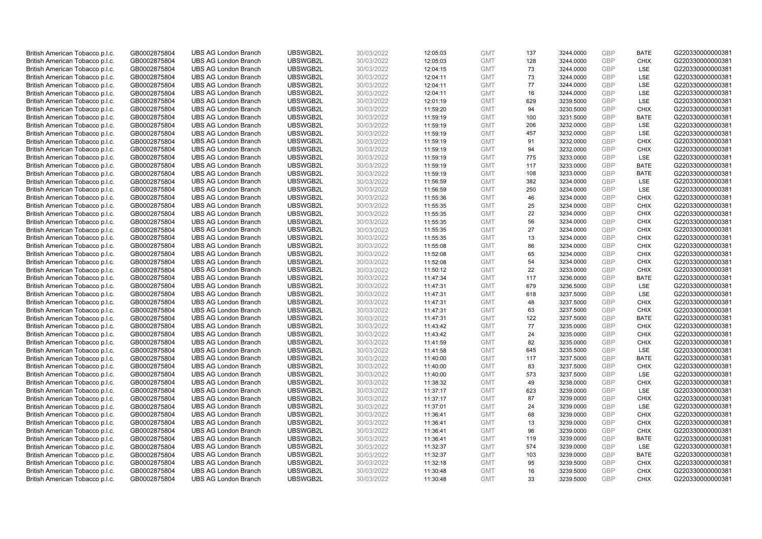| British American Tobacco p.l.c. | GB0002875804 | <b>UBS AG London Branch</b> | UBSWGB2L | 30/03/2022 |          | <b>GMT</b> | 137       | 3244.0000 | <b>GBP</b> | <b>BATE</b>               | G220330000000381 |
|---------------------------------|--------------|-----------------------------|----------|------------|----------|------------|-----------|-----------|------------|---------------------------|------------------|
|                                 |              |                             |          |            | 12:05:03 |            | 128       |           | GBP        | <b>CHIX</b>               |                  |
| British American Tobacco p.l.c. | GB0002875804 | <b>UBS AG London Branch</b> | UBSWGB2L | 30/03/2022 | 12:05:03 | <b>GMT</b> |           | 3244.0000 |            |                           | G220330000000381 |
| British American Tobacco p.l.c. | GB0002875804 | <b>UBS AG London Branch</b> | UBSWGB2L | 30/03/2022 | 12:04:15 | <b>GMT</b> | 73        | 3244.0000 | GBP        | LSE                       | G220330000000381 |
| British American Tobacco p.l.c. | GB0002875804 | <b>UBS AG London Branch</b> | UBSWGB2L | 30/03/2022 | 12:04:11 | <b>GMT</b> | 73        | 3244.0000 | GBP        | <b>LSE</b>                | G220330000000381 |
| British American Tobacco p.l.c. | GB0002875804 | <b>UBS AG London Branch</b> | UBSWGB2L | 30/03/2022 | 12:04:11 | <b>GMT</b> | 77        | 3244.0000 | <b>GBP</b> | LSE                       | G220330000000381 |
| British American Tobacco p.l.c. | GB0002875804 | <b>UBS AG London Branch</b> | UBSWGB2L | 30/03/2022 | 12:04:11 | <b>GMT</b> | 16        | 3244.0000 | <b>GBP</b> | LSE                       | G220330000000381 |
| British American Tobacco p.l.c. | GB0002875804 | <b>UBS AG London Branch</b> | UBSWGB2L | 30/03/2022 | 12:01:19 | <b>GMT</b> | 629       | 3239.5000 | GBP        | LSE                       | G220330000000381 |
| British American Tobacco p.l.c. | GB0002875804 | <b>UBS AG London Branch</b> | UBSWGB2L | 30/03/2022 | 11:59:20 | <b>GMT</b> | 94        | 3230.5000 | <b>GBP</b> | <b>CHIX</b>               | G220330000000381 |
| British American Tobacco p.l.c. | GB0002875804 | <b>UBS AG London Branch</b> | UBSWGB2L | 30/03/2022 | 11:59:19 | <b>GMT</b> | 100       | 3231.5000 | GBP        | <b>BATE</b>               | G220330000000381 |
| British American Tobacco p.l.c. | GB0002875804 | <b>UBS AG London Branch</b> | UBSWGB2L | 30/03/2022 | 11:59:19 | <b>GMT</b> | 206       | 3232.0000 | <b>GBP</b> | LSE                       | G220330000000381 |
| British American Tobacco p.l.c. | GB0002875804 | <b>UBS AG London Branch</b> | UBSWGB2L | 30/03/2022 | 11:59:19 | <b>GMT</b> | 457       | 3232.0000 | GBP        | LSE                       | G220330000000381 |
| British American Tobacco p.l.c. | GB0002875804 | <b>UBS AG London Branch</b> | UBSWGB2L | 30/03/2022 | 11:59:19 | <b>GMT</b> | 91        | 3232.0000 | <b>GBP</b> | <b>CHIX</b>               | G220330000000381 |
| British American Tobacco p.l.c. | GB0002875804 | <b>UBS AG London Branch</b> | UBSWGB2L | 30/03/2022 | 11:59:19 | <b>GMT</b> | 94        | 3232.0000 | GBP        | <b>CHIX</b>               | G220330000000381 |
| British American Tobacco p.l.c. | GB0002875804 | <b>UBS AG London Branch</b> | UBSWGB2L | 30/03/2022 | 11:59:19 | <b>GMT</b> | 775       | 3233.0000 | <b>GBP</b> | <b>LSE</b>                | G220330000000381 |
| British American Tobacco p.l.c. | GB0002875804 | <b>UBS AG London Branch</b> | UBSWGB2L | 30/03/2022 | 11:59:19 | <b>GMT</b> | 117       | 3233.0000 | <b>GBP</b> | <b>BATE</b>               | G220330000000381 |
| British American Tobacco p.l.c. | GB0002875804 | <b>UBS AG London Branch</b> | UBSWGB2L | 30/03/2022 | 11:59:19 | <b>GMT</b> | 108       | 3233.0000 | GBP        | <b>BATE</b>               | G220330000000381 |
| British American Tobacco p.l.c. | GB0002875804 | <b>UBS AG London Branch</b> | UBSWGB2L | 30/03/2022 | 11:56:59 | <b>GMT</b> | 382       | 3234.0000 | GBP        | LSE                       | G220330000000381 |
| British American Tobacco p.l.c. | GB0002875804 | <b>UBS AG London Branch</b> | UBSWGB2L | 30/03/2022 | 11:56:59 | <b>GMT</b> | 250       | 3234.0000 | <b>GBP</b> | LSE                       | G220330000000381 |
| British American Tobacco p.l.c. | GB0002875804 | <b>UBS AG London Branch</b> | UBSWGB2L | 30/03/2022 | 11:55:36 | <b>GMT</b> | 46        | 3234.0000 | <b>GBP</b> | <b>CHIX</b>               | G220330000000381 |
| British American Tobacco p.l.c. | GB0002875804 | <b>UBS AG London Branch</b> | UBSWGB2L | 30/03/2022 | 11:55:35 | <b>GMT</b> | 25        | 3234.0000 | GBP        | <b>CHIX</b>               | G220330000000381 |
| British American Tobacco p.l.c. | GB0002875804 | <b>UBS AG London Branch</b> | UBSWGB2L | 30/03/2022 | 11:55:35 | <b>GMT</b> | 22        | 3234.0000 | <b>GBP</b> | <b>CHIX</b>               | G220330000000381 |
| British American Tobacco p.l.c. | GB0002875804 | <b>UBS AG London Branch</b> | UBSWGB2L | 30/03/2022 | 11:55:35 | <b>GMT</b> | 56        | 3234.0000 | GBP        | <b>CHIX</b>               | G220330000000381 |
| British American Tobacco p.l.c. | GB0002875804 | <b>UBS AG London Branch</b> | UBSWGB2L | 30/03/2022 | 11:55:35 | <b>GMT</b> | 27        | 3234.0000 | <b>GBP</b> | <b>CHIX</b>               | G220330000000381 |
| British American Tobacco p.l.c. | GB0002875804 | <b>UBS AG London Branch</b> | UBSWGB2L | 30/03/2022 | 11:55:35 | <b>GMT</b> | 13        | 3234.0000 | GBP        | <b>CHIX</b>               | G220330000000381 |
| British American Tobacco p.l.c. | GB0002875804 | <b>UBS AG London Branch</b> | UBSWGB2L | 30/03/2022 | 11:55:08 | <b>GMT</b> | 86        | 3234.0000 | <b>GBP</b> | <b>CHIX</b>               | G220330000000381 |
| British American Tobacco p.l.c. | GB0002875804 | <b>UBS AG London Branch</b> | UBSWGB2L | 30/03/2022 | 11:52:08 | <b>GMT</b> | 65        | 3234.0000 | GBP        | <b>CHIX</b>               | G220330000000381 |
| British American Tobacco p.l.c. | GB0002875804 | <b>UBS AG London Branch</b> | UBSWGB2L | 30/03/2022 | 11:52:08 | <b>GMT</b> | 54        | 3234.0000 | <b>GBP</b> | <b>CHIX</b>               | G220330000000381 |
| British American Tobacco p.l.c. | GB0002875804 | <b>UBS AG London Branch</b> | UBSWGB2L | 30/03/2022 | 11:50:12 | <b>GMT</b> | 22        | 3233.0000 | <b>GBP</b> | <b>CHIX</b>               | G220330000000381 |
| British American Tobacco p.l.c. | GB0002875804 | <b>UBS AG London Branch</b> | UBSWGB2L | 30/03/2022 | 11:47:34 | <b>GMT</b> | 117       | 3236.0000 | GBP        | <b>BATE</b>               | G220330000000381 |
| British American Tobacco p.l.c. | GB0002875804 | <b>UBS AG London Branch</b> | UBSWGB2L | 30/03/2022 | 11:47:31 | <b>GMT</b> | 679       | 3236.5000 | GBP        | LSE                       | G220330000000381 |
| British American Tobacco p.l.c. | GB0002875804 | <b>UBS AG London Branch</b> | UBSWGB2L | 30/03/2022 | 11:47:31 | <b>GMT</b> | 618       | 3237.5000 | GBP        | LSE                       | G220330000000381 |
| British American Tobacco p.l.c. | GB0002875804 | <b>UBS AG London Branch</b> | UBSWGB2L | 30/03/2022 | 11:47:31 | <b>GMT</b> | 48        | 3237.5000 | GBP        | <b>CHIX</b>               | G220330000000381 |
| British American Tobacco p.l.c. | GB0002875804 | <b>UBS AG London Branch</b> | UBSWGB2L | 30/03/2022 | 11:47:31 | <b>GMT</b> | 63        | 3237.5000 | GBP        | <b>CHIX</b>               | G220330000000381 |
| British American Tobacco p.l.c. | GB0002875804 | <b>UBS AG London Branch</b> | UBSWGB2L | 30/03/2022 | 11:47:31 | <b>GMT</b> | 122       | 3237.5000 | GBP        | <b>BATE</b>               | G220330000000381 |
| British American Tobacco p.l.c. | GB0002875804 | <b>UBS AG London Branch</b> | UBSWGB2L | 30/03/2022 | 11:43:42 | <b>GMT</b> | 77        | 3235.0000 | GBP        | <b>CHIX</b>               | G220330000000381 |
| British American Tobacco p.l.c. | GB0002875804 | <b>UBS AG London Branch</b> | UBSWGB2L | 30/03/2022 | 11:43:42 | <b>GMT</b> | 24        | 3235.0000 | <b>GBP</b> | <b>CHIX</b>               | G220330000000381 |
| British American Tobacco p.l.c. | GB0002875804 | <b>UBS AG London Branch</b> | UBSWGB2L | 30/03/2022 | 11:41:59 | <b>GMT</b> | 82        | 3235.0000 | GBP        | <b>CHIX</b>               | G220330000000381 |
| British American Tobacco p.l.c. | GB0002875804 | <b>UBS AG London Branch</b> | UBSWGB2L | 30/03/2022 | 11:41:58 | <b>GMT</b> | 645       | 3235.5000 | <b>GBP</b> | LSE                       | G220330000000381 |
|                                 |              | <b>UBS AG London Branch</b> | UBSWGB2L |            |          | <b>GMT</b> | 117       | 3237.5000 | GBP        | <b>BATE</b>               | G220330000000381 |
| British American Tobacco p.l.c. | GB0002875804 |                             |          | 30/03/2022 | 11:40:00 |            |           |           | GBP        |                           |                  |
| British American Tobacco p.l.c. | GB0002875804 | <b>UBS AG London Branch</b> | UBSWGB2L | 30/03/2022 | 11:40:00 | <b>GMT</b> | 83<br>573 | 3237.5000 | <b>GBP</b> | <b>CHIX</b><br><b>LSE</b> | G220330000000381 |
| British American Tobacco p.l.c. | GB0002875804 | <b>UBS AG London Branch</b> | UBSWGB2L | 30/03/2022 | 11:40:00 | <b>GMT</b> |           | 3237.5000 |            |                           | G220330000000381 |
| British American Tobacco p.l.c. | GB0002875804 | <b>UBS AG London Branch</b> | UBSWGB2L | 30/03/2022 | 11:38:32 | <b>GMT</b> | 49        | 3238.0000 | GBP        | <b>CHIX</b>               | G220330000000381 |
| British American Tobacco p.l.c. | GB0002875804 | <b>UBS AG London Branch</b> | UBSWGB2L | 30/03/2022 | 11:37:17 | <b>GMT</b> | 623       | 3239.0000 | GBP        | LSE                       | G220330000000381 |
| British American Tobacco p.l.c. | GB0002875804 | <b>UBS AG London Branch</b> | UBSWGB2L | 30/03/2022 | 11:37:17 | <b>GMT</b> | 87        | 3239.0000 | GBP        | <b>CHIX</b>               | G220330000000381 |
| British American Tobacco p.l.c. | GB0002875804 | <b>UBS AG London Branch</b> | UBSWGB2L | 30/03/2022 | 11:37:01 | <b>GMT</b> | 24        | 3239.0000 | GBP        | <b>LSE</b>                | G220330000000381 |
| British American Tobacco p.l.c. | GB0002875804 | <b>UBS AG London Branch</b> | UBSWGB2L | 30/03/2022 | 11:36:41 | <b>GMT</b> | 68        | 3239.0000 | <b>GBP</b> | <b>CHIX</b>               | G220330000000381 |
| British American Tobacco p.l.c. | GB0002875804 | <b>UBS AG London Branch</b> | UBSWGB2L | 30/03/2022 | 11:36:41 | <b>GMT</b> | 13        | 3239.0000 | <b>GBP</b> | <b>CHIX</b>               | G220330000000381 |
| British American Tobacco p.l.c. | GB0002875804 | <b>UBS AG London Branch</b> | UBSWGB2L | 30/03/2022 | 11:36:41 | <b>GMT</b> | 96        | 3239.0000 | GBP        | <b>CHIX</b>               | G220330000000381 |
| British American Tobacco p.l.c. | GB0002875804 | <b>UBS AG London Branch</b> | UBSWGB2L | 30/03/2022 | 11:36:41 | <b>GMT</b> | 119       | 3239.0000 | GBP        | <b>BATE</b>               | G220330000000381 |
| British American Tobacco p.l.c. | GB0002875804 | <b>UBS AG London Branch</b> | UBSWGB2L | 30/03/2022 | 11:32:37 | <b>GMT</b> | 574       | 3239.0000 | GBP        | <b>LSE</b>                | G220330000000381 |
| British American Tobacco p.l.c. | GB0002875804 | <b>UBS AG London Branch</b> | UBSWGB2L | 30/03/2022 | 11:32:37 | <b>GMT</b> | 103       | 3239.0000 | <b>GBP</b> | <b>BATE</b>               | G220330000000381 |
| British American Tobacco p.l.c. | GB0002875804 | <b>UBS AG London Branch</b> | UBSWGB2L | 30/03/2022 | 11:32:18 | <b>GMT</b> | 95        | 3239.5000 | <b>GBP</b> | <b>CHIX</b>               | G220330000000381 |
| British American Tobacco p.l.c. | GB0002875804 | <b>UBS AG London Branch</b> | UBSWGB2L | 30/03/2022 | 11:30:48 | <b>GMT</b> | 16        | 3239.5000 | GBP        | <b>CHIX</b>               | G220330000000381 |
| British American Tobacco p.l.c. | GB0002875804 | <b>UBS AG London Branch</b> | UBSWGB2L | 30/03/2022 | 11:30:48 | <b>GMT</b> | 33        | 3239.5000 | GBP        | <b>CHIX</b>               | G220330000000381 |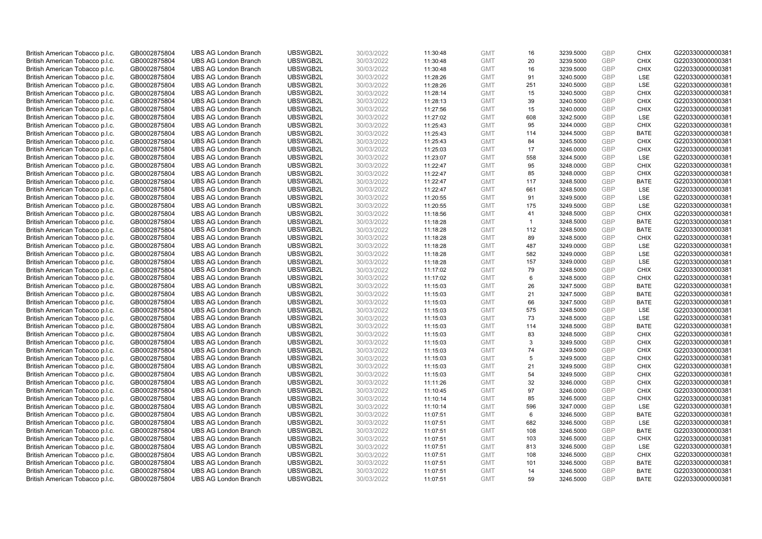| British American Tobacco p.l.c. | GB0002875804 | <b>UBS AG London Branch</b> | UBSWGB2L | 30/03/2022 | 11:30:48 | <b>GMT</b> | 16           | 3239.5000 | <b>GBP</b> | <b>CHIX</b> | G220330000000381 |
|---------------------------------|--------------|-----------------------------|----------|------------|----------|------------|--------------|-----------|------------|-------------|------------------|
| British American Tobacco p.l.c. | GB0002875804 | <b>UBS AG London Branch</b> | UBSWGB2L | 30/03/2022 | 11:30:48 | <b>GMT</b> | 20           | 3239.5000 | <b>GBP</b> | <b>CHIX</b> | G220330000000381 |
| British American Tobacco p.l.c. | GB0002875804 | <b>UBS AG London Branch</b> | UBSWGB2L | 30/03/2022 | 11:30:48 | <b>GMT</b> | 16           | 3239.5000 | GBP        | <b>CHIX</b> | G220330000000381 |
| British American Tobacco p.l.c. | GB0002875804 | <b>UBS AG London Branch</b> | UBSWGB2L | 30/03/2022 | 11:28:26 | <b>GMT</b> | 91           | 3240.5000 | GBP        | LSE         | G220330000000381 |
| British American Tobacco p.l.c. | GB0002875804 | <b>UBS AG London Branch</b> | UBSWGB2L | 30/03/2022 | 11:28:26 | <b>GMT</b> | 251          | 3240.5000 | <b>GBP</b> | LSE         | G220330000000381 |
| British American Tobacco p.l.c. | GB0002875804 | <b>UBS AG London Branch</b> | UBSWGB2L | 30/03/2022 | 11:28:14 | <b>GMT</b> | 15           | 3240.5000 | <b>GBP</b> | <b>CHIX</b> | G220330000000381 |
| British American Tobacco p.l.c. | GB0002875804 | <b>UBS AG London Branch</b> | UBSWGB2L | 30/03/2022 | 11:28:13 | <b>GMT</b> | 39           | 3240.5000 | GBP        | <b>CHIX</b> | G220330000000381 |
| British American Tobacco p.l.c. | GB0002875804 | <b>UBS AG London Branch</b> | UBSWGB2L | 30/03/2022 | 11:27:56 | <b>GMT</b> | 15           | 3240.0000 | <b>GBP</b> | <b>CHIX</b> | G220330000000381 |
| British American Tobacco p.l.c. | GB0002875804 | <b>UBS AG London Branch</b> | UBSWGB2L | 30/03/2022 | 11:27:02 | <b>GMT</b> | 608          | 3242.5000 | GBP        | LSE         | G220330000000381 |
| British American Tobacco p.l.c. | GB0002875804 | <b>UBS AG London Branch</b> | UBSWGB2L | 30/03/2022 | 11:25:43 | <b>GMT</b> | 95           | 3244.0000 | <b>GBP</b> | <b>CHIX</b> | G220330000000381 |
| British American Tobacco p.l.c. | GB0002875804 | <b>UBS AG London Branch</b> | UBSWGB2L | 30/03/2022 | 11:25:43 | <b>GMT</b> | 114          | 3244.5000 | GBP        | <b>BATE</b> | G220330000000381 |
| British American Tobacco p.l.c. | GB0002875804 | <b>UBS AG London Branch</b> | UBSWGB2L | 30/03/2022 | 11:25:43 | <b>GMT</b> | 84           | 3245.5000 | <b>GBP</b> | <b>CHIX</b> | G220330000000381 |
| British American Tobacco p.l.c. | GB0002875804 | <b>UBS AG London Branch</b> | UBSWGB2L | 30/03/2022 | 11:25:03 | <b>GMT</b> | 17           | 3246.0000 | GBP        | <b>CHIX</b> | G220330000000381 |
| British American Tobacco p.l.c. | GB0002875804 | <b>UBS AG London Branch</b> | UBSWGB2L | 30/03/2022 | 11:23:07 | <b>GMT</b> | 558          | 3244.5000 | <b>GBP</b> | <b>LSE</b>  | G220330000000381 |
| British American Tobacco p.l.c. | GB0002875804 | <b>UBS AG London Branch</b> | UBSWGB2L | 30/03/2022 | 11:22:47 | <b>GMT</b> | 95           | 3248.0000 | <b>GBP</b> | <b>CHIX</b> | G220330000000381 |
| British American Tobacco p.l.c. | GB0002875804 | <b>UBS AG London Branch</b> | UBSWGB2L | 30/03/2022 | 11:22:47 | <b>GMT</b> | 85           | 3248.0000 | GBP        | <b>CHIX</b> | G220330000000381 |
| British American Tobacco p.l.c. | GB0002875804 | <b>UBS AG London Branch</b> | UBSWGB2L | 30/03/2022 | 11:22:47 | <b>GMT</b> | 117          | 3248.5000 | GBP        | <b>BATE</b> | G220330000000381 |
| British American Tobacco p.l.c. | GB0002875804 | <b>UBS AG London Branch</b> | UBSWGB2L | 30/03/2022 | 11:22:47 | <b>GMT</b> | 661          | 3248.5000 | <b>GBP</b> | LSE         | G220330000000381 |
| British American Tobacco p.l.c. | GB0002875804 | <b>UBS AG London Branch</b> | UBSWGB2L | 30/03/2022 | 11:20:55 | <b>GMT</b> | 91           | 3249.5000 | GBP        | <b>LSE</b>  | G220330000000381 |
| British American Tobacco p.l.c. | GB0002875804 | <b>UBS AG London Branch</b> | UBSWGB2L | 30/03/2022 | 11:20:55 | <b>GMT</b> | 175          | 3249.5000 | GBP        | LSE         | G220330000000381 |
| British American Tobacco p.l.c. | GB0002875804 | <b>UBS AG London Branch</b> | UBSWGB2L | 30/03/2022 | 11:18:56 | <b>GMT</b> | 41           | 3248.5000 | <b>GBP</b> | <b>CHIX</b> | G220330000000381 |
| British American Tobacco p.l.c. | GB0002875804 | <b>UBS AG London Branch</b> | UBSWGB2L | 30/03/2022 | 11:18:28 | <b>GMT</b> | $\mathbf{1}$ | 3248.5000 | GBP        | <b>BATE</b> | G220330000000381 |
| British American Tobacco p.l.c. | GB0002875804 | <b>UBS AG London Branch</b> | UBSWGB2L | 30/03/2022 | 11:18:28 | <b>GMT</b> | 112          | 3248.5000 | <b>GBP</b> | <b>BATE</b> | G220330000000381 |
| British American Tobacco p.l.c. | GB0002875804 | <b>UBS AG London Branch</b> | UBSWGB2L | 30/03/2022 | 11:18:28 | <b>GMT</b> | 89           | 3248.5000 | GBP        | <b>CHIX</b> | G220330000000381 |
| British American Tobacco p.l.c. | GB0002875804 | <b>UBS AG London Branch</b> | UBSWGB2L | 30/03/2022 | 11:18:28 | <b>GMT</b> | 487          | 3249.0000 | <b>GBP</b> | LSE         | G220330000000381 |
| British American Tobacco p.l.c. | GB0002875804 | <b>UBS AG London Branch</b> | UBSWGB2L | 30/03/2022 | 11:18:28 | <b>GMT</b> | 582          | 3249.0000 | <b>GBP</b> | LSE         | G220330000000381 |
| British American Tobacco p.l.c. | GB0002875804 | <b>UBS AG London Branch</b> | UBSWGB2L | 30/03/2022 | 11:18:28 | <b>GMT</b> | 157          | 3249.0000 | <b>GBP</b> | LSE         | G220330000000381 |
| British American Tobacco p.l.c. | GB0002875804 | <b>UBS AG London Branch</b> | UBSWGB2L | 30/03/2022 | 11:17:02 | <b>GMT</b> | 79           | 3248.5000 | <b>GBP</b> | <b>CHIX</b> | G220330000000381 |
| British American Tobacco p.l.c. | GB0002875804 | <b>UBS AG London Branch</b> | UBSWGB2L | 30/03/2022 | 11:17:02 | <b>GMT</b> | 6            | 3248.5000 | GBP        | <b>CHIX</b> | G220330000000381 |
| British American Tobacco p.l.c. | GB0002875804 | <b>UBS AG London Branch</b> | UBSWGB2L | 30/03/2022 | 11:15:03 | <b>GMT</b> | 26           | 3247.5000 | GBP        | <b>BATE</b> | G220330000000381 |
| British American Tobacco p.l.c. | GB0002875804 | <b>UBS AG London Branch</b> | UBSWGB2L | 30/03/2022 | 11:15:03 | <b>GMT</b> | 21           | 3247.5000 | GBP        | <b>BATE</b> | G220330000000381 |
| British American Tobacco p.l.c. | GB0002875804 | <b>UBS AG London Branch</b> | UBSWGB2L | 30/03/2022 | 11:15:03 | <b>GMT</b> | 66           | 3247.5000 | GBP        | <b>BATE</b> | G220330000000381 |
| British American Tobacco p.l.c. | GB0002875804 | <b>UBS AG London Branch</b> | UBSWGB2L | 30/03/2022 | 11:15:03 | <b>GMT</b> | 575          | 3248.5000 | GBP        | LSE         | G220330000000381 |
| British American Tobacco p.l.c. | GB0002875804 | <b>UBS AG London Branch</b> | UBSWGB2L | 30/03/2022 | 11:15:03 | <b>GMT</b> | 73           | 3248.5000 | GBP        | LSE         | G220330000000381 |
| British American Tobacco p.l.c. | GB0002875804 | <b>UBS AG London Branch</b> | UBSWGB2L | 30/03/2022 | 11:15:03 | <b>GMT</b> | 114          | 3248.5000 | GBP        | <b>BATE</b> | G220330000000381 |
| British American Tobacco p.l.c. | GB0002875804 | <b>UBS AG London Branch</b> | UBSWGB2L | 30/03/2022 | 11:15:03 | <b>GMT</b> | 83           | 3248.5000 | <b>GBP</b> | <b>CHIX</b> | G220330000000381 |
| British American Tobacco p.l.c. | GB0002875804 | <b>UBS AG London Branch</b> | UBSWGB2L | 30/03/2022 | 11:15:03 | <b>GMT</b> | 3            | 3249.5000 | GBP        | <b>CHIX</b> | G220330000000381 |
| British American Tobacco p.l.c. | GB0002875804 | <b>UBS AG London Branch</b> | UBSWGB2L | 30/03/2022 | 11:15:03 | <b>GMT</b> | 74           | 3249.5000 | <b>GBP</b> | <b>CHIX</b> | G220330000000381 |
| British American Tobacco p.l.c. | GB0002875804 | <b>UBS AG London Branch</b> | UBSWGB2L | 30/03/2022 | 11:15:03 | <b>GMT</b> | 5            | 3249.5000 | GBP        | <b>CHIX</b> | G220330000000381 |
| British American Tobacco p.l.c. | GB0002875804 | <b>UBS AG London Branch</b> | UBSWGB2L | 30/03/2022 | 11:15:03 | <b>GMT</b> | 21           | 3249.5000 | <b>GBP</b> | <b>CHIX</b> | G220330000000381 |
| British American Tobacco p.l.c. | GB0002875804 | <b>UBS AG London Branch</b> | UBSWGB2L | 30/03/2022 | 11:15:03 | <b>GMT</b> | 54           | 3249.5000 | GBP        | <b>CHIX</b> | G220330000000381 |
| British American Tobacco p.l.c. | GB0002875804 | <b>UBS AG London Branch</b> | UBSWGB2L | 30/03/2022 | 11:11:26 | <b>GMT</b> | 32           | 3246.0000 | GBP        | <b>CHIX</b> | G220330000000381 |
| British American Tobacco p.l.c. | GB0002875804 | <b>UBS AG London Branch</b> | UBSWGB2L | 30/03/2022 | 11:10:45 | <b>GMT</b> | 97           | 3246.0000 | GBP        | <b>CHIX</b> | G220330000000381 |
| British American Tobacco p.l.c. | GB0002875804 | <b>UBS AG London Branch</b> | UBSWGB2L | 30/03/2022 | 11:10:14 | <b>GMT</b> | 85           | 3246.5000 | GBP        | <b>CHIX</b> | G220330000000381 |
| British American Tobacco p.l.c. | GB0002875804 | <b>UBS AG London Branch</b> | UBSWGB2L | 30/03/2022 | 11:10:14 | <b>GMT</b> | 596          | 3247.0000 | GBP        | <b>LSE</b>  | G220330000000381 |
| British American Tobacco p.l.c. | GB0002875804 | <b>UBS AG London Branch</b> | UBSWGB2L | 30/03/2022 | 11:07:51 | <b>GMT</b> | 6            | 3246.5000 | <b>GBP</b> | <b>BATE</b> | G220330000000381 |
| British American Tobacco p.l.c. | GB0002875804 | <b>UBS AG London Branch</b> | UBSWGB2L | 30/03/2022 | 11:07:51 | <b>GMT</b> | 682          | 3246.5000 | GBP        | LSE         | G220330000000381 |
| British American Tobacco p.l.c. | GB0002875804 | <b>UBS AG London Branch</b> | UBSWGB2L | 30/03/2022 | 11:07:51 | <b>GMT</b> | 108          | 3246.5000 | GBP        | <b>BATE</b> | G220330000000381 |
| British American Tobacco p.l.c. | GB0002875804 | <b>UBS AG London Branch</b> | UBSWGB2L | 30/03/2022 | 11:07:51 | <b>GMT</b> | 103          | 3246.5000 | GBP        | <b>CHIX</b> | G220330000000381 |
| British American Tobacco p.l.c. | GB0002875804 | <b>UBS AG London Branch</b> | UBSWGB2L | 30/03/2022 | 11:07:51 | <b>GMT</b> | 813          | 3246.5000 | GBP        | <b>LSE</b>  | G220330000000381 |
| British American Tobacco p.l.c. | GB0002875804 | <b>UBS AG London Branch</b> | UBSWGB2L | 30/03/2022 | 11:07:51 | <b>GMT</b> | 108          | 3246.5000 | <b>GBP</b> | <b>CHIX</b> | G220330000000381 |
| British American Tobacco p.l.c. | GB0002875804 | <b>UBS AG London Branch</b> | UBSWGB2L | 30/03/2022 | 11:07:51 | <b>GMT</b> | 101          | 3246.5000 | <b>GBP</b> | <b>BATE</b> | G220330000000381 |
| British American Tobacco p.l.c. | GB0002875804 | <b>UBS AG London Branch</b> | UBSWGB2L | 30/03/2022 | 11:07:51 | <b>GMT</b> | 14           | 3246.5000 | GBP        | <b>BATE</b> | G220330000000381 |
| British American Tobacco p.l.c. | GB0002875804 | <b>UBS AG London Branch</b> | UBSWGB2L | 30/03/2022 | 11:07:51 | <b>GMT</b> | 59           | 3246.5000 | GBP        | <b>BATE</b> | G220330000000381 |
|                                 |              |                             |          |            |          |            |              |           |            |             |                  |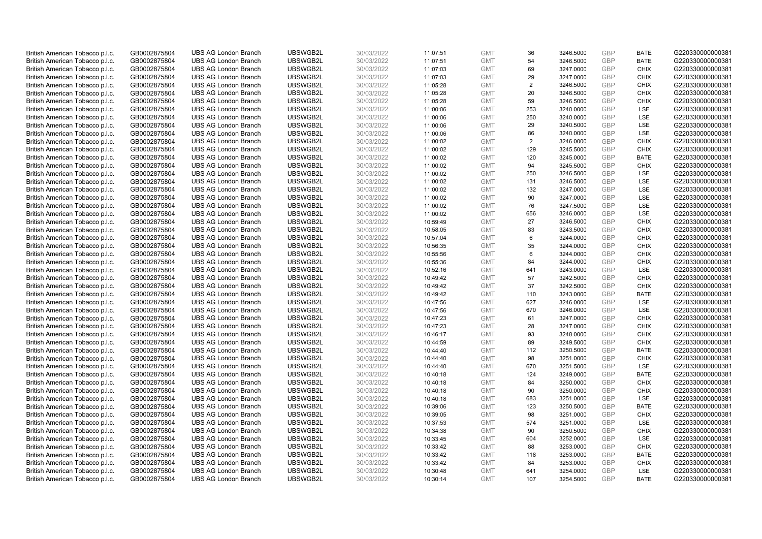| British American Tobacco p.l.c. | GB0002875804 | <b>UBS AG London Branch</b>                                | UBSWGB2L             | 30/03/2022 |                      | <b>GMT</b>               | 36  | 3246.5000              | <b>GBP</b> | <b>BATE</b> | G220330000000381                     |
|---------------------------------|--------------|------------------------------------------------------------|----------------------|------------|----------------------|--------------------------|-----|------------------------|------------|-------------|--------------------------------------|
|                                 |              |                                                            |                      |            | 11:07:51             |                          |     |                        | <b>GBP</b> |             |                                      |
| British American Tobacco p.l.c. | GB0002875804 | <b>UBS AG London Branch</b>                                | UBSWGB2L             | 30/03/2022 | 11:07:51             | <b>GMT</b>               | 54  | 3246.5000              |            | <b>BATE</b> | G220330000000381                     |
| British American Tobacco p.l.c. | GB0002875804 | <b>UBS AG London Branch</b>                                | UBSWGB2L             | 30/03/2022 | 11:07:03             | <b>GMT</b>               | 69  | 3247.0000              | GBP        | <b>CHIX</b> | G220330000000381                     |
| British American Tobacco p.l.c. | GB0002875804 | <b>UBS AG London Branch</b>                                | UBSWGB2L             | 30/03/2022 | 11:07:03             | <b>GMT</b>               | 29  | 3247.0000              | GBP        | <b>CHIX</b> | G220330000000381                     |
| British American Tobacco p.l.c. | GB0002875804 | <b>UBS AG London Branch</b>                                | UBSWGB2L             | 30/03/2022 | 11:05:28             | <b>GMT</b>               | 2   | 3246.5000              | <b>GBP</b> | <b>CHIX</b> | G220330000000381                     |
| British American Tobacco p.l.c. | GB0002875804 | <b>UBS AG London Branch</b>                                | UBSWGB2L             | 30/03/2022 | 11:05:28             | <b>GMT</b>               | 20  | 3246.5000              | <b>GBP</b> | <b>CHIX</b> | G220330000000381                     |
| British American Tobacco p.l.c. | GB0002875804 | <b>UBS AG London Branch</b>                                | UBSWGB2L             | 30/03/2022 | 11:05:28             | <b>GMT</b>               | 59  | 3246.5000              | GBP        | <b>CHIX</b> | G220330000000381                     |
| British American Tobacco p.l.c. | GB0002875804 | <b>UBS AG London Branch</b>                                | UBSWGB2L             | 30/03/2022 | 11:00:06             | <b>GMT</b>               | 253 | 3240.0000              | <b>GBP</b> | <b>LSE</b>  | G220330000000381                     |
| British American Tobacco p.l.c. | GB0002875804 | <b>UBS AG London Branch</b>                                | UBSWGB2L             | 30/03/2022 | 11:00:06             | <b>GMT</b>               | 250 | 3240.0000              | GBP        | LSE         | G220330000000381                     |
| British American Tobacco p.l.c. | GB0002875804 | <b>UBS AG London Branch</b>                                | UBSWGB2L             | 30/03/2022 | 11:00:06             | <b>GMT</b>               | 29  | 3240.5000              | <b>GBP</b> | LSE         | G220330000000381                     |
| British American Tobacco p.l.c. | GB0002875804 | <b>UBS AG London Branch</b>                                | UBSWGB2L             | 30/03/2022 | 11:00:06             | <b>GMT</b>               | 86  | 3240.0000              | GBP        | LSE         | G220330000000381                     |
| British American Tobacco p.l.c. | GB0002875804 | <b>UBS AG London Branch</b>                                | UBSWGB2L             | 30/03/2022 | 11:00:02             | <b>GMT</b>               | 2   | 3246.0000              | <b>GBP</b> | <b>CHIX</b> | G220330000000381                     |
| British American Tobacco p.l.c. | GB0002875804 | <b>UBS AG London Branch</b>                                | UBSWGB2L             | 30/03/2022 | 11:00:02             | <b>GMT</b>               | 129 | 3245.5000              | GBP        | <b>CHIX</b> | G220330000000381                     |
| British American Tobacco p.l.c. | GB0002875804 | <b>UBS AG London Branch</b>                                | UBSWGB2L             | 30/03/2022 | 11:00:02             | <b>GMT</b>               | 120 | 3245.0000              | <b>GBP</b> | <b>BATE</b> | G220330000000381                     |
| British American Tobacco p.l.c. | GB0002875804 | <b>UBS AG London Branch</b>                                | UBSWGB2L             | 30/03/2022 | 11:00:02             | <b>GMT</b>               | 94  | 3245.5000              | <b>GBP</b> | <b>CHIX</b> | G220330000000381                     |
| British American Tobacco p.l.c. | GB0002875804 | <b>UBS AG London Branch</b>                                | UBSWGB2L             | 30/03/2022 | 11:00:02             | <b>GMT</b>               | 250 | 3246.5000              | GBP        | LSE         | G220330000000381                     |
| British American Tobacco p.l.c. | GB0002875804 | <b>UBS AG London Branch</b>                                | UBSWGB2L             | 30/03/2022 | 11:00:02             | <b>GMT</b>               | 131 | 3246.5000              | <b>GBP</b> | LSE         | G220330000000381                     |
| British American Tobacco p.l.c. | GB0002875804 | <b>UBS AG London Branch</b>                                | UBSWGB2L             | 30/03/2022 | 11:00:02             | <b>GMT</b>               | 132 | 3247.0000              | <b>GBP</b> | LSE         | G220330000000381                     |
| British American Tobacco p.l.c. | GB0002875804 | <b>UBS AG London Branch</b>                                | UBSWGB2L             | 30/03/2022 | 11:00:02             | <b>GMT</b>               | 90  | 3247.0000              | GBP        | <b>LSE</b>  | G220330000000381                     |
| British American Tobacco p.l.c. | GB0002875804 | <b>UBS AG London Branch</b>                                | UBSWGB2L             | 30/03/2022 | 11:00:02             | <b>GMT</b>               | 76  | 3247.5000              | GBP        | LSE         | G220330000000381                     |
| British American Tobacco p.l.c. | GB0002875804 | <b>UBS AG London Branch</b>                                | UBSWGB2L             | 30/03/2022 | 11:00:02             | <b>GMT</b>               | 656 | 3246.0000              | <b>GBP</b> | LSE         | G220330000000381                     |
| British American Tobacco p.l.c. | GB0002875804 | <b>UBS AG London Branch</b>                                | UBSWGB2L             | 30/03/2022 | 10:59:49             | <b>GMT</b>               | 27  | 3246.5000              | GBP        | <b>CHIX</b> | G220330000000381                     |
| British American Tobacco p.l.c. | GB0002875804 | <b>UBS AG London Branch</b>                                | UBSWGB2L             | 30/03/2022 | 10:58:05             | <b>GMT</b>               | 83  | 3243.5000              | <b>GBP</b> | <b>CHIX</b> | G220330000000381                     |
| British American Tobacco p.l.c. | GB0002875804 | <b>UBS AG London Branch</b>                                | UBSWGB2L             | 30/03/2022 | 10:57:04             | <b>GMT</b>               | 6   | 3244.0000              | GBP        | <b>CHIX</b> | G220330000000381                     |
| British American Tobacco p.l.c. | GB0002875804 | <b>UBS AG London Branch</b>                                | UBSWGB2L             | 30/03/2022 | 10:56:35             | <b>GMT</b>               | 35  | 3244.0000              | <b>GBP</b> | <b>CHIX</b> | G220330000000381                     |
| British American Tobacco p.l.c. | GB0002875804 | <b>UBS AG London Branch</b>                                | UBSWGB2L             | 30/03/2022 | 10:55:56             | <b>GMT</b>               | 6   | 3244.0000              | GBP        | <b>CHIX</b> | G220330000000381                     |
| British American Tobacco p.l.c. | GB0002875804 | <b>UBS AG London Branch</b>                                | UBSWGB2L             | 30/03/2022 | 10:55:36             | <b>GMT</b>               | 84  | 3244.0000              | <b>GBP</b> | <b>CHIX</b> | G220330000000381                     |
| British American Tobacco p.l.c. | GB0002875804 | <b>UBS AG London Branch</b>                                | UBSWGB2L             | 30/03/2022 | 10:52:16             | <b>GMT</b>               | 641 | 3243.0000              | <b>GBP</b> | <b>LSE</b>  | G220330000000381                     |
| British American Tobacco p.l.c. | GB0002875804 | <b>UBS AG London Branch</b>                                | UBSWGB2L             | 30/03/2022 | 10:49:42             | <b>GMT</b>               | 57  | 3242.5000              | GBP        | <b>CHIX</b> | G220330000000381                     |
| British American Tobacco p.l.c. | GB0002875804 | <b>UBS AG London Branch</b>                                | UBSWGB2L             | 30/03/2022 | 10:49:42             | <b>GMT</b>               | 37  | 3242.5000              | GBP        | <b>CHIX</b> | G220330000000381                     |
| British American Tobacco p.l.c. | GB0002875804 | <b>UBS AG London Branch</b>                                | UBSWGB2L             | 30/03/2022 | 10:49:42             | <b>GMT</b>               | 110 | 3243.0000              | GBP        | <b>BATE</b> | G220330000000381                     |
| British American Tobacco p.l.c. | GB0002875804 | <b>UBS AG London Branch</b>                                | UBSWGB2L             | 30/03/2022 | 10:47:56             | <b>GMT</b>               | 627 | 3246.0000              | <b>GBP</b> | <b>LSE</b>  | G220330000000381                     |
| British American Tobacco p.l.c. | GB0002875804 | <b>UBS AG London Branch</b>                                | UBSWGB2L             | 30/03/2022 | 10:47:56             | <b>GMT</b>               | 670 | 3246.0000              | GBP        | LSE         | G220330000000381                     |
|                                 |              |                                                            |                      |            |                      |                          | 61  |                        | GBP        | <b>CHIX</b> |                                      |
| British American Tobacco p.l.c. | GB0002875804 | <b>UBS AG London Branch</b><br><b>UBS AG London Branch</b> | UBSWGB2L<br>UBSWGB2L | 30/03/2022 | 10:47:23<br>10:47:23 | <b>GMT</b><br><b>GMT</b> | 28  | 3247.0000<br>3247.0000 | GBP        | <b>CHIX</b> | G220330000000381<br>G220330000000381 |
| British American Tobacco p.l.c. | GB0002875804 |                                                            |                      | 30/03/2022 |                      |                          |     |                        |            |             |                                      |
| British American Tobacco p.l.c. | GB0002875804 | <b>UBS AG London Branch</b>                                | UBSWGB2L             | 30/03/2022 | 10:46:17             | <b>GMT</b>               | 93  | 3248.0000              | <b>GBP</b> | <b>CHIX</b> | G220330000000381                     |
| British American Tobacco p.l.c. | GB0002875804 | <b>UBS AG London Branch</b>                                | UBSWGB2L             | 30/03/2022 | 10:44:59             | <b>GMT</b>               | 89  | 3249.5000              | GBP        | <b>CHIX</b> | G220330000000381                     |
| British American Tobacco p.l.c. | GB0002875804 | <b>UBS AG London Branch</b>                                | UBSWGB2L             | 30/03/2022 | 10:44:40             | <b>GMT</b>               | 112 | 3250.5000              | <b>GBP</b> | <b>BATE</b> | G220330000000381                     |
| British American Tobacco p.l.c. | GB0002875804 | <b>UBS AG London Branch</b>                                | UBSWGB2L             | 30/03/2022 | 10:44:40             | <b>GMT</b>               | 98  | 3251.0000              | GBP        | <b>CHIX</b> | G220330000000381                     |
| British American Tobacco p.l.c. | GB0002875804 | <b>UBS AG London Branch</b>                                | UBSWGB2L             | 30/03/2022 | 10:44:40             | <b>GMT</b>               | 670 | 3251.5000              | <b>GBP</b> | <b>LSE</b>  | G220330000000381                     |
| British American Tobacco p.l.c. | GB0002875804 | <b>UBS AG London Branch</b>                                | UBSWGB2L             | 30/03/2022 | 10:40:18             | <b>GMT</b>               | 124 | 3249.0000              | <b>GBP</b> | <b>BATE</b> | G220330000000381                     |
| British American Tobacco p.l.c. | GB0002875804 | <b>UBS AG London Branch</b>                                | UBSWGB2L             | 30/03/2022 | 10:40:18             | <b>GMT</b>               | 84  | 3250.0000              | GBP        | <b>CHIX</b> | G220330000000381                     |
| British American Tobacco p.l.c. | GB0002875804 | <b>UBS AG London Branch</b>                                | UBSWGB2L             | 30/03/2022 | 10:40:18             | <b>GMT</b>               | 90  | 3250.0000              | GBP        | <b>CHIX</b> | G220330000000381                     |
| British American Tobacco p.l.c. | GB0002875804 | <b>UBS AG London Branch</b>                                | UBSWGB2L             | 30/03/2022 | 10:40:18             | <b>GMT</b>               | 683 | 3251.0000              | GBP        | <b>LSE</b>  | G220330000000381                     |
| British American Tobacco p.l.c. | GB0002875804 | <b>UBS AG London Branch</b>                                | UBSWGB2L             | 30/03/2022 | 10:39:06             | <b>GMT</b>               | 123 | 3250.5000              | GBP        | <b>BATE</b> | G220330000000381                     |
| British American Tobacco p.l.c. | GB0002875804 | <b>UBS AG London Branch</b>                                | UBSWGB2L             | 30/03/2022 | 10:39:05             | <b>GMT</b>               | 98  | 3251.0000              | <b>GBP</b> | <b>CHIX</b> | G220330000000381                     |
| British American Tobacco p.l.c. | GB0002875804 | <b>UBS AG London Branch</b>                                | UBSWGB2L             | 30/03/2022 | 10:37:53             | <b>GMT</b>               | 574 | 3251.0000              | <b>GBP</b> | LSE         | G220330000000381                     |
| British American Tobacco p.l.c. | GB0002875804 | <b>UBS AG London Branch</b>                                | UBSWGB2L             | 30/03/2022 | 10:34:38             | <b>GMT</b>               | 90  | 3250.5000              | GBP        | <b>CHIX</b> | G220330000000381                     |
| British American Tobacco p.l.c. | GB0002875804 | <b>UBS AG London Branch</b>                                | UBSWGB2L             | 30/03/2022 | 10:33:45             | <b>GMT</b>               | 604 | 3252.0000              | GBP        | LSE         | G220330000000381                     |
| British American Tobacco p.l.c. | GB0002875804 | <b>UBS AG London Branch</b>                                | UBSWGB2L             | 30/03/2022 | 10:33:42             | <b>GMT</b>               | 88  | 3253.0000              | GBP        | <b>CHIX</b> | G220330000000381                     |
| British American Tobacco p.l.c. | GB0002875804 | <b>UBS AG London Branch</b>                                | UBSWGB2L             | 30/03/2022 | 10:33:42             | <b>GMT</b>               | 118 | 3253.0000              | <b>GBP</b> | <b>BATE</b> | G220330000000381                     |
| British American Tobacco p.l.c. | GB0002875804 | <b>UBS AG London Branch</b>                                | UBSWGB2L             | 30/03/2022 | 10:33:42             | <b>GMT</b>               | 84  | 3253.0000              | <b>GBP</b> | <b>CHIX</b> | G220330000000381                     |
| British American Tobacco p.l.c. | GB0002875804 | <b>UBS AG London Branch</b>                                | UBSWGB2L             | 30/03/2022 | 10:30:48             | <b>GMT</b>               | 641 | 3254.0000              | GBP        | <b>LSE</b>  | G220330000000381                     |
| British American Tobacco p.l.c. | GB0002875804 | <b>UBS AG London Branch</b>                                | UBSWGB2L             | 30/03/2022 | 10:30:14             | <b>GMT</b>               | 107 | 3254.5000              | GBP        | <b>BATE</b> | G220330000000381                     |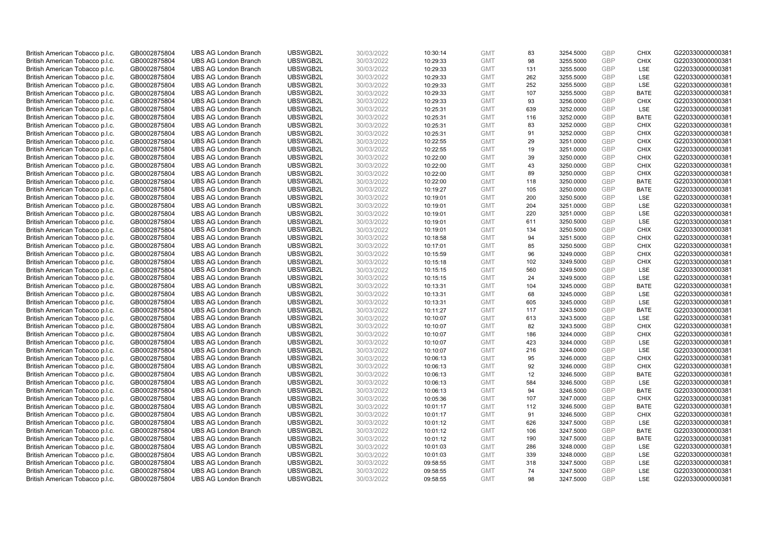| British American Tobacco p.l.c. | GB0002875804 | <b>UBS AG London Branch</b> | UBSWGB2L             | 30/03/2022 | 10:30:14 | <b>GMT</b> | 83        | 3254.5000 | <b>GBP</b>        | <b>CHIX</b>        | G220330000000381 |
|---------------------------------|--------------|-----------------------------|----------------------|------------|----------|------------|-----------|-----------|-------------------|--------------------|------------------|
| British American Tobacco p.l.c. | GB0002875804 | <b>UBS AG London Branch</b> | UBSWGB2L             | 30/03/2022 | 10:29:33 | <b>GMT</b> | 98        | 3255.5000 | GBP               | <b>CHIX</b>        | G220330000000381 |
| British American Tobacco p.l.c. | GB0002875804 | <b>UBS AG London Branch</b> | UBSWGB2L             | 30/03/2022 | 10:29:33 | <b>GMT</b> | 131       | 3255.5000 | GBP               | LSE                | G220330000000381 |
| British American Tobacco p.l.c. | GB0002875804 | <b>UBS AG London Branch</b> | UBSWGB2L             | 30/03/2022 | 10:29:33 | <b>GMT</b> | 262       | 3255.5000 | GBP               | LSE                | G220330000000381 |
| British American Tobacco p.l.c. | GB0002875804 | <b>UBS AG London Branch</b> | UBSWGB2L             | 30/03/2022 | 10:29:33 | <b>GMT</b> | 252       | 3255.5000 | <b>GBP</b>        | LSE                | G220330000000381 |
| British American Tobacco p.l.c. | GB0002875804 | <b>UBS AG London Branch</b> | UBSWGB2L             | 30/03/2022 | 10:29:33 | <b>GMT</b> | 107       | 3255.5000 | <b>GBP</b>        | <b>BATE</b>        | G220330000000381 |
| British American Tobacco p.l.c. | GB0002875804 | <b>UBS AG London Branch</b> | UBSWGB2L             | 30/03/2022 | 10:29:33 | <b>GMT</b> | 93        | 3256.0000 | GBP               | <b>CHIX</b>        | G220330000000381 |
| British American Tobacco p.l.c. | GB0002875804 | <b>UBS AG London Branch</b> | UBSWGB2L             | 30/03/2022 | 10:25:31 | <b>GMT</b> | 639       | 3252.0000 | <b>GBP</b>        | LSE                | G220330000000381 |
| British American Tobacco p.l.c. | GB0002875804 | <b>UBS AG London Branch</b> | UBSWGB2L             | 30/03/2022 | 10:25:31 | <b>GMT</b> | 116       | 3252.0000 | GBP               | <b>BATE</b>        | G220330000000381 |
| British American Tobacco p.l.c. | GB0002875804 | <b>UBS AG London Branch</b> | UBSWGB2L             | 30/03/2022 | 10:25:31 | <b>GMT</b> | 83        | 3252.0000 | <b>GBP</b>        | <b>CHIX</b>        | G220330000000381 |
| British American Tobacco p.l.c. | GB0002875804 | <b>UBS AG London Branch</b> | UBSWGB2L             | 30/03/2022 | 10:25:31 | <b>GMT</b> | 91        | 3252.0000 | GBP               | <b>CHIX</b>        | G220330000000381 |
| British American Tobacco p.l.c. | GB0002875804 | <b>UBS AG London Branch</b> | UBSWGB2L             | 30/03/2022 | 10:22:55 | <b>GMT</b> | 29        | 3251.0000 | <b>GBP</b>        | <b>CHIX</b>        | G220330000000381 |
| British American Tobacco p.l.c. | GB0002875804 | <b>UBS AG London Branch</b> | UBSWGB2L             | 30/03/2022 | 10:22:55 | <b>GMT</b> | 19        | 3251.0000 | GBP               | <b>CHIX</b>        | G220330000000381 |
| British American Tobacco p.l.c. | GB0002875804 | <b>UBS AG London Branch</b> | UBSWGB2L             | 30/03/2022 | 10:22:00 | <b>GMT</b> | 39        | 3250.0000 | <b>GBP</b>        | <b>CHIX</b>        | G220330000000381 |
| British American Tobacco p.l.c. | GB0002875804 | <b>UBS AG London Branch</b> | UBSWGB2L             | 30/03/2022 | 10:22:00 | <b>GMT</b> | 43        | 3250.0000 | <b>GBP</b>        | <b>CHIX</b>        | G220330000000381 |
| British American Tobacco p.l.c. | GB0002875804 | <b>UBS AG London Branch</b> | UBSWGB2L             | 30/03/2022 | 10:22:00 | <b>GMT</b> | 89        | 3250.0000 | GBP               | <b>CHIX</b>        | G220330000000381 |
| British American Tobacco p.l.c. | GB0002875804 | <b>UBS AG London Branch</b> | UBSWGB2L             | 30/03/2022 | 10:22:00 | <b>GMT</b> | 118       | 3250.0000 | GBP               | <b>BATE</b>        | G220330000000381 |
| British American Tobacco p.l.c. | GB0002875804 | <b>UBS AG London Branch</b> | UBSWGB2L             | 30/03/2022 | 10:19:27 | <b>GMT</b> | 105       | 3250.0000 | <b>GBP</b>        | <b>BATE</b>        | G220330000000381 |
| British American Tobacco p.l.c. | GB0002875804 | <b>UBS AG London Branch</b> | UBSWGB2L             | 30/03/2022 | 10:19:01 | <b>GMT</b> | 200       | 3250.5000 | GBP               | <b>LSE</b>         | G220330000000381 |
| British American Tobacco p.l.c. | GB0002875804 | <b>UBS AG London Branch</b> | UBSWGB2L             | 30/03/2022 | 10:19:01 | <b>GMT</b> | 204       | 3251.0000 | <b>GBP</b>        | LSE                | G220330000000381 |
| British American Tobacco p.l.c. | GB0002875804 | <b>UBS AG London Branch</b> | UBSWGB2L             | 30/03/2022 | 10:19:01 | <b>GMT</b> | 220       | 3251.0000 | <b>GBP</b>        | LSE                | G220330000000381 |
| British American Tobacco p.l.c. | GB0002875804 | <b>UBS AG London Branch</b> | UBSWGB2L             | 30/03/2022 | 10:19:01 | <b>GMT</b> | 611       | 3250.5000 | GBP               | LSE                | G220330000000381 |
| British American Tobacco p.l.c. | GB0002875804 | <b>UBS AG London Branch</b> | UBSWGB2L             | 30/03/2022 | 10:19:01 | <b>GMT</b> | 134       | 3250.5000 | <b>GBP</b>        | <b>CHIX</b>        | G220330000000381 |
| British American Tobacco p.l.c. | GB0002875804 | <b>UBS AG London Branch</b> | UBSWGB2L             | 30/03/2022 | 10:18:58 | <b>GMT</b> | 94        | 3251.5000 | GBP               | <b>CHIX</b>        | G220330000000381 |
| British American Tobacco p.l.c. | GB0002875804 | <b>UBS AG London Branch</b> | UBSWGB2L             | 30/03/2022 | 10:17:01 | <b>GMT</b> | 85        | 3250.5000 | <b>GBP</b>        | <b>CHIX</b>        | G220330000000381 |
| British American Tobacco p.l.c. | GB0002875804 | <b>UBS AG London Branch</b> | UBSWGB2L             | 30/03/2022 | 10:15:59 | <b>GMT</b> | 96        | 3249.0000 | GBP               | <b>CHIX</b>        | G220330000000381 |
| British American Tobacco p.l.c. | GB0002875804 | <b>UBS AG London Branch</b> | UBSWGB2L             | 30/03/2022 | 10:15:18 | <b>GMT</b> | 102       | 3249.5000 | <b>GBP</b>        | <b>CHIX</b>        | G220330000000381 |
| British American Tobacco p.l.c. | GB0002875804 | <b>UBS AG London Branch</b> | UBSWGB2L             | 30/03/2022 | 10:15:15 | <b>GMT</b> | 560       | 3249.5000 | <b>GBP</b>        | <b>LSE</b>         | G220330000000381 |
| British American Tobacco p.l.c. | GB0002875804 | <b>UBS AG London Branch</b> | UBSWGB2L             | 30/03/2022 | 10:15:15 | <b>GMT</b> | 24        | 3249.5000 | GBP               | LSE                | G220330000000381 |
| British American Tobacco p.l.c. | GB0002875804 | <b>UBS AG London Branch</b> | UBSWGB2L             | 30/03/2022 | 10:13:31 | <b>GMT</b> | 104       | 3245.0000 | GBP               | <b>BATE</b>        | G220330000000381 |
| British American Tobacco p.l.c. | GB0002875804 | <b>UBS AG London Branch</b> | UBSWGB2L             | 30/03/2022 | 10:13:31 | <b>GMT</b> | 68        | 3245.0000 | GBP               | LSE                | G220330000000381 |
| British American Tobacco p.l.c. | GB0002875804 | <b>UBS AG London Branch</b> | UBSWGB2L             | 30/03/2022 | 10:13:31 | <b>GMT</b> | 605       | 3245.0000 | GBP               | <b>LSE</b>         | G220330000000381 |
| British American Tobacco p.l.c. | GB0002875804 | <b>UBS AG London Branch</b> | UBSWGB2L             | 30/03/2022 | 10:11:27 | <b>GMT</b> | 117       | 3243.5000 | GBP               | <b>BATE</b>        | G220330000000381 |
| British American Tobacco p.l.c. | GB0002875804 | <b>UBS AG London Branch</b> | UBSWGB2L             | 30/03/2022 | 10:10:07 | <b>GMT</b> | 613       | 3243.5000 | GBP               | LSE                | G220330000000381 |
| British American Tobacco p.l.c. | GB0002875804 | <b>UBS AG London Branch</b> | UBSWGB2L             | 30/03/2022 | 10:10:07 | <b>GMT</b> | 82        | 3243.5000 | GBP               | <b>CHIX</b>        | G220330000000381 |
| British American Tobacco p.l.c. | GB0002875804 | <b>UBS AG London Branch</b> | UBSWGB2L             | 30/03/2022 | 10:10:07 | <b>GMT</b> | 186       | 3244.0000 | <b>GBP</b>        | <b>CHIX</b>        | G220330000000381 |
| British American Tobacco p.l.c. | GB0002875804 | <b>UBS AG London Branch</b> | UBSWGB2L             | 30/03/2022 |          | <b>GMT</b> | 423       |           | GBP               | <b>LSE</b>         | G220330000000381 |
|                                 |              |                             |                      |            | 10:10:07 |            |           | 3244.0000 |                   |                    |                  |
| British American Tobacco p.l.c. | GB0002875804 | <b>UBS AG London Branch</b> | UBSWGB2L<br>UBSWGB2L | 30/03/2022 | 10:10:07 | <b>GMT</b> | 216<br>95 | 3244.0000 | <b>GBP</b><br>GBP | LSE<br><b>CHIX</b> | G220330000000381 |
| British American Tobacco p.l.c. | GB0002875804 | <b>UBS AG London Branch</b> |                      | 30/03/2022 | 10:06:13 | <b>GMT</b> |           | 3246.0000 |                   |                    | G220330000000381 |
| British American Tobacco p.l.c. | GB0002875804 | <b>UBS AG London Branch</b> | UBSWGB2L             | 30/03/2022 | 10:06:13 | <b>GMT</b> | 92        | 3246.0000 | <b>GBP</b>        | <b>CHIX</b>        | G220330000000381 |
| British American Tobacco p.l.c. | GB0002875804 | <b>UBS AG London Branch</b> | UBSWGB2L             | 30/03/2022 | 10:06:13 | <b>GMT</b> | 12        | 3246.5000 | GBP               | <b>BATE</b>        | G220330000000381 |
| British American Tobacco p.l.c. | GB0002875804 | <b>UBS AG London Branch</b> | UBSWGB2L             | 30/03/2022 | 10:06:13 | <b>GMT</b> | 584       | 3246.5000 | GBP               | <b>LSE</b>         | G220330000000381 |
| British American Tobacco p.l.c. | GB0002875804 | <b>UBS AG London Branch</b> | UBSWGB2L             | 30/03/2022 | 10:06:13 | <b>GMT</b> | 94        | 3246.5000 | GBP               | <b>BATE</b>        | G220330000000381 |
| British American Tobacco p.l.c. | GB0002875804 | <b>UBS AG London Branch</b> | UBSWGB2L             | 30/03/2022 | 10:05:36 | <b>GMT</b> | 107       | 3247.0000 | GBP               | <b>CHIX</b>        | G220330000000381 |
| British American Tobacco p.l.c. | GB0002875804 | <b>UBS AG London Branch</b> | UBSWGB2L             | 30/03/2022 | 10:01:17 | <b>GMT</b> | 112       | 3246.5000 | GBP               | <b>BATE</b>        | G220330000000381 |
| British American Tobacco p.l.c. | GB0002875804 | <b>UBS AG London Branch</b> | UBSWGB2L             | 30/03/2022 | 10:01:17 | <b>GMT</b> | 91        | 3246.5000 | <b>GBP</b>        | <b>CHIX</b>        | G220330000000381 |
| British American Tobacco p.l.c. | GB0002875804 | <b>UBS AG London Branch</b> | UBSWGB2L             | 30/03/2022 | 10:01:12 | <b>GMT</b> | 626       | 3247.5000 | GBP               | LSE                | G220330000000381 |
| British American Tobacco p.l.c. | GB0002875804 | <b>UBS AG London Branch</b> | UBSWGB2L             | 30/03/2022 | 10:01:12 | <b>GMT</b> | 106       | 3247.5000 | GBP               | <b>BATE</b>        | G220330000000381 |
| British American Tobacco p.l.c. | GB0002875804 | <b>UBS AG London Branch</b> | UBSWGB2L             | 30/03/2022 | 10:01:12 | <b>GMT</b> | 190       | 3247.5000 | GBP               | <b>BATE</b>        | G220330000000381 |
| British American Tobacco p.l.c. | GB0002875804 | <b>UBS AG London Branch</b> | UBSWGB2L             | 30/03/2022 | 10:01:03 | <b>GMT</b> | 286       | 3248.0000 | <b>GBP</b>        | LSE                | G220330000000381 |
| British American Tobacco p.l.c. | GB0002875804 | <b>UBS AG London Branch</b> | UBSWGB2L             | 30/03/2022 | 10:01:03 | <b>GMT</b> | 339       | 3248.0000 | GBP               | LSE                | G220330000000381 |
| British American Tobacco p.l.c. | GB0002875804 | <b>UBS AG London Branch</b> | UBSWGB2L             | 30/03/2022 | 09:58:55 | <b>GMT</b> | 318       | 3247.5000 | <b>GBP</b>        | LSE                | G220330000000381 |
| British American Tobacco p.l.c. | GB0002875804 | <b>UBS AG London Branch</b> | UBSWGB2L             | 30/03/2022 | 09:58:55 | <b>GMT</b> | 74        | 3247.5000 | GBP               | LSE                | G220330000000381 |
| British American Tobacco p.l.c. | GB0002875804 | <b>UBS AG London Branch</b> | UBSWGB2L             | 30/03/2022 | 09:58:55 | <b>GMT</b> | 98        | 3247.5000 | GBP               | <b>LSE</b>         | G220330000000381 |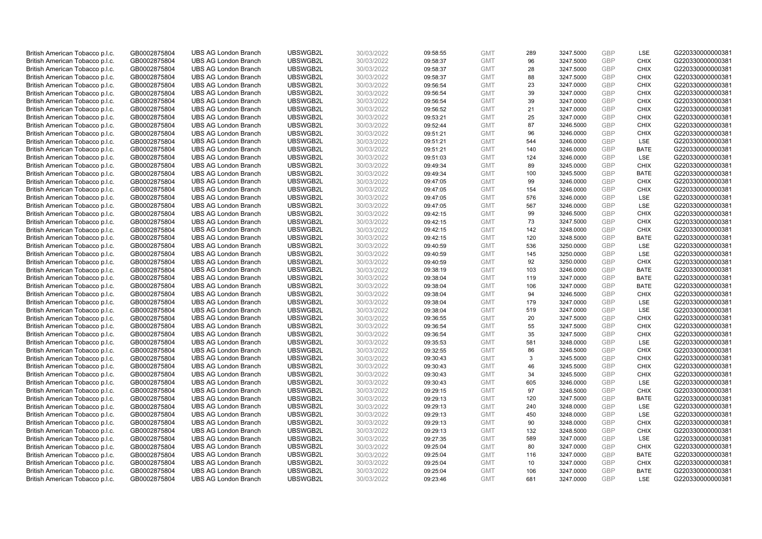| British American Tobacco p.l.c. | GB0002875804 | <b>UBS AG London Branch</b> | UBSWGB2L | 30/03/2022 | 09:58:55 | <b>GMT</b> | 289 | 3247.5000 | GBP               | LSE         | G220330000000381 |
|---------------------------------|--------------|-----------------------------|----------|------------|----------|------------|-----|-----------|-------------------|-------------|------------------|
| British American Tobacco p.l.c. | GB0002875804 | <b>UBS AG London Branch</b> | UBSWGB2L | 30/03/2022 | 09:58:37 | <b>GMT</b> | 96  | 3247.5000 | GBP               | <b>CHIX</b> | G220330000000381 |
| British American Tobacco p.l.c. | GB0002875804 | <b>UBS AG London Branch</b> | UBSWGB2L | 30/03/2022 | 09:58:37 | <b>GMT</b> | 28  | 3247.5000 | GBP               | <b>CHIX</b> | G220330000000381 |
|                                 |              |                             | UBSWGB2L |            |          |            |     |           | GBP               |             | G220330000000381 |
| British American Tobacco p.l.c. | GB0002875804 | <b>UBS AG London Branch</b> |          | 30/03/2022 | 09:58:37 | <b>GMT</b> | 88  | 3247.5000 |                   | <b>CHIX</b> |                  |
| British American Tobacco p.l.c. | GB0002875804 | <b>UBS AG London Branch</b> | UBSWGB2L | 30/03/2022 | 09:56:54 | <b>GMT</b> | 23  | 3247.0000 | GBP               | <b>CHIX</b> | G220330000000381 |
| British American Tobacco p.l.c. | GB0002875804 | <b>UBS AG London Branch</b> | UBSWGB2L | 30/03/2022 | 09:56:54 | <b>GMT</b> | 39  | 3247.0000 | GBP               | <b>CHIX</b> | G220330000000381 |
| British American Tobacco p.l.c. | GB0002875804 | <b>UBS AG London Branch</b> | UBSWGB2L | 30/03/2022 | 09:56:54 | <b>GMT</b> | 39  | 3247.0000 | GBP               | <b>CHIX</b> | G220330000000381 |
| British American Tobacco p.l.c. | GB0002875804 | <b>UBS AG London Branch</b> | UBSWGB2L | 30/03/2022 | 09:56:52 | <b>GMT</b> | 21  | 3247.0000 | GBP               | <b>CHIX</b> | G220330000000381 |
| British American Tobacco p.l.c. | GB0002875804 | <b>UBS AG London Branch</b> | UBSWGB2L | 30/03/2022 | 09:53:21 | <b>GMT</b> | 25  | 3247.0000 | GBP               | <b>CHIX</b> | G220330000000381 |
| British American Tobacco p.l.c. | GB0002875804 | <b>UBS AG London Branch</b> | UBSWGB2L | 30/03/2022 | 09:52:44 | <b>GMT</b> | 87  | 3246.5000 | GBP               | <b>CHIX</b> | G220330000000381 |
| British American Tobacco p.l.c. | GB0002875804 | <b>UBS AG London Branch</b> | UBSWGB2L | 30/03/2022 | 09:51:21 | <b>GMT</b> | 96  | 3246.0000 | GBP               | <b>CHIX</b> | G220330000000381 |
| British American Tobacco p.l.c. | GB0002875804 | <b>UBS AG London Branch</b> | UBSWGB2L | 30/03/2022 | 09:51:21 | <b>GMT</b> | 544 | 3246.0000 | GBP               | LSE         | G220330000000381 |
| British American Tobacco p.l.c. | GB0002875804 | <b>UBS AG London Branch</b> | UBSWGB2L | 30/03/2022 | 09:51:21 | <b>GMT</b> | 140 | 3246.0000 | GBP               | <b>BATE</b> | G220330000000381 |
| British American Tobacco p.l.c. | GB0002875804 | <b>UBS AG London Branch</b> | UBSWGB2L | 30/03/2022 | 09:51:03 | <b>GMT</b> | 124 | 3246.0000 | GBP               | LSE         | G220330000000381 |
| British American Tobacco p.l.c. | GB0002875804 | <b>UBS AG London Branch</b> | UBSWGB2L | 30/03/2022 | 09:49:34 | <b>GMT</b> | 89  | 3245.0000 | <b>GBP</b>        | <b>CHIX</b> | G220330000000381 |
| British American Tobacco p.l.c. | GB0002875804 | <b>UBS AG London Branch</b> | UBSWGB2L | 30/03/2022 | 09:49:34 | <b>GMT</b> | 100 | 3245.5000 | GBP               | <b>BATE</b> | G220330000000381 |
| British American Tobacco p.l.c. | GB0002875804 | <b>UBS AG London Branch</b> | UBSWGB2L | 30/03/2022 | 09:47:05 | <b>GMT</b> | 99  | 3246.0000 | GBP               | <b>CHIX</b> | G220330000000381 |
| British American Tobacco p.l.c. | GB0002875804 | <b>UBS AG London Branch</b> | UBSWGB2L | 30/03/2022 | 09:47:05 | <b>GMT</b> | 154 | 3246.0000 | GBP               | <b>CHIX</b> | G220330000000381 |
| British American Tobacco p.l.c. | GB0002875804 | <b>UBS AG London Branch</b> | UBSWGB2L | 30/03/2022 | 09:47:05 | <b>GMT</b> | 576 | 3246.0000 | GBP               | <b>LSE</b>  | G220330000000381 |
| British American Tobacco p.l.c. | GB0002875804 | <b>UBS AG London Branch</b> | UBSWGB2L | 30/03/2022 | 09:47:05 | <b>GMT</b> | 567 | 3246.0000 | GBP               | LSE         | G220330000000381 |
| British American Tobacco p.l.c. | GB0002875804 | <b>UBS AG London Branch</b> | UBSWGB2L | 30/03/2022 | 09:42:15 | <b>GMT</b> | 99  | 3246.5000 | GBP               | <b>CHIX</b> | G220330000000381 |
| British American Tobacco p.l.c. | GB0002875804 | <b>UBS AG London Branch</b> | UBSWGB2L | 30/03/2022 | 09:42:15 | <b>GMT</b> | 73  | 3247.5000 | GBP               | <b>CHIX</b> | G220330000000381 |
| British American Tobacco p.l.c. | GB0002875804 | <b>UBS AG London Branch</b> | UBSWGB2L | 30/03/2022 | 09:42:15 | <b>GMT</b> | 142 | 3248.0000 | GBP               | <b>CHIX</b> | G220330000000381 |
| British American Tobacco p.l.c. | GB0002875804 | <b>UBS AG London Branch</b> | UBSWGB2L | 30/03/2022 | 09:42:15 | <b>GMT</b> | 120 | 3248.5000 | GBP               | <b>BATE</b> | G220330000000381 |
| British American Tobacco p.l.c. | GB0002875804 | <b>UBS AG London Branch</b> | UBSWGB2L | 30/03/2022 | 09:40:59 | <b>GMT</b> | 536 | 3250.0000 | GBP               | LSE         | G220330000000381 |
| British American Tobacco p.l.c. | GB0002875804 | <b>UBS AG London Branch</b> | UBSWGB2L | 30/03/2022 | 09:40:59 | <b>GMT</b> | 145 | 3250.0000 | GBP               | LSE         | G220330000000381 |
| British American Tobacco p.l.c. | GB0002875804 | <b>UBS AG London Branch</b> | UBSWGB2L | 30/03/2022 | 09:40:59 | <b>GMT</b> | 92  | 3250.0000 | GBP               | <b>CHIX</b> | G220330000000381 |
| British American Tobacco p.l.c. | GB0002875804 | <b>UBS AG London Branch</b> | UBSWGB2L | 30/03/2022 | 09:38:19 | <b>GMT</b> | 103 | 3246.0000 | <b>GBP</b>        | <b>BATE</b> | G220330000000381 |
| British American Tobacco p.l.c. | GB0002875804 | <b>UBS AG London Branch</b> | UBSWGB2L | 30/03/2022 | 09:38:04 | <b>GMT</b> | 119 | 3247.0000 | GBP               | <b>BATE</b> | G220330000000381 |
| British American Tobacco p.l.c. | GB0002875804 | <b>UBS AG London Branch</b> | UBSWGB2L | 30/03/2022 | 09:38:04 | <b>GMT</b> | 106 | 3247.0000 | GBP               | <b>BATE</b> | G220330000000381 |
| British American Tobacco p.l.c. | GB0002875804 | <b>UBS AG London Branch</b> | UBSWGB2L | 30/03/2022 | 09:38:04 | <b>GMT</b> | 94  | 3246.5000 | GBP               | <b>CHIX</b> | G220330000000381 |
| British American Tobacco p.l.c. | GB0002875804 | <b>UBS AG London Branch</b> | UBSWGB2L | 30/03/2022 | 09:38:04 | <b>GMT</b> | 179 | 3247.0000 | GBP               | <b>LSE</b>  | G220330000000381 |
| British American Tobacco p.l.c. | GB0002875804 | <b>UBS AG London Branch</b> | UBSWGB2L | 30/03/2022 | 09:38:04 | <b>GMT</b> | 519 | 3247.0000 | GBP               | LSE         | G220330000000381 |
| British American Tobacco p.l.c. | GB0002875804 | <b>UBS AG London Branch</b> | UBSWGB2L | 30/03/2022 | 09:36:55 | <b>GMT</b> | 20  | 3247.5000 | GBP               | <b>CHIX</b> | G220330000000381 |
| British American Tobacco p.l.c. | GB0002875804 | <b>UBS AG London Branch</b> | UBSWGB2L | 30/03/2022 | 09:36:54 | <b>GMT</b> | 55  | 3247.5000 | GBP               | <b>CHIX</b> | G220330000000381 |
| British American Tobacco p.l.c. | GB0002875804 | <b>UBS AG London Branch</b> | UBSWGB2L | 30/03/2022 | 09:36:54 | <b>GMT</b> | 35  | 3247.5000 | GBP               | <b>CHIX</b> | G220330000000381 |
| British American Tobacco p.l.c. | GB0002875804 | <b>UBS AG London Branch</b> | UBSWGB2L | 30/03/2022 | 09:35:53 | <b>GMT</b> | 581 | 3248.0000 | GBP               | <b>LSE</b>  | G220330000000381 |
| British American Tobacco p.l.c. | GB0002875804 | <b>UBS AG London Branch</b> | UBSWGB2L | 30/03/2022 | 09:32:55 | <b>GMT</b> | 86  | 3246.5000 | GBP               | <b>CHIX</b> | G220330000000381 |
|                                 |              | <b>UBS AG London Branch</b> | UBSWGB2L |            |          | <b>GMT</b> | 3   |           | GBP               | <b>CHIX</b> | G220330000000381 |
| British American Tobacco p.l.c. | GB0002875804 |                             |          | 30/03/2022 | 09:30:43 |            |     | 3245.5000 |                   |             |                  |
| British American Tobacco p.l.c. | GB0002875804 | <b>UBS AG London Branch</b> | UBSWGB2L | 30/03/2022 | 09:30:43 | <b>GMT</b> | 46  | 3245.5000 | GBP<br><b>GBP</b> | <b>CHIX</b> | G220330000000381 |
| British American Tobacco p.l.c. | GB0002875804 | <b>UBS AG London Branch</b> | UBSWGB2L | 30/03/2022 | 09:30:43 | <b>GMT</b> | 34  | 3245.5000 |                   | <b>CHIX</b> | G220330000000381 |
| British American Tobacco p.l.c. | GB0002875804 | <b>UBS AG London Branch</b> | UBSWGB2L | 30/03/2022 | 09:30:43 | <b>GMT</b> | 605 | 3246.0000 | GBP               | LSE         | G220330000000381 |
| British American Tobacco p.l.c. | GB0002875804 | <b>UBS AG London Branch</b> | UBSWGB2L | 30/03/2022 | 09:29:15 | <b>GMT</b> | 97  | 3246.5000 | GBP               | <b>CHIX</b> | G220330000000381 |
| British American Tobacco p.l.c. | GB0002875804 | <b>UBS AG London Branch</b> | UBSWGB2L | 30/03/2022 | 09:29:13 | <b>GMT</b> | 120 | 3247.5000 | GBP               | <b>BATE</b> | G220330000000381 |
| British American Tobacco p.l.c. | GB0002875804 | <b>UBS AG London Branch</b> | UBSWGB2L | 30/03/2022 | 09:29:13 | <b>GMT</b> | 240 | 3248.0000 | GBP               | <b>LSE</b>  | G220330000000381 |
| British American Tobacco p.l.c. | GB0002875804 | <b>UBS AG London Branch</b> | UBSWGB2L | 30/03/2022 | 09:29:13 | <b>GMT</b> | 450 | 3248.0000 | GBP               | LSE         | G220330000000381 |
| British American Tobacco p.l.c. | GB0002875804 | <b>UBS AG London Branch</b> | UBSWGB2L | 30/03/2022 | 09:29:13 | <b>GMT</b> | 90  | 3248.0000 | <b>GBP</b>        | <b>CHIX</b> | G220330000000381 |
| British American Tobacco p.l.c. | GB0002875804 | <b>UBS AG London Branch</b> | UBSWGB2L | 30/03/2022 | 09:29:13 | <b>GMT</b> | 132 | 3248.5000 | GBP               | <b>CHIX</b> | G220330000000381 |
| British American Tobacco p.l.c. | GB0002875804 | <b>UBS AG London Branch</b> | UBSWGB2L | 30/03/2022 | 09:27:35 | <b>GMT</b> | 589 | 3247.0000 | GBP               | LSE         | G220330000000381 |
| British American Tobacco p.l.c. | GB0002875804 | <b>UBS AG London Branch</b> | UBSWGB2L | 30/03/2022 | 09:25:04 | <b>GMT</b> | 80  | 3247.0000 | GBP               | <b>CHIX</b> | G220330000000381 |
| British American Tobacco p.l.c. | GB0002875804 | <b>UBS AG London Branch</b> | UBSWGB2L | 30/03/2022 | 09:25:04 | <b>GMT</b> | 116 | 3247.0000 | GBP               | <b>BATE</b> | G220330000000381 |
| British American Tobacco p.l.c. | GB0002875804 | <b>UBS AG London Branch</b> | UBSWGB2L | 30/03/2022 | 09:25:04 | <b>GMT</b> | 10  | 3247.0000 | <b>GBP</b>        | <b>CHIX</b> | G220330000000381 |
| British American Tobacco p.l.c. | GB0002875804 | <b>UBS AG London Branch</b> | UBSWGB2L | 30/03/2022 | 09:25:04 | <b>GMT</b> | 106 | 3247.0000 | GBP               | <b>BATE</b> | G220330000000381 |
| British American Tobacco p.l.c. | GB0002875804 | <b>UBS AG London Branch</b> | UBSWGB2L | 30/03/2022 | 09:23:46 | <b>GMT</b> | 681 | 3247.0000 | GBP               | <b>LSE</b>  | G220330000000381 |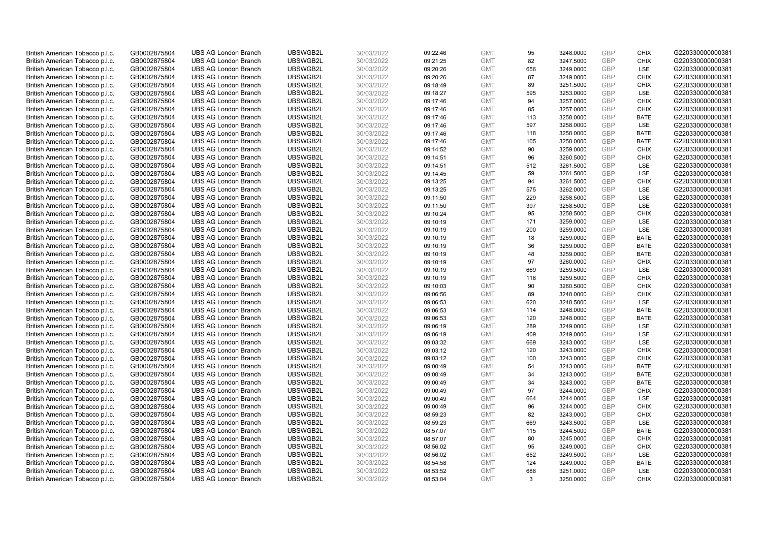| British American Tobacco p.l.c. | GB0002875804 | <b>UBS AG London Branch</b> | UBSWGB2L | 30/03/2022 | 09:22:46 | <b>GMT</b> | 95  | 3248.0000 | <b>GBP</b> | <b>CHIX</b> | G220330000000381 |
|---------------------------------|--------------|-----------------------------|----------|------------|----------|------------|-----|-----------|------------|-------------|------------------|
|                                 |              |                             |          |            |          |            |     |           | GBP        | <b>CHIX</b> |                  |
| British American Tobacco p.l.c. | GB0002875804 | <b>UBS AG London Branch</b> | UBSWGB2L | 30/03/2022 | 09:21:25 | <b>GMT</b> | 82  | 3247.5000 |            |             | G220330000000381 |
| British American Tobacco p.l.c. | GB0002875804 | <b>UBS AG London Branch</b> | UBSWGB2L | 30/03/2022 | 09:20:26 | <b>GMT</b> | 656 | 3249.0000 | GBP        | LSE         | G220330000000381 |
| British American Tobacco p.l.c. | GB0002875804 | <b>UBS AG London Branch</b> | UBSWGB2L | 30/03/2022 | 09:20:26 | <b>GMT</b> | 87  | 3249.0000 | GBP        | <b>CHIX</b> | G220330000000381 |
| British American Tobacco p.l.c. | GB0002875804 | <b>UBS AG London Branch</b> | UBSWGB2L | 30/03/2022 | 09:18:49 | <b>GMT</b> | 89  | 3251.5000 | <b>GBP</b> | <b>CHIX</b> | G220330000000381 |
| British American Tobacco p.l.c. | GB0002875804 | <b>UBS AG London Branch</b> | UBSWGB2L | 30/03/2022 | 09:18:27 | <b>GMT</b> | 595 | 3253.0000 | <b>GBP</b> | <b>LSE</b>  | G220330000000381 |
| British American Tobacco p.l.c. | GB0002875804 | <b>UBS AG London Branch</b> | UBSWGB2L | 30/03/2022 | 09:17:46 | <b>GMT</b> | 94  | 3257.0000 | GBP        | <b>CHIX</b> | G220330000000381 |
| British American Tobacco p.l.c. | GB0002875804 | <b>UBS AG London Branch</b> | UBSWGB2L | 30/03/2022 | 09:17:46 | <b>GMT</b> | 85  | 3257.0000 | <b>GBP</b> | <b>CHIX</b> | G220330000000381 |
| British American Tobacco p.l.c. | GB0002875804 | <b>UBS AG London Branch</b> | UBSWGB2L | 30/03/2022 | 09:17:46 | <b>GMT</b> | 113 | 3258.0000 | GBP        | <b>BATE</b> | G220330000000381 |
| British American Tobacco p.l.c. | GB0002875804 | <b>UBS AG London Branch</b> | UBSWGB2L | 30/03/2022 | 09:17:46 | <b>GMT</b> | 597 | 3258.0000 | <b>GBP</b> | <b>LSE</b>  | G220330000000381 |
| British American Tobacco p.l.c. | GB0002875804 | <b>UBS AG London Branch</b> | UBSWGB2L | 30/03/2022 | 09:17:46 | <b>GMT</b> | 118 | 3258.0000 | GBP        | <b>BATE</b> | G220330000000381 |
| British American Tobacco p.l.c. | GB0002875804 | <b>UBS AG London Branch</b> | UBSWGB2L | 30/03/2022 | 09:17:46 | <b>GMT</b> | 105 | 3258.0000 | <b>GBP</b> | <b>BATE</b> | G220330000000381 |
| British American Tobacco p.l.c. | GB0002875804 | <b>UBS AG London Branch</b> | UBSWGB2L | 30/03/2022 | 09:14:52 | <b>GMT</b> | 90  | 3259.0000 | GBP        | <b>CHIX</b> | G220330000000381 |
| British American Tobacco p.l.c. | GB0002875804 | <b>UBS AG London Branch</b> | UBSWGB2L | 30/03/2022 | 09:14:51 | <b>GMT</b> | 96  | 3260.5000 | <b>GBP</b> | <b>CHIX</b> | G220330000000381 |
| British American Tobacco p.l.c. | GB0002875804 | <b>UBS AG London Branch</b> | UBSWGB2L | 30/03/2022 | 09:14:51 | <b>GMT</b> | 512 | 3261.5000 | <b>GBP</b> | <b>LSE</b>  | G220330000000381 |
| British American Tobacco p.l.c. | GB0002875804 | <b>UBS AG London Branch</b> | UBSWGB2L | 30/03/2022 | 09:14:45 | <b>GMT</b> | 59  | 3261.5000 | GBP        | LSE         | G220330000000381 |
| British American Tobacco p.l.c. | GB0002875804 | <b>UBS AG London Branch</b> | UBSWGB2L | 30/03/2022 | 09:13:25 | <b>GMT</b> | 94  | 3261.5000 | GBP        | <b>CHIX</b> | G220330000000381 |
| British American Tobacco p.l.c. | GB0002875804 | <b>UBS AG London Branch</b> | UBSWGB2L | 30/03/2022 | 09:13:25 | <b>GMT</b> | 575 | 3262.0000 | <b>GBP</b> | LSE         | G220330000000381 |
| British American Tobacco p.l.c. | GB0002875804 | <b>UBS AG London Branch</b> | UBSWGB2L | 30/03/2022 | 09:11:50 | <b>GMT</b> | 229 | 3258.5000 | GBP        | <b>LSE</b>  | G220330000000381 |
|                                 | GB0002875804 | <b>UBS AG London Branch</b> | UBSWGB2L | 30/03/2022 | 09:11:50 | <b>GMT</b> | 397 | 3258.5000 | GBP        | LSE         | G220330000000381 |
| British American Tobacco p.l.c. |              |                             |          |            |          |            |     |           |            |             |                  |
| British American Tobacco p.l.c. | GB0002875804 | <b>UBS AG London Branch</b> | UBSWGB2L | 30/03/2022 | 09:10:24 | <b>GMT</b> | 95  | 3258.5000 | <b>GBP</b> | <b>CHIX</b> | G220330000000381 |
| British American Tobacco p.l.c. | GB0002875804 | <b>UBS AG London Branch</b> | UBSWGB2L | 30/03/2022 | 09:10:19 | <b>GMT</b> | 171 | 3259.0000 | GBP        | LSE         | G220330000000381 |
| British American Tobacco p.l.c. | GB0002875804 | <b>UBS AG London Branch</b> | UBSWGB2L | 30/03/2022 | 09:10:19 | <b>GMT</b> | 200 | 3259.0000 | <b>GBP</b> | LSE         | G220330000000381 |
| British American Tobacco p.l.c. | GB0002875804 | <b>UBS AG London Branch</b> | UBSWGB2L | 30/03/2022 | 09:10:19 | <b>GMT</b> | 18  | 3259.0000 | GBP        | <b>BATE</b> | G220330000000381 |
| British American Tobacco p.l.c. | GB0002875804 | <b>UBS AG London Branch</b> | UBSWGB2L | 30/03/2022 | 09:10:19 | <b>GMT</b> | 36  | 3259.0000 | <b>GBP</b> | <b>BATE</b> | G220330000000381 |
| British American Tobacco p.l.c. | GB0002875804 | <b>UBS AG London Branch</b> | UBSWGB2L | 30/03/2022 | 09:10:19 | <b>GMT</b> | 48  | 3259.0000 | GBP        | <b>BATE</b> | G220330000000381 |
| British American Tobacco p.l.c. | GB0002875804 | <b>UBS AG London Branch</b> | UBSWGB2L | 30/03/2022 | 09:10:19 | <b>GMT</b> | 97  | 3260.0000 | <b>GBP</b> | <b>CHIX</b> | G220330000000381 |
| British American Tobacco p.l.c. | GB0002875804 | <b>UBS AG London Branch</b> | UBSWGB2L | 30/03/2022 | 09:10:19 | <b>GMT</b> | 669 | 3259.5000 | <b>GBP</b> | <b>LSE</b>  | G220330000000381 |
| British American Tobacco p.l.c. | GB0002875804 | <b>UBS AG London Branch</b> | UBSWGB2L | 30/03/2022 | 09:10:19 | <b>GMT</b> | 116 | 3259.5000 | GBP        | <b>CHIX</b> | G220330000000381 |
| British American Tobacco p.l.c. | GB0002875804 | <b>UBS AG London Branch</b> | UBSWGB2L | 30/03/2022 | 09:10:03 | <b>GMT</b> | 90  | 3260.5000 | GBP        | <b>CHIX</b> | G220330000000381 |
| British American Tobacco p.l.c. | GB0002875804 | <b>UBS AG London Branch</b> | UBSWGB2L | 30/03/2022 | 09:06:56 | <b>GMT</b> | 89  | 3248.0000 | GBP        | <b>CHIX</b> | G220330000000381 |
| British American Tobacco p.l.c. | GB0002875804 | <b>UBS AG London Branch</b> | UBSWGB2L | 30/03/2022 | 09:06:53 | <b>GMT</b> | 620 | 3248.5000 | GBP        | <b>LSE</b>  | G220330000000381 |
| British American Tobacco p.l.c. | GB0002875804 | <b>UBS AG London Branch</b> | UBSWGB2L | 30/03/2022 | 09:06:53 | <b>GMT</b> | 114 | 3248.0000 | GBP        | <b>BATE</b> | G220330000000381 |
| British American Tobacco p.l.c. | GB0002875804 | <b>UBS AG London Branch</b> | UBSWGB2L | 30/03/2022 | 09:06:53 | <b>GMT</b> | 120 | 3248.0000 | GBP        | <b>BATE</b> | G220330000000381 |
| British American Tobacco p.l.c. | GB0002875804 | <b>UBS AG London Branch</b> | UBSWGB2L | 30/03/2022 | 09:06:19 | <b>GMT</b> | 289 | 3249.0000 | <b>GBP</b> | LSE         | G220330000000381 |
| British American Tobacco p.l.c. | GB0002875804 | <b>UBS AG London Branch</b> | UBSWGB2L | 30/03/2022 | 09:06:19 | <b>GMT</b> | 409 | 3249.0000 | <b>GBP</b> | LSE         | G220330000000381 |
| British American Tobacco p.l.c. | GB0002875804 | <b>UBS AG London Branch</b> | UBSWGB2L | 30/03/2022 | 09:03:32 | <b>GMT</b> | 669 | 3243.0000 | GBP        | LSE         | G220330000000381 |
| British American Tobacco p.l.c. | GB0002875804 | <b>UBS AG London Branch</b> | UBSWGB2L | 30/03/2022 | 09:03:12 | <b>GMT</b> | 120 | 3243.0000 | <b>GBP</b> | <b>CHIX</b> | G220330000000381 |
| British American Tobacco p.l.c. | GB0002875804 | <b>UBS AG London Branch</b> | UBSWGB2L | 30/03/2022 | 09:03:12 | <b>GMT</b> | 100 | 3243.0000 | GBP        | <b>CHIX</b> | G220330000000381 |
| British American Tobacco p.l.c. | GB0002875804 | <b>UBS AG London Branch</b> | UBSWGB2L | 30/03/2022 | 09:00:49 | <b>GMT</b> | 54  | 3243.0000 | <b>GBP</b> | <b>BATE</b> | G220330000000381 |
| British American Tobacco p.l.c. | GB0002875804 | <b>UBS AG London Branch</b> | UBSWGB2L | 30/03/2022 | 09:00:49 | <b>GMT</b> | 34  | 3243.0000 | <b>GBP</b> | <b>BATE</b> | G220330000000381 |
| British American Tobacco p.l.c. | GB0002875804 | <b>UBS AG London Branch</b> | UBSWGB2L | 30/03/2022 | 09:00:49 | <b>GMT</b> | 34  | 3243.0000 | GBP        | <b>BATE</b> | G220330000000381 |
|                                 | GB0002875804 |                             | UBSWGB2L | 30/03/2022 | 09:00:49 | <b>GMT</b> |     | 3244.0000 | GBP        | <b>CHIX</b> | G220330000000381 |
| British American Tobacco p.l.c. |              | <b>UBS AG London Branch</b> |          |            |          |            | 97  |           |            |             |                  |
| British American Tobacco p.l.c. | GB0002875804 | <b>UBS AG London Branch</b> | UBSWGB2L | 30/03/2022 | 09:00:49 | <b>GMT</b> | 664 | 3244.0000 | GBP        | <b>LSE</b>  | G220330000000381 |
| British American Tobacco p.l.c. | GB0002875804 | <b>UBS AG London Branch</b> | UBSWGB2L | 30/03/2022 | 09:00:49 | <b>GMT</b> | 96  | 3244.0000 | GBP        | <b>CHIX</b> | G220330000000381 |
| British American Tobacco p.l.c. | GB0002875804 | <b>UBS AG London Branch</b> | UBSWGB2L | 30/03/2022 | 08:59:23 | <b>GMT</b> | 82  | 3243.0000 | <b>GBP</b> | <b>CHIX</b> | G220330000000381 |
| British American Tobacco p.l.c. | GB0002875804 | <b>UBS AG London Branch</b> | UBSWGB2L | 30/03/2022 | 08:59:23 | <b>GMT</b> | 669 | 3243.5000 | GBP        | LSE         | G220330000000381 |
| British American Tobacco p.l.c. | GB0002875804 | <b>UBS AG London Branch</b> | UBSWGB2L | 30/03/2022 | 08:57:07 | <b>GMT</b> | 115 | 3244.5000 | GBP        | <b>BATE</b> | G220330000000381 |
| British American Tobacco p.l.c. | GB0002875804 | <b>UBS AG London Branch</b> | UBSWGB2L | 30/03/2022 | 08:57:07 | <b>GMT</b> | 80  | 3245.0000 | GBP        | <b>CHIX</b> | G220330000000381 |
| British American Tobacco p.l.c. | GB0002875804 | <b>UBS AG London Branch</b> | UBSWGB2L | 30/03/2022 | 08:56:02 | <b>GMT</b> | 95  | 3249.0000 | GBP        | <b>CHIX</b> | G220330000000381 |
| British American Tobacco p.l.c. | GB0002875804 | <b>UBS AG London Branch</b> | UBSWGB2L | 30/03/2022 | 08:56:02 | <b>GMT</b> | 652 | 3249.5000 | <b>GBP</b> | LSE         | G220330000000381 |
| British American Tobacco p.l.c. | GB0002875804 | <b>UBS AG London Branch</b> | UBSWGB2L | 30/03/2022 | 08:54:58 | <b>GMT</b> | 124 | 3249.0000 | <b>GBP</b> | <b>BATE</b> | G220330000000381 |
| British American Tobacco p.l.c. | GB0002875804 | <b>UBS AG London Branch</b> | UBSWGB2L | 30/03/2022 | 08:53:52 | <b>GMT</b> | 688 | 3251.0000 | GBP        | LSE         | G220330000000381 |
| British American Tobacco p.l.c. | GB0002875804 | <b>UBS AG London Branch</b> | UBSWGB2L | 30/03/2022 | 08:53:04 | <b>GMT</b> | 3   | 3250.0000 | GBP        | <b>CHIX</b> | G220330000000381 |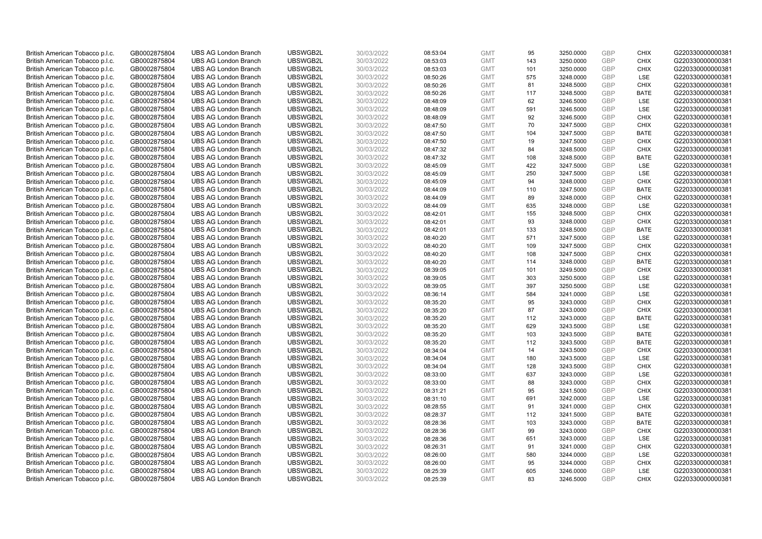| British American Tobacco p.l.c. | GB0002875804 | <b>UBS AG London Branch</b> | UBSWGB2L | 30/03/2022 | 08:53:04 | <b>GMT</b> | 95  | 3250.0000 | GBP        | <b>CHIX</b> | G220330000000381 |
|---------------------------------|--------------|-----------------------------|----------|------------|----------|------------|-----|-----------|------------|-------------|------------------|
| British American Tobacco p.l.c. | GB0002875804 | <b>UBS AG London Branch</b> | UBSWGB2L | 30/03/2022 | 08:53:03 | <b>GMT</b> | 143 | 3250.0000 | GBP        | <b>CHIX</b> | G220330000000381 |
| British American Tobacco p.l.c. | GB0002875804 | <b>UBS AG London Branch</b> | UBSWGB2L | 30/03/2022 | 08:53:03 | <b>GMT</b> | 101 | 3250.0000 | GBP        | <b>CHIX</b> | G220330000000381 |
| British American Tobacco p.l.c. | GB0002875804 | <b>UBS AG London Branch</b> | UBSWGB2L | 30/03/2022 | 08:50:26 | <b>GMT</b> | 575 | 3248.0000 | GBP        | LSE         | G220330000000381 |
| British American Tobacco p.l.c. | GB0002875804 | <b>UBS AG London Branch</b> | UBSWGB2L | 30/03/2022 | 08:50:26 | <b>GMT</b> | 81  | 3248.5000 | GBP        | <b>CHIX</b> | G220330000000381 |
| British American Tobacco p.l.c. | GB0002875804 | <b>UBS AG London Branch</b> | UBSWGB2L | 30/03/2022 | 08:50:26 | <b>GMT</b> | 117 | 3248.5000 | GBP        | <b>BATE</b> | G220330000000381 |
| British American Tobacco p.l.c. | GB0002875804 | <b>UBS AG London Branch</b> | UBSWGB2L | 30/03/2022 | 08:48:09 | <b>GMT</b> | 62  | 3246.5000 | GBP        | LSE         | G220330000000381 |
| British American Tobacco p.l.c. | GB0002875804 | <b>UBS AG London Branch</b> | UBSWGB2L | 30/03/2022 | 08:48:09 | <b>GMT</b> | 591 | 3246.5000 | GBP        | LSE         | G220330000000381 |
| British American Tobacco p.l.c. | GB0002875804 | <b>UBS AG London Branch</b> | UBSWGB2L | 30/03/2022 | 08:48:09 | <b>GMT</b> | 92  | 3246.5000 | GBP        | <b>CHIX</b> | G220330000000381 |
| British American Tobacco p.l.c. | GB0002875804 | <b>UBS AG London Branch</b> | UBSWGB2L | 30/03/2022 | 08:47:50 | <b>GMT</b> | 70  | 3247.5000 | <b>GBP</b> | <b>CHIX</b> | G220330000000381 |
| British American Tobacco p.l.c. | GB0002875804 | <b>UBS AG London Branch</b> | UBSWGB2L | 30/03/2022 | 08:47:50 | <b>GMT</b> | 104 | 3247.5000 | GBP        | <b>BATE</b> | G220330000000381 |
| British American Tobacco p.l.c. | GB0002875804 | <b>UBS AG London Branch</b> | UBSWGB2L | 30/03/2022 | 08:47:50 | <b>GMT</b> | 19  | 3247.5000 | <b>GBP</b> | <b>CHIX</b> | G220330000000381 |
| British American Tobacco p.l.c. | GB0002875804 | <b>UBS AG London Branch</b> | UBSWGB2L | 30/03/2022 | 08:47:32 | <b>GMT</b> | 84  | 3248.5000 | GBP        | <b>CHIX</b> | G220330000000381 |
| British American Tobacco p.l.c. | GB0002875804 | <b>UBS AG London Branch</b> | UBSWGB2L | 30/03/2022 | 08:47:32 | <b>GMT</b> | 108 | 3248.5000 | GBP        | <b>BATE</b> | G220330000000381 |
| British American Tobacco p.l.c. | GB0002875804 | <b>UBS AG London Branch</b> | UBSWGB2L | 30/03/2022 | 08:45:09 | <b>GMT</b> | 422 | 3247.5000 | GBP        | LSE         | G220330000000381 |
| British American Tobacco p.l.c. | GB0002875804 | <b>UBS AG London Branch</b> | UBSWGB2L | 30/03/2022 | 08:45:09 | <b>GMT</b> | 250 | 3247.5000 | GBP        | LSE         | G220330000000381 |
| British American Tobacco p.l.c. | GB0002875804 | <b>UBS AG London Branch</b> | UBSWGB2L | 30/03/2022 | 08:45:09 | <b>GMT</b> | 94  | 3248.0000 | GBP        | <b>CHIX</b> | G220330000000381 |
| British American Tobacco p.l.c. | GB0002875804 | <b>UBS AG London Branch</b> | UBSWGB2L | 30/03/2022 | 08:44:09 | <b>GMT</b> | 110 | 3247.5000 | GBP        | <b>BATE</b> | G220330000000381 |
| British American Tobacco p.l.c. | GB0002875804 | <b>UBS AG London Branch</b> | UBSWGB2L | 30/03/2022 | 08:44:09 | <b>GMT</b> | 89  | 3248.0000 | GBP        | <b>CHIX</b> | G220330000000381 |
| British American Tobacco p.l.c. | GB0002875804 | <b>UBS AG London Branch</b> | UBSWGB2L | 30/03/2022 | 08:44:09 | <b>GMT</b> | 635 | 3248.0000 | GBP        | LSE         | G220330000000381 |
| British American Tobacco p.l.c. | GB0002875804 | <b>UBS AG London Branch</b> | UBSWGB2L | 30/03/2022 | 08:42:01 | <b>GMT</b> | 155 | 3248.5000 | GBP        | <b>CHIX</b> | G220330000000381 |
| British American Tobacco p.l.c. | GB0002875804 | <b>UBS AG London Branch</b> | UBSWGB2L | 30/03/2022 | 08:42:01 | <b>GMT</b> | 93  | 3248.0000 | GBP        | <b>CHIX</b> | G220330000000381 |
| British American Tobacco p.l.c. | GB0002875804 | <b>UBS AG London Branch</b> | UBSWGB2L | 30/03/2022 | 08:42:01 | <b>GMT</b> | 133 | 3248.5000 | GBP        | <b>BATE</b> | G220330000000381 |
| British American Tobacco p.l.c. | GB0002875804 | <b>UBS AG London Branch</b> | UBSWGB2L | 30/03/2022 | 08:40:20 | <b>GMT</b> | 571 | 3247.5000 | GBP        | LSE         | G220330000000381 |
| British American Tobacco p.l.c. | GB0002875804 | <b>UBS AG London Branch</b> | UBSWGB2L | 30/03/2022 | 08:40:20 | <b>GMT</b> | 109 | 3247.5000 | <b>GBP</b> | <b>CHIX</b> | G220330000000381 |
| British American Tobacco p.l.c. | GB0002875804 | <b>UBS AG London Branch</b> | UBSWGB2L | 30/03/2022 | 08:40:20 | <b>GMT</b> | 108 | 3247.5000 | GBP        | <b>CHIX</b> | G220330000000381 |
| British American Tobacco p.l.c. | GB0002875804 | <b>UBS AG London Branch</b> | UBSWGB2L | 30/03/2022 | 08:40:20 | <b>GMT</b> | 114 | 3248.0000 | GBP        | <b>BATE</b> | G220330000000381 |
| British American Tobacco p.l.c. | GB0002875804 | <b>UBS AG London Branch</b> | UBSWGB2L | 30/03/2022 | 08:39:05 | <b>GMT</b> | 101 | 3249.5000 | GBP        | <b>CHIX</b> | G220330000000381 |
| British American Tobacco p.l.c. | GB0002875804 | <b>UBS AG London Branch</b> | UBSWGB2L | 30/03/2022 | 08:39:05 | <b>GMT</b> | 303 | 3250.5000 | GBP        | LSE         | G220330000000381 |
| British American Tobacco p.l.c. | GB0002875804 | <b>UBS AG London Branch</b> | UBSWGB2L | 30/03/2022 | 08:39:05 | <b>GMT</b> | 397 | 3250.5000 | GBP        | LSE         | G220330000000381 |
| British American Tobacco p.l.c. | GB0002875804 | <b>UBS AG London Branch</b> | UBSWGB2L | 30/03/2022 | 08:36:14 | <b>GMT</b> | 584 | 3241.0000 | GBP        | LSE         | G220330000000381 |
| British American Tobacco p.l.c. | GB0002875804 | <b>UBS AG London Branch</b> | UBSWGB2L | 30/03/2022 | 08:35:20 | <b>GMT</b> | 95  | 3243.0000 | GBP        | <b>CHIX</b> | G220330000000381 |
| British American Tobacco p.l.c. | GB0002875804 | <b>UBS AG London Branch</b> | UBSWGB2L | 30/03/2022 | 08:35:20 | <b>GMT</b> | 87  | 3243.0000 | GBP        | <b>CHIX</b> | G220330000000381 |
| British American Tobacco p.l.c. | GB0002875804 | <b>UBS AG London Branch</b> | UBSWGB2L | 30/03/2022 | 08:35:20 | <b>GMT</b> | 112 | 3243.0000 | GBP        | <b>BATE</b> | G220330000000381 |
| British American Tobacco p.l.c. | GB0002875804 | <b>UBS AG London Branch</b> | UBSWGB2L | 30/03/2022 | 08:35:20 | <b>GMT</b> | 629 | 3243.5000 | GBP        | LSE         | G220330000000381 |
| British American Tobacco p.l.c. | GB0002875804 | <b>UBS AG London Branch</b> | UBSWGB2L | 30/03/2022 | 08:35:20 | <b>GMT</b> | 103 | 3243.5000 | GBP        | <b>BATE</b> | G220330000000381 |
| British American Tobacco p.l.c. | GB0002875804 | <b>UBS AG London Branch</b> | UBSWGB2L | 30/03/2022 | 08:35:20 | <b>GMT</b> | 112 | 3243.5000 | GBP        | <b>BATE</b> | G220330000000381 |
| British American Tobacco p.l.c. | GB0002875804 | <b>UBS AG London Branch</b> | UBSWGB2L | 30/03/2022 | 08:34:04 | <b>GMT</b> | 14  | 3243.5000 | GBP        | <b>CHIX</b> | G220330000000381 |
| British American Tobacco p.l.c. | GB0002875804 | <b>UBS AG London Branch</b> | UBSWGB2L | 30/03/2022 | 08:34:04 | <b>GMT</b> | 180 | 3243.5000 | GBP        | LSE         | G220330000000381 |
| British American Tobacco p.l.c. | GB0002875804 | <b>UBS AG London Branch</b> | UBSWGB2L | 30/03/2022 | 08:34:04 | <b>GMT</b> | 128 | 3243.5000 | GBP        | <b>CHIX</b> | G220330000000381 |
| British American Tobacco p.l.c. | GB0002875804 | <b>UBS AG London Branch</b> | UBSWGB2L | 30/03/2022 | 08:33:00 | <b>GMT</b> | 637 | 3243.0000 | GBP        | <b>LSE</b>  | G220330000000381 |
| British American Tobacco p.l.c. | GB0002875804 | <b>UBS AG London Branch</b> | UBSWGB2L | 30/03/2022 | 08:33:00 | <b>GMT</b> | 88  | 3243.0000 | GBP        | <b>CHIX</b> | G220330000000381 |
| British American Tobacco p.l.c. | GB0002875804 | <b>UBS AG London Branch</b> | UBSWGB2L | 30/03/2022 | 08:31:21 | <b>GMT</b> | 95  | 3241.5000 | GBP        | <b>CHIX</b> | G220330000000381 |
| British American Tobacco p.l.c. | GB0002875804 | <b>UBS AG London Branch</b> | UBSWGB2L | 30/03/2022 | 08:31:10 | <b>GMT</b> | 691 | 3242.0000 | GBP        | LSE         | G220330000000381 |
| British American Tobacco p.l.c. | GB0002875804 | <b>UBS AG London Branch</b> | UBSWGB2L | 30/03/2022 | 08:28:55 | <b>GMT</b> | 91  | 3241.0000 | GBP        | <b>CHIX</b> | G220330000000381 |
| British American Tobacco p.l.c. | GB0002875804 | <b>UBS AG London Branch</b> | UBSWGB2L | 30/03/2022 | 08:28:37 | <b>GMT</b> | 112 | 3241.5000 | GBP        | <b>BATE</b> | G220330000000381 |
| British American Tobacco p.l.c. | GB0002875804 | <b>UBS AG London Branch</b> | UBSWGB2L | 30/03/2022 | 08:28:36 | <b>GMT</b> | 103 | 3243.0000 | GBP        | <b>BATE</b> | G220330000000381 |
| British American Tobacco p.l.c. | GB0002875804 | <b>UBS AG London Branch</b> | UBSWGB2L | 30/03/2022 | 08:28:36 | <b>GMT</b> | 99  | 3243.0000 | GBP        | <b>CHIX</b> | G220330000000381 |
| British American Tobacco p.l.c. | GB0002875804 | <b>UBS AG London Branch</b> | UBSWGB2L | 30/03/2022 | 08:28:36 | <b>GMT</b> | 651 | 3243.0000 | GBP        | LSE         | G220330000000381 |
| British American Tobacco p.l.c. | GB0002875804 | <b>UBS AG London Branch</b> | UBSWGB2L | 30/03/2022 | 08:26:31 | <b>GMT</b> | 91  | 3241.0000 | GBP        | <b>CHIX</b> | G220330000000381 |
| British American Tobacco p.l.c. | GB0002875804 | <b>UBS AG London Branch</b> | UBSWGB2L | 30/03/2022 | 08:26:00 | <b>GMT</b> | 580 | 3244.0000 | GBP        | LSE         | G220330000000381 |
| British American Tobacco p.l.c. | GB0002875804 | <b>UBS AG London Branch</b> | UBSWGB2L | 30/03/2022 | 08:26:00 | <b>GMT</b> | 95  | 3244.0000 | <b>GBP</b> | <b>CHIX</b> | G220330000000381 |
| British American Tobacco p.l.c. | GB0002875804 | <b>UBS AG London Branch</b> | UBSWGB2L | 30/03/2022 | 08:25:39 | <b>GMT</b> | 605 | 3246.0000 | GBP        | LSE         | G220330000000381 |
| British American Tobacco p.l.c. | GB0002875804 | <b>UBS AG London Branch</b> | UBSWGB2L | 30/03/2022 | 08:25:39 | <b>GMT</b> | 83  | 3246.5000 | GBP        | <b>CHIX</b> | G220330000000381 |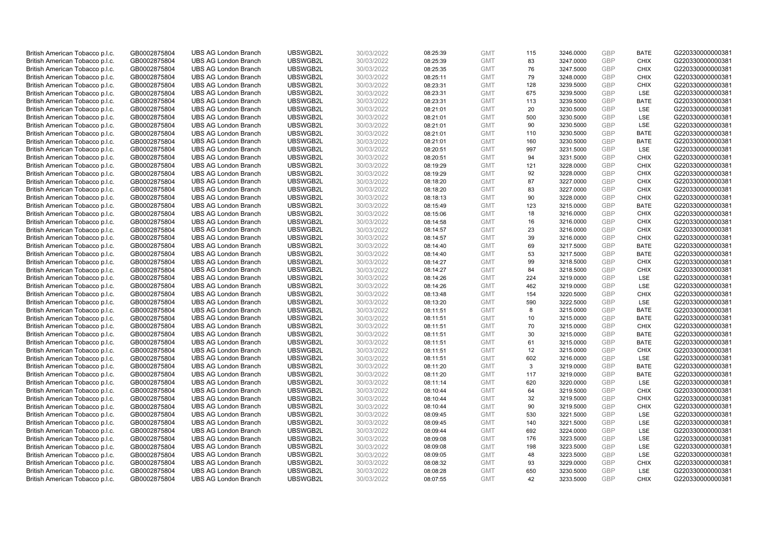| British American Tobacco p.l.c. | GB0002875804 | <b>UBS AG London Branch</b> | UBSWGB2L | 30/03/2022 | 08:25:39 | <b>GMT</b> | 115 | 3246.0000 | <b>GBP</b> | <b>BATE</b> | G220330000000381 |
|---------------------------------|--------------|-----------------------------|----------|------------|----------|------------|-----|-----------|------------|-------------|------------------|
| British American Tobacco p.l.c. | GB0002875804 | <b>UBS AG London Branch</b> | UBSWGB2L | 30/03/2022 | 08:25:39 | <b>GMT</b> | 83  | 3247.0000 | <b>GBP</b> | <b>CHIX</b> | G220330000000381 |
| British American Tobacco p.l.c. | GB0002875804 | <b>UBS AG London Branch</b> | UBSWGB2L | 30/03/2022 | 08:25:35 | <b>GMT</b> | 76  | 3247.5000 | GBP        | <b>CHIX</b> | G220330000000381 |
| British American Tobacco p.l.c. | GB0002875804 | <b>UBS AG London Branch</b> | UBSWGB2L | 30/03/2022 | 08:25:11 | <b>GMT</b> | 79  | 3248.0000 | GBP        | <b>CHIX</b> | G220330000000381 |
| British American Tobacco p.l.c. | GB0002875804 | <b>UBS AG London Branch</b> | UBSWGB2L | 30/03/2022 | 08:23:31 | <b>GMT</b> | 128 | 3239.5000 | <b>GBP</b> | <b>CHIX</b> | G220330000000381 |
| British American Tobacco p.l.c. | GB0002875804 | <b>UBS AG London Branch</b> | UBSWGB2L | 30/03/2022 | 08:23:31 | <b>GMT</b> | 675 | 3239.5000 | <b>GBP</b> | <b>LSE</b>  | G220330000000381 |
| British American Tobacco p.l.c. | GB0002875804 | <b>UBS AG London Branch</b> | UBSWGB2L | 30/03/2022 | 08:23:31 | <b>GMT</b> | 113 | 3239.5000 | GBP        | <b>BATE</b> | G220330000000381 |
| British American Tobacco p.l.c. | GB0002875804 | <b>UBS AG London Branch</b> | UBSWGB2L | 30/03/2022 | 08:21:01 | <b>GMT</b> | 20  | 3230.5000 | <b>GBP</b> | <b>LSE</b>  | G220330000000381 |
| British American Tobacco p.l.c. | GB0002875804 | <b>UBS AG London Branch</b> | UBSWGB2L | 30/03/2022 | 08:21:01 | <b>GMT</b> | 500 | 3230.5000 | GBP        | LSE         | G220330000000381 |
| British American Tobacco p.l.c. | GB0002875804 | <b>UBS AG London Branch</b> | UBSWGB2L | 30/03/2022 | 08:21:01 | <b>GMT</b> | 90  | 3230.5000 | <b>GBP</b> | <b>LSE</b>  | G220330000000381 |
| British American Tobacco p.l.c. | GB0002875804 | <b>UBS AG London Branch</b> | UBSWGB2L | 30/03/2022 | 08:21:01 | <b>GMT</b> | 110 | 3230.5000 | GBP        | <b>BATE</b> | G220330000000381 |
| British American Tobacco p.l.c. | GB0002875804 | <b>UBS AG London Branch</b> | UBSWGB2L | 30/03/2022 | 08:21:01 | <b>GMT</b> | 160 | 3230.5000 | <b>GBP</b> | <b>BATE</b> | G220330000000381 |
| British American Tobacco p.l.c. | GB0002875804 | <b>UBS AG London Branch</b> | UBSWGB2L | 30/03/2022 | 08:20:51 | <b>GMT</b> | 997 | 3231.5000 | <b>GBP</b> | LSE         | G220330000000381 |
| British American Tobacco p.l.c. | GB0002875804 | <b>UBS AG London Branch</b> | UBSWGB2L | 30/03/2022 | 08:20:51 | <b>GMT</b> | 94  | 3231.5000 | <b>GBP</b> | <b>CHIX</b> | G220330000000381 |
| British American Tobacco p.l.c. | GB0002875804 | <b>UBS AG London Branch</b> | UBSWGB2L | 30/03/2022 | 08:19:29 | <b>GMT</b> | 121 | 3228.0000 | <b>GBP</b> | <b>CHIX</b> | G220330000000381 |
|                                 |              |                             | UBSWGB2L |            |          |            |     |           |            |             | G220330000000381 |
| British American Tobacco p.l.c. | GB0002875804 | <b>UBS AG London Branch</b> |          | 30/03/2022 | 08:19:29 | <b>GMT</b> | 92  | 3228.0000 | GBP        | <b>CHIX</b> |                  |
| British American Tobacco p.l.c. | GB0002875804 | <b>UBS AG London Branch</b> | UBSWGB2L | 30/03/2022 | 08:18:20 | <b>GMT</b> | 87  | 3227.0000 | GBP        | <b>CHIX</b> | G220330000000381 |
| British American Tobacco p.l.c. | GB0002875804 | <b>UBS AG London Branch</b> | UBSWGB2L | 30/03/2022 | 08:18:20 | <b>GMT</b> | 83  | 3227.0000 | GBP        | <b>CHIX</b> | G220330000000381 |
| British American Tobacco p.l.c. | GB0002875804 | <b>UBS AG London Branch</b> | UBSWGB2L | 30/03/2022 | 08:18:13 | <b>GMT</b> | 90  | 3228.0000 | <b>GBP</b> | <b>CHIX</b> | G220330000000381 |
| British American Tobacco p.l.c. | GB0002875804 | <b>UBS AG London Branch</b> | UBSWGB2L | 30/03/2022 | 08:15:49 | <b>GMT</b> | 123 | 3215.0000 | GBP        | <b>BATE</b> | G220330000000381 |
| British American Tobacco p.l.c. | GB0002875804 | <b>UBS AG London Branch</b> | UBSWGB2L | 30/03/2022 | 08:15:06 | <b>GMT</b> | 18  | 3216.0000 | <b>GBP</b> | <b>CHIX</b> | G220330000000381 |
| British American Tobacco p.l.c. | GB0002875804 | <b>UBS AG London Branch</b> | UBSWGB2L | 30/03/2022 | 08:14:58 | <b>GMT</b> | 16  | 3216.0000 | GBP        | <b>CHIX</b> | G220330000000381 |
| British American Tobacco p.l.c. | GB0002875804 | <b>UBS AG London Branch</b> | UBSWGB2L | 30/03/2022 | 08:14:57 | <b>GMT</b> | 23  | 3216.0000 | <b>GBP</b> | <b>CHIX</b> | G220330000000381 |
| British American Tobacco p.l.c. | GB0002875804 | <b>UBS AG London Branch</b> | UBSWGB2L | 30/03/2022 | 08:14:57 | <b>GMT</b> | 39  | 3216.0000 | GBP        | <b>CHIX</b> | G220330000000381 |
| British American Tobacco p.l.c. | GB0002875804 | <b>UBS AG London Branch</b> | UBSWGB2L | 30/03/2022 | 08:14:40 | <b>GMT</b> | 69  | 3217.5000 | <b>GBP</b> | <b>BATE</b> | G220330000000381 |
| British American Tobacco p.l.c. | GB0002875804 | <b>UBS AG London Branch</b> | UBSWGB2L | 30/03/2022 | 08:14:40 | <b>GMT</b> | 53  | 3217.5000 | <b>GBP</b> | <b>BATE</b> | G220330000000381 |
| British American Tobacco p.l.c. | GB0002875804 | <b>UBS AG London Branch</b> | UBSWGB2L | 30/03/2022 | 08:14:27 | <b>GMT</b> | 99  | 3218.5000 | <b>GBP</b> | <b>CHIX</b> | G220330000000381 |
| British American Tobacco p.l.c. | GB0002875804 | <b>UBS AG London Branch</b> | UBSWGB2L | 30/03/2022 | 08:14:27 | <b>GMT</b> | 84  | 3218.5000 | <b>GBP</b> | <b>CHIX</b> | G220330000000381 |
| British American Tobacco p.l.c. | GB0002875804 | <b>UBS AG London Branch</b> | UBSWGB2L | 30/03/2022 | 08:14:26 | <b>GMT</b> | 224 | 3219.0000 | GBP        | <b>LSE</b>  | G220330000000381 |
| British American Tobacco p.l.c. | GB0002875804 | <b>UBS AG London Branch</b> | UBSWGB2L | 30/03/2022 | 08:14:26 | <b>GMT</b> | 462 | 3219.0000 | <b>GBP</b> | LSE         | G220330000000381 |
| British American Tobacco p.l.c. | GB0002875804 | <b>UBS AG London Branch</b> | UBSWGB2L | 30/03/2022 | 08:13:48 | <b>GMT</b> | 154 | 3220.5000 | GBP        | <b>CHIX</b> | G220330000000381 |
| British American Tobacco p.l.c. | GB0002875804 | <b>UBS AG London Branch</b> | UBSWGB2L | 30/03/2022 | 08:13:20 | <b>GMT</b> | 590 | 3222.5000 | GBP        | <b>LSE</b>  | G220330000000381 |
| British American Tobacco p.l.c. | GB0002875804 | <b>UBS AG London Branch</b> | UBSWGB2L | 30/03/2022 | 08:11:51 | <b>GMT</b> | 8   | 3215.0000 | GBP        | <b>BATE</b> | G220330000000381 |
| British American Tobacco p.l.c. | GB0002875804 | <b>UBS AG London Branch</b> | UBSWGB2L | 30/03/2022 | 08:11:51 | <b>GMT</b> | 10  | 3215.0000 | GBP        | <b>BATE</b> | G220330000000381 |
| British American Tobacco p.l.c. | GB0002875804 | <b>UBS AG London Branch</b> | UBSWGB2L | 30/03/2022 | 08:11:51 | <b>GMT</b> | 70  | 3215.0000 | GBP        | <b>CHIX</b> | G220330000000381 |
| British American Tobacco p.l.c. | GB0002875804 | <b>UBS AG London Branch</b> | UBSWGB2L | 30/03/2022 | 08:11:51 | <b>GMT</b> | 30  | 3215.0000 | <b>GBP</b> | <b>BATE</b> | G220330000000381 |
| British American Tobacco p.l.c. | GB0002875804 | <b>UBS AG London Branch</b> | UBSWGB2L | 30/03/2022 | 08:11:51 | <b>GMT</b> | 61  | 3215.0000 | GBP        | <b>BATE</b> | G220330000000381 |
| British American Tobacco p.l.c. | GB0002875804 | <b>UBS AG London Branch</b> | UBSWGB2L | 30/03/2022 | 08:11:51 | <b>GMT</b> | 12  | 3215.0000 | <b>GBP</b> | <b>CHIX</b> | G220330000000381 |
| British American Tobacco p.l.c. | GB0002875804 | <b>UBS AG London Branch</b> | UBSWGB2L | 30/03/2022 | 08:11:51 | <b>GMT</b> | 602 | 3216.0000 | GBP        | LSE         | G220330000000381 |
| British American Tobacco p.l.c. | GB0002875804 | <b>UBS AG London Branch</b> | UBSWGB2L | 30/03/2022 | 08:11:20 | <b>GMT</b> | 3   | 3219.0000 | <b>GBP</b> | <b>BATE</b> | G220330000000381 |
| British American Tobacco p.l.c. | GB0002875804 | <b>UBS AG London Branch</b> | UBSWGB2L | 30/03/2022 | 08:11:20 | <b>GMT</b> | 117 | 3219.0000 | <b>GBP</b> | <b>BATE</b> | G220330000000381 |
| British American Tobacco p.l.c. | GB0002875804 | <b>UBS AG London Branch</b> | UBSWGB2L | 30/03/2022 | 08:11:14 | <b>GMT</b> | 620 | 3220.0000 | GBP        | LSE         | G220330000000381 |
|                                 | GB0002875804 |                             | UBSWGB2L | 30/03/2022 | 08:10:44 | <b>GMT</b> | 64  | 3219.5000 | <b>GBP</b> | <b>CHIX</b> | G220330000000381 |
| British American Tobacco p.l.c. |              | <b>UBS AG London Branch</b> |          |            |          |            |     |           |            |             |                  |
| British American Tobacco p.l.c. | GB0002875804 | <b>UBS AG London Branch</b> | UBSWGB2L | 30/03/2022 | 08:10:44 | <b>GMT</b> | 32  | 3219.5000 | GBP        | <b>CHIX</b> | G220330000000381 |
| British American Tobacco p.l.c. | GB0002875804 | <b>UBS AG London Branch</b> | UBSWGB2L | 30/03/2022 | 08:10:44 | <b>GMT</b> | 90  | 3219.5000 | GBP        | <b>CHIX</b> | G220330000000381 |
| British American Tobacco p.l.c. | GB0002875804 | <b>UBS AG London Branch</b> | UBSWGB2L | 30/03/2022 | 08:09:45 | <b>GMT</b> | 530 | 3221.5000 | <b>GBP</b> | LSE         | G220330000000381 |
| British American Tobacco p.l.c. | GB0002875804 | <b>UBS AG London Branch</b> | UBSWGB2L | 30/03/2022 | 08:09:45 | <b>GMT</b> | 140 | 3221.5000 | <b>GBP</b> | LSE         | G220330000000381 |
| British American Tobacco p.l.c. | GB0002875804 | <b>UBS AG London Branch</b> | UBSWGB2L | 30/03/2022 | 08:09:44 | <b>GMT</b> | 692 | 3224.0000 | <b>GBP</b> | LSE         | G220330000000381 |
| British American Tobacco p.l.c. | GB0002875804 | <b>UBS AG London Branch</b> | UBSWGB2L | 30/03/2022 | 08:09:08 | <b>GMT</b> | 176 | 3223.5000 | GBP        | LSE         | G220330000000381 |
| British American Tobacco p.l.c. | GB0002875804 | <b>UBS AG London Branch</b> | UBSWGB2L | 30/03/2022 | 08:09:08 | <b>GMT</b> | 198 | 3223.5000 | <b>GBP</b> | LSE         | G220330000000381 |
| British American Tobacco p.l.c. | GB0002875804 | <b>UBS AG London Branch</b> | UBSWGB2L | 30/03/2022 | 08:09:05 | <b>GMT</b> | 48  | 3223.5000 | <b>GBP</b> | LSE         | G220330000000381 |
| British American Tobacco p.l.c. | GB0002875804 | <b>UBS AG London Branch</b> | UBSWGB2L | 30/03/2022 | 08:08:32 | <b>GMT</b> | 93  | 3229.0000 | <b>GBP</b> | <b>CHIX</b> | G220330000000381 |
| British American Tobacco p.l.c. | GB0002875804 | <b>UBS AG London Branch</b> | UBSWGB2L | 30/03/2022 | 08:08:28 | <b>GMT</b> | 650 | 3230.5000 | GBP        | LSE         | G220330000000381 |
| British American Tobacco p.l.c. | GB0002875804 | <b>UBS AG London Branch</b> | UBSWGB2L | 30/03/2022 | 08:07:55 | <b>GMT</b> | 42  | 3233.5000 | GBP        | <b>CHIX</b> | G220330000000381 |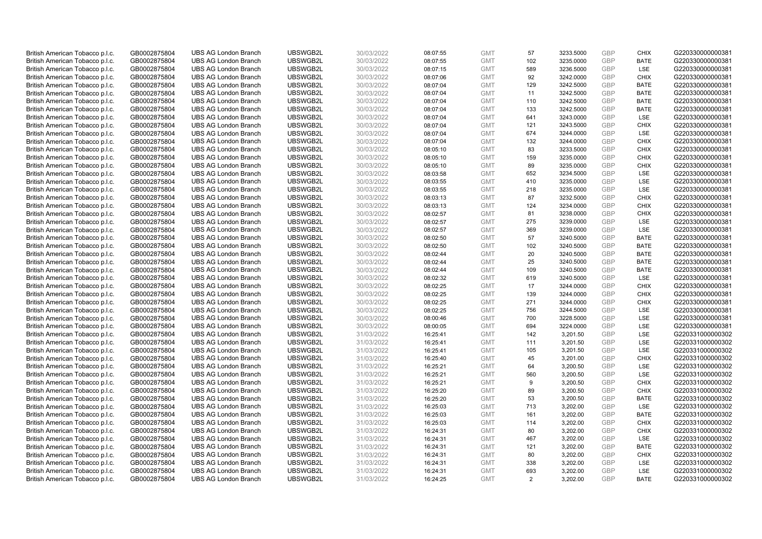| British American Tobacco p.l.c. | GB0002875804 | <b>UBS AG London Branch</b> | UBSWGB2L | 30/03/2022 | 08:07:55 | <b>GMT</b> | 57  | 3233.5000 | <b>GBP</b> | <b>CHIX</b> | G220330000000381 |
|---------------------------------|--------------|-----------------------------|----------|------------|----------|------------|-----|-----------|------------|-------------|------------------|
| British American Tobacco p.l.c. | GB0002875804 | <b>UBS AG London Branch</b> | UBSWGB2L | 30/03/2022 | 08:07:55 | <b>GMT</b> | 102 | 3235.0000 | GBP        | <b>BATE</b> | G220330000000381 |
| British American Tobacco p.l.c. | GB0002875804 | <b>UBS AG London Branch</b> | UBSWGB2L | 30/03/2022 | 08:07:15 | <b>GMT</b> | 589 | 3236.5000 | <b>GBP</b> | LSE         | G220330000000381 |
| British American Tobacco p.l.c. | GB0002875804 | <b>UBS AG London Branch</b> | UBSWGB2L | 30/03/2022 | 08:07:06 | <b>GMT</b> | 92  | 3242.0000 | GBP        | <b>CHIX</b> | G220330000000381 |
| British American Tobacco p.l.c. | GB0002875804 | <b>UBS AG London Branch</b> | UBSWGB2L | 30/03/2022 | 08:07:04 | <b>GMT</b> | 129 | 3242.5000 | <b>GBP</b> | <b>BATE</b> | G220330000000381 |
| British American Tobacco p.l.c. | GB0002875804 | <b>UBS AG London Branch</b> | UBSWGB2L | 30/03/2022 | 08:07:04 | <b>GMT</b> | 11  | 3242.5000 | GBP        | <b>BATE</b> | G220330000000381 |
| British American Tobacco p.l.c. | GB0002875804 | <b>UBS AG London Branch</b> | UBSWGB2L | 30/03/2022 | 08:07:04 | <b>GMT</b> | 110 | 3242.5000 | <b>GBP</b> | <b>BATE</b> | G220330000000381 |
| British American Tobacco p.l.c. | GB0002875804 | <b>UBS AG London Branch</b> | UBSWGB2L | 30/03/2022 | 08:07:04 | <b>GMT</b> | 133 | 3242.5000 | <b>GBP</b> | <b>BATE</b> | G220330000000381 |
| British American Tobacco p.l.c. | GB0002875804 | <b>UBS AG London Branch</b> | UBSWGB2L | 30/03/2022 | 08:07:04 | <b>GMT</b> | 641 | 3243.0000 | <b>GBP</b> | <b>LSE</b>  | G220330000000381 |
| British American Tobacco p.l.c. | GB0002875804 | <b>UBS AG London Branch</b> | UBSWGB2L | 30/03/2022 | 08:07:04 | <b>GMT</b> | 121 | 3243.5000 | <b>GBP</b> | <b>CHIX</b> | G220330000000381 |
| British American Tobacco p.l.c. | GB0002875804 | <b>UBS AG London Branch</b> | UBSWGB2L | 30/03/2022 | 08:07:04 | <b>GMT</b> | 674 | 3244.0000 | <b>GBP</b> | LSE         | G220330000000381 |
| British American Tobacco p.l.c. | GB0002875804 | <b>UBS AG London Branch</b> | UBSWGB2L | 30/03/2022 | 08:07:04 | <b>GMT</b> | 132 | 3244.0000 | <b>GBP</b> | <b>CHIX</b> | G220330000000381 |
| British American Tobacco p.l.c. | GB0002875804 | <b>UBS AG London Branch</b> | UBSWGB2L | 30/03/2022 | 08:05:10 | <b>GMT</b> | 83  | 3233.5000 | GBP        | <b>CHIX</b> | G220330000000381 |
| British American Tobacco p.l.c. | GB0002875804 | <b>UBS AG London Branch</b> | UBSWGB2L | 30/03/2022 | 08:05:10 | <b>GMT</b> | 159 | 3235.0000 | <b>GBP</b> | <b>CHIX</b> | G220330000000381 |
| British American Tobacco p.l.c. | GB0002875804 | <b>UBS AG London Branch</b> | UBSWGB2L | 30/03/2022 | 08:05:10 | <b>GMT</b> | 89  | 3235.0000 | GBP        | <b>CHIX</b> | G220330000000381 |
| British American Tobacco p.l.c. | GB0002875804 | <b>UBS AG London Branch</b> | UBSWGB2L | 30/03/2022 | 08:03:58 | <b>GMT</b> | 652 | 3234.5000 | <b>GBP</b> | LSE         | G220330000000381 |
| British American Tobacco p.l.c. | GB0002875804 | <b>UBS AG London Branch</b> | UBSWGB2L | 30/03/2022 | 08:03:55 | <b>GMT</b> | 410 | 3235.0000 | <b>GBP</b> | LSE         | G220330000000381 |
| British American Tobacco p.l.c. | GB0002875804 | <b>UBS AG London Branch</b> | UBSWGB2L | 30/03/2022 | 08:03:55 | <b>GMT</b> | 218 | 3235.0000 | GBP        | LSE         | G220330000000381 |
| British American Tobacco p.l.c. | GB0002875804 | <b>UBS AG London Branch</b> | UBSWGB2L | 30/03/2022 | 08:03:13 | <b>GMT</b> | 87  | 3232.5000 | GBP        | <b>CHIX</b> | G220330000000381 |
| British American Tobacco p.l.c. | GB0002875804 | <b>UBS AG London Branch</b> | UBSWGB2L | 30/03/2022 | 08:03:13 | <b>GMT</b> | 124 | 3234.0000 | <b>GBP</b> | <b>CHIX</b> | G220330000000381 |
| British American Tobacco p.l.c. | GB0002875804 | <b>UBS AG London Branch</b> | UBSWGB2L | 30/03/2022 | 08:02:57 | <b>GMT</b> | 81  | 3238.0000 | GBP        | <b>CHIX</b> | G220330000000381 |
| British American Tobacco p.l.c. | GB0002875804 | <b>UBS AG London Branch</b> | UBSWGB2L | 30/03/2022 | 08:02:57 | <b>GMT</b> | 275 | 3239.0000 | GBP        | <b>LSE</b>  | G220330000000381 |
| British American Tobacco p.l.c. | GB0002875804 | <b>UBS AG London Branch</b> | UBSWGB2L | 30/03/2022 | 08:02:57 | <b>GMT</b> | 369 | 3239.0000 | <b>GBP</b> | LSE         | G220330000000381 |
| British American Tobacco p.l.c. | GB0002875804 | <b>UBS AG London Branch</b> | UBSWGB2L | 30/03/2022 | 08:02:50 | <b>GMT</b> | 57  | 3240.5000 | <b>GBP</b> | <b>BATE</b> | G220330000000381 |
| British American Tobacco p.l.c. | GB0002875804 | <b>UBS AG London Branch</b> | UBSWGB2L | 30/03/2022 | 08:02:50 | <b>GMT</b> | 102 | 3240.5000 | <b>GBP</b> | <b>BATE</b> | G220330000000381 |
| British American Tobacco p.l.c. | GB0002875804 | <b>UBS AG London Branch</b> | UBSWGB2L | 30/03/2022 | 08:02:44 | <b>GMT</b> | 20  | 3240.5000 | GBP        | <b>BATE</b> | G220330000000381 |
| British American Tobacco p.l.c. | GB0002875804 | <b>UBS AG London Branch</b> | UBSWGB2L | 30/03/2022 | 08:02:44 | <b>GMT</b> | 25  | 3240.5000 | <b>GBP</b> | <b>BATE</b> | G220330000000381 |
| British American Tobacco p.l.c. | GB0002875804 | <b>UBS AG London Branch</b> | UBSWGB2L | 30/03/2022 | 08:02:44 | <b>GMT</b> | 109 | 3240.5000 | <b>GBP</b> | <b>BATE</b> | G220330000000381 |
| British American Tobacco p.l.c. | GB0002875804 | <b>UBS AG London Branch</b> | UBSWGB2L | 30/03/2022 | 08:02:32 | <b>GMT</b> | 619 | 3240.5000 | GBP        | LSE         | G220330000000381 |
| British American Tobacco p.l.c. | GB0002875804 | <b>UBS AG London Branch</b> | UBSWGB2L | 30/03/2022 | 08:02:25 | <b>GMT</b> | 17  | 3244.0000 | <b>GBP</b> | <b>CHIX</b> | G220330000000381 |
| British American Tobacco p.l.c. | GB0002875804 | <b>UBS AG London Branch</b> | UBSWGB2L | 30/03/2022 | 08:02:25 | <b>GMT</b> | 139 | 3244.0000 | <b>GBP</b> | <b>CHIX</b> | G220330000000381 |
| British American Tobacco p.l.c. | GB0002875804 | <b>UBS AG London Branch</b> | UBSWGB2L | 30/03/2022 | 08:02:25 | <b>GMT</b> | 271 | 3244.0000 | <b>GBP</b> | <b>CHIX</b> | G220330000000381 |
| British American Tobacco p.l.c. | GB0002875804 | <b>UBS AG London Branch</b> | UBSWGB2L | 30/03/2022 | 08:02:25 | <b>GMT</b> | 756 | 3244.5000 | GBP        | LSE         | G220330000000381 |
| British American Tobacco p.l.c. | GB0002875804 | <b>UBS AG London Branch</b> | UBSWGB2L | 30/03/2022 | 08:00:46 | <b>GMT</b> | 700 | 3228.5000 | <b>GBP</b> | LSE         | G220330000000381 |
| British American Tobacco p.l.c. | GB0002875804 | <b>UBS AG London Branch</b> | UBSWGB2L | 30/03/2022 | 08:00:05 | <b>GMT</b> | 694 | 3224.0000 | <b>GBP</b> | <b>LSE</b>  | G220330000000381 |
| British American Tobacco p.l.c. | GB0002875804 | <b>UBS AG London Branch</b> | UBSWGB2L | 31/03/2022 | 16:25:41 | <b>GMT</b> | 142 | 3,201.50  | <b>GBP</b> | <b>LSE</b>  | G220331000000302 |
| British American Tobacco p.l.c. | GB0002875804 | <b>UBS AG London Branch</b> | UBSWGB2L | 31/03/2022 | 16:25:41 | <b>GMT</b> | 111 | 3.201.50  | GBP        | LSE         | G220331000000302 |
| British American Tobacco p.l.c. | GB0002875804 | <b>UBS AG London Branch</b> | UBSWGB2L | 31/03/2022 | 16:25:41 | <b>GMT</b> | 105 | 3,201.50  | <b>GBP</b> | <b>LSE</b>  | G220331000000302 |
| British American Tobacco p.l.c. | GB0002875804 | <b>UBS AG London Branch</b> | UBSWGB2L | 31/03/2022 | 16:25:40 | <b>GMT</b> | 45  | 3,201.00  | GBP        | <b>CHIX</b> | G220331000000302 |
| British American Tobacco p.l.c. | GB0002875804 | <b>UBS AG London Branch</b> | UBSWGB2L | 31/03/2022 | 16:25:21 | <b>GMT</b> | 64  | 3,200.50  | <b>GBP</b> | LSE         | G220331000000302 |
| British American Tobacco p.l.c. | GB0002875804 | <b>UBS AG London Branch</b> | UBSWGB2L | 31/03/2022 | 16:25:21 | <b>GMT</b> | 560 | 3,200.50  | GBP        | <b>LSE</b>  | G220331000000302 |
| British American Tobacco p.l.c. | GB0002875804 | <b>UBS AG London Branch</b> | UBSWGB2L | 31/03/2022 | 16:25:21 | <b>GMT</b> | 9   | 3,200.50  | GBP        | <b>CHIX</b> | G220331000000302 |
| British American Tobacco p.l.c. | GB0002875804 | <b>UBS AG London Branch</b> | UBSWGB2L | 31/03/2022 | 16:25:20 | <b>GMT</b> | 89  | 3,200.50  | GBP        | <b>CHIX</b> | G220331000000302 |
| British American Tobacco p.l.c. | GB0002875804 | <b>UBS AG London Branch</b> | UBSWGB2L | 31/03/2022 | 16:25:20 | <b>GMT</b> | 53  | 3,200.50  | <b>GBP</b> | <b>BATE</b> | G220331000000302 |
| British American Tobacco p.l.c. | GB0002875804 | <b>UBS AG London Branch</b> | UBSWGB2L | 31/03/2022 | 16:25:03 | <b>GMT</b> | 713 | 3,202.00  | GBP        | <b>LSE</b>  | G220331000000302 |
| British American Tobacco p.l.c. | GB0002875804 | <b>UBS AG London Branch</b> | UBSWGB2L | 31/03/2022 | 16:25:03 | <b>GMT</b> | 161 | 3,202.00  | <b>GBP</b> | <b>BATE</b> | G220331000000302 |
| British American Tobacco p.l.c. | GB0002875804 | <b>UBS AG London Branch</b> | UBSWGB2L | 31/03/2022 | 16:25:03 | <b>GMT</b> | 114 | 3,202.00  | GBP        | <b>CHIX</b> | G220331000000302 |
| British American Tobacco p.l.c. | GB0002875804 | <b>UBS AG London Branch</b> | UBSWGB2L | 31/03/2022 | 16:24:31 | <b>GMT</b> | 80  | 3,202.00  | GBP        | <b>CHIX</b> | G220331000000302 |
| British American Tobacco p.l.c. | GB0002875804 | <b>UBS AG London Branch</b> | UBSWGB2L | 31/03/2022 | 16:24:31 | <b>GMT</b> | 467 | 3,202.00  | GBP        | LSE         | G220331000000302 |
| British American Tobacco p.l.c. | GB0002875804 | <b>UBS AG London Branch</b> | UBSWGB2L | 31/03/2022 | 16:24:31 | <b>GMT</b> | 121 | 3,202.00  | GBP        | <b>BATE</b> | G220331000000302 |
| British American Tobacco p.l.c. | GB0002875804 | <b>UBS AG London Branch</b> | UBSWGB2L | 31/03/2022 | 16:24:31 | <b>GMT</b> | 80  | 3,202.00  | GBP        | <b>CHIX</b> | G220331000000302 |
| British American Tobacco p.l.c. | GB0002875804 | <b>UBS AG London Branch</b> | UBSWGB2L | 31/03/2022 | 16:24:31 | <b>GMT</b> | 338 | 3,202.00  | <b>GBP</b> | LSE         | G220331000000302 |
| British American Tobacco p.l.c. | GB0002875804 | <b>UBS AG London Branch</b> | UBSWGB2L | 31/03/2022 | 16:24:31 | <b>GMT</b> | 693 | 3,202.00  | GBP        | <b>LSE</b>  | G220331000000302 |
| British American Tobacco p.l.c. | GB0002875804 | <b>UBS AG London Branch</b> | UBSWGB2L | 31/03/2022 | 16:24:25 | <b>GMT</b> | 2   | 3.202.00  | GBP        | <b>BATE</b> | G220331000000302 |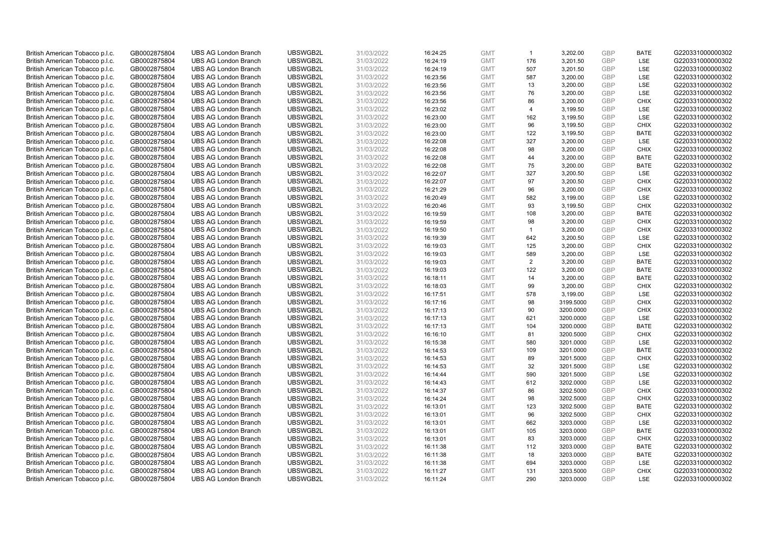| British American Tobacco p.l.c.                                    | GB0002875804                 | <b>UBS AG London Branch</b>                                | UBSWGB2L             | 31/03/2022               | 16:24:25             | <b>GMT</b>               | $\mathbf{1}$   | 3,202.00               | <b>GBP</b>        | <b>BATE</b>              | G220331000000302                     |
|--------------------------------------------------------------------|------------------------------|------------------------------------------------------------|----------------------|--------------------------|----------------------|--------------------------|----------------|------------------------|-------------------|--------------------------|--------------------------------------|
| British American Tobacco p.l.c.                                    | GB0002875804                 | <b>UBS AG London Branch</b>                                | UBSWGB2L             | 31/03/2022               | 16:24:19             | <b>GMT</b>               | 176            | 3,201.50               | <b>GBP</b>        | LSE                      | G220331000000302                     |
| British American Tobacco p.l.c.                                    | GB0002875804                 | <b>UBS AG London Branch</b>                                | UBSWGB2L             | 31/03/2022               | 16:24:19             | <b>GMT</b>               | 507            | 3,201.50               | <b>GBP</b>        | LSE                      | G220331000000302                     |
| British American Tobacco p.l.c.                                    | GB0002875804                 | <b>UBS AG London Branch</b>                                | UBSWGB2L             | 31/03/2022               | 16:23:56             | <b>GMT</b>               | 587            | 3,200.00               | GBP               | <b>LSE</b>               | G220331000000302                     |
| British American Tobacco p.l.c.                                    | GB0002875804                 | <b>UBS AG London Branch</b>                                | UBSWGB2L             | 31/03/2022               | 16:23:56             | <b>GMT</b>               | 13             | 3,200.00               | <b>GBP</b>        | LSE                      | G220331000000302                     |
| British American Tobacco p.l.c.                                    | GB0002875804                 | <b>UBS AG London Branch</b>                                | UBSWGB2L             | 31/03/2022               | 16:23:56             | <b>GMT</b>               | 76             | 3,200.00               | GBP               | <b>LSE</b>               | G220331000000302                     |
| British American Tobacco p.l.c.                                    | GB0002875804                 | <b>UBS AG London Branch</b>                                | UBSWGB2L             | 31/03/2022               | 16:23:56             | <b>GMT</b>               | 86             | 3,200.00               | <b>GBP</b>        | <b>CHIX</b>              | G220331000000302                     |
| British American Tobacco p.l.c.                                    | GB0002875804                 | <b>UBS AG London Branch</b>                                | UBSWGB2L             | 31/03/2022               | 16:23:02             | <b>GMT</b>               | $\overline{4}$ | 3,199.50               | <b>GBP</b>        | LSE                      | G220331000000302                     |
| British American Tobacco p.l.c.                                    | GB0002875804                 | <b>UBS AG London Branch</b>                                | UBSWGB2L             | 31/03/2022               | 16:23:00             | <b>GMT</b>               | 162            | 3,199.50               | <b>GBP</b>        | LSE                      | G220331000000302                     |
| British American Tobacco p.l.c.                                    | GB0002875804                 | <b>UBS AG London Branch</b>                                | UBSWGB2L             | 31/03/2022               | 16:23:00             | <b>GMT</b>               | 96             | 3,199.50               | GBP               | <b>CHIX</b>              | G220331000000302                     |
| British American Tobacco p.l.c.                                    | GB0002875804                 | <b>UBS AG London Branch</b>                                | UBSWGB2L             | 31/03/2022               | 16:23:00             | <b>GMT</b>               | 122            | 3,199.50               | <b>GBP</b>        | <b>BATE</b>              | G220331000000302                     |
| British American Tobacco p.l.c.                                    | GB0002875804                 | <b>UBS AG London Branch</b>                                | UBSWGB2L             | 31/03/2022               | 16:22:08             | <b>GMT</b>               | 327            | 3,200.00               | <b>GBP</b>        | LSE                      | G220331000000302                     |
| British American Tobacco p.l.c.                                    | GB0002875804                 | <b>UBS AG London Branch</b>                                | UBSWGB2L             | 31/03/2022               | 16:22:08             | <b>GMT</b>               | 98             | 3,200.00               | GBP               | <b>CHIX</b>              | G220331000000302                     |
| British American Tobacco p.l.c.                                    | GB0002875804                 | <b>UBS AG London Branch</b>                                | UBSWGB2L             | 31/03/2022               | 16:22:08             | <b>GMT</b>               | 44             | 3,200.00               | <b>GBP</b>        | <b>BATE</b>              | G220331000000302                     |
| British American Tobacco p.l.c.                                    | GB0002875804                 | <b>UBS AG London Branch</b>                                | UBSWGB2L             | 31/03/2022               | 16:22:08             | <b>GMT</b>               | 75             | 3,200.00               | GBP               | <b>BATE</b>              | G220331000000302                     |
| British American Tobacco p.l.c.                                    | GB0002875804                 | <b>UBS AG London Branch</b>                                | UBSWGB2L             | 31/03/2022               | 16:22:07             | <b>GMT</b>               | 327            | 3,200.50               | <b>GBP</b>        | LSE                      | G220331000000302                     |
| British American Tobacco p.l.c.                                    | GB0002875804                 | <b>UBS AG London Branch</b>                                | UBSWGB2L             | 31/03/2022               | 16:22:07             | <b>GMT</b>               | 97             | 3,200.50               | <b>GBP</b>        | <b>CHIX</b>              | G220331000000302                     |
| British American Tobacco p.l.c.                                    | GB0002875804                 | <b>UBS AG London Branch</b>                                | UBSWGB2L             | 31/03/2022               | 16:21:29             | <b>GMT</b>               | 96             | 3,200.00               | <b>GBP</b>        | <b>CHIX</b>              | G220331000000302                     |
| British American Tobacco p.l.c.                                    | GB0002875804                 | <b>UBS AG London Branch</b>                                | UBSWGB2L             | 31/03/2022               | 16:20:49             | <b>GMT</b>               | 582            | 3,199.00               | <b>GBP</b>        | LSE                      | G220331000000302                     |
| British American Tobacco p.l.c.                                    | GB0002875804                 | <b>UBS AG London Branch</b>                                | UBSWGB2L             | 31/03/2022               | 16:20:46             | <b>GMT</b>               | 93             | 3,199.50               | <b>GBP</b>        | <b>CHIX</b>              | G220331000000302                     |
| British American Tobacco p.l.c.                                    | GB0002875804                 | <b>UBS AG London Branch</b>                                | UBSWGB2L             | 31/03/2022               | 16:19:59             | <b>GMT</b>               | 108            | 3,200.00               | <b>GBP</b>        | <b>BATE</b>              | G220331000000302                     |
| British American Tobacco p.l.c.                                    | GB0002875804                 | <b>UBS AG London Branch</b>                                | UBSWGB2L             | 31/03/2022               | 16:19:59             | <b>GMT</b>               | 98             | 3,200.00               | <b>GBP</b>        | <b>CHIX</b>              | G220331000000302                     |
| British American Tobacco p.l.c.                                    | GB0002875804                 | <b>UBS AG London Branch</b>                                | UBSWGB2L             | 31/03/2022               | 16:19:50             | <b>GMT</b>               | $\mathbf{1}$   | 3,200.00               | <b>GBP</b>        | <b>CHIX</b>              | G220331000000302                     |
| British American Tobacco p.l.c.                                    | GB0002875804                 | <b>UBS AG London Branch</b>                                | UBSWGB2L             | 31/03/2022               | 16:19:39             | <b>GMT</b>               | 642            | 3,200.50               | <b>GBP</b>        | LSE                      | G220331000000302                     |
| British American Tobacco p.l.c.                                    | GB0002875804                 | <b>UBS AG London Branch</b>                                | UBSWGB2L             | 31/03/2022               | 16:19:03             | <b>GMT</b>               | 125            | 3,200.00               | <b>GBP</b>        | <b>CHIX</b>              | G220331000000302                     |
| British American Tobacco p.l.c.                                    | GB0002875804                 | <b>UBS AG London Branch</b>                                | UBSWGB2L             | 31/03/2022               | 16:19:03             | <b>GMT</b>               | 589            | 3,200.00               | <b>GBP</b>        | LSE                      | G220331000000302                     |
| British American Tobacco p.l.c.                                    | GB0002875804                 | <b>UBS AG London Branch</b>                                | UBSWGB2L             | 31/03/2022               | 16:19:03             | <b>GMT</b>               | 2              | 3,200.00               | <b>GBP</b>        | <b>BATE</b>              | G220331000000302                     |
| British American Tobacco p.l.c.                                    | GB0002875804                 | <b>UBS AG London Branch</b>                                | UBSWGB2L             | 31/03/2022               | 16:19:03             | <b>GMT</b>               | 122            | 3,200.00               | <b>GBP</b>        | <b>BATE</b>              | G220331000000302                     |
| British American Tobacco p.l.c.                                    | GB0002875804                 | <b>UBS AG London Branch</b>                                | UBSWGB2L             | 31/03/2022               | 16:18:11             | <b>GMT</b>               | 14             | 3,200.00               | <b>GBP</b>        | <b>BATE</b>              | G220331000000302                     |
| British American Tobacco p.l.c.                                    | GB0002875804                 | <b>UBS AG London Branch</b>                                | UBSWGB2L             | 31/03/2022               | 16:18:03             | <b>GMT</b>               | 99             | 3,200.00               | <b>GBP</b>        | <b>CHIX</b>              | G220331000000302                     |
| British American Tobacco p.l.c.                                    | GB0002875804                 | <b>UBS AG London Branch</b>                                | UBSWGB2L             | 31/03/2022               | 16:17:51             | <b>GMT</b>               | 578            | 3,199.00               | <b>GBP</b>        | LSE                      | G220331000000302                     |
| British American Tobacco p.l.c.                                    | GB0002875804                 | <b>UBS AG London Branch</b>                                | UBSWGB2L             | 31/03/2022               | 16:17:16             | <b>GMT</b>               | 98             | 3199.5000              | <b>GBP</b>        | <b>CHIX</b>              | G220331000000302                     |
| British American Tobacco p.l.c.                                    | GB0002875804                 | <b>UBS AG London Branch</b>                                | UBSWGB2L             | 31/03/2022               | 16:17:13             | <b>GMT</b>               | 90             | 3200.0000              | <b>GBP</b>        | <b>CHIX</b>              | G220331000000302                     |
| British American Tobacco p.l.c.                                    | GB0002875804                 | <b>UBS AG London Branch</b>                                | UBSWGB2L             | 31/03/2022               | 16:17:13             | <b>GMT</b>               | 621            | 3200.0000              | <b>GBP</b>        | LSE                      | G220331000000302                     |
| British American Tobacco p.l.c.                                    | GB0002875804                 | <b>UBS AG London Branch</b>                                | UBSWGB2L             | 31/03/2022               | 16:17:13             | <b>GMT</b>               | 104            | 3200.0000              | <b>GBP</b>        | <b>BATE</b>              | G220331000000302                     |
| British American Tobacco p.l.c.                                    | GB0002875804                 | <b>UBS AG London Branch</b>                                | UBSWGB2L             | 31/03/2022               | 16:16:10             | <b>GMT</b>               | 81             | 3200.5000              | <b>GBP</b>        | <b>CHIX</b>              | G220331000000302                     |
| British American Tobacco p.l.c.                                    | GB0002875804                 | <b>UBS AG London Branch</b>                                | UBSWGB2L             | 31/03/2022               | 16:15:38             | <b>GMT</b>               | 580            | 3201.0000              | GBP               | <b>LSE</b>               | G220331000000302                     |
| British American Tobacco p.l.c.                                    | GB0002875804                 | <b>UBS AG London Branch</b>                                | UBSWGB2L             | 31/03/2022               | 16:14:53             | <b>GMT</b>               | 109            | 3201.0000              | <b>GBP</b>        | <b>BATE</b>              | G220331000000302                     |
| British American Tobacco p.l.c.                                    | GB0002875804                 | <b>UBS AG London Branch</b>                                | UBSWGB2L             | 31/03/2022               | 16:14:53             | <b>GMT</b>               | 89             | 3201.5000              | GBP               | <b>CHIX</b>              | G220331000000302                     |
| British American Tobacco p.l.c.                                    | GB0002875804                 | <b>UBS AG London Branch</b>                                | UBSWGB2L             | 31/03/2022               | 16:14:53             | <b>GMT</b>               | 32<br>590      | 3201.5000              | <b>GBP</b><br>GBP | <b>LSE</b><br><b>LSE</b> | G220331000000302                     |
| British American Tobacco p.l.c.                                    | GB0002875804                 | <b>UBS AG London Branch</b><br><b>UBS AG London Branch</b> | UBSWGB2L<br>UBSWGB2L | 31/03/2022               | 16:14:44             | <b>GMT</b><br><b>GMT</b> | 612            | 3201.5000<br>3202.0000 | <b>GBP</b>        | LSE                      | G220331000000302<br>G220331000000302 |
| British American Tobacco p.l.c.                                    | GB0002875804<br>GB0002875804 | <b>UBS AG London Branch</b>                                | UBSWGB2L             | 31/03/2022<br>31/03/2022 | 16:14:43<br>16:14:37 | <b>GMT</b>               | 86             | 3202.5000              | GBP               | <b>CHIX</b>              | G220331000000302                     |
| British American Tobacco p.l.c.<br>British American Tobacco p.l.c. | GB0002875804                 | <b>UBS AG London Branch</b>                                | UBSWGB2L             | 31/03/2022               | 16:14:24             | <b>GMT</b>               | 98             | 3202.5000              | GBP               | <b>CHIX</b>              | G220331000000302                     |
| British American Tobacco p.l.c.                                    | GB0002875804                 | <b>UBS AG London Branch</b>                                | UBSWGB2L             | 31/03/2022               | 16:13:01             | <b>GMT</b>               | 123            | 3202.5000              | <b>GBP</b>        | <b>BATE</b>              | G220331000000302                     |
| British American Tobacco p.l.c.                                    | GB0002875804                 | <b>UBS AG London Branch</b>                                | UBSWGB2L             | 31/03/2022               | 16:13:01             | <b>GMT</b>               | 96             | 3202.5000              | GBP               | <b>CHIX</b>              | G220331000000302                     |
| British American Tobacco p.l.c.                                    | GB0002875804                 | <b>UBS AG London Branch</b>                                | UBSWGB2L             | 31/03/2022               | 16:13:01             | <b>GMT</b>               | 662            | 3203.0000              | <b>GBP</b>        | LSE                      | G220331000000302                     |
| British American Tobacco p.l.c.                                    | GB0002875804                 | <b>UBS AG London Branch</b>                                | UBSWGB2L             | 31/03/2022               | 16:13:01             | <b>GMT</b>               | 105            | 3203.0000              | GBP               | <b>BATE</b>              | G220331000000302                     |
| British American Tobacco p.l.c.                                    | GB0002875804                 | <b>UBS AG London Branch</b>                                | UBSWGB2L             | 31/03/2022               | 16:13:01             | <b>GMT</b>               | 83             | 3203.0000              | <b>GBP</b>        | <b>CHIX</b>              | G220331000000302                     |
| British American Tobacco p.l.c.                                    | GB0002875804                 | <b>UBS AG London Branch</b>                                | UBSWGB2L             | 31/03/2022               | 16:11:38             | <b>GMT</b>               | 112            | 3203.0000              | GBP               | <b>BATE</b>              | G220331000000302                     |
| British American Tobacco p.l.c.                                    | GB0002875804                 | <b>UBS AG London Branch</b>                                | UBSWGB2L             | 31/03/2022               | 16:11:38             | <b>GMT</b>               | 18             | 3203.0000              | <b>GBP</b>        | <b>BATE</b>              | G220331000000302                     |
| British American Tobacco p.l.c.                                    | GB0002875804                 | <b>UBS AG London Branch</b>                                | UBSWGB2L             | 31/03/2022               | 16:11:38             | <b>GMT</b>               | 694            | 3203.0000              | GBP               | LSE                      | G220331000000302                     |
| British American Tobacco p.l.c.                                    | GB0002875804                 | <b>UBS AG London Branch</b>                                | UBSWGB2L             | 31/03/2022               | 16:11:27             | <b>GMT</b>               | 131            | 3203.5000              | <b>GBP</b>        | <b>CHIX</b>              | G220331000000302                     |
| British American Tobacco p.l.c.                                    | GB0002875804                 | <b>UBS AG London Branch</b>                                | UBSWGB2L             | 31/03/2022               | 16:11:24             | <b>GMT</b>               | 290            | 3203.0000              | GBP               | <b>LSE</b>               | G220331000000302                     |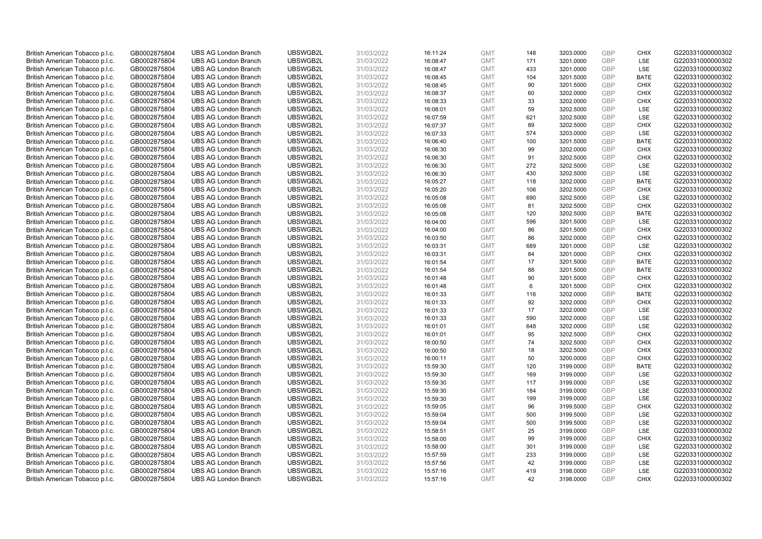| British American Tobacco p.l.c.                                    | GB0002875804                 | <b>UBS AG London Branch</b>                                | UBSWGB2L             | 31/03/2022               | 16:11:24             | <b>GMT</b>               | 148        | 3203.0000              | <b>GBP</b>        | <b>CHIX</b>               | G220331000000302                     |
|--------------------------------------------------------------------|------------------------------|------------------------------------------------------------|----------------------|--------------------------|----------------------|--------------------------|------------|------------------------|-------------------|---------------------------|--------------------------------------|
| British American Tobacco p.l.c.                                    | GB0002875804                 | <b>UBS AG London Branch</b>                                | UBSWGB2L             | 31/03/2022               | 16:08:47             | <b>GMT</b>               | 171        | 3201.0000              | GBP               | LSE                       | G220331000000302                     |
| British American Tobacco p.l.c.                                    | GB0002875804                 | <b>UBS AG London Branch</b>                                | UBSWGB2L             | 31/03/2022               | 16:08:47             | <b>GMT</b>               | 433        | 3201.0000              | <b>GBP</b>        | LSE                       | G220331000000302                     |
| British American Tobacco p.l.c.                                    | GB0002875804                 | <b>UBS AG London Branch</b>                                | UBSWGB2L             | 31/03/2022               | 16:08:45             | <b>GMT</b>               | 104        | 3201.5000              | GBP               | <b>BATE</b>               | G220331000000302                     |
| British American Tobacco p.l.c.                                    | GB0002875804                 | <b>UBS AG London Branch</b>                                | UBSWGB2L             | 31/03/2022               | 16:08:45             | <b>GMT</b>               | 90         | 3201.5000              | <b>GBP</b>        | <b>CHIX</b>               | G220331000000302                     |
| British American Tobacco p.l.c.                                    | GB0002875804                 | <b>UBS AG London Branch</b>                                | UBSWGB2L             | 31/03/2022               | 16:08:37             | <b>GMT</b>               | 60         | 3202.0000              | <b>GBP</b>        | <b>CHIX</b>               | G220331000000302                     |
| British American Tobacco p.l.c.                                    | GB0002875804                 | <b>UBS AG London Branch</b>                                | UBSWGB2L             | 31/03/2022               | 16:08:33             | <b>GMT</b>               | 33         | 3202.0000              | <b>GBP</b>        | <b>CHIX</b>               | G220331000000302                     |
| British American Tobacco p.l.c.                                    | GB0002875804                 | <b>UBS AG London Branch</b>                                | UBSWGB2L             | 31/03/2022               | 16:08:01             | <b>GMT</b>               | 59         | 3202.5000              | GBP               | LSE                       | G220331000000302                     |
| British American Tobacco p.l.c.                                    | GB0002875804                 | <b>UBS AG London Branch</b>                                | UBSWGB2L             | 31/03/2022               | 16:07:59             | <b>GMT</b>               | 621        | 3202.5000              | GBP               | LSE                       | G220331000000302                     |
| British American Tobacco p.l.c.                                    | GB0002875804                 | <b>UBS AG London Branch</b>                                | UBSWGB2L             | 31/03/2022               | 16:07:37             | <b>GMT</b>               | 89         | 3202.5000              | GBP               | <b>CHIX</b>               | G220331000000302                     |
| British American Tobacco p.l.c.                                    | GB0002875804                 | <b>UBS AG London Branch</b>                                | UBSWGB2L             | 31/03/2022               | 16:07:33             | <b>GMT</b>               | 574        | 3203.0000              | <b>GBP</b>        | LSE                       | G220331000000302                     |
| British American Tobacco p.l.c.                                    | GB0002875804                 | <b>UBS AG London Branch</b>                                | UBSWGB2L             | 31/03/2022               | 16:06:40             | <b>GMT</b>               | 100        | 3201.5000              | <b>GBP</b>        | <b>BATE</b>               | G220331000000302                     |
| British American Tobacco p.l.c.                                    | GB0002875804                 | <b>UBS AG London Branch</b>                                | UBSWGB2L             | 31/03/2022               | 16:06:30             | <b>GMT</b>               | 99         | 3202.0000              | GBP               | <b>CHIX</b>               | G220331000000302                     |
| British American Tobacco p.l.c.                                    | GB0002875804                 | <b>UBS AG London Branch</b>                                | UBSWGB2L             | 31/03/2022               | 16:06:30             | <b>GMT</b>               | 91         | 3202.5000              | <b>GBP</b>        | <b>CHIX</b>               | G220331000000302                     |
| British American Tobacco p.l.c.                                    | GB0002875804                 | <b>UBS AG London Branch</b>                                | UBSWGB2L             | 31/03/2022               | 16:06:30             | <b>GMT</b>               | 272        | 3202.5000              | GBP               | LSE                       | G220331000000302                     |
| British American Tobacco p.l.c.                                    | GB0002875804                 | <b>UBS AG London Branch</b>                                | UBSWGB2L             | 31/03/2022               | 16:06:30             | <b>GMT</b>               | 430        | 3202.5000              | <b>GBP</b>        | LSE                       | G220331000000302                     |
| British American Tobacco p.l.c.                                    | GB0002875804                 | <b>UBS AG London Branch</b>                                | UBSWGB2L             | 31/03/2022               | 16:05:27             | <b>GMT</b>               | 118        | 3202.0000              | GBP               | <b>BATE</b>               | G220331000000302                     |
| British American Tobacco p.l.c.                                    | GB0002875804                 | <b>UBS AG London Branch</b>                                | UBSWGB2L             | 31/03/2022               | 16:05:20             | <b>GMT</b>               | 106        | 3202.5000              | <b>GBP</b>        | <b>CHIX</b>               | G220331000000302                     |
| British American Tobacco p.l.c.                                    | GB0002875804                 | <b>UBS AG London Branch</b>                                | UBSWGB2L             | 31/03/2022               | 16:05:08             | <b>GMT</b>               | 690        | 3202.5000              | GBP               | LSE                       | G220331000000302                     |
| British American Tobacco p.l.c.                                    | GB0002875804                 | <b>UBS AG London Branch</b>                                | UBSWGB2L             | 31/03/2022               | 16:05:08             | <b>GMT</b>               | 81         | 3202.5000              | <b>GBP</b>        | <b>CHIX</b>               | G220331000000302                     |
| British American Tobacco p.l.c.                                    | GB0002875804                 | <b>UBS AG London Branch</b>                                | UBSWGB2L             | 31/03/2022               | 16:05:08             | <b>GMT</b>               | 120        | 3202.5000              | GBP               | <b>BATE</b>               | G220331000000302                     |
| British American Tobacco p.l.c.                                    | GB0002875804                 | <b>UBS AG London Branch</b>                                | UBSWGB2L             | 31/03/2022               | 16:04:00             | <b>GMT</b>               | 596        | 3201.5000              | <b>GBP</b>        | <b>LSE</b>                | G220331000000302                     |
| British American Tobacco p.l.c.                                    | GB0002875804                 | <b>UBS AG London Branch</b>                                | UBSWGB2L             | 31/03/2022               | 16:04:00             | <b>GMT</b>               | 86         | 3201.5000              | GBP               | <b>CHIX</b>               | G220331000000302                     |
| British American Tobacco p.l.c.                                    | GB0002875804                 | <b>UBS AG London Branch</b>                                | UBSWGB2L             | 31/03/2022               | 16:03:50             | <b>GMT</b>               | 86         | 3202.0000              | <b>GBP</b>        | <b>CHIX</b>               | G220331000000302                     |
| British American Tobacco p.l.c.                                    | GB0002875804                 | <b>UBS AG London Branch</b>                                | UBSWGB2L             | 31/03/2022               | 16:03:31             | <b>GMT</b>               | 689        | 3201.0000              | GBP               | <b>LSE</b>                | G220331000000302                     |
| British American Tobacco p.l.c.                                    | GB0002875804                 | <b>UBS AG London Branch</b>                                | UBSWGB2L             | 31/03/2022               | 16:03:31             | <b>GMT</b>               | 84         | 3201.0000              | GBP               | <b>CHIX</b>               | G220331000000302                     |
| British American Tobacco p.l.c.                                    | GB0002875804                 | <b>UBS AG London Branch</b>                                | UBSWGB2L             | 31/03/2022               | 16:01:54             | <b>GMT</b>               | 17         | 3201.5000              | <b>GBP</b>        | <b>BATE</b>               | G220331000000302                     |
| British American Tobacco p.l.c.                                    | GB0002875804                 | <b>UBS AG London Branch</b>                                | UBSWGB2L             | 31/03/2022               | 16:01:54             | <b>GMT</b>               | 88         | 3201.5000              | GBP               | <b>BATE</b>               | G220331000000302                     |
| British American Tobacco p.l.c.                                    | GB0002875804                 | <b>UBS AG London Branch</b>                                | UBSWGB2L             | 31/03/2022               | 16:01:48             | <b>GMT</b>               | 90         | 3201.5000              | GBP               | <b>CHIX</b>               | G220331000000302                     |
| British American Tobacco p.l.c.                                    | GB0002875804                 | <b>UBS AG London Branch</b>                                | UBSWGB2L             | 31/03/2022               | 16:01:48             | <b>GMT</b>               | 6          | 3201.5000              | <b>GBP</b>        | <b>CHIX</b>               | G220331000000302                     |
| British American Tobacco p.l.c.                                    | GB0002875804                 | <b>UBS AG London Branch</b>                                | UBSWGB2L             | 31/03/2022               | 16:01:33             | <b>GMT</b>               | 116        | 3202.0000              | GBP               | <b>BATE</b>               | G220331000000302                     |
| British American Tobacco p.l.c.                                    | GB0002875804                 | <b>UBS AG London Branch</b>                                | UBSWGB2L             | 31/03/2022               | 16:01:33             | <b>GMT</b>               | 92         | 3202.0000              | GBP               | <b>CHIX</b>               | G220331000000302                     |
| British American Tobacco p.l.c.                                    | GB0002875804                 | <b>UBS AG London Branch</b>                                | UBSWGB2L             | 31/03/2022               | 16:01:33             | <b>GMT</b>               | 17         | 3202.0000              | GBP               | LSE                       | G220331000000302                     |
| British American Tobacco p.l.c.                                    | GB0002875804                 | <b>UBS AG London Branch</b>                                | UBSWGB2L             | 31/03/2022               | 16:01:33             | <b>GMT</b>               | 590        | 3202.0000              | <b>GBP</b>        | LSE                       | G220331000000302                     |
| British American Tobacco p.l.c.                                    | GB0002875804                 | <b>UBS AG London Branch</b>                                | UBSWGB2L             | 31/03/2022               | 16:01:01             | <b>GMT</b>               | 648        | 3202.0000              | GBP               | LSE                       | G220331000000302                     |
| British American Tobacco p.l.c.                                    | GB0002875804                 | <b>UBS AG London Branch</b>                                | UBSWGB2L             | 31/03/2022               | 16:01:01             | <b>GMT</b>               | 95         | 3202.5000              | <b>GBP</b>        | <b>CHIX</b>               | G220331000000302                     |
| British American Tobacco p.l.c.                                    | GB0002875804                 | <b>UBS AG London Branch</b>                                | UBSWGB2L             | 31/03/2022               | 16:00:50             | <b>GMT</b>               | 74         | 3202.5000              | GBP               | CHIX                      | G220331000000302                     |
| British American Tobacco p.l.c.                                    | GB0002875804                 | <b>UBS AG London Branch</b>                                | UBSWGB2L             | 31/03/2022               | 16:00:50             | <b>GMT</b>               | 18         | 3202.5000              | <b>GBP</b>        | <b>CHIX</b>               | G220331000000302                     |
| British American Tobacco p.l.c.                                    | GB0002875804                 | <b>UBS AG London Branch</b>                                | UBSWGB2L             | 31/03/2022               | 16:00:11             | <b>GMT</b>               | 50         | 3200.0000              | GBP               | <b>CHIX</b>               | G220331000000302                     |
| British American Tobacco p.l.c.                                    | GB0002875804                 | <b>UBS AG London Branch</b>                                | UBSWGB2L             | 31/03/2022               | 15:59:30             | <b>GMT</b>               | 120<br>169 | 3199.0000              | <b>GBP</b><br>GBP | <b>BATE</b><br><b>LSE</b> | G220331000000302                     |
| British American Tobacco p.l.c.                                    | GB0002875804                 | <b>UBS AG London Branch</b><br><b>UBS AG London Branch</b> | UBSWGB2L<br>UBSWGB2L | 31/03/2022               | 15:59:30             | <b>GMT</b><br><b>GMT</b> | 117        | 3199.0000<br>3199.0000 | GBP               | LSE                       | G220331000000302<br>G220331000000302 |
| British American Tobacco p.l.c.                                    | GB0002875804<br>GB0002875804 | <b>UBS AG London Branch</b>                                | UBSWGB2L             | 31/03/2022<br>31/03/2022 | 15:59:30<br>15:59:30 | <b>GMT</b>               | 184        |                        | GBP               | LSE                       | G220331000000302                     |
| British American Tobacco p.l.c.<br>British American Tobacco p.l.c. | GB0002875804                 | <b>UBS AG London Branch</b>                                | UBSWGB2L             | 31/03/2022               | 15:59:30             | <b>GMT</b>               | 199        | 3199.0000<br>3199.0000 | GBP               | LSE                       | G220331000000302                     |
| British American Tobacco p.l.c.                                    | GB0002875804                 | <b>UBS AG London Branch</b>                                | UBSWGB2L             | 31/03/2022               | 15:59:05             | <b>GMT</b>               | 96         | 3199.5000              | <b>GBP</b>        | <b>CHIX</b>               | G220331000000302                     |
| British American Tobacco p.l.c.                                    | GB0002875804                 | <b>UBS AG London Branch</b>                                | UBSWGB2L             | 31/03/2022               | 15:59:04             | <b>GMT</b>               | 500        | 3199.5000              | GBP               | LSE                       | G220331000000302                     |
| British American Tobacco p.l.c.                                    | GB0002875804                 | <b>UBS AG London Branch</b>                                | UBSWGB2L             | 31/03/2022               | 15:59:04             | <b>GMT</b>               | 500        | 3199.5000              | <b>GBP</b>        | LSE                       | G220331000000302                     |
| British American Tobacco p.l.c.                                    | GB0002875804                 | <b>UBS AG London Branch</b>                                | UBSWGB2L             | 31/03/2022               | 15:58:51             | <b>GMT</b>               | 25         | 3199.0000              | GBP               | LSE                       | G220331000000302                     |
| British American Tobacco p.l.c.                                    | GB0002875804                 | <b>UBS AG London Branch</b>                                | UBSWGB2L             | 31/03/2022               | 15:58:00             | <b>GMT</b>               | 99         | 3199.0000              | <b>GBP</b>        | <b>CHIX</b>               | G220331000000302                     |
| British American Tobacco p.l.c.                                    | GB0002875804                 | <b>UBS AG London Branch</b>                                | UBSWGB2L             | 31/03/2022               | 15:58:00             | <b>GMT</b>               | 301        | 3199.0000              | GBP               | <b>LSE</b>                | G220331000000302                     |
| British American Tobacco p.l.c.                                    | GB0002875804                 | <b>UBS AG London Branch</b>                                | UBSWGB2L             | 31/03/2022               | 15:57:59             | <b>GMT</b>               | 233        | 3199.0000              | <b>GBP</b>        | LSE                       | G220331000000302                     |
| British American Tobacco p.l.c.                                    | GB0002875804                 | <b>UBS AG London Branch</b>                                | UBSWGB2L             | 31/03/2022               | 15:57:56             | <b>GMT</b>               | 42         | 3199.0000              | GBP               | LSE                       | G220331000000302                     |
| British American Tobacco p.l.c.                                    | GB0002875804                 | <b>UBS AG London Branch</b>                                | UBSWGB2L             | 31/03/2022               | 15:57:16             | <b>GMT</b>               | 419        | 3198.0000              | <b>GBP</b>        | LSE                       | G220331000000302                     |
| British American Tobacco p.l.c.                                    | GB0002875804                 | <b>UBS AG London Branch</b>                                | UBSWGB2L             | 31/03/2022               | 15:57:16             | <b>GMT</b>               | 42         | 3198.0000              | GBP               | <b>CHIX</b>               | G220331000000302                     |
|                                                                    |                              |                                                            |                      |                          |                      |                          |            |                        |                   |                           |                                      |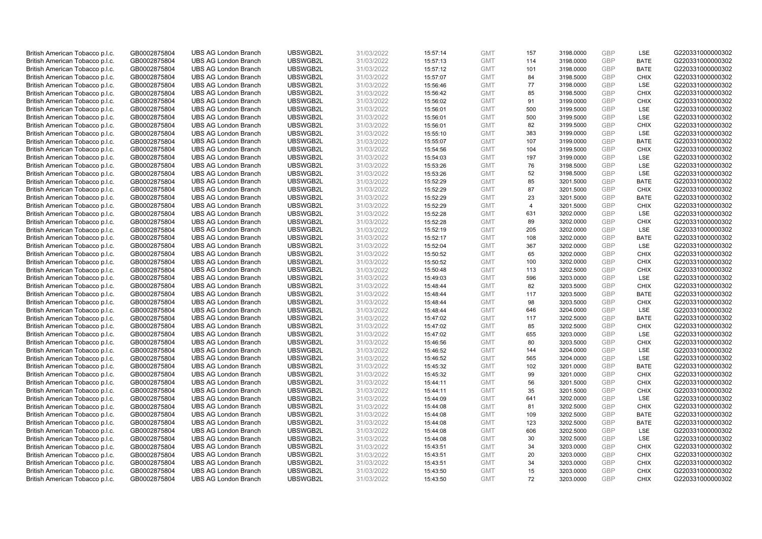| British American Tobacco p.l.c. | GB0002875804 | <b>UBS AG London Branch</b> | UBSWGB2L | 31/03/2022 | 15:57:14 | <b>GMT</b> | 157            | 3198.0000 | <b>GBP</b> | LSE         | G220331000000302 |
|---------------------------------|--------------|-----------------------------|----------|------------|----------|------------|----------------|-----------|------------|-------------|------------------|
|                                 |              |                             |          |            |          |            |                |           | <b>GBP</b> |             |                  |
| British American Tobacco p.l.c. | GB0002875804 | <b>UBS AG London Branch</b> | UBSWGB2L | 31/03/2022 | 15:57:13 | <b>GMT</b> | 114            | 3198.0000 |            | <b>BATE</b> | G220331000000302 |
| British American Tobacco p.l.c. | GB0002875804 | <b>UBS AG London Branch</b> | UBSWGB2L | 31/03/2022 | 15:57:12 | <b>GMT</b> | 101            | 3198.0000 | GBP        | <b>BATE</b> | G220331000000302 |
| British American Tobacco p.l.c. | GB0002875804 | <b>UBS AG London Branch</b> | UBSWGB2L | 31/03/2022 | 15:57:07 | <b>GMT</b> | 84             | 3198.5000 | <b>GBP</b> | <b>CHIX</b> | G220331000000302 |
| British American Tobacco p.l.c. | GB0002875804 | <b>UBS AG London Branch</b> | UBSWGB2L | 31/03/2022 | 15:56:46 | <b>GMT</b> | 77             | 3198.0000 | GBP        | LSE         | G220331000000302 |
| British American Tobacco p.l.c. | GB0002875804 | <b>UBS AG London Branch</b> | UBSWGB2L | 31/03/2022 | 15:56:42 | <b>GMT</b> | 85             | 3198.5000 | <b>GBP</b> | <b>CHIX</b> | G220331000000302 |
| British American Tobacco p.l.c. | GB0002875804 | <b>UBS AG London Branch</b> | UBSWGB2L | 31/03/2022 | 15:56:02 | <b>GMT</b> | 91             | 3199.0000 | <b>GBP</b> | <b>CHIX</b> | G220331000000302 |
| British American Tobacco p.l.c. | GB0002875804 | <b>UBS AG London Branch</b> | UBSWGB2L | 31/03/2022 | 15:56:01 | <b>GMT</b> | 500            | 3199.5000 | <b>GBP</b> | LSE         | G220331000000302 |
| British American Tobacco p.l.c. | GB0002875804 | <b>UBS AG London Branch</b> | UBSWGB2L | 31/03/2022 | 15:56:01 | <b>GMT</b> | 500            | 3199.5000 | GBP        | LSE         | G220331000000302 |
| British American Tobacco p.l.c. | GB0002875804 | <b>UBS AG London Branch</b> | UBSWGB2L | 31/03/2022 | 15:56:01 | <b>GMT</b> | 82             | 3199.5000 | <b>GBP</b> | <b>CHIX</b> | G220331000000302 |
| British American Tobacco p.l.c. | GB0002875804 | <b>UBS AG London Branch</b> | UBSWGB2L | 31/03/2022 | 15:55:10 | <b>GMT</b> | 383            | 3199.0000 | <b>GBP</b> | <b>LSE</b>  | G220331000000302 |
| British American Tobacco p.l.c. | GB0002875804 | <b>UBS AG London Branch</b> | UBSWGB2L | 31/03/2022 | 15:55:07 | <b>GMT</b> | 107            | 3199.0000 | <b>GBP</b> | <b>BATE</b> | G220331000000302 |
| British American Tobacco p.l.c. | GB0002875804 | <b>UBS AG London Branch</b> | UBSWGB2L | 31/03/2022 | 15:54:56 | <b>GMT</b> | 104            | 3199.5000 | <b>GBP</b> | <b>CHIX</b> | G220331000000302 |
| British American Tobacco p.l.c. | GB0002875804 | <b>UBS AG London Branch</b> | UBSWGB2L | 31/03/2022 | 15:54:03 | <b>GMT</b> | 197            | 3199.0000 | <b>GBP</b> | <b>LSE</b>  | G220331000000302 |
| British American Tobacco p.l.c. | GB0002875804 | <b>UBS AG London Branch</b> | UBSWGB2L | 31/03/2022 | 15:53:26 | <b>GMT</b> | 76             | 3198.5000 | GBP        | LSE         | G220331000000302 |
| British American Tobacco p.l.c. | GB0002875804 | <b>UBS AG London Branch</b> | UBSWGB2L | 31/03/2022 | 15:53:26 | <b>GMT</b> | 52             | 3198.5000 | <b>GBP</b> | LSE         | G220331000000302 |
| British American Tobacco p.l.c. | GB0002875804 | <b>UBS AG London Branch</b> | UBSWGB2L | 31/03/2022 | 15:52:29 | <b>GMT</b> | 85             | 3201.5000 | GBP        | <b>BATE</b> | G220331000000302 |
| British American Tobacco p.l.c. | GB0002875804 | <b>UBS AG London Branch</b> | UBSWGB2L | 31/03/2022 | 15:52:29 | <b>GMT</b> | 87             | 3201.5000 | GBP        | <b>CHIX</b> | G220331000000302 |
| British American Tobacco p.l.c. | GB0002875804 | <b>UBS AG London Branch</b> | UBSWGB2L | 31/03/2022 | 15:52:29 | <b>GMT</b> | 23             | 3201.5000 | <b>GBP</b> | <b>BATE</b> | G220331000000302 |
|                                 | GB0002875804 | <b>UBS AG London Branch</b> | UBSWGB2L | 31/03/2022 | 15:52:29 | <b>GMT</b> | $\overline{4}$ | 3201.5000 | <b>GBP</b> | <b>CHIX</b> | G220331000000302 |
| British American Tobacco p.l.c. |              |                             |          |            |          |            |                |           |            |             |                  |
| British American Tobacco p.l.c. | GB0002875804 | <b>UBS AG London Branch</b> | UBSWGB2L | 31/03/2022 | 15:52:28 | <b>GMT</b> | 631            | 3202.0000 | <b>GBP</b> | LSE         | G220331000000302 |
| British American Tobacco p.l.c. | GB0002875804 | <b>UBS AG London Branch</b> | UBSWGB2L | 31/03/2022 | 15:52:28 | <b>GMT</b> | 89             | 3202.0000 | GBP        | <b>CHIX</b> | G220331000000302 |
| British American Tobacco p.l.c. | GB0002875804 | <b>UBS AG London Branch</b> | UBSWGB2L | 31/03/2022 | 15:52:19 | <b>GMT</b> | 205            | 3202.0000 | <b>GBP</b> | LSE         | G220331000000302 |
| British American Tobacco p.l.c. | GB0002875804 | <b>UBS AG London Branch</b> | UBSWGB2L | 31/03/2022 | 15:52:17 | <b>GMT</b> | 108            | 3202.0000 | <b>GBP</b> | <b>BATE</b> | G220331000000302 |
| British American Tobacco p.l.c. | GB0002875804 | <b>UBS AG London Branch</b> | UBSWGB2L | 31/03/2022 | 15:52:04 | <b>GMT</b> | 367            | 3202.0000 | <b>GBP</b> | LSE         | G220331000000302 |
| British American Tobacco p.l.c. | GB0002875804 | <b>UBS AG London Branch</b> | UBSWGB2L | 31/03/2022 | 15:50:52 | <b>GMT</b> | 65             | 3202.0000 | GBP        | <b>CHIX</b> | G220331000000302 |
| British American Tobacco p.l.c. | GB0002875804 | <b>UBS AG London Branch</b> | UBSWGB2L | 31/03/2022 | 15:50:52 | <b>GMT</b> | 100            | 3202.0000 | <b>GBP</b> | <b>CHIX</b> | G220331000000302 |
| British American Tobacco p.l.c. | GB0002875804 | <b>UBS AG London Branch</b> | UBSWGB2L | 31/03/2022 | 15:50:48 | <b>GMT</b> | 113            | 3202.5000 | GBP        | <b>CHIX</b> | G220331000000302 |
| British American Tobacco p.l.c. | GB0002875804 | <b>UBS AG London Branch</b> | UBSWGB2L | 31/03/2022 | 15:49:03 | <b>GMT</b> | 596            | 3203.0000 | <b>GBP</b> | <b>LSE</b>  | G220331000000302 |
| British American Tobacco p.l.c. | GB0002875804 | <b>UBS AG London Branch</b> | UBSWGB2L | 31/03/2022 | 15:48:44 | <b>GMT</b> | 82             | 3203.5000 | GBP        | <b>CHIX</b> | G220331000000302 |
| British American Tobacco p.l.c. | GB0002875804 | <b>UBS AG London Branch</b> | UBSWGB2L | 31/03/2022 | 15:48:44 | <b>GMT</b> | 117            | 3203.5000 | GBP        | <b>BATE</b> | G220331000000302 |
| British American Tobacco p.l.c. | GB0002875804 | <b>UBS AG London Branch</b> | UBSWGB2L | 31/03/2022 | 15:48:44 | <b>GMT</b> | 98             | 3203.5000 | <b>GBP</b> | CHIX        | G220331000000302 |
| British American Tobacco p.l.c. | GB0002875804 | <b>UBS AG London Branch</b> | UBSWGB2L | 31/03/2022 | 15:48:44 | <b>GMT</b> | 646            | 3204.0000 | <b>GBP</b> | LSE         | G220331000000302 |
| British American Tobacco p.l.c. | GB0002875804 | <b>UBS AG London Branch</b> | UBSWGB2L | 31/03/2022 | 15:47:02 | <b>GMT</b> | 117            | 3202.5000 | <b>GBP</b> | <b>BATE</b> | G220331000000302 |
| British American Tobacco p.l.c. | GB0002875804 | <b>UBS AG London Branch</b> | UBSWGB2L | 31/03/2022 | 15:47:02 | <b>GMT</b> | 85             | 3202.5000 | GBP        | <b>CHIX</b> | G220331000000302 |
| British American Tobacco p.l.c. | GB0002875804 | <b>UBS AG London Branch</b> | UBSWGB2L | 31/03/2022 | 15:47:02 | <b>GMT</b> | 655            | 3203.0000 | <b>GBP</b> | LSE         | G220331000000302 |
| British American Tobacco p.l.c. | GB0002875804 | <b>UBS AG London Branch</b> | UBSWGB2L | 31/03/2022 | 15:46:56 | <b>GMT</b> | 80             | 3203.5000 | GBP        | <b>CHIX</b> | G220331000000302 |
| British American Tobacco p.l.c. | GB0002875804 | <b>UBS AG London Branch</b> | UBSWGB2L | 31/03/2022 | 15:46:52 | <b>GMT</b> | 144            | 3204.0000 | <b>GBP</b> | LSE         | G220331000000302 |
| British American Tobacco p.l.c. | GB0002875804 | <b>UBS AG London Branch</b> | UBSWGB2L | 31/03/2022 | 15:46:52 | <b>GMT</b> | 565            | 3204.0000 | GBP        | LSE         | G220331000000302 |
| British American Tobacco p.l.c. | GB0002875804 | <b>UBS AG London Branch</b> | UBSWGB2L | 31/03/2022 | 15:45:32 | <b>GMT</b> | 102            | 3201.0000 | <b>GBP</b> | <b>BATE</b> | G220331000000302 |
| British American Tobacco p.l.c. | GB0002875804 | <b>UBS AG London Branch</b> | UBSWGB2L | 31/03/2022 | 15:45:32 | <b>GMT</b> | 99             | 3201.0000 | GBP        | <b>CHIX</b> | G220331000000302 |
| British American Tobacco p.l.c. | GB0002875804 | <b>UBS AG London Branch</b> | UBSWGB2L | 31/03/2022 | 15:44:11 | <b>GMT</b> | 56             | 3201.5000 | <b>GBP</b> | <b>CHIX</b> | G220331000000302 |
| British American Tobacco p.l.c. | GB0002875804 | <b>UBS AG London Branch</b> | UBSWGB2L | 31/03/2022 | 15:44:11 | <b>GMT</b> | 35             | 3201.5000 | GBP        | <b>CHIX</b> | G220331000000302 |
| British American Tobacco p.l.c. | GB0002875804 | <b>UBS AG London Branch</b> | UBSWGB2L | 31/03/2022 | 15:44:09 | <b>GMT</b> | 641            | 3202.0000 | <b>GBP</b> | LSE         | G220331000000302 |
| British American Tobacco p.l.c. | GB0002875804 | <b>UBS AG London Branch</b> | UBSWGB2L | 31/03/2022 | 15:44:08 | <b>GMT</b> | 81             | 3202.5000 | GBP        | <b>CHIX</b> | G220331000000302 |
| British American Tobacco p.l.c. | GB0002875804 | <b>UBS AG London Branch</b> | UBSWGB2L | 31/03/2022 | 15:44:08 | <b>GMT</b> | 109            | 3202.5000 | <b>GBP</b> | <b>BATE</b> | G220331000000302 |
| British American Tobacco p.l.c. | GB0002875804 | <b>UBS AG London Branch</b> | UBSWGB2L | 31/03/2022 | 15:44:08 | <b>GMT</b> | 123            | 3202.5000 | GBP        | <b>BATE</b> | G220331000000302 |
| British American Tobacco p.l.c. | GB0002875804 | <b>UBS AG London Branch</b> | UBSWGB2L | 31/03/2022 | 15:44:08 | <b>GMT</b> | 606            | 3202.5000 | GBP        | LSE         | G220331000000302 |
| British American Tobacco p.l.c. | GB0002875804 | <b>UBS AG London Branch</b> | UBSWGB2L | 31/03/2022 | 15:44:08 | <b>GMT</b> | 30             | 3202.5000 | GBP        | LSE         | G220331000000302 |
| British American Tobacco p.l.c. |              | <b>UBS AG London Branch</b> | UBSWGB2L |            |          | <b>GMT</b> | 34             |           | GBP        | <b>CHIX</b> | G220331000000302 |
|                                 | GB0002875804 |                             |          | 31/03/2022 | 15:43:51 |            |                | 3203.0000 |            |             |                  |
| British American Tobacco p.l.c. | GB0002875804 | <b>UBS AG London Branch</b> | UBSWGB2L | 31/03/2022 | 15:43:51 | <b>GMT</b> | 20             | 3203.0000 | <b>GBP</b> | <b>CHIX</b> | G220331000000302 |
| British American Tobacco p.l.c. | GB0002875804 | <b>UBS AG London Branch</b> | UBSWGB2L | 31/03/2022 | 15:43:51 | <b>GMT</b> | 34             | 3203.0000 | <b>GBP</b> | <b>CHIX</b> | G220331000000302 |
| British American Tobacco p.l.c. | GB0002875804 | <b>UBS AG London Branch</b> | UBSWGB2L | 31/03/2022 | 15:43:50 | <b>GMT</b> | 15             | 3203.0000 | <b>GBP</b> | <b>CHIX</b> | G220331000000302 |
| British American Tobacco p.l.c. | GB0002875804 | <b>UBS AG London Branch</b> | UBSWGB2L | 31/03/2022 | 15:43:50 | <b>GMT</b> | 72             | 3203.0000 | GBP        | <b>CHIX</b> | G220331000000302 |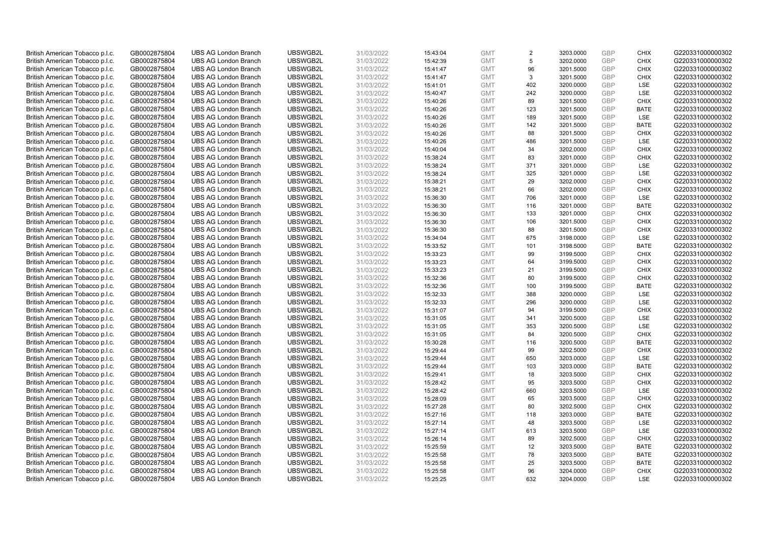| British American Tobacco p.l.c. | GB0002875804 | <b>UBS AG London Branch</b> | UBSWGB2L | 31/03/2022 | 15:43:04 | <b>GMT</b> | 2   | 3203.0000 | <b>GBP</b> | <b>CHIX</b> | G220331000000302 |
|---------------------------------|--------------|-----------------------------|----------|------------|----------|------------|-----|-----------|------------|-------------|------------------|
|                                 |              |                             |          |            |          |            |     |           | <b>GBP</b> | <b>CHIX</b> |                  |
| British American Tobacco p.l.c. | GB0002875804 | <b>UBS AG London Branch</b> | UBSWGB2L | 31/03/2022 | 15:42:39 | <b>GMT</b> | 5   | 3202.0000 |            |             | G220331000000302 |
| British American Tobacco p.l.c. | GB0002875804 | <b>UBS AG London Branch</b> | UBSWGB2L | 31/03/2022 | 15:41:47 | <b>GMT</b> | 96  | 3201.5000 | <b>GBP</b> | <b>CHIX</b> | G220331000000302 |
| British American Tobacco p.l.c. | GB0002875804 | <b>UBS AG London Branch</b> | UBSWGB2L | 31/03/2022 | 15:41:47 | <b>GMT</b> | 3   | 3201.5000 | <b>GBP</b> | <b>CHIX</b> | G220331000000302 |
| British American Tobacco p.l.c. | GB0002875804 | <b>UBS AG London Branch</b> | UBSWGB2L | 31/03/2022 | 15:41:01 | <b>GMT</b> | 402 | 3200.0000 | <b>GBP</b> | <b>LSE</b>  | G220331000000302 |
| British American Tobacco p.l.c. | GB0002875804 | <b>UBS AG London Branch</b> | UBSWGB2L | 31/03/2022 | 15:40:47 | <b>GMT</b> | 242 | 3200.0000 | <b>GBP</b> | <b>LSE</b>  | G220331000000302 |
| British American Tobacco p.l.c. | GB0002875804 | <b>UBS AG London Branch</b> | UBSWGB2L | 31/03/2022 | 15:40:26 | <b>GMT</b> | 89  | 3201.5000 | GBP        | <b>CHIX</b> | G220331000000302 |
| British American Tobacco p.l.c. | GB0002875804 | <b>UBS AG London Branch</b> | UBSWGB2L | 31/03/2022 | 15:40:26 | <b>GMT</b> | 123 | 3201.5000 | <b>GBP</b> | <b>BATE</b> | G220331000000302 |
| British American Tobacco p.l.c. | GB0002875804 | <b>UBS AG London Branch</b> | UBSWGB2L | 31/03/2022 | 15:40:26 | <b>GMT</b> | 189 | 3201.5000 | GBP        | LSE         | G220331000000302 |
| British American Tobacco p.l.c. | GB0002875804 | <b>UBS AG London Branch</b> | UBSWGB2L | 31/03/2022 | 15:40:26 | <b>GMT</b> | 142 | 3201.5000 | <b>GBP</b> | <b>BATE</b> | G220331000000302 |
| British American Tobacco p.l.c. | GB0002875804 | <b>UBS AG London Branch</b> | UBSWGB2L | 31/03/2022 | 15:40:26 | <b>GMT</b> | 88  | 3201.5000 | GBP        | <b>CHIX</b> | G220331000000302 |
| British American Tobacco p.l.c. | GB0002875804 | <b>UBS AG London Branch</b> | UBSWGB2L | 31/03/2022 | 15:40:26 | <b>GMT</b> | 486 | 3201.5000 | <b>GBP</b> | LSE         | G220331000000302 |
| British American Tobacco p.l.c. | GB0002875804 | <b>UBS AG London Branch</b> | UBSWGB2L | 31/03/2022 | 15:40:04 | <b>GMT</b> | 34  | 3202.0000 | GBP        | <b>CHIX</b> | G220331000000302 |
| British American Tobacco p.l.c. | GB0002875804 | <b>UBS AG London Branch</b> | UBSWGB2L | 31/03/2022 | 15:38:24 | <b>GMT</b> | 83  | 3201.0000 | <b>GBP</b> | <b>CHIX</b> | G220331000000302 |
| British American Tobacco p.l.c. | GB0002875804 | <b>UBS AG London Branch</b> | UBSWGB2L | 31/03/2022 | 15:38:24 | <b>GMT</b> | 371 | 3201.0000 | GBP        | <b>LSE</b>  | G220331000000302 |
| British American Tobacco p.l.c. | GB0002875804 | <b>UBS AG London Branch</b> | UBSWGB2L | 31/03/2022 | 15:38:24 | <b>GMT</b> | 325 | 3201.0000 | GBP        | LSE         | G220331000000302 |
| British American Tobacco p.l.c. | GB0002875804 | <b>UBS AG London Branch</b> | UBSWGB2L | 31/03/2022 | 15:38:21 | <b>GMT</b> | 29  | 3202.0000 | GBP        | <b>CHIX</b> | G220331000000302 |
| British American Tobacco p.l.c. | GB0002875804 | <b>UBS AG London Branch</b> | UBSWGB2L | 31/03/2022 | 15:38:21 | <b>GMT</b> | 66  | 3202.0000 | GBP        | <b>CHIX</b> | G220331000000302 |
| British American Tobacco p.l.c. | GB0002875804 | <b>UBS AG London Branch</b> | UBSWGB2L | 31/03/2022 | 15:36:30 | <b>GMT</b> | 706 | 3201.0000 | <b>GBP</b> | <b>LSE</b>  | G220331000000302 |
| British American Tobacco p.l.c. | GB0002875804 | <b>UBS AG London Branch</b> | UBSWGB2L | 31/03/2022 | 15:36:30 | <b>GMT</b> | 116 | 3201.0000 | <b>GBP</b> | <b>BATE</b> | G220331000000302 |
|                                 |              |                             |          |            |          |            |     |           |            |             |                  |
| British American Tobacco p.l.c. | GB0002875804 | <b>UBS AG London Branch</b> | UBSWGB2L | 31/03/2022 | 15:36:30 | <b>GMT</b> | 133 | 3201.0000 | <b>GBP</b> | <b>CHIX</b> | G220331000000302 |
| British American Tobacco p.l.c. | GB0002875804 | <b>UBS AG London Branch</b> | UBSWGB2L | 31/03/2022 | 15:36:30 | <b>GMT</b> | 106 | 3201.5000 | GBP        | <b>CHIX</b> | G220331000000302 |
| British American Tobacco p.l.c. | GB0002875804 | <b>UBS AG London Branch</b> | UBSWGB2L | 31/03/2022 | 15:36:30 | <b>GMT</b> | 88  | 3201.5000 | <b>GBP</b> | <b>CHIX</b> | G220331000000302 |
| British American Tobacco p.l.c. | GB0002875804 | <b>UBS AG London Branch</b> | UBSWGB2L | 31/03/2022 | 15:34:04 | <b>GMT</b> | 675 | 3198.0000 | GBP        | <b>LSE</b>  | G220331000000302 |
| British American Tobacco p.l.c. | GB0002875804 | <b>UBS AG London Branch</b> | UBSWGB2L | 31/03/2022 | 15:33:52 | <b>GMT</b> | 101 | 3198.5000 | <b>GBP</b> | <b>BATE</b> | G220331000000302 |
| British American Tobacco p.l.c. | GB0002875804 | <b>UBS AG London Branch</b> | UBSWGB2L | 31/03/2022 | 15:33:23 | <b>GMT</b> | 99  | 3199.5000 | GBP        | <b>CHIX</b> | G220331000000302 |
| British American Tobacco p.l.c. | GB0002875804 | <b>UBS AG London Branch</b> | UBSWGB2L | 31/03/2022 | 15:33:23 | <b>GMT</b> | 64  | 3199.5000 | <b>GBP</b> | <b>CHIX</b> | G220331000000302 |
| British American Tobacco p.l.c. | GB0002875804 | <b>UBS AG London Branch</b> | UBSWGB2L | 31/03/2022 | 15:33:23 | <b>GMT</b> | 21  | 3199.5000 | GBP        | <b>CHIX</b> | G220331000000302 |
| British American Tobacco p.l.c. | GB0002875804 | <b>UBS AG London Branch</b> | UBSWGB2L | 31/03/2022 | 15:32:36 | <b>GMT</b> | 80  | 3199.5000 | <b>GBP</b> | <b>CHIX</b> | G220331000000302 |
| British American Tobacco p.l.c. | GB0002875804 | <b>UBS AG London Branch</b> | UBSWGB2L | 31/03/2022 | 15:32:36 | <b>GMT</b> | 100 | 3199.5000 | GBP        | <b>BATE</b> | G220331000000302 |
| British American Tobacco p.l.c. | GB0002875804 | <b>UBS AG London Branch</b> | UBSWGB2L | 31/03/2022 | 15:32:33 | <b>GMT</b> | 388 | 3200.0000 | GBP        | LSE         | G220331000000302 |
| British American Tobacco p.l.c. | GB0002875804 | <b>UBS AG London Branch</b> | UBSWGB2L | 31/03/2022 | 15:32:33 | <b>GMT</b> | 296 | 3200.0000 | GBP        | <b>LSE</b>  | G220331000000302 |
| British American Tobacco p.l.c. | GB0002875804 | <b>UBS AG London Branch</b> | UBSWGB2L | 31/03/2022 | 15:31:07 | <b>GMT</b> | 94  | 3199.5000 | <b>GBP</b> | <b>CHIX</b> | G220331000000302 |
| British American Tobacco p.l.c. | GB0002875804 | <b>UBS AG London Branch</b> | UBSWGB2L | 31/03/2022 | 15:31:05 | <b>GMT</b> | 341 | 3200.5000 | <b>GBP</b> | LSE         | G220331000000302 |
| British American Tobacco p.l.c. | GB0002875804 | <b>UBS AG London Branch</b> | UBSWGB2L | 31/03/2022 | 15:31:05 | <b>GMT</b> | 353 | 3200.5000 | GBP        | LSE         | G220331000000302 |
| British American Tobacco p.l.c. | GB0002875804 | <b>UBS AG London Branch</b> | UBSWGB2L | 31/03/2022 | 15:31:05 | <b>GMT</b> | 84  | 3200.5000 | <b>GBP</b> | <b>CHIX</b> | G220331000000302 |
| British American Tobacco p.l.c. | GB0002875804 | <b>UBS AG London Branch</b> | UBSWGB2L | 31/03/2022 | 15:30:28 | <b>GMT</b> | 116 | 3200.5000 | GBP        | <b>BATE</b> | G220331000000302 |
| British American Tobacco p.l.c. | GB0002875804 | <b>UBS AG London Branch</b> | UBSWGB2L | 31/03/2022 | 15:29:44 | <b>GMT</b> | 99  | 3202.5000 | <b>GBP</b> | <b>CHIX</b> | G220331000000302 |
| British American Tobacco p.l.c. | GB0002875804 | <b>UBS AG London Branch</b> | UBSWGB2L | 31/03/2022 | 15:29:44 | <b>GMT</b> | 650 | 3203.0000 | GBP        | LSE         | G220331000000302 |
| British American Tobacco p.l.c. | GB0002875804 | <b>UBS AG London Branch</b> | UBSWGB2L | 31/03/2022 | 15:29:44 | <b>GMT</b> | 103 | 3203.0000 | <b>GBP</b> | <b>BATE</b> | G220331000000302 |
| British American Tobacco p.l.c. | GB0002875804 | <b>UBS AG London Branch</b> | UBSWGB2L | 31/03/2022 | 15:29:41 | <b>GMT</b> | 18  | 3203.5000 | GBP        | <b>CHIX</b> | G220331000000302 |
| British American Tobacco p.l.c. | GB0002875804 | <b>UBS AG London Branch</b> | UBSWGB2L | 31/03/2022 | 15:28:42 | <b>GMT</b> | 95  | 3203.5000 | <b>GBP</b> | <b>CHIX</b> | G220331000000302 |
| British American Tobacco p.l.c. | GB0002875804 | <b>UBS AG London Branch</b> | UBSWGB2L | 31/03/2022 | 15:28:42 | <b>GMT</b> | 660 | 3203.5000 | GBP        | LSE         | G220331000000302 |
| British American Tobacco p.l.c. | GB0002875804 | <b>UBS AG London Branch</b> | UBSWGB2L | 31/03/2022 | 15:28:09 | <b>GMT</b> | 65  | 3203.5000 | <b>GBP</b> | <b>CHIX</b> | G220331000000302 |
| British American Tobacco p.l.c. | GB0002875804 | <b>UBS AG London Branch</b> | UBSWGB2L | 31/03/2022 | 15:27:28 | <b>GMT</b> | 80  | 3202.5000 | <b>GBP</b> | <b>CHIX</b> | G220331000000302 |
| British American Tobacco p.l.c. | GB0002875804 | <b>UBS AG London Branch</b> | UBSWGB2L | 31/03/2022 | 15:27:16 | <b>GMT</b> | 118 | 3203.0000 | <b>GBP</b> | <b>BATE</b> | G220331000000302 |
| British American Tobacco p.l.c. | GB0002875804 | <b>UBS AG London Branch</b> | UBSWGB2L | 31/03/2022 | 15:27:14 | <b>GMT</b> | 48  | 3203.5000 | <b>GBP</b> | LSE         | G220331000000302 |
| British American Tobacco p.l.c. | GB0002875804 | <b>UBS AG London Branch</b> | UBSWGB2L | 31/03/2022 | 15:27:14 | <b>GMT</b> | 613 | 3203.5000 | <b>GBP</b> | LSE         | G220331000000302 |
| British American Tobacco p.l.c. | GB0002875804 | <b>UBS AG London Branch</b> | UBSWGB2L | 31/03/2022 | 15:26:14 | <b>GMT</b> | 89  | 3202.5000 | <b>GBP</b> | <b>CHIX</b> | G220331000000302 |
| British American Tobacco p.l.c. | GB0002875804 | <b>UBS AG London Branch</b> | UBSWGB2L | 31/03/2022 | 15:25:59 | <b>GMT</b> | 12  | 3203.5000 | <b>GBP</b> | <b>BATE</b> | G220331000000302 |
| British American Tobacco p.l.c. | GB0002875804 | <b>UBS AG London Branch</b> | UBSWGB2L | 31/03/2022 | 15:25:58 | <b>GMT</b> | 78  | 3203.5000 | <b>GBP</b> | <b>BATE</b> | G220331000000302 |
| British American Tobacco p.l.c. | GB0002875804 | <b>UBS AG London Branch</b> | UBSWGB2L | 31/03/2022 | 15:25:58 | <b>GMT</b> | 25  | 3203.5000 | <b>GBP</b> | <b>BATE</b> | G220331000000302 |
| British American Tobacco p.l.c. | GB0002875804 | <b>UBS AG London Branch</b> | UBSWGB2L | 31/03/2022 | 15:25:58 | <b>GMT</b> | 96  | 3204.0000 | <b>GBP</b> | <b>CHIX</b> | G220331000000302 |
| British American Tobacco p.l.c. | GB0002875804 | <b>UBS AG London Branch</b> | UBSWGB2L | 31/03/2022 | 15:25:25 | <b>GMT</b> | 632 | 3204.0000 | GBP        | <b>LSE</b>  | G220331000000302 |
|                                 |              |                             |          |            |          |            |     |           |            |             |                  |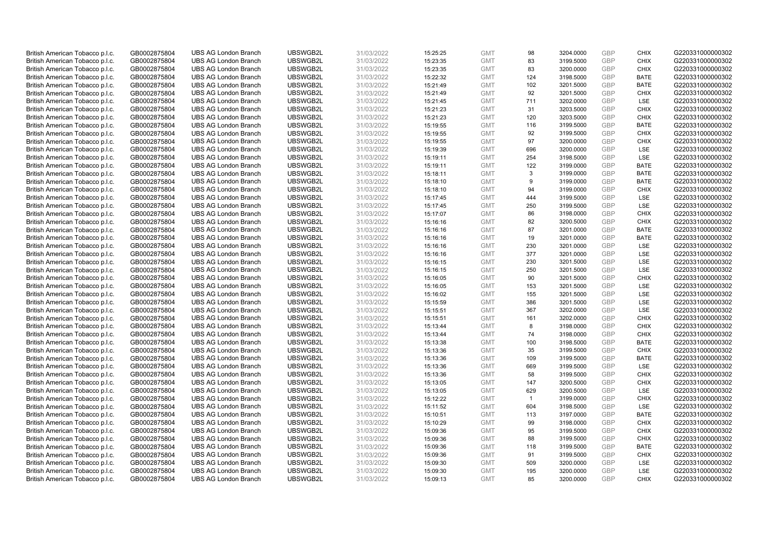| British American Tobacco p.l.c. | GB0002875804 | <b>UBS AG London Branch</b> | UBSWGB2L | 31/03/2022 |          | <b>GMT</b> | 98           | 3204.0000 | <b>GBP</b> | <b>CHIX</b> | G220331000000302 |
|---------------------------------|--------------|-----------------------------|----------|------------|----------|------------|--------------|-----------|------------|-------------|------------------|
|                                 |              |                             |          |            | 15:25:25 |            |              |           |            |             |                  |
| British American Tobacco p.l.c. | GB0002875804 | <b>UBS AG London Branch</b> | UBSWGB2L | 31/03/2022 | 15:23:35 | <b>GMT</b> | 83           | 3199.5000 | <b>GBP</b> | CHIX        | G220331000000302 |
| British American Tobacco p.l.c. | GB0002875804 | <b>UBS AG London Branch</b> | UBSWGB2L | 31/03/2022 | 15:23:35 | <b>GMT</b> | 83           | 3200.0000 | <b>GBP</b> | <b>CHIX</b> | G220331000000302 |
| British American Tobacco p.l.c. | GB0002875804 | <b>UBS AG London Branch</b> | UBSWGB2L | 31/03/2022 | 15:22:32 | <b>GMT</b> | 124          | 3198.5000 | <b>GBP</b> | <b>BATE</b> | G220331000000302 |
| British American Tobacco p.l.c. | GB0002875804 | <b>UBS AG London Branch</b> | UBSWGB2L | 31/03/2022 | 15:21:49 | <b>GMT</b> | 102          | 3201.5000 | <b>GBP</b> | <b>BATE</b> | G220331000000302 |
| British American Tobacco p.l.c. | GB0002875804 | <b>UBS AG London Branch</b> | UBSWGB2L | 31/03/2022 | 15:21:49 | <b>GMT</b> | 92           | 3201.5000 | <b>GBP</b> | <b>CHIX</b> | G220331000000302 |
| British American Tobacco p.l.c. | GB0002875804 | <b>UBS AG London Branch</b> | UBSWGB2L | 31/03/2022 | 15:21:45 | <b>GMT</b> | 711          | 3202.0000 | <b>GBP</b> | LSE         | G220331000000302 |
| British American Tobacco p.l.c. | GB0002875804 | <b>UBS AG London Branch</b> | UBSWGB2L | 31/03/2022 | 15:21:23 | <b>GMT</b> | 31           | 3203.5000 | <b>GBP</b> | <b>CHIX</b> | G220331000000302 |
| British American Tobacco p.l.c. | GB0002875804 | <b>UBS AG London Branch</b> | UBSWGB2L | 31/03/2022 | 15:21:23 | <b>GMT</b> | 120          | 3203.5000 | <b>GBP</b> | <b>CHIX</b> | G220331000000302 |
| British American Tobacco p.l.c. | GB0002875804 | <b>UBS AG London Branch</b> | UBSWGB2L | 31/03/2022 | 15:19:55 | <b>GMT</b> | 116          | 3199.5000 | <b>GBP</b> | <b>BATE</b> | G220331000000302 |
| British American Tobacco p.l.c. | GB0002875804 | <b>UBS AG London Branch</b> | UBSWGB2L | 31/03/2022 | 15:19:55 | <b>GMT</b> | 92           | 3199.5000 | <b>GBP</b> | <b>CHIX</b> | G220331000000302 |
| British American Tobacco p.l.c. | GB0002875804 | <b>UBS AG London Branch</b> | UBSWGB2L | 31/03/2022 | 15:19:55 | <b>GMT</b> | 97           | 3200.0000 | <b>GBP</b> | <b>CHIX</b> | G220331000000302 |
| British American Tobacco p.l.c. | GB0002875804 | <b>UBS AG London Branch</b> | UBSWGB2L | 31/03/2022 | 15:19:39 | <b>GMT</b> | 696          | 3200.0000 | <b>GBP</b> | LSE         | G220331000000302 |
| British American Tobacco p.l.c. | GB0002875804 | <b>UBS AG London Branch</b> | UBSWGB2L | 31/03/2022 | 15:19:11 | <b>GMT</b> | 254          | 3198.5000 | <b>GBP</b> | LSE         | G220331000000302 |
| British American Tobacco p.l.c. | GB0002875804 | <b>UBS AG London Branch</b> | UBSWGB2L | 31/03/2022 | 15:19:11 | <b>GMT</b> | 122          | 3199.0000 | GBP        | <b>BATE</b> | G220331000000302 |
| British American Tobacco p.l.c. | GB0002875804 | <b>UBS AG London Branch</b> | UBSWGB2L | 31/03/2022 | 15:18:11 | <b>GMT</b> | 3            | 3199.0000 | <b>GBP</b> | <b>BATE</b> | G220331000000302 |
| British American Tobacco p.l.c. | GB0002875804 | <b>UBS AG London Branch</b> | UBSWGB2L | 31/03/2022 | 15:18:10 | <b>GMT</b> | 9            | 3199.0000 | GBP        | <b>BATE</b> | G220331000000302 |
| British American Tobacco p.l.c. | GB0002875804 | <b>UBS AG London Branch</b> | UBSWGB2L | 31/03/2022 | 15:18:10 | <b>GMT</b> | 94           | 3199.0000 | GBP        | <b>CHIX</b> | G220331000000302 |
| British American Tobacco p.l.c. | GB0002875804 | <b>UBS AG London Branch</b> | UBSWGB2L | 31/03/2022 | 15:17:45 | <b>GMT</b> | 444          | 3199.5000 | <b>GBP</b> | <b>LSE</b>  | G220331000000302 |
| British American Tobacco p.l.c. | GB0002875804 | <b>UBS AG London Branch</b> | UBSWGB2L | 31/03/2022 | 15:17:45 | <b>GMT</b> | 250          | 3199.5000 | <b>GBP</b> | LSE         | G220331000000302 |
| British American Tobacco p.l.c. | GB0002875804 | <b>UBS AG London Branch</b> | UBSWGB2L | 31/03/2022 | 15:17:07 | <b>GMT</b> | 86           | 3198.0000 | <b>GBP</b> | <b>CHIX</b> | G220331000000302 |
| British American Tobacco p.l.c. | GB0002875804 | <b>UBS AG London Branch</b> | UBSWGB2L | 31/03/2022 | 15:16:16 | <b>GMT</b> | 82           | 3200.5000 | GBP        | <b>CHIX</b> | G220331000000302 |
| British American Tobacco p.l.c. | GB0002875804 | <b>UBS AG London Branch</b> | UBSWGB2L | 31/03/2022 | 15:16:16 | <b>GMT</b> | 87           | 3201.0000 | <b>GBP</b> | <b>BATE</b> | G220331000000302 |
| British American Tobacco p.l.c. | GB0002875804 | <b>UBS AG London Branch</b> | UBSWGB2L | 31/03/2022 | 15:16:16 | <b>GMT</b> | 19           | 3201.0000 | <b>GBP</b> | <b>BATE</b> | G220331000000302 |
| British American Tobacco p.l.c. | GB0002875804 | <b>UBS AG London Branch</b> | UBSWGB2L | 31/03/2022 | 15:16:16 | <b>GMT</b> | 230          | 3201.0000 | <b>GBP</b> | LSE         | G220331000000302 |
|                                 |              | <b>UBS AG London Branch</b> | UBSWGB2L | 31/03/2022 | 15:16:16 | <b>GMT</b> | 377          | 3201.0000 | GBP        | LSE         | G220331000000302 |
| British American Tobacco p.l.c. | GB0002875804 |                             |          |            |          |            |              |           |            |             |                  |
| British American Tobacco p.l.c. | GB0002875804 | <b>UBS AG London Branch</b> | UBSWGB2L | 31/03/2022 | 15:16:15 | <b>GMT</b> | 230          | 3201.5000 | <b>GBP</b> | LSE         | G220331000000302 |
| British American Tobacco p.l.c. | GB0002875804 | <b>UBS AG London Branch</b> | UBSWGB2L | 31/03/2022 | 15:16:15 | <b>GMT</b> | 250          | 3201.5000 | GBP        | LSE         | G220331000000302 |
| British American Tobacco p.l.c. | GB0002875804 | <b>UBS AG London Branch</b> | UBSWGB2L | 31/03/2022 | 15:16:05 | <b>GMT</b> | 90           | 3201.5000 | <b>GBP</b> | <b>CHIX</b> | G220331000000302 |
| British American Tobacco p.l.c. | GB0002875804 | <b>UBS AG London Branch</b> | UBSWGB2L | 31/03/2022 | 15:16:05 | <b>GMT</b> | 153          | 3201.5000 | GBP        | LSE         | G220331000000302 |
| British American Tobacco p.l.c. | GB0002875804 | <b>UBS AG London Branch</b> | UBSWGB2L | 31/03/2022 | 15:16:02 | <b>GMT</b> | 155          | 3201.5000 | <b>GBP</b> | <b>LSE</b>  | G220331000000302 |
| British American Tobacco p.l.c. | GB0002875804 | <b>UBS AG London Branch</b> | UBSWGB2L | 31/03/2022 | 15:15:59 | <b>GMT</b> | 386          | 3201.5000 | <b>GBP</b> | <b>LSE</b>  | G220331000000302 |
| British American Tobacco p.l.c. | GB0002875804 | <b>UBS AG London Branch</b> | UBSWGB2L | 31/03/2022 | 15:15:51 | <b>GMT</b> | 367          | 3202.0000 | <b>GBP</b> | LSE         | G220331000000302 |
| British American Tobacco p.l.c. | GB0002875804 | <b>UBS AG London Branch</b> | UBSWGB2L | 31/03/2022 | 15:15:51 | <b>GMT</b> | 161          | 3202.0000 | <b>GBP</b> | <b>CHIX</b> | G220331000000302 |
| British American Tobacco p.l.c. | GB0002875804 | <b>UBS AG London Branch</b> | UBSWGB2L | 31/03/2022 | 15:13:44 | <b>GMT</b> | 8            | 3198.0000 | GBP        | <b>CHIX</b> | G220331000000302 |
| British American Tobacco p.l.c. | GB0002875804 | <b>UBS AG London Branch</b> | UBSWGB2L | 31/03/2022 | 15:13:44 | <b>GMT</b> | 74           | 3198.0000 | <b>GBP</b> | <b>CHIX</b> | G220331000000302 |
| British American Tobacco p.l.c. | GB0002875804 | <b>UBS AG London Branch</b> | UBSWGB2L | 31/03/2022 | 15:13:38 | <b>GMT</b> | 100          | 3198.5000 | <b>GBP</b> | <b>BATE</b> | G220331000000302 |
| British American Tobacco p.l.c. | GB0002875804 | <b>UBS AG London Branch</b> | UBSWGB2L | 31/03/2022 | 15:13:36 | <b>GMT</b> | 35           | 3199.5000 | <b>GBP</b> | <b>CHIX</b> | G220331000000302 |
| British American Tobacco p.l.c. | GB0002875804 | <b>UBS AG London Branch</b> | UBSWGB2L | 31/03/2022 | 15:13:36 | <b>GMT</b> | 109          | 3199.5000 | GBP        | <b>BATE</b> | G220331000000302 |
| British American Tobacco p.l.c. | GB0002875804 | <b>UBS AG London Branch</b> | UBSWGB2L | 31/03/2022 | 15:13:36 | <b>GMT</b> | 669          | 3199.5000 | <b>GBP</b> | LSE         | G220331000000302 |
| British American Tobacco p.l.c. | GB0002875804 | <b>UBS AG London Branch</b> | UBSWGB2L | 31/03/2022 | 15:13:36 | <b>GMT</b> | 58           | 3199.5000 | GBP        | <b>CHIX</b> | G220331000000302 |
| British American Tobacco p.l.c. | GB0002875804 | <b>UBS AG London Branch</b> | UBSWGB2L | 31/03/2022 | 15:13:05 | <b>GMT</b> | 147          | 3200.5000 | <b>GBP</b> | <b>CHIX</b> | G220331000000302 |
| British American Tobacco p.l.c. | GB0002875804 | <b>UBS AG London Branch</b> | UBSWGB2L | 31/03/2022 | 15:13:05 | <b>GMT</b> | 629          | 3200.5000 | <b>GBP</b> | LSE         | G220331000000302 |
| British American Tobacco p.l.c. | GB0002875804 | <b>UBS AG London Branch</b> | UBSWGB2L | 31/03/2022 | 15:12:22 | <b>GMT</b> | $\mathbf{1}$ | 3199.0000 | <b>GBP</b> | <b>CHIX</b> | G220331000000302 |
| British American Tobacco p.l.c. | GB0002875804 | <b>UBS AG London Branch</b> | UBSWGB2L | 31/03/2022 | 15:11:52 | <b>GMT</b> | 604          | 3198.5000 | <b>GBP</b> | LSE         | G220331000000302 |
| British American Tobacco p.l.c. | GB0002875804 | <b>UBS AG London Branch</b> | UBSWGB2L | 31/03/2022 | 15:10:51 | <b>GMT</b> | 113          | 3197.0000 | <b>GBP</b> | <b>BATE</b> | G220331000000302 |
| British American Tobacco p.l.c. | GB0002875804 | <b>UBS AG London Branch</b> | UBSWGB2L | 31/03/2022 | 15:10:29 | <b>GMT</b> | 99           | 3198.0000 | <b>GBP</b> | <b>CHIX</b> | G220331000000302 |
| British American Tobacco p.l.c. | GB0002875804 | <b>UBS AG London Branch</b> | UBSWGB2L | 31/03/2022 | 15:09:36 | <b>GMT</b> | 95           | 3199.5000 | <b>GBP</b> | <b>CHIX</b> | G220331000000302 |
| British American Tobacco p.l.c. | GB0002875804 | <b>UBS AG London Branch</b> | UBSWGB2L | 31/03/2022 | 15:09:36 | <b>GMT</b> | 88           | 3199.5000 | <b>GBP</b> | <b>CHIX</b> | G220331000000302 |
| British American Tobacco p.l.c. | GB0002875804 | <b>UBS AG London Branch</b> | UBSWGB2L | 31/03/2022 | 15:09:36 | <b>GMT</b> | 118          | 3199.5000 | <b>GBP</b> | <b>BATE</b> | G220331000000302 |
| British American Tobacco p.l.c. | GB0002875804 | <b>UBS AG London Branch</b> | UBSWGB2L | 31/03/2022 | 15:09:36 | <b>GMT</b> | 91           | 3199.5000 | <b>GBP</b> | <b>CHIX</b> | G220331000000302 |
| British American Tobacco p.l.c. | GB0002875804 | <b>UBS AG London Branch</b> | UBSWGB2L | 31/03/2022 | 15:09:30 | <b>GMT</b> | 509          | 3200.0000 | <b>GBP</b> | LSE         | G220331000000302 |
| British American Tobacco p.l.c. | GB0002875804 | <b>UBS AG London Branch</b> | UBSWGB2L | 31/03/2022 | 15:09:30 | <b>GMT</b> | 195          | 3200.0000 | <b>GBP</b> | LSE         | G220331000000302 |
| British American Tobacco p.l.c. | GB0002875804 | <b>UBS AG London Branch</b> | UBSWGB2L | 31/03/2022 | 15:09:13 | <b>GMT</b> | 85           | 3200.0000 | GBP        | CHIX        | G220331000000302 |
|                                 |              |                             |          |            |          |            |              |           |            |             |                  |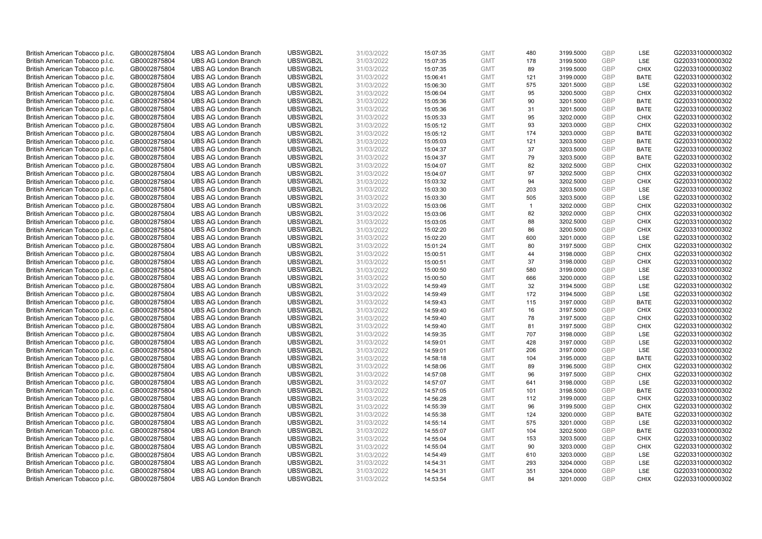| British American Tobacco p.l.c. | GB0002875804 | <b>UBS AG London Branch</b> | UBSWGB2L | 31/03/2022 | 15:07:35 | <b>GMT</b> | 480          | 3199.5000 | <b>GBP</b> | LSE         | G220331000000302 |
|---------------------------------|--------------|-----------------------------|----------|------------|----------|------------|--------------|-----------|------------|-------------|------------------|
| British American Tobacco p.l.c. | GB0002875804 | <b>UBS AG London Branch</b> | UBSWGB2L | 31/03/2022 | 15:07:35 | <b>GMT</b> | 178          | 3199.5000 | GBP        | LSE         | G220331000000302 |
| British American Tobacco p.l.c. | GB0002875804 | <b>UBS AG London Branch</b> | UBSWGB2L | 31/03/2022 | 15:07:35 | <b>GMT</b> | 89           | 3199.5000 | <b>GBP</b> | <b>CHIX</b> | G220331000000302 |
|                                 |              |                             | UBSWGB2L | 31/03/2022 |          |            |              |           | <b>GBP</b> | <b>BATE</b> | G220331000000302 |
| British American Tobacco p.l.c. | GB0002875804 | <b>UBS AG London Branch</b> |          |            | 15:06:41 | <b>GMT</b> | 121          | 3199.0000 | <b>GBP</b> |             |                  |
| British American Tobacco p.l.c. | GB0002875804 | <b>UBS AG London Branch</b> | UBSWGB2L | 31/03/2022 | 15:06:30 | <b>GMT</b> | 575          | 3201.5000 |            | LSE         | G220331000000302 |
| British American Tobacco p.l.c. | GB0002875804 | <b>UBS AG London Branch</b> | UBSWGB2L | 31/03/2022 | 15:06:04 | <b>GMT</b> | 95           | 3200.5000 | <b>GBP</b> | <b>CHIX</b> | G220331000000302 |
| British American Tobacco p.l.c. | GB0002875804 | <b>UBS AG London Branch</b> | UBSWGB2L | 31/03/2022 | 15:05:36 | <b>GMT</b> | 90           | 3201.5000 | <b>GBP</b> | <b>BATE</b> | G220331000000302 |
| British American Tobacco p.l.c. | GB0002875804 | <b>UBS AG London Branch</b> | UBSWGB2L | 31/03/2022 | 15:05:36 | <b>GMT</b> | 31           | 3201.5000 | <b>GBP</b> | <b>BATE</b> | G220331000000302 |
| British American Tobacco p.l.c. | GB0002875804 | <b>UBS AG London Branch</b> | UBSWGB2L | 31/03/2022 | 15:05:33 | <b>GMT</b> | 95           | 3202.0000 | <b>GBP</b> | <b>CHIX</b> | G220331000000302 |
| British American Tobacco p.l.c. | GB0002875804 | <b>UBS AG London Branch</b> | UBSWGB2L | 31/03/2022 | 15:05:12 | <b>GMT</b> | 93           | 3203.0000 | <b>GBP</b> | <b>CHIX</b> | G220331000000302 |
| British American Tobacco p.l.c. | GB0002875804 | <b>UBS AG London Branch</b> | UBSWGB2L | 31/03/2022 | 15:05:12 | <b>GMT</b> | 174          | 3203.0000 | <b>GBP</b> | <b>BATE</b> | G220331000000302 |
| British American Tobacco p.l.c. | GB0002875804 | <b>UBS AG London Branch</b> | UBSWGB2L | 31/03/2022 | 15:05:03 | <b>GMT</b> | 121          | 3203.5000 | <b>GBP</b> | <b>BATE</b> | G220331000000302 |
| British American Tobacco p.l.c. | GB0002875804 | <b>UBS AG London Branch</b> | UBSWGB2L | 31/03/2022 | 15:04:37 | <b>GMT</b> | 37           | 3203.5000 | <b>GBP</b> | <b>BATE</b> | G220331000000302 |
| British American Tobacco p.l.c. | GB0002875804 | <b>UBS AG London Branch</b> | UBSWGB2L | 31/03/2022 | 15:04:37 | <b>GMT</b> | 79           | 3203.5000 | <b>GBP</b> | <b>BATE</b> | G220331000000302 |
| British American Tobacco p.l.c. | GB0002875804 | <b>UBS AG London Branch</b> | UBSWGB2L | 31/03/2022 | 15:04:07 | <b>GMT</b> | 82           | 3202.5000 | GBP        | <b>CHIX</b> | G220331000000302 |
| British American Tobacco p.l.c. | GB0002875804 | <b>UBS AG London Branch</b> | UBSWGB2L | 31/03/2022 | 15:04:07 | <b>GMT</b> | 97           | 3202.5000 | <b>GBP</b> | <b>CHIX</b> | G220331000000302 |
| British American Tobacco p.l.c. | GB0002875804 | <b>UBS AG London Branch</b> | UBSWGB2L | 31/03/2022 | 15:03:32 | <b>GMT</b> | 94           | 3202.5000 | GBP        | <b>CHIX</b> | G220331000000302 |
| British American Tobacco p.l.c. | GB0002875804 | <b>UBS AG London Branch</b> | UBSWGB2L | 31/03/2022 | 15:03:30 | <b>GMT</b> | 203          | 3203.5000 | <b>GBP</b> | <b>LSE</b>  | G220331000000302 |
| British American Tobacco p.l.c. | GB0002875804 | <b>UBS AG London Branch</b> | UBSWGB2L | 31/03/2022 | 15:03:30 | <b>GMT</b> | 505          | 3203.5000 | <b>GBP</b> | <b>LSE</b>  | G220331000000302 |
| British American Tobacco p.l.c. | GB0002875804 | <b>UBS AG London Branch</b> | UBSWGB2L | 31/03/2022 | 15:03:06 | <b>GMT</b> | $\mathbf{1}$ | 3202.0000 | <b>GBP</b> | <b>CHIX</b> | G220331000000302 |
| British American Tobacco p.l.c. | GB0002875804 | <b>UBS AG London Branch</b> | UBSWGB2L | 31/03/2022 | 15:03:06 | <b>GMT</b> | 82           | 3202.0000 | <b>GBP</b> | <b>CHIX</b> | G220331000000302 |
| British American Tobacco p.l.c. | GB0002875804 | <b>UBS AG London Branch</b> | UBSWGB2L | 31/03/2022 | 15:03:05 | <b>GMT</b> | 88           | 3202.5000 | GBP        | <b>CHIX</b> | G220331000000302 |
| British American Tobacco p.l.c. | GB0002875804 | <b>UBS AG London Branch</b> | UBSWGB2L | 31/03/2022 | 15:02:20 | <b>GMT</b> | 86           | 3200.5000 | <b>GBP</b> | <b>CHIX</b> | G220331000000302 |
| British American Tobacco p.l.c. | GB0002875804 | <b>UBS AG London Branch</b> | UBSWGB2L | 31/03/2022 | 15:02:20 | <b>GMT</b> | 600          | 3201.0000 | <b>GBP</b> | <b>LSE</b>  | G220331000000302 |
| British American Tobacco p.l.c. | GB0002875804 | <b>UBS AG London Branch</b> | UBSWGB2L | 31/03/2022 | 15:01:24 | <b>GMT</b> | 80           | 3197.5000 | <b>GBP</b> | <b>CHIX</b> | G220331000000302 |
| British American Tobacco p.l.c. | GB0002875804 | <b>UBS AG London Branch</b> | UBSWGB2L | 31/03/2022 | 15:00:51 | <b>GMT</b> | 44           | 3198.0000 | GBP        | <b>CHIX</b> | G220331000000302 |
| British American Tobacco p.l.c. | GB0002875804 | <b>UBS AG London Branch</b> | UBSWGB2L | 31/03/2022 | 15:00:51 | <b>GMT</b> | 37           | 3198.0000 | <b>GBP</b> | <b>CHIX</b> | G220331000000302 |
| British American Tobacco p.l.c. | GB0002875804 | <b>UBS AG London Branch</b> | UBSWGB2L | 31/03/2022 | 15:00:50 | <b>GMT</b> | 580          | 3199.0000 | GBP        | LSE         | G220331000000302 |
| British American Tobacco p.l.c. | GB0002875804 | <b>UBS AG London Branch</b> | UBSWGB2L | 31/03/2022 | 15:00:50 | <b>GMT</b> | 666          | 3200.0000 | <b>GBP</b> | LSE         | G220331000000302 |
| British American Tobacco p.l.c. | GB0002875804 | <b>UBS AG London Branch</b> | UBSWGB2L | 31/03/2022 | 14:59:49 | <b>GMT</b> | 32           | 3194.5000 | GBP        | LSE         | G220331000000302 |
| British American Tobacco p.l.c. | GB0002875804 | <b>UBS AG London Branch</b> | UBSWGB2L | 31/03/2022 | 14:59:49 | <b>GMT</b> | 172          | 3194.5000 | <b>GBP</b> | LSE         | G220331000000302 |
| British American Tobacco p.l.c. | GB0002875804 | <b>UBS AG London Branch</b> | UBSWGB2L | 31/03/2022 | 14:59:43 | <b>GMT</b> | 115          | 3197.0000 | <b>GBP</b> | <b>BATE</b> | G220331000000302 |
| British American Tobacco p.l.c. | GB0002875804 | <b>UBS AG London Branch</b> | UBSWGB2L | 31/03/2022 | 14:59:40 | <b>GMT</b> | 16           | 3197.5000 | <b>GBP</b> | <b>CHIX</b> | G220331000000302 |
| British American Tobacco p.l.c. | GB0002875804 | <b>UBS AG London Branch</b> | UBSWGB2L | 31/03/2022 | 14:59:40 | <b>GMT</b> | 78           | 3197.5000 | <b>GBP</b> | <b>CHIX</b> | G220331000000302 |
| British American Tobacco p.l.c. | GB0002875804 | <b>UBS AG London Branch</b> | UBSWGB2L | 31/03/2022 | 14:59:40 | <b>GMT</b> | 81           | 3197.5000 | GBP        | <b>CHIX</b> | G220331000000302 |
| British American Tobacco p.l.c. | GB0002875804 | <b>UBS AG London Branch</b> | UBSWGB2L | 31/03/2022 | 14:59:35 | <b>GMT</b> | 707          | 3198.0000 | <b>GBP</b> | LSE         | G220331000000302 |
| British American Tobacco p.l.c. | GB0002875804 | <b>UBS AG London Branch</b> | UBSWGB2L | 31/03/2022 | 14:59:01 | <b>GMT</b> | 428          | 3197.0000 | <b>GBP</b> | LSE         | G220331000000302 |
| British American Tobacco p.l.c. | GB0002875804 | <b>UBS AG London Branch</b> | UBSWGB2L | 31/03/2022 | 14:59:01 | <b>GMT</b> | 206          | 3197.0000 | <b>GBP</b> | LSE         | G220331000000302 |
| British American Tobacco p.l.c. | GB0002875804 | <b>UBS AG London Branch</b> | UBSWGB2L | 31/03/2022 | 14:58:18 | <b>GMT</b> | 104          | 3195.0000 | GBP        | <b>BATE</b> | G220331000000302 |
| British American Tobacco p.l.c. | GB0002875804 | <b>UBS AG London Branch</b> | UBSWGB2L | 31/03/2022 | 14:58:06 | <b>GMT</b> | 89           | 3196.5000 | <b>GBP</b> | <b>CHIX</b> | G220331000000302 |
| British American Tobacco p.l.c. | GB0002875804 | <b>UBS AG London Branch</b> | UBSWGB2L | 31/03/2022 | 14:57:08 | <b>GMT</b> | 96           | 3197.5000 | GBP        | <b>CHIX</b> | G220331000000302 |
| British American Tobacco p.l.c. | GB0002875804 | <b>UBS AG London Branch</b> | UBSWGB2L | 31/03/2022 | 14:57:07 | <b>GMT</b> | 641          | 3198.0000 | <b>GBP</b> | <b>LSE</b>  | G220331000000302 |
| British American Tobacco p.l.c. | GB0002875804 | <b>UBS AG London Branch</b> | UBSWGB2L | 31/03/2022 | 14:57:05 | <b>GMT</b> | 101          | 3198.5000 | GBP        | <b>BATE</b> | G220331000000302 |
| British American Tobacco p.l.c. | GB0002875804 | <b>UBS AG London Branch</b> | UBSWGB2L | 31/03/2022 | 14:56:28 | <b>GMT</b> | 112          | 3199.0000 | GBP        | <b>CHIX</b> | G220331000000302 |
| British American Tobacco p.l.c. | GB0002875804 | <b>UBS AG London Branch</b> | UBSWGB2L | 31/03/2022 | 14:55:39 | <b>GMT</b> | 96           | 3199.5000 | <b>GBP</b> | <b>CHIX</b> | G220331000000302 |
| British American Tobacco p.l.c. | GB0002875804 | <b>UBS AG London Branch</b> | UBSWGB2L | 31/03/2022 | 14:55:38 | <b>GMT</b> | 124          | 3200.0000 | <b>GBP</b> | <b>BATE</b> | G220331000000302 |
| British American Tobacco p.l.c. | GB0002875804 | <b>UBS AG London Branch</b> | UBSWGB2L | 31/03/2022 | 14:55:14 | <b>GMT</b> | 575          | 3201.0000 | <b>GBP</b> | LSE         | G220331000000302 |
| British American Tobacco p.l.c. | GB0002875804 | <b>UBS AG London Branch</b> | UBSWGB2L | 31/03/2022 | 14:55:07 | <b>GMT</b> | 104          | 3202.5000 | <b>GBP</b> | <b>BATE</b> | G220331000000302 |
| British American Tobacco p.l.c. | GB0002875804 | <b>UBS AG London Branch</b> | UBSWGB2L | 31/03/2022 | 14:55:04 | <b>GMT</b> | 153          | 3203.5000 | <b>GBP</b> | <b>CHIX</b> | G220331000000302 |
| British American Tobacco p.l.c. | GB0002875804 | <b>UBS AG London Branch</b> | UBSWGB2L | 31/03/2022 | 14:55:04 | <b>GMT</b> | 90           | 3203.0000 | <b>GBP</b> | <b>CHIX</b> | G220331000000302 |
| British American Tobacco p.l.c. | GB0002875804 | <b>UBS AG London Branch</b> | UBSWGB2L | 31/03/2022 | 14:54:49 | <b>GMT</b> | 610          | 3203.0000 | <b>GBP</b> | LSE         | G220331000000302 |
| British American Tobacco p.l.c. | GB0002875804 | <b>UBS AG London Branch</b> | UBSWGB2L | 31/03/2022 | 14:54:31 | <b>GMT</b> | 293          | 3204.0000 | <b>GBP</b> | LSE         | G220331000000302 |
| British American Tobacco p.l.c. | GB0002875804 | <b>UBS AG London Branch</b> | UBSWGB2L | 31/03/2022 | 14:54:31 | <b>GMT</b> | 351          | 3204.0000 | <b>GBP</b> | LSE         | G220331000000302 |
| British American Tobacco p.l.c. | GB0002875804 | <b>UBS AG London Branch</b> | UBSWGB2L | 31/03/2022 | 14:53:54 | <b>GMT</b> | 84           | 3201.0000 | GBP        | CHIX        | G220331000000302 |
|                                 |              |                             |          |            |          |            |              |           |            |             |                  |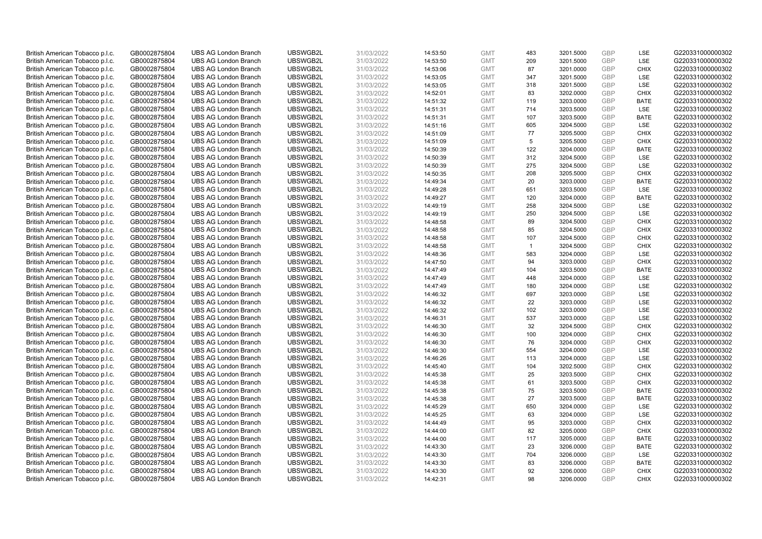| British American Tobacco p.l.c. | GB0002875804 | <b>UBS AG London Branch</b> | UBSWGB2L | 31/03/2022 | 14:53:50             | <b>GMT</b>               | 483             | 3201.5000 | <b>GBP</b> | LSE                        | G220331000000302 |
|---------------------------------|--------------|-----------------------------|----------|------------|----------------------|--------------------------|-----------------|-----------|------------|----------------------------|------------------|
|                                 |              |                             |          |            |                      |                          | 209             |           | GBP        | LSE                        |                  |
| British American Tobacco p.l.c. | GB0002875804 | <b>UBS AG London Branch</b> | UBSWGB2L | 31/03/2022 | 14:53:50             | <b>GMT</b>               |                 | 3201.5000 |            |                            | G220331000000302 |
| British American Tobacco p.l.c. | GB0002875804 | <b>UBS AG London Branch</b> | UBSWGB2L | 31/03/2022 | 14:53:06             | <b>GMT</b>               | 87              | 3201.0000 | <b>GBP</b> | <b>CHIX</b>                | G220331000000302 |
| British American Tobacco p.l.c. | GB0002875804 | <b>UBS AG London Branch</b> | UBSWGB2L | 31/03/2022 | 14:53:05             | <b>GMT</b>               | 347             | 3201.5000 | <b>GBP</b> | LSE                        | G220331000000302 |
| British American Tobacco p.l.c. | GB0002875804 | <b>UBS AG London Branch</b> | UBSWGB2L | 31/03/2022 | 14:53:05             | <b>GMT</b>               | 318             | 3201.5000 | <b>GBP</b> | LSE                        | G220331000000302 |
| British American Tobacco p.l.c. | GB0002875804 | <b>UBS AG London Branch</b> | UBSWGB2L | 31/03/2022 | 14:52:01             | <b>GMT</b>               | 83              | 3202.0000 | <b>GBP</b> | <b>CHIX</b>                | G220331000000302 |
| British American Tobacco p.l.c. | GB0002875804 | <b>UBS AG London Branch</b> | UBSWGB2L | 31/03/2022 | 14:51:32             | <b>GMT</b>               | 119             | 3203.0000 | <b>GBP</b> | <b>BATE</b>                | G220331000000302 |
| British American Tobacco p.l.c. | GB0002875804 | <b>UBS AG London Branch</b> | UBSWGB2L | 31/03/2022 | 14:51:31             | <b>GMT</b>               | 714             | 3203.5000 | <b>GBP</b> | LSE                        | G220331000000302 |
| British American Tobacco p.l.c. | GB0002875804 | <b>UBS AG London Branch</b> | UBSWGB2L | 31/03/2022 | 14:51:31             | <b>GMT</b>               | 107             | 3203.5000 | GBP        | <b>BATE</b>                | G220331000000302 |
| British American Tobacco p.l.c. | GB0002875804 | <b>UBS AG London Branch</b> | UBSWGB2L | 31/03/2022 | 14:51:16             | <b>GMT</b>               | 605             | 3204.5000 | <b>GBP</b> | LSE                        | G220331000000302 |
| British American Tobacco p.l.c. | GB0002875804 | <b>UBS AG London Branch</b> | UBSWGB2L | 31/03/2022 | 14:51:09             | <b>GMT</b>               | 77              | 3205.5000 | <b>GBP</b> | CHIX                       | G220331000000302 |
| British American Tobacco p.l.c. | GB0002875804 | <b>UBS AG London Branch</b> | UBSWGB2L | 31/03/2022 | 14:51:09             | <b>GMT</b>               | $5\phantom{.0}$ | 3205.5000 | <b>GBP</b> | <b>CHIX</b>                | G220331000000302 |
| British American Tobacco p.l.c. | GB0002875804 | <b>UBS AG London Branch</b> | UBSWGB2L | 31/03/2022 | 14:50:39             | <b>GMT</b>               | 122             | 3204.0000 | <b>GBP</b> | <b>BATE</b>                | G220331000000302 |
| British American Tobacco p.l.c. | GB0002875804 | <b>UBS AG London Branch</b> | UBSWGB2L | 31/03/2022 | 14:50:39             | <b>GMT</b>               | 312             | 3204.5000 | <b>GBP</b> | LSE                        | G220331000000302 |
| British American Tobacco p.l.c. | GB0002875804 | <b>UBS AG London Branch</b> | UBSWGB2L | 31/03/2022 | 14:50:39             | <b>GMT</b>               | 275             | 3204.5000 | GBP        | LSE                        | G220331000000302 |
| British American Tobacco p.l.c. | GB0002875804 | <b>UBS AG London Branch</b> | UBSWGB2L | 31/03/2022 | 14:50:35             | <b>GMT</b>               | 208             | 3205.5000 | <b>GBP</b> | <b>CHIX</b>                | G220331000000302 |
| British American Tobacco p.l.c. | GB0002875804 | <b>UBS AG London Branch</b> | UBSWGB2L | 31/03/2022 | 14:49:34             | <b>GMT</b>               | 20              | 3203.0000 | GBP        | <b>BATE</b>                | G220331000000302 |
| British American Tobacco p.l.c. | GB0002875804 | <b>UBS AG London Branch</b> | UBSWGB2L | 31/03/2022 | 14:49:28             | <b>GMT</b>               | 651             | 3203.5000 | GBP        | LSE                        | G220331000000302 |
| British American Tobacco p.l.c. | GB0002875804 | <b>UBS AG London Branch</b> | UBSWGB2L | 31/03/2022 | 14:49:27             | <b>GMT</b>               | 120             | 3204.0000 | <b>GBP</b> | <b>BATE</b>                | G220331000000302 |
| British American Tobacco p.l.c. | GB0002875804 | <b>UBS AG London Branch</b> | UBSWGB2L | 31/03/2022 | 14:49:19             | <b>GMT</b>               | 258             | 3204.5000 | <b>GBP</b> | LSE                        | G220331000000302 |
|                                 |              |                             |          |            |                      |                          |                 |           |            |                            |                  |
| British American Tobacco p.l.c. | GB0002875804 | <b>UBS AG London Branch</b> | UBSWGB2L | 31/03/2022 | 14:49:19             | <b>GMT</b>               | 250             | 3204.5000 | <b>GBP</b> | LSE                        | G220331000000302 |
| British American Tobacco p.l.c. | GB0002875804 | <b>UBS AG London Branch</b> | UBSWGB2L | 31/03/2022 | 14:48:58             | <b>GMT</b>               | 89              | 3204.5000 | GBP        | <b>CHIX</b>                | G220331000000302 |
| British American Tobacco p.l.c. | GB0002875804 | <b>UBS AG London Branch</b> | UBSWGB2L | 31/03/2022 | 14:48:58             | <b>GMT</b>               | 85              | 3204.5000 | <b>GBP</b> | <b>CHIX</b>                | G220331000000302 |
| British American Tobacco p.l.c. | GB0002875804 | <b>UBS AG London Branch</b> | UBSWGB2L | 31/03/2022 | 14:48:58             | <b>GMT</b>               | 107             | 3204.5000 | <b>GBP</b> | <b>CHIX</b>                | G220331000000302 |
| British American Tobacco p.l.c. | GB0002875804 | <b>UBS AG London Branch</b> | UBSWGB2L | 31/03/2022 | 14:48:58             | <b>GMT</b>               | $\overline{1}$  | 3204.5000 | <b>GBP</b> | <b>CHIX</b>                | G220331000000302 |
| British American Tobacco p.l.c. | GB0002875804 | <b>UBS AG London Branch</b> | UBSWGB2L | 31/03/2022 | 14:48:36             | <b>GMT</b>               | 583             | 3204.0000 | GBP        | LSE                        | G220331000000302 |
| British American Tobacco p.l.c. | GB0002875804 | <b>UBS AG London Branch</b> | UBSWGB2L | 31/03/2022 | 14:47:50             | <b>GMT</b>               | 94              | 3203.0000 | <b>GBP</b> | <b>CHIX</b>                | G220331000000302 |
| British American Tobacco p.l.c. | GB0002875804 | <b>UBS AG London Branch</b> | UBSWGB2L | 31/03/2022 | 14:47:49             | <b>GMT</b>               | 104             | 3203.5000 | GBP        | <b>BATE</b>                | G220331000000302 |
| British American Tobacco p.l.c. | GB0002875804 | <b>UBS AG London Branch</b> | UBSWGB2L | 31/03/2022 | 14:47:49             | <b>GMT</b>               | 448             | 3204.0000 | <b>GBP</b> | LSE                        | G220331000000302 |
| British American Tobacco p.l.c. | GB0002875804 | <b>UBS AG London Branch</b> | UBSWGB2L | 31/03/2022 | 14:47:49             | <b>GMT</b>               | 180             | 3204.0000 | GBP        | LSE                        | G220331000000302 |
| British American Tobacco p.l.c. | GB0002875804 | <b>UBS AG London Branch</b> | UBSWGB2L | 31/03/2022 | 14:46:32             | <b>GMT</b>               | 697             | 3203.0000 | <b>GBP</b> | LSE                        | G220331000000302 |
| British American Tobacco p.l.c. | GB0002875804 | <b>UBS AG London Branch</b> | UBSWGB2L | 31/03/2022 | 14:46:32             | <b>GMT</b>               | 22              | 3203.0000 | <b>GBP</b> | <b>LSE</b>                 | G220331000000302 |
| British American Tobacco p.l.c. | GB0002875804 | <b>UBS AG London Branch</b> | UBSWGB2L | 31/03/2022 | 14:46:32             | <b>GMT</b>               | 102             | 3203.0000 | <b>GBP</b> | LSE                        | G220331000000302 |
| British American Tobacco p.l.c. | GB0002875804 | <b>UBS AG London Branch</b> | UBSWGB2L | 31/03/2022 | 14:46:31             | <b>GMT</b>               | 537             | 3203.0000 | <b>GBP</b> | LSE                        | G220331000000302 |
| British American Tobacco p.l.c. | GB0002875804 | <b>UBS AG London Branch</b> | UBSWGB2L | 31/03/2022 | 14:46:30             | <b>GMT</b>               | 32              | 3204.5000 | GBP        | <b>CHIX</b>                | G220331000000302 |
| British American Tobacco p.l.c. | GB0002875804 | <b>UBS AG London Branch</b> | UBSWGB2L | 31/03/2022 | 14:46:30             | <b>GMT</b>               | 100             | 3204.0000 | <b>GBP</b> | <b>CHIX</b>                | G220331000000302 |
| British American Tobacco p.l.c. | GB0002875804 | <b>UBS AG London Branch</b> | UBSWGB2L | 31/03/2022 | 14:46:30             | <b>GMT</b>               | 76              | 3204.0000 | <b>GBP</b> | <b>CHIX</b>                | G220331000000302 |
| British American Tobacco p.l.c. | GB0002875804 | <b>UBS AG London Branch</b> | UBSWGB2L | 31/03/2022 | 14:46:30             | <b>GMT</b>               | 554             | 3204.0000 | <b>GBP</b> | LSE                        | G220331000000302 |
| British American Tobacco p.l.c. | GB0002875804 | <b>UBS AG London Branch</b> | UBSWGB2L | 31/03/2022 | 14:46:26             | <b>GMT</b>               | 113             | 3204.0000 | GBP        | LSE                        | G220331000000302 |
| British American Tobacco p.l.c. | GB0002875804 | <b>UBS AG London Branch</b> | UBSWGB2L | 31/03/2022 | 14:45:40             | <b>GMT</b>               | 104             | 3202.5000 | <b>GBP</b> | <b>CHIX</b>                | G220331000000302 |
| British American Tobacco p.l.c. | GB0002875804 | <b>UBS AG London Branch</b> | UBSWGB2L | 31/03/2022 | 14:45:38             | <b>GMT</b>               | 25              | 3203.5000 | GBP        | <b>CHIX</b>                | G220331000000302 |
| British American Tobacco p.l.c. | GB0002875804 | <b>UBS AG London Branch</b> | UBSWGB2L | 31/03/2022 | 14:45:38             | <b>GMT</b>               | 61              | 3203.5000 | <b>GBP</b> | <b>CHIX</b>                | G220331000000302 |
| British American Tobacco p.l.c. | GB0002875804 | <b>UBS AG London Branch</b> | UBSWGB2L | 31/03/2022 | 14:45:38             | <b>GMT</b>               | 75              | 3203.5000 | <b>GBP</b> | <b>BATE</b>                | G220331000000302 |
| British American Tobacco p.l.c. | GB0002875804 | <b>UBS AG London Branch</b> | UBSWGB2L | 31/03/2022 | 14:45:38             | <b>GMT</b>               | 27              | 3203.5000 | GBP        | <b>BATE</b>                | G220331000000302 |
| British American Tobacco p.l.c. | GB0002875804 | <b>UBS AG London Branch</b> | UBSWGB2L | 31/03/2022 | 14:45:29             | <b>GMT</b>               | 650             | 3204.0000 | <b>GBP</b> | LSE                        | G220331000000302 |
| British American Tobacco p.l.c. | GB0002875804 | <b>UBS AG London Branch</b> | UBSWGB2L | 31/03/2022 | 14:45:25             | <b>GMT</b>               | 63              | 3204.0000 | <b>GBP</b> | LSE                        | G220331000000302 |
| British American Tobacco p.l.c. | GB0002875804 | <b>UBS AG London Branch</b> | UBSWGB2L | 31/03/2022 | 14:44:49             | <b>GMT</b>               | 95              | 3203.0000 | <b>GBP</b> | <b>CHIX</b>                | G220331000000302 |
| British American Tobacco p.l.c. | GB0002875804 | <b>UBS AG London Branch</b> | UBSWGB2L | 31/03/2022 | 14:44:00             | <b>GMT</b>               | 82              | 3205.0000 | <b>GBP</b> | <b>CHIX</b>                | G220331000000302 |
| British American Tobacco p.l.c. | GB0002875804 | <b>UBS AG London Branch</b> | UBSWGB2L | 31/03/2022 | 14:44:00             | <b>GMT</b>               | 117             | 3205.0000 | <b>GBP</b> | <b>BATE</b>                | G220331000000302 |
| British American Tobacco p.l.c. | GB0002875804 | <b>UBS AG London Branch</b> | UBSWGB2L | 31/03/2022 | 14:43:30             | <b>GMT</b>               | 23              | 3206.0000 | <b>GBP</b> | <b>BATE</b>                | G220331000000302 |
| British American Tobacco p.l.c. |              | <b>UBS AG London Branch</b> | UBSWGB2L | 31/03/2022 |                      | <b>GMT</b>               | 704             | 3206.0000 | <b>GBP</b> | LSE                        | G220331000000302 |
| British American Tobacco p.l.c. | GB0002875804 | <b>UBS AG London Branch</b> | UBSWGB2L | 31/03/2022 | 14:43:30<br>14:43:30 | <b>GMT</b>               | 83              | 3206.0000 | <b>GBP</b> | <b>BATE</b>                | G220331000000302 |
|                                 | GB0002875804 |                             |          |            |                      |                          |                 |           | <b>GBP</b> |                            | G220331000000302 |
| British American Tobacco p.l.c. | GB0002875804 | <b>UBS AG London Branch</b> | UBSWGB2L | 31/03/2022 | 14:43:30             | <b>GMT</b><br><b>GMT</b> | 92<br>98        | 3206.0000 | GBP        | <b>CHIX</b><br><b>CHIX</b> |                  |
| British American Tobacco p.l.c. | GB0002875804 | <b>UBS AG London Branch</b> | UBSWGB2L | 31/03/2022 | 14:42:31             |                          |                 | 3206.0000 |            |                            | G220331000000302 |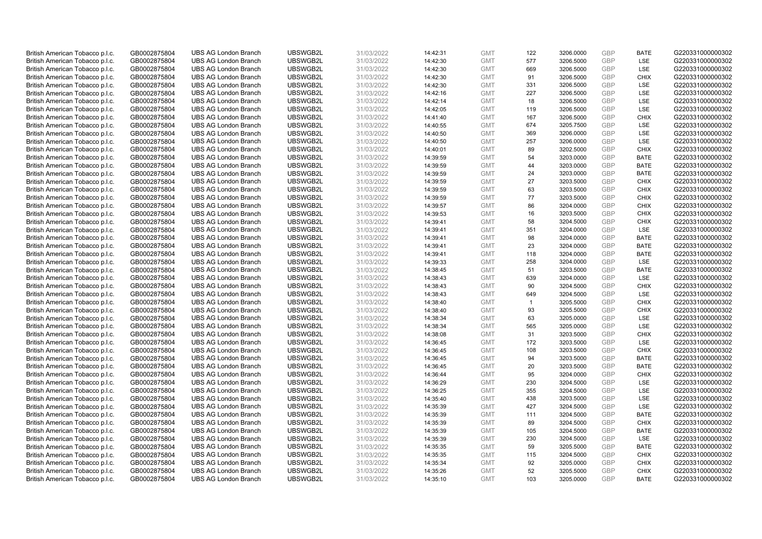| British American Tobacco p.l.c. | GB0002875804 | <b>UBS AG London Branch</b> | UBSWGB2L | 31/03/2022 | 14:42:31             | <b>GMT</b>               | 122            | 3206.0000 | <b>GBP</b> | <b>BATE</b>                | G220331000000302 |
|---------------------------------|--------------|-----------------------------|----------|------------|----------------------|--------------------------|----------------|-----------|------------|----------------------------|------------------|
| British American Tobacco p.l.c. | GB0002875804 | <b>UBS AG London Branch</b> | UBSWGB2L | 31/03/2022 | 14:42:30             | <b>GMT</b>               | 577            | 3206.5000 | GBP        | LSE                        | G220331000000302 |
| British American Tobacco p.l.c. | GB0002875804 | <b>UBS AG London Branch</b> | UBSWGB2L | 31/03/2022 | 14:42:30             | <b>GMT</b>               | 669            | 3206.5000 | <b>GBP</b> | LSE                        | G220331000000302 |
|                                 |              |                             | UBSWGB2L | 31/03/2022 |                      |                          |                |           | GBP        |                            | G220331000000302 |
| British American Tobacco p.l.c. | GB0002875804 | <b>UBS AG London Branch</b> |          |            | 14:42:30             | <b>GMT</b>               | 91             | 3206.5000 | <b>GBP</b> | <b>CHIX</b><br>LSE         |                  |
| British American Tobacco p.l.c. | GB0002875804 | <b>UBS AG London Branch</b> | UBSWGB2L | 31/03/2022 | 14:42:30             | <b>GMT</b>               | 331            | 3206.5000 |            |                            | G220331000000302 |
| British American Tobacco p.l.c. | GB0002875804 | <b>UBS AG London Branch</b> | UBSWGB2L | 31/03/2022 | 14:42:16             | <b>GMT</b>               | 227            | 3206.5000 | <b>GBP</b> | <b>LSE</b>                 | G220331000000302 |
| British American Tobacco p.l.c. | GB0002875804 | <b>UBS AG London Branch</b> | UBSWGB2L | 31/03/2022 | 14:42:14             | <b>GMT</b>               | 18             | 3206.5000 | <b>GBP</b> | LSE                        | G220331000000302 |
| British American Tobacco p.l.c. | GB0002875804 | <b>UBS AG London Branch</b> | UBSWGB2L | 31/03/2022 | 14:42:05             | <b>GMT</b>               | 119            | 3206.5000 | <b>GBP</b> | LSE                        | G220331000000302 |
| British American Tobacco p.l.c. | GB0002875804 | <b>UBS AG London Branch</b> | UBSWGB2L | 31/03/2022 | 14:41:40             | <b>GMT</b>               | 167            | 3206.5000 | GBP        | <b>CHIX</b>                | G220331000000302 |
| British American Tobacco p.l.c. | GB0002875804 | <b>UBS AG London Branch</b> | UBSWGB2L | 31/03/2022 | 14:40:55             | <b>GMT</b>               | 674            | 3205.7500 | <b>GBP</b> | LSE                        | G220331000000302 |
| British American Tobacco p.l.c. | GB0002875804 | <b>UBS AG London Branch</b> | UBSWGB2L | 31/03/2022 | 14:40:50             | <b>GMT</b>               | 369            | 3206.0000 | <b>GBP</b> | <b>LSE</b>                 | G220331000000302 |
| British American Tobacco p.l.c. | GB0002875804 | <b>UBS AG London Branch</b> | UBSWGB2L | 31/03/2022 | 14:40:50             | <b>GMT</b>               | 257            | 3206.0000 | <b>GBP</b> | LSE                        | G220331000000302 |
| British American Tobacco p.l.c. | GB0002875804 | <b>UBS AG London Branch</b> | UBSWGB2L | 31/03/2022 | 14:40:01             | <b>GMT</b>               | 89             | 3202.5000 | <b>GBP</b> | <b>CHIX</b>                | G220331000000302 |
| British American Tobacco p.l.c. | GB0002875804 | <b>UBS AG London Branch</b> | UBSWGB2L | 31/03/2022 | 14:39:59             | <b>GMT</b>               | 54             | 3203.0000 | <b>GBP</b> | <b>BATE</b>                | G220331000000302 |
| British American Tobacco p.l.c. | GB0002875804 | <b>UBS AG London Branch</b> | UBSWGB2L | 31/03/2022 | 14:39:59             | <b>GMT</b>               | 44             | 3203.0000 | <b>GBP</b> | <b>BATE</b>                | G220331000000302 |
| British American Tobacco p.l.c. | GB0002875804 | <b>UBS AG London Branch</b> | UBSWGB2L | 31/03/2022 | 14:39:59             | <b>GMT</b>               | 24             | 3203.0000 | <b>GBP</b> | <b>BATE</b>                | G220331000000302 |
| British American Tobacco p.l.c. | GB0002875804 | <b>UBS AG London Branch</b> | UBSWGB2L | 31/03/2022 | 14:39:59             | <b>GMT</b>               | 27             | 3203.5000 | GBP        | <b>CHIX</b>                | G220331000000302 |
| British American Tobacco p.l.c. | GB0002875804 | <b>UBS AG London Branch</b> | UBSWGB2L | 31/03/2022 | 14:39:59             | <b>GMT</b>               | 63             | 3203.5000 | GBP        | <b>CHIX</b>                | G220331000000302 |
| British American Tobacco p.l.c. | GB0002875804 | <b>UBS AG London Branch</b> | UBSWGB2L | 31/03/2022 | 14:39:59             | <b>GMT</b>               | 77             | 3203.5000 | <b>GBP</b> | <b>CHIX</b>                | G220331000000302 |
| British American Tobacco p.l.c. | GB0002875804 | <b>UBS AG London Branch</b> | UBSWGB2L | 31/03/2022 | 14:39:57             | <b>GMT</b>               | 86             | 3204.0000 | <b>GBP</b> | <b>CHIX</b>                | G220331000000302 |
| British American Tobacco p.l.c. | GB0002875804 | <b>UBS AG London Branch</b> | UBSWGB2L | 31/03/2022 | 14:39:53             | <b>GMT</b>               | 16             | 3203.5000 | <b>GBP</b> | <b>CHIX</b>                | G220331000000302 |
| British American Tobacco p.l.c. | GB0002875804 | <b>UBS AG London Branch</b> | UBSWGB2L | 31/03/2022 | 14:39:41             | <b>GMT</b>               | 58             | 3204.5000 | GBP        | <b>CHIX</b>                | G220331000000302 |
| British American Tobacco p.l.c. | GB0002875804 | <b>UBS AG London Branch</b> | UBSWGB2L | 31/03/2022 | 14:39:41             | <b>GMT</b>               | 351            | 3204.0000 | <b>GBP</b> | LSE                        | G220331000000302 |
| British American Tobacco p.l.c. | GB0002875804 | <b>UBS AG London Branch</b> | UBSWGB2L | 31/03/2022 | 14:39:41             | <b>GMT</b>               | 98             | 3204.0000 | <b>GBP</b> | <b>BATE</b>                | G220331000000302 |
| British American Tobacco p.l.c. | GB0002875804 | <b>UBS AG London Branch</b> | UBSWGB2L | 31/03/2022 | 14:39:41             | <b>GMT</b>               | 23             | 3204.0000 | <b>GBP</b> | <b>BATE</b>                | G220331000000302 |
| British American Tobacco p.l.c. | GB0002875804 | <b>UBS AG London Branch</b> | UBSWGB2L | 31/03/2022 | 14:39:41             | <b>GMT</b>               | 118            | 3204.0000 | GBP        | <b>BATE</b>                | G220331000000302 |
| British American Tobacco p.l.c. | GB0002875804 | <b>UBS AG London Branch</b> | UBSWGB2L | 31/03/2022 | 14:39:33             | <b>GMT</b>               | 258            | 3204.0000 | <b>GBP</b> | LSE                        | G220331000000302 |
| British American Tobacco p.l.c. | GB0002875804 | <b>UBS AG London Branch</b> | UBSWGB2L | 31/03/2022 | 14:38:45             | <b>GMT</b>               | 51             | 3203.5000 | GBP        | <b>BATE</b>                | G220331000000302 |
| British American Tobacco p.l.c. | GB0002875804 | <b>UBS AG London Branch</b> | UBSWGB2L | 31/03/2022 | 14:38:43             | <b>GMT</b>               | 639            | 3204.0000 | <b>GBP</b> | LSE                        | G220331000000302 |
| British American Tobacco p.l.c. | GB0002875804 | <b>UBS AG London Branch</b> | UBSWGB2L | 31/03/2022 | 14:38:43             | <b>GMT</b>               | 90             | 3204.5000 | GBP        | <b>CHIX</b>                | G220331000000302 |
| British American Tobacco p.l.c. | GB0002875804 | <b>UBS AG London Branch</b> | UBSWGB2L | 31/03/2022 | 14:38:43             | <b>GMT</b>               | 649            | 3204.5000 | GBP        | <b>LSE</b>                 | G220331000000302 |
| British American Tobacco p.l.c. | GB0002875804 | <b>UBS AG London Branch</b> | UBSWGB2L | 31/03/2022 | 14:38:40             | <b>GMT</b>               | $\overline{1}$ | 3205.5000 | <b>GBP</b> | CHIX                       | G220331000000302 |
| British American Tobacco p.l.c. | GB0002875804 | <b>UBS AG London Branch</b> | UBSWGB2L | 31/03/2022 | 14:38:40             | <b>GMT</b>               | 93             | 3205.5000 | <b>GBP</b> | <b>CHIX</b>                | G220331000000302 |
| British American Tobacco p.l.c. | GB0002875804 | <b>UBS AG London Branch</b> | UBSWGB2L | 31/03/2022 | 14:38:34             | <b>GMT</b>               | 63             | 3205.0000 | <b>GBP</b> | LSE                        | G220331000000302 |
| British American Tobacco p.l.c. | GB0002875804 | <b>UBS AG London Branch</b> | UBSWGB2L | 31/03/2022 | 14:38:34             | <b>GMT</b>               | 565            | 3205.0000 | GBP        | LSE                        | G220331000000302 |
| British American Tobacco p.l.c. | GB0002875804 | <b>UBS AG London Branch</b> | UBSWGB2L | 31/03/2022 | 14:38:08             | <b>GMT</b>               | 31             | 3203.5000 | <b>GBP</b> | <b>CHIX</b>                | G220331000000302 |
| British American Tobacco p.l.c. | GB0002875804 | <b>UBS AG London Branch</b> | UBSWGB2L | 31/03/2022 | 14:36:45             | <b>GMT</b>               | 172            | 3203.5000 | <b>GBP</b> | <b>LSE</b>                 | G220331000000302 |
| British American Tobacco p.l.c. | GB0002875804 | <b>UBS AG London Branch</b> | UBSWGB2L | 31/03/2022 | 14:36:45             | <b>GMT</b>               | 108            | 3203.5000 | <b>GBP</b> | <b>CHIX</b>                | G220331000000302 |
| British American Tobacco p.l.c. | GB0002875804 | <b>UBS AG London Branch</b> | UBSWGB2L | 31/03/2022 | 14:36:45             | <b>GMT</b>               | 94             | 3203.5000 | GBP        | <b>BATE</b>                | G220331000000302 |
| British American Tobacco p.l.c. | GB0002875804 | <b>UBS AG London Branch</b> | UBSWGB2L | 31/03/2022 | 14:36:45             | <b>GMT</b>               | 20             | 3203.5000 | <b>GBP</b> | <b>BATE</b>                | G220331000000302 |
| British American Tobacco p.l.c. | GB0002875804 | <b>UBS AG London Branch</b> | UBSWGB2L | 31/03/2022 | 14:36:44             | <b>GMT</b>               | 95             | 3204.0000 | GBP        | <b>CHIX</b>                | G220331000000302 |
| British American Tobacco p.l.c. | GB0002875804 | <b>UBS AG London Branch</b> | UBSWGB2L | 31/03/2022 | 14:36:29             | <b>GMT</b>               | 230            | 3204.5000 | <b>GBP</b> | <b>LSE</b>                 | G220331000000302 |
| British American Tobacco p.l.c. | GB0002875804 | <b>UBS AG London Branch</b> | UBSWGB2L | 31/03/2022 | 14:36:25             | <b>GMT</b>               | 355            | 3204.5000 | GBP        | LSE                        | G220331000000302 |
| British American Tobacco p.l.c. | GB0002875804 | <b>UBS AG London Branch</b> | UBSWGB2L | 31/03/2022 | 14:35:40             | <b>GMT</b>               | 438            | 3203.5000 | <b>GBP</b> | LSE                        | G220331000000302 |
| British American Tobacco p.l.c. | GB0002875804 | <b>UBS AG London Branch</b> | UBSWGB2L | 31/03/2022 | 14:35:39             | <b>GMT</b>               | 427            | 3204.5000 | <b>GBP</b> | LSE                        | G220331000000302 |
| British American Tobacco p.l.c. | GB0002875804 | <b>UBS AG London Branch</b> | UBSWGB2L | 31/03/2022 | 14:35:39             | <b>GMT</b>               | 111            | 3204.5000 | <b>GBP</b> | <b>BATE</b>                | G220331000000302 |
| British American Tobacco p.l.c. | GB0002875804 | <b>UBS AG London Branch</b> | UBSWGB2L | 31/03/2022 | 14:35:39             | <b>GMT</b>               | 89             | 3204.5000 | <b>GBP</b> | <b>CHIX</b>                | G220331000000302 |
| British American Tobacco p.l.c. | GB0002875804 | <b>UBS AG London Branch</b> | UBSWGB2L | 31/03/2022 | 14:35:39             | <b>GMT</b>               | 105            | 3204.5000 | GBP        | <b>BATE</b>                | G220331000000302 |
| British American Tobacco p.l.c. | GB0002875804 | <b>UBS AG London Branch</b> | UBSWGB2L | 31/03/2022 | 14:35:39             | <b>GMT</b>               | 230            | 3204.5000 | <b>GBP</b> | LSE                        | G220331000000302 |
| British American Tobacco p.l.c. | GB0002875804 | <b>UBS AG London Branch</b> | UBSWGB2L | 31/03/2022 | 14:35:35             | <b>GMT</b>               | 59             | 3205.5000 | <b>GBP</b> | <b>BATE</b>                | G220331000000302 |
| British American Tobacco p.l.c. |              | <b>UBS AG London Branch</b> | UBSWGB2L | 31/03/2022 |                      | <b>GMT</b>               | 115            | 3204.5000 | <b>GBP</b> | <b>CHIX</b>                | G220331000000302 |
| British American Tobacco p.l.c. | GB0002875804 | <b>UBS AG London Branch</b> | UBSWGB2L | 31/03/2022 | 14:35:35<br>14:35:34 | <b>GMT</b>               | 92             | 3205.0000 | <b>GBP</b> | <b>CHIX</b>                | G220331000000302 |
|                                 | GB0002875804 |                             |          |            |                      |                          |                |           | <b>GBP</b> |                            | G220331000000302 |
| British American Tobacco p.l.c. | GB0002875804 | <b>UBS AG London Branch</b> | UBSWGB2L | 31/03/2022 | 14:35:26             | <b>GMT</b><br><b>GMT</b> | 52<br>103      | 3205.5000 | GBP        | <b>CHIX</b><br><b>BATE</b> |                  |
| British American Tobacco p.l.c. | GB0002875804 | <b>UBS AG London Branch</b> | UBSWGB2L | 31/03/2022 | 14:35:10             |                          |                | 3205.0000 |            |                            | G220331000000302 |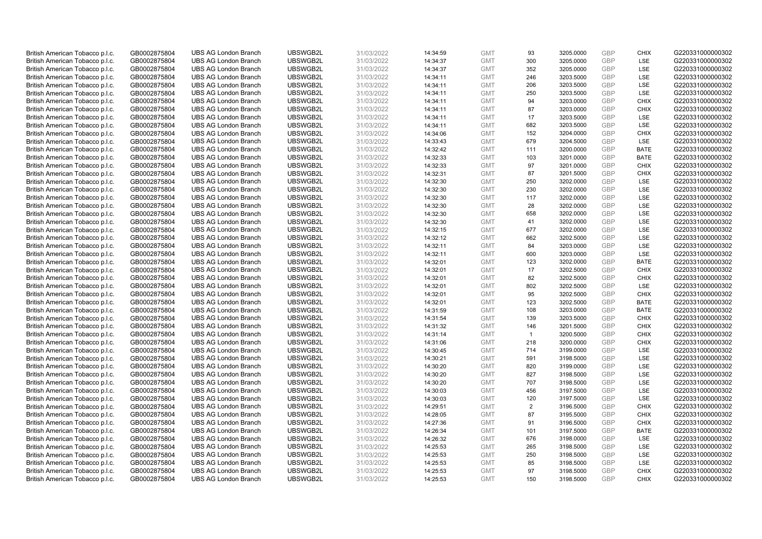| British American Tobacco p.l.c. | GB0002875804 | <b>UBS AG London Branch</b> | UBSWGB2L | 31/03/2022 | 14:34:59 | <b>GMT</b> | 93             | 3205.0000 | <b>GBP</b> | <b>CHIX</b> | G220331000000302 |
|---------------------------------|--------------|-----------------------------|----------|------------|----------|------------|----------------|-----------|------------|-------------|------------------|
|                                 |              |                             |          |            |          |            |                |           | GBP        |             |                  |
| British American Tobacco p.l.c. | GB0002875804 | <b>UBS AG London Branch</b> | UBSWGB2L | 31/03/2022 | 14:34:37 | <b>GMT</b> | 300            | 3205.0000 |            | <b>LSE</b>  | G220331000000302 |
| British American Tobacco p.l.c. | GB0002875804 | <b>UBS AG London Branch</b> | UBSWGB2L | 31/03/2022 | 14:34:37 | <b>GMT</b> | 352            | 3205.0000 | <b>GBP</b> | LSE         | G220331000000302 |
| British American Tobacco p.l.c. | GB0002875804 | <b>UBS AG London Branch</b> | UBSWGB2L | 31/03/2022 | 14:34:11 | <b>GMT</b> | 246            | 3203.5000 | <b>GBP</b> | LSE         | G220331000000302 |
| British American Tobacco p.l.c. | GB0002875804 | <b>UBS AG London Branch</b> | UBSWGB2L | 31/03/2022 | 14:34:11 | <b>GMT</b> | 206            | 3203.5000 | <b>GBP</b> | LSE         | G220331000000302 |
| British American Tobacco p.l.c. | GB0002875804 | <b>UBS AG London Branch</b> | UBSWGB2L | 31/03/2022 | 14:34:11 | <b>GMT</b> | 250            | 3203.5000 | <b>GBP</b> | <b>LSE</b>  | G220331000000302 |
| British American Tobacco p.l.c. | GB0002875804 | <b>UBS AG London Branch</b> | UBSWGB2L | 31/03/2022 | 14:34:11 | <b>GMT</b> | 94             | 3203.0000 | <b>GBP</b> | <b>CHIX</b> | G220331000000302 |
| British American Tobacco p.l.c. | GB0002875804 | <b>UBS AG London Branch</b> | UBSWGB2L | 31/03/2022 | 14:34:11 | <b>GMT</b> | 87             | 3203.0000 | <b>GBP</b> | <b>CHIX</b> | G220331000000302 |
| British American Tobacco p.l.c. | GB0002875804 | <b>UBS AG London Branch</b> | UBSWGB2L | 31/03/2022 | 14:34:11 | <b>GMT</b> | 17             | 3203.5000 | GBP        | LSE         | G220331000000302 |
| British American Tobacco p.l.c. | GB0002875804 | <b>UBS AG London Branch</b> | UBSWGB2L | 31/03/2022 | 14:34:11 | <b>GMT</b> | 682            | 3203.5000 | <b>GBP</b> | LSE         | G220331000000302 |
| British American Tobacco p.l.c. | GB0002875804 | <b>UBS AG London Branch</b> | UBSWGB2L | 31/03/2022 | 14:34:06 | <b>GMT</b> | 152            | 3204.0000 | <b>GBP</b> | CHIX        | G220331000000302 |
| British American Tobacco p.l.c. | GB0002875804 | <b>UBS AG London Branch</b> | UBSWGB2L | 31/03/2022 | 14:33:43 | <b>GMT</b> | 679            | 3204.5000 | <b>GBP</b> | LSE         | G220331000000302 |
| British American Tobacco p.l.c. | GB0002875804 | <b>UBS AG London Branch</b> | UBSWGB2L | 31/03/2022 | 14:32:42 | <b>GMT</b> | 111            | 3200.0000 | <b>GBP</b> | <b>BATE</b> | G220331000000302 |
| British American Tobacco p.l.c. | GB0002875804 | <b>UBS AG London Branch</b> | UBSWGB2L | 31/03/2022 | 14:32:33 | <b>GMT</b> | 103            | 3201.0000 | <b>GBP</b> | <b>BATE</b> | G220331000000302 |
| British American Tobacco p.l.c. | GB0002875804 | <b>UBS AG London Branch</b> | UBSWGB2L | 31/03/2022 | 14:32:33 | <b>GMT</b> | 97             | 3201.0000 | GBP        | <b>CHIX</b> | G220331000000302 |
| British American Tobacco p.l.c. | GB0002875804 | <b>UBS AG London Branch</b> | UBSWGB2L | 31/03/2022 | 14:32:31 | <b>GMT</b> | 87             | 3201.5000 | GBP        | <b>CHIX</b> | G220331000000302 |
| British American Tobacco p.l.c. | GB0002875804 | <b>UBS AG London Branch</b> | UBSWGB2L | 31/03/2022 | 14:32:30 | <b>GMT</b> | 250            | 3202.0000 | GBP        | LSE         | G220331000000302 |
| British American Tobacco p.l.c. | GB0002875804 | <b>UBS AG London Branch</b> | UBSWGB2L | 31/03/2022 | 14:32:30 | <b>GMT</b> | 230            | 3202.0000 | GBP        | LSE         | G220331000000302 |
|                                 |              | <b>UBS AG London Branch</b> | UBSWGB2L |            |          |            | 117            |           | <b>GBP</b> | <b>LSE</b>  | G220331000000302 |
| British American Tobacco p.l.c. | GB0002875804 |                             |          | 31/03/2022 | 14:32:30 | <b>GMT</b> |                | 3202.0000 |            |             |                  |
| British American Tobacco p.l.c. | GB0002875804 | <b>UBS AG London Branch</b> | UBSWGB2L | 31/03/2022 | 14:32:30 | <b>GMT</b> | 28             | 3202.0000 | <b>GBP</b> | LSE         | G220331000000302 |
| British American Tobacco p.l.c. | GB0002875804 | <b>UBS AG London Branch</b> | UBSWGB2L | 31/03/2022 | 14:32:30 | <b>GMT</b> | 658            | 3202.0000 | <b>GBP</b> | LSE         | G220331000000302 |
| British American Tobacco p.l.c. | GB0002875804 | <b>UBS AG London Branch</b> | UBSWGB2L | 31/03/2022 | 14:32:30 | <b>GMT</b> | 41             | 3202.0000 | GBP        | LSE         | G220331000000302 |
| British American Tobacco p.l.c. | GB0002875804 | <b>UBS AG London Branch</b> | UBSWGB2L | 31/03/2022 | 14:32:15 | <b>GMT</b> | 677            | 3202.0000 | <b>GBP</b> | LSE         | G220331000000302 |
| British American Tobacco p.l.c. | GB0002875804 | <b>UBS AG London Branch</b> | UBSWGB2L | 31/03/2022 | 14:32:12 | <b>GMT</b> | 662            | 3202.5000 | GBP        | <b>LSE</b>  | G220331000000302 |
| British American Tobacco p.l.c. | GB0002875804 | <b>UBS AG London Branch</b> | UBSWGB2L | 31/03/2022 | 14:32:11 | <b>GMT</b> | 84             | 3203.0000 | <b>GBP</b> | LSE         | G220331000000302 |
| British American Tobacco p.l.c. | GB0002875804 | <b>UBS AG London Branch</b> | UBSWGB2L | 31/03/2022 | 14:32:11 | <b>GMT</b> | 600            | 3203.0000 | GBP        | LSE         | G220331000000302 |
| British American Tobacco p.l.c. | GB0002875804 | <b>UBS AG London Branch</b> | UBSWGB2L | 31/03/2022 | 14:32:01 | <b>GMT</b> | 123            | 3202.0000 | <b>GBP</b> | <b>BATE</b> | G220331000000302 |
| British American Tobacco p.l.c. | GB0002875804 | <b>UBS AG London Branch</b> | UBSWGB2L | 31/03/2022 | 14:32:01 | <b>GMT</b> | 17             | 3202.5000 | GBP        | CHIX        | G220331000000302 |
| British American Tobacco p.l.c. | GB0002875804 | <b>UBS AG London Branch</b> | UBSWGB2L | 31/03/2022 | 14:32:01 | <b>GMT</b> | 82             | 3202.5000 | <b>GBP</b> | <b>CHIX</b> | G220331000000302 |
| British American Tobacco p.l.c. | GB0002875804 | <b>UBS AG London Branch</b> | UBSWGB2L | 31/03/2022 | 14:32:01 | <b>GMT</b> | 802            | 3202.5000 | GBP        | LSE         | G220331000000302 |
| British American Tobacco p.l.c. | GB0002875804 | <b>UBS AG London Branch</b> | UBSWGB2L | 31/03/2022 | 14:32:01 | <b>GMT</b> | 95             | 3202.5000 | <b>GBP</b> | <b>CHIX</b> | G220331000000302 |
| British American Tobacco p.l.c. | GB0002875804 | <b>UBS AG London Branch</b> | UBSWGB2L | 31/03/2022 | 14:32:01 | <b>GMT</b> | 123            | 3202.5000 | GBP        | <b>BATE</b> | G220331000000302 |
| British American Tobacco p.l.c. | GB0002875804 | <b>UBS AG London Branch</b> | UBSWGB2L | 31/03/2022 | 14:31:59 | <b>GMT</b> | 108            | 3203.0000 | <b>GBP</b> | <b>BATE</b> | G220331000000302 |
| British American Tobacco p.l.c. | GB0002875804 | <b>UBS AG London Branch</b> | UBSWGB2L | 31/03/2022 | 14:31:54 | <b>GMT</b> | 139            | 3203.5000 | <b>GBP</b> | <b>CHIX</b> | G220331000000302 |
| British American Tobacco p.l.c. | GB0002875804 | <b>UBS AG London Branch</b> | UBSWGB2L | 31/03/2022 | 14:31:32 | <b>GMT</b> | 146            | 3201.5000 | GBP        | <b>CHIX</b> | G220331000000302 |
| British American Tobacco p.l.c. | GB0002875804 | <b>UBS AG London Branch</b> | UBSWGB2L | 31/03/2022 | 14:31:14 | <b>GMT</b> | $\mathbf{1}$   | 3200.5000 | <b>GBP</b> | <b>CHIX</b> | G220331000000302 |
| British American Tobacco p.l.c. | GB0002875804 | <b>UBS AG London Branch</b> | UBSWGB2L | 31/03/2022 | 14:31:06 | <b>GMT</b> | 218            | 3200.0000 | GBP        | <b>CHIX</b> | G220331000000302 |
| British American Tobacco p.l.c. | GB0002875804 | <b>UBS AG London Branch</b> | UBSWGB2L | 31/03/2022 | 14:30:45 | <b>GMT</b> | 714            | 3199.0000 | <b>GBP</b> | LSE         | G220331000000302 |
| British American Tobacco p.l.c. | GB0002875804 | <b>UBS AG London Branch</b> | UBSWGB2L | 31/03/2022 | 14:30:21 | <b>GMT</b> | 591            | 3198.5000 | GBP        | LSE         | G220331000000302 |
| British American Tobacco p.l.c. | GB0002875804 | <b>UBS AG London Branch</b> | UBSWGB2L | 31/03/2022 | 14:30:20 | <b>GMT</b> | 820            | 3199.0000 | <b>GBP</b> | LSE         | G220331000000302 |
| British American Tobacco p.l.c. | GB0002875804 | <b>UBS AG London Branch</b> | UBSWGB2L | 31/03/2022 | 14:30:20 | <b>GMT</b> | 827            | 3198.5000 | GBP        | LSE         | G220331000000302 |
| British American Tobacco p.l.c. | GB0002875804 | <b>UBS AG London Branch</b> | UBSWGB2L | 31/03/2022 | 14:30:20 | <b>GMT</b> | 707            | 3198.5000 | <b>GBP</b> | LSE         | G220331000000302 |
| British American Tobacco p.l.c. | GB0002875804 | <b>UBS AG London Branch</b> | UBSWGB2L | 31/03/2022 | 14:30:03 | <b>GMT</b> | 456            | 3197.5000 | GBP        | LSE         | G220331000000302 |
| British American Tobacco p.l.c. | GB0002875804 | <b>UBS AG London Branch</b> | UBSWGB2L | 31/03/2022 | 14:30:03 | <b>GMT</b> | 120            | 3197.5000 | GBP        | LSE         | G220331000000302 |
| British American Tobacco p.l.c. | GB0002875804 | <b>UBS AG London Branch</b> | UBSWGB2L | 31/03/2022 | 14:29:51 | <b>GMT</b> | $\overline{2}$ | 3196.5000 | GBP        | <b>CHIX</b> | G220331000000302 |
| British American Tobacco p.l.c. | GB0002875804 | <b>UBS AG London Branch</b> | UBSWGB2L | 31/03/2022 | 14:28:05 | <b>GMT</b> | 87             | 3195.5000 | <b>GBP</b> | <b>CHIX</b> | G220331000000302 |
| British American Tobacco p.l.c. | GB0002875804 | <b>UBS AG London Branch</b> | UBSWGB2L | 31/03/2022 | 14:27:36 | <b>GMT</b> | 91             | 3196.5000 | GBP        | <b>CHIX</b> | G220331000000302 |
| British American Tobacco p.l.c. | GB0002875804 | <b>UBS AG London Branch</b> | UBSWGB2L | 31/03/2022 | 14:26:34 | <b>GMT</b> | 101            | 3197.5000 | GBP        | <b>BATE</b> | G220331000000302 |
| British American Tobacco p.l.c. | GB0002875804 | <b>UBS AG London Branch</b> | UBSWGB2L | 31/03/2022 | 14:26:32 | <b>GMT</b> | 676            | 3198.0000 | <b>GBP</b> | LSE         | G220331000000302 |
| British American Tobacco p.l.c. | GB0002875804 | <b>UBS AG London Branch</b> | UBSWGB2L | 31/03/2022 | 14:25:53 | <b>GMT</b> | 265            | 3198.5000 | GBP        | LSE         | G220331000000302 |
|                                 |              | <b>UBS AG London Branch</b> | UBSWGB2L |            |          |            | 250            | 3198.5000 | <b>GBP</b> | LSE         | G220331000000302 |
| British American Tobacco p.l.c. | GB0002875804 |                             | UBSWGB2L | 31/03/2022 | 14:25:53 | <b>GMT</b> | 85             |           | GBP        | LSE         | G220331000000302 |
| British American Tobacco p.l.c. | GB0002875804 | <b>UBS AG London Branch</b> |          | 31/03/2022 | 14:25:53 | <b>GMT</b> |                | 3198.5000 |            |             |                  |
| British American Tobacco p.l.c. | GB0002875804 | <b>UBS AG London Branch</b> | UBSWGB2L | 31/03/2022 | 14:25:53 | <b>GMT</b> | 97             | 3198.5000 | <b>GBP</b> | <b>CHIX</b> | G220331000000302 |
| British American Tobacco p.l.c. | GB0002875804 | <b>UBS AG London Branch</b> | UBSWGB2L | 31/03/2022 | 14:25:53 | <b>GMT</b> | 150            | 3198.5000 | GBP        | CHIX        | G220331000000302 |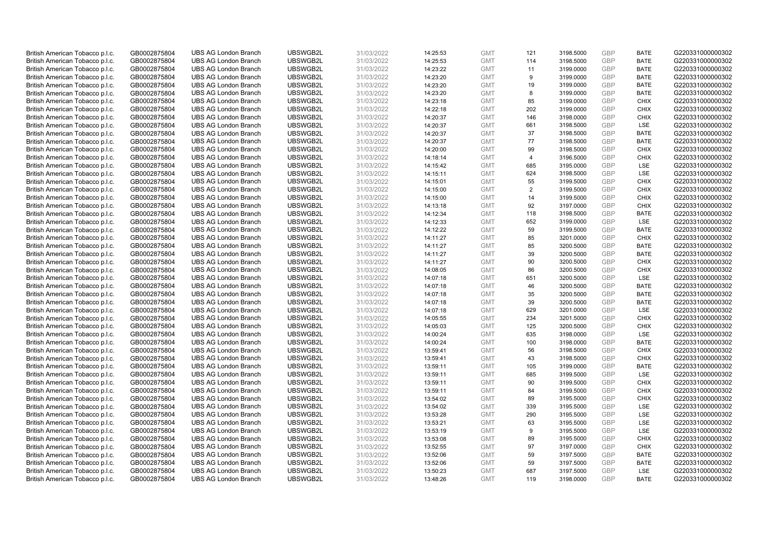| British American Tobacco p.l.c.                                    | GB0002875804                 | <b>UBS AG London Branch</b>                                | UBSWGB2L             | 31/03/2022               | 14:25:53             | <b>GMT</b>               | 121            | 3198.5000              | <b>GBP</b>        | <b>BATE</b>        | G220331000000302                     |
|--------------------------------------------------------------------|------------------------------|------------------------------------------------------------|----------------------|--------------------------|----------------------|--------------------------|----------------|------------------------|-------------------|--------------------|--------------------------------------|
| British American Tobacco p.l.c.                                    | GB0002875804                 | <b>UBS AG London Branch</b>                                | UBSWGB2L             | 31/03/2022               | 14:25:53             | <b>GMT</b>               | 114            | 3198.5000              | GBP               | <b>BATE</b>        | G220331000000302                     |
| British American Tobacco p.l.c.                                    | GB0002875804                 | <b>UBS AG London Branch</b>                                | UBSWGB2L             | 31/03/2022               | 14:23:22             | <b>GMT</b>               | 11             | 3199.0000              | <b>GBP</b>        | <b>BATE</b>        | G220331000000302                     |
| British American Tobacco p.l.c.                                    | GB0002875804                 | <b>UBS AG London Branch</b>                                | UBSWGB2L             | 31/03/2022               | 14:23:20             | <b>GMT</b>               | 9              | 3199.0000              | GBP               | <b>BATE</b>        | G220331000000302                     |
| British American Tobacco p.l.c.                                    | GB0002875804                 | <b>UBS AG London Branch</b>                                | UBSWGB2L             | 31/03/2022               | 14:23:20             | <b>GMT</b>               | 19             | 3199.0000              | <b>GBP</b>        | <b>BATE</b>        | G220331000000302                     |
| British American Tobacco p.l.c.                                    | GB0002875804                 | <b>UBS AG London Branch</b>                                | UBSWGB2L             | 31/03/2022               | 14:23:20             | <b>GMT</b>               | 8              | 3199.0000              | <b>GBP</b>        | <b>BATE</b>        | G220331000000302                     |
| British American Tobacco p.l.c.                                    | GB0002875804                 | <b>UBS AG London Branch</b>                                | UBSWGB2L             | 31/03/2022               | 14:23:18             | <b>GMT</b>               | 85             | 3199.0000              | <b>GBP</b>        | <b>CHIX</b>        | G220331000000302                     |
| British American Tobacco p.l.c.                                    | GB0002875804                 | <b>UBS AG London Branch</b>                                | UBSWGB2L             | 31/03/2022               | 14:22:18             | <b>GMT</b>               | 202            | 3199.0000              | GBP               | <b>CHIX</b>        | G220331000000302                     |
| British American Tobacco p.l.c.                                    | GB0002875804                 | <b>UBS AG London Branch</b>                                | UBSWGB2L             | 31/03/2022               | 14:20:37             | <b>GMT</b>               | 146            | 3198.0000              | <b>GBP</b>        | <b>CHIX</b>        | G220331000000302                     |
| British American Tobacco p.l.c.                                    | GB0002875804                 | <b>UBS AG London Branch</b>                                | UBSWGB2L             | 31/03/2022               | 14:20:37             | <b>GMT</b>               | 661            | 3198.5000              | GBP               | <b>LSE</b>         | G220331000000302                     |
| British American Tobacco p.l.c.                                    | GB0002875804                 | <b>UBS AG London Branch</b>                                | UBSWGB2L             | 31/03/2022               | 14:20:37             | <b>GMT</b>               | 37             | 3198.5000              | <b>GBP</b>        | <b>BATE</b>        | G220331000000302                     |
| British American Tobacco p.l.c.                                    | GB0002875804                 | <b>UBS AG London Branch</b>                                | UBSWGB2L             | 31/03/2022               | 14:20:37             | <b>GMT</b>               | 77             | 3198.5000              | <b>GBP</b>        | <b>BATE</b>        | G220331000000302                     |
| British American Tobacco p.l.c.                                    | GB0002875804                 | <b>UBS AG London Branch</b>                                | UBSWGB2L             | 31/03/2022               | 14:20:00             | <b>GMT</b>               | 99             | 3198.5000              | GBP               | <b>CHIX</b>        | G220331000000302                     |
| British American Tobacco p.l.c.                                    | GB0002875804                 | <b>UBS AG London Branch</b>                                | UBSWGB2L             | 31/03/2022               | 14:18:14             | <b>GMT</b>               | 4              | 3196.5000              | <b>GBP</b>        | <b>CHIX</b>        | G220331000000302                     |
| British American Tobacco p.l.c.                                    | GB0002875804                 | <b>UBS AG London Branch</b>                                | UBSWGB2L             | 31/03/2022               | 14:15:42             | <b>GMT</b>               | 685            | 3195.0000              | <b>GBP</b>        | LSE                | G220331000000302                     |
| British American Tobacco p.l.c.                                    | GB0002875804                 | <b>UBS AG London Branch</b>                                | UBSWGB2L             | 31/03/2022               | 14:15:11             | <b>GMT</b>               | 624            | 3198.5000              | <b>GBP</b>        | LSE                | G220331000000302                     |
| British American Tobacco p.l.c.                                    | GB0002875804                 | <b>UBS AG London Branch</b>                                | UBSWGB2L             | 31/03/2022               | 14:15:01             | <b>GMT</b>               | 55             | 3199.5000              | GBP               | <b>CHIX</b>        | G220331000000302                     |
| British American Tobacco p.l.c.                                    | GB0002875804                 | <b>UBS AG London Branch</b>                                | UBSWGB2L             | 31/03/2022               | 14:15:00             | <b>GMT</b>               | $\overline{2}$ | 3199.5000              | <b>GBP</b>        | <b>CHIX</b>        | G220331000000302                     |
| British American Tobacco p.l.c.                                    | GB0002875804                 | <b>UBS AG London Branch</b>                                | UBSWGB2L             | 31/03/2022               | 14:15:00             | <b>GMT</b>               | 14             | 3199.5000              | GBP               | <b>CHIX</b>        | G220331000000302                     |
| British American Tobacco p.l.c.                                    | GB0002875804                 | <b>UBS AG London Branch</b>                                | UBSWGB2L             | 31/03/2022               | 14:13:18             | <b>GMT</b>               | 92             | 3197.0000              | <b>GBP</b>        | <b>CHIX</b>        | G220331000000302                     |
| British American Tobacco p.l.c.                                    | GB0002875804                 | <b>UBS AG London Branch</b>                                | UBSWGB2L             | 31/03/2022               | 14:12:34             | <b>GMT</b>               | 118            | 3198.5000              | GBP               | <b>BATE</b>        | G220331000000302                     |
| British American Tobacco p.l.c.                                    | GB0002875804                 | <b>UBS AG London Branch</b>                                | UBSWGB2L             | 31/03/2022               | 14:12:33             | <b>GMT</b>               | 652            | 3199.0000              | <b>GBP</b>        | <b>LSE</b>         | G220331000000302                     |
| British American Tobacco p.l.c.                                    | GB0002875804                 | <b>UBS AG London Branch</b>                                | UBSWGB2L             | 31/03/2022               | 14:12:22             | <b>GMT</b>               | 59             | 3199.5000              | GBP               | <b>BATE</b>        | G220331000000302                     |
| British American Tobacco p.l.c.                                    | GB0002875804                 | <b>UBS AG London Branch</b>                                | UBSWGB2L             | 31/03/2022               | 14:11:27             | <b>GMT</b>               | 85             | 3201.0000              | <b>GBP</b>        | <b>CHIX</b>        | G220331000000302                     |
| British American Tobacco p.l.c.                                    | GB0002875804                 | <b>UBS AG London Branch</b>                                | UBSWGB2L             | 31/03/2022               | 14:11:27             | <b>GMT</b>               | 85             | 3200.5000              | <b>GBP</b>        | <b>BATE</b>        | G220331000000302                     |
| British American Tobacco p.l.c.                                    | GB0002875804                 | <b>UBS AG London Branch</b>                                | UBSWGB2L             | 31/03/2022               | 14:11:27             | <b>GMT</b>               | 39             | 3200.5000              | GBP               | <b>BATE</b>        | G220331000000302                     |
| British American Tobacco p.l.c.                                    | GB0002875804                 | <b>UBS AG London Branch</b>                                | UBSWGB2L             | 31/03/2022               | 14:11:27             | <b>GMT</b>               | 90             | 3200.5000              | <b>GBP</b>        | <b>CHIX</b>        | G220331000000302                     |
| British American Tobacco p.l.c.                                    | GB0002875804                 | <b>UBS AG London Branch</b>                                | UBSWGB2L             | 31/03/2022               | 14:08:05             | <b>GMT</b>               | 86             | 3200.5000              | GBP               | <b>CHIX</b>        | G220331000000302                     |
| British American Tobacco p.l.c.                                    | GB0002875804                 | <b>UBS AG London Branch</b>                                | UBSWGB2L             | 31/03/2022               | 14:07:18             | <b>GMT</b>               | 651            | 3200.5000              | <b>GBP</b>        | LSE                | G220331000000302                     |
| British American Tobacco p.l.c.                                    | GB0002875804                 | <b>UBS AG London Branch</b>                                | UBSWGB2L             | 31/03/2022               | 14:07:18             | <b>GMT</b>               | 46             | 3200.5000              | <b>GBP</b>        | <b>BATE</b>        | G220331000000302                     |
| British American Tobacco p.l.c.                                    | GB0002875804                 | <b>UBS AG London Branch</b>                                | UBSWGB2L             | 31/03/2022               | 14:07:18             | <b>GMT</b>               | 35             | 3200.5000              | <b>GBP</b>        | <b>BATE</b>        | G220331000000302                     |
| British American Tobacco p.l.c.                                    | GB0002875804                 | <b>UBS AG London Branch</b>                                | UBSWGB2L             | 31/03/2022               | 14:07:18             | <b>GMT</b>               | 39             | 3200.5000              | <b>GBP</b>        | <b>BATE</b>        | G220331000000302                     |
| British American Tobacco p.l.c.                                    | GB0002875804                 | <b>UBS AG London Branch</b>                                | UBSWGB2L             | 31/03/2022               | 14:07:18             | <b>GMT</b>               | 629            | 3201.0000              | <b>GBP</b>        | LSE                | G220331000000302                     |
| British American Tobacco p.l.c.                                    | GB0002875804                 | <b>UBS AG London Branch</b>                                | UBSWGB2L             | 31/03/2022               | 14:05:55             | <b>GMT</b>               | 234            | 3201.5000              | <b>GBP</b>        | <b>CHIX</b>        | G220331000000302                     |
| British American Tobacco p.l.c.                                    | GB0002875804                 | <b>UBS AG London Branch</b>                                | UBSWGB2L             | 31/03/2022               | 14:05:03             | <b>GMT</b>               | 125            | 3200.5000              | <b>GBP</b>        | <b>CHIX</b>        | G220331000000302                     |
| British American Tobacco p.l.c.                                    | GB0002875804                 | <b>UBS AG London Branch</b>                                | UBSWGB2L             | 31/03/2022               | 14:00:24             | <b>GMT</b>               | 635            | 3198.0000              | <b>GBP</b>        | <b>LSE</b>         | G220331000000302                     |
| British American Tobacco p.l.c.                                    | GB0002875804                 | <b>UBS AG London Branch</b>                                | UBSWGB2L             | 31/03/2022               | 14:00:24             | <b>GMT</b>               | 100            | 3198.0000              | <b>GBP</b>        | <b>BATE</b>        | G220331000000302                     |
| British American Tobacco p.l.c.                                    | GB0002875804                 | <b>UBS AG London Branch</b>                                | UBSWGB2L             | 31/03/2022               | 13:59:41             | <b>GMT</b>               | 56             | 3198.5000              | <b>GBP</b>        | <b>CHIX</b>        | G220331000000302                     |
| British American Tobacco p.l.c.                                    | GB0002875804                 | <b>UBS AG London Branch</b>                                | UBSWGB2L             | 31/03/2022               | 13:59:41             | <b>GMT</b>               | 43             | 3198.5000              | <b>GBP</b>        | <b>CHIX</b>        | G220331000000302                     |
| British American Tobacco p.l.c.                                    | GB0002875804<br>GB0002875804 | <b>UBS AG London Branch</b><br><b>UBS AG London Branch</b> | UBSWGB2L<br>UBSWGB2L | 31/03/2022<br>31/03/2022 | 13:59:11             | <b>GMT</b><br><b>GMT</b> | 105<br>685     | 3199.0000<br>3199.5000 | <b>GBP</b><br>GBP | <b>BATE</b><br>LSE | G220331000000302<br>G220331000000302 |
| British American Tobacco p.l.c.<br>British American Tobacco p.l.c. | GB0002875804                 | <b>UBS AG London Branch</b>                                | UBSWGB2L             | 31/03/2022               | 13:59:11<br>13:59:11 | <b>GMT</b>               | 90             | 3199.5000              | <b>GBP</b>        | <b>CHIX</b>        | G220331000000302                     |
| British American Tobacco p.l.c.                                    | GB0002875804                 | <b>UBS AG London Branch</b>                                | UBSWGB2L             | 31/03/2022               | 13:59:11             | <b>GMT</b>               | 84             | 3199.5000              | GBP               | <b>CHIX</b>        | G220331000000302                     |
| British American Tobacco p.l.c.                                    | GB0002875804                 | <b>UBS AG London Branch</b>                                | UBSWGB2L             | 31/03/2022               | 13:54:02             | <b>GMT</b>               | 89             | 3195.5000              | GBP               | <b>CHIX</b>        | G220331000000302                     |
| British American Tobacco p.l.c.                                    | GB0002875804                 | <b>UBS AG London Branch</b>                                | UBSWGB2L             | 31/03/2022               | 13:54:02             | <b>GMT</b>               | 339            | 3195.5000              | <b>GBP</b>        | <b>LSE</b>         | G220331000000302                     |
| British American Tobacco p.l.c.                                    | GB0002875804                 | <b>UBS AG London Branch</b>                                | UBSWGB2L             | 31/03/2022               | 13:53:28             | <b>GMT</b>               | 290            | 3195.5000              | GBP               | LSE                | G220331000000302                     |
| British American Tobacco p.l.c.                                    | GB0002875804                 | <b>UBS AG London Branch</b>                                | UBSWGB2L             | 31/03/2022               | 13:53:21             | <b>GMT</b>               | 63             | 3195.5000              | <b>GBP</b>        | LSE                | G220331000000302                     |
| British American Tobacco p.l.c.                                    | GB0002875804                 | <b>UBS AG London Branch</b>                                | UBSWGB2L             | 31/03/2022               | 13:53:19             | <b>GMT</b>               | 9              | 3195.5000              | GBP               | LSE                | G220331000000302                     |
| British American Tobacco p.l.c.                                    | GB0002875804                 | <b>UBS AG London Branch</b>                                | UBSWGB2L             | 31/03/2022               | 13:53:08             | <b>GMT</b>               | 89             | 3195.5000              | <b>GBP</b>        | <b>CHIX</b>        | G220331000000302                     |
| British American Tobacco p.l.c.                                    | GB0002875804                 | <b>UBS AG London Branch</b>                                | UBSWGB2L             | 31/03/2022               | 13:52:55             | <b>GMT</b>               | 97             | 3197.0000              | GBP               | <b>CHIX</b>        | G220331000000302                     |
| British American Tobacco p.l.c.                                    | GB0002875804                 | <b>UBS AG London Branch</b>                                | UBSWGB2L             | 31/03/2022               | 13:52:06             | <b>GMT</b>               | 59             | 3197.5000              | <b>GBP</b>        | <b>BATE</b>        | G220331000000302                     |
| British American Tobacco p.l.c.                                    | GB0002875804                 | <b>UBS AG London Branch</b>                                | UBSWGB2L             | 31/03/2022               | 13:52:06             | <b>GMT</b>               | 59             | 3197.5000              | GBP               | <b>BATE</b>        | G220331000000302                     |
| British American Tobacco p.l.c.                                    | GB0002875804                 | <b>UBS AG London Branch</b>                                | UBSWGB2L             | 31/03/2022               | 13:50:23             | <b>GMT</b>               | 687            | 3197.5000              | <b>GBP</b>        | LSE                | G220331000000302                     |
| British American Tobacco p.l.c.                                    | GB0002875804                 | <b>UBS AG London Branch</b>                                | UBSWGB2L             | 31/03/2022               | 13:48:26             | <b>GMT</b>               | 119            | 3198.0000              | GBP               | <b>BATE</b>        | G220331000000302                     |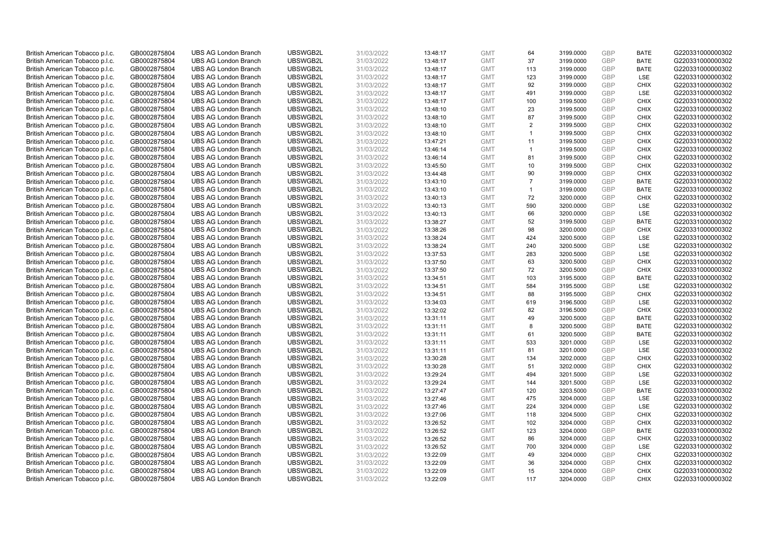| British American Tobacco p.l.c. | GB0002875804 | <b>UBS AG London Branch</b> | UBSWGB2L | 31/03/2022 | 13:48:17 | <b>GMT</b> | 64             | 3199.0000 | <b>GBP</b> | <b>BATE</b> | G220331000000302 |
|---------------------------------|--------------|-----------------------------|----------|------------|----------|------------|----------------|-----------|------------|-------------|------------------|
| British American Tobacco p.l.c. | GB0002875804 | <b>UBS AG London Branch</b> | UBSWGB2L | 31/03/2022 | 13:48:17 | <b>GMT</b> | 37             | 3199.0000 | <b>GBP</b> | <b>BATE</b> | G220331000000302 |
| British American Tobacco p.l.c. | GB0002875804 | <b>UBS AG London Branch</b> | UBSWGB2L | 31/03/2022 | 13:48:17 | <b>GMT</b> | 113            | 3199.0000 | GBP        | <b>BATE</b> | G220331000000302 |
| British American Tobacco p.l.c. | GB0002875804 | <b>UBS AG London Branch</b> | UBSWGB2L | 31/03/2022 | 13:48:17 | <b>GMT</b> | 123            | 3199.0000 | <b>GBP</b> | LSE         | G220331000000302 |
| British American Tobacco p.l.c. | GB0002875804 | <b>UBS AG London Branch</b> | UBSWGB2L | 31/03/2022 | 13:48:17 | <b>GMT</b> | 92             | 3199.0000 | GBP        | <b>CHIX</b> | G220331000000302 |
| British American Tobacco p.l.c. | GB0002875804 | <b>UBS AG London Branch</b> | UBSWGB2L | 31/03/2022 | 13:48:17 | <b>GMT</b> | 491            | 3199.0000 | <b>GBP</b> | <b>LSE</b>  | G220331000000302 |
| British American Tobacco p.l.c. | GB0002875804 | <b>UBS AG London Branch</b> | UBSWGB2L | 31/03/2022 | 13:48:17 | <b>GMT</b> | 100            | 3199.5000 | GBP        | <b>CHIX</b> | G220331000000302 |
| British American Tobacco p.l.c. | GB0002875804 | <b>UBS AG London Branch</b> | UBSWGB2L | 31/03/2022 | 13:48:10 | <b>GMT</b> | 23             | 3199.5000 | <b>GBP</b> | <b>CHIX</b> | G220331000000302 |
| British American Tobacco p.l.c. | GB0002875804 | <b>UBS AG London Branch</b> | UBSWGB2L | 31/03/2022 | 13:48:10 | <b>GMT</b> | 87             | 3199.5000 | GBP        | <b>CHIX</b> | G220331000000302 |
| British American Tobacco p.l.c. | GB0002875804 | <b>UBS AG London Branch</b> | UBSWGB2L | 31/03/2022 | 13:48:10 | <b>GMT</b> | $\overline{2}$ | 3199.5000 | <b>GBP</b> | <b>CHIX</b> | G220331000000302 |
| British American Tobacco p.l.c. | GB0002875804 | <b>UBS AG London Branch</b> | UBSWGB2L | 31/03/2022 | 13:48:10 | <b>GMT</b> | $\mathbf{1}$   | 3199.5000 | <b>GBP</b> | <b>CHIX</b> | G220331000000302 |
| British American Tobacco p.l.c. | GB0002875804 | <b>UBS AG London Branch</b> | UBSWGB2L | 31/03/2022 | 13:47:21 | <b>GMT</b> | 11             | 3199.5000 | <b>GBP</b> | <b>CHIX</b> | G220331000000302 |
| British American Tobacco p.l.c. | GB0002875804 | <b>UBS AG London Branch</b> | UBSWGB2L | 31/03/2022 | 13:46:14 | <b>GMT</b> | $\mathbf{1}$   | 3199.5000 | GBP        | <b>CHIX</b> | G220331000000302 |
| British American Tobacco p.l.c. | GB0002875804 | <b>UBS AG London Branch</b> | UBSWGB2L | 31/03/2022 | 13:46:14 | <b>GMT</b> | 81             | 3199.5000 | <b>GBP</b> | <b>CHIX</b> | G220331000000302 |
| British American Tobacco p.l.c. | GB0002875804 | <b>UBS AG London Branch</b> | UBSWGB2L | 31/03/2022 | 13:45:50 | <b>GMT</b> | 10             | 3199.5000 | GBP        | <b>CHIX</b> | G220331000000302 |
| British American Tobacco p.l.c. | GB0002875804 | <b>UBS AG London Branch</b> | UBSWGB2L | 31/03/2022 | 13:44:48 | <b>GMT</b> | 90             | 3199.0000 | <b>GBP</b> | <b>CHIX</b> | G220331000000302 |
| British American Tobacco p.l.c. | GB0002875804 | <b>UBS AG London Branch</b> | UBSWGB2L | 31/03/2022 | 13:43:10 | <b>GMT</b> | $\overline{7}$ | 3199.0000 | GBP        | <b>BATE</b> | G220331000000302 |
| British American Tobacco p.l.c. | GB0002875804 | <b>UBS AG London Branch</b> | UBSWGB2L | 31/03/2022 | 13:43:10 | <b>GMT</b> | $\mathbf{1}$   | 3199.0000 | GBP        | <b>BATE</b> | G220331000000302 |
| British American Tobacco p.l.c. | GB0002875804 | <b>UBS AG London Branch</b> | UBSWGB2L | 31/03/2022 | 13:40:13 | <b>GMT</b> | 72             | 3200.0000 | <b>GBP</b> | <b>CHIX</b> | G220331000000302 |
| British American Tobacco p.l.c. | GB0002875804 | <b>UBS AG London Branch</b> | UBSWGB2L | 31/03/2022 | 13:40:13 | <b>GMT</b> | 590            | 3200.0000 | <b>GBP</b> | LSE         | G220331000000302 |
|                                 |              |                             |          |            |          |            |                |           |            |             |                  |
| British American Tobacco p.l.c. | GB0002875804 | <b>UBS AG London Branch</b> | UBSWGB2L | 31/03/2022 | 13:40:13 | <b>GMT</b> | 66             | 3200.0000 | <b>GBP</b> | LSE         | G220331000000302 |
| British American Tobacco p.l.c. | GB0002875804 | <b>UBS AG London Branch</b> | UBSWGB2L | 31/03/2022 | 13:38:27 | <b>GMT</b> | 52             | 3199.5000 | GBP        | <b>BATE</b> | G220331000000302 |
| British American Tobacco p.l.c. | GB0002875804 | <b>UBS AG London Branch</b> | UBSWGB2L | 31/03/2022 | 13:38:26 | <b>GMT</b> | 98             | 3200.0000 | <b>GBP</b> | <b>CHIX</b> | G220331000000302 |
| British American Tobacco p.l.c. | GB0002875804 | <b>UBS AG London Branch</b> | UBSWGB2L | 31/03/2022 | 13:38:24 | <b>GMT</b> | 424            | 3200.5000 | <b>GBP</b> | <b>LSE</b>  | G220331000000302 |
| British American Tobacco p.l.c. | GB0002875804 | <b>UBS AG London Branch</b> | UBSWGB2L | 31/03/2022 | 13:38:24 | <b>GMT</b> | 240            | 3200.5000 | <b>GBP</b> | LSE         | G220331000000302 |
| British American Tobacco p.l.c. | GB0002875804 | <b>UBS AG London Branch</b> | UBSWGB2L | 31/03/2022 | 13:37:53 | <b>GMT</b> | 283            | 3200.5000 | GBP        | LSE         | G220331000000302 |
| British American Tobacco p.l.c. | GB0002875804 | <b>UBS AG London Branch</b> | UBSWGB2L | 31/03/2022 | 13:37:50 | <b>GMT</b> | 63             | 3200.5000 | <b>GBP</b> | <b>CHIX</b> | G220331000000302 |
| British American Tobacco p.l.c. | GB0002875804 | <b>UBS AG London Branch</b> | UBSWGB2L | 31/03/2022 | 13:37:50 | <b>GMT</b> | 72             | 3200.5000 | GBP        | CHIX        | G220331000000302 |
| British American Tobacco p.l.c. | GB0002875804 | <b>UBS AG London Branch</b> | UBSWGB2L | 31/03/2022 | 13:34:51 | <b>GMT</b> | 103            | 3195.5000 | <b>GBP</b> | <b>BATE</b> | G220331000000302 |
| British American Tobacco p.l.c. | GB0002875804 | <b>UBS AG London Branch</b> | UBSWGB2L | 31/03/2022 | 13:34:51 | <b>GMT</b> | 584            | 3195.5000 | GBP        | LSE         | G220331000000302 |
| British American Tobacco p.l.c. | GB0002875804 | <b>UBS AG London Branch</b> | UBSWGB2L | 31/03/2022 | 13:34:51 | <b>GMT</b> | 88             | 3195.5000 | <b>GBP</b> | <b>CHIX</b> | G220331000000302 |
| British American Tobacco p.l.c. | GB0002875804 | <b>UBS AG London Branch</b> | UBSWGB2L | 31/03/2022 | 13:34:03 | <b>GMT</b> | 619            | 3196.5000 | <b>GBP</b> | <b>LSE</b>  | G220331000000302 |
| British American Tobacco p.l.c. | GB0002875804 | <b>UBS AG London Branch</b> | UBSWGB2L | 31/03/2022 | 13:32:02 | <b>GMT</b> | 82             | 3196.5000 | <b>GBP</b> | <b>CHIX</b> | G220331000000302 |
| British American Tobacco p.l.c. | GB0002875804 | <b>UBS AG London Branch</b> | UBSWGB2L | 31/03/2022 | 13:31:11 | <b>GMT</b> | 49             | 3200.5000 | <b>GBP</b> | <b>BATE</b> | G220331000000302 |
| British American Tobacco p.l.c. | GB0002875804 | <b>UBS AG London Branch</b> | UBSWGB2L | 31/03/2022 | 13:31:11 | <b>GMT</b> | 8              | 3200.5000 | <b>GBP</b> | <b>BATE</b> | G220331000000302 |
| British American Tobacco p.l.c. | GB0002875804 | <b>UBS AG London Branch</b> | UBSWGB2L | 31/03/2022 | 13:31:11 | <b>GMT</b> | 61             | 3200.5000 | <b>GBP</b> | <b>BATE</b> | G220331000000302 |
| British American Tobacco p.l.c. | GB0002875804 | <b>UBS AG London Branch</b> | UBSWGB2L | 31/03/2022 | 13:31:11 | <b>GMT</b> | 533            | 3201.0000 | <b>GBP</b> | <b>LSE</b>  | G220331000000302 |
| British American Tobacco p.l.c. | GB0002875804 | <b>UBS AG London Branch</b> | UBSWGB2L | 31/03/2022 | 13:31:11 | <b>GMT</b> | 81             | 3201.0000 | <b>GBP</b> | LSE         | G220331000000302 |
| British American Tobacco p.l.c. | GB0002875804 | <b>UBS AG London Branch</b> | UBSWGB2L | 31/03/2022 | 13:30:28 | <b>GMT</b> | 134            | 3202.0000 | GBP        | <b>CHIX</b> | G220331000000302 |
| British American Tobacco p.l.c. | GB0002875804 | <b>UBS AG London Branch</b> | UBSWGB2L | 31/03/2022 | 13:30:28 | <b>GMT</b> | 51             | 3202.0000 | <b>GBP</b> | <b>CHIX</b> | G220331000000302 |
| British American Tobacco p.l.c. | GB0002875804 | <b>UBS AG London Branch</b> | UBSWGB2L | 31/03/2022 | 13:29:24 | <b>GMT</b> | 494            | 3201.5000 | GBP        | LSE         | G220331000000302 |
| British American Tobacco p.l.c. | GB0002875804 | <b>UBS AG London Branch</b> | UBSWGB2L | 31/03/2022 | 13:29:24 | <b>GMT</b> | 144            | 3201.5000 | <b>GBP</b> | LSE         | G220331000000302 |
| British American Tobacco p.l.c. | GB0002875804 | <b>UBS AG London Branch</b> | UBSWGB2L | 31/03/2022 | 13:27:47 | <b>GMT</b> | 120            | 3203.5000 | GBP        | <b>BATE</b> | G220331000000302 |
| British American Tobacco p.l.c. | GB0002875804 | <b>UBS AG London Branch</b> | UBSWGB2L | 31/03/2022 | 13:27:46 | <b>GMT</b> | 475            | 3204.0000 | <b>GBP</b> | LSE         | G220331000000302 |
| British American Tobacco p.l.c. | GB0002875804 | <b>UBS AG London Branch</b> | UBSWGB2L | 31/03/2022 | 13:27:46 | <b>GMT</b> | 224            | 3204.0000 | <b>GBP</b> | LSE         | G220331000000302 |
| British American Tobacco p.l.c. | GB0002875804 | <b>UBS AG London Branch</b> | UBSWGB2L | 31/03/2022 | 13:27:06 | <b>GMT</b> | 118            | 3204.5000 | <b>GBP</b> | <b>CHIX</b> | G220331000000302 |
| British American Tobacco p.l.c. | GB0002875804 | <b>UBS AG London Branch</b> | UBSWGB2L | 31/03/2022 | 13:26:52 | <b>GMT</b> | 102            | 3204.0000 | GBP        | <b>CHIX</b> | G220331000000302 |
| British American Tobacco p.l.c. | GB0002875804 | <b>UBS AG London Branch</b> | UBSWGB2L | 31/03/2022 | 13:26:52 | <b>GMT</b> | 123            | 3204.0000 | GBP        | <b>BATE</b> | G220331000000302 |
| British American Tobacco p.l.c. | GB0002875804 | <b>UBS AG London Branch</b> | UBSWGB2L | 31/03/2022 | 13:26:52 | <b>GMT</b> | 86             | 3204.0000 | GBP        | <b>CHIX</b> | G220331000000302 |
| British American Tobacco p.l.c. | GB0002875804 | <b>UBS AG London Branch</b> | UBSWGB2L | 31/03/2022 | 13:26:52 | <b>GMT</b> | 700            | 3204.0000 | GBP        | <b>LSE</b>  | G220331000000302 |
| British American Tobacco p.l.c. | GB0002875804 | <b>UBS AG London Branch</b> | UBSWGB2L | 31/03/2022 | 13:22:09 | <b>GMT</b> | 49             | 3204.0000 | <b>GBP</b> | <b>CHIX</b> | G220331000000302 |
| British American Tobacco p.l.c. | GB0002875804 | <b>UBS AG London Branch</b> | UBSWGB2L | 31/03/2022 | 13:22:09 | <b>GMT</b> | 36             | 3204.0000 | GBP        | <b>CHIX</b> | G220331000000302 |
| British American Tobacco p.l.c. | GB0002875804 | <b>UBS AG London Branch</b> | UBSWGB2L | 31/03/2022 | 13:22:09 | <b>GMT</b> | 15             | 3204.0000 | <b>GBP</b> | <b>CHIX</b> | G220331000000302 |
| British American Tobacco p.l.c. | GB0002875804 | <b>UBS AG London Branch</b> | UBSWGB2L | 31/03/2022 | 13:22:09 | <b>GMT</b> | 117            | 3204.0000 | GBP        | <b>CHIX</b> | G220331000000302 |
|                                 |              |                             |          |            |          |            |                |           |            |             |                  |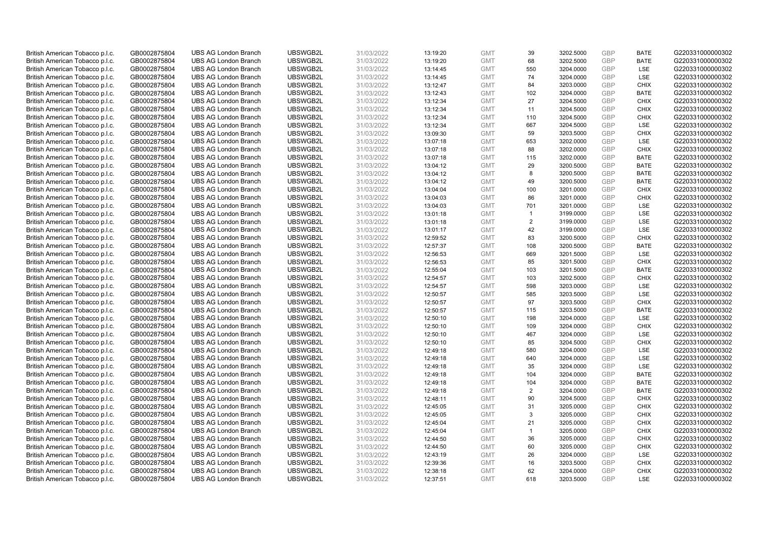| British American Tobacco p.l.c. | GB0002875804 | <b>UBS AG London Branch</b>                                | UBSWGB2L             | 31/03/2022               | 13:19:20             | <b>GMT</b> | 39             | 3202.5000 | <b>GBP</b> | <b>BATE</b> | G220331000000302                     |
|---------------------------------|--------------|------------------------------------------------------------|----------------------|--------------------------|----------------------|------------|----------------|-----------|------------|-------------|--------------------------------------|
| British American Tobacco p.l.c. | GB0002875804 | <b>UBS AG London Branch</b>                                | UBSWGB2L             | 31/03/2022               | 13:19:20             | <b>GMT</b> | 68             | 3202.5000 | GBP        | <b>BATE</b> | G220331000000302                     |
| British American Tobacco p.l.c. | GB0002875804 | <b>UBS AG London Branch</b>                                | UBSWGB2L             | 31/03/2022               | 13:14:45             | <b>GMT</b> | 550            | 3204.0000 | GBP        | LSE         | G220331000000302                     |
| British American Tobacco p.l.c. | GB0002875804 | <b>UBS AG London Branch</b>                                | UBSWGB2L             | 31/03/2022               | 13:14:45             | <b>GMT</b> | 74             | 3204.0000 | <b>GBP</b> | LSE         | G220331000000302                     |
| British American Tobacco p.l.c. | GB0002875804 | <b>UBS AG London Branch</b>                                | UBSWGB2L             | 31/03/2022               | 13:12:47             | <b>GMT</b> | 84             | 3203.0000 | GBP        | <b>CHIX</b> | G220331000000302                     |
| British American Tobacco p.l.c. | GB0002875804 | <b>UBS AG London Branch</b>                                | UBSWGB2L             | 31/03/2022               | 13:12:43             | <b>GMT</b> | 102            | 3204.0000 | <b>GBP</b> | <b>BATE</b> | G220331000000302                     |
| British American Tobacco p.l.c. | GB0002875804 | <b>UBS AG London Branch</b>                                | UBSWGB2L             | 31/03/2022               | 13:12:34             | <b>GMT</b> | 27             | 3204.5000 | GBP        | <b>CHIX</b> | G220331000000302                     |
| British American Tobacco p.l.c. | GB0002875804 | <b>UBS AG London Branch</b>                                | UBSWGB2L             | 31/03/2022               | 13:12:34             | <b>GMT</b> | 11             | 3204.5000 | <b>GBP</b> | <b>CHIX</b> | G220331000000302                     |
| British American Tobacco p.l.c. | GB0002875804 | <b>UBS AG London Branch</b>                                | UBSWGB2L             | 31/03/2022               | 13:12:34             | <b>GMT</b> | 110            | 3204.5000 | GBP        | <b>CHIX</b> | G220331000000302                     |
| British American Tobacco p.l.c. | GB0002875804 | <b>UBS AG London Branch</b>                                | UBSWGB2L             | 31/03/2022               | 13:12:34             | <b>GMT</b> | 667            | 3204.5000 | <b>GBP</b> | LSE         | G220331000000302                     |
| British American Tobacco p.l.c. | GB0002875804 | <b>UBS AG London Branch</b>                                | UBSWGB2L             | 31/03/2022               | 13:09:30             | <b>GMT</b> | 59             | 3203.5000 | GBP        | <b>CHIX</b> | G220331000000302                     |
| British American Tobacco p.l.c. | GB0002875804 | <b>UBS AG London Branch</b>                                | UBSWGB2L             | 31/03/2022               | 13:07:18             | <b>GMT</b> | 653            | 3202.0000 | <b>GBP</b> | LSE         | G220331000000302                     |
| British American Tobacco p.l.c. | GB0002875804 | <b>UBS AG London Branch</b>                                | UBSWGB2L             | 31/03/2022               | 13:07:18             | <b>GMT</b> | 88             | 3202.0000 | GBP        | <b>CHIX</b> | G220331000000302                     |
| British American Tobacco p.l.c. | GB0002875804 | <b>UBS AG London Branch</b>                                | UBSWGB2L             | 31/03/2022               | 13:07:18             | <b>GMT</b> | 115            | 3202.0000 | <b>GBP</b> | <b>BATE</b> | G220331000000302                     |
| British American Tobacco p.l.c. | GB0002875804 | <b>UBS AG London Branch</b>                                | UBSWGB2L             | 31/03/2022               | 13:04:12             | <b>GMT</b> | 29             | 3200.5000 | GBP        | <b>BATE</b> | G220331000000302                     |
| British American Tobacco p.l.c. | GB0002875804 | <b>UBS AG London Branch</b>                                | UBSWGB2L             | 31/03/2022               | 13:04:12             | <b>GMT</b> | 8              | 3200.5000 | GBP        | <b>BATE</b> | G220331000000302                     |
| British American Tobacco p.l.c. | GB0002875804 | <b>UBS AG London Branch</b>                                | UBSWGB2L             | 31/03/2022               | 13:04:12             | <b>GMT</b> | 49             | 3200.5000 | GBP        | <b>BATE</b> | G220331000000302                     |
| British American Tobacco p.l.c. | GB0002875804 | <b>UBS AG London Branch</b>                                | UBSWGB2L             | 31/03/2022               | 13:04:04             | <b>GMT</b> | 100            | 3201.0000 | GBP        | <b>CHIX</b> | G220331000000302                     |
| British American Tobacco p.l.c. | GB0002875804 | <b>UBS AG London Branch</b>                                | UBSWGB2L             | 31/03/2022               | 13:04:03             | <b>GMT</b> | 86             | 3201.0000 | <b>GBP</b> | <b>CHIX</b> | G220331000000302                     |
| British American Tobacco p.l.c. | GB0002875804 | <b>UBS AG London Branch</b>                                | UBSWGB2L             | 31/03/2022               | 13:04:03             | <b>GMT</b> | 701            | 3201.0000 | <b>GBP</b> | LSE         | G220331000000302                     |
|                                 |              |                                                            |                      |                          |                      | <b>GMT</b> | $\mathbf{1}$   | 3199.0000 | <b>GBP</b> | LSE         |                                      |
| British American Tobacco p.l.c. | GB0002875804 | <b>UBS AG London Branch</b><br><b>UBS AG London Branch</b> | UBSWGB2L<br>UBSWGB2L | 31/03/2022<br>31/03/2022 | 13:01:18<br>13:01:18 | <b>GMT</b> | $\overline{2}$ | 3199.0000 | GBP        | LSE         | G220331000000302<br>G220331000000302 |
| British American Tobacco p.l.c. | GB0002875804 |                                                            |                      |                          |                      |            |                |           |            |             |                                      |
| British American Tobacco p.l.c. | GB0002875804 | <b>UBS AG London Branch</b>                                | UBSWGB2L             | 31/03/2022               | 13:01:17             | <b>GMT</b> | 42             | 3199.0000 | <b>GBP</b> | LSE         | G220331000000302                     |
| British American Tobacco p.l.c. | GB0002875804 | <b>UBS AG London Branch</b>                                | UBSWGB2L             | 31/03/2022               | 12:59:52             | <b>GMT</b> | 83             | 3200.5000 | GBP        | CHIX        | G220331000000302                     |
| British American Tobacco p.l.c. | GB0002875804 | <b>UBS AG London Branch</b>                                | UBSWGB2L             | 31/03/2022               | 12:57:37             | <b>GMT</b> | 108            | 3200.5000 | <b>GBP</b> | <b>BATE</b> | G220331000000302                     |
| British American Tobacco p.l.c. | GB0002875804 | <b>UBS AG London Branch</b>                                | UBSWGB2L             | 31/03/2022               | 12:56:53             | <b>GMT</b> | 669            | 3201.5000 | GBP        | LSE         | G220331000000302                     |
| British American Tobacco p.l.c. | GB0002875804 | <b>UBS AG London Branch</b>                                | UBSWGB2L             | 31/03/2022               | 12:56:53             | <b>GMT</b> | 85             | 3201.5000 | <b>GBP</b> | <b>CHIX</b> | G220331000000302                     |
| British American Tobacco p.l.c. | GB0002875804 | <b>UBS AG London Branch</b>                                | UBSWGB2L             | 31/03/2022               | 12:55:04             | <b>GMT</b> | 103            | 3201.5000 | GBP        | <b>BATE</b> | G220331000000302                     |
| British American Tobacco p.l.c. | GB0002875804 | <b>UBS AG London Branch</b>                                | UBSWGB2L             | 31/03/2022               | 12:54:57             | <b>GMT</b> | 103            | 3202.5000 | <b>GBP</b> | <b>CHIX</b> | G220331000000302                     |
| British American Tobacco p.l.c. | GB0002875804 | <b>UBS AG London Branch</b>                                | UBSWGB2L             | 31/03/2022               | 12:54:57             | <b>GMT</b> | 598            | 3203.0000 | GBP        | LSE         | G220331000000302                     |
| British American Tobacco p.l.c. | GB0002875804 | <b>UBS AG London Branch</b>                                | UBSWGB2L             | 31/03/2022               | 12:50:57             | <b>GMT</b> | 585            | 3203.5000 | <b>GBP</b> | <b>LSE</b>  | G220331000000302                     |
| British American Tobacco p.l.c. | GB0002875804 | <b>UBS AG London Branch</b>                                | UBSWGB2L             | 31/03/2022               | 12:50:57             | <b>GMT</b> | 97             | 3203.5000 | GBP        | CHIX        | G220331000000302                     |
| British American Tobacco p.l.c. | GB0002875804 | <b>UBS AG London Branch</b>                                | UBSWGB2L             | 31/03/2022               | 12:50:57             | <b>GMT</b> | 115            | 3203.5000 | <b>GBP</b> | <b>BATE</b> | G220331000000302                     |
| British American Tobacco p.l.c. | GB0002875804 | <b>UBS AG London Branch</b>                                | UBSWGB2L             | 31/03/2022               | 12:50:10             | <b>GMT</b> | 198            | 3204.0000 | <b>GBP</b> | LSE         | G220331000000302                     |
| British American Tobacco p.l.c. | GB0002875804 | <b>UBS AG London Branch</b>                                | UBSWGB2L             | 31/03/2022               | 12:50:10             | <b>GMT</b> | 109            | 3204.0000 | GBP        | <b>CHIX</b> | G220331000000302                     |
| British American Tobacco p.l.c. | GB0002875804 | <b>UBS AG London Branch</b>                                | UBSWGB2L             | 31/03/2022               | 12:50:10             | <b>GMT</b> | 467            | 3204.0000 | <b>GBP</b> | LSE         | G220331000000302                     |
| British American Tobacco p.l.c. | GB0002875804 | <b>UBS AG London Branch</b>                                | UBSWGB2L             | 31/03/2022               | 12:50:10             | <b>GMT</b> | 85             | 3204.5000 | GBP        | <b>CHIX</b> | G220331000000302                     |
| British American Tobacco p.l.c. | GB0002875804 | <b>UBS AG London Branch</b>                                | UBSWGB2L             | 31/03/2022               | 12:49:18             | <b>GMT</b> | 580            | 3204.0000 | <b>GBP</b> | LSE         | G220331000000302                     |
| British American Tobacco p.l.c. | GB0002875804 | <b>UBS AG London Branch</b>                                | UBSWGB2L             | 31/03/2022               | 12:49:18             | <b>GMT</b> | 640            | 3204.0000 | GBP        | LSE         | G220331000000302                     |
| British American Tobacco p.l.c. | GB0002875804 | <b>UBS AG London Branch</b>                                | UBSWGB2L             | 31/03/2022               | 12:49:18             | <b>GMT</b> | 35             | 3204.0000 | <b>GBP</b> | LSE         | G220331000000302                     |
| British American Tobacco p.l.c. | GB0002875804 | <b>UBS AG London Branch</b>                                | UBSWGB2L             | 31/03/2022               | 12:49:18             | <b>GMT</b> | 104            | 3204.0000 | GBP        | <b>BATE</b> | G220331000000302                     |
| British American Tobacco p.l.c. | GB0002875804 | <b>UBS AG London Branch</b>                                | UBSWGB2L             | 31/03/2022               | 12:49:18             | <b>GMT</b> | 104            | 3204.0000 | <b>GBP</b> | <b>BATE</b> | G220331000000302                     |
| British American Tobacco p.l.c. | GB0002875804 | <b>UBS AG London Branch</b>                                | UBSWGB2L             | 31/03/2022               | 12:49:18             | <b>GMT</b> | 2              | 3204.0000 | GBP        | <b>BATE</b> | G220331000000302                     |
| British American Tobacco p.l.c. | GB0002875804 | <b>UBS AG London Branch</b>                                | UBSWGB2L             | 31/03/2022               | 12:48:11             | <b>GMT</b> | 90             | 3204.5000 | GBP        | <b>CHIX</b> | G220331000000302                     |
| British American Tobacco p.l.c. | GB0002875804 | <b>UBS AG London Branch</b>                                | UBSWGB2L             | 31/03/2022               | 12:45:05             | <b>GMT</b> | 31             | 3205.0000 | GBP        | <b>CHIX</b> | G220331000000302                     |
| British American Tobacco p.l.c. | GB0002875804 | <b>UBS AG London Branch</b>                                | UBSWGB2L             | 31/03/2022               | 12:45:05             | <b>GMT</b> | 3              | 3205.0000 | <b>GBP</b> | <b>CHIX</b> | G220331000000302                     |
| British American Tobacco p.l.c. | GB0002875804 | <b>UBS AG London Branch</b>                                | UBSWGB2L             | 31/03/2022               | 12:45:04             | <b>GMT</b> | 21             | 3205.0000 | GBP        | <b>CHIX</b> | G220331000000302                     |
| British American Tobacco p.l.c. | GB0002875804 | <b>UBS AG London Branch</b>                                | UBSWGB2L             | 31/03/2022               | 12:45:04             | <b>GMT</b> | $\mathbf{1}$   | 3205.0000 | GBP        | <b>CHIX</b> | G220331000000302                     |
| British American Tobacco p.l.c. | GB0002875804 | <b>UBS AG London Branch</b>                                | UBSWGB2L             | 31/03/2022               | 12:44:50             | <b>GMT</b> | 36             | 3205.0000 | GBP        | <b>CHIX</b> | G220331000000302                     |
| British American Tobacco p.l.c. | GB0002875804 | <b>UBS AG London Branch</b>                                | UBSWGB2L             | 31/03/2022               | 12:44:50             | <b>GMT</b> | 60             | 3205.0000 | GBP        | <b>CHIX</b> | G220331000000302                     |
| British American Tobacco p.l.c. | GB0002875804 | <b>UBS AG London Branch</b>                                | UBSWGB2L             | 31/03/2022               | 12:43:19             | <b>GMT</b> | 26             | 3204.0000 | <b>GBP</b> | LSE         | G220331000000302                     |
| British American Tobacco p.l.c. | GB0002875804 | <b>UBS AG London Branch</b>                                | UBSWGB2L             | 31/03/2022               | 12:39:36             | <b>GMT</b> | 16             | 3203.5000 | GBP        | <b>CHIX</b> | G220331000000302                     |
| British American Tobacco p.l.c. | GB0002875804 | <b>UBS AG London Branch</b>                                | UBSWGB2L             | 31/03/2022               | 12:38:18             | <b>GMT</b> | 62             | 3204.0000 | <b>GBP</b> | <b>CHIX</b> | G220331000000302                     |
| British American Tobacco p.l.c. | GB0002875804 | <b>UBS AG London Branch</b>                                | UBSWGB2L             | 31/03/2022               | 12:37:51             | <b>GMT</b> | 618            | 3203.5000 | GBP        | <b>LSE</b>  | G220331000000302                     |
|                                 |              |                                                            |                      |                          |                      |            |                |           |            |             |                                      |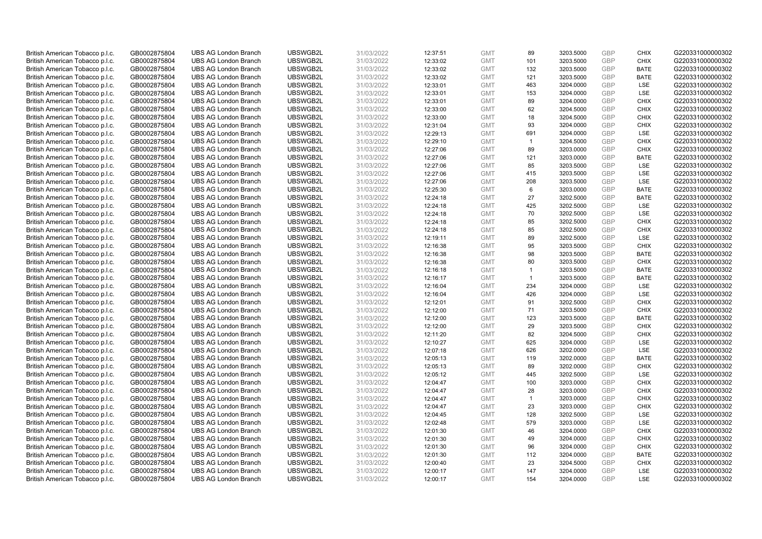| British American Tobacco p.l.c. | GB0002875804 | <b>UBS AG London Branch</b> | UBSWGB2L | 31/03/2022 | 12:37:51 | <b>GMT</b> | 89             | 3203.5000 | <b>GBP</b> | <b>CHIX</b> | G220331000000302 |
|---------------------------------|--------------|-----------------------------|----------|------------|----------|------------|----------------|-----------|------------|-------------|------------------|
|                                 |              |                             |          |            |          |            | 101            |           | GBP        | <b>CHIX</b> |                  |
| British American Tobacco p.l.c. | GB0002875804 | <b>UBS AG London Branch</b> | UBSWGB2L | 31/03/2022 | 12:33:02 | <b>GMT</b> |                | 3203.5000 |            |             | G220331000000302 |
| British American Tobacco p.l.c. | GB0002875804 | <b>UBS AG London Branch</b> | UBSWGB2L | 31/03/2022 | 12:33:02 | <b>GMT</b> | 132            | 3203.5000 | GBP        | <b>BATE</b> | G220331000000302 |
| British American Tobacco p.l.c. | GB0002875804 | <b>UBS AG London Branch</b> | UBSWGB2L | 31/03/2022 | 12:33:02 | <b>GMT</b> | 121            | 3203.5000 | <b>GBP</b> | <b>BATE</b> | G220331000000302 |
| British American Tobacco p.l.c. | GB0002875804 | <b>UBS AG London Branch</b> | UBSWGB2L | 31/03/2022 | 12:33:01 | <b>GMT</b> | 463            | 3204.0000 | GBP        | LSE         | G220331000000302 |
| British American Tobacco p.l.c. | GB0002875804 | <b>UBS AG London Branch</b> | UBSWGB2L | 31/03/2022 | 12:33:01 | <b>GMT</b> | 153            | 3204.0000 | <b>GBP</b> | <b>LSE</b>  | G220331000000302 |
| British American Tobacco p.l.c. | GB0002875804 | <b>UBS AG London Branch</b> | UBSWGB2L | 31/03/2022 | 12:33:01 | <b>GMT</b> | 89             | 3204.0000 | GBP        | <b>CHIX</b> | G220331000000302 |
| British American Tobacco p.l.c. | GB0002875804 | <b>UBS AG London Branch</b> | UBSWGB2L | 31/03/2022 | 12:33:00 | <b>GMT</b> | 62             | 3204.5000 | <b>GBP</b> | <b>CHIX</b> | G220331000000302 |
| British American Tobacco p.l.c. | GB0002875804 | <b>UBS AG London Branch</b> | UBSWGB2L | 31/03/2022 | 12:33:00 | <b>GMT</b> | 18             | 3204.5000 | GBP        | <b>CHIX</b> | G220331000000302 |
| British American Tobacco p.l.c. | GB0002875804 | <b>UBS AG London Branch</b> | UBSWGB2L | 31/03/2022 | 12:31:04 | <b>GMT</b> | 93             | 3204.0000 | <b>GBP</b> | <b>CHIX</b> | G220331000000302 |
| British American Tobacco p.l.c. | GB0002875804 | <b>UBS AG London Branch</b> | UBSWGB2L | 31/03/2022 | 12:29:13 | <b>GMT</b> | 691            | 3204.0000 | GBP        | <b>LSE</b>  | G220331000000302 |
| British American Tobacco p.l.c. | GB0002875804 | <b>UBS AG London Branch</b> | UBSWGB2L | 31/03/2022 | 12:29:10 | <b>GMT</b> | $\overline{1}$ | 3204.5000 | <b>GBP</b> | <b>CHIX</b> | G220331000000302 |
| British American Tobacco p.l.c. | GB0002875804 | <b>UBS AG London Branch</b> | UBSWGB2L | 31/03/2022 | 12:27:06 | <b>GMT</b> | 89             | 3203.0000 | <b>GBP</b> | <b>CHIX</b> | G220331000000302 |
| British American Tobacco p.l.c. | GB0002875804 | <b>UBS AG London Branch</b> | UBSWGB2L | 31/03/2022 | 12:27:06 | <b>GMT</b> | 121            | 3203.0000 | <b>GBP</b> | <b>BATE</b> | G220331000000302 |
| British American Tobacco p.l.c. | GB0002875804 | <b>UBS AG London Branch</b> | UBSWGB2L | 31/03/2022 | 12:27:06 | <b>GMT</b> | 85             | 3203.5000 | GBP        | <b>LSE</b>  | G220331000000302 |
| British American Tobacco p.l.c. | GB0002875804 | <b>UBS AG London Branch</b> | UBSWGB2L | 31/03/2022 | 12:27:06 | <b>GMT</b> | 415            | 3203.5000 | <b>GBP</b> | LSE         | G220331000000302 |
| British American Tobacco p.l.c. | GB0002875804 | <b>UBS AG London Branch</b> | UBSWGB2L | 31/03/2022 | 12:27:06 | <b>GMT</b> | 208            | 3203.5000 | GBP        | LSE         | G220331000000302 |
| British American Tobacco p.l.c. | GB0002875804 | <b>UBS AG London Branch</b> | UBSWGB2L | 31/03/2022 | 12:25:30 | <b>GMT</b> | 6              | 3203.0000 | <b>GBP</b> | <b>BATE</b> | G220331000000302 |
| British American Tobacco p.l.c. | GB0002875804 | <b>UBS AG London Branch</b> | UBSWGB2L | 31/03/2022 | 12:24:18 | <b>GMT</b> | 27             | 3202.5000 | <b>GBP</b> | <b>BATE</b> | G220331000000302 |
| British American Tobacco p.l.c. | GB0002875804 | <b>UBS AG London Branch</b> | UBSWGB2L | 31/03/2022 | 12:24:18 | <b>GMT</b> | 425            | 3202.5000 | <b>GBP</b> | LSE         | G220331000000302 |
|                                 |              |                             |          |            |          |            | 70             |           | <b>GBP</b> | LSE         |                  |
| British American Tobacco p.l.c. | GB0002875804 | <b>UBS AG London Branch</b> | UBSWGB2L | 31/03/2022 | 12:24:18 | <b>GMT</b> |                | 3202.5000 |            |             | G220331000000302 |
| British American Tobacco p.l.c. | GB0002875804 | <b>UBS AG London Branch</b> | UBSWGB2L | 31/03/2022 | 12:24:18 | <b>GMT</b> | 85             | 3202.5000 | GBP        | <b>CHIX</b> | G220331000000302 |
| British American Tobacco p.l.c. | GB0002875804 | <b>UBS AG London Branch</b> | UBSWGB2L | 31/03/2022 | 12:24:18 | <b>GMT</b> | 85             | 3202.5000 | <b>GBP</b> | <b>CHIX</b> | G220331000000302 |
| British American Tobacco p.l.c. | GB0002875804 | <b>UBS AG London Branch</b> | UBSWGB2L | 31/03/2022 | 12:19:11 | <b>GMT</b> | 89             | 3202.5000 | <b>GBP</b> | <b>LSE</b>  | G220331000000302 |
| British American Tobacco p.l.c. | GB0002875804 | <b>UBS AG London Branch</b> | UBSWGB2L | 31/03/2022 | 12:16:38 | <b>GMT</b> | 95             | 3203.5000 | <b>GBP</b> | <b>CHIX</b> | G220331000000302 |
| British American Tobacco p.l.c. | GB0002875804 | <b>UBS AG London Branch</b> | UBSWGB2L | 31/03/2022 | 12:16:38 | <b>GMT</b> | 98             | 3203.5000 | GBP        | <b>BATE</b> | G220331000000302 |
| British American Tobacco p.l.c. | GB0002875804 | <b>UBS AG London Branch</b> | UBSWGB2L | 31/03/2022 | 12:16:38 | <b>GMT</b> | 80             | 3203.5000 | <b>GBP</b> | <b>CHIX</b> | G220331000000302 |
| British American Tobacco p.l.c. | GB0002875804 | <b>UBS AG London Branch</b> | UBSWGB2L | 31/03/2022 | 12:16:18 | <b>GMT</b> | $\mathbf{1}$   | 3203.5000 | GBP        | <b>BATE</b> | G220331000000302 |
| British American Tobacco p.l.c. | GB0002875804 | <b>UBS AG London Branch</b> | UBSWGB2L | 31/03/2022 | 12:16:17 | <b>GMT</b> | $\mathbf{1}$   | 3203.5000 | <b>GBP</b> | <b>BATE</b> | G220331000000302 |
| British American Tobacco p.l.c. | GB0002875804 | <b>UBS AG London Branch</b> | UBSWGB2L | 31/03/2022 | 12:16:04 | <b>GMT</b> | 234            | 3204.0000 | GBP        | LSE         | G220331000000302 |
| British American Tobacco p.l.c. | GB0002875804 | <b>UBS AG London Branch</b> | UBSWGB2L | 31/03/2022 | 12:16:04 | <b>GMT</b> | 426            | 3204.0000 | <b>GBP</b> | <b>LSE</b>  | G220331000000302 |
| British American Tobacco p.l.c. | GB0002875804 | <b>UBS AG London Branch</b> | UBSWGB2L | 31/03/2022 | 12:12:01 | <b>GMT</b> | 91             | 3202.5000 | <b>GBP</b> | <b>CHIX</b> | G220331000000302 |
| British American Tobacco p.l.c. | GB0002875804 | <b>UBS AG London Branch</b> | UBSWGB2L | 31/03/2022 | 12:12:00 | <b>GMT</b> | 71             | 3203.5000 | <b>GBP</b> | <b>CHIX</b> | G220331000000302 |
| British American Tobacco p.l.c. | GB0002875804 | <b>UBS AG London Branch</b> | UBSWGB2L | 31/03/2022 | 12:12:00 | <b>GMT</b> | 123            | 3203.5000 | <b>GBP</b> | <b>BATE</b> | G220331000000302 |
| British American Tobacco p.l.c. | GB0002875804 | <b>UBS AG London Branch</b> | UBSWGB2L | 31/03/2022 | 12:12:00 | <b>GMT</b> | 29             | 3203.5000 | GBP        | <b>CHIX</b> | G220331000000302 |
| British American Tobacco p.l.c. | GB0002875804 | <b>UBS AG London Branch</b> | UBSWGB2L | 31/03/2022 | 12:11:20 | <b>GMT</b> | 82             | 3204.5000 | <b>GBP</b> | <b>CHIX</b> | G220331000000302 |
| British American Tobacco p.l.c. | GB0002875804 | <b>UBS AG London Branch</b> | UBSWGB2L | 31/03/2022 | 12:10:27 | <b>GMT</b> | 625            | 3204.0000 | <b>GBP</b> | LSE         | G220331000000302 |
| British American Tobacco p.l.c. | GB0002875804 | <b>UBS AG London Branch</b> | UBSWGB2L | 31/03/2022 | 12:07:18 | <b>GMT</b> | 626            | 3202.0000 | <b>GBP</b> | LSE         | G220331000000302 |
| British American Tobacco p.l.c. | GB0002875804 | <b>UBS AG London Branch</b> | UBSWGB2L | 31/03/2022 | 12:05:13 | <b>GMT</b> | 119            | 3202.0000 | GBP        | <b>BATE</b> | G220331000000302 |
| British American Tobacco p.l.c. | GB0002875804 | <b>UBS AG London Branch</b> | UBSWGB2L | 31/03/2022 | 12:05:13 | <b>GMT</b> | 89             | 3202.0000 | <b>GBP</b> | <b>CHIX</b> | G220331000000302 |
| British American Tobacco p.l.c. | GB0002875804 | <b>UBS AG London Branch</b> | UBSWGB2L | 31/03/2022 | 12:05:12 | <b>GMT</b> | 445            | 3202.5000 | GBP        | LSE         | G220331000000302 |
| British American Tobacco p.l.c. | GB0002875804 | <b>UBS AG London Branch</b> | UBSWGB2L | 31/03/2022 | 12:04:47 | <b>GMT</b> | 100            | 3203.0000 | <b>GBP</b> | <b>CHIX</b> | G220331000000302 |
| British American Tobacco p.l.c. | GB0002875804 | <b>UBS AG London Branch</b> | UBSWGB2L | 31/03/2022 | 12:04:47 | <b>GMT</b> | 28             | 3203.0000 | GBP        | <b>CHIX</b> | G220331000000302 |
| British American Tobacco p.l.c. | GB0002875804 | <b>UBS AG London Branch</b> | UBSWGB2L | 31/03/2022 | 12:04:47 | <b>GMT</b> | $\mathbf{1}$   | 3203.0000 | GBP        | <b>CHIX</b> | G220331000000302 |
| British American Tobacco p.l.c. | GB0002875804 | <b>UBS AG London Branch</b> | UBSWGB2L | 31/03/2022 | 12:04:47 | <b>GMT</b> | 23             | 3203.0000 | <b>GBP</b> | <b>CHIX</b> | G220331000000302 |
| British American Tobacco p.l.c. | GB0002875804 | <b>UBS AG London Branch</b> | UBSWGB2L | 31/03/2022 | 12:04:45 | <b>GMT</b> | 128            | 3202.5000 | <b>GBP</b> | LSE         | G220331000000302 |
| British American Tobacco p.l.c. | GB0002875804 | <b>UBS AG London Branch</b> | UBSWGB2L | 31/03/2022 | 12:02:48 | <b>GMT</b> | 579            | 3203.0000 | <b>GBP</b> | LSE         | G220331000000302 |
| British American Tobacco p.l.c. | GB0002875804 | <b>UBS AG London Branch</b> | UBSWGB2L | 31/03/2022 | 12:01:30 | <b>GMT</b> | 46             | 3204.0000 | GBP        | <b>CHIX</b> | G220331000000302 |
| British American Tobacco p.l.c. | GB0002875804 | <b>UBS AG London Branch</b> | UBSWGB2L | 31/03/2022 | 12:01:30 | <b>GMT</b> | 49             | 3204.0000 | GBP        | <b>CHIX</b> | G220331000000302 |
| British American Tobacco p.l.c. | GB0002875804 | <b>UBS AG London Branch</b> | UBSWGB2L | 31/03/2022 | 12:01:30 | <b>GMT</b> | 96             | 3204.0000 | GBP        | <b>CHIX</b> | G220331000000302 |
| British American Tobacco p.l.c. | GB0002875804 | <b>UBS AG London Branch</b> | UBSWGB2L | 31/03/2022 | 12:01:30 | <b>GMT</b> | 112            | 3204.0000 | <b>GBP</b> | <b>BATE</b> | G220331000000302 |
| British American Tobacco p.l.c. | GB0002875804 | <b>UBS AG London Branch</b> | UBSWGB2L | 31/03/2022 | 12:00:40 | <b>GMT</b> | 23             | 3204.5000 | GBP        | <b>CHIX</b> | G220331000000302 |
| British American Tobacco p.l.c. | GB0002875804 | <b>UBS AG London Branch</b> | UBSWGB2L | 31/03/2022 | 12:00:17 | <b>GMT</b> | 147            | 3204.0000 | <b>GBP</b> | <b>LSE</b>  | G220331000000302 |
| British American Tobacco p.l.c. | GB0002875804 | <b>UBS AG London Branch</b> | UBSWGB2L | 31/03/2022 | 12:00:17 | <b>GMT</b> | 154            | 3204.0000 | GBP        | <b>LSE</b>  | G220331000000302 |
|                                 |              |                             |          |            |          |            |                |           |            |             |                  |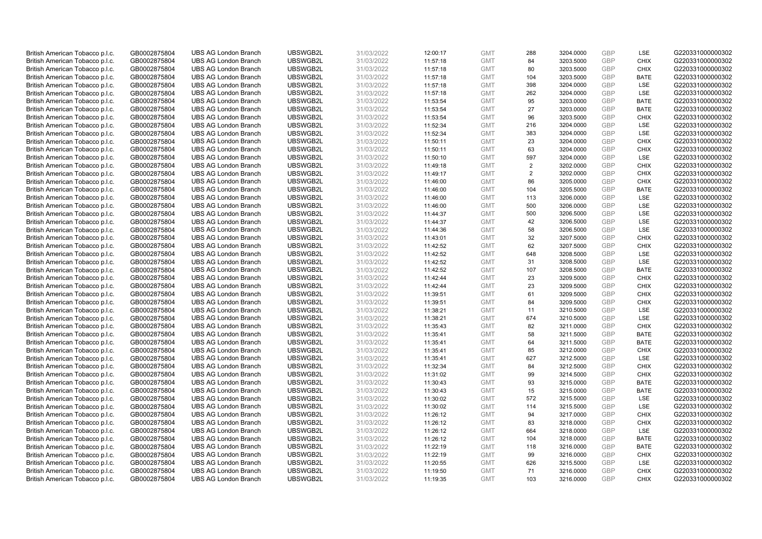| British American Tobacco p.l.c. | GB0002875804 | <b>UBS AG London Branch</b> | UBSWGB2L | 31/03/2022 | 12:00:17             | <b>GMT</b>               | 288       | 3204.0000 | <b>GBP</b> | LSE                 | G220331000000302 |
|---------------------------------|--------------|-----------------------------|----------|------------|----------------------|--------------------------|-----------|-----------|------------|---------------------|------------------|
| British American Tobacco p.l.c. | GB0002875804 | <b>UBS AG London Branch</b> | UBSWGB2L | 31/03/2022 | 11:57:18             | <b>GMT</b>               | 84        | 3203.5000 | GBP        | <b>CHIX</b>         | G220331000000302 |
| British American Tobacco p.l.c. | GB0002875804 | <b>UBS AG London Branch</b> | UBSWGB2L | 31/03/2022 | 11:57:18             | <b>GMT</b>               | 80        | 3203.5000 | GBP        | <b>CHIX</b>         | G220331000000302 |
|                                 |              |                             | UBSWGB2L | 31/03/2022 |                      |                          |           |           | <b>GBP</b> |                     | G220331000000302 |
| British American Tobacco p.l.c. | GB0002875804 | <b>UBS AG London Branch</b> |          |            | 11:57:18             | <b>GMT</b>               | 104       | 3203.5000 | GBP        | <b>BATE</b>         |                  |
| British American Tobacco p.l.c. | GB0002875804 | <b>UBS AG London Branch</b> | UBSWGB2L | 31/03/2022 | 11:57:18             | <b>GMT</b>               | 398       | 3204.0000 |            | LSE                 | G220331000000302 |
| British American Tobacco p.l.c. | GB0002875804 | <b>UBS AG London Branch</b> | UBSWGB2L | 31/03/2022 | 11:57:18             | <b>GMT</b>               | 262       | 3204.0000 | <b>GBP</b> | <b>LSE</b>          | G220331000000302 |
| British American Tobacco p.l.c. | GB0002875804 | <b>UBS AG London Branch</b> | UBSWGB2L | 31/03/2022 | 11:53:54             | <b>GMT</b>               | 95        | 3203.0000 | GBP        | <b>BATE</b>         | G220331000000302 |
| British American Tobacco p.l.c. | GB0002875804 | <b>UBS AG London Branch</b> | UBSWGB2L | 31/03/2022 | 11:53:54             | <b>GMT</b>               | 27        | 3203.0000 | <b>GBP</b> | <b>BATE</b>         | G220331000000302 |
| British American Tobacco p.l.c. | GB0002875804 | <b>UBS AG London Branch</b> | UBSWGB2L | 31/03/2022 | 11:53:54             | <b>GMT</b>               | 96        | 3203.5000 | GBP        | <b>CHIX</b>         | G220331000000302 |
| British American Tobacco p.l.c. | GB0002875804 | <b>UBS AG London Branch</b> | UBSWGB2L | 31/03/2022 | 11:52:34             | <b>GMT</b>               | 216       | 3204.0000 | <b>GBP</b> | LSE                 | G220331000000302 |
| British American Tobacco p.l.c. | GB0002875804 | <b>UBS AG London Branch</b> | UBSWGB2L | 31/03/2022 | 11:52:34             | <b>GMT</b>               | 383       | 3204.0000 | <b>GBP</b> | <b>LSE</b>          | G220331000000302 |
| British American Tobacco p.l.c. | GB0002875804 | <b>UBS AG London Branch</b> | UBSWGB2L | 31/03/2022 | 11:50:11             | <b>GMT</b>               | 23        | 3204.0000 | <b>GBP</b> | <b>CHIX</b>         | G220331000000302 |
| British American Tobacco p.l.c. | GB0002875804 | <b>UBS AG London Branch</b> | UBSWGB2L | 31/03/2022 | 11:50:11             | <b>GMT</b>               | 63        | 3204.0000 | <b>GBP</b> | <b>CHIX</b>         | G220331000000302 |
| British American Tobacco p.l.c. | GB0002875804 | <b>UBS AG London Branch</b> | UBSWGB2L | 31/03/2022 | 11:50:10             | <b>GMT</b>               | 597       | 3204.0000 | <b>GBP</b> | LSE                 | G220331000000302 |
| British American Tobacco p.l.c. | GB0002875804 | <b>UBS AG London Branch</b> | UBSWGB2L | 31/03/2022 | 11:49:18             | <b>GMT</b>               | 2         | 3202.0000 | GBP        | <b>CHIX</b>         | G220331000000302 |
| British American Tobacco p.l.c. | GB0002875804 | <b>UBS AG London Branch</b> | UBSWGB2L | 31/03/2022 | 11:49:17             | <b>GMT</b>               | 2         | 3202.0000 | <b>GBP</b> | <b>CHIX</b>         | G220331000000302 |
| British American Tobacco p.l.c. | GB0002875804 | <b>UBS AG London Branch</b> | UBSWGB2L | 31/03/2022 | 11:46:00             | <b>GMT</b>               | 86        | 3205.0000 | GBP        | <b>CHIX</b>         | G220331000000302 |
| British American Tobacco p.l.c. | GB0002875804 | <b>UBS AG London Branch</b> | UBSWGB2L | 31/03/2022 | 11:46:00             | <b>GMT</b>               | 104       | 3205.5000 | GBP        | <b>BATE</b>         | G220331000000302 |
| British American Tobacco p.l.c. | GB0002875804 | <b>UBS AG London Branch</b> | UBSWGB2L | 31/03/2022 | 11:46:00             | <b>GMT</b>               | 113       | 3206.0000 | <b>GBP</b> | <b>LSE</b>          | G220331000000302 |
| British American Tobacco p.l.c. | GB0002875804 | <b>UBS AG London Branch</b> | UBSWGB2L | 31/03/2022 | 11:46:00             | <b>GMT</b>               | 500       | 3206.0000 | <b>GBP</b> | LSE                 | G220331000000302 |
| British American Tobacco p.l.c. | GB0002875804 | <b>UBS AG London Branch</b> | UBSWGB2L | 31/03/2022 | 11:44:37             | <b>GMT</b>               | 500       | 3206.5000 | <b>GBP</b> | LSE                 | G220331000000302 |
| British American Tobacco p.l.c. | GB0002875804 | <b>UBS AG London Branch</b> | UBSWGB2L | 31/03/2022 | 11:44:37             | <b>GMT</b>               | 42        | 3206.5000 | GBP        | LSE                 | G220331000000302 |
| British American Tobacco p.l.c. | GB0002875804 | <b>UBS AG London Branch</b> | UBSWGB2L | 31/03/2022 | 11:44:36             | <b>GMT</b>               | 58        | 3206.5000 | <b>GBP</b> | LSE                 | G220331000000302 |
| British American Tobacco p.l.c. | GB0002875804 | <b>UBS AG London Branch</b> | UBSWGB2L | 31/03/2022 | 11:43:01             | <b>GMT</b>               | 32        | 3207.5000 | <b>GBP</b> | <b>CHIX</b>         | G220331000000302 |
| British American Tobacco p.l.c. | GB0002875804 | <b>UBS AG London Branch</b> | UBSWGB2L | 31/03/2022 | 11:42:52             | <b>GMT</b>               | 62        | 3207.5000 | <b>GBP</b> | <b>CHIX</b>         | G220331000000302 |
| British American Tobacco p.l.c. | GB0002875804 | <b>UBS AG London Branch</b> | UBSWGB2L | 31/03/2022 | 11:42:52             | <b>GMT</b>               | 648       | 3208.5000 | GBP        | LSE                 | G220331000000302 |
| British American Tobacco p.l.c. | GB0002875804 | <b>UBS AG London Branch</b> | UBSWGB2L | 31/03/2022 | 11:42:52             | <b>GMT</b>               | 31        | 3208.5000 | <b>GBP</b> | LSE                 | G220331000000302 |
| British American Tobacco p.l.c. | GB0002875804 | <b>UBS AG London Branch</b> | UBSWGB2L | 31/03/2022 | 11:42:52             | <b>GMT</b>               | 107       | 3208.5000 | GBP        | <b>BATE</b>         | G220331000000302 |
| British American Tobacco p.l.c. | GB0002875804 | <b>UBS AG London Branch</b> | UBSWGB2L | 31/03/2022 | 11:42:44             | <b>GMT</b>               | 23        | 3209.5000 | <b>GBP</b> | <b>CHIX</b>         | G220331000000302 |
| British American Tobacco p.l.c. | GB0002875804 | <b>UBS AG London Branch</b> | UBSWGB2L | 31/03/2022 | 11:42:44             | <b>GMT</b>               | 23        | 3209.5000 | GBP        | <b>CHIX</b>         | G220331000000302 |
| British American Tobacco p.l.c. | GB0002875804 | <b>UBS AG London Branch</b> | UBSWGB2L | 31/03/2022 | 11:39:51             | <b>GMT</b>               | 61        | 3209.5000 | GBP        | <b>CHIX</b>         | G220331000000302 |
| British American Tobacco p.l.c. | GB0002875804 | <b>UBS AG London Branch</b> | UBSWGB2L | 31/03/2022 | 11:39:51             | <b>GMT</b>               | 84        | 3209.5000 | <b>GBP</b> | <b>CHIX</b>         | G220331000000302 |
| British American Tobacco p.l.c. | GB0002875804 | <b>UBS AG London Branch</b> | UBSWGB2L | 31/03/2022 | 11:38:21             | <b>GMT</b>               | 11        | 3210.5000 | <b>GBP</b> | LSE                 | G220331000000302 |
| British American Tobacco p.l.c. | GB0002875804 | <b>UBS AG London Branch</b> | UBSWGB2L | 31/03/2022 | 11:38:21             | <b>GMT</b>               | 674       | 3210.5000 | <b>GBP</b> | LSE                 | G220331000000302 |
| British American Tobacco p.l.c. | GB0002875804 | <b>UBS AG London Branch</b> | UBSWGB2L | 31/03/2022 | 11:35:43             | <b>GMT</b>               | 82        | 3211.0000 | GBP        | <b>CHIX</b>         | G220331000000302 |
| British American Tobacco p.l.c. | GB0002875804 | <b>UBS AG London Branch</b> | UBSWGB2L | 31/03/2022 | 11:35:41             | <b>GMT</b>               | 58        | 3211.5000 | <b>GBP</b> | <b>BATE</b>         | G220331000000302 |
| British American Tobacco p.l.c. | GB0002875804 | <b>UBS AG London Branch</b> | UBSWGB2L | 31/03/2022 | 11:35:41             | <b>GMT</b>               | 64        | 3211.5000 | <b>GBP</b> | <b>BATE</b>         | G220331000000302 |
| British American Tobacco p.l.c. | GB0002875804 | <b>UBS AG London Branch</b> | UBSWGB2L | 31/03/2022 | 11:35:41             | <b>GMT</b>               | 85        | 3212.0000 | <b>GBP</b> | <b>CHIX</b>         | G220331000000302 |
| British American Tobacco p.l.c. | GB0002875804 | <b>UBS AG London Branch</b> | UBSWGB2L | 31/03/2022 | 11:35:41             | <b>GMT</b>               | 627       | 3212.5000 | GBP        | LSE                 | G220331000000302 |
| British American Tobacco p.l.c. | GB0002875804 | <b>UBS AG London Branch</b> | UBSWGB2L | 31/03/2022 | 11:32:34             | <b>GMT</b>               | 84        | 3212.5000 | <b>GBP</b> | <b>CHIX</b>         | G220331000000302 |
| British American Tobacco p.l.c. | GB0002875804 | <b>UBS AG London Branch</b> | UBSWGB2L | 31/03/2022 | 11:31:02             | <b>GMT</b>               | 99        | 3214.5000 | GBP        | <b>CHIX</b>         | G220331000000302 |
| British American Tobacco p.l.c. | GB0002875804 | <b>UBS AG London Branch</b> | UBSWGB2L | 31/03/2022 | 11:30:43             | <b>GMT</b>               | 93        | 3215.0000 | <b>GBP</b> | <b>BATE</b>         | G220331000000302 |
| British American Tobacco p.l.c. | GB0002875804 | <b>UBS AG London Branch</b> | UBSWGB2L | 31/03/2022 | 11:30:43             | <b>GMT</b>               | 15        | 3215.0000 | GBP        | <b>BATE</b>         | G220331000000302 |
| British American Tobacco p.l.c. | GB0002875804 | <b>UBS AG London Branch</b> | UBSWGB2L | 31/03/2022 | 11:30:02             | <b>GMT</b>               | 572       | 3215.5000 | GBP        | LSE                 | G220331000000302 |
| British American Tobacco p.l.c. | GB0002875804 | <b>UBS AG London Branch</b> | UBSWGB2L | 31/03/2022 | 11:30:02             | <b>GMT</b>               | 114       | 3215.5000 | <b>GBP</b> | LSE                 | G220331000000302 |
| British American Tobacco p.l.c. | GB0002875804 | <b>UBS AG London Branch</b> | UBSWGB2L | 31/03/2022 | 11:26:12             | <b>GMT</b>               | 94        | 3217.0000 | <b>GBP</b> | <b>CHIX</b>         | G220331000000302 |
| British American Tobacco p.l.c. | GB0002875804 | <b>UBS AG London Branch</b> | UBSWGB2L | 31/03/2022 | 11:26:12             | <b>GMT</b>               | 83        | 3218.0000 | <b>GBP</b> | <b>CHIX</b>         | G220331000000302 |
| British American Tobacco p.l.c. | GB0002875804 | <b>UBS AG London Branch</b> | UBSWGB2L | 31/03/2022 | 11:26:12             | <b>GMT</b>               | 664       | 3218.0000 | GBP        | LSE                 | G220331000000302 |
| British American Tobacco p.l.c. | GB0002875804 | <b>UBS AG London Branch</b> | UBSWGB2L | 31/03/2022 | 11:26:12             | <b>GMT</b>               | 104       | 3218.0000 | GBP        | <b>BATE</b>         | G220331000000302 |
| British American Tobacco p.l.c. | GB0002875804 | <b>UBS AG London Branch</b> | UBSWGB2L | 31/03/2022 | 11:22:19             | <b>GMT</b>               | 118       | 3216.0000 | GBP        | <b>BATE</b>         | G220331000000302 |
| British American Tobacco p.l.c. |              | <b>UBS AG London Branch</b> | UBSWGB2L | 31/03/2022 |                      | <b>GMT</b>               | 99        | 3216.0000 | <b>GBP</b> | <b>CHIX</b>         | G220331000000302 |
| British American Tobacco p.l.c. | GB0002875804 | <b>UBS AG London Branch</b> | UBSWGB2L | 31/03/2022 | 11:22:19<br>11:20:55 | <b>GMT</b>               | 626       | 3215.5000 | GBP        | LSE                 | G220331000000302 |
|                                 | GB0002875804 |                             |          |            |                      |                          |           |           | <b>GBP</b> |                     | G220331000000302 |
| British American Tobacco p.l.c. | GB0002875804 | <b>UBS AG London Branch</b> | UBSWGB2L | 31/03/2022 | 11:19:50             | <b>GMT</b><br><b>GMT</b> | 71<br>103 | 3216.0000 | GBP        | <b>CHIX</b><br>CHIX |                  |
| British American Tobacco p.l.c. | GB0002875804 | <b>UBS AG London Branch</b> | UBSWGB2L | 31/03/2022 | 11:19:35             |                          |           | 3216.0000 |            |                     | G220331000000302 |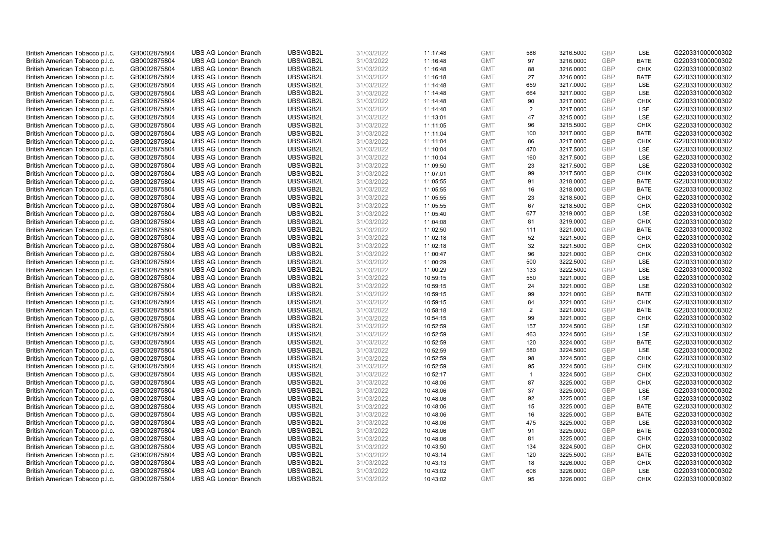| British American Tobacco p.l.c. | GB0002875804 | <b>UBS AG London Branch</b> | UBSWGB2L | 31/03/2022 | 11:17:48 | <b>GMT</b> | 586            | 3216.5000 | <b>GBP</b>        | LSE         | G220331000000302 |
|---------------------------------|--------------|-----------------------------|----------|------------|----------|------------|----------------|-----------|-------------------|-------------|------------------|
|                                 |              |                             |          |            |          |            |                |           | <b>GBP</b>        |             |                  |
| British American Tobacco p.l.c. | GB0002875804 | <b>UBS AG London Branch</b> | UBSWGB2L | 31/03/2022 | 11:16:48 | <b>GMT</b> | 97             | 3216.0000 |                   | <b>BATE</b> | G220331000000302 |
| British American Tobacco p.l.c. | GB0002875804 | <b>UBS AG London Branch</b> | UBSWGB2L | 31/03/2022 | 11:16:48 | <b>GMT</b> | 88             | 3216.0000 | GBP               | <b>CHIX</b> | G220331000000302 |
| British American Tobacco p.l.c. | GB0002875804 | <b>UBS AG London Branch</b> | UBSWGB2L | 31/03/2022 | 11:16:18 | <b>GMT</b> | 27             | 3216.0000 | <b>GBP</b>        | <b>BATE</b> | G220331000000302 |
| British American Tobacco p.l.c. | GB0002875804 | <b>UBS AG London Branch</b> | UBSWGB2L | 31/03/2022 | 11:14:48 | <b>GMT</b> | 659            | 3217.0000 | GBP               | LSE         | G220331000000302 |
| British American Tobacco p.l.c. | GB0002875804 | <b>UBS AG London Branch</b> | UBSWGB2L | 31/03/2022 | 11:14:48 | <b>GMT</b> | 664            | 3217.0000 | <b>GBP</b>        | <b>LSE</b>  | G220331000000302 |
| British American Tobacco p.l.c. | GB0002875804 | <b>UBS AG London Branch</b> | UBSWGB2L | 31/03/2022 | 11:14:48 | <b>GMT</b> | 90             | 3217.0000 | GBP               | <b>CHIX</b> | G220331000000302 |
| British American Tobacco p.l.c. | GB0002875804 | <b>UBS AG London Branch</b> | UBSWGB2L | 31/03/2022 | 11:14:40 | <b>GMT</b> | $\overline{2}$ | 3217.0000 | <b>GBP</b>        | LSE         | G220331000000302 |
| British American Tobacco p.l.c. | GB0002875804 | <b>UBS AG London Branch</b> | UBSWGB2L | 31/03/2022 | 11:13:01 | <b>GMT</b> | 47             | 3215.0000 | GBP               | LSE         | G220331000000302 |
| British American Tobacco p.l.c. | GB0002875804 | <b>UBS AG London Branch</b> | UBSWGB2L | 31/03/2022 | 11:11:05 | <b>GMT</b> | 96             | 3215.5000 | <b>GBP</b>        | <b>CHIX</b> | G220331000000302 |
| British American Tobacco p.l.c. | GB0002875804 | <b>UBS AG London Branch</b> | UBSWGB2L | 31/03/2022 | 11:11:04 | <b>GMT</b> | 100            | 3217.0000 | <b>GBP</b>        | <b>BATE</b> | G220331000000302 |
| British American Tobacco p.l.c. | GB0002875804 | <b>UBS AG London Branch</b> | UBSWGB2L | 31/03/2022 | 11:11:04 | <b>GMT</b> | 86             | 3217.0000 | <b>GBP</b>        | <b>CHIX</b> | G220331000000302 |
| British American Tobacco p.l.c. | GB0002875804 | <b>UBS AG London Branch</b> | UBSWGB2L | 31/03/2022 | 11:10:04 | <b>GMT</b> | 470            | 3217.5000 | GBP               | LSE         | G220331000000302 |
| British American Tobacco p.l.c. | GB0002875804 | <b>UBS AG London Branch</b> | UBSWGB2L | 31/03/2022 | 11:10:04 | <b>GMT</b> | 160            | 3217.5000 | <b>GBP</b>        | LSE         | G220331000000302 |
| British American Tobacco p.l.c. | GB0002875804 | <b>UBS AG London Branch</b> | UBSWGB2L | 31/03/2022 | 11:09:50 | <b>GMT</b> | 23             | 3217.5000 | GBP               | LSE         | G220331000000302 |
| British American Tobacco p.l.c. | GB0002875804 | <b>UBS AG London Branch</b> | UBSWGB2L | 31/03/2022 | 11:07:01 | <b>GMT</b> | 99             | 3217.5000 | <b>GBP</b>        | <b>CHIX</b> | G220331000000302 |
| British American Tobacco p.l.c. | GB0002875804 | <b>UBS AG London Branch</b> | UBSWGB2L | 31/03/2022 | 11:05:55 | <b>GMT</b> | 91             | 3218.0000 | GBP               | <b>BATE</b> | G220331000000302 |
| British American Tobacco p.l.c. | GB0002875804 | <b>UBS AG London Branch</b> | UBSWGB2L | 31/03/2022 | 11:05:55 | <b>GMT</b> | 16             | 3218.0000 | GBP               | <b>BATE</b> | G220331000000302 |
| British American Tobacco p.l.c. | GB0002875804 | <b>UBS AG London Branch</b> | UBSWGB2L | 31/03/2022 | 11:05:55 | <b>GMT</b> | 23             | 3218.5000 | <b>GBP</b>        | <b>CHIX</b> | G220331000000302 |
| British American Tobacco p.l.c. | GB0002875804 | <b>UBS AG London Branch</b> | UBSWGB2L | 31/03/2022 | 11:05:55 | <b>GMT</b> | 67             | 3218.5000 | <b>GBP</b>        | <b>CHIX</b> | G220331000000302 |
| British American Tobacco p.l.c. | GB0002875804 | <b>UBS AG London Branch</b> | UBSWGB2L | 31/03/2022 | 11:05:40 | <b>GMT</b> | 677            | 3219.0000 | <b>GBP</b>        | LSE         | G220331000000302 |
| British American Tobacco p.l.c. | GB0002875804 | <b>UBS AG London Branch</b> | UBSWGB2L | 31/03/2022 | 11:04:08 | <b>GMT</b> | 81             | 3219.0000 | GBP               | <b>CHIX</b> | G220331000000302 |
| British American Tobacco p.l.c. | GB0002875804 | <b>UBS AG London Branch</b> | UBSWGB2L | 31/03/2022 | 11:02:50 | <b>GMT</b> | 111            | 3221.0000 | <b>GBP</b>        | <b>BATE</b> | G220331000000302 |
| British American Tobacco p.l.c. | GB0002875804 | <b>UBS AG London Branch</b> | UBSWGB2L | 31/03/2022 | 11:02:18 | <b>GMT</b> | 52             | 3221.5000 | <b>GBP</b>        | <b>CHIX</b> | G220331000000302 |
| British American Tobacco p.l.c. |              | <b>UBS AG London Branch</b> | UBSWGB2L | 31/03/2022 | 11:02:18 | <b>GMT</b> | 32             | 3221.5000 | <b>GBP</b>        | <b>CHIX</b> | G220331000000302 |
|                                 | GB0002875804 | <b>UBS AG London Branch</b> | UBSWGB2L | 31/03/2022 | 11:00:47 | <b>GMT</b> | 96             | 3221.0000 | GBP               | <b>CHIX</b> | G220331000000302 |
| British American Tobacco p.l.c. | GB0002875804 |                             |          |            |          |            |                |           |                   |             |                  |
| British American Tobacco p.l.c. | GB0002875804 | <b>UBS AG London Branch</b> | UBSWGB2L | 31/03/2022 | 11:00:29 | <b>GMT</b> | 500            | 3222.5000 | <b>GBP</b><br>GBP | <b>LSE</b>  | G220331000000302 |
| British American Tobacco p.l.c. | GB0002875804 | <b>UBS AG London Branch</b> | UBSWGB2L | 31/03/2022 | 11:00:29 | <b>GMT</b> | 133            | 3222.5000 |                   | LSE         | G220331000000302 |
| British American Tobacco p.l.c. | GB0002875804 | <b>UBS AG London Branch</b> | UBSWGB2L | 31/03/2022 | 10:59:15 | <b>GMT</b> | 550            | 3221.0000 | <b>GBP</b>        | LSE         | G220331000000302 |
| British American Tobacco p.l.c. | GB0002875804 | <b>UBS AG London Branch</b> | UBSWGB2L | 31/03/2022 | 10:59:15 | <b>GMT</b> | 24             | 3221.0000 | GBP               | LSE         | G220331000000302 |
| British American Tobacco p.l.c. | GB0002875804 | <b>UBS AG London Branch</b> | UBSWGB2L | 31/03/2022 | 10:59:15 | <b>GMT</b> | 99             | 3221.0000 | <b>GBP</b>        | <b>BATE</b> | G220331000000302 |
| British American Tobacco p.l.c. | GB0002875804 | <b>UBS AG London Branch</b> | UBSWGB2L | 31/03/2022 | 10:59:15 | <b>GMT</b> | 84             | 3221.0000 | <b>GBP</b>        | CHIX        | G220331000000302 |
| British American Tobacco p.l.c. | GB0002875804 | <b>UBS AG London Branch</b> | UBSWGB2L | 31/03/2022 | 10:58:18 | <b>GMT</b> | $\overline{2}$ | 3221.0000 | <b>GBP</b>        | <b>BATE</b> | G220331000000302 |
| British American Tobacco p.l.c. | GB0002875804 | <b>UBS AG London Branch</b> | UBSWGB2L | 31/03/2022 | 10:54:15 | <b>GMT</b> | 99             | 3221.0000 | <b>GBP</b>        | <b>CHIX</b> | G220331000000302 |
| British American Tobacco p.l.c. | GB0002875804 | <b>UBS AG London Branch</b> | UBSWGB2L | 31/03/2022 | 10:52:59 | <b>GMT</b> | 157            | 3224.5000 | GBP               | LSE         | G220331000000302 |
| British American Tobacco p.l.c. | GB0002875804 | <b>UBS AG London Branch</b> | UBSWGB2L | 31/03/2022 | 10:52:59 | <b>GMT</b> | 463            | 3224.5000 | <b>GBP</b>        | LSE         | G220331000000302 |
| British American Tobacco p.l.c. | GB0002875804 | <b>UBS AG London Branch</b> | UBSWGB2L | 31/03/2022 | 10:52:59 | <b>GMT</b> | 120            | 3224.0000 | <b>GBP</b>        | <b>BATE</b> | G220331000000302 |
| British American Tobacco p.l.c. | GB0002875804 | <b>UBS AG London Branch</b> | UBSWGB2L | 31/03/2022 | 10:52:59 | <b>GMT</b> | 580            | 3224.5000 | <b>GBP</b>        | LSE         | G220331000000302 |
| British American Tobacco p.l.c. | GB0002875804 | <b>UBS AG London Branch</b> | UBSWGB2L | 31/03/2022 | 10:52:59 | <b>GMT</b> | 98             | 3224.5000 | GBP               | <b>CHIX</b> | G220331000000302 |
| British American Tobacco p.l.c. | GB0002875804 | <b>UBS AG London Branch</b> | UBSWGB2L | 31/03/2022 | 10:52:59 | <b>GMT</b> | 95             | 3224.5000 | <b>GBP</b>        | <b>CHIX</b> | G220331000000302 |
| British American Tobacco p.l.c. | GB0002875804 | <b>UBS AG London Branch</b> | UBSWGB2L | 31/03/2022 | 10:52:17 | <b>GMT</b> | $\mathbf{1}$   | 3224.5000 | GBP               | <b>CHIX</b> | G220331000000302 |
| British American Tobacco p.l.c. | GB0002875804 | <b>UBS AG London Branch</b> | UBSWGB2L | 31/03/2022 | 10:48:06 | <b>GMT</b> | 87             | 3225.0000 | <b>GBP</b>        | <b>CHIX</b> | G220331000000302 |
| British American Tobacco p.l.c. | GB0002875804 | <b>UBS AG London Branch</b> | UBSWGB2L | 31/03/2022 | 10:48:06 | <b>GMT</b> | 37             | 3225.0000 | <b>GBP</b>        | LSE         | G220331000000302 |
| British American Tobacco p.l.c. | GB0002875804 | <b>UBS AG London Branch</b> | UBSWGB2L | 31/03/2022 | 10:48:06 | <b>GMT</b> | 92             | 3225.0000 | <b>GBP</b>        | LSE         | G220331000000302 |
| British American Tobacco p.l.c. | GB0002875804 | <b>UBS AG London Branch</b> | UBSWGB2L | 31/03/2022 | 10:48:06 | <b>GMT</b> | 15             | 3225.0000 | <b>GBP</b>        | <b>BATE</b> | G220331000000302 |
| British American Tobacco p.l.c. | GB0002875804 | <b>UBS AG London Branch</b> | UBSWGB2L | 31/03/2022 | 10:48:06 | <b>GMT</b> | 16             | 3225.0000 | <b>GBP</b>        | <b>BATE</b> | G220331000000302 |
| British American Tobacco p.l.c. | GB0002875804 | <b>UBS AG London Branch</b> | UBSWGB2L | 31/03/2022 | 10:48:06 | <b>GMT</b> | 475            | 3225.0000 | GBP               | LSE         | G220331000000302 |
| British American Tobacco p.l.c. | GB0002875804 | <b>UBS AG London Branch</b> | UBSWGB2L | 31/03/2022 | 10:48:06 | <b>GMT</b> | 91             | 3225.0000 | GBP               | <b>BATE</b> | G220331000000302 |
| British American Tobacco p.l.c. | GB0002875804 | <b>UBS AG London Branch</b> | UBSWGB2L | 31/03/2022 | 10:48:06 | <b>GMT</b> | 81             | 3225.0000 | GBP               | <b>CHIX</b> | G220331000000302 |
| British American Tobacco p.l.c. | GB0002875804 | <b>UBS AG London Branch</b> | UBSWGB2L | 31/03/2022 | 10:43:50 | <b>GMT</b> | 134            | 3224.5000 | GBP               | <b>CHIX</b> | G220331000000302 |
| British American Tobacco p.l.c. | GB0002875804 | <b>UBS AG London Branch</b> | UBSWGB2L | 31/03/2022 | 10:43:14 | <b>GMT</b> | 120            | 3225.5000 | <b>GBP</b>        | <b>BATE</b> | G220331000000302 |
| British American Tobacco p.l.c. | GB0002875804 | <b>UBS AG London Branch</b> | UBSWGB2L | 31/03/2022 | 10:43:13 | <b>GMT</b> | 18             | 3226.0000 | GBP               | <b>CHIX</b> | G220331000000302 |
| British American Tobacco p.l.c. | GB0002875804 | <b>UBS AG London Branch</b> | UBSWGB2L | 31/03/2022 | 10:43:02 | <b>GMT</b> | 606            | 3226.0000 | <b>GBP</b>        | LSE         | G220331000000302 |
| British American Tobacco p.l.c. | GB0002875804 | <b>UBS AG London Branch</b> | UBSWGB2L | 31/03/2022 | 10:43:02 | <b>GMT</b> | 95             | 3226.0000 | GBP               | CHIX        | G220331000000302 |
|                                 |              |                             |          |            |          |            |                |           |                   |             |                  |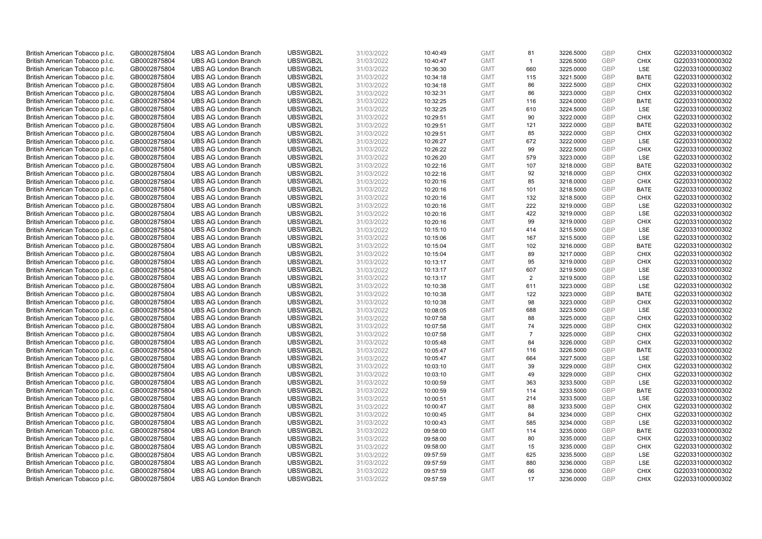| British American Tobacco p.l.c. | GB0002875804 | <b>UBS AG London Branch</b> | UBSWGB2L | 31/03/2022 | 10:40:49             | <b>GMT</b>               | 81             | 3226.5000              | <b>GBP</b> | <b>CHIX</b>                | G220331000000302 |
|---------------------------------|--------------|-----------------------------|----------|------------|----------------------|--------------------------|----------------|------------------------|------------|----------------------------|------------------|
| British American Tobacco p.l.c. | GB0002875804 | <b>UBS AG London Branch</b> | UBSWGB2L | 31/03/2022 | 10:40:47             | <b>GMT</b>               | $\mathbf{1}$   | 3226.5000              | GBP        | CHIX                       | G220331000000302 |
| British American Tobacco p.l.c. | GB0002875804 | <b>UBS AG London Branch</b> | UBSWGB2L | 31/03/2022 | 10:36:30             | <b>GMT</b>               | 660            | 3225.0000              | GBP        | LSE                        | G220331000000302 |
|                                 |              |                             | UBSWGB2L | 31/03/2022 |                      |                          |                |                        | <b>GBP</b> |                            | G220331000000302 |
| British American Tobacco p.l.c. | GB0002875804 | <b>UBS AG London Branch</b> |          |            | 10:34:18             | <b>GMT</b>               | 115            | 3221.5000              | <b>GBP</b> | <b>BATE</b><br><b>CHIX</b> |                  |
| British American Tobacco p.l.c. | GB0002875804 | <b>UBS AG London Branch</b> | UBSWGB2L | 31/03/2022 | 10:34:18             | <b>GMT</b>               | 86             | 3222.5000              |            |                            | G220331000000302 |
| British American Tobacco p.l.c. | GB0002875804 | <b>UBS AG London Branch</b> | UBSWGB2L | 31/03/2022 | 10:32:31             | <b>GMT</b>               | 86             | 3223.0000              | <b>GBP</b> | <b>CHIX</b>                | G220331000000302 |
| British American Tobacco p.l.c. | GB0002875804 | <b>UBS AG London Branch</b> | UBSWGB2L | 31/03/2022 | 10:32:25             | <b>GMT</b>               | 116            | 3224.0000              | <b>GBP</b> | <b>BATE</b>                | G220331000000302 |
| British American Tobacco p.l.c. | GB0002875804 | <b>UBS AG London Branch</b> | UBSWGB2L | 31/03/2022 | 10:32:25             | <b>GMT</b>               | 610            | 3224.5000              | <b>GBP</b> | LSE                        | G220331000000302 |
| British American Tobacco p.l.c. | GB0002875804 | <b>UBS AG London Branch</b> | UBSWGB2L | 31/03/2022 | 10:29:51             | <b>GMT</b>               | 90             | 3222.0000              | <b>GBP</b> | <b>CHIX</b>                | G220331000000302 |
| British American Tobacco p.l.c. | GB0002875804 | <b>UBS AG London Branch</b> | UBSWGB2L | 31/03/2022 | 10:29:51             | <b>GMT</b>               | 121            | 3222.0000              | <b>GBP</b> | <b>BATE</b>                | G220331000000302 |
| British American Tobacco p.l.c. | GB0002875804 | <b>UBS AG London Branch</b> | UBSWGB2L | 31/03/2022 | 10:29:51             | <b>GMT</b>               | 85             | 3222.0000              | <b>GBP</b> | <b>CHIX</b>                | G220331000000302 |
| British American Tobacco p.l.c. | GB0002875804 | <b>UBS AG London Branch</b> | UBSWGB2L | 31/03/2022 | 10:26:27             | <b>GMT</b>               | 672            | 3222.0000              | <b>GBP</b> | LSE                        | G220331000000302 |
| British American Tobacco p.l.c. | GB0002875804 | <b>UBS AG London Branch</b> | UBSWGB2L | 31/03/2022 | 10:26:22             | <b>GMT</b>               | 99             | 3222.5000              | <b>GBP</b> | <b>CHIX</b>                | G220331000000302 |
| British American Tobacco p.l.c. | GB0002875804 | <b>UBS AG London Branch</b> | UBSWGB2L | 31/03/2022 | 10:26:20             | <b>GMT</b>               | 579            | 3223.0000              | <b>GBP</b> | LSE                        | G220331000000302 |
| British American Tobacco p.l.c. | GB0002875804 | <b>UBS AG London Branch</b> | UBSWGB2L | 31/03/2022 | 10:22:16             | <b>GMT</b>               | 107            | 3218.0000              | <b>GBP</b> | <b>BATE</b>                | G220331000000302 |
| British American Tobacco p.l.c. | GB0002875804 | <b>UBS AG London Branch</b> | UBSWGB2L | 31/03/2022 | 10:22:16             | <b>GMT</b>               | 92             | 3218.0000              | <b>GBP</b> | <b>CHIX</b>                | G220331000000302 |
| British American Tobacco p.l.c. | GB0002875804 | <b>UBS AG London Branch</b> | UBSWGB2L | 31/03/2022 | 10:20:16             | <b>GMT</b>               | 85             | 3218.0000              | GBP        | <b>CHIX</b>                | G220331000000302 |
| British American Tobacco p.l.c. | GB0002875804 | <b>UBS AG London Branch</b> | UBSWGB2L | 31/03/2022 | 10:20:16             | <b>GMT</b>               | 101            | 3218.5000              | GBP        | <b>BATE</b>                | G220331000000302 |
| British American Tobacco p.l.c. | GB0002875804 | <b>UBS AG London Branch</b> | UBSWGB2L | 31/03/2022 | 10:20:16             | <b>GMT</b>               | 132            | 3218.5000              | <b>GBP</b> | <b>CHIX</b>                | G220331000000302 |
| British American Tobacco p.l.c. | GB0002875804 | <b>UBS AG London Branch</b> | UBSWGB2L | 31/03/2022 | 10:20:16             | <b>GMT</b>               | 222            | 3219.0000              | <b>GBP</b> | LSE                        | G220331000000302 |
| British American Tobacco p.l.c. | GB0002875804 | <b>UBS AG London Branch</b> | UBSWGB2L | 31/03/2022 | 10:20:16             | <b>GMT</b>               | 422            | 3219.0000              | <b>GBP</b> | LSE                        | G220331000000302 |
| British American Tobacco p.l.c. | GB0002875804 | <b>UBS AG London Branch</b> | UBSWGB2L | 31/03/2022 | 10:20:16             | <b>GMT</b>               | 99             | 3219.0000              | GBP        | <b>CHIX</b>                | G220331000000302 |
| British American Tobacco p.l.c. | GB0002875804 | <b>UBS AG London Branch</b> | UBSWGB2L | 31/03/2022 | 10:15:10             | <b>GMT</b>               | 414            | 3215.5000              | <b>GBP</b> | LSE                        | G220331000000302 |
| British American Tobacco p.l.c. | GB0002875804 | <b>UBS AG London Branch</b> | UBSWGB2L | 31/03/2022 | 10:15:06             | <b>GMT</b>               | 167            | 3215.5000              | <b>GBP</b> | <b>LSE</b>                 | G220331000000302 |
| British American Tobacco p.l.c. | GB0002875804 | <b>UBS AG London Branch</b> | UBSWGB2L | 31/03/2022 | 10:15:04             | <b>GMT</b>               | 102            | 3216.0000              | <b>GBP</b> | <b>BATE</b>                | G220331000000302 |
| British American Tobacco p.l.c. | GB0002875804 | <b>UBS AG London Branch</b> | UBSWGB2L | 31/03/2022 | 10:15:04             | <b>GMT</b>               | 89             | 3217.0000              | GBP        | <b>CHIX</b>                | G220331000000302 |
| British American Tobacco p.l.c. | GB0002875804 | <b>UBS AG London Branch</b> | UBSWGB2L | 31/03/2022 | 10:13:17             | <b>GMT</b>               | 95             | 3219.0000              | <b>GBP</b> | <b>CHIX</b>                | G220331000000302 |
| British American Tobacco p.l.c. | GB0002875804 | <b>UBS AG London Branch</b> | UBSWGB2L | 31/03/2022 | 10:13:17             | <b>GMT</b>               | 607            | 3219.5000              | GBP        | LSE                        | G220331000000302 |
| British American Tobacco p.l.c. | GB0002875804 | <b>UBS AG London Branch</b> | UBSWGB2L | 31/03/2022 | 10:13:17             | <b>GMT</b>               | 2              | 3219.5000              | <b>GBP</b> | LSE                        | G220331000000302 |
| British American Tobacco p.l.c. | GB0002875804 | <b>UBS AG London Branch</b> | UBSWGB2L | 31/03/2022 | 10:10:38             | <b>GMT</b>               | 611            | 3223.0000              | GBP        | LSE                        | G220331000000302 |
| British American Tobacco p.l.c. | GB0002875804 | <b>UBS AG London Branch</b> | UBSWGB2L | 31/03/2022 | 10:10:38             | <b>GMT</b>               | 122            | 3223.0000              | <b>GBP</b> | <b>BATE</b>                | G220331000000302 |
| British American Tobacco p.l.c. | GB0002875804 | <b>UBS AG London Branch</b> | UBSWGB2L | 31/03/2022 | 10:10:38             | <b>GMT</b>               | 98             | 3223.0000              | <b>GBP</b> | CHIX                       | G220331000000302 |
| British American Tobacco p.l.c. | GB0002875804 | <b>UBS AG London Branch</b> | UBSWGB2L | 31/03/2022 | 10:08:05             | <b>GMT</b>               | 688            | 3223.5000              | <b>GBP</b> | LSE                        | G220331000000302 |
| British American Tobacco p.l.c. | GB0002875804 | <b>UBS AG London Branch</b> | UBSWGB2L | 31/03/2022 | 10:07:58             | <b>GMT</b>               | 88             | 3225.0000              | <b>GBP</b> | <b>CHIX</b>                | G220331000000302 |
| British American Tobacco p.l.c. | GB0002875804 | <b>UBS AG London Branch</b> | UBSWGB2L | 31/03/2022 | 10:07:58             | <b>GMT</b>               | 74             | 3225.0000              | GBP        | <b>CHIX</b>                | G220331000000302 |
| British American Tobacco p.l.c. | GB0002875804 | <b>UBS AG London Branch</b> | UBSWGB2L | 31/03/2022 | 10:07:58             | <b>GMT</b>               | $\overline{7}$ | 3225.0000              | <b>GBP</b> | <b>CHIX</b>                | G220331000000302 |
| British American Tobacco p.l.c. | GB0002875804 | <b>UBS AG London Branch</b> | UBSWGB2L | 31/03/2022 | 10:05:48             | <b>GMT</b>               | 84             | 3226.0000              | <b>GBP</b> | <b>CHIX</b>                | G220331000000302 |
| British American Tobacco p.l.c. | GB0002875804 | <b>UBS AG London Branch</b> | UBSWGB2L | 31/03/2022 | 10:05:47             | <b>GMT</b>               | 116            | 3226.5000              | <b>GBP</b> | <b>BATE</b>                | G220331000000302 |
| British American Tobacco p.l.c. | GB0002875804 | <b>UBS AG London Branch</b> | UBSWGB2L | 31/03/2022 | 10:05:47             | <b>GMT</b>               | 664            | 3227.5000              | GBP        | LSE                        | G220331000000302 |
| British American Tobacco p.l.c. | GB0002875804 | <b>UBS AG London Branch</b> | UBSWGB2L | 31/03/2022 | 10:03:10             | <b>GMT</b>               | 39             | 3229.0000              | <b>GBP</b> | <b>CHIX</b>                | G220331000000302 |
| British American Tobacco p.l.c. | GB0002875804 | <b>UBS AG London Branch</b> | UBSWGB2L | 31/03/2022 | 10:03:10             | <b>GMT</b>               | 49             | 3229.0000              | GBP        | CHIX                       | G220331000000302 |
| British American Tobacco p.l.c. | GB0002875804 | <b>UBS AG London Branch</b> | UBSWGB2L | 31/03/2022 | 10:00:59             | <b>GMT</b>               | 363            | 3233.5000              | <b>GBP</b> | <b>LSE</b>                 | G220331000000302 |
| British American Tobacco p.l.c. | GB0002875804 | <b>UBS AG London Branch</b> | UBSWGB2L | 31/03/2022 | 10:00:59             | <b>GMT</b>               | 114            | 3233.5000              | GBP        | <b>BATE</b>                | G220331000000302 |
| British American Tobacco p.l.c. | GB0002875804 | <b>UBS AG London Branch</b> | UBSWGB2L | 31/03/2022 | 10:00:51             | <b>GMT</b>               | 214            | 3233.5000              | <b>GBP</b> | LSE                        | G220331000000302 |
| British American Tobacco p.l.c. | GB0002875804 | <b>UBS AG London Branch</b> | UBSWGB2L | 31/03/2022 | 10:00:47             | <b>GMT</b>               | 88             | 3233.5000              | GBP        | <b>CHIX</b>                | G220331000000302 |
| British American Tobacco p.l.c. | GB0002875804 | <b>UBS AG London Branch</b> | UBSWGB2L | 31/03/2022 | 10:00:45             | <b>GMT</b>               | 84             | 3234.0000              | <b>GBP</b> | <b>CHIX</b>                | G220331000000302 |
| British American Tobacco p.l.c. | GB0002875804 | <b>UBS AG London Branch</b> | UBSWGB2L | 31/03/2022 | 10:00:43             | <b>GMT</b>               | 585            | 3234.0000              | GBP        | LSE                        | G220331000000302 |
| British American Tobacco p.l.c. | GB0002875804 | <b>UBS AG London Branch</b> | UBSWGB2L | 31/03/2022 | 09:58:00             | <b>GMT</b>               | 114            | 3235.0000              | GBP        | <b>BATE</b>                | G220331000000302 |
| British American Tobacco p.l.c. | GB0002875804 | <b>UBS AG London Branch</b> | UBSWGB2L | 31/03/2022 | 09:58:00             | <b>GMT</b>               | 80             | 3235.0000              | GBP        | <b>CHIX</b>                | G220331000000302 |
| British American Tobacco p.l.c. | GB0002875804 | <b>UBS AG London Branch</b> | UBSWGB2L | 31/03/2022 | 09:58:00             | <b>GMT</b>               | 15             | 3235.0000              | GBP        | <b>CHIX</b>                | G220331000000302 |
| British American Tobacco p.l.c. |              | <b>UBS AG London Branch</b> | UBSWGB2L | 31/03/2022 |                      | <b>GMT</b>               | 625            | 3235.5000              | <b>GBP</b> | LSE                        | G220331000000302 |
| British American Tobacco p.l.c. | GB0002875804 | <b>UBS AG London Branch</b> | UBSWGB2L | 31/03/2022 | 09:57:59<br>09:57:59 | <b>GMT</b>               | 880            | 3236.0000              | GBP        | LSE                        | G220331000000302 |
|                                 | GB0002875804 |                             |          |            |                      |                          |                |                        | <b>GBP</b> |                            | G220331000000302 |
| British American Tobacco p.l.c. | GB0002875804 | <b>UBS AG London Branch</b> | UBSWGB2L | 31/03/2022 | 09:57:59             | <b>GMT</b><br><b>GMT</b> | 66<br>17       | 3236.0000<br>3236.0000 | GBP        | <b>CHIX</b><br>CHIX        |                  |
| British American Tobacco p.l.c. | GB0002875804 | <b>UBS AG London Branch</b> | UBSWGB2L | 31/03/2022 | 09:57:59             |                          |                |                        |            |                            | G220331000000302 |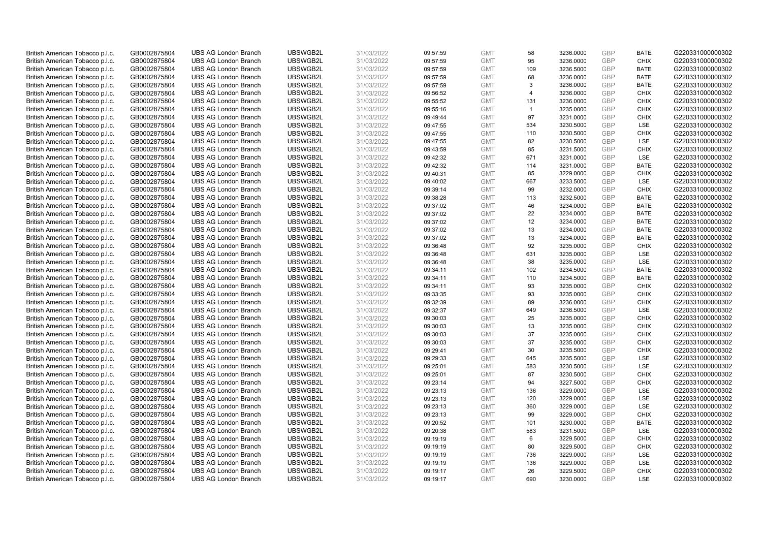| British American Tobacco p.l.c. | GB0002875804 | <b>UBS AG London Branch</b> | UBSWGB2L             | 31/03/2022 | 09:57:59 | <b>GMT</b> | 58             | 3236.0000 | <b>GBP</b>        | <b>BATE</b>        | G220331000000302                     |
|---------------------------------|--------------|-----------------------------|----------------------|------------|----------|------------|----------------|-----------|-------------------|--------------------|--------------------------------------|
|                                 |              |                             |                      |            |          |            |                |           | GBP               |                    |                                      |
| British American Tobacco p.l.c. | GB0002875804 | <b>UBS AG London Branch</b> | UBSWGB2L             | 31/03/2022 | 09:57:59 | <b>GMT</b> | 95             | 3236.0000 |                   | <b>CHIX</b>        | G220331000000302                     |
| British American Tobacco p.l.c. | GB0002875804 | <b>UBS AG London Branch</b> | UBSWGB2L             | 31/03/2022 | 09:57:59 | <b>GMT</b> | 109            | 3236.5000 | <b>GBP</b>        | <b>BATE</b>        | G220331000000302                     |
| British American Tobacco p.l.c. | GB0002875804 | <b>UBS AG London Branch</b> | UBSWGB2L             | 31/03/2022 | 09:57:59 | <b>GMT</b> | 68             | 3236.0000 | <b>GBP</b>        | <b>BATE</b>        | G220331000000302                     |
| British American Tobacco p.l.c. | GB0002875804 | <b>UBS AG London Branch</b> | UBSWGB2L             | 31/03/2022 | 09:57:59 | <b>GMT</b> | 3              | 3236.0000 | <b>GBP</b>        | <b>BATE</b>        | G220331000000302                     |
| British American Tobacco p.l.c. | GB0002875804 | <b>UBS AG London Branch</b> | UBSWGB2L             | 31/03/2022 | 09:56:52 | <b>GMT</b> | $\overline{4}$ | 3236.0000 | <b>GBP</b>        | <b>CHIX</b>        | G220331000000302                     |
| British American Tobacco p.l.c. | GB0002875804 | <b>UBS AG London Branch</b> | UBSWGB2L             | 31/03/2022 | 09:55:52 | <b>GMT</b> | 131            | 3236.0000 | <b>GBP</b>        | <b>CHIX</b>        | G220331000000302                     |
| British American Tobacco p.l.c. | GB0002875804 | <b>UBS AG London Branch</b> | UBSWGB2L             | 31/03/2022 | 09:55:16 | <b>GMT</b> | $\mathbf{1}$   | 3235.0000 | <b>GBP</b>        | <b>CHIX</b>        | G220331000000302                     |
| British American Tobacco p.l.c. | GB0002875804 | <b>UBS AG London Branch</b> | UBSWGB2L             | 31/03/2022 | 09:49:44 | <b>GMT</b> | 97             | 3231.0000 | GBP               | <b>CHIX</b>        | G220331000000302                     |
| British American Tobacco p.l.c. | GB0002875804 | <b>UBS AG London Branch</b> | UBSWGB2L             | 31/03/2022 | 09:47:55 | <b>GMT</b> | 534            | 3230.5000 | <b>GBP</b>        | LSE                | G220331000000302                     |
| British American Tobacco p.l.c. | GB0002875804 | <b>UBS AG London Branch</b> | UBSWGB2L             | 31/03/2022 | 09:47:55 | <b>GMT</b> | 110            | 3230.5000 | <b>GBP</b>        | <b>CHIX</b>        | G220331000000302                     |
| British American Tobacco p.l.c. | GB0002875804 | <b>UBS AG London Branch</b> | UBSWGB2L             | 31/03/2022 | 09:47:55 | <b>GMT</b> | 82             | 3230.5000 | <b>GBP</b>        | LSE                | G220331000000302                     |
| British American Tobacco p.l.c. | GB0002875804 | <b>UBS AG London Branch</b> | UBSWGB2L             | 31/03/2022 | 09:43:59 | <b>GMT</b> | 85             | 3231.5000 | <b>GBP</b>        | <b>CHIX</b>        | G220331000000302                     |
| British American Tobacco p.l.c. | GB0002875804 | <b>UBS AG London Branch</b> | UBSWGB2L             | 31/03/2022 | 09:42:32 | <b>GMT</b> | 671            | 3231.0000 | <b>GBP</b>        | LSE                | G220331000000302                     |
| British American Tobacco p.l.c. | GB0002875804 | <b>UBS AG London Branch</b> | UBSWGB2L             | 31/03/2022 | 09:42:32 | <b>GMT</b> | 114            | 3231.0000 | GBP               | <b>BATE</b>        | G220331000000302                     |
| British American Tobacco p.l.c. | GB0002875804 | <b>UBS AG London Branch</b> | UBSWGB2L             | 31/03/2022 | 09:40:31 | <b>GMT</b> | 85             | 3229.0000 | <b>GBP</b>        | <b>CHIX</b>        | G220331000000302                     |
| British American Tobacco p.l.c. | GB0002875804 | <b>UBS AG London Branch</b> | UBSWGB2L             | 31/03/2022 | 09:40:02 | <b>GMT</b> | 667            | 3233.5000 | GBP               | LSE                | G220331000000302                     |
| British American Tobacco p.l.c. | GB0002875804 | <b>UBS AG London Branch</b> | UBSWGB2L             | 31/03/2022 | 09:39:14 | <b>GMT</b> | 99             | 3232.0000 | <b>GBP</b>        | <b>CHIX</b>        | G220331000000302                     |
| British American Tobacco p.l.c. | GB0002875804 | <b>UBS AG London Branch</b> | UBSWGB2L             | 31/03/2022 | 09:38:28 | <b>GMT</b> | 113            | 3232.5000 | <b>GBP</b>        | <b>BATE</b>        | G220331000000302                     |
| British American Tobacco p.l.c. | GB0002875804 | <b>UBS AG London Branch</b> | UBSWGB2L             | 31/03/2022 | 09:37:02 | <b>GMT</b> | 46             | 3234.0000 | <b>GBP</b>        | <b>BATE</b>        | G220331000000302                     |
| British American Tobacco p.l.c. | GB0002875804 | <b>UBS AG London Branch</b> | UBSWGB2L             | 31/03/2022 | 09:37:02 | <b>GMT</b> | 22             | 3234.0000 | <b>GBP</b>        | <b>BATE</b>        | G220331000000302                     |
| British American Tobacco p.l.c. | GB0002875804 | <b>UBS AG London Branch</b> | UBSWGB2L             | 31/03/2022 | 09:37:02 | <b>GMT</b> | 12             | 3234.0000 | <b>GBP</b>        | <b>BATE</b>        | G220331000000302                     |
| British American Tobacco p.l.c. | GB0002875804 | <b>UBS AG London Branch</b> | UBSWGB2L             | 31/03/2022 | 09:37:02 | <b>GMT</b> | 13             | 3234.0000 | <b>GBP</b>        | <b>BATE</b>        | G220331000000302                     |
| British American Tobacco p.l.c. | GB0002875804 | <b>UBS AG London Branch</b> | UBSWGB2L             | 31/03/2022 | 09:37:02 | <b>GMT</b> | 13             | 3234.0000 | <b>GBP</b>        | <b>BATE</b>        | G220331000000302                     |
|                                 |              |                             |                      |            |          |            |                |           |                   |                    |                                      |
| British American Tobacco p.l.c. | GB0002875804 | <b>UBS AG London Branch</b> | UBSWGB2L<br>UBSWGB2L | 31/03/2022 | 09:36:48 | <b>GMT</b> | 92<br>631      | 3235.0000 | <b>GBP</b><br>GBP | <b>CHIX</b><br>LSE | G220331000000302<br>G220331000000302 |
| British American Tobacco p.l.c. | GB0002875804 | <b>UBS AG London Branch</b> |                      | 31/03/2022 | 09:36:48 | <b>GMT</b> |                | 3235.0000 |                   |                    |                                      |
| British American Tobacco p.l.c. | GB0002875804 | <b>UBS AG London Branch</b> | UBSWGB2L             | 31/03/2022 | 09:36:48 | <b>GMT</b> | 38             | 3235.0000 | <b>GBP</b>        | LSE                | G220331000000302                     |
| British American Tobacco p.l.c. | GB0002875804 | <b>UBS AG London Branch</b> | UBSWGB2L             | 31/03/2022 | 09:34:11 | <b>GMT</b> | 102            | 3234.5000 | GBP               | <b>BATE</b>        | G220331000000302                     |
| British American Tobacco p.l.c. | GB0002875804 | <b>UBS AG London Branch</b> | UBSWGB2L             | 31/03/2022 | 09:34:11 | <b>GMT</b> | 110            | 3234.5000 | <b>GBP</b>        | <b>BATE</b>        | G220331000000302                     |
| British American Tobacco p.l.c. | GB0002875804 | <b>UBS AG London Branch</b> | UBSWGB2L             | 31/03/2022 | 09:34:11 | <b>GMT</b> | 93             | 3235.0000 | GBP               | <b>CHIX</b>        | G220331000000302                     |
| British American Tobacco p.l.c. | GB0002875804 | <b>UBS AG London Branch</b> | UBSWGB2L             | 31/03/2022 | 09:33:35 | <b>GMT</b> | 93             | 3235.0000 | <b>GBP</b>        | <b>CHIX</b>        | G220331000000302                     |
| British American Tobacco p.l.c. | GB0002875804 | <b>UBS AG London Branch</b> | UBSWGB2L             | 31/03/2022 | 09:32:39 | <b>GMT</b> | 89             | 3236.0000 | <b>GBP</b>        | <b>CHIX</b>        | G220331000000302                     |
| British American Tobacco p.l.c. | GB0002875804 | <b>UBS AG London Branch</b> | UBSWGB2L             | 31/03/2022 | 09:32:37 | <b>GMT</b> | 649            | 3236.5000 | <b>GBP</b>        | LSE                | G220331000000302                     |
| British American Tobacco p.l.c. | GB0002875804 | <b>UBS AG London Branch</b> | UBSWGB2L             | 31/03/2022 | 09:30:03 | <b>GMT</b> | 25             | 3235.0000 | <b>GBP</b>        | <b>CHIX</b>        | G220331000000302                     |
| British American Tobacco p.l.c. | GB0002875804 | <b>UBS AG London Branch</b> | UBSWGB2L             | 31/03/2022 | 09:30:03 | <b>GMT</b> | 13             | 3235.0000 | GBP               | <b>CHIX</b>        | G220331000000302                     |
| British American Tobacco p.l.c. | GB0002875804 | <b>UBS AG London Branch</b> | UBSWGB2L             | 31/03/2022 | 09:30:03 | <b>GMT</b> | 37             | 3235.0000 | <b>GBP</b>        | <b>CHIX</b>        | G220331000000302                     |
| British American Tobacco p.l.c. | GB0002875804 | <b>UBS AG London Branch</b> | UBSWGB2L             | 31/03/2022 | 09:30:03 | <b>GMT</b> | 37             | 3235.0000 | GBP               | <b>CHIX</b>        | G220331000000302                     |
| British American Tobacco p.l.c. | GB0002875804 | <b>UBS AG London Branch</b> | UBSWGB2L             | 31/03/2022 | 09:29:41 | <b>GMT</b> | 30             | 3235.5000 | <b>GBP</b>        | <b>CHIX</b>        | G220331000000302                     |
| British American Tobacco p.l.c. | GB0002875804 | <b>UBS AG London Branch</b> | UBSWGB2L             | 31/03/2022 | 09:29:33 | <b>GMT</b> | 645            | 3235.5000 | GBP               | LSE                | G220331000000302                     |
| British American Tobacco p.l.c. | GB0002875804 | <b>UBS AG London Branch</b> | UBSWGB2L             | 31/03/2022 | 09:25:01 | <b>GMT</b> | 583            | 3230.5000 | <b>GBP</b>        | <b>LSE</b>         | G220331000000302                     |
| British American Tobacco p.l.c. | GB0002875804 | <b>UBS AG London Branch</b> | UBSWGB2L             | 31/03/2022 | 09:25:01 | <b>GMT</b> | 87             | 3230.5000 | GBP               | <b>CHIX</b>        | G220331000000302                     |
| British American Tobacco p.l.c. | GB0002875804 | <b>UBS AG London Branch</b> | UBSWGB2L             | 31/03/2022 | 09:23:14 | <b>GMT</b> | 94             | 3227.5000 | <b>GBP</b>        | <b>CHIX</b>        | G220331000000302                     |
| British American Tobacco p.l.c. | GB0002875804 | <b>UBS AG London Branch</b> | UBSWGB2L             | 31/03/2022 | 09:23:13 | <b>GMT</b> | 136            | 3229.0000 | GBP               | LSE                | G220331000000302                     |
| British American Tobacco p.l.c. | GB0002875804 | <b>UBS AG London Branch</b> | UBSWGB2L             | 31/03/2022 | 09:23:13 | <b>GMT</b> | 120            | 3229.0000 | <b>GBP</b>        | LSE                | G220331000000302                     |
| British American Tobacco p.l.c. | GB0002875804 | <b>UBS AG London Branch</b> | UBSWGB2L             | 31/03/2022 | 09:23:13 | <b>GMT</b> | 360            | 3229.0000 | GBP               | LSE                | G220331000000302                     |
| British American Tobacco p.l.c. | GB0002875804 | <b>UBS AG London Branch</b> | UBSWGB2L             | 31/03/2022 | 09:23:13 | <b>GMT</b> | 99             | 3229.0000 | <b>GBP</b>        | <b>CHIX</b>        | G220331000000302                     |
| British American Tobacco p.l.c. | GB0002875804 | <b>UBS AG London Branch</b> | UBSWGB2L             | 31/03/2022 | 09:20:52 | <b>GMT</b> | 101            | 3230.0000 | GBP               | <b>BATE</b>        | G220331000000302                     |
| British American Tobacco p.l.c. | GB0002875804 | <b>UBS AG London Branch</b> | UBSWGB2L             | 31/03/2022 | 09:20:38 | <b>GMT</b> | 583            | 3231.5000 | GBP               | LSE                | G220331000000302                     |
| British American Tobacco p.l.c. | GB0002875804 | <b>UBS AG London Branch</b> | UBSWGB2L             | 31/03/2022 | 09:19:19 | <b>GMT</b> | 6              | 3229.5000 | GBP               | <b>CHIX</b>        | G220331000000302                     |
| British American Tobacco p.l.c. | GB0002875804 | <b>UBS AG London Branch</b> | UBSWGB2L             | 31/03/2022 | 09:19:19 | <b>GMT</b> | 80             | 3229.5000 | GBP               | <b>CHIX</b>        | G220331000000302                     |
| British American Tobacco p.l.c. | GB0002875804 | <b>UBS AG London Branch</b> | UBSWGB2L             | 31/03/2022 | 09:19:19 | <b>GMT</b> | 736            | 3229.0000 | <b>GBP</b>        | LSE                | G220331000000302                     |
| British American Tobacco p.l.c. | GB0002875804 | <b>UBS AG London Branch</b> | UBSWGB2L             | 31/03/2022 | 09:19:19 | <b>GMT</b> | 136            | 3229.0000 | <b>GBP</b>        | LSE                | G220331000000302                     |
| British American Tobacco p.l.c. | GB0002875804 | <b>UBS AG London Branch</b> | UBSWGB2L             | 31/03/2022 | 09:19:17 | <b>GMT</b> | 26             | 3229.5000 | <b>GBP</b>        | <b>CHIX</b>        | G220331000000302                     |
| British American Tobacco p.l.c. | GB0002875804 | <b>UBS AG London Branch</b> | UBSWGB2L             | 31/03/2022 | 09:19:17 | <b>GMT</b> | 690            | 3230.0000 | GBP               | <b>LSE</b>         | G220331000000302                     |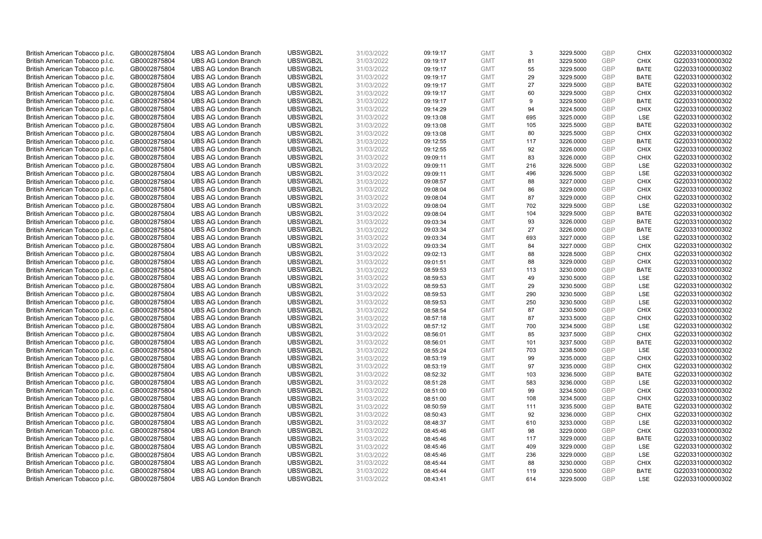| British American Tobacco p.l.c.                                    | GB0002875804                 | <b>UBS AG London Branch</b>                                | UBSWGB2L             | 31/03/2022               | 09:19:17             | <b>GMT</b>               | 3         | 3229.5000              | <b>GBP</b>        | <b>CHIX</b>                | G220331000000302                     |
|--------------------------------------------------------------------|------------------------------|------------------------------------------------------------|----------------------|--------------------------|----------------------|--------------------------|-----------|------------------------|-------------------|----------------------------|--------------------------------------|
| British American Tobacco p.l.c.                                    | GB0002875804                 | <b>UBS AG London Branch</b>                                | UBSWGB2L             | 31/03/2022               | 09:19:17             | <b>GMT</b>               | 81        | 3229.5000              | <b>GBP</b>        | <b>CHIX</b>                | G220331000000302                     |
| British American Tobacco p.l.c.                                    | GB0002875804                 | <b>UBS AG London Branch</b>                                | UBSWGB2L             | 31/03/2022               | 09:19:17             | <b>GMT</b>               | 55        | 3229.5000              | <b>GBP</b>        | <b>BATE</b>                | G220331000000302                     |
| British American Tobacco p.l.c.                                    | GB0002875804                 | <b>UBS AG London Branch</b>                                | UBSWGB2L             | 31/03/2022               | 09:19:17             | <b>GMT</b>               | 29        | 3229.5000              | <b>GBP</b>        | <b>BATE</b>                | G220331000000302                     |
| British American Tobacco p.l.c.                                    | GB0002875804                 | <b>UBS AG London Branch</b>                                | UBSWGB2L             | 31/03/2022               | 09:19:17             | <b>GMT</b>               | 27        | 3229.5000              | <b>GBP</b>        | <b>BATE</b>                | G220331000000302                     |
| British American Tobacco p.l.c.                                    | GB0002875804                 | <b>UBS AG London Branch</b>                                | UBSWGB2L             | 31/03/2022               | 09:19:17             | <b>GMT</b>               | 60        | 3229.5000              | <b>GBP</b>        | <b>CHIX</b>                | G220331000000302                     |
| British American Tobacco p.l.c.                                    | GB0002875804                 | <b>UBS AG London Branch</b>                                | UBSWGB2L             | 31/03/2022               | 09:19:17             | <b>GMT</b>               | 9         | 3229.5000              | <b>GBP</b>        | <b>BATE</b>                | G220331000000302                     |
| British American Tobacco p.l.c.                                    | GB0002875804                 | <b>UBS AG London Branch</b>                                | UBSWGB2L             | 31/03/2022               | 09:14:29             | <b>GMT</b>               | 94        | 3224.5000              | GBP               | <b>CHIX</b>                | G220331000000302                     |
| British American Tobacco p.l.c.                                    | GB0002875804                 | <b>UBS AG London Branch</b>                                | UBSWGB2L             | 31/03/2022               | 09:13:08             | <b>GMT</b>               | 695       | 3225.0000              | <b>GBP</b>        | <b>LSE</b>                 | G220331000000302                     |
| British American Tobacco p.l.c.                                    | GB0002875804                 | <b>UBS AG London Branch</b>                                | UBSWGB2L             | 31/03/2022               | 09:13:08             | <b>GMT</b>               | 105       | 3225.5000              | <b>GBP</b>        | <b>BATE</b>                | G220331000000302                     |
| British American Tobacco p.l.c.                                    | GB0002875804                 | <b>UBS AG London Branch</b>                                | UBSWGB2L             | 31/03/2022               | 09:13:08             | <b>GMT</b>               | 80        | 3225.5000              | <b>GBP</b>        | <b>CHIX</b>                | G220331000000302                     |
| British American Tobacco p.l.c.                                    | GB0002875804                 | <b>UBS AG London Branch</b>                                | UBSWGB2L             | 31/03/2022               | 09:12:55             | <b>GMT</b>               | 117       | 3226.0000              | <b>GBP</b>        | <b>BATE</b>                | G220331000000302                     |
| British American Tobacco p.l.c.                                    | GB0002875804                 | <b>UBS AG London Branch</b>                                | UBSWGB2L             | 31/03/2022               | 09:12:55             | <b>GMT</b>               | 92        | 3226.0000              | GBP               | <b>CHIX</b>                | G220331000000302                     |
| British American Tobacco p.l.c.                                    | GB0002875804                 | <b>UBS AG London Branch</b>                                | UBSWGB2L             | 31/03/2022               | 09:09:11             | <b>GMT</b>               | 83        | 3226.0000              | <b>GBP</b>        | <b>CHIX</b>                | G220331000000302                     |
| British American Tobacco p.l.c.                                    | GB0002875804                 | <b>UBS AG London Branch</b>                                | UBSWGB2L             | 31/03/2022               | 09:09:11             | <b>GMT</b>               | 216       | 3226.5000              | <b>GBP</b>        | LSE                        | G220331000000302                     |
| British American Tobacco p.l.c.                                    | GB0002875804                 | <b>UBS AG London Branch</b>                                | UBSWGB2L             | 31/03/2022               | 09:09:11             | <b>GMT</b>               | 496       | 3226.5000              | <b>GBP</b>        | LSE                        | G220331000000302                     |
| British American Tobacco p.l.c.                                    | GB0002875804                 | <b>UBS AG London Branch</b>                                | UBSWGB2L             | 31/03/2022               | 09:08:57             | <b>GMT</b>               | 88        | 3227.0000              | GBP               | <b>CHIX</b>                | G220331000000302                     |
| British American Tobacco p.l.c.                                    | GB0002875804                 | <b>UBS AG London Branch</b>                                | UBSWGB2L             | 31/03/2022               | 09:08:04             | <b>GMT</b>               | 86        | 3229.0000              | <b>GBP</b>        | <b>CHIX</b>                | G220331000000302                     |
| British American Tobacco p.l.c.                                    | GB0002875804                 | <b>UBS AG London Branch</b>                                | UBSWGB2L             | 31/03/2022               | 09:08:04             | <b>GMT</b>               | 87        | 3229.0000              | GBP               | <b>CHIX</b>                | G220331000000302                     |
| British American Tobacco p.l.c.                                    | GB0002875804                 | <b>UBS AG London Branch</b>                                | UBSWGB2L             | 31/03/2022               | 09:08:04             | <b>GMT</b>               | 702       | 3229.5000              | <b>GBP</b>        | LSE                        | G220331000000302                     |
| British American Tobacco p.l.c.                                    | GB0002875804                 | <b>UBS AG London Branch</b>                                | UBSWGB2L             | 31/03/2022               | 09:08:04             | <b>GMT</b>               | 104       | 3229.5000              | GBP               | <b>BATE</b>                | G220331000000302                     |
| British American Tobacco p.l.c.                                    | GB0002875804                 | <b>UBS AG London Branch</b>                                | UBSWGB2L             | 31/03/2022               | 09:03:34             | <b>GMT</b>               | 93        | 3226.0000              | <b>GBP</b>        | <b>BATE</b>                | G220331000000302                     |
| British American Tobacco p.l.c.                                    | GB0002875804                 | <b>UBS AG London Branch</b>                                | UBSWGB2L             | 31/03/2022               | 09:03:34             | <b>GMT</b>               | 27        | 3226.0000              | <b>GBP</b>        | <b>BATE</b>                | G220331000000302                     |
| British American Tobacco p.l.c.                                    | GB0002875804                 | <b>UBS AG London Branch</b>                                | UBSWGB2L             | 31/03/2022               | 09:03:34             | <b>GMT</b>               | 693       | 3227.0000              | <b>GBP</b>        | LSE                        | G220331000000302                     |
| British American Tobacco p.l.c.                                    | GB0002875804                 | <b>UBS AG London Branch</b>                                | UBSWGB2L             | 31/03/2022               | 09:03:34             | <b>GMT</b>               | 84        | 3227.0000              | <b>GBP</b>        | <b>CHIX</b>                | G220331000000302                     |
| British American Tobacco p.l.c.                                    | GB0002875804                 | <b>UBS AG London Branch</b>                                | UBSWGB2L             | 31/03/2022               | 09:02:13             | <b>GMT</b>               | 88        | 3228.5000              | GBP               | <b>CHIX</b>                | G220331000000302                     |
| British American Tobacco p.l.c.                                    | GB0002875804                 | <b>UBS AG London Branch</b>                                | UBSWGB2L             | 31/03/2022               | 09:01:51             | <b>GMT</b>               | 88        | 3229.0000              | <b>GBP</b>        | <b>CHIX</b>                | G220331000000302                     |
| British American Tobacco p.l.c.                                    | GB0002875804                 | <b>UBS AG London Branch</b>                                | UBSWGB2L             | 31/03/2022               | 08:59:53             | <b>GMT</b>               | 113       | 3230.0000              | GBP               | <b>BATE</b>                | G220331000000302                     |
| British American Tobacco p.l.c.                                    | GB0002875804                 | <b>UBS AG London Branch</b>                                | UBSWGB2L             | 31/03/2022               | 08:59:53             | <b>GMT</b>               | 49        | 3230.5000              | GBP               | LSE                        | G220331000000302                     |
| British American Tobacco p.l.c.                                    | GB0002875804                 | <b>UBS AG London Branch</b>                                | UBSWGB2L             | 31/03/2022               | 08:59:53             | <b>GMT</b>               | 29        | 3230.5000              | <b>GBP</b>        | LSE                        | G220331000000302                     |
| British American Tobacco p.l.c.                                    | GB0002875804                 | <b>UBS AG London Branch</b>                                | UBSWGB2L             | 31/03/2022               | 08:59:53             | <b>GMT</b>               | 290       | 3230.5000              | GBP               | LSE                        | G220331000000302                     |
| British American Tobacco p.l.c.                                    | GB0002875804                 | <b>UBS AG London Branch</b>                                | UBSWGB2L             | 31/03/2022               | 08:59:53             | <b>GMT</b>               | 250       | 3230.5000              | GBP               | LSE                        | G220331000000302                     |
| British American Tobacco p.l.c.                                    | GB0002875804                 | <b>UBS AG London Branch</b>                                | UBSWGB2L             | 31/03/2022               | 08:58:54             | <b>GMT</b>               | 87        | 3230.5000              | GBP               | <b>CHIX</b>                | G220331000000302                     |
| British American Tobacco p.l.c.                                    | GB0002875804                 | <b>UBS AG London Branch</b>                                | UBSWGB2L             | 31/03/2022               | 08:57:18             | <b>GMT</b>               | 87        | 3233.5000              | <b>GBP</b>        | <b>CHIX</b>                | G220331000000302                     |
| British American Tobacco p.l.c.                                    | GB0002875804                 | <b>UBS AG London Branch</b>                                | UBSWGB2L             | 31/03/2022               | 08:57:12             | <b>GMT</b>               | 700       | 3234.5000              | GBP               | LSE                        | G220331000000302                     |
| British American Tobacco p.l.c.                                    | GB0002875804                 | <b>UBS AG London Branch</b>                                | UBSWGB2L             | 31/03/2022               | 08:56:01             | <b>GMT</b>               | 85        | 3237.5000              | <b>GBP</b>        | <b>CHIX</b>                | G220331000000302                     |
| British American Tobacco p.l.c.                                    | GB0002875804                 | <b>UBS AG London Branch</b>                                | UBSWGB2L             | 31/03/2022               | 08:56:01             | <b>GMT</b>               | 101       | 3237.5000              | GBP               | <b>BATE</b>                | G220331000000302                     |
| British American Tobacco p.l.c.                                    | GB0002875804                 | <b>UBS AG London Branch</b>                                | UBSWGB2L             | 31/03/2022               | 08:55:24             | <b>GMT</b>               | 703       | 3238.5000              | <b>GBP</b>        | LSE                        | G220331000000302                     |
| British American Tobacco p.l.c.                                    | GB0002875804                 | <b>UBS AG London Branch</b>                                | UBSWGB2L             | 31/03/2022               | 08:53:19             | <b>GMT</b>               | 99        | 3235.0000              | GBP               | <b>CHIX</b>                | G220331000000302                     |
| British American Tobacco p.l.c.                                    | GB0002875804                 | <b>UBS AG London Branch</b>                                | UBSWGB2L             | 31/03/2022               | 08:53:19             | <b>GMT</b>               | 97<br>103 | 3235.0000              | <b>GBP</b><br>GBP | <b>CHIX</b><br><b>BATE</b> | G220331000000302                     |
| British American Tobacco p.l.c.                                    | GB0002875804                 | <b>UBS AG London Branch</b><br><b>UBS AG London Branch</b> | UBSWGB2L<br>UBSWGB2L | 31/03/2022               | 08:52:32             | <b>GMT</b>               |           | 3236.5000              | GBP               | LSE                        | G220331000000302<br>G220331000000302 |
| British American Tobacco p.l.c.                                    | GB0002875804                 | <b>UBS AG London Branch</b>                                | UBSWGB2L             | 31/03/2022               | 08:51:28             | <b>GMT</b><br><b>GMT</b> | 583       | 3236.0000              | GBP               |                            | G220331000000302                     |
| British American Tobacco p.l.c.<br>British American Tobacco p.l.c. | GB0002875804<br>GB0002875804 | <b>UBS AG London Branch</b>                                | UBSWGB2L             | 31/03/2022<br>31/03/2022 | 08:51:00<br>08:51:00 | <b>GMT</b>               | 99<br>108 | 3234.5000<br>3234.5000 | GBP               | <b>CHIX</b><br><b>CHIX</b> | G220331000000302                     |
| British American Tobacco p.l.c.                                    | GB0002875804                 | <b>UBS AG London Branch</b>                                | UBSWGB2L             | 31/03/2022               | 08:50:59             | <b>GMT</b>               | 111       | 3235.5000              | <b>GBP</b>        | <b>BATE</b>                | G220331000000302                     |
| British American Tobacco p.l.c.                                    | GB0002875804                 | <b>UBS AG London Branch</b>                                | UBSWGB2L             | 31/03/2022               | 08:50:43             | <b>GMT</b>               | 92        | 3236.0000              | <b>GBP</b>        | <b>CHIX</b>                | G220331000000302                     |
| British American Tobacco p.l.c.                                    | GB0002875804                 | <b>UBS AG London Branch</b>                                | UBSWGB2L             | 31/03/2022               | 08:48:37             | <b>GMT</b>               | 610       | 3233.0000              | <b>GBP</b>        | LSE                        | G220331000000302                     |
| British American Tobacco p.l.c.                                    | GB0002875804                 | <b>UBS AG London Branch</b>                                | UBSWGB2L             | 31/03/2022               | 08:45:46             | <b>GMT</b>               | 98        | 3229.0000              | <b>GBP</b>        | <b>CHIX</b>                | G220331000000302                     |
| British American Tobacco p.l.c.                                    | GB0002875804                 | <b>UBS AG London Branch</b>                                | UBSWGB2L             | 31/03/2022               | 08:45:46             | <b>GMT</b>               | 117       | 3229.0000              | <b>GBP</b>        | <b>BATE</b>                | G220331000000302                     |
| British American Tobacco p.l.c.                                    | GB0002875804                 | <b>UBS AG London Branch</b>                                | UBSWGB2L             | 31/03/2022               | 08:45:46             | <b>GMT</b>               | 409       | 3229.0000              | <b>GBP</b>        | <b>LSE</b>                 | G220331000000302                     |
| British American Tobacco p.l.c.                                    | GB0002875804                 | <b>UBS AG London Branch</b>                                | UBSWGB2L             | 31/03/2022               | 08:45:46             | <b>GMT</b>               | 236       | 3229.0000              | <b>GBP</b>        | LSE                        | G220331000000302                     |
| British American Tobacco p.l.c.                                    | GB0002875804                 | <b>UBS AG London Branch</b>                                | UBSWGB2L             | 31/03/2022               | 08:45:44             | <b>GMT</b>               | 88        | 3230.0000              | <b>GBP</b>        | <b>CHIX</b>                | G220331000000302                     |
| British American Tobacco p.l.c.                                    | GB0002875804                 | <b>UBS AG London Branch</b>                                | UBSWGB2L             | 31/03/2022               | 08:45:44             | <b>GMT</b>               | 119       | 3230.5000              | <b>GBP</b>        | <b>BATE</b>                | G220331000000302                     |
| British American Tobacco p.l.c.                                    | GB0002875804                 | <b>UBS AG London Branch</b>                                | UBSWGB2L             | 31/03/2022               | 08:43:41             | <b>GMT</b>               | 614       | 3229.5000              | GBP               | <b>LSE</b>                 | G220331000000302                     |
|                                                                    |                              |                                                            |                      |                          |                      |                          |           |                        |                   |                            |                                      |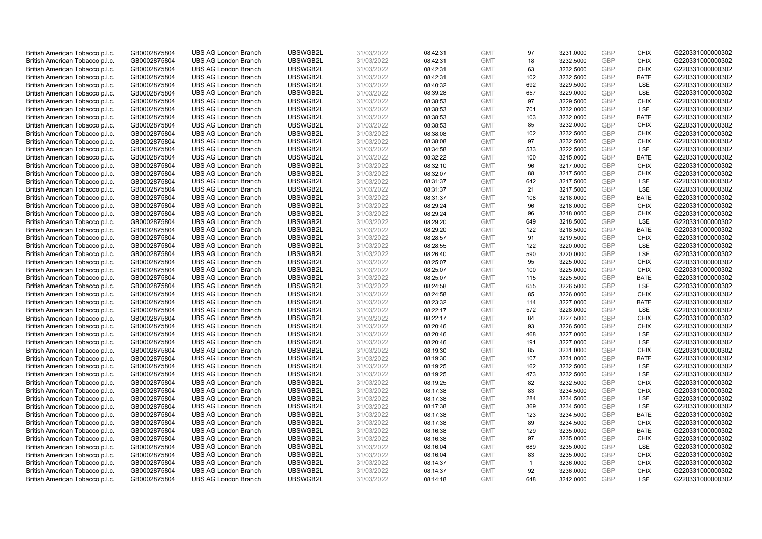| British American Tobacco p.l.c. | GB0002875804                 | <b>UBS AG London Branch</b> | UBSWGB2L | 31/03/2022               | 08:42:31 | <b>GMT</b> | 97           | 3231.0000 | <b>GBP</b> | <b>CHIX</b> | G220331000000302 |
|---------------------------------|------------------------------|-----------------------------|----------|--------------------------|----------|------------|--------------|-----------|------------|-------------|------------------|
|                                 |                              |                             |          |                          |          |            |              |           |            |             |                  |
| British American Tobacco p.l.c. | GB0002875804                 | <b>UBS AG London Branch</b> | UBSWGB2L | 31/03/2022               | 08:42:31 | <b>GMT</b> | 18           | 3232.5000 | <b>GBP</b> | <b>CHIX</b> | G220331000000302 |
| British American Tobacco p.l.c. | GB0002875804                 | <b>UBS AG London Branch</b> | UBSWGB2L | 31/03/2022               | 08:42:31 | <b>GMT</b> | 63           | 3232.5000 | <b>GBP</b> | <b>CHIX</b> | G220331000000302 |
| British American Tobacco p.l.c. | GB0002875804                 | <b>UBS AG London Branch</b> | UBSWGB2L | 31/03/2022               | 08:42:31 | <b>GMT</b> | 102          | 3232.5000 | <b>GBP</b> | <b>BATE</b> | G220331000000302 |
| British American Tobacco p.l.c. | GB0002875804                 | <b>UBS AG London Branch</b> | UBSWGB2L | 31/03/2022               | 08:40:32 | <b>GMT</b> | 692          | 3229.5000 | <b>GBP</b> | LSE         | G220331000000302 |
| British American Tobacco p.l.c. | GB0002875804                 | <b>UBS AG London Branch</b> | UBSWGB2L | 31/03/2022               | 08:39:28 | <b>GMT</b> | 657          | 3229.0000 | <b>GBP</b> | <b>LSE</b>  | G220331000000302 |
| British American Tobacco p.l.c. | GB0002875804                 | <b>UBS AG London Branch</b> | UBSWGB2L | 31/03/2022               | 08:38:53 | <b>GMT</b> | 97           | 3229.5000 | <b>GBP</b> | <b>CHIX</b> | G220331000000302 |
| British American Tobacco p.l.c. | GB0002875804                 | <b>UBS AG London Branch</b> | UBSWGB2L | 31/03/2022               | 08:38:53 | <b>GMT</b> | 701          | 3232.0000 | <b>GBP</b> | LSE         | G220331000000302 |
| British American Tobacco p.l.c. | GB0002875804                 | <b>UBS AG London Branch</b> | UBSWGB2L | 31/03/2022               | 08:38:53 | <b>GMT</b> | 103          | 3232.0000 | <b>GBP</b> | <b>BATE</b> | G220331000000302 |
| British American Tobacco p.l.c. | GB0002875804                 | <b>UBS AG London Branch</b> | UBSWGB2L | 31/03/2022               | 08:38:53 | <b>GMT</b> | 85           | 3232.0000 | <b>GBP</b> | <b>CHIX</b> | G220331000000302 |
| British American Tobacco p.l.c. | GB0002875804                 | <b>UBS AG London Branch</b> | UBSWGB2L | 31/03/2022               | 08:38:08 | <b>GMT</b> | 102          | 3232.5000 | <b>GBP</b> | <b>CHIX</b> | G220331000000302 |
| British American Tobacco p.l.c. | GB0002875804                 | <b>UBS AG London Branch</b> | UBSWGB2L | 31/03/2022               | 08:38:08 | <b>GMT</b> | 97           | 3232.5000 | <b>GBP</b> | <b>CHIX</b> | G220331000000302 |
| British American Tobacco p.l.c. | GB0002875804                 | <b>UBS AG London Branch</b> | UBSWGB2L | 31/03/2022               | 08:34:58 | <b>GMT</b> | 533          | 3222.5000 | GBP        | LSE         | G220331000000302 |
| British American Tobacco p.l.c. | GB0002875804                 | <b>UBS AG London Branch</b> | UBSWGB2L | 31/03/2022               | 08:32:22 | <b>GMT</b> | 100          | 3215.0000 | <b>GBP</b> | <b>BATE</b> | G220331000000302 |
| British American Tobacco p.l.c. | GB0002875804                 | <b>UBS AG London Branch</b> | UBSWGB2L | 31/03/2022               | 08:32:10 | <b>GMT</b> | 96           | 3217.0000 | GBP        | CHIX        | G220331000000302 |
| British American Tobacco p.l.c. | GB0002875804                 | <b>UBS AG London Branch</b> | UBSWGB2L | 31/03/2022               | 08:32:07 | <b>GMT</b> | 88           | 3217.5000 | <b>GBP</b> | <b>CHIX</b> | G220331000000302 |
| British American Tobacco p.l.c. | GB0002875804                 | <b>UBS AG London Branch</b> | UBSWGB2L | 31/03/2022               | 08:31:37 | <b>GMT</b> | 642          | 3217.5000 | GBP        | LSE         | G220331000000302 |
| British American Tobacco p.l.c. | GB0002875804                 | <b>UBS AG London Branch</b> | UBSWGB2L | 31/03/2022               | 08:31:37 | <b>GMT</b> | 21           | 3217.5000 | <b>GBP</b> | LSE         | G220331000000302 |
|                                 |                              | <b>UBS AG London Branch</b> | UBSWGB2L |                          | 08:31:37 | <b>GMT</b> | 108          | 3218.0000 | <b>GBP</b> | <b>BATE</b> | G220331000000302 |
| British American Tobacco p.l.c. | GB0002875804<br>GB0002875804 | <b>UBS AG London Branch</b> | UBSWGB2L | 31/03/2022<br>31/03/2022 | 08:29:24 | <b>GMT</b> |              |           | <b>GBP</b> | <b>CHIX</b> | G220331000000302 |
| British American Tobacco p.l.c. |                              |                             |          |                          |          |            | 96           | 3218.0000 |            |             |                  |
| British American Tobacco p.l.c. | GB0002875804                 | <b>UBS AG London Branch</b> | UBSWGB2L | 31/03/2022               | 08:29:24 | <b>GMT</b> | 96           | 3218.0000 | <b>GBP</b> | <b>CHIX</b> | G220331000000302 |
| British American Tobacco p.l.c. | GB0002875804                 | <b>UBS AG London Branch</b> | UBSWGB2L | 31/03/2022               | 08:29:20 | <b>GMT</b> | 649          | 3218.5000 | GBP        | LSE         | G220331000000302 |
| British American Tobacco p.l.c. | GB0002875804                 | <b>UBS AG London Branch</b> | UBSWGB2L | 31/03/2022               | 08:29:20 | <b>GMT</b> | 122          | 3218.5000 | <b>GBP</b> | <b>BATE</b> | G220331000000302 |
| British American Tobacco p.l.c. | GB0002875804                 | <b>UBS AG London Branch</b> | UBSWGB2L | 31/03/2022               | 08:28:57 | <b>GMT</b> | 91           | 3219.5000 | GBP        | <b>CHIX</b> | G220331000000302 |
| British American Tobacco p.l.c. | GB0002875804                 | <b>UBS AG London Branch</b> | UBSWGB2L | 31/03/2022               | 08:28:55 | <b>GMT</b> | 122          | 3220.0000 | <b>GBP</b> | LSE         | G220331000000302 |
| British American Tobacco p.l.c. | GB0002875804                 | <b>UBS AG London Branch</b> | UBSWGB2L | 31/03/2022               | 08:26:40 | <b>GMT</b> | 590          | 3220.0000 | GBP        | LSE         | G220331000000302 |
| British American Tobacco p.l.c. | GB0002875804                 | <b>UBS AG London Branch</b> | UBSWGB2L | 31/03/2022               | 08:25:07 | <b>GMT</b> | 95           | 3225.0000 | <b>GBP</b> | <b>CHIX</b> | G220331000000302 |
| British American Tobacco p.l.c. | GB0002875804                 | <b>UBS AG London Branch</b> | UBSWGB2L | 31/03/2022               | 08:25:07 | <b>GMT</b> | 100          | 3225.0000 | GBP        | CHIX        | G220331000000302 |
| British American Tobacco p.l.c. | GB0002875804                 | <b>UBS AG London Branch</b> | UBSWGB2L | 31/03/2022               | 08:25:07 | <b>GMT</b> | 115          | 3225.5000 | <b>GBP</b> | <b>BATE</b> | G220331000000302 |
| British American Tobacco p.l.c. | GB0002875804                 | <b>UBS AG London Branch</b> | UBSWGB2L | 31/03/2022               | 08:24:58 | <b>GMT</b> | 655          | 3226.5000 | GBP        | LSE         | G220331000000302 |
| British American Tobacco p.l.c. | GB0002875804                 | <b>UBS AG London Branch</b> | UBSWGB2L | 31/03/2022               | 08:24:58 | <b>GMT</b> | 85           | 3226.0000 | <b>GBP</b> | <b>CHIX</b> | G220331000000302 |
| British American Tobacco p.l.c. | GB0002875804                 | <b>UBS AG London Branch</b> | UBSWGB2L | 31/03/2022               | 08:23:32 | <b>GMT</b> | 114          | 3227.0000 | GBP        | <b>BATE</b> | G220331000000302 |
| British American Tobacco p.l.c. | GB0002875804                 | <b>UBS AG London Branch</b> | UBSWGB2L | 31/03/2022               | 08:22:17 | <b>GMT</b> | 572          | 3228.0000 | <b>GBP</b> | LSE         | G220331000000302 |
| British American Tobacco p.l.c. | GB0002875804                 | <b>UBS AG London Branch</b> | UBSWGB2L | 31/03/2022               | 08:22:17 | <b>GMT</b> | 84           | 3227.5000 | <b>GBP</b> | <b>CHIX</b> | G220331000000302 |
| British American Tobacco p.l.c. | GB0002875804                 | <b>UBS AG London Branch</b> | UBSWGB2L | 31/03/2022               | 08:20:46 | <b>GMT</b> | 93           | 3226.5000 | GBP        | <b>CHIX</b> | G220331000000302 |
| British American Tobacco p.l.c. | GB0002875804                 | <b>UBS AG London Branch</b> | UBSWGB2L | 31/03/2022               | 08:20:46 | <b>GMT</b> | 468          | 3227.0000 | <b>GBP</b> | LSE         | G220331000000302 |
| British American Tobacco p.l.c. | GB0002875804                 | <b>UBS AG London Branch</b> | UBSWGB2L | 31/03/2022               | 08:20:46 | <b>GMT</b> | 191          | 3227.0000 | GBP        | <b>LSE</b>  | G220331000000302 |
| British American Tobacco p.l.c. | GB0002875804                 | <b>UBS AG London Branch</b> | UBSWGB2L | 31/03/2022               | 08:19:30 | <b>GMT</b> | 85           | 3231.0000 | <b>GBP</b> | <b>CHIX</b> | G220331000000302 |
| British American Tobacco p.l.c. | GB0002875804                 | <b>UBS AG London Branch</b> | UBSWGB2L | 31/03/2022               | 08:19:30 | <b>GMT</b> | 107          | 3231.0000 | GBP        | <b>BATE</b> | G220331000000302 |
| British American Tobacco p.l.c. | GB0002875804                 | <b>UBS AG London Branch</b> | UBSWGB2L | 31/03/2022               | 08:19:25 | <b>GMT</b> | 162          | 3232.5000 | <b>GBP</b> | LSE         | G220331000000302 |
| British American Tobacco p.l.c. | GB0002875804                 | <b>UBS AG London Branch</b> | UBSWGB2L | 31/03/2022               | 08:19:25 | <b>GMT</b> | 473          | 3232.5000 | GBP        | LSE         | G220331000000302 |
| British American Tobacco p.l.c. | GB0002875804                 | <b>UBS AG London Branch</b> | UBSWGB2L | 31/03/2022               | 08:19:25 | <b>GMT</b> | 82           | 3232.5000 | <b>GBP</b> | <b>CHIX</b> | G220331000000302 |
| British American Tobacco p.l.c. | GB0002875804                 | <b>UBS AG London Branch</b> | UBSWGB2L | 31/03/2022               | 08:17:38 | <b>GMT</b> | 83           | 3234.5000 | <b>GBP</b> | <b>CHIX</b> | G220331000000302 |
| British American Tobacco p.l.c. | GB0002875804                 | <b>UBS AG London Branch</b> | UBSWGB2L | 31/03/2022               | 08:17:38 | <b>GMT</b> | 284          | 3234.5000 | <b>GBP</b> | LSE         | G220331000000302 |
| British American Tobacco p.l.c. | GB0002875804                 | <b>UBS AG London Branch</b> | UBSWGB2L | 31/03/2022               | 08:17:38 | <b>GMT</b> | 369          | 3234.5000 | <b>GBP</b> | LSE         | G220331000000302 |
| British American Tobacco p.l.c. | GB0002875804                 | <b>UBS AG London Branch</b> | UBSWGB2L | 31/03/2022               | 08:17:38 | <b>GMT</b> | 123          | 3234.5000 | <b>GBP</b> | <b>BATE</b> | G220331000000302 |
| British American Tobacco p.l.c. | GB0002875804                 | <b>UBS AG London Branch</b> | UBSWGB2L | 31/03/2022               | 08:17:38 | <b>GMT</b> | 89           | 3234.5000 | <b>GBP</b> | <b>CHIX</b> | G220331000000302 |
| British American Tobacco p.l.c. | GB0002875804                 | <b>UBS AG London Branch</b> | UBSWGB2L | 31/03/2022               | 08:16:38 | <b>GMT</b> | 129          | 3235.0000 | <b>GBP</b> | <b>BATE</b> | G220331000000302 |
| British American Tobacco p.l.c. | GB0002875804                 | <b>UBS AG London Branch</b> | UBSWGB2L | 31/03/2022               | 08:16:38 | <b>GMT</b> | 97           | 3235.0000 | <b>GBP</b> | <b>CHIX</b> | G220331000000302 |
| British American Tobacco p.l.c. | GB0002875804                 | <b>UBS AG London Branch</b> | UBSWGB2L | 31/03/2022               | 08:16:04 | <b>GMT</b> | 689          | 3235.0000 | <b>GBP</b> | <b>LSE</b>  | G220331000000302 |
| British American Tobacco p.l.c. | GB0002875804                 | <b>UBS AG London Branch</b> | UBSWGB2L | 31/03/2022               | 08:16:04 | <b>GMT</b> | 83           | 3235.0000 | <b>GBP</b> | <b>CHIX</b> | G220331000000302 |
| British American Tobacco p.l.c. | GB0002875804                 | <b>UBS AG London Branch</b> | UBSWGB2L | 31/03/2022               | 08:14:37 | <b>GMT</b> | $\mathbf{1}$ | 3236.0000 | <b>GBP</b> | <b>CHIX</b> | G220331000000302 |
| British American Tobacco p.l.c. | GB0002875804                 | <b>UBS AG London Branch</b> | UBSWGB2L | 31/03/2022               | 08:14:37 | <b>GMT</b> | 92           | 3236.0000 | <b>GBP</b> | <b>CHIX</b> | G220331000000302 |
| British American Tobacco p.l.c. | GB0002875804                 | <b>UBS AG London Branch</b> | UBSWGB2L | 31/03/2022               | 08:14:18 | <b>GMT</b> | 648          | 3242.0000 | GBP        | <b>LSE</b>  | G220331000000302 |
|                                 |                              |                             |          |                          |          |            |              |           |            |             |                  |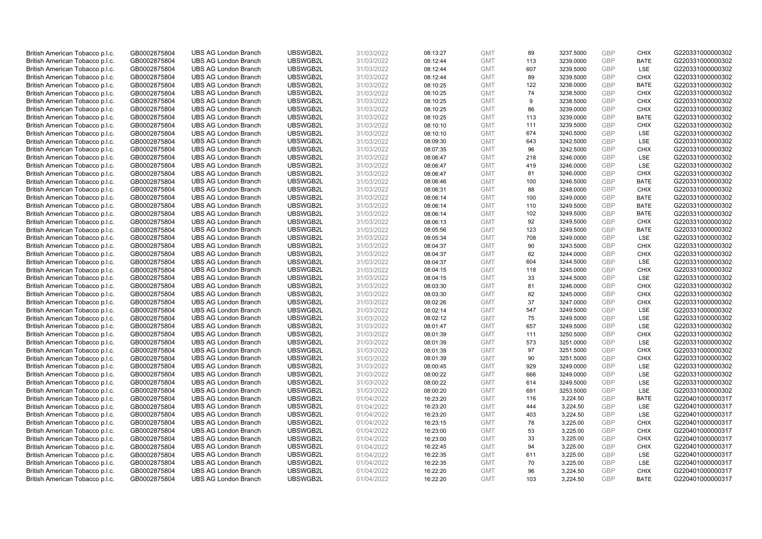| UBSWGB2L<br>113<br>3239.0000<br><b>GBP</b><br><b>BATE</b><br>British American Tobacco p.l.c.<br>GB0002875804<br><b>UBS AG London Branch</b><br>31/03/2022<br>08:12:44<br><b>GMT</b><br>G220331000000302<br>British American Tobacco p.l.c.<br>GB0002875804<br><b>UBS AG London Branch</b><br>UBSWGB2L<br>31/03/2022<br>08:12:44<br><b>GMT</b><br>607<br>3239.5000<br><b>GBP</b><br>LSE<br>G220331000000302<br>UBSWGB2L<br>31/03/2022<br><b>GBP</b><br>British American Tobacco p.l.c.<br>GB0002875804<br><b>UBS AG London Branch</b><br>08:12:44<br><b>GMT</b><br>89<br>3239.5000<br><b>CHIX</b><br>G220331000000302<br>British American Tobacco p.l.c.<br><b>UBS AG London Branch</b><br>UBSWGB2L<br>31/03/2022<br><b>GMT</b><br>122<br>3238.0000<br><b>GBP</b><br><b>BATE</b><br>G220331000000302<br>GB0002875804<br>08:10:25<br><b>GBP</b><br><b>UBS AG London Branch</b><br>UBSWGB2L<br>74<br><b>CHIX</b><br>G220331000000302<br>British American Tobacco p.l.c.<br>GB0002875804<br>31/03/2022<br>08:10:25<br><b>GMT</b><br>3238.5000<br>GB0002875804<br><b>UBS AG London Branch</b><br>UBSWGB2L<br>31/03/2022<br>08:10:25<br><b>GMT</b><br><b>GBP</b><br>G220331000000302<br>British American Tobacco p.l.c.<br>9<br>3238.5000<br><b>CHIX</b><br>UBSWGB2L<br>31/03/2022<br>86<br><b>GBP</b><br><b>CHIX</b><br>British American Tobacco p.l.c.<br>GB0002875804<br><b>UBS AG London Branch</b><br>08:10:25<br><b>GMT</b><br>3239.0000<br>G220331000000302<br>UBSWGB2L<br>113<br><b>GBP</b><br>G220331000000302<br>British American Tobacco p.l.c.<br>GB0002875804<br><b>UBS AG London Branch</b><br>31/03/2022<br>08:10:25<br><b>GMT</b><br>3239.0000<br><b>BATE</b><br><b>GBP</b><br>British American Tobacco p.l.c.<br><b>UBS AG London Branch</b><br>UBSWGB2L<br>31/03/2022<br><b>GMT</b><br>111<br><b>CHIX</b><br>G220331000000302<br>GB0002875804<br>08:10:10<br>3239.5000<br>British American Tobacco p.l.c.<br>GB0002875804<br><b>UBS AG London Branch</b><br>UBSWGB2L<br>31/03/2022<br><b>GMT</b><br>674<br><b>GBP</b><br>LSE<br>G220331000000302<br>08:10:10<br>3240.5000<br>643<br><b>GBP</b><br>LSE<br>British American Tobacco p.l.c.<br>GB0002875804<br><b>UBS AG London Branch</b><br>UBSWGB2L<br>31/03/2022<br>08:09:30<br><b>GMT</b><br>3242.5000<br>G220331000000302<br>UBSWGB2L<br>31/03/2022<br>96<br>3242.5000<br><b>GBP</b><br><b>CHIX</b><br>G220331000000302<br>British American Tobacco p.l.c.<br>GB0002875804<br><b>UBS AG London Branch</b><br>08:07:35<br><b>GMT</b><br><b>GBP</b><br>British American Tobacco p.l.c.<br>GB0002875804<br><b>UBS AG London Branch</b><br>UBSWGB2L<br>31/03/2022<br>08:06:47<br><b>GMT</b><br>218<br>3246.0000<br>LSE<br>G220331000000302<br><b>GBP</b><br>LSE<br>British American Tobacco p.l.c.<br>GB0002875804<br><b>UBS AG London Branch</b><br>UBSWGB2L<br>31/03/2022<br><b>GMT</b><br>419<br>3246.0000<br>G220331000000302<br>08:06:47<br>British American Tobacco p.l.c.<br><b>UBS AG London Branch</b><br>UBSWGB2L<br>08:06:47<br>81<br><b>GBP</b><br><b>CHIX</b><br>G220331000000302<br>GB0002875804<br>31/03/2022<br><b>GMT</b><br>3246.0000<br>UBSWGB2L<br><b>GBP</b><br>GB0002875804<br><b>UBS AG London Branch</b><br>31/03/2022<br><b>GMT</b><br>100<br><b>BATE</b><br>G220331000000302<br>British American Tobacco p.l.c.<br>08:06:46<br>3246.5000<br>88<br><b>GBP</b><br><b>CHIX</b><br>G220331000000302<br>British American Tobacco p.l.c.<br>GB0002875804<br><b>UBS AG London Branch</b><br>UBSWGB2L<br>31/03/2022<br>08:06:31<br><b>GMT</b><br>3248.0000<br>UBSWGB2L<br>100<br><b>GBP</b><br>G220331000000302<br>British American Tobacco p.l.c.<br><b>UBS AG London Branch</b><br>3249.0000<br><b>BATE</b><br>GB0002875804<br>31/03/2022<br>08:06:14<br><b>GMT</b><br>UBSWGB2L<br><b>GBP</b><br>G220331000000302<br>British American Tobacco p.l.c.<br>GB0002875804<br><b>UBS AG London Branch</b><br>31/03/2022<br>08:06:14<br><b>GMT</b><br>110<br>3249.5000<br><b>BATE</b><br>102<br><b>GBP</b><br><b>BATE</b><br>British American Tobacco p.l.c.<br>GB0002875804<br><b>UBS AG London Branch</b><br>UBSWGB2L<br>31/03/2022<br><b>GMT</b><br>3249.5000<br>G220331000000302<br>08:06:14<br>UBSWGB2L<br>GB0002875804<br><b>UBS AG London Branch</b><br>31/03/2022<br>08:06:13<br><b>GMT</b><br>92<br>3249.5000<br><b>GBP</b><br><b>CHIX</b><br>G220331000000302<br>British American Tobacco p.l.c.<br><b>GBP</b><br><b>UBS AG London Branch</b><br>UBSWGB2L<br><b>GMT</b><br>British American Tobacco p.l.c.<br>GB0002875804<br>31/03/2022<br>08:05:56<br>123<br>3249.5000<br><b>BATE</b><br>G220331000000302<br><b>UBS AG London Branch</b><br>UBSWGB2L<br><b>GMT</b><br>708<br><b>GBP</b><br>LSE<br>G220331000000302<br>British American Tobacco p.l.c.<br>GB0002875804<br>31/03/2022<br>08:05:34<br>3249.0000<br><b>GBP</b><br>British American Tobacco p.l.c.<br>GB0002875804<br><b>UBS AG London Branch</b><br>UBSWGB2L<br>31/03/2022<br>08:04:37<br><b>GMT</b><br>90<br>3243.5000<br><b>CHIX</b><br>G220331000000302<br>UBSWGB2L<br>82<br><b>GBP</b><br>G220331000000302<br>British American Tobacco p.l.c.<br>GB0002875804<br><b>UBS AG London Branch</b><br>31/03/2022<br>08:04:37<br><b>GMT</b><br>3244.0000<br><b>CHIX</b><br>British American Tobacco p.l.c.<br>GB0002875804<br><b>UBS AG London Branch</b><br>UBSWGB2L<br>31/03/2022<br><b>GMT</b><br>604<br><b>GBP</b><br>LSE<br>G220331000000302<br>08:04:37<br>3244.5000<br><b>GBP</b><br>British American Tobacco p.l.c.<br>UBSWGB2L<br>118<br>3245.0000<br><b>CHIX</b><br>GB0002875804<br><b>UBS AG London Branch</b><br>31/03/2022<br>08:04:15<br><b>GMT</b><br>G220331000000302<br><b>UBS AG London Branch</b><br>UBSWGB2L<br>33<br><b>GBP</b><br>LSE<br>G220331000000302<br>British American Tobacco p.l.c.<br>GB0002875804<br>31/03/2022<br>08:04:15<br><b>GMT</b><br>3244.5000<br>UBSWGB2L<br>31/03/2022<br><b>GBP</b><br>G220331000000302<br>British American Tobacco p.l.c.<br>GB0002875804<br><b>UBS AG London Branch</b><br>08:03:30<br><b>GMT</b><br>81<br>3246.0000<br><b>CHIX</b><br>82<br><b>GBP</b><br><b>CHIX</b><br>British American Tobacco p.l.c.<br>GB0002875804<br><b>UBS AG London Branch</b><br>UBSWGB2L<br>31/03/2022<br>08:03:30<br><b>GMT</b><br>3245.0000<br>G220331000000302<br>37<br><b>GBP</b><br>British American Tobacco p.l.c.<br><b>UBS AG London Branch</b><br>UBSWGB2L<br><b>CHIX</b><br>G220331000000302<br>GB0002875804<br>31/03/2022<br>08:02:26<br><b>GMT</b><br>3247.0000<br><b>GBP</b><br>British American Tobacco p.l.c.<br>GB0002875804<br><b>UBS AG London Branch</b><br>UBSWGB2L<br>31/03/2022<br>08:02:14<br><b>GMT</b><br>547<br>3249.5000<br>LSE<br>G220331000000302<br>75<br>LSE<br>British American Tobacco p.l.c.<br>31/03/2022<br>3249.5000<br><b>GBP</b><br>G220331000000302<br>GB0002875804<br><b>UBS AG London Branch</b><br>UBSWGB2L<br>08:02:12<br><b>GMT</b><br><b>UBS AG London Branch</b><br>UBSWGB2L<br>31/03/2022<br>08:01:47<br>657<br>3249.5000<br><b>GBP</b><br>LSE<br>G220331000000302<br>British American Tobacco p.l.c.<br>GB0002875804<br><b>GMT</b><br><b>GBP</b><br>British American Tobacco p.l.c.<br>GB0002875804<br><b>UBS AG London Branch</b><br>UBSWGB2L<br>31/03/2022<br>08:01:39<br><b>GMT</b><br>111<br>3250.5000<br><b>CHIX</b><br>G220331000000302<br>UBSWGB2L<br>573<br><b>GBP</b><br>LSE<br>G220331000000302<br>British American Tobacco p.l.c.<br>GB0002875804<br><b>UBS AG London Branch</b><br>31/03/2022<br><b>GMT</b><br>08:01:39<br>3251.0000<br>British American Tobacco p.l.c.<br>GB0002875804<br><b>UBS AG London Branch</b><br>UBSWGB2L<br>31/03/2022<br><b>GMT</b><br>97<br>3251.5000<br><b>GBP</b><br><b>CHIX</b><br>G220331000000302<br>08:01:39<br><b>UBS AG London Branch</b><br>UBSWGB2L<br>31/03/2022<br>90<br>3251.5000<br><b>GBP</b><br><b>CHIX</b><br>G220331000000302<br>British American Tobacco p.l.c.<br>GB0002875804<br>08:01:39<br><b>GMT</b><br>British American Tobacco p.l.c.<br>GB0002875804<br><b>UBS AG London Branch</b><br>UBSWGB2L<br><b>GMT</b><br>929<br><b>GBP</b><br>G220331000000302<br>31/03/2022<br>08:00:45<br>3249.0000<br>LSE<br>666<br>GBP<br><b>LSE</b><br>British American Tobacco p.l.c.<br>GB0002875804<br><b>UBS AG London Branch</b><br>UBSWGB2L<br>31/03/2022<br><b>GMT</b><br>3249.0000<br>G220331000000302<br>08:00:22<br>UBSWGB2L<br><b>GBP</b><br>LSE<br>G220331000000302<br>British American Tobacco p.l.c.<br>GB0002875804<br><b>UBS AG London Branch</b><br>31/03/2022<br>08:00:22<br><b>GMT</b><br>614<br>3249.5000<br>UBSWGB2L<br><b>GBP</b><br>LSE<br>GB0002875804<br><b>UBS AG London Branch</b><br>31/03/2022<br>08:00:20<br><b>GMT</b><br>691<br>3253.5000<br>G220331000000302<br>British American Tobacco p.l.c.<br><b>GBP</b><br>British American Tobacco p.l.c.<br>GB0002875804<br><b>UBS AG London Branch</b><br>UBSWGB2L<br>01/04/2022<br><b>GMT</b><br>116<br>3,224.50<br><b>BATE</b><br>G220401000000317<br>16:23:20<br>UBS AG London Branch<br>UBSWGB2L<br>444<br><b>GBP</b><br><b>LSE</b><br>G220401000000317<br>British American Tobacco p.l.c.<br>GB0002875804<br>01/04/2022<br>16:23:20<br><b>GMT</b><br>3,224.50<br><b>GBP</b><br>British American Tobacco p.l.c.<br>GB0002875804<br><b>UBS AG London Branch</b><br>UBSWGB2L<br>01/04/2022<br><b>GMT</b><br>LSE<br>G220401000000317<br>16:23:20<br>403<br>3,224.50<br><b>CHIX</b><br>British American Tobacco p.l.c.<br>GB0002875804<br><b>UBS AG London Branch</b><br>UBSWGB2L<br>01/04/2022<br>16:23:15<br><b>GMT</b><br>78<br>3,225.00<br><b>GBP</b><br>G220401000000317<br>UBSWGB2L<br><b>GBP</b><br><b>CHIX</b><br>G220401000000317<br>British American Tobacco p.l.c.<br>GB0002875804<br><b>UBS AG London Branch</b><br>01/04/2022<br>16:23:00<br><b>GMT</b><br>53<br>3,225.00<br>British American Tobacco p.l.c.<br>GB0002875804<br><b>UBS AG London Branch</b><br>UBSWGB2L<br>01/04/2022<br>16:23:00<br><b>GMT</b><br>33<br>3,225.00<br><b>GBP</b><br><b>CHIX</b><br>G220401000000317<br><b>GBP</b><br>British American Tobacco p.l.c.<br><b>UBS AG London Branch</b><br>UBSWGB2L<br>01/04/2022<br><b>GMT</b><br>94<br>G220401000000317<br>GB0002875804<br>16:22:45<br>3,225.00<br><b>CHIX</b><br>British American Tobacco p.l.c.<br>UBSWGB2L<br>611<br>3,225.00<br><b>GBP</b><br>LSE<br>G220401000000317<br>GB0002875804<br><b>UBS AG London Branch</b><br>01/04/2022<br>16:22:35<br><b>GMT</b><br>UBSWGB2L<br>70<br>LSE<br>G220401000000317<br>British American Tobacco p.l.c.<br><b>UBS AG London Branch</b><br>01/04/2022<br>16:22:35<br>3,225.00<br><b>GBP</b><br>GB0002875804<br><b>GMT</b><br><b>GBP</b><br>G220401000000317<br>British American Tobacco p.l.c.<br>GB0002875804<br><b>UBS AG London Branch</b><br>UBSWGB2L<br>01/04/2022<br>16:22:20<br><b>GMT</b><br>96<br>3,224.50<br><b>CHIX</b><br>GBP<br><b>BATE</b><br>GB0002875804<br><b>UBS AG London Branch</b><br>UBSWGB2L<br>01/04/2022<br><b>GMT</b><br>103<br>3.224.50<br>16:22:20 | British American Tobacco p.l.c. | GB0002875804 | <b>UBS AG London Branch</b> | UBSWGB2L | 31/03/2022 | 08:13:27 | <b>GMT</b> | 89 | 3237.5000 | <b>GBP</b> | <b>CHIX</b> | G220331000000302 |
|------------------------------------------------------------------------------------------------------------------------------------------------------------------------------------------------------------------------------------------------------------------------------------------------------------------------------------------------------------------------------------------------------------------------------------------------------------------------------------------------------------------------------------------------------------------------------------------------------------------------------------------------------------------------------------------------------------------------------------------------------------------------------------------------------------------------------------------------------------------------------------------------------------------------------------------------------------------------------------------------------------------------------------------------------------------------------------------------------------------------------------------------------------------------------------------------------------------------------------------------------------------------------------------------------------------------------------------------------------------------------------------------------------------------------------------------------------------------------------------------------------------------------------------------------------------------------------------------------------------------------------------------------------------------------------------------------------------------------------------------------------------------------------------------------------------------------------------------------------------------------------------------------------------------------------------------------------------------------------------------------------------------------------------------------------------------------------------------------------------------------------------------------------------------------------------------------------------------------------------------------------------------------------------------------------------------------------------------------------------------------------------------------------------------------------------------------------------------------------------------------------------------------------------------------------------------------------------------------------------------------------------------------------------------------------------------------------------------------------------------------------------------------------------------------------------------------------------------------------------------------------------------------------------------------------------------------------------------------------------------------------------------------------------------------------------------------------------------------------------------------------------------------------------------------------------------------------------------------------------------------------------------------------------------------------------------------------------------------------------------------------------------------------------------------------------------------------------------------------------------------------------------------------------------------------------------------------------------------------------------------------------------------------------------------------------------------------------------------------------------------------------------------------------------------------------------------------------------------------------------------------------------------------------------------------------------------------------------------------------------------------------------------------------------------------------------------------------------------------------------------------------------------------------------------------------------------------------------------------------------------------------------------------------------------------------------------------------------------------------------------------------------------------------------------------------------------------------------------------------------------------------------------------------------------------------------------------------------------------------------------------------------------------------------------------------------------------------------------------------------------------------------------------------------------------------------------------------------------------------------------------------------------------------------------------------------------------------------------------------------------------------------------------------------------------------------------------------------------------------------------------------------------------------------------------------------------------------------------------------------------------------------------------------------------------------------------------------------------------------------------------------------------------------------------------------------------------------------------------------------------------------------------------------------------------------------------------------------------------------------------------------------------------------------------------------------------------------------------------------------------------------------------------------------------------------------------------------------------------------------------------------------------------------------------------------------------------------------------------------------------------------------------------------------------------------------------------------------------------------------------------------------------------------------------------------------------------------------------------------------------------------------------------------------------------------------------------------------------------------------------------------------------------------------------------------------------------------------------------------------------------------------------------------------------------------------------------------------------------------------------------------------------------------------------------------------------------------------------------------------------------------------------------------------------------------------------------------------------------------------------------------------------------------------------------------------------------------------------------------------------------------------------------------------------------------------------------------------------------------------------------------------------------------------------------------------------------------------------------------------------------------------------------------------------------------------------------------------------------------------------------------------------------------------------------------------------------------------------------------------------------------------------------------------------------------------------------------------------------------------------------------------------------------------------------------------------------------------------------------------------------------------------------------------------------------------------------------------------------------------------------------------------------------------------------------------------------------------------------------------------------------------------------------------------------------------------------------------------------------------------------------------------------------------------------------------------------------------------------------------------------------------------------------------------------------------------------------------------------------------------------------------------------------------------------------------------------------------------------------------------------------------------------------------------------------------------------------------------------------------------------------------------------------------------------------------------------------------------------------------------------------------------------------------------------------------------------------------------------------------------------------------------------------------------------------------------------------------------------------------------------------------------------------------------------------------------------------------------------------------------------------------------------------------------------------------------------------------------------------------------------------------------------------------------------------------------------------------------------------------------------------------------------------------------------------------------------------------------------------------------------------------------------------------------------------------------------------------------------------------------------------------------------------------------------------------------------------------------------------------------------------------------------------------------------------------------------------------------------------------------------------------------------------------------------------------------------------------------------------------------------------------------------------------------------------------------------------------------------------------------------------------------------------------------------------------------------------------------------------------------------------------------------------------------------------------------------------------------------------------------------------------------------------------------------------------------------------------------------------------------------------------------------------------------------------------------------------------------------------------------------------------------------------------------------------------------------------------------------------------------------------------------------------------------------------------------------------------------------------------------------------------------------------------------------|---------------------------------|--------------|-----------------------------|----------|------------|----------|------------|----|-----------|------------|-------------|------------------|
|                                                                                                                                                                                                                                                                                                                                                                                                                                                                                                                                                                                                                                                                                                                                                                                                                                                                                                                                                                                                                                                                                                                                                                                                                                                                                                                                                                                                                                                                                                                                                                                                                                                                                                                                                                                                                                                                                                                                                                                                                                                                                                                                                                                                                                                                                                                                                                                                                                                                                                                                                                                                                                                                                                                                                                                                                                                                                                                                                                                                                                                                                                                                                                                                                                                                                                                                                                                                                                                                                                                                                                                                                                                                                                                                                                                                                                                                                                                                                                                                                                                                                                                                                                                                                                                                                                                                                                                                                                                                                                                                                                                                                                                                                                                                                                                                                                                                                                                                                                                                                                                                                                                                                                                                                                                                                                                                                                                                                                                                                                                                                                                                                                                                                                                                                                                                                                                                                                                                                                                                                                                                                                                                                                                                                                                                                                                                                                                                                                                                                                                                                                                                                                                                                                                                                                                                                                                                                                                                                                                                                                                                                                                                                                                                                                                                                                                                                                                                                                                                                                                                                                                                                                                                                                                                                                                                                                                                                                                                                                                                                                                                                                                                                                                                                                                                                                                                                                                                                                                                                                                                                                                                                                                                                                                                                                                                                                                                                                                                                                                                                                                                                                                                                                                                                                                                                                                                                                                                                                                                                                                                                                                                                                                                                                                                                                                                                                                                                                                                                                                                                                                                                                                                                                                                                                                                                                                                                                                                                                                                                                                                                                                                                                                                                                                                                                                                                                                                                                                                    |                                 |              |                             |          |            |          |            |    |           |            |             |                  |
|                                                                                                                                                                                                                                                                                                                                                                                                                                                                                                                                                                                                                                                                                                                                                                                                                                                                                                                                                                                                                                                                                                                                                                                                                                                                                                                                                                                                                                                                                                                                                                                                                                                                                                                                                                                                                                                                                                                                                                                                                                                                                                                                                                                                                                                                                                                                                                                                                                                                                                                                                                                                                                                                                                                                                                                                                                                                                                                                                                                                                                                                                                                                                                                                                                                                                                                                                                                                                                                                                                                                                                                                                                                                                                                                                                                                                                                                                                                                                                                                                                                                                                                                                                                                                                                                                                                                                                                                                                                                                                                                                                                                                                                                                                                                                                                                                                                                                                                                                                                                                                                                                                                                                                                                                                                                                                                                                                                                                                                                                                                                                                                                                                                                                                                                                                                                                                                                                                                                                                                                                                                                                                                                                                                                                                                                                                                                                                                                                                                                                                                                                                                                                                                                                                                                                                                                                                                                                                                                                                                                                                                                                                                                                                                                                                                                                                                                                                                                                                                                                                                                                                                                                                                                                                                                                                                                                                                                                                                                                                                                                                                                                                                                                                                                                                                                                                                                                                                                                                                                                                                                                                                                                                                                                                                                                                                                                                                                                                                                                                                                                                                                                                                                                                                                                                                                                                                                                                                                                                                                                                                                                                                                                                                                                                                                                                                                                                                                                                                                                                                                                                                                                                                                                                                                                                                                                                                                                                                                                                                                                                                                                                                                                                                                                                                                                                                                                                                                                                                                    |                                 |              |                             |          |            |          |            |    |           |            |             |                  |
|                                                                                                                                                                                                                                                                                                                                                                                                                                                                                                                                                                                                                                                                                                                                                                                                                                                                                                                                                                                                                                                                                                                                                                                                                                                                                                                                                                                                                                                                                                                                                                                                                                                                                                                                                                                                                                                                                                                                                                                                                                                                                                                                                                                                                                                                                                                                                                                                                                                                                                                                                                                                                                                                                                                                                                                                                                                                                                                                                                                                                                                                                                                                                                                                                                                                                                                                                                                                                                                                                                                                                                                                                                                                                                                                                                                                                                                                                                                                                                                                                                                                                                                                                                                                                                                                                                                                                                                                                                                                                                                                                                                                                                                                                                                                                                                                                                                                                                                                                                                                                                                                                                                                                                                                                                                                                                                                                                                                                                                                                                                                                                                                                                                                                                                                                                                                                                                                                                                                                                                                                                                                                                                                                                                                                                                                                                                                                                                                                                                                                                                                                                                                                                                                                                                                                                                                                                                                                                                                                                                                                                                                                                                                                                                                                                                                                                                                                                                                                                                                                                                                                                                                                                                                                                                                                                                                                                                                                                                                                                                                                                                                                                                                                                                                                                                                                                                                                                                                                                                                                                                                                                                                                                                                                                                                                                                                                                                                                                                                                                                                                                                                                                                                                                                                                                                                                                                                                                                                                                                                                                                                                                                                                                                                                                                                                                                                                                                                                                                                                                                                                                                                                                                                                                                                                                                                                                                                                                                                                                                                                                                                                                                                                                                                                                                                                                                                                                                                                                                                    |                                 |              |                             |          |            |          |            |    |           |            |             |                  |
|                                                                                                                                                                                                                                                                                                                                                                                                                                                                                                                                                                                                                                                                                                                                                                                                                                                                                                                                                                                                                                                                                                                                                                                                                                                                                                                                                                                                                                                                                                                                                                                                                                                                                                                                                                                                                                                                                                                                                                                                                                                                                                                                                                                                                                                                                                                                                                                                                                                                                                                                                                                                                                                                                                                                                                                                                                                                                                                                                                                                                                                                                                                                                                                                                                                                                                                                                                                                                                                                                                                                                                                                                                                                                                                                                                                                                                                                                                                                                                                                                                                                                                                                                                                                                                                                                                                                                                                                                                                                                                                                                                                                                                                                                                                                                                                                                                                                                                                                                                                                                                                                                                                                                                                                                                                                                                                                                                                                                                                                                                                                                                                                                                                                                                                                                                                                                                                                                                                                                                                                                                                                                                                                                                                                                                                                                                                                                                                                                                                                                                                                                                                                                                                                                                                                                                                                                                                                                                                                                                                                                                                                                                                                                                                                                                                                                                                                                                                                                                                                                                                                                                                                                                                                                                                                                                                                                                                                                                                                                                                                                                                                                                                                                                                                                                                                                                                                                                                                                                                                                                                                                                                                                                                                                                                                                                                                                                                                                                                                                                                                                                                                                                                                                                                                                                                                                                                                                                                                                                                                                                                                                                                                                                                                                                                                                                                                                                                                                                                                                                                                                                                                                                                                                                                                                                                                                                                                                                                                                                                                                                                                                                                                                                                                                                                                                                                                                                                                                                                                    |                                 |              |                             |          |            |          |            |    |           |            |             |                  |
|                                                                                                                                                                                                                                                                                                                                                                                                                                                                                                                                                                                                                                                                                                                                                                                                                                                                                                                                                                                                                                                                                                                                                                                                                                                                                                                                                                                                                                                                                                                                                                                                                                                                                                                                                                                                                                                                                                                                                                                                                                                                                                                                                                                                                                                                                                                                                                                                                                                                                                                                                                                                                                                                                                                                                                                                                                                                                                                                                                                                                                                                                                                                                                                                                                                                                                                                                                                                                                                                                                                                                                                                                                                                                                                                                                                                                                                                                                                                                                                                                                                                                                                                                                                                                                                                                                                                                                                                                                                                                                                                                                                                                                                                                                                                                                                                                                                                                                                                                                                                                                                                                                                                                                                                                                                                                                                                                                                                                                                                                                                                                                                                                                                                                                                                                                                                                                                                                                                                                                                                                                                                                                                                                                                                                                                                                                                                                                                                                                                                                                                                                                                                                                                                                                                                                                                                                                                                                                                                                                                                                                                                                                                                                                                                                                                                                                                                                                                                                                                                                                                                                                                                                                                                                                                                                                                                                                                                                                                                                                                                                                                                                                                                                                                                                                                                                                                                                                                                                                                                                                                                                                                                                                                                                                                                                                                                                                                                                                                                                                                                                                                                                                                                                                                                                                                                                                                                                                                                                                                                                                                                                                                                                                                                                                                                                                                                                                                                                                                                                                                                                                                                                                                                                                                                                                                                                                                                                                                                                                                                                                                                                                                                                                                                                                                                                                                                                                                                                                                                    |                                 |              |                             |          |            |          |            |    |           |            |             |                  |
|                                                                                                                                                                                                                                                                                                                                                                                                                                                                                                                                                                                                                                                                                                                                                                                                                                                                                                                                                                                                                                                                                                                                                                                                                                                                                                                                                                                                                                                                                                                                                                                                                                                                                                                                                                                                                                                                                                                                                                                                                                                                                                                                                                                                                                                                                                                                                                                                                                                                                                                                                                                                                                                                                                                                                                                                                                                                                                                                                                                                                                                                                                                                                                                                                                                                                                                                                                                                                                                                                                                                                                                                                                                                                                                                                                                                                                                                                                                                                                                                                                                                                                                                                                                                                                                                                                                                                                                                                                                                                                                                                                                                                                                                                                                                                                                                                                                                                                                                                                                                                                                                                                                                                                                                                                                                                                                                                                                                                                                                                                                                                                                                                                                                                                                                                                                                                                                                                                                                                                                                                                                                                                                                                                                                                                                                                                                                                                                                                                                                                                                                                                                                                                                                                                                                                                                                                                                                                                                                                                                                                                                                                                                                                                                                                                                                                                                                                                                                                                                                                                                                                                                                                                                                                                                                                                                                                                                                                                                                                                                                                                                                                                                                                                                                                                                                                                                                                                                                                                                                                                                                                                                                                                                                                                                                                                                                                                                                                                                                                                                                                                                                                                                                                                                                                                                                                                                                                                                                                                                                                                                                                                                                                                                                                                                                                                                                                                                                                                                                                                                                                                                                                                                                                                                                                                                                                                                                                                                                                                                                                                                                                                                                                                                                                                                                                                                                                                                                                                                                    |                                 |              |                             |          |            |          |            |    |           |            |             |                  |
|                                                                                                                                                                                                                                                                                                                                                                                                                                                                                                                                                                                                                                                                                                                                                                                                                                                                                                                                                                                                                                                                                                                                                                                                                                                                                                                                                                                                                                                                                                                                                                                                                                                                                                                                                                                                                                                                                                                                                                                                                                                                                                                                                                                                                                                                                                                                                                                                                                                                                                                                                                                                                                                                                                                                                                                                                                                                                                                                                                                                                                                                                                                                                                                                                                                                                                                                                                                                                                                                                                                                                                                                                                                                                                                                                                                                                                                                                                                                                                                                                                                                                                                                                                                                                                                                                                                                                                                                                                                                                                                                                                                                                                                                                                                                                                                                                                                                                                                                                                                                                                                                                                                                                                                                                                                                                                                                                                                                                                                                                                                                                                                                                                                                                                                                                                                                                                                                                                                                                                                                                                                                                                                                                                                                                                                                                                                                                                                                                                                                                                                                                                                                                                                                                                                                                                                                                                                                                                                                                                                                                                                                                                                                                                                                                                                                                                                                                                                                                                                                                                                                                                                                                                                                                                                                                                                                                                                                                                                                                                                                                                                                                                                                                                                                                                                                                                                                                                                                                                                                                                                                                                                                                                                                                                                                                                                                                                                                                                                                                                                                                                                                                                                                                                                                                                                                                                                                                                                                                                                                                                                                                                                                                                                                                                                                                                                                                                                                                                                                                                                                                                                                                                                                                                                                                                                                                                                                                                                                                                                                                                                                                                                                                                                                                                                                                                                                                                                                                                                                    |                                 |              |                             |          |            |          |            |    |           |            |             |                  |
|                                                                                                                                                                                                                                                                                                                                                                                                                                                                                                                                                                                                                                                                                                                                                                                                                                                                                                                                                                                                                                                                                                                                                                                                                                                                                                                                                                                                                                                                                                                                                                                                                                                                                                                                                                                                                                                                                                                                                                                                                                                                                                                                                                                                                                                                                                                                                                                                                                                                                                                                                                                                                                                                                                                                                                                                                                                                                                                                                                                                                                                                                                                                                                                                                                                                                                                                                                                                                                                                                                                                                                                                                                                                                                                                                                                                                                                                                                                                                                                                                                                                                                                                                                                                                                                                                                                                                                                                                                                                                                                                                                                                                                                                                                                                                                                                                                                                                                                                                                                                                                                                                                                                                                                                                                                                                                                                                                                                                                                                                                                                                                                                                                                                                                                                                                                                                                                                                                                                                                                                                                                                                                                                                                                                                                                                                                                                                                                                                                                                                                                                                                                                                                                                                                                                                                                                                                                                                                                                                                                                                                                                                                                                                                                                                                                                                                                                                                                                                                                                                                                                                                                                                                                                                                                                                                                                                                                                                                                                                                                                                                                                                                                                                                                                                                                                                                                                                                                                                                                                                                                                                                                                                                                                                                                                                                                                                                                                                                                                                                                                                                                                                                                                                                                                                                                                                                                                                                                                                                                                                                                                                                                                                                                                                                                                                                                                                                                                                                                                                                                                                                                                                                                                                                                                                                                                                                                                                                                                                                                                                                                                                                                                                                                                                                                                                                                                                                                                                                                                    |                                 |              |                             |          |            |          |            |    |           |            |             |                  |
|                                                                                                                                                                                                                                                                                                                                                                                                                                                                                                                                                                                                                                                                                                                                                                                                                                                                                                                                                                                                                                                                                                                                                                                                                                                                                                                                                                                                                                                                                                                                                                                                                                                                                                                                                                                                                                                                                                                                                                                                                                                                                                                                                                                                                                                                                                                                                                                                                                                                                                                                                                                                                                                                                                                                                                                                                                                                                                                                                                                                                                                                                                                                                                                                                                                                                                                                                                                                                                                                                                                                                                                                                                                                                                                                                                                                                                                                                                                                                                                                                                                                                                                                                                                                                                                                                                                                                                                                                                                                                                                                                                                                                                                                                                                                                                                                                                                                                                                                                                                                                                                                                                                                                                                                                                                                                                                                                                                                                                                                                                                                                                                                                                                                                                                                                                                                                                                                                                                                                                                                                                                                                                                                                                                                                                                                                                                                                                                                                                                                                                                                                                                                                                                                                                                                                                                                                                                                                                                                                                                                                                                                                                                                                                                                                                                                                                                                                                                                                                                                                                                                                                                                                                                                                                                                                                                                                                                                                                                                                                                                                                                                                                                                                                                                                                                                                                                                                                                                                                                                                                                                                                                                                                                                                                                                                                                                                                                                                                                                                                                                                                                                                                                                                                                                                                                                                                                                                                                                                                                                                                                                                                                                                                                                                                                                                                                                                                                                                                                                                                                                                                                                                                                                                                                                                                                                                                                                                                                                                                                                                                                                                                                                                                                                                                                                                                                                                                                                                                                                    |                                 |              |                             |          |            |          |            |    |           |            |             |                  |
|                                                                                                                                                                                                                                                                                                                                                                                                                                                                                                                                                                                                                                                                                                                                                                                                                                                                                                                                                                                                                                                                                                                                                                                                                                                                                                                                                                                                                                                                                                                                                                                                                                                                                                                                                                                                                                                                                                                                                                                                                                                                                                                                                                                                                                                                                                                                                                                                                                                                                                                                                                                                                                                                                                                                                                                                                                                                                                                                                                                                                                                                                                                                                                                                                                                                                                                                                                                                                                                                                                                                                                                                                                                                                                                                                                                                                                                                                                                                                                                                                                                                                                                                                                                                                                                                                                                                                                                                                                                                                                                                                                                                                                                                                                                                                                                                                                                                                                                                                                                                                                                                                                                                                                                                                                                                                                                                                                                                                                                                                                                                                                                                                                                                                                                                                                                                                                                                                                                                                                                                                                                                                                                                                                                                                                                                                                                                                                                                                                                                                                                                                                                                                                                                                                                                                                                                                                                                                                                                                                                                                                                                                                                                                                                                                                                                                                                                                                                                                                                                                                                                                                                                                                                                                                                                                                                                                                                                                                                                                                                                                                                                                                                                                                                                                                                                                                                                                                                                                                                                                                                                                                                                                                                                                                                                                                                                                                                                                                                                                                                                                                                                                                                                                                                                                                                                                                                                                                                                                                                                                                                                                                                                                                                                                                                                                                                                                                                                                                                                                                                                                                                                                                                                                                                                                                                                                                                                                                                                                                                                                                                                                                                                                                                                                                                                                                                                                                                                                                                                    |                                 |              |                             |          |            |          |            |    |           |            |             |                  |
|                                                                                                                                                                                                                                                                                                                                                                                                                                                                                                                                                                                                                                                                                                                                                                                                                                                                                                                                                                                                                                                                                                                                                                                                                                                                                                                                                                                                                                                                                                                                                                                                                                                                                                                                                                                                                                                                                                                                                                                                                                                                                                                                                                                                                                                                                                                                                                                                                                                                                                                                                                                                                                                                                                                                                                                                                                                                                                                                                                                                                                                                                                                                                                                                                                                                                                                                                                                                                                                                                                                                                                                                                                                                                                                                                                                                                                                                                                                                                                                                                                                                                                                                                                                                                                                                                                                                                                                                                                                                                                                                                                                                                                                                                                                                                                                                                                                                                                                                                                                                                                                                                                                                                                                                                                                                                                                                                                                                                                                                                                                                                                                                                                                                                                                                                                                                                                                                                                                                                                                                                                                                                                                                                                                                                                                                                                                                                                                                                                                                                                                                                                                                                                                                                                                                                                                                                                                                                                                                                                                                                                                                                                                                                                                                                                                                                                                                                                                                                                                                                                                                                                                                                                                                                                                                                                                                                                                                                                                                                                                                                                                                                                                                                                                                                                                                                                                                                                                                                                                                                                                                                                                                                                                                                                                                                                                                                                                                                                                                                                                                                                                                                                                                                                                                                                                                                                                                                                                                                                                                                                                                                                                                                                                                                                                                                                                                                                                                                                                                                                                                                                                                                                                                                                                                                                                                                                                                                                                                                                                                                                                                                                                                                                                                                                                                                                                                                                                                                                                                    |                                 |              |                             |          |            |          |            |    |           |            |             |                  |
|                                                                                                                                                                                                                                                                                                                                                                                                                                                                                                                                                                                                                                                                                                                                                                                                                                                                                                                                                                                                                                                                                                                                                                                                                                                                                                                                                                                                                                                                                                                                                                                                                                                                                                                                                                                                                                                                                                                                                                                                                                                                                                                                                                                                                                                                                                                                                                                                                                                                                                                                                                                                                                                                                                                                                                                                                                                                                                                                                                                                                                                                                                                                                                                                                                                                                                                                                                                                                                                                                                                                                                                                                                                                                                                                                                                                                                                                                                                                                                                                                                                                                                                                                                                                                                                                                                                                                                                                                                                                                                                                                                                                                                                                                                                                                                                                                                                                                                                                                                                                                                                                                                                                                                                                                                                                                                                                                                                                                                                                                                                                                                                                                                                                                                                                                                                                                                                                                                                                                                                                                                                                                                                                                                                                                                                                                                                                                                                                                                                                                                                                                                                                                                                                                                                                                                                                                                                                                                                                                                                                                                                                                                                                                                                                                                                                                                                                                                                                                                                                                                                                                                                                                                                                                                                                                                                                                                                                                                                                                                                                                                                                                                                                                                                                                                                                                                                                                                                                                                                                                                                                                                                                                                                                                                                                                                                                                                                                                                                                                                                                                                                                                                                                                                                                                                                                                                                                                                                                                                                                                                                                                                                                                                                                                                                                                                                                                                                                                                                                                                                                                                                                                                                                                                                                                                                                                                                                                                                                                                                                                                                                                                                                                                                                                                                                                                                                                                                                                                                                    |                                 |              |                             |          |            |          |            |    |           |            |             |                  |
|                                                                                                                                                                                                                                                                                                                                                                                                                                                                                                                                                                                                                                                                                                                                                                                                                                                                                                                                                                                                                                                                                                                                                                                                                                                                                                                                                                                                                                                                                                                                                                                                                                                                                                                                                                                                                                                                                                                                                                                                                                                                                                                                                                                                                                                                                                                                                                                                                                                                                                                                                                                                                                                                                                                                                                                                                                                                                                                                                                                                                                                                                                                                                                                                                                                                                                                                                                                                                                                                                                                                                                                                                                                                                                                                                                                                                                                                                                                                                                                                                                                                                                                                                                                                                                                                                                                                                                                                                                                                                                                                                                                                                                                                                                                                                                                                                                                                                                                                                                                                                                                                                                                                                                                                                                                                                                                                                                                                                                                                                                                                                                                                                                                                                                                                                                                                                                                                                                                                                                                                                                                                                                                                                                                                                                                                                                                                                                                                                                                                                                                                                                                                                                                                                                                                                                                                                                                                                                                                                                                                                                                                                                                                                                                                                                                                                                                                                                                                                                                                                                                                                                                                                                                                                                                                                                                                                                                                                                                                                                                                                                                                                                                                                                                                                                                                                                                                                                                                                                                                                                                                                                                                                                                                                                                                                                                                                                                                                                                                                                                                                                                                                                                                                                                                                                                                                                                                                                                                                                                                                                                                                                                                                                                                                                                                                                                                                                                                                                                                                                                                                                                                                                                                                                                                                                                                                                                                                                                                                                                                                                                                                                                                                                                                                                                                                                                                                                                                                                                                    |                                 |              |                             |          |            |          |            |    |           |            |             |                  |
|                                                                                                                                                                                                                                                                                                                                                                                                                                                                                                                                                                                                                                                                                                                                                                                                                                                                                                                                                                                                                                                                                                                                                                                                                                                                                                                                                                                                                                                                                                                                                                                                                                                                                                                                                                                                                                                                                                                                                                                                                                                                                                                                                                                                                                                                                                                                                                                                                                                                                                                                                                                                                                                                                                                                                                                                                                                                                                                                                                                                                                                                                                                                                                                                                                                                                                                                                                                                                                                                                                                                                                                                                                                                                                                                                                                                                                                                                                                                                                                                                                                                                                                                                                                                                                                                                                                                                                                                                                                                                                                                                                                                                                                                                                                                                                                                                                                                                                                                                                                                                                                                                                                                                                                                                                                                                                                                                                                                                                                                                                                                                                                                                                                                                                                                                                                                                                                                                                                                                                                                                                                                                                                                                                                                                                                                                                                                                                                                                                                                                                                                                                                                                                                                                                                                                                                                                                                                                                                                                                                                                                                                                                                                                                                                                                                                                                                                                                                                                                                                                                                                                                                                                                                                                                                                                                                                                                                                                                                                                                                                                                                                                                                                                                                                                                                                                                                                                                                                                                                                                                                                                                                                                                                                                                                                                                                                                                                                                                                                                                                                                                                                                                                                                                                                                                                                                                                                                                                                                                                                                                                                                                                                                                                                                                                                                                                                                                                                                                                                                                                                                                                                                                                                                                                                                                                                                                                                                                                                                                                                                                                                                                                                                                                                                                                                                                                                                                                                                                                                    |                                 |              |                             |          |            |          |            |    |           |            |             |                  |
|                                                                                                                                                                                                                                                                                                                                                                                                                                                                                                                                                                                                                                                                                                                                                                                                                                                                                                                                                                                                                                                                                                                                                                                                                                                                                                                                                                                                                                                                                                                                                                                                                                                                                                                                                                                                                                                                                                                                                                                                                                                                                                                                                                                                                                                                                                                                                                                                                                                                                                                                                                                                                                                                                                                                                                                                                                                                                                                                                                                                                                                                                                                                                                                                                                                                                                                                                                                                                                                                                                                                                                                                                                                                                                                                                                                                                                                                                                                                                                                                                                                                                                                                                                                                                                                                                                                                                                                                                                                                                                                                                                                                                                                                                                                                                                                                                                                                                                                                                                                                                                                                                                                                                                                                                                                                                                                                                                                                                                                                                                                                                                                                                                                                                                                                                                                                                                                                                                                                                                                                                                                                                                                                                                                                                                                                                                                                                                                                                                                                                                                                                                                                                                                                                                                                                                                                                                                                                                                                                                                                                                                                                                                                                                                                                                                                                                                                                                                                                                                                                                                                                                                                                                                                                                                                                                                                                                                                                                                                                                                                                                                                                                                                                                                                                                                                                                                                                                                                                                                                                                                                                                                                                                                                                                                                                                                                                                                                                                                                                                                                                                                                                                                                                                                                                                                                                                                                                                                                                                                                                                                                                                                                                                                                                                                                                                                                                                                                                                                                                                                                                                                                                                                                                                                                                                                                                                                                                                                                                                                                                                                                                                                                                                                                                                                                                                                                                                                                                                                                    |                                 |              |                             |          |            |          |            |    |           |            |             |                  |
|                                                                                                                                                                                                                                                                                                                                                                                                                                                                                                                                                                                                                                                                                                                                                                                                                                                                                                                                                                                                                                                                                                                                                                                                                                                                                                                                                                                                                                                                                                                                                                                                                                                                                                                                                                                                                                                                                                                                                                                                                                                                                                                                                                                                                                                                                                                                                                                                                                                                                                                                                                                                                                                                                                                                                                                                                                                                                                                                                                                                                                                                                                                                                                                                                                                                                                                                                                                                                                                                                                                                                                                                                                                                                                                                                                                                                                                                                                                                                                                                                                                                                                                                                                                                                                                                                                                                                                                                                                                                                                                                                                                                                                                                                                                                                                                                                                                                                                                                                                                                                                                                                                                                                                                                                                                                                                                                                                                                                                                                                                                                                                                                                                                                                                                                                                                                                                                                                                                                                                                                                                                                                                                                                                                                                                                                                                                                                                                                                                                                                                                                                                                                                                                                                                                                                                                                                                                                                                                                                                                                                                                                                                                                                                                                                                                                                                                                                                                                                                                                                                                                                                                                                                                                                                                                                                                                                                                                                                                                                                                                                                                                                                                                                                                                                                                                                                                                                                                                                                                                                                                                                                                                                                                                                                                                                                                                                                                                                                                                                                                                                                                                                                                                                                                                                                                                                                                                                                                                                                                                                                                                                                                                                                                                                                                                                                                                                                                                                                                                                                                                                                                                                                                                                                                                                                                                                                                                                                                                                                                                                                                                                                                                                                                                                                                                                                                                                                                                                                                                    |                                 |              |                             |          |            |          |            |    |           |            |             |                  |
|                                                                                                                                                                                                                                                                                                                                                                                                                                                                                                                                                                                                                                                                                                                                                                                                                                                                                                                                                                                                                                                                                                                                                                                                                                                                                                                                                                                                                                                                                                                                                                                                                                                                                                                                                                                                                                                                                                                                                                                                                                                                                                                                                                                                                                                                                                                                                                                                                                                                                                                                                                                                                                                                                                                                                                                                                                                                                                                                                                                                                                                                                                                                                                                                                                                                                                                                                                                                                                                                                                                                                                                                                                                                                                                                                                                                                                                                                                                                                                                                                                                                                                                                                                                                                                                                                                                                                                                                                                                                                                                                                                                                                                                                                                                                                                                                                                                                                                                                                                                                                                                                                                                                                                                                                                                                                                                                                                                                                                                                                                                                                                                                                                                                                                                                                                                                                                                                                                                                                                                                                                                                                                                                                                                                                                                                                                                                                                                                                                                                                                                                                                                                                                                                                                                                                                                                                                                                                                                                                                                                                                                                                                                                                                                                                                                                                                                                                                                                                                                                                                                                                                                                                                                                                                                                                                                                                                                                                                                                                                                                                                                                                                                                                                                                                                                                                                                                                                                                                                                                                                                                                                                                                                                                                                                                                                                                                                                                                                                                                                                                                                                                                                                                                                                                                                                                                                                                                                                                                                                                                                                                                                                                                                                                                                                                                                                                                                                                                                                                                                                                                                                                                                                                                                                                                                                                                                                                                                                                                                                                                                                                                                                                                                                                                                                                                                                                                                                                                                                                    |                                 |              |                             |          |            |          |            |    |           |            |             |                  |
|                                                                                                                                                                                                                                                                                                                                                                                                                                                                                                                                                                                                                                                                                                                                                                                                                                                                                                                                                                                                                                                                                                                                                                                                                                                                                                                                                                                                                                                                                                                                                                                                                                                                                                                                                                                                                                                                                                                                                                                                                                                                                                                                                                                                                                                                                                                                                                                                                                                                                                                                                                                                                                                                                                                                                                                                                                                                                                                                                                                                                                                                                                                                                                                                                                                                                                                                                                                                                                                                                                                                                                                                                                                                                                                                                                                                                                                                                                                                                                                                                                                                                                                                                                                                                                                                                                                                                                                                                                                                                                                                                                                                                                                                                                                                                                                                                                                                                                                                                                                                                                                                                                                                                                                                                                                                                                                                                                                                                                                                                                                                                                                                                                                                                                                                                                                                                                                                                                                                                                                                                                                                                                                                                                                                                                                                                                                                                                                                                                                                                                                                                                                                                                                                                                                                                                                                                                                                                                                                                                                                                                                                                                                                                                                                                                                                                                                                                                                                                                                                                                                                                                                                                                                                                                                                                                                                                                                                                                                                                                                                                                                                                                                                                                                                                                                                                                                                                                                                                                                                                                                                                                                                                                                                                                                                                                                                                                                                                                                                                                                                                                                                                                                                                                                                                                                                                                                                                                                                                                                                                                                                                                                                                                                                                                                                                                                                                                                                                                                                                                                                                                                                                                                                                                                                                                                                                                                                                                                                                                                                                                                                                                                                                                                                                                                                                                                                                                                                                                                                    |                                 |              |                             |          |            |          |            |    |           |            |             |                  |
|                                                                                                                                                                                                                                                                                                                                                                                                                                                                                                                                                                                                                                                                                                                                                                                                                                                                                                                                                                                                                                                                                                                                                                                                                                                                                                                                                                                                                                                                                                                                                                                                                                                                                                                                                                                                                                                                                                                                                                                                                                                                                                                                                                                                                                                                                                                                                                                                                                                                                                                                                                                                                                                                                                                                                                                                                                                                                                                                                                                                                                                                                                                                                                                                                                                                                                                                                                                                                                                                                                                                                                                                                                                                                                                                                                                                                                                                                                                                                                                                                                                                                                                                                                                                                                                                                                                                                                                                                                                                                                                                                                                                                                                                                                                                                                                                                                                                                                                                                                                                                                                                                                                                                                                                                                                                                                                                                                                                                                                                                                                                                                                                                                                                                                                                                                                                                                                                                                                                                                                                                                                                                                                                                                                                                                                                                                                                                                                                                                                                                                                                                                                                                                                                                                                                                                                                                                                                                                                                                                                                                                                                                                                                                                                                                                                                                                                                                                                                                                                                                                                                                                                                                                                                                                                                                                                                                                                                                                                                                                                                                                                                                                                                                                                                                                                                                                                                                                                                                                                                                                                                                                                                                                                                                                                                                                                                                                                                                                                                                                                                                                                                                                                                                                                                                                                                                                                                                                                                                                                                                                                                                                                                                                                                                                                                                                                                                                                                                                                                                                                                                                                                                                                                                                                                                                                                                                                                                                                                                                                                                                                                                                                                                                                                                                                                                                                                                                                                                                                                    |                                 |              |                             |          |            |          |            |    |           |            |             |                  |
|                                                                                                                                                                                                                                                                                                                                                                                                                                                                                                                                                                                                                                                                                                                                                                                                                                                                                                                                                                                                                                                                                                                                                                                                                                                                                                                                                                                                                                                                                                                                                                                                                                                                                                                                                                                                                                                                                                                                                                                                                                                                                                                                                                                                                                                                                                                                                                                                                                                                                                                                                                                                                                                                                                                                                                                                                                                                                                                                                                                                                                                                                                                                                                                                                                                                                                                                                                                                                                                                                                                                                                                                                                                                                                                                                                                                                                                                                                                                                                                                                                                                                                                                                                                                                                                                                                                                                                                                                                                                                                                                                                                                                                                                                                                                                                                                                                                                                                                                                                                                                                                                                                                                                                                                                                                                                                                                                                                                                                                                                                                                                                                                                                                                                                                                                                                                                                                                                                                                                                                                                                                                                                                                                                                                                                                                                                                                                                                                                                                                                                                                                                                                                                                                                                                                                                                                                                                                                                                                                                                                                                                                                                                                                                                                                                                                                                                                                                                                                                                                                                                                                                                                                                                                                                                                                                                                                                                                                                                                                                                                                                                                                                                                                                                                                                                                                                                                                                                                                                                                                                                                                                                                                                                                                                                                                                                                                                                                                                                                                                                                                                                                                                                                                                                                                                                                                                                                                                                                                                                                                                                                                                                                                                                                                                                                                                                                                                                                                                                                                                                                                                                                                                                                                                                                                                                                                                                                                                                                                                                                                                                                                                                                                                                                                                                                                                                                                                                                                                                                    |                                 |              |                             |          |            |          |            |    |           |            |             |                  |
|                                                                                                                                                                                                                                                                                                                                                                                                                                                                                                                                                                                                                                                                                                                                                                                                                                                                                                                                                                                                                                                                                                                                                                                                                                                                                                                                                                                                                                                                                                                                                                                                                                                                                                                                                                                                                                                                                                                                                                                                                                                                                                                                                                                                                                                                                                                                                                                                                                                                                                                                                                                                                                                                                                                                                                                                                                                                                                                                                                                                                                                                                                                                                                                                                                                                                                                                                                                                                                                                                                                                                                                                                                                                                                                                                                                                                                                                                                                                                                                                                                                                                                                                                                                                                                                                                                                                                                                                                                                                                                                                                                                                                                                                                                                                                                                                                                                                                                                                                                                                                                                                                                                                                                                                                                                                                                                                                                                                                                                                                                                                                                                                                                                                                                                                                                                                                                                                                                                                                                                                                                                                                                                                                                                                                                                                                                                                                                                                                                                                                                                                                                                                                                                                                                                                                                                                                                                                                                                                                                                                                                                                                                                                                                                                                                                                                                                                                                                                                                                                                                                                                                                                                                                                                                                                                                                                                                                                                                                                                                                                                                                                                                                                                                                                                                                                                                                                                                                                                                                                                                                                                                                                                                                                                                                                                                                                                                                                                                                                                                                                                                                                                                                                                                                                                                                                                                                                                                                                                                                                                                                                                                                                                                                                                                                                                                                                                                                                                                                                                                                                                                                                                                                                                                                                                                                                                                                                                                                                                                                                                                                                                                                                                                                                                                                                                                                                                                                                                                                                    |                                 |              |                             |          |            |          |            |    |           |            |             |                  |
|                                                                                                                                                                                                                                                                                                                                                                                                                                                                                                                                                                                                                                                                                                                                                                                                                                                                                                                                                                                                                                                                                                                                                                                                                                                                                                                                                                                                                                                                                                                                                                                                                                                                                                                                                                                                                                                                                                                                                                                                                                                                                                                                                                                                                                                                                                                                                                                                                                                                                                                                                                                                                                                                                                                                                                                                                                                                                                                                                                                                                                                                                                                                                                                                                                                                                                                                                                                                                                                                                                                                                                                                                                                                                                                                                                                                                                                                                                                                                                                                                                                                                                                                                                                                                                                                                                                                                                                                                                                                                                                                                                                                                                                                                                                                                                                                                                                                                                                                                                                                                                                                                                                                                                                                                                                                                                                                                                                                                                                                                                                                                                                                                                                                                                                                                                                                                                                                                                                                                                                                                                                                                                                                                                                                                                                                                                                                                                                                                                                                                                                                                                                                                                                                                                                                                                                                                                                                                                                                                                                                                                                                                                                                                                                                                                                                                                                                                                                                                                                                                                                                                                                                                                                                                                                                                                                                                                                                                                                                                                                                                                                                                                                                                                                                                                                                                                                                                                                                                                                                                                                                                                                                                                                                                                                                                                                                                                                                                                                                                                                                                                                                                                                                                                                                                                                                                                                                                                                                                                                                                                                                                                                                                                                                                                                                                                                                                                                                                                                                                                                                                                                                                                                                                                                                                                                                                                                                                                                                                                                                                                                                                                                                                                                                                                                                                                                                                                                                                                                                    |                                 |              |                             |          |            |          |            |    |           |            |             |                  |
|                                                                                                                                                                                                                                                                                                                                                                                                                                                                                                                                                                                                                                                                                                                                                                                                                                                                                                                                                                                                                                                                                                                                                                                                                                                                                                                                                                                                                                                                                                                                                                                                                                                                                                                                                                                                                                                                                                                                                                                                                                                                                                                                                                                                                                                                                                                                                                                                                                                                                                                                                                                                                                                                                                                                                                                                                                                                                                                                                                                                                                                                                                                                                                                                                                                                                                                                                                                                                                                                                                                                                                                                                                                                                                                                                                                                                                                                                                                                                                                                                                                                                                                                                                                                                                                                                                                                                                                                                                                                                                                                                                                                                                                                                                                                                                                                                                                                                                                                                                                                                                                                                                                                                                                                                                                                                                                                                                                                                                                                                                                                                                                                                                                                                                                                                                                                                                                                                                                                                                                                                                                                                                                                                                                                                                                                                                                                                                                                                                                                                                                                                                                                                                                                                                                                                                                                                                                                                                                                                                                                                                                                                                                                                                                                                                                                                                                                                                                                                                                                                                                                                                                                                                                                                                                                                                                                                                                                                                                                                                                                                                                                                                                                                                                                                                                                                                                                                                                                                                                                                                                                                                                                                                                                                                                                                                                                                                                                                                                                                                                                                                                                                                                                                                                                                                                                                                                                                                                                                                                                                                                                                                                                                                                                                                                                                                                                                                                                                                                                                                                                                                                                                                                                                                                                                                                                                                                                                                                                                                                                                                                                                                                                                                                                                                                                                                                                                                                                                                                                    |                                 |              |                             |          |            |          |            |    |           |            |             |                  |
|                                                                                                                                                                                                                                                                                                                                                                                                                                                                                                                                                                                                                                                                                                                                                                                                                                                                                                                                                                                                                                                                                                                                                                                                                                                                                                                                                                                                                                                                                                                                                                                                                                                                                                                                                                                                                                                                                                                                                                                                                                                                                                                                                                                                                                                                                                                                                                                                                                                                                                                                                                                                                                                                                                                                                                                                                                                                                                                                                                                                                                                                                                                                                                                                                                                                                                                                                                                                                                                                                                                                                                                                                                                                                                                                                                                                                                                                                                                                                                                                                                                                                                                                                                                                                                                                                                                                                                                                                                                                                                                                                                                                                                                                                                                                                                                                                                                                                                                                                                                                                                                                                                                                                                                                                                                                                                                                                                                                                                                                                                                                                                                                                                                                                                                                                                                                                                                                                                                                                                                                                                                                                                                                                                                                                                                                                                                                                                                                                                                                                                                                                                                                                                                                                                                                                                                                                                                                                                                                                                                                                                                                                                                                                                                                                                                                                                                                                                                                                                                                                                                                                                                                                                                                                                                                                                                                                                                                                                                                                                                                                                                                                                                                                                                                                                                                                                                                                                                                                                                                                                                                                                                                                                                                                                                                                                                                                                                                                                                                                                                                                                                                                                                                                                                                                                                                                                                                                                                                                                                                                                                                                                                                                                                                                                                                                                                                                                                                                                                                                                                                                                                                                                                                                                                                                                                                                                                                                                                                                                                                                                                                                                                                                                                                                                                                                                                                                                                                                                                                    |                                 |              |                             |          |            |          |            |    |           |            |             |                  |
|                                                                                                                                                                                                                                                                                                                                                                                                                                                                                                                                                                                                                                                                                                                                                                                                                                                                                                                                                                                                                                                                                                                                                                                                                                                                                                                                                                                                                                                                                                                                                                                                                                                                                                                                                                                                                                                                                                                                                                                                                                                                                                                                                                                                                                                                                                                                                                                                                                                                                                                                                                                                                                                                                                                                                                                                                                                                                                                                                                                                                                                                                                                                                                                                                                                                                                                                                                                                                                                                                                                                                                                                                                                                                                                                                                                                                                                                                                                                                                                                                                                                                                                                                                                                                                                                                                                                                                                                                                                                                                                                                                                                                                                                                                                                                                                                                                                                                                                                                                                                                                                                                                                                                                                                                                                                                                                                                                                                                                                                                                                                                                                                                                                                                                                                                                                                                                                                                                                                                                                                                                                                                                                                                                                                                                                                                                                                                                                                                                                                                                                                                                                                                                                                                                                                                                                                                                                                                                                                                                                                                                                                                                                                                                                                                                                                                                                                                                                                                                                                                                                                                                                                                                                                                                                                                                                                                                                                                                                                                                                                                                                                                                                                                                                                                                                                                                                                                                                                                                                                                                                                                                                                                                                                                                                                                                                                                                                                                                                                                                                                                                                                                                                                                                                                                                                                                                                                                                                                                                                                                                                                                                                                                                                                                                                                                                                                                                                                                                                                                                                                                                                                                                                                                                                                                                                                                                                                                                                                                                                                                                                                                                                                                                                                                                                                                                                                                                                                                                                                    |                                 |              |                             |          |            |          |            |    |           |            |             |                  |
|                                                                                                                                                                                                                                                                                                                                                                                                                                                                                                                                                                                                                                                                                                                                                                                                                                                                                                                                                                                                                                                                                                                                                                                                                                                                                                                                                                                                                                                                                                                                                                                                                                                                                                                                                                                                                                                                                                                                                                                                                                                                                                                                                                                                                                                                                                                                                                                                                                                                                                                                                                                                                                                                                                                                                                                                                                                                                                                                                                                                                                                                                                                                                                                                                                                                                                                                                                                                                                                                                                                                                                                                                                                                                                                                                                                                                                                                                                                                                                                                                                                                                                                                                                                                                                                                                                                                                                                                                                                                                                                                                                                                                                                                                                                                                                                                                                                                                                                                                                                                                                                                                                                                                                                                                                                                                                                                                                                                                                                                                                                                                                                                                                                                                                                                                                                                                                                                                                                                                                                                                                                                                                                                                                                                                                                                                                                                                                                                                                                                                                                                                                                                                                                                                                                                                                                                                                                                                                                                                                                                                                                                                                                                                                                                                                                                                                                                                                                                                                                                                                                                                                                                                                                                                                                                                                                                                                                                                                                                                                                                                                                                                                                                                                                                                                                                                                                                                                                                                                                                                                                                                                                                                                                                                                                                                                                                                                                                                                                                                                                                                                                                                                                                                                                                                                                                                                                                                                                                                                                                                                                                                                                                                                                                                                                                                                                                                                                                                                                                                                                                                                                                                                                                                                                                                                                                                                                                                                                                                                                                                                                                                                                                                                                                                                                                                                                                                                                                                                                                    |                                 |              |                             |          |            |          |            |    |           |            |             |                  |
|                                                                                                                                                                                                                                                                                                                                                                                                                                                                                                                                                                                                                                                                                                                                                                                                                                                                                                                                                                                                                                                                                                                                                                                                                                                                                                                                                                                                                                                                                                                                                                                                                                                                                                                                                                                                                                                                                                                                                                                                                                                                                                                                                                                                                                                                                                                                                                                                                                                                                                                                                                                                                                                                                                                                                                                                                                                                                                                                                                                                                                                                                                                                                                                                                                                                                                                                                                                                                                                                                                                                                                                                                                                                                                                                                                                                                                                                                                                                                                                                                                                                                                                                                                                                                                                                                                                                                                                                                                                                                                                                                                                                                                                                                                                                                                                                                                                                                                                                                                                                                                                                                                                                                                                                                                                                                                                                                                                                                                                                                                                                                                                                                                                                                                                                                                                                                                                                                                                                                                                                                                                                                                                                                                                                                                                                                                                                                                                                                                                                                                                                                                                                                                                                                                                                                                                                                                                                                                                                                                                                                                                                                                                                                                                                                                                                                                                                                                                                                                                                                                                                                                                                                                                                                                                                                                                                                                                                                                                                                                                                                                                                                                                                                                                                                                                                                                                                                                                                                                                                                                                                                                                                                                                                                                                                                                                                                                                                                                                                                                                                                                                                                                                                                                                                                                                                                                                                                                                                                                                                                                                                                                                                                                                                                                                                                                                                                                                                                                                                                                                                                                                                                                                                                                                                                                                                                                                                                                                                                                                                                                                                                                                                                                                                                                                                                                                                                                                                                                                                    |                                 |              |                             |          |            |          |            |    |           |            |             |                  |
|                                                                                                                                                                                                                                                                                                                                                                                                                                                                                                                                                                                                                                                                                                                                                                                                                                                                                                                                                                                                                                                                                                                                                                                                                                                                                                                                                                                                                                                                                                                                                                                                                                                                                                                                                                                                                                                                                                                                                                                                                                                                                                                                                                                                                                                                                                                                                                                                                                                                                                                                                                                                                                                                                                                                                                                                                                                                                                                                                                                                                                                                                                                                                                                                                                                                                                                                                                                                                                                                                                                                                                                                                                                                                                                                                                                                                                                                                                                                                                                                                                                                                                                                                                                                                                                                                                                                                                                                                                                                                                                                                                                                                                                                                                                                                                                                                                                                                                                                                                                                                                                                                                                                                                                                                                                                                                                                                                                                                                                                                                                                                                                                                                                                                                                                                                                                                                                                                                                                                                                                                                                                                                                                                                                                                                                                                                                                                                                                                                                                                                                                                                                                                                                                                                                                                                                                                                                                                                                                                                                                                                                                                                                                                                                                                                                                                                                                                                                                                                                                                                                                                                                                                                                                                                                                                                                                                                                                                                                                                                                                                                                                                                                                                                                                                                                                                                                                                                                                                                                                                                                                                                                                                                                                                                                                                                                                                                                                                                                                                                                                                                                                                                                                                                                                                                                                                                                                                                                                                                                                                                                                                                                                                                                                                                                                                                                                                                                                                                                                                                                                                                                                                                                                                                                                                                                                                                                                                                                                                                                                                                                                                                                                                                                                                                                                                                                                                                                                                                                                    |                                 |              |                             |          |            |          |            |    |           |            |             |                  |
|                                                                                                                                                                                                                                                                                                                                                                                                                                                                                                                                                                                                                                                                                                                                                                                                                                                                                                                                                                                                                                                                                                                                                                                                                                                                                                                                                                                                                                                                                                                                                                                                                                                                                                                                                                                                                                                                                                                                                                                                                                                                                                                                                                                                                                                                                                                                                                                                                                                                                                                                                                                                                                                                                                                                                                                                                                                                                                                                                                                                                                                                                                                                                                                                                                                                                                                                                                                                                                                                                                                                                                                                                                                                                                                                                                                                                                                                                                                                                                                                                                                                                                                                                                                                                                                                                                                                                                                                                                                                                                                                                                                                                                                                                                                                                                                                                                                                                                                                                                                                                                                                                                                                                                                                                                                                                                                                                                                                                                                                                                                                                                                                                                                                                                                                                                                                                                                                                                                                                                                                                                                                                                                                                                                                                                                                                                                                                                                                                                                                                                                                                                                                                                                                                                                                                                                                                                                                                                                                                                                                                                                                                                                                                                                                                                                                                                                                                                                                                                                                                                                                                                                                                                                                                                                                                                                                                                                                                                                                                                                                                                                                                                                                                                                                                                                                                                                                                                                                                                                                                                                                                                                                                                                                                                                                                                                                                                                                                                                                                                                                                                                                                                                                                                                                                                                                                                                                                                                                                                                                                                                                                                                                                                                                                                                                                                                                                                                                                                                                                                                                                                                                                                                                                                                                                                                                                                                                                                                                                                                                                                                                                                                                                                                                                                                                                                                                                                                                                                                                    |                                 |              |                             |          |            |          |            |    |           |            |             |                  |
|                                                                                                                                                                                                                                                                                                                                                                                                                                                                                                                                                                                                                                                                                                                                                                                                                                                                                                                                                                                                                                                                                                                                                                                                                                                                                                                                                                                                                                                                                                                                                                                                                                                                                                                                                                                                                                                                                                                                                                                                                                                                                                                                                                                                                                                                                                                                                                                                                                                                                                                                                                                                                                                                                                                                                                                                                                                                                                                                                                                                                                                                                                                                                                                                                                                                                                                                                                                                                                                                                                                                                                                                                                                                                                                                                                                                                                                                                                                                                                                                                                                                                                                                                                                                                                                                                                                                                                                                                                                                                                                                                                                                                                                                                                                                                                                                                                                                                                                                                                                                                                                                                                                                                                                                                                                                                                                                                                                                                                                                                                                                                                                                                                                                                                                                                                                                                                                                                                                                                                                                                                                                                                                                                                                                                                                                                                                                                                                                                                                                                                                                                                                                                                                                                                                                                                                                                                                                                                                                                                                                                                                                                                                                                                                                                                                                                                                                                                                                                                                                                                                                                                                                                                                                                                                                                                                                                                                                                                                                                                                                                                                                                                                                                                                                                                                                                                                                                                                                                                                                                                                                                                                                                                                                                                                                                                                                                                                                                                                                                                                                                                                                                                                                                                                                                                                                                                                                                                                                                                                                                                                                                                                                                                                                                                                                                                                                                                                                                                                                                                                                                                                                                                                                                                                                                                                                                                                                                                                                                                                                                                                                                                                                                                                                                                                                                                                                                                                                                                                                    |                                 |              |                             |          |            |          |            |    |           |            |             |                  |
|                                                                                                                                                                                                                                                                                                                                                                                                                                                                                                                                                                                                                                                                                                                                                                                                                                                                                                                                                                                                                                                                                                                                                                                                                                                                                                                                                                                                                                                                                                                                                                                                                                                                                                                                                                                                                                                                                                                                                                                                                                                                                                                                                                                                                                                                                                                                                                                                                                                                                                                                                                                                                                                                                                                                                                                                                                                                                                                                                                                                                                                                                                                                                                                                                                                                                                                                                                                                                                                                                                                                                                                                                                                                                                                                                                                                                                                                                                                                                                                                                                                                                                                                                                                                                                                                                                                                                                                                                                                                                                                                                                                                                                                                                                                                                                                                                                                                                                                                                                                                                                                                                                                                                                                                                                                                                                                                                                                                                                                                                                                                                                                                                                                                                                                                                                                                                                                                                                                                                                                                                                                                                                                                                                                                                                                                                                                                                                                                                                                                                                                                                                                                                                                                                                                                                                                                                                                                                                                                                                                                                                                                                                                                                                                                                                                                                                                                                                                                                                                                                                                                                                                                                                                                                                                                                                                                                                                                                                                                                                                                                                                                                                                                                                                                                                                                                                                                                                                                                                                                                                                                                                                                                                                                                                                                                                                                                                                                                                                                                                                                                                                                                                                                                                                                                                                                                                                                                                                                                                                                                                                                                                                                                                                                                                                                                                                                                                                                                                                                                                                                                                                                                                                                                                                                                                                                                                                                                                                                                                                                                                                                                                                                                                                                                                                                                                                                                                                                                                                                    |                                 |              |                             |          |            |          |            |    |           |            |             |                  |
|                                                                                                                                                                                                                                                                                                                                                                                                                                                                                                                                                                                                                                                                                                                                                                                                                                                                                                                                                                                                                                                                                                                                                                                                                                                                                                                                                                                                                                                                                                                                                                                                                                                                                                                                                                                                                                                                                                                                                                                                                                                                                                                                                                                                                                                                                                                                                                                                                                                                                                                                                                                                                                                                                                                                                                                                                                                                                                                                                                                                                                                                                                                                                                                                                                                                                                                                                                                                                                                                                                                                                                                                                                                                                                                                                                                                                                                                                                                                                                                                                                                                                                                                                                                                                                                                                                                                                                                                                                                                                                                                                                                                                                                                                                                                                                                                                                                                                                                                                                                                                                                                                                                                                                                                                                                                                                                                                                                                                                                                                                                                                                                                                                                                                                                                                                                                                                                                                                                                                                                                                                                                                                                                                                                                                                                                                                                                                                                                                                                                                                                                                                                                                                                                                                                                                                                                                                                                                                                                                                                                                                                                                                                                                                                                                                                                                                                                                                                                                                                                                                                                                                                                                                                                                                                                                                                                                                                                                                                                                                                                                                                                                                                                                                                                                                                                                                                                                                                                                                                                                                                                                                                                                                                                                                                                                                                                                                                                                                                                                                                                                                                                                                                                                                                                                                                                                                                                                                                                                                                                                                                                                                                                                                                                                                                                                                                                                                                                                                                                                                                                                                                                                                                                                                                                                                                                                                                                                                                                                                                                                                                                                                                                                                                                                                                                                                                                                                                                                                                                    |                                 |              |                             |          |            |          |            |    |           |            |             |                  |
|                                                                                                                                                                                                                                                                                                                                                                                                                                                                                                                                                                                                                                                                                                                                                                                                                                                                                                                                                                                                                                                                                                                                                                                                                                                                                                                                                                                                                                                                                                                                                                                                                                                                                                                                                                                                                                                                                                                                                                                                                                                                                                                                                                                                                                                                                                                                                                                                                                                                                                                                                                                                                                                                                                                                                                                                                                                                                                                                                                                                                                                                                                                                                                                                                                                                                                                                                                                                                                                                                                                                                                                                                                                                                                                                                                                                                                                                                                                                                                                                                                                                                                                                                                                                                                                                                                                                                                                                                                                                                                                                                                                                                                                                                                                                                                                                                                                                                                                                                                                                                                                                                                                                                                                                                                                                                                                                                                                                                                                                                                                                                                                                                                                                                                                                                                                                                                                                                                                                                                                                                                                                                                                                                                                                                                                                                                                                                                                                                                                                                                                                                                                                                                                                                                                                                                                                                                                                                                                                                                                                                                                                                                                                                                                                                                                                                                                                                                                                                                                                                                                                                                                                                                                                                                                                                                                                                                                                                                                                                                                                                                                                                                                                                                                                                                                                                                                                                                                                                                                                                                                                                                                                                                                                                                                                                                                                                                                                                                                                                                                                                                                                                                                                                                                                                                                                                                                                                                                                                                                                                                                                                                                                                                                                                                                                                                                                                                                                                                                                                                                                                                                                                                                                                                                                                                                                                                                                                                                                                                                                                                                                                                                                                                                                                                                                                                                                                                                                                                                                    |                                 |              |                             |          |            |          |            |    |           |            |             |                  |
|                                                                                                                                                                                                                                                                                                                                                                                                                                                                                                                                                                                                                                                                                                                                                                                                                                                                                                                                                                                                                                                                                                                                                                                                                                                                                                                                                                                                                                                                                                                                                                                                                                                                                                                                                                                                                                                                                                                                                                                                                                                                                                                                                                                                                                                                                                                                                                                                                                                                                                                                                                                                                                                                                                                                                                                                                                                                                                                                                                                                                                                                                                                                                                                                                                                                                                                                                                                                                                                                                                                                                                                                                                                                                                                                                                                                                                                                                                                                                                                                                                                                                                                                                                                                                                                                                                                                                                                                                                                                                                                                                                                                                                                                                                                                                                                                                                                                                                                                                                                                                                                                                                                                                                                                                                                                                                                                                                                                                                                                                                                                                                                                                                                                                                                                                                                                                                                                                                                                                                                                                                                                                                                                                                                                                                                                                                                                                                                                                                                                                                                                                                                                                                                                                                                                                                                                                                                                                                                                                                                                                                                                                                                                                                                                                                                                                                                                                                                                                                                                                                                                                                                                                                                                                                                                                                                                                                                                                                                                                                                                                                                                                                                                                                                                                                                                                                                                                                                                                                                                                                                                                                                                                                                                                                                                                                                                                                                                                                                                                                                                                                                                                                                                                                                                                                                                                                                                                                                                                                                                                                                                                                                                                                                                                                                                                                                                                                                                                                                                                                                                                                                                                                                                                                                                                                                                                                                                                                                                                                                                                                                                                                                                                                                                                                                                                                                                                                                                                                                                    |                                 |              |                             |          |            |          |            |    |           |            |             |                  |
|                                                                                                                                                                                                                                                                                                                                                                                                                                                                                                                                                                                                                                                                                                                                                                                                                                                                                                                                                                                                                                                                                                                                                                                                                                                                                                                                                                                                                                                                                                                                                                                                                                                                                                                                                                                                                                                                                                                                                                                                                                                                                                                                                                                                                                                                                                                                                                                                                                                                                                                                                                                                                                                                                                                                                                                                                                                                                                                                                                                                                                                                                                                                                                                                                                                                                                                                                                                                                                                                                                                                                                                                                                                                                                                                                                                                                                                                                                                                                                                                                                                                                                                                                                                                                                                                                                                                                                                                                                                                                                                                                                                                                                                                                                                                                                                                                                                                                                                                                                                                                                                                                                                                                                                                                                                                                                                                                                                                                                                                                                                                                                                                                                                                                                                                                                                                                                                                                                                                                                                                                                                                                                                                                                                                                                                                                                                                                                                                                                                                                                                                                                                                                                                                                                                                                                                                                                                                                                                                                                                                                                                                                                                                                                                                                                                                                                                                                                                                                                                                                                                                                                                                                                                                                                                                                                                                                                                                                                                                                                                                                                                                                                                                                                                                                                                                                                                                                                                                                                                                                                                                                                                                                                                                                                                                                                                                                                                                                                                                                                                                                                                                                                                                                                                                                                                                                                                                                                                                                                                                                                                                                                                                                                                                                                                                                                                                                                                                                                                                                                                                                                                                                                                                                                                                                                                                                                                                                                                                                                                                                                                                                                                                                                                                                                                                                                                                                                                                                                                                    |                                 |              |                             |          |            |          |            |    |           |            |             |                  |
|                                                                                                                                                                                                                                                                                                                                                                                                                                                                                                                                                                                                                                                                                                                                                                                                                                                                                                                                                                                                                                                                                                                                                                                                                                                                                                                                                                                                                                                                                                                                                                                                                                                                                                                                                                                                                                                                                                                                                                                                                                                                                                                                                                                                                                                                                                                                                                                                                                                                                                                                                                                                                                                                                                                                                                                                                                                                                                                                                                                                                                                                                                                                                                                                                                                                                                                                                                                                                                                                                                                                                                                                                                                                                                                                                                                                                                                                                                                                                                                                                                                                                                                                                                                                                                                                                                                                                                                                                                                                                                                                                                                                                                                                                                                                                                                                                                                                                                                                                                                                                                                                                                                                                                                                                                                                                                                                                                                                                                                                                                                                                                                                                                                                                                                                                                                                                                                                                                                                                                                                                                                                                                                                                                                                                                                                                                                                                                                                                                                                                                                                                                                                                                                                                                                                                                                                                                                                                                                                                                                                                                                                                                                                                                                                                                                                                                                                                                                                                                                                                                                                                                                                                                                                                                                                                                                                                                                                                                                                                                                                                                                                                                                                                                                                                                                                                                                                                                                                                                                                                                                                                                                                                                                                                                                                                                                                                                                                                                                                                                                                                                                                                                                                                                                                                                                                                                                                                                                                                                                                                                                                                                                                                                                                                                                                                                                                                                                                                                                                                                                                                                                                                                                                                                                                                                                                                                                                                                                                                                                                                                                                                                                                                                                                                                                                                                                                                                                                                                                                    |                                 |              |                             |          |            |          |            |    |           |            |             |                  |
|                                                                                                                                                                                                                                                                                                                                                                                                                                                                                                                                                                                                                                                                                                                                                                                                                                                                                                                                                                                                                                                                                                                                                                                                                                                                                                                                                                                                                                                                                                                                                                                                                                                                                                                                                                                                                                                                                                                                                                                                                                                                                                                                                                                                                                                                                                                                                                                                                                                                                                                                                                                                                                                                                                                                                                                                                                                                                                                                                                                                                                                                                                                                                                                                                                                                                                                                                                                                                                                                                                                                                                                                                                                                                                                                                                                                                                                                                                                                                                                                                                                                                                                                                                                                                                                                                                                                                                                                                                                                                                                                                                                                                                                                                                                                                                                                                                                                                                                                                                                                                                                                                                                                                                                                                                                                                                                                                                                                                                                                                                                                                                                                                                                                                                                                                                                                                                                                                                                                                                                                                                                                                                                                                                                                                                                                                                                                                                                                                                                                                                                                                                                                                                                                                                                                                                                                                                                                                                                                                                                                                                                                                                                                                                                                                                                                                                                                                                                                                                                                                                                                                                                                                                                                                                                                                                                                                                                                                                                                                                                                                                                                                                                                                                                                                                                                                                                                                                                                                                                                                                                                                                                                                                                                                                                                                                                                                                                                                                                                                                                                                                                                                                                                                                                                                                                                                                                                                                                                                                                                                                                                                                                                                                                                                                                                                                                                                                                                                                                                                                                                                                                                                                                                                                                                                                                                                                                                                                                                                                                                                                                                                                                                                                                                                                                                                                                                                                                                                                                                    |                                 |              |                             |          |            |          |            |    |           |            |             |                  |
|                                                                                                                                                                                                                                                                                                                                                                                                                                                                                                                                                                                                                                                                                                                                                                                                                                                                                                                                                                                                                                                                                                                                                                                                                                                                                                                                                                                                                                                                                                                                                                                                                                                                                                                                                                                                                                                                                                                                                                                                                                                                                                                                                                                                                                                                                                                                                                                                                                                                                                                                                                                                                                                                                                                                                                                                                                                                                                                                                                                                                                                                                                                                                                                                                                                                                                                                                                                                                                                                                                                                                                                                                                                                                                                                                                                                                                                                                                                                                                                                                                                                                                                                                                                                                                                                                                                                                                                                                                                                                                                                                                                                                                                                                                                                                                                                                                                                                                                                                                                                                                                                                                                                                                                                                                                                                                                                                                                                                                                                                                                                                                                                                                                                                                                                                                                                                                                                                                                                                                                                                                                                                                                                                                                                                                                                                                                                                                                                                                                                                                                                                                                                                                                                                                                                                                                                                                                                                                                                                                                                                                                                                                                                                                                                                                                                                                                                                                                                                                                                                                                                                                                                                                                                                                                                                                                                                                                                                                                                                                                                                                                                                                                                                                                                                                                                                                                                                                                                                                                                                                                                                                                                                                                                                                                                                                                                                                                                                                                                                                                                                                                                                                                                                                                                                                                                                                                                                                                                                                                                                                                                                                                                                                                                                                                                                                                                                                                                                                                                                                                                                                                                                                                                                                                                                                                                                                                                                                                                                                                                                                                                                                                                                                                                                                                                                                                                                                                                                                                                    |                                 |              |                             |          |            |          |            |    |           |            |             |                  |
|                                                                                                                                                                                                                                                                                                                                                                                                                                                                                                                                                                                                                                                                                                                                                                                                                                                                                                                                                                                                                                                                                                                                                                                                                                                                                                                                                                                                                                                                                                                                                                                                                                                                                                                                                                                                                                                                                                                                                                                                                                                                                                                                                                                                                                                                                                                                                                                                                                                                                                                                                                                                                                                                                                                                                                                                                                                                                                                                                                                                                                                                                                                                                                                                                                                                                                                                                                                                                                                                                                                                                                                                                                                                                                                                                                                                                                                                                                                                                                                                                                                                                                                                                                                                                                                                                                                                                                                                                                                                                                                                                                                                                                                                                                                                                                                                                                                                                                                                                                                                                                                                                                                                                                                                                                                                                                                                                                                                                                                                                                                                                                                                                                                                                                                                                                                                                                                                                                                                                                                                                                                                                                                                                                                                                                                                                                                                                                                                                                                                                                                                                                                                                                                                                                                                                                                                                                                                                                                                                                                                                                                                                                                                                                                                                                                                                                                                                                                                                                                                                                                                                                                                                                                                                                                                                                                                                                                                                                                                                                                                                                                                                                                                                                                                                                                                                                                                                                                                                                                                                                                                                                                                                                                                                                                                                                                                                                                                                                                                                                                                                                                                                                                                                                                                                                                                                                                                                                                                                                                                                                                                                                                                                                                                                                                                                                                                                                                                                                                                                                                                                                                                                                                                                                                                                                                                                                                                                                                                                                                                                                                                                                                                                                                                                                                                                                                                                                                                                                                                    |                                 |              |                             |          |            |          |            |    |           |            |             |                  |
|                                                                                                                                                                                                                                                                                                                                                                                                                                                                                                                                                                                                                                                                                                                                                                                                                                                                                                                                                                                                                                                                                                                                                                                                                                                                                                                                                                                                                                                                                                                                                                                                                                                                                                                                                                                                                                                                                                                                                                                                                                                                                                                                                                                                                                                                                                                                                                                                                                                                                                                                                                                                                                                                                                                                                                                                                                                                                                                                                                                                                                                                                                                                                                                                                                                                                                                                                                                                                                                                                                                                                                                                                                                                                                                                                                                                                                                                                                                                                                                                                                                                                                                                                                                                                                                                                                                                                                                                                                                                                                                                                                                                                                                                                                                                                                                                                                                                                                                                                                                                                                                                                                                                                                                                                                                                                                                                                                                                                                                                                                                                                                                                                                                                                                                                                                                                                                                                                                                                                                                                                                                                                                                                                                                                                                                                                                                                                                                                                                                                                                                                                                                                                                                                                                                                                                                                                                                                                                                                                                                                                                                                                                                                                                                                                                                                                                                                                                                                                                                                                                                                                                                                                                                                                                                                                                                                                                                                                                                                                                                                                                                                                                                                                                                                                                                                                                                                                                                                                                                                                                                                                                                                                                                                                                                                                                                                                                                                                                                                                                                                                                                                                                                                                                                                                                                                                                                                                                                                                                                                                                                                                                                                                                                                                                                                                                                                                                                                                                                                                                                                                                                                                                                                                                                                                                                                                                                                                                                                                                                                                                                                                                                                                                                                                                                                                                                                                                                                                                                                    |                                 |              |                             |          |            |          |            |    |           |            |             |                  |
|                                                                                                                                                                                                                                                                                                                                                                                                                                                                                                                                                                                                                                                                                                                                                                                                                                                                                                                                                                                                                                                                                                                                                                                                                                                                                                                                                                                                                                                                                                                                                                                                                                                                                                                                                                                                                                                                                                                                                                                                                                                                                                                                                                                                                                                                                                                                                                                                                                                                                                                                                                                                                                                                                                                                                                                                                                                                                                                                                                                                                                                                                                                                                                                                                                                                                                                                                                                                                                                                                                                                                                                                                                                                                                                                                                                                                                                                                                                                                                                                                                                                                                                                                                                                                                                                                                                                                                                                                                                                                                                                                                                                                                                                                                                                                                                                                                                                                                                                                                                                                                                                                                                                                                                                                                                                                                                                                                                                                                                                                                                                                                                                                                                                                                                                                                                                                                                                                                                                                                                                                                                                                                                                                                                                                                                                                                                                                                                                                                                                                                                                                                                                                                                                                                                                                                                                                                                                                                                                                                                                                                                                                                                                                                                                                                                                                                                                                                                                                                                                                                                                                                                                                                                                                                                                                                                                                                                                                                                                                                                                                                                                                                                                                                                                                                                                                                                                                                                                                                                                                                                                                                                                                                                                                                                                                                                                                                                                                                                                                                                                                                                                                                                                                                                                                                                                                                                                                                                                                                                                                                                                                                                                                                                                                                                                                                                                                                                                                                                                                                                                                                                                                                                                                                                                                                                                                                                                                                                                                                                                                                                                                                                                                                                                                                                                                                                                                                                                                                                                    |                                 |              |                             |          |            |          |            |    |           |            |             |                  |
|                                                                                                                                                                                                                                                                                                                                                                                                                                                                                                                                                                                                                                                                                                                                                                                                                                                                                                                                                                                                                                                                                                                                                                                                                                                                                                                                                                                                                                                                                                                                                                                                                                                                                                                                                                                                                                                                                                                                                                                                                                                                                                                                                                                                                                                                                                                                                                                                                                                                                                                                                                                                                                                                                                                                                                                                                                                                                                                                                                                                                                                                                                                                                                                                                                                                                                                                                                                                                                                                                                                                                                                                                                                                                                                                                                                                                                                                                                                                                                                                                                                                                                                                                                                                                                                                                                                                                                                                                                                                                                                                                                                                                                                                                                                                                                                                                                                                                                                                                                                                                                                                                                                                                                                                                                                                                                                                                                                                                                                                                                                                                                                                                                                                                                                                                                                                                                                                                                                                                                                                                                                                                                                                                                                                                                                                                                                                                                                                                                                                                                                                                                                                                                                                                                                                                                                                                                                                                                                                                                                                                                                                                                                                                                                                                                                                                                                                                                                                                                                                                                                                                                                                                                                                                                                                                                                                                                                                                                                                                                                                                                                                                                                                                                                                                                                                                                                                                                                                                                                                                                                                                                                                                                                                                                                                                                                                                                                                                                                                                                                                                                                                                                                                                                                                                                                                                                                                                                                                                                                                                                                                                                                                                                                                                                                                                                                                                                                                                                                                                                                                                                                                                                                                                                                                                                                                                                                                                                                                                                                                                                                                                                                                                                                                                                                                                                                                                                                                                                                                    |                                 |              |                             |          |            |          |            |    |           |            |             |                  |
|                                                                                                                                                                                                                                                                                                                                                                                                                                                                                                                                                                                                                                                                                                                                                                                                                                                                                                                                                                                                                                                                                                                                                                                                                                                                                                                                                                                                                                                                                                                                                                                                                                                                                                                                                                                                                                                                                                                                                                                                                                                                                                                                                                                                                                                                                                                                                                                                                                                                                                                                                                                                                                                                                                                                                                                                                                                                                                                                                                                                                                                                                                                                                                                                                                                                                                                                                                                                                                                                                                                                                                                                                                                                                                                                                                                                                                                                                                                                                                                                                                                                                                                                                                                                                                                                                                                                                                                                                                                                                                                                                                                                                                                                                                                                                                                                                                                                                                                                                                                                                                                                                                                                                                                                                                                                                                                                                                                                                                                                                                                                                                                                                                                                                                                                                                                                                                                                                                                                                                                                                                                                                                                                                                                                                                                                                                                                                                                                                                                                                                                                                                                                                                                                                                                                                                                                                                                                                                                                                                                                                                                                                                                                                                                                                                                                                                                                                                                                                                                                                                                                                                                                                                                                                                                                                                                                                                                                                                                                                                                                                                                                                                                                                                                                                                                                                                                                                                                                                                                                                                                                                                                                                                                                                                                                                                                                                                                                                                                                                                                                                                                                                                                                                                                                                                                                                                                                                                                                                                                                                                                                                                                                                                                                                                                                                                                                                                                                                                                                                                                                                                                                                                                                                                                                                                                                                                                                                                                                                                                                                                                                                                                                                                                                                                                                                                                                                                                                                                                                    |                                 |              |                             |          |            |          |            |    |           |            |             |                  |
|                                                                                                                                                                                                                                                                                                                                                                                                                                                                                                                                                                                                                                                                                                                                                                                                                                                                                                                                                                                                                                                                                                                                                                                                                                                                                                                                                                                                                                                                                                                                                                                                                                                                                                                                                                                                                                                                                                                                                                                                                                                                                                                                                                                                                                                                                                                                                                                                                                                                                                                                                                                                                                                                                                                                                                                                                                                                                                                                                                                                                                                                                                                                                                                                                                                                                                                                                                                                                                                                                                                                                                                                                                                                                                                                                                                                                                                                                                                                                                                                                                                                                                                                                                                                                                                                                                                                                                                                                                                                                                                                                                                                                                                                                                                                                                                                                                                                                                                                                                                                                                                                                                                                                                                                                                                                                                                                                                                                                                                                                                                                                                                                                                                                                                                                                                                                                                                                                                                                                                                                                                                                                                                                                                                                                                                                                                                                                                                                                                                                                                                                                                                                                                                                                                                                                                                                                                                                                                                                                                                                                                                                                                                                                                                                                                                                                                                                                                                                                                                                                                                                                                                                                                                                                                                                                                                                                                                                                                                                                                                                                                                                                                                                                                                                                                                                                                                                                                                                                                                                                                                                                                                                                                                                                                                                                                                                                                                                                                                                                                                                                                                                                                                                                                                                                                                                                                                                                                                                                                                                                                                                                                                                                                                                                                                                                                                                                                                                                                                                                                                                                                                                                                                                                                                                                                                                                                                                                                                                                                                                                                                                                                                                                                                                                                                                                                                                                                                                                                                                    |                                 |              |                             |          |            |          |            |    |           |            |             |                  |
|                                                                                                                                                                                                                                                                                                                                                                                                                                                                                                                                                                                                                                                                                                                                                                                                                                                                                                                                                                                                                                                                                                                                                                                                                                                                                                                                                                                                                                                                                                                                                                                                                                                                                                                                                                                                                                                                                                                                                                                                                                                                                                                                                                                                                                                                                                                                                                                                                                                                                                                                                                                                                                                                                                                                                                                                                                                                                                                                                                                                                                                                                                                                                                                                                                                                                                                                                                                                                                                                                                                                                                                                                                                                                                                                                                                                                                                                                                                                                                                                                                                                                                                                                                                                                                                                                                                                                                                                                                                                                                                                                                                                                                                                                                                                                                                                                                                                                                                                                                                                                                                                                                                                                                                                                                                                                                                                                                                                                                                                                                                                                                                                                                                                                                                                                                                                                                                                                                                                                                                                                                                                                                                                                                                                                                                                                                                                                                                                                                                                                                                                                                                                                                                                                                                                                                                                                                                                                                                                                                                                                                                                                                                                                                                                                                                                                                                                                                                                                                                                                                                                                                                                                                                                                                                                                                                                                                                                                                                                                                                                                                                                                                                                                                                                                                                                                                                                                                                                                                                                                                                                                                                                                                                                                                                                                                                                                                                                                                                                                                                                                                                                                                                                                                                                                                                                                                                                                                                                                                                                                                                                                                                                                                                                                                                                                                                                                                                                                                                                                                                                                                                                                                                                                                                                                                                                                                                                                                                                                                                                                                                                                                                                                                                                                                                                                                                                                                                                                                                                    |                                 |              |                             |          |            |          |            |    |           |            |             |                  |
|                                                                                                                                                                                                                                                                                                                                                                                                                                                                                                                                                                                                                                                                                                                                                                                                                                                                                                                                                                                                                                                                                                                                                                                                                                                                                                                                                                                                                                                                                                                                                                                                                                                                                                                                                                                                                                                                                                                                                                                                                                                                                                                                                                                                                                                                                                                                                                                                                                                                                                                                                                                                                                                                                                                                                                                                                                                                                                                                                                                                                                                                                                                                                                                                                                                                                                                                                                                                                                                                                                                                                                                                                                                                                                                                                                                                                                                                                                                                                                                                                                                                                                                                                                                                                                                                                                                                                                                                                                                                                                                                                                                                                                                                                                                                                                                                                                                                                                                                                                                                                                                                                                                                                                                                                                                                                                                                                                                                                                                                                                                                                                                                                                                                                                                                                                                                                                                                                                                                                                                                                                                                                                                                                                                                                                                                                                                                                                                                                                                                                                                                                                                                                                                                                                                                                                                                                                                                                                                                                                                                                                                                                                                                                                                                                                                                                                                                                                                                                                                                                                                                                                                                                                                                                                                                                                                                                                                                                                                                                                                                                                                                                                                                                                                                                                                                                                                                                                                                                                                                                                                                                                                                                                                                                                                                                                                                                                                                                                                                                                                                                                                                                                                                                                                                                                                                                                                                                                                                                                                                                                                                                                                                                                                                                                                                                                                                                                                                                                                                                                                                                                                                                                                                                                                                                                                                                                                                                                                                                                                                                                                                                                                                                                                                                                                                                                                                                                                                                                                                    |                                 |              |                             |          |            |          |            |    |           |            |             |                  |
|                                                                                                                                                                                                                                                                                                                                                                                                                                                                                                                                                                                                                                                                                                                                                                                                                                                                                                                                                                                                                                                                                                                                                                                                                                                                                                                                                                                                                                                                                                                                                                                                                                                                                                                                                                                                                                                                                                                                                                                                                                                                                                                                                                                                                                                                                                                                                                                                                                                                                                                                                                                                                                                                                                                                                                                                                                                                                                                                                                                                                                                                                                                                                                                                                                                                                                                                                                                                                                                                                                                                                                                                                                                                                                                                                                                                                                                                                                                                                                                                                                                                                                                                                                                                                                                                                                                                                                                                                                                                                                                                                                                                                                                                                                                                                                                                                                                                                                                                                                                                                                                                                                                                                                                                                                                                                                                                                                                                                                                                                                                                                                                                                                                                                                                                                                                                                                                                                                                                                                                                                                                                                                                                                                                                                                                                                                                                                                                                                                                                                                                                                                                                                                                                                                                                                                                                                                                                                                                                                                                                                                                                                                                                                                                                                                                                                                                                                                                                                                                                                                                                                                                                                                                                                                                                                                                                                                                                                                                                                                                                                                                                                                                                                                                                                                                                                                                                                                                                                                                                                                                                                                                                                                                                                                                                                                                                                                                                                                                                                                                                                                                                                                                                                                                                                                                                                                                                                                                                                                                                                                                                                                                                                                                                                                                                                                                                                                                                                                                                                                                                                                                                                                                                                                                                                                                                                                                                                                                                                                                                                                                                                                                                                                                                                                                                                                                                                                                                                                                                    |                                 |              |                             |          |            |          |            |    |           |            |             |                  |
|                                                                                                                                                                                                                                                                                                                                                                                                                                                                                                                                                                                                                                                                                                                                                                                                                                                                                                                                                                                                                                                                                                                                                                                                                                                                                                                                                                                                                                                                                                                                                                                                                                                                                                                                                                                                                                                                                                                                                                                                                                                                                                                                                                                                                                                                                                                                                                                                                                                                                                                                                                                                                                                                                                                                                                                                                                                                                                                                                                                                                                                                                                                                                                                                                                                                                                                                                                                                                                                                                                                                                                                                                                                                                                                                                                                                                                                                                                                                                                                                                                                                                                                                                                                                                                                                                                                                                                                                                                                                                                                                                                                                                                                                                                                                                                                                                                                                                                                                                                                                                                                                                                                                                                                                                                                                                                                                                                                                                                                                                                                                                                                                                                                                                                                                                                                                                                                                                                                                                                                                                                                                                                                                                                                                                                                                                                                                                                                                                                                                                                                                                                                                                                                                                                                                                                                                                                                                                                                                                                                                                                                                                                                                                                                                                                                                                                                                                                                                                                                                                                                                                                                                                                                                                                                                                                                                                                                                                                                                                                                                                                                                                                                                                                                                                                                                                                                                                                                                                                                                                                                                                                                                                                                                                                                                                                                                                                                                                                                                                                                                                                                                                                                                                                                                                                                                                                                                                                                                                                                                                                                                                                                                                                                                                                                                                                                                                                                                                                                                                                                                                                                                                                                                                                                                                                                                                                                                                                                                                                                                                                                                                                                                                                                                                                                                                                                                                                                                                                                                    |                                 |              |                             |          |            |          |            |    |           |            |             |                  |
|                                                                                                                                                                                                                                                                                                                                                                                                                                                                                                                                                                                                                                                                                                                                                                                                                                                                                                                                                                                                                                                                                                                                                                                                                                                                                                                                                                                                                                                                                                                                                                                                                                                                                                                                                                                                                                                                                                                                                                                                                                                                                                                                                                                                                                                                                                                                                                                                                                                                                                                                                                                                                                                                                                                                                                                                                                                                                                                                                                                                                                                                                                                                                                                                                                                                                                                                                                                                                                                                                                                                                                                                                                                                                                                                                                                                                                                                                                                                                                                                                                                                                                                                                                                                                                                                                                                                                                                                                                                                                                                                                                                                                                                                                                                                                                                                                                                                                                                                                                                                                                                                                                                                                                                                                                                                                                                                                                                                                                                                                                                                                                                                                                                                                                                                                                                                                                                                                                                                                                                                                                                                                                                                                                                                                                                                                                                                                                                                                                                                                                                                                                                                                                                                                                                                                                                                                                                                                                                                                                                                                                                                                                                                                                                                                                                                                                                                                                                                                                                                                                                                                                                                                                                                                                                                                                                                                                                                                                                                                                                                                                                                                                                                                                                                                                                                                                                                                                                                                                                                                                                                                                                                                                                                                                                                                                                                                                                                                                                                                                                                                                                                                                                                                                                                                                                                                                                                                                                                                                                                                                                                                                                                                                                                                                                                                                                                                                                                                                                                                                                                                                                                                                                                                                                                                                                                                                                                                                                                                                                                                                                                                                                                                                                                                                                                                                                                                                                                                                                                    |                                 |              |                             |          |            |          |            |    |           |            |             |                  |
|                                                                                                                                                                                                                                                                                                                                                                                                                                                                                                                                                                                                                                                                                                                                                                                                                                                                                                                                                                                                                                                                                                                                                                                                                                                                                                                                                                                                                                                                                                                                                                                                                                                                                                                                                                                                                                                                                                                                                                                                                                                                                                                                                                                                                                                                                                                                                                                                                                                                                                                                                                                                                                                                                                                                                                                                                                                                                                                                                                                                                                                                                                                                                                                                                                                                                                                                                                                                                                                                                                                                                                                                                                                                                                                                                                                                                                                                                                                                                                                                                                                                                                                                                                                                                                                                                                                                                                                                                                                                                                                                                                                                                                                                                                                                                                                                                                                                                                                                                                                                                                                                                                                                                                                                                                                                                                                                                                                                                                                                                                                                                                                                                                                                                                                                                                                                                                                                                                                                                                                                                                                                                                                                                                                                                                                                                                                                                                                                                                                                                                                                                                                                                                                                                                                                                                                                                                                                                                                                                                                                                                                                                                                                                                                                                                                                                                                                                                                                                                                                                                                                                                                                                                                                                                                                                                                                                                                                                                                                                                                                                                                                                                                                                                                                                                                                                                                                                                                                                                                                                                                                                                                                                                                                                                                                                                                                                                                                                                                                                                                                                                                                                                                                                                                                                                                                                                                                                                                                                                                                                                                                                                                                                                                                                                                                                                                                                                                                                                                                                                                                                                                                                                                                                                                                                                                                                                                                                                                                                                                                                                                                                                                                                                                                                                                                                                                                                                                                                                                                    |                                 |              |                             |          |            |          |            |    |           |            |             |                  |
|                                                                                                                                                                                                                                                                                                                                                                                                                                                                                                                                                                                                                                                                                                                                                                                                                                                                                                                                                                                                                                                                                                                                                                                                                                                                                                                                                                                                                                                                                                                                                                                                                                                                                                                                                                                                                                                                                                                                                                                                                                                                                                                                                                                                                                                                                                                                                                                                                                                                                                                                                                                                                                                                                                                                                                                                                                                                                                                                                                                                                                                                                                                                                                                                                                                                                                                                                                                                                                                                                                                                                                                                                                                                                                                                                                                                                                                                                                                                                                                                                                                                                                                                                                                                                                                                                                                                                                                                                                                                                                                                                                                                                                                                                                                                                                                                                                                                                                                                                                                                                                                                                                                                                                                                                                                                                                                                                                                                                                                                                                                                                                                                                                                                                                                                                                                                                                                                                                                                                                                                                                                                                                                                                                                                                                                                                                                                                                                                                                                                                                                                                                                                                                                                                                                                                                                                                                                                                                                                                                                                                                                                                                                                                                                                                                                                                                                                                                                                                                                                                                                                                                                                                                                                                                                                                                                                                                                                                                                                                                                                                                                                                                                                                                                                                                                                                                                                                                                                                                                                                                                                                                                                                                                                                                                                                                                                                                                                                                                                                                                                                                                                                                                                                                                                                                                                                                                                                                                                                                                                                                                                                                                                                                                                                                                                                                                                                                                                                                                                                                                                                                                                                                                                                                                                                                                                                                                                                                                                                                                                                                                                                                                                                                                                                                                                                                                                                                                                                                                                    |                                 |              |                             |          |            |          |            |    |           |            |             |                  |
|                                                                                                                                                                                                                                                                                                                                                                                                                                                                                                                                                                                                                                                                                                                                                                                                                                                                                                                                                                                                                                                                                                                                                                                                                                                                                                                                                                                                                                                                                                                                                                                                                                                                                                                                                                                                                                                                                                                                                                                                                                                                                                                                                                                                                                                                                                                                                                                                                                                                                                                                                                                                                                                                                                                                                                                                                                                                                                                                                                                                                                                                                                                                                                                                                                                                                                                                                                                                                                                                                                                                                                                                                                                                                                                                                                                                                                                                                                                                                                                                                                                                                                                                                                                                                                                                                                                                                                                                                                                                                                                                                                                                                                                                                                                                                                                                                                                                                                                                                                                                                                                                                                                                                                                                                                                                                                                                                                                                                                                                                                                                                                                                                                                                                                                                                                                                                                                                                                                                                                                                                                                                                                                                                                                                                                                                                                                                                                                                                                                                                                                                                                                                                                                                                                                                                                                                                                                                                                                                                                                                                                                                                                                                                                                                                                                                                                                                                                                                                                                                                                                                                                                                                                                                                                                                                                                                                                                                                                                                                                                                                                                                                                                                                                                                                                                                                                                                                                                                                                                                                                                                                                                                                                                                                                                                                                                                                                                                                                                                                                                                                                                                                                                                                                                                                                                                                                                                                                                                                                                                                                                                                                                                                                                                                                                                                                                                                                                                                                                                                                                                                                                                                                                                                                                                                                                                                                                                                                                                                                                                                                                                                                                                                                                                                                                                                                                                                                                                                                                                    | British American Tobacco p.l.c. |              |                             |          |            |          |            |    |           |            |             | G220401000000317 |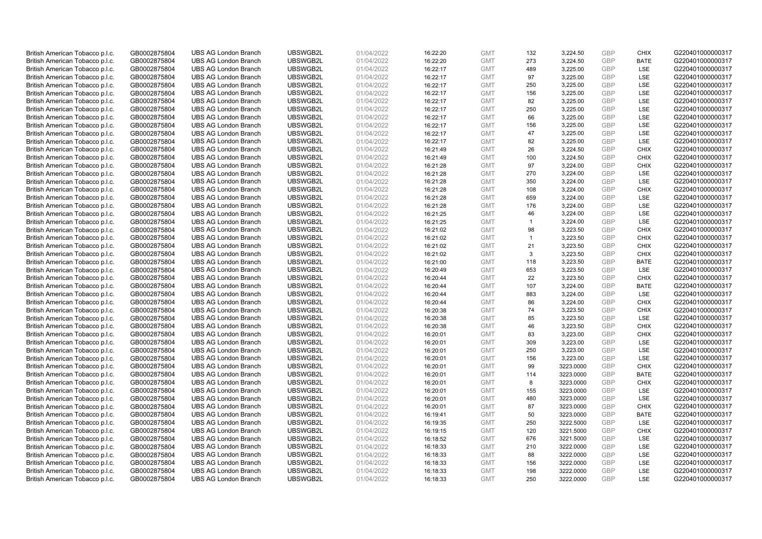| British American Tobacco p.l.c. | GB0002875804 | <b>UBS AG London Branch</b>                                | UBSWGB2L             | 01/04/2022 | 16:22:20 | <b>GMT</b>               | 132            | 3,224.50               | <b>GBP</b>        | <b>CHIX</b> | G220401000000317                     |
|---------------------------------|--------------|------------------------------------------------------------|----------------------|------------|----------|--------------------------|----------------|------------------------|-------------------|-------------|--------------------------------------|
| British American Tobacco p.l.c. | GB0002875804 | <b>UBS AG London Branch</b>                                | UBSWGB2L             | 01/04/2022 | 16:22:20 | <b>GMT</b>               | 273            | 3,224.50               | GBP               | <b>BATE</b> | G220401000000317                     |
| British American Tobacco p.l.c. | GB0002875804 | <b>UBS AG London Branch</b>                                | UBSWGB2L             | 01/04/2022 | 16:22:17 | <b>GMT</b>               | 489            | 3,225.00               | GBP               | LSE         | G220401000000317                     |
| British American Tobacco p.l.c. | GB0002875804 | <b>UBS AG London Branch</b>                                | UBSWGB2L             | 01/04/2022 | 16:22:17 | <b>GMT</b>               | 97             | 3,225.00               | GBP               | <b>LSE</b>  | G220401000000317                     |
| British American Tobacco p.l.c. | GB0002875804 | <b>UBS AG London Branch</b>                                | UBSWGB2L             | 01/04/2022 | 16:22:17 | <b>GMT</b>               | 250            | 3,225.00               | <b>GBP</b>        | LSE         | G220401000000317                     |
| British American Tobacco p.l.c. | GB0002875804 | <b>UBS AG London Branch</b>                                | UBSWGB2L             | 01/04/2022 | 16:22:17 | <b>GMT</b>               | 156            | 3,225.00               | <b>GBP</b>        | LSE         | G220401000000317                     |
| British American Tobacco p.l.c. | GB0002875804 | <b>UBS AG London Branch</b>                                | UBSWGB2L             | 01/04/2022 | 16:22:17 | <b>GMT</b>               | 82             | 3,225.00               | GBP               | LSE         | G220401000000317                     |
| British American Tobacco p.l.c. | GB0002875804 | <b>UBS AG London Branch</b>                                | UBSWGB2L             | 01/04/2022 | 16:22:17 | <b>GMT</b>               | 250            | 3,225.00               | GBP               | <b>LSE</b>  | G220401000000317                     |
| British American Tobacco p.l.c. | GB0002875804 | <b>UBS AG London Branch</b>                                | UBSWGB2L             | 01/04/2022 | 16:22:17 | <b>GMT</b>               | 66             | 3,225.00               | GBP               | LSE         | G220401000000317                     |
| British American Tobacco p.l.c. | GB0002875804 | <b>UBS AG London Branch</b>                                | UBSWGB2L             | 01/04/2022 | 16:22:17 | <b>GMT</b>               | 156            | 3,225.00               | <b>GBP</b>        | <b>LSE</b>  | G220401000000317                     |
| British American Tobacco p.l.c. | GB0002875804 | <b>UBS AG London Branch</b>                                | UBSWGB2L             | 01/04/2022 | 16:22:17 | <b>GMT</b>               | 47             | 3,225.00               | GBP               | LSE         | G220401000000317                     |
| British American Tobacco p.l.c. | GB0002875804 | <b>UBS AG London Branch</b>                                | UBSWGB2L             | 01/04/2022 | 16:22:17 | <b>GMT</b>               | 82             | 3,225.00               | <b>GBP</b>        | LSE         | G220401000000317                     |
| British American Tobacco p.l.c. | GB0002875804 | <b>UBS AG London Branch</b>                                | UBSWGB2L             | 01/04/2022 | 16:21:49 | <b>GMT</b>               | 26             | 3,224.50               | GBP               | <b>CHIX</b> | G220401000000317                     |
| British American Tobacco p.l.c. | GB0002875804 | <b>UBS AG London Branch</b>                                | UBSWGB2L             | 01/04/2022 | 16:21:49 | <b>GMT</b>               | 100            | 3,224.50               | <b>GBP</b>        | <b>CHIX</b> | G220401000000317                     |
| British American Tobacco p.l.c. | GB0002875804 | <b>UBS AG London Branch</b>                                | UBSWGB2L             | 01/04/2022 | 16:21:28 | <b>GMT</b>               | 97             | 3,224.00               | GBP               | <b>CHIX</b> | G220401000000317                     |
| British American Tobacco p.l.c. | GB0002875804 | <b>UBS AG London Branch</b>                                | UBSWGB2L             | 01/04/2022 | 16:21:28 | <b>GMT</b>               | 270            | 3,224.00               | <b>GBP</b>        | <b>LSE</b>  | G220401000000317                     |
| British American Tobacco p.l.c. | GB0002875804 | <b>UBS AG London Branch</b>                                | UBSWGB2L             | 01/04/2022 | 16:21:28 | <b>GMT</b>               | 350            | 3,224.00               | <b>GBP</b>        | <b>LSE</b>  | G220401000000317                     |
| British American Tobacco p.l.c. | GB0002875804 | <b>UBS AG London Branch</b>                                | UBSWGB2L             | 01/04/2022 | 16:21:28 | <b>GMT</b>               | 108            | 3,224.00               | <b>GBP</b>        | <b>CHIX</b> | G220401000000317                     |
| British American Tobacco p.l.c. | GB0002875804 | <b>UBS AG London Branch</b>                                | UBSWGB2L             | 01/04/2022 | 16:21:28 | <b>GMT</b>               | 659            | 3,224.00               | GBP               | <b>LSE</b>  | G220401000000317                     |
| British American Tobacco p.l.c. | GB0002875804 | <b>UBS AG London Branch</b>                                | UBSWGB2L             | 01/04/2022 | 16:21:28 | <b>GMT</b>               | 176            | 3,224.00               | <b>GBP</b>        | LSE         | G220401000000317                     |
| British American Tobacco p.l.c. | GB0002875804 | <b>UBS AG London Branch</b>                                | UBSWGB2L             | 01/04/2022 | 16:21:25 | <b>GMT</b>               | 46             | 3,224.00               | GBP               | LSE         | G220401000000317                     |
| British American Tobacco p.l.c. | GB0002875804 | <b>UBS AG London Branch</b>                                | UBSWGB2L             | 01/04/2022 | 16:21:25 | <b>GMT</b>               | $\mathbf{1}$   | 3,224.00               | GBP               | LSE         | G220401000000317                     |
| British American Tobacco p.l.c. | GB0002875804 | <b>UBS AG London Branch</b>                                | UBSWGB2L             | 01/04/2022 | 16:21:02 | <b>GMT</b>               | 98             | 3,223.50               | <b>GBP</b>        | <b>CHIX</b> | G220401000000317                     |
| British American Tobacco p.l.c. | GB0002875804 | <b>UBS AG London Branch</b>                                | UBSWGB2L             | 01/04/2022 | 16:21:02 | <b>GMT</b>               | $\overline{1}$ | 3,223.50               | GBP               | <b>CHIX</b> | G220401000000317                     |
| British American Tobacco p.l.c. | GB0002875804 | <b>UBS AG London Branch</b>                                | UBSWGB2L             | 01/04/2022 | 16:21:02 | <b>GMT</b>               | 21             | 3,223.50               | <b>GBP</b>        | <b>CHIX</b> | G220401000000317                     |
| British American Tobacco p.l.c. | GB0002875804 | <b>UBS AG London Branch</b>                                | UBSWGB2L             | 01/04/2022 | 16:21:02 | <b>GMT</b>               | 3              | 3,223.50               | GBP               | <b>CHIX</b> | G220401000000317                     |
| British American Tobacco p.l.c. | GB0002875804 | <b>UBS AG London Branch</b>                                | UBSWGB2L             | 01/04/2022 | 16:21:00 | <b>GMT</b>               | 118            | 3,223.50               | <b>GBP</b>        | <b>BATE</b> | G220401000000317                     |
| British American Tobacco p.l.c. | GB0002875804 | <b>UBS AG London Branch</b>                                | UBSWGB2L             | 01/04/2022 | 16:20:49 | <b>GMT</b>               | 653            | 3,223.50               | <b>GBP</b>        | <b>LSE</b>  | G220401000000317                     |
| British American Tobacco p.l.c. | GB0002875804 | <b>UBS AG London Branch</b>                                | UBSWGB2L             | 01/04/2022 | 16:20:44 | <b>GMT</b>               | 22             | 3,223.50               | GBP               | <b>CHIX</b> | G220401000000317                     |
| British American Tobacco p.l.c. | GB0002875804 | <b>UBS AG London Branch</b>                                | UBSWGB2L             | 01/04/2022 | 16:20:44 | <b>GMT</b>               | 107            | 3,224.00               | GBP               | <b>BATE</b> | G220401000000317                     |
| British American Tobacco p.l.c. | GB0002875804 | <b>UBS AG London Branch</b>                                | UBSWGB2L             | 01/04/2022 | 16:20:44 | <b>GMT</b>               | 883            | 3,224.00               | GBP               | LSE         | G220401000000317                     |
| British American Tobacco p.l.c. | GB0002875804 | <b>UBS AG London Branch</b>                                | UBSWGB2L             | 01/04/2022 | 16:20:44 | <b>GMT</b>               | 86             | 3,224.00               | <b>GBP</b>        | <b>CHIX</b> | G220401000000317                     |
| British American Tobacco p.l.c. | GB0002875804 | <b>UBS AG London Branch</b>                                | UBSWGB2L             | 01/04/2022 | 16:20:38 | <b>GMT</b>               | 74             | 3,223.50               | <b>GBP</b>        | <b>CHIX</b> | G220401000000317                     |
| British American Tobacco p.l.c. | GB0002875804 | <b>UBS AG London Branch</b>                                | UBSWGB2L             | 01/04/2022 | 16:20:38 | <b>GMT</b>               | 85             | 3,223.50               | GBP               | LSE         | G220401000000317                     |
| British American Tobacco p.l.c. | GB0002875804 | <b>UBS AG London Branch</b>                                | UBSWGB2L             | 01/04/2022 | 16:20:38 | <b>GMT</b>               | 46             | 3,223.50               | GBP               | <b>CHIX</b> | G220401000000317                     |
| British American Tobacco p.l.c. | GB0002875804 | <b>UBS AG London Branch</b>                                | UBSWGB2L             | 01/04/2022 | 16:20:01 | <b>GMT</b>               | 83             | 3,223.00               | GBP               | <b>CHIX</b> | G220401000000317                     |
| British American Tobacco p.l.c. | GB0002875804 | <b>UBS AG London Branch</b>                                | UBSWGB2L             | 01/04/2022 | 16:20:01 | <b>GMT</b>               | 309            | 3,223.00               | GBP               | <b>LSE</b>  | G220401000000317                     |
| British American Tobacco p.l.c. | GB0002875804 | <b>UBS AG London Branch</b>                                | UBSWGB2L             | 01/04/2022 | 16:20:01 | <b>GMT</b>               | 250            | 3,223.00               | <b>GBP</b>        | LSE         | G220401000000317                     |
| British American Tobacco p.l.c. | GB0002875804 | <b>UBS AG London Branch</b>                                | UBSWGB2L             | 01/04/2022 | 16:20:01 | <b>GMT</b>               | 156            | 3,223.00               | <b>GBP</b>        | LSE         | G220401000000317                     |
| British American Tobacco p.l.c. | GB0002875804 | <b>UBS AG London Branch</b>                                | UBSWGB2L             | 01/04/2022 | 16:20:01 | <b>GMT</b>               | 99             | 3223.0000              | GBP               | <b>CHIX</b> | G220401000000317                     |
| British American Tobacco p.l.c. | GB0002875804 | <b>UBS AG London Branch</b>                                | UBSWGB2L             | 01/04/2022 | 16:20:01 | <b>GMT</b>               | 114            | 3223.0000              | <b>GBP</b>        | <b>BATE</b> | G220401000000317                     |
| British American Tobacco p.l.c. | GB0002875804 | <b>UBS AG London Branch</b>                                | UBSWGB2L             | 01/04/2022 | 16:20:01 | <b>GMT</b>               | 8              | 3223.0000              | GBP               | <b>CHIX</b> | G220401000000317                     |
| British American Tobacco p.l.c. | GB0002875804 | <b>UBS AG London Branch</b>                                | UBSWGB2L             | 01/04/2022 | 16:20:01 | <b>GMT</b>               | 155            | 3223.0000              | <b>GBP</b>        | LSE         | G220401000000317                     |
| British American Tobacco p.l.c. | GB0002875804 | <b>UBS AG London Branch</b>                                | UBSWGB2L             | 01/04/2022 | 16:20:01 | <b>GMT</b>               | 480            | 3223.0000              | GBP               | <b>LSE</b>  | G220401000000317                     |
| British American Tobacco p.l.c. | GB0002875804 | <b>UBS AG London Branch</b>                                | UBSWGB2L             | 01/04/2022 | 16:20:01 | <b>GMT</b>               | 87             | 3223.0000              | GBP               | <b>CHIX</b> | G220401000000317                     |
| British American Tobacco p.l.c. | GB0002875804 | <b>UBS AG London Branch</b>                                | UBSWGB2L             | 01/04/2022 | 16:19:41 | <b>GMT</b>               | 50             | 3223.0000              | GBP               | <b>BATE</b> | G220401000000317                     |
| British American Tobacco p.l.c. | GB0002875804 | <b>UBS AG London Branch</b>                                | UBSWGB2L             | 01/04/2022 | 16:19:35 | <b>GMT</b>               | 250            | 3222.5000              | GBP               | LSE         | G220401000000317                     |
| British American Tobacco p.l.c. | GB0002875804 | <b>UBS AG London Branch</b>                                | UBSWGB2L             | 01/04/2022 | 16:19:15 | <b>GMT</b>               | 120            | 3221.5000              | <b>GBP</b>        | <b>CHIX</b> | G220401000000317                     |
| British American Tobacco p.l.c. | GB0002875804 | <b>UBS AG London Branch</b>                                | UBSWGB2L             | 01/04/2022 |          | <b>GMT</b>               | 676            | 3221.5000              | GBP               | LSE         | G220401000000317                     |
| British American Tobacco p.l.c. |              | <b>UBS AG London Branch</b>                                | UBSWGB2L             | 01/04/2022 | 16:18:52 | <b>GMT</b>               |                |                        | <b>GBP</b>        | LSE         | G220401000000317                     |
|                                 | GB0002875804 |                                                            |                      |            | 16:18:33 |                          | 210            | 3222.0000              |                   |             |                                      |
| British American Tobacco p.l.c. | GB0002875804 | <b>UBS AG London Branch</b><br><b>UBS AG London Branch</b> | UBSWGB2L<br>UBSWGB2L | 01/04/2022 | 16:18:33 | <b>GMT</b><br><b>GMT</b> | 88<br>156      | 3222.0000              | GBP<br><b>GBP</b> | LSE<br>LSE  | G220401000000317<br>G220401000000317 |
| British American Tobacco p.l.c. | GB0002875804 |                                                            |                      | 01/04/2022 | 16:18:33 |                          |                | 3222.0000              | GBP               | LSE         | G220401000000317                     |
| British American Tobacco p.l.c. | GB0002875804 | <b>UBS AG London Branch</b>                                | UBSWGB2L             | 01/04/2022 | 16:18:33 | <b>GMT</b><br><b>GMT</b> | 198<br>250     | 3222.0000<br>3222.0000 | GBP               | <b>LSE</b>  |                                      |
| British American Tobacco p.l.c. | GB0002875804 | <b>UBS AG London Branch</b>                                | UBSWGB2L             | 01/04/2022 | 16:18:33 |                          |                |                        |                   |             | G220401000000317                     |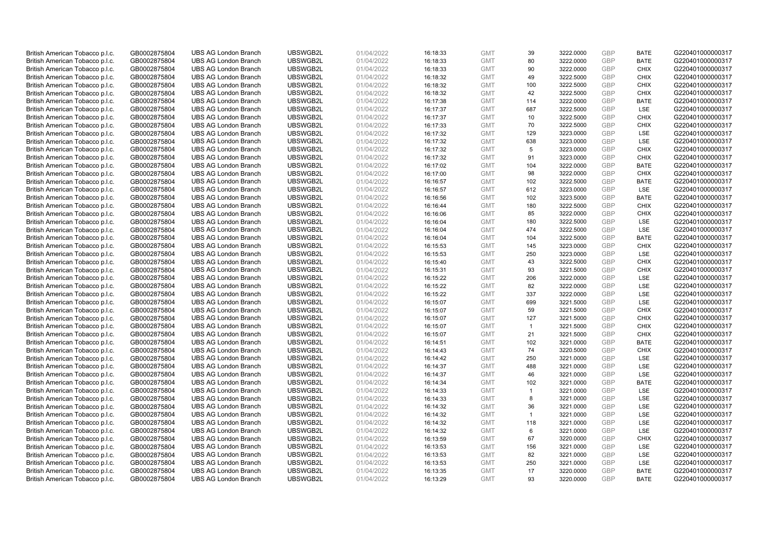| British American Tobacco p.l.c. | GB0002875804 | <b>UBS AG London Branch</b> | UBSWGB2L | 01/04/2022 | 16:18:33 | <b>GMT</b> | 39                   | 3222.0000 | <b>GBP</b> | <b>BATE</b> | G220401000000317 |
|---------------------------------|--------------|-----------------------------|----------|------------|----------|------------|----------------------|-----------|------------|-------------|------------------|
| British American Tobacco p.l.c. | GB0002875804 | <b>UBS AG London Branch</b> | UBSWGB2L | 01/04/2022 | 16:18:33 | <b>GMT</b> | 80                   | 3222.0000 | <b>GBP</b> | <b>BATE</b> | G220401000000317 |
| British American Tobacco p.l.c. | GB0002875804 | <b>UBS AG London Branch</b> | UBSWGB2L | 01/04/2022 | 16:18:33 | <b>GMT</b> | 90                   | 3222.0000 | GBP        | <b>CHIX</b> | G220401000000317 |
| British American Tobacco p.l.c. | GB0002875804 | <b>UBS AG London Branch</b> | UBSWGB2L | 01/04/2022 | 16:18:32 | <b>GMT</b> | 49                   | 3222.5000 | GBP        | <b>CHIX</b> | G220401000000317 |
| British American Tobacco p.l.c. | GB0002875804 | <b>UBS AG London Branch</b> | UBSWGB2L | 01/04/2022 | 16:18:32 | <b>GMT</b> | 100                  | 3222.5000 | <b>GBP</b> | <b>CHIX</b> | G220401000000317 |
| British American Tobacco p.l.c. | GB0002875804 | <b>UBS AG London Branch</b> | UBSWGB2L | 01/04/2022 | 16:18:32 | <b>GMT</b> | 42                   | 3222.5000 | <b>GBP</b> | <b>CHIX</b> | G220401000000317 |
| British American Tobacco p.l.c. | GB0002875804 | <b>UBS AG London Branch</b> | UBSWGB2L | 01/04/2022 | 16:17:38 | <b>GMT</b> | 114                  | 3222.0000 | GBP        | <b>BATE</b> | G220401000000317 |
| British American Tobacco p.l.c. | GB0002875804 | <b>UBS AG London Branch</b> | UBSWGB2L | 01/04/2022 | 16:17:37 | <b>GMT</b> | 687                  | 3222.5000 | <b>GBP</b> | LSE         | G220401000000317 |
| British American Tobacco p.l.c. | GB0002875804 | <b>UBS AG London Branch</b> | UBSWGB2L | 01/04/2022 | 16:17:37 | <b>GMT</b> | 10                   | 3222.5000 | GBP        | <b>CHIX</b> | G220401000000317 |
| British American Tobacco p.l.c. | GB0002875804 | <b>UBS AG London Branch</b> | UBSWGB2L | 01/04/2022 | 16:17:33 | <b>GMT</b> | 70                   | 3222.5000 | <b>GBP</b> | <b>CHIX</b> | G220401000000317 |
| British American Tobacco p.l.c. | GB0002875804 | <b>UBS AG London Branch</b> | UBSWGB2L | 01/04/2022 | 16:17:32 | <b>GMT</b> | 129                  | 3223.0000 | GBP        | <b>LSE</b>  | G220401000000317 |
| British American Tobacco p.l.c. | GB0002875804 | <b>UBS AG London Branch</b> | UBSWGB2L | 01/04/2022 | 16:17:32 | <b>GMT</b> | 638                  | 3223.0000 | <b>GBP</b> | LSE         | G220401000000317 |
| British American Tobacco p.l.c. | GB0002875804 | <b>UBS AG London Branch</b> | UBSWGB2L | 01/04/2022 | 16:17:32 | <b>GMT</b> | 5                    | 3223.0000 | <b>GBP</b> | <b>CHIX</b> | G220401000000317 |
| British American Tobacco p.l.c. | GB0002875804 | <b>UBS AG London Branch</b> | UBSWGB2L | 01/04/2022 | 16:17:32 | <b>GMT</b> | 91                   | 3223.0000 | <b>GBP</b> | <b>CHIX</b> | G220401000000317 |
| British American Tobacco p.l.c. | GB0002875804 | <b>UBS AG London Branch</b> | UBSWGB2L | 01/04/2022 | 16:17:02 | <b>GMT</b> | 104                  | 3222.0000 | <b>GBP</b> | <b>BATE</b> | G220401000000317 |
| British American Tobacco p.l.c. | GB0002875804 | <b>UBS AG London Branch</b> | UBSWGB2L | 01/04/2022 | 16:17:00 | <b>GMT</b> | 98                   | 3222.0000 | GBP        | <b>CHIX</b> | G220401000000317 |
| British American Tobacco p.l.c. | GB0002875804 | <b>UBS AG London Branch</b> | UBSWGB2L | 01/04/2022 | 16:16:57 | <b>GMT</b> | 102                  | 3222.5000 | <b>GBP</b> | <b>BATE</b> | G220401000000317 |
| British American Tobacco p.l.c. | GB0002875804 | <b>UBS AG London Branch</b> | UBSWGB2L | 01/04/2022 | 16:16:57 | <b>GMT</b> | 612                  | 3223.0000 | GBP        | LSE         | G220401000000317 |
| British American Tobacco p.l.c. | GB0002875804 | <b>UBS AG London Branch</b> | UBSWGB2L | 01/04/2022 | 16:16:56 | <b>GMT</b> | 102                  | 3223.5000 | <b>GBP</b> | <b>BATE</b> | G220401000000317 |
| British American Tobacco p.l.c. | GB0002875804 | <b>UBS AG London Branch</b> | UBSWGB2L | 01/04/2022 | 16:16:44 | <b>GMT</b> | 180                  | 3222.5000 | <b>GBP</b> | <b>CHIX</b> | G220401000000317 |
| British American Tobacco p.l.c. | GB0002875804 | <b>UBS AG London Branch</b> | UBSWGB2L | 01/04/2022 | 16:16:06 | <b>GMT</b> | 85                   | 3222.0000 | <b>GBP</b> | <b>CHIX</b> | G220401000000317 |
| British American Tobacco p.l.c. | GB0002875804 | <b>UBS AG London Branch</b> | UBSWGB2L | 01/04/2022 | 16:16:04 | <b>GMT</b> | 180                  | 3222.5000 | <b>GBP</b> | LSE         | G220401000000317 |
| British American Tobacco p.l.c. | GB0002875804 | <b>UBS AG London Branch</b> | UBSWGB2L | 01/04/2022 | 16:16:04 | <b>GMT</b> | 474                  | 3222.5000 | <b>GBP</b> | LSE         | G220401000000317 |
| British American Tobacco p.l.c. | GB0002875804 | <b>UBS AG London Branch</b> | UBSWGB2L | 01/04/2022 | 16:16:04 | <b>GMT</b> | 104                  | 3222.5000 | <b>GBP</b> | <b>BATE</b> | G220401000000317 |
| British American Tobacco p.l.c. | GB0002875804 | <b>UBS AG London Branch</b> | UBSWGB2L | 01/04/2022 | 16:15:53 | <b>GMT</b> | 145                  | 3223.0000 | <b>GBP</b> | <b>CHIX</b> | G220401000000317 |
| British American Tobacco p.l.c. | GB0002875804 | <b>UBS AG London Branch</b> | UBSWGB2L | 01/04/2022 | 16:15:53 | <b>GMT</b> | 250                  | 3223.0000 | <b>GBP</b> | LSE         | G220401000000317 |
| British American Tobacco p.l.c. | GB0002875804 | <b>UBS AG London Branch</b> | UBSWGB2L | 01/04/2022 | 16:15:40 | <b>GMT</b> | 43                   | 3222.5000 | <b>GBP</b> | <b>CHIX</b> | G220401000000317 |
| British American Tobacco p.l.c. | GB0002875804 | <b>UBS AG London Branch</b> | UBSWGB2L | 01/04/2022 | 16:15:31 | <b>GMT</b> | 93                   | 3221.5000 | <b>GBP</b> | <b>CHIX</b> | G220401000000317 |
| British American Tobacco p.l.c. | GB0002875804 | <b>UBS AG London Branch</b> | UBSWGB2L | 01/04/2022 | 16:15:22 | <b>GMT</b> | 206                  | 3222.0000 | <b>GBP</b> | <b>LSE</b>  | G220401000000317 |
| British American Tobacco p.l.c. | GB0002875804 | <b>UBS AG London Branch</b> | UBSWGB2L | 01/04/2022 | 16:15:22 | <b>GMT</b> | 82                   | 3222.0000 | <b>GBP</b> | LSE         | G220401000000317 |
| British American Tobacco p.l.c. | GB0002875804 | <b>UBS AG London Branch</b> | UBSWGB2L | 01/04/2022 | 16:15:22 | <b>GMT</b> | 337                  | 3222.0000 | GBP        | LSE         | G220401000000317 |
| British American Tobacco p.l.c. | GB0002875804 | <b>UBS AG London Branch</b> | UBSWGB2L | 01/04/2022 | 16:15:07 | <b>GMT</b> | 699                  | 3221.5000 | <b>GBP</b> | <b>LSE</b>  | G220401000000317 |
| British American Tobacco p.l.c. | GB0002875804 | <b>UBS AG London Branch</b> | UBSWGB2L | 01/04/2022 | 16:15:07 | <b>GMT</b> | 59                   | 3221.5000 | GBP        | <b>CHIX</b> | G220401000000317 |
| British American Tobacco p.l.c. | GB0002875804 | <b>UBS AG London Branch</b> | UBSWGB2L | 01/04/2022 | 16:15:07 | <b>GMT</b> | 127                  | 3221.5000 | GBP        | <b>CHIX</b> | G220401000000317 |
| British American Tobacco p.l.c. | GB0002875804 | <b>UBS AG London Branch</b> | UBSWGB2L | 01/04/2022 | 16:15:07 | <b>GMT</b> | $\mathbf{1}$         | 3221.5000 | <b>GBP</b> | <b>CHIX</b> | G220401000000317 |
| British American Tobacco p.l.c. | GB0002875804 | <b>UBS AG London Branch</b> | UBSWGB2L | 01/04/2022 | 16:15:07 | <b>GMT</b> | 21                   | 3221.5000 | <b>GBP</b> | <b>CHIX</b> | G220401000000317 |
| British American Tobacco p.l.c. | GB0002875804 | <b>UBS AG London Branch</b> | UBSWGB2L | 01/04/2022 | 16:14:51 | <b>GMT</b> | 102                  | 3221.0000 | <b>GBP</b> | <b>BATE</b> | G220401000000317 |
| British American Tobacco p.l.c. | GB0002875804 | <b>UBS AG London Branch</b> | UBSWGB2L | 01/04/2022 | 16:14:43 | <b>GMT</b> | 74                   | 3220.5000 | <b>GBP</b> | <b>CHIX</b> | G220401000000317 |
| British American Tobacco p.l.c. | GB0002875804 | <b>UBS AG London Branch</b> | UBSWGB2L | 01/04/2022 | 16:14:42 | <b>GMT</b> | 250                  | 3221.0000 | <b>GBP</b> | LSE         | G220401000000317 |
| British American Tobacco p.l.c. | GB0002875804 | <b>UBS AG London Branch</b> | UBSWGB2L | 01/04/2022 | 16:14:37 | <b>GMT</b> | 488                  | 3221.0000 | GBP        | <b>LSE</b>  | G220401000000317 |
| British American Tobacco p.l.c. | GB0002875804 | <b>UBS AG London Branch</b> | UBSWGB2L | 01/04/2022 | 16:14:37 | <b>GMT</b> | 46                   | 3221.0000 | <b>GBP</b> | <b>LSE</b>  | G220401000000317 |
| British American Tobacco p.l.c. | GB0002875804 | <b>UBS AG London Branch</b> | UBSWGB2L | 01/04/2022 | 16:14:34 | <b>GMT</b> | 102                  | 3221.0000 | GBP        | <b>BATE</b> | G220401000000317 |
| British American Tobacco p.l.c. | GB0002875804 | <b>UBS AG London Branch</b> | UBSWGB2L | 01/04/2022 | 16:14:33 | <b>GMT</b> | $\blacktriangleleft$ | 3221.0000 | <b>GBP</b> | LSE         | G220401000000317 |
| British American Tobacco p.l.c. | GB0002875804 | <b>UBS AG London Branch</b> | UBSWGB2L | 01/04/2022 | 16:14:33 | <b>GMT</b> | 8                    | 3221.0000 | GBP        | LSE         | G220401000000317 |
| British American Tobacco p.l.c. | GB0002875804 | <b>UBS AG London Branch</b> | UBSWGB2L | 01/04/2022 | 16:14:32 | <b>GMT</b> | 36                   | 3221.0000 | <b>GBP</b> | <b>LSE</b>  | G220401000000317 |
| British American Tobacco p.l.c. | GB0002875804 | <b>UBS AG London Branch</b> | UBSWGB2L | 01/04/2022 | 16:14:32 | <b>GMT</b> | $\mathbf{1}$         | 3221.0000 | <b>GBP</b> | LSE         | G220401000000317 |
| British American Tobacco p.l.c. | GB0002875804 | <b>UBS AG London Branch</b> | UBSWGB2L | 01/04/2022 | 16:14:32 | <b>GMT</b> | 118                  | 3221.0000 | <b>GBP</b> | LSE         | G220401000000317 |
| British American Tobacco p.l.c. | GB0002875804 | <b>UBS AG London Branch</b> | UBSWGB2L | 01/04/2022 | 16:14:32 | <b>GMT</b> | 6                    | 3221.0000 | <b>GBP</b> | LSE         | G220401000000317 |
| British American Tobacco p.l.c. | GB0002875804 | <b>UBS AG London Branch</b> | UBSWGB2L | 01/04/2022 | 16:13:59 | <b>GMT</b> | 67                   | 3220.0000 | <b>GBP</b> | <b>CHIX</b> | G220401000000317 |
| British American Tobacco p.l.c. | GB0002875804 | <b>UBS AG London Branch</b> | UBSWGB2L | 01/04/2022 | 16:13:53 | <b>GMT</b> | 156                  | 3221.0000 | <b>GBP</b> | <b>LSE</b>  | G220401000000317 |
| British American Tobacco p.l.c. | GB0002875804 | <b>UBS AG London Branch</b> | UBSWGB2L | 01/04/2022 | 16:13:53 | <b>GMT</b> | 82                   | 3221.0000 | GBP        | LSE         | G220401000000317 |
| British American Tobacco p.l.c. | GB0002875804 | <b>UBS AG London Branch</b> | UBSWGB2L | 01/04/2022 | 16:13:53 | <b>GMT</b> | 250                  | 3221.0000 | <b>GBP</b> | LSE         | G220401000000317 |
| British American Tobacco p.l.c. | GB0002875804 | <b>UBS AG London Branch</b> | UBSWGB2L | 01/04/2022 | 16:13:35 | <b>GMT</b> | 17                   | 3220.0000 | GBP        | <b>BATE</b> | G220401000000317 |
| British American Tobacco p.l.c. | GB0002875804 | <b>UBS AG London Branch</b> | UBSWGB2L | 01/04/2022 | 16:13:29 | <b>GMT</b> | 93                   | 3220.0000 | GBP        | <b>BATE</b> | G220401000000317 |
|                                 |              |                             |          |            |          |            |                      |           |            |             |                  |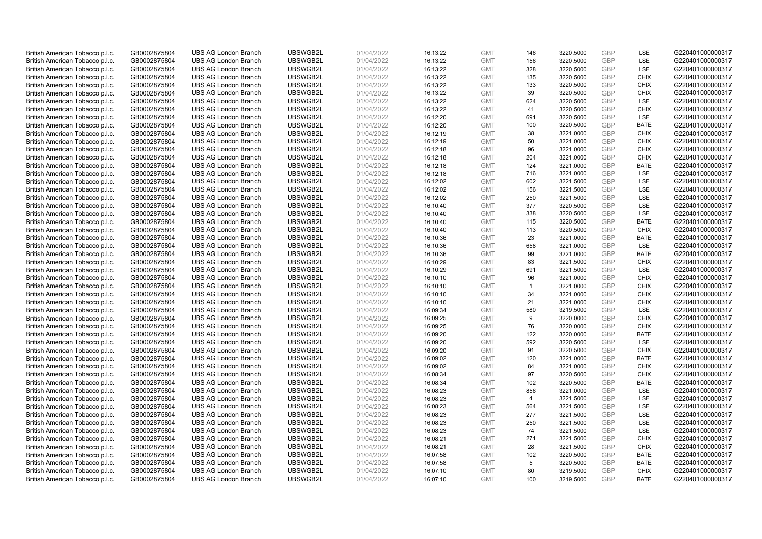| British American Tobacco p.l.c. | GB0002875804 | <b>UBS AG London Branch</b> | UBSWGB2L | 01/04/2022 | 16:13:22 | <b>GMT</b> | 146            | 3220.5000 | <b>GBP</b> | LSE         | G220401000000317 |
|---------------------------------|--------------|-----------------------------|----------|------------|----------|------------|----------------|-----------|------------|-------------|------------------|
| British American Tobacco p.l.c. | GB0002875804 | <b>UBS AG London Branch</b> | UBSWGB2L | 01/04/2022 | 16:13:22 | <b>GMT</b> | 156            | 3220.5000 | <b>GBP</b> | LSE         | G220401000000317 |
| British American Tobacco p.l.c. | GB0002875804 | <b>UBS AG London Branch</b> | UBSWGB2L | 01/04/2022 | 16:13:22 | <b>GMT</b> | 328            | 3220.5000 | <b>GBP</b> | LSE         | G220401000000317 |
| British American Tobacco p.l.c. | GB0002875804 | <b>UBS AG London Branch</b> | UBSWGB2L | 01/04/2022 | 16:13:22 | <b>GMT</b> | 135            | 3220.5000 | GBP        | <b>CHIX</b> | G220401000000317 |
| British American Tobacco p.l.c. | GB0002875804 | <b>UBS AG London Branch</b> | UBSWGB2L | 01/04/2022 | 16:13:22 | <b>GMT</b> | 133            | 3220.5000 | <b>GBP</b> | <b>CHIX</b> | G220401000000317 |
| British American Tobacco p.l.c. | GB0002875804 | <b>UBS AG London Branch</b> | UBSWGB2L | 01/04/2022 | 16:13:22 | <b>GMT</b> | 39             | 3220.5000 | <b>GBP</b> | <b>CHIX</b> | G220401000000317 |
| British American Tobacco p.l.c. | GB0002875804 | <b>UBS AG London Branch</b> | UBSWGB2L | 01/04/2022 | 16:13:22 | <b>GMT</b> | 624            | 3220.5000 | GBP        | LSE         | G220401000000317 |
| British American Tobacco p.l.c. | GB0002875804 | <b>UBS AG London Branch</b> | UBSWGB2L | 01/04/2022 | 16:13:22 | <b>GMT</b> | 41             | 3220.5000 | <b>GBP</b> | <b>CHIX</b> | G220401000000317 |
| British American Tobacco p.l.c. | GB0002875804 | <b>UBS AG London Branch</b> | UBSWGB2L | 01/04/2022 | 16:12:20 | <b>GMT</b> | 691            | 3220.5000 | GBP        | LSE         | G220401000000317 |
| British American Tobacco p.l.c. | GB0002875804 | <b>UBS AG London Branch</b> | UBSWGB2L | 01/04/2022 | 16:12:20 | <b>GMT</b> | 100            | 3220.5000 | <b>GBP</b> | <b>BATE</b> | G220401000000317 |
| British American Tobacco p.l.c. | GB0002875804 | <b>UBS AG London Branch</b> | UBSWGB2L | 01/04/2022 | 16:12:19 | <b>GMT</b> | 38             | 3221.0000 | GBP        | <b>CHIX</b> | G220401000000317 |
| British American Tobacco p.l.c. | GB0002875804 | <b>UBS AG London Branch</b> | UBSWGB2L | 01/04/2022 | 16:12:19 | <b>GMT</b> | 50             | 3221.0000 | <b>GBP</b> | <b>CHIX</b> | G220401000000317 |
| British American Tobacco p.l.c. | GB0002875804 | <b>UBS AG London Branch</b> | UBSWGB2L | 01/04/2022 | 16:12:18 | <b>GMT</b> | 96             | 3221.0000 | <b>GBP</b> | <b>CHIX</b> | G220401000000317 |
| British American Tobacco p.l.c. | GB0002875804 | <b>UBS AG London Branch</b> | UBSWGB2L | 01/04/2022 | 16:12:18 | <b>GMT</b> | 204            | 3221.0000 | <b>GBP</b> | <b>CHIX</b> | G220401000000317 |
| British American Tobacco p.l.c. | GB0002875804 | <b>UBS AG London Branch</b> | UBSWGB2L | 01/04/2022 | 16:12:18 | <b>GMT</b> | 124            | 3221.0000 | <b>GBP</b> | <b>BATE</b> | G220401000000317 |
| British American Tobacco p.l.c. | GB0002875804 | <b>UBS AG London Branch</b> | UBSWGB2L | 01/04/2022 | 16:12:18 | <b>GMT</b> | 716            | 3221.0000 | GBP        | LSE         | G220401000000317 |
| British American Tobacco p.l.c. | GB0002875804 | <b>UBS AG London Branch</b> | UBSWGB2L | 01/04/2022 | 16:12:02 | <b>GMT</b> | 602            | 3221.5000 | <b>GBP</b> | LSE         | G220401000000317 |
| British American Tobacco p.l.c. | GB0002875804 | <b>UBS AG London Branch</b> | UBSWGB2L | 01/04/2022 | 16:12:02 | <b>GMT</b> | 156            | 3221.5000 | <b>GBP</b> | LSE         | G220401000000317 |
| British American Tobacco p.l.c. | GB0002875804 | <b>UBS AG London Branch</b> | UBSWGB2L | 01/04/2022 | 16:12:02 | <b>GMT</b> | 250            | 3221.5000 | GBP        | <b>LSE</b>  | G220401000000317 |
| British American Tobacco p.l.c. | GB0002875804 | <b>UBS AG London Branch</b> | UBSWGB2L | 01/04/2022 | 16:10:40 | <b>GMT</b> | 377            | 3220.5000 | GBP        | LSE         | G220401000000317 |
| British American Tobacco p.l.c. | GB0002875804 | <b>UBS AG London Branch</b> | UBSWGB2L | 01/04/2022 | 16:10:40 | <b>GMT</b> | 338            | 3220.5000 | <b>GBP</b> | LSE         | G220401000000317 |
| British American Tobacco p.l.c. | GB0002875804 | <b>UBS AG London Branch</b> | UBSWGB2L | 01/04/2022 | 16:10:40 | <b>GMT</b> | 115            | 3220.5000 | GBP        | <b>BATE</b> | G220401000000317 |
| British American Tobacco p.l.c. | GB0002875804 | <b>UBS AG London Branch</b> | UBSWGB2L | 01/04/2022 | 16:10:40 | <b>GMT</b> | 113            | 3220.5000 | <b>GBP</b> | <b>CHIX</b> | G220401000000317 |
| British American Tobacco p.l.c. | GB0002875804 | <b>UBS AG London Branch</b> | UBSWGB2L | 01/04/2022 | 16:10:36 | <b>GMT</b> | 23             | 3221.0000 | GBP        | <b>BATE</b> | G220401000000317 |
| British American Tobacco p.l.c. | GB0002875804 | <b>UBS AG London Branch</b> | UBSWGB2L | 01/04/2022 | 16:10:36 | <b>GMT</b> | 658            | 3221.0000 | <b>GBP</b> | LSE         | G220401000000317 |
| British American Tobacco p.l.c. | GB0002875804 | <b>UBS AG London Branch</b> | UBSWGB2L | 01/04/2022 | 16:10:36 | <b>GMT</b> | 99             | 3221.0000 | <b>GBP</b> | <b>BATE</b> | G220401000000317 |
| British American Tobacco p.l.c. | GB0002875804 | <b>UBS AG London Branch</b> | UBSWGB2L | 01/04/2022 | 16:10:29 | <b>GMT</b> | 83             | 3221.5000 | <b>GBP</b> | <b>CHIX</b> | G220401000000317 |
| British American Tobacco p.l.c. | GB0002875804 | <b>UBS AG London Branch</b> | UBSWGB2L | 01/04/2022 | 16:10:29 | <b>GMT</b> | 691            | 3221.5000 | <b>GBP</b> | <b>LSE</b>  | G220401000000317 |
| British American Tobacco p.l.c. | GB0002875804 | <b>UBS AG London Branch</b> | UBSWGB2L | 01/04/2022 | 16:10:10 | <b>GMT</b> | 96             | 3221.0000 | GBP        | <b>CHIX</b> | G220401000000317 |
| British American Tobacco p.l.c. | GB0002875804 | <b>UBS AG London Branch</b> | UBSWGB2L | 01/04/2022 | 16:10:10 | <b>GMT</b> | $\mathbf{1}$   | 3221.0000 | GBP        | <b>CHIX</b> | G220401000000317 |
| British American Tobacco p.l.c. | GB0002875804 | <b>UBS AG London Branch</b> | UBSWGB2L | 01/04/2022 | 16:10:10 | <b>GMT</b> | 34             | 3221.0000 | GBP        | <b>CHIX</b> | G220401000000317 |
| British American Tobacco p.l.c. | GB0002875804 | <b>UBS AG London Branch</b> | UBSWGB2L | 01/04/2022 | 16:10:10 | <b>GMT</b> | 21             | 3221.0000 | GBP        | <b>CHIX</b> | G220401000000317 |
| British American Tobacco p.l.c. | GB0002875804 | <b>UBS AG London Branch</b> | UBSWGB2L | 01/04/2022 | 16:09:34 | <b>GMT</b> | 580            | 3219.5000 | GBP        | LSE         | G220401000000317 |
| British American Tobacco p.l.c. | GB0002875804 | <b>UBS AG London Branch</b> | UBSWGB2L | 01/04/2022 | 16:09:25 | <b>GMT</b> | 9              | 3220.0000 | GBP        | <b>CHIX</b> | G220401000000317 |
| British American Tobacco p.l.c. | GB0002875804 | <b>UBS AG London Branch</b> | UBSWGB2L | 01/04/2022 | 16:09:25 | <b>GMT</b> | 76             | 3220.0000 | GBP        | <b>CHIX</b> | G220401000000317 |
| British American Tobacco p.l.c. | GB0002875804 | <b>UBS AG London Branch</b> | UBSWGB2L | 01/04/2022 | 16:09:20 | <b>GMT</b> | 122            | 3220.0000 | <b>GBP</b> | <b>BATE</b> | G220401000000317 |
| British American Tobacco p.l.c. | GB0002875804 | <b>UBS AG London Branch</b> | UBSWGB2L | 01/04/2022 | 16:09:20 | <b>GMT</b> | 592            | 3220.5000 | GBP        | <b>LSE</b>  | G220401000000317 |
| British American Tobacco p.l.c. | GB0002875804 | <b>UBS AG London Branch</b> | UBSWGB2L | 01/04/2022 | 16:09:20 | <b>GMT</b> | 91             | 3220.5000 | <b>GBP</b> | <b>CHIX</b> | G220401000000317 |
| British American Tobacco p.l.c. | GB0002875804 | <b>UBS AG London Branch</b> | UBSWGB2L | 01/04/2022 | 16:09:02 | <b>GMT</b> | 120            | 3221.0000 | GBP        | <b>BATE</b> | G220401000000317 |
| British American Tobacco p.l.c. | GB0002875804 | <b>UBS AG London Branch</b> | UBSWGB2L | 01/04/2022 | 16:09:02 | <b>GMT</b> | 84             | 3221.0000 | GBP        | <b>CHIX</b> | G220401000000317 |
| British American Tobacco p.l.c. | GB0002875804 | <b>UBS AG London Branch</b> | UBSWGB2L | 01/04/2022 | 16:08:34 | <b>GMT</b> | 97             | 3220.5000 | <b>GBP</b> | <b>CHIX</b> | G220401000000317 |
| British American Tobacco p.l.c. | GB0002875804 | <b>UBS AG London Branch</b> | UBSWGB2L | 01/04/2022 | 16:08:34 | <b>GMT</b> | 102            | 3220.5000 | GBP        | <b>BATE</b> | G220401000000317 |
| British American Tobacco p.l.c. | GB0002875804 | <b>UBS AG London Branch</b> | UBSWGB2L | 01/04/2022 | 16:08:23 | <b>GMT</b> | 856            | 3221.0000 | <b>GBP</b> | LSE         | G220401000000317 |
| British American Tobacco p.l.c. | GB0002875804 | <b>UBS AG London Branch</b> | UBSWGB2L | 01/04/2022 | 16:08:23 | <b>GMT</b> | $\overline{4}$ | 3221.5000 | GBP        | LSE         | G220401000000317 |
| British American Tobacco p.l.c. | GB0002875804 | <b>UBS AG London Branch</b> | UBSWGB2L | 01/04/2022 | 16:08:23 | <b>GMT</b> | 564            | 3221.5000 | <b>GBP</b> | <b>LSE</b>  | G220401000000317 |
| British American Tobacco p.l.c. | GB0002875804 | <b>UBS AG London Branch</b> | UBSWGB2L | 01/04/2022 | 16:08:23 | <b>GMT</b> | 277            | 3221.5000 | <b>GBP</b> | LSE         | G220401000000317 |
| British American Tobacco p.l.c. | GB0002875804 | <b>UBS AG London Branch</b> | UBSWGB2L | 01/04/2022 | 16:08:23 | <b>GMT</b> | 250            | 3221.5000 | <b>GBP</b> | LSE         | G220401000000317 |
| British American Tobacco p.l.c. | GB0002875804 | <b>UBS AG London Branch</b> | UBSWGB2L | 01/04/2022 | 16:08:23 | <b>GMT</b> | 74             | 3221.5000 | <b>GBP</b> | LSE         | G220401000000317 |
| British American Tobacco p.l.c. | GB0002875804 | <b>UBS AG London Branch</b> | UBSWGB2L | 01/04/2022 | 16:08:21 | <b>GMT</b> | 271            | 3221.5000 | GBP        | <b>CHIX</b> | G220401000000317 |
| British American Tobacco p.l.c. | GB0002875804 | <b>UBS AG London Branch</b> | UBSWGB2L | 01/04/2022 | 16:08:21 | <b>GMT</b> | 28             | 3221.5000 | GBP        | <b>CHIX</b> | G220401000000317 |
| British American Tobacco p.l.c. | GB0002875804 | <b>UBS AG London Branch</b> | UBSWGB2L | 01/04/2022 | 16:07:58 | <b>GMT</b> | 102            | 3220.5000 | GBP        | <b>BATE</b> | G220401000000317 |
| British American Tobacco p.l.c. | GB0002875804 | <b>UBS AG London Branch</b> | UBSWGB2L | 01/04/2022 | 16:07:58 | <b>GMT</b> | 5              | 3220.5000 | <b>GBP</b> | <b>BATE</b> | G220401000000317 |
| British American Tobacco p.l.c. | GB0002875804 | <b>UBS AG London Branch</b> | UBSWGB2L | 01/04/2022 | 16:07:10 | <b>GMT</b> | 80             | 3219.5000 | GBP        | <b>CHIX</b> | G220401000000317 |
| British American Tobacco p.l.c. | GB0002875804 | <b>UBS AG London Branch</b> | UBSWGB2L | 01/04/2022 | 16:07:10 | <b>GMT</b> | 100            | 3219.5000 | GBP        | <b>BATE</b> | G220401000000317 |
|                                 |              |                             |          |            |          |            |                |           |            |             |                  |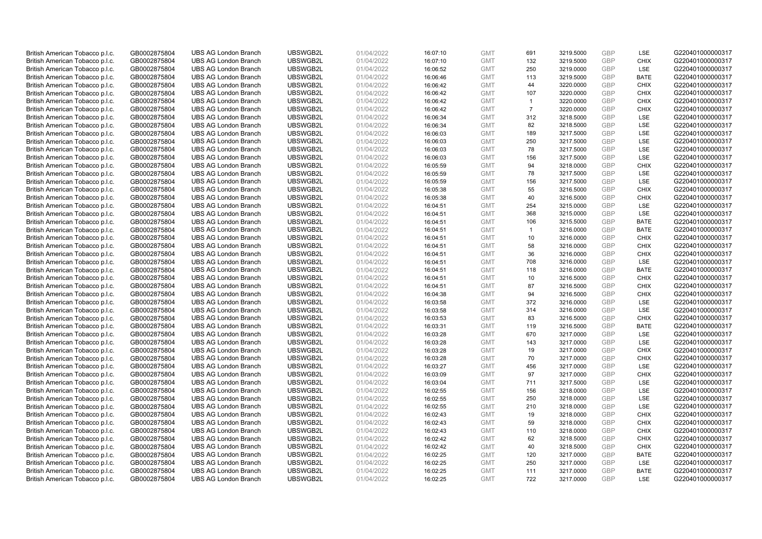| British American Tobacco p.l.c. | GB0002875804 | <b>UBS AG London Branch</b> | UBSWGB2L             | 01/04/2022 | 16:07:10 | <b>GMT</b> | 691            | 3219.5000              | <b>GBP</b> | LSE         | G220401000000317 |
|---------------------------------|--------------|-----------------------------|----------------------|------------|----------|------------|----------------|------------------------|------------|-------------|------------------|
| British American Tobacco p.l.c. | GB0002875804 | <b>UBS AG London Branch</b> | UBSWGB2L             | 01/04/2022 | 16:07:10 | <b>GMT</b> | 132            | 3219.5000              | <b>GBP</b> | <b>CHIX</b> | G220401000000317 |
| British American Tobacco p.l.c. | GB0002875804 | <b>UBS AG London Branch</b> | UBSWGB2L             | 01/04/2022 | 16:06:52 | <b>GMT</b> | 250            | 3219.0000              | GBP        | LSE         | G220401000000317 |
| British American Tobacco p.l.c. | GB0002875804 | <b>UBS AG London Branch</b> | UBSWGB2L             | 01/04/2022 | 16:06:46 | <b>GMT</b> | 113            | 3219.5000              | GBP        | <b>BATE</b> | G220401000000317 |
| British American Tobacco p.l.c. | GB0002875804 | <b>UBS AG London Branch</b> | UBSWGB2L             | 01/04/2022 | 16:06:42 | <b>GMT</b> | 44             | 3220.0000              | <b>GBP</b> | <b>CHIX</b> | G220401000000317 |
| British American Tobacco p.l.c. | GB0002875804 | <b>UBS AG London Branch</b> | UBSWGB2L             | 01/04/2022 | 16:06:42 | <b>GMT</b> | 107            | 3220.0000              | <b>GBP</b> | <b>CHIX</b> | G220401000000317 |
| British American Tobacco p.l.c. | GB0002875804 | <b>UBS AG London Branch</b> | UBSWGB2L             | 01/04/2022 | 16:06:42 | <b>GMT</b> | $\overline{1}$ | 3220.0000              | GBP        | <b>CHIX</b> | G220401000000317 |
| British American Tobacco p.l.c. | GB0002875804 | <b>UBS AG London Branch</b> | UBSWGB2L             | 01/04/2022 | 16:06:42 | <b>GMT</b> | $\overline{7}$ | 3220.0000              | <b>GBP</b> | <b>CHIX</b> | G220401000000317 |
| British American Tobacco p.l.c. | GB0002875804 | <b>UBS AG London Branch</b> | UBSWGB2L             | 01/04/2022 | 16:06:34 | <b>GMT</b> | 312            | 3218.5000              | GBP        | LSE         | G220401000000317 |
| British American Tobacco p.l.c. | GB0002875804 | <b>UBS AG London Branch</b> | UBSWGB2L             | 01/04/2022 | 16:06:34 | <b>GMT</b> | 82             | 3218.5000              | <b>GBP</b> | <b>LSE</b>  | G220401000000317 |
| British American Tobacco p.l.c. | GB0002875804 | <b>UBS AG London Branch</b> | UBSWGB2L             | 01/04/2022 | 16:06:03 | <b>GMT</b> | 189            | 3217.5000              | GBP        | LSE         | G220401000000317 |
| British American Tobacco p.l.c. | GB0002875804 | <b>UBS AG London Branch</b> | UBSWGB2L             | 01/04/2022 | 16:06:03 | <b>GMT</b> | 250            | 3217.5000              | <b>GBP</b> | LSE         | G220401000000317 |
| British American Tobacco p.l.c. | GB0002875804 | <b>UBS AG London Branch</b> | UBSWGB2L             | 01/04/2022 | 16:06:03 | <b>GMT</b> | 78             | 3217.5000              | <b>GBP</b> | LSE         | G220401000000317 |
| British American Tobacco p.l.c. | GB0002875804 | <b>UBS AG London Branch</b> | UBSWGB2L             | 01/04/2022 | 16:06:03 | <b>GMT</b> | 156            | 3217.5000              | <b>GBP</b> | LSE         | G220401000000317 |
| British American Tobacco p.l.c. | GB0002875804 | <b>UBS AG London Branch</b> | UBSWGB2L             | 01/04/2022 | 16:05:59 | <b>GMT</b> | 94             | 3218.0000              | <b>GBP</b> | <b>CHIX</b> | G220401000000317 |
| British American Tobacco p.l.c. | GB0002875804 | <b>UBS AG London Branch</b> | UBSWGB2L             | 01/04/2022 | 16:05:59 | <b>GMT</b> | 78             | 3217.5000              | GBP        | LSE         | G220401000000317 |
| British American Tobacco p.l.c. | GB0002875804 | <b>UBS AG London Branch</b> | UBSWGB2L             | 01/04/2022 | 16:05:59 | <b>GMT</b> | 156            | 3217.5000              | <b>GBP</b> | <b>LSE</b>  | G220401000000317 |
| British American Tobacco p.l.c. | GB0002875804 | <b>UBS AG London Branch</b> | UBSWGB2L             | 01/04/2022 | 16:05:38 | <b>GMT</b> | 55             | 3216.5000              | GBP        | <b>CHIX</b> | G220401000000317 |
| British American Tobacco p.l.c. | GB0002875804 | <b>UBS AG London Branch</b> | UBSWGB2L             | 01/04/2022 | 16:05:38 | <b>GMT</b> | 40             | 3216.5000              | <b>GBP</b> | <b>CHIX</b> | G220401000000317 |
| British American Tobacco p.l.c. | GB0002875804 | <b>UBS AG London Branch</b> | UBSWGB2L             | 01/04/2022 | 16:04:51 | <b>GMT</b> | 254            | 3215.0000              | GBP        | LSE         | G220401000000317 |
| British American Tobacco p.l.c. | GB0002875804 | <b>UBS AG London Branch</b> | UBSWGB2L             | 01/04/2022 | 16:04:51 | <b>GMT</b> | 368            | 3215.0000              | <b>GBP</b> | LSE         | G220401000000317 |
| British American Tobacco p.l.c. | GB0002875804 | <b>UBS AG London Branch</b> | UBSWGB2L             | 01/04/2022 | 16:04:51 | <b>GMT</b> | 106            | 3215.5000              | GBP        | <b>BATE</b> | G220401000000317 |
| British American Tobacco p.l.c. | GB0002875804 | <b>UBS AG London Branch</b> | UBSWGB2L             | 01/04/2022 | 16:04:51 | <b>GMT</b> | $\overline{1}$ | 3216.0000              | <b>GBP</b> | <b>BATE</b> | G220401000000317 |
| British American Tobacco p.l.c. | GB0002875804 | <b>UBS AG London Branch</b> | UBSWGB2L             | 01/04/2022 | 16:04:51 | <b>GMT</b> | 10             | 3216.0000              | GBP        | <b>CHIX</b> | G220401000000317 |
| British American Tobacco p.l.c. | GB0002875804 | <b>UBS AG London Branch</b> | UBSWGB2L             | 01/04/2022 | 16:04:51 | <b>GMT</b> | 58             | 3216.0000              | <b>GBP</b> | <b>CHIX</b> | G220401000000317 |
| British American Tobacco p.l.c. | GB0002875804 | <b>UBS AG London Branch</b> | UBSWGB2L             | 01/04/2022 | 16:04:51 | <b>GMT</b> | 36             | 3216.0000              | <b>GBP</b> | <b>CHIX</b> | G220401000000317 |
| British American Tobacco p.l.c. | GB0002875804 | <b>UBS AG London Branch</b> | UBSWGB2L             | 01/04/2022 | 16:04:51 | <b>GMT</b> | 708            | 3216.0000              | <b>GBP</b> | <b>LSE</b>  | G220401000000317 |
| British American Tobacco p.l.c. | GB0002875804 | <b>UBS AG London Branch</b> | UBSWGB2L             | 01/04/2022 | 16:04:51 | <b>GMT</b> | 118            | 3216.0000              | <b>GBP</b> | <b>BATE</b> | G220401000000317 |
| British American Tobacco p.l.c. | GB0002875804 | <b>UBS AG London Branch</b> | UBSWGB2L             | 01/04/2022 | 16:04:51 | <b>GMT</b> | 10             | 3216.5000              | GBP        | <b>CHIX</b> | G220401000000317 |
| British American Tobacco p.l.c. | GB0002875804 | <b>UBS AG London Branch</b> | UBSWGB2L             | 01/04/2022 | 16:04:51 | <b>GMT</b> | 87             | 3216.5000              | GBP        | <b>CHIX</b> | G220401000000317 |
| British American Tobacco p.l.c. | GB0002875804 | <b>UBS AG London Branch</b> | UBSWGB2L             | 01/04/2022 | 16:04:38 | <b>GMT</b> | 94             | 3216.5000              | GBP        | <b>CHIX</b> | G220401000000317 |
| British American Tobacco p.l.c. | GB0002875804 | <b>UBS AG London Branch</b> | UBSWGB2L             | 01/04/2022 | 16:03:58 | <b>GMT</b> | 372            | 3216.0000              | <b>GBP</b> | <b>LSE</b>  | G220401000000317 |
| British American Tobacco p.l.c. | GB0002875804 | <b>UBS AG London Branch</b> | UBSWGB2L             | 01/04/2022 | 16:03:58 | <b>GMT</b> | 314            | 3216.0000              | <b>GBP</b> | LSE         | G220401000000317 |
| British American Tobacco p.l.c. | GB0002875804 | <b>UBS AG London Branch</b> | UBSWGB2L             | 01/04/2022 | 16:03:53 | <b>GMT</b> | 83             | 3216.5000              | GBP        | <b>CHIX</b> | G220401000000317 |
| British American Tobacco p.l.c. | GB0002875804 | <b>UBS AG London Branch</b> | UBSWGB2L             | 01/04/2022 | 16:03:31 | <b>GMT</b> | 119            | 3216.5000              | GBP        | <b>BATE</b> | G220401000000317 |
| British American Tobacco p.l.c. | GB0002875804 | <b>UBS AG London Branch</b> | UBSWGB2L             | 01/04/2022 | 16:03:28 | <b>GMT</b> | 670            | 3217.0000              | <b>GBP</b> | LSE         | G220401000000317 |
| British American Tobacco p.l.c. | GB0002875804 | <b>UBS AG London Branch</b> | UBSWGB2L             | 01/04/2022 | 16:03:28 | <b>GMT</b> | 143            | 3217.0000              | GBP        | LSE         | G220401000000317 |
| British American Tobacco p.l.c. | GB0002875804 | <b>UBS AG London Branch</b> | UBSWGB2L             | 01/04/2022 | 16:03:28 | <b>GMT</b> | 19             | 3217.0000              | <b>GBP</b> | <b>CHIX</b> | G220401000000317 |
| British American Tobacco p.l.c. | GB0002875804 | <b>UBS AG London Branch</b> | UBSWGB2L             | 01/04/2022 | 16:03:28 | <b>GMT</b> | 70             | 3217.0000              | GBP        | <b>CHIX</b> | G220401000000317 |
| British American Tobacco p.l.c. | GB0002875804 | <b>UBS AG London Branch</b> | UBSWGB2L             | 01/04/2022 | 16:03:27 | <b>GMT</b> | 456            | 3217.0000              | GBP        | <b>LSE</b>  | G220401000000317 |
| British American Tobacco p.l.c. | GB0002875804 | <b>UBS AG London Branch</b> | UBSWGB2L             | 01/04/2022 | 16:03:09 | <b>GMT</b> | 97             | 3217.0000              | <b>GBP</b> | <b>CHIX</b> | G220401000000317 |
| British American Tobacco p.l.c. | GB0002875804 | <b>UBS AG London Branch</b> | UBSWGB2L             | 01/04/2022 | 16:03:04 | <b>GMT</b> | 711            | 3217.5000              | GBP        | <b>LSE</b>  | G220401000000317 |
| British American Tobacco p.l.c. | GB0002875804 | <b>UBS AG London Branch</b> | UBSWGB2L             | 01/04/2022 | 16:02:55 | <b>GMT</b> | 156            | 3218.0000              | <b>GBP</b> | LSE         | G220401000000317 |
| British American Tobacco p.l.c. | GB0002875804 | <b>UBS AG London Branch</b> | UBSWGB2L             | 01/04/2022 | 16:02:55 | <b>GMT</b> | 250            | 3218.0000              | GBP        | LSE         | G220401000000317 |
| British American Tobacco p.l.c. | GB0002875804 | <b>UBS AG London Branch</b> | UBSWGB2L             | 01/04/2022 | 16:02:55 | <b>GMT</b> | 210            | 3218.0000              | GBP        | <b>LSE</b>  | G220401000000317 |
|                                 |              | <b>UBS AG London Branch</b> | UBSWGB2L             | 01/04/2022 |          | <b>GMT</b> |                |                        | GBP        | <b>CHIX</b> | G220401000000317 |
| British American Tobacco p.l.c. | GB0002875804 |                             |                      |            | 16:02:43 | <b>GMT</b> | 19<br>59       | 3218.0000<br>3218.0000 |            | <b>CHIX</b> |                  |
| British American Tobacco p.l.c. | GB0002875804 | <b>UBS AG London Branch</b> | UBSWGB2L<br>UBSWGB2L | 01/04/2022 | 16:02:43 |            |                |                        | GBP<br>GBP | <b>CHIX</b> | G220401000000317 |
| British American Tobacco p.l.c. | GB0002875804 | <b>UBS AG London Branch</b> |                      | 01/04/2022 | 16:02:43 | <b>GMT</b> | 110            | 3218.0000              | GBP        |             | G220401000000317 |
| British American Tobacco p.l.c. | GB0002875804 | <b>UBS AG London Branch</b> | UBSWGB2L             | 01/04/2022 | 16:02:42 | <b>GMT</b> | 62             | 3218.5000              |            | <b>CHIX</b> | G220401000000317 |
| British American Tobacco p.l.c. | GB0002875804 | <b>UBS AG London Branch</b> | UBSWGB2L             | 01/04/2022 | 16:02:42 | <b>GMT</b> | 40             | 3218.5000              | GBP        | <b>CHIX</b> | G220401000000317 |
| British American Tobacco p.l.c. | GB0002875804 | <b>UBS AG London Branch</b> | UBSWGB2L             | 01/04/2022 | 16:02:25 | <b>GMT</b> | 120            | 3217.0000              | GBP        | <b>BATE</b> | G220401000000317 |
| British American Tobacco p.l.c. | GB0002875804 | <b>UBS AG London Branch</b> | UBSWGB2L             | 01/04/2022 | 16:02:25 | <b>GMT</b> | 250            | 3217.0000              | <b>GBP</b> | LSE         | G220401000000317 |
| British American Tobacco p.l.c. | GB0002875804 | <b>UBS AG London Branch</b> | UBSWGB2L             | 01/04/2022 | 16:02:25 | <b>GMT</b> | 111            | 3217.0000              | GBP        | <b>BATE</b> | G220401000000317 |
| British American Tobacco p.l.c. | GB0002875804 | <b>UBS AG London Branch</b> | UBSWGB2L             | 01/04/2022 | 16:02:25 | <b>GMT</b> | 722            | 3217.0000              | GBP        | <b>LSE</b>  | G220401000000317 |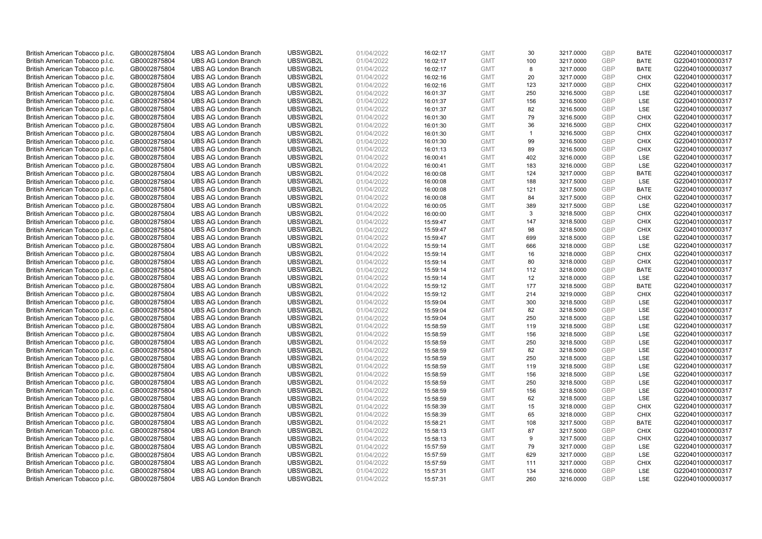| British American Tobacco p.l.c. | GB0002875804 | <b>UBS AG London Branch</b>                                | UBSWGB2L             | 01/04/2022 | 16:02:17 | <b>GMT</b>               | 30                   | 3217.0000 | <b>GBP</b>        | <b>BATE</b>        | G220401000000317                     |
|---------------------------------|--------------|------------------------------------------------------------|----------------------|------------|----------|--------------------------|----------------------|-----------|-------------------|--------------------|--------------------------------------|
| British American Tobacco p.l.c. | GB0002875804 | <b>UBS AG London Branch</b>                                | UBSWGB2L             | 01/04/2022 | 16:02:17 | <b>GMT</b>               | 100                  | 3217.0000 | <b>GBP</b>        | <b>BATE</b>        | G220401000000317                     |
| British American Tobacco p.l.c. | GB0002875804 | <b>UBS AG London Branch</b>                                | UBSWGB2L             | 01/04/2022 | 16:02:17 | <b>GMT</b>               | 8                    | 3217.0000 | GBP               | <b>BATE</b>        | G220401000000317                     |
| British American Tobacco p.l.c. | GB0002875804 | <b>UBS AG London Branch</b>                                | UBSWGB2L             | 01/04/2022 | 16:02:16 | <b>GMT</b>               | 20                   | 3217.0000 | GBP               | <b>CHIX</b>        | G220401000000317                     |
| British American Tobacco p.l.c. | GB0002875804 | <b>UBS AG London Branch</b>                                | UBSWGB2L             | 01/04/2022 | 16:02:16 | <b>GMT</b>               | 123                  | 3217.0000 | <b>GBP</b>        | <b>CHIX</b>        | G220401000000317                     |
| British American Tobacco p.l.c. | GB0002875804 | <b>UBS AG London Branch</b>                                | UBSWGB2L             | 01/04/2022 | 16:01:37 | <b>GMT</b>               | 250                  | 3216.5000 | <b>GBP</b>        | <b>LSE</b>         | G220401000000317                     |
| British American Tobacco p.l.c. | GB0002875804 | <b>UBS AG London Branch</b>                                | UBSWGB2L             | 01/04/2022 | 16:01:37 | <b>GMT</b>               | 156                  | 3216.5000 | GBP               | LSE                | G220401000000317                     |
| British American Tobacco p.l.c. | GB0002875804 | <b>UBS AG London Branch</b>                                | UBSWGB2L             | 01/04/2022 | 16:01:37 | <b>GMT</b>               | 82                   | 3216.5000 | <b>GBP</b>        | LSE                | G220401000000317                     |
| British American Tobacco p.l.c. | GB0002875804 | <b>UBS AG London Branch</b>                                | UBSWGB2L             | 01/04/2022 | 16:01:30 | <b>GMT</b>               | 79                   | 3216.5000 | GBP               | <b>CHIX</b>        | G220401000000317                     |
| British American Tobacco p.l.c. | GB0002875804 | <b>UBS AG London Branch</b>                                | UBSWGB2L             | 01/04/2022 | 16:01:30 | <b>GMT</b>               | 36                   | 3216.5000 | <b>GBP</b>        | <b>CHIX</b>        | G220401000000317                     |
| British American Tobacco p.l.c. | GB0002875804 | <b>UBS AG London Branch</b>                                | UBSWGB2L             | 01/04/2022 | 16:01:30 | <b>GMT</b>               | $\blacktriangleleft$ | 3216.5000 | GBP               | <b>CHIX</b>        | G220401000000317                     |
| British American Tobacco p.l.c. | GB0002875804 | <b>UBS AG London Branch</b>                                | UBSWGB2L             | 01/04/2022 | 16:01:30 | <b>GMT</b>               | 99                   | 3216.5000 | <b>GBP</b>        | <b>CHIX</b>        | G220401000000317                     |
| British American Tobacco p.l.c. | GB0002875804 | <b>UBS AG London Branch</b>                                | UBSWGB2L             | 01/04/2022 | 16:01:13 | <b>GMT</b>               | 89                   | 3216.5000 | <b>GBP</b>        | <b>CHIX</b>        | G220401000000317                     |
| British American Tobacco p.l.c. | GB0002875804 | <b>UBS AG London Branch</b>                                | UBSWGB2L             | 01/04/2022 | 16:00:41 | <b>GMT</b>               | 402                  | 3216.0000 | <b>GBP</b>        | <b>LSE</b>         | G220401000000317                     |
| British American Tobacco p.l.c. | GB0002875804 | <b>UBS AG London Branch</b>                                | UBSWGB2L             | 01/04/2022 | 16:00:41 | <b>GMT</b>               | 183                  | 3216.0000 | <b>GBP</b>        | <b>LSE</b>         | G220401000000317                     |
| British American Tobacco p.l.c. | GB0002875804 | <b>UBS AG London Branch</b>                                | UBSWGB2L             | 01/04/2022 | 16:00:08 | <b>GMT</b>               | 124                  | 3217.0000 | GBP               | <b>BATE</b>        | G220401000000317                     |
| British American Tobacco p.l.c. | GB0002875804 | <b>UBS AG London Branch</b>                                | UBSWGB2L             | 01/04/2022 | 16:00:08 | <b>GMT</b>               | 188                  | 3217.5000 | GBP               | <b>LSE</b>         | G220401000000317                     |
| British American Tobacco p.l.c. | GB0002875804 | <b>UBS AG London Branch</b>                                | UBSWGB2L             | 01/04/2022 | 16:00:08 | <b>GMT</b>               | 121                  | 3217.5000 | GBP               | <b>BATE</b>        | G220401000000317                     |
| British American Tobacco p.l.c. | GB0002875804 | <b>UBS AG London Branch</b>                                | UBSWGB2L             | 01/04/2022 | 16:00:08 | <b>GMT</b>               | 84                   | 3217.5000 | <b>GBP</b>        | <b>CHIX</b>        | G220401000000317                     |
| British American Tobacco p.l.c. | GB0002875804 | <b>UBS AG London Branch</b>                                | UBSWGB2L             | 01/04/2022 | 16:00:05 | <b>GMT</b>               | 389                  | 3217.5000 | GBP               | LSE                | G220401000000317                     |
| British American Tobacco p.l.c. | GB0002875804 | <b>UBS AG London Branch</b>                                | UBSWGB2L             | 01/04/2022 | 16:00:00 | <b>GMT</b>               | 3                    | 3218.5000 | <b>GBP</b>        | <b>CHIX</b>        | G220401000000317                     |
| British American Tobacco p.l.c. | GB0002875804 | <b>UBS AG London Branch</b>                                | UBSWGB2L             | 01/04/2022 | 15:59:47 | <b>GMT</b>               | 147                  | 3218.5000 | GBP               | <b>CHIX</b>        | G220401000000317                     |
| British American Tobacco p.l.c. | GB0002875804 | <b>UBS AG London Branch</b>                                | UBSWGB2L             | 01/04/2022 | 15:59:47 | <b>GMT</b>               | 98                   | 3218.5000 | <b>GBP</b>        | <b>CHIX</b>        | G220401000000317                     |
| British American Tobacco p.l.c. | GB0002875804 | <b>UBS AG London Branch</b>                                | UBSWGB2L             | 01/04/2022 | 15:59:47 | <b>GMT</b>               | 699                  | 3218.5000 | GBP               | <b>LSE</b>         | G220401000000317                     |
| British American Tobacco p.l.c. | GB0002875804 | <b>UBS AG London Branch</b>                                | UBSWGB2L             | 01/04/2022 | 15:59:14 | <b>GMT</b>               | 666                  | 3218.0000 | <b>GBP</b>        | LSE                | G220401000000317                     |
| British American Tobacco p.l.c. | GB0002875804 | <b>UBS AG London Branch</b>                                | UBSWGB2L             | 01/04/2022 | 15:59:14 | <b>GMT</b>               | 16                   | 3218.0000 | <b>GBP</b>        | <b>CHIX</b>        | G220401000000317                     |
| British American Tobacco p.l.c. | GB0002875804 | <b>UBS AG London Branch</b>                                | UBSWGB2L             | 01/04/2022 | 15:59:14 | <b>GMT</b>               | 80                   | 3218.0000 | <b>GBP</b>        | <b>CHIX</b>        | G220401000000317                     |
| British American Tobacco p.l.c. | GB0002875804 | <b>UBS AG London Branch</b>                                | UBSWGB2L             | 01/04/2022 | 15:59:14 | <b>GMT</b>               | 112                  | 3218.0000 | <b>GBP</b>        | <b>BATE</b>        | G220401000000317                     |
| British American Tobacco p.l.c. | GB0002875804 | <b>UBS AG London Branch</b>                                | UBSWGB2L             | 01/04/2022 | 15:59:14 | <b>GMT</b>               | 12                   | 3218.0000 | GBP               | LSE                | G220401000000317                     |
| British American Tobacco p.l.c. | GB0002875804 | <b>UBS AG London Branch</b>                                | UBSWGB2L             | 01/04/2022 | 15:59:12 | <b>GMT</b>               | 177                  | 3218.5000 | <b>GBP</b>        | <b>BATE</b>        | G220401000000317                     |
| British American Tobacco p.l.c. | GB0002875804 | <b>UBS AG London Branch</b>                                | UBSWGB2L             | 01/04/2022 | 15:59:12 | <b>GMT</b>               | 214                  | 3219.0000 | GBP               | <b>CHIX</b>        | G220401000000317                     |
| British American Tobacco p.l.c. | GB0002875804 | <b>UBS AG London Branch</b>                                | UBSWGB2L             | 01/04/2022 | 15:59:04 | <b>GMT</b>               | 300                  | 3218.5000 | <b>GBP</b>        | <b>LSE</b>         | G220401000000317                     |
| British American Tobacco p.l.c. | GB0002875804 | <b>UBS AG London Branch</b>                                | UBSWGB2L             | 01/04/2022 | 15:59:04 | <b>GMT</b>               | 82                   | 3218.5000 | <b>GBP</b>        | LSE                | G220401000000317                     |
| British American Tobacco p.l.c. | GB0002875804 | <b>UBS AG London Branch</b>                                | UBSWGB2L             | 01/04/2022 | 15:59:04 | <b>GMT</b>               | 250                  | 3218.5000 | GBP               | LSE                | G220401000000317                     |
| British American Tobacco p.l.c. | GB0002875804 | <b>UBS AG London Branch</b>                                | UBSWGB2L             | 01/04/2022 | 15:58:59 | <b>GMT</b>               | 119                  | 3218.5000 | <b>GBP</b>        | LSE                | G220401000000317                     |
| British American Tobacco p.l.c. | GB0002875804 | <b>UBS AG London Branch</b>                                | UBSWGB2L             | 01/04/2022 | 15:58:59 | <b>GMT</b>               | 156                  | 3218.5000 | <b>GBP</b>        | LSE                | G220401000000317                     |
| British American Tobacco p.l.c. | GB0002875804 | <b>UBS AG London Branch</b>                                | UBSWGB2L             | 01/04/2022 | 15:58:59 | <b>GMT</b>               | 250                  | 3218.5000 | GBP               | LSE                | G220401000000317                     |
| British American Tobacco p.l.c. | GB0002875804 | <b>UBS AG London Branch</b>                                | UBSWGB2L             | 01/04/2022 | 15:58:59 | <b>GMT</b>               | 82                   | 3218.5000 | <b>GBP</b>        | LSE                | G220401000000317                     |
| British American Tobacco p.l.c. | GB0002875804 | <b>UBS AG London Branch</b>                                | UBSWGB2L             | 01/04/2022 | 15:58:59 | <b>GMT</b>               | 250                  | 3218.5000 | <b>GBP</b>        | LSE                | G220401000000317                     |
| British American Tobacco p.l.c. | GB0002875804 | <b>UBS AG London Branch</b>                                | UBSWGB2L             | 01/04/2022 | 15:58:59 | <b>GMT</b>               | 119                  | 3218.5000 | GBP               | LSE                | G220401000000317                     |
| British American Tobacco p.l.c. | GB0002875804 | <b>UBS AG London Branch</b>                                | UBSWGB2L             | 01/04/2022 | 15:58:59 | <b>GMT</b>               | 156                  | 3218.5000 | <b>GBP</b>        | <b>LSE</b>         | G220401000000317                     |
| British American Tobacco p.l.c. | GB0002875804 | <b>UBS AG London Branch</b>                                | UBSWGB2L             | 01/04/2022 | 15:58:59 | <b>GMT</b>               | 250                  | 3218.5000 | GBP               | LSE                | G220401000000317                     |
| British American Tobacco p.l.c. | GB0002875804 | <b>UBS AG London Branch</b>                                | UBSWGB2L             | 01/04/2022 | 15:58:59 | <b>GMT</b>               | 156                  | 3218.5000 | <b>GBP</b>        | LSE                | G220401000000317                     |
| British American Tobacco p.l.c. | GB0002875804 | <b>UBS AG London Branch</b>                                | UBSWGB2L             | 01/04/2022 | 15:58:59 | <b>GMT</b>               | 62                   | 3218.5000 | GBP               | <b>LSE</b>         | G220401000000317                     |
| British American Tobacco p.l.c. | GB0002875804 | <b>UBS AG London Branch</b>                                | UBSWGB2L             | 01/04/2022 | 15:58:39 | <b>GMT</b>               | 15                   | 3218.0000 | <b>GBP</b>        | <b>CHIX</b>        | G220401000000317                     |
| British American Tobacco p.l.c. | GB0002875804 | <b>UBS AG London Branch</b>                                | UBSWGB2L             | 01/04/2022 | 15:58:39 | <b>GMT</b>               | 65                   | 3218.0000 | <b>GBP</b>        | <b>CHIX</b>        | G220401000000317                     |
| British American Tobacco p.l.c. | GB0002875804 | <b>UBS AG London Branch</b>                                | UBSWGB2L             | 01/04/2022 | 15:58:21 | <b>GMT</b>               | 108                  | 3217.5000 | GBP               | <b>BATE</b>        | G220401000000317                     |
| British American Tobacco p.l.c. | GB0002875804 | <b>UBS AG London Branch</b>                                | UBSWGB2L             | 01/04/2022 | 15:58:13 | <b>GMT</b>               | 87                   | 3217.5000 | <b>GBP</b>        | <b>CHIX</b>        | G220401000000317                     |
| British American Tobacco p.l.c. | GB0002875804 | <b>UBS AG London Branch</b>                                | UBSWGB2L             | 01/04/2022 |          | <b>GMT</b>               | 9                    | 3217.5000 | <b>GBP</b>        | <b>CHIX</b>        | G220401000000317                     |
| British American Tobacco p.l.c. |              | <b>UBS AG London Branch</b>                                | UBSWGB2L             | 01/04/2022 | 15:58:13 | <b>GMT</b>               | 79                   |           | <b>GBP</b>        | <b>LSE</b>         | G220401000000317                     |
|                                 | GB0002875804 |                                                            |                      |            | 15:57:59 |                          |                      | 3217.0000 |                   |                    |                                      |
| British American Tobacco p.l.c. | GB0002875804 | <b>UBS AG London Branch</b><br><b>UBS AG London Branch</b> | UBSWGB2L<br>UBSWGB2L | 01/04/2022 | 15:57:59 | <b>GMT</b><br><b>GMT</b> | 629<br>111           | 3217.0000 | GBP<br><b>GBP</b> | LSE<br><b>CHIX</b> | G220401000000317<br>G220401000000317 |
| British American Tobacco p.l.c. | GB0002875804 |                                                            |                      | 01/04/2022 | 15:57:59 |                          |                      | 3217.0000 | GBP               | LSE                | G220401000000317                     |
| British American Tobacco p.l.c. | GB0002875804 | <b>UBS AG London Branch</b>                                | UBSWGB2L             | 01/04/2022 | 15:57:31 | <b>GMT</b><br><b>GMT</b> | 134<br>260           | 3216.0000 | GBP               | <b>LSE</b>         |                                      |
| British American Tobacco p.l.c. | GB0002875804 | <b>UBS AG London Branch</b>                                | UBSWGB2L             | 01/04/2022 | 15:57:31 |                          |                      | 3216.0000 |                   |                    | G220401000000317                     |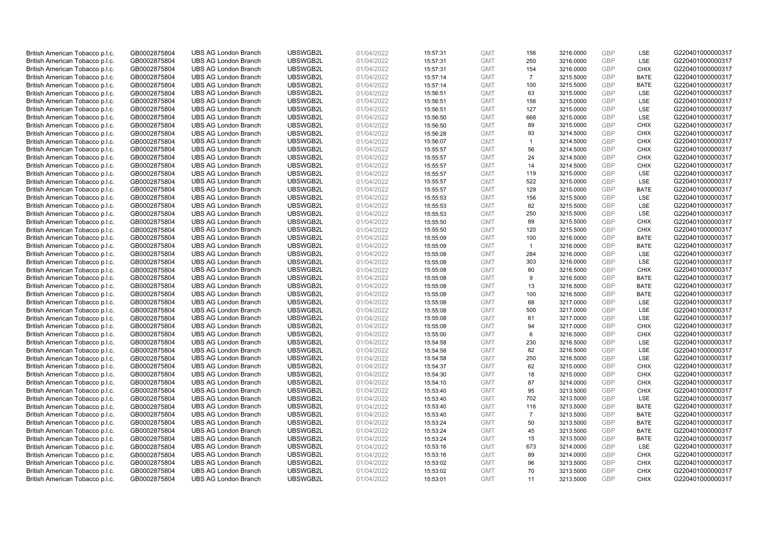| British American Tobacco p.l.c. | GB0002875804 | <b>UBS AG London Branch</b> | UBSWGB2L | 01/04/2022 | 15:57:31 | <b>GMT</b> | 156            | 3216.0000 | <b>GBP</b> | LSE         | G220401000000317 |
|---------------------------------|--------------|-----------------------------|----------|------------|----------|------------|----------------|-----------|------------|-------------|------------------|
| British American Tobacco p.l.c. | GB0002875804 | <b>UBS AG London Branch</b> | UBSWGB2L | 01/04/2022 | 15:57:31 | <b>GMT</b> | 250            | 3216.0000 | <b>GBP</b> | LSE         | G220401000000317 |
| British American Tobacco p.l.c. | GB0002875804 | <b>UBS AG London Branch</b> | UBSWGB2L | 01/04/2022 | 15:57:31 | <b>GMT</b> | 154            | 3216.0000 | GBP        | <b>CHIX</b> | G220401000000317 |
| British American Tobacco p.l.c. | GB0002875804 | <b>UBS AG London Branch</b> | UBSWGB2L | 01/04/2022 | 15:57:14 | <b>GMT</b> | $\overline{7}$ | 3215.5000 | GBP        | <b>BATE</b> | G220401000000317 |
| British American Tobacco p.l.c. | GB0002875804 | <b>UBS AG London Branch</b> | UBSWGB2L | 01/04/2022 | 15:57:14 | <b>GMT</b> | 100            | 3215.5000 | <b>GBP</b> | <b>BATE</b> | G220401000000317 |
| British American Tobacco p.l.c. | GB0002875804 | <b>UBS AG London Branch</b> | UBSWGB2L | 01/04/2022 | 15:56:51 | <b>GMT</b> | 63             | 3215.0000 | <b>GBP</b> | <b>LSE</b>  | G220401000000317 |
| British American Tobacco p.l.c. | GB0002875804 | <b>UBS AG London Branch</b> | UBSWGB2L | 01/04/2022 | 15:56:51 | <b>GMT</b> | 156            | 3215.0000 | <b>GBP</b> | LSE         | G220401000000317 |
| British American Tobacco p.l.c. | GB0002875804 | <b>UBS AG London Branch</b> | UBSWGB2L | 01/04/2022 | 15:56:51 | <b>GMT</b> | 127            | 3215.0000 | <b>GBP</b> | LSE         | G220401000000317 |
| British American Tobacco p.l.c. | GB0002875804 | <b>UBS AG London Branch</b> | UBSWGB2L | 01/04/2022 | 15:56:50 | <b>GMT</b> | 668            | 3215.0000 | <b>GBP</b> | LSE         | G220401000000317 |
| British American Tobacco p.l.c. | GB0002875804 | <b>UBS AG London Branch</b> | UBSWGB2L | 01/04/2022 | 15:56:50 | <b>GMT</b> | 89             | 3215.0000 | <b>GBP</b> | <b>CHIX</b> | G220401000000317 |
| British American Tobacco p.l.c. | GB0002875804 | <b>UBS AG London Branch</b> | UBSWGB2L | 01/04/2022 | 15:56:28 | <b>GMT</b> | 93             | 3214.5000 | <b>GBP</b> | <b>CHIX</b> | G220401000000317 |
| British American Tobacco p.l.c. | GB0002875804 | <b>UBS AG London Branch</b> | UBSWGB2L | 01/04/2022 | 15:56:07 | <b>GMT</b> | $\mathbf{1}$   | 3214.5000 | <b>GBP</b> | <b>CHIX</b> | G220401000000317 |
| British American Tobacco p.l.c. | GB0002875804 | <b>UBS AG London Branch</b> | UBSWGB2L | 01/04/2022 | 15:55:57 | <b>GMT</b> | 56             | 3214.5000 | <b>GBP</b> | <b>CHIX</b> | G220401000000317 |
| British American Tobacco p.l.c. | GB0002875804 | <b>UBS AG London Branch</b> | UBSWGB2L | 01/04/2022 | 15:55:57 | <b>GMT</b> | 24             | 3214.5000 | <b>GBP</b> | <b>CHIX</b> | G220401000000317 |
| British American Tobacco p.l.c. | GB0002875804 | <b>UBS AG London Branch</b> | UBSWGB2L | 01/04/2022 | 15:55:57 | <b>GMT</b> | 14             | 3214.5000 | <b>GBP</b> | <b>CHIX</b> | G220401000000317 |
| British American Tobacco p.l.c. | GB0002875804 | <b>UBS AG London Branch</b> | UBSWGB2L | 01/04/2022 | 15:55:57 | <b>GMT</b> | 119            | 3215.0000 | <b>GBP</b> | <b>LSE</b>  | G220401000000317 |
| British American Tobacco p.l.c. | GB0002875804 | <b>UBS AG London Branch</b> | UBSWGB2L | 01/04/2022 | 15:55:57 | <b>GMT</b> | 522            | 3215.0000 | <b>GBP</b> | LSE         | G220401000000317 |
| British American Tobacco p.l.c. | GB0002875804 | <b>UBS AG London Branch</b> | UBSWGB2L | 01/04/2022 | 15:55:57 | <b>GMT</b> | 129            | 3215.0000 | GBP        | <b>BATE</b> | G220401000000317 |
| British American Tobacco p.l.c. | GB0002875804 | <b>UBS AG London Branch</b> | UBSWGB2L | 01/04/2022 | 15:55:53 | <b>GMT</b> | 156            | 3215.5000 | GBP        | <b>LSE</b>  | G220401000000317 |
| British American Tobacco p.l.c. | GB0002875804 | <b>UBS AG London Branch</b> | UBSWGB2L | 01/04/2022 | 15:55:53 | <b>GMT</b> | 82             | 3215.5000 | <b>GBP</b> | LSE         | G220401000000317 |
| British American Tobacco p.l.c. | GB0002875804 | <b>UBS AG London Branch</b> | UBSWGB2L | 01/04/2022 | 15:55:53 | <b>GMT</b> | 250            | 3215.5000 | <b>GBP</b> | LSE         | G220401000000317 |
| British American Tobacco p.l.c. | GB0002875804 | <b>UBS AG London Branch</b> | UBSWGB2L | 01/04/2022 | 15:55:50 | <b>GMT</b> | 89             | 3215.5000 | <b>GBP</b> | <b>CHIX</b> | G220401000000317 |
| British American Tobacco p.l.c. | GB0002875804 | <b>UBS AG London Branch</b> | UBSWGB2L | 01/04/2022 | 15:55:50 | <b>GMT</b> | 120            | 3215.5000 | <b>GBP</b> | <b>CHIX</b> | G220401000000317 |
| British American Tobacco p.l.c. | GB0002875804 | <b>UBS AG London Branch</b> | UBSWGB2L | 01/04/2022 | 15:55:09 | <b>GMT</b> | 100            | 3216.0000 | <b>GBP</b> | <b>BATE</b> | G220401000000317 |
| British American Tobacco p.l.c. | GB0002875804 | <b>UBS AG London Branch</b> | UBSWGB2L | 01/04/2022 | 15:55:09 | <b>GMT</b> | $\overline{1}$ | 3216.0000 | <b>GBP</b> | <b>BATE</b> | G220401000000317 |
| British American Tobacco p.l.c. | GB0002875804 | <b>UBS AG London Branch</b> | UBSWGB2L | 01/04/2022 | 15:55:08 | <b>GMT</b> | 284            | 3216.0000 | <b>GBP</b> | LSE         | G220401000000317 |
| British American Tobacco p.l.c. | GB0002875804 | <b>UBS AG London Branch</b> | UBSWGB2L | 01/04/2022 | 15:55:08 | <b>GMT</b> | 303            | 3216.0000 | GBP        | <b>LSE</b>  | G220401000000317 |
| British American Tobacco p.l.c. | GB0002875804 | <b>UBS AG London Branch</b> | UBSWGB2L | 01/04/2022 | 15:55:08 | <b>GMT</b> | 80             | 3216.5000 | <b>GBP</b> | <b>CHIX</b> | G220401000000317 |
| British American Tobacco p.l.c. | GB0002875804 | <b>UBS AG London Branch</b> | UBSWGB2L | 01/04/2022 | 15:55:08 | <b>GMT</b> | 9              | 3216.5000 | GBP        | <b>BATE</b> | G220401000000317 |
| British American Tobacco p.l.c. | GB0002875804 | <b>UBS AG London Branch</b> | UBSWGB2L | 01/04/2022 | 15:55:08 | <b>GMT</b> | 13             | 3216.5000 | <b>GBP</b> | <b>BATE</b> | G220401000000317 |
| British American Tobacco p.l.c. | GB0002875804 | <b>UBS AG London Branch</b> | UBSWGB2L | 01/04/2022 | 15:55:08 | <b>GMT</b> | 100            | 3216.5000 | GBP        | <b>BATE</b> | G220401000000317 |
| British American Tobacco p.l.c. | GB0002875804 | <b>UBS AG London Branch</b> | UBSWGB2L | 01/04/2022 | 15:55:08 | <b>GMT</b> | 68             | 3217.0000 | <b>GBP</b> | <b>LSE</b>  | G220401000000317 |
| British American Tobacco p.l.c. | GB0002875804 | <b>UBS AG London Branch</b> | UBSWGB2L | 01/04/2022 | 15:55:08 | <b>GMT</b> | 500            | 3217.0000 | <b>GBP</b> | LSE         | G220401000000317 |
| British American Tobacco p.l.c. | GB0002875804 | <b>UBS AG London Branch</b> | UBSWGB2L | 01/04/2022 | 15:55:08 | <b>GMT</b> | 61             | 3217.0000 | GBP        | LSE         | G220401000000317 |
| British American Tobacco p.l.c. | GB0002875804 | <b>UBS AG London Branch</b> | UBSWGB2L | 01/04/2022 | 15:55:08 | <b>GMT</b> | 94             | 3217.0000 | <b>GBP</b> | <b>CHIX</b> | G220401000000317 |
| British American Tobacco p.l.c. | GB0002875804 | <b>UBS AG London Branch</b> | UBSWGB2L | 01/04/2022 | 15:55:00 | <b>GMT</b> | 6              | 3216.5000 | <b>GBP</b> | <b>CHIX</b> | G220401000000317 |
| British American Tobacco p.l.c. | GB0002875804 | <b>UBS AG London Branch</b> | UBSWGB2L | 01/04/2022 | 15:54:58 | <b>GMT</b> | 230            | 3216.5000 | <b>GBP</b> | <b>LSE</b>  | G220401000000317 |
| British American Tobacco p.l.c. | GB0002875804 | <b>UBS AG London Branch</b> | UBSWGB2L | 01/04/2022 | 15:54:58 | <b>GMT</b> | 82             | 3216.5000 | <b>GBP</b> | LSE         | G220401000000317 |
| British American Tobacco p.l.c. | GB0002875804 | <b>UBS AG London Branch</b> | UBSWGB2L | 01/04/2022 | 15:54:58 | <b>GMT</b> | 250            | 3216.5000 | <b>GBP</b> | LSE         | G220401000000317 |
| British American Tobacco p.l.c. | GB0002875804 | <b>UBS AG London Branch</b> | UBSWGB2L | 01/04/2022 | 15:54:37 | <b>GMT</b> | 62             | 3215.0000 | GBP        | <b>CHIX</b> | G220401000000317 |
| British American Tobacco p.l.c. | GB0002875804 | <b>UBS AG London Branch</b> | UBSWGB2L | 01/04/2022 | 15:54:30 | <b>GMT</b> | 18             | 3215.0000 | <b>GBP</b> | <b>CHIX</b> | G220401000000317 |
| British American Tobacco p.l.c. | GB0002875804 | <b>UBS AG London Branch</b> | UBSWGB2L | 01/04/2022 | 15:54:10 | <b>GMT</b> | 87             | 3214.0000 | GBP        | <b>CHIX</b> | G220401000000317 |
| British American Tobacco p.l.c. | GB0002875804 | <b>UBS AG London Branch</b> | UBSWGB2L | 01/04/2022 | 15:53:40 | <b>GMT</b> | 95             | 3213.5000 | <b>GBP</b> | <b>CHIX</b> | G220401000000317 |
| British American Tobacco p.l.c. | GB0002875804 | <b>UBS AG London Branch</b> | UBSWGB2L | 01/04/2022 | 15:53:40 | <b>GMT</b> | 702            | 3213.5000 | GBP        | <b>LSE</b>  | G220401000000317 |
| British American Tobacco p.l.c. | GB0002875804 | <b>UBS AG London Branch</b> | UBSWGB2L | 01/04/2022 | 15:53:40 | <b>GMT</b> | 116            | 3213.5000 | <b>GBP</b> | <b>BATE</b> | G220401000000317 |
| British American Tobacco p.l.c. | GB0002875804 | <b>UBS AG London Branch</b> | UBSWGB2L | 01/04/2022 | 15:53:40 | <b>GMT</b> | $\overline{7}$ | 3213.5000 | GBP        | <b>BATE</b> | G220401000000317 |
| British American Tobacco p.l.c. | GB0002875804 | <b>UBS AG London Branch</b> | UBSWGB2L | 01/04/2022 | 15:53:24 | <b>GMT</b> | 50             | 3213.5000 | GBP        | <b>BATE</b> | G220401000000317 |
| British American Tobacco p.l.c. | GB0002875804 | <b>UBS AG London Branch</b> | UBSWGB2L | 01/04/2022 | 15:53:24 | <b>GMT</b> | 45             | 3213.5000 | <b>GBP</b> | <b>BATE</b> | G220401000000317 |
| British American Tobacco p.l.c. | GB0002875804 | <b>UBS AG London Branch</b> | UBSWGB2L | 01/04/2022 | 15:53:24 | <b>GMT</b> | 15             | 3213.5000 | <b>GBP</b> | <b>BATE</b> | G220401000000317 |
| British American Tobacco p.l.c. | GB0002875804 | <b>UBS AG London Branch</b> | UBSWGB2L | 01/04/2022 | 15:53:16 | <b>GMT</b> | 673            | 3214.0000 | GBP        | <b>LSE</b>  | G220401000000317 |
| British American Tobacco p.l.c. | GB0002875804 | <b>UBS AG London Branch</b> | UBSWGB2L | 01/04/2022 | 15:53:16 | <b>GMT</b> | 89             | 3214.0000 | GBP        | <b>CHIX</b> | G220401000000317 |
| British American Tobacco p.l.c. | GB0002875804 | <b>UBS AG London Branch</b> | UBSWGB2L | 01/04/2022 | 15:53:02 | <b>GMT</b> | 96             | 3213.5000 | <b>GBP</b> | <b>CHIX</b> | G220401000000317 |
| British American Tobacco p.l.c. | GB0002875804 | <b>UBS AG London Branch</b> | UBSWGB2L | 01/04/2022 | 15:53:02 | <b>GMT</b> | 70             | 3213.5000 | GBP        | <b>CHIX</b> | G220401000000317 |
| British American Tobacco p.l.c. | GB0002875804 | <b>UBS AG London Branch</b> | UBSWGB2L | 01/04/2022 | 15:53:01 | <b>GMT</b> | 11             | 3213.5000 | GBP        | <b>CHIX</b> | G220401000000317 |
|                                 |              |                             |          |            |          |            |                |           |            |             |                  |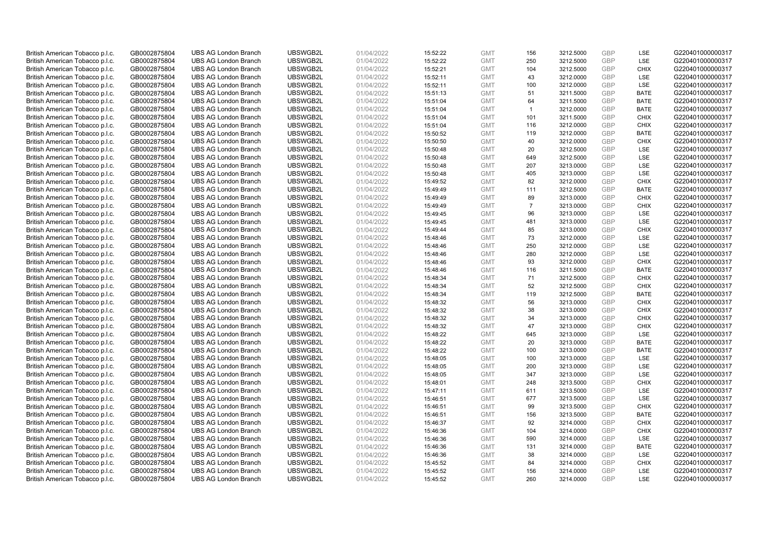| British American Tobacco p.l.c. | GB0002875804 | <b>UBS AG London Branch</b> | UBSWGB2L | 01/04/2022 | 15:52:22 | <b>GMT</b> | 156                  | 3212.5000 | <b>GBP</b> | LSE         | G220401000000317 |
|---------------------------------|--------------|-----------------------------|----------|------------|----------|------------|----------------------|-----------|------------|-------------|------------------|
| British American Tobacco p.l.c. | GB0002875804 | <b>UBS AG London Branch</b> | UBSWGB2L | 01/04/2022 | 15:52:22 | <b>GMT</b> | 250                  | 3212.5000 | <b>GBP</b> | LSE         | G220401000000317 |
| British American Tobacco p.l.c. | GB0002875804 | <b>UBS AG London Branch</b> | UBSWGB2L | 01/04/2022 | 15:52:21 | <b>GMT</b> | 104                  | 3212.5000 | <b>GBP</b> | <b>CHIX</b> | G220401000000317 |
| British American Tobacco p.l.c. | GB0002875804 | <b>UBS AG London Branch</b> | UBSWGB2L | 01/04/2022 | 15:52:11 | <b>GMT</b> | 43                   | 3212.0000 | GBP        | LSE         | G220401000000317 |
| British American Tobacco p.l.c. | GB0002875804 | <b>UBS AG London Branch</b> | UBSWGB2L | 01/04/2022 | 15:52:11 | <b>GMT</b> | 100                  | 3212.0000 | <b>GBP</b> | LSE         | G220401000000317 |
| British American Tobacco p.l.c. | GB0002875804 | <b>UBS AG London Branch</b> | UBSWGB2L | 01/04/2022 | 15:51:13 | <b>GMT</b> | 51                   | 3211.5000 | <b>GBP</b> | <b>BATE</b> | G220401000000317 |
| British American Tobacco p.l.c. | GB0002875804 | <b>UBS AG London Branch</b> | UBSWGB2L | 01/04/2022 | 15:51:04 | <b>GMT</b> | 64                   | 3211.5000 | <b>GBP</b> | <b>BATE</b> | G220401000000317 |
| British American Tobacco p.l.c. | GB0002875804 | <b>UBS AG London Branch</b> | UBSWGB2L | 01/04/2022 | 15:51:04 | <b>GMT</b> | $\blacktriangleleft$ | 3212.0000 | <b>GBP</b> | <b>BATE</b> | G220401000000317 |
| British American Tobacco p.l.c. | GB0002875804 | <b>UBS AG London Branch</b> | UBSWGB2L | 01/04/2022 | 15:51:04 | <b>GMT</b> | 101                  | 3211.5000 | <b>GBP</b> | <b>CHIX</b> | G220401000000317 |
| British American Tobacco p.l.c. | GB0002875804 | <b>UBS AG London Branch</b> | UBSWGB2L | 01/04/2022 | 15:51:04 | <b>GMT</b> | 116                  | 3212.0000 | <b>GBP</b> | <b>CHIX</b> | G220401000000317 |
| British American Tobacco p.l.c. | GB0002875804 | <b>UBS AG London Branch</b> | UBSWGB2L | 01/04/2022 | 15:50:52 | <b>GMT</b> | 119                  | 3212.0000 | GBP        | <b>BATE</b> | G220401000000317 |
| British American Tobacco p.l.c. | GB0002875804 | <b>UBS AG London Branch</b> | UBSWGB2L | 01/04/2022 | 15:50:50 | <b>GMT</b> | 40                   | 3212.0000 | <b>GBP</b> | <b>CHIX</b> | G220401000000317 |
| British American Tobacco p.l.c. | GB0002875804 | <b>UBS AG London Branch</b> | UBSWGB2L | 01/04/2022 | 15:50:48 | <b>GMT</b> | 20                   | 3212.5000 | <b>GBP</b> | LSE         | G220401000000317 |
| British American Tobacco p.l.c. | GB0002875804 | <b>UBS AG London Branch</b> | UBSWGB2L | 01/04/2022 | 15:50:48 | <b>GMT</b> | 649                  | 3212.5000 | GBP        | <b>LSE</b>  | G220401000000317 |
| British American Tobacco p.l.c. | GB0002875804 | <b>UBS AG London Branch</b> | UBSWGB2L | 01/04/2022 | 15:50:48 | <b>GMT</b> | 207                  | 3213.0000 | <b>GBP</b> | <b>LSE</b>  | G220401000000317 |
| British American Tobacco p.l.c. | GB0002875804 | <b>UBS AG London Branch</b> | UBSWGB2L | 01/04/2022 | 15:50:48 | <b>GMT</b> | 405                  | 3213.0000 | GBP        | LSE         | G220401000000317 |
| British American Tobacco p.l.c. | GB0002875804 | <b>UBS AG London Branch</b> | UBSWGB2L | 01/04/2022 | 15:49:52 | <b>GMT</b> | 82                   | 3212.0000 | GBP        | <b>CHIX</b> | G220401000000317 |
| British American Tobacco p.l.c. | GB0002875804 | <b>UBS AG London Branch</b> | UBSWGB2L | 01/04/2022 | 15:49:49 | <b>GMT</b> | 111                  | 3212.5000 | GBP        | <b>BATE</b> | G220401000000317 |
| British American Tobacco p.l.c. | GB0002875804 | <b>UBS AG London Branch</b> | UBSWGB2L | 01/04/2022 | 15:49:49 | <b>GMT</b> | 89                   | 3213.0000 | <b>GBP</b> | <b>CHIX</b> | G220401000000317 |
| British American Tobacco p.l.c. | GB0002875804 | <b>UBS AG London Branch</b> | UBSWGB2L | 01/04/2022 | 15:49:49 | <b>GMT</b> | $\overline{7}$       | 3213.0000 | GBP        | <b>CHIX</b> | G220401000000317 |
| British American Tobacco p.l.c. | GB0002875804 | <b>UBS AG London Branch</b> | UBSWGB2L | 01/04/2022 | 15:49:45 | <b>GMT</b> | 96                   | 3213.0000 | <b>GBP</b> | LSE         | G220401000000317 |
| British American Tobacco p.l.c. | GB0002875804 | <b>UBS AG London Branch</b> | UBSWGB2L | 01/04/2022 | 15:49:45 | <b>GMT</b> | 481                  | 3213.0000 | <b>GBP</b> | LSE         | G220401000000317 |
| British American Tobacco p.l.c. | GB0002875804 | <b>UBS AG London Branch</b> | UBSWGB2L | 01/04/2022 | 15:49:44 | <b>GMT</b> | 85                   | 3213.0000 | <b>GBP</b> | <b>CHIX</b> | G220401000000317 |
| British American Tobacco p.l.c. | GB0002875804 | <b>UBS AG London Branch</b> | UBSWGB2L | 01/04/2022 | 15:48:46 | <b>GMT</b> | 73                   | 3212.0000 | GBP        | <b>LSE</b>  | G220401000000317 |
| British American Tobacco p.l.c. | GB0002875804 | <b>UBS AG London Branch</b> | UBSWGB2L | 01/04/2022 | 15:48:46 | <b>GMT</b> | 250                  | 3212.0000 | <b>GBP</b> | LSE         | G220401000000317 |
| British American Tobacco p.l.c. | GB0002875804 | <b>UBS AG London Branch</b> | UBSWGB2L | 01/04/2022 | 15:48:46 | <b>GMT</b> | 280                  | 3212.0000 | <b>GBP</b> | LSE         | G220401000000317 |
| British American Tobacco p.l.c. | GB0002875804 | <b>UBS AG London Branch</b> | UBSWGB2L | 01/04/2022 | 15:48:46 | <b>GMT</b> | 93                   | 3212.0000 | <b>GBP</b> | <b>CHIX</b> | G220401000000317 |
|                                 |              | <b>UBS AG London Branch</b> | UBSWGB2L | 01/04/2022 |          | <b>GMT</b> | 116                  | 3211.5000 | <b>GBP</b> | <b>BATE</b> | G220401000000317 |
| British American Tobacco p.l.c. | GB0002875804 |                             |          |            | 15:48:46 |            |                      |           |            |             |                  |
| British American Tobacco p.l.c. | GB0002875804 | <b>UBS AG London Branch</b> | UBSWGB2L | 01/04/2022 | 15:48:34 | <b>GMT</b> | 71                   | 3212.5000 | GBP        | <b>CHIX</b> | G220401000000317 |
| British American Tobacco p.l.c. | GB0002875804 | <b>UBS AG London Branch</b> | UBSWGB2L | 01/04/2022 | 15:48:34 | <b>GMT</b> | 52                   | 3212.5000 | GBP        | <b>CHIX</b> | G220401000000317 |
| British American Tobacco p.l.c. | GB0002875804 | <b>UBS AG London Branch</b> | UBSWGB2L | 01/04/2022 | 15:48:34 | <b>GMT</b> | 119                  | 3212.5000 | GBP        | <b>BATE</b> | G220401000000317 |
| British American Tobacco p.l.c. | GB0002875804 | <b>UBS AG London Branch</b> | UBSWGB2L | 01/04/2022 | 15:48:32 | <b>GMT</b> | 56                   | 3213.0000 | GBP        | <b>CHIX</b> | G220401000000317 |
| British American Tobacco p.l.c. | GB0002875804 | <b>UBS AG London Branch</b> | UBSWGB2L | 01/04/2022 | 15:48:32 | <b>GMT</b> | 38                   | 3213.0000 | GBP        | <b>CHIX</b> | G220401000000317 |
| British American Tobacco p.l.c. | GB0002875804 | <b>UBS AG London Branch</b> | UBSWGB2L | 01/04/2022 | 15:48:32 | <b>GMT</b> | 34                   | 3213.0000 | GBP        | <b>CHIX</b> | G220401000000317 |
| British American Tobacco p.l.c. | GB0002875804 | <b>UBS AG London Branch</b> | UBSWGB2L | 01/04/2022 | 15:48:32 | <b>GMT</b> | 47                   | 3213.0000 | <b>GBP</b> | <b>CHIX</b> | G220401000000317 |
| British American Tobacco p.l.c. | GB0002875804 | <b>UBS AG London Branch</b> | UBSWGB2L | 01/04/2022 | 15:48:22 | <b>GMT</b> | 645                  | 3213.0000 | <b>GBP</b> | LSE         | G220401000000317 |
| British American Tobacco p.l.c. | GB0002875804 | <b>UBS AG London Branch</b> | UBSWGB2L | 01/04/2022 | 15:48:22 | <b>GMT</b> | 20                   | 3213.0000 | <b>GBP</b> | <b>BATE</b> | G220401000000317 |
| British American Tobacco p.l.c. | GB0002875804 | <b>UBS AG London Branch</b> | UBSWGB2L | 01/04/2022 | 15:48:22 | <b>GMT</b> | 100                  | 3213.0000 | <b>GBP</b> | <b>BATE</b> | G220401000000317 |
| British American Tobacco p.l.c. | GB0002875804 | <b>UBS AG London Branch</b> | UBSWGB2L | 01/04/2022 | 15:48:05 | <b>GMT</b> | 100                  | 3213.0000 | <b>GBP</b> | LSE         | G220401000000317 |
| British American Tobacco p.l.c. | GB0002875804 | <b>UBS AG London Branch</b> | UBSWGB2L | 01/04/2022 | 15:48:05 | <b>GMT</b> | 200                  | 3213.0000 | GBP        | <b>LSE</b>  | G220401000000317 |
| British American Tobacco p.l.c. | GB0002875804 | <b>UBS AG London Branch</b> | UBSWGB2L | 01/04/2022 | 15:48:05 | <b>GMT</b> | 347                  | 3213.0000 | <b>GBP</b> | <b>LSE</b>  | G220401000000317 |
| British American Tobacco p.l.c. | GB0002875804 | <b>UBS AG London Branch</b> | UBSWGB2L | 01/04/2022 | 15:48:01 | <b>GMT</b> | 248                  | 3213.5000 | GBP        | <b>CHIX</b> | G220401000000317 |
| British American Tobacco p.l.c. | GB0002875804 | <b>UBS AG London Branch</b> | UBSWGB2L | 01/04/2022 | 15:47:11 | <b>GMT</b> | 611                  | 3213.5000 | <b>GBP</b> | LSE         | G220401000000317 |
| British American Tobacco p.l.c. | GB0002875804 | <b>UBS AG London Branch</b> | UBSWGB2L | 01/04/2022 | 15:46:51 | <b>GMT</b> | 677                  | 3213.5000 | GBP        | <b>LSE</b>  | G220401000000317 |
| British American Tobacco p.l.c. | GB0002875804 | <b>UBS AG London Branch</b> | UBSWGB2L | 01/04/2022 | 15:46:51 | <b>GMT</b> | 99                   | 3213.5000 | <b>GBP</b> | <b>CHIX</b> | G220401000000317 |
| British American Tobacco p.l.c. | GB0002875804 | <b>UBS AG London Branch</b> | UBSWGB2L | 01/04/2022 | 15:46:51 | <b>GMT</b> | 156                  | 3213.5000 | <b>GBP</b> | <b>BATE</b> | G220401000000317 |
| British American Tobacco p.l.c. | GB0002875804 | <b>UBS AG London Branch</b> | UBSWGB2L | 01/04/2022 | 15:46:37 | <b>GMT</b> | 92                   | 3214.0000 | <b>GBP</b> | <b>CHIX</b> | G220401000000317 |
| British American Tobacco p.l.c. | GB0002875804 | <b>UBS AG London Branch</b> | UBSWGB2L | 01/04/2022 | 15:46:36 | <b>GMT</b> | 104                  | 3214.0000 | <b>GBP</b> | <b>CHIX</b> | G220401000000317 |
| British American Tobacco p.l.c. | GB0002875804 | <b>UBS AG London Branch</b> | UBSWGB2L | 01/04/2022 | 15:46:36 | <b>GMT</b> | 590                  | 3214.0000 | <b>GBP</b> | LSE         | G220401000000317 |
| British American Tobacco p.l.c. | GB0002875804 | <b>UBS AG London Branch</b> | UBSWGB2L | 01/04/2022 | 15:46:36 | <b>GMT</b> | 131                  | 3214.0000 | <b>GBP</b> | <b>BATE</b> | G220401000000317 |
| British American Tobacco p.l.c. | GB0002875804 | <b>UBS AG London Branch</b> | UBSWGB2L | 01/04/2022 | 15:46:36 | <b>GMT</b> | 38                   | 3214.0000 | GBP        | LSE         | G220401000000317 |
| British American Tobacco p.l.c. | GB0002875804 | <b>UBS AG London Branch</b> | UBSWGB2L | 01/04/2022 | 15:45:52 | <b>GMT</b> | 84                   | 3214.0000 | <b>GBP</b> | <b>CHIX</b> | G220401000000317 |
| British American Tobacco p.l.c. | GB0002875804 | <b>UBS AG London Branch</b> | UBSWGB2L | 01/04/2022 | 15:45:52 | <b>GMT</b> | 156                  | 3214.0000 | GBP        | LSE         | G220401000000317 |
| British American Tobacco p.l.c. | GB0002875804 | <b>UBS AG London Branch</b> | UBSWGB2L | 01/04/2022 | 15:45:52 | <b>GMT</b> | 260                  | 3214.0000 | GBP        | <b>LSE</b>  | G220401000000317 |
|                                 |              |                             |          |            |          |            |                      |           |            |             |                  |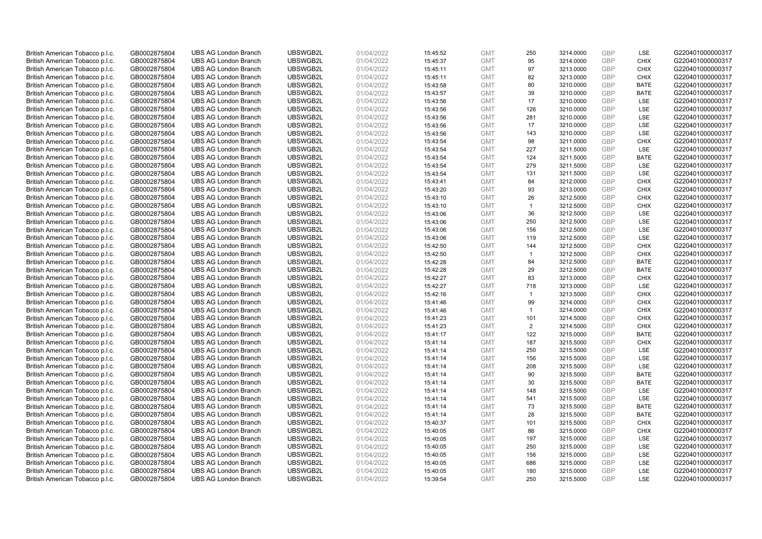| British American Tobacco p.l.c. | GB0002875804 | <b>UBS AG London Branch</b> | UBSWGB2L             | 01/04/2022 | 15:45:52 | <b>GMT</b> | 250            | 3214.0000 | <b>GBP</b>               | LSE                        | G220401000000317 |
|---------------------------------|--------------|-----------------------------|----------------------|------------|----------|------------|----------------|-----------|--------------------------|----------------------------|------------------|
| British American Tobacco p.l.c. | GB0002875804 | <b>UBS AG London Branch</b> | UBSWGB2L             | 01/04/2022 | 15:45:37 | <b>GMT</b> | 95             | 3214.0000 | <b>GBP</b>               | <b>CHIX</b>                | G220401000000317 |
| British American Tobacco p.l.c. | GB0002875804 | <b>UBS AG London Branch</b> | UBSWGB2L             | 01/04/2022 | 15:45:11 | <b>GMT</b> | 97             | 3213.0000 | GBP                      | <b>CHIX</b>                | G220401000000317 |
| British American Tobacco p.l.c. | GB0002875804 | <b>UBS AG London Branch</b> | UBSWGB2L             | 01/04/2022 | 15:45:11 | <b>GMT</b> | 82             | 3213.0000 | GBP                      | <b>CHIX</b>                | G220401000000317 |
| British American Tobacco p.l.c. | GB0002875804 | <b>UBS AG London Branch</b> | UBSWGB2L             | 01/04/2022 | 15:43:58 | <b>GMT</b> | 80             | 3210.0000 | <b>GBP</b>               | <b>BATE</b>                | G220401000000317 |
| British American Tobacco p.l.c. | GB0002875804 | <b>UBS AG London Branch</b> | UBSWGB2L             | 01/04/2022 | 15:43:57 | <b>GMT</b> | 39             | 3210.0000 | <b>GBP</b>               | <b>BATE</b>                | G220401000000317 |
| British American Tobacco p.l.c. | GB0002875804 | <b>UBS AG London Branch</b> | UBSWGB2L             | 01/04/2022 | 15:43:56 | <b>GMT</b> | 17             | 3210.0000 | <b>GBP</b>               | LSE                        | G220401000000317 |
| British American Tobacco p.l.c. | GB0002875804 | <b>UBS AG London Branch</b> | UBSWGB2L             | 01/04/2022 | 15:43:56 | <b>GMT</b> | 126            | 3210.0000 | <b>GBP</b>               | LSE                        | G220401000000317 |
| British American Tobacco p.l.c. | GB0002875804 | <b>UBS AG London Branch</b> | UBSWGB2L             | 01/04/2022 | 15:43:56 | <b>GMT</b> | 281            | 3210.0000 | <b>GBP</b>               | LSE                        | G220401000000317 |
| British American Tobacco p.l.c. | GB0002875804 | <b>UBS AG London Branch</b> | UBSWGB2L             | 01/04/2022 | 15:43:56 | <b>GMT</b> | 17             | 3210.0000 | <b>GBP</b>               | <b>LSE</b>                 | G220401000000317 |
| British American Tobacco p.l.c. | GB0002875804 | <b>UBS AG London Branch</b> | UBSWGB2L             | 01/04/2022 | 15:43:56 | <b>GMT</b> | 143            | 3210.0000 | <b>GBP</b>               | LSE                        | G220401000000317 |
| British American Tobacco p.l.c. | GB0002875804 | <b>UBS AG London Branch</b> | UBSWGB2L             | 01/04/2022 | 15:43:54 | <b>GMT</b> | 98             | 3211.0000 | <b>GBP</b>               | <b>CHIX</b>                | G220401000000317 |
| British American Tobacco p.l.c. | GB0002875804 | <b>UBS AG London Branch</b> | UBSWGB2L             | 01/04/2022 | 15:43:54 | <b>GMT</b> | 227            | 3211.5000 | <b>GBP</b>               | <b>LSE</b>                 | G220401000000317 |
| British American Tobacco p.l.c. | GB0002875804 | <b>UBS AG London Branch</b> | UBSWGB2L             | 01/04/2022 | 15:43:54 | <b>GMT</b> | 124            | 3211.5000 | <b>GBP</b>               | <b>BATE</b>                | G220401000000317 |
| British American Tobacco p.l.c. | GB0002875804 | <b>UBS AG London Branch</b> | UBSWGB2L             | 01/04/2022 | 15:43:54 | <b>GMT</b> | 279            | 3211.5000 | <b>GBP</b>               | <b>LSE</b>                 | G220401000000317 |
| British American Tobacco p.l.c. | GB0002875804 | <b>UBS AG London Branch</b> | UBSWGB2L             | 01/04/2022 | 15:43:54 | <b>GMT</b> | 131            | 3211.5000 | GBP                      | LSE                        | G220401000000317 |
| British American Tobacco p.l.c. | GB0002875804 | <b>UBS AG London Branch</b> | UBSWGB2L             | 01/04/2022 | 15:43:41 | <b>GMT</b> | 84             | 3212.0000 | <b>GBP</b>               | <b>CHIX</b>                | G220401000000317 |
| British American Tobacco p.l.c. | GB0002875804 | <b>UBS AG London Branch</b> | UBSWGB2L             | 01/04/2022 | 15:43:20 | <b>GMT</b> | 93             | 3213.0000 | GBP                      | <b>CHIX</b>                | G220401000000317 |
| British American Tobacco p.l.c. | GB0002875804 | <b>UBS AG London Branch</b> | UBSWGB2L             | 01/04/2022 | 15:43:10 | <b>GMT</b> | 26             | 3212.5000 | <b>GBP</b>               | <b>CHIX</b>                | G220401000000317 |
| British American Tobacco p.l.c. | GB0002875804 | <b>UBS AG London Branch</b> | UBSWGB2L             | 01/04/2022 | 15:43:10 | <b>GMT</b> | $\mathbf{1}$   | 3212.5000 | <b>GBP</b>               | <b>CHIX</b>                | G220401000000317 |
| British American Tobacco p.l.c. | GB0002875804 | <b>UBS AG London Branch</b> | UBSWGB2L             | 01/04/2022 | 15:43:06 | <b>GMT</b> | 36             | 3212.5000 | <b>GBP</b>               | <b>LSE</b>                 | G220401000000317 |
| British American Tobacco p.l.c. | GB0002875804 | <b>UBS AG London Branch</b> | UBSWGB2L             | 01/04/2022 | 15:43:06 | <b>GMT</b> | 250            | 3212.5000 | <b>GBP</b>               | LSE                        | G220401000000317 |
| British American Tobacco p.l.c. | GB0002875804 | <b>UBS AG London Branch</b> | UBSWGB2L             | 01/04/2022 | 15:43:06 | <b>GMT</b> | 156            | 3212.5000 | <b>GBP</b>               | LSE                        | G220401000000317 |
| British American Tobacco p.l.c. | GB0002875804 | <b>UBS AG London Branch</b> | UBSWGB2L             | 01/04/2022 | 15:43:06 | <b>GMT</b> | 119            | 3212.5000 | <b>GBP</b>               | LSE                        | G220401000000317 |
| British American Tobacco p.l.c. | GB0002875804 | <b>UBS AG London Branch</b> | UBSWGB2L             | 01/04/2022 | 15:42:50 | <b>GMT</b> | 144            | 3212.5000 | <b>GBP</b>               | <b>CHIX</b>                | G220401000000317 |
| British American Tobacco p.l.c. | GB0002875804 | <b>UBS AG London Branch</b> | UBSWGB2L             | 01/04/2022 | 15:42:50 | <b>GMT</b> | $\mathbf{1}$   | 3212.5000 | <b>GBP</b>               | <b>CHIX</b>                | G220401000000317 |
| British American Tobacco p.l.c. | GB0002875804 | <b>UBS AG London Branch</b> | UBSWGB2L             | 01/04/2022 | 15:42:28 | <b>GMT</b> | 84             | 3212.5000 | <b>GBP</b>               | <b>BATE</b>                | G220401000000317 |
| British American Tobacco p.l.c. | GB0002875804 | <b>UBS AG London Branch</b> | UBSWGB2L             | 01/04/2022 | 15:42:28 | <b>GMT</b> | 29             | 3212.5000 | <b>GBP</b>               | <b>BATE</b>                | G220401000000317 |
| British American Tobacco p.l.c. | GB0002875804 | <b>UBS AG London Branch</b> | UBSWGB2L             | 01/04/2022 | 15:42:27 | <b>GMT</b> | 83             | 3213.0000 | GBP                      | <b>CHIX</b>                | G220401000000317 |
| British American Tobacco p.l.c. | GB0002875804 | <b>UBS AG London Branch</b> | UBSWGB2L             | 01/04/2022 | 15:42:27 | <b>GMT</b> | 718            | 3213.0000 | <b>GBP</b>               | LSE                        | G220401000000317 |
| British American Tobacco p.l.c. | GB0002875804 | <b>UBS AG London Branch</b> | UBSWGB2L             | 01/04/2022 | 15:42:16 | <b>GMT</b> | $\overline{1}$ | 3213.5000 | GBP                      | <b>CHIX</b>                | G220401000000317 |
| British American Tobacco p.l.c. | GB0002875804 | <b>UBS AG London Branch</b> | UBSWGB2L             | 01/04/2022 | 15:41:46 | <b>GMT</b> | 99             | 3214.0000 | <b>GBP</b>               | <b>CHIX</b>                | G220401000000317 |
| British American Tobacco p.l.c. | GB0002875804 | <b>UBS AG London Branch</b> | UBSWGB2L             | 01/04/2022 | 15:41:46 | <b>GMT</b> | $\overline{1}$ | 3214.0000 | GBP                      | <b>CHIX</b>                | G220401000000317 |
| British American Tobacco p.l.c. | GB0002875804 | <b>UBS AG London Branch</b> | UBSWGB2L             | 01/04/2022 | 15:41:23 | <b>GMT</b> | 101            | 3214.5000 | GBP                      | <b>CHIX</b>                | G220401000000317 |
| British American Tobacco p.l.c. | GB0002875804 | <b>UBS AG London Branch</b> | UBSWGB2L             | 01/04/2022 | 15:41:23 | <b>GMT</b> | 2              | 3214.5000 | <b>GBP</b>               | <b>CHIX</b>                | G220401000000317 |
| British American Tobacco p.l.c. | GB0002875804 | <b>UBS AG London Branch</b> | UBSWGB2L             | 01/04/2022 | 15:41:17 | <b>GMT</b> | 122            | 3215.0000 | <b>GBP</b>               | <b>BATE</b>                | G220401000000317 |
| British American Tobacco p.l.c. | GB0002875804 | <b>UBS AG London Branch</b> | UBSWGB2L             | 01/04/2022 | 15:41:14 | <b>GMT</b> | 187            | 3215.5000 | <b>GBP</b>               | <b>CHIX</b>                | G220401000000317 |
| British American Tobacco p.l.c. | GB0002875804 | <b>UBS AG London Branch</b> | UBSWGB2L             | 01/04/2022 | 15:41:14 | <b>GMT</b> | 250            | 3215.5000 | <b>GBP</b>               | LSE                        | G220401000000317 |
| British American Tobacco p.l.c. | GB0002875804 | <b>UBS AG London Branch</b> | UBSWGB2L             | 01/04/2022 | 15:41:14 | <b>GMT</b> | 156            | 3215.5000 | <b>GBP</b>               | LSE                        | G220401000000317 |
| British American Tobacco p.l.c. | GB0002875804 | <b>UBS AG London Branch</b> | UBSWGB2L             | 01/04/2022 | 15:41:14 | <b>GMT</b> | 208            | 3215.5000 | GBP                      | <b>LSE</b>                 | G220401000000317 |
| British American Tobacco p.l.c. | GB0002875804 | <b>UBS AG London Branch</b> | UBSWGB2L             | 01/04/2022 | 15:41:14 | <b>GMT</b> | 90             | 3215.5000 | <b>GBP</b>               | <b>BATE</b>                | G220401000000317 |
| British American Tobacco p.l.c. | GB0002875804 | <b>UBS AG London Branch</b> | UBSWGB2L             | 01/04/2022 | 15:41:14 | <b>GMT</b> | 30             | 3215.5000 | GBP                      | <b>BATE</b>                | G220401000000317 |
| British American Tobacco p.l.c. | GB0002875804 | <b>UBS AG London Branch</b> | UBSWGB2L             | 01/04/2022 | 15:41:14 | <b>GMT</b> | 148            | 3215.5000 | <b>GBP</b>               | LSE                        | G220401000000317 |
| British American Tobacco p.l.c. | GB0002875804 | <b>UBS AG London Branch</b> | UBSWGB2L             | 01/04/2022 | 15:41:14 | <b>GMT</b> | 541            | 3215.5000 | GBP                      | <b>LSE</b>                 | G220401000000317 |
| British American Tobacco p.l.c. | GB0002875804 | <b>UBS AG London Branch</b> | UBSWGB2L             | 01/04/2022 | 15:41:14 | <b>GMT</b> | 73             | 3215.5000 | <b>GBP</b>               | <b>BATE</b>                | G220401000000317 |
|                                 |              | <b>UBS AG London Branch</b> | UBSWGB2L             | 01/04/2022 | 15:41:14 | <b>GMT</b> | 28             | 3215.5000 | GBP                      | <b>BATE</b>                | G220401000000317 |
| British American Tobacco p.l.c. | GB0002875804 |                             |                      |            |          |            | 101            |           |                          |                            |                  |
| British American Tobacco p.l.c. | GB0002875804 | <b>UBS AG London Branch</b> | UBSWGB2L<br>UBSWGB2L | 01/04/2022 | 15:40:37 | <b>GMT</b> | 86             | 3215.5000 | <b>GBP</b><br><b>GBP</b> | <b>CHIX</b><br><b>CHIX</b> | G220401000000317 |
| British American Tobacco p.l.c. | GB0002875804 | <b>UBS AG London Branch</b> |                      | 01/04/2022 | 15:40:05 | <b>GMT</b> |                | 3215.0000 |                          |                            | G220401000000317 |
| British American Tobacco p.l.c. | GB0002875804 | <b>UBS AG London Branch</b> | UBSWGB2L             | 01/04/2022 | 15:40:05 | <b>GMT</b> | 197            | 3215.0000 | <b>GBP</b>               | LSE                        | G220401000000317 |
| British American Tobacco p.l.c. | GB0002875804 | <b>UBS AG London Branch</b> | UBSWGB2L             | 01/04/2022 | 15:40:05 | <b>GMT</b> | 250            | 3215.0000 | <b>GBP</b>               | LSE                        | G220401000000317 |
| British American Tobacco p.l.c. | GB0002875804 | <b>UBS AG London Branch</b> | UBSWGB2L             | 01/04/2022 | 15:40:05 | <b>GMT</b> | 156            | 3215.0000 | GBP                      | LSE                        | G220401000000317 |
| British American Tobacco p.l.c. | GB0002875804 | <b>UBS AG London Branch</b> | UBSWGB2L             | 01/04/2022 | 15:40:05 | <b>GMT</b> | 686            | 3215.0000 | <b>GBP</b>               | LSE                        | G220401000000317 |
| British American Tobacco p.l.c. | GB0002875804 | <b>UBS AG London Branch</b> | UBSWGB2L             | 01/04/2022 | 15:40:05 | <b>GMT</b> | 180            | 3215.0000 | GBP                      | LSE                        | G220401000000317 |
| British American Tobacco p.l.c. | GB0002875804 | <b>UBS AG London Branch</b> | UBSWGB2L             | 01/04/2022 | 15:39:54 | <b>GMT</b> | 250            | 3215.5000 | GBP                      | <b>LSE</b>                 | G220401000000317 |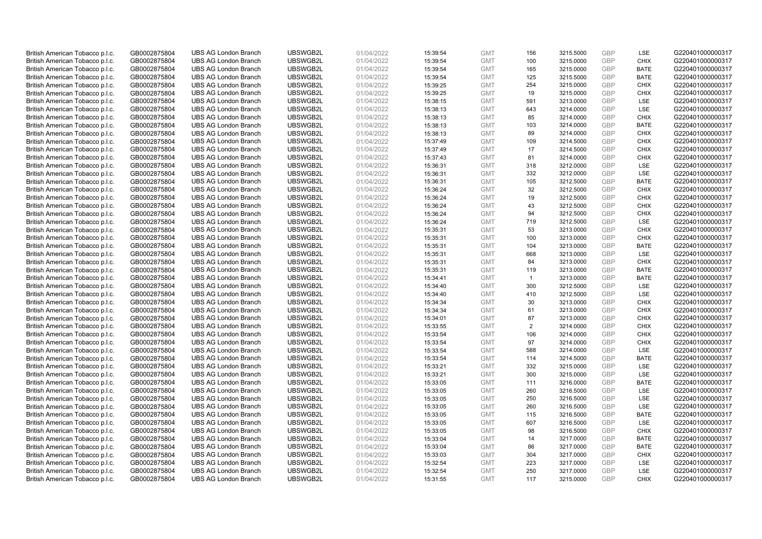| British American Tobacco p.l.c. | GB0002875804 | <b>UBS AG London Branch</b> | UBSWGB2L             | 01/04/2022 | 15:39:54 | <b>GMT</b> | 156            | 3215.5000              | <b>GBP</b> | LSE         | G220401000000317 |
|---------------------------------|--------------|-----------------------------|----------------------|------------|----------|------------|----------------|------------------------|------------|-------------|------------------|
| British American Tobacco p.l.c. | GB0002875804 | <b>UBS AG London Branch</b> | UBSWGB2L             | 01/04/2022 | 15:39:54 | <b>GMT</b> | 100            | 3215.0000              | <b>GBP</b> | <b>CHIX</b> | G220401000000317 |
| British American Tobacco p.l.c. | GB0002875804 | <b>UBS AG London Branch</b> | UBSWGB2L             | 01/04/2022 | 15:39:54 | <b>GMT</b> | 165            | 3215.0000              | GBP        | <b>BATE</b> | G220401000000317 |
| British American Tobacco p.l.c. | GB0002875804 | <b>UBS AG London Branch</b> | UBSWGB2L             | 01/04/2022 | 15:39:54 | <b>GMT</b> | 125            | 3215.5000              | GBP        | <b>BATE</b> | G220401000000317 |
| British American Tobacco p.l.c. | GB0002875804 | <b>UBS AG London Branch</b> | UBSWGB2L             | 01/04/2022 | 15:39:25 | <b>GMT</b> | 254            | 3215.0000              | <b>GBP</b> | <b>CHIX</b> | G220401000000317 |
| British American Tobacco p.l.c. | GB0002875804 | <b>UBS AG London Branch</b> | UBSWGB2L             | 01/04/2022 | 15:39:25 | <b>GMT</b> | 19             | 3215.0000              | <b>GBP</b> | <b>CHIX</b> | G220401000000317 |
| British American Tobacco p.l.c. | GB0002875804 | <b>UBS AG London Branch</b> | UBSWGB2L             | 01/04/2022 | 15:38:15 | <b>GMT</b> | 591            | 3213.0000              | GBP        | LSE         | G220401000000317 |
| British American Tobacco p.l.c. | GB0002875804 | <b>UBS AG London Branch</b> | UBSWGB2L             | 01/04/2022 | 15:38:13 | <b>GMT</b> | 643            | 3214.0000              | <b>GBP</b> | LSE         | G220401000000317 |
| British American Tobacco p.l.c. | GB0002875804 | <b>UBS AG London Branch</b> | UBSWGB2L             | 01/04/2022 | 15:38:13 | <b>GMT</b> | 85             | 3214.0000              | GBP        | <b>CHIX</b> | G220401000000317 |
| British American Tobacco p.l.c. | GB0002875804 | <b>UBS AG London Branch</b> | UBSWGB2L             | 01/04/2022 | 15:38:13 | <b>GMT</b> | 103            | 3214.0000              | <b>GBP</b> | <b>BATE</b> | G220401000000317 |
| British American Tobacco p.l.c. | GB0002875804 | <b>UBS AG London Branch</b> | UBSWGB2L             | 01/04/2022 | 15:38:13 | <b>GMT</b> | 89             | 3214.0000              | GBP        | <b>CHIX</b> | G220401000000317 |
| British American Tobacco p.l.c. | GB0002875804 | <b>UBS AG London Branch</b> | UBSWGB2L             | 01/04/2022 | 15:37:49 | <b>GMT</b> | 109            | 3214.5000              | <b>GBP</b> | <b>CHIX</b> | G220401000000317 |
| British American Tobacco p.l.c. | GB0002875804 | <b>UBS AG London Branch</b> | UBSWGB2L             | 01/04/2022 | 15:37:49 | <b>GMT</b> | 17             | 3214.5000              | <b>GBP</b> | <b>CHIX</b> | G220401000000317 |
| British American Tobacco p.l.c. | GB0002875804 | <b>UBS AG London Branch</b> | UBSWGB2L             | 01/04/2022 | 15:37:43 | <b>GMT</b> | 81             | 3214.0000              | <b>GBP</b> | <b>CHIX</b> | G220401000000317 |
| British American Tobacco p.l.c. | GB0002875804 | <b>UBS AG London Branch</b> | UBSWGB2L             | 01/04/2022 | 15:36:31 | <b>GMT</b> | 318            | 3212.0000              | <b>GBP</b> | <b>LSE</b>  | G220401000000317 |
| British American Tobacco p.l.c. | GB0002875804 | <b>UBS AG London Branch</b> | UBSWGB2L             | 01/04/2022 | 15:36:31 | <b>GMT</b> | 332            | 3212.0000              | GBP        | LSE         | G220401000000317 |
| British American Tobacco p.l.c. | GB0002875804 | <b>UBS AG London Branch</b> | UBSWGB2L             | 01/04/2022 | 15:36:31 | <b>GMT</b> | 105            | 3212.5000              | GBP        | <b>BATE</b> | G220401000000317 |
| British American Tobacco p.l.c. | GB0002875804 | <b>UBS AG London Branch</b> | UBSWGB2L             | 01/04/2022 | 15:36:24 | <b>GMT</b> | 32             | 3212.5000              | GBP        | <b>CHIX</b> | G220401000000317 |
| British American Tobacco p.l.c. | GB0002875804 | <b>UBS AG London Branch</b> | UBSWGB2L             | 01/04/2022 | 15:36:24 | <b>GMT</b> | 19             | 3212.5000              | <b>GBP</b> | <b>CHIX</b> | G220401000000317 |
| British American Tobacco p.l.c. | GB0002875804 | <b>UBS AG London Branch</b> | UBSWGB2L             | 01/04/2022 | 15:36:24 | <b>GMT</b> | 43             | 3212.5000              | GBP        | <b>CHIX</b> | G220401000000317 |
| British American Tobacco p.l.c. | GB0002875804 | <b>UBS AG London Branch</b> | UBSWGB2L             | 01/04/2022 | 15:36:24 | <b>GMT</b> | 94             | 3212.5000              | <b>GBP</b> | <b>CHIX</b> | G220401000000317 |
| British American Tobacco p.l.c. | GB0002875804 | <b>UBS AG London Branch</b> | UBSWGB2L             | 01/04/2022 | 15:36:24 | <b>GMT</b> | 719            | 3212.5000              | GBP        | LSE         | G220401000000317 |
| British American Tobacco p.l.c. | GB0002875804 | <b>UBS AG London Branch</b> | UBSWGB2L             | 01/04/2022 | 15:35:31 | <b>GMT</b> | 53             | 3213.0000              | <b>GBP</b> | <b>CHIX</b> | G220401000000317 |
| British American Tobacco p.l.c. | GB0002875804 | <b>UBS AG London Branch</b> | UBSWGB2L             | 01/04/2022 | 15:35:31 | <b>GMT</b> | 100            | 3213.0000              | GBP        | <b>CHIX</b> | G220401000000317 |
| British American Tobacco p.l.c. | GB0002875804 | <b>UBS AG London Branch</b> | UBSWGB2L             | 01/04/2022 | 15:35:31 | <b>GMT</b> | 104            | 3213.0000              | <b>GBP</b> | <b>BATE</b> | G220401000000317 |
| British American Tobacco p.l.c. | GB0002875804 | <b>UBS AG London Branch</b> | UBSWGB2L             | 01/04/2022 | 15:35:31 | <b>GMT</b> | 668            | 3213.0000              | <b>GBP</b> | LSE         | G220401000000317 |
| British American Tobacco p.l.c. | GB0002875804 | <b>UBS AG London Branch</b> | UBSWGB2L             | 01/04/2022 | 15:35:31 | <b>GMT</b> | 84             | 3213.0000              | <b>GBP</b> | <b>CHIX</b> | G220401000000317 |
| British American Tobacco p.l.c. | GB0002875804 | <b>UBS AG London Branch</b> | UBSWGB2L             | 01/04/2022 | 15:35:31 | <b>GMT</b> | 119            | 3213.0000              | <b>GBP</b> | <b>BATE</b> | G220401000000317 |
| British American Tobacco p.l.c. | GB0002875804 | <b>UBS AG London Branch</b> | UBSWGB2L             | 01/04/2022 | 15:34:41 | <b>GMT</b> | $\overline{1}$ | 3213.0000              | GBP        | <b>BATE</b> | G220401000000317 |
| British American Tobacco p.l.c. | GB0002875804 | <b>UBS AG London Branch</b> | UBSWGB2L             | 01/04/2022 | 15:34:40 | <b>GMT</b> | 300            | 3212.5000              | <b>GBP</b> | LSE         | G220401000000317 |
| British American Tobacco p.l.c. | GB0002875804 | <b>UBS AG London Branch</b> | UBSWGB2L             | 01/04/2022 | 15:34:40 | <b>GMT</b> | 410            | 3212.5000              | GBP        | LSE         | G220401000000317 |
| British American Tobacco p.l.c. | GB0002875804 | <b>UBS AG London Branch</b> | UBSWGB2L             | 01/04/2022 | 15:34:34 | <b>GMT</b> | 30             | 3213.0000              | GBP        | <b>CHIX</b> | G220401000000317 |
| British American Tobacco p.l.c. | GB0002875804 | <b>UBS AG London Branch</b> | UBSWGB2L             | 01/04/2022 | 15:34:34 | <b>GMT</b> | 61             | 3213.0000              | GBP        | <b>CHIX</b> | G220401000000317 |
| British American Tobacco p.l.c. | GB0002875804 | <b>UBS AG London Branch</b> | UBSWGB2L             | 01/04/2022 | 15:34:01 | <b>GMT</b> | 87             | 3213.0000              | GBP        | <b>CHIX</b> | G220401000000317 |
| British American Tobacco p.l.c. | GB0002875804 | <b>UBS AG London Branch</b> | UBSWGB2L             | 01/04/2022 | 15:33:55 | <b>GMT</b> | 2              | 3214.0000              | GBP        | <b>CHIX</b> | G220401000000317 |
| British American Tobacco p.l.c. | GB0002875804 | <b>UBS AG London Branch</b> | UBSWGB2L             | 01/04/2022 | 15:33:54 | <b>GMT</b> | 106            | 3214.0000              | <b>GBP</b> | <b>CHIX</b> | G220401000000317 |
| British American Tobacco p.l.c. | GB0002875804 | <b>UBS AG London Branch</b> | UBSWGB2L             | 01/04/2022 | 15:33:54 | <b>GMT</b> | 97             | 3214.0000              | GBP        | <b>CHIX</b> | G220401000000317 |
| British American Tobacco p.l.c. | GB0002875804 | <b>UBS AG London Branch</b> | UBSWGB2L             | 01/04/2022 | 15:33:54 | <b>GMT</b> | 588            | 3214.0000              | <b>GBP</b> | LSE         | G220401000000317 |
| British American Tobacco p.l.c. | GB0002875804 | <b>UBS AG London Branch</b> | UBSWGB2L             | 01/04/2022 | 15:33:54 | <b>GMT</b> | 114            | 3214.5000              | GBP        | <b>BATE</b> | G220401000000317 |
| British American Tobacco p.l.c. | GB0002875804 | <b>UBS AG London Branch</b> | UBSWGB2L             | 01/04/2022 | 15:33:21 | <b>GMT</b> | 332            | 3215.0000              | GBP        | <b>LSE</b>  | G220401000000317 |
| British American Tobacco p.l.c. | GB0002875804 | <b>UBS AG London Branch</b> | UBSWGB2L             | 01/04/2022 | 15:33:21 | <b>GMT</b> | 300            | 3215.0000              | <b>GBP</b> | <b>LSE</b>  | G220401000000317 |
| British American Tobacco p.l.c. | GB0002875804 | <b>UBS AG London Branch</b> | UBSWGB2L             | 01/04/2022 | 15:33:05 | <b>GMT</b> | 111            | 3216.0000              | GBP        | <b>BATE</b> | G220401000000317 |
| British American Tobacco p.l.c. | GB0002875804 | <b>UBS AG London Branch</b> | UBSWGB2L             | 01/04/2022 | 15:33:05 | <b>GMT</b> | 260            | 3216.5000              | <b>GBP</b> | LSE         | G220401000000317 |
| British American Tobacco p.l.c. | GB0002875804 | <b>UBS AG London Branch</b> | UBSWGB2L             | 01/04/2022 | 15:33:05 | <b>GMT</b> | 250            | 3216.5000              | GBP        | LSE         | G220401000000317 |
| British American Tobacco p.l.c. | GB0002875804 | <b>UBS AG London Branch</b> | UBSWGB2L             | 01/04/2022 | 15:33:05 | <b>GMT</b> | 260            | 3216.5000              | GBP        | <b>LSE</b>  | G220401000000317 |
|                                 |              | <b>UBS AG London Branch</b> | UBSWGB2L             | 01/04/2022 |          | <b>GMT</b> |                |                        | GBP        | <b>BATE</b> | G220401000000317 |
| British American Tobacco p.l.c. | GB0002875804 |                             |                      |            | 15:33:05 | <b>GMT</b> | 115<br>607     | 3216.5000<br>3216.5000 |            | LSE         |                  |
| British American Tobacco p.l.c. | GB0002875804 | <b>UBS AG London Branch</b> | UBSWGB2L<br>UBSWGB2L | 01/04/2022 | 15:33:05 |            |                |                        | GBP<br>GBP | <b>CHIX</b> | G220401000000317 |
| British American Tobacco p.l.c. | GB0002875804 | <b>UBS AG London Branch</b> |                      | 01/04/2022 | 15:33:05 | <b>GMT</b> | 98             | 3216.5000              | GBP        |             | G220401000000317 |
| British American Tobacco p.l.c. | GB0002875804 | <b>UBS AG London Branch</b> | UBSWGB2L             | 01/04/2022 | 15:33:04 | <b>GMT</b> | 14             | 3217.0000              |            | <b>BATE</b> | G220401000000317 |
| British American Tobacco p.l.c. | GB0002875804 | <b>UBS AG London Branch</b> | UBSWGB2L             | 01/04/2022 | 15:33:04 | <b>GMT</b> | 86             | 3217.0000              | GBP        | <b>BATE</b> | G220401000000317 |
| British American Tobacco p.l.c. | GB0002875804 | <b>UBS AG London Branch</b> | UBSWGB2L             | 01/04/2022 | 15:33:03 | <b>GMT</b> | 304            | 3217.0000              | GBP        | <b>CHIX</b> | G220401000000317 |
| British American Tobacco p.l.c. | GB0002875804 | <b>UBS AG London Branch</b> | UBSWGB2L             | 01/04/2022 | 15:32:54 | <b>GMT</b> | 223            | 3217.0000              | <b>GBP</b> | LSE         | G220401000000317 |
| British American Tobacco p.l.c. | GB0002875804 | <b>UBS AG London Branch</b> | UBSWGB2L             | 01/04/2022 | 15:32:54 | <b>GMT</b> | 250            | 3217.0000              | GBP        | LSE         | G220401000000317 |
| British American Tobacco p.l.c. | GB0002875804 | <b>UBS AG London Branch</b> | UBSWGB2L             | 01/04/2022 | 15:31:55 | <b>GMT</b> | 117            | 3215.0000              | GBP        | <b>CHIX</b> | G220401000000317 |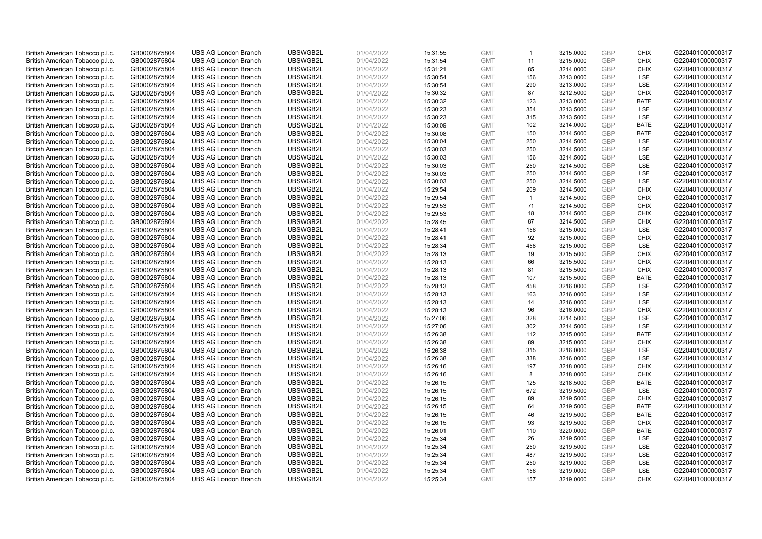| British American Tobacco p.l.c. | GB0002875804 | <b>UBS AG London Branch</b> | UBSWGB2L | 01/04/2022 | 15:31:55 | <b>GMT</b> | $\mathbf{1}$   | 3215.0000 | <b>GBP</b> | <b>CHIX</b> | G220401000000317 |
|---------------------------------|--------------|-----------------------------|----------|------------|----------|------------|----------------|-----------|------------|-------------|------------------|
| British American Tobacco p.l.c. | GB0002875804 | <b>UBS AG London Branch</b> | UBSWGB2L | 01/04/2022 | 15:31:54 | <b>GMT</b> | 11             | 3215.0000 | <b>GBP</b> | <b>CHIX</b> | G220401000000317 |
| British American Tobacco p.l.c. | GB0002875804 | <b>UBS AG London Branch</b> | UBSWGB2L | 01/04/2022 | 15:31:21 | <b>GMT</b> | 85             | 3214.0000 | GBP        | <b>CHIX</b> | G220401000000317 |
| British American Tobacco p.l.c. | GB0002875804 | <b>UBS AG London Branch</b> | UBSWGB2L | 01/04/2022 | 15:30:54 | <b>GMT</b> | 156            | 3213.0000 | GBP        | LSE         | G220401000000317 |
| British American Tobacco p.l.c. | GB0002875804 | <b>UBS AG London Branch</b> | UBSWGB2L | 01/04/2022 | 15:30:54 | <b>GMT</b> | 290            | 3213.0000 | <b>GBP</b> | LSE         | G220401000000317 |
| British American Tobacco p.l.c. | GB0002875804 | <b>UBS AG London Branch</b> | UBSWGB2L | 01/04/2022 | 15:30:32 | <b>GMT</b> | 87             | 3212.5000 | <b>GBP</b> | <b>CHIX</b> | G220401000000317 |
| British American Tobacco p.l.c. | GB0002875804 | <b>UBS AG London Branch</b> | UBSWGB2L | 01/04/2022 | 15:30:32 | <b>GMT</b> | 123            | 3213.0000 | GBP        | <b>BATE</b> | G220401000000317 |
| British American Tobacco p.l.c. | GB0002875804 | <b>UBS AG London Branch</b> | UBSWGB2L | 01/04/2022 | 15:30:23 | <b>GMT</b> | 354            | 3213.5000 | <b>GBP</b> | <b>LSE</b>  | G220401000000317 |
| British American Tobacco p.l.c. | GB0002875804 | <b>UBS AG London Branch</b> | UBSWGB2L | 01/04/2022 | 15:30:23 | <b>GMT</b> | 315            | 3213.5000 | GBP        | LSE         | G220401000000317 |
| British American Tobacco p.l.c. | GB0002875804 | <b>UBS AG London Branch</b> | UBSWGB2L | 01/04/2022 | 15:30:09 | <b>GMT</b> | 102            | 3214.0000 | <b>GBP</b> | <b>BATE</b> | G220401000000317 |
| British American Tobacco p.l.c. | GB0002875804 | <b>UBS AG London Branch</b> | UBSWGB2L | 01/04/2022 | 15:30:08 | <b>GMT</b> | 150            | 3214.5000 | GBP        | <b>BATE</b> | G220401000000317 |
| British American Tobacco p.l.c. | GB0002875804 | <b>UBS AG London Branch</b> | UBSWGB2L | 01/04/2022 | 15:30:04 | <b>GMT</b> | 250            | 3214.5000 | <b>GBP</b> | LSE         | G220401000000317 |
| British American Tobacco p.l.c. | GB0002875804 | <b>UBS AG London Branch</b> | UBSWGB2L | 01/04/2022 | 15:30:03 | <b>GMT</b> | 250            | 3214.5000 | <b>GBP</b> | LSE         | G220401000000317 |
| British American Tobacco p.l.c. | GB0002875804 | <b>UBS AG London Branch</b> | UBSWGB2L | 01/04/2022 | 15:30:03 | <b>GMT</b> | 156            | 3214.5000 | GBP        | LSE         | G220401000000317 |
| British American Tobacco p.l.c. | GB0002875804 | <b>UBS AG London Branch</b> | UBSWGB2L | 01/04/2022 | 15:30:03 | <b>GMT</b> | 250            | 3214.5000 | <b>GBP</b> | <b>LSE</b>  | G220401000000317 |
| British American Tobacco p.l.c. | GB0002875804 | <b>UBS AG London Branch</b> | UBSWGB2L | 01/04/2022 | 15:30:03 | <b>GMT</b> | 250            | 3214.5000 | GBP        | LSE         | G220401000000317 |
| British American Tobacco p.l.c. | GB0002875804 | <b>UBS AG London Branch</b> | UBSWGB2L | 01/04/2022 | 15:30:03 | <b>GMT</b> | 250            | 3214.5000 | <b>GBP</b> | LSE         | G220401000000317 |
| British American Tobacco p.l.c. | GB0002875804 | <b>UBS AG London Branch</b> | UBSWGB2L | 01/04/2022 | 15:29:54 | <b>GMT</b> | 209            | 3214.5000 | GBP        | <b>CHIX</b> | G220401000000317 |
| British American Tobacco p.l.c. | GB0002875804 | <b>UBS AG London Branch</b> | UBSWGB2L | 01/04/2022 | 15:29:54 | <b>GMT</b> | $\overline{1}$ | 3214.5000 | <b>GBP</b> | <b>CHIX</b> | G220401000000317 |
| British American Tobacco p.l.c. | GB0002875804 | <b>UBS AG London Branch</b> | UBSWGB2L | 01/04/2022 | 15:29:53 | <b>GMT</b> | 71             | 3214.5000 | GBP        | <b>CHIX</b> | G220401000000317 |
| British American Tobacco p.l.c. | GB0002875804 | <b>UBS AG London Branch</b> | UBSWGB2L | 01/04/2022 | 15:29:53 | <b>GMT</b> | 18             | 3214.5000 | <b>GBP</b> | <b>CHIX</b> | G220401000000317 |
| British American Tobacco p.l.c. | GB0002875804 | <b>UBS AG London Branch</b> | UBSWGB2L | 01/04/2022 | 15:28:45 | <b>GMT</b> | 87             | 3214.5000 | GBP        | <b>CHIX</b> | G220401000000317 |
| British American Tobacco p.l.c. | GB0002875804 | <b>UBS AG London Branch</b> | UBSWGB2L | 01/04/2022 | 15:28:41 | <b>GMT</b> | 156            | 3215.0000 | <b>GBP</b> | <b>LSE</b>  | G220401000000317 |
| British American Tobacco p.l.c. | GB0002875804 | <b>UBS AG London Branch</b> | UBSWGB2L | 01/04/2022 | 15:28:41 | <b>GMT</b> | 92             | 3215.0000 | GBP        | <b>CHIX</b> | G220401000000317 |
| British American Tobacco p.l.c. | GB0002875804 | <b>UBS AG London Branch</b> | UBSWGB2L | 01/04/2022 | 15:28:34 | <b>GMT</b> | 458            | 3215.0000 | <b>GBP</b> | LSE         | G220401000000317 |
| British American Tobacco p.l.c. | GB0002875804 | <b>UBS AG London Branch</b> | UBSWGB2L | 01/04/2022 | 15:28:13 | <b>GMT</b> | 19             | 3215.5000 | <b>GBP</b> | <b>CHIX</b> | G220401000000317 |
| British American Tobacco p.l.c. | GB0002875804 | <b>UBS AG London Branch</b> | UBSWGB2L | 01/04/2022 | 15:28:13 | <b>GMT</b> | 66             | 3215.5000 | <b>GBP</b> | <b>CHIX</b> | G220401000000317 |
| British American Tobacco p.l.c. | GB0002875804 | <b>UBS AG London Branch</b> | UBSWGB2L | 01/04/2022 | 15:28:13 | <b>GMT</b> | 81             | 3215.5000 | <b>GBP</b> | <b>CHIX</b> | G220401000000317 |
| British American Tobacco p.l.c. | GB0002875804 | <b>UBS AG London Branch</b> | UBSWGB2L | 01/04/2022 | 15:28:13 | <b>GMT</b> | 107            | 3215.5000 | GBP        | <b>BATE</b> | G220401000000317 |
| British American Tobacco p.l.c. | GB0002875804 | <b>UBS AG London Branch</b> | UBSWGB2L | 01/04/2022 | 15:28:13 | <b>GMT</b> | 458            | 3216.0000 | <b>GBP</b> | LSE         | G220401000000317 |
| British American Tobacco p.l.c. | GB0002875804 | <b>UBS AG London Branch</b> | UBSWGB2L | 01/04/2022 | 15:28:13 | <b>GMT</b> | 163            | 3216.0000 | GBP        | LSE         | G220401000000317 |
| British American Tobacco p.l.c. | GB0002875804 | <b>UBS AG London Branch</b> | UBSWGB2L | 01/04/2022 | 15:28:13 | <b>GMT</b> | 14             | 3216.0000 | GBP        | <b>LSE</b>  | G220401000000317 |
| British American Tobacco p.l.c. | GB0002875804 | <b>UBS AG London Branch</b> | UBSWGB2L | 01/04/2022 | 15:28:13 | <b>GMT</b> | 96             | 3216.0000 | <b>GBP</b> | <b>CHIX</b> | G220401000000317 |
| British American Tobacco p.l.c. | GB0002875804 | <b>UBS AG London Branch</b> | UBSWGB2L | 01/04/2022 | 15:27:06 | <b>GMT</b> | 328            | 3214.5000 | GBP        | LSE         | G220401000000317 |
| British American Tobacco p.l.c. | GB0002875804 | <b>UBS AG London Branch</b> | UBSWGB2L | 01/04/2022 | 15:27:06 | <b>GMT</b> | 302            | 3214.5000 | <b>GBP</b> | LSE         | G220401000000317 |
| British American Tobacco p.l.c. | GB0002875804 | <b>UBS AG London Branch</b> | UBSWGB2L | 01/04/2022 | 15:26:38 | <b>GMT</b> | 112            | 3215.0000 | <b>GBP</b> | <b>BATE</b> | G220401000000317 |
| British American Tobacco p.l.c. | GB0002875804 | <b>UBS AG London Branch</b> | UBSWGB2L | 01/04/2022 | 15:26:38 | <b>GMT</b> | 89             | 3215.0000 | GBP        | <b>CHIX</b> | G220401000000317 |
| British American Tobacco p.l.c. | GB0002875804 | <b>UBS AG London Branch</b> | UBSWGB2L | 01/04/2022 | 15:26:38 | <b>GMT</b> | 315            | 3216.0000 | <b>GBP</b> | LSE         | G220401000000317 |
| British American Tobacco p.l.c. | GB0002875804 | <b>UBS AG London Branch</b> | UBSWGB2L | 01/04/2022 | 15:26:38 | <b>GMT</b> | 338            | 3216.0000 | <b>GBP</b> | LSE         | G220401000000317 |
| British American Tobacco p.l.c. | GB0002875804 | <b>UBS AG London Branch</b> | UBSWGB2L | 01/04/2022 | 15:26:16 | <b>GMT</b> | 197            | 3218.0000 | GBP        | <b>CHIX</b> | G220401000000317 |
| British American Tobacco p.l.c. | GB0002875804 | <b>UBS AG London Branch</b> | UBSWGB2L | 01/04/2022 | 15:26:16 | <b>GMT</b> | 8              | 3218.0000 | <b>GBP</b> | <b>CHIX</b> | G220401000000317 |
| British American Tobacco p.l.c. | GB0002875804 | <b>UBS AG London Branch</b> | UBSWGB2L | 01/04/2022 | 15:26:15 | <b>GMT</b> | 125            | 3218.5000 | GBP        | <b>BATE</b> | G220401000000317 |
| British American Tobacco p.l.c. | GB0002875804 | <b>UBS AG London Branch</b> | UBSWGB2L | 01/04/2022 | 15:26:15 | <b>GMT</b> | 672            | 3219.5000 | <b>GBP</b> | LSE         | G220401000000317 |
| British American Tobacco p.l.c. | GB0002875804 | <b>UBS AG London Branch</b> | UBSWGB2L | 01/04/2022 | 15:26:15 | <b>GMT</b> | 89             | 3219.5000 | GBP        | <b>CHIX</b> | G220401000000317 |
| British American Tobacco p.l.c. | GB0002875804 | <b>UBS AG London Branch</b> | UBSWGB2L | 01/04/2022 | 15:26:15 | <b>GMT</b> | 64             | 3219.5000 | GBP        | <b>BATE</b> | G220401000000317 |
| British American Tobacco p.l.c. | GB0002875804 | <b>UBS AG London Branch</b> | UBSWGB2L | 01/04/2022 | 15:26:15 | <b>GMT</b> | 46             | 3219.5000 | GBP        | <b>BATE</b> | G220401000000317 |
| British American Tobacco p.l.c. | GB0002875804 | <b>UBS AG London Branch</b> | UBSWGB2L | 01/04/2022 | 15:26:15 | <b>GMT</b> | 93             | 3219.5000 | <b>GBP</b> | <b>CHIX</b> | G220401000000317 |
| British American Tobacco p.l.c. | GB0002875804 | <b>UBS AG London Branch</b> | UBSWGB2L | 01/04/2022 | 15:26:01 | <b>GMT</b> | 110            | 3220.0000 | <b>GBP</b> | <b>BATE</b> | G220401000000317 |
| British American Tobacco p.l.c. | GB0002875804 | <b>UBS AG London Branch</b> | UBSWGB2L | 01/04/2022 | 15:25:34 | <b>GMT</b> | 26             | 3219.5000 | GBP        | LSE         | G220401000000317 |
| British American Tobacco p.l.c. | GB0002875804 | <b>UBS AG London Branch</b> | UBSWGB2L | 01/04/2022 | 15:25:34 | <b>GMT</b> | 250            | 3219.5000 | <b>GBP</b> | LSE         | G220401000000317 |
| British American Tobacco p.l.c. | GB0002875804 | <b>UBS AG London Branch</b> | UBSWGB2L | 01/04/2022 | 15:25:34 | <b>GMT</b> | 487            | 3219.5000 | GBP        | LSE         | G220401000000317 |
| British American Tobacco p.l.c. | GB0002875804 | <b>UBS AG London Branch</b> | UBSWGB2L | 01/04/2022 | 15:25:34 | <b>GMT</b> | 250            | 3219.0000 | <b>GBP</b> | LSE         | G220401000000317 |
| British American Tobacco p.l.c. | GB0002875804 | <b>UBS AG London Branch</b> | UBSWGB2L | 01/04/2022 | 15:25:34 | <b>GMT</b> | 156            | 3219.0000 | GBP        | LSE         | G220401000000317 |
| British American Tobacco p.l.c. | GB0002875804 | <b>UBS AG London Branch</b> | UBSWGB2L | 01/04/2022 | 15:25:34 | <b>GMT</b> | 157            | 3219.0000 | GBP        | <b>CHIX</b> | G220401000000317 |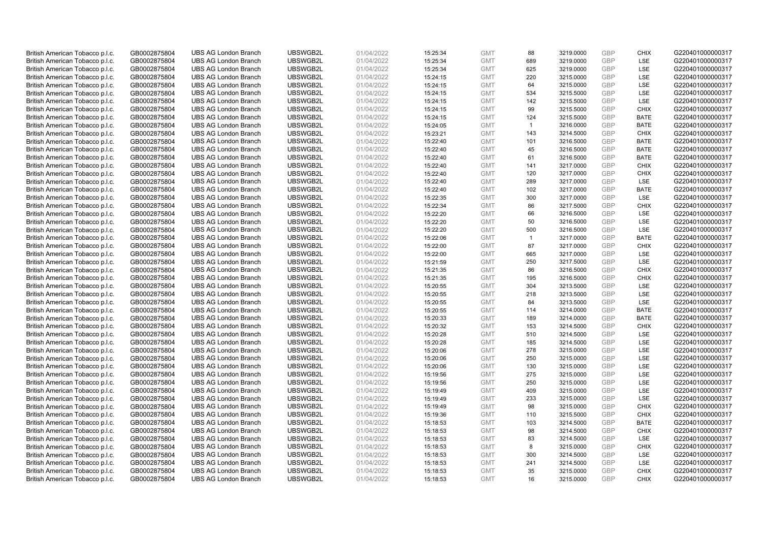| British American Tobacco p.l.c. | GB0002875804 | <b>UBS AG London Branch</b> | UBSWGB2L | 01/04/2022 | 15:25:34 | <b>GMT</b> | 88             | 3219.0000 | <b>GBP</b>        | <b>CHIX</b>       | G220401000000317 |
|---------------------------------|--------------|-----------------------------|----------|------------|----------|------------|----------------|-----------|-------------------|-------------------|------------------|
|                                 |              |                             |          |            |          |            | 689            |           | GBP               | <b>LSE</b>        |                  |
| British American Tobacco p.l.c. | GB0002875804 | <b>UBS AG London Branch</b> | UBSWGB2L | 01/04/2022 | 15:25:34 | <b>GMT</b> |                | 3219.0000 |                   |                   | G220401000000317 |
| British American Tobacco p.l.c. | GB0002875804 | <b>UBS AG London Branch</b> | UBSWGB2L | 01/04/2022 | 15:25:34 | <b>GMT</b> | 625            | 3219.0000 | GBP               | LSE               | G220401000000317 |
| British American Tobacco p.l.c. | GB0002875804 | <b>UBS AG London Branch</b> | UBSWGB2L | 01/04/2022 | 15:24:15 | <b>GMT</b> | 220            | 3215.0000 | GBP               | LSE               | G220401000000317 |
| British American Tobacco p.l.c. | GB0002875804 | <b>UBS AG London Branch</b> | UBSWGB2L | 01/04/2022 | 15:24:15 | <b>GMT</b> | 64             | 3215.0000 | <b>GBP</b>        | LSE               | G220401000000317 |
| British American Tobacco p.l.c. | GB0002875804 | <b>UBS AG London Branch</b> | UBSWGB2L | 01/04/2022 | 15:24:15 | <b>GMT</b> | 534            | 3215.5000 | GBP               | LSE               | G220401000000317 |
| British American Tobacco p.l.c. | GB0002875804 | <b>UBS AG London Branch</b> | UBSWGB2L | 01/04/2022 | 15:24:15 | <b>GMT</b> | 142            | 3215.5000 | GBP               | LSE               | G220401000000317 |
| British American Tobacco p.l.c. | GB0002875804 | <b>UBS AG London Branch</b> | UBSWGB2L | 01/04/2022 | 15:24:15 | <b>GMT</b> | 99             | 3215.5000 | <b>GBP</b>        | <b>CHIX</b>       | G220401000000317 |
| British American Tobacco p.l.c. | GB0002875804 | <b>UBS AG London Branch</b> | UBSWGB2L | 01/04/2022 | 15:24:15 | <b>GMT</b> | 124            | 3215.5000 | GBP               | <b>BATE</b>       | G220401000000317 |
| British American Tobacco p.l.c. | GB0002875804 | <b>UBS AG London Branch</b> | UBSWGB2L | 01/04/2022 | 15:24:05 | <b>GMT</b> | $\overline{1}$ | 3216.0000 | <b>GBP</b>        | <b>BATE</b>       | G220401000000317 |
| British American Tobacco p.l.c. | GB0002875804 | <b>UBS AG London Branch</b> | UBSWGB2L | 01/04/2022 | 15:23:21 | <b>GMT</b> | 143            | 3214.5000 | GBP               | <b>CHIX</b>       | G220401000000317 |
| British American Tobacco p.l.c. | GB0002875804 | <b>UBS AG London Branch</b> | UBSWGB2L | 01/04/2022 | 15:22:40 | <b>GMT</b> | 101            | 3216.5000 | <b>GBP</b>        | <b>BATE</b>       | G220401000000317 |
| British American Tobacco p.l.c. | GB0002875804 | <b>UBS AG London Branch</b> | UBSWGB2L | 01/04/2022 | 15:22:40 | <b>GMT</b> | 45             | 3216.5000 | <b>GBP</b>        | <b>BATE</b>       | G220401000000317 |
| British American Tobacco p.l.c. | GB0002875804 | <b>UBS AG London Branch</b> | UBSWGB2L | 01/04/2022 | 15:22:40 | <b>GMT</b> | 61             | 3216.5000 | <b>GBP</b>        | <b>BATE</b>       | G220401000000317 |
| British American Tobacco p.l.c. | GB0002875804 | <b>UBS AG London Branch</b> | UBSWGB2L | 01/04/2022 | 15:22:40 | <b>GMT</b> | 141            | 3217.0000 | <b>GBP</b>        | <b>CHIX</b>       | G220401000000317 |
| British American Tobacco p.l.c. | GB0002875804 | <b>UBS AG London Branch</b> | UBSWGB2L | 01/04/2022 | 15:22:40 | <b>GMT</b> | 120            | 3217.0000 | GBP               | <b>CHIX</b>       | G220401000000317 |
| British American Tobacco p.l.c. | GB0002875804 | <b>UBS AG London Branch</b> | UBSWGB2L | 01/04/2022 | 15:22:40 | <b>GMT</b> | 289            | 3217.0000 | GBP               | <b>LSE</b>        | G220401000000317 |
| British American Tobacco p.l.c. | GB0002875804 | <b>UBS AG London Branch</b> | UBSWGB2L | 01/04/2022 | 15:22:40 | <b>GMT</b> | 102            | 3217.0000 | GBP               | <b>BATE</b>       | G220401000000317 |
| British American Tobacco p.l.c. | GB0002875804 | <b>UBS AG London Branch</b> | UBSWGB2L | 01/04/2022 | 15:22:35 | <b>GMT</b> | 300            | 3217.0000 | <b>GBP</b>        | <b>LSE</b>        | G220401000000317 |
| British American Tobacco p.l.c. | GB0002875804 | <b>UBS AG London Branch</b> | UBSWGB2L | 01/04/2022 | 15:22:34 | <b>GMT</b> | 86             | 3217.5000 | <b>GBP</b>        | <b>CHIX</b>       | G220401000000317 |
| British American Tobacco p.l.c. | GB0002875804 | <b>UBS AG London Branch</b> | UBSWGB2L | 01/04/2022 | 15:22:20 | <b>GMT</b> | 66             | 3216.5000 | <b>GBP</b>        | <b>LSE</b>        | G220401000000317 |
| British American Tobacco p.l.c. | GB0002875804 | <b>UBS AG London Branch</b> | UBSWGB2L | 01/04/2022 | 15:22:20 | <b>GMT</b> | 50             | 3216.5000 | <b>GBP</b>        | LSE               | G220401000000317 |
| British American Tobacco p.l.c. | GB0002875804 | <b>UBS AG London Branch</b> | UBSWGB2L | 01/04/2022 | 15:22:20 | <b>GMT</b> | 500            | 3216.5000 | <b>GBP</b>        | LSE               | G220401000000317 |
| British American Tobacco p.l.c. | GB0002875804 | <b>UBS AG London Branch</b> | UBSWGB2L | 01/04/2022 | 15:22:06 | <b>GMT</b> | $\overline{1}$ | 3217.0000 | GBP               | <b>BATE</b>       | G220401000000317 |
| British American Tobacco p.l.c. | GB0002875804 | <b>UBS AG London Branch</b> | UBSWGB2L | 01/04/2022 | 15:22:00 | <b>GMT</b> | 87             | 3217.0000 | <b>GBP</b>        | <b>CHIX</b>       | G220401000000317 |
| British American Tobacco p.l.c. | GB0002875804 | <b>UBS AG London Branch</b> | UBSWGB2L | 01/04/2022 | 15:22:00 | <b>GMT</b> | 665            | 3217.0000 | <b>GBP</b>        | LSE               | G220401000000317 |
| British American Tobacco p.l.c. | GB0002875804 | <b>UBS AG London Branch</b> | UBSWGB2L | 01/04/2022 | 15:21:59 | <b>GMT</b> | 250            | 3217.5000 | GBP               | <b>LSE</b>        | G220401000000317 |
| British American Tobacco p.l.c. | GB0002875804 | <b>UBS AG London Branch</b> | UBSWGB2L | 01/04/2022 | 15:21:35 | <b>GMT</b> | 86             | 3216.5000 | <b>GBP</b>        | <b>CHIX</b>       | G220401000000317 |
| British American Tobacco p.l.c. | GB0002875804 | <b>UBS AG London Branch</b> | UBSWGB2L | 01/04/2022 | 15:21:35 | <b>GMT</b> | 195            | 3216.5000 | GBP               | <b>CHIX</b>       | G220401000000317 |
| British American Tobacco p.l.c. | GB0002875804 | <b>UBS AG London Branch</b> | UBSWGB2L | 01/04/2022 | 15:20:55 | <b>GMT</b> | 304            | 3213.5000 | <b>GBP</b>        | LSE               | G220401000000317 |
| British American Tobacco p.l.c. | GB0002875804 | <b>UBS AG London Branch</b> | UBSWGB2L | 01/04/2022 | 15:20:55 | <b>GMT</b> | 218            | 3213.5000 | GBP               | LSE               | G220401000000317 |
| British American Tobacco p.l.c. | GB0002875804 | <b>UBS AG London Branch</b> | UBSWGB2L | 01/04/2022 | 15:20:55 | <b>GMT</b> | 84             | 3213.5000 | GBP               | <b>LSE</b>        | G220401000000317 |
| British American Tobacco p.l.c. | GB0002875804 | <b>UBS AG London Branch</b> | UBSWGB2L | 01/04/2022 | 15:20:55 | <b>GMT</b> | 114            | 3214.0000 | GBP               | <b>BATE</b>       | G220401000000317 |
| British American Tobacco p.l.c. | GB0002875804 | <b>UBS AG London Branch</b> | UBSWGB2L | 01/04/2022 | 15:20:33 | <b>GMT</b> | 189            | 3214.0000 | GBP               | <b>BATE</b>       | G220401000000317 |
| British American Tobacco p.l.c. | GB0002875804 | <b>UBS AG London Branch</b> | UBSWGB2L | 01/04/2022 | 15:20:32 | <b>GMT</b> | 153            | 3214.5000 | <b>GBP</b>        | <b>CHIX</b>       | G220401000000317 |
| British American Tobacco p.l.c. | GB0002875804 | <b>UBS AG London Branch</b> | UBSWGB2L | 01/04/2022 | 15:20:28 | <b>GMT</b> | 510            | 3214.5000 | <b>GBP</b>        | LSE               | G220401000000317 |
| British American Tobacco p.l.c. | GB0002875804 | <b>UBS AG London Branch</b> | UBSWGB2L | 01/04/2022 | 15:20:28 | <b>GMT</b> | 185            | 3214.5000 | GBP               | LSE               | G220401000000317 |
| British American Tobacco p.l.c. | GB0002875804 | <b>UBS AG London Branch</b> | UBSWGB2L | 01/04/2022 | 15:20:06 | <b>GMT</b> | 278            | 3215.0000 | <b>GBP</b>        | LSE               | G220401000000317 |
|                                 |              | <b>UBS AG London Branch</b> | UBSWGB2L |            |          | <b>GMT</b> | 250            | 3215.0000 | <b>GBP</b>        | LSE               | G220401000000317 |
| British American Tobacco p.l.c. | GB0002875804 |                             |          | 01/04/2022 | 15:20:06 |            |                |           |                   |                   |                  |
| British American Tobacco p.l.c. | GB0002875804 | <b>UBS AG London Branch</b> | UBSWGB2L | 01/04/2022 | 15:20:06 | <b>GMT</b> | 130<br>275     | 3215.0000 | GBP<br><b>GBP</b> | LSE<br><b>LSE</b> | G220401000000317 |
| British American Tobacco p.l.c. | GB0002875804 | <b>UBS AG London Branch</b> | UBSWGB2L | 01/04/2022 | 15:19:56 | <b>GMT</b> |                | 3215.0000 |                   |                   | G220401000000317 |
| British American Tobacco p.l.c. | GB0002875804 | <b>UBS AG London Branch</b> | UBSWGB2L | 01/04/2022 | 15:19:56 | <b>GMT</b> | 250            | 3215.0000 | GBP               | LSE               | G220401000000317 |
| British American Tobacco p.l.c. | GB0002875804 | <b>UBS AG London Branch</b> | UBSWGB2L | 01/04/2022 | 15:19:49 | <b>GMT</b> | 409            | 3215.0000 | <b>GBP</b>        | LSE               | G220401000000317 |
| British American Tobacco p.l.c. | GB0002875804 | <b>UBS AG London Branch</b> | UBSWGB2L | 01/04/2022 | 15:19:49 | <b>GMT</b> | 233            | 3215.0000 | GBP               | LSE               | G220401000000317 |
| British American Tobacco p.l.c. | GB0002875804 | <b>UBS AG London Branch</b> | UBSWGB2L | 01/04/2022 | 15:19:49 | <b>GMT</b> | 98             | 3215.0000 | GBP               | <b>CHIX</b>       | G220401000000317 |
| British American Tobacco p.l.c. | GB0002875804 | <b>UBS AG London Branch</b> | UBSWGB2L | 01/04/2022 | 15:19:36 | <b>GMT</b> | 110            | 3215.5000 | <b>GBP</b>        | <b>CHIX</b>       | G220401000000317 |
| British American Tobacco p.l.c. | GB0002875804 | <b>UBS AG London Branch</b> | UBSWGB2L | 01/04/2022 | 15:18:53 | <b>GMT</b> | 103            | 3214.5000 | GBP               | <b>BATE</b>       | G220401000000317 |
| British American Tobacco p.l.c. | GB0002875804 | <b>UBS AG London Branch</b> | UBSWGB2L | 01/04/2022 | 15:18:53 | <b>GMT</b> | 98             | 3214.5000 | <b>GBP</b>        | <b>CHIX</b>       | G220401000000317 |
| British American Tobacco p.l.c. | GB0002875804 | <b>UBS AG London Branch</b> | UBSWGB2L | 01/04/2022 | 15:18:53 | <b>GMT</b> | 83             | 3214.5000 | <b>GBP</b>        | LSE               | G220401000000317 |
| British American Tobacco p.l.c. | GB0002875804 | <b>UBS AG London Branch</b> | UBSWGB2L | 01/04/2022 | 15:18:53 | <b>GMT</b> | 8              | 3215.0000 | <b>GBP</b>        | <b>CHIX</b>       | G220401000000317 |
| British American Tobacco p.l.c. | GB0002875804 | <b>UBS AG London Branch</b> | UBSWGB2L | 01/04/2022 | 15:18:53 | <b>GMT</b> | 300            | 3214.5000 | GBP               | LSE               | G220401000000317 |
| British American Tobacco p.l.c. | GB0002875804 | <b>UBS AG London Branch</b> | UBSWGB2L | 01/04/2022 | 15:18:53 | <b>GMT</b> | 241            | 3214.5000 | <b>GBP</b>        | LSE               | G220401000000317 |
| British American Tobacco p.l.c. | GB0002875804 | <b>UBS AG London Branch</b> | UBSWGB2L | 01/04/2022 | 15:18:53 | <b>GMT</b> | 35             | 3215.0000 | GBP               | <b>CHIX</b>       | G220401000000317 |
| British American Tobacco p.l.c. | GB0002875804 | <b>UBS AG London Branch</b> | UBSWGB2L | 01/04/2022 | 15:18:53 | <b>GMT</b> | 16             | 3215.0000 | GBP               | <b>CHIX</b>       | G220401000000317 |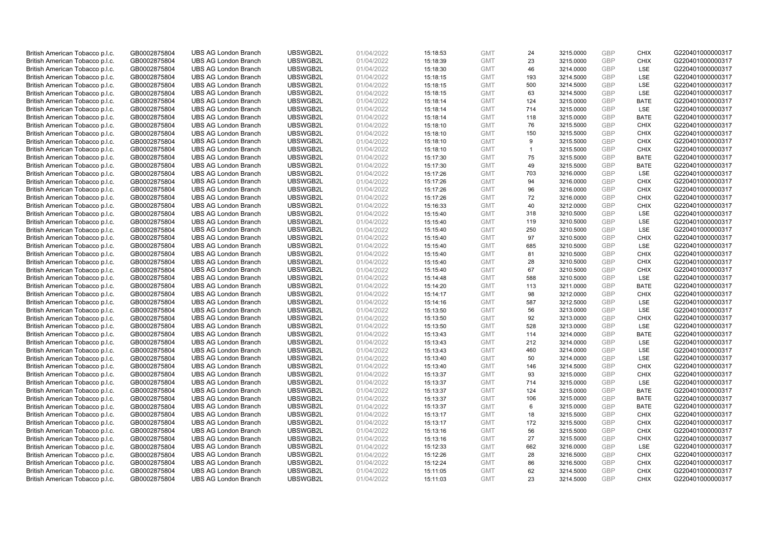| British American Tobacco p.l.c.                                    | GB0002875804 | <b>UBS AG London Branch</b> | UBSWGB2L | 01/04/2022 | 15:18:53 | <b>GMT</b> | 24           | 3215.0000 | <b>GBP</b> | <b>CHIX</b> | G220401000000317 |
|--------------------------------------------------------------------|--------------|-----------------------------|----------|------------|----------|------------|--------------|-----------|------------|-------------|------------------|
| British American Tobacco p.l.c.                                    | GB0002875804 | <b>UBS AG London Branch</b> | UBSWGB2L | 01/04/2022 | 15:18:39 | <b>GMT</b> | 23           | 3215.0000 | <b>GBP</b> | <b>CHIX</b> | G220401000000317 |
| British American Tobacco p.l.c.                                    | GB0002875804 | <b>UBS AG London Branch</b> | UBSWGB2L | 01/04/2022 | 15:18:30 | <b>GMT</b> | 46           | 3214.0000 | GBP        | LSE         | G220401000000317 |
| British American Tobacco p.l.c.                                    | GB0002875804 | <b>UBS AG London Branch</b> | UBSWGB2L | 01/04/2022 | 15:18:15 | <b>GMT</b> | 193          | 3214.5000 | GBP        | LSE         | G220401000000317 |
| British American Tobacco p.l.c.                                    | GB0002875804 | <b>UBS AG London Branch</b> | UBSWGB2L | 01/04/2022 | 15:18:15 | <b>GMT</b> | 500          | 3214.5000 | <b>GBP</b> | LSE         | G220401000000317 |
| British American Tobacco p.l.c.                                    | GB0002875804 | <b>UBS AG London Branch</b> | UBSWGB2L | 01/04/2022 | 15:18:15 | <b>GMT</b> | 63           | 3214.5000 | <b>GBP</b> | LSE         | G220401000000317 |
| British American Tobacco p.l.c.                                    | GB0002875804 | <b>UBS AG London Branch</b> | UBSWGB2L | 01/04/2022 | 15:18:14 | <b>GMT</b> | 124          | 3215.0000 | GBP        | <b>BATE</b> | G220401000000317 |
| British American Tobacco p.l.c.                                    | GB0002875804 | <b>UBS AG London Branch</b> | UBSWGB2L | 01/04/2022 | 15:18:14 | <b>GMT</b> | 714          | 3215.0000 | <b>GBP</b> | LSE         | G220401000000317 |
| British American Tobacco p.l.c.                                    | GB0002875804 | <b>UBS AG London Branch</b> | UBSWGB2L | 01/04/2022 | 15:18:14 | <b>GMT</b> | 118          | 3215.0000 | GBP        | <b>BATE</b> | G220401000000317 |
| British American Tobacco p.l.c.                                    | GB0002875804 | <b>UBS AG London Branch</b> | UBSWGB2L | 01/04/2022 | 15:18:10 | <b>GMT</b> | 76           | 3215.5000 | <b>GBP</b> | <b>CHIX</b> | G220401000000317 |
| British American Tobacco p.l.c.                                    | GB0002875804 | <b>UBS AG London Branch</b> | UBSWGB2L | 01/04/2022 | 15:18:10 | <b>GMT</b> | 150          | 3215.5000 | GBP        | <b>CHIX</b> | G220401000000317 |
| British American Tobacco p.l.c.                                    | GB0002875804 | <b>UBS AG London Branch</b> | UBSWGB2L | 01/04/2022 | 15:18:10 | <b>GMT</b> | 9            | 3215.5000 | <b>GBP</b> | <b>CHIX</b> | G220401000000317 |
| British American Tobacco p.l.c.                                    | GB0002875804 | <b>UBS AG London Branch</b> | UBSWGB2L | 01/04/2022 | 15:18:10 | <b>GMT</b> | $\mathbf{1}$ | 3215.5000 | <b>GBP</b> | <b>CHIX</b> | G220401000000317 |
| British American Tobacco p.l.c.                                    | GB0002875804 | <b>UBS AG London Branch</b> | UBSWGB2L | 01/04/2022 | 15:17:30 | <b>GMT</b> | 75           | 3215.5000 | <b>GBP</b> | <b>BATE</b> | G220401000000317 |
| British American Tobacco p.l.c.                                    | GB0002875804 | <b>UBS AG London Branch</b> | UBSWGB2L | 01/04/2022 | 15:17:30 | <b>GMT</b> | 49           | 3215.5000 | <b>GBP</b> | <b>BATE</b> | G220401000000317 |
| British American Tobacco p.l.c.                                    | GB0002875804 | <b>UBS AG London Branch</b> | UBSWGB2L | 01/04/2022 | 15:17:26 | <b>GMT</b> | 703          | 3216.0000 | GBP        | LSE         | G220401000000317 |
| British American Tobacco p.l.c.                                    | GB0002875804 | <b>UBS AG London Branch</b> | UBSWGB2L | 01/04/2022 | 15:17:26 | <b>GMT</b> | 94           | 3216.0000 | <b>GBP</b> | <b>CHIX</b> | G220401000000317 |
| British American Tobacco p.l.c.                                    | GB0002875804 | <b>UBS AG London Branch</b> | UBSWGB2L | 01/04/2022 | 15:17:26 | <b>GMT</b> | 96           | 3216.0000 | GBP        | <b>CHIX</b> | G220401000000317 |
| British American Tobacco p.l.c.                                    | GB0002875804 | <b>UBS AG London Branch</b> | UBSWGB2L | 01/04/2022 | 15:17:26 | <b>GMT</b> | 72           | 3216.0000 | <b>GBP</b> | <b>CHIX</b> | G220401000000317 |
| British American Tobacco p.l.c.                                    | GB0002875804 | <b>UBS AG London Branch</b> | UBSWGB2L | 01/04/2022 | 15:16:33 | <b>GMT</b> | 40           | 3212.0000 | GBP        | <b>CHIX</b> | G220401000000317 |
| British American Tobacco p.l.c.                                    | GB0002875804 | <b>UBS AG London Branch</b> | UBSWGB2L | 01/04/2022 | 15:15:40 | <b>GMT</b> | 318          | 3210.5000 | <b>GBP</b> | <b>LSE</b>  | G220401000000317 |
| British American Tobacco p.l.c.                                    | GB0002875804 | <b>UBS AG London Branch</b> | UBSWGB2L | 01/04/2022 | 15:15:40 | <b>GMT</b> | 119          | 3210.5000 | <b>GBP</b> | LSE         | G220401000000317 |
| British American Tobacco p.l.c.                                    | GB0002875804 | <b>UBS AG London Branch</b> | UBSWGB2L | 01/04/2022 | 15:15:40 | <b>GMT</b> | 250          | 3210.5000 | <b>GBP</b> | LSE         | G220401000000317 |
| British American Tobacco p.l.c.                                    | GB0002875804 | <b>UBS AG London Branch</b> | UBSWGB2L | 01/04/2022 | 15:15:40 | <b>GMT</b> | 97           | 3210.5000 | GBP        | <b>CHIX</b> | G220401000000317 |
| British American Tobacco p.l.c.                                    | GB0002875804 | <b>UBS AG London Branch</b> | UBSWGB2L | 01/04/2022 | 15:15:40 | <b>GMT</b> | 685          | 3210.5000 | <b>GBP</b> | LSE         | G220401000000317 |
| British American Tobacco p.l.c.                                    | GB0002875804 | <b>UBS AG London Branch</b> | UBSWGB2L | 01/04/2022 | 15:15:40 | <b>GMT</b> | 81           | 3210.5000 | <b>GBP</b> | <b>CHIX</b> | G220401000000317 |
| British American Tobacco p.l.c.                                    | GB0002875804 | <b>UBS AG London Branch</b> | UBSWGB2L | 01/04/2022 | 15:15:40 | <b>GMT</b> | 28           | 3210.5000 | <b>GBP</b> | <b>CHIX</b> | G220401000000317 |
| British American Tobacco p.l.c.                                    | GB0002875804 | <b>UBS AG London Branch</b> | UBSWGB2L | 01/04/2022 | 15:15:40 | <b>GMT</b> | 67           | 3210.5000 | <b>GBP</b> | <b>CHIX</b> | G220401000000317 |
| British American Tobacco p.l.c.                                    | GB0002875804 | <b>UBS AG London Branch</b> | UBSWGB2L | 01/04/2022 | 15:14:48 | <b>GMT</b> | 588          | 3210.5000 | GBP        | <b>LSE</b>  | G220401000000317 |
| British American Tobacco p.l.c.                                    | GB0002875804 | <b>UBS AG London Branch</b> | UBSWGB2L | 01/04/2022 | 15:14:20 | <b>GMT</b> | 113          | 3211.0000 | <b>GBP</b> | <b>BATE</b> | G220401000000317 |
| British American Tobacco p.l.c.                                    | GB0002875804 | <b>UBS AG London Branch</b> | UBSWGB2L | 01/04/2022 | 15:14:17 | <b>GMT</b> | 98           | 3212.0000 | GBP        | <b>CHIX</b> | G220401000000317 |
| British American Tobacco p.l.c.                                    | GB0002875804 | <b>UBS AG London Branch</b> | UBSWGB2L | 01/04/2022 | 15:14:16 | <b>GMT</b> | 587          | 3212.5000 | <b>GBP</b> | <b>LSE</b>  | G220401000000317 |
| British American Tobacco p.l.c.                                    | GB0002875804 | <b>UBS AG London Branch</b> | UBSWGB2L | 01/04/2022 | 15:13:50 | <b>GMT</b> | 56           | 3213.0000 | <b>GBP</b> | LSE         | G220401000000317 |
| British American Tobacco p.l.c.                                    | GB0002875804 | <b>UBS AG London Branch</b> | UBSWGB2L | 01/04/2022 | 15:13:50 | <b>GMT</b> | 92           | 3213.0000 | GBP        | <b>CHIX</b> | G220401000000317 |
| British American Tobacco p.l.c.                                    | GB0002875804 | <b>UBS AG London Branch</b> | UBSWGB2L | 01/04/2022 | 15:13:50 | <b>GMT</b> | 528          | 3213.0000 | GBP        | LSE         | G220401000000317 |
| British American Tobacco p.l.c.                                    | GB0002875804 | <b>UBS AG London Branch</b> | UBSWGB2L | 01/04/2022 | 15:13:43 | <b>GMT</b> | 114          | 3214.0000 | <b>GBP</b> | <b>BATE</b> | G220401000000317 |
| British American Tobacco p.l.c.                                    | GB0002875804 | <b>UBS AG London Branch</b> | UBSWGB2L | 01/04/2022 | 15:13:43 | <b>GMT</b> | 212          | 3214.0000 | GBP        | <b>LSE</b>  | G220401000000317 |
| British American Tobacco p.l.c.                                    | GB0002875804 | <b>UBS AG London Branch</b> | UBSWGB2L | 01/04/2022 | 15:13:43 | <b>GMT</b> | 460          | 3214.0000 | <b>GBP</b> | LSE         | G220401000000317 |
| British American Tobacco p.l.c.                                    | GB0002875804 | <b>UBS AG London Branch</b> | UBSWGB2L | 01/04/2022 | 15:13:40 | <b>GMT</b> | 50           | 3214.0000 | GBP        | LSE         | G220401000000317 |
| British American Tobacco p.l.c.                                    | GB0002875804 | <b>UBS AG London Branch</b> | UBSWGB2L | 01/04/2022 | 15:13:40 | <b>GMT</b> | 146          | 3214.5000 | GBP        | <b>CHIX</b> | G220401000000317 |
| British American Tobacco p.l.c.                                    | GB0002875804 | <b>UBS AG London Branch</b> | UBSWGB2L | 01/04/2022 | 15:13:37 | <b>GMT</b> | 93           | 3215.0000 | <b>GBP</b> | <b>CHIX</b> | G220401000000317 |
| British American Tobacco p.l.c.                                    | GB0002875804 | <b>UBS AG London Branch</b> | UBSWGB2L | 01/04/2022 | 15:13:37 | <b>GMT</b> | 714          | 3215.0000 | GBP        | <b>LSE</b>  | G220401000000317 |
|                                                                    | GB0002875804 | <b>UBS AG London Branch</b> | UBSWGB2L | 01/04/2022 | 15:13:37 | <b>GMT</b> | 124          | 3215.0000 | GBP        | <b>BATE</b> | G220401000000317 |
| British American Tobacco p.l.c.<br>British American Tobacco p.l.c. |              | <b>UBS AG London Branch</b> | UBSWGB2L | 01/04/2022 |          | <b>GMT</b> | 106          | 3215.0000 | GBP        | <b>BATE</b> | G220401000000317 |
|                                                                    | GB0002875804 |                             | UBSWGB2L |            | 15:13:37 |            | 6            |           | GBP        |             |                  |
| British American Tobacco p.l.c.                                    | GB0002875804 | <b>UBS AG London Branch</b> |          | 01/04/2022 | 15:13:37 | <b>GMT</b> |              | 3215.0000 |            | <b>BATE</b> | G220401000000317 |
| British American Tobacco p.l.c.                                    | GB0002875804 | <b>UBS AG London Branch</b> | UBSWGB2L | 01/04/2022 | 15:13:17 | <b>GMT</b> | 18           | 3215.5000 | GBP        | <b>CHIX</b> | G220401000000317 |
| British American Tobacco p.l.c.                                    | GB0002875804 | <b>UBS AG London Branch</b> | UBSWGB2L | 01/04/2022 | 15:13:17 | <b>GMT</b> | 172          | 3215.5000 | GBP        | <b>CHIX</b> | G220401000000317 |
| British American Tobacco p.l.c.                                    | GB0002875804 | <b>UBS AG London Branch</b> | UBSWGB2L | 01/04/2022 | 15:13:16 | <b>GMT</b> | 56           | 3215.5000 | GBP        | <b>CHIX</b> | G220401000000317 |
| British American Tobacco p.l.c.                                    | GB0002875804 | <b>UBS AG London Branch</b> | UBSWGB2L | 01/04/2022 | 15:13:16 | <b>GMT</b> | 27           | 3215.5000 | GBP        | <b>CHIX</b> | G220401000000317 |
| British American Tobacco p.l.c.                                    | GB0002875804 | <b>UBS AG London Branch</b> | UBSWGB2L | 01/04/2022 | 15:12:33 | <b>GMT</b> | 662          | 3216.0000 | GBP        | <b>LSE</b>  | G220401000000317 |
| British American Tobacco p.l.c.                                    | GB0002875804 | <b>UBS AG London Branch</b> | UBSWGB2L | 01/04/2022 | 15:12:26 | <b>GMT</b> | 28           | 3216.5000 | GBP        | <b>CHIX</b> | G220401000000317 |
| British American Tobacco p.l.c.                                    | GB0002875804 | <b>UBS AG London Branch</b> | UBSWGB2L | 01/04/2022 | 15:12:24 | <b>GMT</b> | 86           | 3216.5000 | <b>GBP</b> | <b>CHIX</b> | G220401000000317 |
| British American Tobacco p.l.c.                                    | GB0002875804 | <b>UBS AG London Branch</b> | UBSWGB2L | 01/04/2022 | 15:11:05 | <b>GMT</b> | 62           | 3214.5000 | GBP        | <b>CHIX</b> | G220401000000317 |
| British American Tobacco p.l.c.                                    | GB0002875804 | <b>UBS AG London Branch</b> | UBSWGB2L | 01/04/2022 | 15:11:03 | <b>GMT</b> | 23           | 3214.5000 | GBP        | <b>CHIX</b> | G220401000000317 |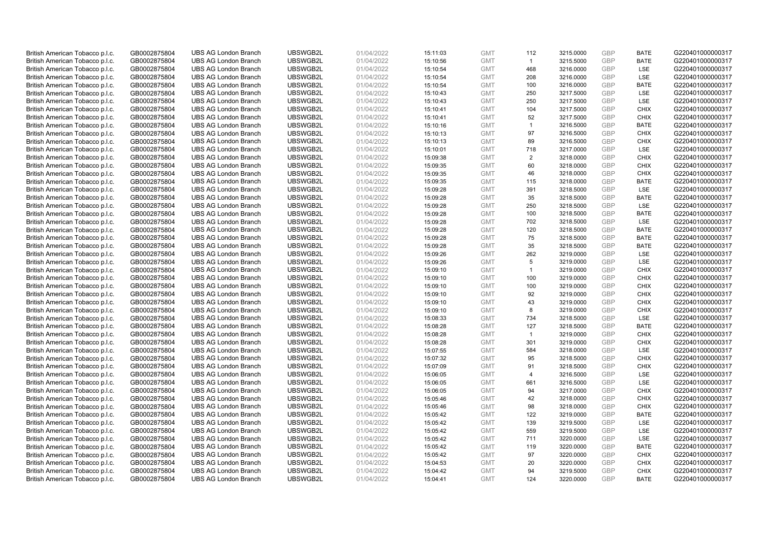| British American Tobacco p.l.c. | GB0002875804 | <b>UBS AG London Branch</b> | UBSWGB2L | 01/04/2022 | 15:11:03 | <b>GMT</b>               | 112            | 3215.0000 | <b>GBP</b> | <b>BATE</b> | G220401000000317 |
|---------------------------------|--------------|-----------------------------|----------|------------|----------|--------------------------|----------------|-----------|------------|-------------|------------------|
| British American Tobacco p.l.c. | GB0002875804 | <b>UBS AG London Branch</b> | UBSWGB2L | 01/04/2022 | 15:10:56 | <b>GMT</b>               | $\overline{1}$ | 3215.5000 | GBP        | <b>BATE</b> | G220401000000317 |
| British American Tobacco p.l.c. | GB0002875804 | <b>UBS AG London Branch</b> | UBSWGB2L | 01/04/2022 | 15:10:54 | <b>GMT</b>               | 468            | 3216.0000 | <b>GBP</b> | <b>LSE</b>  | G220401000000317 |
| British American Tobacco p.l.c. | GB0002875804 | <b>UBS AG London Branch</b> | UBSWGB2L | 01/04/2022 | 15:10:54 | <b>GMT</b>               | 208            | 3216.0000 | <b>GBP</b> | LSE         | G220401000000317 |
| British American Tobacco p.l.c. | GB0002875804 | <b>UBS AG London Branch</b> | UBSWGB2L | 01/04/2022 | 15:10:54 | <b>GMT</b>               | 100            | 3216.0000 | <b>GBP</b> | <b>BATE</b> | G220401000000317 |
| British American Tobacco p.l.c. | GB0002875804 | <b>UBS AG London Branch</b> | UBSWGB2L | 01/04/2022 | 15:10:43 | <b>GMT</b>               | 250            | 3217.5000 | <b>GBP</b> | <b>LSE</b>  | G220401000000317 |
| British American Tobacco p.l.c. | GB0002875804 | <b>UBS AG London Branch</b> | UBSWGB2L | 01/04/2022 | 15:10:43 | <b>GMT</b>               | 250            | 3217.5000 | <b>GBP</b> | LSE         | G220401000000317 |
| British American Tobacco p.l.c. | GB0002875804 | <b>UBS AG London Branch</b> | UBSWGB2L | 01/04/2022 | 15:10:41 | <b>GMT</b>               | 104            | 3217.5000 | <b>GBP</b> | <b>CHIX</b> | G220401000000317 |
| British American Tobacco p.l.c. | GB0002875804 | <b>UBS AG London Branch</b> | UBSWGB2L | 01/04/2022 | 15:10:41 | <b>GMT</b>               | 52             | 3217.5000 | <b>GBP</b> | <b>CHIX</b> | G220401000000317 |
| British American Tobacco p.l.c. | GB0002875804 | <b>UBS AG London Branch</b> | UBSWGB2L | 01/04/2022 | 15:10:16 | <b>GMT</b>               | $\overline{1}$ | 3216.5000 | <b>GBP</b> | <b>BATE</b> | G220401000000317 |
| British American Tobacco p.l.c. | GB0002875804 | <b>UBS AG London Branch</b> | UBSWGB2L | 01/04/2022 | 15:10:13 | <b>GMT</b>               | 97             | 3216.5000 | <b>GBP</b> | <b>CHIX</b> | G220401000000317 |
| British American Tobacco p.l.c. | GB0002875804 | <b>UBS AG London Branch</b> | UBSWGB2L | 01/04/2022 | 15:10:13 | <b>GMT</b>               | 89             | 3216.5000 | <b>GBP</b> | <b>CHIX</b> | G220401000000317 |
| British American Tobacco p.l.c. | GB0002875804 | <b>UBS AG London Branch</b> | UBSWGB2L | 01/04/2022 | 15:10:01 | <b>GMT</b>               | 718            | 3217.0000 | <b>GBP</b> | LSE         | G220401000000317 |
| British American Tobacco p.l.c. | GB0002875804 | <b>UBS AG London Branch</b> | UBSWGB2L | 01/04/2022 | 15:09:38 | <b>GMT</b>               | 2              | 3218.0000 | <b>GBP</b> | <b>CHIX</b> | G220401000000317 |
| British American Tobacco p.l.c. | GB0002875804 | <b>UBS AG London Branch</b> | UBSWGB2L | 01/04/2022 | 15:09:35 | <b>GMT</b>               | 60             | 3218.0000 | GBP        | <b>CHIX</b> | G220401000000317 |
| British American Tobacco p.l.c. | GB0002875804 | <b>UBS AG London Branch</b> | UBSWGB2L | 01/04/2022 | 15:09:35 | <b>GMT</b>               | 46             | 3218.0000 | <b>GBP</b> | <b>CHIX</b> | G220401000000317 |
| British American Tobacco p.l.c. | GB0002875804 | <b>UBS AG London Branch</b> | UBSWGB2L | 01/04/2022 | 15:09:35 | <b>GMT</b>               | 115            | 3218.0000 | GBP        | <b>BATE</b> | G220401000000317 |
| British American Tobacco p.l.c. | GB0002875804 | <b>UBS AG London Branch</b> | UBSWGB2L | 01/04/2022 | 15:09:28 | <b>GMT</b>               | 391            | 3218.5000 | GBP        | LSE         | G220401000000317 |
| British American Tobacco p.l.c. | GB0002875804 | <b>UBS AG London Branch</b> | UBSWGB2L | 01/04/2022 | 15:09:28 | <b>GMT</b>               | 35             | 3218.5000 | <b>GBP</b> | <b>BATE</b> | G220401000000317 |
| British American Tobacco p.l.c. | GB0002875804 | <b>UBS AG London Branch</b> | UBSWGB2L | 01/04/2022 | 15:09:28 | <b>GMT</b>               | 250            | 3218.5000 | <b>GBP</b> | LSE         | G220401000000317 |
| British American Tobacco p.l.c. | GB0002875804 | <b>UBS AG London Branch</b> | UBSWGB2L | 01/04/2022 |          | <b>GMT</b>               | 100            | 3218.5000 | GBP        | <b>BATE</b> | G220401000000317 |
|                                 |              |                             | UBSWGB2L |            | 15:09:28 |                          |                |           | GBP        | <b>LSE</b>  |                  |
| British American Tobacco p.l.c. | GB0002875804 | <b>UBS AG London Branch</b> |          | 01/04/2022 | 15:09:28 | <b>GMT</b><br><b>GMT</b> | 702            | 3218.5000 | <b>GBP</b> |             | G220401000000317 |
| British American Tobacco p.l.c. | GB0002875804 | <b>UBS AG London Branch</b> | UBSWGB2L | 01/04/2022 | 15:09:28 |                          | 120            | 3218.5000 |            | <b>BATE</b> | G220401000000317 |
| British American Tobacco p.l.c. | GB0002875804 | <b>UBS AG London Branch</b> | UBSWGB2L | 01/04/2022 | 15:09:28 | <b>GMT</b>               | 75             | 3218.5000 | <b>GBP</b> | <b>BATE</b> | G220401000000317 |
| British American Tobacco p.l.c. | GB0002875804 | <b>UBS AG London Branch</b> | UBSWGB2L | 01/04/2022 | 15:09:28 | <b>GMT</b>               | 35             | 3218.5000 | <b>GBP</b> | <b>BATE</b> | G220401000000317 |
| British American Tobacco p.l.c. | GB0002875804 | <b>UBS AG London Branch</b> | UBSWGB2L | 01/04/2022 | 15:09:26 | <b>GMT</b>               | 262            | 3219.0000 | <b>GBP</b> | LSE         | G220401000000317 |
| British American Tobacco p.l.c. | GB0002875804 | <b>UBS AG London Branch</b> | UBSWGB2L | 01/04/2022 | 15:09:26 | <b>GMT</b>               | 5              | 3219.0000 | <b>GBP</b> | LSE         | G220401000000317 |
| British American Tobacco p.l.c. | GB0002875804 | <b>UBS AG London Branch</b> | UBSWGB2L | 01/04/2022 | 15:09:10 | <b>GMT</b>               | $\mathbf{1}$   | 3219.0000 | <b>GBP</b> | <b>CHIX</b> | G220401000000317 |
| British American Tobacco p.l.c. | GB0002875804 | <b>UBS AG London Branch</b> | UBSWGB2L | 01/04/2022 | 15:09:10 | <b>GMT</b>               | 100            | 3219.0000 | GBP        | <b>CHIX</b> | G220401000000317 |
| British American Tobacco p.l.c. | GB0002875804 | <b>UBS AG London Branch</b> | UBSWGB2L | 01/04/2022 | 15:09:10 | <b>GMT</b>               | 100            | 3219.0000 | GBP        | <b>CHIX</b> | G220401000000317 |
| British American Tobacco p.l.c. | GB0002875804 | <b>UBS AG London Branch</b> | UBSWGB2L | 01/04/2022 | 15:09:10 | <b>GMT</b>               | 92             | 3219.0000 | <b>GBP</b> | <b>CHIX</b> | G220401000000317 |
| British American Tobacco p.l.c. | GB0002875804 | <b>UBS AG London Branch</b> | UBSWGB2L | 01/04/2022 | 15:09:10 | <b>GMT</b>               | 43             | 3219.0000 | <b>GBP</b> | <b>CHIX</b> | G220401000000317 |
| British American Tobacco p.l.c. | GB0002875804 | <b>UBS AG London Branch</b> | UBSWGB2L | 01/04/2022 | 15:09:10 | <b>GMT</b>               | 8              | 3219.0000 | GBP        | <b>CHIX</b> | G220401000000317 |
| British American Tobacco p.l.c. | GB0002875804 | <b>UBS AG London Branch</b> | UBSWGB2L | 01/04/2022 | 15:08:33 | <b>GMT</b>               | 734            | 3218.5000 | <b>GBP</b> | <b>LSE</b>  | G220401000000317 |
| British American Tobacco p.l.c. | GB0002875804 | <b>UBS AG London Branch</b> | UBSWGB2L | 01/04/2022 | 15:08:28 | <b>GMT</b>               | 127            | 3218.5000 | <b>GBP</b> | <b>BATE</b> | G220401000000317 |
| British American Tobacco p.l.c. | GB0002875804 | <b>UBS AG London Branch</b> | UBSWGB2L | 01/04/2022 | 15:08:28 | <b>GMT</b>               | $\overline{1}$ | 3219.0000 | <b>GBP</b> | <b>CHIX</b> | G220401000000317 |
| British American Tobacco p.l.c. | GB0002875804 | <b>UBS AG London Branch</b> | UBSWGB2L | 01/04/2022 | 15:08:28 | <b>GMT</b>               | 301            | 3219.0000 | GBP        | <b>CHIX</b> | G220401000000317 |
| British American Tobacco p.l.c. | GB0002875804 | <b>UBS AG London Branch</b> | UBSWGB2L | 01/04/2022 | 15:07:55 | <b>GMT</b>               | 584            | 3218.0000 | <b>GBP</b> | LSE         | G220401000000317 |
| British American Tobacco p.l.c. | GB0002875804 | <b>UBS AG London Branch</b> | UBSWGB2L | 01/04/2022 | 15:07:32 | <b>GMT</b>               | 95             | 3218.5000 | <b>GBP</b> | <b>CHIX</b> | G220401000000317 |
| British American Tobacco p.l.c. | GB0002875804 | <b>UBS AG London Branch</b> | UBSWGB2L | 01/04/2022 | 15:07:09 | <b>GMT</b>               | 91             | 3218.5000 | <b>GBP</b> | <b>CHIX</b> | G220401000000317 |
| British American Tobacco p.l.c. | GB0002875804 | <b>UBS AG London Branch</b> | UBSWGB2L | 01/04/2022 | 15:06:05 | <b>GMT</b>               | 4              | 3216.5000 | GBP        | <b>LSE</b>  | G220401000000317 |
| British American Tobacco p.l.c. | GB0002875804 | <b>UBS AG London Branch</b> | UBSWGB2L | 01/04/2022 | 15:06:05 | <b>GMT</b>               | 661            | 3216.5000 | GBP        | LSE         | G220401000000317 |
| British American Tobacco p.l.c. | GB0002875804 | <b>UBS AG London Branch</b> | UBSWGB2L | 01/04/2022 | 15:06:05 | <b>GMT</b>               | 94             | 3217.0000 | <b>GBP</b> | <b>CHIX</b> | G220401000000317 |
| British American Tobacco p.l.c. | GB0002875804 | <b>UBS AG London Branch</b> | UBSWGB2L | 01/04/2022 | 15:05:46 | <b>GMT</b>               | 42             | 3218.0000 | GBP        | <b>CHIX</b> | G220401000000317 |
| British American Tobacco p.l.c. | GB0002875804 | <b>UBS AG London Branch</b> | UBSWGB2L | 01/04/2022 | 15:05:46 | <b>GMT</b>               | 98             | 3218.0000 | <b>GBP</b> | <b>CHIX</b> | G220401000000317 |
| British American Tobacco p.l.c. | GB0002875804 | <b>UBS AG London Branch</b> | UBSWGB2L | 01/04/2022 | 15:05:42 | <b>GMT</b>               | 122            | 3219.0000 | <b>GBP</b> | <b>BATE</b> | G220401000000317 |
| British American Tobacco p.l.c. | GB0002875804 | <b>UBS AG London Branch</b> | UBSWGB2L | 01/04/2022 | 15:05:42 | <b>GMT</b>               | 139            | 3219.5000 | <b>GBP</b> | LSE         | G220401000000317 |
| British American Tobacco p.l.c. | GB0002875804 | <b>UBS AG London Branch</b> | UBSWGB2L | 01/04/2022 | 15:05:42 | <b>GMT</b>               | 559            | 3219.5000 | <b>GBP</b> | LSE         | G220401000000317 |
| British American Tobacco p.l.c. | GB0002875804 | <b>UBS AG London Branch</b> | UBSWGB2L | 01/04/2022 | 15:05:42 | <b>GMT</b>               | 711            | 3220.0000 | <b>GBP</b> | LSE         | G220401000000317 |
| British American Tobacco p.l.c. | GB0002875804 | <b>UBS AG London Branch</b> | UBSWGB2L | 01/04/2022 | 15:05:42 | <b>GMT</b>               | 119            | 3220.0000 | GBP        | <b>BATE</b> | G220401000000317 |
| British American Tobacco p.l.c. | GB0002875804 | <b>UBS AG London Branch</b> | UBSWGB2L | 01/04/2022 | 15:05:42 | <b>GMT</b>               | 97             | 3220.0000 | GBP        | <b>CHIX</b> | G220401000000317 |
| British American Tobacco p.l.c. | GB0002875804 | <b>UBS AG London Branch</b> | UBSWGB2L | 01/04/2022 | 15:04:53 | <b>GMT</b>               | 20             | 3220.0000 | GBP        | <b>CHIX</b> | G220401000000317 |
| British American Tobacco p.l.c. | GB0002875804 | <b>UBS AG London Branch</b> | UBSWGB2L | 01/04/2022 | 15:04:42 | <b>GMT</b>               | 94             | 3219.5000 | GBP        | <b>CHIX</b> | G220401000000317 |
| British American Tobacco p.l.c. | GB0002875804 | <b>UBS AG London Branch</b> | UBSWGB2L | 01/04/2022 | 15:04:41 | <b>GMT</b>               | 124            | 3220.0000 | GBP        | <b>BATE</b> | G220401000000317 |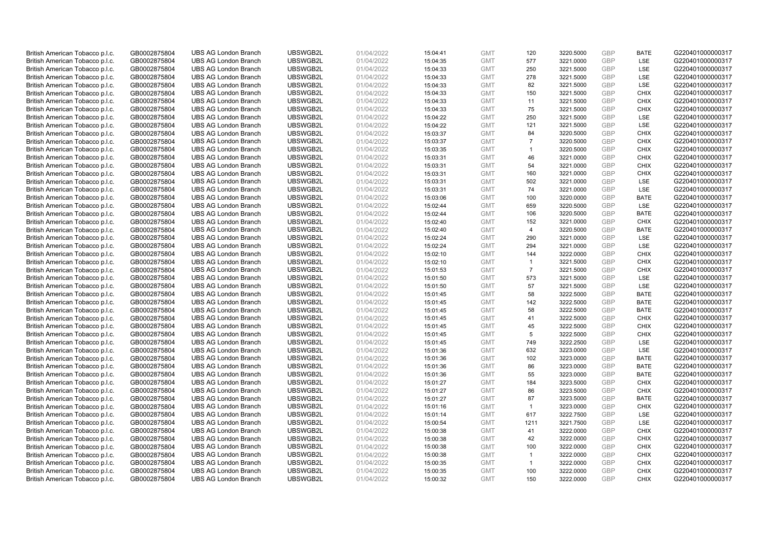| British American Tobacco p.l.c. | GB0002875804                 | <b>UBS AG London Branch</b> | UBSWGB2L             | 01/04/2022               | 15:04:41 | <b>GMT</b>               | 120            | 3220.5000              | <b>GBP</b> | <b>BATE</b>                | G220401000000317 |
|---------------------------------|------------------------------|-----------------------------|----------------------|--------------------------|----------|--------------------------|----------------|------------------------|------------|----------------------------|------------------|
| British American Tobacco p.l.c. | GB0002875804                 | <b>UBS AG London Branch</b> | UBSWGB2L             | 01/04/2022               | 15:04:35 | <b>GMT</b>               | 577            | 3221.0000              | GBP        | LSE                        | G220401000000317 |
| British American Tobacco p.l.c. | GB0002875804                 | <b>UBS AG London Branch</b> | UBSWGB2L             | 01/04/2022               | 15:04:33 | <b>GMT</b>               | 250            | 3221.5000              | <b>GBP</b> | <b>LSE</b>                 | G220401000000317 |
| British American Tobacco p.l.c. | GB0002875804                 | <b>UBS AG London Branch</b> | UBSWGB2L             | 01/04/2022               | 15:04:33 | <b>GMT</b>               | 278            | 3221.5000              | <b>GBP</b> | LSE                        | G220401000000317 |
| British American Tobacco p.l.c. | GB0002875804                 | <b>UBS AG London Branch</b> | UBSWGB2L             | 01/04/2022               | 15:04:33 | <b>GMT</b>               | 82             | 3221.5000              | <b>GBP</b> | <b>LSE</b>                 | G220401000000317 |
| British American Tobacco p.l.c. | GB0002875804                 | <b>UBS AG London Branch</b> | UBSWGB2L             | 01/04/2022               | 15:04:33 | <b>GMT</b>               | 150            | 3221.5000              | <b>GBP</b> | <b>CHIX</b>                | G220401000000317 |
| British American Tobacco p.l.c. | GB0002875804                 | <b>UBS AG London Branch</b> | UBSWGB2L             | 01/04/2022               | 15:04:33 | <b>GMT</b>               | 11             | 3221.5000              | <b>GBP</b> | <b>CHIX</b>                | G220401000000317 |
| British American Tobacco p.l.c. | GB0002875804                 | <b>UBS AG London Branch</b> | UBSWGB2L             | 01/04/2022               | 15:04:33 | <b>GMT</b>               | 75             | 3221.5000              | <b>GBP</b> | <b>CHIX</b>                | G220401000000317 |
| British American Tobacco p.l.c. | GB0002875804                 | <b>UBS AG London Branch</b> | UBSWGB2L             | 01/04/2022               | 15:04:22 | <b>GMT</b>               | 250            | 3221.5000              | <b>GBP</b> | <b>LSE</b>                 | G220401000000317 |
| British American Tobacco p.l.c. | GB0002875804                 | <b>UBS AG London Branch</b> | UBSWGB2L             | 01/04/2022               | 15:04:22 | <b>GMT</b>               | 121            | 3221.5000              | <b>GBP</b> | <b>LSE</b>                 | G220401000000317 |
| British American Tobacco p.l.c. | GB0002875804                 | <b>UBS AG London Branch</b> | UBSWGB2L             | 01/04/2022               | 15:03:37 | <b>GMT</b>               | 84             | 3220.5000              | GBP        | <b>CHIX</b>                | G220401000000317 |
| British American Tobacco p.l.c. | GB0002875804                 | <b>UBS AG London Branch</b> | UBSWGB2L             | 01/04/2022               | 15:03:37 | <b>GMT</b>               | $\overline{7}$ | 3220.5000              | <b>GBP</b> | <b>CHIX</b>                | G220401000000317 |
| British American Tobacco p.l.c. | GB0002875804                 | <b>UBS AG London Branch</b> | UBSWGB2L             | 01/04/2022               | 15:03:35 | <b>GMT</b>               | $\mathbf{1}$   | 3220.5000              | <b>GBP</b> | <b>CHIX</b>                | G220401000000317 |
| British American Tobacco p.l.c. | GB0002875804                 | <b>UBS AG London Branch</b> | UBSWGB2L             | 01/04/2022               | 15:03:31 | <b>GMT</b>               | 46             | 3221.0000              | <b>GBP</b> | <b>CHIX</b>                | G220401000000317 |
| British American Tobacco p.l.c. | GB0002875804                 | <b>UBS AG London Branch</b> | UBSWGB2L             | 01/04/2022               | 15:03:31 | <b>GMT</b>               | 54             | 3221.0000              | <b>GBP</b> | <b>CHIX</b>                | G220401000000317 |
| British American Tobacco p.l.c. | GB0002875804                 | <b>UBS AG London Branch</b> | UBSWGB2L             | 01/04/2022               | 15:03:31 | <b>GMT</b>               | 160            | 3221.0000              | <b>GBP</b> | <b>CHIX</b>                | G220401000000317 |
| British American Tobacco p.l.c. | GB0002875804                 | <b>UBS AG London Branch</b> | UBSWGB2L             | 01/04/2022               | 15:03:31 | <b>GMT</b>               | 502            | 3221.0000              | <b>GBP</b> | <b>LSE</b>                 | G220401000000317 |
| British American Tobacco p.l.c. | GB0002875804                 | <b>UBS AG London Branch</b> | UBSWGB2L             | 01/04/2022               | 15:03:31 | <b>GMT</b>               | 74             | 3221.0000              | GBP        | LSE                        | G220401000000317 |
| British American Tobacco p.l.c. | GB0002875804                 | <b>UBS AG London Branch</b> | UBSWGB2L             | 01/04/2022               | 15:03:06 | <b>GMT</b>               | 100            | 3220.0000              | <b>GBP</b> | <b>BATE</b>                | G220401000000317 |
| British American Tobacco p.l.c. | GB0002875804                 | <b>UBS AG London Branch</b> | UBSWGB2L             | 01/04/2022               | 15:02:44 | <b>GMT</b>               | 659            | 3220.5000              | <b>GBP</b> | LSE                        | G220401000000317 |
| British American Tobacco p.l.c. | GB0002875804                 | <b>UBS AG London Branch</b> | UBSWGB2L             | 01/04/2022               | 15:02:44 | <b>GMT</b>               | 106            | 3220.5000              | <b>GBP</b> | <b>BATE</b>                | G220401000000317 |
| British American Tobacco p.l.c. | GB0002875804                 | <b>UBS AG London Branch</b> | UBSWGB2L             | 01/04/2022               | 15:02:40 | <b>GMT</b>               | 152            | 3221.0000              | GBP        | <b>CHIX</b>                | G220401000000317 |
| British American Tobacco p.l.c. | GB0002875804                 | <b>UBS AG London Branch</b> | UBSWGB2L             | 01/04/2022               | 15:02:40 | <b>GMT</b>               | $\overline{4}$ | 3220.5000              | <b>GBP</b> | <b>BATE</b>                | G220401000000317 |
| British American Tobacco p.l.c. | GB0002875804                 | <b>UBS AG London Branch</b> | UBSWGB2L             | 01/04/2022               | 15:02:24 | <b>GMT</b>               | 290            | 3221.0000              | <b>GBP</b> | LSE                        | G220401000000317 |
| British American Tobacco p.l.c. | GB0002875804                 | <b>UBS AG London Branch</b> | UBSWGB2L             | 01/04/2022               | 15:02:24 | <b>GMT</b>               | 294            | 3221.0000              | <b>GBP</b> | LSE                        | G220401000000317 |
| British American Tobacco p.l.c. | GB0002875804                 | <b>UBS AG London Branch</b> | UBSWGB2L             | 01/04/2022               | 15:02:10 | <b>GMT</b>               | 144            | 3222.0000              | GBP        | <b>CHIX</b>                | G220401000000317 |
| British American Tobacco p.l.c. | GB0002875804                 | <b>UBS AG London Branch</b> | UBSWGB2L             | 01/04/2022               | 15:02:10 | <b>GMT</b>               | $\overline{1}$ | 3221.5000              | <b>GBP</b> | <b>CHIX</b>                | G220401000000317 |
| British American Tobacco p.l.c. | GB0002875804                 | <b>UBS AG London Branch</b> | UBSWGB2L             | 01/04/2022               | 15:01:53 | <b>GMT</b>               | $\overline{7}$ | 3221.5000              | <b>GBP</b> | <b>CHIX</b>                | G220401000000317 |
| British American Tobacco p.l.c. | GB0002875804                 | <b>UBS AG London Branch</b> | UBSWGB2L             | 01/04/2022               | 15:01:50 | <b>GMT</b>               | 573            | 3221.5000              | <b>GBP</b> | LSE                        | G220401000000317 |
| British American Tobacco p.l.c. | GB0002875804                 | <b>UBS AG London Branch</b> | UBSWGB2L             | 01/04/2022               | 15:01:50 | <b>GMT</b>               | 57             | 3221.5000              | GBP        | LSE                        | G220401000000317 |
| British American Tobacco p.l.c. | GB0002875804                 | <b>UBS AG London Branch</b> | UBSWGB2L             | 01/04/2022               | 15:01:45 | <b>GMT</b>               | 58             | 3222.5000              | <b>GBP</b> | <b>BATE</b>                | G220401000000317 |
| British American Tobacco p.l.c. | GB0002875804                 | <b>UBS AG London Branch</b> | UBSWGB2L             | 01/04/2022               | 15:01:45 | <b>GMT</b>               | 142            | 3222.5000              | GBP        | <b>BATE</b>                | G220401000000317 |
| British American Tobacco p.l.c. | GB0002875804                 | <b>UBS AG London Branch</b> | UBSWGB2L             | 01/04/2022               | 15:01:45 | <b>GMT</b>               | 58             | 3222.5000              | <b>GBP</b> | <b>BATE</b>                | G220401000000317 |
| British American Tobacco p.l.c. | GB0002875804                 | <b>UBS AG London Branch</b> | UBSWGB2L             | 01/04/2022               | 15:01:45 | <b>GMT</b>               | 41             | 3222.5000              | <b>GBP</b> | <b>CHIX</b>                | G220401000000317 |
| British American Tobacco p.l.c. | GB0002875804                 | <b>UBS AG London Branch</b> | UBSWGB2L             | 01/04/2022               | 15:01:45 | <b>GMT</b>               | 45             | 3222.5000              | <b>GBP</b> | <b>CHIX</b>                | G220401000000317 |
| British American Tobacco p.l.c. | GB0002875804                 | <b>UBS AG London Branch</b> | UBSWGB2L             | 01/04/2022               | 15:01:45 | <b>GMT</b>               | 5              | 3222.5000              | <b>GBP</b> | <b>CHIX</b>                | G220401000000317 |
| British American Tobacco p.l.c. | GB0002875804                 | <b>UBS AG London Branch</b> | UBSWGB2L             | 01/04/2022               | 15:01:45 | <b>GMT</b>               | 749            | 3222.2500              | GBP        | <b>LSE</b>                 | G220401000000317 |
| British American Tobacco p.l.c. | GB0002875804                 | <b>UBS AG London Branch</b> | UBSWGB2L             | 01/04/2022               | 15:01:36 | <b>GMT</b>               | 632            | 3223.0000              | <b>GBP</b> | LSE                        | G220401000000317 |
| British American Tobacco p.l.c. | GB0002875804                 | <b>UBS AG London Branch</b> | UBSWGB2L             | 01/04/2022               | 15:01:36 | <b>GMT</b>               | 102            | 3223.0000              | <b>GBP</b> | <b>BATE</b>                | G220401000000317 |
| British American Tobacco p.l.c. | GB0002875804                 | <b>UBS AG London Branch</b> | UBSWGB2L             | 01/04/2022               | 15:01:36 | <b>GMT</b>               | 86             | 3223.0000              | <b>GBP</b> | <b>BATE</b>                | G220401000000317 |
| British American Tobacco p.l.c. | GB0002875804                 | <b>UBS AG London Branch</b> | UBSWGB2L             | 01/04/2022               | 15:01:36 | <b>GMT</b>               | 55             | 3223.0000              | <b>GBP</b> | <b>BATE</b>                | G220401000000317 |
| British American Tobacco p.l.c. | GB0002875804                 | <b>UBS AG London Branch</b> | UBSWGB2L             | 01/04/2022               | 15:01:27 | <b>GMT</b>               | 184            | 3223.5000              | <b>GBP</b> | <b>CHIX</b>                | G220401000000317 |
| British American Tobacco p.l.c. | GB0002875804                 | <b>UBS AG London Branch</b> | UBSWGB2L             | 01/04/2022               | 15:01:27 | <b>GMT</b>               | 86             | 3223.5000              | <b>GBP</b> | <b>CHIX</b>                | G220401000000317 |
| British American Tobacco p.l.c. | GB0002875804                 | <b>UBS AG London Branch</b> | UBSWGB2L             | 01/04/2022               | 15:01:27 | <b>GMT</b>               | 87             | 3223.5000              | GBP        | <b>BATE</b>                | G220401000000317 |
| British American Tobacco p.l.c. | GB0002875804                 | <b>UBS AG London Branch</b> | UBSWGB2L             | 01/04/2022               | 15:01:16 | <b>GMT</b>               | $\overline{1}$ | 3223.0000              | <b>GBP</b> | <b>CHIX</b>                | G220401000000317 |
| British American Tobacco p.l.c. | GB0002875804                 | <b>UBS AG London Branch</b> | UBSWGB2L             | 01/04/2022               | 15:01:14 | <b>GMT</b>               | 617            | 3222.7500              | <b>GBP</b> | LSE                        | G220401000000317 |
| British American Tobacco p.l.c. | GB0002875804                 | <b>UBS AG London Branch</b> | UBSWGB2L             | 01/04/2022               | 15:00:54 | <b>GMT</b>               | 1211           | 3221.7500              | <b>GBP</b> | LSE                        | G220401000000317 |
| British American Tobacco p.l.c. | GB0002875804                 | <b>UBS AG London Branch</b> | UBSWGB2L             | 01/04/2022               | 15:00:38 | <b>GMT</b>               | 41             | 3222.0000              | <b>GBP</b> | <b>CHIX</b>                | G220401000000317 |
| British American Tobacco p.l.c. | GB0002875804                 | <b>UBS AG London Branch</b> | UBSWGB2L             | 01/04/2022               | 15:00:38 | <b>GMT</b>               | 42             | 3222.0000              | <b>GBP</b> | <b>CHIX</b>                | G220401000000317 |
| British American Tobacco p.l.c. | GB0002875804                 | <b>UBS AG London Branch</b> | UBSWGB2L             | 01/04/2022               | 15:00:38 | <b>GMT</b>               | 100            | 3222.0000              | GBP        | <b>CHIX</b>                | G220401000000317 |
| British American Tobacco p.l.c. | GB0002875804                 | <b>UBS AG London Branch</b> | UBSWGB2L             | 01/04/2022               | 15:00:38 | <b>GMT</b>               | $\mathbf{1}$   | 3222.0000              | <b>GBP</b> | <b>CHIX</b>                | G220401000000317 |
| British American Tobacco p.l.c. | GB0002875804                 | <b>UBS AG London Branch</b> | UBSWGB2L             | 01/04/2022               | 15:00:35 | <b>GMT</b>               | $\mathbf{1}$   | 3222.0000              | GBP        | <b>CHIX</b>                | G220401000000317 |
| British American Tobacco p.l.c. | GB0002875804<br>GB0002875804 | <b>UBS AG London Branch</b> | UBSWGB2L<br>UBSWGB2L | 01/04/2022<br>01/04/2022 | 15:00:35 | <b>GMT</b><br><b>GMT</b> | 100<br>150     | 3222.0000<br>3222.0000 | GBP<br>GBP | <b>CHIX</b><br><b>CHIX</b> | G220401000000317 |
| British American Tobacco p.l.c. |                              | <b>UBS AG London Branch</b> |                      |                          | 15:00:32 |                          |                |                        |            |                            | G220401000000317 |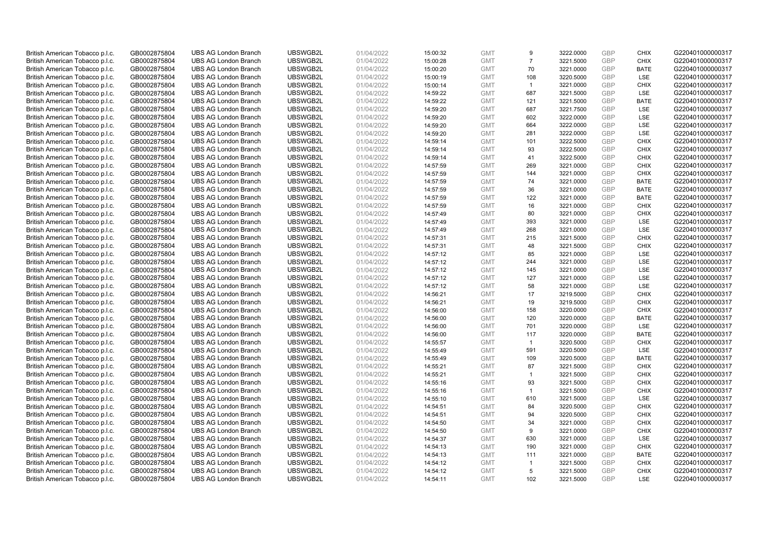| British American Tobacco p.l.c. | GB0002875804                 | <b>UBS AG London Branch</b> | UBSWGB2L             | 01/04/2022               | 15:00:32             | <b>GMT</b>               | 9              | 3222.0000              | GBP        | <b>CHIX</b>               | G220401000000317 |
|---------------------------------|------------------------------|-----------------------------|----------------------|--------------------------|----------------------|--------------------------|----------------|------------------------|------------|---------------------------|------------------|
| British American Tobacco p.l.c. | GB0002875804                 | <b>UBS AG London Branch</b> | UBSWGB2L             | 01/04/2022               | 15:00:28             | <b>GMT</b>               | $\overline{7}$ | 3221.5000              | <b>GBP</b> | <b>CHIX</b>               | G220401000000317 |
| British American Tobacco p.l.c. | GB0002875804                 | <b>UBS AG London Branch</b> | UBSWGB2L             | 01/04/2022               | 15:00:20             | <b>GMT</b>               | 70             | 3221.0000              | GBP        | <b>BATE</b>               | G220401000000317 |
| British American Tobacco p.l.c. | GB0002875804                 | <b>UBS AG London Branch</b> | UBSWGB2L             | 01/04/2022               | 15:00:19             | <b>GMT</b>               | 108            | 3220.5000              | GBP        | <b>LSE</b>                | G220401000000317 |
| British American Tobacco p.l.c. | GB0002875804                 | <b>UBS AG London Branch</b> | UBSWGB2L             | 01/04/2022               | 15:00:14             | <b>GMT</b>               | $\mathbf{1}$   | 3221.0000              | <b>GBP</b> | <b>CHIX</b>               | G220401000000317 |
| British American Tobacco p.l.c. | GB0002875804                 | <b>UBS AG London Branch</b> | UBSWGB2L             | 01/04/2022               | 14:59:22             | <b>GMT</b>               | 687            | 3221.5000              | <b>GBP</b> | <b>LSE</b>                | G220401000000317 |
| British American Tobacco p.l.c. | GB0002875804                 | <b>UBS AG London Branch</b> | UBSWGB2L             | 01/04/2022               | 14:59:22             | <b>GMT</b>               | 121            | 3221.5000              | GBP        | <b>BATE</b>               | G220401000000317 |
| British American Tobacco p.l.c. | GB0002875804                 | <b>UBS AG London Branch</b> | UBSWGB2L             | 01/04/2022               | 14:59:20             | <b>GMT</b>               | 687            | 3221.7500              | <b>GBP</b> | <b>LSE</b>                | G220401000000317 |
| British American Tobacco p.l.c. | GB0002875804                 | <b>UBS AG London Branch</b> | UBSWGB2L             | 01/04/2022               | 14:59:20             | <b>GMT</b>               | 602            | 3222.0000              | <b>GBP</b> | LSE                       | G220401000000317 |
| British American Tobacco p.l.c. | GB0002875804                 | <b>UBS AG London Branch</b> | UBSWGB2L             | 01/04/2022               | 14:59:20             | <b>GMT</b>               | 664            | 3222.0000              | <b>GBP</b> | LSE                       | G220401000000317 |
| British American Tobacco p.l.c. | GB0002875804                 | <b>UBS AG London Branch</b> | UBSWGB2L             | 01/04/2022               | 14:59:20             | <b>GMT</b>               | 281            | 3222.0000              | GBP        | LSE                       | G220401000000317 |
| British American Tobacco p.l.c. | GB0002875804                 | <b>UBS AG London Branch</b> | UBSWGB2L             | 01/04/2022               | 14:59:14             | <b>GMT</b>               | 101            | 3222.5000              | <b>GBP</b> | <b>CHIX</b>               | G220401000000317 |
| British American Tobacco p.l.c. | GB0002875804                 | <b>UBS AG London Branch</b> | UBSWGB2L             | 01/04/2022               | 14:59:14             | <b>GMT</b>               | 93             | 3222.5000              | <b>GBP</b> | <b>CHIX</b>               | G220401000000317 |
| British American Tobacco p.l.c. | GB0002875804                 | <b>UBS AG London Branch</b> | UBSWGB2L             | 01/04/2022               | 14:59:14             | <b>GMT</b>               | 41             | 3222.5000              | <b>GBP</b> | <b>CHIX</b>               | G220401000000317 |
| British American Tobacco p.l.c. | GB0002875804                 | <b>UBS AG London Branch</b> | UBSWGB2L             | 01/04/2022               | 14:57:59             | <b>GMT</b>               | 269            | 3221.0000              | <b>GBP</b> | <b>CHIX</b>               | G220401000000317 |
| British American Tobacco p.l.c. | GB0002875804                 | <b>UBS AG London Branch</b> | UBSWGB2L             | 01/04/2022               | 14:57:59             | <b>GMT</b>               | 144            | 3221.0000              | GBP        | <b>CHIX</b>               | G220401000000317 |
| British American Tobacco p.l.c. | GB0002875804                 | <b>UBS AG London Branch</b> | UBSWGB2L             | 01/04/2022               | 14:57:59             | <b>GMT</b>               | 74             | 3221.0000              | GBP        | <b>BATE</b>               | G220401000000317 |
| British American Tobacco p.l.c. | GB0002875804                 | <b>UBS AG London Branch</b> | UBSWGB2L             | 01/04/2022               | 14:57:59             | <b>GMT</b>               | 36             | 3221.0000              | GBP        | <b>BATE</b>               | G220401000000317 |
| British American Tobacco p.l.c. | GB0002875804                 | <b>UBS AG London Branch</b> | UBSWGB2L             | 01/04/2022               | 14:57:59             | <b>GMT</b>               | 122            | 3221.0000              | <b>GBP</b> | <b>BATE</b>               | G220401000000317 |
| British American Tobacco p.l.c. | GB0002875804                 | <b>UBS AG London Branch</b> | UBSWGB2L             | 01/04/2022               | 14:57:59             | <b>GMT</b>               | 16             | 3221.0000              | <b>GBP</b> | <b>CHIX</b>               | G220401000000317 |
| British American Tobacco p.l.c. | GB0002875804                 | <b>UBS AG London Branch</b> | UBSWGB2L             | 01/04/2022               | 14:57:49             | <b>GMT</b>               | 80             | 3221.0000              | <b>GBP</b> | <b>CHIX</b>               | G220401000000317 |
| British American Tobacco p.l.c. | GB0002875804                 | <b>UBS AG London Branch</b> | UBSWGB2L             | 01/04/2022               | 14:57:49             | <b>GMT</b>               | 393            | 3221.0000              | <b>GBP</b> | LSE                       | G220401000000317 |
| British American Tobacco p.l.c. | GB0002875804                 | <b>UBS AG London Branch</b> | UBSWGB2L             | 01/04/2022               | 14:57:49             | <b>GMT</b>               | 268            | 3221.0000              | <b>GBP</b> | LSE                       | G220401000000317 |
| British American Tobacco p.l.c. | GB0002875804                 | <b>UBS AG London Branch</b> | UBSWGB2L             | 01/04/2022               | 14:57:31             | <b>GMT</b>               | 215            | 3221.5000              | GBP        | <b>CHIX</b>               | G220401000000317 |
| British American Tobacco p.l.c. | GB0002875804                 | <b>UBS AG London Branch</b> | UBSWGB2L             | 01/04/2022               | 14:57:31             | <b>GMT</b>               | 48             | 3221.5000              | <b>GBP</b> | <b>CHIX</b>               | G220401000000317 |
| British American Tobacco p.l.c. | GB0002875804                 | <b>UBS AG London Branch</b> | UBSWGB2L             | 01/04/2022               | 14:57:12             | <b>GMT</b>               | 85             | 3221.0000              | <b>GBP</b> | LSE                       | G220401000000317 |
| British American Tobacco p.l.c. | GB0002875804                 | <b>UBS AG London Branch</b> | UBSWGB2L             | 01/04/2022               | 14:57:12             | <b>GMT</b>               | 244            | 3221.0000              | GBP        | <b>LSE</b>                | G220401000000317 |
| British American Tobacco p.l.c. | GB0002875804                 | <b>UBS AG London Branch</b> | UBSWGB2L             | 01/04/2022               | 14:57:12             | <b>GMT</b>               | 145            | 3221.0000              | <b>GBP</b> | <b>LSE</b>                | G220401000000317 |
| British American Tobacco p.l.c. | GB0002875804                 | <b>UBS AG London Branch</b> | UBSWGB2L             | 01/04/2022               | 14:57:12             | <b>GMT</b>               | 127            | 3221.0000              | GBP        | LSE                       | G220401000000317 |
| British American Tobacco p.l.c. | GB0002875804                 | <b>UBS AG London Branch</b> | UBSWGB2L             | 01/04/2022               | 14:57:12             | <b>GMT</b>               | 58             | 3221.0000              | <b>GBP</b> | LSE                       | G220401000000317 |
| British American Tobacco p.l.c. | GB0002875804                 | <b>UBS AG London Branch</b> | UBSWGB2L             | 01/04/2022               | 14:56:21             | <b>GMT</b>               | 17             | 3219.5000              | GBP        | <b>CHIX</b>               | G220401000000317 |
| British American Tobacco p.l.c. | GB0002875804                 | <b>UBS AG London Branch</b> | UBSWGB2L             | 01/04/2022               | 14:56:21             | <b>GMT</b>               | 19             | 3219.5000              | GBP        | <b>CHIX</b>               | G220401000000317 |
| British American Tobacco p.l.c. | GB0002875804                 | <b>UBS AG London Branch</b> | UBSWGB2L             | 01/04/2022               | 14:56:00             | <b>GMT</b>               | 158            | 3220.0000              | GBP        | <b>CHIX</b>               | G220401000000317 |
| British American Tobacco p.l.c. | GB0002875804                 | <b>UBS AG London Branch</b> | UBSWGB2L             | 01/04/2022               | 14:56:00             | <b>GMT</b>               | 120            | 3220.0000              | GBP        | <b>BATE</b>               | G220401000000317 |
| British American Tobacco p.l.c. | GB0002875804                 | <b>UBS AG London Branch</b> | UBSWGB2L             | 01/04/2022               | 14:56:00             | <b>GMT</b>               | 701            | 3220.0000              | GBP        | LSE                       | G220401000000317 |
| British American Tobacco p.l.c. | GB0002875804                 | <b>UBS AG London Branch</b> | UBSWGB2L             | 01/04/2022               | 14:56:00             | <b>GMT</b>               | 117            | 3220.0000              | <b>GBP</b> | <b>BATE</b>               | G220401000000317 |
| British American Tobacco p.l.c. | GB0002875804                 | <b>UBS AG London Branch</b> | UBSWGB2L             | 01/04/2022               | 14:55:57             | <b>GMT</b>               | $\overline{1}$ | 3220.5000              | GBP        | <b>CHIX</b>               | G220401000000317 |
| British American Tobacco p.l.c. | GB0002875804                 | <b>UBS AG London Branch</b> | UBSWGB2L             | 01/04/2022               | 14:55:49             | <b>GMT</b>               | 591            | 3220.5000              | <b>GBP</b> | LSE                       | G220401000000317 |
| British American Tobacco p.l.c. | GB0002875804                 | <b>UBS AG London Branch</b> | UBSWGB2L             | 01/04/2022               | 14:55:49             | <b>GMT</b>               | 109            | 3220.5000              | GBP        | <b>BATE</b>               | G220401000000317 |
| British American Tobacco p.l.c. | GB0002875804                 | <b>UBS AG London Branch</b> | UBSWGB2L             | 01/04/2022               | 14:55:21             | <b>GMT</b>               | 87             | 3221.5000              | GBP        | <b>CHIX</b>               | G220401000000317 |
| British American Tobacco p.l.c. | GB0002875804                 | <b>UBS AG London Branch</b> | UBSWGB2L             | 01/04/2022               | 14:55:21             | <b>GMT</b>               | $\mathbf{1}$   | 3221.5000              | <b>GBP</b> | <b>CHIX</b>               | G220401000000317 |
| British American Tobacco p.l.c. | GB0002875804                 | <b>UBS AG London Branch</b> | UBSWGB2L             | 01/04/2022               | 14:55:16             | <b>GMT</b>               | 93             | 3221.5000              | GBP        | <b>CHIX</b>               | G220401000000317 |
| British American Tobacco p.l.c. | GB0002875804                 | <b>UBS AG London Branch</b> | UBSWGB2L             | 01/04/2022               | 14:55:16             | <b>GMT</b>               | $\mathbf{1}$   | 3221.5000              | GBP        | <b>CHIX</b>               | G220401000000317 |
| British American Tobacco p.l.c. | GB0002875804                 | <b>UBS AG London Branch</b> | UBSWGB2L             | 01/04/2022               | 14:55:10             | <b>GMT</b>               | 610            | 3221.5000              | GBP        | <b>LSE</b>                | G220401000000317 |
| British American Tobacco p.l.c. | GB0002875804                 | <b>UBS AG London Branch</b> | UBSWGB2L             | 01/04/2022               | 14:54:51             | <b>GMT</b>               | 84             | 3220.5000              | GBP        | <b>CHIX</b>               | G220401000000317 |
| British American Tobacco p.l.c. | GB0002875804                 | <b>UBS AG London Branch</b> | UBSWGB2L             | 01/04/2022               | 14:54:51             | <b>GMT</b>               | 94             | 3220.5000              | GBP        | <b>CHIX</b>               | G220401000000317 |
| British American Tobacco p.l.c. | GB0002875804                 | <b>UBS AG London Branch</b> | UBSWGB2L             | 01/04/2022               | 14:54:50             | <b>GMT</b>               | 34             | 3221.0000              | GBP        | <b>CHIX</b>               | G220401000000317 |
| British American Tobacco p.l.c. | GB0002875804                 | <b>UBS AG London Branch</b> | UBSWGB2L             | 01/04/2022               | 14:54:50             | <b>GMT</b>               | 9              | 3221.0000              | GBP        | <b>CHIX</b>               | G220401000000317 |
| British American Tobacco p.l.c. | GB0002875804                 | <b>UBS AG London Branch</b> | UBSWGB2L             | 01/04/2022               | 14:54:37             | <b>GMT</b>               | 630            | 3221.0000              | GBP        | LSE                       | G220401000000317 |
| British American Tobacco p.l.c. | GB0002875804                 | <b>UBS AG London Branch</b> | UBSWGB2L             | 01/04/2022               | 14:54:13             | <b>GMT</b>               | 190            | 3221.0000              | GBP        | <b>CHIX</b>               | G220401000000317 |
| British American Tobacco p.l.c. |                              | <b>UBS AG London Branch</b> | UBSWGB2L             | 01/04/2022               |                      | <b>GMT</b>               | 111            | 3221.0000              | GBP        | <b>BATE</b>               | G220401000000317 |
| British American Tobacco p.l.c. | GB0002875804                 | <b>UBS AG London Branch</b> | UBSWGB2L             | 01/04/2022               | 14:54:13<br>14:54:12 | <b>GMT</b>               | $\mathbf{1}$   | 3221.5000              | <b>GBP</b> | <b>CHIX</b>               | G220401000000317 |
|                                 | GB0002875804                 |                             |                      |                          |                      |                          |                |                        | GBP        |                           | G220401000000317 |
| British American Tobacco p.l.c. | GB0002875804<br>GB0002875804 | <b>UBS AG London Branch</b> | UBSWGB2L<br>UBSWGB2L | 01/04/2022<br>01/04/2022 | 14:54:12             | <b>GMT</b><br><b>GMT</b> | 5<br>102       | 3221.5000<br>3221.5000 | GBP        | <b>CHIX</b><br><b>LSE</b> |                  |
| British American Tobacco p.l.c. |                              | <b>UBS AG London Branch</b> |                      |                          | 14:54:11             |                          |                |                        |            |                           | G220401000000317 |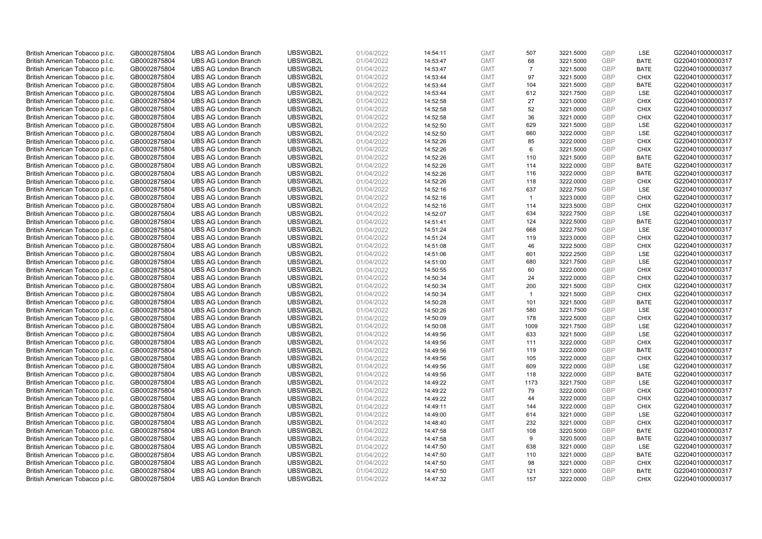| British American Tobacco p.l.c.                                    | GB0002875804                 | <b>UBS AG London Branch</b> | UBSWGB2L             | 01/04/2022 | 14:54:11             | <b>GMT</b>               | 507            | 3221.5000              | <b>GBP</b>        | <b>LSE</b>  | G220401000000317 |
|--------------------------------------------------------------------|------------------------------|-----------------------------|----------------------|------------|----------------------|--------------------------|----------------|------------------------|-------------------|-------------|------------------|
| British American Tobacco p.l.c.                                    | GB0002875804                 | <b>UBS AG London Branch</b> | UBSWGB2L             | 01/04/2022 | 14:53:47             | <b>GMT</b>               | 68             | 3221.5000              | GBP               | <b>BATE</b> | G220401000000317 |
| British American Tobacco p.l.c.                                    | GB0002875804                 | <b>UBS AG London Branch</b> | UBSWGB2L             | 01/04/2022 | 14:53:47             | <b>GMT</b>               | $\overline{7}$ | 3221.5000              | GBP               | <b>BATE</b> | G220401000000317 |
| British American Tobacco p.l.c.                                    | GB0002875804                 | <b>UBS AG London Branch</b> | UBSWGB2L             | 01/04/2022 | 14:53:44             | <b>GMT</b>               | 97             | 3221.5000              | GBP               | <b>CHIX</b> | G220401000000317 |
| British American Tobacco p.l.c.                                    | GB0002875804                 | <b>UBS AG London Branch</b> | UBSWGB2L             | 01/04/2022 | 14:53:44             | <b>GMT</b>               | 104            | 3221.5000              | <b>GBP</b>        | <b>BATE</b> | G220401000000317 |
| British American Tobacco p.l.c.                                    | GB0002875804                 | <b>UBS AG London Branch</b> | UBSWGB2L             | 01/04/2022 | 14:53:44             | <b>GMT</b>               | 612            | 3221.7500              | GBP               | <b>LSE</b>  | G220401000000317 |
| British American Tobacco p.l.c.                                    | GB0002875804                 | <b>UBS AG London Branch</b> | UBSWGB2L             | 01/04/2022 | 14:52:58             | <b>GMT</b>               | 27             | 3221.0000              | <b>GBP</b>        | <b>CHIX</b> | G220401000000317 |
| British American Tobacco p.l.c.                                    | GB0002875804                 | <b>UBS AG London Branch</b> | UBSWGB2L             | 01/04/2022 | 14:52:58             | <b>GMT</b>               | 52             | 3221.0000              | <b>GBP</b>        | <b>CHIX</b> | G220401000000317 |
| British American Tobacco p.l.c.                                    | GB0002875804                 | <b>UBS AG London Branch</b> | UBSWGB2L             | 01/04/2022 | 14:52:58             | <b>GMT</b>               | 36             | 3221.0000              | <b>GBP</b>        | <b>CHIX</b> | G220401000000317 |
| British American Tobacco p.l.c.                                    | GB0002875804                 | <b>UBS AG London Branch</b> | UBSWGB2L             | 01/04/2022 | 14:52:50             | <b>GMT</b>               | 629            | 3221.5000              | <b>GBP</b>        | <b>LSE</b>  | G220401000000317 |
| British American Tobacco p.l.c.                                    | GB0002875804                 | <b>UBS AG London Branch</b> | UBSWGB2L             | 01/04/2022 | 14:52:50             | <b>GMT</b>               | 660            | 3222.0000              | <b>GBP</b>        | LSE         | G220401000000317 |
| British American Tobacco p.l.c.                                    | GB0002875804                 | <b>UBS AG London Branch</b> | UBSWGB2L             | 01/04/2022 | 14:52:26             | <b>GMT</b>               | 85             | 3222.0000              | <b>GBP</b>        | <b>CHIX</b> | G220401000000317 |
| British American Tobacco p.l.c.                                    | GB0002875804                 | <b>UBS AG London Branch</b> | UBSWGB2L             | 01/04/2022 | 14:52:26             | <b>GMT</b>               | 6              | 3221.5000              | GBP               | <b>CHIX</b> | G220401000000317 |
| British American Tobacco p.l.c.                                    | GB0002875804                 | <b>UBS AG London Branch</b> | UBSWGB2L             | 01/04/2022 | 14:52:26             | <b>GMT</b>               | 110            | 3221.5000              | <b>GBP</b>        | <b>BATE</b> | G220401000000317 |
| British American Tobacco p.l.c.                                    | GB0002875804                 | <b>UBS AG London Branch</b> | UBSWGB2L             | 01/04/2022 | 14:52:26             | <b>GMT</b>               | 114            | 3222.0000              | GBP               | <b>BATE</b> | G220401000000317 |
| British American Tobacco p.l.c.                                    | GB0002875804                 | <b>UBS AG London Branch</b> | UBSWGB2L             | 01/04/2022 | 14:52:26             | <b>GMT</b>               | 116            | 3222.0000              | <b>GBP</b>        | <b>BATE</b> | G220401000000317 |
| British American Tobacco p.l.c.                                    | GB0002875804                 | <b>UBS AG London Branch</b> | UBSWGB2L             | 01/04/2022 | 14:52:26             | <b>GMT</b>               | 118            | 3222.0000              | <b>GBP</b>        | <b>CHIX</b> | G220401000000317 |
| British American Tobacco p.l.c.                                    | GB0002875804                 | <b>UBS AG London Branch</b> | UBSWGB2L             | 01/04/2022 | 14:52:16             | <b>GMT</b>               | 637            | 3222.7500              | GBP               | LSE         | G220401000000317 |
| British American Tobacco p.l.c.                                    | GB0002875804                 | <b>UBS AG London Branch</b> | UBSWGB2L             | 01/04/2022 | 14:52:16             | <b>GMT</b>               | $\overline{1}$ | 3223.0000              | GBP               | <b>CHIX</b> | G220401000000317 |
| British American Tobacco p.l.c.                                    | GB0002875804                 | <b>UBS AG London Branch</b> | UBSWGB2L             | 01/04/2022 | 14:52:16             | <b>GMT</b>               | 114            | 3223.5000              | <b>GBP</b>        | <b>CHIX</b> | G220401000000317 |
| British American Tobacco p.l.c.                                    | GB0002875804                 | <b>UBS AG London Branch</b> | UBSWGB2L             | 01/04/2022 | 14:52:07             | <b>GMT</b>               | 634            | 3222.7500              | GBP               | LSE         | G220401000000317 |
| British American Tobacco p.l.c.                                    | GB0002875804                 | <b>UBS AG London Branch</b> | UBSWGB2L             | 01/04/2022 | 14:51:41             | <b>GMT</b>               | 124            | 3222.5000              | GBP               | <b>BATE</b> | G220401000000317 |
| British American Tobacco p.l.c.                                    | GB0002875804                 | <b>UBS AG London Branch</b> | UBSWGB2L             | 01/04/2022 | 14:51:24             | <b>GMT</b>               | 668            | 3222.7500              | GBP               | LSE         | G220401000000317 |
| British American Tobacco p.l.c.                                    | GB0002875804                 | <b>UBS AG London Branch</b> | UBSWGB2L             | 01/04/2022 | 14:51:24             | <b>GMT</b>               | 119            | 3223.0000              | <b>GBP</b>        | <b>CHIX</b> | G220401000000317 |
| British American Tobacco p.l.c.                                    | GB0002875804                 | <b>UBS AG London Branch</b> | UBSWGB2L             | 01/04/2022 | 14:51:08             | <b>GMT</b>               | 46             | 3222.5000              | <b>GBP</b>        | <b>CHIX</b> | G220401000000317 |
| British American Tobacco p.l.c.                                    | GB0002875804                 | <b>UBS AG London Branch</b> | UBSWGB2L             | 01/04/2022 | 14:51:06             | <b>GMT</b>               | 601            | 3222.2500              | <b>GBP</b>        | LSE         | G220401000000317 |
| British American Tobacco p.l.c.                                    | GB0002875804                 | <b>UBS AG London Branch</b> | UBSWGB2L             | 01/04/2022 | 14:51:00             | <b>GMT</b>               | 680            | 3221.7500              | <b>GBP</b>        | LSE         | G220401000000317 |
| British American Tobacco p.l.c.                                    | GB0002875804                 | <b>UBS AG London Branch</b> | UBSWGB2L             | 01/04/2022 | 14:50:55             | <b>GMT</b>               | 60             | 3222.0000              | <b>GBP</b>        | <b>CHIX</b> | G220401000000317 |
| British American Tobacco p.l.c.                                    | GB0002875804                 | <b>UBS AG London Branch</b> | UBSWGB2L             | 01/04/2022 | 14:50:34             | <b>GMT</b>               | 24             | 3222.0000              | GBP               | <b>CHIX</b> | G220401000000317 |
| British American Tobacco p.l.c.                                    | GB0002875804                 | <b>UBS AG London Branch</b> | UBSWGB2L             | 01/04/2022 | 14:50:34             | <b>GMT</b>               | 200            | 3221.5000              | GBP               | <b>CHIX</b> | G220401000000317 |
| British American Tobacco p.l.c.                                    | GB0002875804                 | <b>UBS AG London Branch</b> | UBSWGB2L             | 01/04/2022 | 14:50:34             | <b>GMT</b>               | $\overline{1}$ | 3221.5000              | <b>GBP</b>        | <b>CHIX</b> | G220401000000317 |
|                                                                    | GB0002875804                 | <b>UBS AG London Branch</b> | UBSWGB2L             | 01/04/2022 | 14:50:28             | <b>GMT</b>               | 101            | 3221.5000              | <b>GBP</b>        | <b>BATE</b> | G220401000000317 |
| British American Tobacco p.l.c.<br>British American Tobacco p.l.c. | GB0002875804                 | <b>UBS AG London Branch</b> | UBSWGB2L             | 01/04/2022 | 14:50:26             | <b>GMT</b>               | 580            | 3221.7500              | GBP               | <b>LSE</b>  | G220401000000317 |
| British American Tobacco p.l.c.                                    | GB0002875804                 | <b>UBS AG London Branch</b> | UBSWGB2L             | 01/04/2022 | 14:50:09             | <b>GMT</b>               | 178            | 3222.5000              | <b>GBP</b>        | <b>CHIX</b> | G220401000000317 |
| British American Tobacco p.l.c.                                    | GB0002875804                 | <b>UBS AG London Branch</b> | UBSWGB2L             | 01/04/2022 | 14:50:08             | <b>GMT</b>               | 1009           | 3221.7500              | <b>GBP</b>        | LSE         | G220401000000317 |
| British American Tobacco p.l.c.                                    | GB0002875804                 | <b>UBS AG London Branch</b> | UBSWGB2L             | 01/04/2022 | 14:49:56             | <b>GMT</b>               | 633            | 3221.5000              | <b>GBP</b>        | <b>LSE</b>  | G220401000000317 |
| British American Tobacco p.l.c.                                    | GB0002875804                 | <b>UBS AG London Branch</b> | UBSWGB2L             | 01/04/2022 |                      | <b>GMT</b>               | 111            |                        | GBP               | <b>CHIX</b> | G220401000000317 |
|                                                                    | GB0002875804                 | <b>UBS AG London Branch</b> | UBSWGB2L             | 01/04/2022 | 14:49:56             | <b>GMT</b>               | 119            | 3222.0000<br>3222.0000 | <b>GBP</b>        | <b>BATE</b> | G220401000000317 |
| British American Tobacco p.l.c.                                    |                              | <b>UBS AG London Branch</b> | UBSWGB2L             | 01/04/2022 | 14:49:56             |                          | 105            | 3222.0000              | GBP               | <b>CHIX</b> | G220401000000317 |
| British American Tobacco p.l.c.                                    | GB0002875804<br>GB0002875804 | <b>UBS AG London Branch</b> | UBSWGB2L             | 01/04/2022 | 14:49:56             | <b>GMT</b><br><b>GMT</b> | 609            | 3222.0000              | <b>GBP</b>        | LSE         | G220401000000317 |
| British American Tobacco p.l.c.<br>British American Tobacco p.l.c. | GB0002875804                 | <b>UBS AG London Branch</b> | UBSWGB2L             | 01/04/2022 | 14:49:56<br>14:49:56 | <b>GMT</b>               | 118            | 3222.0000              | <b>GBP</b>        | <b>BATE</b> | G220401000000317 |
|                                                                    |                              | <b>UBS AG London Branch</b> | UBSWGB2L             |            |                      | <b>GMT</b>               | 1173           | 3221.7500              | GBP               | LSE         | G220401000000317 |
| British American Tobacco p.l.c.                                    | GB0002875804                 |                             |                      | 01/04/2022 | 14:49:22             |                          |                |                        | <b>GBP</b>        |             |                  |
| British American Tobacco p.l.c.                                    | GB0002875804                 | <b>UBS AG London Branch</b> | UBSWGB2L             | 01/04/2022 | 14:49:22             | <b>GMT</b>               | 79             | 3222.0000              |                   | <b>CHIX</b> | G220401000000317 |
| British American Tobacco p.l.c.                                    | GB0002875804                 | <b>UBS AG London Branch</b> | UBSWGB2L<br>UBSWGB2L | 01/04/2022 | 14:49:22             | <b>GMT</b>               | 44<br>144      | 3222.0000              | GBP               | <b>CHIX</b> | G220401000000317 |
| British American Tobacco p.l.c.                                    | GB0002875804                 | <b>UBS AG London Branch</b> |                      | 01/04/2022 | 14:49:11             | <b>GMT</b>               |                | 3222.0000              | <b>GBP</b><br>GBP | <b>CHIX</b> | G220401000000317 |
| British American Tobacco p.l.c.                                    | GB0002875804                 | <b>UBS AG London Branch</b> | UBSWGB2L             | 01/04/2022 | 14:49:00             | <b>GMT</b>               | 614            | 3221.0000              |                   | LSE         | G220401000000317 |
| British American Tobacco p.l.c.                                    | GB0002875804                 | <b>UBS AG London Branch</b> | UBSWGB2L             | 01/04/2022 | 14:48:40             | <b>GMT</b>               | 232            | 3221.0000              | <b>GBP</b>        | <b>CHIX</b> | G220401000000317 |
| British American Tobacco p.l.c.                                    | GB0002875804                 | <b>UBS AG London Branch</b> | UBSWGB2L             | 01/04/2022 | 14:47:58             | <b>GMT</b>               | 108            | 3220.5000              | GBP               | <b>BATE</b> | G220401000000317 |
| British American Tobacco p.l.c.                                    | GB0002875804                 | <b>UBS AG London Branch</b> | UBSWGB2L             | 01/04/2022 | 14:47:58             | <b>GMT</b>               | 9              | 3220.5000              | <b>GBP</b>        | <b>BATE</b> | G220401000000317 |
| British American Tobacco p.l.c.                                    | GB0002875804                 | <b>UBS AG London Branch</b> | UBSWGB2L             | 01/04/2022 | 14:47:50             | <b>GMT</b>               | 638            | 3221.0000              | GBP               | <b>LSE</b>  | G220401000000317 |
| British American Tobacco p.l.c.                                    | GB0002875804                 | <b>UBS AG London Branch</b> | UBSWGB2L             | 01/04/2022 | 14:47:50             | <b>GMT</b>               | 110            | 3221.0000              | GBP               | <b>BATE</b> | G220401000000317 |
| British American Tobacco p.l.c.                                    | GB0002875804                 | <b>UBS AG London Branch</b> | UBSWGB2L             | 01/04/2022 | 14:47:50             | <b>GMT</b>               | 98             | 3221.0000              | GBP               | <b>CHIX</b> | G220401000000317 |
| British American Tobacco p.l.c.                                    | GB0002875804                 | <b>UBS AG London Branch</b> | UBSWGB2L             | 01/04/2022 | 14:47:50             | <b>GMT</b>               | 121            | 3221.0000              | GBP               | <b>BATE</b> | G220401000000317 |
| British American Tobacco p.l.c.                                    | GB0002875804                 | <b>UBS AG London Branch</b> | UBSWGB2L             | 01/04/2022 | 14:47:32             | <b>GMT</b>               | 157            | 3222.0000              | GBP               | <b>CHIX</b> | G220401000000317 |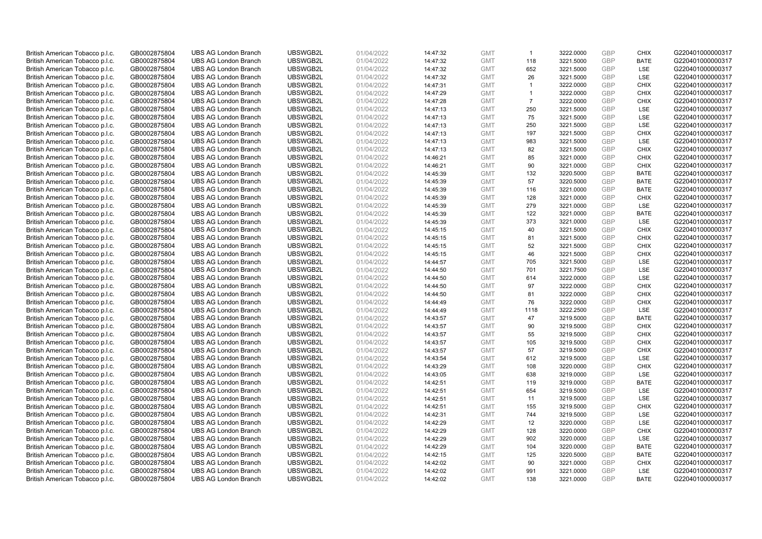| British American Tobacco p.l.c. | GB0002875804 | <b>UBS AG London Branch</b> | UBSWGB2L | 01/04/2022 | 14:47:32 | <b>GMT</b>               | $\overline{1}$       | 3222.0000 | <b>GBP</b> | <b>CHIX</b>               | G220401000000317 |
|---------------------------------|--------------|-----------------------------|----------|------------|----------|--------------------------|----------------------|-----------|------------|---------------------------|------------------|
| British American Tobacco p.l.c. | GB0002875804 | <b>UBS AG London Branch</b> | UBSWGB2L | 01/04/2022 | 14:47:32 | <b>GMT</b>               | 118                  | 3221.5000 | GBP        | <b>BATE</b>               | G220401000000317 |
| British American Tobacco p.l.c. | GB0002875804 | <b>UBS AG London Branch</b> | UBSWGB2L | 01/04/2022 | 14:47:32 | <b>GMT</b>               | 652                  | 3221.5000 | <b>GBP</b> | <b>LSE</b>                | G220401000000317 |
| British American Tobacco p.l.c. | GB0002875804 | <b>UBS AG London Branch</b> | UBSWGB2L | 01/04/2022 | 14:47:32 | <b>GMT</b>               | 26                   | 3221.5000 | <b>GBP</b> | LSE                       | G220401000000317 |
| British American Tobacco p.l.c. | GB0002875804 | <b>UBS AG London Branch</b> | UBSWGB2L | 01/04/2022 | 14:47:31 | <b>GMT</b>               | $\mathbf{1}$         | 3222.0000 | <b>GBP</b> | <b>CHIX</b>               | G220401000000317 |
| British American Tobacco p.l.c. | GB0002875804 | <b>UBS AG London Branch</b> | UBSWGB2L | 01/04/2022 | 14:47:29 | <b>GMT</b>               | $\blacktriangleleft$ | 3222.0000 | GBP        | <b>CHIX</b>               | G220401000000317 |
| British American Tobacco p.l.c. | GB0002875804 | <b>UBS AG London Branch</b> | UBSWGB2L | 01/04/2022 | 14:47:28 | <b>GMT</b>               | $\overline{7}$       | 3222.0000 | <b>GBP</b> | <b>CHIX</b>               | G220401000000317 |
| British American Tobacco p.l.c. | GB0002875804 | <b>UBS AG London Branch</b> | UBSWGB2L | 01/04/2022 | 14:47:13 | <b>GMT</b>               | 250                  | 3221.5000 | <b>GBP</b> | LSE                       | G220401000000317 |
| British American Tobacco p.l.c. | GB0002875804 | <b>UBS AG London Branch</b> | UBSWGB2L | 01/04/2022 | 14:47:13 | <b>GMT</b>               | 75                   | 3221.5000 | <b>GBP</b> | <b>LSE</b>                | G220401000000317 |
| British American Tobacco p.l.c. | GB0002875804 | <b>UBS AG London Branch</b> | UBSWGB2L | 01/04/2022 | 14:47:13 | <b>GMT</b>               | 250                  | 3221.5000 | <b>GBP</b> | <b>LSE</b>                | G220401000000317 |
| British American Tobacco p.l.c. | GB0002875804 | <b>UBS AG London Branch</b> | UBSWGB2L | 01/04/2022 | 14:47:13 | <b>GMT</b>               | 197                  | 3221.5000 | <b>GBP</b> | <b>CHIX</b>               | G220401000000317 |
| British American Tobacco p.l.c. | GB0002875804 | <b>UBS AG London Branch</b> | UBSWGB2L | 01/04/2022 | 14:47:13 | <b>GMT</b>               | 983                  | 3221.5000 | <b>GBP</b> | <b>LSE</b>                | G220401000000317 |
| British American Tobacco p.l.c. | GB0002875804 | <b>UBS AG London Branch</b> | UBSWGB2L | 01/04/2022 | 14:47:13 | <b>GMT</b>               | 82                   | 3221.5000 | <b>GBP</b> | <b>CHIX</b>               | G220401000000317 |
| British American Tobacco p.l.c. | GB0002875804 | <b>UBS AG London Branch</b> | UBSWGB2L | 01/04/2022 | 14:46:21 | <b>GMT</b>               | 85                   | 3221.0000 | <b>GBP</b> | <b>CHIX</b>               | G220401000000317 |
| British American Tobacco p.l.c. | GB0002875804 | <b>UBS AG London Branch</b> | UBSWGB2L | 01/04/2022 | 14:46:21 | <b>GMT</b>               | 90                   | 3221.0000 | GBP        | <b>CHIX</b>               | G220401000000317 |
| British American Tobacco p.l.c. | GB0002875804 | <b>UBS AG London Branch</b> | UBSWGB2L | 01/04/2022 | 14:45:39 | <b>GMT</b>               | 132                  | 3220.5000 | <b>GBP</b> | <b>BATE</b>               | G220401000000317 |
| British American Tobacco p.l.c. | GB0002875804 | <b>UBS AG London Branch</b> | UBSWGB2L | 01/04/2022 | 14:45:39 | <b>GMT</b>               | 57                   | 3220.5000 | GBP        | <b>BATE</b>               | G220401000000317 |
| British American Tobacco p.l.c. | GB0002875804 | <b>UBS AG London Branch</b> | UBSWGB2L | 01/04/2022 | 14:45:39 | <b>GMT</b>               | 116                  | 3221.0000 | GBP        | <b>BATE</b>               | G220401000000317 |
| British American Tobacco p.l.c. | GB0002875804 | <b>UBS AG London Branch</b> | UBSWGB2L | 01/04/2022 | 14:45:39 | <b>GMT</b>               | 128                  | 3221.0000 | <b>GBP</b> | <b>CHIX</b>               | G220401000000317 |
| British American Tobacco p.l.c. | GB0002875804 | <b>UBS AG London Branch</b> | UBSWGB2L | 01/04/2022 | 14:45:39 | <b>GMT</b>               | 279                  | 3221.0000 | <b>GBP</b> | <b>LSE</b>                | G220401000000317 |
| British American Tobacco p.l.c. | GB0002875804 | <b>UBS AG London Branch</b> | UBSWGB2L | 01/04/2022 | 14:45:39 | <b>GMT</b>               | 122                  | 3221.0000 | GBP        | <b>BATE</b>               | G220401000000317 |
| British American Tobacco p.l.c. | GB0002875804 | <b>UBS AG London Branch</b> | UBSWGB2L | 01/04/2022 | 14:45:39 | <b>GMT</b>               | 373                  | 3221.0000 | GBP        | <b>LSE</b>                | G220401000000317 |
| British American Tobacco p.l.c. | GB0002875804 | <b>UBS AG London Branch</b> | UBSWGB2L | 01/04/2022 | 14:45:15 | <b>GMT</b>               | 40                   | 3221.5000 | GBP        | <b>CHIX</b>               | G220401000000317 |
| British American Tobacco p.l.c. | GB0002875804 | <b>UBS AG London Branch</b> | UBSWGB2L | 01/04/2022 | 14:45:15 | <b>GMT</b>               | 81                   | 3221.5000 | <b>GBP</b> | <b>CHIX</b>               | G220401000000317 |
| British American Tobacco p.l.c. | GB0002875804 | <b>UBS AG London Branch</b> | UBSWGB2L | 01/04/2022 | 14:45:15 | <b>GMT</b>               | 52                   | 3221.5000 | <b>GBP</b> | <b>CHIX</b>               | G220401000000317 |
| British American Tobacco p.l.c. | GB0002875804 | <b>UBS AG London Branch</b> | UBSWGB2L | 01/04/2022 | 14:45:15 | <b>GMT</b>               | 46                   | 3221.5000 | <b>GBP</b> | <b>CHIX</b>               | G220401000000317 |
| British American Tobacco p.l.c. | GB0002875804 | <b>UBS AG London Branch</b> | UBSWGB2L | 01/04/2022 | 14:44:57 | <b>GMT</b>               | 705                  | 3221.5000 | <b>GBP</b> | LSE                       | G220401000000317 |
| British American Tobacco p.l.c. | GB0002875804 | <b>UBS AG London Branch</b> | UBSWGB2L | 01/04/2022 | 14:44:50 | <b>GMT</b>               | 701                  | 3221.7500 | <b>GBP</b> | LSE                       | G220401000000317 |
| British American Tobacco p.l.c. | GB0002875804 | <b>UBS AG London Branch</b> | UBSWGB2L | 01/04/2022 | 14:44:50 | <b>GMT</b>               | 614                  | 3222.0000 | <b>GBP</b> | LSE                       | G220401000000317 |
| British American Tobacco p.l.c. | GB0002875804 | <b>UBS AG London Branch</b> | UBSWGB2L | 01/04/2022 | 14:44:50 | <b>GMT</b>               | 97                   | 3222.0000 | GBP        | <b>CHIX</b>               | G220401000000317 |
| British American Tobacco p.l.c. | GB0002875804 | <b>UBS AG London Branch</b> | UBSWGB2L | 01/04/2022 | 14:44:50 | <b>GMT</b>               | 81                   | 3222.0000 | <b>GBP</b> | <b>CHIX</b>               | G220401000000317 |
| British American Tobacco p.l.c. | GB0002875804 | <b>UBS AG London Branch</b> | UBSWGB2L | 01/04/2022 | 14:44:49 | <b>GMT</b>               | 76                   | 3222.0000 | <b>GBP</b> | <b>CHIX</b>               | G220401000000317 |
| British American Tobacco p.l.c. | GB0002875804 | <b>UBS AG London Branch</b> | UBSWGB2L | 01/04/2022 | 14:44:49 | <b>GMT</b>               | 1118                 | 3222.2500 | <b>GBP</b> | LSE                       | G220401000000317 |
| British American Tobacco p.l.c. | GB0002875804 | <b>UBS AG London Branch</b> | UBSWGB2L | 01/04/2022 | 14:43:57 | <b>GMT</b>               | 47                   | 3219.5000 | <b>GBP</b> | <b>BATE</b>               | G220401000000317 |
| British American Tobacco p.l.c. | GB0002875804 | <b>UBS AG London Branch</b> | UBSWGB2L | 01/04/2022 | 14:43:57 | <b>GMT</b>               | 90                   | 3219.5000 | <b>GBP</b> | <b>CHIX</b>               | G220401000000317 |
| British American Tobacco p.l.c. | GB0002875804 | <b>UBS AG London Branch</b> | UBSWGB2L | 01/04/2022 | 14:43:57 | <b>GMT</b>               | 55                   | 3219.5000 | <b>GBP</b> | <b>CHIX</b>               | G220401000000317 |
| British American Tobacco p.l.c. | GB0002875804 | <b>UBS AG London Branch</b> | UBSWGB2L | 01/04/2022 | 14:43:57 | <b>GMT</b>               | 105                  | 3219.5000 | GBP        | <b>CHIX</b>               | G220401000000317 |
| British American Tobacco p.l.c. | GB0002875804 | <b>UBS AG London Branch</b> | UBSWGB2L | 01/04/2022 | 14:43:57 | <b>GMT</b>               | 57                   | 3219.5000 | <b>GBP</b> | <b>CHIX</b>               | G220401000000317 |
| British American Tobacco p.l.c. | GB0002875804 | <b>UBS AG London Branch</b> | UBSWGB2L | 01/04/2022 | 14:43:54 | <b>GMT</b>               | 612                  | 3219.5000 | <b>GBP</b> | <b>LSE</b>                | G220401000000317 |
| British American Tobacco p.l.c. | GB0002875804 | <b>UBS AG London Branch</b> | UBSWGB2L | 01/04/2022 | 14:43:29 | <b>GMT</b>               | 108                  | 3220.0000 | <b>GBP</b> | <b>CHIX</b>               | G220401000000317 |
| British American Tobacco p.l.c. | GB0002875804 | <b>UBS AG London Branch</b> | UBSWGB2L | 01/04/2022 | 14:43:05 | <b>GMT</b>               | 638                  | 3219.0000 | <b>GBP</b> | <b>LSE</b>                | G220401000000317 |
| British American Tobacco p.l.c. | GB0002875804 | <b>UBS AG London Branch</b> | UBSWGB2L | 01/04/2022 | 14:42:51 | <b>GMT</b>               | 119                  | 3219.0000 | <b>GBP</b> | <b>BATE</b>               | G220401000000317 |
| British American Tobacco p.l.c. | GB0002875804 | <b>UBS AG London Branch</b> | UBSWGB2L | 01/04/2022 | 14:42:51 | <b>GMT</b>               | 654                  | 3219.5000 | <b>GBP</b> | <b>LSE</b>                | G220401000000317 |
| British American Tobacco p.l.c. | GB0002875804 | <b>UBS AG London Branch</b> | UBSWGB2L | 01/04/2022 | 14:42:51 | <b>GMT</b>               | 11                   | 3219.5000 | <b>GBP</b> | LSE                       | G220401000000317 |
| British American Tobacco p.l.c. | GB0002875804 | <b>UBS AG London Branch</b> | UBSWGB2L | 01/04/2022 | 14:42:51 | <b>GMT</b>               | 155                  | 3219.5000 | <b>GBP</b> | <b>CHIX</b>               | G220401000000317 |
| British American Tobacco p.l.c. | GB0002875804 | <b>UBS AG London Branch</b> | UBSWGB2L | 01/04/2022 | 14:42:31 | <b>GMT</b>               | 744                  | 3219.5000 | <b>GBP</b> | LSE                       | G220401000000317 |
| British American Tobacco p.l.c. | GB0002875804 | <b>UBS AG London Branch</b> | UBSWGB2L | 01/04/2022 | 14:42:29 | <b>GMT</b>               | 12                   | 3220.0000 | <b>GBP</b> | LSE                       | G220401000000317 |
| British American Tobacco p.l.c. | GB0002875804 | <b>UBS AG London Branch</b> | UBSWGB2L | 01/04/2022 | 14:42:29 | <b>GMT</b>               | 128                  | 3220.0000 | <b>GBP</b> | <b>CHIX</b>               | G220401000000317 |
| British American Tobacco p.l.c. | GB0002875804 | <b>UBS AG London Branch</b> | UBSWGB2L | 01/04/2022 | 14:42:29 | <b>GMT</b>               | 902                  | 3220.0000 | <b>GBP</b> | LSE                       | G220401000000317 |
| British American Tobacco p.l.c. | GB0002875804 | <b>UBS AG London Branch</b> | UBSWGB2L | 01/04/2022 | 14:42:29 | <b>GMT</b>               | 104                  | 3220.0000 | GBP        | <b>BATE</b>               | G220401000000317 |
| British American Tobacco p.l.c. | GB0002875804 | <b>UBS AG London Branch</b> | UBSWGB2L | 01/04/2022 | 14:42:15 | <b>GMT</b>               | 125                  | 3220.5000 | GBP        | <b>BATE</b>               | G220401000000317 |
| British American Tobacco p.l.c. | GB0002875804 | <b>UBS AG London Branch</b> | UBSWGB2L | 01/04/2022 | 14:42:02 | <b>GMT</b>               | 90                   | 3221.0000 | <b>GBP</b> | <b>CHIX</b>               | G220401000000317 |
| British American Tobacco p.l.c. | GB0002875804 | <b>UBS AG London Branch</b> | UBSWGB2L | 01/04/2022 | 14:42:02 | <b>GMT</b><br><b>GMT</b> | 991<br>138           | 3221.0000 | GBP<br>GBP | <b>LSE</b><br><b>BATE</b> | G220401000000317 |
| British American Tobacco p.l.c. | GB0002875804 | <b>UBS AG London Branch</b> | UBSWGB2L | 01/04/2022 | 14:42:02 |                          |                      | 3221.0000 |            |                           | G220401000000317 |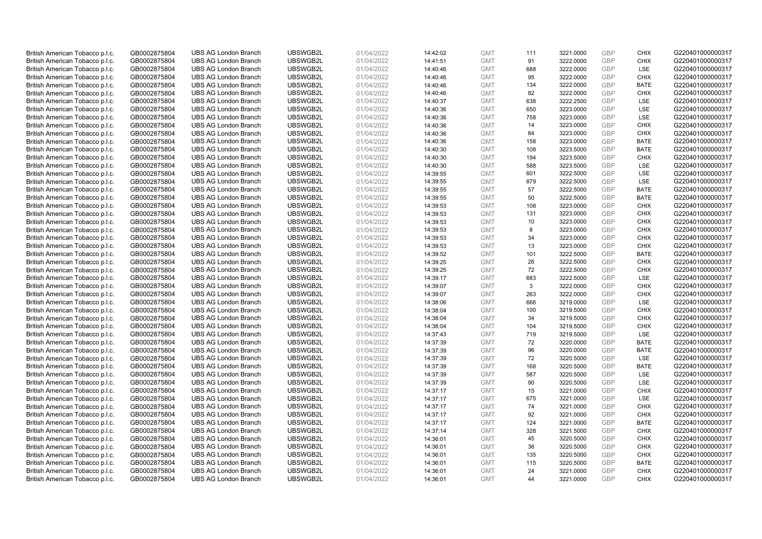| British American Tobacco p.l.c. | GB0002875804 | <b>UBS AG London Branch</b> | UBSWGB2L             | 01/04/2022 | 14:42:02 | <b>GMT</b> | 111      | 3221.0000 | <b>GBP</b>               | <b>CHIX</b>               | G220401000000317 |
|---------------------------------|--------------|-----------------------------|----------------------|------------|----------|------------|----------|-----------|--------------------------|---------------------------|------------------|
| British American Tobacco p.l.c. | GB0002875804 | <b>UBS AG London Branch</b> | UBSWGB2L             | 01/04/2022 | 14:41:51 | <b>GMT</b> | 91       | 3222.0000 | <b>GBP</b>               | <b>CHIX</b>               | G220401000000317 |
| British American Tobacco p.l.c. | GB0002875804 | <b>UBS AG London Branch</b> | UBSWGB2L             | 01/04/2022 | 14:40:46 | <b>GMT</b> | 688      | 3222.0000 | <b>GBP</b>               | LSE                       | G220401000000317 |
| British American Tobacco p.l.c. | GB0002875804 | <b>UBS AG London Branch</b> | UBSWGB2L             | 01/04/2022 | 14:40:46 | <b>GMT</b> | 95       | 3222.0000 | GBP                      | <b>CHIX</b>               | G220401000000317 |
| British American Tobacco p.l.c. | GB0002875804 | <b>UBS AG London Branch</b> | UBSWGB2L             | 01/04/2022 | 14:40:46 | <b>GMT</b> | 134      | 3222.0000 | <b>GBP</b>               | <b>BATE</b>               | G220401000000317 |
| British American Tobacco p.l.c. | GB0002875804 | <b>UBS AG London Branch</b> | UBSWGB2L             | 01/04/2022 | 14:40:46 | <b>GMT</b> | 82       | 3222.0000 | <b>GBP</b>               | <b>CHIX</b>               | G220401000000317 |
| British American Tobacco p.l.c. | GB0002875804 | <b>UBS AG London Branch</b> | UBSWGB2L             | 01/04/2022 | 14:40:37 | <b>GMT</b> | 638      | 3222.2500 | <b>GBP</b>               | LSE                       | G220401000000317 |
| British American Tobacco p.l.c. | GB0002875804 | <b>UBS AG London Branch</b> | UBSWGB2L             | 01/04/2022 | 14:40:36 | <b>GMT</b> | 650      | 3223.0000 | <b>GBP</b>               | LSE                       | G220401000000317 |
| British American Tobacco p.l.c. | GB0002875804 | <b>UBS AG London Branch</b> | UBSWGB2L             | 01/04/2022 | 14:40:36 | <b>GMT</b> | 758      | 3223.0000 | <b>GBP</b>               | LSE                       | G220401000000317 |
| British American Tobacco p.l.c. | GB0002875804 | <b>UBS AG London Branch</b> | UBSWGB2L             | 01/04/2022 | 14:40:36 | <b>GMT</b> | 14       | 3223.0000 | <b>GBP</b>               | <b>CHIX</b>               | G220401000000317 |
| British American Tobacco p.l.c. | GB0002875804 | <b>UBS AG London Branch</b> | UBSWGB2L             | 01/04/2022 | 14:40:36 | <b>GMT</b> | 84       | 3223.0000 | <b>GBP</b>               | <b>CHIX</b>               | G220401000000317 |
| British American Tobacco p.l.c. | GB0002875804 | <b>UBS AG London Branch</b> | UBSWGB2L             | 01/04/2022 | 14:40:36 | <b>GMT</b> | 158      | 3223.0000 | <b>GBP</b>               | <b>BATE</b>               | G220401000000317 |
| British American Tobacco p.l.c. | GB0002875804 | <b>UBS AG London Branch</b> | UBSWGB2L             | 01/04/2022 | 14:40:30 | <b>GMT</b> | 108      | 3223.5000 | <b>GBP</b>               | <b>BATE</b>               | G220401000000317 |
| British American Tobacco p.l.c. | GB0002875804 | <b>UBS AG London Branch</b> | UBSWGB2L             | 01/04/2022 | 14:40:30 | <b>GMT</b> | 194      | 3223.5000 | <b>GBP</b>               | <b>CHIX</b>               | G220401000000317 |
| British American Tobacco p.l.c. | GB0002875804 | <b>UBS AG London Branch</b> | UBSWGB2L             | 01/04/2022 | 14:40:30 | <b>GMT</b> | 588      | 3223.5000 | <b>GBP</b>               | <b>LSE</b>                | G220401000000317 |
| British American Tobacco p.l.c. | GB0002875804 | <b>UBS AG London Branch</b> | UBSWGB2L             | 01/04/2022 | 14:39:55 | <b>GMT</b> | 601      | 3222.5000 | <b>GBP</b>               | LSE                       | G220401000000317 |
| British American Tobacco p.l.c. | GB0002875804 | <b>UBS AG London Branch</b> | UBSWGB2L             | 01/04/2022 | 14:39:55 | <b>GMT</b> | 879      | 3222.5000 | <b>GBP</b>               | LSE                       | G220401000000317 |
| British American Tobacco p.l.c. | GB0002875804 | <b>UBS AG London Branch</b> | UBSWGB2L             | 01/04/2022 | 14:39:55 | <b>GMT</b> | 57       | 3222.5000 | GBP                      | <b>BATE</b>               | G220401000000317 |
| British American Tobacco p.l.c. | GB0002875804 | <b>UBS AG London Branch</b> | UBSWGB2L             | 01/04/2022 | 14:39:55 | <b>GMT</b> | 50       | 3222.5000 | <b>GBP</b>               | <b>BATE</b>               | G220401000000317 |
| British American Tobacco p.l.c. | GB0002875804 | <b>UBS AG London Branch</b> | UBSWGB2L             | 01/04/2022 | 14:39:53 | <b>GMT</b> | 108      | 3223.0000 | <b>GBP</b>               | <b>CHIX</b>               | G220401000000317 |
| British American Tobacco p.l.c. | GB0002875804 | <b>UBS AG London Branch</b> | UBSWGB2L             | 01/04/2022 | 14:39:53 | <b>GMT</b> | 131      | 3223.0000 | <b>GBP</b>               | <b>CHIX</b>               | G220401000000317 |
| British American Tobacco p.l.c. | GB0002875804 | <b>UBS AG London Branch</b> | UBSWGB2L             | 01/04/2022 | 14:39:53 | <b>GMT</b> | 10       | 3223.0000 | <b>GBP</b>               | <b>CHIX</b>               | G220401000000317 |
| British American Tobacco p.l.c. | GB0002875804 | <b>UBS AG London Branch</b> | UBSWGB2L             | 01/04/2022 | 14:39:53 | <b>GMT</b> | 8        | 3223.0000 | <b>GBP</b>               | <b>CHIX</b>               | G220401000000317 |
| British American Tobacco p.l.c. | GB0002875804 | <b>UBS AG London Branch</b> | UBSWGB2L             | 01/04/2022 | 14:39:53 | <b>GMT</b> | 34       | 3223.0000 | <b>GBP</b>               | <b>CHIX</b>               | G220401000000317 |
| British American Tobacco p.l.c. | GB0002875804 | <b>UBS AG London Branch</b> | UBSWGB2L             | 01/04/2022 | 14:39:53 | <b>GMT</b> | 13       | 3223.0000 | <b>GBP</b>               | <b>CHIX</b>               | G220401000000317 |
| British American Tobacco p.l.c. | GB0002875804 | <b>UBS AG London Branch</b> | UBSWGB2L             | 01/04/2022 | 14:39:52 | <b>GMT</b> | 101      | 3222.5000 | <b>GBP</b>               | <b>BATE</b>               | G220401000000317 |
| British American Tobacco p.l.c. | GB0002875804 | <b>UBS AG London Branch</b> | UBSWGB2L             | 01/04/2022 | 14:39:25 | <b>GMT</b> | 26       | 3222.5000 | <b>GBP</b>               | <b>CHIX</b>               | G220401000000317 |
| British American Tobacco p.l.c. | GB0002875804 | <b>UBS AG London Branch</b> | UBSWGB2L             | 01/04/2022 | 14:39:25 | <b>GMT</b> | 72       | 3222.5000 | <b>GBP</b>               | <b>CHIX</b>               | G220401000000317 |
| British American Tobacco p.l.c. | GB0002875804 | <b>UBS AG London Branch</b> | UBSWGB2L             | 01/04/2022 | 14:39:17 | <b>GMT</b> | 683      | 3222.5000 | GBP                      | <b>LSE</b>                | G220401000000317 |
| British American Tobacco p.l.c. | GB0002875804 | <b>UBS AG London Branch</b> | UBSWGB2L             | 01/04/2022 | 14:39:07 | <b>GMT</b> | 3        | 3222.0000 | <b>GBP</b>               | <b>CHIX</b>               | G220401000000317 |
| British American Tobacco p.l.c. | GB0002875804 | <b>UBS AG London Branch</b> | UBSWGB2L             | 01/04/2022 | 14:39:07 | <b>GMT</b> | 263      | 3222.0000 | GBP                      | <b>CHIX</b>               | G220401000000317 |
| British American Tobacco p.l.c. | GB0002875804 | <b>UBS AG London Branch</b> | UBSWGB2L             | 01/04/2022 | 14:38:06 | <b>GMT</b> | 666      | 3219.0000 | <b>GBP</b>               | <b>LSE</b>                | G220401000000317 |
| British American Tobacco p.l.c. | GB0002875804 | <b>UBS AG London Branch</b> | UBSWGB2L             | 01/04/2022 | 14:38:04 | <b>GMT</b> | 100      | 3219.5000 | GBP                      | <b>CHIX</b>               | G220401000000317 |
| British American Tobacco p.l.c. | GB0002875804 | <b>UBS AG London Branch</b> | UBSWGB2L             | 01/04/2022 | 14:38:04 | <b>GMT</b> | 34       | 3219.5000 | GBP                      | <b>CHIX</b>               | G220401000000317 |
| British American Tobacco p.l.c. | GB0002875804 | <b>UBS AG London Branch</b> | UBSWGB2L             | 01/04/2022 | 14:38:04 | <b>GMT</b> | 104      | 3219.5000 | <b>GBP</b>               | <b>CHIX</b>               | G220401000000317 |
| British American Tobacco p.l.c. | GB0002875804 | <b>UBS AG London Branch</b> | UBSWGB2L             | 01/04/2022 | 14:37:43 | <b>GMT</b> | 719      | 3219.5000 | <b>GBP</b>               | LSE                       | G220401000000317 |
| British American Tobacco p.l.c. | GB0002875804 | <b>UBS AG London Branch</b> | UBSWGB2L             | 01/04/2022 |          | <b>GMT</b> | 72       |           | <b>GBP</b>               |                           | G220401000000317 |
|                                 |              |                             |                      |            | 14:37:39 |            |          | 3220.0000 |                          | <b>BATE</b>               |                  |
| British American Tobacco p.l.c. | GB0002875804 | <b>UBS AG London Branch</b> | UBSWGB2L<br>UBSWGB2L | 01/04/2022 | 14:37:39 | <b>GMT</b> | 96<br>72 | 3220.0000 | <b>GBP</b><br><b>GBP</b> | <b>BATE</b><br>LSE        | G220401000000317 |
| British American Tobacco p.l.c. | GB0002875804 | <b>UBS AG London Branch</b> |                      | 01/04/2022 | 14:37:39 | <b>GMT</b> |          | 3220.5000 |                          |                           | G220401000000317 |
| British American Tobacco p.l.c. | GB0002875804 | <b>UBS AG London Branch</b> | UBSWGB2L             | 01/04/2022 | 14:37:39 | <b>GMT</b> | 168      | 3220.5000 | GBP                      | <b>BATE</b><br><b>LSE</b> | G220401000000317 |
| British American Tobacco p.l.c. | GB0002875804 | <b>UBS AG London Branch</b> | UBSWGB2L             | 01/04/2022 | 14:37:39 | <b>GMT</b> | 587      | 3220.5000 | <b>GBP</b>               |                           | G220401000000317 |
| British American Tobacco p.l.c. | GB0002875804 | <b>UBS AG London Branch</b> | UBSWGB2L             | 01/04/2022 | 14:37:39 | <b>GMT</b> | 90       | 3220.5000 | GBP                      | LSE                       | G220401000000317 |
| British American Tobacco p.l.c. | GB0002875804 | <b>UBS AG London Branch</b> | UBSWGB2L             | 01/04/2022 | 14:37:17 | <b>GMT</b> | 15       | 3221.0000 | <b>GBP</b>               | <b>CHIX</b>               | G220401000000317 |
| British American Tobacco p.l.c. | GB0002875804 | <b>UBS AG London Branch</b> | UBSWGB2L             | 01/04/2022 | 14:37:17 | <b>GMT</b> | 675      | 3221.0000 | GBP                      | <b>LSE</b>                | G220401000000317 |
| British American Tobacco p.l.c. | GB0002875804 | <b>UBS AG London Branch</b> | UBSWGB2L             | 01/04/2022 | 14:37:17 | <b>GMT</b> | 74       | 3221.0000 | <b>GBP</b>               | <b>CHIX</b>               | G220401000000317 |
| British American Tobacco p.l.c. | GB0002875804 | <b>UBS AG London Branch</b> | UBSWGB2L             | 01/04/2022 | 14:37:17 | <b>GMT</b> | 92       | 3221.0000 | GBP                      | <b>CHIX</b>               | G220401000000317 |
| British American Tobacco p.l.c. | GB0002875804 | <b>UBS AG London Branch</b> | UBSWGB2L             | 01/04/2022 | 14:37:17 | <b>GMT</b> | 124      | 3221.0000 | GBP                      | <b>BATE</b>               | G220401000000317 |
| British American Tobacco p.l.c. | GB0002875804 | <b>UBS AG London Branch</b> | UBSWGB2L             | 01/04/2022 | 14:37:14 | <b>GMT</b> | 328      | 3221.5000 | <b>GBP</b>               | <b>CHIX</b>               | G220401000000317 |
| British American Tobacco p.l.c. | GB0002875804 | <b>UBS AG London Branch</b> | UBSWGB2L             | 01/04/2022 | 14:36:01 | <b>GMT</b> | 45       | 3220.5000 | <b>GBP</b>               | <b>CHIX</b>               | G220401000000317 |
| British American Tobacco p.l.c. | GB0002875804 | <b>UBS AG London Branch</b> | UBSWGB2L             | 01/04/2022 | 14:36:01 | <b>GMT</b> | 36       | 3220.5000 | <b>GBP</b>               | <b>CHIX</b>               | G220401000000317 |
| British American Tobacco p.l.c. | GB0002875804 | <b>UBS AG London Branch</b> | UBSWGB2L             | 01/04/2022 | 14:36:01 | <b>GMT</b> | 135      | 3220.5000 | <b>GBP</b>               | <b>CHIX</b>               | G220401000000317 |
| British American Tobacco p.l.c. | GB0002875804 | <b>UBS AG London Branch</b> | UBSWGB2L             | 01/04/2022 | 14:36:01 | <b>GMT</b> | 115      | 3220.5000 | GBP                      | <b>BATE</b>               | G220401000000317 |
| British American Tobacco p.l.c. | GB0002875804 | <b>UBS AG London Branch</b> | UBSWGB2L             | 01/04/2022 | 14:36:01 | <b>GMT</b> | 24       | 3221.0000 | GBP                      | <b>CHIX</b>               | G220401000000317 |
| British American Tobacco p.l.c. | GB0002875804 | <b>UBS AG London Branch</b> | UBSWGB2L             | 01/04/2022 | 14:36:01 | <b>GMT</b> | 44       | 3221.0000 | GBP                      | <b>CHIX</b>               | G220401000000317 |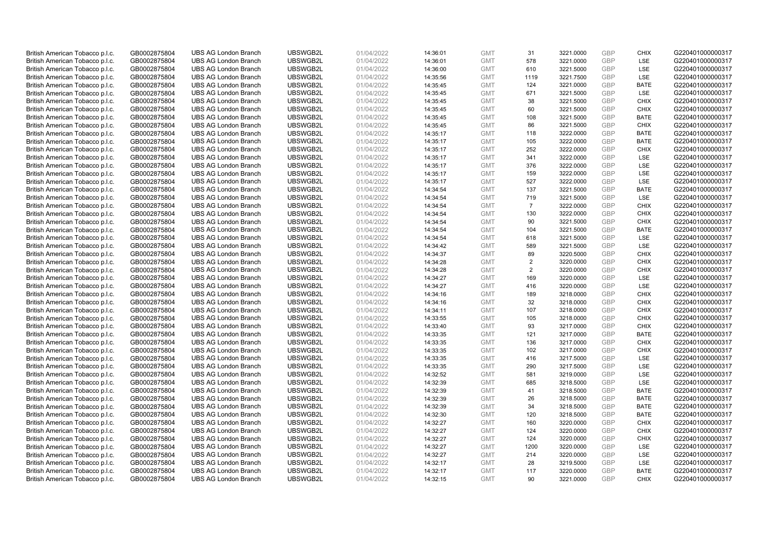| British American Tobacco p.l.c.                                    | GB0002875804                 | <b>UBS AG London Branch</b> | UBSWGB2L | 01/04/2022 | 14:36:01             | <b>GMT</b>               | 31             | 3221.0000              | <b>GBP</b> | <b>CHIX</b> | G220401000000317 |
|--------------------------------------------------------------------|------------------------------|-----------------------------|----------|------------|----------------------|--------------------------|----------------|------------------------|------------|-------------|------------------|
| British American Tobacco p.l.c.                                    | GB0002875804                 | <b>UBS AG London Branch</b> | UBSWGB2L | 01/04/2022 | 14:36:01             | <b>GMT</b>               | 578            | 3221.0000              | GBP        | LSE         | G220401000000317 |
| British American Tobacco p.l.c.                                    | GB0002875804                 | <b>UBS AG London Branch</b> | UBSWGB2L | 01/04/2022 | 14:36:00             | <b>GMT</b>               | 610            | 3221.5000              | <b>GBP</b> | <b>LSE</b>  | G220401000000317 |
| British American Tobacco p.l.c.                                    | GB0002875804                 | <b>UBS AG London Branch</b> | UBSWGB2L | 01/04/2022 | 14:35:56             | <b>GMT</b>               | 1119           | 3221.7500              | <b>GBP</b> | LSE         | G220401000000317 |
| British American Tobacco p.l.c.                                    | GB0002875804                 | <b>UBS AG London Branch</b> | UBSWGB2L | 01/04/2022 | 14:35:45             | <b>GMT</b>               | 124            | 3221.0000              | <b>GBP</b> | <b>BATE</b> | G220401000000317 |
| British American Tobacco p.l.c.                                    | GB0002875804                 | <b>UBS AG London Branch</b> | UBSWGB2L | 01/04/2022 | 14:35:45             | <b>GMT</b>               | 671            | 3221.5000              | GBP        | <b>LSE</b>  | G220401000000317 |
| British American Tobacco p.l.c.                                    | GB0002875804                 | <b>UBS AG London Branch</b> | UBSWGB2L | 01/04/2022 | 14:35:45             | <b>GMT</b>               | 38             | 3221.5000              | <b>GBP</b> | <b>CHIX</b> | G220401000000317 |
| British American Tobacco p.l.c.                                    | GB0002875804                 | <b>UBS AG London Branch</b> | UBSWGB2L | 01/04/2022 | 14:35:45             | <b>GMT</b>               | 60             | 3221.5000              | <b>GBP</b> | <b>CHIX</b> | G220401000000317 |
| British American Tobacco p.l.c.                                    | GB0002875804                 | <b>UBS AG London Branch</b> | UBSWGB2L | 01/04/2022 | 14:35:45             | <b>GMT</b>               | 108            | 3221.5000              | <b>GBP</b> | <b>BATE</b> | G220401000000317 |
| British American Tobacco p.l.c.                                    | GB0002875804                 | <b>UBS AG London Branch</b> | UBSWGB2L | 01/04/2022 | 14:35:45             | <b>GMT</b>               | 86             | 3221.5000              | GBP        | <b>CHIX</b> | G220401000000317 |
| British American Tobacco p.l.c.                                    | GB0002875804                 | <b>UBS AG London Branch</b> | UBSWGB2L | 01/04/2022 | 14:35:17             | <b>GMT</b>               | 118            | 3222.0000              | GBP        | <b>BATE</b> | G220401000000317 |
| British American Tobacco p.l.c.                                    | GB0002875804                 | <b>UBS AG London Branch</b> | UBSWGB2L | 01/04/2022 | 14:35:17             | <b>GMT</b>               | 105            | 3222.0000              | <b>GBP</b> | <b>BATE</b> | G220401000000317 |
| British American Tobacco p.l.c.                                    | GB0002875804                 | <b>UBS AG London Branch</b> | UBSWGB2L | 01/04/2022 | 14:35:17             | <b>GMT</b>               | 252            | 3222.0000              | <b>GBP</b> | <b>CHIX</b> | G220401000000317 |
| British American Tobacco p.l.c.                                    | GB0002875804                 | <b>UBS AG London Branch</b> | UBSWGB2L | 01/04/2022 | 14:35:17             | <b>GMT</b>               | 341            | 3222.0000              | <b>GBP</b> | <b>LSE</b>  | G220401000000317 |
| British American Tobacco p.l.c.                                    | GB0002875804                 | <b>UBS AG London Branch</b> | UBSWGB2L | 01/04/2022 | 14:35:17             | <b>GMT</b>               | 376            | 3222.0000              | <b>GBP</b> | LSE         | G220401000000317 |
| British American Tobacco p.l.c.                                    | GB0002875804                 | <b>UBS AG London Branch</b> | UBSWGB2L | 01/04/2022 | 14:35:17             | <b>GMT</b>               | 159            | 3222.0000              | <b>GBP</b> | LSE         | G220401000000317 |
| British American Tobacco p.l.c.                                    | GB0002875804                 | <b>UBS AG London Branch</b> | UBSWGB2L | 01/04/2022 | 14:35:17             | <b>GMT</b>               | 527            | 3222.0000              | <b>GBP</b> | <b>LSE</b>  | G220401000000317 |
| British American Tobacco p.l.c.                                    | GB0002875804                 | <b>UBS AG London Branch</b> | UBSWGB2L | 01/04/2022 | 14:34:54             | <b>GMT</b>               | 137            | 3221.5000              | GBP        | <b>BATE</b> | G220401000000317 |
| British American Tobacco p.l.c.                                    | GB0002875804                 | <b>UBS AG London Branch</b> | UBSWGB2L | 01/04/2022 | 14:34:54             | <b>GMT</b>               | 719            | 3221.5000              | GBP        | <b>LSE</b>  | G220401000000317 |
| British American Tobacco p.l.c.                                    | GB0002875804                 | <b>UBS AG London Branch</b> | UBSWGB2L | 01/04/2022 | 14:34:54             | <b>GMT</b>               | $\overline{7}$ | 3222.0000              | <b>GBP</b> | <b>CHIX</b> | G220401000000317 |
| British American Tobacco p.l.c.                                    | GB0002875804                 | <b>UBS AG London Branch</b> | UBSWGB2L | 01/04/2022 | 14:34:54             | <b>GMT</b>               | 130            | 3222.0000              | <b>GBP</b> | <b>CHIX</b> | G220401000000317 |
| British American Tobacco p.l.c.                                    | GB0002875804                 | <b>UBS AG London Branch</b> | UBSWGB2L | 01/04/2022 | 14:34:54             | <b>GMT</b>               | 90             | 3221.5000              | GBP        | <b>CHIX</b> | G220401000000317 |
| British American Tobacco p.l.c.                                    | GB0002875804                 | <b>UBS AG London Branch</b> | UBSWGB2L | 01/04/2022 | 14:34:54             | <b>GMT</b>               | 104            | 3221.5000              | <b>GBP</b> | <b>BATE</b> | G220401000000317 |
| British American Tobacco p.l.c.                                    | GB0002875804                 | <b>UBS AG London Branch</b> | UBSWGB2L | 01/04/2022 | 14:34:54             | <b>GMT</b>               | 618            | 3221.5000              | <b>GBP</b> | LSE         | G220401000000317 |
| British American Tobacco p.l.c.                                    | GB0002875804                 | <b>UBS AG London Branch</b> | UBSWGB2L | 01/04/2022 | 14:34:42             | <b>GMT</b>               | 589            | 3221.5000              | <b>GBP</b> | LSE         | G220401000000317 |
| British American Tobacco p.l.c.                                    | GB0002875804                 | <b>UBS AG London Branch</b> | UBSWGB2L | 01/04/2022 | 14:34:37             | <b>GMT</b>               | 89             | 3220.5000              | GBP        | <b>CHIX</b> | G220401000000317 |
| British American Tobacco p.l.c.                                    | GB0002875804                 | <b>UBS AG London Branch</b> | UBSWGB2L | 01/04/2022 | 14:34:28             | <b>GMT</b>               | 2              | 3220.0000              | <b>GBP</b> | <b>CHIX</b> | G220401000000317 |
| British American Tobacco p.l.c.                                    | GB0002875804                 | <b>UBS AG London Branch</b> | UBSWGB2L | 01/04/2022 | 14:34:28             | <b>GMT</b>               | 2              | 3220.0000              | <b>GBP</b> | <b>CHIX</b> | G220401000000317 |
| British American Tobacco p.l.c.                                    | GB0002875804                 | <b>UBS AG London Branch</b> | UBSWGB2L | 01/04/2022 | 14:34:27             | <b>GMT</b>               | 169            | 3220.0000              | GBP        | LSE         | G220401000000317 |
| British American Tobacco p.l.c.                                    | GB0002875804                 | <b>UBS AG London Branch</b> | UBSWGB2L | 01/04/2022 | 14:34:27             | <b>GMT</b>               | 416            | 3220.0000              | GBP        | LSE         | G220401000000317 |
| British American Tobacco p.l.c.                                    | GB0002875804                 | <b>UBS AG London Branch</b> | UBSWGB2L | 01/04/2022 | 14:34:16             | <b>GMT</b>               | 189            | 3218.0000              | <b>GBP</b> | <b>CHIX</b> | G220401000000317 |
|                                                                    | GB0002875804                 | <b>UBS AG London Branch</b> | UBSWGB2L | 01/04/2022 | 14:34:16             | <b>GMT</b>               | 32             | 3218.0000              | <b>GBP</b> | <b>CHIX</b> | G220401000000317 |
| British American Tobacco p.l.c.<br>British American Tobacco p.l.c. | GB0002875804                 | <b>UBS AG London Branch</b> | UBSWGB2L | 01/04/2022 | 14:34:11             | <b>GMT</b>               | 107            | 3218.0000              | GBP        | <b>CHIX</b> | G220401000000317 |
| British American Tobacco p.l.c.                                    | GB0002875804                 | <b>UBS AG London Branch</b> | UBSWGB2L | 01/04/2022 | 14:33:55             | <b>GMT</b>               | 105            | 3218.0000              | <b>GBP</b> | <b>CHIX</b> | G220401000000317 |
| British American Tobacco p.l.c.                                    | GB0002875804                 | <b>UBS AG London Branch</b> | UBSWGB2L | 01/04/2022 | 14:33:40             | <b>GMT</b>               | 93             | 3217.0000              | <b>GBP</b> | <b>CHIX</b> | G220401000000317 |
| British American Tobacco p.l.c.                                    | GB0002875804                 | <b>UBS AG London Branch</b> | UBSWGB2L | 01/04/2022 | 14:33:35             | <b>GMT</b>               | 121            | 3217.0000              | <b>GBP</b> | <b>BATE</b> | G220401000000317 |
| British American Tobacco p.l.c.                                    | GB0002875804                 | <b>UBS AG London Branch</b> | UBSWGB2L | 01/04/2022 |                      | <b>GMT</b>               | 136            |                        | GBP        | <b>CHIX</b> | G220401000000317 |
|                                                                    | GB0002875804                 | <b>UBS AG London Branch</b> | UBSWGB2L | 01/04/2022 | 14:33:35<br>14:33:35 | <b>GMT</b>               | 102            | 3217.0000<br>3217.0000 | <b>GBP</b> | <b>CHIX</b> | G220401000000317 |
| British American Tobacco p.l.c.                                    |                              | <b>UBS AG London Branch</b> | UBSWGB2L | 01/04/2022 |                      |                          | 416            | 3217.5000              | <b>GBP</b> | LSE         | G220401000000317 |
| British American Tobacco p.l.c.                                    | GB0002875804<br>GB0002875804 | <b>UBS AG London Branch</b> | UBSWGB2L | 01/04/2022 | 14:33:35             | <b>GMT</b><br><b>GMT</b> | 290            | 3217.5000              | <b>GBP</b> | LSE         | G220401000000317 |
| British American Tobacco p.l.c.<br>British American Tobacco p.l.c. | GB0002875804                 | <b>UBS AG London Branch</b> | UBSWGB2L | 01/04/2022 | 14:33:35             | <b>GMT</b>               | 581            | 3219.0000              | <b>GBP</b> | LSE         | G220401000000317 |
|                                                                    |                              | <b>UBS AG London Branch</b> | UBSWGB2L |            | 14:32:52             | <b>GMT</b>               | 685            |                        | GBP        | LSE         | G220401000000317 |
| British American Tobacco p.l.c.                                    | GB0002875804                 | <b>UBS AG London Branch</b> | UBSWGB2L | 01/04/2022 | 14:32:39             | <b>GMT</b>               |                | 3218.5000              | <b>GBP</b> |             |                  |
| British American Tobacco p.l.c.                                    | GB0002875804                 |                             |          | 01/04/2022 | 14:32:39             |                          | 41             | 3218.5000              |            | <b>BATE</b> | G220401000000317 |
| British American Tobacco p.l.c.                                    | GB0002875804                 | <b>UBS AG London Branch</b> | UBSWGB2L | 01/04/2022 | 14:32:39             | <b>GMT</b>               | 26             | 3218.5000              | GBP        | <b>BATE</b> | G220401000000317 |
| British American Tobacco p.l.c.                                    | GB0002875804                 | <b>UBS AG London Branch</b> | UBSWGB2L | 01/04/2022 | 14:32:39             | <b>GMT</b>               | 34             | 3218.5000              | <b>GBP</b> | <b>BATE</b> | G220401000000317 |
| British American Tobacco p.l.c.                                    | GB0002875804                 | <b>UBS AG London Branch</b> | UBSWGB2L | 01/04/2022 | 14:32:30             | <b>GMT</b>               | 120            | 3218.5000              | GBP        | <b>BATE</b> | G220401000000317 |
| British American Tobacco p.l.c.                                    | GB0002875804                 | <b>UBS AG London Branch</b> | UBSWGB2L | 01/04/2022 | 14:32:27             | <b>GMT</b>               | 160            | 3220.0000              | <b>GBP</b> | <b>CHIX</b> | G220401000000317 |
| British American Tobacco p.l.c.                                    | GB0002875804                 | <b>UBS AG London Branch</b> | UBSWGB2L | 01/04/2022 | 14:32:27             | <b>GMT</b>               | 124            | 3220.0000              | <b>GBP</b> | <b>CHIX</b> | G220401000000317 |
| British American Tobacco p.l.c.                                    | GB0002875804                 | <b>UBS AG London Branch</b> | UBSWGB2L | 01/04/2022 | 14:32:27             | <b>GMT</b>               | 124            | 3220.0000              | <b>GBP</b> | <b>CHIX</b> | G220401000000317 |
| British American Tobacco p.l.c.                                    | GB0002875804                 | <b>UBS AG London Branch</b> | UBSWGB2L | 01/04/2022 | 14:32:27             | <b>GMT</b>               | 1200           | 3220.0000              | GBP        | <b>LSE</b>  | G220401000000317 |
| British American Tobacco p.l.c.                                    | GB0002875804                 | <b>UBS AG London Branch</b> | UBSWGB2L | 01/04/2022 | 14:32:27             | <b>GMT</b>               | 214            | 3220.0000              | GBP        | LSE         | G220401000000317 |
| British American Tobacco p.l.c.                                    | GB0002875804                 | <b>UBS AG London Branch</b> | UBSWGB2L | 01/04/2022 | 14:32:17             | <b>GMT</b>               | 28             | 3219.5000              | GBP        | LSE         | G220401000000317 |
| British American Tobacco p.l.c.                                    | GB0002875804                 | <b>UBS AG London Branch</b> | UBSWGB2L | 01/04/2022 | 14:32:17             | <b>GMT</b>               | 117            | 3220.0000              | GBP        | <b>BATE</b> | G220401000000317 |
| British American Tobacco p.l.c.                                    | GB0002875804                 | <b>UBS AG London Branch</b> | UBSWGB2L | 01/04/2022 | 14:32:15             | <b>GMT</b>               | 90             | 3221.0000              | GBP        | <b>CHIX</b> | G220401000000317 |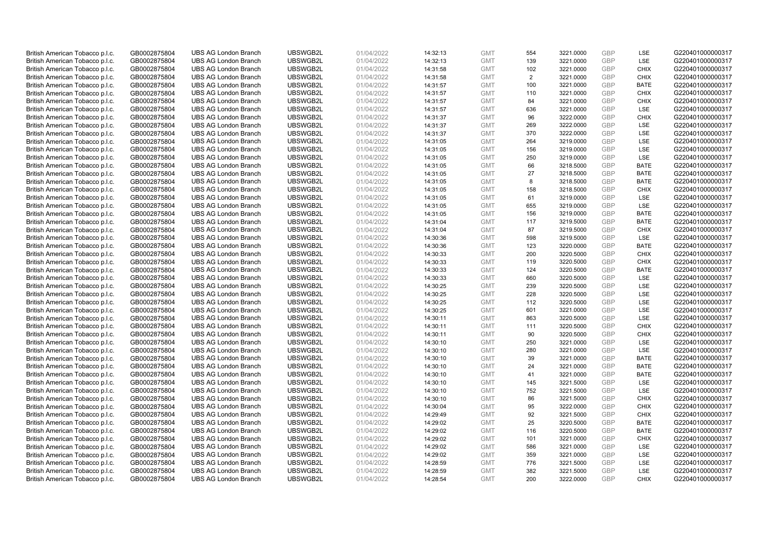| British American Tobacco p.l.c. | GB0002875804 | <b>UBS AG London Branch</b> | UBSWGB2L | 01/04/2022 | 14:32:13 | <b>GMT</b> | 554            | 3221.0000 | <b>GBP</b> | LSE         | G220401000000317 |
|---------------------------------|--------------|-----------------------------|----------|------------|----------|------------|----------------|-----------|------------|-------------|------------------|
| British American Tobacco p.l.c. | GB0002875804 | <b>UBS AG London Branch</b> | UBSWGB2L | 01/04/2022 | 14:32:13 | <b>GMT</b> | 139            | 3221.0000 | <b>GBP</b> | LSE         | G220401000000317 |
| British American Tobacco p.l.c. | GB0002875804 | <b>UBS AG London Branch</b> | UBSWGB2L | 01/04/2022 | 14:31:58 | <b>GMT</b> | 102            | 3221.0000 | GBP        | <b>CHIX</b> | G220401000000317 |
| British American Tobacco p.l.c. | GB0002875804 | <b>UBS AG London Branch</b> | UBSWGB2L | 01/04/2022 | 14:31:58 | <b>GMT</b> | $\overline{2}$ | 3221.0000 | GBP        | <b>CHIX</b> | G220401000000317 |
| British American Tobacco p.l.c. | GB0002875804 | <b>UBS AG London Branch</b> | UBSWGB2L | 01/04/2022 | 14:31:57 | <b>GMT</b> | 100            | 3221.0000 | <b>GBP</b> | <b>BATE</b> | G220401000000317 |
| British American Tobacco p.l.c. | GB0002875804 | <b>UBS AG London Branch</b> | UBSWGB2L | 01/04/2022 | 14:31:57 | <b>GMT</b> | 110            | 3221.0000 | <b>GBP</b> | <b>CHIX</b> | G220401000000317 |
| British American Tobacco p.l.c. | GB0002875804 | <b>UBS AG London Branch</b> | UBSWGB2L | 01/04/2022 | 14:31:57 | <b>GMT</b> | 84             | 3221.0000 | GBP        | <b>CHIX</b> | G220401000000317 |
| British American Tobacco p.l.c. | GB0002875804 | <b>UBS AG London Branch</b> | UBSWGB2L | 01/04/2022 | 14:31:57 | <b>GMT</b> | 636            | 3221.0000 | <b>GBP</b> | LSE         | G220401000000317 |
| British American Tobacco p.l.c. | GB0002875804 | <b>UBS AG London Branch</b> | UBSWGB2L | 01/04/2022 | 14:31:37 | <b>GMT</b> | 96             | 3222.0000 | GBP        | <b>CHIX</b> | G220401000000317 |
| British American Tobacco p.l.c. | GB0002875804 | <b>UBS AG London Branch</b> | UBSWGB2L | 01/04/2022 | 14:31:37 | <b>GMT</b> | 269            | 3222.0000 | <b>GBP</b> | <b>LSE</b>  | G220401000000317 |
| British American Tobacco p.l.c. | GB0002875804 | <b>UBS AG London Branch</b> | UBSWGB2L | 01/04/2022 | 14:31:37 | <b>GMT</b> | 370            | 3222.0000 | GBP        | LSE         | G220401000000317 |
| British American Tobacco p.l.c. | GB0002875804 | <b>UBS AG London Branch</b> | UBSWGB2L | 01/04/2022 | 14:31:05 | <b>GMT</b> | 264            | 3219.0000 | <b>GBP</b> | LSE         | G220401000000317 |
| British American Tobacco p.l.c. | GB0002875804 | <b>UBS AG London Branch</b> | UBSWGB2L | 01/04/2022 | 14:31:05 | <b>GMT</b> | 156            | 3219.0000 | <b>GBP</b> | LSE         | G220401000000317 |
| British American Tobacco p.l.c. | GB0002875804 | <b>UBS AG London Branch</b> | UBSWGB2L | 01/04/2022 | 14:31:05 | <b>GMT</b> | 250            | 3219.0000 | <b>GBP</b> | LSE         | G220401000000317 |
| British American Tobacco p.l.c. | GB0002875804 | <b>UBS AG London Branch</b> | UBSWGB2L | 01/04/2022 | 14:31:05 | <b>GMT</b> | 66             | 3218.5000 | <b>GBP</b> | <b>BATE</b> | G220401000000317 |
| British American Tobacco p.l.c. | GB0002875804 | <b>UBS AG London Branch</b> | UBSWGB2L | 01/04/2022 | 14:31:05 | <b>GMT</b> | 27             | 3218.5000 | GBP        | <b>BATE</b> | G220401000000317 |
| British American Tobacco p.l.c. | GB0002875804 | <b>UBS AG London Branch</b> | UBSWGB2L | 01/04/2022 | 14:31:05 | <b>GMT</b> | 8              | 3218.5000 | <b>GBP</b> | <b>BATE</b> | G220401000000317 |
| British American Tobacco p.l.c. | GB0002875804 | <b>UBS AG London Branch</b> | UBSWGB2L | 01/04/2022 | 14:31:05 | <b>GMT</b> | 158            | 3218.5000 | GBP        | <b>CHIX</b> | G220401000000317 |
| British American Tobacco p.l.c. | GB0002875804 | <b>UBS AG London Branch</b> | UBSWGB2L | 01/04/2022 | 14:31:05 | <b>GMT</b> | 61             | 3219.0000 | GBP        | <b>LSE</b>  | G220401000000317 |
| British American Tobacco p.l.c. | GB0002875804 | <b>UBS AG London Branch</b> | UBSWGB2L | 01/04/2022 | 14:31:05 | <b>GMT</b> | 655            | 3219.0000 | <b>GBP</b> | LSE         | G220401000000317 |
| British American Tobacco p.l.c. | GB0002875804 | <b>UBS AG London Branch</b> | UBSWGB2L | 01/04/2022 | 14:31:05 | <b>GMT</b> | 156            | 3219.0000 | <b>GBP</b> | <b>BATE</b> | G220401000000317 |
| British American Tobacco p.l.c. | GB0002875804 | <b>UBS AG London Branch</b> | UBSWGB2L | 01/04/2022 | 14:31:04 | <b>GMT</b> | 117            | 3219.5000 | GBP        | <b>BATE</b> | G220401000000317 |
| British American Tobacco p.l.c. | GB0002875804 | <b>UBS AG London Branch</b> | UBSWGB2L | 01/04/2022 | 14:31:04 | <b>GMT</b> | 87             | 3219.5000 | <b>GBP</b> | <b>CHIX</b> | G220401000000317 |
| British American Tobacco p.l.c. | GB0002875804 | <b>UBS AG London Branch</b> | UBSWGB2L | 01/04/2022 | 14:30:36 | <b>GMT</b> | 598            | 3219.5000 | GBP        | <b>LSE</b>  | G220401000000317 |
| British American Tobacco p.l.c. | GB0002875804 | <b>UBS AG London Branch</b> | UBSWGB2L | 01/04/2022 | 14:30:36 | <b>GMT</b> | 123            | 3220.0000 | <b>GBP</b> | <b>BATE</b> | G220401000000317 |
| British American Tobacco p.l.c. | GB0002875804 | <b>UBS AG London Branch</b> | UBSWGB2L | 01/04/2022 | 14:30:33 | <b>GMT</b> | 200            | 3220.5000 | <b>GBP</b> | <b>CHIX</b> | G220401000000317 |
| British American Tobacco p.l.c. | GB0002875804 | <b>UBS AG London Branch</b> | UBSWGB2L | 01/04/2022 | 14:30:33 | <b>GMT</b> | 119            | 3220.5000 | <b>GBP</b> | <b>CHIX</b> | G220401000000317 |
| British American Tobacco p.l.c. | GB0002875804 | <b>UBS AG London Branch</b> | UBSWGB2L | 01/04/2022 | 14:30:33 | <b>GMT</b> | 124            | 3220.5000 | <b>GBP</b> | <b>BATE</b> | G220401000000317 |
| British American Tobacco p.l.c. | GB0002875804 | <b>UBS AG London Branch</b> | UBSWGB2L | 01/04/2022 | 14:30:33 | <b>GMT</b> | 660            | 3220.5000 | GBP        | <b>LSE</b>  | G220401000000317 |
| British American Tobacco p.l.c. | GB0002875804 | <b>UBS AG London Branch</b> | UBSWGB2L | 01/04/2022 | 14:30:25 | <b>GMT</b> | 239            | 3220.5000 | <b>GBP</b> | LSE         | G220401000000317 |
| British American Tobacco p.l.c. | GB0002875804 | <b>UBS AG London Branch</b> | UBSWGB2L | 01/04/2022 | 14:30:25 | <b>GMT</b> | 228            | 3220.5000 | <b>GBP</b> | LSE         | G220401000000317 |
| British American Tobacco p.l.c. | GB0002875804 | <b>UBS AG London Branch</b> | UBSWGB2L | 01/04/2022 | 14:30:25 | <b>GMT</b> | 112            | 3220.5000 | <b>GBP</b> | <b>LSE</b>  | G220401000000317 |
| British American Tobacco p.l.c. | GB0002875804 | <b>UBS AG London Branch</b> | UBSWGB2L | 01/04/2022 | 14:30:25 | <b>GMT</b> | 601            | 3221.0000 | GBP        | LSE         | G220401000000317 |
| British American Tobacco p.l.c. | GB0002875804 | <b>UBS AG London Branch</b> | UBSWGB2L | 01/04/2022 | 14:30:11 | <b>GMT</b> | 863            | 3220.5000 | GBP        | LSE         | G220401000000317 |
| British American Tobacco p.l.c. | GB0002875804 | <b>UBS AG London Branch</b> | UBSWGB2L | 01/04/2022 | 14:30:11 | <b>GMT</b> | 111            | 3220.5000 | GBP        | <b>CHIX</b> | G220401000000317 |
| British American Tobacco p.l.c. | GB0002875804 | <b>UBS AG London Branch</b> | UBSWGB2L | 01/04/2022 |          | <b>GMT</b> | 90             | 3220.5000 | <b>GBP</b> | <b>CHIX</b> | G220401000000317 |
| British American Tobacco p.l.c. | GB0002875804 | <b>UBS AG London Branch</b> | UBSWGB2L | 01/04/2022 | 14:30:11 | <b>GMT</b> | 250            |           | GBP        | <b>LSE</b>  | G220401000000317 |
|                                 |              |                             |          |            | 14:30:10 |            |                | 3221.0000 |            |             |                  |
| British American Tobacco p.l.c. | GB0002875804 | <b>UBS AG London Branch</b> | UBSWGB2L | 01/04/2022 | 14:30:10 | <b>GMT</b> | 280            | 3221.0000 | <b>GBP</b> | LSE         | G220401000000317 |
| British American Tobacco p.l.c. | GB0002875804 | <b>UBS AG London Branch</b> | UBSWGB2L | 01/04/2022 | 14:30:10 | <b>GMT</b> | 39             | 3221.0000 | GBP        | <b>BATE</b> | G220401000000317 |
| British American Tobacco p.l.c. | GB0002875804 | <b>UBS AG London Branch</b> | UBSWGB2L | 01/04/2022 | 14:30:10 | <b>GMT</b> | 24             | 3221.0000 | <b>GBP</b> | <b>BATE</b> | G220401000000317 |
| British American Tobacco p.l.c. | GB0002875804 | <b>UBS AG London Branch</b> | UBSWGB2L | 01/04/2022 | 14:30:10 | <b>GMT</b> | 41             | 3221.0000 | <b>GBP</b> | <b>BATE</b> | G220401000000317 |
| British American Tobacco p.l.c. | GB0002875804 | <b>UBS AG London Branch</b> | UBSWGB2L | 01/04/2022 | 14:30:10 | <b>GMT</b> | 145            | 3221.5000 | GBP        | <b>LSE</b>  | G220401000000317 |
| British American Tobacco p.l.c. | GB0002875804 | <b>UBS AG London Branch</b> | UBSWGB2L | 01/04/2022 | 14:30:10 | <b>GMT</b> | 752            | 3221.5000 | <b>GBP</b> | LSE         | G220401000000317 |
| British American Tobacco p.l.c. | GB0002875804 | <b>UBS AG London Branch</b> | UBSWGB2L | 01/04/2022 | 14:30:10 | <b>GMT</b> | 86             | 3221.5000 | GBP        | <b>CHIX</b> | G220401000000317 |
| British American Tobacco p.l.c. | GB0002875804 | <b>UBS AG London Branch</b> | UBSWGB2L | 01/04/2022 | 14:30:04 | <b>GMT</b> | 95             | 3222.0000 | GBP        | <b>CHIX</b> | G220401000000317 |
| British American Tobacco p.l.c. | GB0002875804 | <b>UBS AG London Branch</b> | UBSWGB2L | 01/04/2022 | 14:29:49 | <b>GMT</b> | 92             | 3221.5000 | GBP        | <b>CHIX</b> | G220401000000317 |
| British American Tobacco p.l.c. | GB0002875804 | <b>UBS AG London Branch</b> | UBSWGB2L | 01/04/2022 | 14:29:02 | <b>GMT</b> | 25             | 3220.5000 | GBP        | <b>BATE</b> | G220401000000317 |
| British American Tobacco p.l.c. | GB0002875804 | <b>UBS AG London Branch</b> | UBSWGB2L | 01/04/2022 | 14:29:02 | <b>GMT</b> | 116            | 3220.5000 | GBP        | <b>BATE</b> | G220401000000317 |
| British American Tobacco p.l.c. | GB0002875804 | <b>UBS AG London Branch</b> | UBSWGB2L | 01/04/2022 | 14:29:02 | <b>GMT</b> | 101            | 3221.0000 | GBP        | <b>CHIX</b> | G220401000000317 |
| British American Tobacco p.l.c. | GB0002875804 | <b>UBS AG London Branch</b> | UBSWGB2L | 01/04/2022 | 14:29:02 | <b>GMT</b> | 586            | 3221.0000 | <b>GBP</b> | <b>LSE</b>  | G220401000000317 |
| British American Tobacco p.l.c. | GB0002875804 | <b>UBS AG London Branch</b> | UBSWGB2L | 01/04/2022 | 14:29:02 | <b>GMT</b> | 359            | 3221.0000 | GBP        | LSE         | G220401000000317 |
| British American Tobacco p.l.c. | GB0002875804 | <b>UBS AG London Branch</b> | UBSWGB2L | 01/04/2022 | 14:28:59 | <b>GMT</b> | 776            | 3221.5000 | <b>GBP</b> | LSE         | G220401000000317 |
| British American Tobacco p.l.c. | GB0002875804 | <b>UBS AG London Branch</b> | UBSWGB2L | 01/04/2022 | 14:28:59 | <b>GMT</b> | 382            | 3221.5000 | GBP        | LSE         | G220401000000317 |
| British American Tobacco p.l.c. | GB0002875804 | <b>UBS AG London Branch</b> | UBSWGB2L | 01/04/2022 | 14:28:54 | <b>GMT</b> | 200            | 3222.0000 | GBP        | <b>CHIX</b> | G220401000000317 |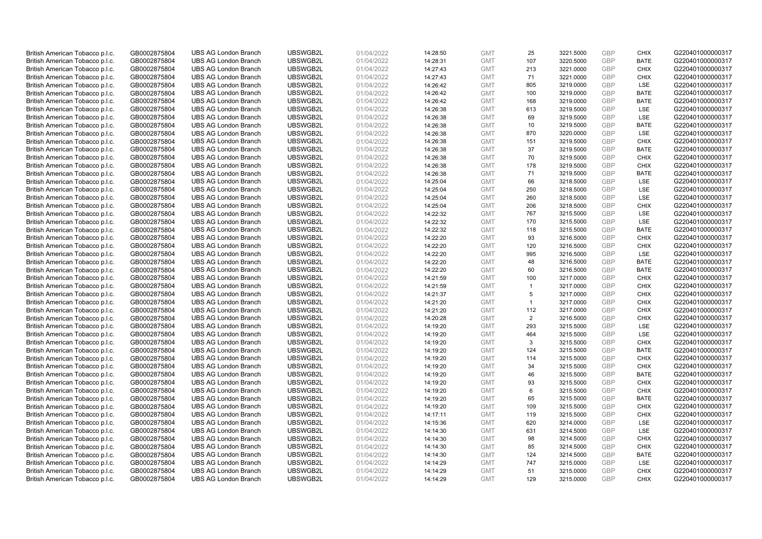| British American Tobacco p.l.c.                                    | GB0002875804 | <b>UBS AG London Branch</b> | UBSWGB2L | 01/04/2022 | 14:28:50 | <b>GMT</b> | 25             | 3221.5000 | <b>GBP</b> | <b>CHIX</b> | G220401000000317 |
|--------------------------------------------------------------------|--------------|-----------------------------|----------|------------|----------|------------|----------------|-----------|------------|-------------|------------------|
| British American Tobacco p.l.c.                                    | GB0002875804 | <b>UBS AG London Branch</b> | UBSWGB2L | 01/04/2022 | 14:28:31 | <b>GMT</b> | 107            | 3220.5000 | <b>GBP</b> | <b>BATE</b> | G220401000000317 |
| British American Tobacco p.l.c.                                    | GB0002875804 | <b>UBS AG London Branch</b> | UBSWGB2L | 01/04/2022 | 14:27:43 | <b>GMT</b> | 213            | 3221.0000 | GBP        | <b>CHIX</b> | G220401000000317 |
| British American Tobacco p.l.c.                                    | GB0002875804 | <b>UBS AG London Branch</b> | UBSWGB2L | 01/04/2022 | 14:27:43 | <b>GMT</b> | 71             | 3221.0000 | GBP        | <b>CHIX</b> | G220401000000317 |
| British American Tobacco p.l.c.                                    | GB0002875804 | <b>UBS AG London Branch</b> | UBSWGB2L | 01/04/2022 | 14:26:42 | <b>GMT</b> | 805            | 3219.0000 | <b>GBP</b> | LSE         | G220401000000317 |
| British American Tobacco p.l.c.                                    | GB0002875804 | <b>UBS AG London Branch</b> | UBSWGB2L | 01/04/2022 | 14:26:42 | <b>GMT</b> | 100            | 3219.0000 | <b>GBP</b> | <b>BATE</b> | G220401000000317 |
| British American Tobacco p.l.c.                                    | GB0002875804 | <b>UBS AG London Branch</b> | UBSWGB2L | 01/04/2022 | 14:26:42 | <b>GMT</b> | 168            | 3219.0000 | GBP        | <b>BATE</b> | G220401000000317 |
| British American Tobacco p.l.c.                                    | GB0002875804 | <b>UBS AG London Branch</b> | UBSWGB2L | 01/04/2022 | 14:26:38 | <b>GMT</b> | 613            | 3219.5000 | <b>GBP</b> | LSE         | G220401000000317 |
| British American Tobacco p.l.c.                                    | GB0002875804 | <b>UBS AG London Branch</b> | UBSWGB2L | 01/04/2022 | 14:26:38 | <b>GMT</b> | 69             | 3219.5000 | GBP        | LSE         | G220401000000317 |
| British American Tobacco p.l.c.                                    | GB0002875804 | <b>UBS AG London Branch</b> | UBSWGB2L | 01/04/2022 | 14:26:38 | <b>GMT</b> | 10             | 3219.5000 | <b>GBP</b> | <b>BATE</b> | G220401000000317 |
| British American Tobacco p.l.c.                                    | GB0002875804 | <b>UBS AG London Branch</b> | UBSWGB2L | 01/04/2022 | 14:26:38 | <b>GMT</b> | 870            | 3220.0000 | GBP        | LSE         | G220401000000317 |
| British American Tobacco p.l.c.                                    | GB0002875804 | <b>UBS AG London Branch</b> | UBSWGB2L | 01/04/2022 | 14:26:38 | <b>GMT</b> | 151            | 3219.5000 | <b>GBP</b> | <b>CHIX</b> | G220401000000317 |
| British American Tobacco p.l.c.                                    | GB0002875804 | <b>UBS AG London Branch</b> | UBSWGB2L | 01/04/2022 | 14:26:38 | <b>GMT</b> | 37             | 3219.5000 | <b>GBP</b> | <b>BATE</b> | G220401000000317 |
| British American Tobacco p.l.c.                                    | GB0002875804 | <b>UBS AG London Branch</b> | UBSWGB2L | 01/04/2022 | 14:26:38 | <b>GMT</b> | 70             | 3219.5000 | <b>GBP</b> | <b>CHIX</b> | G220401000000317 |
| British American Tobacco p.l.c.                                    | GB0002875804 | <b>UBS AG London Branch</b> | UBSWGB2L | 01/04/2022 | 14:26:38 | <b>GMT</b> | 178            | 3219.5000 | <b>GBP</b> | <b>CHIX</b> | G220401000000317 |
| British American Tobacco p.l.c.                                    | GB0002875804 | <b>UBS AG London Branch</b> | UBSWGB2L | 01/04/2022 | 14:26:38 | <b>GMT</b> | 71             | 3219.5000 | GBP        | <b>BATE</b> | G220401000000317 |
| British American Tobacco p.l.c.                                    | GB0002875804 | <b>UBS AG London Branch</b> | UBSWGB2L | 01/04/2022 | 14:25:04 | <b>GMT</b> | 66             | 3218.5000 | <b>GBP</b> | LSE         | G220401000000317 |
| British American Tobacco p.l.c.                                    | GB0002875804 | <b>UBS AG London Branch</b> | UBSWGB2L | 01/04/2022 | 14:25:04 | <b>GMT</b> | 250            | 3218.5000 | <b>GBP</b> | LSE         | G220401000000317 |
| British American Tobacco p.l.c.                                    | GB0002875804 | <b>UBS AG London Branch</b> | UBSWGB2L | 01/04/2022 | 14:25:04 | <b>GMT</b> | 260            | 3218.5000 | <b>GBP</b> | <b>LSE</b>  | G220401000000317 |
| British American Tobacco p.l.c.                                    | GB0002875804 | <b>UBS AG London Branch</b> | UBSWGB2L | 01/04/2022 | 14:25:04 | <b>GMT</b> | 206            | 3218.5000 | <b>GBP</b> | <b>CHIX</b> | G220401000000317 |
| British American Tobacco p.l.c.                                    | GB0002875804 | <b>UBS AG London Branch</b> | UBSWGB2L | 01/04/2022 | 14:22:32 | <b>GMT</b> | 767            | 3215.5000 | <b>GBP</b> | LSE         | G220401000000317 |
| British American Tobacco p.l.c.                                    | GB0002875804 | <b>UBS AG London Branch</b> | UBSWGB2L | 01/04/2022 | 14:22:32 | <b>GMT</b> | 170            | 3215.5000 | GBP        | LSE         | G220401000000317 |
| British American Tobacco p.l.c.                                    | GB0002875804 | <b>UBS AG London Branch</b> | UBSWGB2L | 01/04/2022 | 14:22:32 | <b>GMT</b> | 118            | 3215.5000 | <b>GBP</b> | <b>BATE</b> | G220401000000317 |
| British American Tobacco p.l.c.                                    | GB0002875804 | <b>UBS AG London Branch</b> | UBSWGB2L | 01/04/2022 | 14:22:20 | <b>GMT</b> | 93             | 3216.5000 | GBP        | <b>CHIX</b> | G220401000000317 |
| British American Tobacco p.l.c.                                    | GB0002875804 | <b>UBS AG London Branch</b> | UBSWGB2L | 01/04/2022 | 14:22:20 | <b>GMT</b> | 120            | 3216.5000 | <b>GBP</b> | <b>CHIX</b> | G220401000000317 |
| British American Tobacco p.l.c.                                    | GB0002875804 | <b>UBS AG London Branch</b> | UBSWGB2L | 01/04/2022 | 14:22:20 | <b>GMT</b> | 995            | 3216.5000 | <b>GBP</b> | LSE         | G220401000000317 |
| British American Tobacco p.l.c.                                    | GB0002875804 | <b>UBS AG London Branch</b> | UBSWGB2L | 01/04/2022 | 14:22:20 | <b>GMT</b> | 48             | 3216.5000 | <b>GBP</b> | <b>BATE</b> | G220401000000317 |
| British American Tobacco p.l.c.                                    | GB0002875804 | <b>UBS AG London Branch</b> | UBSWGB2L | 01/04/2022 | 14:22:20 | <b>GMT</b> | 60             | 3216.5000 | <b>GBP</b> | <b>BATE</b> | G220401000000317 |
| British American Tobacco p.l.c.                                    | GB0002875804 | <b>UBS AG London Branch</b> | UBSWGB2L | 01/04/2022 | 14:21:59 | <b>GMT</b> | 100            | 3217.0000 | GBP        | <b>CHIX</b> | G220401000000317 |
| British American Tobacco p.l.c.                                    | GB0002875804 | <b>UBS AG London Branch</b> | UBSWGB2L | 01/04/2022 | 14:21:59 | <b>GMT</b> | $\mathbf{1}$   | 3217.0000 | GBP        | <b>CHIX</b> | G220401000000317 |
| British American Tobacco p.l.c.                                    | GB0002875804 | <b>UBS AG London Branch</b> | UBSWGB2L | 01/04/2022 | 14:21:37 | <b>GMT</b> | 5              | 3217.0000 | GBP        | <b>CHIX</b> | G220401000000317 |
| British American Tobacco p.l.c.                                    | GB0002875804 | <b>UBS AG London Branch</b> | UBSWGB2L | 01/04/2022 | 14:21:20 | <b>GMT</b> | $\overline{1}$ | 3217.0000 | GBP        | <b>CHIX</b> | G220401000000317 |
| British American Tobacco p.l.c.                                    | GB0002875804 | <b>UBS AG London Branch</b> | UBSWGB2L | 01/04/2022 | 14:21:20 | <b>GMT</b> | 112            | 3217.0000 | GBP        | <b>CHIX</b> | G220401000000317 |
| British American Tobacco p.l.c.                                    | GB0002875804 | <b>UBS AG London Branch</b> | UBSWGB2L | 01/04/2022 | 14:20:28 | <b>GMT</b> | $\overline{2}$ | 3216.5000 | GBP        | <b>CHIX</b> | G220401000000317 |
| British American Tobacco p.l.c.                                    | GB0002875804 | <b>UBS AG London Branch</b> | UBSWGB2L | 01/04/2022 | 14:19:20 | <b>GMT</b> | 293            | 3215.5000 | GBP        | LSE         | G220401000000317 |
| British American Tobacco p.l.c.                                    | GB0002875804 | <b>UBS AG London Branch</b> | UBSWGB2L | 01/04/2022 | 14:19:20 | <b>GMT</b> | 464            | 3215.5000 | <b>GBP</b> | LSE         | G220401000000317 |
| British American Tobacco p.l.c.                                    | GB0002875804 | <b>UBS AG London Branch</b> | UBSWGB2L | 01/04/2022 | 14:19:20 | <b>GMT</b> | 3              | 3215.5000 | GBP        | <b>CHIX</b> | G220401000000317 |
| British American Tobacco p.l.c.                                    | GB0002875804 | <b>UBS AG London Branch</b> | UBSWGB2L | 01/04/2022 | 14:19:20 | <b>GMT</b> | 124            | 3215.5000 | <b>GBP</b> | <b>BATE</b> | G220401000000317 |
| British American Tobacco p.l.c.                                    | GB0002875804 | <b>UBS AG London Branch</b> | UBSWGB2L | 01/04/2022 | 14:19:20 | <b>GMT</b> | 114            | 3215.5000 | <b>GBP</b> | <b>CHIX</b> | G220401000000317 |
| British American Tobacco p.l.c.                                    | GB0002875804 | <b>UBS AG London Branch</b> | UBSWGB2L | 01/04/2022 | 14:19:20 | <b>GMT</b> | 34             | 3215.5000 | <b>GBP</b> | <b>CHIX</b> | G220401000000317 |
| British American Tobacco p.l.c.                                    | GB0002875804 | <b>UBS AG London Branch</b> | UBSWGB2L | 01/04/2022 | 14:19:20 | <b>GMT</b> | 46             | 3215.5000 | <b>GBP</b> | <b>BATE</b> | G220401000000317 |
| British American Tobacco p.l.c.                                    | GB0002875804 | <b>UBS AG London Branch</b> | UBSWGB2L | 01/04/2022 | 14:19:20 | <b>GMT</b> | 93             | 3215.5000 | GBP        | <b>CHIX</b> | G220401000000317 |
|                                                                    | GB0002875804 | <b>UBS AG London Branch</b> | UBSWGB2L | 01/04/2022 |          | <b>GMT</b> | 6              | 3215.5000 | GBP        | <b>CHIX</b> | G220401000000317 |
| British American Tobacco p.l.c.<br>British American Tobacco p.l.c. |              | <b>UBS AG London Branch</b> | UBSWGB2L | 01/04/2022 | 14:19:20 | <b>GMT</b> | 65             | 3215.5000 | GBP        | <b>BATE</b> | G220401000000317 |
|                                                                    | GB0002875804 |                             | UBSWGB2L |            | 14:19:20 |            |                |           | GBP        |             |                  |
| British American Tobacco p.l.c.                                    | GB0002875804 | <b>UBS AG London Branch</b> |          | 01/04/2022 | 14:19:20 | <b>GMT</b> | 109            | 3215.5000 |            | <b>CHIX</b> | G220401000000317 |
| British American Tobacco p.l.c.                                    | GB0002875804 | <b>UBS AG London Branch</b> | UBSWGB2L | 01/04/2022 | 14:17:11 | <b>GMT</b> | 119            | 3215.5000 | GBP        | <b>CHIX</b> | G220401000000317 |
| British American Tobacco p.l.c.                                    | GB0002875804 | <b>UBS AG London Branch</b> | UBSWGB2L | 01/04/2022 | 14:15:36 | <b>GMT</b> | 620            | 3214.0000 | <b>GBP</b> | LSE         | G220401000000317 |
| British American Tobacco p.l.c.                                    | GB0002875804 | <b>UBS AG London Branch</b> | UBSWGB2L | 01/04/2022 | 14:14:30 | <b>GMT</b> | 631            | 3214.5000 | <b>GBP</b> | LSE         | G220401000000317 |
| British American Tobacco p.l.c.                                    | GB0002875804 | <b>UBS AG London Branch</b> | UBSWGB2L | 01/04/2022 | 14:14:30 | <b>GMT</b> | 98             | 3214.5000 | GBP        | <b>CHIX</b> | G220401000000317 |
| British American Tobacco p.l.c.                                    | GB0002875804 | <b>UBS AG London Branch</b> | UBSWGB2L | 01/04/2022 | 14:14:30 | <b>GMT</b> | 85             | 3214.5000 | GBP        | <b>CHIX</b> | G220401000000317 |
| British American Tobacco p.l.c.                                    | GB0002875804 | <b>UBS AG London Branch</b> | UBSWGB2L | 01/04/2022 | 14:14:30 | <b>GMT</b> | 124            | 3214.5000 | GBP        | <b>BATE</b> | G220401000000317 |
| British American Tobacco p.l.c.                                    | GB0002875804 | <b>UBS AG London Branch</b> | UBSWGB2L | 01/04/2022 | 14:14:29 | <b>GMT</b> | 747            | 3215.0000 | <b>GBP</b> | LSE         | G220401000000317 |
| British American Tobacco p.l.c.                                    | GB0002875804 | <b>UBS AG London Branch</b> | UBSWGB2L | 01/04/2022 | 14:14:29 | <b>GMT</b> | 51             | 3215.0000 | GBP        | <b>CHIX</b> | G220401000000317 |
| British American Tobacco p.l.c.                                    | GB0002875804 | <b>UBS AG London Branch</b> | UBSWGB2L | 01/04/2022 | 14:14:29 | <b>GMT</b> | 129            | 3215.0000 | GBP        | <b>CHIX</b> | G220401000000317 |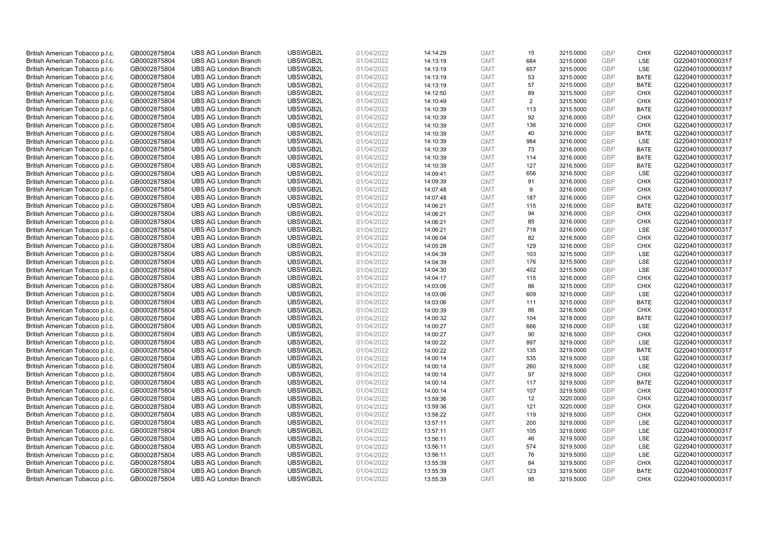| British American Tobacco p.l.c. | GB0002875804 | <b>UBS AG London Branch</b> | UBSWGB2L | 01/04/2022 | 14:14:29 | <b>GMT</b> | 15  | 3215.0000 | <b>GBP</b> | <b>CHIX</b> | G220401000000317 |
|---------------------------------|--------------|-----------------------------|----------|------------|----------|------------|-----|-----------|------------|-------------|------------------|
| British American Tobacco p.l.c. | GB0002875804 | <b>UBS AG London Branch</b> | UBSWGB2L | 01/04/2022 | 14:13:19 | <b>GMT</b> | 684 | 3215.0000 | <b>GBP</b> | <b>LSE</b>  | G220401000000317 |
| British American Tobacco p.l.c. | GB0002875804 | <b>UBS AG London Branch</b> | UBSWGB2L | 01/04/2022 | 14:13:19 | <b>GMT</b> | 657 | 3215.0000 | GBP        | LSE         | G220401000000317 |
| British American Tobacco p.l.c. | GB0002875804 | <b>UBS AG London Branch</b> | UBSWGB2L | 01/04/2022 | 14:13:19 | <b>GMT</b> | 53  | 3215.0000 | GBP        | <b>BATE</b> | G220401000000317 |
| British American Tobacco p.l.c. | GB0002875804 | <b>UBS AG London Branch</b> | UBSWGB2L | 01/04/2022 | 14:13:19 | <b>GMT</b> | 57  | 3215.0000 | GBP        | <b>BATE</b> | G220401000000317 |
| British American Tobacco p.l.c. | GB0002875804 | <b>UBS AG London Branch</b> | UBSWGB2L | 01/04/2022 | 14:12:50 | <b>GMT</b> | 89  | 3215.5000 | <b>GBP</b> | <b>CHIX</b> | G220401000000317 |
| British American Tobacco p.l.c. | GB0002875804 | <b>UBS AG London Branch</b> | UBSWGB2L | 01/04/2022 | 14:10:49 | <b>GMT</b> | 2   | 3215.5000 | GBP        | <b>CHIX</b> | G220401000000317 |
| British American Tobacco p.l.c. | GB0002875804 | <b>UBS AG London Branch</b> | UBSWGB2L | 01/04/2022 | 14:10:39 | <b>GMT</b> | 113 | 3215.5000 | <b>GBP</b> | <b>BATE</b> | G220401000000317 |
| British American Tobacco p.l.c. | GB0002875804 | <b>UBS AG London Branch</b> | UBSWGB2L | 01/04/2022 | 14:10:39 | <b>GMT</b> | 92  | 3216.0000 | GBP        | <b>CHIX</b> | G220401000000317 |
| British American Tobacco p.l.c. | GB0002875804 | <b>UBS AG London Branch</b> | UBSWGB2L | 01/04/2022 | 14:10:39 | <b>GMT</b> | 136 | 3216.0000 | <b>GBP</b> | <b>CHIX</b> | G220401000000317 |
| British American Tobacco p.l.c. | GB0002875804 | <b>UBS AG London Branch</b> | UBSWGB2L | 01/04/2022 | 14:10:39 | <b>GMT</b> | 40  | 3216.0000 | GBP        | <b>BATE</b> | G220401000000317 |
| British American Tobacco p.l.c. | GB0002875804 | <b>UBS AG London Branch</b> | UBSWGB2L | 01/04/2022 | 14:10:39 | <b>GMT</b> | 984 | 3216.0000 | <b>GBP</b> | LSE         | G220401000000317 |
| British American Tobacco p.l.c. | GB0002875804 | <b>UBS AG London Branch</b> | UBSWGB2L | 01/04/2022 | 14:10:39 | <b>GMT</b> | 73  | 3216.0000 | <b>GBP</b> | <b>BATE</b> | G220401000000317 |
| British American Tobacco p.l.c. | GB0002875804 | <b>UBS AG London Branch</b> | UBSWGB2L | 01/04/2022 | 14:10:39 | <b>GMT</b> | 114 | 3216.0000 | <b>GBP</b> | <b>BATE</b> | G220401000000317 |
| British American Tobacco p.l.c. | GB0002875804 | <b>UBS AG London Branch</b> | UBSWGB2L | 01/04/2022 | 14:10:39 | <b>GMT</b> | 127 | 3216.5000 | <b>GBP</b> | <b>BATE</b> | G220401000000317 |
| British American Tobacco p.l.c. | GB0002875804 | <b>UBS AG London Branch</b> | UBSWGB2L | 01/04/2022 | 14:09:41 | <b>GMT</b> | 656 | 3216.5000 | GBP        | LSE         | G220401000000317 |
| British American Tobacco p.l.c. | GB0002875804 | <b>UBS AG London Branch</b> | UBSWGB2L | 01/04/2022 | 14:09:39 | <b>GMT</b> | 91  | 3216.0000 | <b>GBP</b> | <b>CHIX</b> | G220401000000317 |
| British American Tobacco p.l.c. | GB0002875804 | <b>UBS AG London Branch</b> | UBSWGB2L | 01/04/2022 | 14:07:48 | <b>GMT</b> | 9   | 3216.0000 | GBP        | <b>CHIX</b> | G220401000000317 |
| British American Tobacco p.l.c. | GB0002875804 | <b>UBS AG London Branch</b> | UBSWGB2L | 01/04/2022 | 14:07:48 | <b>GMT</b> | 187 | 3216.0000 | <b>GBP</b> | <b>CHIX</b> | G220401000000317 |
| British American Tobacco p.l.c. | GB0002875804 | <b>UBS AG London Branch</b> | UBSWGB2L | 01/04/2022 | 14:06:21 | <b>GMT</b> | 115 | 3216.0000 | GBP        | <b>BATE</b> | G220401000000317 |
| British American Tobacco p.l.c. | GB0002875804 | <b>UBS AG London Branch</b> | UBSWGB2L | 01/04/2022 | 14:06:21 | <b>GMT</b> | 94  | 3216.0000 | <b>GBP</b> | <b>CHIX</b> | G220401000000317 |
| British American Tobacco p.l.c. | GB0002875804 | <b>UBS AG London Branch</b> | UBSWGB2L | 01/04/2022 | 14:06:21 | <b>GMT</b> | 85  | 3216.0000 | GBP        | <b>CHIX</b> | G220401000000317 |
| British American Tobacco p.l.c. | GB0002875804 | <b>UBS AG London Branch</b> | UBSWGB2L | 01/04/2022 | 14:06:21 | <b>GMT</b> | 718 | 3216.0000 | <b>GBP</b> | LSE         | G220401000000317 |
| British American Tobacco p.l.c. | GB0002875804 | <b>UBS AG London Branch</b> | UBSWGB2L | 01/04/2022 | 14:06:04 | <b>GMT</b> | 82  | 3216.5000 | GBP        | <b>CHIX</b> | G220401000000317 |
| British American Tobacco p.l.c. | GB0002875804 | <b>UBS AG London Branch</b> | UBSWGB2L | 01/04/2022 | 14:05:28 | <b>GMT</b> | 129 | 3216.0000 | <b>GBP</b> | <b>CHIX</b> | G220401000000317 |
| British American Tobacco p.l.c. | GB0002875804 | <b>UBS AG London Branch</b> | UBSWGB2L | 01/04/2022 | 14:04:39 | <b>GMT</b> | 103 | 3215.5000 | <b>GBP</b> | LSE         | G220401000000317 |
| British American Tobacco p.l.c. | GB0002875804 | <b>UBS AG London Branch</b> | UBSWGB2L | 01/04/2022 | 14:04:39 | <b>GMT</b> | 176 | 3215.5000 | GBP        | <b>LSE</b>  | G220401000000317 |
| British American Tobacco p.l.c. | GB0002875804 | <b>UBS AG London Branch</b> | UBSWGB2L | 01/04/2022 | 14:04:30 | <b>GMT</b> | 402 | 3215.5000 | <b>GBP</b> | <b>LSE</b>  | G220401000000317 |
| British American Tobacco p.l.c. | GB0002875804 | <b>UBS AG London Branch</b> | UBSWGB2L | 01/04/2022 | 14:04:17 | <b>GMT</b> | 115 | 3216.0000 | GBP        | <b>CHIX</b> | G220401000000317 |
| British American Tobacco p.l.c. | GB0002875804 | <b>UBS AG London Branch</b> | UBSWGB2L | 01/04/2022 | 14:03:06 | <b>GMT</b> | 86  | 3215.0000 | GBP        | <b>CHIX</b> | G220401000000317 |
| British American Tobacco p.l.c. | GB0002875804 | <b>UBS AG London Branch</b> | UBSWGB2L | 01/04/2022 | 14:03:06 | <b>GMT</b> | 609 | 3215.0000 | GBP        | LSE         | G220401000000317 |
|                                 |              | <b>UBS AG London Branch</b> | UBSWGB2L |            |          |            | 111 |           | GBP        |             |                  |
| British American Tobacco p.l.c. | GB0002875804 |                             |          | 01/04/2022 | 14:03:06 | <b>GMT</b> |     | 3215.0000 | GBP        | <b>BATE</b> | G220401000000317 |
| British American Tobacco p.l.c. | GB0002875804 | <b>UBS AG London Branch</b> | UBSWGB2L | 01/04/2022 | 14:00:39 | <b>GMT</b> | 86  | 3216.5000 |            | <b>CHIX</b> | G220401000000317 |
| British American Tobacco p.l.c. | GB0002875804 | <b>UBS AG London Branch</b> | UBSWGB2L | 01/04/2022 | 14:00:32 | <b>GMT</b> | 104 | 3218.0000 | GBP        | <b>BATE</b> | G220401000000317 |
| British American Tobacco p.l.c. | GB0002875804 | <b>UBS AG London Branch</b> | UBSWGB2L | 01/04/2022 | 14:00:27 | <b>GMT</b> | 666 | 3218.0000 | GBP        | LSE         | G220401000000317 |
| British American Tobacco p.l.c. | GB0002875804 | <b>UBS AG London Branch</b> | UBSWGB2L | 01/04/2022 | 14:00:27 | <b>GMT</b> | 90  | 3218.5000 | <b>GBP</b> | <b>CHIX</b> | G220401000000317 |
| British American Tobacco p.l.c. | GB0002875804 | <b>UBS AG London Branch</b> | UBSWGB2L | 01/04/2022 | 14:00:22 | <b>GMT</b> | 897 | 3219.0000 | GBP        | <b>LSE</b>  | G220401000000317 |
| British American Tobacco p.l.c. | GB0002875804 | <b>UBS AG London Branch</b> | UBSWGB2L | 01/04/2022 | 14:00:22 | <b>GMT</b> | 135 | 3219.0000 | <b>GBP</b> | <b>BATE</b> | G220401000000317 |
| British American Tobacco p.l.c. | GB0002875804 | <b>UBS AG London Branch</b> | UBSWGB2L | 01/04/2022 | 14:00:14 | <b>GMT</b> | 535 | 3219.5000 | <b>GBP</b> | LSE         | G220401000000317 |
| British American Tobacco p.l.c. | GB0002875804 | <b>UBS AG London Branch</b> | UBSWGB2L | 01/04/2022 | 14:00:14 | <b>GMT</b> | 260 | 3219.5000 | GBP        | <b>LSE</b>  | G220401000000317 |
| British American Tobacco p.l.c. | GB0002875804 | <b>UBS AG London Branch</b> | UBSWGB2L | 01/04/2022 | 14:00:14 | <b>GMT</b> | 97  | 3219.5000 | <b>GBP</b> | <b>CHIX</b> | G220401000000317 |
| British American Tobacco p.l.c. | GB0002875804 | <b>UBS AG London Branch</b> | UBSWGB2L | 01/04/2022 | 14:00:14 | <b>GMT</b> | 117 | 3219.5000 | GBP        | <b>BATE</b> | G220401000000317 |
| British American Tobacco p.l.c. | GB0002875804 | <b>UBS AG London Branch</b> | UBSWGB2L | 01/04/2022 | 14:00:14 | <b>GMT</b> | 107 | 3219.5000 | <b>GBP</b> | <b>CHIX</b> | G220401000000317 |
| British American Tobacco p.l.c. | GB0002875804 | <b>UBS AG London Branch</b> | UBSWGB2L | 01/04/2022 | 13:59:36 | <b>GMT</b> | 12  | 3220.0000 | GBP        | <b>CHIX</b> | G220401000000317 |
| British American Tobacco p.l.c. | GB0002875804 | <b>UBS AG London Branch</b> | UBSWGB2L | 01/04/2022 | 13:59:36 | <b>GMT</b> | 121 | 3220.0000 | <b>GBP</b> | <b>CHIX</b> | G220401000000317 |
| British American Tobacco p.l.c. | GB0002875804 | <b>UBS AG London Branch</b> | UBSWGB2L | 01/04/2022 | 13:58:22 | <b>GMT</b> | 119 | 3219.5000 | <b>GBP</b> | <b>CHIX</b> | G220401000000317 |
| British American Tobacco p.l.c. | GB0002875804 | <b>UBS AG London Branch</b> | UBSWGB2L | 01/04/2022 | 13:57:11 | <b>GMT</b> | 200 | 3219.0000 | <b>GBP</b> | LSE         | G220401000000317 |
| British American Tobacco p.l.c. | GB0002875804 | <b>UBS AG London Branch</b> | UBSWGB2L | 01/04/2022 | 13:57:11 | <b>GMT</b> | 105 | 3219.0000 | <b>GBP</b> | LSE         | G220401000000317 |
| British American Tobacco p.l.c. | GB0002875804 | <b>UBS AG London Branch</b> | UBSWGB2L | 01/04/2022 | 13:56:11 | <b>GMT</b> | 46  | 3219.5000 | <b>GBP</b> | LSE         | G220401000000317 |
| British American Tobacco p.l.c. | GB0002875804 | <b>UBS AG London Branch</b> | UBSWGB2L | 01/04/2022 | 13:56:11 | <b>GMT</b> | 574 | 3219.5000 | <b>GBP</b> | LSE         | G220401000000317 |
| British American Tobacco p.l.c. | GB0002875804 | <b>UBS AG London Branch</b> | UBSWGB2L | 01/04/2022 | 13:56:11 | <b>GMT</b> | 76  | 3219.5000 | GBP        | LSE         | G220401000000317 |
| British American Tobacco p.l.c. | GB0002875804 | <b>UBS AG London Branch</b> | UBSWGB2L | 01/04/2022 | 13:55:39 | <b>GMT</b> | 84  | 3219.5000 | <b>GBP</b> | <b>CHIX</b> | G220401000000317 |
| British American Tobacco p.l.c. | GB0002875804 | <b>UBS AG London Branch</b> | UBSWGB2L | 01/04/2022 | 13:55:39 | <b>GMT</b> | 123 | 3219.5000 | GBP        | <b>BATE</b> | G220401000000317 |
| British American Tobacco p.l.c. | GB0002875804 | <b>UBS AG London Branch</b> | UBSWGB2L | 01/04/2022 | 13:55:39 | <b>GMT</b> | 95  | 3219.5000 | GBP        | <b>CHIX</b> | G220401000000317 |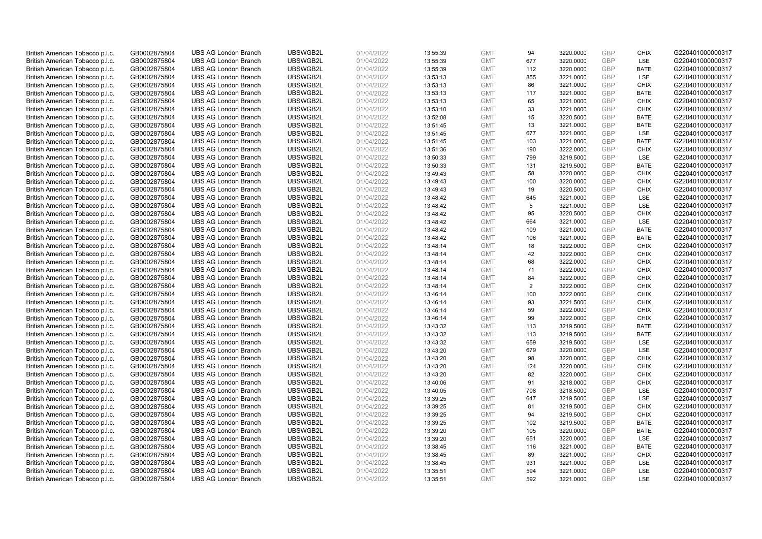| British American Tobacco p.l.c. | GB0002875804 | <b>UBS AG London Branch</b> | UBSWGB2L | 01/04/2022 | 13:55:39 | <b>GMT</b> | 94  | 3220.0000 | <b>GBP</b> | <b>CHIX</b> | G220401000000317 |
|---------------------------------|--------------|-----------------------------|----------|------------|----------|------------|-----|-----------|------------|-------------|------------------|
| British American Tobacco p.l.c. | GB0002875804 | <b>UBS AG London Branch</b> | UBSWGB2L | 01/04/2022 | 13:55:39 | <b>GMT</b> | 677 | 3220.0000 | <b>GBP</b> | LSE         | G220401000000317 |
| British American Tobacco p.l.c. | GB0002875804 | <b>UBS AG London Branch</b> | UBSWGB2L | 01/04/2022 | 13:55:39 | <b>GMT</b> | 112 | 3220.0000 | <b>GBP</b> | <b>BATE</b> | G220401000000317 |
| British American Tobacco p.l.c. | GB0002875804 | <b>UBS AG London Branch</b> | UBSWGB2L | 01/04/2022 | 13:53:13 | <b>GMT</b> | 855 | 3221.0000 | <b>GBP</b> | <b>LSE</b>  | G220401000000317 |
| British American Tobacco p.l.c. | GB0002875804 | <b>UBS AG London Branch</b> | UBSWGB2L | 01/04/2022 | 13:53:13 | <b>GMT</b> | 86  | 3221.0000 | <b>GBP</b> | <b>CHIX</b> | G220401000000317 |
| British American Tobacco p.l.c. | GB0002875804 | <b>UBS AG London Branch</b> | UBSWGB2L | 01/04/2022 | 13:53:13 | <b>GMT</b> | 117 | 3221.0000 | <b>GBP</b> | <b>BATE</b> | G220401000000317 |
| British American Tobacco p.l.c. | GB0002875804 | <b>UBS AG London Branch</b> | UBSWGB2L | 01/04/2022 | 13:53:13 | <b>GMT</b> | 65  | 3221.0000 | <b>GBP</b> | <b>CHIX</b> | G220401000000317 |
| British American Tobacco p.l.c. | GB0002875804 | <b>UBS AG London Branch</b> | UBSWGB2L | 01/04/2022 | 13:53:10 | <b>GMT</b> | 33  | 3221.0000 | <b>GBP</b> | <b>CHIX</b> | G220401000000317 |
| British American Tobacco p.l.c. | GB0002875804 | <b>UBS AG London Branch</b> | UBSWGB2L | 01/04/2022 | 13:52:08 | <b>GMT</b> | 15  | 3220.5000 | <b>GBP</b> | <b>BATE</b> | G220401000000317 |
| British American Tobacco p.l.c. | GB0002875804 | <b>UBS AG London Branch</b> | UBSWGB2L | 01/04/2022 | 13:51:45 | <b>GMT</b> | 13  | 3221.0000 | <b>GBP</b> | <b>BATE</b> | G220401000000317 |
| British American Tobacco p.l.c. | GB0002875804 | <b>UBS AG London Branch</b> | UBSWGB2L | 01/04/2022 | 13:51:45 | <b>GMT</b> | 677 | 3221.0000 | <b>GBP</b> | LSE         | G220401000000317 |
| British American Tobacco p.l.c. | GB0002875804 | <b>UBS AG London Branch</b> | UBSWGB2L | 01/04/2022 | 13:51:45 | <b>GMT</b> | 103 | 3221.0000 | <b>GBP</b> | <b>BATE</b> | G220401000000317 |
| British American Tobacco p.l.c. | GB0002875804 | <b>UBS AG London Branch</b> | UBSWGB2L | 01/04/2022 | 13:51:36 | <b>GMT</b> | 190 | 3222.0000 | <b>GBP</b> | <b>CHIX</b> | G220401000000317 |
| British American Tobacco p.l.c. | GB0002875804 | <b>UBS AG London Branch</b> | UBSWGB2L | 01/04/2022 | 13:50:33 | <b>GMT</b> | 799 | 3219.5000 | <b>GBP</b> | <b>LSE</b>  | G220401000000317 |
| British American Tobacco p.l.c. | GB0002875804 | <b>UBS AG London Branch</b> | UBSWGB2L | 01/04/2022 | 13:50:33 | <b>GMT</b> | 131 | 3219.5000 | <b>GBP</b> | <b>BATE</b> | G220401000000317 |
| British American Tobacco p.l.c. | GB0002875804 | <b>UBS AG London Branch</b> | UBSWGB2L | 01/04/2022 | 13:49:43 | <b>GMT</b> | 58  | 3220.0000 | <b>GBP</b> | <b>CHIX</b> | G220401000000317 |
| British American Tobacco p.l.c. | GB0002875804 | <b>UBS AG London Branch</b> | UBSWGB2L | 01/04/2022 | 13:49:43 | <b>GMT</b> | 100 | 3220.0000 | <b>GBP</b> | <b>CHIX</b> | G220401000000317 |
| British American Tobacco p.l.c. | GB0002875804 | <b>UBS AG London Branch</b> | UBSWGB2L | 01/04/2022 | 13:49:43 | <b>GMT</b> | 19  | 3220.5000 | GBP        | <b>CHIX</b> | G220401000000317 |
| British American Tobacco p.l.c. | GB0002875804 | <b>UBS AG London Branch</b> | UBSWGB2L | 01/04/2022 | 13:48:42 | <b>GMT</b> | 645 | 3221.0000 | <b>GBP</b> | <b>LSE</b>  | G220401000000317 |
| British American Tobacco p.l.c. | GB0002875804 | <b>UBS AG London Branch</b> | UBSWGB2L | 01/04/2022 | 13:48:42 | <b>GMT</b> | 5   | 3221.0000 | <b>GBP</b> | LSE         | G220401000000317 |
| British American Tobacco p.l.c. | GB0002875804 | <b>UBS AG London Branch</b> | UBSWGB2L | 01/04/2022 | 13:48:42 | <b>GMT</b> | 95  | 3220.5000 | <b>GBP</b> | <b>CHIX</b> | G220401000000317 |
| British American Tobacco p.l.c. | GB0002875804 | <b>UBS AG London Branch</b> | UBSWGB2L | 01/04/2022 | 13:48:42 | <b>GMT</b> | 664 | 3221.0000 | GBP        | <b>LSE</b>  | G220401000000317 |
| British American Tobacco p.l.c. | GB0002875804 | <b>UBS AG London Branch</b> | UBSWGB2L | 01/04/2022 | 13:48:42 | <b>GMT</b> | 109 | 3221.0000 | <b>GBP</b> | <b>BATE</b> | G220401000000317 |
| British American Tobacco p.l.c. | GB0002875804 | <b>UBS AG London Branch</b> | UBSWGB2L | 01/04/2022 | 13:48:42 | <b>GMT</b> | 106 | 3221.0000 | <b>GBP</b> | <b>BATE</b> | G220401000000317 |
| British American Tobacco p.l.c. | GB0002875804 | <b>UBS AG London Branch</b> | UBSWGB2L | 01/04/2022 | 13:48:14 | <b>GMT</b> | 18  | 3222.0000 | <b>GBP</b> | <b>CHIX</b> | G220401000000317 |
| British American Tobacco p.l.c. | GB0002875804 | <b>UBS AG London Branch</b> | UBSWGB2L | 01/04/2022 | 13:48:14 | <b>GMT</b> | 42  | 3222.0000 | GBP        | <b>CHIX</b> | G220401000000317 |
| British American Tobacco p.l.c. | GB0002875804 | <b>UBS AG London Branch</b> | UBSWGB2L | 01/04/2022 | 13:48:14 | <b>GMT</b> | 68  | 3222.0000 | <b>GBP</b> | <b>CHIX</b> | G220401000000317 |
| British American Tobacco p.l.c. | GB0002875804 | <b>UBS AG London Branch</b> | UBSWGB2L | 01/04/2022 | 13:48:14 | <b>GMT</b> | 71  | 3222.0000 | <b>GBP</b> | <b>CHIX</b> | G220401000000317 |
| British American Tobacco p.l.c. | GB0002875804 | <b>UBS AG London Branch</b> | UBSWGB2L | 01/04/2022 | 13:48:14 | <b>GMT</b> | 84  | 3222.0000 | <b>GBP</b> | <b>CHIX</b> | G220401000000317 |
| British American Tobacco p.l.c. | GB0002875804 | <b>UBS AG London Branch</b> | UBSWGB2L | 01/04/2022 | 13:48:14 | <b>GMT</b> | 2   | 3222.0000 | GBP        | <b>CHIX</b> | G220401000000317 |
| British American Tobacco p.l.c. | GB0002875804 | <b>UBS AG London Branch</b> | UBSWGB2L | 01/04/2022 | 13:46:14 | <b>GMT</b> | 100 | 3222.0000 | <b>GBP</b> | <b>CHIX</b> | G220401000000317 |
| British American Tobacco p.l.c. | GB0002875804 | <b>UBS AG London Branch</b> | UBSWGB2L | 01/04/2022 | 13:46:14 | <b>GMT</b> | 93  | 3221.5000 | <b>GBP</b> | <b>CHIX</b> | G220401000000317 |
| British American Tobacco p.l.c. | GB0002875804 | <b>UBS AG London Branch</b> | UBSWGB2L | 01/04/2022 | 13:46:14 | <b>GMT</b> | 59  | 3222.0000 | <b>GBP</b> | <b>CHIX</b> | G220401000000317 |
| British American Tobacco p.l.c. | GB0002875804 | <b>UBS AG London Branch</b> | UBSWGB2L | 01/04/2022 | 13:46:14 | <b>GMT</b> | 99  | 3222.0000 | <b>GBP</b> | <b>CHIX</b> | G220401000000317 |
| British American Tobacco p.l.c. | GB0002875804 | <b>UBS AG London Branch</b> | UBSWGB2L | 01/04/2022 | 13:43:32 | <b>GMT</b> | 113 | 3219.5000 | <b>GBP</b> | <b>BATE</b> | G220401000000317 |
| British American Tobacco p.l.c. | GB0002875804 | <b>UBS AG London Branch</b> | UBSWGB2L | 01/04/2022 | 13:43:32 | <b>GMT</b> | 113 | 3219.5000 | <b>GBP</b> | <b>BATE</b> | G220401000000317 |
| British American Tobacco p.l.c. | GB0002875804 | <b>UBS AG London Branch</b> | UBSWGB2L | 01/04/2022 | 13:43:32 | <b>GMT</b> | 659 | 3219.5000 | GBP        | <b>LSE</b>  | G220401000000317 |
| British American Tobacco p.l.c. | GB0002875804 | <b>UBS AG London Branch</b> | UBSWGB2L | 01/04/2022 | 13:43:20 | <b>GMT</b> | 679 | 3220.0000 | <b>GBP</b> | LSE         | G220401000000317 |
| British American Tobacco p.l.c. | GB0002875804 | <b>UBS AG London Branch</b> | UBSWGB2L | 01/04/2022 | 13:43:20 | <b>GMT</b> | 98  | 3220.0000 | <b>GBP</b> | <b>CHIX</b> | G220401000000317 |
| British American Tobacco p.l.c. | GB0002875804 | <b>UBS AG London Branch</b> | UBSWGB2L | 01/04/2022 | 13:43:20 | <b>GMT</b> | 124 | 3220.0000 | <b>GBP</b> | <b>CHIX</b> | G220401000000317 |
| British American Tobacco p.l.c. | GB0002875804 | <b>UBS AG London Branch</b> | UBSWGB2L | 01/04/2022 | 13:43:20 | <b>GMT</b> | 82  | 3220.0000 | <b>GBP</b> | <b>CHIX</b> | G220401000000317 |
| British American Tobacco p.l.c. | GB0002875804 | <b>UBS AG London Branch</b> | UBSWGB2L | 01/04/2022 | 13:40:06 | <b>GMT</b> | 91  | 3218.0000 | <b>GBP</b> | <b>CHIX</b> | G220401000000317 |
| British American Tobacco p.l.c. | GB0002875804 | <b>UBS AG London Branch</b> | UBSWGB2L | 01/04/2022 | 13:40:05 | <b>GMT</b> | 708 | 3218.5000 | <b>GBP</b> | LSE         | G220401000000317 |
| British American Tobacco p.l.c. | GB0002875804 | <b>UBS AG London Branch</b> | UBSWGB2L | 01/04/2022 | 13:39:25 | <b>GMT</b> | 647 | 3219.5000 | GBP        | LSE         | G220401000000317 |
| British American Tobacco p.l.c. | GB0002875804 | <b>UBS AG London Branch</b> | UBSWGB2L | 01/04/2022 | 13:39:25 | <b>GMT</b> | 81  | 3219.5000 | <b>GBP</b> | <b>CHIX</b> | G220401000000317 |
| British American Tobacco p.l.c. | GB0002875804 | <b>UBS AG London Branch</b> | UBSWGB2L | 01/04/2022 | 13:39:25 | <b>GMT</b> | 94  | 3219.5000 | GBP        | <b>CHIX</b> | G220401000000317 |
| British American Tobacco p.l.c. | GB0002875804 | <b>UBS AG London Branch</b> | UBSWGB2L | 01/04/2022 | 13:39:25 | <b>GMT</b> | 102 | 3219.5000 | <b>GBP</b> | <b>BATE</b> | G220401000000317 |
| British American Tobacco p.l.c. | GB0002875804 | <b>UBS AG London Branch</b> | UBSWGB2L | 01/04/2022 | 13:39:20 | <b>GMT</b> | 105 | 3220.0000 | <b>GBP</b> | <b>BATE</b> | G220401000000317 |
| British American Tobacco p.l.c. | GB0002875804 | <b>UBS AG London Branch</b> | UBSWGB2L | 01/04/2022 | 13:39:20 | <b>GMT</b> | 651 | 3220.0000 | <b>GBP</b> | LSE         | G220401000000317 |
| British American Tobacco p.l.c. | GB0002875804 | <b>UBS AG London Branch</b> | UBSWGB2L | 01/04/2022 | 13:38:45 | <b>GMT</b> | 116 | 3221.0000 | GBP        | <b>BATE</b> | G220401000000317 |
| British American Tobacco p.l.c. | GB0002875804 | <b>UBS AG London Branch</b> | UBSWGB2L | 01/04/2022 | 13:38:45 | <b>GMT</b> | 89  | 3221.0000 | GBP        | <b>CHIX</b> | G220401000000317 |
| British American Tobacco p.l.c. | GB0002875804 | <b>UBS AG London Branch</b> | UBSWGB2L | 01/04/2022 | 13:38:45 | <b>GMT</b> | 931 | 3221.0000 | <b>GBP</b> | LSE         | G220401000000317 |
| British American Tobacco p.l.c. | GB0002875804 | <b>UBS AG London Branch</b> | UBSWGB2L | 01/04/2022 | 13:35:51 | <b>GMT</b> | 594 | 3221.0000 | GBP        | LSE         | G220401000000317 |
| British American Tobacco p.l.c. | GB0002875804 | <b>UBS AG London Branch</b> | UBSWGB2L | 01/04/2022 | 13:35:51 | <b>GMT</b> | 592 | 3221.0000 | GBP        | <b>LSE</b>  | G220401000000317 |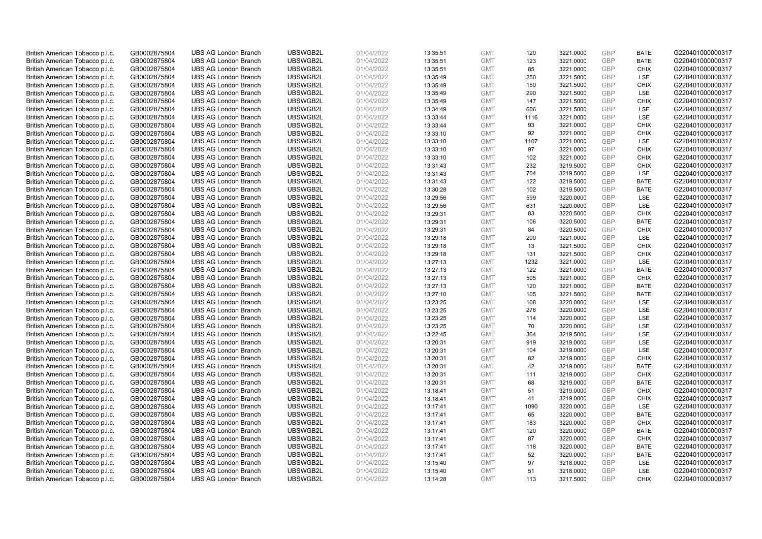| British American Tobacco p.l.c. | GB0002875804 | <b>UBS AG London Branch</b> | UBSWGB2L | 01/04/2022 | 13:35:51 | <b>GMT</b> | 120      | 3221.0000 | <b>GBP</b> | <b>BATE</b> | G220401000000317 |
|---------------------------------|--------------|-----------------------------|----------|------------|----------|------------|----------|-----------|------------|-------------|------------------|
| British American Tobacco p.l.c. | GB0002875804 | <b>UBS AG London Branch</b> | UBSWGB2L | 01/04/2022 | 13:35:51 | <b>GMT</b> | 123      | 3221.0000 | <b>GBP</b> | <b>BATE</b> | G220401000000317 |
| British American Tobacco p.l.c. | GB0002875804 | <b>UBS AG London Branch</b> | UBSWGB2L | 01/04/2022 | 13:35:51 | <b>GMT</b> | 85       | 3221.0000 | <b>GBP</b> | <b>CHIX</b> | G220401000000317 |
| British American Tobacco p.l.c. | GB0002875804 | <b>UBS AG London Branch</b> | UBSWGB2L | 01/04/2022 | 13:35:49 | <b>GMT</b> | 250      | 3221.5000 | GBP        | <b>LSE</b>  | G220401000000317 |
| British American Tobacco p.l.c. | GB0002875804 | <b>UBS AG London Branch</b> | UBSWGB2L | 01/04/2022 | 13:35:49 | <b>GMT</b> | 150      | 3221.5000 | <b>GBP</b> | <b>CHIX</b> | G220401000000317 |
| British American Tobacco p.l.c. | GB0002875804 | <b>UBS AG London Branch</b> | UBSWGB2L | 01/04/2022 | 13:35:49 | <b>GMT</b> | 290      | 3221.5000 | <b>GBP</b> | <b>LSE</b>  | G220401000000317 |
| British American Tobacco p.l.c. | GB0002875804 | <b>UBS AG London Branch</b> | UBSWGB2L | 01/04/2022 | 13:35:49 | <b>GMT</b> | 147      | 3221.5000 | <b>GBP</b> | <b>CHIX</b> | G220401000000317 |
| British American Tobacco p.l.c. | GB0002875804 | <b>UBS AG London Branch</b> | UBSWGB2L | 01/04/2022 | 13:34:49 | <b>GMT</b> | 606      | 3221.5000 | <b>GBP</b> | <b>LSE</b>  | G220401000000317 |
| British American Tobacco p.l.c. | GB0002875804 | <b>UBS AG London Branch</b> | UBSWGB2L | 01/04/2022 | 13:33:44 | <b>GMT</b> | 1116     | 3221.0000 | <b>GBP</b> | LSE         | G220401000000317 |
| British American Tobacco p.l.c. | GB0002875804 | <b>UBS AG London Branch</b> | UBSWGB2L | 01/04/2022 | 13:33:44 | <b>GMT</b> | 93       | 3221.0000 | <b>GBP</b> | <b>CHIX</b> | G220401000000317 |
| British American Tobacco p.l.c. | GB0002875804 | <b>UBS AG London Branch</b> | UBSWGB2L | 01/04/2022 | 13:33:10 | <b>GMT</b> | 92       | 3221.0000 | <b>GBP</b> | <b>CHIX</b> | G220401000000317 |
| British American Tobacco p.l.c. | GB0002875804 | <b>UBS AG London Branch</b> | UBSWGB2L | 01/04/2022 | 13:33:10 | <b>GMT</b> | 1107     | 3221.0000 | <b>GBP</b> | LSE         | G220401000000317 |
| British American Tobacco p.l.c. | GB0002875804 | <b>UBS AG London Branch</b> | UBSWGB2L | 01/04/2022 | 13:33:10 | <b>GMT</b> | 97       | 3221.0000 | <b>GBP</b> | <b>CHIX</b> | G220401000000317 |
| British American Tobacco p.l.c. | GB0002875804 | <b>UBS AG London Branch</b> | UBSWGB2L | 01/04/2022 | 13:33:10 | <b>GMT</b> | 102      | 3221.0000 | <b>GBP</b> | <b>CHIX</b> | G220401000000317 |
| British American Tobacco p.l.c. | GB0002875804 | <b>UBS AG London Branch</b> | UBSWGB2L | 01/04/2022 | 13:31:43 | <b>GMT</b> | 232      | 3219.5000 | <b>GBP</b> | <b>CHIX</b> | G220401000000317 |
| British American Tobacco p.l.c. | GB0002875804 | <b>UBS AG London Branch</b> | UBSWGB2L | 01/04/2022 | 13:31:43 | <b>GMT</b> | 704      | 3219.5000 | GBP        | LSE         | G220401000000317 |
| British American Tobacco p.l.c. | GB0002875804 | <b>UBS AG London Branch</b> | UBSWGB2L | 01/04/2022 | 13:31:43 | <b>GMT</b> | 122      | 3219.5000 | GBP        | <b>BATE</b> | G220401000000317 |
| British American Tobacco p.l.c. | GB0002875804 | <b>UBS AG London Branch</b> | UBSWGB2L | 01/04/2022 | 13:30:28 | <b>GMT</b> | 102      | 3219.5000 | GBP        | <b>BATE</b> | G220401000000317 |
| British American Tobacco p.l.c. | GB0002875804 | <b>UBS AG London Branch</b> | UBSWGB2L | 01/04/2022 | 13:29:56 | <b>GMT</b> | 599      | 3220.0000 | GBP        | <b>LSE</b>  | G220401000000317 |
| British American Tobacco p.l.c. | GB0002875804 | <b>UBS AG London Branch</b> | UBSWGB2L | 01/04/2022 | 13:29:56 | <b>GMT</b> | 631      | 3220.0000 | <b>GBP</b> | LSE         | G220401000000317 |
| British American Tobacco p.l.c. | GB0002875804 | <b>UBS AG London Branch</b> | UBSWGB2L | 01/04/2022 | 13:29:31 | <b>GMT</b> | 83       | 3220.5000 | <b>GBP</b> | <b>CHIX</b> | G220401000000317 |
| British American Tobacco p.l.c. | GB0002875804 | <b>UBS AG London Branch</b> | UBSWGB2L | 01/04/2022 | 13:29:31 | <b>GMT</b> | 106      | 3220.5000 | GBP        | <b>BATE</b> | G220401000000317 |
| British American Tobacco p.l.c. | GB0002875804 | <b>UBS AG London Branch</b> | UBSWGB2L | 01/04/2022 | 13:29:31 | <b>GMT</b> | 84       | 3220.5000 | <b>GBP</b> | <b>CHIX</b> | G220401000000317 |
| British American Tobacco p.l.c. | GB0002875804 | <b>UBS AG London Branch</b> | UBSWGB2L | 01/04/2022 | 13:29:18 | <b>GMT</b> | 200      | 3221.0000 | GBP        | <b>LSE</b>  | G220401000000317 |
| British American Tobacco p.l.c. | GB0002875804 | <b>UBS AG London Branch</b> | UBSWGB2L | 01/04/2022 | 13:29:18 | <b>GMT</b> | 13       | 3221.5000 | <b>GBP</b> | <b>CHIX</b> | G220401000000317 |
| British American Tobacco p.l.c. | GB0002875804 | <b>UBS AG London Branch</b> | UBSWGB2L | 01/04/2022 | 13:29:18 | <b>GMT</b> | 131      | 3221.5000 | <b>GBP</b> | <b>CHIX</b> | G220401000000317 |
| British American Tobacco p.l.c. | GB0002875804 | <b>UBS AG London Branch</b> | UBSWGB2L | 01/04/2022 | 13:27:13 | <b>GMT</b> | 1232     | 3221.0000 | <b>GBP</b> | LSE         | G220401000000317 |
| British American Tobacco p.l.c. | GB0002875804 | <b>UBS AG London Branch</b> | UBSWGB2L | 01/04/2022 | 13:27:13 | <b>GMT</b> | 122      | 3221.0000 | <b>GBP</b> | <b>BATE</b> | G220401000000317 |
| British American Tobacco p.l.c. | GB0002875804 | <b>UBS AG London Branch</b> | UBSWGB2L | 01/04/2022 | 13:27:13 | <b>GMT</b> | 505      | 3221.0000 | GBP        | <b>CHIX</b> | G220401000000317 |
| British American Tobacco p.l.c. | GB0002875804 | <b>UBS AG London Branch</b> | UBSWGB2L | 01/04/2022 | 13:27:13 | <b>GMT</b> | 120      | 3221.0000 | GBP        | <b>BATE</b> | G220401000000317 |
| British American Tobacco p.l.c. | GB0002875804 | <b>UBS AG London Branch</b> | UBSWGB2L | 01/04/2022 | 13:27:10 | <b>GMT</b> | 105      | 3221.5000 | GBP        | <b>BATE</b> | G220401000000317 |
| British American Tobacco p.l.c. | GB0002875804 | <b>UBS AG London Branch</b> | UBSWGB2L | 01/04/2022 | 13:23:25 | <b>GMT</b> | 108      | 3220.0000 | <b>GBP</b> | <b>LSE</b>  | G220401000000317 |
| British American Tobacco p.l.c. | GB0002875804 | <b>UBS AG London Branch</b> | UBSWGB2L | 01/04/2022 | 13:23:25 | <b>GMT</b> | 276      | 3220.0000 | <b>GBP</b> | LSE         | G220401000000317 |
| British American Tobacco p.l.c. | GB0002875804 | <b>UBS AG London Branch</b> | UBSWGB2L | 01/04/2022 | 13:23:25 | <b>GMT</b> | 114      | 3220.0000 | GBP        | LSE         | G220401000000317 |
| British American Tobacco p.l.c. | GB0002875804 | <b>UBS AG London Branch</b> | UBSWGB2L | 01/04/2022 | 13:23:25 | <b>GMT</b> | 70       | 3220.0000 | <b>GBP</b> | LSE         | G220401000000317 |
| British American Tobacco p.l.c. | GB0002875804 | <b>UBS AG London Branch</b> | UBSWGB2L | 01/04/2022 | 13:22:45 | <b>GMT</b> | 364      | 3219.5000 | <b>GBP</b> | LSE         | G220401000000317 |
| British American Tobacco p.l.c. | GB0002875804 | <b>UBS AG London Branch</b> | UBSWGB2L | 01/04/2022 | 13:20:31 | <b>GMT</b> | 919      | 3219.0000 | GBP        | LSE         | G220401000000317 |
| British American Tobacco p.l.c. | GB0002875804 | <b>UBS AG London Branch</b> | UBSWGB2L | 01/04/2022 | 13:20:31 | <b>GMT</b> | 104      | 3219.0000 | <b>GBP</b> | LSE         | G220401000000317 |
| British American Tobacco p.l.c. | GB0002875804 | <b>UBS AG London Branch</b> | UBSWGB2L | 01/04/2022 | 13:20:31 | <b>GMT</b> | 82       | 3219.0000 | GBP        | <b>CHIX</b> | G220401000000317 |
| British American Tobacco p.l.c. | GB0002875804 | <b>UBS AG London Branch</b> | UBSWGB2L | 01/04/2022 | 13:20:31 | <b>GMT</b> | 42       | 3219.0000 | <b>GBP</b> | <b>BATE</b> | G220401000000317 |
| British American Tobacco p.l.c. | GB0002875804 | <b>UBS AG London Branch</b> | UBSWGB2L | 01/04/2022 | 13:20:31 | <b>GMT</b> | 111      | 3219.0000 | <b>GBP</b> | <b>CHIX</b> | G220401000000317 |
| British American Tobacco p.l.c. | GB0002875804 | <b>UBS AG London Branch</b> | UBSWGB2L | 01/04/2022 | 13:20:31 | <b>GMT</b> | 68       | 3219.0000 | GBP        | <b>BATE</b> | G220401000000317 |
|                                 | GB0002875804 |                             | UBSWGB2L | 01/04/2022 |          | <b>GMT</b> |          | 3219.0000 | GBP        | <b>CHIX</b> | G220401000000317 |
| British American Tobacco p.l.c. |              | <b>UBS AG London Branch</b> |          |            | 13:18:41 |            | 51<br>41 |           | GBP        | <b>CHIX</b> |                  |
| British American Tobacco p.l.c. | GB0002875804 | <b>UBS AG London Branch</b> | UBSWGB2L | 01/04/2022 | 13:18:41 | <b>GMT</b> |          | 3219.0000 |            |             | G220401000000317 |
| British American Tobacco p.l.c. | GB0002875804 | <b>UBS AG London Branch</b> | UBSWGB2L | 01/04/2022 | 13:17:41 | <b>GMT</b> | 1090     | 3220.0000 | GBP        | <b>LSE</b>  | G220401000000317 |
| British American Tobacco p.l.c. | GB0002875804 | <b>UBS AG London Branch</b> | UBSWGB2L | 01/04/2022 | 13:17:41 | <b>GMT</b> | 65       | 3220.0000 | GBP        | <b>BATE</b> | G220401000000317 |
| British American Tobacco p.l.c. | GB0002875804 | <b>UBS AG London Branch</b> | UBSWGB2L | 01/04/2022 | 13:17:41 | <b>GMT</b> | 183      | 3220.0000 | GBP        | <b>CHIX</b> | G220401000000317 |
| British American Tobacco p.l.c. | GB0002875804 | <b>UBS AG London Branch</b> | UBSWGB2L | 01/04/2022 | 13:17:41 | <b>GMT</b> | 120      | 3220.0000 | GBP        | <b>BATE</b> | G220401000000317 |
| British American Tobacco p.l.c. | GB0002875804 | <b>UBS AG London Branch</b> | UBSWGB2L | 01/04/2022 | 13:17:41 | <b>GMT</b> | 87       | 3220.0000 | GBP        | <b>CHIX</b> | G220401000000317 |
| British American Tobacco p.l.c. | GB0002875804 | <b>UBS AG London Branch</b> | UBSWGB2L | 01/04/2022 | 13:17:41 | <b>GMT</b> | 118      | 3220.0000 | GBP        | <b>BATE</b> | G220401000000317 |
| British American Tobacco p.l.c. | GB0002875804 | <b>UBS AG London Branch</b> | UBSWGB2L | 01/04/2022 | 13:17:41 | <b>GMT</b> | 52       | 3220.0000 | GBP        | <b>BATE</b> | G220401000000317 |
| British American Tobacco p.l.c. | GB0002875804 | <b>UBS AG London Branch</b> | UBSWGB2L | 01/04/2022 | 13:15:40 | <b>GMT</b> | 97       | 3218.0000 | <b>GBP</b> | LSE         | G220401000000317 |
| British American Tobacco p.l.c. | GB0002875804 | <b>UBS AG London Branch</b> | UBSWGB2L | 01/04/2022 | 13:15:40 | <b>GMT</b> | 51       | 3218.0000 | GBP        | LSE         | G220401000000317 |
| British American Tobacco p.l.c. | GB0002875804 | <b>UBS AG London Branch</b> | UBSWGB2L | 01/04/2022 | 13:14:28 | <b>GMT</b> | 113      | 3217.5000 | GBP        | <b>CHIX</b> | G220401000000317 |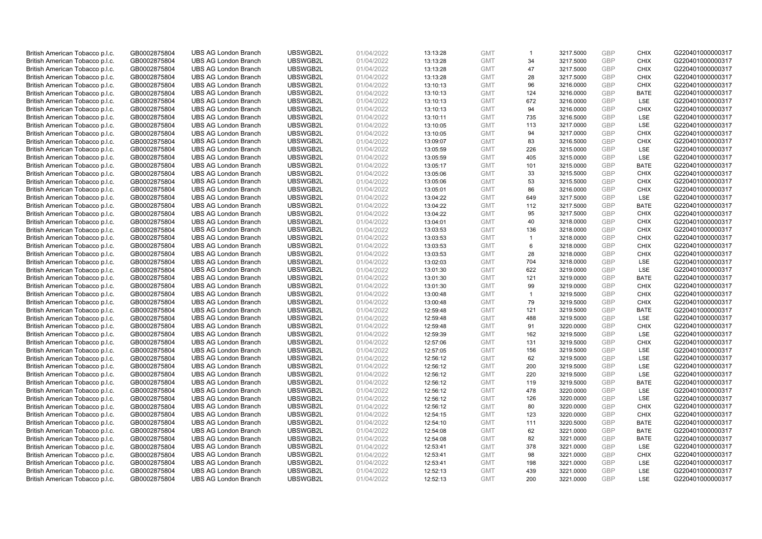| British American Tobacco p.l.c. | GB0002875804 | <b>UBS AG London Branch</b> | UBSWGB2L | 01/04/2022 | 13:13:28 | <b>GMT</b> | $\mathbf{1}$         | 3217.5000 | <b>GBP</b> | <b>CHIX</b> | G220401000000317 |
|---------------------------------|--------------|-----------------------------|----------|------------|----------|------------|----------------------|-----------|------------|-------------|------------------|
| British American Tobacco p.l.c. | GB0002875804 | <b>UBS AG London Branch</b> | UBSWGB2L | 01/04/2022 | 13:13:28 | <b>GMT</b> | 34                   | 3217.5000 | <b>GBP</b> | <b>CHIX</b> | G220401000000317 |
| British American Tobacco p.l.c. | GB0002875804 | <b>UBS AG London Branch</b> | UBSWGB2L | 01/04/2022 | 13:13:28 | <b>GMT</b> | 47                   | 3217.5000 | GBP        | <b>CHIX</b> | G220401000000317 |
| British American Tobacco p.l.c. | GB0002875804 | <b>UBS AG London Branch</b> | UBSWGB2L | 01/04/2022 | 13:13:28 | <b>GMT</b> | 28                   | 3217.5000 | GBP        | <b>CHIX</b> | G220401000000317 |
| British American Tobacco p.l.c. | GB0002875804 | <b>UBS AG London Branch</b> | UBSWGB2L | 01/04/2022 | 13:10:13 | <b>GMT</b> | 96                   | 3216.0000 | <b>GBP</b> | <b>CHIX</b> | G220401000000317 |
| British American Tobacco p.l.c. | GB0002875804 | <b>UBS AG London Branch</b> | UBSWGB2L | 01/04/2022 | 13:10:13 | <b>GMT</b> | 124                  | 3216.0000 | <b>GBP</b> | <b>BATE</b> | G220401000000317 |
| British American Tobacco p.l.c. | GB0002875804 | <b>UBS AG London Branch</b> | UBSWGB2L | 01/04/2022 | 13:10:13 | <b>GMT</b> | 672                  | 3216.0000 | GBP        | LSE         | G220401000000317 |
| British American Tobacco p.l.c. | GB0002875804 | <b>UBS AG London Branch</b> | UBSWGB2L | 01/04/2022 | 13:10:13 | <b>GMT</b> | 94                   | 3216.0000 | <b>GBP</b> | <b>CHIX</b> | G220401000000317 |
| British American Tobacco p.l.c. | GB0002875804 | <b>UBS AG London Branch</b> | UBSWGB2L | 01/04/2022 | 13:10:11 | <b>GMT</b> | 735                  | 3216.5000 | GBP        | LSE         | G220401000000317 |
| British American Tobacco p.l.c. | GB0002875804 | <b>UBS AG London Branch</b> | UBSWGB2L | 01/04/2022 | 13:10:05 | <b>GMT</b> | 113                  | 3217.0000 | <b>GBP</b> | LSE         | G220401000000317 |
| British American Tobacco p.l.c. | GB0002875804 | <b>UBS AG London Branch</b> | UBSWGB2L | 01/04/2022 | 13:10:05 | <b>GMT</b> | 94                   | 3217.0000 | GBP        | <b>CHIX</b> | G220401000000317 |
| British American Tobacco p.l.c. | GB0002875804 | <b>UBS AG London Branch</b> | UBSWGB2L | 01/04/2022 | 13:09:07 | <b>GMT</b> | 83                   | 3216.5000 | <b>GBP</b> | <b>CHIX</b> | G220401000000317 |
| British American Tobacco p.l.c. | GB0002875804 | <b>UBS AG London Branch</b> | UBSWGB2L | 01/04/2022 | 13:05:59 | <b>GMT</b> | 226                  | 3215.0000 | <b>GBP</b> | LSE         | G220401000000317 |
| British American Tobacco p.l.c. | GB0002875804 | <b>UBS AG London Branch</b> | UBSWGB2L | 01/04/2022 | 13:05:59 | <b>GMT</b> | 405                  | 3215.0000 | <b>GBP</b> | <b>LSE</b>  | G220401000000317 |
| British American Tobacco p.l.c. | GB0002875804 | <b>UBS AG London Branch</b> | UBSWGB2L | 01/04/2022 | 13:05:17 | <b>GMT</b> | 101                  | 3215.0000 | <b>GBP</b> | <b>BATE</b> | G220401000000317 |
| British American Tobacco p.l.c. | GB0002875804 | <b>UBS AG London Branch</b> | UBSWGB2L | 01/04/2022 | 13:05:06 | <b>GMT</b> | 33                   | 3215.5000 | GBP        | <b>CHIX</b> | G220401000000317 |
| British American Tobacco p.l.c. | GB0002875804 | <b>UBS AG London Branch</b> | UBSWGB2L | 01/04/2022 | 13:05:06 | <b>GMT</b> | 53                   | 3215.5000 | GBP        | <b>CHIX</b> | G220401000000317 |
| British American Tobacco p.l.c. | GB0002875804 | <b>UBS AG London Branch</b> | UBSWGB2L | 01/04/2022 | 13:05:01 | <b>GMT</b> | 86                   | 3216.0000 | GBP        | <b>CHIX</b> | G220401000000317 |
| British American Tobacco p.l.c. | GB0002875804 | <b>UBS AG London Branch</b> | UBSWGB2L | 01/04/2022 | 13:04:22 | <b>GMT</b> | 649                  | 3217.5000 | <b>GBP</b> | <b>LSE</b>  | G220401000000317 |
| British American Tobacco p.l.c. | GB0002875804 | <b>UBS AG London Branch</b> | UBSWGB2L | 01/04/2022 | 13:04:22 | <b>GMT</b> | 112                  | 3217.5000 | <b>GBP</b> | <b>BATE</b> | G220401000000317 |
| British American Tobacco p.l.c. | GB0002875804 | <b>UBS AG London Branch</b> | UBSWGB2L | 01/04/2022 | 13:04:22 | <b>GMT</b> | 95                   | 3217.5000 | <b>GBP</b> | <b>CHIX</b> | G220401000000317 |
| British American Tobacco p.l.c. | GB0002875804 | <b>UBS AG London Branch</b> | UBSWGB2L | 01/04/2022 | 13:04:01 | <b>GMT</b> | 40                   | 3218.0000 | GBP        | <b>CHIX</b> | G220401000000317 |
| British American Tobacco p.l.c. | GB0002875804 | <b>UBS AG London Branch</b> | UBSWGB2L | 01/04/2022 | 13:03:53 | <b>GMT</b> | 136                  | 3218.0000 | <b>GBP</b> | <b>CHIX</b> | G220401000000317 |
| British American Tobacco p.l.c. | GB0002875804 | <b>UBS AG London Branch</b> | UBSWGB2L | 01/04/2022 | 13:03:53 | <b>GMT</b> | $\blacktriangleleft$ | 3218.0000 | GBP        | <b>CHIX</b> | G220401000000317 |
| British American Tobacco p.l.c. | GB0002875804 | <b>UBS AG London Branch</b> | UBSWGB2L | 01/04/2022 | 13:03:53 | <b>GMT</b> | 6                    | 3218.0000 | <b>GBP</b> | <b>CHIX</b> | G220401000000317 |
| British American Tobacco p.l.c. | GB0002875804 | <b>UBS AG London Branch</b> | UBSWGB2L | 01/04/2022 | 13:03:53 | <b>GMT</b> | 28                   | 3218.0000 | <b>GBP</b> | <b>CHIX</b> | G220401000000317 |
| British American Tobacco p.l.c. | GB0002875804 | <b>UBS AG London Branch</b> | UBSWGB2L | 01/04/2022 | 13:02:03 | <b>GMT</b> | 704                  | 3218.0000 | <b>GBP</b> | <b>LSE</b>  | G220401000000317 |
| British American Tobacco p.l.c. | GB0002875804 | <b>UBS AG London Branch</b> | UBSWGB2L | 01/04/2022 | 13:01:30 | <b>GMT</b> | 622                  | 3219.0000 | <b>GBP</b> | LSE         | G220401000000317 |
| British American Tobacco p.l.c. | GB0002875804 | <b>UBS AG London Branch</b> | UBSWGB2L | 01/04/2022 | 13:01:30 | <b>GMT</b> | 121                  | 3219.0000 | GBP        | <b>BATE</b> | G220401000000317 |
| British American Tobacco p.l.c. | GB0002875804 | <b>UBS AG London Branch</b> | UBSWGB2L | 01/04/2022 | 13:01:30 | <b>GMT</b> | 99                   | 3219.0000 | GBP        | <b>CHIX</b> | G220401000000317 |
| British American Tobacco p.l.c. | GB0002875804 | <b>UBS AG London Branch</b> | UBSWGB2L | 01/04/2022 | 13:00:48 | <b>GMT</b> | $\mathbf{1}$         | 3219.5000 | GBP        | <b>CHIX</b> | G220401000000317 |
| British American Tobacco p.l.c. | GB0002875804 | <b>UBS AG London Branch</b> | UBSWGB2L | 01/04/2022 | 13:00:48 | <b>GMT</b> | 79                   | 3219.5000 | GBP        | <b>CHIX</b> | G220401000000317 |
| British American Tobacco p.l.c. | GB0002875804 | <b>UBS AG London Branch</b> | UBSWGB2L | 01/04/2022 | 12:59:48 | <b>GMT</b> | 121                  | 3219.5000 | GBP        | <b>BATE</b> | G220401000000317 |
| British American Tobacco p.l.c. | GB0002875804 | <b>UBS AG London Branch</b> | UBSWGB2L | 01/04/2022 | 12:59:48 | <b>GMT</b> | 488                  | 3219.5000 | GBP        | LSE         | G220401000000317 |
| British American Tobacco p.l.c. | GB0002875804 | <b>UBS AG London Branch</b> | UBSWGB2L | 01/04/2022 | 12:59:48 | <b>GMT</b> | 91                   | 3220.0000 | GBP        | <b>CHIX</b> | G220401000000317 |
| British American Tobacco p.l.c. | GB0002875804 | <b>UBS AG London Branch</b> | UBSWGB2L | 01/04/2022 | 12:59:39 | <b>GMT</b> | 162                  | 3219.5000 | <b>GBP</b> | LSE         | G220401000000317 |
| British American Tobacco p.l.c. | GB0002875804 | <b>UBS AG London Branch</b> | UBSWGB2L | 01/04/2022 | 12:57:06 | <b>GMT</b> | 131                  | 3219.5000 | GBP        | <b>CHIX</b> | G220401000000317 |
| British American Tobacco p.l.c. | GB0002875804 | <b>UBS AG London Branch</b> | UBSWGB2L | 01/04/2022 | 12:57:05 | <b>GMT</b> | 156                  | 3219.5000 | <b>GBP</b> | LSE         | G220401000000317 |
| British American Tobacco p.l.c. | GB0002875804 | <b>UBS AG London Branch</b> | UBSWGB2L | 01/04/2022 | 12:56:12 | <b>GMT</b> | 62                   | 3219.5000 | <b>GBP</b> | LSE         | G220401000000317 |
| British American Tobacco p.l.c. | GB0002875804 | <b>UBS AG London Branch</b> | UBSWGB2L | 01/04/2022 | 12:56:12 | <b>GMT</b> | 200                  | 3219.5000 | GBP        | LSE         | G220401000000317 |
| British American Tobacco p.l.c. | GB0002875804 | <b>UBS AG London Branch</b> | UBSWGB2L | 01/04/2022 | 12:56:12 | <b>GMT</b> | 220                  | 3219.5000 | <b>GBP</b> | <b>LSE</b>  | G220401000000317 |
| British American Tobacco p.l.c. | GB0002875804 | <b>UBS AG London Branch</b> | UBSWGB2L | 01/04/2022 | 12:56:12 | <b>GMT</b> | 119                  | 3219.5000 | GBP        | <b>BATE</b> | G220401000000317 |
| British American Tobacco p.l.c. | GB0002875804 | <b>UBS AG London Branch</b> | UBSWGB2L | 01/04/2022 | 12:56:12 | <b>GMT</b> | 478                  | 3220.0000 | <b>GBP</b> | LSE         | G220401000000317 |
| British American Tobacco p.l.c. | GB0002875804 | <b>UBS AG London Branch</b> | UBSWGB2L | 01/04/2022 | 12:56:12 | <b>GMT</b> | 126                  | 3220.0000 | GBP        | <b>LSE</b>  | G220401000000317 |
| British American Tobacco p.l.c. | GB0002875804 | <b>UBS AG London Branch</b> | UBSWGB2L | 01/04/2022 | 12:56:12 | <b>GMT</b> | 80                   | 3220.0000 | GBP        | <b>CHIX</b> | G220401000000317 |
| British American Tobacco p.l.c. | GB0002875804 | <b>UBS AG London Branch</b> | UBSWGB2L | 01/04/2022 | 12:54:15 | <b>GMT</b> | 123                  | 3220.0000 | GBP        | <b>CHIX</b> | G220401000000317 |
| British American Tobacco p.l.c. | GB0002875804 | <b>UBS AG London Branch</b> | UBSWGB2L | 01/04/2022 | 12:54:10 | <b>GMT</b> | 111                  | 3220.5000 | GBP        | <b>BATE</b> | G220401000000317 |
| British American Tobacco p.l.c. | GB0002875804 | <b>UBS AG London Branch</b> | UBSWGB2L | 01/04/2022 | 12:54:08 | <b>GMT</b> | 62                   | 3221.0000 | GBP        | <b>BATE</b> | G220401000000317 |
| British American Tobacco p.l.c. | GB0002875804 | <b>UBS AG London Branch</b> | UBSWGB2L | 01/04/2022 | 12:54:08 | <b>GMT</b> | 82                   | 3221.0000 | GBP        | <b>BATE</b> | G220401000000317 |
| British American Tobacco p.l.c. | GB0002875804 | <b>UBS AG London Branch</b> | UBSWGB2L | 01/04/2022 | 12:53:41 | <b>GMT</b> | 378                  | 3221.0000 | GBP        | <b>LSE</b>  | G220401000000317 |
| British American Tobacco p.l.c. | GB0002875804 | <b>UBS AG London Branch</b> | UBSWGB2L | 01/04/2022 | 12:53:41 | <b>GMT</b> | 98                   | 3221.0000 | GBP        | <b>CHIX</b> | G220401000000317 |
| British American Tobacco p.l.c. | GB0002875804 | <b>UBS AG London Branch</b> | UBSWGB2L | 01/04/2022 | 12:53:41 | <b>GMT</b> | 198                  | 3221.0000 | <b>GBP</b> | LSE         | G220401000000317 |
| British American Tobacco p.l.c. | GB0002875804 | <b>UBS AG London Branch</b> | UBSWGB2L | 01/04/2022 | 12:52:13 | <b>GMT</b> | 439                  | 3221.0000 | GBP        | LSE         | G220401000000317 |
| British American Tobacco p.l.c. | GB0002875804 | <b>UBS AG London Branch</b> | UBSWGB2L | 01/04/2022 | 12:52:13 | <b>GMT</b> | 200                  | 3221.0000 | GBP        | <b>LSE</b>  | G220401000000317 |
|                                 |              |                             |          |            |          |            |                      |           |            |             |                  |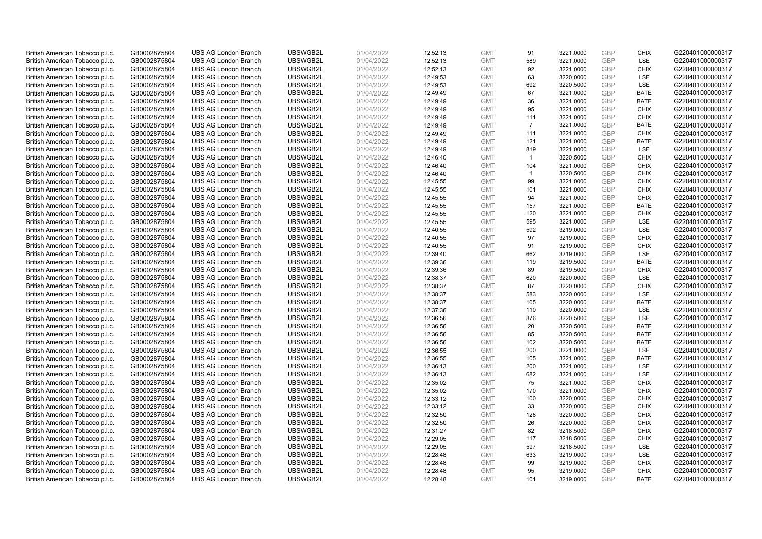| British American Tobacco p.l.c. | GB0002875804                 | <b>UBS AG London Branch</b> | UBSWGB2L             | 01/04/2022               | 12:52:13 | <b>GMT</b>               | 91             | 3221.0000              | <b>GBP</b> | <b>CHIX</b>                | G220401000000317 |
|---------------------------------|------------------------------|-----------------------------|----------------------|--------------------------|----------|--------------------------|----------------|------------------------|------------|----------------------------|------------------|
| British American Tobacco p.l.c. | GB0002875804                 | <b>UBS AG London Branch</b> | UBSWGB2L             | 01/04/2022               | 12:52:13 | <b>GMT</b>               | 589            | 3221.0000              | GBP        | LSE                        | G220401000000317 |
| British American Tobacco p.l.c. | GB0002875804                 | <b>UBS AG London Branch</b> | UBSWGB2L             | 01/04/2022               | 12:52:13 | <b>GMT</b>               | 92             | 3221.0000              | <b>GBP</b> | <b>CHIX</b>                | G220401000000317 |
| British American Tobacco p.l.c. | GB0002875804                 | <b>UBS AG London Branch</b> | UBSWGB2L             | 01/04/2022               | 12:49:53 | <b>GMT</b>               | 63             | 3220.0000              | GBP        | LSE                        | G220401000000317 |
| British American Tobacco p.l.c. | GB0002875804                 | <b>UBS AG London Branch</b> | UBSWGB2L             | 01/04/2022               | 12:49:53 | <b>GMT</b>               | 692            | 3220.5000              | <b>GBP</b> | <b>LSE</b>                 | G220401000000317 |
| British American Tobacco p.l.c. | GB0002875804                 | <b>UBS AG London Branch</b> | UBSWGB2L             | 01/04/2022               | 12:49:49 | <b>GMT</b>               | 67             | 3221.0000              | <b>GBP</b> | <b>BATE</b>                | G220401000000317 |
| British American Tobacco p.l.c. | GB0002875804                 | <b>UBS AG London Branch</b> | UBSWGB2L             | 01/04/2022               | 12:49:49 | <b>GMT</b>               | 36             | 3221.0000              | <b>GBP</b> | <b>BATE</b>                | G220401000000317 |
| British American Tobacco p.l.c. | GB0002875804                 | <b>UBS AG London Branch</b> | UBSWGB2L             | 01/04/2022               | 12:49:49 | <b>GMT</b>               | 95             | 3221.0000              | <b>GBP</b> | <b>CHIX</b>                | G220401000000317 |
| British American Tobacco p.l.c. | GB0002875804                 | <b>UBS AG London Branch</b> | UBSWGB2L             | 01/04/2022               | 12:49:49 | <b>GMT</b>               | 111            | 3221.0000              | <b>GBP</b> | <b>CHIX</b>                | G220401000000317 |
| British American Tobacco p.l.c. | GB0002875804                 | <b>UBS AG London Branch</b> | UBSWGB2L             | 01/04/2022               | 12:49:49 | <b>GMT</b>               | $\overline{7}$ | 3221.0000              | <b>GBP</b> | <b>BATE</b>                | G220401000000317 |
| British American Tobacco p.l.c. | GB0002875804                 | <b>UBS AG London Branch</b> | UBSWGB2L             | 01/04/2022               | 12:49:49 | <b>GMT</b>               | 111            | 3221.0000              | GBP        | <b>CHIX</b>                | G220401000000317 |
| British American Tobacco p.l.c. | GB0002875804                 | <b>UBS AG London Branch</b> | UBSWGB2L             | 01/04/2022               | 12:49:49 | <b>GMT</b>               | 121            | 3221.0000              | <b>GBP</b> | <b>BATE</b>                | G220401000000317 |
| British American Tobacco p.l.c. | GB0002875804                 | <b>UBS AG London Branch</b> | UBSWGB2L             | 01/04/2022               | 12:49:49 | <b>GMT</b>               | 819            | 3221.0000              | <b>GBP</b> | LSE                        | G220401000000317 |
| British American Tobacco p.l.c. | GB0002875804                 | <b>UBS AG London Branch</b> | UBSWGB2L             | 01/04/2022               | 12:46:40 | <b>GMT</b>               | $\overline{1}$ | 3220.5000              | <b>GBP</b> | <b>CHIX</b>                | G220401000000317 |
| British American Tobacco p.l.c. | GB0002875804                 | <b>UBS AG London Branch</b> | UBSWGB2L             | 01/04/2022               | 12:46:40 | <b>GMT</b>               | 104            | 3221.0000              | GBP        | <b>CHIX</b>                | G220401000000317 |
| British American Tobacco p.l.c. | GB0002875804                 | <b>UBS AG London Branch</b> | UBSWGB2L             | 01/04/2022               | 12:46:40 | <b>GMT</b>               | $\overline{1}$ | 3220.5000              | <b>GBP</b> | <b>CHIX</b>                | G220401000000317 |
| British American Tobacco p.l.c. | GB0002875804                 | <b>UBS AG London Branch</b> | UBSWGB2L             | 01/04/2022               | 12:45:55 | <b>GMT</b>               | 99             | 3221.0000              | GBP        | <b>CHIX</b>                | G220401000000317 |
| British American Tobacco p.l.c. | GB0002875804                 | <b>UBS AG London Branch</b> | UBSWGB2L             | 01/04/2022               | 12:45:55 | <b>GMT</b>               | 101            | 3221.0000              | GBP        | <b>CHIX</b>                | G220401000000317 |
| British American Tobacco p.l.c. | GB0002875804                 | <b>UBS AG London Branch</b> | UBSWGB2L             | 01/04/2022               | 12:45:55 | <b>GMT</b>               | 94             | 3221.0000              | GBP        | <b>CHIX</b>                | G220401000000317 |
| British American Tobacco p.l.c. | GB0002875804                 | <b>UBS AG London Branch</b> | UBSWGB2L             | 01/04/2022               | 12:45:55 | <b>GMT</b>               | 157            | 3221.0000              | <b>GBP</b> | <b>BATE</b>                | G220401000000317 |
| British American Tobacco p.l.c. | GB0002875804                 | <b>UBS AG London Branch</b> | UBSWGB2L             | 01/04/2022               | 12:45:55 | <b>GMT</b>               | 120            | 3221.0000              | <b>GBP</b> | <b>CHIX</b>                | G220401000000317 |
| British American Tobacco p.l.c. | GB0002875804                 | <b>UBS AG London Branch</b> | UBSWGB2L             | 01/04/2022               | 12:45:55 | <b>GMT</b>               | 595            | 3221.0000              | GBP        | <b>LSE</b>                 | G220401000000317 |
| British American Tobacco p.l.c. | GB0002875804                 | <b>UBS AG London Branch</b> | UBSWGB2L             | 01/04/2022               | 12:40:55 | <b>GMT</b>               | 592            | 3219.0000              | <b>GBP</b> | LSE                        | G220401000000317 |
| British American Tobacco p.l.c. | GB0002875804                 | <b>UBS AG London Branch</b> | UBSWGB2L             | 01/04/2022               | 12:40:55 | <b>GMT</b>               | 97             | 3219.0000              | <b>GBP</b> | <b>CHIX</b>                | G220401000000317 |
| British American Tobacco p.l.c. | GB0002875804                 | <b>UBS AG London Branch</b> | UBSWGB2L             | 01/04/2022               | 12:40:55 | <b>GMT</b>               | 91             | 3219.0000              | <b>GBP</b> | <b>CHIX</b>                | G220401000000317 |
| British American Tobacco p.l.c. | GB0002875804                 | <b>UBS AG London Branch</b> | UBSWGB2L             | 01/04/2022               | 12:39:40 | <b>GMT</b>               | 662            | 3219.0000              | GBP        | LSE                        | G220401000000317 |
| British American Tobacco p.l.c. | GB0002875804                 | <b>UBS AG London Branch</b> | UBSWGB2L             | 01/04/2022               | 12:39:36 | <b>GMT</b>               | 119            | 3219.5000              | <b>GBP</b> | <b>BATE</b>                | G220401000000317 |
| British American Tobacco p.l.c. | GB0002875804                 | <b>UBS AG London Branch</b> | UBSWGB2L             | 01/04/2022               | 12:39:36 | <b>GMT</b>               | 89             | 3219.5000              | <b>GBP</b> | <b>CHIX</b>                | G220401000000317 |
| British American Tobacco p.l.c. | GB0002875804                 | <b>UBS AG London Branch</b> | UBSWGB2L             | 01/04/2022               | 12:38:37 | <b>GMT</b>               | 620            | 3220.0000              | GBP        | LSE                        | G220401000000317 |
| British American Tobacco p.l.c. | GB0002875804                 | <b>UBS AG London Branch</b> | UBSWGB2L             | 01/04/2022               | 12:38:37 | <b>GMT</b>               | 87             | 3220.0000              | GBP        | <b>CHIX</b>                | G220401000000317 |
| British American Tobacco p.l.c. | GB0002875804                 | <b>UBS AG London Branch</b> | UBSWGB2L             | 01/04/2022               | 12:38:37 | <b>GMT</b>               | 583            | 3220.0000              | <b>GBP</b> | LSE                        | G220401000000317 |
| British American Tobacco p.l.c. | GB0002875804                 | <b>UBS AG London Branch</b> | UBSWGB2L             | 01/04/2022               | 12:38:37 | <b>GMT</b>               | 105            | 3220.0000              | GBP        | <b>BATE</b>                | G220401000000317 |
| British American Tobacco p.l.c. | GB0002875804                 | <b>UBS AG London Branch</b> | UBSWGB2L             | 01/04/2022               | 12:37:36 | <b>GMT</b>               | 110            | 3220.0000              | GBP        | LSE                        | G220401000000317 |
| British American Tobacco p.l.c. | GB0002875804                 | <b>UBS AG London Branch</b> | UBSWGB2L             | 01/04/2022               | 12:36:56 | <b>GMT</b>               | 876            | 3220.5000              | <b>GBP</b> | LSE                        | G220401000000317 |
| British American Tobacco p.l.c. | GB0002875804                 | <b>UBS AG London Branch</b> | UBSWGB2L             | 01/04/2022               | 12:36:56 | <b>GMT</b>               | 20             | 3220.5000              | <b>GBP</b> | <b>BATE</b>                | G220401000000317 |
| British American Tobacco p.l.c. | GB0002875804                 | <b>UBS AG London Branch</b> | UBSWGB2L             | 01/04/2022               | 12:36:56 | <b>GMT</b>               | 85             | 3220.5000              | GBP        | <b>BATE</b>                | G220401000000317 |
| British American Tobacco p.l.c. | GB0002875804                 | <b>UBS AG London Branch</b> | UBSWGB2L             | 01/04/2022               | 12:36:56 | <b>GMT</b>               | 102            | 3220.5000              | GBP        | <b>BATE</b>                | G220401000000317 |
| British American Tobacco p.l.c. | GB0002875804                 | <b>UBS AG London Branch</b> | UBSWGB2L             | 01/04/2022               | 12:36:55 | <b>GMT</b>               | 200            | 3221.0000              | <b>GBP</b> | LSE                        | G220401000000317 |
| British American Tobacco p.l.c. | GB0002875804                 | <b>UBS AG London Branch</b> | UBSWGB2L             | 01/04/2022               | 12:36:55 | <b>GMT</b>               | 105            | 3221.0000              | <b>GBP</b> | <b>BATE</b>                | G220401000000317 |
| British American Tobacco p.l.c. | GB0002875804                 | <b>UBS AG London Branch</b> | UBSWGB2L             | 01/04/2022               | 12:36:13 | <b>GMT</b>               | 200            | 3221.0000              | <b>GBP</b> | LSE                        | G220401000000317 |
| British American Tobacco p.l.c. | GB0002875804                 | <b>UBS AG London Branch</b> | UBSWGB2L             | 01/04/2022               | 12:36:13 | <b>GMT</b>               | 682            | 3221.0000              | <b>GBP</b> | LSE                        | G220401000000317 |
| British American Tobacco p.l.c. | GB0002875804                 | <b>UBS AG London Branch</b> | UBSWGB2L             | 01/04/2022               | 12:35:02 | <b>GMT</b>               | 75             | 3221.0000              | GBP        | <b>CHIX</b>                | G220401000000317 |
| British American Tobacco p.l.c. | GB0002875804                 | <b>UBS AG London Branch</b> | UBSWGB2L             | 01/04/2022               | 12:35:02 | <b>GMT</b>               | 170            | 3221.0000              | <b>GBP</b> | <b>CHIX</b>                | G220401000000317 |
| British American Tobacco p.l.c. | GB0002875804                 | <b>UBS AG London Branch</b> | UBSWGB2L             | 01/04/2022               | 12:33:12 | <b>GMT</b>               | 100            | 3220.0000              | GBP        | <b>CHIX</b>                | G220401000000317 |
| British American Tobacco p.l.c. | GB0002875804                 | <b>UBS AG London Branch</b> | UBSWGB2L             | 01/04/2022               | 12:33:12 | <b>GMT</b>               | 33             | 3220.0000              | <b>GBP</b> | <b>CHIX</b>                | G220401000000317 |
| British American Tobacco p.l.c. | GB0002875804                 | <b>UBS AG London Branch</b> | UBSWGB2L             | 01/04/2022               | 12:32:50 | <b>GMT</b>               | 128            | 3220.0000              | GBP        | <b>CHIX</b>                | G220401000000317 |
| British American Tobacco p.l.c. | GB0002875804                 | <b>UBS AG London Branch</b> | UBSWGB2L             | 01/04/2022               | 12:32:50 | <b>GMT</b>               | 26             | 3220.0000              | <b>GBP</b> | <b>CHIX</b>                | G220401000000317 |
| British American Tobacco p.l.c. | GB0002875804                 | <b>UBS AG London Branch</b> | UBSWGB2L             | 01/04/2022               | 12:31:27 | <b>GMT</b>               | 82             | 3218.5000              | GBP        | <b>CHIX</b>                | G220401000000317 |
| British American Tobacco p.l.c. | GB0002875804                 | <b>UBS AG London Branch</b> | UBSWGB2L             | 01/04/2022               | 12:29:05 | <b>GMT</b>               | 117            | 3218.5000              | <b>GBP</b> | <b>CHIX</b>                | G220401000000317 |
| British American Tobacco p.l.c. | GB0002875804                 | <b>UBS AG London Branch</b> | UBSWGB2L             | 01/04/2022               | 12:29:05 | <b>GMT</b>               | 597            | 3218.5000              | GBP        | <b>LSE</b>                 | G220401000000317 |
| British American Tobacco p.l.c. | GB0002875804                 | <b>UBS AG London Branch</b> | UBSWGB2L             | 01/04/2022               | 12:28:48 | <b>GMT</b>               | 633            | 3219.0000              | <b>GBP</b> | LSE                        | G220401000000317 |
| British American Tobacco p.l.c. | GB0002875804                 | <b>UBS AG London Branch</b> | UBSWGB2L             | 01/04/2022               | 12:28:48 | <b>GMT</b>               | 99             | 3219.0000              | <b>GBP</b> | <b>CHIX</b>                | G220401000000317 |
| British American Tobacco p.l.c. | GB0002875804<br>GB0002875804 | <b>UBS AG London Branch</b> | UBSWGB2L<br>UBSWGB2L | 01/04/2022<br>01/04/2022 | 12:28:48 | <b>GMT</b><br><b>GMT</b> | 95<br>101      | 3219.0000<br>3219.0000 | GBP<br>GBP | <b>CHIX</b><br><b>BATE</b> | G220401000000317 |
| British American Tobacco p.l.c. |                              | <b>UBS AG London Branch</b> |                      |                          | 12:28:48 |                          |                |                        |            |                            | G220401000000317 |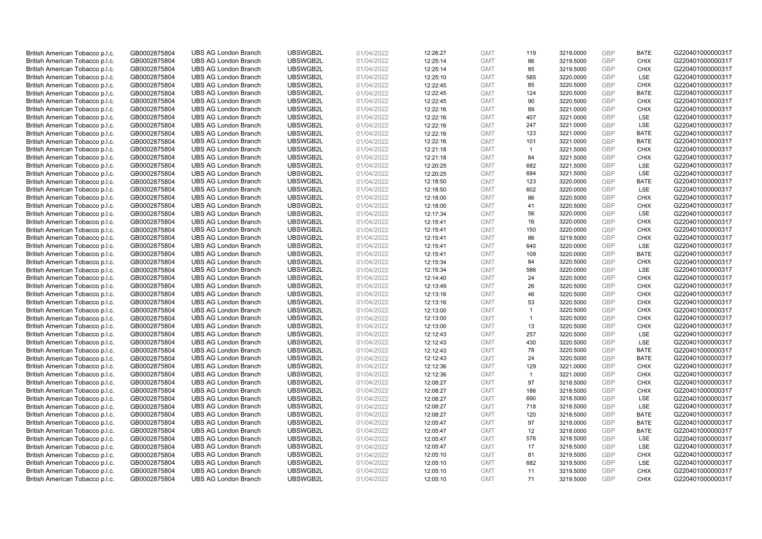| British American Tobacco p.l.c. | GB0002875804                 | <b>UBS AG London Branch</b> | UBSWGB2L             | 01/04/2022               | 12:26:27 | <b>GMT</b>               | 119            | 3219.0000              | <b>GBP</b> | <b>BATE</b>                | G220401000000317 |
|---------------------------------|------------------------------|-----------------------------|----------------------|--------------------------|----------|--------------------------|----------------|------------------------|------------|----------------------------|------------------|
| British American Tobacco p.l.c. | GB0002875804                 | <b>UBS AG London Branch</b> | UBSWGB2L             | 01/04/2022               | 12:25:14 | <b>GMT</b>               | 86             | 3219.5000              | GBP        | <b>CHIX</b>                | G220401000000317 |
| British American Tobacco p.l.c. | GB0002875804                 | <b>UBS AG London Branch</b> | UBSWGB2L             | 01/04/2022               | 12:25:14 | <b>GMT</b>               | 85             | 3219.5000              | <b>GBP</b> | <b>CHIX</b>                | G220401000000317 |
| British American Tobacco p.l.c. | GB0002875804                 | <b>UBS AG London Branch</b> | UBSWGB2L             | 01/04/2022               | 12:25:10 | <b>GMT</b>               | 585            | 3220.0000              | GBP        | LSE                        | G220401000000317 |
| British American Tobacco p.l.c. | GB0002875804                 | <b>UBS AG London Branch</b> | UBSWGB2L             | 01/04/2022               | 12:22:45 | <b>GMT</b>               | 85             | 3220.5000              | <b>GBP</b> | <b>CHIX</b>                | G220401000000317 |
| British American Tobacco p.l.c. | GB0002875804                 | <b>UBS AG London Branch</b> | UBSWGB2L             | 01/04/2022               | 12:22:45 | <b>GMT</b>               | 124            | 3220.5000              | <b>GBP</b> | <b>BATE</b>                | G220401000000317 |
| British American Tobacco p.l.c. | GB0002875804                 | <b>UBS AG London Branch</b> | UBSWGB2L             | 01/04/2022               | 12:22:45 | <b>GMT</b>               | 90             | 3220.5000              | <b>GBP</b> | <b>CHIX</b>                | G220401000000317 |
| British American Tobacco p.l.c. | GB0002875804                 | <b>UBS AG London Branch</b> | UBSWGB2L             | 01/04/2022               | 12:22:16 | <b>GMT</b>               | 89             | 3221.0000              | <b>GBP</b> | <b>CHIX</b>                | G220401000000317 |
| British American Tobacco p.l.c. | GB0002875804                 | <b>UBS AG London Branch</b> | UBSWGB2L             | 01/04/2022               | 12:22:16 | <b>GMT</b>               | 407            | 3221.0000              | <b>GBP</b> | <b>LSE</b>                 | G220401000000317 |
| British American Tobacco p.l.c. | GB0002875804                 | <b>UBS AG London Branch</b> | UBSWGB2L             | 01/04/2022               | 12:22:16 | <b>GMT</b>               | 247            | 3221.0000              | <b>GBP</b> | <b>LSE</b>                 | G220401000000317 |
| British American Tobacco p.l.c. | GB0002875804                 | <b>UBS AG London Branch</b> | UBSWGB2L             | 01/04/2022               | 12:22:16 | <b>GMT</b>               | 123            | 3221.0000              | GBP        | <b>BATE</b>                | G220401000000317 |
| British American Tobacco p.l.c. | GB0002875804                 | <b>UBS AG London Branch</b> | UBSWGB2L             | 01/04/2022               | 12:22:16 | <b>GMT</b>               | 101            | 3221.0000              | <b>GBP</b> | <b>BATE</b>                | G220401000000317 |
| British American Tobacco p.l.c. | GB0002875804                 | <b>UBS AG London Branch</b> | UBSWGB2L             | 01/04/2022               | 12:21:18 | <b>GMT</b>               | $\mathbf{1}$   | 3221.5000              | <b>GBP</b> | <b>CHIX</b>                | G220401000000317 |
| British American Tobacco p.l.c. | GB0002875804                 | <b>UBS AG London Branch</b> | UBSWGB2L             | 01/04/2022               | 12:21:18 | <b>GMT</b>               | 84             | 3221.5000              | <b>GBP</b> | <b>CHIX</b>                | G220401000000317 |
| British American Tobacco p.l.c. | GB0002875804                 | <b>UBS AG London Branch</b> | UBSWGB2L             | 01/04/2022               | 12:20:25 | <b>GMT</b>               | 682            | 3221.5000              | GBP        | LSE                        | G220401000000317 |
| British American Tobacco p.l.c. | GB0002875804                 | <b>UBS AG London Branch</b> | UBSWGB2L             | 01/04/2022               | 12:20:25 | <b>GMT</b>               | 694            | 3221.5000              | <b>GBP</b> | LSE                        | G220401000000317 |
| British American Tobacco p.l.c. | GB0002875804                 | <b>UBS AG London Branch</b> | UBSWGB2L             | 01/04/2022               | 12:18:50 | <b>GMT</b>               | 123            | 3220.0000              | <b>GBP</b> | <b>BATE</b>                | G220401000000317 |
| British American Tobacco p.l.c. | GB0002875804                 | <b>UBS AG London Branch</b> | UBSWGB2L             | 01/04/2022               | 12:18:50 | <b>GMT</b>               | 602            | 3220.0000              | GBP        | LSE                        | G220401000000317 |
| British American Tobacco p.l.c. | GB0002875804                 | <b>UBS AG London Branch</b> | UBSWGB2L             | 01/04/2022               | 12:18:00 | <b>GMT</b>               | 86             | 3220.5000              | GBP        | <b>CHIX</b>                | G220401000000317 |
| British American Tobacco p.l.c. | GB0002875804                 | <b>UBS AG London Branch</b> | UBSWGB2L             | 01/04/2022               | 12:18:00 | <b>GMT</b>               | 41             | 3220.5000              | <b>GBP</b> | <b>CHIX</b>                | G220401000000317 |
| British American Tobacco p.l.c. | GB0002875804                 | <b>UBS AG London Branch</b> | UBSWGB2L             | 01/04/2022               | 12:17:34 | <b>GMT</b>               | 56             | 3220.0000              | GBP        | LSE                        | G220401000000317 |
| British American Tobacco p.l.c. | GB0002875804                 | <b>UBS AG London Branch</b> | UBSWGB2L             | 01/04/2022               | 12:15:41 | <b>GMT</b>               | 16             | 3220.0000              | GBP        | <b>CHIX</b>                | G220401000000317 |
| British American Tobacco p.l.c. | GB0002875804                 | <b>UBS AG London Branch</b> | UBSWGB2L             | 01/04/2022               | 12:15:41 | <b>GMT</b>               | 150            | 3220.0000              | GBP        | <b>CHIX</b>                | G220401000000317 |
| British American Tobacco p.l.c. | GB0002875804                 | <b>UBS AG London Branch</b> | UBSWGB2L             | 01/04/2022               | 12:15:41 | <b>GMT</b>               | 86             | 3219.5000              | <b>GBP</b> | <b>CHIX</b>                | G220401000000317 |
| British American Tobacco p.l.c. | GB0002875804                 | <b>UBS AG London Branch</b> | UBSWGB2L             | 01/04/2022               | 12:15:41 | <b>GMT</b>               | 640            | 3220.0000              | <b>GBP</b> | <b>LSE</b>                 | G220401000000317 |
| British American Tobacco p.l.c. | GB0002875804                 | <b>UBS AG London Branch</b> | UBSWGB2L             | 01/04/2022               | 12:15:41 | <b>GMT</b>               | 109            | 3220.0000              | GBP        | <b>BATE</b>                | G220401000000317 |
| British American Tobacco p.l.c. | GB0002875804                 | <b>UBS AG London Branch</b> | UBSWGB2L             | 01/04/2022               | 12:15:34 | <b>GMT</b>               | 84             | 3220.5000              | <b>GBP</b> | <b>CHIX</b>                | G220401000000317 |
| British American Tobacco p.l.c. | GB0002875804                 | <b>UBS AG London Branch</b> | UBSWGB2L             | 01/04/2022               | 12:15:34 | <b>GMT</b>               | 586            | 3220.0000              | <b>GBP</b> | LSE                        | G220401000000317 |
| British American Tobacco p.l.c. | GB0002875804                 | <b>UBS AG London Branch</b> | UBSWGB2L             | 01/04/2022               | 12:14:40 | <b>GMT</b>               | 24             | 3220.5000              | GBP        | <b>CHIX</b>                | G220401000000317 |
| British American Tobacco p.l.c. | GB0002875804                 | <b>UBS AG London Branch</b> | UBSWGB2L             | 01/04/2022               | 12:13:49 | <b>GMT</b>               | 26             | 3220.5000              | GBP        | <b>CHIX</b>                | G220401000000317 |
| British American Tobacco p.l.c. | GB0002875804                 | <b>UBS AG London Branch</b> | UBSWGB2L             | 01/04/2022               | 12:13:16 | <b>GMT</b>               | 46             | 3220.5000              | <b>GBP</b> | <b>CHIX</b>                | G220401000000317 |
| British American Tobacco p.l.c. | GB0002875804                 | <b>UBS AG London Branch</b> | UBSWGB2L             | 01/04/2022               | 12:13:16 | <b>GMT</b>               | 53             | 3220.5000              | <b>GBP</b> | <b>CHIX</b>                | G220401000000317 |
| British American Tobacco p.l.c. | GB0002875804                 | <b>UBS AG London Branch</b> | UBSWGB2L             | 01/04/2022               | 12:13:00 | <b>GMT</b>               | $\mathbf{1}$   | 3220.5000              | GBP        | <b>CHIX</b>                | G220401000000317 |
| British American Tobacco p.l.c. | GB0002875804                 | <b>UBS AG London Branch</b> | UBSWGB2L             | 01/04/2022               | 12:13:00 | <b>GMT</b>               | $\mathbf{1}$   | 3220.5000              | <b>GBP</b> | <b>CHIX</b>                | G220401000000317 |
| British American Tobacco p.l.c. | GB0002875804                 | <b>UBS AG London Branch</b> | UBSWGB2L             | 01/04/2022               | 12:13:00 | <b>GMT</b>               | 13             | 3220.5000              | <b>GBP</b> | <b>CHIX</b>                | G220401000000317 |
| British American Tobacco p.l.c. | GB0002875804                 | <b>UBS AG London Branch</b> | UBSWGB2L             | 01/04/2022               | 12:12:43 | <b>GMT</b>               | 257            | 3220.5000              | <b>GBP</b> | <b>LSE</b>                 | G220401000000317 |
| British American Tobacco p.l.c. | GB0002875804                 | <b>UBS AG London Branch</b> | UBSWGB2L             | 01/04/2022               | 12:12:43 | <b>GMT</b>               | 430            | 3220.5000              | GBP        | LSE                        | G220401000000317 |
| British American Tobacco p.l.c. | GB0002875804                 | <b>UBS AG London Branch</b> | UBSWGB2L             | 01/04/2022               | 12:12:43 | <b>GMT</b>               | 78             | 3220.5000              | <b>GBP</b> | <b>BATE</b>                | G220401000000317 |
| British American Tobacco p.l.c. | GB0002875804                 | <b>UBS AG London Branch</b> | UBSWGB2L             | 01/04/2022               | 12:12:43 | <b>GMT</b>               | 24             | 3220.5000              | GBP        | <b>BATE</b>                | G220401000000317 |
| British American Tobacco p.l.c. | GB0002875804                 | <b>UBS AG London Branch</b> | UBSWGB2L             | 01/04/2022               | 12:12:36 | <b>GMT</b>               | 129            | 3221.0000              | <b>GBP</b> | <b>CHIX</b>                | G220401000000317 |
| British American Tobacco p.l.c. | GB0002875804                 | <b>UBS AG London Branch</b> | UBSWGB2L             | 01/04/2022               | 12:12:36 | <b>GMT</b>               | $\overline{1}$ | 3221.0000              | <b>GBP</b> | <b>CHIX</b>                | G220401000000317 |
| British American Tobacco p.l.c. | GB0002875804                 | <b>UBS AG London Branch</b> | UBSWGB2L             | 01/04/2022               | 12:08:27 | <b>GMT</b>               | 97             | 3218.5000              | GBP        | <b>CHIX</b>                | G220401000000317 |
| British American Tobacco p.l.c. | GB0002875804                 | <b>UBS AG London Branch</b> | UBSWGB2L             | 01/04/2022               | 12:08:27 | <b>GMT</b>               | 186            | 3218.5000              | <b>GBP</b> | <b>CHIX</b>                | G220401000000317 |
| British American Tobacco p.l.c. | GB0002875804                 | <b>UBS AG London Branch</b> | UBSWGB2L             | 01/04/2022               | 12:08:27 | <b>GMT</b>               | 690            | 3218.5000              | <b>GBP</b> | LSE                        | G220401000000317 |
| British American Tobacco p.l.c. | GB0002875804                 | <b>UBS AG London Branch</b> | UBSWGB2L             | 01/04/2022               | 12:08:27 | <b>GMT</b>               | 718            | 3218.5000              | <b>GBP</b> | <b>LSE</b>                 | G220401000000317 |
| British American Tobacco p.l.c. | GB0002875804                 | <b>UBS AG London Branch</b> | UBSWGB2L             | 01/04/2022               | 12:08:27 | <b>GMT</b>               | 120            | 3218.5000              | GBP        | <b>BATE</b>                | G220401000000317 |
| British American Tobacco p.l.c. | GB0002875804                 | <b>UBS AG London Branch</b> | UBSWGB2L             | 01/04/2022               | 12:05:47 | <b>GMT</b>               | 97             | 3218.0000              | <b>GBP</b> | <b>BATE</b>                | G220401000000317 |
| British American Tobacco p.l.c. | GB0002875804                 | <b>UBS AG London Branch</b> | UBSWGB2L             | 01/04/2022               | 12:05:47 | <b>GMT</b>               | 12             | 3218.0000              | <b>GBP</b> | <b>BATE</b>                | G220401000000317 |
| British American Tobacco p.l.c. | GB0002875804                 | <b>UBS AG London Branch</b> | UBSWGB2L             | 01/04/2022               | 12:05:47 | <b>GMT</b>               | 576            | 3218.5000              | GBP        | LSE                        | G220401000000317 |
| British American Tobacco p.l.c. | GB0002875804                 | <b>UBS AG London Branch</b> | UBSWGB2L             | 01/04/2022               | 12:05:47 | <b>GMT</b>               | 17             | 3218.5000              | <b>GBP</b> | <b>LSE</b>                 | G220401000000317 |
| British American Tobacco p.l.c. | GB0002875804                 | <b>UBS AG London Branch</b> | UBSWGB2L             | 01/04/2022               | 12:05:10 | <b>GMT</b>               | 81             | 3219.5000              | GBP        | <b>CHIX</b>                | G220401000000317 |
| British American Tobacco p.l.c. | GB0002875804                 | <b>UBS AG London Branch</b> | UBSWGB2L             | 01/04/2022               | 12:05:10 | <b>GMT</b>               | 682            | 3219.5000              | <b>GBP</b> | LSE                        | G220401000000317 |
| British American Tobacco p.l.c. | GB0002875804<br>GB0002875804 | <b>UBS AG London Branch</b> | UBSWGB2L<br>UBSWGB2L | 01/04/2022<br>01/04/2022 | 12:05:10 | <b>GMT</b><br><b>GMT</b> | 11<br>71       | 3219.5000<br>3219.5000 | GBP<br>GBP | <b>CHIX</b><br><b>CHIX</b> | G220401000000317 |
| British American Tobacco p.l.c. |                              | <b>UBS AG London Branch</b> |                      |                          | 12:05:10 |                          |                |                        |            |                            | G220401000000317 |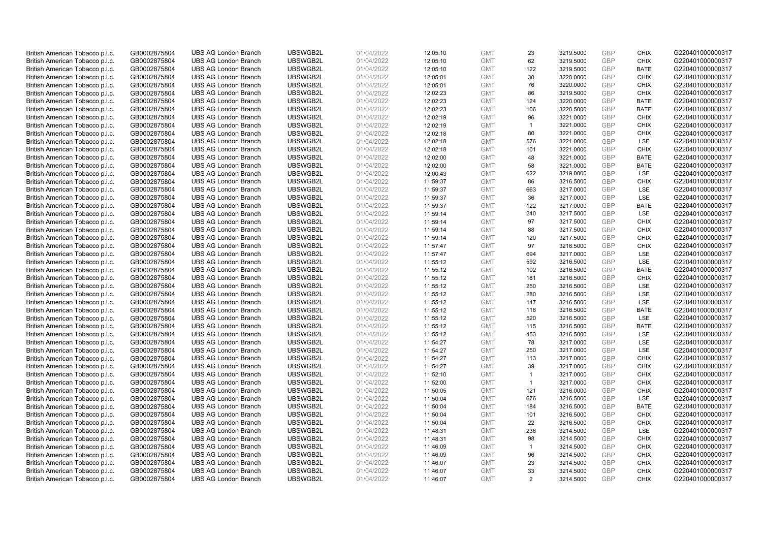| British American Tobacco p.l.c.                                    | GB0002875804 | <b>UBS AG London Branch</b> | UBSWGB2L | 01/04/2022 | 12:05:10 | <b>GMT</b> | 23             | 3219.5000 | <b>GBP</b> | <b>CHIX</b> | G220401000000317 |
|--------------------------------------------------------------------|--------------|-----------------------------|----------|------------|----------|------------|----------------|-----------|------------|-------------|------------------|
| British American Tobacco p.l.c.                                    | GB0002875804 | <b>UBS AG London Branch</b> | UBSWGB2L | 01/04/2022 | 12:05:10 | <b>GMT</b> | 62             | 3219.5000 | <b>GBP</b> | <b>CHIX</b> | G220401000000317 |
| British American Tobacco p.l.c.                                    | GB0002875804 | <b>UBS AG London Branch</b> | UBSWGB2L | 01/04/2022 | 12:05:10 | <b>GMT</b> | 122            | 3219.5000 | GBP        | <b>BATE</b> | G220401000000317 |
| British American Tobacco p.l.c.                                    | GB0002875804 | <b>UBS AG London Branch</b> | UBSWGB2L | 01/04/2022 | 12:05:01 | <b>GMT</b> | 30             | 3220.0000 | GBP        | <b>CHIX</b> | G220401000000317 |
| British American Tobacco p.l.c.                                    | GB0002875804 | <b>UBS AG London Branch</b> | UBSWGB2L | 01/04/2022 | 12:05:01 | <b>GMT</b> | 76             | 3220.0000 | <b>GBP</b> | <b>CHIX</b> | G220401000000317 |
| British American Tobacco p.l.c.                                    | GB0002875804 | <b>UBS AG London Branch</b> | UBSWGB2L | 01/04/2022 | 12:02:23 | <b>GMT</b> | 86             | 3219.5000 | <b>GBP</b> | <b>CHIX</b> | G220401000000317 |
| British American Tobacco p.l.c.                                    | GB0002875804 | <b>UBS AG London Branch</b> | UBSWGB2L | 01/04/2022 | 12:02:23 | <b>GMT</b> | 124            | 3220.0000 | GBP        | <b>BATE</b> | G220401000000317 |
| British American Tobacco p.l.c.                                    | GB0002875804 | <b>UBS AG London Branch</b> | UBSWGB2L | 01/04/2022 | 12:02:23 | <b>GMT</b> | 106            | 3220.5000 | <b>GBP</b> | <b>BATE</b> | G220401000000317 |
| British American Tobacco p.l.c.                                    | GB0002875804 | <b>UBS AG London Branch</b> | UBSWGB2L | 01/04/2022 | 12:02:19 | <b>GMT</b> | 96             | 3221.0000 | GBP        | <b>CHIX</b> | G220401000000317 |
| British American Tobacco p.l.c.                                    | GB0002875804 | <b>UBS AG London Branch</b> | UBSWGB2L | 01/04/2022 | 12:02:19 | <b>GMT</b> | $\overline{1}$ | 3221.0000 | <b>GBP</b> | <b>CHIX</b> | G220401000000317 |
| British American Tobacco p.l.c.                                    | GB0002875804 | <b>UBS AG London Branch</b> | UBSWGB2L | 01/04/2022 | 12:02:18 | <b>GMT</b> | 80             | 3221.0000 | GBP        | <b>CHIX</b> | G220401000000317 |
| British American Tobacco p.l.c.                                    | GB0002875804 | <b>UBS AG London Branch</b> | UBSWGB2L | 01/04/2022 | 12:02:18 | <b>GMT</b> | 576            | 3221.0000 | <b>GBP</b> | LSE         | G220401000000317 |
| British American Tobacco p.l.c.                                    | GB0002875804 | <b>UBS AG London Branch</b> | UBSWGB2L | 01/04/2022 | 12:02:18 | <b>GMT</b> | 101            | 3221.0000 | <b>GBP</b> | <b>CHIX</b> | G220401000000317 |
| British American Tobacco p.l.c.                                    | GB0002875804 | <b>UBS AG London Branch</b> | UBSWGB2L | 01/04/2022 | 12:02:00 | <b>GMT</b> | 48             | 3221.0000 | <b>GBP</b> | <b>BATE</b> | G220401000000317 |
| British American Tobacco p.l.c.                                    | GB0002875804 | <b>UBS AG London Branch</b> | UBSWGB2L | 01/04/2022 | 12:02:00 | <b>GMT</b> | 58             | 3221.0000 | <b>GBP</b> | <b>BATE</b> | G220401000000317 |
| British American Tobacco p.l.c.                                    | GB0002875804 | <b>UBS AG London Branch</b> | UBSWGB2L | 01/04/2022 | 12:00:43 | <b>GMT</b> | 622            | 3219.0000 | GBP        | LSE         | G220401000000317 |
| British American Tobacco p.l.c.                                    | GB0002875804 | <b>UBS AG London Branch</b> | UBSWGB2L | 01/04/2022 | 11:59:37 | <b>GMT</b> | 86             | 3216.5000 | <b>GBP</b> | <b>CHIX</b> | G220401000000317 |
| British American Tobacco p.l.c.                                    | GB0002875804 | <b>UBS AG London Branch</b> | UBSWGB2L | 01/04/2022 | 11:59:37 | <b>GMT</b> | 663            | 3217.0000 | <b>GBP</b> | LSE         | G220401000000317 |
| British American Tobacco p.l.c.                                    | GB0002875804 | <b>UBS AG London Branch</b> | UBSWGB2L | 01/04/2022 | 11:59:37 | <b>GMT</b> | 36             | 3217.0000 | <b>GBP</b> | <b>LSE</b>  | G220401000000317 |
| British American Tobacco p.l.c.                                    | GB0002875804 | <b>UBS AG London Branch</b> | UBSWGB2L | 01/04/2022 | 11:59:37 | <b>GMT</b> | 122            | 3217.0000 | <b>GBP</b> | <b>BATE</b> | G220401000000317 |
| British American Tobacco p.l.c.                                    | GB0002875804 | <b>UBS AG London Branch</b> | UBSWGB2L | 01/04/2022 | 11:59:14 | <b>GMT</b> | 240            | 3217.5000 | <b>GBP</b> | LSE         | G220401000000317 |
| British American Tobacco p.l.c.                                    | GB0002875804 | <b>UBS AG London Branch</b> | UBSWGB2L | 01/04/2022 | 11:59:14 | <b>GMT</b> | 97             | 3217.5000 | GBP        | <b>CHIX</b> | G220401000000317 |
| British American Tobacco p.l.c.                                    | GB0002875804 | <b>UBS AG London Branch</b> | UBSWGB2L | 01/04/2022 | 11:59:14 | <b>GMT</b> | 88             | 3217.5000 | <b>GBP</b> | <b>CHIX</b> | G220401000000317 |
| British American Tobacco p.l.c.                                    | GB0002875804 | <b>UBS AG London Branch</b> | UBSWGB2L | 01/04/2022 | 11:59:14 | <b>GMT</b> | 120            | 3217.5000 | GBP        | <b>CHIX</b> | G220401000000317 |
| British American Tobacco p.l.c.                                    | GB0002875804 | <b>UBS AG London Branch</b> | UBSWGB2L | 01/04/2022 | 11:57:47 | <b>GMT</b> | 97             | 3216.5000 | <b>GBP</b> | <b>CHIX</b> | G220401000000317 |
| British American Tobacco p.l.c.                                    | GB0002875804 | <b>UBS AG London Branch</b> | UBSWGB2L | 01/04/2022 | 11:57:47 | <b>GMT</b> | 694            | 3217.0000 | <b>GBP</b> | LSE         | G220401000000317 |
| British American Tobacco p.l.c.                                    | GB0002875804 | <b>UBS AG London Branch</b> | UBSWGB2L | 01/04/2022 | 11:55:12 | <b>GMT</b> | 592            | 3216.5000 | GBP        | <b>LSE</b>  | G220401000000317 |
| British American Tobacco p.l.c.                                    | GB0002875804 | <b>UBS AG London Branch</b> | UBSWGB2L | 01/04/2022 | 11:55:12 | <b>GMT</b> | 102            | 3216.5000 | <b>GBP</b> | <b>BATE</b> | G220401000000317 |
| British American Tobacco p.l.c.                                    | GB0002875804 | <b>UBS AG London Branch</b> | UBSWGB2L | 01/04/2022 | 11:55:12 | <b>GMT</b> | 181            | 3216.5000 | GBP        | <b>CHIX</b> | G220401000000317 |
| British American Tobacco p.l.c.                                    | GB0002875804 | <b>UBS AG London Branch</b> | UBSWGB2L | 01/04/2022 | 11:55:12 | <b>GMT</b> | 250            | 3216.5000 | <b>GBP</b> | LSE         | G220401000000317 |
| British American Tobacco p.l.c.                                    | GB0002875804 | <b>UBS AG London Branch</b> | UBSWGB2L | 01/04/2022 | 11:55:12 | <b>GMT</b> | 280            | 3216.5000 | GBP        | LSE         | G220401000000317 |
| British American Tobacco p.l.c.                                    | GB0002875804 | <b>UBS AG London Branch</b> | UBSWGB2L | 01/04/2022 | 11:55:12 | <b>GMT</b> | 147            | 3216.5000 | GBP        | <b>LSE</b>  | G220401000000317 |
| British American Tobacco p.l.c.                                    | GB0002875804 | <b>UBS AG London Branch</b> | UBSWGB2L | 01/04/2022 | 11:55:12 | <b>GMT</b> | 116            | 3216.5000 | GBP        | <b>BATE</b> | G220401000000317 |
| British American Tobacco p.l.c.                                    | GB0002875804 | <b>UBS AG London Branch</b> | UBSWGB2L | 01/04/2022 | 11:55:12 | <b>GMT</b> | 520            | 3216.5000 | GBP        | LSE         | G220401000000317 |
| British American Tobacco p.l.c.                                    | GB0002875804 | <b>UBS AG London Branch</b> | UBSWGB2L | 01/04/2022 | 11:55:12 | <b>GMT</b> | 115            | 3216.5000 | <b>GBP</b> | <b>BATE</b> | G220401000000317 |
| British American Tobacco p.l.c.                                    | GB0002875804 | <b>UBS AG London Branch</b> | UBSWGB2L | 01/04/2022 | 11:55:12 | <b>GMT</b> | 453            | 3216.5000 | <b>GBP</b> | LSE         | G220401000000317 |
| British American Tobacco p.l.c.                                    | GB0002875804 | <b>UBS AG London Branch</b> | UBSWGB2L | 01/04/2022 | 11:54:27 | <b>GMT</b> | 78             | 3217.0000 | GBP        | LSE         | G220401000000317 |
| British American Tobacco p.l.c.                                    | GB0002875804 | <b>UBS AG London Branch</b> | UBSWGB2L | 01/04/2022 | 11:54:27 | <b>GMT</b> | 250            | 3217.0000 | <b>GBP</b> | LSE         | G220401000000317 |
| British American Tobacco p.l.c.                                    | GB0002875804 | <b>UBS AG London Branch</b> | UBSWGB2L | 01/04/2022 | 11:54:27 | <b>GMT</b> | 113            | 3217.0000 | GBP        | <b>CHIX</b> | G220401000000317 |
| British American Tobacco p.l.c.                                    | GB0002875804 | <b>UBS AG London Branch</b> | UBSWGB2L | 01/04/2022 | 11:54:27 | <b>GMT</b> | 39             | 3217.0000 | <b>GBP</b> | <b>CHIX</b> | G220401000000317 |
| British American Tobacco p.l.c.                                    | GB0002875804 | <b>UBS AG London Branch</b> | UBSWGB2L | 01/04/2022 | 11:52:10 | <b>GMT</b> | $\mathbf{1}$   | 3217.0000 | <b>GBP</b> | <b>CHIX</b> | G220401000000317 |
| British American Tobacco p.l.c.                                    | GB0002875804 | <b>UBS AG London Branch</b> | UBSWGB2L | 01/04/2022 | 11:52:00 | <b>GMT</b> | $\overline{1}$ | 3217.0000 | GBP        | <b>CHIX</b> | G220401000000317 |
|                                                                    | GB0002875804 | <b>UBS AG London Branch</b> | UBSWGB2L | 01/04/2022 | 11:50:05 | <b>GMT</b> | 121            | 3216.0000 | GBP        | <b>CHIX</b> | G220401000000317 |
| British American Tobacco p.l.c.<br>British American Tobacco p.l.c. |              | <b>UBS AG London Branch</b> | UBSWGB2L | 01/04/2022 |          | <b>GMT</b> | 676            | 3216.5000 | GBP        | LSE         | G220401000000317 |
|                                                                    | GB0002875804 |                             | UBSWGB2L |            | 11:50:04 |            | 184            |           | <b>GBP</b> |             |                  |
| British American Tobacco p.l.c.                                    | GB0002875804 | <b>UBS AG London Branch</b> |          | 01/04/2022 | 11:50:04 | <b>GMT</b> |                | 3216.5000 |            | <b>BATE</b> | G220401000000317 |
| British American Tobacco p.l.c.                                    | GB0002875804 | <b>UBS AG London Branch</b> | UBSWGB2L | 01/04/2022 | 11:50:04 | <b>GMT</b> | 101            | 3216.5000 | <b>GBP</b> | <b>CHIX</b> | G220401000000317 |
| British American Tobacco p.l.c.                                    | GB0002875804 | <b>UBS AG London Branch</b> | UBSWGB2L | 01/04/2022 | 11:50:04 | <b>GMT</b> | 22             | 3216.5000 | <b>GBP</b> | <b>CHIX</b> | G220401000000317 |
| British American Tobacco p.l.c.                                    | GB0002875804 | <b>UBS AG London Branch</b> | UBSWGB2L | 01/04/2022 | 11:48:31 | <b>GMT</b> | 236            | 3214.5000 | <b>GBP</b> | LSE         | G220401000000317 |
| British American Tobacco p.l.c.                                    | GB0002875804 | <b>UBS AG London Branch</b> | UBSWGB2L | 01/04/2022 | 11:48:31 | <b>GMT</b> | 98             | 3214.5000 | <b>GBP</b> | <b>CHIX</b> | G220401000000317 |
| British American Tobacco p.l.c.                                    | GB0002875804 | <b>UBS AG London Branch</b> | UBSWGB2L | 01/04/2022 | 11:46:09 | <b>GMT</b> | $\overline{1}$ | 3214.5000 | GBP        | <b>CHIX</b> | G220401000000317 |
| British American Tobacco p.l.c.                                    | GB0002875804 | <b>UBS AG London Branch</b> | UBSWGB2L | 01/04/2022 | 11:46:09 | <b>GMT</b> | 96             | 3214.5000 | GBP        | <b>CHIX</b> | G220401000000317 |
| British American Tobacco p.l.c.                                    | GB0002875804 | <b>UBS AG London Branch</b> | UBSWGB2L | 01/04/2022 | 11:46:07 | <b>GMT</b> | 23             | 3214.5000 | <b>GBP</b> | <b>CHIX</b> | G220401000000317 |
| British American Tobacco p.l.c.                                    | GB0002875804 | <b>UBS AG London Branch</b> | UBSWGB2L | 01/04/2022 | 11:46:07 | <b>GMT</b> | 33             | 3214.5000 | GBP        | <b>CHIX</b> | G220401000000317 |
| British American Tobacco p.l.c.                                    | GB0002875804 | <b>UBS AG London Branch</b> | UBSWGB2L | 01/04/2022 | 11:46:07 | <b>GMT</b> | 2              | 3214.5000 | GBP        | <b>CHIX</b> | G220401000000317 |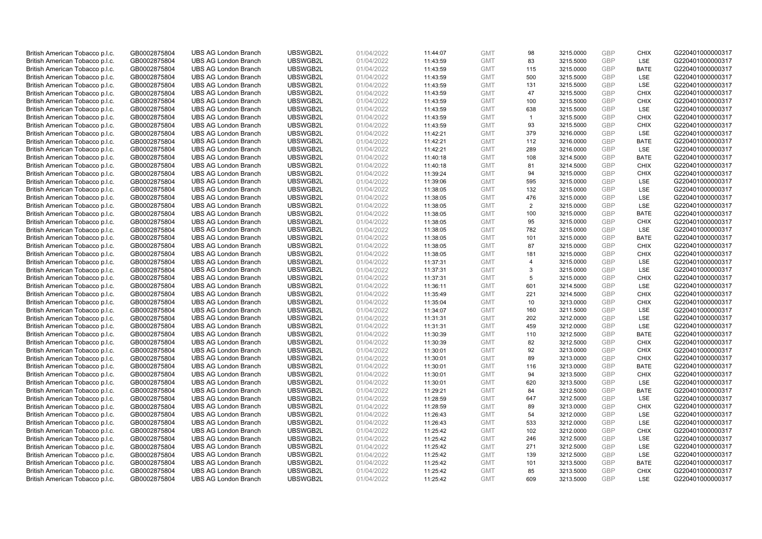| British American Tobacco p.l.c. | GB0002875804 | <b>UBS AG London Branch</b> | UBSWGB2L | 01/04/2022 | 11:44:07 | <b>GMT</b> | 98             | 3215.0000 | <b>GBP</b> | <b>CHIX</b> | G220401000000317 |
|---------------------------------|--------------|-----------------------------|----------|------------|----------|------------|----------------|-----------|------------|-------------|------------------|
| British American Tobacco p.l.c. | GB0002875804 | <b>UBS AG London Branch</b> | UBSWGB2L | 01/04/2022 | 11:43:59 | <b>GMT</b> | 83             | 3215.5000 | <b>GBP</b> | LSE         | G220401000000317 |
| British American Tobacco p.l.c. | GB0002875804 | <b>UBS AG London Branch</b> | UBSWGB2L | 01/04/2022 | 11:43:59 | <b>GMT</b> | 115            | 3215.0000 | <b>GBP</b> | <b>BATE</b> | G220401000000317 |
| British American Tobacco p.l.c. | GB0002875804 | <b>UBS AG London Branch</b> | UBSWGB2L | 01/04/2022 | 11:43:59 | <b>GMT</b> | 500            | 3215.5000 | GBP        | LSE         | G220401000000317 |
| British American Tobacco p.l.c. | GB0002875804 | <b>UBS AG London Branch</b> | UBSWGB2L | 01/04/2022 | 11:43:59 | <b>GMT</b> | 131            | 3215.5000 | <b>GBP</b> | LSE         | G220401000000317 |
| British American Tobacco p.l.c. | GB0002875804 | <b>UBS AG London Branch</b> | UBSWGB2L | 01/04/2022 | 11:43:59 | <b>GMT</b> | 47             | 3215.5000 | <b>GBP</b> | <b>CHIX</b> | G220401000000317 |
| British American Tobacco p.l.c. | GB0002875804 | <b>UBS AG London Branch</b> | UBSWGB2L | 01/04/2022 | 11:43:59 | <b>GMT</b> | 100            | 3215.5000 | <b>GBP</b> | <b>CHIX</b> | G220401000000317 |
| British American Tobacco p.l.c. | GB0002875804 | <b>UBS AG London Branch</b> | UBSWGB2L | 01/04/2022 | 11:43:59 | <b>GMT</b> | 638            | 3215.5000 | <b>GBP</b> | LSE         | G220401000000317 |
| British American Tobacco p.l.c. | GB0002875804 | <b>UBS AG London Branch</b> | UBSWGB2L | 01/04/2022 | 11:43:59 | <b>GMT</b> | $\overline{1}$ | 3215.5000 | <b>GBP</b> | <b>CHIX</b> | G220401000000317 |
| British American Tobacco p.l.c. | GB0002875804 | <b>UBS AG London Branch</b> | UBSWGB2L | 01/04/2022 | 11:43:59 | <b>GMT</b> | 93             | 3215.5000 | <b>GBP</b> | <b>CHIX</b> | G220401000000317 |
| British American Tobacco p.l.c. | GB0002875804 | <b>UBS AG London Branch</b> | UBSWGB2L | 01/04/2022 | 11:42:21 | <b>GMT</b> | 379            | 3216.0000 | <b>GBP</b> | <b>LSE</b>  | G220401000000317 |
| British American Tobacco p.l.c. | GB0002875804 | <b>UBS AG London Branch</b> | UBSWGB2L | 01/04/2022 | 11:42:21 | <b>GMT</b> | 112            | 3216.0000 | <b>GBP</b> | <b>BATE</b> | G220401000000317 |
| British American Tobacco p.l.c. | GB0002875804 | <b>UBS AG London Branch</b> | UBSWGB2L | 01/04/2022 | 11:42:21 | <b>GMT</b> | 289            | 3216.0000 | <b>GBP</b> | LSE         | G220401000000317 |
| British American Tobacco p.l.c. | GB0002875804 | <b>UBS AG London Branch</b> | UBSWGB2L | 01/04/2022 | 11:40:18 | <b>GMT</b> | 108            | 3214.5000 | <b>GBP</b> | <b>BATE</b> | G220401000000317 |
| British American Tobacco p.l.c. | GB0002875804 | <b>UBS AG London Branch</b> | UBSWGB2L | 01/04/2022 | 11:40:18 | <b>GMT</b> | 81             | 3214.5000 | <b>GBP</b> | <b>CHIX</b> | G220401000000317 |
| British American Tobacco p.l.c. | GB0002875804 | <b>UBS AG London Branch</b> | UBSWGB2L | 01/04/2022 | 11:39:24 | <b>GMT</b> | 94             | 3215.0000 | <b>GBP</b> | <b>CHIX</b> | G220401000000317 |
| British American Tobacco p.l.c. | GB0002875804 | <b>UBS AG London Branch</b> | UBSWGB2L | 01/04/2022 | 11:39:06 | <b>GMT</b> | 595            | 3215.0000 | <b>GBP</b> | <b>LSE</b>  | G220401000000317 |
| British American Tobacco p.l.c. | GB0002875804 | <b>UBS AG London Branch</b> | UBSWGB2L | 01/04/2022 | 11:38:05 | <b>GMT</b> | 132            | 3215.0000 | <b>GBP</b> | LSE         | G220401000000317 |
| British American Tobacco p.l.c. | GB0002875804 | <b>UBS AG London Branch</b> | UBSWGB2L | 01/04/2022 | 11:38:05 | <b>GMT</b> | 476            | 3215.0000 | GBP        | <b>LSE</b>  | G220401000000317 |
| British American Tobacco p.l.c. | GB0002875804 | <b>UBS AG London Branch</b> | UBSWGB2L | 01/04/2022 | 11:38:05 | <b>GMT</b> | $\overline{2}$ | 3215.0000 | <b>GBP</b> | LSE         | G220401000000317 |
| British American Tobacco p.l.c. | GB0002875804 | <b>UBS AG London Branch</b> | UBSWGB2L | 01/04/2022 | 11:38:05 | <b>GMT</b> | 100            | 3215.0000 | <b>GBP</b> | <b>BATE</b> | G220401000000317 |
| British American Tobacco p.l.c. | GB0002875804 | <b>UBS AG London Branch</b> | UBSWGB2L | 01/04/2022 | 11:38:05 | <b>GMT</b> | 95             | 3215.0000 | <b>GBP</b> | <b>CHIX</b> | G220401000000317 |
| British American Tobacco p.l.c. | GB0002875804 | <b>UBS AG London Branch</b> | UBSWGB2L | 01/04/2022 | 11:38:05 | <b>GMT</b> | 782            | 3215.0000 | <b>GBP</b> | LSE         | G220401000000317 |
| British American Tobacco p.l.c. | GB0002875804 | <b>UBS AG London Branch</b> | UBSWGB2L | 01/04/2022 | 11:38:05 | <b>GMT</b> | 101            | 3215.0000 | <b>GBP</b> | <b>BATE</b> | G220401000000317 |
| British American Tobacco p.l.c. | GB0002875804 | <b>UBS AG London Branch</b> | UBSWGB2L | 01/04/2022 | 11:38:05 | <b>GMT</b> | 87             | 3215.0000 | <b>GBP</b> | <b>CHIX</b> | G220401000000317 |
| British American Tobacco p.l.c. | GB0002875804 | <b>UBS AG London Branch</b> | UBSWGB2L | 01/04/2022 | 11:38:05 | <b>GMT</b> | 181            | 3215.0000 | <b>GBP</b> | <b>CHIX</b> | G220401000000317 |
| British American Tobacco p.l.c. | GB0002875804 | <b>UBS AG London Branch</b> | UBSWGB2L | 01/04/2022 | 11:37:31 | <b>GMT</b> | $\overline{4}$ | 3215.0000 | GBP        | <b>LSE</b>  | G220401000000317 |
| British American Tobacco p.l.c. | GB0002875804 | <b>UBS AG London Branch</b> | UBSWGB2L | 01/04/2022 | 11:37:31 | <b>GMT</b> | 3              | 3215.0000 | <b>GBP</b> | <b>LSE</b>  | G220401000000317 |
| British American Tobacco p.l.c. | GB0002875804 | <b>UBS AG London Branch</b> | UBSWGB2L | 01/04/2022 | 11:37:31 | <b>GMT</b> | 5              | 3215.0000 | GBP        | <b>CHIX</b> | G220401000000317 |
| British American Tobacco p.l.c. | GB0002875804 | <b>UBS AG London Branch</b> | UBSWGB2L | 01/04/2022 | 11:36:11 | <b>GMT</b> | 601            | 3214.5000 | <b>GBP</b> | <b>LSE</b>  | G220401000000317 |
| British American Tobacco p.l.c. | GB0002875804 | <b>UBS AG London Branch</b> | UBSWGB2L | 01/04/2022 | 11:35:49 | <b>GMT</b> | 221            | 3214.5000 | GBP        | <b>CHIX</b> | G220401000000317 |
| British American Tobacco p.l.c. | GB0002875804 | <b>UBS AG London Branch</b> | UBSWGB2L | 01/04/2022 | 11:35:04 | <b>GMT</b> | 10             | 3213.0000 | <b>GBP</b> | <b>CHIX</b> | G220401000000317 |
| British American Tobacco p.l.c. | GB0002875804 | <b>UBS AG London Branch</b> | UBSWGB2L | 01/04/2022 | 11:34:07 | <b>GMT</b> | 160            | 3211.5000 | <b>GBP</b> | LSE         | G220401000000317 |
| British American Tobacco p.l.c. | GB0002875804 | <b>UBS AG London Branch</b> | UBSWGB2L | 01/04/2022 | 11:31:31 | <b>GMT</b> | 202            | 3212.0000 | GBP        | LSE         | G220401000000317 |
| British American Tobacco p.l.c. | GB0002875804 | <b>UBS AG London Branch</b> | UBSWGB2L | 01/04/2022 | 11:31:31 | <b>GMT</b> | 459            | 3212.0000 | <b>GBP</b> | LSE         | G220401000000317 |
| British American Tobacco p.l.c. | GB0002875804 | <b>UBS AG London Branch</b> | UBSWGB2L | 01/04/2022 | 11:30:39 | <b>GMT</b> | 110            | 3212.5000 | <b>GBP</b> | <b>BATE</b> | G220401000000317 |
| British American Tobacco p.l.c. | GB0002875804 | <b>UBS AG London Branch</b> | UBSWGB2L | 01/04/2022 | 11:30:39 | <b>GMT</b> | 82             | 3212.5000 | GBP        | <b>CHIX</b> | G220401000000317 |
| British American Tobacco p.l.c. | GB0002875804 | <b>UBS AG London Branch</b> | UBSWGB2L | 01/04/2022 | 11:30:01 | <b>GMT</b> | 92             | 3213.0000 | <b>GBP</b> | <b>CHIX</b> | G220401000000317 |
| British American Tobacco p.l.c. | GB0002875804 | <b>UBS AG London Branch</b> | UBSWGB2L | 01/04/2022 | 11:30:01 | <b>GMT</b> | 89             | 3213.0000 | GBP        | <b>CHIX</b> | G220401000000317 |
| British American Tobacco p.l.c. | GB0002875804 | <b>UBS AG London Branch</b> | UBSWGB2L | 01/04/2022 | 11:30:01 | <b>GMT</b> | 116            | 3213.0000 | <b>GBP</b> | <b>BATE</b> | G220401000000317 |
| British American Tobacco p.l.c. | GB0002875804 | <b>UBS AG London Branch</b> | UBSWGB2L | 01/04/2022 | 11:30:01 | <b>GMT</b> | 94             | 3213.5000 | <b>GBP</b> | <b>CHIX</b> | G220401000000317 |
| British American Tobacco p.l.c. | GB0002875804 | <b>UBS AG London Branch</b> | UBSWGB2L | 01/04/2022 | 11:30:01 | <b>GMT</b> | 620            | 3213.5000 | GBP        | LSE         | G220401000000317 |
| British American Tobacco p.l.c. | GB0002875804 | <b>UBS AG London Branch</b> | UBSWGB2L | 01/04/2022 | 11:29:21 | <b>GMT</b> | 84             | 3212.5000 | <b>GBP</b> | <b>BATE</b> | G220401000000317 |
| British American Tobacco p.l.c. | GB0002875804 | <b>UBS AG London Branch</b> | UBSWGB2L | 01/04/2022 | 11:28:59 | <b>GMT</b> | 647            | 3212.5000 | GBP        | LSE         | G220401000000317 |
| British American Tobacco p.l.c. | GB0002875804 | <b>UBS AG London Branch</b> | UBSWGB2L | 01/04/2022 | 11:28:59 | <b>GMT</b> | 89             | 3213.0000 | GBP        | <b>CHIX</b> | G220401000000317 |
| British American Tobacco p.l.c. | GB0002875804 | <b>UBS AG London Branch</b> | UBSWGB2L | 01/04/2022 | 11:26:43 | <b>GMT</b> | 54             | 3212.0000 | <b>GBP</b> | LSE         | G220401000000317 |
| British American Tobacco p.l.c. | GB0002875804 | <b>UBS AG London Branch</b> | UBSWGB2L | 01/04/2022 | 11:26:43 | <b>GMT</b> | 533            | 3212.0000 | <b>GBP</b> | LSE         | G220401000000317 |
| British American Tobacco p.l.c. | GB0002875804 | <b>UBS AG London Branch</b> | UBSWGB2L | 01/04/2022 | 11:25:42 | <b>GMT</b> | 102            | 3212.0000 | <b>GBP</b> | <b>CHIX</b> | G220401000000317 |
| British American Tobacco p.l.c. | GB0002875804 | <b>UBS AG London Branch</b> | UBSWGB2L | 01/04/2022 | 11:25:42 | <b>GMT</b> | 246            | 3212.5000 | GBP        | LSE         | G220401000000317 |
| British American Tobacco p.l.c. | GB0002875804 | <b>UBS AG London Branch</b> | UBSWGB2L | 01/04/2022 | 11:25:42 | <b>GMT</b> | 271            | 3212.5000 | <b>GBP</b> | LSE         | G220401000000317 |
| British American Tobacco p.l.c. | GB0002875804 | <b>UBS AG London Branch</b> | UBSWGB2L | 01/04/2022 | 11:25:42 | <b>GMT</b> | 139            | 3212.5000 | GBP        | LSE         | G220401000000317 |
| British American Tobacco p.l.c. | GB0002875804 | <b>UBS AG London Branch</b> | UBSWGB2L | 01/04/2022 | 11:25:42 | <b>GMT</b> | 101            | 3213.5000 | <b>GBP</b> | <b>BATE</b> | G220401000000317 |
| British American Tobacco p.l.c. | GB0002875804 | <b>UBS AG London Branch</b> | UBSWGB2L | 01/04/2022 | 11:25:42 | <b>GMT</b> | 85             | 3213.5000 | GBP        | <b>CHIX</b> | G220401000000317 |
| British American Tobacco p.l.c. | GB0002875804 | <b>UBS AG London Branch</b> | UBSWGB2L | 01/04/2022 | 11:25:42 | <b>GMT</b> | 609            | 3213.5000 | GBP        | <b>LSE</b>  | G220401000000317 |
|                                 |              |                             |          |            |          |            |                |           |            |             |                  |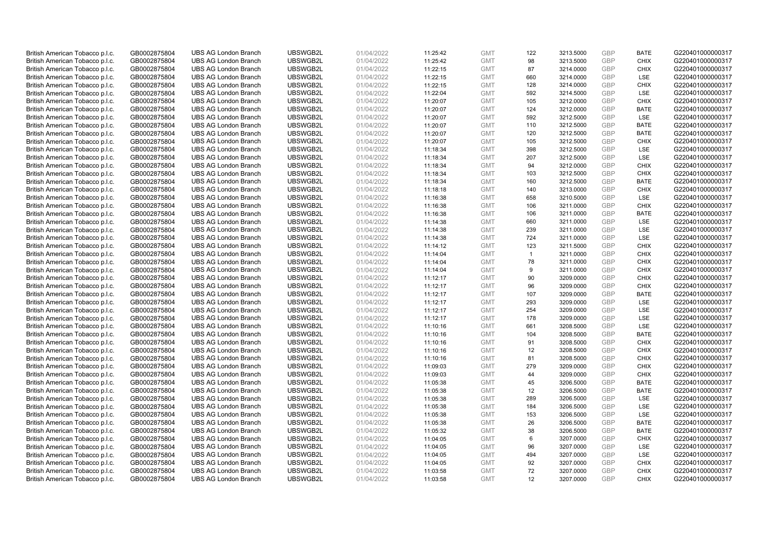| British American Tobacco p.l.c. | GB0002875804                 | <b>UBS AG London Branch</b> | UBSWGB2L             | 01/04/2022               | 11:25:42 | <b>GMT</b>               | 122          | 3213.5000              | <b>GBP</b> | <b>BATE</b>                | G220401000000317 |
|---------------------------------|------------------------------|-----------------------------|----------------------|--------------------------|----------|--------------------------|--------------|------------------------|------------|----------------------------|------------------|
| British American Tobacco p.l.c. | GB0002875804                 | <b>UBS AG London Branch</b> | UBSWGB2L             | 01/04/2022               | 11:25:42 | <b>GMT</b>               | 98           | 3213.5000              | <b>GBP</b> | <b>CHIX</b>                | G220401000000317 |
| British American Tobacco p.l.c. | GB0002875804                 | <b>UBS AG London Branch</b> | UBSWGB2L             | 01/04/2022               | 11:22:15 | <b>GMT</b>               | 87           | 3214.0000              | <b>GBP</b> | <b>CHIX</b>                | G220401000000317 |
| British American Tobacco p.l.c. | GB0002875804                 | <b>UBS AG London Branch</b> | UBSWGB2L             | 01/04/2022               | 11:22:15 | <b>GMT</b>               | 660          | 3214.0000              | <b>GBP</b> | LSE                        | G220401000000317 |
| British American Tobacco p.l.c. | GB0002875804                 | <b>UBS AG London Branch</b> | UBSWGB2L             | 01/04/2022               | 11:22:15 | <b>GMT</b>               | 128          | 3214.0000              | <b>GBP</b> | <b>CHIX</b>                | G220401000000317 |
| British American Tobacco p.l.c. | GB0002875804                 | <b>UBS AG London Branch</b> | UBSWGB2L             | 01/04/2022               | 11:22:04 | <b>GMT</b>               | 592          | 3214.5000              | <b>GBP</b> | <b>LSE</b>                 | G220401000000317 |
| British American Tobacco p.l.c. | GB0002875804                 | <b>UBS AG London Branch</b> | UBSWGB2L             | 01/04/2022               | 11:20:07 | <b>GMT</b>               | 105          | 3212.0000              | <b>GBP</b> | <b>CHIX</b>                | G220401000000317 |
| British American Tobacco p.l.c. | GB0002875804                 | <b>UBS AG London Branch</b> | UBSWGB2L             | 01/04/2022               | 11:20:07 | <b>GMT</b>               | 124          | 3212.0000              | <b>GBP</b> | <b>BATE</b>                | G220401000000317 |
| British American Tobacco p.l.c. | GB0002875804                 | <b>UBS AG London Branch</b> | UBSWGB2L             | 01/04/2022               | 11:20:07 | <b>GMT</b>               | 592          | 3212.5000              | <b>GBP</b> | LSE                        | G220401000000317 |
| British American Tobacco p.l.c. | GB0002875804                 | <b>UBS AG London Branch</b> | UBSWGB2L             | 01/04/2022               | 11:20:07 | <b>GMT</b>               | 110          | 3212.5000              | <b>GBP</b> | <b>BATE</b>                | G220401000000317 |
| British American Tobacco p.l.c. | GB0002875804                 | <b>UBS AG London Branch</b> | UBSWGB2L             | 01/04/2022               | 11:20:07 | <b>GMT</b>               | 120          | 3212.5000              | <b>GBP</b> | <b>BATE</b>                | G220401000000317 |
| British American Tobacco p.l.c. | GB0002875804                 | <b>UBS AG London Branch</b> | UBSWGB2L             | 01/04/2022               | 11:20:07 | <b>GMT</b>               | 105          | 3212.5000              | <b>GBP</b> | <b>CHIX</b>                | G220401000000317 |
| British American Tobacco p.l.c. | GB0002875804                 | <b>UBS AG London Branch</b> | UBSWGB2L             | 01/04/2022               | 11:18:34 | <b>GMT</b>               | 398          | 3212.5000              | <b>GBP</b> | LSE                        | G220401000000317 |
| British American Tobacco p.l.c. | GB0002875804                 | <b>UBS AG London Branch</b> | UBSWGB2L             | 01/04/2022               | 11:18:34 | <b>GMT</b>               | 207          | 3212.5000              | <b>GBP</b> | <b>LSE</b>                 | G220401000000317 |
| British American Tobacco p.l.c. | GB0002875804                 | <b>UBS AG London Branch</b> | UBSWGB2L             | 01/04/2022               | 11:18:34 | <b>GMT</b>               | 94           | 3212.0000              | <b>GBP</b> | <b>CHIX</b>                | G220401000000317 |
| British American Tobacco p.l.c. | GB0002875804                 | <b>UBS AG London Branch</b> | UBSWGB2L             | 01/04/2022               | 11:18:34 | <b>GMT</b>               | 103          | 3212.5000              | <b>GBP</b> | <b>CHIX</b>                | G220401000000317 |
| British American Tobacco p.l.c. | GB0002875804                 | <b>UBS AG London Branch</b> | UBSWGB2L             | 01/04/2022               | 11:18:34 | <b>GMT</b>               | 160          | 3212.5000              | <b>GBP</b> | <b>BATE</b>                | G220401000000317 |
| British American Tobacco p.l.c. | GB0002875804                 | <b>UBS AG London Branch</b> | UBSWGB2L             | 01/04/2022               | 11:18:18 | <b>GMT</b>               | 140          | 3213.0000              | GBP        | <b>CHIX</b>                | G220401000000317 |
| British American Tobacco p.l.c. | GB0002875804                 | <b>UBS AG London Branch</b> | UBSWGB2L             | 01/04/2022               | 11:16:38 | <b>GMT</b>               | 658          | 3210.5000              | <b>GBP</b> | <b>LSE</b>                 | G220401000000317 |
| British American Tobacco p.l.c. | GB0002875804                 | <b>UBS AG London Branch</b> | UBSWGB2L             | 01/04/2022               | 11:16:38 | <b>GMT</b>               | 106          | 3211.0000              | <b>GBP</b> | <b>CHIX</b>                | G220401000000317 |
| British American Tobacco p.l.c. | GB0002875804                 | <b>UBS AG London Branch</b> | UBSWGB2L             | 01/04/2022               | 11:16:38 | <b>GMT</b>               | 106          | 3211.0000              | <b>GBP</b> | <b>BATE</b>                | G220401000000317 |
| British American Tobacco p.l.c. | GB0002875804                 | <b>UBS AG London Branch</b> | UBSWGB2L             | 01/04/2022               | 11:14:38 | <b>GMT</b>               | 660          | 3211.0000              | GBP        | <b>LSE</b>                 | G220401000000317 |
| British American Tobacco p.l.c. | GB0002875804                 | <b>UBS AG London Branch</b> | UBSWGB2L             | 01/04/2022               | 11:14:38 | <b>GMT</b>               | 239          | 3211.0000              | <b>GBP</b> | LSE                        | G220401000000317 |
| British American Tobacco p.l.c. | GB0002875804                 | <b>UBS AG London Branch</b> | UBSWGB2L             | 01/04/2022               | 11:14:38 | <b>GMT</b>               | 724          | 3211.0000              | <b>GBP</b> | LSE                        | G220401000000317 |
| British American Tobacco p.l.c. | GB0002875804                 | <b>UBS AG London Branch</b> | UBSWGB2L             | 01/04/2022               | 11:14:12 | <b>GMT</b>               | 123          | 3211.5000              | <b>GBP</b> | <b>CHIX</b>                | G220401000000317 |
| British American Tobacco p.l.c. | GB0002875804                 | <b>UBS AG London Branch</b> | UBSWGB2L             | 01/04/2022               | 11:14:04 | <b>GMT</b>               | $\mathbf{1}$ | 3211.0000              | GBP        | <b>CHIX</b>                | G220401000000317 |
| British American Tobacco p.l.c. | GB0002875804                 | <b>UBS AG London Branch</b> | UBSWGB2L             | 01/04/2022               | 11:14:04 | <b>GMT</b>               | 78           | 3211.0000              | <b>GBP</b> | <b>CHIX</b>                | G220401000000317 |
| British American Tobacco p.l.c. | GB0002875804                 | <b>UBS AG London Branch</b> | UBSWGB2L             | 01/04/2022               | 11:14:04 | <b>GMT</b>               | 9            | 3211.0000              | <b>GBP</b> | <b>CHIX</b>                | G220401000000317 |
| British American Tobacco p.l.c. | GB0002875804                 | <b>UBS AG London Branch</b> | UBSWGB2L             | 01/04/2022               | 11:12:17 | <b>GMT</b>               | 90           | 3209.0000              | <b>GBP</b> | <b>CHIX</b>                | G220401000000317 |
| British American Tobacco p.l.c. | GB0002875804                 | <b>UBS AG London Branch</b> | UBSWGB2L             | 01/04/2022               | 11:12:17 | <b>GMT</b>               | 96           | 3209.0000              | GBP        | <b>CHIX</b>                | G220401000000317 |
| British American Tobacco p.l.c. | GB0002875804                 | <b>UBS AG London Branch</b> | UBSWGB2L             | 01/04/2022               | 11:12:17 | <b>GMT</b>               | 107          | 3209.0000              | <b>GBP</b> | <b>BATE</b>                | G220401000000317 |
| British American Tobacco p.l.c. | GB0002875804                 | <b>UBS AG London Branch</b> | UBSWGB2L             | 01/04/2022               | 11:12:17 | <b>GMT</b>               | 293          | 3209.0000              | <b>GBP</b> | <b>LSE</b>                 | G220401000000317 |
| British American Tobacco p.l.c. | GB0002875804                 | <b>UBS AG London Branch</b> | UBSWGB2L             | 01/04/2022               | 11:12:17 | <b>GMT</b>               | 254          | 3209.0000              | <b>GBP</b> | LSE                        | G220401000000317 |
| British American Tobacco p.l.c. | GB0002875804                 | <b>UBS AG London Branch</b> | UBSWGB2L             | 01/04/2022               | 11:12:17 | <b>GMT</b>               | 178          | 3209.0000              | <b>GBP</b> | LSE                        | G220401000000317 |
| British American Tobacco p.l.c. | GB0002875804                 | <b>UBS AG London Branch</b> | UBSWGB2L             | 01/04/2022               | 11:10:16 | <b>GMT</b>               | 661          | 3208.5000              | <b>GBP</b> | <b>LSE</b>                 | G220401000000317 |
| British American Tobacco p.l.c. | GB0002875804                 | <b>UBS AG London Branch</b> | UBSWGB2L             | 01/04/2022               | 11:10:16 | <b>GMT</b>               | 104          | 3208.5000              | <b>GBP</b> | <b>BATE</b>                | G220401000000317 |
| British American Tobacco p.l.c. | GB0002875804                 | <b>UBS AG London Branch</b> | UBSWGB2L             | 01/04/2022               | 11:10:16 | <b>GMT</b>               | 91           | 3208.5000              | GBP        | <b>CHIX</b>                | G220401000000317 |
| British American Tobacco p.l.c. | GB0002875804                 | <b>UBS AG London Branch</b> | UBSWGB2L             | 01/04/2022               | 11:10:16 | <b>GMT</b>               | 12           | 3208.5000              | <b>GBP</b> | <b>CHIX</b>                | G220401000000317 |
| British American Tobacco p.l.c. | GB0002875804                 | <b>UBS AG London Branch</b> | UBSWGB2L             | 01/04/2022               | 11:10:16 | <b>GMT</b>               | 81           | 3208.5000              | <b>GBP</b> | <b>CHIX</b>                | G220401000000317 |
| British American Tobacco p.l.c. | GB0002875804                 | <b>UBS AG London Branch</b> | UBSWGB2L             | 01/04/2022               | 11:09:03 | <b>GMT</b>               | 279          | 3209.0000              | <b>GBP</b> | <b>CHIX</b>                | G220401000000317 |
| British American Tobacco p.l.c. | GB0002875804                 | <b>UBS AG London Branch</b> | UBSWGB2L             | 01/04/2022               | 11:09:03 | <b>GMT</b>               | 44           | 3209.0000              | <b>GBP</b> | <b>CHIX</b>                | G220401000000317 |
| British American Tobacco p.l.c. | GB0002875804                 | <b>UBS AG London Branch</b> | UBSWGB2L             | 01/04/2022               | 11:05:38 | <b>GMT</b>               | 45           | 3206.5000              | GBP        | <b>BATE</b>                | G220401000000317 |
| British American Tobacco p.l.c. | GB0002875804                 | <b>UBS AG London Branch</b> | UBSWGB2L             | 01/04/2022               | 11:05:38 | <b>GMT</b>               | 12           | 3206.5000              | <b>GBP</b> | <b>BATE</b>                | G220401000000317 |
| British American Tobacco p.l.c. | GB0002875804                 | <b>UBS AG London Branch</b> | UBSWGB2L             | 01/04/2022               | 11:05:38 | <b>GMT</b>               | 289          | 3206.5000              | <b>GBP</b> | LSE                        | G220401000000317 |
| British American Tobacco p.l.c. | GB0002875804                 | <b>UBS AG London Branch</b> | UBSWGB2L             | 01/04/2022               | 11:05:38 | <b>GMT</b>               | 184          | 3206.5000              | GBP        | <b>LSE</b>                 | G220401000000317 |
| British American Tobacco p.l.c. | GB0002875804                 | <b>UBS AG London Branch</b> | UBSWGB2L             | 01/04/2022               | 11:05:38 | <b>GMT</b>               | 153          | 3206.5000              | <b>GBP</b> | LSE                        | G220401000000317 |
| British American Tobacco p.l.c. | GB0002875804                 | <b>UBS AG London Branch</b> | UBSWGB2L             | 01/04/2022               | 11:05:38 | <b>GMT</b>               | 26           | 3206.5000              | <b>GBP</b> | <b>BATE</b>                | G220401000000317 |
| British American Tobacco p.l.c. | GB0002875804                 | <b>UBS AG London Branch</b> | UBSWGB2L             | 01/04/2022               | 11:05:32 | <b>GMT</b>               | 38           | 3206.5000              | <b>GBP</b> | <b>BATE</b>                | G220401000000317 |
| British American Tobacco p.l.c. | GB0002875804                 | <b>UBS AG London Branch</b> | UBSWGB2L             | 01/04/2022               | 11:04:05 | <b>GMT</b>               | 6            | 3207.0000              | <b>GBP</b> | <b>CHIX</b>                | G220401000000317 |
| British American Tobacco p.l.c. | GB0002875804                 | <b>UBS AG London Branch</b> | UBSWGB2L             | 01/04/2022               | 11:04:05 | <b>GMT</b>               | 96           | 3207.0000              | <b>GBP</b> | <b>LSE</b>                 | G220401000000317 |
| British American Tobacco p.l.c. | GB0002875804                 | <b>UBS AG London Branch</b> | UBSWGB2L             | 01/04/2022               | 11:04:05 | <b>GMT</b>               | 494          | 3207.0000              | <b>GBP</b> | LSE                        | G220401000000317 |
| British American Tobacco p.l.c. | GB0002875804                 | <b>UBS AG London Branch</b> | UBSWGB2L             | 01/04/2022               | 11:04:05 | <b>GMT</b>               | 92           | 3207.0000              | <b>GBP</b> | <b>CHIX</b>                | G220401000000317 |
| British American Tobacco p.l.c. | GB0002875804<br>GB0002875804 | <b>UBS AG London Branch</b> | UBSWGB2L<br>UBSWGB2L | 01/04/2022<br>01/04/2022 | 11:03:58 | <b>GMT</b><br><b>GMT</b> | 72<br>12     | 3207.0000<br>3207.0000 | GBP<br>GBP | <b>CHIX</b><br><b>CHIX</b> | G220401000000317 |
| British American Tobacco p.l.c. |                              | <b>UBS AG London Branch</b> |                      |                          | 11:03:58 |                          |              |                        |            |                            | G220401000000317 |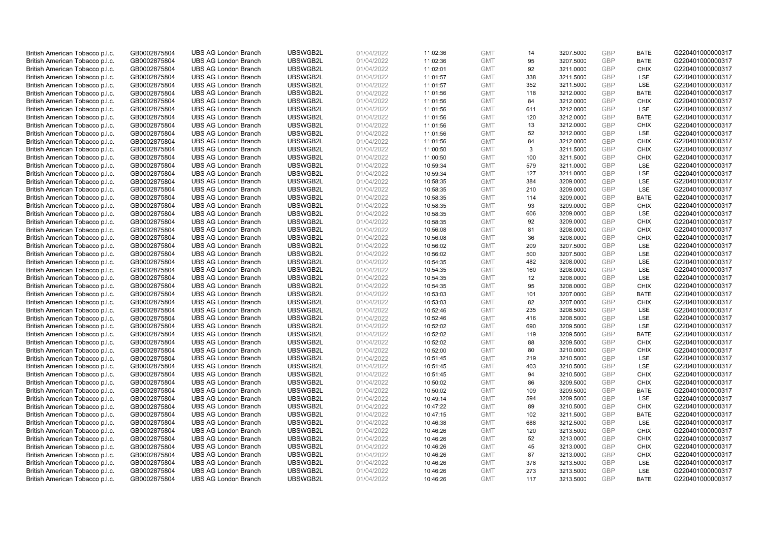| British American Tobacco p.l.c. | GB0002875804 | <b>UBS AG London Branch</b>                                | UBSWGB2L             | 01/04/2022 | 11:02:36 | <b>GMT</b>               | 14         | 3207.5000 | <b>GBP</b>        | <b>BATE</b>        | G220401000000317                     |
|---------------------------------|--------------|------------------------------------------------------------|----------------------|------------|----------|--------------------------|------------|-----------|-------------------|--------------------|--------------------------------------|
| British American Tobacco p.l.c. | GB0002875804 | <b>UBS AG London Branch</b>                                | UBSWGB2L             | 01/04/2022 | 11:02:36 | <b>GMT</b>               | 95         | 3207.5000 | <b>GBP</b>        | <b>BATE</b>        | G220401000000317                     |
| British American Tobacco p.l.c. | GB0002875804 | <b>UBS AG London Branch</b>                                | UBSWGB2L             | 01/04/2022 | 11:02:01 | <b>GMT</b>               | 92         | 3211.0000 | <b>GBP</b>        | <b>CHIX</b>        | G220401000000317                     |
| British American Tobacco p.l.c. | GB0002875804 | <b>UBS AG London Branch</b>                                | UBSWGB2L             | 01/04/2022 | 11:01:57 | <b>GMT</b>               | 338        | 3211.5000 | GBP               | LSE                | G220401000000317                     |
| British American Tobacco p.l.c. | GB0002875804 | <b>UBS AG London Branch</b>                                | UBSWGB2L             | 01/04/2022 | 11:01:57 | <b>GMT</b>               | 352        | 3211.5000 | <b>GBP</b>        | LSE                | G220401000000317                     |
| British American Tobacco p.l.c. | GB0002875804 | <b>UBS AG London Branch</b>                                | UBSWGB2L             | 01/04/2022 | 11:01:56 | <b>GMT</b>               | 118        | 3212.0000 | <b>GBP</b>        | <b>BATE</b>        | G220401000000317                     |
| British American Tobacco p.l.c. | GB0002875804 | <b>UBS AG London Branch</b>                                | UBSWGB2L             | 01/04/2022 | 11:01:56 | <b>GMT</b>               | 84         | 3212.0000 | <b>GBP</b>        | <b>CHIX</b>        | G220401000000317                     |
| British American Tobacco p.l.c. | GB0002875804 | <b>UBS AG London Branch</b>                                | UBSWGB2L             | 01/04/2022 | 11:01:56 | <b>GMT</b>               | 611        | 3212.0000 | <b>GBP</b>        | LSE                | G220401000000317                     |
| British American Tobacco p.l.c. | GB0002875804 | <b>UBS AG London Branch</b>                                | UBSWGB2L             | 01/04/2022 | 11:01:56 | <b>GMT</b>               | 120        | 3212.0000 | <b>GBP</b>        | <b>BATE</b>        | G220401000000317                     |
| British American Tobacco p.l.c. | GB0002875804 | <b>UBS AG London Branch</b>                                | UBSWGB2L             | 01/04/2022 | 11:01:56 | <b>GMT</b>               | 13         | 3212.0000 | <b>GBP</b>        | <b>CHIX</b>        | G220401000000317                     |
| British American Tobacco p.l.c. | GB0002875804 | <b>UBS AG London Branch</b>                                | UBSWGB2L             | 01/04/2022 | 11:01:56 | <b>GMT</b>               | 52         | 3212.0000 | <b>GBP</b>        | <b>LSE</b>         | G220401000000317                     |
| British American Tobacco p.l.c. | GB0002875804 | <b>UBS AG London Branch</b>                                | UBSWGB2L             | 01/04/2022 | 11:01:56 | <b>GMT</b>               | 84         | 3212.0000 | <b>GBP</b>        | <b>CHIX</b>        | G220401000000317                     |
| British American Tobacco p.l.c. | GB0002875804 | <b>UBS AG London Branch</b>                                | UBSWGB2L             | 01/04/2022 | 11:00:50 | <b>GMT</b>               | 3          | 3211.5000 | <b>GBP</b>        | <b>CHIX</b>        | G220401000000317                     |
| British American Tobacco p.l.c. | GB0002875804 | <b>UBS AG London Branch</b>                                | UBSWGB2L             | 01/04/2022 | 11:00:50 | <b>GMT</b>               | 100        | 3211.5000 | <b>GBP</b>        | <b>CHIX</b>        | G220401000000317                     |
| British American Tobacco p.l.c. | GB0002875804 | <b>UBS AG London Branch</b>                                | UBSWGB2L             | 01/04/2022 | 10:59:34 | <b>GMT</b>               | 579        | 3211.0000 | <b>GBP</b>        | <b>LSE</b>         | G220401000000317                     |
| British American Tobacco p.l.c. | GB0002875804 | <b>UBS AG London Branch</b>                                | UBSWGB2L             | 01/04/2022 | 10:59:34 | <b>GMT</b>               | 127        | 3211.0000 | <b>GBP</b>        | LSE                | G220401000000317                     |
| British American Tobacco p.l.c. | GB0002875804 | <b>UBS AG London Branch</b>                                | UBSWGB2L             | 01/04/2022 | 10:58:35 | <b>GMT</b>               | 384        | 3209.0000 | <b>GBP</b>        | LSE                | G220401000000317                     |
| British American Tobacco p.l.c. | GB0002875804 | <b>UBS AG London Branch</b>                                | UBSWGB2L             | 01/04/2022 | 10:58:35 | <b>GMT</b>               | 210        | 3209.0000 | GBP               | LSE                | G220401000000317                     |
| British American Tobacco p.l.c. | GB0002875804 | <b>UBS AG London Branch</b>                                | UBSWGB2L             | 01/04/2022 | 10:58:35 | <b>GMT</b>               | 114        | 3209.0000 | <b>GBP</b>        | <b>BATE</b>        | G220401000000317                     |
| British American Tobacco p.l.c. | GB0002875804 | <b>UBS AG London Branch</b>                                | UBSWGB2L             | 01/04/2022 | 10:58:35 | <b>GMT</b>               | 93         | 3209.0000 | <b>GBP</b>        | <b>CHIX</b>        | G220401000000317                     |
| British American Tobacco p.l.c. | GB0002875804 | <b>UBS AG London Branch</b>                                | UBSWGB2L             | 01/04/2022 | 10:58:35 | <b>GMT</b>               | 606        | 3209.0000 | <b>GBP</b>        | LSE                | G220401000000317                     |
| British American Tobacco p.l.c. | GB0002875804 | <b>UBS AG London Branch</b>                                | UBSWGB2L             | 01/04/2022 | 10:58:35 | <b>GMT</b>               | 92         | 3209.0000 | <b>GBP</b>        | <b>CHIX</b>        | G220401000000317                     |
| British American Tobacco p.l.c. | GB0002875804 | <b>UBS AG London Branch</b>                                | UBSWGB2L             | 01/04/2022 | 10:56:08 | <b>GMT</b>               | 81         | 3208.0000 | <b>GBP</b>        | <b>CHIX</b>        | G220401000000317                     |
| British American Tobacco p.l.c. | GB0002875804 | <b>UBS AG London Branch</b>                                | UBSWGB2L             | 01/04/2022 | 10:56:08 | <b>GMT</b>               | 36         | 3208.0000 | <b>GBP</b>        | <b>CHIX</b>        | G220401000000317                     |
| British American Tobacco p.l.c. | GB0002875804 | <b>UBS AG London Branch</b>                                | UBSWGB2L             | 01/04/2022 | 10:56:02 | <b>GMT</b>               | 209        | 3207.5000 | <b>GBP</b>        | LSE                | G220401000000317                     |
| British American Tobacco p.l.c. | GB0002875804 | <b>UBS AG London Branch</b>                                | UBSWGB2L             | 01/04/2022 | 10:56:02 | <b>GMT</b>               | 500        | 3207.5000 | <b>GBP</b>        | LSE                | G220401000000317                     |
| British American Tobacco p.l.c. | GB0002875804 | <b>UBS AG London Branch</b>                                | UBSWGB2L             | 01/04/2022 | 10:54:35 | <b>GMT</b>               | 482        | 3208.0000 | GBP               | LSE                | G220401000000317                     |
| British American Tobacco p.l.c. | GB0002875804 | <b>UBS AG London Branch</b>                                | UBSWGB2L             | 01/04/2022 | 10:54:35 | <b>GMT</b>               | 160        | 3208.0000 | <b>GBP</b>        | <b>LSE</b>         | G220401000000317                     |
| British American Tobacco p.l.c. | GB0002875804 | <b>UBS AG London Branch</b>                                | UBSWGB2L             | 01/04/2022 | 10:54:35 | <b>GMT</b>               | 12         | 3208.0000 | GBP               | LSE                | G220401000000317                     |
| British American Tobacco p.l.c. | GB0002875804 | <b>UBS AG London Branch</b>                                | UBSWGB2L             | 01/04/2022 | 10:54:35 | <b>GMT</b>               | 95         | 3208.0000 | GBP               | <b>CHIX</b>        | G220401000000317                     |
| British American Tobacco p.l.c. | GB0002875804 | <b>UBS AG London Branch</b>                                | UBSWGB2L             | 01/04/2022 | 10:53:03 | <b>GMT</b>               | 101        | 3207.0000 | GBP               | <b>BATE</b>        | G220401000000317                     |
| British American Tobacco p.l.c. | GB0002875804 | <b>UBS AG London Branch</b>                                | UBSWGB2L             | 01/04/2022 | 10:53:03 | <b>GMT</b>               | 82         | 3207.0000 | GBP               | <b>CHIX</b>        | G220401000000317                     |
| British American Tobacco p.l.c. | GB0002875804 | <b>UBS AG London Branch</b>                                | UBSWGB2L             | 01/04/2022 | 10:52:46 | <b>GMT</b>               | 235        | 3208.5000 | <b>GBP</b>        | LSE                | G220401000000317                     |
| British American Tobacco p.l.c. | GB0002875804 | <b>UBS AG London Branch</b>                                | UBSWGB2L             | 01/04/2022 | 10:52:46 | <b>GMT</b>               | 416        | 3208.5000 | GBP               | LSE                | G220401000000317                     |
| British American Tobacco p.l.c. | GB0002875804 | <b>UBS AG London Branch</b>                                | UBSWGB2L             | 01/04/2022 | 10:52:02 | <b>GMT</b>               | 690        | 3209.5000 | <b>GBP</b>        | LSE                | G220401000000317                     |
| British American Tobacco p.l.c. | GB0002875804 | <b>UBS AG London Branch</b>                                | UBSWGB2L             | 01/04/2022 | 10:52:02 | <b>GMT</b>               | 119        | 3209.5000 | <b>GBP</b>        | <b>BATE</b>        | G220401000000317                     |
| British American Tobacco p.l.c. | GB0002875804 | <b>UBS AG London Branch</b>                                | UBSWGB2L             | 01/04/2022 | 10:52:02 | <b>GMT</b>               | 88         | 3209.5000 | GBP               | <b>CHIX</b>        | G220401000000317                     |
| British American Tobacco p.l.c. | GB0002875804 | <b>UBS AG London Branch</b>                                | UBSWGB2L             | 01/04/2022 | 10:52:00 | <b>GMT</b>               | 80         | 3210.0000 | <b>GBP</b>        | <b>CHIX</b>        | G220401000000317                     |
| British American Tobacco p.l.c. | GB0002875804 | <b>UBS AG London Branch</b>                                | UBSWGB2L             | 01/04/2022 | 10:51:45 | <b>GMT</b>               | 219        | 3210.5000 | <b>GBP</b>        | LSE                | G220401000000317                     |
| British American Tobacco p.l.c. | GB0002875804 | <b>UBS AG London Branch</b>                                | UBSWGB2L             | 01/04/2022 | 10:51:45 | <b>GMT</b>               | 403        | 3210.5000 | GBP               | <b>LSE</b>         | G220401000000317                     |
| British American Tobacco p.l.c. | GB0002875804 | <b>UBS AG London Branch</b>                                | UBSWGB2L             | 01/04/2022 | 10:51:45 | <b>GMT</b>               | 94         | 3210.5000 | <b>GBP</b>        | <b>CHIX</b>        | G220401000000317                     |
| British American Tobacco p.l.c. | GB0002875804 | <b>UBS AG London Branch</b>                                | UBSWGB2L             | 01/04/2022 | 10:50:02 | <b>GMT</b>               | 86         | 3209.5000 | GBP               | <b>CHIX</b>        | G220401000000317                     |
| British American Tobacco p.l.c. | GB0002875804 | <b>UBS AG London Branch</b>                                | UBSWGB2L             | 01/04/2022 | 10:50:02 | <b>GMT</b>               | 109        | 3209.5000 | GBP               | <b>BATE</b>        | G220401000000317                     |
| British American Tobacco p.l.c. | GB0002875804 | <b>UBS AG London Branch</b>                                | UBSWGB2L             | 01/04/2022 | 10:49:14 | <b>GMT</b>               | 594        | 3209.5000 | GBP               | LSE                | G220401000000317                     |
| British American Tobacco p.l.c. | GB0002875804 | <b>UBS AG London Branch</b>                                | UBSWGB2L             | 01/04/2022 | 10:47:22 | <b>GMT</b>               | 89         | 3210.5000 | GBP               | <b>CHIX</b>        | G220401000000317                     |
| British American Tobacco p.l.c. | GB0002875804 | <b>UBS AG London Branch</b>                                | UBSWGB2L             | 01/04/2022 | 10:47:15 | <b>GMT</b>               | 102        | 3211.5000 | <b>GBP</b>        | <b>BATE</b>        | G220401000000317                     |
| British American Tobacco p.l.c. | GB0002875804 | <b>UBS AG London Branch</b>                                | UBSWGB2L             | 01/04/2022 | 10:46:38 | <b>GMT</b>               | 688        | 3212.5000 | <b>GBP</b>        | LSE                | G220401000000317                     |
| British American Tobacco p.l.c. | GB0002875804 | <b>UBS AG London Branch</b>                                | UBSWGB2L             | 01/04/2022 | 10:46:26 | <b>GMT</b>               | 120        | 3213.5000 | GBP               | <b>CHIX</b>        | G220401000000317                     |
| British American Tobacco p.l.c. | GB0002875804 | <b>UBS AG London Branch</b>                                | UBSWGB2L             | 01/04/2022 |          | <b>GMT</b>               | 52         | 3213.0000 | GBP               | <b>CHIX</b>        | G220401000000317                     |
| British American Tobacco p.l.c. |              | <b>UBS AG London Branch</b>                                | UBSWGB2L             | 01/04/2022 | 10:46:26 | <b>GMT</b>               |            |           | GBP               | <b>CHIX</b>        | G220401000000317                     |
|                                 | GB0002875804 |                                                            |                      |            | 10:46:26 |                          | 45         | 3213.0000 |                   |                    |                                      |
| British American Tobacco p.l.c. | GB0002875804 | <b>UBS AG London Branch</b><br><b>UBS AG London Branch</b> | UBSWGB2L<br>UBSWGB2L | 01/04/2022 | 10:46:26 | <b>GMT</b><br><b>GMT</b> | 87<br>378  | 3213.0000 | GBP<br><b>GBP</b> | <b>CHIX</b><br>LSE | G220401000000317<br>G220401000000317 |
| British American Tobacco p.l.c. | GB0002875804 |                                                            |                      | 01/04/2022 | 10:46:26 |                          |            | 3213.5000 | GBP               | LSE                | G220401000000317                     |
| British American Tobacco p.l.c. | GB0002875804 | <b>UBS AG London Branch</b>                                | UBSWGB2L             | 01/04/2022 | 10:46:26 | <b>GMT</b><br><b>GMT</b> | 273<br>117 | 3213.5000 | GBP               | <b>BATE</b>        |                                      |
| British American Tobacco p.l.c. | GB0002875804 | <b>UBS AG London Branch</b>                                | UBSWGB2L             | 01/04/2022 | 10:46:26 |                          |            | 3213.5000 |                   |                    | G220401000000317                     |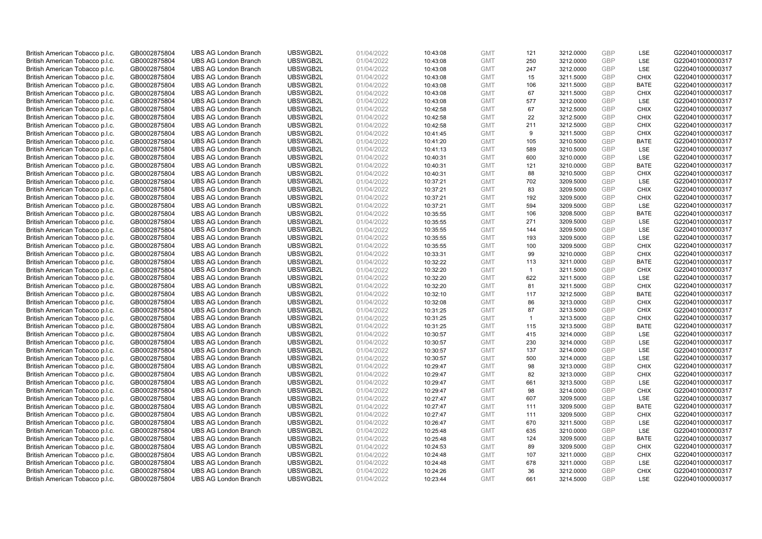| British American Tobacco p.l.c. | GB0002875804 | <b>UBS AG London Branch</b> | UBSWGB2L | 01/04/2022 | 10:43:08 | <b>GMT</b> | 121            | 3212.0000 | <b>GBP</b> | LSE         | G220401000000317 |
|---------------------------------|--------------|-----------------------------|----------|------------|----------|------------|----------------|-----------|------------|-------------|------------------|
| British American Tobacco p.l.c. | GB0002875804 | <b>UBS AG London Branch</b> | UBSWGB2L | 01/04/2022 | 10:43:08 | <b>GMT</b> | 250            | 3212.0000 | GBP        | LSE         | G220401000000317 |
| British American Tobacco p.l.c. | GB0002875804 | <b>UBS AG London Branch</b> | UBSWGB2L | 01/04/2022 | 10:43:08 | <b>GMT</b> | 247            | 3212.0000 | <b>GBP</b> | <b>LSE</b>  | G220401000000317 |
| British American Tobacco p.l.c. | GB0002875804 | <b>UBS AG London Branch</b> | UBSWGB2L | 01/04/2022 | 10:43:08 | <b>GMT</b> | 15             | 3211.5000 | GBP        | <b>CHIX</b> | G220401000000317 |
| British American Tobacco p.l.c. | GB0002875804 | <b>UBS AG London Branch</b> | UBSWGB2L | 01/04/2022 | 10:43:08 | <b>GMT</b> | 106            | 3211.5000 | <b>GBP</b> | <b>BATE</b> | G220401000000317 |
| British American Tobacco p.l.c. | GB0002875804 | <b>UBS AG London Branch</b> | UBSWGB2L | 01/04/2022 | 10:43:08 | <b>GMT</b> | 67             | 3211.5000 | GBP        | <b>CHIX</b> | G220401000000317 |
| British American Tobacco p.l.c. | GB0002875804 | <b>UBS AG London Branch</b> | UBSWGB2L | 01/04/2022 | 10:43:08 | <b>GMT</b> | 577            | 3212.0000 | <b>GBP</b> | LSE         | G220401000000317 |
| British American Tobacco p.l.c. | GB0002875804 | <b>UBS AG London Branch</b> | UBSWGB2L | 01/04/2022 | 10:42:58 | <b>GMT</b> | 67             | 3212.5000 | <b>GBP</b> | <b>CHIX</b> | G220401000000317 |
| British American Tobacco p.l.c. | GB0002875804 | <b>UBS AG London Branch</b> | UBSWGB2L | 01/04/2022 | 10:42:58 | <b>GMT</b> | 22             | 3212.5000 | <b>GBP</b> | <b>CHIX</b> | G220401000000317 |
| British American Tobacco p.l.c. | GB0002875804 | <b>UBS AG London Branch</b> | UBSWGB2L | 01/04/2022 | 10:42:58 | <b>GMT</b> | 211            | 3212.5000 | <b>GBP</b> | <b>CHIX</b> | G220401000000317 |
| British American Tobacco p.l.c. | GB0002875804 | <b>UBS AG London Branch</b> | UBSWGB2L | 01/04/2022 | 10:41:45 | <b>GMT</b> | 9              | 3211.5000 | GBP        | <b>CHIX</b> | G220401000000317 |
| British American Tobacco p.l.c. | GB0002875804 | <b>UBS AG London Branch</b> | UBSWGB2L | 01/04/2022 | 10:41:20 | <b>GMT</b> | 105            | 3210.5000 | <b>GBP</b> | <b>BATE</b> | G220401000000317 |
| British American Tobacco p.l.c. | GB0002875804 | <b>UBS AG London Branch</b> | UBSWGB2L | 01/04/2022 | 10:41:13 | <b>GMT</b> | 589            | 3210.5000 | <b>GBP</b> | LSE         | G220401000000317 |
| British American Tobacco p.l.c. | GB0002875804 | <b>UBS AG London Branch</b> | UBSWGB2L | 01/04/2022 | 10:40:31 | <b>GMT</b> | 600            | 3210.0000 | <b>GBP</b> | <b>LSE</b>  | G220401000000317 |
| British American Tobacco p.l.c. | GB0002875804 | <b>UBS AG London Branch</b> | UBSWGB2L | 01/04/2022 | 10:40:31 | <b>GMT</b> | 121            | 3210.0000 | GBP        | <b>BATE</b> | G220401000000317 |
| British American Tobacco p.l.c. | GB0002875804 | <b>UBS AG London Branch</b> | UBSWGB2L | 01/04/2022 | 10:40:31 | <b>GMT</b> | 88             | 3210.5000 | <b>GBP</b> | <b>CHIX</b> | G220401000000317 |
| British American Tobacco p.l.c. | GB0002875804 | <b>UBS AG London Branch</b> | UBSWGB2L | 01/04/2022 | 10:37:21 | <b>GMT</b> | 702            | 3209.5000 | <b>GBP</b> | <b>LSE</b>  | G220401000000317 |
| British American Tobacco p.l.c. | GB0002875804 | <b>UBS AG London Branch</b> | UBSWGB2L | 01/04/2022 | 10:37:21 | <b>GMT</b> | 83             | 3209.5000 | GBP        | <b>CHIX</b> | G220401000000317 |
| British American Tobacco p.l.c. | GB0002875804 | <b>UBS AG London Branch</b> | UBSWGB2L | 01/04/2022 | 10:37:21 | <b>GMT</b> | 192            | 3209.5000 | GBP        | <b>CHIX</b> | G220401000000317 |
| British American Tobacco p.l.c. | GB0002875804 | <b>UBS AG London Branch</b> | UBSWGB2L | 01/04/2022 | 10:37:21 | <b>GMT</b> | 594            | 3209.5000 | <b>GBP</b> | <b>LSE</b>  | G220401000000317 |
| British American Tobacco p.l.c. | GB0002875804 | <b>UBS AG London Branch</b> | UBSWGB2L | 01/04/2022 | 10:35:55 | <b>GMT</b> | 106            | 3208.5000 | GBP        | <b>BATE</b> | G220401000000317 |
| British American Tobacco p.l.c. | GB0002875804 | <b>UBS AG London Branch</b> | UBSWGB2L | 01/04/2022 | 10:35:55 | <b>GMT</b> | 271            | 3209.5000 | GBP        | <b>LSE</b>  | G220401000000317 |
| British American Tobacco p.l.c. | GB0002875804 | <b>UBS AG London Branch</b> | UBSWGB2L | 01/04/2022 | 10:35:55 | <b>GMT</b> | 144            | 3209.5000 | <b>GBP</b> | LSE         | G220401000000317 |
| British American Tobacco p.l.c. | GB0002875804 | <b>UBS AG London Branch</b> | UBSWGB2L | 01/04/2022 | 10:35:55 | <b>GMT</b> | 193            | 3209.5000 | <b>GBP</b> | LSE         | G220401000000317 |
| British American Tobacco p.l.c. | GB0002875804 | <b>UBS AG London Branch</b> | UBSWGB2L | 01/04/2022 | 10:35:55 | <b>GMT</b> | 100            | 3209.5000 | <b>GBP</b> | <b>CHIX</b> | G220401000000317 |
| British American Tobacco p.l.c. | GB0002875804 | <b>UBS AG London Branch</b> | UBSWGB2L | 01/04/2022 | 10:33:31 | <b>GMT</b> | 99             | 3210.0000 | GBP        | <b>CHIX</b> | G220401000000317 |
| British American Tobacco p.l.c. | GB0002875804 | <b>UBS AG London Branch</b> | UBSWGB2L | 01/04/2022 | 10:32:22 | <b>GMT</b> | 113            | 3211.0000 | <b>GBP</b> | <b>BATE</b> | G220401000000317 |
| British American Tobacco p.l.c. | GB0002875804 | <b>UBS AG London Branch</b> | UBSWGB2L | 01/04/2022 | 10:32:20 | <b>GMT</b> | $\overline{1}$ | 3211.5000 | <b>GBP</b> | <b>CHIX</b> | G220401000000317 |
| British American Tobacco p.l.c. | GB0002875804 | <b>UBS AG London Branch</b> | UBSWGB2L | 01/04/2022 | 10:32:20 | <b>GMT</b> | 622            | 3211.5000 | <b>GBP</b> | LSE         | G220401000000317 |
| British American Tobacco p.l.c. | GB0002875804 | <b>UBS AG London Branch</b> | UBSWGB2L | 01/04/2022 | 10:32:20 | <b>GMT</b> | 81             | 3211.5000 | GBP        | <b>CHIX</b> | G220401000000317 |
| British American Tobacco p.l.c. | GB0002875804 | <b>UBS AG London Branch</b> | UBSWGB2L | 01/04/2022 | 10:32:10 | <b>GMT</b> | 117            | 3212.5000 | <b>GBP</b> | <b>BATE</b> | G220401000000317 |
| British American Tobacco p.l.c. | GB0002875804 | <b>UBS AG London Branch</b> | UBSWGB2L | 01/04/2022 | 10:32:08 | <b>GMT</b> | 86             | 3213.0000 | <b>GBP</b> | <b>CHIX</b> | G220401000000317 |
| British American Tobacco p.l.c. | GB0002875804 | <b>UBS AG London Branch</b> | UBSWGB2L | 01/04/2022 | 10:31:25 | <b>GMT</b> | 87             | 3213.5000 | <b>GBP</b> | <b>CHIX</b> | G220401000000317 |
| British American Tobacco p.l.c. | GB0002875804 | <b>UBS AG London Branch</b> | UBSWGB2L | 01/04/2022 | 10:31:25 | <b>GMT</b> | $\mathbf{1}$   | 3213.5000 | <b>GBP</b> | <b>CHIX</b> | G220401000000317 |
| British American Tobacco p.l.c. | GB0002875804 | <b>UBS AG London Branch</b> | UBSWGB2L | 01/04/2022 | 10:31:25 | <b>GMT</b> | 115            | 3213.5000 | <b>GBP</b> | <b>BATE</b> | G220401000000317 |
| British American Tobacco p.l.c. | GB0002875804 | <b>UBS AG London Branch</b> | UBSWGB2L | 01/04/2022 | 10:30:57 | <b>GMT</b> | 415            | 3214.0000 | <b>GBP</b> | <b>LSE</b>  | G220401000000317 |
| British American Tobacco p.l.c. | GB0002875804 | <b>UBS AG London Branch</b> | UBSWGB2L | 01/04/2022 | 10:30:57 | <b>GMT</b> | 230            | 3214.0000 | <b>GBP</b> | LSE         | G220401000000317 |
| British American Tobacco p.l.c. | GB0002875804 | <b>UBS AG London Branch</b> | UBSWGB2L | 01/04/2022 | 10:30:57 | <b>GMT</b> | 137            | 3214.0000 | <b>GBP</b> | LSE         | G220401000000317 |
| British American Tobacco p.l.c. | GB0002875804 | <b>UBS AG London Branch</b> | UBSWGB2L | 01/04/2022 | 10:30:57 | <b>GMT</b> | 500            | 3214.0000 | <b>GBP</b> | LSE         | G220401000000317 |
| British American Tobacco p.l.c. | GB0002875804 | <b>UBS AG London Branch</b> | UBSWGB2L | 01/04/2022 | 10:29:47 | <b>GMT</b> | 98             | 3213.0000 | <b>GBP</b> | <b>CHIX</b> | G220401000000317 |
| British American Tobacco p.l.c. | GB0002875804 | <b>UBS AG London Branch</b> | UBSWGB2L | 01/04/2022 | 10:29:47 | <b>GMT</b> | 82             | 3213.0000 | <b>GBP</b> | <b>CHIX</b> | G220401000000317 |
| British American Tobacco p.l.c. | GB0002875804 | <b>UBS AG London Branch</b> | UBSWGB2L | 01/04/2022 | 10:29:47 | <b>GMT</b> | 661            | 3213.5000 | <b>GBP</b> | LSE         | G220401000000317 |
| British American Tobacco p.l.c. | GB0002875804 | <b>UBS AG London Branch</b> | UBSWGB2L | 01/04/2022 | 10:29:47 | <b>GMT</b> | 98             | 3214.0000 | <b>GBP</b> | <b>CHIX</b> | G220401000000317 |
| British American Tobacco p.l.c. | GB0002875804 | <b>UBS AG London Branch</b> | UBSWGB2L | 01/04/2022 | 10:27:47 | <b>GMT</b> | 607            | 3209.5000 | GBP        | LSE         | G220401000000317 |
| British American Tobacco p.l.c. | GB0002875804 | <b>UBS AG London Branch</b> | UBSWGB2L | 01/04/2022 | 10:27:47 | <b>GMT</b> | 111            | 3209.5000 | <b>GBP</b> | <b>BATE</b> | G220401000000317 |
| British American Tobacco p.l.c. | GB0002875804 | <b>UBS AG London Branch</b> | UBSWGB2L | 01/04/2022 | 10:27:47 | <b>GMT</b> | 111            | 3209.5000 | <b>GBP</b> | <b>CHIX</b> | G220401000000317 |
| British American Tobacco p.l.c. | GB0002875804 | <b>UBS AG London Branch</b> | UBSWGB2L | 01/04/2022 | 10:26:47 | <b>GMT</b> | 670            | 3211.5000 | GBP        | LSE         | G220401000000317 |
| British American Tobacco p.l.c. | GB0002875804 | <b>UBS AG London Branch</b> | UBSWGB2L | 01/04/2022 | 10:25:48 | <b>GMT</b> | 635            | 3210.0000 | <b>GBP</b> | LSE         | G220401000000317 |
| British American Tobacco p.l.c. | GB0002875804 | <b>UBS AG London Branch</b> | UBSWGB2L | 01/04/2022 | 10:25:48 | <b>GMT</b> | 124            | 3209.5000 | <b>GBP</b> | <b>BATE</b> | G220401000000317 |
| British American Tobacco p.l.c. | GB0002875804 | <b>UBS AG London Branch</b> | UBSWGB2L | 01/04/2022 | 10:24:53 | <b>GMT</b> | 89             | 3209.5000 | GBP        | <b>CHIX</b> | G220401000000317 |
| British American Tobacco p.l.c. | GB0002875804 | <b>UBS AG London Branch</b> | UBSWGB2L | 01/04/2022 | 10:24:48 | <b>GMT</b> | 107            | 3211.0000 | GBP        | <b>CHIX</b> | G220401000000317 |
| British American Tobacco p.l.c. | GB0002875804 | <b>UBS AG London Branch</b> | UBSWGB2L | 01/04/2022 | 10:24:48 | <b>GMT</b> | 678            | 3211.0000 | <b>GBP</b> | LSE         | G220401000000317 |
| British American Tobacco p.l.c. | GB0002875804 | <b>UBS AG London Branch</b> | UBSWGB2L | 01/04/2022 | 10:24:26 | <b>GMT</b> | 36             | 3212.0000 | GBP        | <b>CHIX</b> | G220401000000317 |
| British American Tobacco p.l.c. | GB0002875804 | <b>UBS AG London Branch</b> | UBSWGB2L | 01/04/2022 | 10:23:44 | <b>GMT</b> | 661            | 3214.5000 | GBP        | <b>LSE</b>  | G220401000000317 |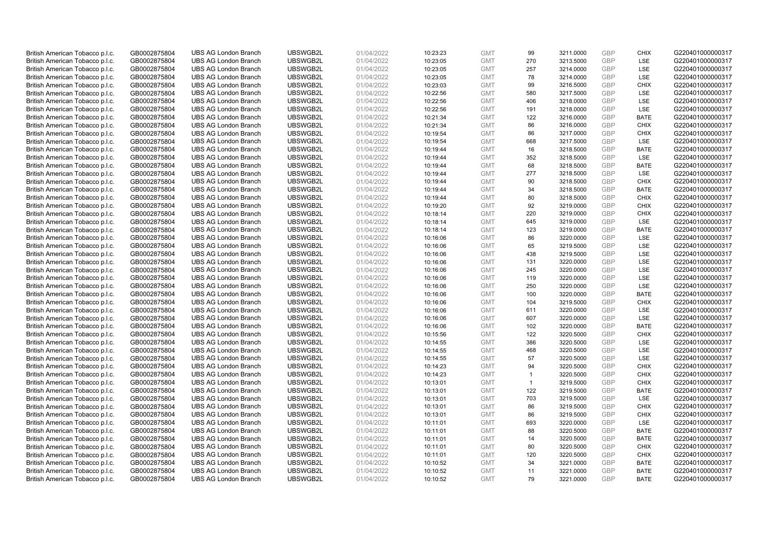| British American Tobacco p.l.c. | GB0002875804 | <b>UBS AG London Branch</b> | UBSWGB2L | 01/04/2022 | 10:23:23 | <b>GMT</b>               | 99             | 3211.0000 | <b>GBP</b> | <b>CHIX</b> | G220401000000317 |
|---------------------------------|--------------|-----------------------------|----------|------------|----------|--------------------------|----------------|-----------|------------|-------------|------------------|
| British American Tobacco p.l.c. | GB0002875804 | <b>UBS AG London Branch</b> | UBSWGB2L | 01/04/2022 | 10:23:05 | <b>GMT</b>               | 270            | 3213.5000 | <b>GBP</b> | LSE         | G220401000000317 |
| British American Tobacco p.l.c. | GB0002875804 | <b>UBS AG London Branch</b> | UBSWGB2L | 01/04/2022 | 10:23:05 | <b>GMT</b>               | 257            | 3214.0000 | <b>GBP</b> | <b>LSE</b>  | G220401000000317 |
| British American Tobacco p.l.c. | GB0002875804 | <b>UBS AG London Branch</b> | UBSWGB2L | 01/04/2022 | 10:23:05 | <b>GMT</b>               | 78             | 3214.0000 | <b>GBP</b> | LSE         | G220401000000317 |
| British American Tobacco p.l.c. | GB0002875804 | <b>UBS AG London Branch</b> | UBSWGB2L | 01/04/2022 | 10:23:03 | <b>GMT</b>               | 99             | 3216.5000 | <b>GBP</b> | <b>CHIX</b> | G220401000000317 |
| British American Tobacco p.l.c. | GB0002875804 | <b>UBS AG London Branch</b> | UBSWGB2L | 01/04/2022 | 10:22:56 | <b>GMT</b>               | 580            | 3217.5000 | <b>GBP</b> | <b>LSE</b>  | G220401000000317 |
| British American Tobacco p.l.c. | GB0002875804 | <b>UBS AG London Branch</b> | UBSWGB2L | 01/04/2022 | 10:22:56 | <b>GMT</b>               | 406            | 3218.0000 | <b>GBP</b> | LSE         | G220401000000317 |
| British American Tobacco p.l.c. | GB0002875804 | <b>UBS AG London Branch</b> | UBSWGB2L | 01/04/2022 | 10:22:56 | <b>GMT</b>               | 191            | 3218.0000 | <b>GBP</b> | LSE         | G220401000000317 |
| British American Tobacco p.l.c. | GB0002875804 | <b>UBS AG London Branch</b> | UBSWGB2L | 01/04/2022 | 10:21:34 | <b>GMT</b>               | 122            | 3216.0000 | <b>GBP</b> | <b>BATE</b> | G220401000000317 |
| British American Tobacco p.l.c. | GB0002875804 | <b>UBS AG London Branch</b> | UBSWGB2L | 01/04/2022 | 10:21:34 | <b>GMT</b>               | 86             | 3216.0000 | <b>GBP</b> | <b>CHIX</b> | G220401000000317 |
| British American Tobacco p.l.c. | GB0002875804 | <b>UBS AG London Branch</b> | UBSWGB2L | 01/04/2022 | 10:19:54 | <b>GMT</b>               | 86             | 3217.0000 | <b>GBP</b> | <b>CHIX</b> | G220401000000317 |
| British American Tobacco p.l.c. | GB0002875804 | <b>UBS AG London Branch</b> | UBSWGB2L | 01/04/2022 | 10:19:54 | <b>GMT</b>               | 668            | 3217.5000 | <b>GBP</b> | LSE         | G220401000000317 |
| British American Tobacco p.l.c. | GB0002875804 | <b>UBS AG London Branch</b> | UBSWGB2L | 01/04/2022 | 10:19:44 | <b>GMT</b>               | 16             | 3218.5000 | <b>GBP</b> | <b>BATE</b> | G220401000000317 |
| British American Tobacco p.l.c. | GB0002875804 | <b>UBS AG London Branch</b> | UBSWGB2L | 01/04/2022 | 10:19:44 | <b>GMT</b>               | 352            | 3218.5000 | <b>GBP</b> | <b>LSE</b>  | G220401000000317 |
| British American Tobacco p.l.c. | GB0002875804 | <b>UBS AG London Branch</b> | UBSWGB2L | 01/04/2022 | 10:19:44 | <b>GMT</b>               | 68             | 3218.5000 | <b>GBP</b> | <b>BATE</b> | G220401000000317 |
| British American Tobacco p.l.c. | GB0002875804 | <b>UBS AG London Branch</b> | UBSWGB2L | 01/04/2022 | 10:19:44 | <b>GMT</b>               | 277            | 3218.5000 | <b>GBP</b> | LSE         | G220401000000317 |
| British American Tobacco p.l.c. | GB0002875804 | <b>UBS AG London Branch</b> | UBSWGB2L | 01/04/2022 | 10:19:44 | <b>GMT</b>               | 90             | 3218.5000 | <b>GBP</b> | <b>CHIX</b> | G220401000000317 |
| British American Tobacco p.l.c. | GB0002875804 | <b>UBS AG London Branch</b> | UBSWGB2L | 01/04/2022 | 10:19:44 | <b>GMT</b>               | 34             | 3218.5000 | GBP        | <b>BATE</b> | G220401000000317 |
| British American Tobacco p.l.c. | GB0002875804 | <b>UBS AG London Branch</b> | UBSWGB2L | 01/04/2022 | 10:19:44 | <b>GMT</b>               | 80             | 3218.5000 | GBP        | <b>CHIX</b> | G220401000000317 |
| British American Tobacco p.l.c. | GB0002875804 | <b>UBS AG London Branch</b> | UBSWGB2L | 01/04/2022 | 10:19:20 | <b>GMT</b>               | 92             | 3219.0000 | <b>GBP</b> | <b>CHIX</b> | G220401000000317 |
| British American Tobacco p.l.c. | GB0002875804 | <b>UBS AG London Branch</b> | UBSWGB2L | 01/04/2022 | 10:18:14 | <b>GMT</b>               | 220            | 3219.0000 | <b>GBP</b> | <b>CHIX</b> | G220401000000317 |
|                                 |              |                             | UBSWGB2L |            |          |                          | 645            |           | GBP        | <b>LSE</b>  |                  |
| British American Tobacco p.l.c. | GB0002875804 | <b>UBS AG London Branch</b> |          | 01/04/2022 | 10:18:14 | <b>GMT</b><br><b>GMT</b> |                | 3219.0000 | <b>GBP</b> |             | G220401000000317 |
| British American Tobacco p.l.c. | GB0002875804 | <b>UBS AG London Branch</b> | UBSWGB2L | 01/04/2022 | 10:18:14 |                          | 123            | 3219.0000 |            | <b>BATE</b> | G220401000000317 |
| British American Tobacco p.l.c. | GB0002875804 | <b>UBS AG London Branch</b> | UBSWGB2L | 01/04/2022 | 10:16:06 | <b>GMT</b>               | 86             | 3220.0000 | <b>GBP</b> | LSE         | G220401000000317 |
| British American Tobacco p.l.c. | GB0002875804 | <b>UBS AG London Branch</b> | UBSWGB2L | 01/04/2022 | 10:16:06 | <b>GMT</b>               | 65             | 3219.5000 | <b>GBP</b> | LSE         | G220401000000317 |
| British American Tobacco p.l.c. | GB0002875804 | <b>UBS AG London Branch</b> | UBSWGB2L | 01/04/2022 | 10:16:06 | <b>GMT</b>               | 438            | 3219.5000 | <b>GBP</b> | LSE         | G220401000000317 |
| British American Tobacco p.l.c. | GB0002875804 | <b>UBS AG London Branch</b> | UBSWGB2L | 01/04/2022 | 10:16:06 | <b>GMT</b>               | 131            | 3220.0000 | <b>GBP</b> | LSE         | G220401000000317 |
| British American Tobacco p.l.c. | GB0002875804 | <b>UBS AG London Branch</b> | UBSWGB2L | 01/04/2022 | 10:16:06 | <b>GMT</b>               | 245            | 3220.0000 | <b>GBP</b> | LSE         | G220401000000317 |
| British American Tobacco p.l.c. | GB0002875804 | <b>UBS AG London Branch</b> | UBSWGB2L | 01/04/2022 | 10:16:06 | <b>GMT</b>               | 119            | 3220.0000 | GBP        | LSE         | G220401000000317 |
| British American Tobacco p.l.c. | GB0002875804 | <b>UBS AG London Branch</b> | UBSWGB2L | 01/04/2022 | 10:16:06 | <b>GMT</b>               | 250            | 3220.0000 | GBP        | LSE         | G220401000000317 |
| British American Tobacco p.l.c. | GB0002875804 | <b>UBS AG London Branch</b> | UBSWGB2L | 01/04/2022 | 10:16:06 | <b>GMT</b>               | 100            | 3220.0000 | <b>GBP</b> | <b>BATE</b> | G220401000000317 |
| British American Tobacco p.l.c. | GB0002875804 | <b>UBS AG London Branch</b> | UBSWGB2L | 01/04/2022 | 10:16:06 | <b>GMT</b>               | 104            | 3219.5000 | <b>GBP</b> | <b>CHIX</b> | G220401000000317 |
| British American Tobacco p.l.c. | GB0002875804 | <b>UBS AG London Branch</b> | UBSWGB2L | 01/04/2022 | 10:16:06 | <b>GMT</b>               | 611            | 3220.0000 | GBP        | LSE         | G220401000000317 |
| British American Tobacco p.l.c. | GB0002875804 | <b>UBS AG London Branch</b> | UBSWGB2L | 01/04/2022 | 10:16:06 | <b>GMT</b>               | 607            | 3220.0000 | <b>GBP</b> | <b>LSE</b>  | G220401000000317 |
| British American Tobacco p.l.c. | GB0002875804 | <b>UBS AG London Branch</b> | UBSWGB2L | 01/04/2022 | 10:16:06 | <b>GMT</b>               | 102            | 3220.0000 | <b>GBP</b> | <b>BATE</b> | G220401000000317 |
| British American Tobacco p.l.c. | GB0002875804 | <b>UBS AG London Branch</b> | UBSWGB2L | 01/04/2022 | 10:15:56 | <b>GMT</b>               | 122            | 3220.5000 | <b>GBP</b> | <b>CHIX</b> | G220401000000317 |
| British American Tobacco p.l.c. | GB0002875804 | <b>UBS AG London Branch</b> | UBSWGB2L | 01/04/2022 | 10:14:55 | <b>GMT</b>               | 386            | 3220.5000 | GBP        | <b>LSE</b>  | G220401000000317 |
| British American Tobacco p.l.c. | GB0002875804 | <b>UBS AG London Branch</b> | UBSWGB2L | 01/04/2022 | 10:14:55 | <b>GMT</b>               | 468            | 3220.5000 | <b>GBP</b> | LSE         | G220401000000317 |
| British American Tobacco p.l.c. | GB0002875804 | <b>UBS AG London Branch</b> | UBSWGB2L | 01/04/2022 | 10:14:55 | <b>GMT</b>               | 57             | 3220.5000 | <b>GBP</b> | LSE         | G220401000000317 |
| British American Tobacco p.l.c. | GB0002875804 | <b>UBS AG London Branch</b> | UBSWGB2L | 01/04/2022 | 10:14:23 | <b>GMT</b>               | 94             | 3220.5000 | <b>GBP</b> | <b>CHIX</b> | G220401000000317 |
| British American Tobacco p.l.c. | GB0002875804 | <b>UBS AG London Branch</b> | UBSWGB2L | 01/04/2022 | 10:14:23 | <b>GMT</b>               | $\mathbf{1}$   | 3220.5000 | <b>GBP</b> | <b>CHIX</b> | G220401000000317 |
| British American Tobacco p.l.c. | GB0002875804 | <b>UBS AG London Branch</b> | UBSWGB2L | 01/04/2022 | 10:13:01 | <b>GMT</b>               | $\overline{1}$ | 3219.5000 | GBP        | <b>CHIX</b> | G220401000000317 |
| British American Tobacco p.l.c. | GB0002875804 | <b>UBS AG London Branch</b> | UBSWGB2L | 01/04/2022 | 10:13:01 | <b>GMT</b>               | 122            | 3219.5000 | <b>GBP</b> | <b>BATE</b> | G220401000000317 |
| British American Tobacco p.l.c. | GB0002875804 | <b>UBS AG London Branch</b> | UBSWGB2L | 01/04/2022 | 10:13:01 | <b>GMT</b>               | 703            | 3219.5000 | GBP        | LSE         | G220401000000317 |
| British American Tobacco p.l.c. | GB0002875804 | <b>UBS AG London Branch</b> | UBSWGB2L | 01/04/2022 | 10:13:01 | <b>GMT</b>               | 86             | 3219.5000 | <b>GBP</b> | <b>CHIX</b> | G220401000000317 |
| British American Tobacco p.l.c. | GB0002875804 | <b>UBS AG London Branch</b> | UBSWGB2L | 01/04/2022 | 10:13:01 | <b>GMT</b>               | 86             | 3219.5000 | GBP        | <b>CHIX</b> | G220401000000317 |
| British American Tobacco p.l.c. | GB0002875804 | <b>UBS AG London Branch</b> | UBSWGB2L | 01/04/2022 | 10:11:01 | <b>GMT</b>               | 693            | 3220.0000 | <b>GBP</b> | LSE         | G220401000000317 |
| British American Tobacco p.l.c. | GB0002875804 | <b>UBS AG London Branch</b> | UBSWGB2L | 01/04/2022 | 10:11:01 | <b>GMT</b>               | 88             | 3220.5000 | GBP        | <b>BATE</b> | G220401000000317 |
| British American Tobacco p.l.c. | GB0002875804 | <b>UBS AG London Branch</b> | UBSWGB2L | 01/04/2022 | 10:11:01 | <b>GMT</b>               | 14             | 3220.5000 | <b>GBP</b> | <b>BATE</b> | G220401000000317 |
| British American Tobacco p.l.c. | GB0002875804 | <b>UBS AG London Branch</b> | UBSWGB2L | 01/04/2022 | 10:11:01 | <b>GMT</b>               | 80             | 3220.5000 | GBP        | <b>CHIX</b> | G220401000000317 |
| British American Tobacco p.l.c. | GB0002875804 | <b>UBS AG London Branch</b> | UBSWGB2L | 01/04/2022 | 10:11:01 | <b>GMT</b>               | 120            | 3220.5000 | <b>GBP</b> | <b>CHIX</b> | G220401000000317 |
| British American Tobacco p.l.c. | GB0002875804 | <b>UBS AG London Branch</b> | UBSWGB2L | 01/04/2022 | 10:10:52 | <b>GMT</b>               | 34             | 3221.0000 | GBP        | <b>BATE</b> | G220401000000317 |
| British American Tobacco p.l.c. | GB0002875804 | <b>UBS AG London Branch</b> | UBSWGB2L | 01/04/2022 | 10:10:52 | <b>GMT</b>               | 11             | 3221.0000 | GBP        | <b>BATE</b> | G220401000000317 |
| British American Tobacco p.l.c. | GB0002875804 | <b>UBS AG London Branch</b> | UBSWGB2L | 01/04/2022 | 10:10:52 | <b>GMT</b>               | 79             | 3221.0000 | GBP        | <b>BATE</b> | G220401000000317 |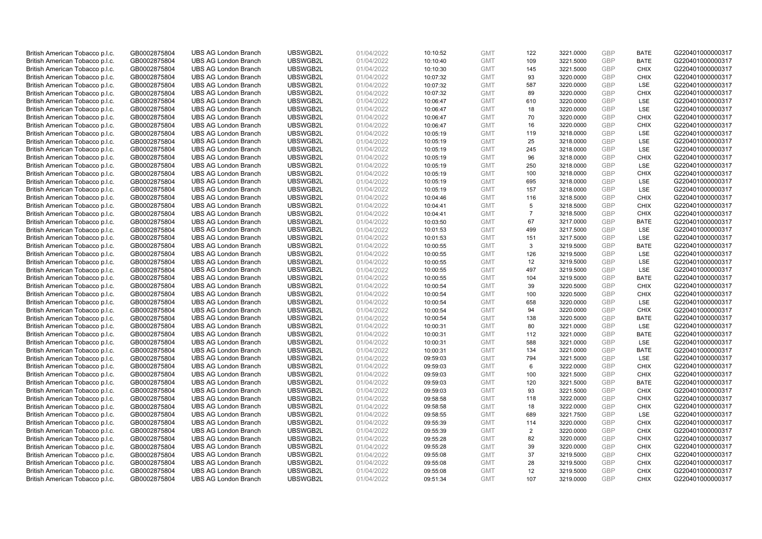| British American Tobacco p.l.c. | GB0002875804 | <b>UBS AG London Branch</b>                                | UBSWGB2L | 01/04/2022 | 10:10:52 | <b>GMT</b>               | 122            | 3221.0000 | <b>GBP</b> | <b>BATE</b>                | G220401000000317                     |
|---------------------------------|--------------|------------------------------------------------------------|----------|------------|----------|--------------------------|----------------|-----------|------------|----------------------------|--------------------------------------|
| British American Tobacco p.l.c. | GB0002875804 | <b>UBS AG London Branch</b>                                | UBSWGB2L | 01/04/2022 | 10:10:40 | <b>GMT</b>               | 109            | 3221.5000 | <b>GBP</b> | <b>BATE</b>                | G220401000000317                     |
| British American Tobacco p.l.c. | GB0002875804 | <b>UBS AG London Branch</b>                                | UBSWGB2L | 01/04/2022 | 10:10:30 | <b>GMT</b>               | 145            | 3221.5000 | GBP        | <b>CHIX</b>                | G220401000000317                     |
| British American Tobacco p.l.c. | GB0002875804 | <b>UBS AG London Branch</b>                                | UBSWGB2L | 01/04/2022 | 10:07:32 | <b>GMT</b>               | 93             | 3220.0000 | GBP        | <b>CHIX</b>                | G220401000000317                     |
| British American Tobacco p.l.c. | GB0002875804 | <b>UBS AG London Branch</b>                                | UBSWGB2L | 01/04/2022 | 10:07:32 | <b>GMT</b>               | 587            | 3220.0000 | <b>GBP</b> | LSE                        | G220401000000317                     |
| British American Tobacco p.l.c. | GB0002875804 | <b>UBS AG London Branch</b>                                | UBSWGB2L | 01/04/2022 | 10:07:32 | <b>GMT</b>               | 89             | 3220.0000 | <b>GBP</b> | <b>CHIX</b>                | G220401000000317                     |
| British American Tobacco p.l.c. | GB0002875804 | <b>UBS AG London Branch</b>                                | UBSWGB2L | 01/04/2022 | 10:06:47 | <b>GMT</b>               | 610            | 3220.0000 | GBP        | LSE                        | G220401000000317                     |
| British American Tobacco p.l.c. | GB0002875804 | <b>UBS AG London Branch</b>                                | UBSWGB2L | 01/04/2022 | 10:06:47 | <b>GMT</b>               | 18             | 3220.0000 | <b>GBP</b> | LSE                        | G220401000000317                     |
| British American Tobacco p.l.c. | GB0002875804 | <b>UBS AG London Branch</b>                                | UBSWGB2L | 01/04/2022 | 10:06:47 | <b>GMT</b>               | 70             | 3220.0000 | GBP        | <b>CHIX</b>                | G220401000000317                     |
| British American Tobacco p.l.c. | GB0002875804 | <b>UBS AG London Branch</b>                                | UBSWGB2L | 01/04/2022 | 10:06:47 | <b>GMT</b>               | 16             | 3220.0000 | <b>GBP</b> | <b>CHIX</b>                | G220401000000317                     |
| British American Tobacco p.l.c. | GB0002875804 | <b>UBS AG London Branch</b>                                | UBSWGB2L | 01/04/2022 | 10:05:19 | <b>GMT</b>               | 119            | 3218.0000 | GBP        | <b>LSE</b>                 | G220401000000317                     |
| British American Tobacco p.l.c. | GB0002875804 | <b>UBS AG London Branch</b>                                | UBSWGB2L | 01/04/2022 | 10:05:19 | <b>GMT</b>               | 25             | 3218.0000 | <b>GBP</b> | LSE                        | G220401000000317                     |
| British American Tobacco p.l.c. | GB0002875804 | <b>UBS AG London Branch</b>                                | UBSWGB2L | 01/04/2022 | 10:05:19 | <b>GMT</b>               | 245            | 3218.0000 | <b>GBP</b> | LSE                        | G220401000000317                     |
| British American Tobacco p.l.c. | GB0002875804 | <b>UBS AG London Branch</b>                                | UBSWGB2L | 01/04/2022 | 10:05:19 | <b>GMT</b>               | 96             | 3218.0000 | <b>GBP</b> | <b>CHIX</b>                | G220401000000317                     |
| British American Tobacco p.l.c. | GB0002875804 | <b>UBS AG London Branch</b>                                | UBSWGB2L | 01/04/2022 | 10:05:19 | <b>GMT</b>               | 250            | 3218.0000 | <b>GBP</b> | <b>LSE</b>                 | G220401000000317                     |
| British American Tobacco p.l.c. | GB0002875804 | <b>UBS AG London Branch</b>                                | UBSWGB2L | 01/04/2022 | 10:05:19 | <b>GMT</b>               | 100            | 3218.0000 | GBP        | <b>CHIX</b>                | G220401000000317                     |
| British American Tobacco p.l.c. | GB0002875804 | <b>UBS AG London Branch</b>                                | UBSWGB2L | 01/04/2022 | 10:05:19 | <b>GMT</b>               | 695            | 3218.0000 | GBP        | <b>LSE</b>                 | G220401000000317                     |
| British American Tobacco p.l.c. | GB0002875804 | <b>UBS AG London Branch</b>                                | UBSWGB2L | 01/04/2022 | 10:05:19 | <b>GMT</b>               | 157            | 3218.0000 | GBP        | LSE                        | G220401000000317                     |
| British American Tobacco p.l.c. | GB0002875804 | <b>UBS AG London Branch</b>                                | UBSWGB2L | 01/04/2022 | 10:04:46 | <b>GMT</b>               | 116            | 3218.5000 | <b>GBP</b> | <b>CHIX</b>                | G220401000000317                     |
| British American Tobacco p.l.c. | GB0002875804 | <b>UBS AG London Branch</b>                                | UBSWGB2L | 01/04/2022 | 10:04:41 | <b>GMT</b>               | 5              | 3218.5000 | GBP        | <b>CHIX</b>                | G220401000000317                     |
| British American Tobacco p.l.c. | GB0002875804 | <b>UBS AG London Branch</b>                                | UBSWGB2L | 01/04/2022 | 10:04:41 | <b>GMT</b>               | $\overline{7}$ | 3218.5000 | <b>GBP</b> | <b>CHIX</b>                | G220401000000317                     |
| British American Tobacco p.l.c. | GB0002875804 | <b>UBS AG London Branch</b>                                | UBSWGB2L | 01/04/2022 | 10:03:50 | <b>GMT</b>               | 67             | 3217.0000 | <b>GBP</b> | <b>BATE</b>                | G220401000000317                     |
| British American Tobacco p.l.c. | GB0002875804 | <b>UBS AG London Branch</b>                                | UBSWGB2L | 01/04/2022 | 10:01:53 | <b>GMT</b>               | 499            | 3217.5000 | <b>GBP</b> | LSE                        | G220401000000317                     |
| British American Tobacco p.l.c. | GB0002875804 | <b>UBS AG London Branch</b>                                | UBSWGB2L | 01/04/2022 | 10:01:53 | <b>GMT</b>               | 151            | 3217.5000 | <b>GBP</b> | LSE                        | G220401000000317                     |
| British American Tobacco p.l.c. | GB0002875804 | <b>UBS AG London Branch</b>                                | UBSWGB2L | 01/04/2022 | 10:00:55 | <b>GMT</b>               | 3              | 3219.5000 | <b>GBP</b> | <b>BATE</b>                | G220401000000317                     |
| British American Tobacco p.l.c. | GB0002875804 | <b>UBS AG London Branch</b>                                | UBSWGB2L | 01/04/2022 | 10:00:55 | <b>GMT</b>               | 126            | 3219.5000 | <b>GBP</b> | <b>LSE</b>                 | G220401000000317                     |
| British American Tobacco p.l.c. | GB0002875804 | <b>UBS AG London Branch</b>                                | UBSWGB2L | 01/04/2022 | 10:00:55 | <b>GMT</b>               | 12             | 3219.5000 | GBP        | <b>LSE</b>                 | G220401000000317                     |
| British American Tobacco p.l.c. | GB0002875804 | <b>UBS AG London Branch</b>                                | UBSWGB2L | 01/04/2022 | 10:00:55 | <b>GMT</b>               | 497            | 3219.5000 | <b>GBP</b> | <b>LSE</b>                 | G220401000000317                     |
| British American Tobacco p.l.c. | GB0002875804 | <b>UBS AG London Branch</b>                                | UBSWGB2L | 01/04/2022 | 10:00:55 | <b>GMT</b>               | 104            | 3219.5000 | GBP        | <b>BATE</b>                | G220401000000317                     |
| British American Tobacco p.l.c. | GB0002875804 | <b>UBS AG London Branch</b>                                | UBSWGB2L | 01/04/2022 | 10:00:54 | <b>GMT</b>               | 39             | 3220.5000 | <b>GBP</b> | <b>CHIX</b>                | G220401000000317                     |
| British American Tobacco p.l.c. | GB0002875804 | <b>UBS AG London Branch</b>                                | UBSWGB2L | 01/04/2022 | 10:00:54 | <b>GMT</b>               | 100            | 3220.5000 | GBP        | <b>CHIX</b>                | G220401000000317                     |
| British American Tobacco p.l.c. | GB0002875804 | <b>UBS AG London Branch</b>                                | UBSWGB2L | 01/04/2022 | 10:00:54 | <b>GMT</b>               | 658            | 3220.0000 | <b>GBP</b> | <b>LSE</b>                 | G220401000000317                     |
| British American Tobacco p.l.c. | GB0002875804 | <b>UBS AG London Branch</b>                                | UBSWGB2L | 01/04/2022 | 10:00:54 | <b>GMT</b>               | 94             | 3220.0000 | <b>GBP</b> | <b>CHIX</b>                | G220401000000317                     |
| British American Tobacco p.l.c. | GB0002875804 | <b>UBS AG London Branch</b>                                | UBSWGB2L | 01/04/2022 | 10:00:54 | <b>GMT</b>               | 138            | 3220.5000 | GBP        | <b>BATE</b>                | G220401000000317                     |
| British American Tobacco p.l.c. | GB0002875804 | <b>UBS AG London Branch</b>                                | UBSWGB2L | 01/04/2022 | 10:00:31 | <b>GMT</b>               | 80             | 3221.0000 | <b>GBP</b> | LSE                        | G220401000000317                     |
| British American Tobacco p.l.c. | GB0002875804 | <b>UBS AG London Branch</b>                                | UBSWGB2L | 01/04/2022 | 10:00:31 | <b>GMT</b>               | 112            | 3221.0000 | <b>GBP</b> | <b>BATE</b>                | G220401000000317                     |
| British American Tobacco p.l.c. | GB0002875804 | <b>UBS AG London Branch</b>                                | UBSWGB2L | 01/04/2022 | 10:00:31 | <b>GMT</b>               | 588            | 3221.0000 | <b>GBP</b> | <b>LSE</b>                 | G220401000000317                     |
| British American Tobacco p.l.c. | GB0002875804 | <b>UBS AG London Branch</b>                                | UBSWGB2L | 01/04/2022 | 10:00:31 | <b>GMT</b>               | 134            | 3221.0000 | <b>GBP</b> | <b>BATE</b>                | G220401000000317                     |
| British American Tobacco p.l.c. | GB0002875804 | <b>UBS AG London Branch</b>                                | UBSWGB2L | 01/04/2022 | 09:59:03 | <b>GMT</b>               | 794            | 3221.5000 | <b>GBP</b> | LSE                        | G220401000000317                     |
| British American Tobacco p.l.c. | GB0002875804 | <b>UBS AG London Branch</b>                                | UBSWGB2L | 01/04/2022 | 09:59:03 | <b>GMT</b>               | 6              | 3222.0000 | GBP        | <b>CHIX</b>                | G220401000000317                     |
| British American Tobacco p.l.c. | GB0002875804 | <b>UBS AG London Branch</b>                                | UBSWGB2L | 01/04/2022 | 09:59:03 | <b>GMT</b>               | 100            | 3221.5000 | <b>GBP</b> | <b>CHIX</b>                | G220401000000317                     |
| British American Tobacco p.l.c. | GB0002875804 | <b>UBS AG London Branch</b>                                | UBSWGB2L | 01/04/2022 | 09:59:03 | <b>GMT</b>               | 120            | 3221.5000 | GBP        | <b>BATE</b>                | G220401000000317                     |
| British American Tobacco p.l.c. | GB0002875804 | <b>UBS AG London Branch</b>                                | UBSWGB2L | 01/04/2022 | 09:59:03 | <b>GMT</b>               | 93             | 3221.5000 | <b>GBP</b> | <b>CHIX</b>                | G220401000000317                     |
| British American Tobacco p.l.c. | GB0002875804 | <b>UBS AG London Branch</b>                                | UBSWGB2L | 01/04/2022 | 09:58:58 | <b>GMT</b>               | 118            | 3222.0000 | GBP        | <b>CHIX</b>                | G220401000000317                     |
| British American Tobacco p.l.c. | GB0002875804 | <b>UBS AG London Branch</b>                                | UBSWGB2L | 01/04/2022 | 09:58:58 | <b>GMT</b>               | 18             | 3222.0000 | <b>GBP</b> | <b>CHIX</b>                | G220401000000317                     |
| British American Tobacco p.l.c. | GB0002875804 | <b>UBS AG London Branch</b>                                | UBSWGB2L | 01/04/2022 | 09:58:55 | <b>GMT</b>               | 689            | 3221.7500 | <b>GBP</b> | LSE                        | G220401000000317                     |
| British American Tobacco p.l.c. | GB0002875804 | <b>UBS AG London Branch</b>                                | UBSWGB2L | 01/04/2022 | 09:55:39 | <b>GMT</b>               | 114            | 3220.0000 | <b>GBP</b> | <b>CHIX</b>                | G220401000000317                     |
| British American Tobacco p.l.c. | GB0002875804 | <b>UBS AG London Branch</b>                                | UBSWGB2L | 01/04/2022 | 09:55:39 | <b>GMT</b>               | 2              | 3220.0000 | <b>GBP</b> | <b>CHIX</b>                | G220401000000317                     |
| British American Tobacco p.l.c. | GB0002875804 | <b>UBS AG London Branch</b>                                | UBSWGB2L | 01/04/2022 | 09:55:28 | <b>GMT</b>               | 82             | 3220.0000 | <b>GBP</b> | <b>CHIX</b>                | G220401000000317                     |
| British American Tobacco p.l.c. | GB0002875804 | <b>UBS AG London Branch</b>                                | UBSWGB2L | 01/04/2022 | 09:55:28 | <b>GMT</b>               | 39             | 3220.0000 | GBP        | <b>CHIX</b>                | G220401000000317                     |
|                                 |              |                                                            | UBSWGB2L |            |          |                          | 37             | 3219.5000 | <b>GBP</b> | <b>CHIX</b>                |                                      |
| British American Tobacco p.l.c. | GB0002875804 | <b>UBS AG London Branch</b><br><b>UBS AG London Branch</b> | UBSWGB2L | 01/04/2022 | 09:55:08 | <b>GMT</b>               | 28             |           | <b>GBP</b> | <b>CHIX</b>                | G220401000000317<br>G220401000000317 |
| British American Tobacco p.l.c. | GB0002875804 |                                                            |          | 01/04/2022 | 09:55:08 | <b>GMT</b>               |                | 3219.5000 | GBP        |                            | G220401000000317                     |
| British American Tobacco p.l.c. | GB0002875804 | <b>UBS AG London Branch</b>                                | UBSWGB2L | 01/04/2022 | 09:55:08 | <b>GMT</b><br><b>GMT</b> | 12<br>107      | 3219.5000 | GBP        | <b>CHIX</b><br><b>CHIX</b> |                                      |
| British American Tobacco p.l.c. | GB0002875804 | <b>UBS AG London Branch</b>                                | UBSWGB2L | 01/04/2022 | 09:51:34 |                          |                | 3219.0000 |            |                            | G220401000000317                     |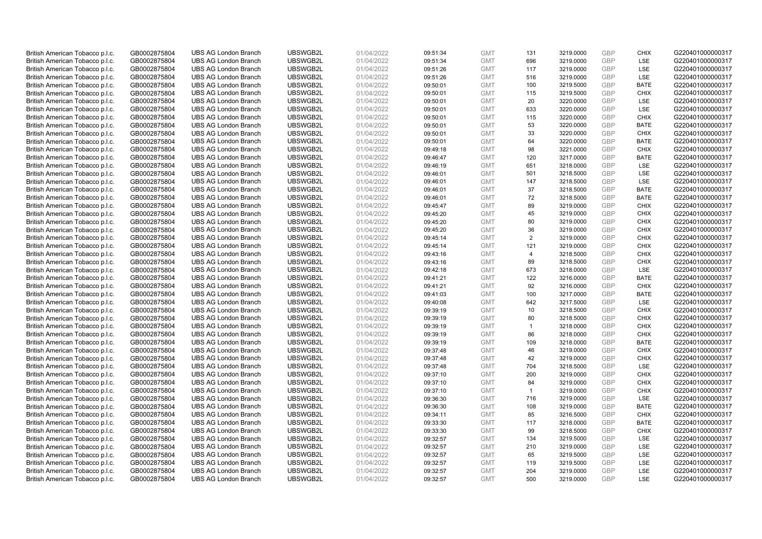| British American Tobacco p.l.c. | GB0002875804 | <b>UBS AG London Branch</b>                                | UBSWGB2L             | 01/04/2022 | 09:51:34 | <b>GMT</b> | 131            | 3219.0000 | <b>GBP</b> | <b>CHIX</b> | G220401000000317 |
|---------------------------------|--------------|------------------------------------------------------------|----------------------|------------|----------|------------|----------------|-----------|------------|-------------|------------------|
| British American Tobacco p.l.c. | GB0002875804 | <b>UBS AG London Branch</b>                                | UBSWGB2L             | 01/04/2022 | 09:51:34 | <b>GMT</b> | 696            | 3219.0000 | GBP        | <b>LSE</b>  | G220401000000317 |
| British American Tobacco p.l.c. | GB0002875804 | <b>UBS AG London Branch</b>                                | UBSWGB2L             | 01/04/2022 | 09:51:26 | <b>GMT</b> | 117            | 3219.0000 | <b>GBP</b> | LSE         | G220401000000317 |
| British American Tobacco p.l.c. | GB0002875804 | <b>UBS AG London Branch</b>                                | UBSWGB2L             | 01/04/2022 | 09:51:26 | <b>GMT</b> | 516            | 3219.0000 | GBP        | LSE         | G220401000000317 |
| British American Tobacco p.l.c. | GB0002875804 | <b>UBS AG London Branch</b>                                | UBSWGB2L             | 01/04/2022 | 09:50:01 | <b>GMT</b> | 100            | 3219.5000 | GBP        | <b>BATE</b> | G220401000000317 |
| British American Tobacco p.l.c. | GB0002875804 | <b>UBS AG London Branch</b>                                | UBSWGB2L             | 01/04/2022 | 09:50:01 | <b>GMT</b> | 115            | 3219.5000 | <b>GBP</b> | <b>CHIX</b> | G220401000000317 |
| British American Tobacco p.l.c. | GB0002875804 | <b>UBS AG London Branch</b>                                | UBSWGB2L             | 01/04/2022 | 09:50:01 | <b>GMT</b> | 20             | 3220.0000 | <b>GBP</b> | LSE         | G220401000000317 |
| British American Tobacco p.l.c. | GB0002875804 | <b>UBS AG London Branch</b>                                | UBSWGB2L             | 01/04/2022 | 09:50:01 | <b>GMT</b> | 633            | 3220.0000 | <b>GBP</b> | LSE         | G220401000000317 |
| British American Tobacco p.l.c. | GB0002875804 | <b>UBS AG London Branch</b>                                | UBSWGB2L             | 01/04/2022 | 09:50:01 | <b>GMT</b> | 115            | 3220.0000 | GBP        | <b>CHIX</b> | G220401000000317 |
| British American Tobacco p.l.c. | GB0002875804 | <b>UBS AG London Branch</b>                                | UBSWGB2L             | 01/04/2022 | 09:50:01 | <b>GMT</b> | 53             | 3220.0000 | <b>GBP</b> | <b>BATE</b> | G220401000000317 |
| British American Tobacco p.l.c. | GB0002875804 | <b>UBS AG London Branch</b>                                | UBSWGB2L             | 01/04/2022 | 09:50:01 | <b>GMT</b> | 33             | 3220.0000 | GBP        | <b>CHIX</b> | G220401000000317 |
| British American Tobacco p.l.c. | GB0002875804 | <b>UBS AG London Branch</b>                                | UBSWGB2L             | 01/04/2022 | 09:50:01 | <b>GMT</b> | 64             | 3220.0000 | <b>GBP</b> | <b>BATE</b> | G220401000000317 |
| British American Tobacco p.l.c. | GB0002875804 | <b>UBS AG London Branch</b>                                | UBSWGB2L             | 01/04/2022 | 09:49:18 | <b>GMT</b> | 98             | 3221.0000 | <b>GBP</b> | <b>CHIX</b> | G220401000000317 |
| British American Tobacco p.l.c. | GB0002875804 | <b>UBS AG London Branch</b>                                | UBSWGB2L             | 01/04/2022 | 09:46:47 | <b>GMT</b> | 120            | 3217.0000 | <b>GBP</b> | <b>BATE</b> | G220401000000317 |
| British American Tobacco p.l.c. | GB0002875804 | <b>UBS AG London Branch</b>                                | UBSWGB2L             | 01/04/2022 | 09:46:19 | <b>GMT</b> | 651            | 3218.0000 | <b>GBP</b> | <b>LSE</b>  | G220401000000317 |
| British American Tobacco p.l.c. | GB0002875804 | <b>UBS AG London Branch</b>                                | UBSWGB2L             | 01/04/2022 | 09:46:01 | <b>GMT</b> | 501            | 3218.5000 | GBP        | LSE         | G220401000000317 |
| British American Tobacco p.l.c. | GB0002875804 | <b>UBS AG London Branch</b>                                | UBSWGB2L             | 01/04/2022 | 09:46:01 | <b>GMT</b> | 147            | 3218.5000 | <b>GBP</b> | LSE         | G220401000000317 |
| British American Tobacco p.l.c. | GB0002875804 | <b>UBS AG London Branch</b>                                | UBSWGB2L             | 01/04/2022 | 09:46:01 | <b>GMT</b> | 37             | 3218.5000 | GBP        | <b>BATE</b> | G220401000000317 |
| British American Tobacco p.l.c. | GB0002875804 | <b>UBS AG London Branch</b>                                | UBSWGB2L             | 01/04/2022 | 09:46:01 | <b>GMT</b> | 72             | 3218.5000 | <b>GBP</b> | <b>BATE</b> | G220401000000317 |
| British American Tobacco p.l.c. | GB0002875804 | <b>UBS AG London Branch</b>                                | UBSWGB2L             | 01/04/2022 | 09:45:47 | <b>GMT</b> | 89             | 3219.0000 | GBP        | <b>CHIX</b> | G220401000000317 |
| British American Tobacco p.l.c. | GB0002875804 | <b>UBS AG London Branch</b>                                | UBSWGB2L             | 01/04/2022 | 09:45:20 | <b>GMT</b> | 45             | 3219.0000 | <b>GBP</b> | <b>CHIX</b> | G220401000000317 |
| British American Tobacco p.l.c. | GB0002875804 | <b>UBS AG London Branch</b>                                | UBSWGB2L             | 01/04/2022 | 09:45:20 | <b>GMT</b> | 80             | 3219.0000 | GBP        | <b>CHIX</b> | G220401000000317 |
| British American Tobacco p.l.c. | GB0002875804 | <b>UBS AG London Branch</b>                                | UBSWGB2L             | 01/04/2022 | 09:45:20 | <b>GMT</b> | 36             | 3219.0000 | <b>GBP</b> | <b>CHIX</b> | G220401000000317 |
| British American Tobacco p.l.c. | GB0002875804 | <b>UBS AG London Branch</b>                                | UBSWGB2L             | 01/04/2022 | 09:45:14 | <b>GMT</b> | $\overline{2}$ | 3219.0000 | GBP        | <b>CHIX</b> | G220401000000317 |
| British American Tobacco p.l.c. | GB0002875804 | <b>UBS AG London Branch</b>                                | UBSWGB2L             | 01/04/2022 | 09:45:14 | <b>GMT</b> | 121            | 3219.0000 | <b>GBP</b> | <b>CHIX</b> | G220401000000317 |
| British American Tobacco p.l.c. | GB0002875804 | <b>UBS AG London Branch</b>                                | UBSWGB2L             | 01/04/2022 | 09:43:16 | <b>GMT</b> | $\overline{4}$ | 3218.5000 | <b>GBP</b> | <b>CHIX</b> | G220401000000317 |
| British American Tobacco p.l.c. | GB0002875804 | <b>UBS AG London Branch</b>                                | UBSWGB2L             | 01/04/2022 | 09:43:16 | <b>GMT</b> | 89             | 3218.5000 | <b>GBP</b> | <b>CHIX</b> | G220401000000317 |
| British American Tobacco p.l.c. | GB0002875804 | <b>UBS AG London Branch</b>                                | UBSWGB2L             | 01/04/2022 | 09:42:18 | <b>GMT</b> | 673            | 3218.0000 | <b>GBP</b> | <b>LSE</b>  | G220401000000317 |
| British American Tobacco p.l.c. | GB0002875804 | <b>UBS AG London Branch</b>                                | UBSWGB2L             | 01/04/2022 | 09:41:21 | <b>GMT</b> | 122            | 3216.0000 | GBP        | <b>BATE</b> | G220401000000317 |
| British American Tobacco p.l.c. | GB0002875804 | <b>UBS AG London Branch</b>                                | UBSWGB2L             | 01/04/2022 | 09:41:21 | <b>GMT</b> | 92             | 3216.0000 | GBP        | <b>CHIX</b> | G220401000000317 |
| British American Tobacco p.l.c. | GB0002875804 | <b>UBS AG London Branch</b>                                | UBSWGB2L             | 01/04/2022 | 09:41:03 | <b>GMT</b> | 100            | 3217.0000 | GBP        | <b>BATE</b> | G220401000000317 |
| British American Tobacco p.l.c. | GB0002875804 | <b>UBS AG London Branch</b>                                | UBSWGB2L             | 01/04/2022 | 09:40:08 | <b>GMT</b> | 642            | 3217.5000 | GBP        | <b>LSE</b>  | G220401000000317 |
| British American Tobacco p.l.c. | GB0002875804 | <b>UBS AG London Branch</b>                                | UBSWGB2L             | 01/04/2022 | 09:39:19 | <b>GMT</b> | 10             | 3218.5000 | GBP        | <b>CHIX</b> | G220401000000317 |
| British American Tobacco p.l.c. | GB0002875804 | <b>UBS AG London Branch</b>                                | UBSWGB2L             | 01/04/2022 | 09:39:19 | <b>GMT</b> | 80             | 3218.5000 | GBP        | <b>CHIX</b> | G220401000000317 |
| British American Tobacco p.l.c. | GB0002875804 | <b>UBS AG London Branch</b>                                | UBSWGB2L             | 01/04/2022 | 09:39:19 | <b>GMT</b> | $\mathbf{1}$   | 3218.0000 | GBP        | <b>CHIX</b> | G220401000000317 |
| British American Tobacco p.l.c. | GB0002875804 | <b>UBS AG London Branch</b>                                | UBSWGB2L             | 01/04/2022 | 09:39:19 | <b>GMT</b> | 86             | 3218.0000 | <b>GBP</b> | <b>CHIX</b> | G220401000000317 |
| British American Tobacco p.l.c. | GB0002875804 | <b>UBS AG London Branch</b>                                | UBSWGB2L             | 01/04/2022 | 09:39:19 | <b>GMT</b> | 109            | 3218.0000 | GBP        | <b>BATE</b> | G220401000000317 |
| British American Tobacco p.l.c. | GB0002875804 | <b>UBS AG London Branch</b>                                | UBSWGB2L             | 01/04/2022 | 09:37:48 | <b>GMT</b> | 46             | 3219.0000 | <b>GBP</b> | <b>CHIX</b> | G220401000000317 |
| British American Tobacco p.l.c. | GB0002875804 | <b>UBS AG London Branch</b>                                | UBSWGB2L             | 01/04/2022 | 09:37:48 | <b>GMT</b> | 42             | 3219.0000 | GBP        | <b>CHIX</b> | G220401000000317 |
| British American Tobacco p.l.c. | GB0002875804 | <b>UBS AG London Branch</b>                                | UBSWGB2L             | 01/04/2022 | 09:37:48 | <b>GMT</b> | 704            | 3218.5000 | <b>GBP</b> | <b>LSE</b>  | G220401000000317 |
| British American Tobacco p.l.c. | GB0002875804 | <b>UBS AG London Branch</b>                                | UBSWGB2L             | 01/04/2022 | 09:37:10 | <b>GMT</b> | 200            | 3219.0000 | <b>GBP</b> | <b>CHIX</b> | G220401000000317 |
| British American Tobacco p.l.c. | GB0002875804 | <b>UBS AG London Branch</b>                                | UBSWGB2L             | 01/04/2022 | 09:37:10 | <b>GMT</b> | 84             | 3219.0000 | GBP        | <b>CHIX</b> | G220401000000317 |
| British American Tobacco p.l.c. | GB0002875804 | <b>UBS AG London Branch</b>                                | UBSWGB2L             | 01/04/2022 | 09:37:10 | <b>GMT</b> | $\mathbf{1}$   | 3219.0000 | GBP        | <b>CHIX</b> | G220401000000317 |
| British American Tobacco p.l.c. | GB0002875804 | <b>UBS AG London Branch</b>                                | UBSWGB2L             | 01/04/2022 | 09:36:30 | <b>GMT</b> | 716            | 3219.0000 | GBP        | LSE         | G220401000000317 |
| British American Tobacco p.l.c. | GB0002875804 | <b>UBS AG London Branch</b>                                | UBSWGB2L             | 01/04/2022 | 09:36:30 | <b>GMT</b> | 108            | 3219.0000 | GBP        | <b>BATE</b> | G220401000000317 |
| British American Tobacco p.l.c. | GB0002875804 | <b>UBS AG London Branch</b>                                | UBSWGB2L             | 01/04/2022 | 09:34:11 | <b>GMT</b> | 85             | 3216.5000 | <b>GBP</b> | <b>CHIX</b> | G220401000000317 |
|                                 |              |                                                            |                      |            |          | <b>GMT</b> | 117            | 3218.0000 | <b>GBP</b> | <b>BATE</b> |                  |
| British American Tobacco p.l.c. | GB0002875804 | <b>UBS AG London Branch</b><br><b>UBS AG London Branch</b> | UBSWGB2L<br>UBSWGB2L | 01/04/2022 | 09:33:30 | <b>GMT</b> | 99             | 3218.5000 | <b>GBP</b> | <b>CHIX</b> | G220401000000317 |
| British American Tobacco p.l.c. | GB0002875804 |                                                            |                      | 01/04/2022 | 09:33:30 | <b>GMT</b> |                |           | <b>GBP</b> |             | G220401000000317 |
| British American Tobacco p.l.c. | GB0002875804 | <b>UBS AG London Branch</b>                                | UBSWGB2L             | 01/04/2022 | 09:32:57 |            | 134            | 3219.5000 | <b>GBP</b> | LSE         | G220401000000317 |
| British American Tobacco p.l.c. | GB0002875804 | <b>UBS AG London Branch</b>                                | UBSWGB2L             | 01/04/2022 | 09:32:57 | <b>GMT</b> | 210            | 3219.0000 |            | LSE         | G220401000000317 |
| British American Tobacco p.l.c. | GB0002875804 | <b>UBS AG London Branch</b>                                | UBSWGB2L             | 01/04/2022 | 09:32:57 | <b>GMT</b> | 65             | 3219.5000 | GBP        | LSE         | G220401000000317 |
| British American Tobacco p.l.c. | GB0002875804 | <b>UBS AG London Branch</b>                                | UBSWGB2L             | 01/04/2022 | 09:32:57 | <b>GMT</b> | 119            | 3219.5000 | <b>GBP</b> | LSE         | G220401000000317 |
| British American Tobacco p.l.c. | GB0002875804 | <b>UBS AG London Branch</b>                                | UBSWGB2L             | 01/04/2022 | 09:32:57 | <b>GMT</b> | 204            | 3219.0000 | GBP        | LSE         | G220401000000317 |
| British American Tobacco p.l.c. | GB0002875804 | <b>UBS AG London Branch</b>                                | UBSWGB2L             | 01/04/2022 | 09:32:57 | <b>GMT</b> | 500            | 3219.0000 | GBP        | <b>LSE</b>  | G220401000000317 |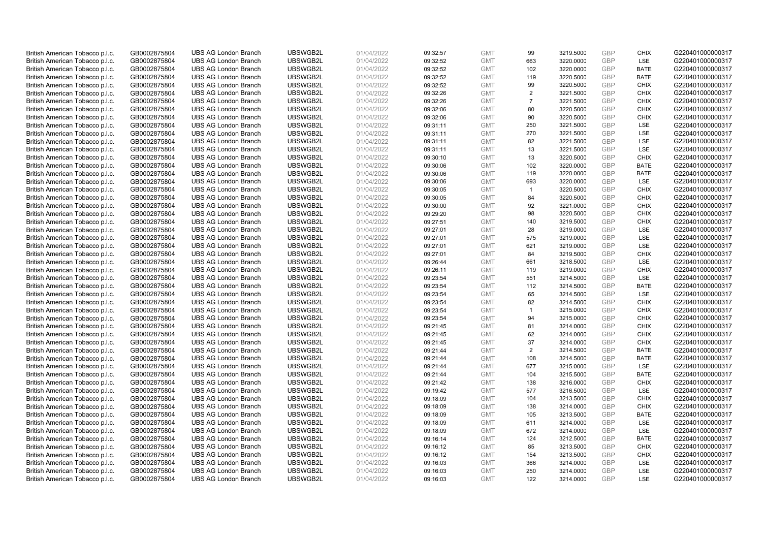| British American Tobacco p.l.c. | GB0002875804 | <b>UBS AG London Branch</b> | UBSWGB2L | 01/04/2022 | 09:32:57 | <b>GMT</b> | 99             | 3219.5000 | <b>GBP</b> | <b>CHIX</b> | G220401000000317 |
|---------------------------------|--------------|-----------------------------|----------|------------|----------|------------|----------------|-----------|------------|-------------|------------------|
| British American Tobacco p.l.c. | GB0002875804 | <b>UBS AG London Branch</b> | UBSWGB2L | 01/04/2022 | 09:32:52 | <b>GMT</b> | 663            | 3220.0000 | <b>GBP</b> | LSE         | G220401000000317 |
| British American Tobacco p.l.c. | GB0002875804 | <b>UBS AG London Branch</b> | UBSWGB2L | 01/04/2022 | 09:32:52 | <b>GMT</b> | 102            | 3220.0000 | GBP        | <b>BATE</b> | G220401000000317 |
| British American Tobacco p.l.c. | GB0002875804 | <b>UBS AG London Branch</b> | UBSWGB2L | 01/04/2022 | 09:32:52 | <b>GMT</b> | 119            | 3220.5000 | GBP        | <b>BATE</b> | G220401000000317 |
| British American Tobacco p.l.c. | GB0002875804 | <b>UBS AG London Branch</b> | UBSWGB2L | 01/04/2022 | 09:32:52 | <b>GMT</b> | 99             | 3220.5000 | <b>GBP</b> | <b>CHIX</b> | G220401000000317 |
| British American Tobacco p.l.c. | GB0002875804 | <b>UBS AG London Branch</b> | UBSWGB2L | 01/04/2022 | 09:32:26 | <b>GMT</b> | 2              | 3221.5000 | <b>GBP</b> | <b>CHIX</b> | G220401000000317 |
| British American Tobacco p.l.c. | GB0002875804 | <b>UBS AG London Branch</b> | UBSWGB2L | 01/04/2022 | 09:32:26 | <b>GMT</b> | $\overline{7}$ | 3221.5000 | GBP        | <b>CHIX</b> | G220401000000317 |
| British American Tobacco p.l.c. | GB0002875804 | <b>UBS AG London Branch</b> | UBSWGB2L | 01/04/2022 | 09:32:06 | <b>GMT</b> | 80             | 3220.5000 | <b>GBP</b> | <b>CHIX</b> | G220401000000317 |
| British American Tobacco p.l.c. | GB0002875804 | <b>UBS AG London Branch</b> | UBSWGB2L | 01/04/2022 | 09:32:06 | <b>GMT</b> | 90             | 3220.5000 | GBP        | <b>CHIX</b> | G220401000000317 |
| British American Tobacco p.l.c. | GB0002875804 | <b>UBS AG London Branch</b> | UBSWGB2L | 01/04/2022 | 09:31:11 | <b>GMT</b> | 250            | 3221.5000 | <b>GBP</b> | <b>LSE</b>  | G220401000000317 |
| British American Tobacco p.l.c. | GB0002875804 | <b>UBS AG London Branch</b> | UBSWGB2L | 01/04/2022 | 09:31:11 | <b>GMT</b> | 270            | 3221.5000 | GBP        | LSE         | G220401000000317 |
| British American Tobacco p.l.c. | GB0002875804 | <b>UBS AG London Branch</b> | UBSWGB2L | 01/04/2022 | 09:31:11 | <b>GMT</b> | 82             | 3221.5000 | <b>GBP</b> | LSE         | G220401000000317 |
| British American Tobacco p.l.c. | GB0002875804 | <b>UBS AG London Branch</b> | UBSWGB2L | 01/04/2022 | 09:31:11 | <b>GMT</b> | 13             | 3221.5000 | <b>GBP</b> | LSE         | G220401000000317 |
| British American Tobacco p.l.c. | GB0002875804 | <b>UBS AG London Branch</b> | UBSWGB2L | 01/04/2022 | 09:30:10 | <b>GMT</b> | 13             | 3220.5000 | <b>GBP</b> | <b>CHIX</b> | G220401000000317 |
| British American Tobacco p.l.c. | GB0002875804 | <b>UBS AG London Branch</b> | UBSWGB2L | 01/04/2022 | 09:30:06 | <b>GMT</b> | 102            | 3220.0000 | <b>GBP</b> | <b>BATE</b> | G220401000000317 |
| British American Tobacco p.l.c. | GB0002875804 | <b>UBS AG London Branch</b> | UBSWGB2L | 01/04/2022 | 09:30:06 | <b>GMT</b> | 119            | 3220.0000 | GBP        | <b>BATE</b> | G220401000000317 |
| British American Tobacco p.l.c. | GB0002875804 | <b>UBS AG London Branch</b> | UBSWGB2L | 01/04/2022 | 09:30:06 | <b>GMT</b> | 693            | 3220.0000 | <b>GBP</b> | <b>LSE</b>  | G220401000000317 |
| British American Tobacco p.l.c. | GB0002875804 | <b>UBS AG London Branch</b> | UBSWGB2L | 01/04/2022 | 09:30:05 | <b>GMT</b> | $\overline{1}$ | 3220.5000 | GBP        | <b>CHIX</b> | G220401000000317 |
| British American Tobacco p.l.c. | GB0002875804 | <b>UBS AG London Branch</b> | UBSWGB2L | 01/04/2022 | 09:30:05 | <b>GMT</b> | 84             | 3220.5000 | <b>GBP</b> | <b>CHIX</b> | G220401000000317 |
| British American Tobacco p.l.c. | GB0002875804 | <b>UBS AG London Branch</b> | UBSWGB2L | 01/04/2022 | 09:30:00 | <b>GMT</b> | 92             | 3221.0000 | GBP        | <b>CHIX</b> | G220401000000317 |
| British American Tobacco p.l.c. | GB0002875804 | <b>UBS AG London Branch</b> | UBSWGB2L | 01/04/2022 | 09:29:20 | <b>GMT</b> | 98             | 3220.5000 | <b>GBP</b> | <b>CHIX</b> | G220401000000317 |
| British American Tobacco p.l.c. | GB0002875804 | <b>UBS AG London Branch</b> | UBSWGB2L | 01/04/2022 | 09:27:51 | <b>GMT</b> | 140            | 3219.5000 | GBP        | <b>CHIX</b> | G220401000000317 |
| British American Tobacco p.l.c. | GB0002875804 | <b>UBS AG London Branch</b> | UBSWGB2L | 01/04/2022 | 09:27:01 | <b>GMT</b> | 28             | 3219.0000 | <b>GBP</b> | <b>LSE</b>  | G220401000000317 |
| British American Tobacco p.l.c. | GB0002875804 | <b>UBS AG London Branch</b> | UBSWGB2L | 01/04/2022 | 09:27:01 | <b>GMT</b> | 575            | 3219.0000 | GBP        | LSE         | G220401000000317 |
| British American Tobacco p.l.c. | GB0002875804 | <b>UBS AG London Branch</b> | UBSWGB2L | 01/04/2022 | 09:27:01 | <b>GMT</b> | 621            | 3219.0000 | <b>GBP</b> | LSE         | G220401000000317 |
| British American Tobacco p.l.c. | GB0002875804 | <b>UBS AG London Branch</b> | UBSWGB2L | 01/04/2022 | 09:27:01 | <b>GMT</b> | 84             | 3219.5000 | <b>GBP</b> | <b>CHIX</b> | G220401000000317 |
| British American Tobacco p.l.c. | GB0002875804 | <b>UBS AG London Branch</b> | UBSWGB2L | 01/04/2022 | 09:26:44 | <b>GMT</b> | 661            | 3218.5000 | <b>GBP</b> | <b>LSE</b>  | G220401000000317 |
| British American Tobacco p.l.c. | GB0002875804 | <b>UBS AG London Branch</b> | UBSWGB2L | 01/04/2022 | 09:26:11 | <b>GMT</b> | 119            | 3219.0000 | <b>GBP</b> | <b>CHIX</b> | G220401000000317 |
| British American Tobacco p.l.c. | GB0002875804 | <b>UBS AG London Branch</b> | UBSWGB2L | 01/04/2022 | 09:23:54 | <b>GMT</b> | 551            | 3214.5000 | GBP        | LSE         | G220401000000317 |
|                                 | GB0002875804 | <b>UBS AG London Branch</b> | UBSWGB2L | 01/04/2022 | 09:23:54 | <b>GMT</b> |                | 3214.5000 | <b>GBP</b> | <b>BATE</b> | G220401000000317 |
| British American Tobacco p.l.c. |              |                             |          |            |          |            | 112            |           |            | LSE         |                  |
| British American Tobacco p.l.c. | GB0002875804 | <b>UBS AG London Branch</b> | UBSWGB2L | 01/04/2022 | 09:23:54 | <b>GMT</b> | 65             | 3214.5000 | GBP        |             | G220401000000317 |
| British American Tobacco p.l.c. | GB0002875804 | <b>UBS AG London Branch</b> | UBSWGB2L | 01/04/2022 | 09:23:54 | <b>GMT</b> | 82             | 3214.5000 | GBP        | <b>CHIX</b> | G220401000000317 |
| British American Tobacco p.l.c. | GB0002875804 | <b>UBS AG London Branch</b> | UBSWGB2L | 01/04/2022 | 09:23:54 | <b>GMT</b> | $\mathbf{1}$   | 3215.0000 | GBP        | <b>CHIX</b> | G220401000000317 |
| British American Tobacco p.l.c. | GB0002875804 | <b>UBS AG London Branch</b> | UBSWGB2L | 01/04/2022 | 09:23:54 | <b>GMT</b> | 94             | 3215.0000 | GBP        | <b>CHIX</b> | G220401000000317 |
| British American Tobacco p.l.c. | GB0002875804 | <b>UBS AG London Branch</b> | UBSWGB2L | 01/04/2022 | 09:21:45 | <b>GMT</b> | 81             | 3214.0000 | GBP        | <b>CHIX</b> | G220401000000317 |
| British American Tobacco p.l.c. | GB0002875804 | <b>UBS AG London Branch</b> | UBSWGB2L | 01/04/2022 | 09:21:45 | <b>GMT</b> | 62             | 3214.0000 | <b>GBP</b> | <b>CHIX</b> | G220401000000317 |
| British American Tobacco p.l.c. | GB0002875804 | <b>UBS AG London Branch</b> | UBSWGB2L | 01/04/2022 | 09:21:45 | <b>GMT</b> | 37             | 3214.0000 | GBP        | <b>CHIX</b> | G220401000000317 |
| British American Tobacco p.l.c. | GB0002875804 | <b>UBS AG London Branch</b> | UBSWGB2L | 01/04/2022 | 09:21:44 | <b>GMT</b> | $\overline{2}$ | 3214.5000 | <b>GBP</b> | <b>BATE</b> | G220401000000317 |
| British American Tobacco p.l.c. | GB0002875804 | <b>UBS AG London Branch</b> | UBSWGB2L | 01/04/2022 | 09:21:44 | <b>GMT</b> | 108            | 3214.5000 | <b>GBP</b> | <b>BATE</b> | G220401000000317 |
| British American Tobacco p.l.c. | GB0002875804 | <b>UBS AG London Branch</b> | UBSWGB2L | 01/04/2022 | 09:21:44 | <b>GMT</b> | 677            | 3215.0000 | GBP        | LSE         | G220401000000317 |
| British American Tobacco p.l.c. | GB0002875804 | <b>UBS AG London Branch</b> | UBSWGB2L | 01/04/2022 | 09:21:44 | <b>GMT</b> | 104            | 3215.5000 | <b>GBP</b> | <b>BATE</b> | G220401000000317 |
| British American Tobacco p.l.c. | GB0002875804 | <b>UBS AG London Branch</b> | UBSWGB2L | 01/04/2022 | 09:21:42 | <b>GMT</b> | 138            | 3216.0000 | GBP        | <b>CHIX</b> | G220401000000317 |
| British American Tobacco p.l.c. | GB0002875804 | <b>UBS AG London Branch</b> | UBSWGB2L | 01/04/2022 | 09:19:42 | <b>GMT</b> | 577            | 3216.5000 | <b>GBP</b> | LSE         | G220401000000317 |
| British American Tobacco p.l.c. | GB0002875804 | <b>UBS AG London Branch</b> | UBSWGB2L | 01/04/2022 | 09:18:09 | <b>GMT</b> | 104            | 3213.5000 | GBP        | <b>CHIX</b> | G220401000000317 |
| British American Tobacco p.l.c. | GB0002875804 | <b>UBS AG London Branch</b> | UBSWGB2L | 01/04/2022 | 09:18:09 | <b>GMT</b> | 138            | 3214.0000 | GBP        | <b>CHIX</b> | G220401000000317 |
| British American Tobacco p.l.c. | GB0002875804 | <b>UBS AG London Branch</b> | UBSWGB2L | 01/04/2022 | 09:18:09 | <b>GMT</b> | 105            | 3213.5000 | <b>GBP</b> | <b>BATE</b> | G220401000000317 |
| British American Tobacco p.l.c. | GB0002875804 | <b>UBS AG London Branch</b> | UBSWGB2L | 01/04/2022 | 09:18:09 | <b>GMT</b> | 611            | 3214.0000 | <b>GBP</b> | LSE         | G220401000000317 |
| British American Tobacco p.l.c. | GB0002875804 | <b>UBS AG London Branch</b> | UBSWGB2L | 01/04/2022 | 09:18:09 | <b>GMT</b> | 672            | 3214.0000 | <b>GBP</b> | LSE         | G220401000000317 |
| British American Tobacco p.l.c. | GB0002875804 | <b>UBS AG London Branch</b> | UBSWGB2L | 01/04/2022 | 09:16:14 | <b>GMT</b> | 124            | 3212.5000 | GBP        | <b>BATE</b> | G220401000000317 |
| British American Tobacco p.l.c. | GB0002875804 | <b>UBS AG London Branch</b> | UBSWGB2L | 01/04/2022 | 09:16:12 | <b>GMT</b> | 85             | 3213.5000 | GBP        | <b>CHIX</b> | G220401000000317 |
| British American Tobacco p.l.c. | GB0002875804 | <b>UBS AG London Branch</b> | UBSWGB2L | 01/04/2022 | 09:16:12 | <b>GMT</b> | 154            | 3213.5000 | GBP        | <b>CHIX</b> | G220401000000317 |
| British American Tobacco p.l.c. | GB0002875804 | <b>UBS AG London Branch</b> | UBSWGB2L | 01/04/2022 | 09:16:03 | <b>GMT</b> | 366            | 3214.0000 | <b>GBP</b> | LSE         | G220401000000317 |
| British American Tobacco p.l.c. | GB0002875804 | <b>UBS AG London Branch</b> | UBSWGB2L | 01/04/2022 | 09:16:03 | <b>GMT</b> | 250            | 3214.0000 | GBP        | LSE         | G220401000000317 |
| British American Tobacco p.l.c. | GB0002875804 | <b>UBS AG London Branch</b> | UBSWGB2L | 01/04/2022 | 09:16:03 | <b>GMT</b> | 122            | 3214.0000 | GBP        | <b>LSE</b>  | G220401000000317 |
|                                 |              |                             |          |            |          |            |                |           |            |             |                  |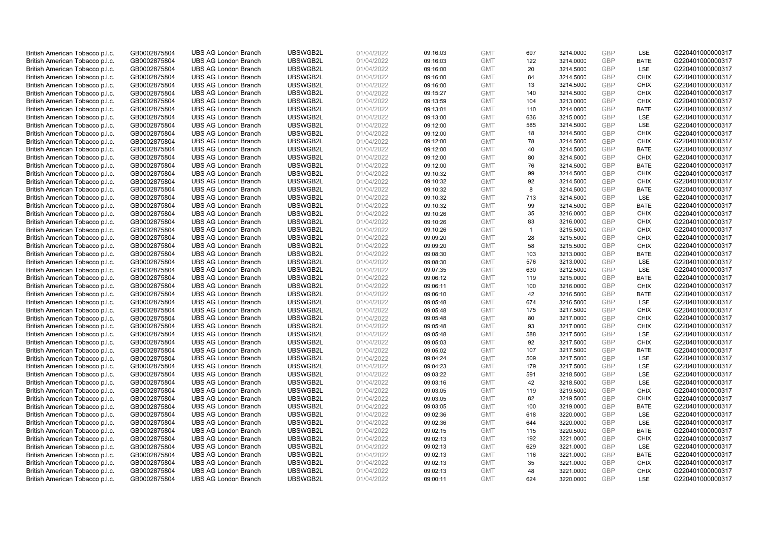| British American Tobacco p.l.c. | GB0002875804 | <b>UBS AG London Branch</b> | UBSWGB2L | 01/04/2022 | 09:16:03 | <b>GMT</b> | 697            | 3214.0000 | <b>GBP</b> | <b>LSE</b>  | G220401000000317 |
|---------------------------------|--------------|-----------------------------|----------|------------|----------|------------|----------------|-----------|------------|-------------|------------------|
| British American Tobacco p.l.c. | GB0002875804 | <b>UBS AG London Branch</b> | UBSWGB2L | 01/04/2022 | 09:16:03 | <b>GMT</b> | 122            | 3214.0000 | GBP        | <b>BATE</b> | G220401000000317 |
| British American Tobacco p.l.c. | GB0002875804 | <b>UBS AG London Branch</b> | UBSWGB2L | 01/04/2022 | 09:16:00 | <b>GMT</b> | 20             | 3214.5000 | <b>GBP</b> | <b>LSE</b>  | G220401000000317 |
| British American Tobacco p.l.c. | GB0002875804 | <b>UBS AG London Branch</b> | UBSWGB2L | 01/04/2022 | 09:16:00 | <b>GMT</b> | 84             | 3214.5000 | GBP        | <b>CHIX</b> | G220401000000317 |
| British American Tobacco p.l.c. | GB0002875804 | <b>UBS AG London Branch</b> | UBSWGB2L | 01/04/2022 | 09:16:00 | <b>GMT</b> | 13             | 3214.5000 | <b>GBP</b> | <b>CHIX</b> | G220401000000317 |
| British American Tobacco p.l.c. | GB0002875804 | <b>UBS AG London Branch</b> | UBSWGB2L | 01/04/2022 | 09:15:27 | <b>GMT</b> | 140            | 3214.5000 | GBP        | <b>CHIX</b> | G220401000000317 |
| British American Tobacco p.l.c. | GB0002875804 | <b>UBS AG London Branch</b> | UBSWGB2L | 01/04/2022 | 09:13:59 | <b>GMT</b> | 104            | 3213.0000 | <b>GBP</b> | <b>CHIX</b> | G220401000000317 |
| British American Tobacco p.l.c. | GB0002875804 | <b>UBS AG London Branch</b> | UBSWGB2L | 01/04/2022 | 09:13:01 | <b>GMT</b> | 110            | 3214.0000 | <b>GBP</b> | <b>BATE</b> | G220401000000317 |
| British American Tobacco p.l.c. | GB0002875804 | <b>UBS AG London Branch</b> | UBSWGB2L | 01/04/2022 | 09:13:00 | <b>GMT</b> | 636            | 3215.0000 | <b>GBP</b> | <b>LSE</b>  | G220401000000317 |
| British American Tobacco p.l.c. | GB0002875804 | <b>UBS AG London Branch</b> | UBSWGB2L | 01/04/2022 | 09:12:00 | <b>GMT</b> | 585            | 3214.5000 | <b>GBP</b> | <b>LSE</b>  | G220401000000317 |
| British American Tobacco p.l.c. | GB0002875804 | <b>UBS AG London Branch</b> | UBSWGB2L | 01/04/2022 | 09:12:00 | <b>GMT</b> | 18             | 3214.5000 | <b>GBP</b> | <b>CHIX</b> | G220401000000317 |
| British American Tobacco p.l.c. | GB0002875804 | <b>UBS AG London Branch</b> | UBSWGB2L | 01/04/2022 | 09:12:00 | <b>GMT</b> | 78             | 3214.5000 | <b>GBP</b> | <b>CHIX</b> | G220401000000317 |
| British American Tobacco p.l.c. | GB0002875804 | <b>UBS AG London Branch</b> | UBSWGB2L | 01/04/2022 | 09:12:00 | <b>GMT</b> | 40             | 3214.5000 | <b>GBP</b> | <b>BATE</b> | G220401000000317 |
| British American Tobacco p.l.c. | GB0002875804 | <b>UBS AG London Branch</b> | UBSWGB2L | 01/04/2022 | 09:12:00 | <b>GMT</b> | 80             | 3214.5000 | <b>GBP</b> | <b>CHIX</b> | G220401000000317 |
| British American Tobacco p.l.c. | GB0002875804 | <b>UBS AG London Branch</b> | UBSWGB2L | 01/04/2022 | 09:12:00 | <b>GMT</b> | 76             | 3214.5000 | <b>GBP</b> | <b>BATE</b> | G220401000000317 |
| British American Tobacco p.l.c. | GB0002875804 | <b>UBS AG London Branch</b> | UBSWGB2L | 01/04/2022 | 09:10:32 | <b>GMT</b> | 99             | 3214.5000 | <b>GBP</b> | <b>CHIX</b> | G220401000000317 |
| British American Tobacco p.l.c. | GB0002875804 | <b>UBS AG London Branch</b> | UBSWGB2L | 01/04/2022 | 09:10:32 | <b>GMT</b> | 92             | 3214.5000 | <b>GBP</b> | <b>CHIX</b> | G220401000000317 |
| British American Tobacco p.l.c. | GB0002875804 | <b>UBS AG London Branch</b> | UBSWGB2L | 01/04/2022 | 09:10:32 | <b>GMT</b> | 8              | 3214.5000 | GBP        | <b>BATE</b> | G220401000000317 |
| British American Tobacco p.l.c. | GB0002875804 | <b>UBS AG London Branch</b> | UBSWGB2L | 01/04/2022 | 09:10:32 | <b>GMT</b> | 713            | 3214.5000 | GBP        | <b>LSE</b>  | G220401000000317 |
| British American Tobacco p.l.c. | GB0002875804 | <b>UBS AG London Branch</b> | UBSWGB2L | 01/04/2022 | 09:10:32 | <b>GMT</b> | 99             | 3214.5000 | <b>GBP</b> | <b>BATE</b> | G220401000000317 |
| British American Tobacco p.l.c. | GB0002875804 | <b>UBS AG London Branch</b> | UBSWGB2L | 01/04/2022 | 09:10:26 | <b>GMT</b> | 35             | 3216.0000 | <b>GBP</b> | <b>CHIX</b> | G220401000000317 |
| British American Tobacco p.l.c. | GB0002875804 | <b>UBS AG London Branch</b> | UBSWGB2L | 01/04/2022 | 09:10:26 | <b>GMT</b> | 83             | 3216.0000 | GBP        | <b>CHIX</b> | G220401000000317 |
| British American Tobacco p.l.c. | GB0002875804 | <b>UBS AG London Branch</b> | UBSWGB2L | 01/04/2022 | 09:10:26 | <b>GMT</b> | $\overline{1}$ | 3215.5000 | <b>GBP</b> | <b>CHIX</b> | G220401000000317 |
| British American Tobacco p.l.c. | GB0002875804 | <b>UBS AG London Branch</b> | UBSWGB2L | 01/04/2022 | 09:09:20 | <b>GMT</b> | 28             | 3215.5000 | <b>GBP</b> | <b>CHIX</b> | G220401000000317 |
| British American Tobacco p.l.c. | GB0002875804 | <b>UBS AG London Branch</b> | UBSWGB2L | 01/04/2022 | 09:09:20 | <b>GMT</b> | 58             | 3215.5000 | <b>GBP</b> | <b>CHIX</b> | G220401000000317 |
| British American Tobacco p.l.c. | GB0002875804 | <b>UBS AG London Branch</b> | UBSWGB2L | 01/04/2022 | 09:08:30 | <b>GMT</b> | 103            | 3213.0000 | GBP        | <b>BATE</b> | G220401000000317 |
| British American Tobacco p.l.c. | GB0002875804 | <b>UBS AG London Branch</b> | UBSWGB2L | 01/04/2022 | 09:08:30 | <b>GMT</b> | 576            | 3213.0000 | <b>GBP</b> | LSE         | G220401000000317 |
| British American Tobacco p.l.c. | GB0002875804 | <b>UBS AG London Branch</b> | UBSWGB2L | 01/04/2022 | 09:07:35 | <b>GMT</b> | 630            | 3212.5000 | <b>GBP</b> | LSE         | G220401000000317 |
| British American Tobacco p.l.c. | GB0002875804 | <b>UBS AG London Branch</b> | UBSWGB2L | 01/04/2022 | 09:06:12 | <b>GMT</b> | 119            | 3215.0000 | GBP        | <b>BATE</b> | G220401000000317 |
| British American Tobacco p.l.c. | GB0002875804 | <b>UBS AG London Branch</b> | UBSWGB2L | 01/04/2022 | 09:06:11 | <b>GMT</b> | 100            | 3216.0000 | GBP        | <b>CHIX</b> | G220401000000317 |
| British American Tobacco p.l.c. | GB0002875804 | <b>UBS AG London Branch</b> | UBSWGB2L | 01/04/2022 | 09:06:10 | <b>GMT</b> | 42             | 3216.5000 | <b>GBP</b> | <b>BATE</b> | G220401000000317 |
| British American Tobacco p.l.c. | GB0002875804 | <b>UBS AG London Branch</b> | UBSWGB2L | 01/04/2022 | 09:05:48 | <b>GMT</b> | 674            | 3216.5000 | <b>GBP</b> | <b>LSE</b>  | G220401000000317 |
| British American Tobacco p.l.c. | GB0002875804 | <b>UBS AG London Branch</b> | UBSWGB2L | 01/04/2022 | 09:05:48 | <b>GMT</b> | 175            | 3217.5000 | GBP        | <b>CHIX</b> | G220401000000317 |
| British American Tobacco p.l.c. | GB0002875804 | <b>UBS AG London Branch</b> | UBSWGB2L | 01/04/2022 | 09:05:48 | <b>GMT</b> | 80             | 3217.0000 | <b>GBP</b> | <b>CHIX</b> | G220401000000317 |
| British American Tobacco p.l.c. | GB0002875804 | <b>UBS AG London Branch</b> | UBSWGB2L | 01/04/2022 | 09:05:48 | <b>GMT</b> | 93             | 3217.0000 | <b>GBP</b> | <b>CHIX</b> | G220401000000317 |
| British American Tobacco p.l.c. | GB0002875804 | <b>UBS AG London Branch</b> | UBSWGB2L | 01/04/2022 | 09:05:48 | <b>GMT</b> | 588            | 3217.5000 | <b>GBP</b> | <b>LSE</b>  | G220401000000317 |
| British American Tobacco p.l.c. | GB0002875804 | <b>UBS AG London Branch</b> | UBSWGB2L | 01/04/2022 | 09:05:03 | <b>GMT</b> | 92             | 3217.5000 | GBP        | <b>CHIX</b> | G220401000000317 |
| British American Tobacco p.l.c. | GB0002875804 | <b>UBS AG London Branch</b> | UBSWGB2L | 01/04/2022 | 09:05:02 | <b>GMT</b> | 107            | 3217.5000 | <b>GBP</b> | <b>BATE</b> | G220401000000317 |
| British American Tobacco p.l.c. | GB0002875804 | <b>UBS AG London Branch</b> | UBSWGB2L | 01/04/2022 | 09:04:24 | <b>GMT</b> | 509            | 3217.5000 | <b>GBP</b> | <b>LSE</b>  | G220401000000317 |
| British American Tobacco p.l.c. | GB0002875804 | <b>UBS AG London Branch</b> | UBSWGB2L | 01/04/2022 | 09:04:23 | <b>GMT</b> | 179            | 3217.5000 | GBP        | LSE         | G220401000000317 |
| British American Tobacco p.l.c. | GB0002875804 | <b>UBS AG London Branch</b> | UBSWGB2L | 01/04/2022 | 09:03:22 | <b>GMT</b> | 591            | 3218.5000 | <b>GBP</b> | <b>LSE</b>  | G220401000000317 |
| British American Tobacco p.l.c. | GB0002875804 | <b>UBS AG London Branch</b> | UBSWGB2L | 01/04/2022 | 09:03:16 | <b>GMT</b> | 42             | 3218.5000 | <b>GBP</b> | LSE         | G220401000000317 |
| British American Tobacco p.l.c. | GB0002875804 | <b>UBS AG London Branch</b> | UBSWGB2L | 01/04/2022 | 09:03:05 | <b>GMT</b> | 119            | 3219.5000 | <b>GBP</b> | <b>CHIX</b> | G220401000000317 |
| British American Tobacco p.l.c. | GB0002875804 | <b>UBS AG London Branch</b> | UBSWGB2L | 01/04/2022 | 09:03:05 | <b>GMT</b> | 82             | 3219.5000 | GBP        | <b>CHIX</b> | G220401000000317 |
| British American Tobacco p.l.c. | GB0002875804 | <b>UBS AG London Branch</b> | UBSWGB2L | 01/04/2022 | 09:03:05 | <b>GMT</b> | 100            | 3219.0000 | <b>GBP</b> | <b>BATE</b> | G220401000000317 |
| British American Tobacco p.l.c. | GB0002875804 | <b>UBS AG London Branch</b> | UBSWGB2L | 01/04/2022 | 09:02:36 | <b>GMT</b> | 618            | 3220.0000 | <b>GBP</b> | LSE         | G220401000000317 |
| British American Tobacco p.l.c. | GB0002875804 | <b>UBS AG London Branch</b> | UBSWGB2L | 01/04/2022 | 09:02:36 | <b>GMT</b> | 644            | 3220.0000 | <b>GBP</b> | LSE         | G220401000000317 |
| British American Tobacco p.l.c. | GB0002875804 | <b>UBS AG London Branch</b> | UBSWGB2L | 01/04/2022 | 09:02:15 | <b>GMT</b> | 115            | 3220.5000 | <b>GBP</b> | <b>BATE</b> | G220401000000317 |
| British American Tobacco p.l.c. | GB0002875804 | <b>UBS AG London Branch</b> | UBSWGB2L | 01/04/2022 | 09:02:13 | <b>GMT</b> | 192            | 3221.0000 | <b>GBP</b> | <b>CHIX</b> | G220401000000317 |
| British American Tobacco p.l.c. | GB0002875804 | <b>UBS AG London Branch</b> | UBSWGB2L | 01/04/2022 | 09:02:13 | <b>GMT</b> | 629            | 3221.0000 | <b>GBP</b> | <b>LSE</b>  | G220401000000317 |
| British American Tobacco p.l.c. | GB0002875804 | <b>UBS AG London Branch</b> | UBSWGB2L | 01/04/2022 | 09:02:13 | <b>GMT</b> | 116            | 3221.0000 | GBP        | <b>BATE</b> | G220401000000317 |
| British American Tobacco p.l.c. | GB0002875804 | <b>UBS AG London Branch</b> | UBSWGB2L | 01/04/2022 | 09:02:13 | <b>GMT</b> | 35             | 3221.0000 | <b>GBP</b> | <b>CHIX</b> | G220401000000317 |
| British American Tobacco p.l.c. | GB0002875804 | <b>UBS AG London Branch</b> | UBSWGB2L | 01/04/2022 | 09:02:13 | <b>GMT</b> | 48             | 3221.0000 | GBP        | <b>CHIX</b> | G220401000000317 |
| British American Tobacco p.l.c. | GB0002875804 | <b>UBS AG London Branch</b> | UBSWGB2L | 01/04/2022 | 09:00:11 | <b>GMT</b> | 624            | 3220.0000 | GBP        | <b>LSE</b>  | G220401000000317 |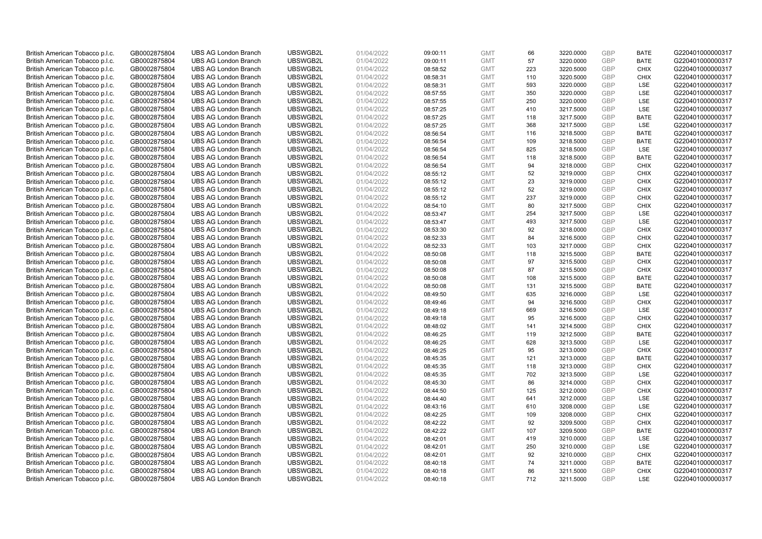| British American Tobacco p.l.c.                                    | GB0002875804                 | <b>UBS AG London Branch</b> | UBSWGB2L | 01/04/2022               | 09:00:11             | <b>GMT</b> | 66  | 3220.0000 | <b>GBP</b> | <b>BATE</b> | G220401000000317                     |
|--------------------------------------------------------------------|------------------------------|-----------------------------|----------|--------------------------|----------------------|------------|-----|-----------|------------|-------------|--------------------------------------|
| British American Tobacco p.l.c.                                    | GB0002875804                 | <b>UBS AG London Branch</b> | UBSWGB2L | 01/04/2022               | 09:00:11             | <b>GMT</b> | 57  | 3220.0000 | <b>GBP</b> | <b>BATE</b> | G220401000000317                     |
| British American Tobacco p.l.c.                                    | GB0002875804                 | <b>UBS AG London Branch</b> | UBSWGB2L | 01/04/2022               | 08:58:52             | <b>GMT</b> | 223 | 3220.5000 | <b>GBP</b> | <b>CHIX</b> | G220401000000317                     |
| British American Tobacco p.l.c.                                    | GB0002875804                 | <b>UBS AG London Branch</b> | UBSWGB2L | 01/04/2022               | 08:58:31             | <b>GMT</b> | 110 | 3220.5000 | <b>GBP</b> | <b>CHIX</b> | G220401000000317                     |
| British American Tobacco p.l.c.                                    | GB0002875804                 | <b>UBS AG London Branch</b> | UBSWGB2L | 01/04/2022               | 08:58:31             | <b>GMT</b> | 593 | 3220.0000 | <b>GBP</b> | <b>LSE</b>  | G220401000000317                     |
| British American Tobacco p.l.c.                                    | GB0002875804                 | <b>UBS AG London Branch</b> | UBSWGB2L | 01/04/2022               | 08:57:55             | <b>GMT</b> | 350 | 3220.0000 | GBP        | LSE         | G220401000000317                     |
| British American Tobacco p.l.c.                                    | GB0002875804                 | <b>UBS AG London Branch</b> | UBSWGB2L | 01/04/2022               | 08:57:55             | <b>GMT</b> | 250 | 3220.0000 | <b>GBP</b> | LSE         | G220401000000317                     |
| British American Tobacco p.l.c.                                    | GB0002875804                 | <b>UBS AG London Branch</b> | UBSWGB2L | 01/04/2022               | 08:57:25             | <b>GMT</b> | 410 | 3217.5000 | <b>GBP</b> | LSE         | G220401000000317                     |
| British American Tobacco p.l.c.                                    | GB0002875804                 | <b>UBS AG London Branch</b> | UBSWGB2L | 01/04/2022               | 08:57:25             | <b>GMT</b> | 118 | 3217.5000 | <b>GBP</b> | <b>BATE</b> | G220401000000317                     |
| British American Tobacco p.l.c.                                    | GB0002875804                 | <b>UBS AG London Branch</b> | UBSWGB2L | 01/04/2022               | 08:57:25             | <b>GMT</b> | 368 | 3217.5000 | <b>GBP</b> | <b>LSE</b>  | G220401000000317                     |
| British American Tobacco p.l.c.                                    | GB0002875804                 | <b>UBS AG London Branch</b> | UBSWGB2L | 01/04/2022               | 08:56:54             | <b>GMT</b> | 116 | 3218.5000 | <b>GBP</b> | <b>BATE</b> | G220401000000317                     |
| British American Tobacco p.l.c.                                    | GB0002875804                 | <b>UBS AG London Branch</b> | UBSWGB2L | 01/04/2022               | 08:56:54             | <b>GMT</b> | 109 | 3218.5000 | <b>GBP</b> | <b>BATE</b> | G220401000000317                     |
| British American Tobacco p.l.c.                                    | GB0002875804                 | <b>UBS AG London Branch</b> | UBSWGB2L | 01/04/2022               | 08:56:54             | <b>GMT</b> | 825 | 3218.5000 | <b>GBP</b> | LSE         | G220401000000317                     |
| British American Tobacco p.l.c.                                    | GB0002875804                 | <b>UBS AG London Branch</b> | UBSWGB2L | 01/04/2022               | 08:56:54             | <b>GMT</b> | 118 | 3218.5000 | <b>GBP</b> | <b>BATE</b> | G220401000000317                     |
| British American Tobacco p.l.c.                                    | GB0002875804                 | <b>UBS AG London Branch</b> | UBSWGB2L | 01/04/2022               | 08:56:54             | <b>GMT</b> | 94  | 3218.0000 | <b>GBP</b> | <b>CHIX</b> | G220401000000317                     |
| British American Tobacco p.l.c.                                    | GB0002875804                 | <b>UBS AG London Branch</b> | UBSWGB2L | 01/04/2022               | 08:55:12             | <b>GMT</b> | 52  | 3219.0000 | <b>GBP</b> | <b>CHIX</b> | G220401000000317                     |
| British American Tobacco p.l.c.                                    | GB0002875804                 | <b>UBS AG London Branch</b> | UBSWGB2L | 01/04/2022               | 08:55:12             | <b>GMT</b> | 23  | 3219.0000 | <b>GBP</b> | <b>CHIX</b> | G220401000000317                     |
| British American Tobacco p.l.c.                                    | GB0002875804                 | <b>UBS AG London Branch</b> | UBSWGB2L | 01/04/2022               | 08:55:12             | <b>GMT</b> | 52  | 3219.0000 | GBP        | <b>CHIX</b> | G220401000000317                     |
| British American Tobacco p.l.c.                                    | GB0002875804                 | <b>UBS AG London Branch</b> | UBSWGB2L | 01/04/2022               | 08:55:12             | <b>GMT</b> | 237 | 3219.0000 | <b>GBP</b> | <b>CHIX</b> | G220401000000317                     |
| British American Tobacco p.l.c.                                    | GB0002875804                 | <b>UBS AG London Branch</b> | UBSWGB2L | 01/04/2022               | 08:54:10             | <b>GMT</b> | 80  | 3217.5000 | <b>GBP</b> | <b>CHIX</b> | G220401000000317                     |
| British American Tobacco p.l.c.                                    | GB0002875804                 | <b>UBS AG London Branch</b> | UBSWGB2L | 01/04/2022               | 08:53:47             | <b>GMT</b> | 254 | 3217.5000 | <b>GBP</b> | LSE         | G220401000000317                     |
| British American Tobacco p.l.c.                                    | GB0002875804                 | <b>UBS AG London Branch</b> | UBSWGB2L | 01/04/2022               | 08:53:47             | <b>GMT</b> | 493 | 3217.5000 | GBP        | <b>LSE</b>  | G220401000000317                     |
| British American Tobacco p.l.c.                                    | GB0002875804                 | <b>UBS AG London Branch</b> | UBSWGB2L | 01/04/2022               | 08:53:30             | <b>GMT</b> | 92  | 3218.0000 | <b>GBP</b> | <b>CHIX</b> | G220401000000317                     |
| British American Tobacco p.l.c.                                    | GB0002875804                 | <b>UBS AG London Branch</b> | UBSWGB2L | 01/04/2022               | 08:52:33             | <b>GMT</b> | 84  | 3216.5000 | <b>GBP</b> | <b>CHIX</b> | G220401000000317                     |
| British American Tobacco p.l.c.                                    | GB0002875804                 | <b>UBS AG London Branch</b> | UBSWGB2L | 01/04/2022               | 08:52:33             | <b>GMT</b> | 103 | 3217.0000 | <b>GBP</b> | <b>CHIX</b> | G220401000000317                     |
|                                                                    |                              | <b>UBS AG London Branch</b> | UBSWGB2L |                          |                      | <b>GMT</b> | 118 |           | GBP        | <b>BATE</b> |                                      |
| British American Tobacco p.l.c.<br>British American Tobacco p.l.c. | GB0002875804<br>GB0002875804 | <b>UBS AG London Branch</b> | UBSWGB2L | 01/04/2022<br>01/04/2022 | 08:50:08<br>08:50:08 | <b>GMT</b> | 97  | 3215.5000 | <b>GBP</b> | <b>CHIX</b> | G220401000000317<br>G220401000000317 |
|                                                                    |                              |                             |          |                          |                      |            |     | 3215.5000 | <b>GBP</b> |             |                                      |
| British American Tobacco p.l.c.                                    | GB0002875804                 | <b>UBS AG London Branch</b> | UBSWGB2L | 01/04/2022               | 08:50:08             | <b>GMT</b> | 87  | 3215.5000 |            | <b>CHIX</b> | G220401000000317                     |
| British American Tobacco p.l.c.                                    | GB0002875804                 | <b>UBS AG London Branch</b> | UBSWGB2L | 01/04/2022               | 08:50:08             | <b>GMT</b> | 108 | 3215.5000 | GBP        | <b>BATE</b> | G220401000000317                     |
| British American Tobacco p.l.c.                                    | GB0002875804                 | <b>UBS AG London Branch</b> | UBSWGB2L | 01/04/2022               | 08:50:08             | <b>GMT</b> | 131 | 3215.5000 | GBP        | <b>BATE</b> | G220401000000317                     |
| British American Tobacco p.l.c.                                    | GB0002875804                 | <b>UBS AG London Branch</b> | UBSWGB2L | 01/04/2022               | 08:49:50             | <b>GMT</b> | 635 | 3216.0000 | <b>GBP</b> | LSE         | G220401000000317                     |
| British American Tobacco p.l.c.                                    | GB0002875804                 | <b>UBS AG London Branch</b> | UBSWGB2L | 01/04/2022               | 08:49:46             | <b>GMT</b> | 94  | 3216.5000 | <b>GBP</b> | <b>CHIX</b> | G220401000000317                     |
| British American Tobacco p.l.c.                                    | GB0002875804                 | <b>UBS AG London Branch</b> | UBSWGB2L | 01/04/2022               | 08:49:18             | <b>GMT</b> | 669 | 3216.5000 | GBP        | <b>LSE</b>  | G220401000000317                     |
| British American Tobacco p.l.c.                                    | GB0002875804                 | <b>UBS AG London Branch</b> | UBSWGB2L | 01/04/2022               | 08:49:18             | <b>GMT</b> | 95  | 3216.5000 | <b>GBP</b> | <b>CHIX</b> | G220401000000317                     |
| British American Tobacco p.l.c.                                    | GB0002875804                 | <b>UBS AG London Branch</b> | UBSWGB2L | 01/04/2022               | 08:48:02             | <b>GMT</b> | 141 | 3214.5000 | <b>GBP</b> | <b>CHIX</b> | G220401000000317                     |
| British American Tobacco p.l.c.                                    | GB0002875804                 | <b>UBS AG London Branch</b> | UBSWGB2L | 01/04/2022               | 08:46:25             | <b>GMT</b> | 119 | 3212.5000 | <b>GBP</b> | <b>BATE</b> | G220401000000317                     |
| British American Tobacco p.l.c.                                    | GB0002875804                 | <b>UBS AG London Branch</b> | UBSWGB2L | 01/04/2022               | 08:46:25             | <b>GMT</b> | 628 | 3213.5000 | GBP        | <b>LSE</b>  | G220401000000317                     |
| British American Tobacco p.l.c.                                    | GB0002875804                 | <b>UBS AG London Branch</b> | UBSWGB2L | 01/04/2022               | 08:46:25             | <b>GMT</b> | 95  | 3213.0000 | <b>GBP</b> | <b>CHIX</b> | G220401000000317                     |
| British American Tobacco p.l.c.                                    | GB0002875804                 | <b>UBS AG London Branch</b> | UBSWGB2L | 01/04/2022               | 08:45:35             | <b>GMT</b> | 121 | 3213.0000 | GBP        | <b>BATE</b> | G220401000000317                     |
| British American Tobacco p.l.c.                                    | GB0002875804                 | <b>UBS AG London Branch</b> | UBSWGB2L | 01/04/2022               | 08:45:35             | <b>GMT</b> | 118 | 3213.0000 | <b>GBP</b> | <b>CHIX</b> | G220401000000317                     |
| British American Tobacco p.l.c.                                    | GB0002875804                 | <b>UBS AG London Branch</b> | UBSWGB2L | 01/04/2022               | 08:45:35             | <b>GMT</b> | 702 | 3213.5000 | <b>GBP</b> | <b>LSE</b>  | G220401000000317                     |
| British American Tobacco p.l.c.                                    | GB0002875804                 | <b>UBS AG London Branch</b> | UBSWGB2L | 01/04/2022               | 08:45:30             | <b>GMT</b> | 86  | 3214.0000 | GBP        | <b>CHIX</b> | G220401000000317                     |
| British American Tobacco p.l.c.                                    | GB0002875804                 | <b>UBS AG London Branch</b> | UBSWGB2L | 01/04/2022               | 08:44:50             | <b>GMT</b> | 125 | 3212.0000 | <b>GBP</b> | <b>CHIX</b> | G220401000000317                     |
| British American Tobacco p.l.c.                                    | GB0002875804                 | <b>UBS AG London Branch</b> | UBSWGB2L | 01/04/2022               | 08:44:40             | <b>GMT</b> | 641 | 3212.0000 | <b>GBP</b> | LSE         | G220401000000317                     |
| British American Tobacco p.l.c.                                    | GB0002875804                 | <b>UBS AG London Branch</b> | UBSWGB2L | 01/04/2022               | 08:43:16             | <b>GMT</b> | 610 | 3208.0000 | <b>GBP</b> | <b>LSE</b>  | G220401000000317                     |
| British American Tobacco p.l.c.                                    | GB0002875804                 | <b>UBS AG London Branch</b> | UBSWGB2L | 01/04/2022               | 08:42:25             | <b>GMT</b> | 109 | 3208.0000 | <b>GBP</b> | <b>CHIX</b> | G220401000000317                     |
| British American Tobacco p.l.c.                                    | GB0002875804                 | <b>UBS AG London Branch</b> | UBSWGB2L | 01/04/2022               | 08:42:22             | <b>GMT</b> | 92  | 3209.5000 | <b>GBP</b> | <b>CHIX</b> | G220401000000317                     |
| British American Tobacco p.l.c.                                    | GB0002875804                 | <b>UBS AG London Branch</b> | UBSWGB2L | 01/04/2022               | 08:42:22             | <b>GMT</b> | 107 | 3209.5000 | <b>GBP</b> | <b>BATE</b> | G220401000000317                     |
| British American Tobacco p.l.c.                                    | GB0002875804                 | <b>UBS AG London Branch</b> | UBSWGB2L | 01/04/2022               | 08:42:01             | <b>GMT</b> | 419 | 3210.0000 | <b>GBP</b> | LSE         | G220401000000317                     |
| British American Tobacco p.l.c.                                    | GB0002875804                 | <b>UBS AG London Branch</b> | UBSWGB2L | 01/04/2022               | 08:42:01             | <b>GMT</b> | 250 | 3210.0000 | <b>GBP</b> | <b>LSE</b>  | G220401000000317                     |
| British American Tobacco p.l.c.                                    | GB0002875804                 | <b>UBS AG London Branch</b> | UBSWGB2L | 01/04/2022               | 08:42:01             | <b>GMT</b> | 92  | 3210.0000 | GBP        | <b>CHIX</b> | G220401000000317                     |
| British American Tobacco p.l.c.                                    | GB0002875804                 | <b>UBS AG London Branch</b> | UBSWGB2L | 01/04/2022               | 08:40:18             | <b>GMT</b> | 74  | 3211.0000 | <b>GBP</b> | <b>BATE</b> | G220401000000317                     |
| British American Tobacco p.l.c.                                    | GB0002875804                 | <b>UBS AG London Branch</b> | UBSWGB2L | 01/04/2022               | 08:40:18             | <b>GMT</b> | 86  | 3211.5000 | GBP        | <b>CHIX</b> | G220401000000317                     |
| British American Tobacco p.l.c.                                    | GB0002875804                 | <b>UBS AG London Branch</b> | UBSWGB2L | 01/04/2022               | 08:40:18             | <b>GMT</b> | 712 | 3211.5000 | GBP        | <b>LSE</b>  | G220401000000317                     |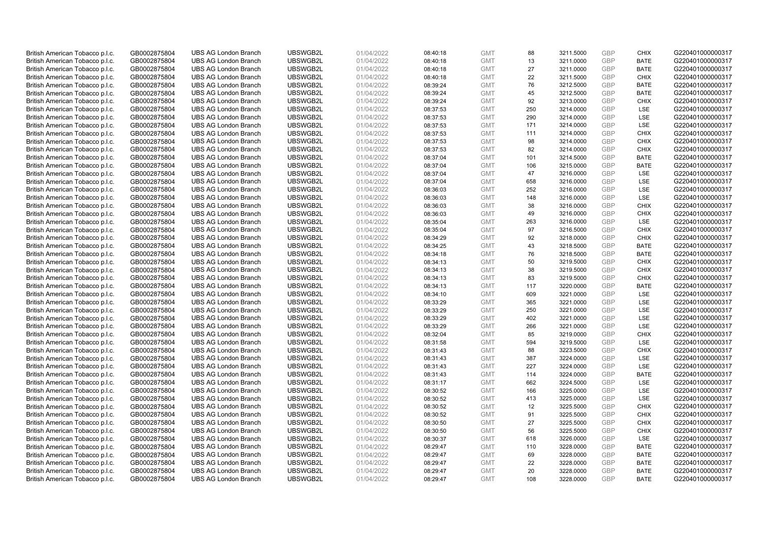| British American Tobacco p.l.c. | GB0002875804 | <b>UBS AG London Branch</b> | UBSWGB2L | 01/04/2022 | 08:40:18 | <b>GMT</b> | 88  | 3211.5000 | <b>GBP</b> | <b>CHIX</b> | G220401000000317 |
|---------------------------------|--------------|-----------------------------|----------|------------|----------|------------|-----|-----------|------------|-------------|------------------|
| British American Tobacco p.l.c. | GB0002875804 | <b>UBS AG London Branch</b> | UBSWGB2L | 01/04/2022 | 08:40:18 | <b>GMT</b> | 13  | 3211.0000 | <b>GBP</b> | <b>BATE</b> | G220401000000317 |
| British American Tobacco p.l.c. | GB0002875804 | <b>UBS AG London Branch</b> | UBSWGB2L | 01/04/2022 | 08:40:18 | <b>GMT</b> | 27  | 3211.0000 | GBP        | <b>BATE</b> | G220401000000317 |
| British American Tobacco p.l.c. | GB0002875804 | <b>UBS AG London Branch</b> | UBSWGB2L | 01/04/2022 | 08:40:18 | <b>GMT</b> | 22  | 3211.5000 | GBP        | <b>CHIX</b> | G220401000000317 |
| British American Tobacco p.l.c. | GB0002875804 | <b>UBS AG London Branch</b> | UBSWGB2L | 01/04/2022 | 08:39:24 | <b>GMT</b> | 76  | 3212.5000 | GBP        | <b>BATE</b> | G220401000000317 |
| British American Tobacco p.l.c. | GB0002875804 | <b>UBS AG London Branch</b> | UBSWGB2L | 01/04/2022 | 08:39:24 | <b>GMT</b> | 45  | 3212.5000 | <b>GBP</b> | <b>BATE</b> | G220401000000317 |
| British American Tobacco p.l.c. | GB0002875804 | <b>UBS AG London Branch</b> | UBSWGB2L | 01/04/2022 | 08:39:24 | <b>GMT</b> | 92  | 3213.0000 | GBP        | <b>CHIX</b> | G220401000000317 |
| British American Tobacco p.l.c. | GB0002875804 | <b>UBS AG London Branch</b> | UBSWGB2L | 01/04/2022 | 08:37:53 | <b>GMT</b> | 250 | 3214.0000 | <b>GBP</b> | <b>LSE</b>  | G220401000000317 |
| British American Tobacco p.l.c. | GB0002875804 | <b>UBS AG London Branch</b> | UBSWGB2L | 01/04/2022 | 08:37:53 | <b>GMT</b> | 290 | 3214.0000 | <b>GBP</b> | LSE         | G220401000000317 |
| British American Tobacco p.l.c. | GB0002875804 | <b>UBS AG London Branch</b> | UBSWGB2L | 01/04/2022 | 08:37:53 | <b>GMT</b> | 171 | 3214.0000 | <b>GBP</b> | <b>LSE</b>  | G220401000000317 |
| British American Tobacco p.l.c. | GB0002875804 | <b>UBS AG London Branch</b> | UBSWGB2L | 01/04/2022 | 08:37:53 | <b>GMT</b> | 111 | 3214.0000 | GBP        | <b>CHIX</b> | G220401000000317 |
| British American Tobacco p.l.c. | GB0002875804 | <b>UBS AG London Branch</b> | UBSWGB2L | 01/04/2022 | 08:37:53 | <b>GMT</b> | 98  | 3214.0000 | <b>GBP</b> | <b>CHIX</b> | G220401000000317 |
| British American Tobacco p.l.c. | GB0002875804 | <b>UBS AG London Branch</b> | UBSWGB2L | 01/04/2022 | 08:37:53 | <b>GMT</b> | 82  | 3214.0000 | <b>GBP</b> | <b>CHIX</b> | G220401000000317 |
| British American Tobacco p.l.c. | GB0002875804 | <b>UBS AG London Branch</b> | UBSWGB2L | 01/04/2022 | 08:37:04 | <b>GMT</b> | 101 | 3214.5000 | <b>GBP</b> | <b>BATE</b> | G220401000000317 |
| British American Tobacco p.l.c. | GB0002875804 | <b>UBS AG London Branch</b> | UBSWGB2L | 01/04/2022 | 08:37:04 | <b>GMT</b> | 106 | 3215.0000 | <b>GBP</b> | <b>BATE</b> | G220401000000317 |
| British American Tobacco p.l.c. | GB0002875804 | <b>UBS AG London Branch</b> | UBSWGB2L | 01/04/2022 | 08:37:04 | <b>GMT</b> | 47  | 3216.0000 | GBP        | LSE         | G220401000000317 |
| British American Tobacco p.l.c. | GB0002875804 | <b>UBS AG London Branch</b> | UBSWGB2L | 01/04/2022 | 08:37:04 | <b>GMT</b> | 658 | 3216.0000 | <b>GBP</b> | LSE         | G220401000000317 |
| British American Tobacco p.l.c. | GB0002875804 | <b>UBS AG London Branch</b> | UBSWGB2L | 01/04/2022 | 08:36:03 | <b>GMT</b> | 252 | 3216.0000 | <b>GBP</b> | LSE         | G220401000000317 |
| British American Tobacco p.l.c. | GB0002875804 | <b>UBS AG London Branch</b> | UBSWGB2L | 01/04/2022 | 08:36:03 | <b>GMT</b> | 148 | 3216.0000 | <b>GBP</b> | <b>LSE</b>  | G220401000000317 |
| British American Tobacco p.l.c. | GB0002875804 | <b>UBS AG London Branch</b> | UBSWGB2L | 01/04/2022 | 08:36:03 | <b>GMT</b> | 38  | 3216.0000 | GBP        | <b>CHIX</b> | G220401000000317 |
| British American Tobacco p.l.c. | GB0002875804 | <b>UBS AG London Branch</b> | UBSWGB2L | 01/04/2022 | 08:36:03 | <b>GMT</b> | 49  | 3216.0000 | <b>GBP</b> | <b>CHIX</b> | G220401000000317 |
| British American Tobacco p.l.c. | GB0002875804 | <b>UBS AG London Branch</b> | UBSWGB2L | 01/04/2022 | 08:35:04 | <b>GMT</b> | 263 | 3216.0000 | GBP        | LSE         | G220401000000317 |
| British American Tobacco p.l.c. | GB0002875804 | <b>UBS AG London Branch</b> | UBSWGB2L | 01/04/2022 | 08:35:04 | <b>GMT</b> | 97  | 3216.5000 | <b>GBP</b> | <b>CHIX</b> | G220401000000317 |
| British American Tobacco p.l.c. | GB0002875804 | <b>UBS AG London Branch</b> | UBSWGB2L | 01/04/2022 | 08:34:29 | <b>GMT</b> | 92  | 3218.0000 | GBP        | <b>CHIX</b> | G220401000000317 |
| British American Tobacco p.l.c. | GB0002875804 | <b>UBS AG London Branch</b> | UBSWGB2L | 01/04/2022 | 08:34:25 | <b>GMT</b> | 43  | 3218.5000 | <b>GBP</b> | <b>BATE</b> | G220401000000317 |
| British American Tobacco p.l.c. | GB0002875804 | <b>UBS AG London Branch</b> | UBSWGB2L | 01/04/2022 | 08:34:18 | <b>GMT</b> | 76  | 3218.5000 | <b>GBP</b> | <b>BATE</b> | G220401000000317 |
| British American Tobacco p.l.c. | GB0002875804 | <b>UBS AG London Branch</b> | UBSWGB2L | 01/04/2022 | 08:34:13 | <b>GMT</b> | 50  | 3219.5000 | <b>GBP</b> | <b>CHIX</b> | G220401000000317 |
| British American Tobacco p.l.c. | GB0002875804 | <b>UBS AG London Branch</b> | UBSWGB2L | 01/04/2022 | 08:34:13 | <b>GMT</b> | 38  | 3219.5000 | <b>GBP</b> | <b>CHIX</b> | G220401000000317 |
| British American Tobacco p.l.c. | GB0002875804 | <b>UBS AG London Branch</b> | UBSWGB2L | 01/04/2022 | 08:34:13 | <b>GMT</b> | 83  | 3219.5000 | GBP        | <b>CHIX</b> | G220401000000317 |
| British American Tobacco p.l.c. | GB0002875804 | <b>UBS AG London Branch</b> | UBSWGB2L | 01/04/2022 | 08:34:13 | <b>GMT</b> | 117 | 3220.0000 | GBP        | <b>BATE</b> | G220401000000317 |
| British American Tobacco p.l.c. | GB0002875804 | <b>UBS AG London Branch</b> | UBSWGB2L | 01/04/2022 | 08:34:10 | <b>GMT</b> | 609 | 3221.0000 | <b>GBP</b> | LSE         | G220401000000317 |
| British American Tobacco p.l.c. | GB0002875804 | <b>UBS AG London Branch</b> | UBSWGB2L | 01/04/2022 | 08:33:29 | <b>GMT</b> | 365 | 3221.0000 | <b>GBP</b> | <b>LSE</b>  | G220401000000317 |
| British American Tobacco p.l.c. | GB0002875804 | <b>UBS AG London Branch</b> | UBSWGB2L | 01/04/2022 | 08:33:29 | <b>GMT</b> | 250 | 3221.0000 | <b>GBP</b> | LSE         | G220401000000317 |
| British American Tobacco p.l.c. | GB0002875804 | <b>UBS AG London Branch</b> | UBSWGB2L | 01/04/2022 | 08:33:29 | <b>GMT</b> | 402 | 3221.0000 | GBP        | LSE         | G220401000000317 |
| British American Tobacco p.l.c. | GB0002875804 | <b>UBS AG London Branch</b> | UBSWGB2L | 01/04/2022 | 08:33:29 | <b>GMT</b> | 266 | 3221.0000 | <b>GBP</b> | LSE         | G220401000000317 |
| British American Tobacco p.l.c. | GB0002875804 | <b>UBS AG London Branch</b> | UBSWGB2L | 01/04/2022 | 08:32:04 | <b>GMT</b> | 85  | 3219.0000 | <b>GBP</b> | <b>CHIX</b> | G220401000000317 |
| British American Tobacco p.l.c. | GB0002875804 | <b>UBS AG London Branch</b> | UBSWGB2L | 01/04/2022 | 08:31:58 | <b>GMT</b> | 594 | 3219.5000 | GBP        | <b>LSE</b>  | G220401000000317 |
| British American Tobacco p.l.c. | GB0002875804 | <b>UBS AG London Branch</b> | UBSWGB2L | 01/04/2022 | 08:31:43 | <b>GMT</b> | 88  | 3223.5000 | <b>GBP</b> | <b>CHIX</b> | G220401000000317 |
| British American Tobacco p.l.c. | GB0002875804 | <b>UBS AG London Branch</b> | UBSWGB2L | 01/04/2022 | 08:31:43 | <b>GMT</b> | 387 | 3224.0000 | GBP        | LSE         | G220401000000317 |
| British American Tobacco p.l.c. | GB0002875804 | <b>UBS AG London Branch</b> | UBSWGB2L | 01/04/2022 | 08:31:43 | <b>GMT</b> | 227 | 3224.0000 | GBP        | <b>LSE</b>  | G220401000000317 |
| British American Tobacco p.l.c. | GB0002875804 | <b>UBS AG London Branch</b> | UBSWGB2L | 01/04/2022 | 08:31:43 | <b>GMT</b> | 114 | 3224.0000 | <b>GBP</b> | <b>BATE</b> | G220401000000317 |
| British American Tobacco p.l.c. | GB0002875804 | <b>UBS AG London Branch</b> | UBSWGB2L | 01/04/2022 | 08:31:17 | <b>GMT</b> | 662 | 3224.5000 | GBP        | <b>LSE</b>  | G220401000000317 |
| British American Tobacco p.l.c. | GB0002875804 | <b>UBS AG London Branch</b> | UBSWGB2L | 01/04/2022 | 08:30:52 | <b>GMT</b> | 166 | 3225.0000 | <b>GBP</b> | LSE         | G220401000000317 |
| British American Tobacco p.l.c. | GB0002875804 | <b>UBS AG London Branch</b> | UBSWGB2L | 01/04/2022 | 08:30:52 | <b>GMT</b> | 413 | 3225.0000 | GBP        | <b>LSE</b>  | G220401000000317 |
| British American Tobacco p.l.c. | GB0002875804 | <b>UBS AG London Branch</b> | UBSWGB2L | 01/04/2022 | 08:30:52 | <b>GMT</b> | 12  | 3225.5000 | GBP        | <b>CHIX</b> | G220401000000317 |
| British American Tobacco p.l.c. | GB0002875804 | <b>UBS AG London Branch</b> | UBSWGB2L | 01/04/2022 | 08:30:52 | <b>GMT</b> | 91  | 3225.5000 | <b>GBP</b> | <b>CHIX</b> | G220401000000317 |
| British American Tobacco p.l.c. | GB0002875804 | <b>UBS AG London Branch</b> | UBSWGB2L | 01/04/2022 | 08:30:50 | <b>GMT</b> | 27  | 3225.5000 | <b>GBP</b> | <b>CHIX</b> | G220401000000317 |
| British American Tobacco p.l.c. | GB0002875804 | <b>UBS AG London Branch</b> | UBSWGB2L | 01/04/2022 | 08:30:50 | <b>GMT</b> | 56  | 3225.5000 | GBP        | <b>CHIX</b> | G220401000000317 |
| British American Tobacco p.l.c. | GB0002875804 | <b>UBS AG London Branch</b> | UBSWGB2L | 01/04/2022 | 08:30:37 | <b>GMT</b> | 618 | 3226.0000 | GBP        | LSE         | G220401000000317 |
| British American Tobacco p.l.c. | GB0002875804 | <b>UBS AG London Branch</b> | UBSWGB2L | 01/04/2022 | 08:29:47 | <b>GMT</b> | 110 | 3228.0000 | GBP        | <b>BATE</b> | G220401000000317 |
| British American Tobacco p.l.c. | GB0002875804 | <b>UBS AG London Branch</b> | UBSWGB2L | 01/04/2022 | 08:29:47 | <b>GMT</b> | 69  | 3228.0000 | <b>GBP</b> | <b>BATE</b> | G220401000000317 |
| British American Tobacco p.l.c. | GB0002875804 | <b>UBS AG London Branch</b> | UBSWGB2L | 01/04/2022 | 08:29:47 | <b>GMT</b> | 22  | 3228.0000 | <b>GBP</b> | <b>BATE</b> | G220401000000317 |
| British American Tobacco p.l.c. | GB0002875804 | <b>UBS AG London Branch</b> | UBSWGB2L | 01/04/2022 | 08:29:47 | <b>GMT</b> | 20  | 3228.0000 | GBP        | <b>BATE</b> | G220401000000317 |
| British American Tobacco p.l.c. | GB0002875804 | <b>UBS AG London Branch</b> | UBSWGB2L | 01/04/2022 | 08:29:47 | <b>GMT</b> | 108 | 3228.0000 | GBP        | <b>BATE</b> | G220401000000317 |
|                                 |              |                             |          |            |          |            |     |           |            |             |                  |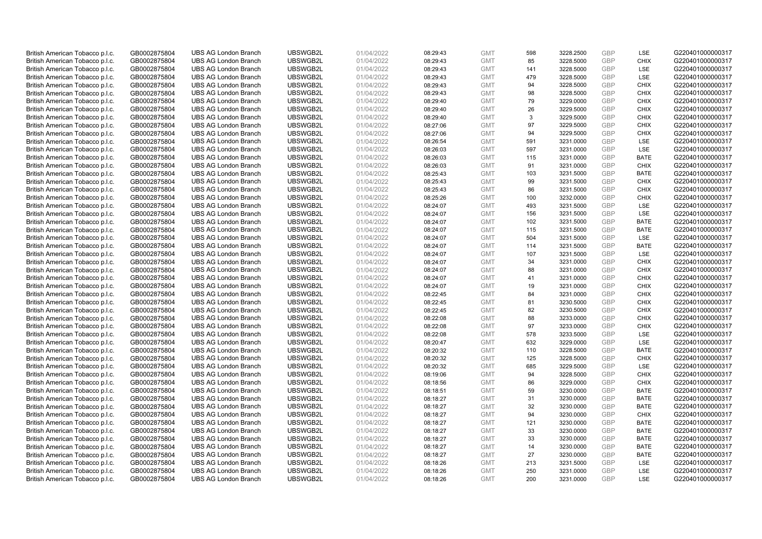| British American Tobacco p.l.c. | GB0002875804 | <b>UBS AG London Branch</b> | UBSWGB2L | 01/04/2022 | 08:29:43 | <b>GMT</b> | 598 | 3228.2500 | <b>GBP</b> | LSE         | G220401000000317 |
|---------------------------------|--------------|-----------------------------|----------|------------|----------|------------|-----|-----------|------------|-------------|------------------|
| British American Tobacco p.l.c. | GB0002875804 | <b>UBS AG London Branch</b> | UBSWGB2L | 01/04/2022 | 08:29:43 | <b>GMT</b> | 85  | 3228.5000 | GBP        | <b>CHIX</b> | G220401000000317 |
| British American Tobacco p.l.c. | GB0002875804 | <b>UBS AG London Branch</b> | UBSWGB2L | 01/04/2022 | 08:29:43 | <b>GMT</b> | 141 | 3228.5000 | <b>GBP</b> | <b>LSE</b>  | G220401000000317 |
| British American Tobacco p.l.c. | GB0002875804 | <b>UBS AG London Branch</b> | UBSWGB2L | 01/04/2022 | 08:29:43 | <b>GMT</b> | 479 | 3228.5000 | GBP        | LSE         | G220401000000317 |
| British American Tobacco p.l.c. | GB0002875804 | <b>UBS AG London Branch</b> | UBSWGB2L | 01/04/2022 | 08:29:43 | <b>GMT</b> | 94  | 3228.5000 | <b>GBP</b> | <b>CHIX</b> | G220401000000317 |
| British American Tobacco p.l.c. | GB0002875804 | <b>UBS AG London Branch</b> | UBSWGB2L | 01/04/2022 | 08:29:43 | <b>GMT</b> | 98  | 3228.5000 | <b>GBP</b> | <b>CHIX</b> | G220401000000317 |
| British American Tobacco p.l.c. | GB0002875804 | <b>UBS AG London Branch</b> | UBSWGB2L | 01/04/2022 | 08:29:40 | <b>GMT</b> | 79  | 3229.0000 | <b>GBP</b> | <b>CHIX</b> | G220401000000317 |
| British American Tobacco p.l.c. | GB0002875804 | <b>UBS AG London Branch</b> | UBSWGB2L | 01/04/2022 | 08:29:40 | <b>GMT</b> | 26  | 3229.5000 | <b>GBP</b> | <b>CHIX</b> | G220401000000317 |
| British American Tobacco p.l.c. | GB0002875804 | <b>UBS AG London Branch</b> | UBSWGB2L | 01/04/2022 | 08:29:40 | <b>GMT</b> | 3   | 3229.5000 | <b>GBP</b> | <b>CHIX</b> | G220401000000317 |
| British American Tobacco p.l.c. | GB0002875804 | <b>UBS AG London Branch</b> | UBSWGB2L | 01/04/2022 | 08:27:06 | <b>GMT</b> | 97  | 3229.5000 | GBP        | <b>CHIX</b> | G220401000000317 |
| British American Tobacco p.l.c. | GB0002875804 | <b>UBS AG London Branch</b> | UBSWGB2L | 01/04/2022 | 08:27:06 | <b>GMT</b> | 94  | 3229.5000 | GBP        | <b>CHIX</b> | G220401000000317 |
| British American Tobacco p.l.c. | GB0002875804 | <b>UBS AG London Branch</b> | UBSWGB2L | 01/04/2022 | 08:26:54 | <b>GMT</b> | 591 | 3231.0000 | <b>GBP</b> | LSE         | G220401000000317 |
| British American Tobacco p.l.c. | GB0002875804 | <b>UBS AG London Branch</b> | UBSWGB2L | 01/04/2022 | 08:26:03 | <b>GMT</b> | 597 | 3231.0000 | <b>GBP</b> | LSE         | G220401000000317 |
| British American Tobacco p.l.c. | GB0002875804 | <b>UBS AG London Branch</b> | UBSWGB2L | 01/04/2022 | 08:26:03 | <b>GMT</b> | 115 | 3231.0000 | <b>GBP</b> | <b>BATE</b> | G220401000000317 |
| British American Tobacco p.l.c. | GB0002875804 | <b>UBS AG London Branch</b> | UBSWGB2L | 01/04/2022 | 08:26:03 | <b>GMT</b> | 91  | 3231.0000 | GBP        | <b>CHIX</b> | G220401000000317 |
| British American Tobacco p.l.c. | GB0002875804 | <b>UBS AG London Branch</b> | UBSWGB2L | 01/04/2022 | 08:25:43 | <b>GMT</b> | 103 | 3231.5000 | <b>GBP</b> | <b>BATE</b> | G220401000000317 |
| British American Tobacco p.l.c. | GB0002875804 | <b>UBS AG London Branch</b> | UBSWGB2L | 01/04/2022 | 08:25:43 | <b>GMT</b> | 99  | 3231.5000 | <b>GBP</b> | <b>CHIX</b> | G220401000000317 |
| British American Tobacco p.l.c. | GB0002875804 | <b>UBS AG London Branch</b> | UBSWGB2L | 01/04/2022 | 08:25:43 | <b>GMT</b> | 86  | 3231.5000 | GBP        | <b>CHIX</b> | G220401000000317 |
| British American Tobacco p.l.c. | GB0002875804 | <b>UBS AG London Branch</b> | UBSWGB2L | 01/04/2022 | 08:25:26 | <b>GMT</b> | 100 | 3232.0000 | GBP        | <b>CHIX</b> | G220401000000317 |
| British American Tobacco p.l.c. | GB0002875804 | <b>UBS AG London Branch</b> | UBSWGB2L | 01/04/2022 | 08:24:07 | <b>GMT</b> | 493 | 3231.5000 | <b>GBP</b> | <b>LSE</b>  | G220401000000317 |
| British American Tobacco p.l.c. | GB0002875804 | <b>UBS AG London Branch</b> | UBSWGB2L | 01/04/2022 | 08:24:07 | <b>GMT</b> | 156 | 3231.5000 | GBP        | LSE         | G220401000000317 |
| British American Tobacco p.l.c. | GB0002875804 | <b>UBS AG London Branch</b> | UBSWGB2L | 01/04/2022 | 08:24:07 | <b>GMT</b> | 102 | 3231.5000 | GBP        | <b>BATE</b> | G220401000000317 |
| British American Tobacco p.l.c. | GB0002875804 | <b>UBS AG London Branch</b> | UBSWGB2L | 01/04/2022 | 08:24:07 | <b>GMT</b> | 115 | 3231.5000 | GBP        | <b>BATE</b> | G220401000000317 |
| British American Tobacco p.l.c. | GB0002875804 | <b>UBS AG London Branch</b> | UBSWGB2L | 01/04/2022 | 08:24:07 | <b>GMT</b> | 504 | 3231.5000 | <b>GBP</b> | LSE         | G220401000000317 |
| British American Tobacco p.l.c. | GB0002875804 | <b>UBS AG London Branch</b> | UBSWGB2L | 01/04/2022 | 08:24:07 | <b>GMT</b> | 114 | 3231.5000 | <b>GBP</b> | <b>BATE</b> | G220401000000317 |
| British American Tobacco p.l.c. | GB0002875804 | <b>UBS AG London Branch</b> | UBSWGB2L | 01/04/2022 | 08:24:07 | <b>GMT</b> | 107 | 3231.5000 | GBP        | LSE         | G220401000000317 |
| British American Tobacco p.l.c. | GB0002875804 | <b>UBS AG London Branch</b> | UBSWGB2L | 01/04/2022 | 08:24:07 | <b>GMT</b> | 34  | 3231.0000 | <b>GBP</b> | <b>CHIX</b> | G220401000000317 |
| British American Tobacco p.l.c. | GB0002875804 | <b>UBS AG London Branch</b> | UBSWGB2L | 01/04/2022 | 08:24:07 | <b>GMT</b> | 88  | 3231.0000 | <b>GBP</b> | <b>CHIX</b> | G220401000000317 |
| British American Tobacco p.l.c. | GB0002875804 | <b>UBS AG London Branch</b> | UBSWGB2L | 01/04/2022 | 08:24:07 | <b>GMT</b> | 41  | 3231.0000 | GBP        | <b>CHIX</b> | G220401000000317 |
| British American Tobacco p.l.c. | GB0002875804 | <b>UBS AG London Branch</b> | UBSWGB2L | 01/04/2022 | 08:24:07 | <b>GMT</b> | 19  | 3231.0000 | GBP        | <b>CHIX</b> | G220401000000317 |
| British American Tobacco p.l.c. | GB0002875804 | <b>UBS AG London Branch</b> | UBSWGB2L | 01/04/2022 | 08:22:45 | <b>GMT</b> | 84  | 3231.0000 | <b>GBP</b> | <b>CHIX</b> | G220401000000317 |
| British American Tobacco p.l.c. | GB0002875804 | <b>UBS AG London Branch</b> | UBSWGB2L | 01/04/2022 | 08:22:45 | <b>GMT</b> | 81  | 3230.5000 | <b>GBP</b> | <b>CHIX</b> | G220401000000317 |
| British American Tobacco p.l.c. | GB0002875804 | <b>UBS AG London Branch</b> | UBSWGB2L | 01/04/2022 | 08:22:45 | <b>GMT</b> | 82  | 3230.5000 | GBP        | <b>CHIX</b> | G220401000000317 |
| British American Tobacco p.l.c. | GB0002875804 | <b>UBS AG London Branch</b> | UBSWGB2L | 01/04/2022 | 08:22:08 | <b>GMT</b> | 88  | 3233.0000 | <b>GBP</b> | <b>CHIX</b> | G220401000000317 |
| British American Tobacco p.l.c. | GB0002875804 | <b>UBS AG London Branch</b> | UBSWGB2L | 01/04/2022 | 08:22:08 | <b>GMT</b> | 97  | 3233.0000 | <b>GBP</b> | <b>CHIX</b> | G220401000000317 |
| British American Tobacco p.l.c. | GB0002875804 | <b>UBS AG London Branch</b> | UBSWGB2L | 01/04/2022 | 08:22:08 | <b>GMT</b> | 578 | 3233.5000 | <b>GBP</b> | <b>LSE</b>  | G220401000000317 |
| British American Tobacco p.l.c. | GB0002875804 | <b>UBS AG London Branch</b> | UBSWGB2L | 01/04/2022 | 08:20:47 | <b>GMT</b> | 632 | 3229.0000 | GBP        | LSE         | G220401000000317 |
| British American Tobacco p.l.c. | GB0002875804 | <b>UBS AG London Branch</b> | UBSWGB2L | 01/04/2022 | 08:20:32 | <b>GMT</b> | 110 | 3228.5000 | <b>GBP</b> | <b>BATE</b> | G220401000000317 |
| British American Tobacco p.l.c. | GB0002875804 | <b>UBS AG London Branch</b> | UBSWGB2L | 01/04/2022 | 08:20:32 | <b>GMT</b> | 125 | 3228.5000 | <b>GBP</b> | <b>CHIX</b> | G220401000000317 |
| British American Tobacco p.l.c. | GB0002875804 | <b>UBS AG London Branch</b> | UBSWGB2L | 01/04/2022 | 08:20:32 | <b>GMT</b> | 685 | 3229.5000 | <b>GBP</b> | LSE         | G220401000000317 |
| British American Tobacco p.l.c. | GB0002875804 | <b>UBS AG London Branch</b> | UBSWGB2L | 01/04/2022 | 08:19:06 | <b>GMT</b> | 94  | 3228.5000 | <b>GBP</b> | <b>CHIX</b> | G220401000000317 |
| British American Tobacco p.l.c. | GB0002875804 | <b>UBS AG London Branch</b> | UBSWGB2L | 01/04/2022 | 08:18:56 | <b>GMT</b> | 86  | 3229.0000 | GBP        | <b>CHIX</b> | G220401000000317 |
| British American Tobacco p.l.c. | GB0002875804 | <b>UBS AG London Branch</b> | UBSWGB2L | 01/04/2022 | 08:18:51 | <b>GMT</b> | 59  | 3230.0000 | <b>GBP</b> | <b>BATE</b> | G220401000000317 |
| British American Tobacco p.l.c. | GB0002875804 | <b>UBS AG London Branch</b> | UBSWGB2L | 01/04/2022 | 08:18:27 | <b>GMT</b> | 31  | 3230.0000 | GBP        | <b>BATE</b> | G220401000000317 |
| British American Tobacco p.l.c. | GB0002875804 | <b>UBS AG London Branch</b> | UBSWGB2L | 01/04/2022 | 08:18:27 | <b>GMT</b> | 32  | 3230.0000 | <b>GBP</b> | <b>BATE</b> | G220401000000317 |
| British American Tobacco p.l.c. | GB0002875804 | <b>UBS AG London Branch</b> | UBSWGB2L | 01/04/2022 | 08:18:27 | <b>GMT</b> | 94  | 3230.0000 | GBP        | <b>CHIX</b> | G220401000000317 |
| British American Tobacco p.l.c. | GB0002875804 | <b>UBS AG London Branch</b> | UBSWGB2L | 01/04/2022 | 08:18:27 | <b>GMT</b> | 121 | 3230.0000 | <b>GBP</b> | <b>BATE</b> | G220401000000317 |
| British American Tobacco p.l.c. | GB0002875804 | <b>UBS AG London Branch</b> | UBSWGB2L | 01/04/2022 | 08:18:27 | <b>GMT</b> | 33  | 3230.0000 | <b>GBP</b> | <b>BATE</b> | G220401000000317 |
| British American Tobacco p.l.c. | GB0002875804 | <b>UBS AG London Branch</b> | UBSWGB2L | 01/04/2022 | 08:18:27 | <b>GMT</b> | 33  | 3230.0000 | <b>GBP</b> | <b>BATE</b> | G220401000000317 |
| British American Tobacco p.l.c. | GB0002875804 | <b>UBS AG London Branch</b> | UBSWGB2L | 01/04/2022 | 08:18:27 | <b>GMT</b> | 14  | 3230.0000 | GBP        | <b>BATE</b> | G220401000000317 |
| British American Tobacco p.l.c. | GB0002875804 | <b>UBS AG London Branch</b> | UBSWGB2L | 01/04/2022 | 08:18:27 | <b>GMT</b> | 27  | 3230.0000 | GBP        | <b>BATE</b> | G220401000000317 |
| British American Tobacco p.l.c. | GB0002875804 | <b>UBS AG London Branch</b> | UBSWGB2L | 01/04/2022 | 08:18:26 | <b>GMT</b> | 213 | 3231.5000 | <b>GBP</b> | LSE         | G220401000000317 |
| British American Tobacco p.l.c. | GB0002875804 | <b>UBS AG London Branch</b> | UBSWGB2L | 01/04/2022 | 08:18:26 | <b>GMT</b> | 250 | 3231.0000 | GBP        | LSE         | G220401000000317 |
| British American Tobacco p.l.c. | GB0002875804 | <b>UBS AG London Branch</b> | UBSWGB2L | 01/04/2022 | 08:18:26 | <b>GMT</b> | 200 | 3231.0000 | GBP        | <b>LSE</b>  | G220401000000317 |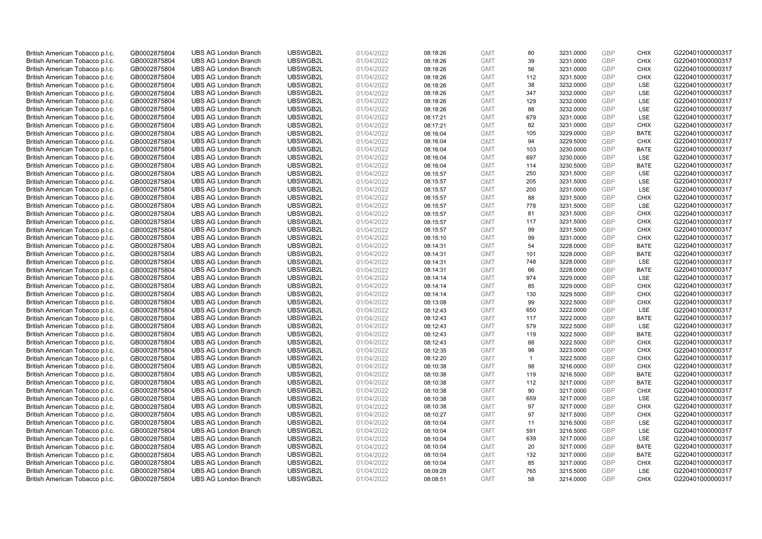| British American Tobacco p.l.c. | GB0002875804 | <b>UBS AG London Branch</b>                                | UBSWGB2L | 01/04/2022 | 08:18:26             | <b>GMT</b>               | 80           | 3231.0000 | <b>GBP</b> | <b>CHIX</b>               | G220401000000317                     |
|---------------------------------|--------------|------------------------------------------------------------|----------|------------|----------------------|--------------------------|--------------|-----------|------------|---------------------------|--------------------------------------|
| British American Tobacco p.l.c. | GB0002875804 | <b>UBS AG London Branch</b>                                | UBSWGB2L | 01/04/2022 | 08:18:26             | <b>GMT</b>               | 39           | 3231.0000 | <b>GBP</b> | <b>CHIX</b>               | G220401000000317                     |
| British American Tobacco p.l.c. | GB0002875804 | <b>UBS AG London Branch</b>                                | UBSWGB2L | 01/04/2022 | 08:18:26             | <b>GMT</b>               | 56           | 3231.0000 | <b>GBP</b> | <b>CHIX</b>               | G220401000000317                     |
| British American Tobacco p.l.c. | GB0002875804 | <b>UBS AG London Branch</b>                                | UBSWGB2L | 01/04/2022 | 08:18:26             | <b>GMT</b>               | 112          | 3231.5000 | GBP        | <b>CHIX</b>               | G220401000000317                     |
| British American Tobacco p.l.c. | GB0002875804 | <b>UBS AG London Branch</b>                                | UBSWGB2L | 01/04/2022 | 08:18:26             | <b>GMT</b>               | 38           | 3232.0000 | <b>GBP</b> | LSE                       | G220401000000317                     |
| British American Tobacco p.l.c. | GB0002875804 | <b>UBS AG London Branch</b>                                | UBSWGB2L | 01/04/2022 | 08:18:26             | <b>GMT</b>               | 347          | 3232.0000 | <b>GBP</b> | LSE                       | G220401000000317                     |
| British American Tobacco p.l.c. | GB0002875804 | <b>UBS AG London Branch</b>                                | UBSWGB2L | 01/04/2022 | 08:18:26             | <b>GMT</b>               | 129          | 3232.0000 | <b>GBP</b> | LSE                       | G220401000000317                     |
| British American Tobacco p.l.c. | GB0002875804 | <b>UBS AG London Branch</b>                                | UBSWGB2L | 01/04/2022 | 08:18:26             | <b>GMT</b>               | 88           | 3232.0000 | <b>GBP</b> | <b>LSE</b>                | G220401000000317                     |
| British American Tobacco p.l.c. | GB0002875804 | <b>UBS AG London Branch</b>                                | UBSWGB2L | 01/04/2022 | 08:17:21             | <b>GMT</b>               | 679          | 3231.0000 | <b>GBP</b> | LSE                       | G220401000000317                     |
| British American Tobacco p.l.c. | GB0002875804 | <b>UBS AG London Branch</b>                                | UBSWGB2L | 01/04/2022 | 08:17:21             | <b>GMT</b>               | 82           | 3231.0000 | <b>GBP</b> | <b>CHIX</b>               | G220401000000317                     |
| British American Tobacco p.l.c. | GB0002875804 | <b>UBS AG London Branch</b>                                | UBSWGB2L | 01/04/2022 | 08:16:04             | <b>GMT</b>               | 105          | 3229.0000 | <b>GBP</b> | <b>BATE</b>               | G220401000000317                     |
| British American Tobacco p.l.c. | GB0002875804 | <b>UBS AG London Branch</b>                                | UBSWGB2L | 01/04/2022 | 08:16:04             | <b>GMT</b>               | 94           | 3229.5000 | <b>GBP</b> | <b>CHIX</b>               | G220401000000317                     |
| British American Tobacco p.l.c. | GB0002875804 | <b>UBS AG London Branch</b>                                | UBSWGB2L | 01/04/2022 | 08:16:04             | <b>GMT</b>               | 103          | 3230.0000 | <b>GBP</b> | <b>BATE</b>               | G220401000000317                     |
| British American Tobacco p.l.c. | GB0002875804 | <b>UBS AG London Branch</b>                                | UBSWGB2L | 01/04/2022 | 08:16:04             | <b>GMT</b>               | 697          | 3230.0000 | <b>GBP</b> | LSE                       | G220401000000317                     |
| British American Tobacco p.l.c. | GB0002875804 | <b>UBS AG London Branch</b>                                | UBSWGB2L | 01/04/2022 | 08:16:04             | <b>GMT</b>               | 114          | 3230.5000 | <b>GBP</b> | <b>BATE</b>               | G220401000000317                     |
| British American Tobacco p.l.c. | GB0002875804 | <b>UBS AG London Branch</b>                                | UBSWGB2L | 01/04/2022 | 08:15:57             | <b>GMT</b>               | 250          | 3231.5000 | <b>GBP</b> | LSE                       | G220401000000317                     |
| British American Tobacco p.l.c. | GB0002875804 | <b>UBS AG London Branch</b>                                | UBSWGB2L | 01/04/2022 | 08:15:57             | <b>GMT</b>               | 205          | 3231.5000 | <b>GBP</b> | LSE                       | G220401000000317                     |
| British American Tobacco p.l.c. | GB0002875804 | <b>UBS AG London Branch</b>                                | UBSWGB2L | 01/04/2022 | 08:15:57             | <b>GMT</b>               | 200          | 3231.0000 | <b>GBP</b> | LSE                       | G220401000000317                     |
| British American Tobacco p.l.c. | GB0002875804 | <b>UBS AG London Branch</b>                                | UBSWGB2L | 01/04/2022 | 08:15:57             | <b>GMT</b>               | 88           | 3231.5000 | <b>GBP</b> | <b>CHIX</b>               | G220401000000317                     |
| British American Tobacco p.l.c. | GB0002875804 | <b>UBS AG London Branch</b>                                | UBSWGB2L | 01/04/2022 | 08:15:57             | <b>GMT</b>               | 778          | 3231.5000 | <b>GBP</b> | LSE                       | G220401000000317                     |
| British American Tobacco p.l.c. | GB0002875804 | <b>UBS AG London Branch</b>                                | UBSWGB2L | 01/04/2022 | 08:15:57             | <b>GMT</b>               | 81           | 3231.5000 | <b>GBP</b> | <b>CHIX</b>               | G220401000000317                     |
| British American Tobacco p.l.c. | GB0002875804 | <b>UBS AG London Branch</b>                                | UBSWGB2L | 01/04/2022 | 08:15:57             | <b>GMT</b>               | 117          | 3231.5000 | <b>GBP</b> | <b>CHIX</b>               | G220401000000317                     |
| British American Tobacco p.l.c. | GB0002875804 | <b>UBS AG London Branch</b>                                | UBSWGB2L | 01/04/2022 | 08:15:57             | <b>GMT</b>               | 99           | 3231.5000 | <b>GBP</b> | <b>CHIX</b>               | G220401000000317                     |
| British American Tobacco p.l.c. | GB0002875804 | <b>UBS AG London Branch</b>                                | UBSWGB2L | 01/04/2022 | 08:15:10             | <b>GMT</b>               | 99           | 3231.0000 | <b>GBP</b> | <b>CHIX</b>               | G220401000000317                     |
| British American Tobacco p.l.c. | GB0002875804 | <b>UBS AG London Branch</b>                                | UBSWGB2L | 01/04/2022 | 08:14:31             | <b>GMT</b>               | 54           | 3228.0000 | <b>GBP</b> | <b>BATE</b>               | G220401000000317                     |
| British American Tobacco p.l.c. | GB0002875804 | <b>UBS AG London Branch</b>                                | UBSWGB2L | 01/04/2022 | 08:14:31             | <b>GMT</b>               | 101          | 3228.0000 | <b>GBP</b> | <b>BATE</b>               | G220401000000317                     |
| British American Tobacco p.l.c. | GB0002875804 | <b>UBS AG London Branch</b>                                | UBSWGB2L | 01/04/2022 | 08:14:31             | <b>GMT</b>               | 748          | 3228.0000 | <b>GBP</b> | LSE                       | G220401000000317                     |
| British American Tobacco p.l.c. | GB0002875804 | <b>UBS AG London Branch</b>                                | UBSWGB2L | 01/04/2022 | 08:14:31             | <b>GMT</b>               | 66           | 3228.0000 | <b>GBP</b> | <b>BATE</b>               | G220401000000317                     |
| British American Tobacco p.l.c. | GB0002875804 | <b>UBS AG London Branch</b>                                | UBSWGB2L | 01/04/2022 | 08:14:14             | <b>GMT</b>               | 974          | 3229.0000 | GBP        | LSE                       | G220401000000317                     |
| British American Tobacco p.l.c. | GB0002875804 | <b>UBS AG London Branch</b>                                | UBSWGB2L | 01/04/2022 | 08:14:14             | <b>GMT</b>               | 85           | 3229.0000 | GBP        | <b>CHIX</b>               | G220401000000317                     |
| British American Tobacco p.l.c. | GB0002875804 | <b>UBS AG London Branch</b>                                | UBSWGB2L | 01/04/2022 | 08:14:14             | <b>GMT</b>               | 130          | 3229.5000 | GBP        | <b>CHIX</b>               | G220401000000317                     |
| British American Tobacco p.l.c. | GB0002875804 | <b>UBS AG London Branch</b>                                | UBSWGB2L | 01/04/2022 | 08:13:08             | <b>GMT</b>               | 99           | 3222.5000 | GBP        | <b>CHIX</b>               | G220401000000317                     |
| British American Tobacco p.l.c. | GB0002875804 | <b>UBS AG London Branch</b>                                | UBSWGB2L | 01/04/2022 | 08:12:43             | <b>GMT</b>               | 650          | 3222.0000 | GBP        | LSE                       | G220401000000317                     |
| British American Tobacco p.l.c. | GB0002875804 | <b>UBS AG London Branch</b>                                | UBSWGB2L | 01/04/2022 | 08:12:43             | <b>GMT</b>               | 117          | 3222.0000 | GBP        | <b>BATE</b>               | G220401000000317                     |
| British American Tobacco p.l.c. | GB0002875804 | <b>UBS AG London Branch</b>                                | UBSWGB2L | 01/04/2022 | 08:12:43             | <b>GMT</b>               | 579          | 3222.5000 | GBP        | LSE                       | G220401000000317                     |
| British American Tobacco p.l.c. | GB0002875804 | <b>UBS AG London Branch</b>                                | UBSWGB2L | 01/04/2022 | 08:12:43             | <b>GMT</b>               | 119          | 3222.5000 | <b>GBP</b> | <b>BATE</b>               | G220401000000317                     |
| British American Tobacco p.l.c. | GB0002875804 | <b>UBS AG London Branch</b>                                | UBSWGB2L | 01/04/2022 | 08:12:43             | <b>GMT</b>               | 88           | 3222.5000 | GBP        | <b>CHIX</b>               | G220401000000317                     |
| British American Tobacco p.l.c. | GB0002875804 | <b>UBS AG London Branch</b>                                | UBSWGB2L | 01/04/2022 | 08:12:35             | <b>GMT</b>               | 98           | 3223.0000 | <b>GBP</b> | <b>CHIX</b>               | G220401000000317                     |
| British American Tobacco p.l.c. | GB0002875804 | <b>UBS AG London Branch</b>                                | UBSWGB2L | 01/04/2022 | 08:12:20             | <b>GMT</b>               | $\mathbf{1}$ | 3222.5000 | GBP        | <b>CHIX</b>               | G220401000000317                     |
| British American Tobacco p.l.c. | GB0002875804 | <b>UBS AG London Branch</b>                                | UBSWGB2L | 01/04/2022 | 08:10:38             | <b>GMT</b>               | 98           | 3216.0000 | <b>GBP</b> | <b>CHIX</b>               | G220401000000317                     |
| British American Tobacco p.l.c. | GB0002875804 | <b>UBS AG London Branch</b>                                | UBSWGB2L | 01/04/2022 | 08:10:38             | <b>GMT</b>               | 119          | 3216.5000 | <b>GBP</b> | <b>BATE</b>               | G220401000000317                     |
| British American Tobacco p.l.c. | GB0002875804 | <b>UBS AG London Branch</b>                                | UBSWGB2L | 01/04/2022 | 08:10:38             | <b>GMT</b>               | 112          | 3217.0000 | GBP        | <b>BATE</b>               | G220401000000317                     |
| British American Tobacco p.l.c. | GB0002875804 | <b>UBS AG London Branch</b>                                | UBSWGB2L | 01/04/2022 | 08:10:38             | <b>GMT</b>               | 90           | 3217.0000 | <b>GBP</b> | <b>CHIX</b>               | G220401000000317                     |
| British American Tobacco p.l.c. | GB0002875804 | <b>UBS AG London Branch</b>                                | UBSWGB2L | 01/04/2022 | 08:10:38             | <b>GMT</b>               | 659          | 3217.0000 | GBP        | LSE                       | G220401000000317                     |
| British American Tobacco p.l.c. | GB0002875804 | <b>UBS AG London Branch</b>                                | UBSWGB2L | 01/04/2022 | 08:10:38             | <b>GMT</b>               | 97           | 3217.0000 | GBP        | <b>CHIX</b>               | G220401000000317                     |
| British American Tobacco p.l.c. | GB0002875804 | <b>UBS AG London Branch</b>                                | UBSWGB2L | 01/04/2022 | 08:10:27             | <b>GMT</b>               | 97           | 3217.5000 | <b>GBP</b> | <b>CHIX</b>               | G220401000000317                     |
| British American Tobacco p.l.c. | GB0002875804 | <b>UBS AG London Branch</b>                                | UBSWGB2L | 01/04/2022 | 08:10:04             | <b>GMT</b>               | 11           | 3216.5000 | <b>GBP</b> | LSE                       | G220401000000317                     |
| British American Tobacco p.l.c. | GB0002875804 | <b>UBS AG London Branch</b>                                | UBSWGB2L | 01/04/2022 | 08:10:04             | <b>GMT</b>               | 591          | 3216.5000 | <b>GBP</b> | LSE                       | G220401000000317                     |
| British American Tobacco p.l.c. | GB0002875804 | <b>UBS AG London Branch</b>                                | UBSWGB2L | 01/04/2022 |                      | <b>GMT</b>               | 639          | 3217.0000 | GBP        | LSE                       | G220401000000317                     |
| British American Tobacco p.l.c. | GB0002875804 | <b>UBS AG London Branch</b>                                | UBSWGB2L | 01/04/2022 | 08:10:04<br>08:10:04 | <b>GMT</b>               | 20           | 3217.0000 | GBP        | <b>BATE</b>               | G220401000000317                     |
|                                 |              |                                                            | UBSWGB2L |            |                      |                          | 132          | 3217.0000 | GBP        | <b>BATE</b>               |                                      |
| British American Tobacco p.l.c. | GB0002875804 | <b>UBS AG London Branch</b><br><b>UBS AG London Branch</b> | UBSWGB2L | 01/04/2022 | 08:10:04             | <b>GMT</b><br><b>GMT</b> | 85           |           | <b>GBP</b> | <b>CHIX</b>               | G220401000000317<br>G220401000000317 |
| British American Tobacco p.l.c. | GB0002875804 |                                                            |          | 01/04/2022 | 08:10:04             |                          |              | 3217.0000 | GBP        |                           | G220401000000317                     |
| British American Tobacco p.l.c. | GB0002875804 | <b>UBS AG London Branch</b>                                | UBSWGB2L | 01/04/2022 | 08:09:28             | <b>GMT</b><br><b>GMT</b> | 765<br>58    | 3215.5000 | GBP        | <b>LSE</b><br><b>CHIX</b> |                                      |
| British American Tobacco p.l.c. | GB0002875804 | <b>UBS AG London Branch</b>                                | UBSWGB2L | 01/04/2022 | 08:08:51             |                          |              | 3214.0000 |            |                           | G220401000000317                     |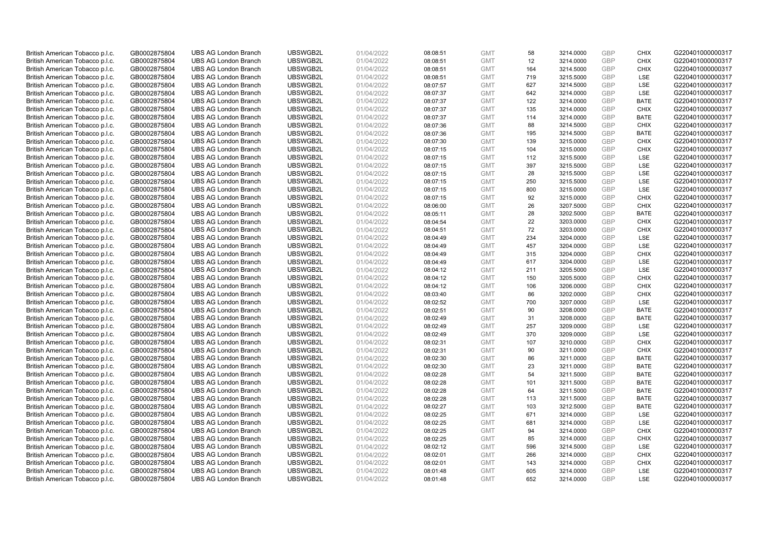| British American Tobacco p.l.c. | GB0002875804 | <b>UBS AG London Branch</b> | UBSWGB2L | 01/04/2022 | 08:08:51 | <b>GMT</b> | 58  | 3214.0000 | <b>GBP</b> | <b>CHIX</b> | G220401000000317 |
|---------------------------------|--------------|-----------------------------|----------|------------|----------|------------|-----|-----------|------------|-------------|------------------|
| British American Tobacco p.l.c. | GB0002875804 | <b>UBS AG London Branch</b> | UBSWGB2L | 01/04/2022 | 08:08:51 | <b>GMT</b> | 12  | 3214.0000 | GBP        | <b>CHIX</b> | G220401000000317 |
| British American Tobacco p.l.c. | GB0002875804 | <b>UBS AG London Branch</b> | UBSWGB2L | 01/04/2022 | 08:08:51 | <b>GMT</b> | 164 | 3214.5000 | <b>GBP</b> | <b>CHIX</b> | G220401000000317 |
| British American Tobacco p.l.c. | GB0002875804 | <b>UBS AG London Branch</b> | UBSWGB2L | 01/04/2022 | 08:08:51 | <b>GMT</b> | 719 | 3215.5000 | GBP        | LSE         | G220401000000317 |
| British American Tobacco p.l.c. | GB0002875804 | <b>UBS AG London Branch</b> | UBSWGB2L | 01/04/2022 | 08:07:57 | <b>GMT</b> | 627 | 3214.5000 | <b>GBP</b> | <b>LSE</b>  | G220401000000317 |
| British American Tobacco p.l.c. | GB0002875804 | <b>UBS AG London Branch</b> | UBSWGB2L | 01/04/2022 | 08:07:37 | <b>GMT</b> | 642 | 3214.0000 | GBP        | LSE         | G220401000000317 |
| British American Tobacco p.l.c. | GB0002875804 | <b>UBS AG London Branch</b> | UBSWGB2L | 01/04/2022 | 08:07:37 | <b>GMT</b> | 122 | 3214.0000 | <b>GBP</b> | <b>BATE</b> | G220401000000317 |
| British American Tobacco p.l.c. | GB0002875804 | <b>UBS AG London Branch</b> | UBSWGB2L | 01/04/2022 | 08:07:37 | <b>GMT</b> | 135 | 3214.0000 | <b>GBP</b> | <b>CHIX</b> | G220401000000317 |
| British American Tobacco p.l.c. | GB0002875804 | <b>UBS AG London Branch</b> | UBSWGB2L | 01/04/2022 | 08:07:37 | <b>GMT</b> | 114 | 3214.0000 | <b>GBP</b> | <b>BATE</b> | G220401000000317 |
| British American Tobacco p.l.c. | GB0002875804 | <b>UBS AG London Branch</b> | UBSWGB2L | 01/04/2022 | 08:07:36 | <b>GMT</b> | 88  | 3214.5000 | GBP        | <b>CHIX</b> | G220401000000317 |
| British American Tobacco p.l.c. | GB0002875804 | <b>UBS AG London Branch</b> | UBSWGB2L | 01/04/2022 | 08:07:36 | <b>GMT</b> | 195 | 3214.5000 | <b>GBP</b> | <b>BATE</b> | G220401000000317 |
| British American Tobacco p.l.c. | GB0002875804 | <b>UBS AG London Branch</b> | UBSWGB2L | 01/04/2022 | 08:07:30 | <b>GMT</b> | 139 | 3215.0000 | <b>GBP</b> | <b>CHIX</b> | G220401000000317 |
| British American Tobacco p.l.c. | GB0002875804 | <b>UBS AG London Branch</b> | UBSWGB2L | 01/04/2022 | 08:07:15 | <b>GMT</b> | 104 | 3215.0000 | <b>GBP</b> | <b>CHIX</b> | G220401000000317 |
| British American Tobacco p.l.c. | GB0002875804 | <b>UBS AG London Branch</b> | UBSWGB2L | 01/04/2022 | 08:07:15 | <b>GMT</b> | 112 | 3215.5000 | <b>GBP</b> | <b>LSE</b>  | G220401000000317 |
| British American Tobacco p.l.c. | GB0002875804 | <b>UBS AG London Branch</b> | UBSWGB2L | 01/04/2022 | 08:07:15 | <b>GMT</b> | 397 | 3215.5000 | <b>GBP</b> | LSE         | G220401000000317 |
| British American Tobacco p.l.c. | GB0002875804 | <b>UBS AG London Branch</b> | UBSWGB2L | 01/04/2022 | 08:07:15 | <b>GMT</b> | 28  | 3215.5000 | <b>GBP</b> | LSE         | G220401000000317 |
| British American Tobacco p.l.c. | GB0002875804 | <b>UBS AG London Branch</b> | UBSWGB2L | 01/04/2022 | 08:07:15 | <b>GMT</b> | 250 | 3215.5000 | <b>GBP</b> | <b>LSE</b>  | G220401000000317 |
| British American Tobacco p.l.c. | GB0002875804 | <b>UBS AG London Branch</b> | UBSWGB2L | 01/04/2022 | 08:07:15 | <b>GMT</b> | 800 | 3215.0000 | GBP        | LSE         | G220401000000317 |
| British American Tobacco p.l.c. | GB0002875804 | <b>UBS AG London Branch</b> | UBSWGB2L | 01/04/2022 | 08:07:15 | <b>GMT</b> | 92  | 3215.0000 | GBP        | <b>CHIX</b> | G220401000000317 |
| British American Tobacco p.l.c. | GB0002875804 | <b>UBS AG London Branch</b> | UBSWGB2L | 01/04/2022 | 08:06:00 | <b>GMT</b> | 26  | 3207.5000 | <b>GBP</b> | <b>CHIX</b> | G220401000000317 |
| British American Tobacco p.l.c. | GB0002875804 | <b>UBS AG London Branch</b> | UBSWGB2L | 01/04/2022 | 08:05:11 | <b>GMT</b> | 28  | 3202.5000 | GBP        | <b>BATE</b> | G220401000000317 |
| British American Tobacco p.l.c. | GB0002875804 | <b>UBS AG London Branch</b> | UBSWGB2L | 01/04/2022 | 08:04:54 | <b>GMT</b> | 22  | 3203.0000 | GBP        | <b>CHIX</b> | G220401000000317 |
| British American Tobacco p.l.c. | GB0002875804 | <b>UBS AG London Branch</b> | UBSWGB2L | 01/04/2022 | 08:04:51 | <b>GMT</b> | 72  | 3203.0000 | GBP        | <b>CHIX</b> | G220401000000317 |
| British American Tobacco p.l.c. | GB0002875804 | <b>UBS AG London Branch</b> | UBSWGB2L | 01/04/2022 | 08:04:49 | <b>GMT</b> | 234 | 3204.0000 | <b>GBP</b> | LSE         | G220401000000317 |
| British American Tobacco p.l.c. | GB0002875804 | <b>UBS AG London Branch</b> | UBSWGB2L | 01/04/2022 | 08:04:49 | <b>GMT</b> | 457 | 3204.0000 | <b>GBP</b> | LSE         | G220401000000317 |
| British American Tobacco p.l.c. | GB0002875804 | <b>UBS AG London Branch</b> | UBSWGB2L | 01/04/2022 | 08:04:49 | <b>GMT</b> | 315 | 3204.0000 | <b>GBP</b> | <b>CHIX</b> | G220401000000317 |
| British American Tobacco p.l.c. | GB0002875804 | <b>UBS AG London Branch</b> | UBSWGB2L | 01/04/2022 | 08:04:49 | <b>GMT</b> | 617 | 3204.0000 | <b>GBP</b> | LSE         | G220401000000317 |
| British American Tobacco p.l.c. | GB0002875804 | <b>UBS AG London Branch</b> | UBSWGB2L | 01/04/2022 | 08:04:12 | <b>GMT</b> | 211 | 3205.5000 | <b>GBP</b> | LSE         | G220401000000317 |
| British American Tobacco p.l.c. | GB0002875804 | <b>UBS AG London Branch</b> | UBSWGB2L | 01/04/2022 | 08:04:12 | <b>GMT</b> | 150 | 3205.5000 | GBP        | <b>CHIX</b> | G220401000000317 |
| British American Tobacco p.l.c. | GB0002875804 | <b>UBS AG London Branch</b> | UBSWGB2L | 01/04/2022 | 08:04:12 | <b>GMT</b> | 106 | 3206.0000 | GBP        | <b>CHIX</b> | G220401000000317 |
| British American Tobacco p.l.c. | GB0002875804 | <b>UBS AG London Branch</b> | UBSWGB2L | 01/04/2022 | 08:03:40 | <b>GMT</b> | 86  | 3202.0000 | <b>GBP</b> | <b>CHIX</b> | G220401000000317 |
| British American Tobacco p.l.c. | GB0002875804 | <b>UBS AG London Branch</b> | UBSWGB2L | 01/04/2022 | 08:02:52 | <b>GMT</b> | 700 | 3207.0000 | <b>GBP</b> | <b>LSE</b>  | G220401000000317 |
| British American Tobacco p.l.c. | GB0002875804 | <b>UBS AG London Branch</b> | UBSWGB2L | 01/04/2022 | 08:02:51 | <b>GMT</b> | 90  | 3208.0000 | GBP        | <b>BATE</b> | G220401000000317 |
| British American Tobacco p.l.c. | GB0002875804 | <b>UBS AG London Branch</b> | UBSWGB2L | 01/04/2022 | 08:02:49 | <b>GMT</b> | 31  | 3208.0000 | <b>GBP</b> | <b>BATE</b> | G220401000000317 |
| British American Tobacco p.l.c. | GB0002875804 | <b>UBS AG London Branch</b> | UBSWGB2L | 01/04/2022 | 08:02:49 | <b>GMT</b> | 257 | 3209.0000 | <b>GBP</b> | LSE         | G220401000000317 |
| British American Tobacco p.l.c. | GB0002875804 | <b>UBS AG London Branch</b> | UBSWGB2L | 01/04/2022 | 08:02:49 | <b>GMT</b> | 370 | 3209.0000 | <b>GBP</b> | <b>LSE</b>  | G220401000000317 |
| British American Tobacco p.l.c. | GB0002875804 | <b>UBS AG London Branch</b> | UBSWGB2L | 01/04/2022 | 08:02:31 | <b>GMT</b> | 107 | 3210.0000 | GBP        | <b>CHIX</b> | G220401000000317 |
| British American Tobacco p.l.c. | GB0002875804 | <b>UBS AG London Branch</b> | UBSWGB2L | 01/04/2022 | 08:02:31 | <b>GMT</b> | 90  | 3211.0000 | <b>GBP</b> | <b>CHIX</b> | G220401000000317 |
| British American Tobacco p.l.c. | GB0002875804 | <b>UBS AG London Branch</b> | UBSWGB2L | 01/04/2022 | 08:02:30 | <b>GMT</b> | 86  | 3211.0000 | GBP        | <b>BATE</b> | G220401000000317 |
| British American Tobacco p.l.c. | GB0002875804 | <b>UBS AG London Branch</b> | UBSWGB2L | 01/04/2022 | 08:02:30 | <b>GMT</b> | 23  | 3211.0000 | <b>GBP</b> | <b>BATE</b> | G220401000000317 |
| British American Tobacco p.l.c. | GB0002875804 | <b>UBS AG London Branch</b> | UBSWGB2L | 01/04/2022 | 08:02:28 | <b>GMT</b> | 54  | 3211.5000 | <b>GBP</b> | <b>BATE</b> | G220401000000317 |
| British American Tobacco p.l.c. | GB0002875804 | <b>UBS AG London Branch</b> | UBSWGB2L | 01/04/2022 | 08:02:28 | <b>GMT</b> | 101 | 3211.5000 | GBP        | <b>BATE</b> | G220401000000317 |
| British American Tobacco p.l.c. | GB0002875804 | <b>UBS AG London Branch</b> | UBSWGB2L | 01/04/2022 | 08:02:28 | <b>GMT</b> | 64  | 3211.5000 | <b>GBP</b> | <b>BATE</b> | G220401000000317 |
| British American Tobacco p.l.c. | GB0002875804 | <b>UBS AG London Branch</b> | UBSWGB2L | 01/04/2022 | 08:02:28 | <b>GMT</b> | 113 | 3211.5000 | GBP        | <b>BATE</b> | G220401000000317 |
| British American Tobacco p.l.c. | GB0002875804 | <b>UBS AG London Branch</b> | UBSWGB2L | 01/04/2022 | 08:02:27 | <b>GMT</b> | 103 | 3212.5000 | <b>GBP</b> | <b>BATE</b> | G220401000000317 |
| British American Tobacco p.l.c. | GB0002875804 | <b>UBS AG London Branch</b> | UBSWGB2L | 01/04/2022 | 08:02:25 | <b>GMT</b> | 671 | 3214.0000 | <b>GBP</b> | LSE         | G220401000000317 |
| British American Tobacco p.l.c. | GB0002875804 | <b>UBS AG London Branch</b> | UBSWGB2L | 01/04/2022 | 08:02:25 | <b>GMT</b> | 681 | 3214.0000 | GBP        | LSE         | G220401000000317 |
| British American Tobacco p.l.c. | GB0002875804 | <b>UBS AG London Branch</b> | UBSWGB2L | 01/04/2022 | 08:02:25 | <b>GMT</b> | 94  | 3214.0000 | <b>GBP</b> | <b>CHIX</b> | G220401000000317 |
| British American Tobacco p.l.c. | GB0002875804 | <b>UBS AG London Branch</b> | UBSWGB2L | 01/04/2022 | 08:02:25 | <b>GMT</b> | 85  | 3214.0000 | <b>GBP</b> | <b>CHIX</b> | G220401000000317 |
| British American Tobacco p.l.c. | GB0002875804 | <b>UBS AG London Branch</b> | UBSWGB2L | 01/04/2022 | 08:02:12 | <b>GMT</b> | 596 | 3214.5000 | GBP        | <b>LSE</b>  | G220401000000317 |
| British American Tobacco p.l.c. | GB0002875804 | <b>UBS AG London Branch</b> | UBSWGB2L | 01/04/2022 | 08:02:01 | <b>GMT</b> | 266 | 3214.0000 | <b>GBP</b> | <b>CHIX</b> | G220401000000317 |
| British American Tobacco p.l.c. | GB0002875804 | <b>UBS AG London Branch</b> | UBSWGB2L | 01/04/2022 | 08:02:01 | <b>GMT</b> | 143 | 3214.0000 | <b>GBP</b> | <b>CHIX</b> | G220401000000317 |
| British American Tobacco p.l.c. | GB0002875804 | <b>UBS AG London Branch</b> | UBSWGB2L | 01/04/2022 | 08:01:48 | <b>GMT</b> | 605 | 3214.0000 | GBP        | <b>LSE</b>  | G220401000000317 |
| British American Tobacco p.l.c. | GB0002875804 | <b>UBS AG London Branch</b> | UBSWGB2L | 01/04/2022 | 08:01:48 | <b>GMT</b> | 652 | 3214.0000 | GBP        | <b>LSE</b>  | G220401000000317 |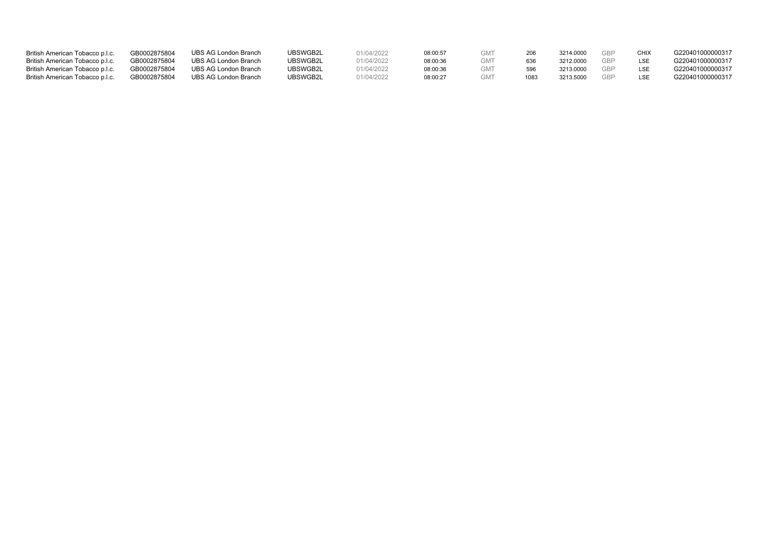| British American Tobacco p.l.c. | GB0002875804 | <b>UBS AG London Branch</b> | UBSWGB2L | 01/04/2022 | 08:00:57 |      | 3214 0000 | GRP | CHIX | G220401000000317 |
|---------------------------------|--------------|-----------------------------|----------|------------|----------|------|-----------|-----|------|------------------|
| British American Tobacco p.l.c. | GB0002875804 | UBS AG London Branch        | UBSWGB2L | 01/04/2022 | 08:00:36 |      | 3212,0000 |     |      | G220401000000317 |
| British American Tobacco p.l.c. | GB0002875804 | UBS AG London Branch        | UBSWGB2L | 01/04/2022 | 08:00:36 |      | 3213.0000 |     |      | G220401000000317 |
| British American Tobacco p.l.c. | GB0002875804 | UBS AG London Branch        | UBSWGB2L | 01/04/2022 | 08:00:27 | 1083 | 3213.5000 | GRF |      | G220401000000317 |